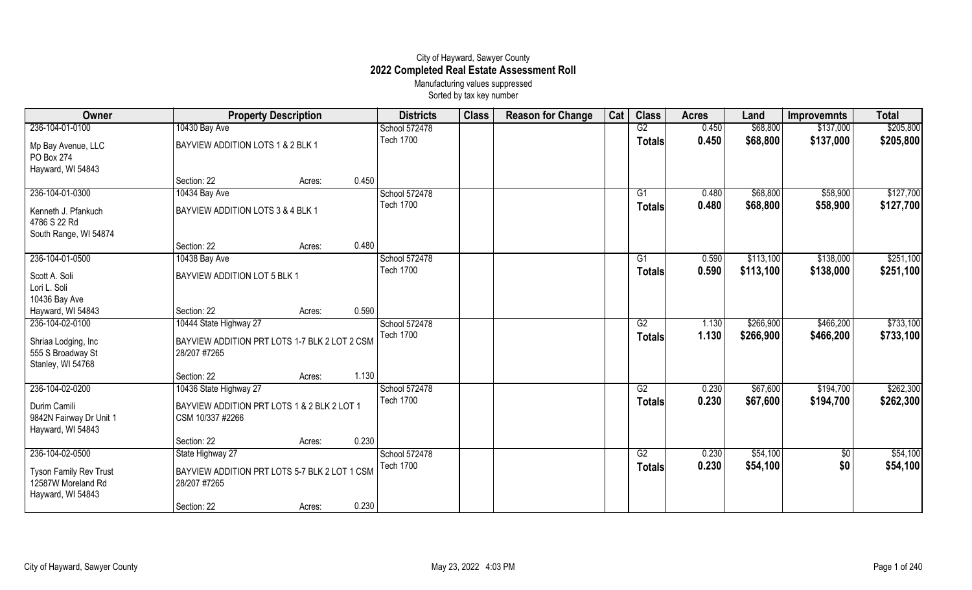## City of Hayward, Sawyer County **2022 Completed Real Estate Assessment Roll** Manufacturing values suppressed

Sorted by tax key number

| Owner                                                                    | <b>Property Description</b>                                     |        |       | <b>Districts</b> | <b>Class</b> | <b>Reason for Change</b> | Cat | <b>Class</b>  | <b>Acres</b> | Land      | <b>Improvemnts</b> | <b>Total</b> |
|--------------------------------------------------------------------------|-----------------------------------------------------------------|--------|-------|------------------|--------------|--------------------------|-----|---------------|--------------|-----------|--------------------|--------------|
| 236-104-01-0100                                                          | 10430 Bay Ave                                                   |        |       | School 572478    |              |                          |     | G2            | 0.450        | \$68,800  | \$137,000          | \$205,800    |
| Mp Bay Avenue, LLC<br>PO Box 274<br>Hayward, WI 54843                    | BAYVIEW ADDITION LOTS 1 & 2 BLK 1                               |        |       | <b>Tech 1700</b> |              |                          |     | Totals        | 0.450        | \$68,800  | \$137,000          | \$205,800    |
|                                                                          | Section: 22                                                     | Acres: | 0.450 |                  |              |                          |     |               |              |           |                    |              |
| 236-104-01-0300                                                          | 10434 Bay Ave                                                   |        |       | School 572478    |              |                          |     | G1            | 0.480        | \$68,800  | \$58,900           | \$127,700    |
| Kenneth J. Pfankuch<br>4786 S 22 Rd<br>South Range, WI 54874             | BAYVIEW ADDITION LOTS 3 & 4 BLK 1                               |        |       | <b>Tech 1700</b> |              |                          |     | Totals        | 0.480        | \$68,800  | \$58,900           | \$127,700    |
|                                                                          | Section: 22                                                     | Acres: | 0.480 |                  |              |                          |     |               |              |           |                    |              |
| 236-104-01-0500                                                          | 10438 Bay Ave                                                   |        |       | School 572478    |              |                          |     | G1            | 0.590        | \$113,100 | \$138,000          | \$251,100    |
| Scott A. Soli<br>Lori L. Soli                                            | BAYVIEW ADDITION LOT 5 BLK 1                                    |        |       | <b>Tech 1700</b> |              |                          |     | <b>Totals</b> | 0.590        | \$113,100 | \$138,000          | \$251,100    |
| 10436 Bay Ave                                                            |                                                                 |        |       |                  |              |                          |     |               |              |           |                    |              |
| Hayward, WI 54843                                                        | Section: 22                                                     | Acres: | 0.590 |                  |              |                          |     |               |              |           |                    |              |
| 236-104-02-0100                                                          | 10444 State Highway 27                                          |        |       | School 572478    |              |                          |     | G2            | 1.130        | \$266,900 | \$466,200          | \$733,100    |
| Shriaa Lodging, Inc<br>555 S Broadway St<br>Stanley, WI 54768            | BAYVIEW ADDITION PRT LOTS 1-7 BLK 2 LOT 2 CSM<br>28/207 #7265   |        |       | <b>Tech 1700</b> |              |                          |     | <b>Totals</b> | 1.130        | \$266,900 | \$466,200          | \$733,100    |
|                                                                          | Section: 22                                                     | Acres: | 1.130 |                  |              |                          |     |               |              |           |                    |              |
| 236-104-02-0200                                                          | 10436 State Highway 27                                          |        |       | School 572478    |              |                          |     | G2            | 0.230        | \$67,600  | \$194,700          | \$262,300    |
| Durim Camili<br>9842N Fairway Dr Unit 1<br>Hayward, WI 54843             | BAYVIEW ADDITION PRT LOTS 1 & 2 BLK 2 LOT 1<br>CSM 10/337 #2266 |        |       | <b>Tech 1700</b> |              |                          |     | Totals        | 0.230        | \$67,600  | \$194,700          | \$262,300    |
|                                                                          | Section: 22                                                     | Acres: | 0.230 |                  |              |                          |     |               |              |           |                    |              |
| 236-104-02-0500                                                          | State Highway 27                                                |        |       | School 572478    |              |                          |     | G2            | 0.230        | \$54,100  | \$0                | \$54,100     |
| <b>Tyson Family Rev Trust</b><br>12587W Moreland Rd<br>Hayward, WI 54843 | BAYVIEW ADDITION PRT LOTS 5-7 BLK 2 LOT 1 CSM<br>28/207 #7265   |        |       | <b>Tech 1700</b> |              |                          |     | <b>Totals</b> | 0.230        | \$54,100  | \$0                | \$54,100     |
|                                                                          | Section: 22                                                     | Acres: | 0.230 |                  |              |                          |     |               |              |           |                    |              |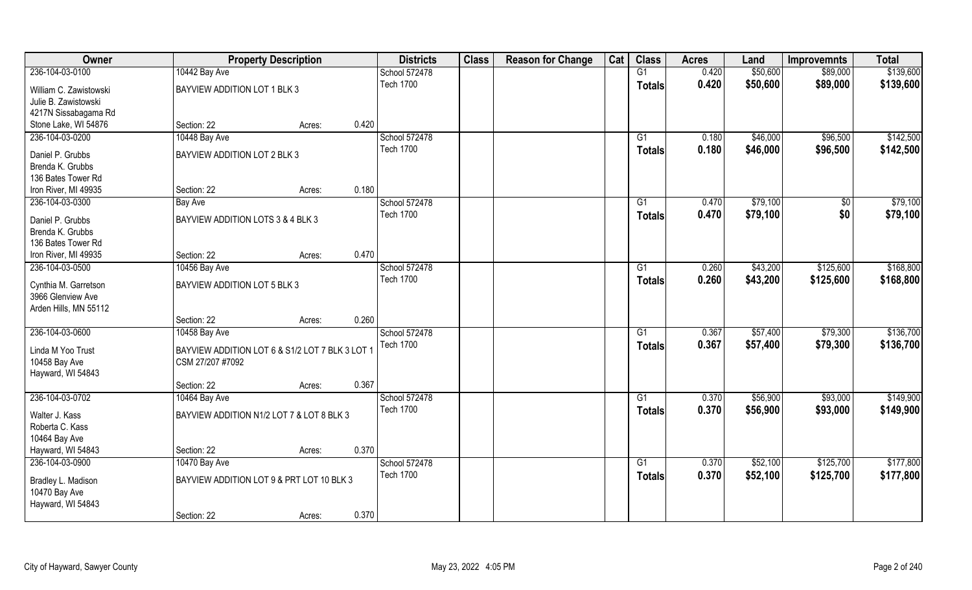| Owner                                      |                                                 | <b>Property Description</b> |       | <b>Districts</b>                  | <b>Class</b> | <b>Reason for Change</b> | Cat | <b>Class</b>  | <b>Acres</b> | Land     | <b>Improvemnts</b> | <b>Total</b> |
|--------------------------------------------|-------------------------------------------------|-----------------------------|-------|-----------------------------------|--------------|--------------------------|-----|---------------|--------------|----------|--------------------|--------------|
| 236-104-03-0100                            | 10442 Bay Ave                                   |                             |       | School 572478                     |              |                          |     | G1            | 0.420        | \$50,600 | \$89,000           | \$139,600    |
| William C. Zawistowski                     | BAYVIEW ADDITION LOT 1 BLK 3                    |                             |       | <b>Tech 1700</b>                  |              |                          |     | <b>Totals</b> | 0.420        | \$50,600 | \$89,000           | \$139,600    |
| Julie B. Zawistowski                       |                                                 |                             |       |                                   |              |                          |     |               |              |          |                    |              |
| 4217N Sissabagama Rd                       |                                                 |                             |       |                                   |              |                          |     |               |              |          |                    |              |
| Stone Lake, WI 54876                       | Section: 22                                     | Acres:                      | 0.420 |                                   |              |                          |     |               |              |          |                    |              |
| 236-104-03-0200                            | 10448 Bay Ave                                   |                             |       | School 572478                     |              |                          |     | G1            | 0.180        | \$46,000 | \$96,500           | \$142,500    |
| Daniel P. Grubbs                           | BAYVIEW ADDITION LOT 2 BLK 3                    |                             |       | <b>Tech 1700</b>                  |              |                          |     | <b>Totals</b> | 0.180        | \$46,000 | \$96,500           | \$142,500    |
| Brenda K. Grubbs                           |                                                 |                             |       |                                   |              |                          |     |               |              |          |                    |              |
| 136 Bates Tower Rd                         |                                                 |                             |       |                                   |              |                          |     |               |              |          |                    |              |
| Iron River, MI 49935                       | Section: 22                                     | Acres:                      | 0.180 |                                   |              |                          |     |               |              |          |                    |              |
| 236-104-03-0300                            | <b>Bay Ave</b>                                  |                             |       | School 572478                     |              |                          |     | G1            | 0.470        | \$79,100 | $\sqrt[6]{}$       | \$79,100     |
|                                            | BAYVIEW ADDITION LOTS 3 & 4 BLK 3               |                             |       | <b>Tech 1700</b>                  |              |                          |     | <b>Totals</b> | 0.470        | \$79,100 | \$0                | \$79,100     |
| Daniel P. Grubbs<br>Brenda K. Grubbs       |                                                 |                             |       |                                   |              |                          |     |               |              |          |                    |              |
| 136 Bates Tower Rd                         |                                                 |                             |       |                                   |              |                          |     |               |              |          |                    |              |
| Iron River, MI 49935                       | Section: 22                                     | Acres:                      | 0.470 |                                   |              |                          |     |               |              |          |                    |              |
| 236-104-03-0500                            | 10456 Bay Ave                                   |                             |       | School 572478                     |              |                          |     | G1            | 0.260        | \$43,200 | \$125,600          | \$168,800    |
|                                            |                                                 |                             |       | <b>Tech 1700</b>                  |              |                          |     | <b>Totals</b> | 0.260        | \$43,200 | \$125,600          | \$168,800    |
| Cynthia M. Garretson                       | BAYVIEW ADDITION LOT 5 BLK 3                    |                             |       |                                   |              |                          |     |               |              |          |                    |              |
| 3966 Glenview Ave<br>Arden Hills, MN 55112 |                                                 |                             |       |                                   |              |                          |     |               |              |          |                    |              |
|                                            | Section: 22                                     | Acres:                      | 0.260 |                                   |              |                          |     |               |              |          |                    |              |
| 236-104-03-0600                            | 10458 Bay Ave                                   |                             |       | School 572478                     |              |                          |     | G1            | 0.367        | \$57,400 | \$79,300           | \$136,700    |
|                                            |                                                 |                             |       | <b>Tech 1700</b>                  |              |                          |     | <b>Totals</b> | 0.367        | \$57,400 | \$79,300           | \$136,700    |
| Linda M Yoo Trust                          | BAYVIEW ADDITION LOT 6 & S1/2 LOT 7 BLK 3 LOT 1 |                             |       |                                   |              |                          |     |               |              |          |                    |              |
| 10458 Bay Ave                              | CSM 27/207 #7092                                |                             |       |                                   |              |                          |     |               |              |          |                    |              |
| Hayward, WI 54843                          | Section: 22                                     |                             | 0.367 |                                   |              |                          |     |               |              |          |                    |              |
| 236-104-03-0702                            | 10464 Bay Ave                                   | Acres:                      |       | School 572478                     |              |                          |     | G1            | 0.370        | \$56,900 | \$93,000           | \$149,900    |
|                                            |                                                 |                             |       | <b>Tech 1700</b>                  |              |                          |     |               | 0.370        | \$56,900 | \$93,000           | \$149,900    |
| Walter J. Kass                             | BAYVIEW ADDITION N1/2 LOT 7 & LOT 8 BLK 3       |                             |       |                                   |              |                          |     | <b>Totals</b> |              |          |                    |              |
| Roberta C. Kass                            |                                                 |                             |       |                                   |              |                          |     |               |              |          |                    |              |
| 10464 Bay Ave                              |                                                 |                             |       |                                   |              |                          |     |               |              |          |                    |              |
| Hayward, WI 54843                          | Section: 22                                     | Acres:                      | 0.370 |                                   |              |                          |     |               |              |          |                    |              |
| 236-104-03-0900                            | 10470 Bay Ave                                   |                             |       | School 572478<br><b>Tech 1700</b> |              |                          |     | G1            | 0.370        | \$52,100 | \$125,700          | \$177,800    |
| Bradley L. Madison                         | BAYVIEW ADDITION LOT 9 & PRT LOT 10 BLK 3       |                             |       |                                   |              |                          |     | <b>Totals</b> | 0.370        | \$52,100 | \$125,700          | \$177,800    |
| 10470 Bay Ave                              |                                                 |                             |       |                                   |              |                          |     |               |              |          |                    |              |
| Hayward, WI 54843                          |                                                 |                             |       |                                   |              |                          |     |               |              |          |                    |              |
|                                            | Section: 22                                     | Acres:                      | 0.370 |                                   |              |                          |     |               |              |          |                    |              |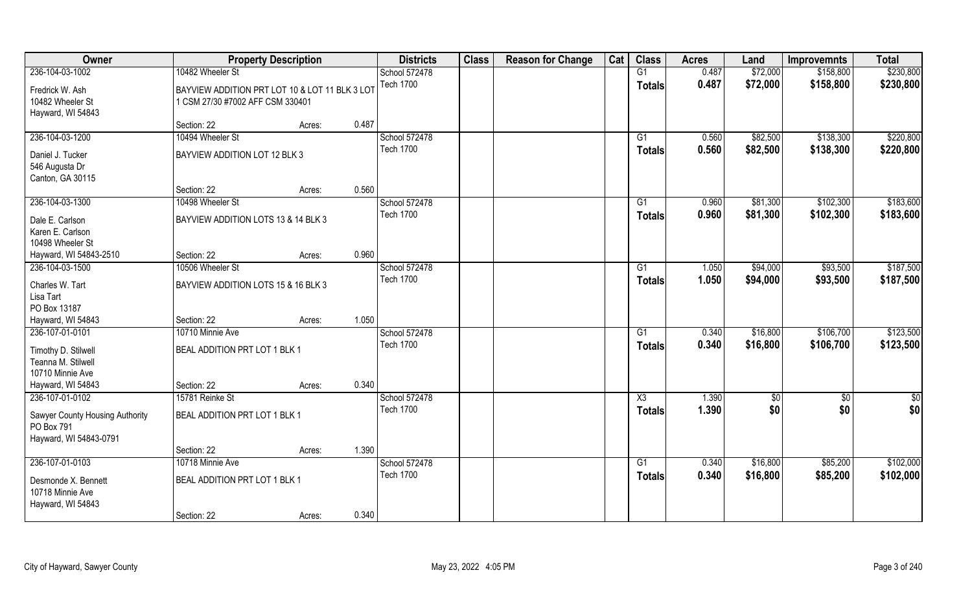| Owner                                                                            |                                                                                    | <b>Property Description</b> |       | <b>Districts</b>                  | <b>Class</b> | <b>Reason for Change</b> | Cat | <b>Class</b>                     | <b>Acres</b>   | Land                 | <b>Improvemnts</b>     | <b>Total</b>           |
|----------------------------------------------------------------------------------|------------------------------------------------------------------------------------|-----------------------------|-------|-----------------------------------|--------------|--------------------------|-----|----------------------------------|----------------|----------------------|------------------------|------------------------|
| 236-104-03-1002                                                                  | 10482 Wheeler St                                                                   |                             |       | School 572478                     |              |                          |     | G1                               | 0.487          | \$72,000             | \$158,800              | \$230,800              |
| Fredrick W. Ash<br>10482 Wheeler St<br>Hayward, WI 54843                         | BAYVIEW ADDITION PRT LOT 10 & LOT 11 BLK 3 LOT<br>1 CSM 27/30 #7002 AFF CSM 330401 |                             |       | <b>Tech 1700</b>                  |              |                          |     | <b>Totals</b>                    | 0.487          | \$72,000             | \$158,800              | \$230,800              |
|                                                                                  | Section: 22                                                                        | Acres:                      | 0.487 |                                   |              |                          |     |                                  |                |                      |                        |                        |
| 236-104-03-1200                                                                  | 10494 Wheeler St                                                                   |                             |       | School 572478                     |              |                          |     | G1                               | 0.560          | \$82,500             | \$138,300              | \$220,800              |
| Daniel J. Tucker<br>546 Augusta Dr<br>Canton, GA 30115                           | BAYVIEW ADDITION LOT 12 BLK 3                                                      |                             |       | <b>Tech 1700</b>                  |              |                          |     | <b>Totals</b>                    | 0.560          | \$82,500             | \$138,300              | \$220,800              |
|                                                                                  | Section: 22                                                                        | Acres:                      | 0.560 |                                   |              |                          |     |                                  |                |                      |                        |                        |
| 236-104-03-1300                                                                  | 10498 Wheeler St                                                                   |                             |       | School 572478                     |              |                          |     | G1                               | 0.960          | \$81,300             | \$102,300              | \$183,600              |
| Dale E. Carlson<br>Karen E. Carlson<br>10498 Wheeler St                          | BAYVIEW ADDITION LOTS 13 & 14 BLK 3                                                |                             |       | <b>Tech 1700</b>                  |              |                          |     | <b>Totals</b>                    | 0.960          | \$81,300             | \$102,300              | \$183,600              |
| Hayward, WI 54843-2510                                                           | Section: 22                                                                        | Acres:                      | 0.960 |                                   |              |                          |     |                                  |                |                      |                        |                        |
| 236-104-03-1500                                                                  | 10506 Wheeler St                                                                   |                             |       | School 572478                     |              |                          |     | G1                               | 1.050          | \$94,000             | \$93,500               | \$187,500              |
| Charles W. Tart<br>Lisa Tart<br>PO Box 13187                                     | BAYVIEW ADDITION LOTS 15 & 16 BLK 3                                                |                             |       | <b>Tech 1700</b>                  |              |                          |     | <b>Totals</b>                    | 1.050          | \$94,000             | \$93,500               | \$187,500              |
| Hayward, WI 54843                                                                | Section: 22                                                                        | Acres:                      | 1.050 |                                   |              |                          |     |                                  |                |                      |                        |                        |
| 236-107-01-0101<br>Timothy D. Stilwell<br>Teanna M. Stilwell<br>10710 Minnie Ave | 10710 Minnie Ave<br>BEAL ADDITION PRT LOT 1 BLK 1                                  |                             |       | School 572478<br><b>Tech 1700</b> |              |                          |     | $\overline{G1}$<br><b>Totals</b> | 0.340<br>0.340 | \$16,800<br>\$16,800 | \$106,700<br>\$106,700 | \$123,500<br>\$123,500 |
| Hayward, WI 54843                                                                | Section: 22                                                                        | Acres:                      | 0.340 |                                   |              |                          |     |                                  |                |                      |                        |                        |
| 236-107-01-0102                                                                  | 15781 Reinke St                                                                    |                             |       | School 572478                     |              |                          |     | X3                               | 1.390          | \$0                  | \$0                    | \$0                    |
| Sawyer County Housing Authority<br>PO Box 791<br>Hayward, WI 54843-0791          | BEAL ADDITION PRT LOT 1 BLK 1                                                      |                             |       | <b>Tech 1700</b>                  |              |                          |     | <b>Totals</b>                    | 1.390          | \$0                  | \$0                    | \$0                    |
|                                                                                  | Section: 22                                                                        | Acres:                      | 1.390 |                                   |              |                          |     |                                  |                |                      |                        |                        |
| 236-107-01-0103                                                                  | 10718 Minnie Ave                                                                   |                             |       | School 572478                     |              |                          |     | $\overline{G1}$                  | 0.340          | \$16,800             | \$85,200               | \$102,000              |
| Desmonde X. Bennett<br>10718 Minnie Ave<br>Hayward, WI 54843                     | BEAL ADDITION PRT LOT 1 BLK 1                                                      |                             |       | <b>Tech 1700</b>                  |              |                          |     | <b>Totals</b>                    | 0.340          | \$16,800             | \$85,200               | \$102,000              |
|                                                                                  | Section: 22                                                                        | Acres:                      | 0.340 |                                   |              |                          |     |                                  |                |                      |                        |                        |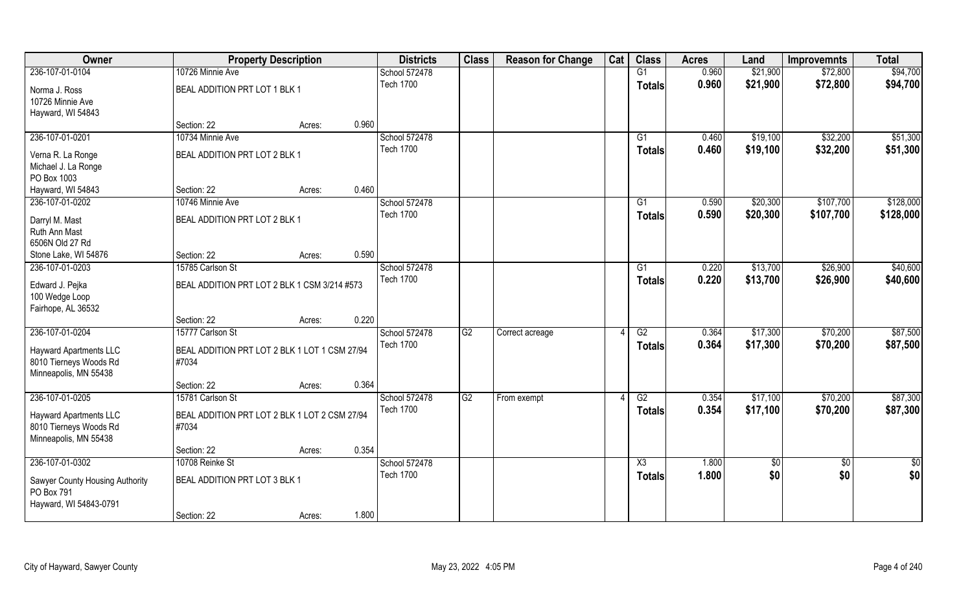| Owner                                                                            | <b>Property Description</b>                            |                 | <b>Districts</b> | <b>Class</b> | <b>Reason for Change</b> | Cat | <b>Class</b>           | <b>Acres</b> | Land       | <b>Improvemnts</b> | <b>Total</b>  |
|----------------------------------------------------------------------------------|--------------------------------------------------------|-----------------|------------------|--------------|--------------------------|-----|------------------------|--------------|------------|--------------------|---------------|
| 236-107-01-0104                                                                  | 10726 Minnie Ave                                       |                 | School 572478    |              |                          |     | G1                     | 0.960        | \$21,900   | \$72,800           | \$94,700      |
| Norma J. Ross<br>10726 Minnie Ave                                                | BEAL ADDITION PRT LOT 1 BLK 1                          |                 | <b>Tech 1700</b> |              |                          |     | <b>Totals</b>          | 0.960        | \$21,900   | \$72,800           | \$94,700      |
| Hayward, WI 54843                                                                |                                                        |                 |                  |              |                          |     |                        |              |            |                    |               |
|                                                                                  | Section: 22                                            | 0.960<br>Acres: |                  |              |                          |     |                        |              |            |                    |               |
| 236-107-01-0201                                                                  | 10734 Minnie Ave                                       |                 | School 572478    |              |                          |     | G1                     | 0.460        | \$19,100   | \$32,200           | \$51,300      |
| Verna R. La Ronge                                                                | BEAL ADDITION PRT LOT 2 BLK 1                          |                 | <b>Tech 1700</b> |              |                          |     | Totals                 | 0.460        | \$19,100   | \$32,200           | \$51,300      |
| Michael J. La Ronge                                                              |                                                        |                 |                  |              |                          |     |                        |              |            |                    |               |
| PO Box 1003                                                                      |                                                        |                 |                  |              |                          |     |                        |              |            |                    |               |
| Hayward, WI 54843                                                                | Section: 22                                            | 0.460<br>Acres: |                  |              |                          |     |                        |              |            |                    |               |
| 236-107-01-0202                                                                  | 10746 Minnie Ave                                       |                 | School 572478    |              |                          |     | G1                     | 0.590        | \$20,300   | \$107,700          | \$128,000     |
| Darryl M. Mast                                                                   | BEAL ADDITION PRT LOT 2 BLK 1                          |                 | <b>Tech 1700</b> |              |                          |     | <b>Totals</b>          | 0.590        | \$20,300   | \$107,700          | \$128,000     |
| Ruth Ann Mast                                                                    |                                                        |                 |                  |              |                          |     |                        |              |            |                    |               |
| 6506N Old 27 Rd                                                                  |                                                        |                 |                  |              |                          |     |                        |              |            |                    |               |
| Stone Lake, WI 54876                                                             | Section: 22                                            | 0.590<br>Acres: |                  |              |                          |     |                        |              |            |                    |               |
| 236-107-01-0203                                                                  | 15785 Carlson St                                       |                 | School 572478    |              |                          |     | G1                     | 0.220        | \$13,700   | \$26,900           | \$40,600      |
| Edward J. Pejka<br>100 Wedge Loop<br>Fairhope, AL 36532                          | BEAL ADDITION PRT LOT 2 BLK 1 CSM 3/214 #573           |                 | <b>Tech 1700</b> |              |                          |     | Totals                 | 0.220        | \$13,700   | \$26,900           | \$40,600      |
|                                                                                  | Section: 22                                            | 0.220<br>Acres: |                  |              |                          |     |                        |              |            |                    |               |
| 236-107-01-0204                                                                  | 15777 Carlson St                                       |                 | School 572478    | G2           | Correct acreage          |     | $\overline{G2}$        | 0.364        | \$17,300   | \$70,200           | \$87,500      |
|                                                                                  |                                                        |                 | <b>Tech 1700</b> |              |                          |     | <b>Totals</b>          | 0.364        | \$17,300   | \$70,200           | \$87,500      |
| <b>Hayward Apartments LLC</b><br>8010 Tierneys Woods Rd<br>Minneapolis, MN 55438 | BEAL ADDITION PRT LOT 2 BLK 1 LOT 1 CSM 27/94<br>#7034 |                 |                  |              |                          |     |                        |              |            |                    |               |
|                                                                                  | Section: 22                                            | 0.364<br>Acres: |                  |              |                          |     |                        |              |            |                    |               |
| 236-107-01-0205                                                                  | 15781 Carlson St                                       |                 | School 572478    | G2           | From exempt              |     | G2                     | 0.354        | \$17,100   | \$70,200           | \$87,300      |
| <b>Hayward Apartments LLC</b><br>8010 Tierneys Woods Rd<br>Minneapolis, MN 55438 | BEAL ADDITION PRT LOT 2 BLK 1 LOT 2 CSM 27/94<br>#7034 |                 | <b>Tech 1700</b> |              |                          |     | <b>Totals</b>          | 0.354        | \$17,100   | \$70,200           | \$87,300      |
|                                                                                  | Section: 22                                            | 0.354<br>Acres: |                  |              |                          |     |                        |              |            |                    |               |
| 236-107-01-0302                                                                  | 10708 Reinke St                                        |                 | School 572478    |              |                          |     | $\overline{\text{X3}}$ | 1.800        | $\sqrt{6}$ | $\overline{50}$    | $\frac{1}{2}$ |
| Sawyer County Housing Authority<br>PO Box 791                                    | BEAL ADDITION PRT LOT 3 BLK 1                          |                 | <b>Tech 1700</b> |              |                          |     | Totals                 | 1.800        | \$0        | \$0                | \$0           |
| Hayward, WI 54843-0791                                                           | Section: 22                                            | 1.800<br>Acres: |                  |              |                          |     |                        |              |            |                    |               |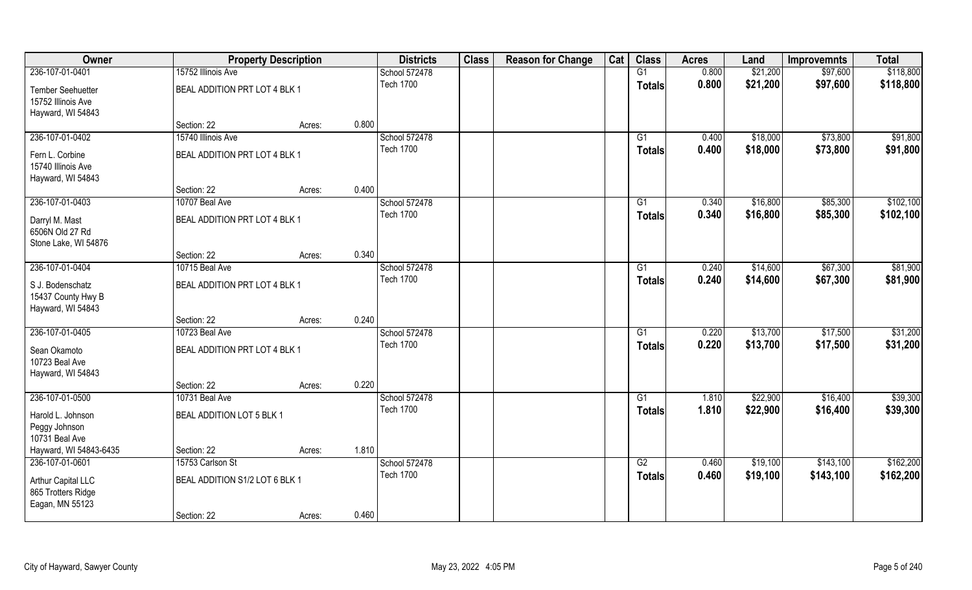| Owner                                   | <b>Property Description</b>    |        |       | <b>Districts</b> | <b>Class</b> | <b>Reason for Change</b> | Cat | <b>Class</b>    | <b>Acres</b> | Land     | <b>Improvemnts</b> | <b>Total</b> |
|-----------------------------------------|--------------------------------|--------|-------|------------------|--------------|--------------------------|-----|-----------------|--------------|----------|--------------------|--------------|
| 236-107-01-0401                         | 15752 Illinois Ave             |        |       | School 572478    |              |                          |     | G1              | 0.800        | \$21,200 | \$97,600           | \$118,800    |
| Tember Seehuetter                       | BEAL ADDITION PRT LOT 4 BLK 1  |        |       | <b>Tech 1700</b> |              |                          |     | <b>Totals</b>   | 0.800        | \$21,200 | \$97,600           | \$118,800    |
| 15752 Illinois Ave                      |                                |        |       |                  |              |                          |     |                 |              |          |                    |              |
| Hayward, WI 54843                       |                                |        |       |                  |              |                          |     |                 |              |          |                    |              |
|                                         | Section: 22                    | Acres: | 0.800 |                  |              |                          |     |                 |              |          |                    |              |
| 236-107-01-0402                         | 15740 Illinois Ave             |        |       | School 572478    |              |                          |     | G1              | 0.400        | \$18,000 | \$73,800           | \$91,800     |
| Fern L. Corbine                         | BEAL ADDITION PRT LOT 4 BLK 1  |        |       | <b>Tech 1700</b> |              |                          |     | Totals          | 0.400        | \$18,000 | \$73,800           | \$91,800     |
| 15740 Illinois Ave                      |                                |        |       |                  |              |                          |     |                 |              |          |                    |              |
| Hayward, WI 54843                       |                                |        |       |                  |              |                          |     |                 |              |          |                    |              |
|                                         | Section: 22                    | Acres: | 0.400 |                  |              |                          |     |                 |              |          |                    |              |
| 236-107-01-0403                         | 10707 Beal Ave                 |        |       | School 572478    |              |                          |     | G1              | 0.340        | \$16,800 | \$85,300           | \$102,100    |
| Darryl M. Mast                          | BEAL ADDITION PRT LOT 4 BLK 1  |        |       | <b>Tech 1700</b> |              |                          |     | <b>Totals</b>   | 0.340        | \$16,800 | \$85,300           | \$102,100    |
| 6506N Old 27 Rd                         |                                |        |       |                  |              |                          |     |                 |              |          |                    |              |
| Stone Lake, WI 54876                    |                                |        |       |                  |              |                          |     |                 |              |          |                    |              |
|                                         | Section: 22                    | Acres: | 0.340 |                  |              |                          |     |                 |              |          |                    |              |
| 236-107-01-0404                         | 10715 Beal Ave                 |        |       | School 572478    |              |                          |     | G1              | 0.240        | \$14,600 | \$67,300           | \$81,900     |
|                                         |                                |        |       | <b>Tech 1700</b> |              |                          |     | <b>Totals</b>   | 0.240        | \$14,600 | \$67,300           | \$81,900     |
| S J. Bodenschatz                        | BEAL ADDITION PRT LOT 4 BLK 1  |        |       |                  |              |                          |     |                 |              |          |                    |              |
| 15437 County Hwy B<br>Hayward, WI 54843 |                                |        |       |                  |              |                          |     |                 |              |          |                    |              |
|                                         | Section: 22                    | Acres: | 0.240 |                  |              |                          |     |                 |              |          |                    |              |
| 236-107-01-0405                         | 10723 Beal Ave                 |        |       | School 572478    |              |                          |     | $\overline{G1}$ | 0.220        | \$13,700 | \$17,500           | \$31,200     |
|                                         |                                |        |       | <b>Tech 1700</b> |              |                          |     |                 | 0.220        | \$13,700 | \$17,500           | \$31,200     |
| Sean Okamoto                            | BEAL ADDITION PRT LOT 4 BLK 1  |        |       |                  |              |                          |     | <b>Totals</b>   |              |          |                    |              |
| 10723 Beal Ave                          |                                |        |       |                  |              |                          |     |                 |              |          |                    |              |
| Hayward, WI 54843                       |                                |        |       |                  |              |                          |     |                 |              |          |                    |              |
|                                         | Section: 22                    | Acres: | 0.220 |                  |              |                          |     |                 |              |          |                    |              |
| 236-107-01-0500                         | 10731 Beal Ave                 |        |       | School 572478    |              |                          |     | G1              | 1.810        | \$22,900 | \$16,400           | \$39,300     |
| Harold L. Johnson                       | BEAL ADDITION LOT 5 BLK 1      |        |       | <b>Tech 1700</b> |              |                          |     | <b>Totals</b>   | 1.810        | \$22,900 | \$16,400           | \$39,300     |
| Peggy Johnson                           |                                |        |       |                  |              |                          |     |                 |              |          |                    |              |
| 10731 Beal Ave                          |                                |        |       |                  |              |                          |     |                 |              |          |                    |              |
| Hayward, WI 54843-6435                  | Section: 22                    | Acres: | 1.810 |                  |              |                          |     |                 |              |          |                    |              |
| 236-107-01-0601                         | 15753 Carlson St               |        |       | School 572478    |              |                          |     | G2              | 0.460        | \$19,100 | \$143,100          | \$162,200    |
| <b>Arthur Capital LLC</b>               | BEAL ADDITION S1/2 LOT 6 BLK 1 |        |       | <b>Tech 1700</b> |              |                          |     | <b>Totals</b>   | 0.460        | \$19,100 | \$143,100          | \$162,200    |
| 865 Trotters Ridge                      |                                |        |       |                  |              |                          |     |                 |              |          |                    |              |
| Eagan, MN 55123                         |                                |        |       |                  |              |                          |     |                 |              |          |                    |              |
|                                         | Section: 22                    | Acres: | 0.460 |                  |              |                          |     |                 |              |          |                    |              |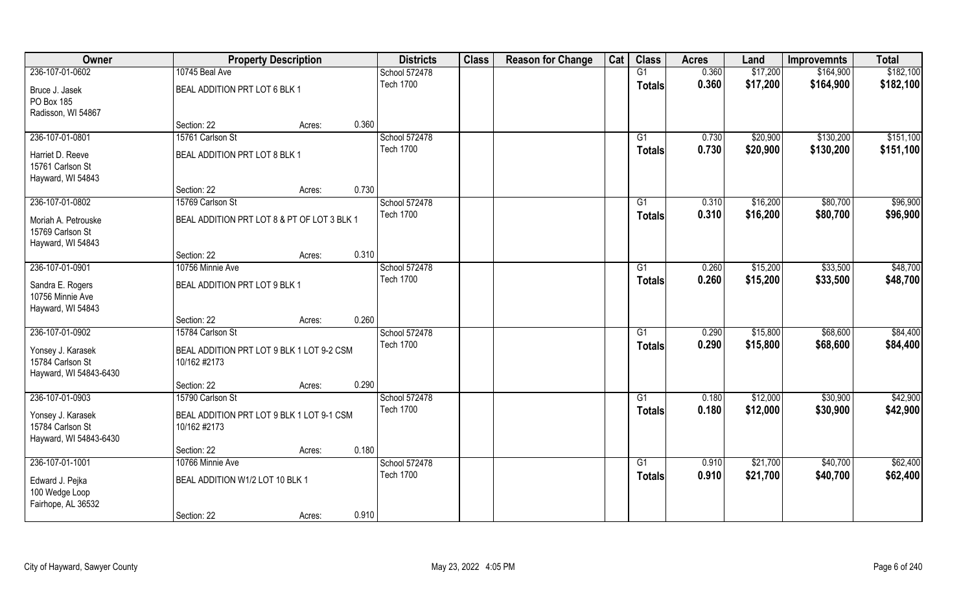| Owner                                                           |                                                           | <b>Property Description</b> |       | <b>Districts</b> | <b>Class</b> | <b>Reason for Change</b> | Cat | <b>Class</b>    | <b>Acres</b> | Land     | <b>Improvemnts</b> | <b>Total</b> |
|-----------------------------------------------------------------|-----------------------------------------------------------|-----------------------------|-------|------------------|--------------|--------------------------|-----|-----------------|--------------|----------|--------------------|--------------|
| 236-107-01-0602                                                 | 10745 Beal Ave                                            |                             |       | School 572478    |              |                          |     | G1              | 0.360        | \$17,200 | \$164,900          | \$182,100    |
| Bruce J. Jasek<br>PO Box 185                                    | BEAL ADDITION PRT LOT 6 BLK 1                             |                             |       | <b>Tech 1700</b> |              |                          |     | <b>Totals</b>   | 0.360        | \$17,200 | \$164,900          | \$182,100    |
| Radisson, WI 54867                                              |                                                           |                             |       |                  |              |                          |     |                 |              |          |                    |              |
|                                                                 | Section: 22                                               | Acres:                      | 0.360 |                  |              |                          |     |                 |              |          |                    |              |
| 236-107-01-0801                                                 | 15761 Carlson St                                          |                             |       | School 572478    |              |                          |     | G1              | 0.730        | \$20,900 | \$130,200          | \$151,100    |
| Harriet D. Reeve                                                | BEAL ADDITION PRT LOT 8 BLK 1                             |                             |       | <b>Tech 1700</b> |              |                          |     | Totals          | 0.730        | \$20,900 | \$130,200          | \$151,100    |
| 15761 Carlson St                                                |                                                           |                             |       |                  |              |                          |     |                 |              |          |                    |              |
| Hayward, WI 54843                                               |                                                           |                             |       |                  |              |                          |     |                 |              |          |                    |              |
|                                                                 | Section: 22                                               | Acres:                      | 0.730 |                  |              |                          |     |                 |              |          |                    |              |
| 236-107-01-0802                                                 | 15769 Carlson St                                          |                             |       | School 572478    |              |                          |     | G1              | 0.310        | \$16,200 | \$80,700           | \$96,900     |
| Moriah A. Petrouske<br>15769 Carlson St<br>Hayward, WI 54843    | BEAL ADDITION PRT LOT 8 & PT OF LOT 3 BLK 1               |                             |       | <b>Tech 1700</b> |              |                          |     | <b>Totals</b>   | 0.310        | \$16,200 | \$80,700           | \$96,900     |
|                                                                 | Section: 22                                               | Acres:                      | 0.310 |                  |              |                          |     |                 |              |          |                    |              |
| 236-107-01-0901                                                 | 10756 Minnie Ave                                          |                             |       | School 572478    |              |                          |     | G1              | 0.260        | \$15,200 | \$33,500           | \$48,700     |
|                                                                 |                                                           |                             |       | <b>Tech 1700</b> |              |                          |     |                 | 0.260        | \$15,200 | \$33,500           | \$48,700     |
| Sandra E. Rogers<br>10756 Minnie Ave<br>Hayward, WI 54843       | BEAL ADDITION PRT LOT 9 BLK 1                             |                             |       |                  |              |                          |     | Totals          |              |          |                    |              |
|                                                                 | Section: 22                                               | Acres:                      | 0.260 |                  |              |                          |     |                 |              |          |                    |              |
| 236-107-01-0902                                                 | 15784 Carlson St                                          |                             |       | School 572478    |              |                          |     | $\overline{G1}$ | 0.290        | \$15,800 | \$68,600           | \$84,400     |
| Yonsey J. Karasek<br>15784 Carlson St<br>Hayward, WI 54843-6430 | BEAL ADDITION PRT LOT 9 BLK 1 LOT 9-2 CSM<br>10/162 #2173 |                             |       | <b>Tech 1700</b> |              |                          |     | <b>Totals</b>   | 0.290        | \$15,800 | \$68,600           | \$84,400     |
|                                                                 | Section: 22                                               | Acres:                      | 0.290 |                  |              |                          |     |                 |              |          |                    |              |
| 236-107-01-0903                                                 | 15790 Carlson St                                          |                             |       | School 572478    |              |                          |     | G1              | 0.180        | \$12,000 | \$30,900           | \$42,900     |
| Yonsey J. Karasek<br>15784 Carlson St<br>Hayward, WI 54843-6430 | BEAL ADDITION PRT LOT 9 BLK 1 LOT 9-1 CSM<br>10/162 #2173 |                             |       | <b>Tech 1700</b> |              |                          |     | <b>Totals</b>   | 0.180        | \$12,000 | \$30,900           | \$42,900     |
|                                                                 | Section: 22                                               | Acres:                      | 0.180 |                  |              |                          |     |                 |              |          |                    |              |
| 236-107-01-1001                                                 | 10766 Minnie Ave                                          |                             |       | School 572478    |              |                          |     | $\overline{G1}$ | 0.910        | \$21,700 | \$40,700           | \$62,400     |
| Edward J. Pejka<br>100 Wedge Loop<br>Fairhope, AL 36532         | BEAL ADDITION W1/2 LOT 10 BLK 1                           |                             |       | <b>Tech 1700</b> |              |                          |     | <b>Totals</b>   | 0.910        | \$21,700 | \$40,700           | \$62,400     |
|                                                                 | Section: 22                                               | Acres:                      | 0.910 |                  |              |                          |     |                 |              |          |                    |              |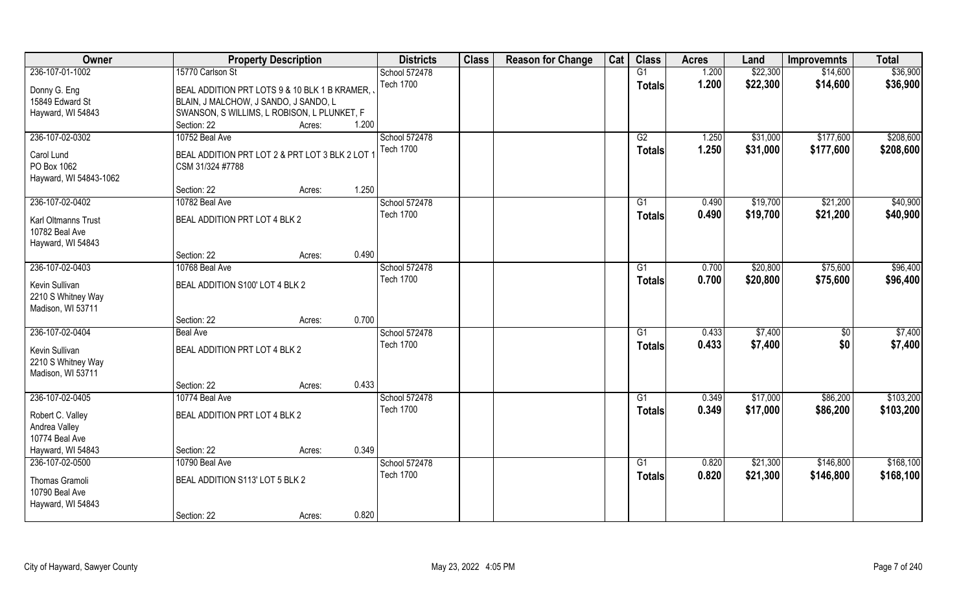| Owner                                 |                                               | <b>Property Description</b> |       | <b>Districts</b> | <b>Class</b> | <b>Reason for Change</b> | Cat | <b>Class</b>    | <b>Acres</b> | Land     | <b>Improvemnts</b> | <b>Total</b> |
|---------------------------------------|-----------------------------------------------|-----------------------------|-------|------------------|--------------|--------------------------|-----|-----------------|--------------|----------|--------------------|--------------|
| 236-107-01-1002                       | 15770 Carlson St                              |                             |       | School 572478    |              |                          |     | G1              | 1.200        | \$22,300 | \$14,600           | \$36,900     |
| Donny G. Eng                          | BEAL ADDITION PRT LOTS 9 & 10 BLK 1 B KRAMER, |                             |       | <b>Tech 1700</b> |              |                          |     | <b>Totals</b>   | 1.200        | \$22,300 | \$14,600           | \$36,900     |
| 15849 Edward St                       | BLAIN, J MALCHOW, J SANDO, J SANDO, L         |                             |       |                  |              |                          |     |                 |              |          |                    |              |
| Hayward, WI 54843                     | SWANSON, SWILLIMS, L ROBISON, L PLUNKET, F    |                             |       |                  |              |                          |     |                 |              |          |                    |              |
|                                       | Section: 22                                   | Acres:                      | 1.200 |                  |              |                          |     |                 |              |          |                    |              |
| 236-107-02-0302                       | 10752 Beal Ave                                |                             |       | School 572478    |              |                          |     | G2              | 1.250        | \$31,000 | \$177,600          | \$208,600    |
| Carol Lund                            | BEAL ADDITION PRT LOT 2 & PRT LOT 3 BLK 2 LOT |                             |       | <b>Tech 1700</b> |              |                          |     | <b>Totals</b>   | 1.250        | \$31,000 | \$177,600          | \$208,600    |
| PO Box 1062                           | CSM 31/324 #7788                              |                             |       |                  |              |                          |     |                 |              |          |                    |              |
| Hayward, WI 54843-1062                |                                               |                             |       |                  |              |                          |     |                 |              |          |                    |              |
|                                       | Section: 22                                   | Acres:                      | 1.250 |                  |              |                          |     |                 |              |          |                    |              |
| 236-107-02-0402                       | 10782 Beal Ave                                |                             |       | School 572478    |              |                          |     | G1              | 0.490        | \$19,700 | \$21,200           | \$40,900     |
|                                       | BEAL ADDITION PRT LOT 4 BLK 2                 |                             |       | <b>Tech 1700</b> |              |                          |     | <b>Totals</b>   | 0.490        | \$19,700 | \$21,200           | \$40,900     |
| Karl Oltmanns Trust<br>10782 Beal Ave |                                               |                             |       |                  |              |                          |     |                 |              |          |                    |              |
| Hayward, WI 54843                     |                                               |                             |       |                  |              |                          |     |                 |              |          |                    |              |
|                                       | Section: 22                                   | Acres:                      | 0.490 |                  |              |                          |     |                 |              |          |                    |              |
| 236-107-02-0403                       | 10768 Beal Ave                                |                             |       | School 572478    |              |                          |     | G1              | 0.700        | \$20,800 | \$75,600           | \$96,400     |
|                                       |                                               |                             |       | <b>Tech 1700</b> |              |                          |     | <b>Totals</b>   | 0.700        | \$20,800 | \$75,600           | \$96,400     |
| Kevin Sullivan                        | BEAL ADDITION S100' LOT 4 BLK 2               |                             |       |                  |              |                          |     |                 |              |          |                    |              |
| 2210 S Whitney Way                    |                                               |                             |       |                  |              |                          |     |                 |              |          |                    |              |
| Madison, WI 53711                     | Section: 22                                   |                             | 0.700 |                  |              |                          |     |                 |              |          |                    |              |
| 236-107-02-0404                       | <b>Beal Ave</b>                               | Acres:                      |       | School 572478    |              |                          |     | G1              | 0.433        | \$7,400  | \$0                | \$7,400      |
|                                       |                                               |                             |       | <b>Tech 1700</b> |              |                          |     |                 | 0.433        | \$7,400  | \$0                |              |
| Kevin Sullivan                        | BEAL ADDITION PRT LOT 4 BLK 2                 |                             |       |                  |              |                          |     | <b>Totals</b>   |              |          |                    | \$7,400      |
| 2210 S Whitney Way                    |                                               |                             |       |                  |              |                          |     |                 |              |          |                    |              |
| Madison, WI 53711                     |                                               |                             |       |                  |              |                          |     |                 |              |          |                    |              |
|                                       | Section: 22                                   | Acres:                      | 0.433 |                  |              |                          |     |                 |              |          |                    |              |
| 236-107-02-0405                       | 10774 Beal Ave                                |                             |       | School 572478    |              |                          |     | G1              | 0.349        | \$17,000 | \$86,200           | \$103,200    |
| Robert C. Valley                      | BEAL ADDITION PRT LOT 4 BLK 2                 |                             |       | <b>Tech 1700</b> |              |                          |     | <b>Totals</b>   | 0.349        | \$17,000 | \$86,200           | \$103,200    |
| Andrea Valley                         |                                               |                             |       |                  |              |                          |     |                 |              |          |                    |              |
| 10774 Beal Ave                        |                                               |                             |       |                  |              |                          |     |                 |              |          |                    |              |
| Hayward, WI 54843                     | Section: 22                                   | Acres:                      | 0.349 |                  |              |                          |     |                 |              |          |                    |              |
| 236-107-02-0500                       | 10790 Beal Ave                                |                             |       | School 572478    |              |                          |     | $\overline{G1}$ | 0.820        | \$21,300 | \$146,800          | \$168,100    |
| Thomas Gramoli                        | BEAL ADDITION S113' LOT 5 BLK 2               |                             |       | <b>Tech 1700</b> |              |                          |     | <b>Totals</b>   | 0.820        | \$21,300 | \$146,800          | \$168,100    |
| 10790 Beal Ave                        |                                               |                             |       |                  |              |                          |     |                 |              |          |                    |              |
| Hayward, WI 54843                     |                                               |                             |       |                  |              |                          |     |                 |              |          |                    |              |
|                                       | Section: 22                                   | Acres:                      | 0.820 |                  |              |                          |     |                 |              |          |                    |              |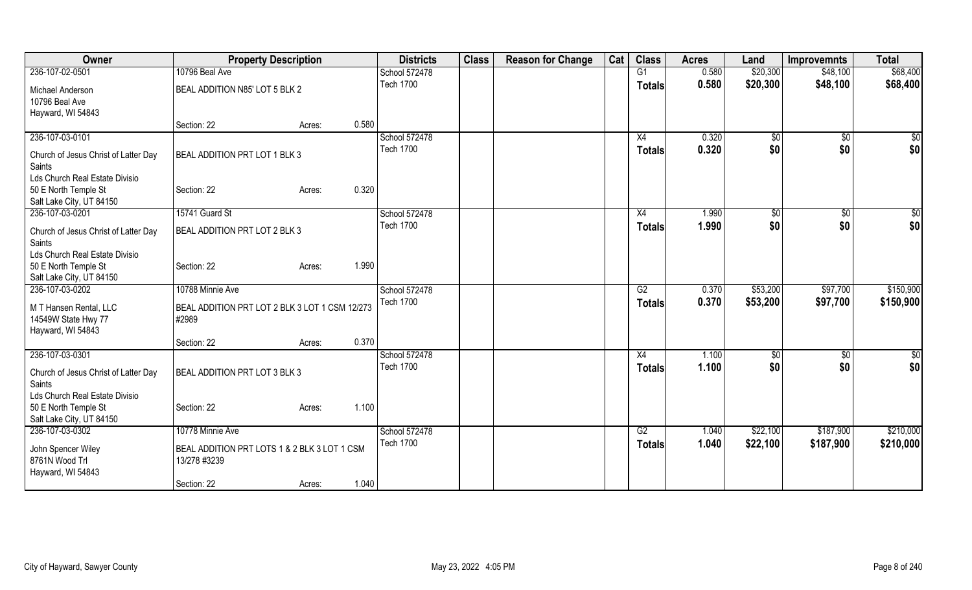| Owner                                                                              | <b>Property Description</b>                                                                               |       | <b>Districts</b>                  | <b>Class</b> | <b>Reason for Change</b> | Cat | <b>Class</b>        | <b>Acres</b>   | Land                 | <b>Improvemnts</b>     | <b>Total</b>           |
|------------------------------------------------------------------------------------|-----------------------------------------------------------------------------------------------------------|-------|-----------------------------------|--------------|--------------------------|-----|---------------------|----------------|----------------------|------------------------|------------------------|
| 236-107-02-0501                                                                    | 10796 Beal Ave                                                                                            |       | School 572478                     |              |                          |     | G1                  | 0.580          | \$20,300             | \$48,100               | \$68,400               |
| Michael Anderson<br>10796 Beal Ave                                                 | BEAL ADDITION N85' LOT 5 BLK 2                                                                            |       | <b>Tech 1700</b>                  |              |                          |     | Totals              | 0.580          | \$20,300             | \$48,100               | \$68,400               |
| Hayward, WI 54843                                                                  |                                                                                                           |       |                                   |              |                          |     |                     |                |                      |                        |                        |
|                                                                                    | Section: 22<br>Acres:                                                                                     | 0.580 |                                   |              |                          |     |                     |                |                      |                        |                        |
| 236-107-03-0101<br>Church of Jesus Christ of Latter Day<br>Saints                  | BEAL ADDITION PRT LOT 1 BLK 3                                                                             |       | School 572478<br><b>Tech 1700</b> |              |                          |     | X4<br><b>Totals</b> | 0.320<br>0.320 | \$0<br>\$0           | $\frac{1}{2}$<br>\$0   | \$0<br>\$0             |
| Lds Church Real Estate Divisio<br>50 E North Temple St<br>Salt Lake City, UT 84150 | Section: 22<br>Acres:                                                                                     | 0.320 |                                   |              |                          |     |                     |                |                      |                        |                        |
| 236-107-03-0201                                                                    | 15741 Guard St                                                                                            |       | School 572478                     |              |                          |     | X4                  | 1.990          | \$0                  | $\sqrt[6]{}$           | \$0                    |
| Church of Jesus Christ of Latter Day<br>Saints<br>Lds Church Real Estate Divisio   | BEAL ADDITION PRT LOT 2 BLK 3                                                                             |       | <b>Tech 1700</b>                  |              |                          |     | <b>Totals</b>       | 1.990          | \$0                  | \$0                    | \$0                    |
| 50 E North Temple St<br>Salt Lake City, UT 84150                                   | Section: 22<br>Acres:                                                                                     | 1.990 |                                   |              |                          |     |                     |                |                      |                        |                        |
| 236-107-03-0202                                                                    | 10788 Minnie Ave                                                                                          |       | School 572478                     |              |                          |     | G2                  | 0.370          | \$53,200             | \$97,700               | \$150,900              |
| M T Hansen Rental, LLC<br>14549W State Hwy 77<br>Hayward, WI 54843                 | BEAL ADDITION PRT LOT 2 BLK 3 LOT 1 CSM 12/273<br>#2989                                                   |       | <b>Tech 1700</b>                  |              |                          |     | <b>Totals</b>       | 0.370          | \$53,200             | \$97,700               | \$150,900              |
|                                                                                    | Section: 22<br>Acres:                                                                                     | 0.370 |                                   |              |                          |     |                     |                |                      |                        |                        |
| 236-107-03-0301<br>Church of Jesus Christ of Latter Day<br>Saints                  | BEAL ADDITION PRT LOT 3 BLK 3                                                                             |       | School 572478<br><b>Tech 1700</b> |              |                          |     | X4<br><b>Totals</b> | 1.100<br>1.100 | \$0<br>\$0           | \$0<br>\$0             | $\sqrt{50}$<br>\$0     |
| Lds Church Real Estate Divisio<br>50 E North Temple St<br>Salt Lake City, UT 84150 | Section: 22<br>Acres:                                                                                     | 1.100 |                                   |              |                          |     |                     |                |                      |                        |                        |
| 236-107-03-0302<br>John Spencer Wiley<br>8761N Wood Trl<br>Hayward, WI 54843       | 10778 Minnie Ave<br>BEAL ADDITION PRT LOTS 1 & 2 BLK 3 LOT 1 CSM<br>13/278 #3239<br>Section: 22<br>Acres: | 1.040 | School 572478<br><b>Tech 1700</b> |              |                          |     | G2<br><b>Totals</b> | 1.040<br>1.040 | \$22,100<br>\$22,100 | \$187,900<br>\$187,900 | \$210,000<br>\$210,000 |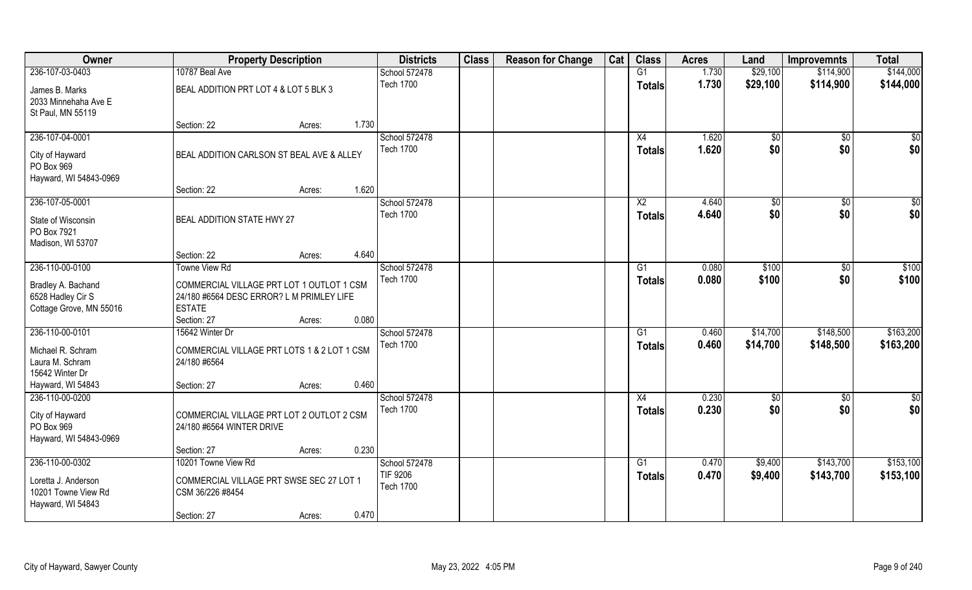| Owner                                                                              |                                                                                                                        | <b>Property Description</b> |       | <b>Districts</b>                              | <b>Class</b> | <b>Reason for Change</b> | Cat | <b>Class</b>                     | <b>Acres</b>   | Land               | <b>Improvemnts</b>     | <b>Total</b>           |
|------------------------------------------------------------------------------------|------------------------------------------------------------------------------------------------------------------------|-----------------------------|-------|-----------------------------------------------|--------------|--------------------------|-----|----------------------------------|----------------|--------------------|------------------------|------------------------|
| 236-107-03-0403                                                                    | 10787 Beal Ave                                                                                                         |                             |       | School 572478                                 |              |                          |     | G1                               | 1.730          | \$29,100           | \$114,900              | \$144,000              |
| James B. Marks<br>2033 Minnehaha Ave E<br>St Paul, MN 55119                        | BEAL ADDITION PRT LOT 4 & LOT 5 BLK 3                                                                                  |                             |       | <b>Tech 1700</b>                              |              |                          |     | <b>Totals</b>                    | 1.730          | \$29,100           | \$114,900              | \$144,000              |
|                                                                                    | Section: 22                                                                                                            | Acres:                      | 1.730 |                                               |              |                          |     |                                  |                |                    |                        |                        |
| 236-107-04-0001<br>City of Hayward<br>PO Box 969<br>Hayward, WI 54843-0969         | BEAL ADDITION CARLSON ST BEAL AVE & ALLEY                                                                              |                             |       | School 572478<br><b>Tech 1700</b>             |              |                          |     | X4<br><b>Totals</b>              | 1.620<br>1.620 | \$0<br>\$0         | $\sqrt{$0}$<br>\$0     | \$0<br>\$0             |
|                                                                                    | Section: 22                                                                                                            | Acres:                      | 1.620 |                                               |              |                          |     |                                  |                |                    |                        |                        |
| 236-107-05-0001<br>State of Wisconsin<br>PO Box 7921<br>Madison, WI 53707          | <b>BEAL ADDITION STATE HWY 27</b>                                                                                      |                             |       | School 572478<br><b>Tech 1700</b>             |              |                          |     | $\overline{X2}$<br><b>Totals</b> | 4.640<br>4.640 | \$0<br>\$0         | \$0<br>\$0             | $\sqrt{50}$<br>\$0     |
|                                                                                    | Section: 22                                                                                                            | Acres:                      | 4.640 |                                               |              |                          |     |                                  |                |                    |                        |                        |
| 236-110-00-0100                                                                    | <b>Towne View Rd</b>                                                                                                   |                             |       | School 572478                                 |              |                          |     | G1                               | 0.080          | \$100              | $\sqrt[6]{3}$          | \$100                  |
| Bradley A. Bachand<br>6528 Hadley Cir S<br>Cottage Grove, MN 55016                 | COMMERCIAL VILLAGE PRT LOT 1 OUTLOT 1 CSM<br>24/180 #6564 DESC ERROR? L M PRIMLEY LIFE<br><b>ESTATE</b><br>Section: 27 | Acres:                      | 0.080 | <b>Tech 1700</b>                              |              |                          |     | <b>Totals</b>                    | 0.080          | \$100              | \$0                    | \$100                  |
| 236-110-00-0101                                                                    | 15642 Winter Dr                                                                                                        |                             |       | School 572478                                 |              |                          |     | $\overline{G1}$                  | 0.460          | \$14,700           | \$148,500              | \$163,200              |
| Michael R. Schram<br>Laura M. Schram<br>15642 Winter Dr<br>Hayward, WI 54843       | COMMERCIAL VILLAGE PRT LOTS 1 & 2 LOT 1 CSM<br>24/180 #6564<br>Section: 27                                             | Acres:                      | 0.460 | <b>Tech 1700</b>                              |              |                          |     | <b>Totals</b>                    | 0.460          | \$14,700           | \$148,500              | \$163,200              |
| 236-110-00-0200                                                                    |                                                                                                                        |                             |       | School 572478                                 |              |                          |     | X4                               | 0.230          | \$0                | \$0                    | \$0                    |
| City of Hayward<br>PO Box 969<br>Hayward, WI 54843-0969                            | COMMERCIAL VILLAGE PRT LOT 2 OUTLOT 2 CSM<br>24/180 #6564 WINTER DRIVE                                                 |                             |       | <b>Tech 1700</b>                              |              |                          |     | <b>Totals</b>                    | 0.230          | \$0                | \$0                    | \$0                    |
|                                                                                    | Section: 27                                                                                                            | Acres:                      | 0.230 |                                               |              |                          |     |                                  |                |                    |                        |                        |
| 236-110-00-0302<br>Loretta J. Anderson<br>10201 Towne View Rd<br>Hayward, WI 54843 | 10201 Towne View Rd<br>COMMERCIAL VILLAGE PRT SWSE SEC 27 LOT 1<br>CSM 36/226 #8454<br>Section: 27                     | Acres:                      | 0.470 | School 572478<br>TIF 9206<br><b>Tech 1700</b> |              |                          |     | $\overline{G1}$<br><b>Totals</b> | 0.470<br>0.470 | \$9,400<br>\$9,400 | \$143,700<br>\$143,700 | \$153,100<br>\$153,100 |
|                                                                                    |                                                                                                                        |                             |       |                                               |              |                          |     |                                  |                |                    |                        |                        |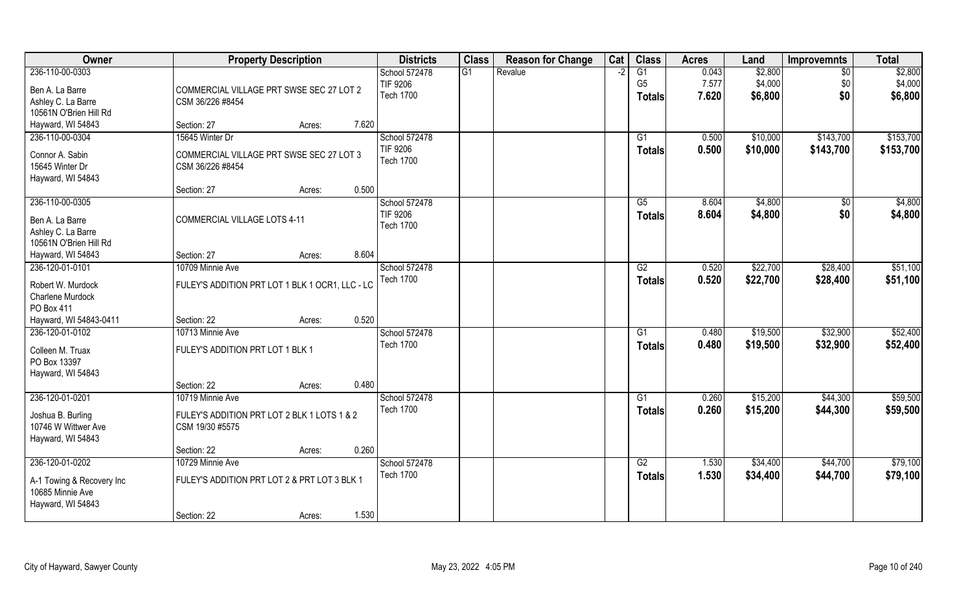| Owner                                         | <b>Property Description</b>                     | <b>Districts</b> | <b>Class</b> | <b>Reason for Change</b> | Cat | <b>Class</b>    | <b>Acres</b> | Land     | <b>Improvemnts</b> | <b>Total</b> |
|-----------------------------------------------|-------------------------------------------------|------------------|--------------|--------------------------|-----|-----------------|--------------|----------|--------------------|--------------|
| 236-110-00-0303                               |                                                 | School 572478    | G1           | Revalue                  |     | G1              | 0.043        | \$2,800  | $\sqrt{6}$         | \$2,800      |
| Ben A. La Barre                               | COMMERCIAL VILLAGE PRT SWSE SEC 27 LOT 2        | TIF 9206         |              |                          |     | G <sub>5</sub>  | 7.577        | \$4,000  | \$0                | \$4,000      |
| Ashley C. La Barre                            | CSM 36/226 #8454                                | <b>Tech 1700</b> |              |                          |     | <b>Totals</b>   | 7.620        | \$6,800  | \$0                | \$6,800      |
| 10561N O'Brien Hill Rd                        |                                                 |                  |              |                          |     |                 |              |          |                    |              |
| Hayward, WI 54843                             | 7.620<br>Section: 27<br>Acres:                  |                  |              |                          |     |                 |              |          |                    |              |
| 236-110-00-0304                               | 15645 Winter Dr                                 | School 572478    |              |                          |     | G1              | 0.500        | \$10,000 | \$143,700          | \$153,700    |
|                                               |                                                 | TIF 9206         |              |                          |     |                 | 0.500        | \$10,000 | \$143,700          | \$153,700    |
| Connor A. Sabin                               | COMMERCIAL VILLAGE PRT SWSE SEC 27 LOT 3        | <b>Tech 1700</b> |              |                          |     | Totals          |              |          |                    |              |
| 15645 Winter Dr                               | CSM 36/226 #8454                                |                  |              |                          |     |                 |              |          |                    |              |
| Hayward, WI 54843                             |                                                 |                  |              |                          |     |                 |              |          |                    |              |
|                                               | 0.500<br>Section: 27<br>Acres:                  |                  |              |                          |     |                 |              |          |                    |              |
| 236-110-00-0305                               |                                                 | School 572478    |              |                          |     | G5              | 8.604        | \$4,800  | \$0                | \$4,800      |
| Ben A. La Barre                               | COMMERCIAL VILLAGE LOTS 4-11                    | TIF 9206         |              |                          |     | <b>Totals</b>   | 8.604        | \$4,800  | \$0                | \$4,800      |
| Ashley C. La Barre                            |                                                 | <b>Tech 1700</b> |              |                          |     |                 |              |          |                    |              |
| 10561N O'Brien Hill Rd                        |                                                 |                  |              |                          |     |                 |              |          |                    |              |
| Hayward, WI 54843                             | 8.604<br>Section: 27<br>Acres:                  |                  |              |                          |     |                 |              |          |                    |              |
| 236-120-01-0101                               | 10709 Minnie Ave                                |                  |              |                          |     |                 |              | \$22,700 |                    | \$51,100     |
|                                               |                                                 | School 572478    |              |                          |     | G2              | 0.520        |          | \$28,400           |              |
| Robert W. Murdock                             | FULEY'S ADDITION PRT LOT 1 BLK 1 OCR1, LLC - LC | <b>Tech 1700</b> |              |                          |     | Totals          | 0.520        | \$22,700 | \$28,400           | \$51,100     |
| Charlene Murdock                              |                                                 |                  |              |                          |     |                 |              |          |                    |              |
| PO Box 411                                    |                                                 |                  |              |                          |     |                 |              |          |                    |              |
| Hayward, WI 54843-0411                        | 0.520<br>Section: 22<br>Acres:                  |                  |              |                          |     |                 |              |          |                    |              |
| 236-120-01-0102                               | 10713 Minnie Ave                                | School 572478    |              |                          |     | $\overline{G1}$ | 0.480        | \$19,500 | \$32,900           | \$52,400     |
| Colleen M. Truax                              | FULEY'S ADDITION PRT LOT 1 BLK 1                | <b>Tech 1700</b> |              |                          |     | Totals          | 0.480        | \$19,500 | \$32,900           | \$52,400     |
| PO Box 13397                                  |                                                 |                  |              |                          |     |                 |              |          |                    |              |
|                                               |                                                 |                  |              |                          |     |                 |              |          |                    |              |
| Hayward, WI 54843                             | 0.480<br>Section: 22                            |                  |              |                          |     |                 |              |          |                    |              |
| 236-120-01-0201                               | Acres:                                          |                  |              |                          |     |                 |              |          |                    |              |
|                                               | 10719 Minnie Ave                                | School 572478    |              |                          |     | G1              | 0.260        | \$15,200 | \$44,300           | \$59,500     |
| Joshua B. Burling                             | FULEY'S ADDITION PRT LOT 2 BLK 1 LOTS 1 & 2     | <b>Tech 1700</b> |              |                          |     | <b>Totals</b>   | 0.260        | \$15,200 | \$44,300           | \$59,500     |
| 10746 W Wittwer Ave                           | CSM 19/30 #5575                                 |                  |              |                          |     |                 |              |          |                    |              |
| Hayward, WI 54843                             |                                                 |                  |              |                          |     |                 |              |          |                    |              |
|                                               | 0.260<br>Section: 22<br>Acres:                  |                  |              |                          |     |                 |              |          |                    |              |
| 236-120-01-0202                               | 10729 Minnie Ave                                | School 572478    |              |                          |     | G2              | 1.530        | \$34,400 | \$44,700           | \$79,100     |
|                                               |                                                 | <b>Tech 1700</b> |              |                          |     | <b>Totals</b>   | 1.530        | \$34,400 | \$44,700           | \$79,100     |
| A-1 Towing & Recovery Inc<br>10685 Minnie Ave | FULEY'S ADDITION PRT LOT 2 & PRT LOT 3 BLK 1    |                  |              |                          |     |                 |              |          |                    |              |
|                                               |                                                 |                  |              |                          |     |                 |              |          |                    |              |
| Hayward, WI 54843                             |                                                 |                  |              |                          |     |                 |              |          |                    |              |
|                                               | 1.530<br>Section: 22<br>Acres:                  |                  |              |                          |     |                 |              |          |                    |              |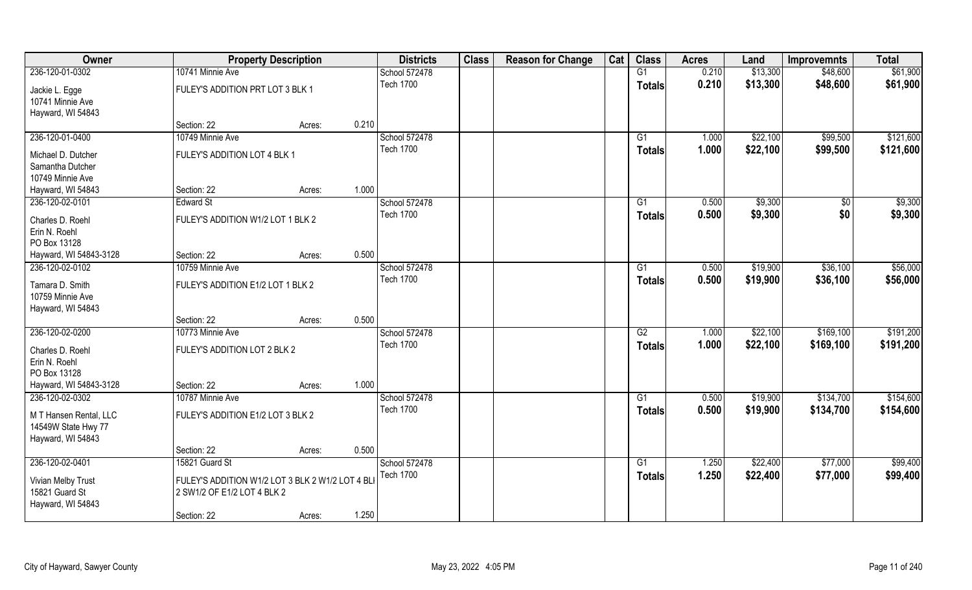| Owner                              |                                                  | <b>Property Description</b> | <b>Districts</b>                  | <b>Class</b> | <b>Reason for Change</b> | Cat | <b>Class</b>    | <b>Acres</b>   | Land     | <b>Improvemnts</b> | <b>Total</b> |
|------------------------------------|--------------------------------------------------|-----------------------------|-----------------------------------|--------------|--------------------------|-----|-----------------|----------------|----------|--------------------|--------------|
| 236-120-01-0302                    | 10741 Minnie Ave                                 |                             | School 572478                     |              |                          |     | G1              | 0.210          | \$13,300 | \$48,600           | \$61,900     |
| Jackie L. Egge<br>10741 Minnie Ave | FULEY'S ADDITION PRT LOT 3 BLK 1                 |                             | <b>Tech 1700</b>                  |              |                          |     | <b>Totals</b>   | 0.210          | \$13,300 | \$48,600           | \$61,900     |
| Hayward, WI 54843                  |                                                  |                             |                                   |              |                          |     |                 |                |          |                    |              |
|                                    | Section: 22                                      | Acres:                      | 0.210                             |              |                          |     |                 |                |          |                    |              |
| 236-120-01-0400                    | 10749 Minnie Ave                                 |                             | School 572478                     |              |                          |     | G1              | 1.000          | \$22,100 | \$99,500           | \$121,600    |
| Michael D. Dutcher                 | FULEY'S ADDITION LOT 4 BLK 1                     |                             | <b>Tech 1700</b>                  |              |                          |     | <b>Totals</b>   | 1.000          | \$22,100 | \$99,500           | \$121,600    |
| Samantha Dutcher                   |                                                  |                             |                                   |              |                          |     |                 |                |          |                    |              |
| 10749 Minnie Ave                   |                                                  |                             |                                   |              |                          |     |                 |                |          |                    |              |
| Hayward, WI 54843                  | Section: 22                                      | Acres:                      | 1.000                             |              |                          |     |                 |                |          |                    |              |
| 236-120-02-0101                    | <b>Edward St</b>                                 |                             | School 572478                     |              |                          |     | G1              | 0.500          | \$9,300  | \$0                | \$9,300      |
| Charles D. Roehl                   | FULEY'S ADDITION W1/2 LOT 1 BLK 2                |                             | <b>Tech 1700</b>                  |              |                          |     | <b>Totals</b>   | 0.500          | \$9,300  | \$0                | \$9,300      |
| Erin N. Roehl                      |                                                  |                             |                                   |              |                          |     |                 |                |          |                    |              |
| PO Box 13128                       |                                                  |                             |                                   |              |                          |     |                 |                |          |                    |              |
| Hayward, WI 54843-3128             | Section: 22                                      | Acres:                      | 0.500                             |              |                          |     |                 |                |          |                    |              |
| 236-120-02-0102                    | 10759 Minnie Ave                                 |                             | School 572478                     |              |                          |     | G1              | 0.500          | \$19,900 | \$36,100           | \$56,000     |
| Tamara D. Smith                    | FULEY'S ADDITION E1/2 LOT 1 BLK 2                |                             | <b>Tech 1700</b>                  |              |                          |     | <b>Totals</b>   | 0.500          | \$19,900 | \$36,100           | \$56,000     |
| 10759 Minnie Ave                   |                                                  |                             |                                   |              |                          |     |                 |                |          |                    |              |
| Hayward, WI 54843                  |                                                  |                             |                                   |              |                          |     |                 |                |          |                    |              |
|                                    | Section: 22                                      | Acres:                      | 0.500                             |              |                          |     |                 |                |          |                    |              |
| 236-120-02-0200                    | 10773 Minnie Ave                                 |                             | School 572478                     |              |                          |     | $\overline{G2}$ | 1.000          | \$22,100 | \$169,100          | \$191,200    |
|                                    |                                                  |                             | <b>Tech 1700</b>                  |              |                          |     | <b>Totals</b>   | 1.000          | \$22,100 | \$169,100          | \$191,200    |
| Charles D. Roehl                   | FULEY'S ADDITION LOT 2 BLK 2                     |                             |                                   |              |                          |     |                 |                |          |                    |              |
| Erin N. Roehl<br>PO Box 13128      |                                                  |                             |                                   |              |                          |     |                 |                |          |                    |              |
| Hayward, WI 54843-3128             | Section: 22                                      | Acres:                      | 1.000                             |              |                          |     |                 |                |          |                    |              |
| 236-120-02-0302                    | 10787 Minnie Ave                                 |                             | School 572478                     |              |                          |     | G1              | 0.500          | \$19,900 | \$134,700          | \$154,600    |
|                                    |                                                  |                             | <b>Tech 1700</b>                  |              |                          |     | <b>Totals</b>   | 0.500          | \$19,900 | \$134,700          | \$154,600    |
| M T Hansen Rental, LLC             | FULEY'S ADDITION E1/2 LOT 3 BLK 2                |                             |                                   |              |                          |     |                 |                |          |                    |              |
| 14549W State Hwy 77                |                                                  |                             |                                   |              |                          |     |                 |                |          |                    |              |
| Hayward, WI 54843                  |                                                  |                             | 0.500                             |              |                          |     |                 |                |          |                    |              |
|                                    | Section: 22                                      | Acres:                      |                                   |              |                          |     |                 |                |          |                    |              |
| 236-120-02-0401                    | 15821 Guard St                                   |                             | School 572478<br><b>Tech 1700</b> |              |                          |     | G1              | 1.250<br>1.250 | \$22,400 | \$77,000           | \$99,400     |
| Vivian Melby Trust                 | FULEY'S ADDITION W1/2 LOT 3 BLK 2 W1/2 LOT 4 BLI |                             |                                   |              |                          |     | <b>Totals</b>   |                | \$22,400 | \$77,000           | \$99,400     |
| 15821 Guard St                     | 2 SW1/2 OF E1/2 LOT 4 BLK 2                      |                             |                                   |              |                          |     |                 |                |          |                    |              |
| Hayward, WI 54843                  |                                                  |                             |                                   |              |                          |     |                 |                |          |                    |              |
|                                    | Section: 22                                      | Acres:                      | 1.250                             |              |                          |     |                 |                |          |                    |              |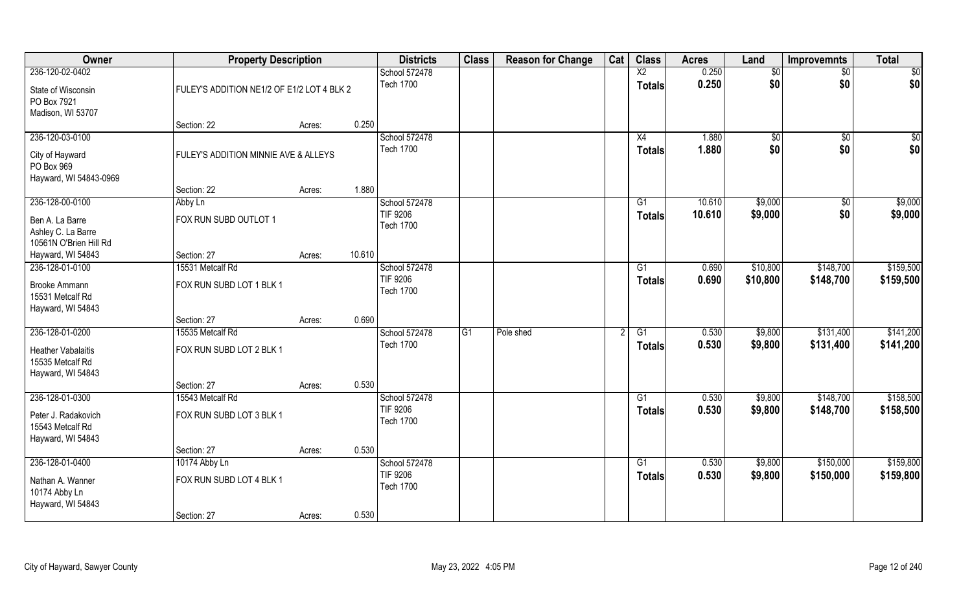| Owner                                                              |                                            | <b>Property Description</b> |        |                                     | <b>Class</b> | <b>Reason for Change</b> | Cat | <b>Class</b>    | <b>Acres</b> | Land           | <b>Improvemnts</b> | <b>Total</b>    |
|--------------------------------------------------------------------|--------------------------------------------|-----------------------------|--------|-------------------------------------|--------------|--------------------------|-----|-----------------|--------------|----------------|--------------------|-----------------|
| 236-120-02-0402                                                    |                                            |                             |        | School 572478                       |              |                          |     | X2              | 0.250        | $\frac{1}{20}$ | $\sqrt{$0}$        | $\overline{50}$ |
| State of Wisconsin<br>PO Box 7921                                  | FULEY'S ADDITION NE1/2 OF E1/2 LOT 4 BLK 2 |                             |        | <b>Tech 1700</b>                    |              |                          |     | <b>Totals</b>   | 0.250        | \$0            | \$0                | \$0             |
| Madison, WI 53707                                                  |                                            |                             |        |                                     |              |                          |     |                 |              |                |                    |                 |
|                                                                    | Section: 22                                | Acres:                      | 0.250  |                                     |              |                          |     |                 |              |                |                    |                 |
| 236-120-03-0100                                                    |                                            |                             |        | School 572478                       |              |                          |     | X4              | 1.880        | \$0            | $\overline{60}$    | \$0             |
| City of Hayward<br>PO Box 969<br>Hayward, WI 54843-0969            | FULEY'S ADDITION MINNIE AVE & ALLEYS       |                             |        | <b>Tech 1700</b>                    |              |                          |     | Totals          | 1.880        | \$0            | \$0                | \$0             |
|                                                                    | Section: 22                                | Acres:                      | 1.880  |                                     |              |                          |     |                 |              |                |                    |                 |
| 236-128-00-0100                                                    | Abby Ln                                    |                             |        | School 572478                       |              |                          |     | G1              | 10.610       | \$9,000        | \$0                | \$9,000         |
| Ben A. La Barre<br>Ashley C. La Barre                              | FOX RUN SUBD OUTLOT 1                      |                             |        | <b>TIF 9206</b><br><b>Tech 1700</b> |              |                          |     | <b>Totals</b>   | 10.610       | \$9,000        | \$0                | \$9,000         |
| 10561N O'Brien Hill Rd                                             |                                            |                             |        |                                     |              |                          |     |                 |              |                |                    |                 |
| Hayward, WI 54843                                                  | Section: 27                                | Acres:                      | 10.610 |                                     |              |                          |     |                 |              |                |                    |                 |
| 236-128-01-0100                                                    | 15531 Metcalf Rd                           |                             |        | School 572478                       |              |                          |     | G1              | 0.690        | \$10,800       | \$148,700          | \$159,500       |
| Brooke Ammann<br>15531 Metcalf Rd<br>Hayward, WI 54843             | FOX RUN SUBD LOT 1 BLK 1                   |                             |        | <b>TIF 9206</b><br><b>Tech 1700</b> |              |                          |     | <b>Totals</b>   | 0.690        | \$10,800       | \$148,700          | \$159,500       |
|                                                                    | Section: 27                                | Acres:                      | 0.690  |                                     |              |                          |     |                 |              |                |                    |                 |
| 236-128-01-0200                                                    | 15535 Metcalf Rd                           |                             |        | School 572478                       | G1           | Pole shed                |     | $\overline{G1}$ | 0.530        | \$9,800        | \$131,400          | \$141,200       |
| <b>Heather Vabalaitis</b><br>15535 Metcalf Rd<br>Hayward, WI 54843 | FOX RUN SUBD LOT 2 BLK 1                   |                             |        | <b>Tech 1700</b>                    |              |                          |     | <b>Totals</b>   | 0.530        | \$9,800        | \$131,400          | \$141,200       |
|                                                                    | Section: 27                                | Acres:                      | 0.530  |                                     |              |                          |     |                 |              |                |                    |                 |
| 236-128-01-0300                                                    | 15543 Metcalf Rd                           |                             |        | School 572478                       |              |                          |     | G1              | 0.530        | \$9,800        | \$148,700          | \$158,500       |
| Peter J. Radakovich<br>15543 Metcalf Rd<br>Hayward, WI 54843       | FOX RUN SUBD LOT 3 BLK 1                   |                             |        | TIF 9206<br><b>Tech 1700</b>        |              |                          |     | <b>Totals</b>   | 0.530        | \$9,800        | \$148,700          | \$158,500       |
|                                                                    | Section: 27                                | Acres:                      | 0.530  |                                     |              |                          |     |                 |              |                |                    |                 |
| 236-128-01-0400                                                    | 10174 Abby Ln                              |                             |        | School 572478                       |              |                          |     | G1              | 0.530        | \$9,800        | \$150,000          | \$159,800       |
| Nathan A. Wanner<br>10174 Abby Ln<br>Hayward, WI 54843             | FOX RUN SUBD LOT 4 BLK 1                   |                             |        | <b>TIF 9206</b><br><b>Tech 1700</b> |              |                          |     | <b>Totals</b>   | 0.530        | \$9,800        | \$150,000          | \$159,800       |
|                                                                    | Section: 27                                | Acres:                      | 0.530  |                                     |              |                          |     |                 |              |                |                    |                 |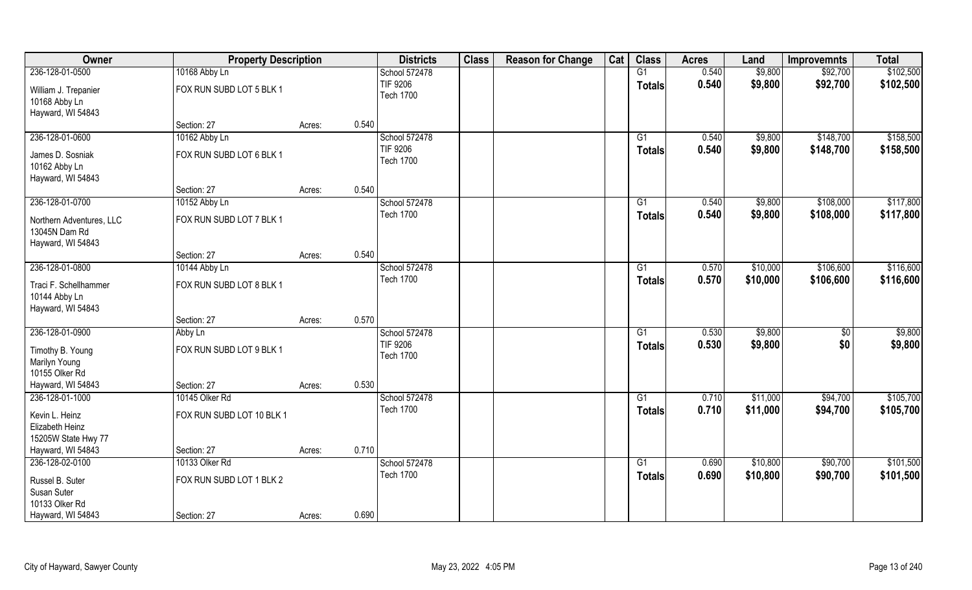| Owner                                                       | <b>Property Description</b> |                 | <b>Districts</b>             | <b>Class</b> | <b>Reason for Change</b> | Cat | <b>Class</b>    | <b>Acres</b> | Land     | <b>Improvemnts</b> | <b>Total</b> |
|-------------------------------------------------------------|-----------------------------|-----------------|------------------------------|--------------|--------------------------|-----|-----------------|--------------|----------|--------------------|--------------|
| 236-128-01-0500                                             | 10168 Abby Ln               |                 | School 572478                |              |                          |     | G1              | 0.540        | \$9,800  | \$92,700           | \$102,500    |
| William J. Trepanier<br>10168 Abby Ln                       | FOX RUN SUBD LOT 5 BLK 1    |                 | TIF 9206<br><b>Tech 1700</b> |              |                          |     | <b>Totals</b>   | 0.540        | \$9,800  | \$92,700           | \$102,500    |
| Hayward, WI 54843                                           |                             |                 |                              |              |                          |     |                 |              |          |                    |              |
|                                                             | Section: 27                 | 0.540<br>Acres: |                              |              |                          |     |                 |              |          |                    |              |
| 236-128-01-0600                                             | 10162 Abby Ln               |                 | School 572478                |              |                          |     | $\overline{G1}$ | 0.540        | \$9,800  | \$148,700          | \$158,500    |
| James D. Sosniak                                            | FOX RUN SUBD LOT 6 BLK 1    |                 | TIF 9206                     |              |                          |     | Totals          | 0.540        | \$9,800  | \$148,700          | \$158,500    |
| 10162 Abby Ln                                               |                             |                 | <b>Tech 1700</b>             |              |                          |     |                 |              |          |                    |              |
| Hayward, WI 54843                                           |                             |                 |                              |              |                          |     |                 |              |          |                    |              |
|                                                             | Section: 27                 | 0.540<br>Acres: |                              |              |                          |     |                 |              |          |                    |              |
| 236-128-01-0700                                             | 10152 Abby Ln               |                 | School 572478                |              |                          |     | G1              | 0.540        | \$9,800  | \$108,000          | \$117,800    |
| Northern Adventures, LLC<br>13045N Dam Rd                   | FOX RUN SUBD LOT 7 BLK 1    |                 | <b>Tech 1700</b>             |              |                          |     | <b>Totals</b>   | 0.540        | \$9,800  | \$108,000          | \$117,800    |
| Hayward, WI 54843                                           |                             |                 |                              |              |                          |     |                 |              |          |                    |              |
|                                                             | Section: 27                 | 0.540<br>Acres: |                              |              |                          |     |                 |              |          |                    |              |
| 236-128-01-0800                                             | 10144 Abby Ln               |                 | School 572478                |              |                          |     | G1              | 0.570        | \$10,000 | \$106,600          | \$116,600    |
| Traci F. Schellhammer<br>10144 Abby Ln<br>Hayward, WI 54843 | FOX RUN SUBD LOT 8 BLK 1    |                 | <b>Tech 1700</b>             |              |                          |     | <b>Totals</b>   | 0.570        | \$10,000 | \$106,600          | \$116,600    |
|                                                             | Section: 27                 | 0.570<br>Acres: |                              |              |                          |     |                 |              |          |                    |              |
| 236-128-01-0900                                             | Abby Ln                     |                 | School 572478                |              |                          |     | G1              | 0.530        | \$9,800  | \$0                | \$9,800      |
| Timothy B. Young                                            | FOX RUN SUBD LOT 9 BLK 1    |                 | TIF 9206                     |              |                          |     | <b>Totals</b>   | 0.530        | \$9,800  | \$0                | \$9,800      |
| Marilyn Young                                               |                             |                 | <b>Tech 1700</b>             |              |                          |     |                 |              |          |                    |              |
| 10155 Olker Rd                                              |                             |                 |                              |              |                          |     |                 |              |          |                    |              |
| Hayward, WI 54843                                           | Section: 27                 | 0.530<br>Acres: |                              |              |                          |     |                 |              |          |                    |              |
| 236-128-01-1000                                             | 10145 Olker Rd              |                 | School 572478                |              |                          |     | G1              | 0.710        | \$11,000 | \$94,700           | \$105,700    |
| Kevin L. Heinz<br>Elizabeth Heinz                           | FOX RUN SUBD LOT 10 BLK 1   |                 | <b>Tech 1700</b>             |              |                          |     | <b>Totals</b>   | 0.710        | \$11,000 | \$94,700           | \$105,700    |
| 15205W State Hwy 77                                         |                             |                 |                              |              |                          |     |                 |              |          |                    |              |
| Hayward, WI 54843                                           | Section: 27                 | 0.710<br>Acres: |                              |              |                          |     |                 |              |          |                    |              |
| 236-128-02-0100                                             | 10133 Olker Rd              |                 | School 572478                |              |                          |     | G1              | 0.690        | \$10,800 | \$90,700           | \$101,500    |
| Russel B. Suter                                             | FOX RUN SUBD LOT 1 BLK 2    |                 | <b>Tech 1700</b>             |              |                          |     | <b>Totals</b>   | 0.690        | \$10,800 | \$90,700           | \$101,500    |
| Susan Suter                                                 |                             |                 |                              |              |                          |     |                 |              |          |                    |              |
| 10133 Olker Rd                                              |                             |                 |                              |              |                          |     |                 |              |          |                    |              |
| Hayward, WI 54843                                           | Section: 27                 | 0.690<br>Acres: |                              |              |                          |     |                 |              |          |                    |              |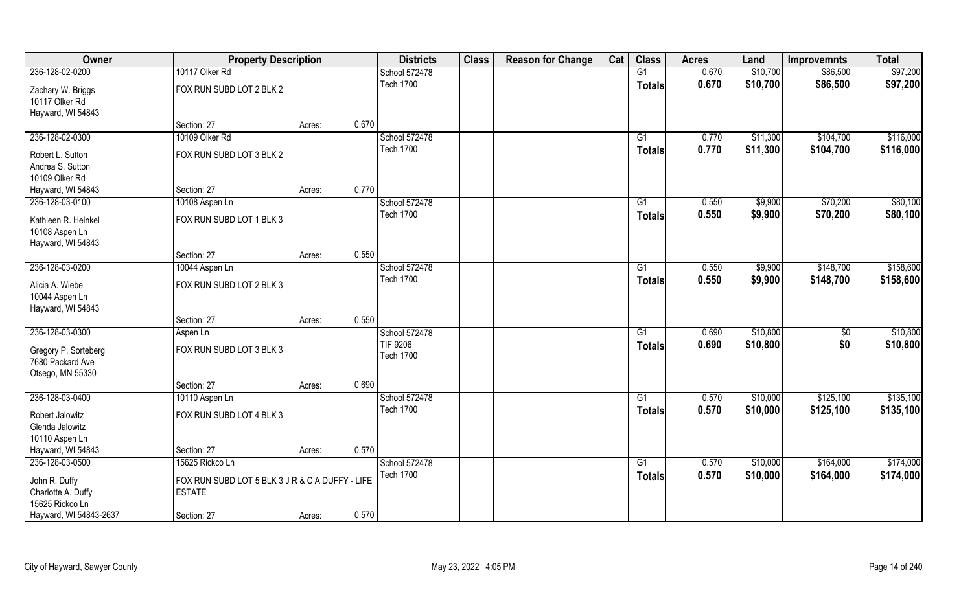| Owner                                | <b>Property Description</b>                     |                 | <b>Districts</b> | <b>Class</b> | <b>Reason for Change</b> | Cat | <b>Class</b>    | <b>Acres</b> | Land     | <b>Improvemnts</b> | <b>Total</b> |
|--------------------------------------|-------------------------------------------------|-----------------|------------------|--------------|--------------------------|-----|-----------------|--------------|----------|--------------------|--------------|
| 236-128-02-0200                      | 10117 Olker Rd                                  |                 | School 572478    |              |                          |     | G1              | 0.670        | \$10,700 | \$86,500           | \$97,200     |
| Zachary W. Briggs<br>10117 Olker Rd  | FOX RUN SUBD LOT 2 BLK 2                        |                 | <b>Tech 1700</b> |              |                          |     | <b>Totals</b>   | 0.670        | \$10,700 | \$86,500           | \$97,200     |
| Hayward, WI 54843                    |                                                 |                 |                  |              |                          |     |                 |              |          |                    |              |
|                                      | Section: 27                                     | 0.670<br>Acres: |                  |              |                          |     |                 |              |          |                    |              |
| 236-128-02-0300                      | 10109 Olker Rd                                  |                 | School 572478    |              |                          |     | $\overline{G1}$ | 0.770        | \$11,300 | \$104,700          | \$116,000    |
|                                      | FOX RUN SUBD LOT 3 BLK 2                        |                 | <b>Tech 1700</b> |              |                          |     | <b>Totals</b>   | 0.770        | \$11,300 | \$104,700          | \$116,000    |
| Robert L. Sutton<br>Andrea S. Sutton |                                                 |                 |                  |              |                          |     |                 |              |          |                    |              |
| 10109 Olker Rd                       |                                                 |                 |                  |              |                          |     |                 |              |          |                    |              |
| Hayward, WI 54843                    | Section: 27                                     | 0.770<br>Acres: |                  |              |                          |     |                 |              |          |                    |              |
| 236-128-03-0100                      | 10108 Aspen Ln                                  |                 | School 572478    |              |                          |     | G1              | 0.550        | \$9,900  | \$70,200           | \$80,100     |
|                                      |                                                 |                 | <b>Tech 1700</b> |              |                          |     | <b>Totals</b>   | 0.550        | \$9,900  | \$70,200           | \$80,100     |
| Kathleen R. Heinkel                  | FOX RUN SUBD LOT 1 BLK 3                        |                 |                  |              |                          |     |                 |              |          |                    |              |
| 10108 Aspen Ln                       |                                                 |                 |                  |              |                          |     |                 |              |          |                    |              |
| Hayward, WI 54843                    | Section: 27                                     | 0.550           |                  |              |                          |     |                 |              |          |                    |              |
| 236-128-03-0200                      | 10044 Aspen Ln                                  | Acres:          | School 572478    |              |                          |     | G1              | 0.550        | \$9,900  | \$148,700          | \$158,600    |
|                                      |                                                 |                 | <b>Tech 1700</b> |              |                          |     |                 |              |          |                    |              |
| Alicia A. Wiebe                      | FOX RUN SUBD LOT 2 BLK 3                        |                 |                  |              |                          |     | <b>Totals</b>   | 0.550        | \$9,900  | \$148,700          | \$158,600    |
| 10044 Aspen Ln                       |                                                 |                 |                  |              |                          |     |                 |              |          |                    |              |
| Hayward, WI 54843                    |                                                 |                 |                  |              |                          |     |                 |              |          |                    |              |
|                                      | Section: 27                                     | 0.550<br>Acres: |                  |              |                          |     |                 |              |          |                    |              |
| 236-128-03-0300                      | Aspen Ln                                        |                 | School 572478    |              |                          |     | $\overline{G1}$ | 0.690        | \$10,800 | $\overline{50}$    | \$10,800     |
| Gregory P. Sorteberg                 | FOX RUN SUBD LOT 3 BLK 3                        |                 | <b>TIF 9206</b>  |              |                          |     | <b>Totals</b>   | 0.690        | \$10,800 | \$0                | \$10,800     |
| 7680 Packard Ave                     |                                                 |                 | <b>Tech 1700</b> |              |                          |     |                 |              |          |                    |              |
| Otsego, MN 55330                     |                                                 |                 |                  |              |                          |     |                 |              |          |                    |              |
|                                      | Section: 27                                     | 0.690<br>Acres: |                  |              |                          |     |                 |              |          |                    |              |
| 236-128-03-0400                      | 10110 Aspen Ln                                  |                 | School 572478    |              |                          |     | G1              | 0.570        | \$10,000 | \$125,100          | \$135,100    |
| Robert Jalowitz                      | FOX RUN SUBD LOT 4 BLK 3                        |                 | <b>Tech 1700</b> |              |                          |     | <b>Totals</b>   | 0.570        | \$10,000 | \$125,100          | \$135,100    |
| Glenda Jalowitz                      |                                                 |                 |                  |              |                          |     |                 |              |          |                    |              |
| 10110 Aspen Ln                       |                                                 |                 |                  |              |                          |     |                 |              |          |                    |              |
| Hayward, WI 54843                    | Section: 27                                     | 0.570<br>Acres: |                  |              |                          |     |                 |              |          |                    |              |
| 236-128-03-0500                      | 15625 Rickco Ln                                 |                 | School 572478    |              |                          |     | G1              | 0.570        | \$10,000 | \$164,000          | \$174,000    |
|                                      |                                                 |                 | <b>Tech 1700</b> |              |                          |     | <b>Totals</b>   | 0.570        | \$10,000 | \$164,000          | \$174,000    |
| John R. Duffy                        | FOX RUN SUBD LOT 5 BLK 3 J R & C A DUFFY - LIFE |                 |                  |              |                          |     |                 |              |          |                    |              |
| Charlotte A. Duffy                   | <b>ESTATE</b>                                   |                 |                  |              |                          |     |                 |              |          |                    |              |
| 15625 Rickco Ln                      |                                                 |                 |                  |              |                          |     |                 |              |          |                    |              |
| Hayward, WI 54843-2637               | Section: 27                                     | 0.570<br>Acres: |                  |              |                          |     |                 |              |          |                    |              |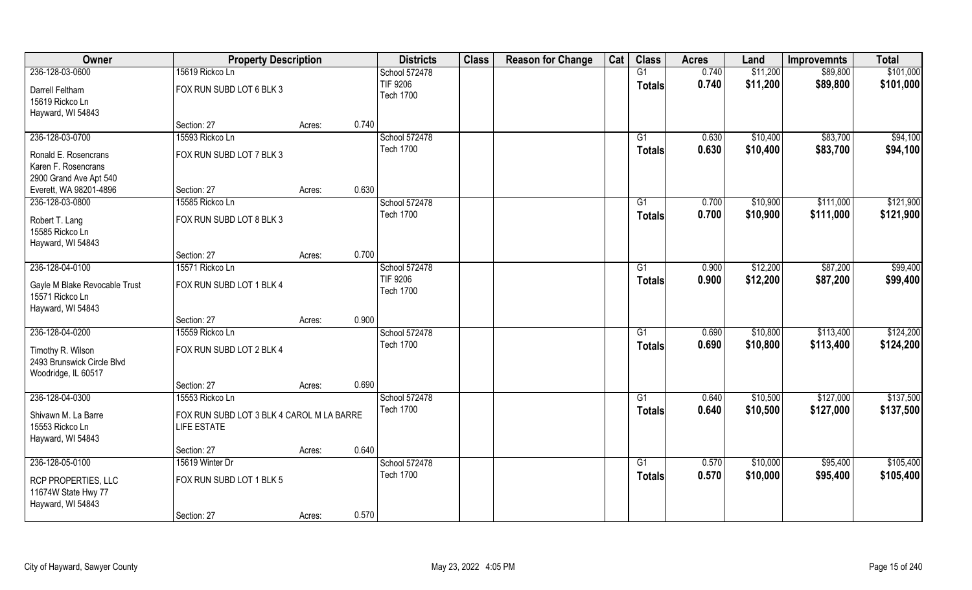| Owner                                             | <b>Property Description</b>               |        |       | <b>Districts</b> | <b>Class</b> | <b>Reason for Change</b> | Cat | <b>Class</b>  | <b>Acres</b> | Land     | <b>Improvemnts</b> | <b>Total</b> |
|---------------------------------------------------|-------------------------------------------|--------|-------|------------------|--------------|--------------------------|-----|---------------|--------------|----------|--------------------|--------------|
| 236-128-03-0600                                   | 15619 Rickco Ln                           |        |       | School 572478    |              |                          |     | G1            | 0.740        | \$11,200 | \$89,800           | \$101,000    |
| Darrell Feltham                                   | FOX RUN SUBD LOT 6 BLK 3                  |        |       | TIF 9206         |              |                          |     | <b>Totals</b> | 0.740        | \$11,200 | \$89,800           | \$101,000    |
| 15619 Rickco Ln                                   |                                           |        |       | <b>Tech 1700</b> |              |                          |     |               |              |          |                    |              |
| Hayward, WI 54843                                 |                                           |        |       |                  |              |                          |     |               |              |          |                    |              |
|                                                   | Section: 27                               | Acres: | 0.740 |                  |              |                          |     |               |              |          |                    |              |
| 236-128-03-0700                                   | 15593 Rickco Ln                           |        |       | School 572478    |              |                          |     | G1            | 0.630        | \$10,400 | \$83,700           | \$94,100     |
| Ronald E. Rosencrans                              | FOX RUN SUBD LOT 7 BLK 3                  |        |       | <b>Tech 1700</b> |              |                          |     | <b>Totals</b> | 0.630        | \$10,400 | \$83,700           | \$94,100     |
| Karen F. Rosencrans                               |                                           |        |       |                  |              |                          |     |               |              |          |                    |              |
| 2900 Grand Ave Apt 540                            |                                           |        |       |                  |              |                          |     |               |              |          |                    |              |
| Everett, WA 98201-4896                            | Section: 27                               | Acres: | 0.630 |                  |              |                          |     |               |              |          |                    |              |
| 236-128-03-0800                                   | 15585 Rickco Ln                           |        |       | School 572478    |              |                          |     | G1            | 0.700        | \$10,900 | \$111,000          | \$121,900    |
| Robert T. Lang                                    | FOX RUN SUBD LOT 8 BLK 3                  |        |       | <b>Tech 1700</b> |              |                          |     | <b>Totals</b> | 0.700        | \$10,900 | \$111,000          | \$121,900    |
| 15585 Rickco Ln                                   |                                           |        |       |                  |              |                          |     |               |              |          |                    |              |
| Hayward, WI 54843                                 |                                           |        |       |                  |              |                          |     |               |              |          |                    |              |
|                                                   | Section: 27                               | Acres: | 0.700 |                  |              |                          |     |               |              |          |                    |              |
| 236-128-04-0100                                   | 15571 Rickco Ln                           |        |       | School 572478    |              |                          |     | G1            | 0.900        | \$12,200 | \$87,200           | \$99,400     |
| Gayle M Blake Revocable Trust                     | FOX RUN SUBD LOT 1 BLK 4                  |        |       | TIF 9206         |              |                          |     | <b>Totals</b> | 0.900        | \$12,200 | \$87,200           | \$99,400     |
| 15571 Rickco Ln                                   |                                           |        |       | <b>Tech 1700</b> |              |                          |     |               |              |          |                    |              |
| Hayward, WI 54843                                 |                                           |        |       |                  |              |                          |     |               |              |          |                    |              |
|                                                   | Section: 27                               | Acres: | 0.900 |                  |              |                          |     |               |              |          |                    |              |
| 236-128-04-0200                                   | 15559 Rickco Ln                           |        |       | School 572478    |              |                          |     | G1            | 0.690        | \$10,800 | \$113,400          | \$124,200    |
| Timothy R. Wilson                                 | FOX RUN SUBD LOT 2 BLK 4                  |        |       | <b>Tech 1700</b> |              |                          |     | <b>Totals</b> | 0.690        | \$10,800 | \$113,400          | \$124,200    |
| 2493 Brunswick Circle Blvd                        |                                           |        |       |                  |              |                          |     |               |              |          |                    |              |
| Woodridge, IL 60517                               |                                           |        |       |                  |              |                          |     |               |              |          |                    |              |
|                                                   | Section: 27                               | Acres: | 0.690 |                  |              |                          |     |               |              |          |                    |              |
| 236-128-04-0300                                   | 15553 Rickco Ln                           |        |       | School 572478    |              |                          |     | G1            | 0.640        | \$10,500 | \$127,000          | \$137,500    |
| Shivawn M. La Barre                               | FOX RUN SUBD LOT 3 BLK 4 CAROL M LA BARRE |        |       | <b>Tech 1700</b> |              |                          |     | <b>Totals</b> | 0.640        | \$10,500 | \$127,000          | \$137,500    |
| 15553 Rickco Ln                                   | <b>LIFE ESTATE</b>                        |        |       |                  |              |                          |     |               |              |          |                    |              |
| Hayward, WI 54843                                 |                                           |        |       |                  |              |                          |     |               |              |          |                    |              |
|                                                   | Section: 27                               | Acres: | 0.640 |                  |              |                          |     |               |              |          |                    |              |
| 236-128-05-0100                                   | 15619 Winter Dr                           |        |       | School 572478    |              |                          |     | G1            | 0.570        | \$10,000 | \$95,400           | \$105,400    |
|                                                   | FOX RUN SUBD LOT 1 BLK 5                  |        |       | <b>Tech 1700</b> |              |                          |     | <b>Totals</b> | 0.570        | \$10,000 | \$95,400           | \$105,400    |
| <b>RCP PROPERTIES, LLC</b><br>11674W State Hwy 77 |                                           |        |       |                  |              |                          |     |               |              |          |                    |              |
| Hayward, WI 54843                                 |                                           |        |       |                  |              |                          |     |               |              |          |                    |              |
|                                                   | Section: 27                               | Acres: | 0.570 |                  |              |                          |     |               |              |          |                    |              |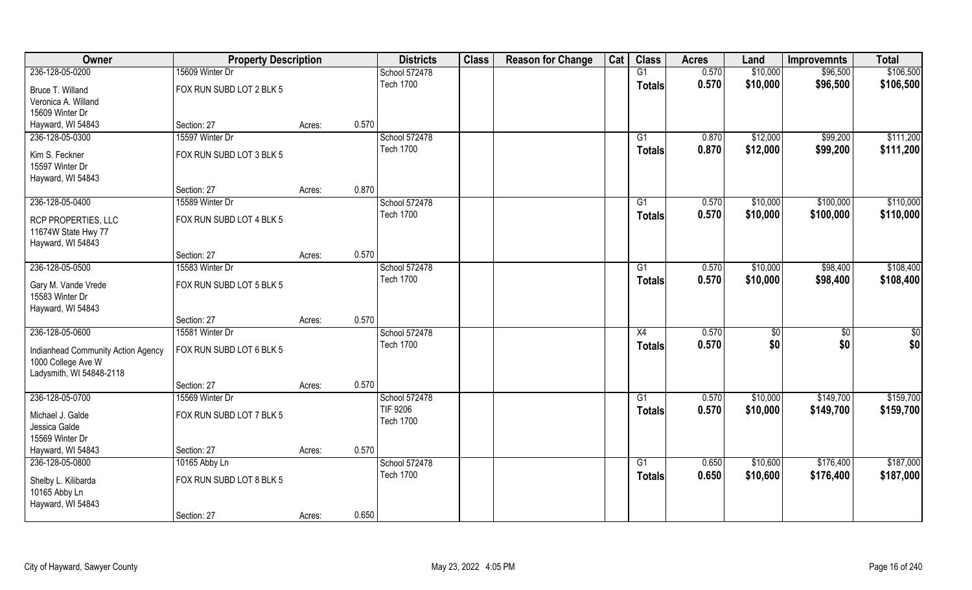| Owner                              | <b>Property Description</b> |        |       | <b>Districts</b> | <b>Class</b> | <b>Reason for Change</b> | Cat | <b>Class</b>  | <b>Acres</b> | Land     | <b>Improvemnts</b> | <b>Total</b> |
|------------------------------------|-----------------------------|--------|-------|------------------|--------------|--------------------------|-----|---------------|--------------|----------|--------------------|--------------|
| 236-128-05-0200                    | 15609 Winter Dr             |        |       | School 572478    |              |                          |     | G1            | 0.570        | \$10,000 | \$96,500           | \$106,500    |
| Bruce T. Willand                   | FOX RUN SUBD LOT 2 BLK 5    |        |       | <b>Tech 1700</b> |              |                          |     | <b>Totals</b> | 0.570        | \$10,000 | \$96,500           | \$106,500    |
| Veronica A. Willand                |                             |        |       |                  |              |                          |     |               |              |          |                    |              |
| 15609 Winter Dr                    |                             |        |       |                  |              |                          |     |               |              |          |                    |              |
| Hayward, WI 54843                  | Section: 27                 | Acres: | 0.570 |                  |              |                          |     |               |              |          |                    |              |
| 236-128-05-0300                    | 15597 Winter Dr             |        |       | School 572478    |              |                          |     | G1            | 0.870        | \$12,000 | \$99,200           | \$111,200    |
| Kim S. Feckner                     | FOX RUN SUBD LOT 3 BLK 5    |        |       | <b>Tech 1700</b> |              |                          |     | <b>Totals</b> | 0.870        | \$12,000 | \$99,200           | \$111,200    |
| 15597 Winter Dr                    |                             |        |       |                  |              |                          |     |               |              |          |                    |              |
| Hayward, WI 54843                  |                             |        |       |                  |              |                          |     |               |              |          |                    |              |
|                                    | Section: 27                 | Acres: | 0.870 |                  |              |                          |     |               |              |          |                    |              |
| 236-128-05-0400                    | 15589 Winter Dr             |        |       | School 572478    |              |                          |     | G1            | 0.570        | \$10,000 | \$100,000          | \$110,000    |
| <b>RCP PROPERTIES, LLC</b>         | FOX RUN SUBD LOT 4 BLK 5    |        |       | <b>Tech 1700</b> |              |                          |     | <b>Totals</b> | 0.570        | \$10,000 | \$100,000          | \$110,000    |
| 11674W State Hwy 77                |                             |        |       |                  |              |                          |     |               |              |          |                    |              |
| Hayward, WI 54843                  |                             |        |       |                  |              |                          |     |               |              |          |                    |              |
|                                    | Section: 27                 | Acres: | 0.570 |                  |              |                          |     |               |              |          |                    |              |
| 236-128-05-0500                    | 15583 Winter Dr             |        |       | School 572478    |              |                          |     | G1            | 0.570        | \$10,000 | \$98,400           | \$108,400    |
| Gary M. Vande Vrede                | FOX RUN SUBD LOT 5 BLK 5    |        |       | <b>Tech 1700</b> |              |                          |     | <b>Totals</b> | 0.570        | \$10,000 | \$98,400           | \$108,400    |
| 15583 Winter Dr                    |                             |        |       |                  |              |                          |     |               |              |          |                    |              |
| Hayward, WI 54843                  |                             |        |       |                  |              |                          |     |               |              |          |                    |              |
|                                    | Section: 27                 | Acres: | 0.570 |                  |              |                          |     |               |              |          |                    |              |
| 236-128-05-0600                    | 15581 Winter Dr             |        |       | School 572478    |              |                          |     | X4            | 0.570        | \$       | \$0                | \$0          |
| Indianhead Community Action Agency | FOX RUN SUBD LOT 6 BLK 5    |        |       | <b>Tech 1700</b> |              |                          |     | <b>Totals</b> | 0.570        | \$0      | \$0                | \$0          |
| 1000 College Ave W                 |                             |        |       |                  |              |                          |     |               |              |          |                    |              |
| Ladysmith, WI 54848-2118           |                             |        |       |                  |              |                          |     |               |              |          |                    |              |
|                                    | Section: 27                 | Acres: | 0.570 |                  |              |                          |     |               |              |          |                    |              |
| 236-128-05-0700                    | 15569 Winter Dr             |        |       | School 572478    |              |                          |     | G1            | 0.570        | \$10,000 | \$149,700          | \$159,700    |
| Michael J. Galde                   | FOX RUN SUBD LOT 7 BLK 5    |        |       | TIF 9206         |              |                          |     | <b>Totals</b> | 0.570        | \$10,000 | \$149,700          | \$159,700    |
| Jessica Galde                      |                             |        |       | <b>Tech 1700</b> |              |                          |     |               |              |          |                    |              |
| 15569 Winter Dr                    |                             |        |       |                  |              |                          |     |               |              |          |                    |              |
| Hayward, WI 54843                  | Section: 27                 | Acres: | 0.570 |                  |              |                          |     |               |              |          |                    |              |
| 236-128-05-0800                    | 10165 Abby Ln               |        |       | School 572478    |              |                          |     | G1            | 0.650        | \$10,600 | \$176,400          | \$187,000    |
| Shelby L. Kilibarda                | FOX RUN SUBD LOT 8 BLK 5    |        |       | <b>Tech 1700</b> |              |                          |     | <b>Totals</b> | 0.650        | \$10,600 | \$176,400          | \$187,000    |
| 10165 Abby Ln                      |                             |        |       |                  |              |                          |     |               |              |          |                    |              |
| Hayward, WI 54843                  |                             |        |       |                  |              |                          |     |               |              |          |                    |              |
|                                    | Section: 27                 | Acres: | 0.650 |                  |              |                          |     |               |              |          |                    |              |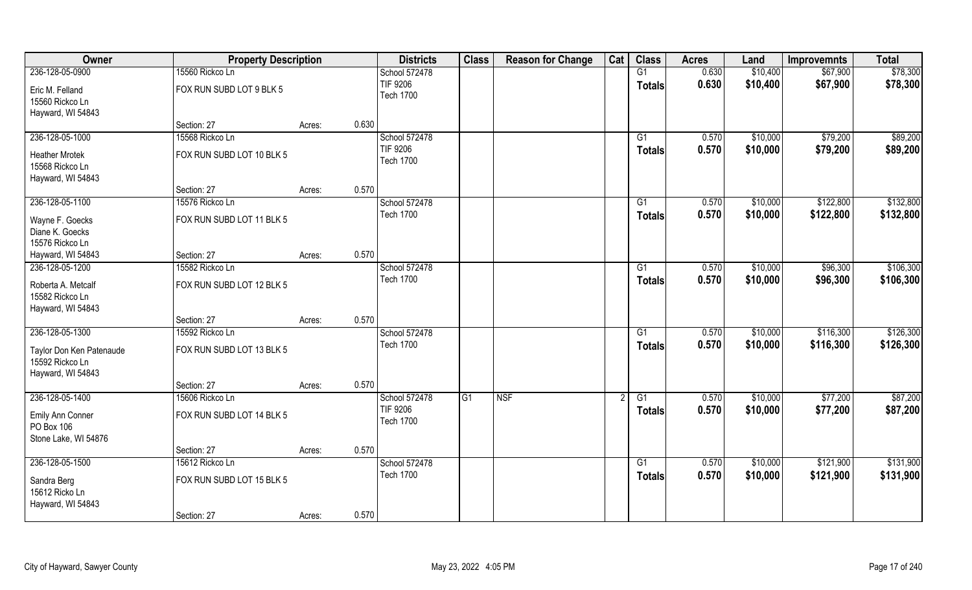| Owner                                 | <b>Property Description</b> |        |       | <b>Districts</b>                    | <b>Class</b> | <b>Reason for Change</b> | Cat | <b>Class</b>  | <b>Acres</b> | Land     | <b>Improvemnts</b> | <b>Total</b> |
|---------------------------------------|-----------------------------|--------|-------|-------------------------------------|--------------|--------------------------|-----|---------------|--------------|----------|--------------------|--------------|
| 236-128-05-0900                       | 15560 Rickco Ln             |        |       | School 572478                       |              |                          |     | G1            | 0.630        | \$10,400 | \$67,900           | \$78,300     |
| Eric M. Felland<br>15560 Rickco Ln    | FOX RUN SUBD LOT 9 BLK 5    |        |       | TIF 9206<br><b>Tech 1700</b>        |              |                          |     | <b>Totals</b> | 0.630        | \$10,400 | \$67,900           | \$78,300     |
| Hayward, WI 54843                     | Section: 27                 | Acres: | 0.630 |                                     |              |                          |     |               |              |          |                    |              |
|                                       | 15568 Rickco Ln             |        |       |                                     |              |                          |     |               |              |          |                    | \$89,200     |
| 236-128-05-1000                       |                             |        |       | School 572478                       |              |                          |     | G1            | 0.570        | \$10,000 | \$79,200           |              |
| <b>Heather Mrotek</b>                 | FOX RUN SUBD LOT 10 BLK 5   |        |       | TIF 9206                            |              |                          |     | <b>Totals</b> | 0.570        | \$10,000 | \$79,200           | \$89,200     |
| 15568 Rickco Ln                       |                             |        |       | <b>Tech 1700</b>                    |              |                          |     |               |              |          |                    |              |
| Hayward, WI 54843                     |                             |        |       |                                     |              |                          |     |               |              |          |                    |              |
|                                       | Section: 27                 | Acres: | 0.570 |                                     |              |                          |     |               |              |          |                    |              |
| 236-128-05-1100                       | 15576 Rickco Ln             |        |       | School 572478                       |              |                          |     | G1            | 0.570        | \$10,000 | \$122,800          | \$132,800    |
| Wayne F. Goecks                       | FOX RUN SUBD LOT 11 BLK 5   |        |       | <b>Tech 1700</b>                    |              |                          |     | <b>Totals</b> | 0.570        | \$10,000 | \$122,800          | \$132,800    |
| Diane K. Goecks                       |                             |        |       |                                     |              |                          |     |               |              |          |                    |              |
| 15576 Rickco Ln                       |                             |        |       |                                     |              |                          |     |               |              |          |                    |              |
| Hayward, WI 54843                     | Section: 27                 | Acres: | 0.570 |                                     |              |                          |     |               |              |          |                    |              |
| 236-128-05-1200                       | 15582 Rickco Ln             |        |       | School 572478                       |              |                          |     | G1            | 0.570        | \$10,000 | \$96,300           | \$106,300    |
|                                       |                             |        |       | <b>Tech 1700</b>                    |              |                          |     |               | 0.570        | \$10,000 | \$96,300           | \$106,300    |
| Roberta A. Metcalf<br>15582 Rickco Ln | FOX RUN SUBD LOT 12 BLK 5   |        |       |                                     |              |                          |     | <b>Totals</b> |              |          |                    |              |
| Hayward, WI 54843                     |                             |        |       |                                     |              |                          |     |               |              |          |                    |              |
|                                       | Section: 27                 | Acres: | 0.570 |                                     |              |                          |     |               |              |          |                    |              |
| 236-128-05-1300                       | 15592 Rickco Ln             |        |       | School 572478                       |              |                          |     | G1            | 0.570        | \$10,000 | \$116,300          | \$126,300    |
| Taylor Don Ken Patenaude              | FOX RUN SUBD LOT 13 BLK 5   |        |       | <b>Tech 1700</b>                    |              |                          |     | <b>Totals</b> | 0.570        | \$10,000 | \$116,300          | \$126,300    |
| 15592 Rickco Ln                       |                             |        |       |                                     |              |                          |     |               |              |          |                    |              |
| Hayward, WI 54843                     |                             |        |       |                                     |              |                          |     |               |              |          |                    |              |
|                                       | Section: 27                 | Acres: | 0.570 |                                     |              |                          |     |               |              |          |                    |              |
| 236-128-05-1400                       | 15606 Rickco Ln             |        |       | School 572478                       | G1           | <b>NSF</b>               |     | G1            | 0.570        | \$10,000 | \$77,200           | \$87,200     |
| Emily Ann Conner<br>PO Box 106        | FOX RUN SUBD LOT 14 BLK 5   |        |       | <b>TIF 9206</b><br><b>Tech 1700</b> |              |                          |     | <b>Totals</b> | 0.570        | \$10,000 | \$77,200           | \$87,200     |
| Stone Lake, WI 54876                  |                             |        |       |                                     |              |                          |     |               |              |          |                    |              |
|                                       | Section: 27                 | Acres: | 0.570 |                                     |              |                          |     |               |              |          |                    |              |
| 236-128-05-1500                       | 15612 Rickco Ln             |        |       | School 572478                       |              |                          |     | G1            | 0.570        | \$10,000 | \$121,900          | \$131,900    |
| Sandra Berg<br>15612 Ricko Ln         | FOX RUN SUBD LOT 15 BLK 5   |        |       | <b>Tech 1700</b>                    |              |                          |     | <b>Totals</b> | 0.570        | \$10,000 | \$121,900          | \$131,900    |
| Hayward, WI 54843                     |                             |        |       |                                     |              |                          |     |               |              |          |                    |              |
|                                       | Section: 27                 | Acres: | 0.570 |                                     |              |                          |     |               |              |          |                    |              |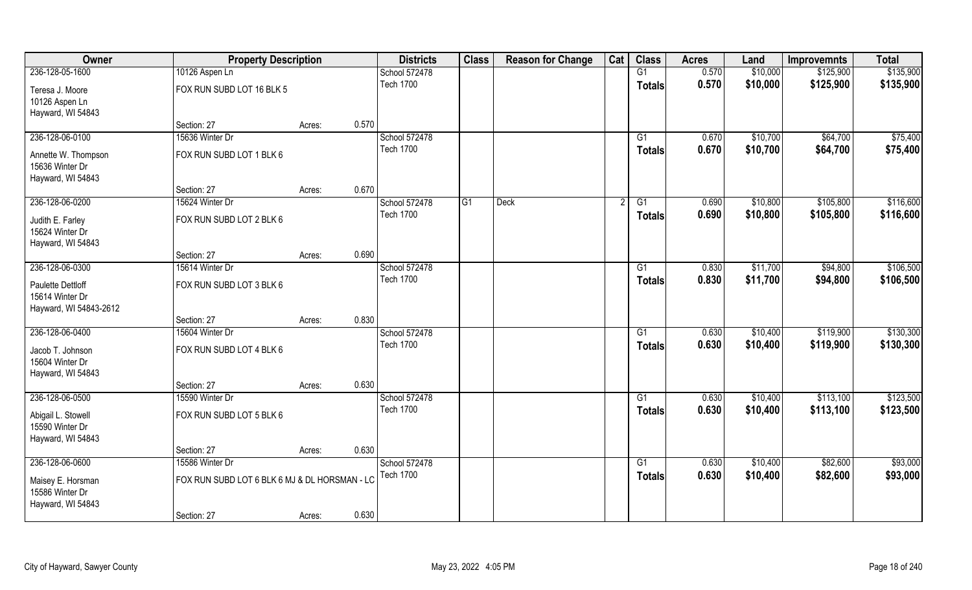| Owner                  | <b>Property Description</b>                   |        |       | <b>Districts</b> | <b>Class</b> | <b>Reason for Change</b> | Cat | <b>Class</b>    | <b>Acres</b> | Land     | <b>Improvemnts</b> | <b>Total</b> |
|------------------------|-----------------------------------------------|--------|-------|------------------|--------------|--------------------------|-----|-----------------|--------------|----------|--------------------|--------------|
| 236-128-05-1600        | 10126 Aspen Ln                                |        |       | School 572478    |              |                          |     | G1              | 0.570        | \$10,000 | \$125,900          | \$135,900    |
| Teresa J. Moore        | FOX RUN SUBD LOT 16 BLK 5                     |        |       | <b>Tech 1700</b> |              |                          |     | <b>Totals</b>   | 0.570        | \$10,000 | \$125,900          | \$135,900    |
| 10126 Aspen Ln         |                                               |        |       |                  |              |                          |     |                 |              |          |                    |              |
| Hayward, WI 54843      |                                               |        |       |                  |              |                          |     |                 |              |          |                    |              |
|                        | Section: 27                                   | Acres: | 0.570 |                  |              |                          |     |                 |              |          |                    |              |
| 236-128-06-0100        | 15636 Winter Dr                               |        |       | School 572478    |              |                          |     | G1              | 0.670        | \$10,700 | \$64,700           | \$75,400     |
| Annette W. Thompson    | FOX RUN SUBD LOT 1 BLK 6                      |        |       | <b>Tech 1700</b> |              |                          |     | Totals          | 0.670        | \$10,700 | \$64,700           | \$75,400     |
| 15636 Winter Dr        |                                               |        |       |                  |              |                          |     |                 |              |          |                    |              |
| Hayward, WI 54843      |                                               |        |       |                  |              |                          |     |                 |              |          |                    |              |
|                        | Section: 27                                   | Acres: | 0.670 |                  |              |                          |     |                 |              |          |                    |              |
| 236-128-06-0200        | 15624 Winter Dr                               |        |       | School 572478    | G1           | <b>Deck</b>              |     | G1              | 0.690        | \$10,800 | \$105,800          | \$116,600    |
| Judith E. Farley       | FOX RUN SUBD LOT 2 BLK 6                      |        |       | <b>Tech 1700</b> |              |                          |     | <b>Totals</b>   | 0.690        | \$10,800 | \$105,800          | \$116,600    |
| 15624 Winter Dr        |                                               |        |       |                  |              |                          |     |                 |              |          |                    |              |
| Hayward, WI 54843      |                                               |        |       |                  |              |                          |     |                 |              |          |                    |              |
|                        | Section: 27                                   | Acres: | 0.690 |                  |              |                          |     |                 |              |          |                    |              |
| 236-128-06-0300        | 15614 Winter Dr                               |        |       | School 572478    |              |                          |     | G1              | 0.830        | \$11,700 | \$94,800           | \$106,500    |
| Paulette Dettloff      | FOX RUN SUBD LOT 3 BLK 6                      |        |       | <b>Tech 1700</b> |              |                          |     | <b>Totals</b>   | 0.830        | \$11,700 | \$94,800           | \$106,500    |
| 15614 Winter Dr        |                                               |        |       |                  |              |                          |     |                 |              |          |                    |              |
| Hayward, WI 54843-2612 |                                               |        |       |                  |              |                          |     |                 |              |          |                    |              |
|                        | Section: 27                                   | Acres: | 0.830 |                  |              |                          |     |                 |              |          |                    |              |
| 236-128-06-0400        | 15604 Winter Dr                               |        |       | School 572478    |              |                          |     | $\overline{G1}$ | 0.630        | \$10,400 | \$119,900          | \$130,300    |
| Jacob T. Johnson       | FOX RUN SUBD LOT 4 BLK 6                      |        |       | <b>Tech 1700</b> |              |                          |     | <b>Totals</b>   | 0.630        | \$10,400 | \$119,900          | \$130,300    |
| 15604 Winter Dr        |                                               |        |       |                  |              |                          |     |                 |              |          |                    |              |
| Hayward, WI 54843      |                                               |        |       |                  |              |                          |     |                 |              |          |                    |              |
|                        | Section: 27                                   | Acres: | 0.630 |                  |              |                          |     |                 |              |          |                    |              |
| 236-128-06-0500        | 15590 Winter Dr                               |        |       | School 572478    |              |                          |     | G1              | 0.630        | \$10,400 | \$113,100          | \$123,500    |
| Abigail L. Stowell     | FOX RUN SUBD LOT 5 BLK 6                      |        |       | <b>Tech 1700</b> |              |                          |     | <b>Totals</b>   | 0.630        | \$10,400 | \$113,100          | \$123,500    |
| 15590 Winter Dr        |                                               |        |       |                  |              |                          |     |                 |              |          |                    |              |
| Hayward, WI 54843      |                                               |        |       |                  |              |                          |     |                 |              |          |                    |              |
|                        | Section: 27                                   | Acres: | 0.630 |                  |              |                          |     |                 |              |          |                    |              |
| 236-128-06-0600        | 15586 Winter Dr                               |        |       | School 572478    |              |                          |     | $\overline{G1}$ | 0.630        | \$10,400 | \$82,600           | \$93,000     |
| Maisey E. Horsman      | FOX RUN SUBD LOT 6 BLK 6 MJ & DL HORSMAN - LC |        |       | <b>Tech 1700</b> |              |                          |     | <b>Totals</b>   | 0.630        | \$10,400 | \$82,600           | \$93,000     |
| 15586 Winter Dr        |                                               |        |       |                  |              |                          |     |                 |              |          |                    |              |
| Hayward, WI 54843      |                                               |        |       |                  |              |                          |     |                 |              |          |                    |              |
|                        | Section: 27                                   | Acres: | 0.630 |                  |              |                          |     |                 |              |          |                    |              |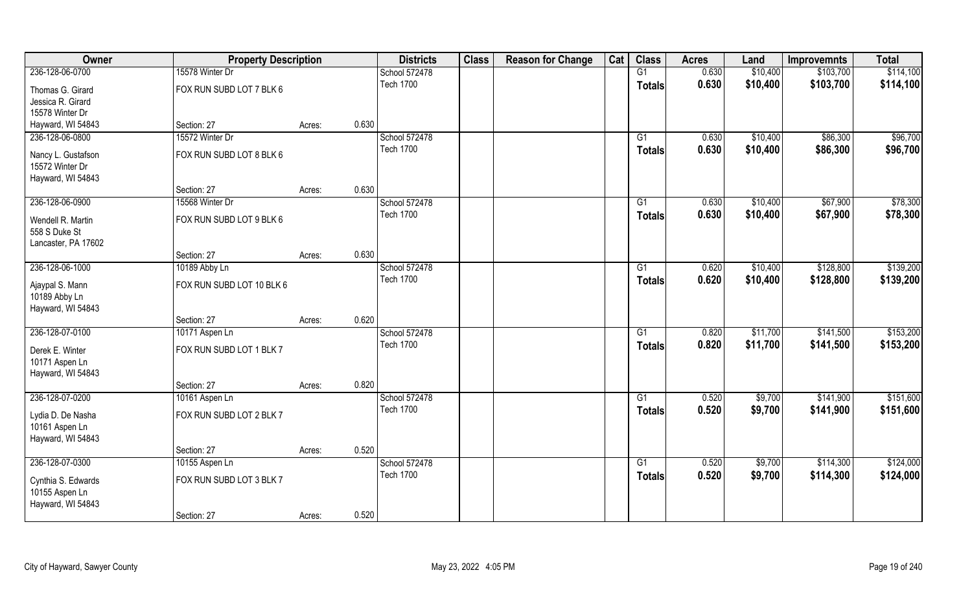| Owner                                                 | <b>Property Description</b> |        |       | <b>Districts</b> | <b>Class</b> | <b>Reason for Change</b> | Cat | <b>Class</b>    | <b>Acres</b> | Land     | <b>Improvemnts</b> | <b>Total</b> |
|-------------------------------------------------------|-----------------------------|--------|-------|------------------|--------------|--------------------------|-----|-----------------|--------------|----------|--------------------|--------------|
| 236-128-06-0700                                       | 15578 Winter Dr             |        |       | School 572478    |              |                          |     | G1              | 0.630        | \$10,400 | \$103,700          | \$114,100    |
| Thomas G. Girard                                      | FOX RUN SUBD LOT 7 BLK 6    |        |       | <b>Tech 1700</b> |              |                          |     | <b>Totals</b>   | 0.630        | \$10,400 | \$103,700          | \$114,100    |
| Jessica R. Girard                                     |                             |        |       |                  |              |                          |     |                 |              |          |                    |              |
| 15578 Winter Dr                                       |                             |        |       |                  |              |                          |     |                 |              |          |                    |              |
| Hayward, WI 54843                                     | Section: 27                 | Acres: | 0.630 |                  |              |                          |     |                 |              |          |                    |              |
| 236-128-06-0800                                       | 15572 Winter Dr             |        |       | School 572478    |              |                          |     | G1              | 0.630        | \$10,400 | \$86,300           | \$96,700     |
| Nancy L. Gustafson                                    | FOX RUN SUBD LOT 8 BLK 6    |        |       | <b>Tech 1700</b> |              |                          |     | Totals          | 0.630        | \$10,400 | \$86,300           | \$96,700     |
| 15572 Winter Dr                                       |                             |        |       |                  |              |                          |     |                 |              |          |                    |              |
| Hayward, WI 54843                                     |                             |        |       |                  |              |                          |     |                 |              |          |                    |              |
|                                                       | Section: 27                 | Acres: | 0.630 |                  |              |                          |     |                 |              |          |                    |              |
| 236-128-06-0900                                       | 15568 Winter Dr             |        |       | School 572478    |              |                          |     | G1              | 0.630        | \$10,400 | \$67,900           | \$78,300     |
| Wendell R. Martin<br>558 S Duke St                    | FOX RUN SUBD LOT 9 BLK 6    |        |       | <b>Tech 1700</b> |              |                          |     | <b>Totals</b>   | 0.630        | \$10,400 | \$67,900           | \$78,300     |
| Lancaster, PA 17602                                   |                             |        |       |                  |              |                          |     |                 |              |          |                    |              |
|                                                       | Section: 27                 | Acres: | 0.630 |                  |              |                          |     |                 |              |          |                    |              |
| 236-128-06-1000                                       | 10189 Abby Ln               |        |       | School 572478    |              |                          |     | G1              | 0.620        | \$10,400 | \$128,800          | \$139,200    |
| Ajaypal S. Mann<br>10189 Abby Ln<br>Hayward, WI 54843 | FOX RUN SUBD LOT 10 BLK 6   |        |       | <b>Tech 1700</b> |              |                          |     | <b>Totals</b>   | 0.620        | \$10,400 | \$128,800          | \$139,200    |
|                                                       | Section: 27                 | Acres: | 0.620 |                  |              |                          |     |                 |              |          |                    |              |
| 236-128-07-0100                                       | 10171 Aspen Ln              |        |       | School 572478    |              |                          |     | $\overline{G1}$ | 0.820        | \$11,700 | \$141,500          | \$153,200    |
|                                                       |                             |        |       | <b>Tech 1700</b> |              |                          |     | <b>Totals</b>   | 0.820        | \$11,700 | \$141,500          | \$153,200    |
| Derek E. Winter                                       | FOX RUN SUBD LOT 1 BLK 7    |        |       |                  |              |                          |     |                 |              |          |                    |              |
| 10171 Aspen Ln                                        |                             |        |       |                  |              |                          |     |                 |              |          |                    |              |
| Hayward, WI 54843                                     | Section: 27                 |        | 0.820 |                  |              |                          |     |                 |              |          |                    |              |
| 236-128-07-0200                                       |                             | Acres: |       | School 572478    |              |                          |     | G1              | 0.520        | \$9,700  | \$141,900          | \$151,600    |
|                                                       | 10161 Aspen Ln              |        |       | <b>Tech 1700</b> |              |                          |     |                 |              |          |                    |              |
| Lydia D. De Nasha                                     | FOX RUN SUBD LOT 2 BLK 7    |        |       |                  |              |                          |     | <b>Totals</b>   | 0.520        | \$9,700  | \$141,900          | \$151,600    |
| 10161 Aspen Ln                                        |                             |        |       |                  |              |                          |     |                 |              |          |                    |              |
| Hayward, WI 54843                                     |                             |        |       |                  |              |                          |     |                 |              |          |                    |              |
|                                                       | Section: 27                 | Acres: | 0.520 |                  |              |                          |     |                 |              |          |                    |              |
| 236-128-07-0300                                       | 10155 Aspen Ln              |        |       | School 572478    |              |                          |     | G1              | 0.520        | \$9,700  | \$114,300          | \$124,000    |
| Cynthia S. Edwards                                    | FOX RUN SUBD LOT 3 BLK 7    |        |       | <b>Tech 1700</b> |              |                          |     | <b>Totals</b>   | 0.520        | \$9,700  | \$114,300          | \$124,000    |
| 10155 Aspen Ln                                        |                             |        |       |                  |              |                          |     |                 |              |          |                    |              |
| Hayward, WI 54843                                     |                             |        |       |                  |              |                          |     |                 |              |          |                    |              |
|                                                       | Section: 27                 | Acres: | 0.520 |                  |              |                          |     |                 |              |          |                    |              |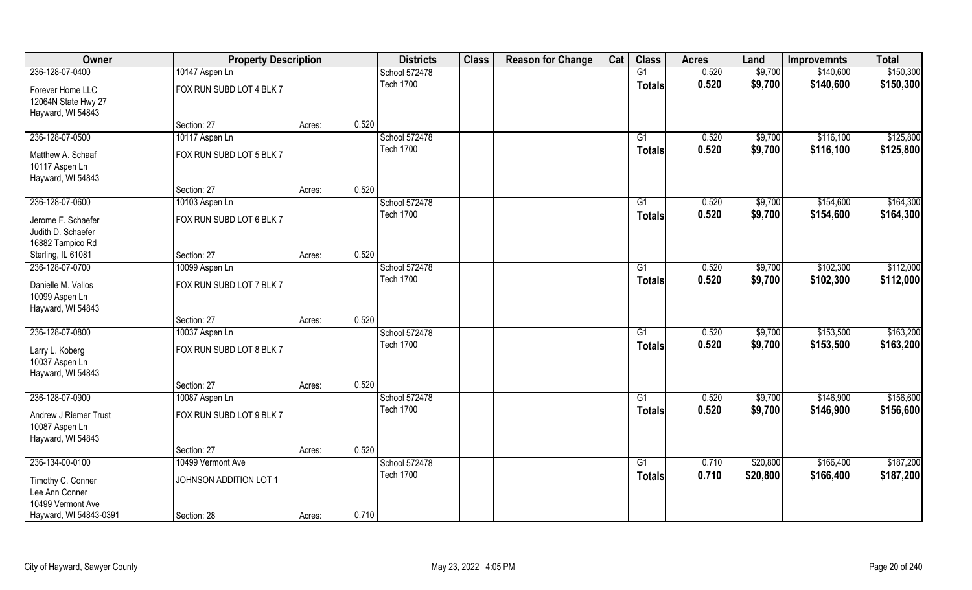| Owner                  | <b>Property Description</b> |        |       | <b>Districts</b> | <b>Class</b> | <b>Reason for Change</b> | Cat | <b>Class</b>    | <b>Acres</b> | Land     | <b>Improvemnts</b> | <b>Total</b> |
|------------------------|-----------------------------|--------|-------|------------------|--------------|--------------------------|-----|-----------------|--------------|----------|--------------------|--------------|
| 236-128-07-0400        | 10147 Aspen Ln              |        |       | School 572478    |              |                          |     | G1              | 0.520        | \$9,700  | \$140,600          | \$150,300    |
| Forever Home LLC       | FOX RUN SUBD LOT 4 BLK 7    |        |       | <b>Tech 1700</b> |              |                          |     | <b>Totals</b>   | 0.520        | \$9,700  | \$140,600          | \$150,300    |
| 12064N State Hwy 27    |                             |        |       |                  |              |                          |     |                 |              |          |                    |              |
| Hayward, WI 54843      |                             |        |       |                  |              |                          |     |                 |              |          |                    |              |
|                        | Section: 27                 | Acres: | 0.520 |                  |              |                          |     |                 |              |          |                    |              |
| 236-128-07-0500        | 10117 Aspen Ln              |        |       | School 572478    |              |                          |     | $\overline{G1}$ | 0.520        | \$9,700  | \$116,100          | \$125,800    |
| Matthew A. Schaaf      | FOX RUN SUBD LOT 5 BLK 7    |        |       | <b>Tech 1700</b> |              |                          |     | Totals          | 0.520        | \$9,700  | \$116,100          | \$125,800    |
| 10117 Aspen Ln         |                             |        |       |                  |              |                          |     |                 |              |          |                    |              |
| Hayward, WI 54843      |                             |        |       |                  |              |                          |     |                 |              |          |                    |              |
|                        | Section: 27                 | Acres: | 0.520 |                  |              |                          |     |                 |              |          |                    |              |
| 236-128-07-0600        | 10103 Aspen Ln              |        |       | School 572478    |              |                          |     | G1              | 0.520        | \$9,700  | \$154,600          | \$164,300    |
| Jerome F. Schaefer     | FOX RUN SUBD LOT 6 BLK 7    |        |       | <b>Tech 1700</b> |              |                          |     | <b>Totals</b>   | 0.520        | \$9,700  | \$154,600          | \$164,300    |
| Judith D. Schaefer     |                             |        |       |                  |              |                          |     |                 |              |          |                    |              |
| 16882 Tampico Rd       |                             |        |       |                  |              |                          |     |                 |              |          |                    |              |
| Sterling, IL 61081     | Section: 27                 | Acres: | 0.520 |                  |              |                          |     |                 |              |          |                    |              |
| 236-128-07-0700        | 10099 Aspen Ln              |        |       | School 572478    |              |                          |     | G1              | 0.520        | \$9,700  | \$102,300          | \$112,000    |
| Danielle M. Vallos     | FOX RUN SUBD LOT 7 BLK 7    |        |       | <b>Tech 1700</b> |              |                          |     | <b>Totals</b>   | 0.520        | \$9,700  | \$102,300          | \$112,000    |
| 10099 Aspen Ln         |                             |        |       |                  |              |                          |     |                 |              |          |                    |              |
| Hayward, WI 54843      |                             |        |       |                  |              |                          |     |                 |              |          |                    |              |
|                        | Section: 27                 | Acres: | 0.520 |                  |              |                          |     |                 |              |          |                    |              |
| 236-128-07-0800        | 10037 Aspen Ln              |        |       | School 572478    |              |                          |     | G1              | 0.520        | \$9,700  | \$153,500          | \$163,200    |
| Larry L. Koberg        | FOX RUN SUBD LOT 8 BLK 7    |        |       | <b>Tech 1700</b> |              |                          |     | <b>Totals</b>   | 0.520        | \$9,700  | \$153,500          | \$163,200    |
| 10037 Aspen Ln         |                             |        |       |                  |              |                          |     |                 |              |          |                    |              |
| Hayward, WI 54843      |                             |        |       |                  |              |                          |     |                 |              |          |                    |              |
|                        | Section: 27                 | Acres: | 0.520 |                  |              |                          |     |                 |              |          |                    |              |
| 236-128-07-0900        | 10087 Aspen Ln              |        |       | School 572478    |              |                          |     | G1              | 0.520        | \$9,700  | \$146,900          | \$156,600    |
| Andrew J Riemer Trust  | FOX RUN SUBD LOT 9 BLK 7    |        |       | <b>Tech 1700</b> |              |                          |     | <b>Totals</b>   | 0.520        | \$9,700  | \$146,900          | \$156,600    |
| 10087 Aspen Ln         |                             |        |       |                  |              |                          |     |                 |              |          |                    |              |
| Hayward, WI 54843      |                             |        |       |                  |              |                          |     |                 |              |          |                    |              |
|                        | Section: 27                 | Acres: | 0.520 |                  |              |                          |     |                 |              |          |                    |              |
| 236-134-00-0100        | 10499 Vermont Ave           |        |       | School 572478    |              |                          |     | G1              | 0.710        | \$20,800 | \$166,400          | \$187,200    |
| Timothy C. Conner      | JOHNSON ADDITION LOT 1      |        |       | <b>Tech 1700</b> |              |                          |     | <b>Totals</b>   | 0.710        | \$20,800 | \$166,400          | \$187,200    |
| Lee Ann Conner         |                             |        |       |                  |              |                          |     |                 |              |          |                    |              |
| 10499 Vermont Ave      |                             |        |       |                  |              |                          |     |                 |              |          |                    |              |
| Hayward, WI 54843-0391 | Section: 28                 | Acres: | 0.710 |                  |              |                          |     |                 |              |          |                    |              |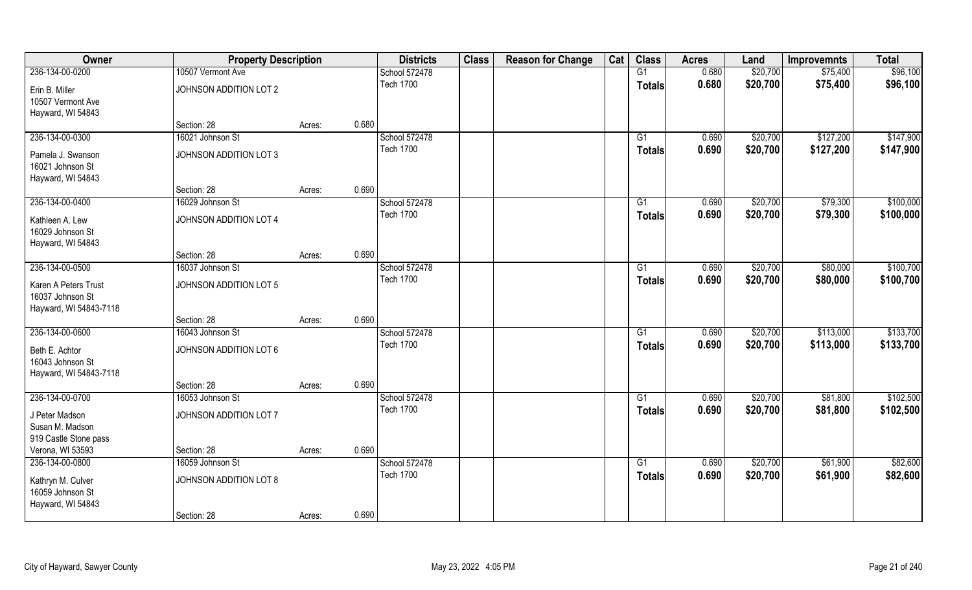| Owner                  | <b>Property Description</b> |        |       | <b>Districts</b> | <b>Class</b> | <b>Reason for Change</b> | Cat | <b>Class</b>  | <b>Acres</b> | Land     | <b>Improvemnts</b> | <b>Total</b> |
|------------------------|-----------------------------|--------|-------|------------------|--------------|--------------------------|-----|---------------|--------------|----------|--------------------|--------------|
| 236-134-00-0200        | 10507 Vermont Ave           |        |       | School 572478    |              |                          |     | G1            | 0.680        | \$20,700 | \$75,400           | \$96,100     |
| Erin B. Miller         | JOHNSON ADDITION LOT 2      |        |       | <b>Tech 1700</b> |              |                          |     | <b>Totals</b> | 0.680        | \$20,700 | \$75,400           | \$96,100     |
| 10507 Vermont Ave      |                             |        |       |                  |              |                          |     |               |              |          |                    |              |
| Hayward, WI 54843      |                             |        |       |                  |              |                          |     |               |              |          |                    |              |
|                        | Section: 28                 | Acres: | 0.680 |                  |              |                          |     |               |              |          |                    |              |
| 236-134-00-0300        | 16021 Johnson St            |        |       | School 572478    |              |                          |     | G1            | 0.690        | \$20,700 | \$127,200          | \$147,900    |
| Pamela J. Swanson      | JOHNSON ADDITION LOT 3      |        |       | <b>Tech 1700</b> |              |                          |     | Totals        | 0.690        | \$20,700 | \$127,200          | \$147,900    |
| 16021 Johnson St       |                             |        |       |                  |              |                          |     |               |              |          |                    |              |
| Hayward, WI 54843      |                             |        |       |                  |              |                          |     |               |              |          |                    |              |
|                        | Section: 28                 | Acres: | 0.690 |                  |              |                          |     |               |              |          |                    |              |
| 236-134-00-0400        | 16029 Johnson St            |        |       | School 572478    |              |                          |     | G1            | 0.690        | \$20,700 | \$79,300           | \$100,000    |
| Kathleen A. Lew        | JOHNSON ADDITION LOT 4      |        |       | <b>Tech 1700</b> |              |                          |     | <b>Totals</b> | 0.690        | \$20,700 | \$79,300           | \$100,000    |
| 16029 Johnson St       |                             |        |       |                  |              |                          |     |               |              |          |                    |              |
| Hayward, WI 54843      |                             |        |       |                  |              |                          |     |               |              |          |                    |              |
|                        | Section: 28                 | Acres: | 0.690 |                  |              |                          |     |               |              |          |                    |              |
| 236-134-00-0500        | 16037 Johnson St            |        |       | School 572478    |              |                          |     | G1            | 0.690        | \$20,700 | \$80,000           | \$100,700    |
| Karen A Peters Trust   | JOHNSON ADDITION LOT 5      |        |       | <b>Tech 1700</b> |              |                          |     | <b>Totals</b> | 0.690        | \$20,700 | \$80,000           | \$100,700    |
| 16037 Johnson St       |                             |        |       |                  |              |                          |     |               |              |          |                    |              |
| Hayward, WI 54843-7118 |                             |        |       |                  |              |                          |     |               |              |          |                    |              |
|                        | Section: 28                 | Acres: | 0.690 |                  |              |                          |     |               |              |          |                    |              |
| 236-134-00-0600        | 16043 Johnson St            |        |       | School 572478    |              |                          |     | G1            | 0.690        | \$20,700 | \$113,000          | \$133,700    |
| Beth E. Achtor         | JOHNSON ADDITION LOT 6      |        |       | <b>Tech 1700</b> |              |                          |     | <b>Totals</b> | 0.690        | \$20,700 | \$113,000          | \$133,700    |
| 16043 Johnson St       |                             |        |       |                  |              |                          |     |               |              |          |                    |              |
| Hayward, WI 54843-7118 |                             |        |       |                  |              |                          |     |               |              |          |                    |              |
|                        | Section: 28                 | Acres: | 0.690 |                  |              |                          |     |               |              |          |                    |              |
| 236-134-00-0700        | 16053 Johnson St            |        |       | School 572478    |              |                          |     | G1            | 0.690        | \$20,700 | \$81,800           | \$102,500    |
| J Peter Madson         | JOHNSON ADDITION LOT 7      |        |       | <b>Tech 1700</b> |              |                          |     | <b>Totals</b> | 0.690        | \$20,700 | \$81,800           | \$102,500    |
| Susan M. Madson        |                             |        |       |                  |              |                          |     |               |              |          |                    |              |
| 919 Castle Stone pass  |                             |        |       |                  |              |                          |     |               |              |          |                    |              |
| Verona, WI 53593       | Section: 28                 | Acres: | 0.690 |                  |              |                          |     |               |              |          |                    |              |
| 236-134-00-0800        | 16059 Johnson St            |        |       | School 572478    |              |                          |     | G1            | 0.690        | \$20,700 | \$61,900           | \$82,600     |
| Kathryn M. Culver      | JOHNSON ADDITION LOT 8      |        |       | <b>Tech 1700</b> |              |                          |     | <b>Totals</b> | 0.690        | \$20,700 | \$61,900           | \$82,600     |
| 16059 Johnson St       |                             |        |       |                  |              |                          |     |               |              |          |                    |              |
| Hayward, WI 54843      |                             |        |       |                  |              |                          |     |               |              |          |                    |              |
|                        | Section: 28                 | Acres: | 0.690 |                  |              |                          |     |               |              |          |                    |              |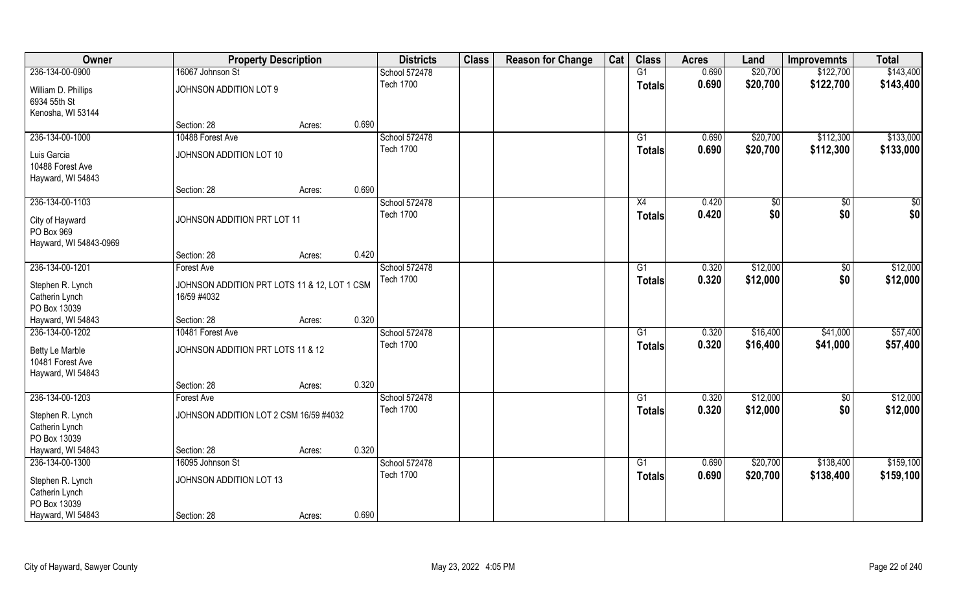| Owner                                                                      | <b>Property Description</b>                                 |        |       | <b>Districts</b>                  | <b>Class</b> | <b>Reason for Change</b> | Cat | <b>Class</b>                     | <b>Acres</b>   | Land                 | <b>Improvemnts</b>   | <b>Total</b>           |
|----------------------------------------------------------------------------|-------------------------------------------------------------|--------|-------|-----------------------------------|--------------|--------------------------|-----|----------------------------------|----------------|----------------------|----------------------|------------------------|
| 236-134-00-0900                                                            | 16067 Johnson St                                            |        |       | School 572478                     |              |                          |     | G1                               | 0.690          | \$20,700             | \$122,700            | \$143,400              |
| William D. Phillips<br>6934 55th St<br>Kenosha, WI 53144                   | JOHNSON ADDITION LOT 9                                      |        |       | <b>Tech 1700</b>                  |              |                          |     | <b>Totals</b>                    | 0.690          | \$20,700             | \$122,700            | \$143,400              |
|                                                                            | Section: 28                                                 | Acres: | 0.690 |                                   |              |                          |     |                                  |                |                      |                      |                        |
| 236-134-00-1000                                                            | 10488 Forest Ave                                            |        |       | School 572478<br><b>Tech 1700</b> |              |                          |     | G1                               | 0.690<br>0.690 | \$20,700<br>\$20,700 | \$112,300            | \$133,000<br>\$133,000 |
| Luis Garcia<br>10488 Forest Ave<br>Hayward, WI 54843                       | JOHNSON ADDITION LOT 10                                     |        |       |                                   |              |                          |     | Totals                           |                |                      | \$112,300            |                        |
|                                                                            | Section: 28                                                 | Acres: | 0.690 |                                   |              |                          |     |                                  |                |                      |                      |                        |
| 236-134-00-1103<br>City of Hayward<br>PO Box 969<br>Hayward, WI 54843-0969 | JOHNSON ADDITION PRT LOT 11                                 |        |       | School 572478<br><b>Tech 1700</b> |              |                          |     | X4<br><b>Totals</b>              | 0.420<br>0.420 | \$0<br>\$0           | \$0<br>\$0           | \$0<br>\$0             |
|                                                                            | Section: 28                                                 | Acres: | 0.420 |                                   |              |                          |     |                                  |                |                      |                      |                        |
| 236-134-00-1201                                                            | <b>Forest Ave</b>                                           |        |       | School 572478                     |              |                          |     | G1                               | 0.320          | \$12,000             | $\sqrt{50}$          | \$12,000               |
| Stephen R. Lynch<br>Catherin Lynch<br>PO Box 13039                         | JOHNSON ADDITION PRT LOTS 11 & 12, LOT 1 CSM<br>16/59 #4032 |        |       | <b>Tech 1700</b>                  |              |                          |     | Totals                           | 0.320          | \$12,000             | \$0                  | \$12,000               |
| Hayward, WI 54843                                                          | Section: 28                                                 | Acres: | 0.320 |                                   |              |                          |     |                                  |                |                      |                      |                        |
| 236-134-00-1202<br>Betty Le Marble                                         | 10481 Forest Ave<br>JOHNSON ADDITION PRT LOTS 11 & 12       |        |       | School 572478<br><b>Tech 1700</b> |              |                          |     | $\overline{G1}$<br><b>Totals</b> | 0.320<br>0.320 | \$16,400<br>\$16,400 | \$41,000<br>\$41,000 | \$57,400<br>\$57,400   |
| 10481 Forest Ave<br>Hayward, WI 54843                                      |                                                             |        |       |                                   |              |                          |     |                                  |                |                      |                      |                        |
|                                                                            | Section: 28                                                 | Acres: | 0.320 |                                   |              |                          |     |                                  |                |                      |                      |                        |
| 236-134-00-1203                                                            | Forest Ave                                                  |        |       | School 572478                     |              |                          |     | G1                               | 0.320          | \$12,000             | $\sqrt{50}$          | \$12,000               |
| Stephen R. Lynch<br>Catherin Lynch<br>PO Box 13039                         | JOHNSON ADDITION LOT 2 CSM 16/59 #4032                      |        |       | <b>Tech 1700</b>                  |              |                          |     | <b>Totals</b>                    | 0.320          | \$12,000             | \$0                  | \$12,000               |
| Hayward, WI 54843                                                          | Section: 28                                                 | Acres: | 0.320 |                                   |              |                          |     |                                  |                |                      |                      |                        |
| 236-134-00-1300                                                            | 16095 Johnson St                                            |        |       | School 572478                     |              |                          |     | $\overline{G1}$                  | 0.690          | \$20,700             | \$138,400            | \$159,100              |
| Stephen R. Lynch<br>Catherin Lynch<br>PO Box 13039                         | JOHNSON ADDITION LOT 13                                     |        |       | <b>Tech 1700</b>                  |              |                          |     | <b>Totals</b>                    | 0.690          | \$20,700             | \$138,400            | \$159,100              |
| Hayward, WI 54843                                                          | Section: 28                                                 | Acres: | 0.690 |                                   |              |                          |     |                                  |                |                      |                      |                        |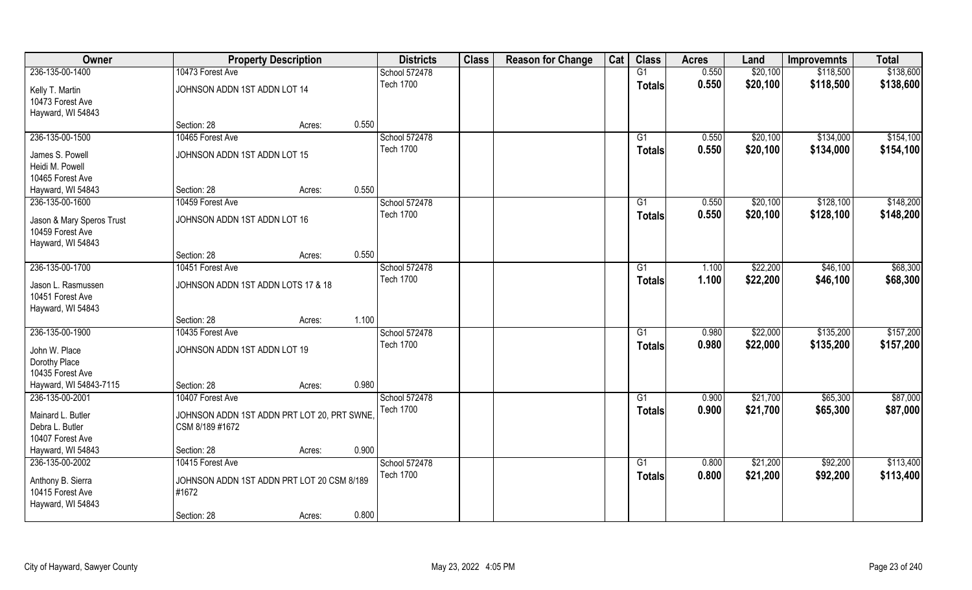| Owner                     |                                             | <b>Property Description</b> |       | <b>Districts</b> | <b>Class</b> | <b>Reason for Change</b> | Cat | <b>Class</b>    | <b>Acres</b> | Land     | <b>Improvemnts</b> | <b>Total</b> |
|---------------------------|---------------------------------------------|-----------------------------|-------|------------------|--------------|--------------------------|-----|-----------------|--------------|----------|--------------------|--------------|
| 236-135-00-1400           | 10473 Forest Ave                            |                             |       | School 572478    |              |                          |     | G1              | 0.550        | \$20,100 | \$118,500          | \$138,600    |
| Kelly T. Martin           | JOHNSON ADDN 1ST ADDN LOT 14                |                             |       | <b>Tech 1700</b> |              |                          |     | <b>Totals</b>   | 0.550        | \$20,100 | \$118,500          | \$138,600    |
| 10473 Forest Ave          |                                             |                             |       |                  |              |                          |     |                 |              |          |                    |              |
| Hayward, WI 54843         |                                             |                             |       |                  |              |                          |     |                 |              |          |                    |              |
|                           | Section: 28                                 | Acres:                      | 0.550 |                  |              |                          |     |                 |              |          |                    |              |
| 236-135-00-1500           | 10465 Forest Ave                            |                             |       | School 572478    |              |                          |     | $\overline{G1}$ | 0.550        | \$20,100 | \$134,000          | \$154,100    |
|                           |                                             |                             |       | <b>Tech 1700</b> |              |                          |     | <b>Totals</b>   | 0.550        | \$20,100 | \$134,000          | \$154,100    |
| James S. Powell           | JOHNSON ADDN 1ST ADDN LOT 15                |                             |       |                  |              |                          |     |                 |              |          |                    |              |
| Heidi M. Powell           |                                             |                             |       |                  |              |                          |     |                 |              |          |                    |              |
| 10465 Forest Ave          | Section: 28                                 |                             | 0.550 |                  |              |                          |     |                 |              |          |                    |              |
| Hayward, WI 54843         |                                             | Acres:                      |       |                  |              |                          |     |                 |              |          |                    |              |
| 236-135-00-1600           | 10459 Forest Ave                            |                             |       | School 572478    |              |                          |     | G1              | 0.550        | \$20,100 | \$128,100          | \$148,200    |
| Jason & Mary Speros Trust | JOHNSON ADDN 1ST ADDN LOT 16                |                             |       | <b>Tech 1700</b> |              |                          |     | <b>Totals</b>   | 0.550        | \$20,100 | \$128,100          | \$148,200    |
| 10459 Forest Ave          |                                             |                             |       |                  |              |                          |     |                 |              |          |                    |              |
| Hayward, WI 54843         |                                             |                             |       |                  |              |                          |     |                 |              |          |                    |              |
|                           | Section: 28                                 | Acres:                      | 0.550 |                  |              |                          |     |                 |              |          |                    |              |
| 236-135-00-1700           | 10451 Forest Ave                            |                             |       | School 572478    |              |                          |     | G1              | 1.100        | \$22,200 | \$46,100           | \$68,300     |
|                           |                                             |                             |       | <b>Tech 1700</b> |              |                          |     | <b>Totals</b>   | 1.100        | \$22,200 | \$46,100           | \$68,300     |
| Jason L. Rasmussen        | JOHNSON ADDN 1ST ADDN LOTS 17 & 18          |                             |       |                  |              |                          |     |                 |              |          |                    |              |
| 10451 Forest Ave          |                                             |                             |       |                  |              |                          |     |                 |              |          |                    |              |
| Hayward, WI 54843         | Section: 28                                 |                             | 1.100 |                  |              |                          |     |                 |              |          |                    |              |
| 236-135-00-1900           | 10435 Forest Ave                            | Acres:                      |       |                  |              |                          |     | $\overline{G1}$ | 0.980        | \$22,000 | \$135,200          | \$157,200    |
|                           |                                             |                             |       | School 572478    |              |                          |     |                 |              |          |                    |              |
| John W. Place             | JOHNSON ADDN 1ST ADDN LOT 19                |                             |       | <b>Tech 1700</b> |              |                          |     | <b>Totals</b>   | 0.980        | \$22,000 | \$135,200          | \$157,200    |
| Dorothy Place             |                                             |                             |       |                  |              |                          |     |                 |              |          |                    |              |
| 10435 Forest Ave          |                                             |                             |       |                  |              |                          |     |                 |              |          |                    |              |
| Hayward, WI 54843-7115    | Section: 28                                 | Acres:                      | 0.980 |                  |              |                          |     |                 |              |          |                    |              |
| 236-135-00-2001           | 10407 Forest Ave                            |                             |       | School 572478    |              |                          |     | G1              | 0.900        | \$21,700 | \$65,300           | \$87,000     |
| Mainard L. Butler         | JOHNSON ADDN 1ST ADDN PRT LOT 20, PRT SWNE, |                             |       | <b>Tech 1700</b> |              |                          |     | <b>Totals</b>   | 0.900        | \$21,700 | \$65,300           | \$87,000     |
| Debra L. Butler           | CSM 8/189 #1672                             |                             |       |                  |              |                          |     |                 |              |          |                    |              |
| 10407 Forest Ave          |                                             |                             |       |                  |              |                          |     |                 |              |          |                    |              |
| Hayward, WI 54843         | Section: 28                                 | Acres:                      | 0.900 |                  |              |                          |     |                 |              |          |                    |              |
| 236-135-00-2002           | 10415 Forest Ave                            |                             |       | School 572478    |              |                          |     | G1              | 0.800        | \$21,200 | \$92,200           | \$113,400    |
|                           |                                             |                             |       | <b>Tech 1700</b> |              |                          |     |                 | 0.800        | \$21,200 | \$92,200           | \$113,400    |
| Anthony B. Sierra         | JOHNSON ADDN 1ST ADDN PRT LOT 20 CSM 8/189  |                             |       |                  |              |                          |     | <b>Totals</b>   |              |          |                    |              |
| 10415 Forest Ave          | #1672                                       |                             |       |                  |              |                          |     |                 |              |          |                    |              |
| Hayward, WI 54843         |                                             |                             |       |                  |              |                          |     |                 |              |          |                    |              |
|                           | Section: 28                                 | Acres:                      | 0.800 |                  |              |                          |     |                 |              |          |                    |              |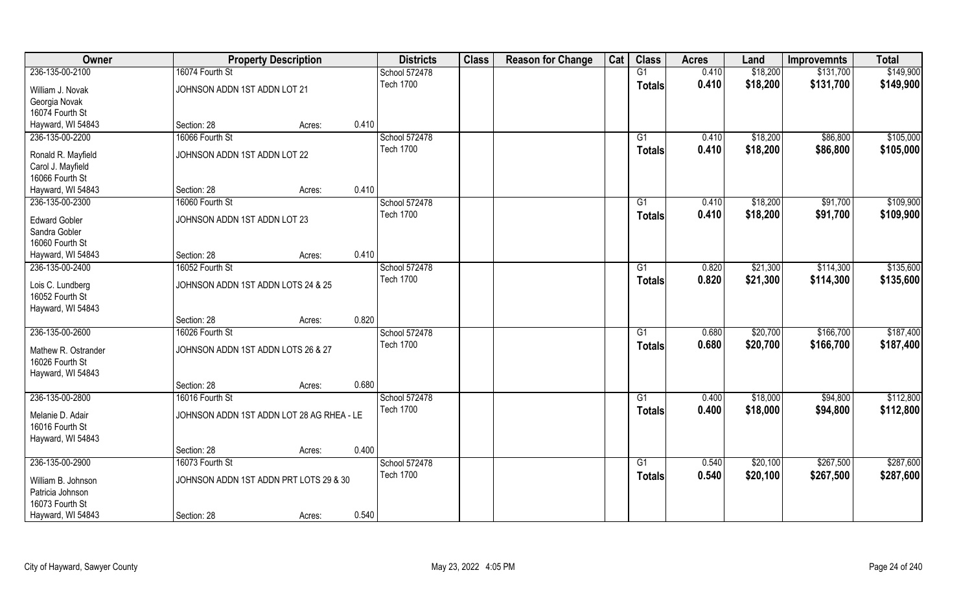| Owner                            |                                           | <b>Property Description</b> |       | <b>Districts</b> | <b>Class</b> | <b>Reason for Change</b> | Cat | <b>Class</b>    | <b>Acres</b> | Land     | <b>Improvemnts</b> | <b>Total</b> |
|----------------------------------|-------------------------------------------|-----------------------------|-------|------------------|--------------|--------------------------|-----|-----------------|--------------|----------|--------------------|--------------|
| 236-135-00-2100                  | 16074 Fourth St                           |                             |       | School 572478    |              |                          |     | G1              | 0.410        | \$18,200 | \$131,700          | \$149,900    |
| William J. Novak                 | JOHNSON ADDN 1ST ADDN LOT 21              |                             |       | <b>Tech 1700</b> |              |                          |     | <b>Totals</b>   | 0.410        | \$18,200 | \$131,700          | \$149,900    |
| Georgia Novak<br>16074 Fourth St |                                           |                             |       |                  |              |                          |     |                 |              |          |                    |              |
| Hayward, WI 54843                | Section: 28                               | Acres:                      | 0.410 |                  |              |                          |     |                 |              |          |                    |              |
| 236-135-00-2200                  | 16066 Fourth St                           |                             |       | School 572478    |              |                          |     | G1              | 0.410        | \$18,200 | \$86,800           | \$105,000    |
|                                  |                                           |                             |       | <b>Tech 1700</b> |              |                          |     |                 | 0.410        |          | \$86,800           | \$105,000    |
| Ronald R. Mayfield               | JOHNSON ADDN 1ST ADDN LOT 22              |                             |       |                  |              |                          |     | Totals          |              | \$18,200 |                    |              |
| Carol J. Mayfield                |                                           |                             |       |                  |              |                          |     |                 |              |          |                    |              |
| 16066 Fourth St                  |                                           |                             |       |                  |              |                          |     |                 |              |          |                    |              |
| Hayward, WI 54843                | Section: 28                               | Acres:                      | 0.410 |                  |              |                          |     |                 |              |          |                    |              |
| 236-135-00-2300                  | 16060 Fourth St                           |                             |       | School 572478    |              |                          |     | G1              | 0.410        | \$18,200 | \$91,700           | \$109,900    |
| <b>Edward Gobler</b>             | JOHNSON ADDN 1ST ADDN LOT 23              |                             |       | <b>Tech 1700</b> |              |                          |     | <b>Totals</b>   | 0.410        | \$18,200 | \$91,700           | \$109,900    |
| Sandra Gobler                    |                                           |                             |       |                  |              |                          |     |                 |              |          |                    |              |
| 16060 Fourth St                  |                                           |                             |       |                  |              |                          |     |                 |              |          |                    |              |
| Hayward, WI 54843                | Section: 28                               | Acres:                      | 0.410 |                  |              |                          |     |                 |              |          |                    |              |
| 236-135-00-2400                  | 16052 Fourth St                           |                             |       | School 572478    |              |                          |     | G1              | 0.820        | \$21,300 | \$114,300          | \$135,600    |
|                                  |                                           |                             |       | <b>Tech 1700</b> |              |                          |     | <b>Totals</b>   | 0.820        | \$21,300 | \$114,300          | \$135,600    |
| Lois C. Lundberg                 | JOHNSON ADDN 1ST ADDN LOTS 24 & 25        |                             |       |                  |              |                          |     |                 |              |          |                    |              |
| 16052 Fourth St                  |                                           |                             |       |                  |              |                          |     |                 |              |          |                    |              |
| Hayward, WI 54843                |                                           |                             | 0.820 |                  |              |                          |     |                 |              |          |                    |              |
| 236-135-00-2600                  | Section: 28<br>16026 Fourth St            | Acres:                      |       |                  |              |                          |     | $\overline{G1}$ | 0.680        |          | \$166,700          | \$187,400    |
|                                  |                                           |                             |       | School 572478    |              |                          |     |                 |              | \$20,700 |                    |              |
| Mathew R. Ostrander              | JOHNSON ADDN 1ST ADDN LOTS 26 & 27        |                             |       | <b>Tech 1700</b> |              |                          |     | <b>Totals</b>   | 0.680        | \$20,700 | \$166,700          | \$187,400    |
| 16026 Fourth St                  |                                           |                             |       |                  |              |                          |     |                 |              |          |                    |              |
| Hayward, WI 54843                |                                           |                             |       |                  |              |                          |     |                 |              |          |                    |              |
|                                  | Section: 28                               | Acres:                      | 0.680 |                  |              |                          |     |                 |              |          |                    |              |
| 236-135-00-2800                  | 16016 Fourth St                           |                             |       | School 572478    |              |                          |     | G1              | 0.400        | \$18,000 | \$94,800           | \$112,800    |
| Melanie D. Adair                 | JOHNSON ADDN 1ST ADDN LOT 28 AG RHEA - LE |                             |       | <b>Tech 1700</b> |              |                          |     | <b>Totals</b>   | 0.400        | \$18,000 | \$94,800           | \$112,800    |
| 16016 Fourth St                  |                                           |                             |       |                  |              |                          |     |                 |              |          |                    |              |
| Hayward, WI 54843                |                                           |                             |       |                  |              |                          |     |                 |              |          |                    |              |
|                                  | Section: 28                               | Acres:                      | 0.400 |                  |              |                          |     |                 |              |          |                    |              |
| 236-135-00-2900                  | 16073 Fourth St                           |                             |       | School 572478    |              |                          |     | $\overline{G1}$ | 0.540        | \$20,100 | \$267,500          | \$287,600    |
|                                  |                                           |                             |       | <b>Tech 1700</b> |              |                          |     | <b>Totals</b>   | 0.540        | \$20,100 | \$267,500          | \$287,600    |
| William B. Johnson               | JOHNSON ADDN 1ST ADDN PRT LOTS 29 & 30    |                             |       |                  |              |                          |     |                 |              |          |                    |              |
| Patricia Johnson                 |                                           |                             |       |                  |              |                          |     |                 |              |          |                    |              |
| 16073 Fourth St                  |                                           |                             |       |                  |              |                          |     |                 |              |          |                    |              |
| Hayward, WI 54843                | Section: 28                               | Acres:                      | 0.540 |                  |              |                          |     |                 |              |          |                    |              |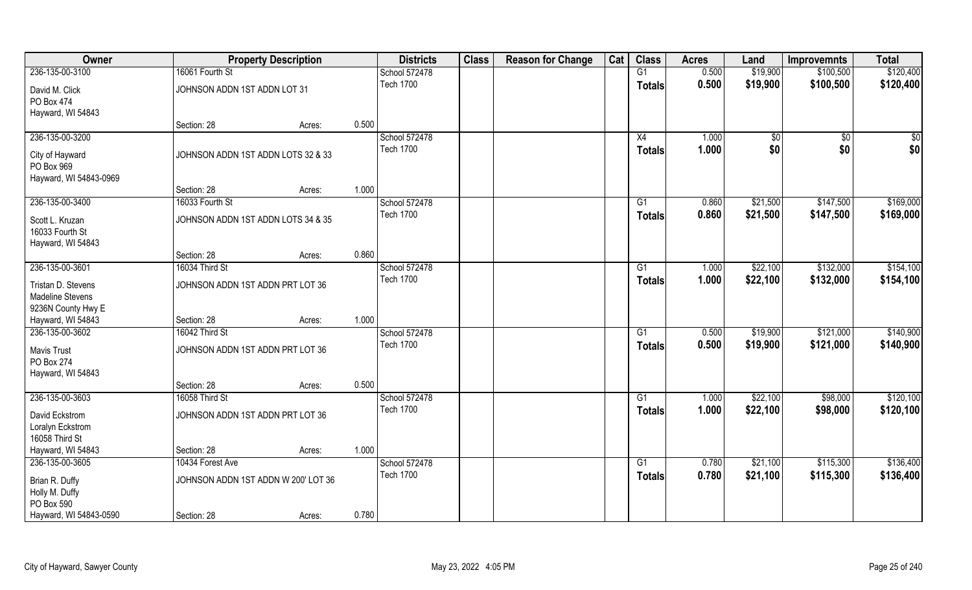| Owner                                                               |                                     | <b>Property Description</b> |       | <b>Districts</b> | <b>Class</b> | <b>Reason for Change</b> | Cat | <b>Class</b>    | <b>Acres</b> | Land        | <b>Improvemnts</b> | <b>Total</b> |
|---------------------------------------------------------------------|-------------------------------------|-----------------------------|-------|------------------|--------------|--------------------------|-----|-----------------|--------------|-------------|--------------------|--------------|
| 236-135-00-3100                                                     | 16061 Fourth St                     |                             |       | School 572478    |              |                          |     | G1              | 0.500        | \$19,900    | \$100,500          | \$120,400    |
| David M. Click<br>PO Box 474                                        | JOHNSON ADDN 1ST ADDN LOT 31        |                             |       | <b>Tech 1700</b> |              |                          |     | <b>Totals</b>   | 0.500        | \$19,900    | \$100,500          | \$120,400    |
| Hayward, WI 54843                                                   |                                     |                             |       |                  |              |                          |     |                 |              |             |                    |              |
|                                                                     | Section: 28                         | Acres:                      | 0.500 |                  |              |                          |     |                 |              |             |                    |              |
| 236-135-00-3200                                                     |                                     |                             |       | School 572478    |              |                          |     | X4              | 1.000        | $\sqrt{50}$ | $\overline{50}$    | \$0          |
| City of Hayward<br>PO Box 969<br>Hayward, WI 54843-0969             | JOHNSON ADDN 1ST ADDN LOTS 32 & 33  |                             |       | <b>Tech 1700</b> |              |                          |     | <b>Totals</b>   | 1.000        | \$0         | \$0                | \$0          |
|                                                                     | Section: 28                         | Acres:                      | 1.000 |                  |              |                          |     |                 |              |             |                    |              |
| 236-135-00-3400                                                     | 16033 Fourth St                     |                             |       | School 572478    |              |                          |     | G1              | 0.860        | \$21,500    | \$147,500          | \$169,000    |
| Scott L. Kruzan<br>16033 Fourth St<br>Hayward, WI 54843             | JOHNSON ADDN 1ST ADDN LOTS 34 & 35  |                             |       | <b>Tech 1700</b> |              |                          |     | <b>Totals</b>   | 0.860        | \$21,500    | \$147,500          | \$169,000    |
|                                                                     | Section: 28                         | Acres:                      | 0.860 |                  |              |                          |     |                 |              |             |                    |              |
| 236-135-00-3601                                                     | 16034 Third St                      |                             |       | School 572478    |              |                          |     | G1              | 1.000        | \$22,100    | \$132,000          | \$154,100    |
| Tristan D. Stevens<br><b>Madeline Stevens</b><br>9236N County Hwy E | JOHNSON ADDN 1ST ADDN PRT LOT 36    |                             |       | <b>Tech 1700</b> |              |                          |     | <b>Totals</b>   | 1.000        | \$22,100    | \$132,000          | \$154,100    |
| Hayward, WI 54843                                                   | Section: 28                         | Acres:                      | 1.000 |                  |              |                          |     |                 |              |             |                    |              |
| 236-135-00-3602                                                     | 16042 Third St                      |                             |       | School 572478    |              |                          |     | $\overline{G1}$ | 0.500        | \$19,900    | \$121,000          | \$140,900    |
| <b>Mavis Trust</b><br><b>PO Box 274</b><br>Hayward, WI 54843        | JOHNSON ADDN 1ST ADDN PRT LOT 36    |                             |       | <b>Tech 1700</b> |              |                          |     | <b>Totals</b>   | 0.500        | \$19,900    | \$121,000          | \$140,900    |
|                                                                     | Section: 28                         | Acres:                      | 0.500 |                  |              |                          |     |                 |              |             |                    |              |
| 236-135-00-3603                                                     | 16058 Third St                      |                             |       | School 572478    |              |                          |     | G1              | 1.000        | \$22,100    | \$98,000           | \$120,100    |
| David Eckstrom<br>Loralyn Eckstrom<br>16058 Third St                | JOHNSON ADDN 1ST ADDN PRT LOT 36    |                             |       | <b>Tech 1700</b> |              |                          |     | <b>Totals</b>   | 1.000        | \$22,100    | \$98,000           | \$120,100    |
| Hayward, WI 54843                                                   | Section: 28                         | Acres:                      | 1.000 |                  |              |                          |     |                 |              |             |                    |              |
| 236-135-00-3605                                                     | 10434 Forest Ave                    |                             |       | School 572478    |              |                          |     | $\overline{G1}$ | 0.780        | \$21,100    | \$115,300          | \$136,400    |
| Brian R. Duffy<br>Holly M. Duffy<br>PO Box 590                      | JOHNSON ADDN 1ST ADDN W 200' LOT 36 |                             |       | <b>Tech 1700</b> |              |                          |     | <b>Totals</b>   | 0.780        | \$21,100    | \$115,300          | \$136,400    |
| Hayward, WI 54843-0590                                              | Section: 28                         | Acres:                      | 0.780 |                  |              |                          |     |                 |              |             |                    |              |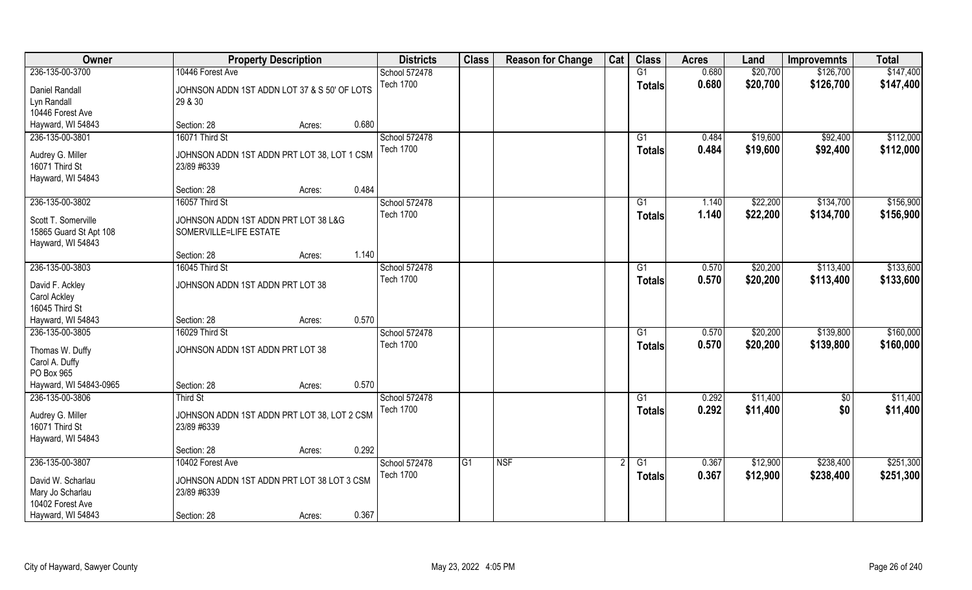| Owner                                                              | <b>Property Description</b>                                    |                 | <b>Districts</b> | <b>Class</b> | <b>Reason for Change</b> | Cat | <b>Class</b>  | <b>Acres</b> | Land     | <b>Improvemnts</b> | <b>Total</b> |
|--------------------------------------------------------------------|----------------------------------------------------------------|-----------------|------------------|--------------|--------------------------|-----|---------------|--------------|----------|--------------------|--------------|
| 236-135-00-3700                                                    | 10446 Forest Ave                                               |                 | School 572478    |              |                          |     | G1            | 0.680        | \$20,700 | \$126,700          | \$147,400    |
| Daniel Randall<br>Lyn Randall                                      | JOHNSON ADDN 1ST ADDN LOT 37 & S 50' OF LOTS<br>29 & 30        |                 | <b>Tech 1700</b> |              |                          |     | <b>Totals</b> | 0.680        | \$20,700 | \$126,700          | \$147,400    |
| 10446 Forest Ave                                                   |                                                                |                 |                  |              |                          |     |               |              |          |                    |              |
| Hayward, WI 54843                                                  | Section: 28                                                    | 0.680<br>Acres: |                  |              |                          |     |               |              |          |                    |              |
| 236-135-00-3801                                                    | 16071 Third St                                                 |                 | School 572478    |              |                          |     | G1            | 0.484        | \$19,600 | \$92,400           | \$112,000    |
| Audrey G. Miller<br>16071 Third St<br>Hayward, WI 54843            | JOHNSON ADDN 1ST ADDN PRT LOT 38, LOT 1 CSM<br>23/89 #6339     |                 | <b>Tech 1700</b> |              |                          |     | Totals        | 0.484        | \$19,600 | \$92,400           | \$112,000    |
|                                                                    | Section: 28                                                    | 0.484<br>Acres: |                  |              |                          |     |               |              |          |                    |              |
| 236-135-00-3802                                                    | 16057 Third St                                                 |                 | School 572478    |              |                          |     | G1            | 1.140        | \$22,200 | \$134,700          | \$156,900    |
| Scott T. Somerville<br>15865 Guard St Apt 108<br>Hayward, WI 54843 | JOHNSON ADDN 1ST ADDN PRT LOT 38 L&G<br>SOMERVILLE=LIFE ESTATE |                 | <b>Tech 1700</b> |              |                          |     | <b>Totals</b> | 1.140        | \$22,200 | \$134,700          | \$156,900    |
|                                                                    | Section: 28                                                    | 1.140<br>Acres: |                  |              |                          |     |               |              |          |                    |              |
| 236-135-00-3803                                                    | 16045 Third St                                                 |                 | School 572478    |              |                          |     | G1            | 0.570        | \$20,200 | \$113,400          | \$133,600    |
| David F. Ackley<br><b>Carol Ackley</b>                             | JOHNSON ADDN 1ST ADDN PRT LOT 38                               |                 | <b>Tech 1700</b> |              |                          |     | <b>Totals</b> | 0.570        | \$20,200 | \$113,400          | \$133,600    |
| 16045 Third St<br>Hayward, WI 54843                                | Section: 28                                                    | 0.570           |                  |              |                          |     |               |              |          |                    |              |
| 236-135-00-3805                                                    | 16029 Third St                                                 | Acres:          | School 572478    |              |                          |     | G1            | 0.570        | \$20,200 | \$139,800          | \$160,000    |
|                                                                    |                                                                |                 | <b>Tech 1700</b> |              |                          |     |               | 0.570        |          |                    |              |
| Thomas W. Duffy<br>Carol A. Duffy                                  | JOHNSON ADDN 1ST ADDN PRT LOT 38                               |                 |                  |              |                          |     | <b>Totals</b> |              | \$20,200 | \$139,800          | \$160,000    |
| PO Box 965                                                         |                                                                |                 |                  |              |                          |     |               |              |          |                    |              |
| Hayward, WI 54843-0965                                             | Section: 28                                                    | 0.570<br>Acres: |                  |              |                          |     |               |              |          |                    |              |
| 236-135-00-3806                                                    | Third St                                                       |                 | School 572478    |              |                          |     | G1            | 0.292        | \$11,400 | $\overline{50}$    | \$11,400     |
| Audrey G. Miller<br>16071 Third St<br>Hayward, WI 54843            | JOHNSON ADDN 1ST ADDN PRT LOT 38, LOT 2 CSM<br>23/89 #6339     |                 | <b>Tech 1700</b> |              |                          |     | <b>Totals</b> | 0.292        | \$11,400 | \$0                | \$11,400     |
|                                                                    | Section: 28                                                    | 0.292<br>Acres: |                  |              |                          |     |               |              |          |                    |              |
| 236-135-00-3807                                                    | 10402 Forest Ave                                               |                 | School 572478    | G1           | <b>NSF</b>               |     | G1            | 0.367        | \$12,900 | \$238,400          | \$251,300    |
| David W. Scharlau<br>Mary Jo Scharlau                              | JOHNSON ADDN 1ST ADDN PRT LOT 38 LOT 3 CSM<br>23/89 #6339      |                 | <b>Tech 1700</b> |              |                          |     | Totals        | 0.367        | \$12,900 | \$238,400          | \$251,300    |
| 10402 Forest Ave<br>Hayward, WI 54843                              | Section: 28                                                    | 0.367<br>Acres: |                  |              |                          |     |               |              |          |                    |              |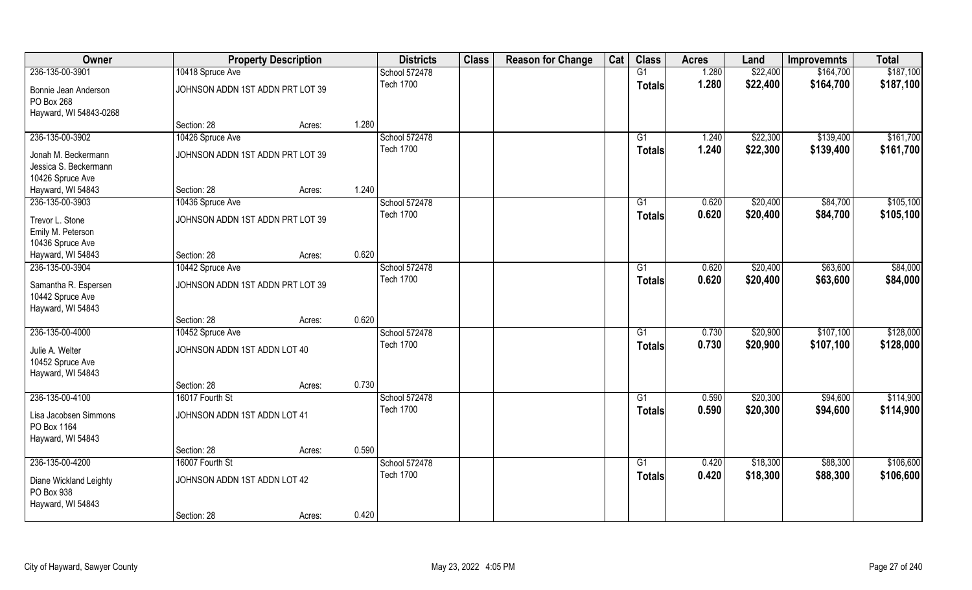| Owner                                                         |                                  | <b>Property Description</b> | <b>Districts</b> | <b>Class</b> | <b>Reason for Change</b> | Cat | <b>Class</b>    | <b>Acres</b> | Land     | <b>Improvemnts</b> | <b>Total</b> |
|---------------------------------------------------------------|----------------------------------|-----------------------------|------------------|--------------|--------------------------|-----|-----------------|--------------|----------|--------------------|--------------|
| 236-135-00-3901                                               | 10418 Spruce Ave                 |                             | School 572478    |              |                          |     | G1              | 1.280        | \$22,400 | \$164,700          | \$187,100    |
| Bonnie Jean Anderson<br>PO Box 268<br>Hayward, WI 54843-0268  | JOHNSON ADDN 1ST ADDN PRT LOT 39 |                             | <b>Tech 1700</b> |              |                          |     | <b>Totals</b>   | 1.280        | \$22,400 | \$164,700          | \$187,100    |
|                                                               | Section: 28                      | Acres:                      | 1.280            |              |                          |     |                 |              |          |                    |              |
| 236-135-00-3902                                               | 10426 Spruce Ave                 |                             | School 572478    |              |                          |     | G1              | 1.240        | \$22,300 | \$139,400          | \$161,700    |
| Jonah M. Beckermann                                           | JOHNSON ADDN 1ST ADDN PRT LOT 39 |                             | <b>Tech 1700</b> |              |                          |     | Totals          | 1.240        | \$22,300 | \$139,400          | \$161,700    |
| Jessica S. Beckermann                                         |                                  |                             |                  |              |                          |     |                 |              |          |                    |              |
| 10426 Spruce Ave                                              |                                  |                             |                  |              |                          |     |                 |              |          |                    |              |
| Hayward, WI 54843                                             | Section: 28                      | Acres:                      | 1.240            |              |                          |     |                 |              |          |                    |              |
| 236-135-00-3903                                               | 10436 Spruce Ave                 |                             | School 572478    |              |                          |     | G1              | 0.620        | \$20,400 | \$84,700           | \$105,100    |
| Trevor L. Stone                                               | JOHNSON ADDN 1ST ADDN PRT LOT 39 |                             | <b>Tech 1700</b> |              |                          |     | <b>Totals</b>   | 0.620        | \$20,400 | \$84,700           | \$105,100    |
| Emily M. Peterson                                             |                                  |                             |                  |              |                          |     |                 |              |          |                    |              |
| 10436 Spruce Ave                                              |                                  |                             |                  |              |                          |     |                 |              |          |                    |              |
| Hayward, WI 54843                                             | Section: 28                      | Acres:                      | 0.620            |              |                          |     |                 |              |          |                    |              |
| 236-135-00-3904                                               | 10442 Spruce Ave                 |                             | School 572478    |              |                          |     | G1              | 0.620        | \$20,400 | \$63,600           | \$84,000     |
| Samantha R. Espersen<br>10442 Spruce Ave<br>Hayward, WI 54843 | JOHNSON ADDN 1ST ADDN PRT LOT 39 |                             | <b>Tech 1700</b> |              |                          |     | <b>Totals</b>   | 0.620        | \$20,400 | \$63,600           | \$84,000     |
|                                                               | Section: 28                      | Acres:                      | 0.620            |              |                          |     |                 |              |          |                    |              |
| 236-135-00-4000                                               | 10452 Spruce Ave                 |                             | School 572478    |              |                          |     | G1              | 0.730        | \$20,900 | \$107,100          | \$128,000    |
| Julie A. Welter                                               | JOHNSON ADDN 1ST ADDN LOT 40     |                             | <b>Tech 1700</b> |              |                          |     | Totals          | 0.730        | \$20,900 | \$107,100          | \$128,000    |
| 10452 Spruce Ave<br>Hayward, WI 54843                         |                                  |                             |                  |              |                          |     |                 |              |          |                    |              |
|                                                               | Section: 28                      | Acres:                      | 0.730            |              |                          |     |                 |              |          |                    |              |
| 236-135-00-4100                                               | 16017 Fourth St                  |                             | School 572478    |              |                          |     | G1              | 0.590        | \$20,300 | \$94,600           | \$114,900    |
| Lisa Jacobsen Simmons<br>PO Box 1164<br>Hayward, WI 54843     | JOHNSON ADDN 1ST ADDN LOT 41     |                             | <b>Tech 1700</b> |              |                          |     | <b>Totals</b>   | 0.590        | \$20,300 | \$94,600           | \$114,900    |
|                                                               | Section: 28                      | Acres:                      | 0.590            |              |                          |     |                 |              |          |                    |              |
| 236-135-00-4200                                               | 16007 Fourth St                  |                             | School 572478    |              |                          |     | $\overline{G1}$ | 0.420        | \$18,300 | \$88,300           | \$106,600    |
| Diane Wickland Leighty<br>PO Box 938                          | JOHNSON ADDN 1ST ADDN LOT 42     |                             | <b>Tech 1700</b> |              |                          |     | Totals          | 0.420        | \$18,300 | \$88,300           | \$106,600    |
| Hayward, WI 54843                                             | Section: 28                      | Acres:                      | 0.420            |              |                          |     |                 |              |          |                    |              |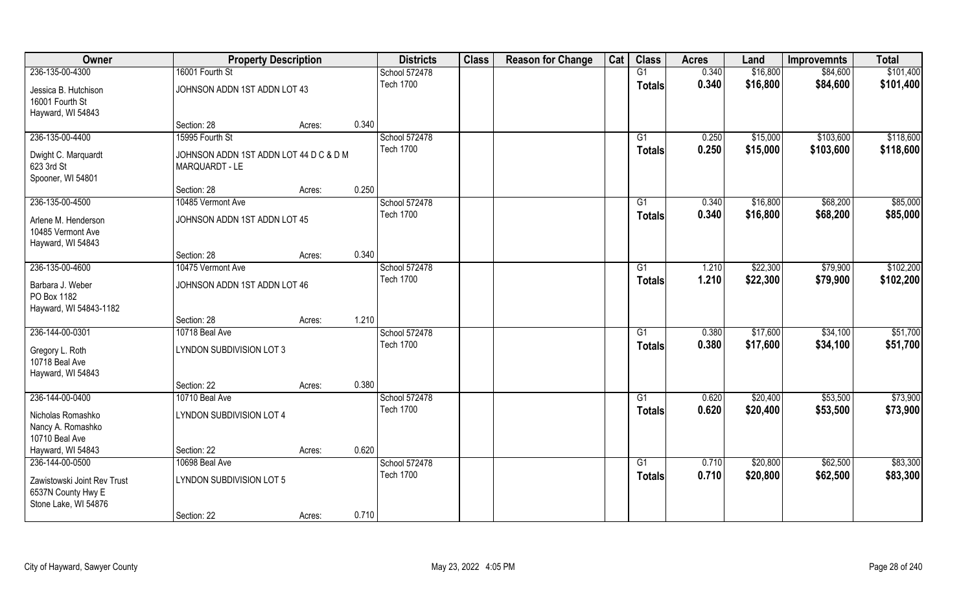| Owner                                                                            | <b>Property Description</b>                               |        |       | <b>Districts</b>                  | <b>Class</b> | <b>Reason for Change</b> | Cat | <b>Class</b>        | <b>Acres</b>   | Land                 | <b>Improvemnts</b>     | <b>Total</b>           |
|----------------------------------------------------------------------------------|-----------------------------------------------------------|--------|-------|-----------------------------------|--------------|--------------------------|-----|---------------------|----------------|----------------------|------------------------|------------------------|
| 236-135-00-4300                                                                  | 16001 Fourth St                                           |        |       | School 572478                     |              |                          |     | G1                  | 0.340          | \$16,800             | \$84,600               | \$101,400              |
| Jessica B. Hutchison<br>16001 Fourth St<br>Hayward, WI 54843                     | JOHNSON ADDN 1ST ADDN LOT 43                              |        |       | <b>Tech 1700</b>                  |              |                          |     | <b>Totals</b>       | 0.340          | \$16,800             | \$84,600               | \$101,400              |
|                                                                                  | Section: 28                                               | Acres: | 0.340 |                                   |              |                          |     |                     |                |                      |                        |                        |
| 236-135-00-4400<br>Dwight C. Marquardt                                           | 15995 Fourth St<br>JOHNSON ADDN 1ST ADDN LOT 44 D C & D M |        |       | School 572478<br><b>Tech 1700</b> |              |                          |     | G1<br><b>Totals</b> | 0.250<br>0.250 | \$15,000<br>\$15,000 | \$103,600<br>\$103,600 | \$118,600<br>\$118,600 |
| 623 3rd St<br>Spooner, WI 54801                                                  | MARQUARDT - LE                                            |        |       |                                   |              |                          |     |                     |                |                      |                        |                        |
|                                                                                  | Section: 28                                               | Acres: | 0.250 |                                   |              |                          |     |                     |                |                      |                        | \$85,000               |
| 236-135-00-4500<br>Arlene M. Henderson<br>10485 Vermont Ave<br>Hayward, WI 54843 | 10485 Vermont Ave<br>JOHNSON ADDN 1ST ADDN LOT 45         |        |       | School 572478<br><b>Tech 1700</b> |              |                          |     | G1<br><b>Totals</b> | 0.340<br>0.340 | \$16,800<br>\$16,800 | \$68,200<br>\$68,200   | \$85,000               |
|                                                                                  | Section: 28                                               | Acres: | 0.340 |                                   |              |                          |     |                     |                |                      |                        |                        |
| 236-135-00-4600                                                                  | 10475 Vermont Ave                                         |        |       | School 572478                     |              |                          |     | G1                  | 1.210          | \$22,300             | \$79,900               | \$102,200              |
| Barbara J. Weber<br>PO Box 1182<br>Hayward, WI 54843-1182                        | JOHNSON ADDN 1ST ADDN LOT 46                              |        |       | <b>Tech 1700</b>                  |              |                          |     | <b>Totals</b>       | 1.210          | \$22,300             | \$79,900               | \$102,200              |
|                                                                                  | Section: 28                                               | Acres: | 1.210 |                                   |              |                          |     |                     |                |                      |                        |                        |
| 236-144-00-0301                                                                  | 10718 Beal Ave                                            |        |       | School 572478                     |              |                          |     | G1                  | 0.380          | \$17,600             | \$34,100               | \$51,700               |
| Gregory L. Roth<br>10718 Beal Ave<br>Hayward, WI 54843                           | LYNDON SUBDIVISION LOT 3                                  |        |       | <b>Tech 1700</b>                  |              |                          |     | <b>Totals</b>       | 0.380          | \$17,600             | \$34,100               | \$51,700               |
|                                                                                  | Section: 22                                               | Acres: | 0.380 |                                   |              |                          |     |                     |                |                      |                        |                        |
| 236-144-00-0400                                                                  | 10710 Beal Ave                                            |        |       | School 572478                     |              |                          |     | G1                  | 0.620          | \$20,400             | \$53,500               | \$73,900               |
| Nicholas Romashko<br>Nancy A. Romashko<br>10710 Beal Ave                         | LYNDON SUBDIVISION LOT 4                                  |        |       | <b>Tech 1700</b>                  |              |                          |     | <b>Totals</b>       | 0.620          | \$20,400             | \$53,500               | \$73,900               |
| Hayward, WI 54843                                                                | Section: 22                                               | Acres: | 0.620 |                                   |              |                          |     |                     |                |                      |                        |                        |
| 236-144-00-0500                                                                  | 10698 Beal Ave                                            |        |       | School 572478                     |              |                          |     | G1                  | 0.710          | \$20,800             | \$62,500               | \$83,300               |
| Zawistowski Joint Rev Trust<br>6537N County Hwy E<br>Stone Lake, WI 54876        | LYNDON SUBDIVISION LOT 5                                  |        |       | <b>Tech 1700</b>                  |              |                          |     | <b>Totals</b>       | 0.710          | \$20,800             | \$62,500               | \$83,300               |
|                                                                                  | Section: 22                                               | Acres: | 0.710 |                                   |              |                          |     |                     |                |                      |                        |                        |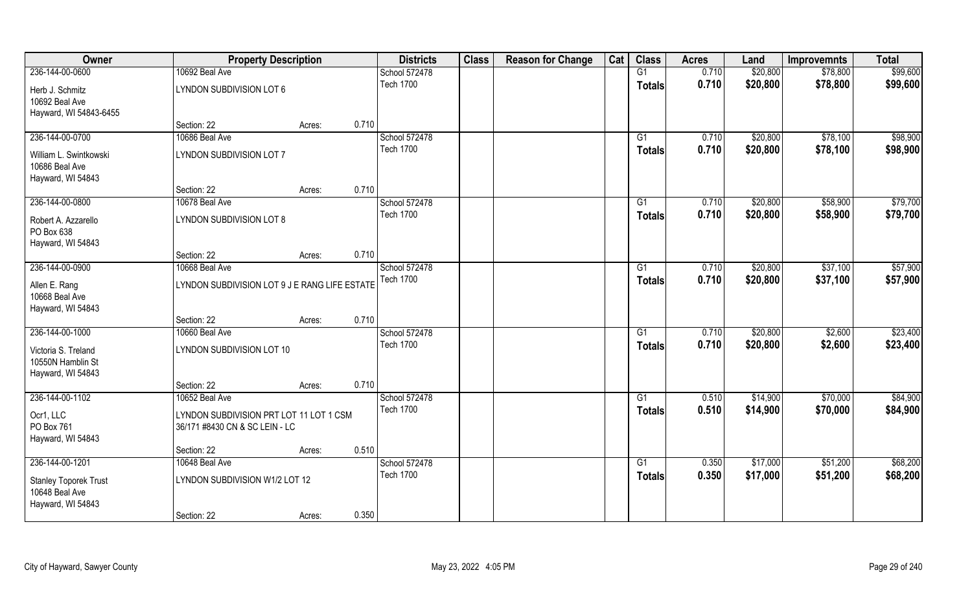| Owner                                                               | <b>Property Description</b>                                               |        |       | <b>Districts</b> | <b>Class</b> | <b>Reason for Change</b> | Cat | <b>Class</b>    | <b>Acres</b> | Land     | <b>Improvemnts</b> | <b>Total</b> |
|---------------------------------------------------------------------|---------------------------------------------------------------------------|--------|-------|------------------|--------------|--------------------------|-----|-----------------|--------------|----------|--------------------|--------------|
| 236-144-00-0600                                                     | 10692 Beal Ave                                                            |        |       | School 572478    |              |                          |     | G1              | 0.710        | \$20,800 | \$78,800           | \$99,600     |
| Herb J. Schmitz<br>10692 Beal Ave<br>Hayward, WI 54843-6455         | LYNDON SUBDIVISION LOT 6                                                  |        |       | <b>Tech 1700</b> |              |                          |     | <b>Totals</b>   | 0.710        | \$20,800 | \$78,800           | \$99,600     |
|                                                                     | Section: 22                                                               | Acres: | 0.710 |                  |              |                          |     |                 |              |          |                    |              |
| 236-144-00-0700                                                     | 10686 Beal Ave                                                            |        |       | School 572478    |              |                          |     | G1              | 0.710        | \$20,800 | \$78,100           | \$98,900     |
| William L. Swintkowski<br>10686 Beal Ave<br>Hayward, WI 54843       | LYNDON SUBDIVISION LOT 7                                                  |        |       | <b>Tech 1700</b> |              |                          |     | Totals          | 0.710        | \$20,800 | \$78,100           | \$98,900     |
|                                                                     | Section: 22                                                               | Acres: | 0.710 |                  |              |                          |     |                 |              |          |                    |              |
| 236-144-00-0800                                                     | 10678 Beal Ave                                                            |        |       | School 572478    |              |                          |     | G1              | 0.710        | \$20,800 | \$58,900           | \$79,700     |
| Robert A. Azzarello<br>PO Box 638<br>Hayward, WI 54843              | LYNDON SUBDIVISION LOT 8                                                  |        |       | <b>Tech 1700</b> |              |                          |     | <b>Totals</b>   | 0.710        | \$20,800 | \$58,900           | \$79,700     |
|                                                                     | Section: 22                                                               | Acres: | 0.710 |                  |              |                          |     |                 |              |          |                    |              |
| 236-144-00-0900                                                     | 10668 Beal Ave                                                            |        |       | School 572478    |              |                          |     | G1              | 0.710        | \$20,800 | \$37,100           | \$57,900     |
| Allen E. Rang<br>10668 Beal Ave<br>Hayward, WI 54843                | LYNDON SUBDIVISION LOT 9 J E RANG LIFE ESTATE                             |        |       | <b>Tech 1700</b> |              |                          |     | Totals          | 0.710        | \$20,800 | \$37,100           | \$57,900     |
|                                                                     | Section: 22                                                               | Acres: | 0.710 |                  |              |                          |     |                 |              |          |                    |              |
| 236-144-00-1000                                                     | 10660 Beal Ave                                                            |        |       | School 572478    |              |                          |     | $\overline{G1}$ | 0.710        | \$20,800 | \$2,600            | \$23,400     |
| Victoria S. Treland<br>10550N Hamblin St<br>Hayward, WI 54843       | LYNDON SUBDIVISION LOT 10                                                 |        |       | <b>Tech 1700</b> |              |                          |     | <b>Totals</b>   | 0.710        | \$20,800 | \$2,600            | \$23,400     |
|                                                                     | Section: 22                                                               | Acres: | 0.710 |                  |              |                          |     |                 |              |          |                    |              |
| 236-144-00-1102                                                     | 10652 Beal Ave                                                            |        |       | School 572478    |              |                          |     | G1              | 0.510        | \$14,900 | \$70,000           | \$84,900     |
| Ocr1, LLC<br>PO Box 761<br>Hayward, WI 54843                        | LYNDON SUBDIVISION PRT LOT 11 LOT 1 CSM<br>36/171 #8430 CN & SC LEIN - LC |        |       | <b>Tech 1700</b> |              |                          |     | <b>Totals</b>   | 0.510        | \$14,900 | \$70,000           | \$84,900     |
|                                                                     | Section: 22                                                               | Acres: | 0.510 |                  |              |                          |     |                 |              |          |                    |              |
| 236-144-00-1201                                                     | 10648 Beal Ave                                                            |        |       | School 572478    |              |                          |     | $\overline{G1}$ | 0.350        | \$17,000 | \$51,200           | \$68,200     |
| <b>Stanley Toporek Trust</b><br>10648 Beal Ave<br>Hayward, WI 54843 | LYNDON SUBDIVISION W1/2 LOT 12                                            |        |       | <b>Tech 1700</b> |              |                          |     | <b>Totals</b>   | 0.350        | \$17,000 | \$51,200           | \$68,200     |
|                                                                     | Section: 22                                                               | Acres: | 0.350 |                  |              |                          |     |                 |              |          |                    |              |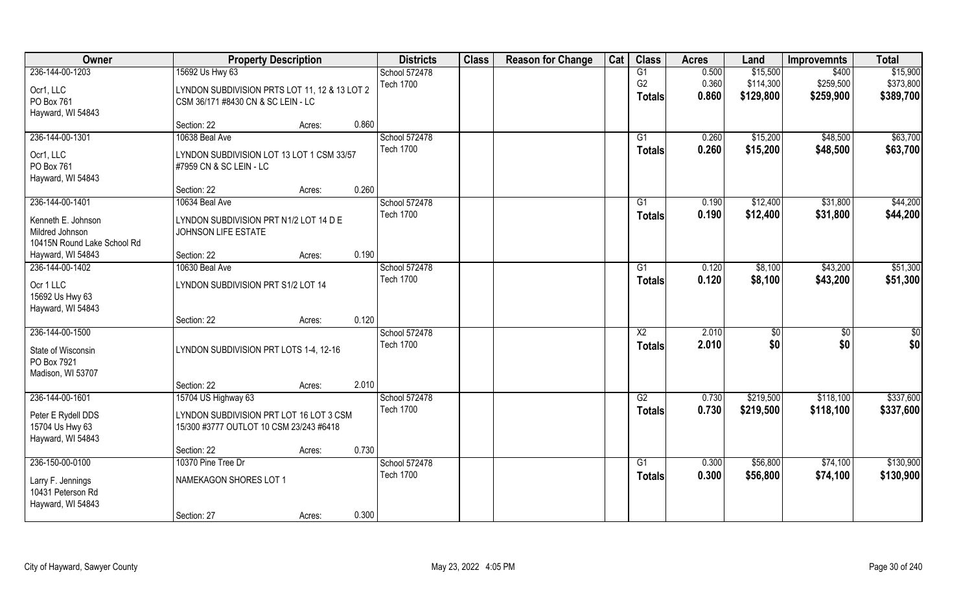| Owner                       | <b>Property Description</b>                   |                 | <b>Districts</b> | <b>Class</b> | <b>Reason for Change</b> | Cat | <b>Class</b>           | <b>Acres</b> | Land      | <b>Improvemnts</b> | <b>Total</b>    |
|-----------------------------|-----------------------------------------------|-----------------|------------------|--------------|--------------------------|-----|------------------------|--------------|-----------|--------------------|-----------------|
| 236-144-00-1203             | 15692 Us Hwy 63                               |                 | School 572478    |              |                          |     | G1                     | 0.500        | \$15,500  | \$400              | \$15,900        |
| Ocr1, LLC                   | LYNDON SUBDIVISION PRTS LOT 11, 12 & 13 LOT 2 |                 | <b>Tech 1700</b> |              |                          |     | G <sub>2</sub>         | 0.360        | \$114,300 | \$259,500          | \$373,800       |
| PO Box 761                  | CSM 36/171 #8430 CN & SC LEIN - LC            |                 |                  |              |                          |     | <b>Totals</b>          | 0.860        | \$129,800 | \$259,900          | \$389,700       |
| Hayward, WI 54843           |                                               |                 |                  |              |                          |     |                        |              |           |                    |                 |
|                             | Section: 22                                   | 0.860<br>Acres: |                  |              |                          |     |                        |              |           |                    |                 |
| 236-144-00-1301             | 10638 Beal Ave                                |                 | School 572478    |              |                          |     | G1                     | 0.260        | \$15,200  | \$48,500           | \$63,700        |
| Ocr1, LLC                   | LYNDON SUBDIVISION LOT 13 LOT 1 CSM 33/57     |                 | <b>Tech 1700</b> |              |                          |     | Totals                 | 0.260        | \$15,200  | \$48,500           | \$63,700        |
| PO Box 761                  | #7959 CN & SC LEIN - LC                       |                 |                  |              |                          |     |                        |              |           |                    |                 |
| Hayward, WI 54843           |                                               |                 |                  |              |                          |     |                        |              |           |                    |                 |
|                             | Section: 22                                   | 0.260<br>Acres: |                  |              |                          |     |                        |              |           |                    |                 |
| 236-144-00-1401             | 10634 Beal Ave                                |                 | School 572478    |              |                          |     | G1                     | 0.190        | \$12,400  | \$31,800           | \$44,200        |
| Kenneth E. Johnson          | LYNDON SUBDIVISION PRT N1/2 LOT 14 D E        |                 | <b>Tech 1700</b> |              |                          |     | <b>Totals</b>          | 0.190        | \$12,400  | \$31,800           | \$44,200        |
| Mildred Johnson             | JOHNSON LIFE ESTATE                           |                 |                  |              |                          |     |                        |              |           |                    |                 |
| 10415N Round Lake School Rd |                                               |                 |                  |              |                          |     |                        |              |           |                    |                 |
| Hayward, WI 54843           | Section: 22                                   | 0.190<br>Acres: |                  |              |                          |     |                        |              |           |                    |                 |
| 236-144-00-1402             | 10630 Beal Ave                                |                 | School 572478    |              |                          |     | G1                     | 0.120        | \$8,100   | \$43,200           | \$51,300        |
| Ocr 1 LLC                   | LYNDON SUBDIVISION PRT S1/2 LOT 14            |                 | <b>Tech 1700</b> |              |                          |     | <b>Totals</b>          | 0.120        | \$8,100   | \$43,200           | \$51,300        |
| 15692 Us Hwy 63             |                                               |                 |                  |              |                          |     |                        |              |           |                    |                 |
| Hayward, WI 54843           |                                               |                 |                  |              |                          |     |                        |              |           |                    |                 |
|                             | Section: 22                                   | 0.120<br>Acres: |                  |              |                          |     |                        |              |           |                    |                 |
| 236-144-00-1500             |                                               |                 | School 572478    |              |                          |     | $\overline{\text{X2}}$ | 2.010        | $ $ \$0   | $\overline{50}$    | $\overline{50}$ |
| State of Wisconsin          | LYNDON SUBDIVISION PRT LOTS 1-4, 12-16        |                 | <b>Tech 1700</b> |              |                          |     | Totals                 | 2.010        | \$0       | \$0                | \$0             |
| PO Box 7921                 |                                               |                 |                  |              |                          |     |                        |              |           |                    |                 |
| Madison, WI 53707           |                                               |                 |                  |              |                          |     |                        |              |           |                    |                 |
|                             | Section: 22                                   | 2.010<br>Acres: |                  |              |                          |     |                        |              |           |                    |                 |
| 236-144-00-1601             | 15704 US Highway 63                           |                 | School 572478    |              |                          |     | G2                     | 0.730        | \$219,500 | \$118,100          | \$337,600       |
| Peter E Rydell DDS          | LYNDON SUBDIVISION PRT LOT 16 LOT 3 CSM       |                 | <b>Tech 1700</b> |              |                          |     | <b>Totals</b>          | 0.730        | \$219,500 | \$118,100          | \$337,600       |
| 15704 Us Hwy 63             | 15/300 #3777 OUTLOT 10 CSM 23/243 #6418       |                 |                  |              |                          |     |                        |              |           |                    |                 |
| Hayward, WI 54843           |                                               |                 |                  |              |                          |     |                        |              |           |                    |                 |
|                             | Section: 22                                   | 0.730<br>Acres: |                  |              |                          |     |                        |              |           |                    |                 |
| 236-150-00-0100             | 10370 Pine Tree Dr                            |                 | School 572478    |              |                          |     | $\overline{G1}$        | 0.300        | \$56,800  | \$74,100           | \$130,900       |
| Larry F. Jennings           | NAMEKAGON SHORES LOT 1                        |                 | <b>Tech 1700</b> |              |                          |     | Totals                 | 0.300        | \$56,800  | \$74,100           | \$130,900       |
| 10431 Peterson Rd           |                                               |                 |                  |              |                          |     |                        |              |           |                    |                 |
| Hayward, WI 54843           |                                               |                 |                  |              |                          |     |                        |              |           |                    |                 |
|                             | Section: 27                                   | 0.300<br>Acres: |                  |              |                          |     |                        |              |           |                    |                 |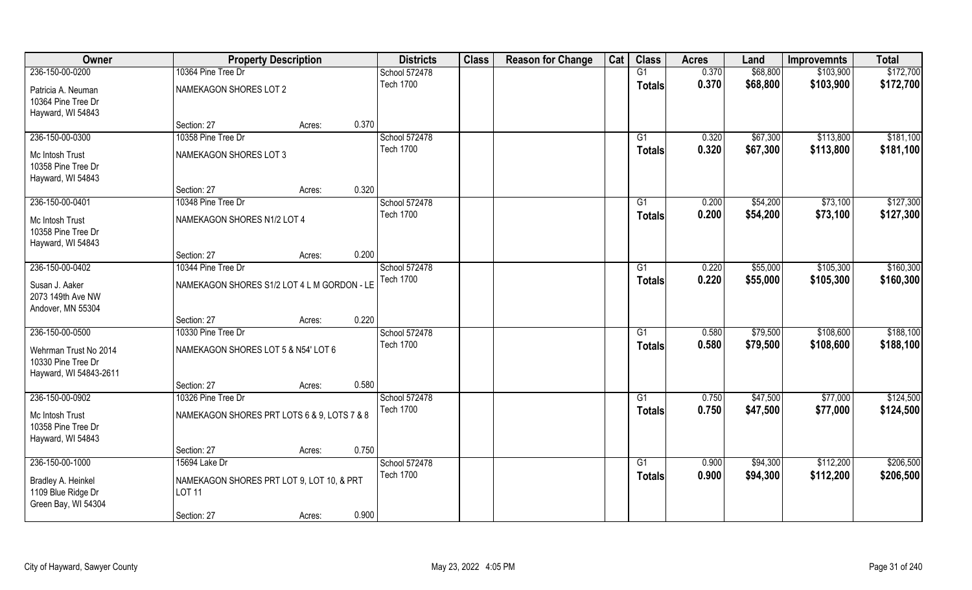| Owner                  | <b>Property Description</b>                 |        |       | <b>Districts</b> | <b>Class</b> | <b>Reason for Change</b> | Cat | <b>Class</b>  | <b>Acres</b> | Land     | <b>Improvemnts</b> | <b>Total</b> |
|------------------------|---------------------------------------------|--------|-------|------------------|--------------|--------------------------|-----|---------------|--------------|----------|--------------------|--------------|
| 236-150-00-0200        | 10364 Pine Tree Dr                          |        |       | School 572478    |              |                          |     | G1            | 0.370        | \$68,800 | \$103,900          | \$172,700    |
| Patricia A. Neuman     | NAMEKAGON SHORES LOT 2                      |        |       | <b>Tech 1700</b> |              |                          |     | <b>Totals</b> | 0.370        | \$68,800 | \$103,900          | \$172,700    |
| 10364 Pine Tree Dr     |                                             |        |       |                  |              |                          |     |               |              |          |                    |              |
| Hayward, WI 54843      |                                             |        |       |                  |              |                          |     |               |              |          |                    |              |
|                        | Section: 27                                 | Acres: | 0.370 |                  |              |                          |     |               |              |          |                    |              |
| 236-150-00-0300        | 10358 Pine Tree Dr                          |        |       | School 572478    |              |                          |     | G1            | 0.320        | \$67,300 | \$113,800          | \$181,100    |
| Mc Intosh Trust        | NAMEKAGON SHORES LOT 3                      |        |       | <b>Tech 1700</b> |              |                          |     | Totals        | 0.320        | \$67,300 | \$113,800          | \$181,100    |
| 10358 Pine Tree Dr     |                                             |        |       |                  |              |                          |     |               |              |          |                    |              |
| Hayward, WI 54843      |                                             |        |       |                  |              |                          |     |               |              |          |                    |              |
|                        | Section: 27                                 | Acres: | 0.320 |                  |              |                          |     |               |              |          |                    |              |
| 236-150-00-0401        | 10348 Pine Tree Dr                          |        |       | School 572478    |              |                          |     | G1            | 0.200        | \$54,200 | \$73,100           | \$127,300    |
| Mc Intosh Trust        | NAMEKAGON SHORES N1/2 LOT 4                 |        |       | <b>Tech 1700</b> |              |                          |     | <b>Totals</b> | 0.200        | \$54,200 | \$73,100           | \$127,300    |
| 10358 Pine Tree Dr     |                                             |        |       |                  |              |                          |     |               |              |          |                    |              |
| Hayward, WI 54843      |                                             |        |       |                  |              |                          |     |               |              |          |                    |              |
|                        | Section: 27                                 | Acres: | 0.200 |                  |              |                          |     |               |              |          |                    |              |
| 236-150-00-0402        | 10344 Pine Tree Dr                          |        |       | School 572478    |              |                          |     | G1            | 0.220        | \$55,000 | \$105,300          | \$160,300    |
|                        |                                             |        |       | <b>Tech 1700</b> |              |                          |     | <b>Totals</b> | 0.220        | \$55,000 | \$105,300          | \$160,300    |
| Susan J. Aaker         | NAMEKAGON SHORES S1/2 LOT 4 L M GORDON - LE |        |       |                  |              |                          |     |               |              |          |                    |              |
| 2073 149th Ave NW      |                                             |        |       |                  |              |                          |     |               |              |          |                    |              |
| Andover, MN 55304      | Section: 27                                 | Acres: | 0.220 |                  |              |                          |     |               |              |          |                    |              |
| 236-150-00-0500        | 10330 Pine Tree Dr                          |        |       | School 572478    |              |                          |     | G1            | 0.580        | \$79,500 | \$108,600          | \$188,100    |
|                        |                                             |        |       | <b>Tech 1700</b> |              |                          |     |               | 0.580        |          |                    | \$188,100    |
| Wehrman Trust No 2014  | NAMEKAGON SHORES LOT 5 & N54' LOT 6         |        |       |                  |              |                          |     | <b>Totals</b> |              | \$79,500 | \$108,600          |              |
| 10330 Pine Tree Dr     |                                             |        |       |                  |              |                          |     |               |              |          |                    |              |
| Hayward, WI 54843-2611 |                                             |        |       |                  |              |                          |     |               |              |          |                    |              |
|                        | Section: 27                                 | Acres: | 0.580 |                  |              |                          |     |               |              |          |                    |              |
| 236-150-00-0902        | 10326 Pine Tree Dr                          |        |       | School 572478    |              |                          |     | G1            | 0.750        | \$47,500 | \$77,000           | \$124,500    |
| Mc Intosh Trust        | NAMEKAGON SHORES PRT LOTS 6 & 9, LOTS 7 & 8 |        |       | <b>Tech 1700</b> |              |                          |     | <b>Totals</b> | 0.750        | \$47,500 | \$77,000           | \$124,500    |
| 10358 Pine Tree Dr     |                                             |        |       |                  |              |                          |     |               |              |          |                    |              |
| Hayward, WI 54843      |                                             |        |       |                  |              |                          |     |               |              |          |                    |              |
|                        | Section: 27                                 | Acres: | 0.750 |                  |              |                          |     |               |              |          |                    |              |
| 236-150-00-1000        | 15694 Lake Dr                               |        |       | School 572478    |              |                          |     | G1            | 0.900        | \$94,300 | \$112,200          | \$206,500    |
| Bradley A. Heinkel     | NAMEKAGON SHORES PRT LOT 9, LOT 10, & PRT   |        |       | <b>Tech 1700</b> |              |                          |     | <b>Totals</b> | 0.900        | \$94,300 | \$112,200          | \$206,500    |
| 1109 Blue Ridge Dr     | <b>LOT 11</b>                               |        |       |                  |              |                          |     |               |              |          |                    |              |
| Green Bay, WI 54304    |                                             |        |       |                  |              |                          |     |               |              |          |                    |              |
|                        | Section: 27                                 | Acres: | 0.900 |                  |              |                          |     |               |              |          |                    |              |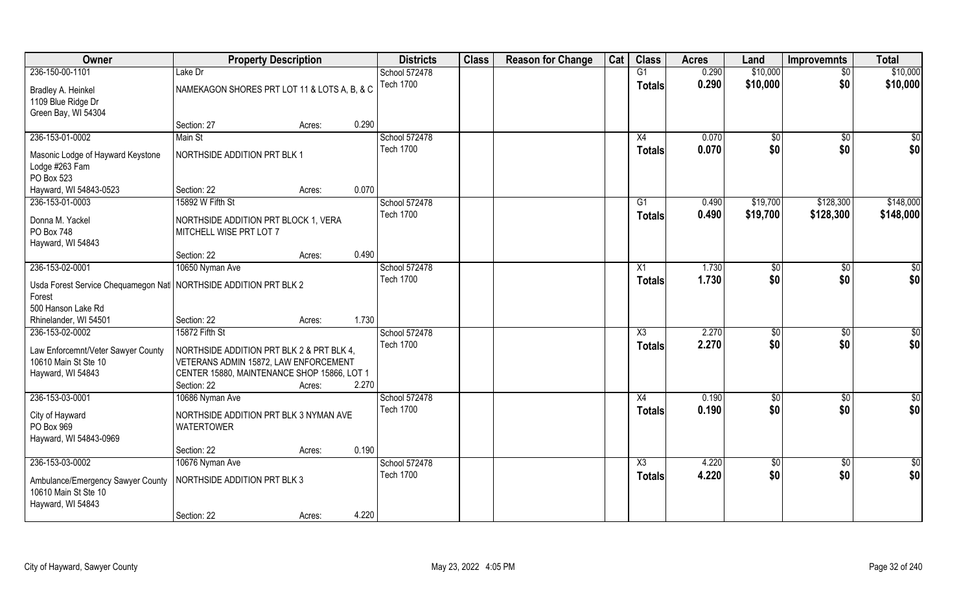| Owner                                                                          | <b>Property Description</b>                                     |        |       | <b>Districts</b> | <b>Class</b> | <b>Reason for Change</b> | Cat | <b>Class</b>           | <b>Acres</b> | Land        | <b>Improvemnts</b> | <b>Total</b>    |
|--------------------------------------------------------------------------------|-----------------------------------------------------------------|--------|-------|------------------|--------------|--------------------------|-----|------------------------|--------------|-------------|--------------------|-----------------|
| 236-150-00-1101                                                                | Lake Dr                                                         |        |       | School 572478    |              |                          |     | G1                     | 0.290        | \$10,000    | $\sqrt{$0}$        | \$10,000        |
| Bradley A. Heinkel                                                             | NAMEKAGON SHORES PRT LOT 11 & LOTS A, B, & C                    |        |       | <b>Tech 1700</b> |              |                          |     | <b>Totals</b>          | 0.290        | \$10,000    | \$0                | \$10,000        |
| 1109 Blue Ridge Dr                                                             |                                                                 |        |       |                  |              |                          |     |                        |              |             |                    |                 |
| Green Bay, WI 54304                                                            |                                                                 |        |       |                  |              |                          |     |                        |              |             |                    |                 |
|                                                                                | Section: 27                                                     | Acres: | 0.290 |                  |              |                          |     |                        |              |             |                    |                 |
| 236-153-01-0002                                                                | Main St                                                         |        |       | School 572478    |              |                          |     | X4                     | 0.070        | \$0         | \$0                | $\sqrt{50}$     |
| Masonic Lodge of Hayward Keystone<br>Lodge #263 Fam                            | NORTHSIDE ADDITION PRT BLK 1                                    |        |       | <b>Tech 1700</b> |              |                          |     | Totals                 | 0.070        | \$0         | \$0                | \$0             |
| PO Box 523                                                                     |                                                                 |        |       |                  |              |                          |     |                        |              |             |                    |                 |
| Hayward, WI 54843-0523                                                         | Section: 22                                                     | Acres: | 0.070 |                  |              |                          |     |                        |              |             |                    |                 |
| 236-153-01-0003                                                                | 15892 W Fifth St                                                |        |       | School 572478    |              |                          |     | G1                     | 0.490        | \$19,700    | \$128,300          | \$148,000       |
| Donna M. Yackel<br>PO Box 748                                                  | NORTHSIDE ADDITION PRT BLOCK 1, VERA<br>MITCHELL WISE PRT LOT 7 |        |       | <b>Tech 1700</b> |              |                          |     | <b>Totals</b>          | 0.490        | \$19,700    | \$128,300          | \$148,000       |
| Hayward, WI 54843                                                              |                                                                 |        |       |                  |              |                          |     |                        |              |             |                    |                 |
|                                                                                | Section: 22                                                     | Acres: | 0.490 |                  |              |                          |     |                        |              |             |                    |                 |
| 236-153-02-0001                                                                | 10650 Nyman Ave                                                 |        |       | School 572478    |              |                          |     | X1                     | 1.730        | \$0         | $\sqrt[6]{30}$     | \$0             |
|                                                                                |                                                                 |        |       | <b>Tech 1700</b> |              |                          |     | <b>Totals</b>          | 1.730        | \$0         | \$0                | \$0             |
| Usda Forest Service Chequamegon Nat   NORTHSIDE ADDITION PRT BLK 2             |                                                                 |        |       |                  |              |                          |     |                        |              |             |                    |                 |
| Forest                                                                         |                                                                 |        |       |                  |              |                          |     |                        |              |             |                    |                 |
| 500 Hanson Lake Rd                                                             |                                                                 |        |       |                  |              |                          |     |                        |              |             |                    |                 |
| Rhinelander, WI 54501                                                          | Section: 22                                                     | Acres: | 1.730 |                  |              |                          |     |                        |              |             |                    |                 |
| 236-153-02-0002                                                                | 15872 Fifth St                                                  |        |       | School 572478    |              |                          |     | $\overline{\text{X3}}$ | 2.270        | \$0         | \$0                | $\overline{50}$ |
| Law Enforcemnt/Veter Sawyer County                                             | NORTHSIDE ADDITION PRT BLK 2 & PRT BLK 4,                       |        |       | <b>Tech 1700</b> |              |                          |     | <b>Totals</b>          | 2.270        | \$0         | \$0                | \$0             |
| 10610 Main St Ste 10                                                           | VETERANS ADMIN 15872, LAW ENFORCEMENT                           |        |       |                  |              |                          |     |                        |              |             |                    |                 |
| Hayward, WI 54843                                                              | CENTER 15880, MAINTENANCE SHOP 15866, LOT 1                     |        |       |                  |              |                          |     |                        |              |             |                    |                 |
|                                                                                | Section: 22                                                     | Acres: | 2.270 |                  |              |                          |     |                        |              |             |                    |                 |
| 236-153-03-0001                                                                | 10686 Nyman Ave                                                 |        |       | School 572478    |              |                          |     | X4                     | 0.190        | \$0         | \$0                | \$0             |
| City of Hayward<br>PO Box 969                                                  | NORTHSIDE ADDITION PRT BLK 3 NYMAN AVE<br><b>WATERTOWER</b>     |        |       | <b>Tech 1700</b> |              |                          |     | <b>Totals</b>          | 0.190        | \$0         | \$0                | \$0             |
| Hayward, WI 54843-0969                                                         |                                                                 |        |       |                  |              |                          |     |                        |              |             |                    |                 |
|                                                                                | Section: 22                                                     | Acres: | 0.190 |                  |              |                          |     |                        |              |             |                    |                 |
| 236-153-03-0002                                                                | 10676 Nyman Ave                                                 |        |       | School 572478    |              |                          |     | $\overline{\text{X3}}$ | 4.220        | $\sqrt{50}$ | $\sqrt{6}$         | $\overline{50}$ |
| Ambulance/Emergency Sawyer County<br>10610 Main St Ste 10<br>Hayward, WI 54843 | NORTHSIDE ADDITION PRT BLK 3                                    |        |       | <b>Tech 1700</b> |              |                          |     | Totals                 | 4.220        | \$0         | \$0                | \$0             |
|                                                                                | Section: 22                                                     | Acres: | 4.220 |                  |              |                          |     |                        |              |             |                    |                 |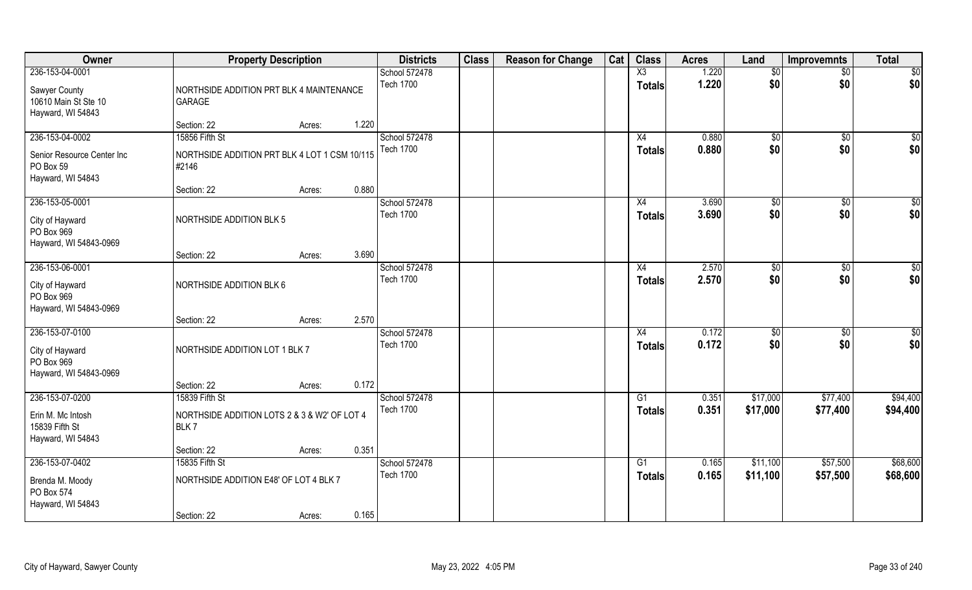| Owner                                                        | <b>Property Description</b>                               |        |       | <b>Districts</b>                  | <b>Class</b> | <b>Reason for Change</b> | Cat | <b>Class</b>                            | <b>Acres</b>   | Land                | Improvemnts            | <b>Total</b> |
|--------------------------------------------------------------|-----------------------------------------------------------|--------|-------|-----------------------------------|--------------|--------------------------|-----|-----------------------------------------|----------------|---------------------|------------------------|--------------|
| 236-153-04-0001                                              |                                                           |        |       | School 572478<br><b>Tech 1700</b> |              |                          |     | $\overline{\text{X3}}$<br><b>Totals</b> | 1.220<br>1.220 | $\sqrt[6]{}$<br>\$0 | $\overline{50}$<br>\$0 | \$0<br>\$0   |
| Sawyer County<br>10610 Main St Ste 10<br>Hayward, WI 54843   | NORTHSIDE ADDITION PRT BLK 4 MAINTENANCE<br><b>GARAGE</b> |        |       |                                   |              |                          |     |                                         |                |                     |                        |              |
|                                                              | Section: 22                                               | Acres: | 1.220 |                                   |              |                          |     |                                         |                |                     |                        |              |
| 236-153-04-0002                                              | 15856 Fifth St                                            |        |       | School 572478                     |              |                          |     | X4                                      | 0.880          | \$0                 | \$0                    | $\sqrt{50}$  |
| Senior Resource Center Inc<br>PO Box 59<br>Hayward, WI 54843 | NORTHSIDE ADDITION PRT BLK 4 LOT 1 CSM 10/115<br>#2146    |        |       | <b>Tech 1700</b>                  |              |                          |     | Totals                                  | 0.880          | \$0                 | \$0                    | \$0          |
|                                                              | Section: 22                                               | Acres: | 0.880 |                                   |              |                          |     |                                         |                |                     |                        |              |
| 236-153-05-0001                                              |                                                           |        |       | School 572478                     |              |                          |     | X4                                      | 3.690          | $\sqrt[6]{2}$       | $\sqrt[6]{3}$          | \$0          |
| City of Hayward<br>PO Box 969<br>Hayward, WI 54843-0969      | <b>NORTHSIDE ADDITION BLK 5</b>                           |        |       | <b>Tech 1700</b>                  |              |                          |     | <b>Totals</b>                           | 3.690          | \$0                 | \$0                    | \$0          |
|                                                              | Section: 22                                               | Acres: | 3.690 |                                   |              |                          |     |                                         |                |                     |                        |              |
| 236-153-06-0001                                              |                                                           |        |       | School 572478                     |              |                          |     | X4                                      | 2.570          | \$0                 | \$0                    | \$0          |
| City of Hayward<br>PO Box 969<br>Hayward, WI 54843-0969      | NORTHSIDE ADDITION BLK 6                                  |        |       | <b>Tech 1700</b>                  |              |                          |     | <b>Totals</b>                           | 2.570          | \$0                 | \$0                    | \$0          |
|                                                              | Section: 22                                               | Acres: | 2.570 |                                   |              |                          |     |                                         |                |                     |                        |              |
| 236-153-07-0100<br>City of Hayward<br>PO Box 969             | NORTHSIDE ADDITION LOT 1 BLK 7                            |        |       | School 572478<br><b>Tech 1700</b> |              |                          |     | X4<br><b>Totals</b>                     | 0.172<br>0.172 | \$0<br>\$0          | $\overline{50}$<br>\$0 | \$0<br>\$0   |
| Hayward, WI 54843-0969                                       | Section: 22                                               | Acres: | 0.172 |                                   |              |                          |     |                                         |                |                     |                        |              |
| 236-153-07-0200                                              | 15839 Fifth St                                            |        |       | School 572478                     |              |                          |     | G1                                      | 0.351          | \$17,000            | \$77,400               | \$94,400     |
| Erin M. Mc Intosh<br>15839 Fifth St<br>Hayward, WI 54843     | NORTHSIDE ADDITION LOTS 2 & 3 & W2' OF LOT 4<br>BLK7      |        |       | <b>Tech 1700</b>                  |              |                          |     | <b>Totals</b>                           | 0.351          | \$17,000            | \$77,400               | \$94,400     |
|                                                              | Section: 22                                               | Acres: | 0.351 |                                   |              |                          |     |                                         |                |                     |                        |              |
| 236-153-07-0402                                              | 15835 Fifth St                                            |        |       | School 572478                     |              |                          |     | G1                                      | 0.165          | \$11,100            | \$57,500               | \$68,600     |
| Brenda M. Moody<br>PO Box 574<br>Hayward, WI 54843           | NORTHSIDE ADDITION E48' OF LOT 4 BLK 7                    |        |       | <b>Tech 1700</b>                  |              |                          |     | <b>Totals</b>                           | 0.165          | \$11,100            | \$57,500               | \$68,600     |
|                                                              | Section: 22                                               | Acres: | 0.165 |                                   |              |                          |     |                                         |                |                     |                        |              |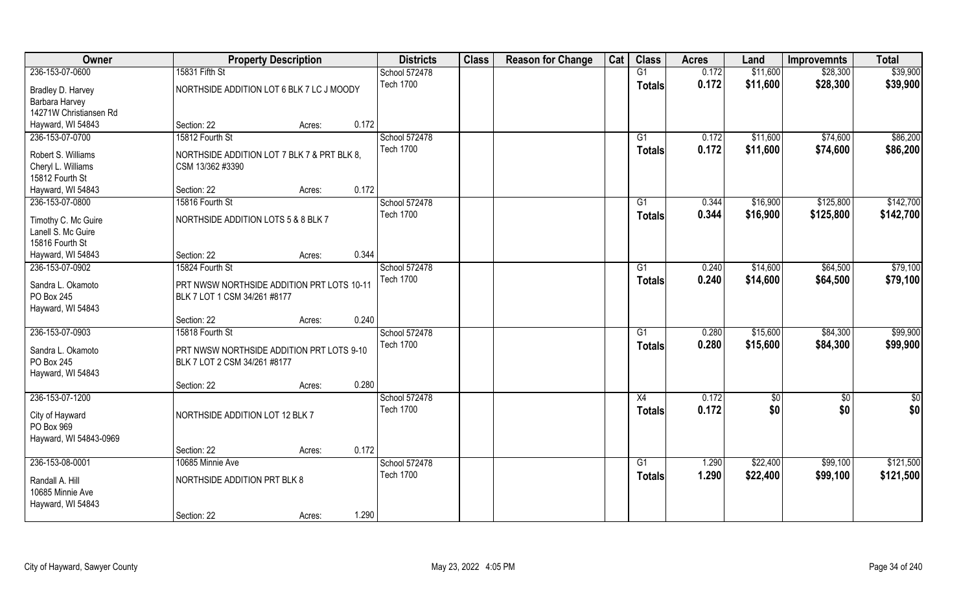| Owner                                     | <b>Property Description</b>                 |        |       | <b>Districts</b>                  | <b>Class</b> | <b>Reason for Change</b> | Cat | <b>Class</b>    | <b>Acres</b> | Land     | <b>Improvemnts</b> | <b>Total</b>  |
|-------------------------------------------|---------------------------------------------|--------|-------|-----------------------------------|--------------|--------------------------|-----|-----------------|--------------|----------|--------------------|---------------|
| 236-153-07-0600                           | 15831 Fifth St                              |        |       | School 572478                     |              |                          |     | G1              | 0.172        | \$11,600 | \$28,300           | \$39,900      |
| Bradley D. Harvey                         | NORTHSIDE ADDITION LOT 6 BLK 7 LC J MOODY   |        |       | <b>Tech 1700</b>                  |              |                          |     | <b>Totals</b>   | 0.172        | \$11,600 | \$28,300           | \$39,900      |
| Barbara Harvey                            |                                             |        |       |                                   |              |                          |     |                 |              |          |                    |               |
| 14271W Christiansen Rd                    |                                             |        |       |                                   |              |                          |     |                 |              |          |                    |               |
| Hayward, WI 54843                         | Section: 22                                 | Acres: | 0.172 |                                   |              |                          |     |                 |              |          |                    |               |
| 236-153-07-0700                           | 15812 Fourth St                             |        |       | School 572478                     |              |                          |     | G1              | 0.172        | \$11,600 | \$74,600           | \$86,200      |
| Robert S. Williams                        | NORTHSIDE ADDITION LOT 7 BLK 7 & PRT BLK 8, |        |       | <b>Tech 1700</b>                  |              |                          |     | <b>Totals</b>   | 0.172        | \$11,600 | \$74,600           | \$86,200      |
| Cheryl L. Williams                        | CSM 13/362 #3390                            |        |       |                                   |              |                          |     |                 |              |          |                    |               |
| 15812 Fourth St                           |                                             |        |       |                                   |              |                          |     |                 |              |          |                    |               |
| Hayward, WI 54843                         | Section: 22                                 | Acres: | 0.172 |                                   |              |                          |     |                 |              |          |                    |               |
| 236-153-07-0800                           | 15816 Fourth St                             |        |       | School 572478                     |              |                          |     | G1              | 0.344        | \$16,900 | \$125,800          | \$142,700     |
|                                           |                                             |        |       | <b>Tech 1700</b>                  |              |                          |     | <b>Totals</b>   | 0.344        | \$16,900 | \$125,800          | \$142,700     |
| Timothy C. Mc Guire<br>Lanell S. Mc Guire | NORTHSIDE ADDITION LOTS 5 & 8 BLK 7         |        |       |                                   |              |                          |     |                 |              |          |                    |               |
| 15816 Fourth St                           |                                             |        |       |                                   |              |                          |     |                 |              |          |                    |               |
| Hayward, WI 54843                         | Section: 22                                 | Acres: | 0.344 |                                   |              |                          |     |                 |              |          |                    |               |
| 236-153-07-0902                           | 15824 Fourth St                             |        |       | School 572478                     |              |                          |     | G1              | 0.240        | \$14,600 | \$64,500           | \$79,100      |
|                                           |                                             |        |       | <b>Tech 1700</b>                  |              |                          |     | <b>Totals</b>   | 0.240        | \$14,600 | \$64,500           | \$79,100      |
| Sandra L. Okamoto                         | PRT NWSW NORTHSIDE ADDITION PRT LOTS 10-11  |        |       |                                   |              |                          |     |                 |              |          |                    |               |
| PO Box 245                                | BLK 7 LOT 1 CSM 34/261 #8177                |        |       |                                   |              |                          |     |                 |              |          |                    |               |
| Hayward, WI 54843                         |                                             |        |       |                                   |              |                          |     |                 |              |          |                    |               |
|                                           | Section: 22                                 | Acres: | 0.240 |                                   |              |                          |     |                 |              |          |                    |               |
| 236-153-07-0903                           | 15818 Fourth St                             |        |       | School 572478<br><b>Tech 1700</b> |              |                          |     | $\overline{G1}$ | 0.280        | \$15,600 | \$84,300           | \$99,900      |
| Sandra L. Okamoto                         | PRT NWSW NORTHSIDE ADDITION PRT LOTS 9-10   |        |       |                                   |              |                          |     | <b>Totals</b>   | 0.280        | \$15,600 | \$84,300           | \$99,900      |
| PO Box 245                                | BLK 7 LOT 2 CSM 34/261 #8177                |        |       |                                   |              |                          |     |                 |              |          |                    |               |
| Hayward, WI 54843                         |                                             |        |       |                                   |              |                          |     |                 |              |          |                    |               |
|                                           | Section: 22                                 | Acres: | 0.280 |                                   |              |                          |     |                 |              |          |                    |               |
| 236-153-07-1200                           |                                             |        |       | School 572478                     |              |                          |     | $\overline{X4}$ | 0.172        | \$0      | $\overline{50}$    | $\frac{1}{2}$ |
| City of Hayward                           | NORTHSIDE ADDITION LOT 12 BLK 7             |        |       | <b>Tech 1700</b>                  |              |                          |     | <b>Totals</b>   | 0.172        | \$0      | \$0                | \$0           |
| PO Box 969                                |                                             |        |       |                                   |              |                          |     |                 |              |          |                    |               |
| Hayward, WI 54843-0969                    |                                             |        |       |                                   |              |                          |     |                 |              |          |                    |               |
|                                           | Section: 22                                 | Acres: | 0.172 |                                   |              |                          |     |                 |              |          |                    |               |
| 236-153-08-0001                           | 10685 Minnie Ave                            |        |       | School 572478                     |              |                          |     | G1              | 1.290        | \$22,400 | \$99,100           | \$121,500     |
| Randall A. Hill                           | NORTHSIDE ADDITION PRT BLK 8                |        |       | <b>Tech 1700</b>                  |              |                          |     | Totals          | 1.290        | \$22,400 | \$99,100           | \$121,500     |
| 10685 Minnie Ave                          |                                             |        |       |                                   |              |                          |     |                 |              |          |                    |               |
| Hayward, WI 54843                         |                                             |        |       |                                   |              |                          |     |                 |              |          |                    |               |
|                                           | Section: 22                                 | Acres: | 1.290 |                                   |              |                          |     |                 |              |          |                    |               |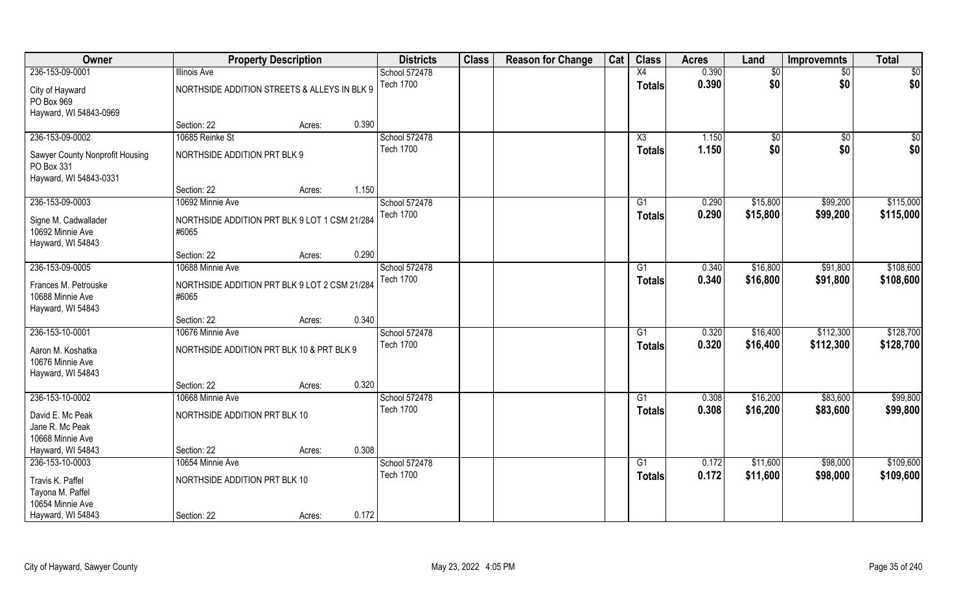| Owner                                                                   |                                                        | <b>Property Description</b> |       | <b>Districts</b> | <b>Class</b> | <b>Reason for Change</b> | Cat | <b>Class</b>    | <b>Acres</b> | Land        | <b>Improvemnts</b> | <b>Total</b> |
|-------------------------------------------------------------------------|--------------------------------------------------------|-----------------------------|-------|------------------|--------------|--------------------------|-----|-----------------|--------------|-------------|--------------------|--------------|
| 236-153-09-0001                                                         | <b>Illinois Ave</b>                                    |                             |       | School 572478    |              |                          |     | X4              | 0.390        | \$0         | $\sqrt{6}$         | \$0          |
| City of Hayward<br>PO Box 969<br>Hayward, WI 54843-0969                 | NORTHSIDE ADDITION STREETS & ALLEYS IN BLK 9           |                             |       | <b>Tech 1700</b> |              |                          |     | <b>Totals</b>   | 0.390        | \$0         | \$0                | \$0          |
|                                                                         | Section: 22                                            | Acres:                      | 0.390 |                  |              |                          |     |                 |              |             |                    |              |
| 236-153-09-0002                                                         | 10685 Reinke St                                        |                             |       | School 572478    |              |                          |     | X3              | 1.150        | $\sqrt{$0}$ | $\overline{50}$    | \$0          |
| Sawyer County Nonprofit Housing<br>PO Box 331<br>Hayward, WI 54843-0331 | NORTHSIDE ADDITION PRT BLK 9                           |                             |       | <b>Tech 1700</b> |              |                          |     | Totals          | 1.150        | \$0         | \$0                | \$0          |
|                                                                         | Section: 22                                            | Acres:                      | 1.150 |                  |              |                          |     |                 |              |             |                    |              |
| 236-153-09-0003                                                         | 10692 Minnie Ave                                       |                             |       | School 572478    |              |                          |     | G1              | 0.290        | \$15,800    | \$99,200           | \$115,000    |
| Signe M. Cadwallader<br>10692 Minnie Ave<br>Hayward, WI 54843           | NORTHSIDE ADDITION PRT BLK 9 LOT 1 CSM 21/284<br>#6065 |                             |       | <b>Tech 1700</b> |              |                          |     | <b>Totals</b>   | 0.290        | \$15,800    | \$99,200           | \$115,000    |
|                                                                         | Section: 22                                            | Acres:                      | 0.290 |                  |              |                          |     |                 |              |             |                    |              |
| 236-153-09-0005                                                         | 10688 Minnie Ave                                       |                             |       | School 572478    |              |                          |     | G1              | 0.340        | \$16,800    | \$91,800           | \$108,600    |
| Frances M. Petrouske<br>10688 Minnie Ave<br>Hayward, WI 54843           | NORTHSIDE ADDITION PRT BLK 9 LOT 2 CSM 21/284<br>#6065 |                             |       | <b>Tech 1700</b> |              |                          |     | Totals          | 0.340        | \$16,800    | \$91,800           | \$108,600    |
|                                                                         | Section: 22                                            | Acres:                      | 0.340 |                  |              |                          |     |                 |              |             |                    |              |
| 236-153-10-0001                                                         | 10676 Minnie Ave                                       |                             |       | School 572478    |              |                          |     | $\overline{G1}$ | 0.320        | \$16,400    | \$112,300          | \$128,700    |
| Aaron M. Koshatka<br>10676 Minnie Ave<br>Hayward, WI 54843              | NORTHSIDE ADDITION PRT BLK 10 & PRT BLK 9              |                             |       | <b>Tech 1700</b> |              |                          |     | <b>Totals</b>   | 0.320        | \$16,400    | \$112,300          | \$128,700    |
|                                                                         | Section: 22                                            | Acres:                      | 0.320 |                  |              |                          |     |                 |              |             |                    |              |
| 236-153-10-0002                                                         | 10668 Minnie Ave                                       |                             |       | School 572478    |              |                          |     | G1              | 0.308        | \$16,200    | \$83,600           | \$99,800     |
| David E. Mc Peak<br>Jane R. Mc Peak<br>10668 Minnie Ave                 | NORTHSIDE ADDITION PRT BLK 10                          |                             |       | <b>Tech 1700</b> |              |                          |     | <b>Totals</b>   | 0.308        | \$16,200    | \$83,600           | \$99,800     |
| Hayward, WI 54843                                                       | Section: 22                                            | Acres:                      | 0.308 |                  |              |                          |     |                 |              |             |                    |              |
| 236-153-10-0003                                                         | 10654 Minnie Ave                                       |                             |       | School 572478    |              |                          |     | $\overline{G1}$ | 0.172        | \$11,600    | \$98,000           | \$109,600    |
| Travis K. Paffel<br>Tayona M. Paffel<br>10654 Minnie Ave                | NORTHSIDE ADDITION PRT BLK 10                          |                             |       | <b>Tech 1700</b> |              |                          |     | <b>Totals</b>   | 0.172        | \$11,600    | \$98,000           | \$109,600    |
| Hayward, WI 54843                                                       | Section: 22                                            | Acres:                      | 0.172 |                  |              |                          |     |                 |              |             |                    |              |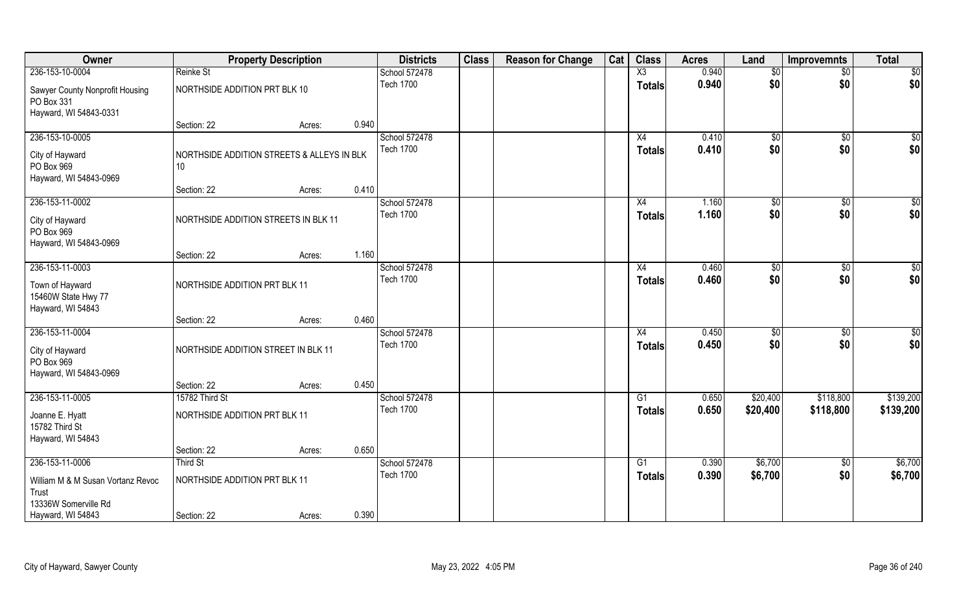| Owner                                                                                                      | <b>Property Description</b>                                        |       | <b>Districts</b>                  | <b>Class</b> | <b>Reason for Change</b> | Cat | <b>Class</b>        | <b>Acres</b>   | Land                  | <b>Improvemnts</b>     | <b>Total</b>           |
|------------------------------------------------------------------------------------------------------------|--------------------------------------------------------------------|-------|-----------------------------------|--------------|--------------------------|-----|---------------------|----------------|-----------------------|------------------------|------------------------|
| 236-153-10-0004                                                                                            | Reinke St                                                          |       | School 572478                     |              |                          |     | X3                  | 0.940          | \$0                   | $\sqrt{6}$             | \$0                    |
| Sawyer County Nonprofit Housing<br>PO Box 331<br>Hayward, WI 54843-0331                                    | NORTHSIDE ADDITION PRT BLK 10                                      |       | <b>Tech 1700</b>                  |              |                          |     | <b>Totals</b>       | 0.940          | \$0                   | \$0                    | \$0                    |
|                                                                                                            | Section: 22<br>Acres:                                              | 0.940 |                                   |              |                          |     |                     |                |                       |                        |                        |
| 236-153-10-0005<br>City of Hayward<br>PO Box 969<br>Hayward, WI 54843-0969                                 | NORTHSIDE ADDITION STREETS & ALLEYS IN BLK<br>10                   |       | School 572478<br><b>Tech 1700</b> |              |                          |     | X4<br><b>Totals</b> | 0.410<br>0.410 | \$0<br>\$0            | \$0<br>\$0             | \$0<br>\$0             |
|                                                                                                            | Section: 22<br>Acres:                                              | 0.410 |                                   |              |                          |     |                     |                |                       |                        |                        |
| 236-153-11-0002<br>City of Hayward<br>PO Box 969<br>Hayward, WI 54843-0969                                 | NORTHSIDE ADDITION STREETS IN BLK 11                               |       | School 572478<br><b>Tech 1700</b> |              |                          |     | X4<br><b>Totals</b> | 1.160<br>1.160 | \$0<br>\$0            | \$0<br>\$0             | \$0<br>\$0             |
|                                                                                                            | Section: 22<br>Acres:                                              | 1.160 |                                   |              |                          |     |                     |                |                       |                        |                        |
| 236-153-11-0003<br>Town of Hayward<br>15460W State Hwy 77<br>Hayward, WI 54843                             | NORTHSIDE ADDITION PRT BLK 11                                      |       | School 572478<br><b>Tech 1700</b> |              |                          |     | X4<br><b>Totals</b> | 0.460<br>0.460 | \$0<br>\$0            | \$0<br>\$0             | \$0<br>\$0             |
|                                                                                                            | Section: 22<br>Acres:                                              | 0.460 |                                   |              |                          |     |                     |                |                       |                        |                        |
| 236-153-11-0004<br>City of Hayward<br>PO Box 969<br>Hayward, WI 54843-0969                                 | NORTHSIDE ADDITION STREET IN BLK 11                                |       | School 572478<br><b>Tech 1700</b> |              |                          |     | X4<br><b>Totals</b> | 0.450<br>0.450 | $\sqrt[6]{30}$<br>\$0 | \$0<br>\$0             | \$0<br>\$0             |
|                                                                                                            | Section: 22<br>Acres:                                              | 0.450 |                                   |              |                          |     |                     |                |                       |                        |                        |
| 236-153-11-0005<br>Joanne E. Hyatt<br>15782 Third St<br>Hayward, WI 54843                                  | 15782 Third St<br>NORTHSIDE ADDITION PRT BLK 11                    |       | School 572478<br><b>Tech 1700</b> |              |                          |     | G1<br><b>Totals</b> | 0.650<br>0.650 | \$20,400<br>\$20,400  | \$118,800<br>\$118,800 | \$139,200<br>\$139,200 |
|                                                                                                            | Section: 22<br>Acres:                                              | 0.650 |                                   |              |                          |     |                     |                |                       |                        |                        |
| 236-153-11-0006<br>William M & M Susan Vortanz Revoc<br>Trust<br>13336W Somerville Rd<br>Hayward, WI 54843 | Third St<br>NORTHSIDE ADDITION PRT BLK 11<br>Section: 22<br>Acres: | 0.390 | School 572478<br><b>Tech 1700</b> |              |                          |     | G1<br><b>Totals</b> | 0.390<br>0.390 | \$6,700<br>\$6,700    | $\overline{50}$<br>\$0 | \$6,700<br>\$6,700     |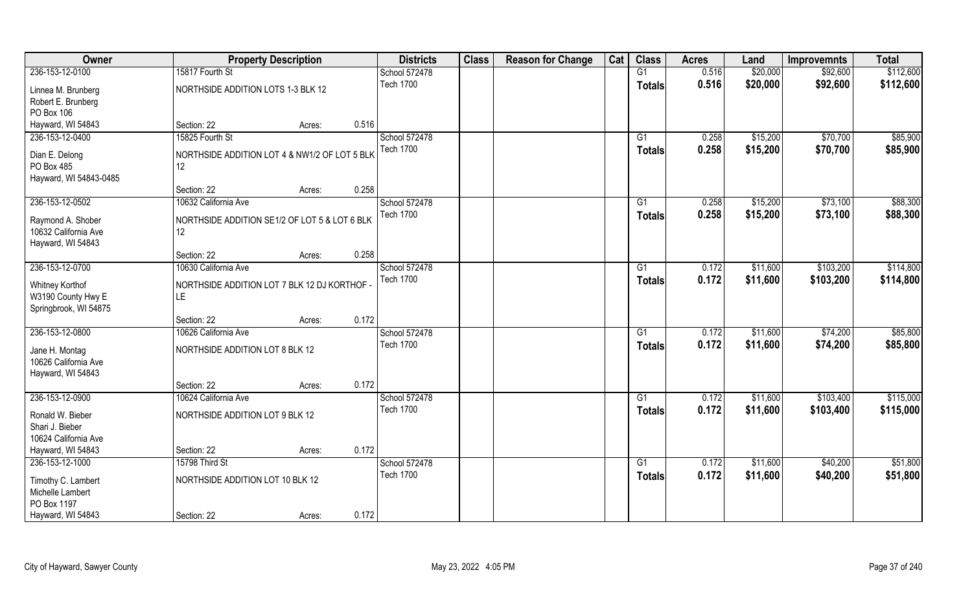| Owner                                                                 |                                                      | <b>Property Description</b> |       | <b>Districts</b> | <b>Class</b> | <b>Reason for Change</b> | Cat | <b>Class</b>  | <b>Acres</b> | Land     | <b>Improvemnts</b> | <b>Total</b> |
|-----------------------------------------------------------------------|------------------------------------------------------|-----------------------------|-------|------------------|--------------|--------------------------|-----|---------------|--------------|----------|--------------------|--------------|
| 236-153-12-0100                                                       | 15817 Fourth St                                      |                             |       | School 572478    |              |                          |     | G1            | 0.516        | \$20,000 | \$92,600           | \$112,600    |
| Linnea M. Brunberg<br>Robert E. Brunberg<br>PO Box 106                | NORTHSIDE ADDITION LOTS 1-3 BLK 12                   |                             |       | <b>Tech 1700</b> |              |                          |     | <b>Totals</b> | 0.516        | \$20,000 | \$92,600           | \$112,600    |
| Hayward, WI 54843                                                     | Section: 22                                          | Acres:                      | 0.516 |                  |              |                          |     |               |              |          |                    |              |
| 236-153-12-0400                                                       | 15825 Fourth St                                      |                             |       | School 572478    |              |                          |     | G1            | 0.258        | \$15,200 | \$70,700           | \$85,900     |
| Dian E. Delong<br>PO Box 485<br>Hayward, WI 54843-0485                | NORTHSIDE ADDITION LOT 4 & NW1/2 OF LOT 5 BLK<br>12  |                             |       | <b>Tech 1700</b> |              |                          |     | <b>Totals</b> | 0.258        | \$15,200 | \$70,700           | \$85,900     |
|                                                                       | Section: 22                                          | Acres:                      | 0.258 |                  |              |                          |     |               |              |          |                    |              |
| 236-153-12-0502                                                       | 10632 California Ave                                 |                             |       | School 572478    |              |                          |     | G1            | 0.258        | \$15,200 | \$73,100           | \$88,300     |
| Raymond A. Shober<br>10632 California Ave<br>Hayward, WI 54843        | NORTHSIDE ADDITION SE1/2 OF LOT 5 & LOT 6 BLK<br>12. |                             |       | <b>Tech 1700</b> |              |                          |     | <b>Totals</b> | 0.258        | \$15,200 | \$73,100           | \$88,300     |
|                                                                       | Section: 22                                          | Acres:                      | 0.258 |                  |              |                          |     |               |              |          |                    |              |
| 236-153-12-0700                                                       | 10630 California Ave                                 |                             |       | School 572478    |              |                          |     | G1            | 0.172        | \$11,600 | \$103,200          | \$114,800    |
| <b>Whitney Korthof</b><br>W3190 County Hwy E<br>Springbrook, WI 54875 | NORTHSIDE ADDITION LOT 7 BLK 12 DJ KORTHOF<br>LΕ     |                             |       | <b>Tech 1700</b> |              |                          |     | <b>Totals</b> | 0.172        | \$11,600 | \$103,200          | \$114,800    |
|                                                                       | Section: 22                                          | Acres:                      | 0.172 |                  |              |                          |     |               |              |          |                    |              |
| 236-153-12-0800                                                       | 10626 California Ave                                 |                             |       | School 572478    |              |                          |     | G1            | 0.172        | \$11,600 | \$74,200           | \$85,800     |
| Jane H. Montag<br>10626 California Ave<br>Hayward, WI 54843           | NORTHSIDE ADDITION LOT 8 BLK 12                      |                             |       | <b>Tech 1700</b> |              |                          |     | <b>Totals</b> | 0.172        | \$11,600 | \$74,200           | \$85,800     |
|                                                                       | Section: 22                                          | Acres:                      | 0.172 |                  |              |                          |     |               |              |          |                    |              |
| 236-153-12-0900                                                       | 10624 California Ave                                 |                             |       | School 572478    |              |                          |     | G1            | 0.172        | \$11,600 | \$103,400          | \$115,000    |
| Ronald W. Bieber<br>Shari J. Bieber<br>10624 California Ave           | NORTHSIDE ADDITION LOT 9 BLK 12                      |                             |       | <b>Tech 1700</b> |              |                          |     | <b>Totals</b> | 0.172        | \$11,600 | \$103,400          | \$115,000    |
| Hayward, WI 54843                                                     | Section: 22                                          | Acres:                      | 0.172 |                  |              |                          |     |               |              |          |                    |              |
| 236-153-12-1000                                                       | 15798 Third St                                       |                             |       | School 572478    |              |                          |     | G1            | 0.172        | \$11,600 | \$40,200           | \$51,800     |
| Timothy C. Lambert<br>Michelle Lambert<br>PO Box 1197                 | NORTHSIDE ADDITION LOT 10 BLK 12                     |                             |       | <b>Tech 1700</b> |              |                          |     | <b>Totals</b> | 0.172        | \$11,600 | \$40,200           | \$51,800     |
| Hayward, WI 54843                                                     | Section: 22                                          | Acres:                      | 0.172 |                  |              |                          |     |               |              |          |                    |              |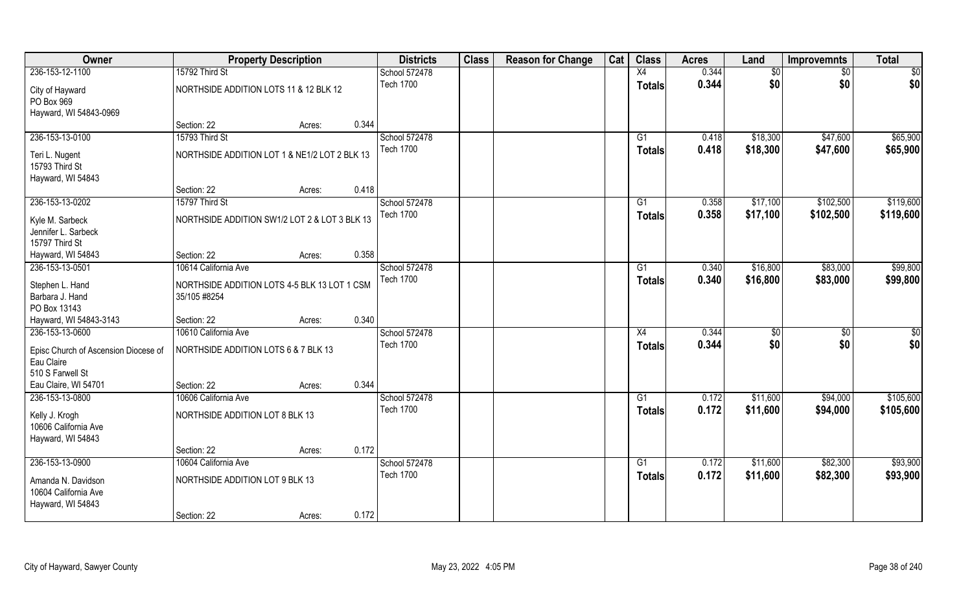| Owner                                                                                     | <b>Property Description</b>                                  |                 | <b>Districts</b>                  | <b>Class</b> | <b>Reason for Change</b> | Cat | <b>Class</b>        | <b>Acres</b>   | Land                 | <b>Improvemnts</b>     | <b>Total</b>           |
|-------------------------------------------------------------------------------------------|--------------------------------------------------------------|-----------------|-----------------------------------|--------------|--------------------------|-----|---------------------|----------------|----------------------|------------------------|------------------------|
| 236-153-12-1100                                                                           | 15792 Third St                                               |                 | School 572478                     |              |                          |     | X4                  | 0.344          | \$0                  | $\sqrt{6}$             | \$0                    |
| City of Hayward<br>PO Box 969<br>Hayward, WI 54843-0969                                   | NORTHSIDE ADDITION LOTS 11 & 12 BLK 12                       |                 | <b>Tech 1700</b>                  |              |                          |     | <b>Totals</b>       | 0.344          | \$0                  | \$0                    | \$0                    |
|                                                                                           | Section: 22                                                  | 0.344<br>Acres: |                                   |              |                          |     |                     |                |                      |                        |                        |
| 236-153-13-0100                                                                           | 15793 Third St                                               |                 | School 572478<br><b>Tech 1700</b> |              |                          |     | G1                  | 0.418<br>0.418 | \$18,300             | \$47,600               | \$65,900               |
| Teri L. Nugent<br>15793 Third St<br>Hayward, WI 54843                                     | NORTHSIDE ADDITION LOT 1 & NE1/2 LOT 2 BLK 13                |                 |                                   |              |                          |     | Totals              |                | \$18,300             | \$47,600               | \$65,900               |
|                                                                                           | Section: 22                                                  | 0.418<br>Acres: |                                   |              |                          |     |                     |                |                      |                        |                        |
| 236-153-13-0202                                                                           | 15797 Third St                                               |                 | School 572478                     |              |                          |     | G1                  | 0.358          | \$17,100             | \$102,500              | \$119,600              |
| Kyle M. Sarbeck<br>Jennifer L. Sarbeck<br>15797 Third St                                  | NORTHSIDE ADDITION SW1/2 LOT 2 & LOT 3 BLK 13                |                 | <b>Tech 1700</b>                  |              |                          |     | <b>Totals</b>       | 0.358          | \$17,100             | \$102,500              | \$119,600              |
| Hayward, WI 54843                                                                         | Section: 22                                                  | 0.358<br>Acres: |                                   |              |                          |     |                     |                |                      |                        |                        |
| 236-153-13-0501                                                                           | 10614 California Ave                                         |                 | School 572478                     |              |                          |     | G1                  | 0.340          | \$16,800             | \$83,000               | \$99,800               |
| Stephen L. Hand<br>Barbara J. Hand<br>PO Box 13143                                        | NORTHSIDE ADDITION LOTS 4-5 BLK 13 LOT 1 CSM<br>35/105 #8254 |                 | <b>Tech 1700</b>                  |              |                          |     | Totals              | 0.340          | \$16,800             | \$83,000               | \$99,800               |
| Hayward, WI 54843-3143                                                                    | Section: 22                                                  | 0.340<br>Acres: |                                   |              |                          |     |                     |                |                      |                        |                        |
| 236-153-13-0600<br>Episc Church of Ascension Diocese of<br>Eau Claire<br>510 S Farwell St | 10610 California Ave<br>NORTHSIDE ADDITION LOTS 6 & 7 BLK 13 |                 | School 572478<br><b>Tech 1700</b> |              |                          |     | X4<br><b>Totals</b> | 0.344<br>0.344 | \$0<br>\$0           | $\overline{50}$<br>\$0 | \$0<br>\$0             |
| Eau Claire, WI 54701                                                                      | Section: 22                                                  | 0.344<br>Acres: |                                   |              |                          |     |                     |                |                      |                        |                        |
| 236-153-13-0800<br>Kelly J. Krogh<br>10606 California Ave<br>Hayward, WI 54843            | 10606 California Ave<br>NORTHSIDE ADDITION LOT 8 BLK 13      |                 | School 572478<br><b>Tech 1700</b> |              |                          |     | G1<br><b>Totals</b> | 0.172<br>0.172 | \$11,600<br>\$11,600 | \$94,000<br>\$94,000   | \$105,600<br>\$105,600 |
|                                                                                           | Section: 22                                                  | 0.172<br>Acres: |                                   |              |                          |     |                     |                |                      |                        |                        |
| 236-153-13-0900                                                                           | 10604 California Ave                                         |                 | School 572478                     |              |                          |     | $\overline{G1}$     | 0.172          | \$11,600             | \$82,300               | \$93,900               |
| Amanda N. Davidson<br>10604 California Ave<br>Hayward, WI 54843                           | NORTHSIDE ADDITION LOT 9 BLK 13                              |                 | <b>Tech 1700</b>                  |              |                          |     | <b>Totals</b>       | 0.172          | \$11,600             | \$82,300               | \$93,900               |
|                                                                                           | Section: 22                                                  | 0.172<br>Acres: |                                   |              |                          |     |                     |                |                      |                        |                        |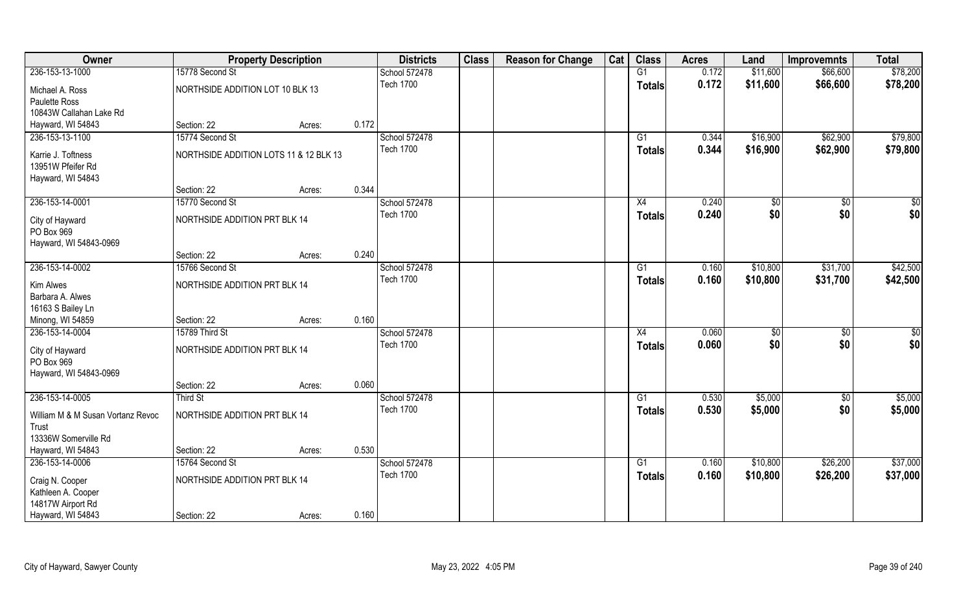| Owner                             |                                        | <b>Property Description</b> |       | <b>Districts</b> | <b>Class</b> | <b>Reason for Change</b> | Cat | <b>Class</b>  | <b>Acres</b> | Land     | <b>Improvemnts</b> | <b>Total</b> |
|-----------------------------------|----------------------------------------|-----------------------------|-------|------------------|--------------|--------------------------|-----|---------------|--------------|----------|--------------------|--------------|
| 236-153-13-1000                   | 15778 Second St                        |                             |       | School 572478    |              |                          |     | G1            | 0.172        | \$11,600 | \$66,600           | \$78,200     |
| Michael A. Ross                   | NORTHSIDE ADDITION LOT 10 BLK 13       |                             |       | <b>Tech 1700</b> |              |                          |     | <b>Totals</b> | 0.172        | \$11,600 | \$66,600           | \$78,200     |
| Paulette Ross                     |                                        |                             |       |                  |              |                          |     |               |              |          |                    |              |
| 10843W Callahan Lake Rd           |                                        |                             |       |                  |              |                          |     |               |              |          |                    |              |
| Hayward, WI 54843                 | Section: 22                            | Acres:                      | 0.172 |                  |              |                          |     |               |              |          |                    |              |
| 236-153-13-1100                   | 15774 Second St                        |                             |       | School 572478    |              |                          |     | G1            | 0.344        | \$16,900 | \$62,900           | \$79,800     |
| Karrie J. Toftness                | NORTHSIDE ADDITION LOTS 11 & 12 BLK 13 |                             |       | <b>Tech 1700</b> |              |                          |     | <b>Totals</b> | 0.344        | \$16,900 | \$62,900           | \$79,800     |
| 13951W Pfeifer Rd                 |                                        |                             |       |                  |              |                          |     |               |              |          |                    |              |
| Hayward, WI 54843                 |                                        |                             |       |                  |              |                          |     |               |              |          |                    |              |
|                                   | Section: 22                            | Acres:                      | 0.344 |                  |              |                          |     |               |              |          |                    |              |
| 236-153-14-0001                   | 15770 Second St                        |                             |       | School 572478    |              |                          |     | X4            | 0.240        | \$0      | \$0                | \$0          |
| City of Hayward                   | NORTHSIDE ADDITION PRT BLK 14          |                             |       | <b>Tech 1700</b> |              |                          |     | <b>Totals</b> | 0.240        | \$0      | \$0                | \$0          |
| PO Box 969                        |                                        |                             |       |                  |              |                          |     |               |              |          |                    |              |
| Hayward, WI 54843-0969            |                                        |                             |       |                  |              |                          |     |               |              |          |                    |              |
|                                   | Section: 22                            | Acres:                      | 0.240 |                  |              |                          |     |               |              |          |                    |              |
| 236-153-14-0002                   | 15766 Second St                        |                             |       | School 572478    |              |                          |     | G1            | 0.160        | \$10,800 | \$31,700           | \$42,500     |
| Kim Alwes                         | NORTHSIDE ADDITION PRT BLK 14          |                             |       | <b>Tech 1700</b> |              |                          |     | <b>Totals</b> | 0.160        | \$10,800 | \$31,700           | \$42,500     |
| Barbara A. Alwes                  |                                        |                             |       |                  |              |                          |     |               |              |          |                    |              |
| 16163 S Bailey Ln                 |                                        |                             |       |                  |              |                          |     |               |              |          |                    |              |
| Minong, WI 54859                  | Section: 22                            | Acres:                      | 0.160 |                  |              |                          |     |               |              |          |                    |              |
| 236-153-14-0004                   | 15789 Third St                         |                             |       | School 572478    |              |                          |     | X4            | 0.060        | \$       | \$0                | \$0          |
| City of Hayward                   | NORTHSIDE ADDITION PRT BLK 14          |                             |       | <b>Tech 1700</b> |              |                          |     | <b>Totals</b> | 0.060        | \$0      | \$0                | \$0          |
| PO Box 969                        |                                        |                             |       |                  |              |                          |     |               |              |          |                    |              |
| Hayward, WI 54843-0969            |                                        |                             |       |                  |              |                          |     |               |              |          |                    |              |
|                                   | Section: 22                            | Acres:                      | 0.060 |                  |              |                          |     |               |              |          |                    |              |
| 236-153-14-0005                   | Third St                               |                             |       | School 572478    |              |                          |     | G1            | 0.530        | \$5,000  | \$0                | \$5,000      |
| William M & M Susan Vortanz Revoc | NORTHSIDE ADDITION PRT BLK 14          |                             |       | <b>Tech 1700</b> |              |                          |     | <b>Totals</b> | 0.530        | \$5,000  | \$0                | \$5,000      |
| Trust                             |                                        |                             |       |                  |              |                          |     |               |              |          |                    |              |
| 13336W Somerville Rd              |                                        |                             |       |                  |              |                          |     |               |              |          |                    |              |
| Hayward, WI 54843                 | Section: 22                            | Acres:                      | 0.530 |                  |              |                          |     |               |              |          |                    |              |
| 236-153-14-0006                   | 15764 Second St                        |                             |       | School 572478    |              |                          |     | G1            | 0.160        | \$10,800 | \$26,200           | \$37,000     |
| Craig N. Cooper                   | NORTHSIDE ADDITION PRT BLK 14          |                             |       | <b>Tech 1700</b> |              |                          |     | <b>Totals</b> | 0.160        | \$10,800 | \$26,200           | \$37,000     |
| Kathleen A. Cooper                |                                        |                             |       |                  |              |                          |     |               |              |          |                    |              |
| 14817W Airport Rd                 |                                        |                             |       |                  |              |                          |     |               |              |          |                    |              |
| Hayward, WI 54843                 | Section: 22                            | Acres:                      | 0.160 |                  |              |                          |     |               |              |          |                    |              |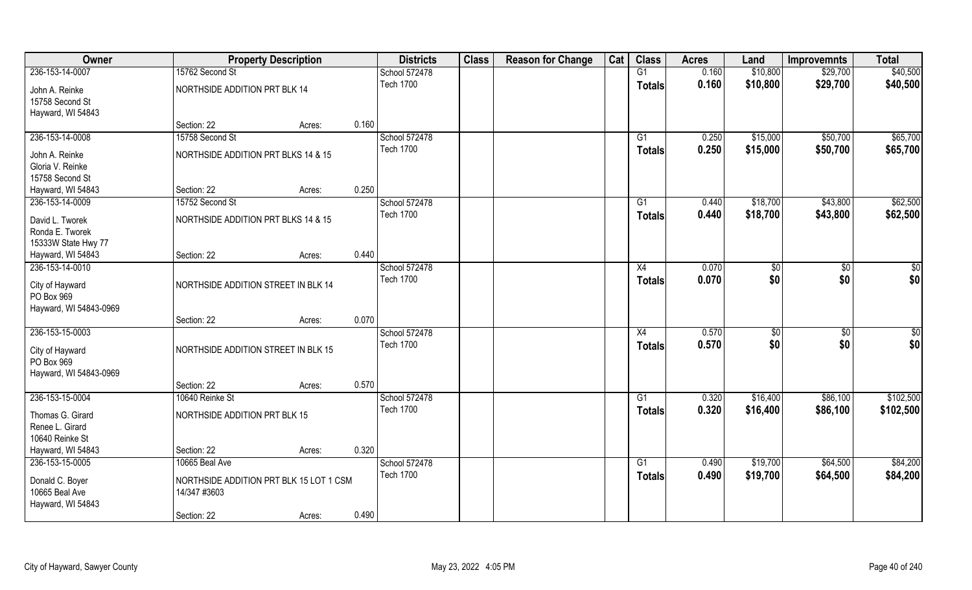| Owner                                |                                         | <b>Property Description</b> |       | <b>Districts</b> | <b>Class</b> | <b>Reason for Change</b> | Cat | <b>Class</b>  | <b>Acres</b> | Land     | <b>Improvemnts</b> | <b>Total</b>  |
|--------------------------------------|-----------------------------------------|-----------------------------|-------|------------------|--------------|--------------------------|-----|---------------|--------------|----------|--------------------|---------------|
| 236-153-14-0007                      | 15762 Second St                         |                             |       | School 572478    |              |                          |     | G1            | 0.160        | \$10,800 | \$29,700           | \$40,500      |
| John A. Reinke<br>15758 Second St    | NORTHSIDE ADDITION PRT BLK 14           |                             |       | <b>Tech 1700</b> |              |                          |     | <b>Totals</b> | 0.160        | \$10,800 | \$29,700           | \$40,500      |
| Hayward, WI 54843                    |                                         |                             |       |                  |              |                          |     |               |              |          |                    |               |
|                                      | Section: 22                             | Acres:                      | 0.160 |                  |              |                          |     |               |              |          |                    |               |
| 236-153-14-0008                      | 15758 Second St                         |                             |       | School 572478    |              |                          |     | G1            | 0.250        | \$15,000 | \$50,700           | \$65,700      |
| John A. Reinke                       | NORTHSIDE ADDITION PRT BLKS 14 & 15     |                             |       | <b>Tech 1700</b> |              |                          |     | <b>Totals</b> | 0.250        | \$15,000 | \$50,700           | \$65,700      |
| Gloria V. Reinke                     |                                         |                             |       |                  |              |                          |     |               |              |          |                    |               |
| 15758 Second St                      |                                         |                             |       |                  |              |                          |     |               |              |          |                    |               |
| Hayward, WI 54843                    | Section: 22                             | Acres:                      | 0.250 |                  |              |                          |     |               |              |          |                    |               |
| 236-153-14-0009                      | 15752 Second St                         |                             |       | School 572478    |              |                          |     | G1            | 0.440        | \$18,700 | \$43,800           | \$62,500      |
| David L. Tworek                      | NORTHSIDE ADDITION PRT BLKS 14 & 15     |                             |       | <b>Tech 1700</b> |              |                          |     | <b>Totals</b> | 0.440        | \$18,700 | \$43,800           | \$62,500      |
| Ronda E. Tworek                      |                                         |                             |       |                  |              |                          |     |               |              |          |                    |               |
| 15333W State Hwy 77                  |                                         |                             |       |                  |              |                          |     |               |              |          |                    |               |
| Hayward, WI 54843                    | Section: 22                             | Acres:                      | 0.440 |                  |              |                          |     |               |              |          |                    |               |
| 236-153-14-0010                      |                                         |                             |       | School 572478    |              |                          |     | X4            | 0.070        | \$       | \$0                | \$0           |
| City of Hayward<br>PO Box 969        | NORTHSIDE ADDITION STREET IN BLK 14     |                             |       | <b>Tech 1700</b> |              |                          |     | <b>Totals</b> | 0.070        | \$0      | \$0                | \$0           |
| Hayward, WI 54843-0969               | Section: 22                             | Acres:                      | 0.070 |                  |              |                          |     |               |              |          |                    |               |
| 236-153-15-0003                      |                                         |                             |       | School 572478    |              |                          |     | X4            | 0.570        | \$       | \$0                | $\frac{6}{3}$ |
|                                      |                                         |                             |       | <b>Tech 1700</b> |              |                          |     | <b>Totals</b> | 0.570        | \$0      | \$0                | \$0           |
| City of Hayward                      | NORTHSIDE ADDITION STREET IN BLK 15     |                             |       |                  |              |                          |     |               |              |          |                    |               |
| PO Box 969<br>Hayward, WI 54843-0969 |                                         |                             |       |                  |              |                          |     |               |              |          |                    |               |
|                                      | Section: 22                             | Acres:                      | 0.570 |                  |              |                          |     |               |              |          |                    |               |
| 236-153-15-0004                      | 10640 Reinke St                         |                             |       | School 572478    |              |                          |     | G1            | 0.320        | \$16,400 | \$86,100           | \$102,500     |
|                                      |                                         |                             |       | <b>Tech 1700</b> |              |                          |     | <b>Totals</b> | 0.320        | \$16,400 | \$86,100           | \$102,500     |
| Thomas G. Girard                     | NORTHSIDE ADDITION PRT BLK 15           |                             |       |                  |              |                          |     |               |              |          |                    |               |
| Renee L. Girard<br>10640 Reinke St   |                                         |                             |       |                  |              |                          |     |               |              |          |                    |               |
| Hayward, WI 54843                    | Section: 22                             | Acres:                      | 0.320 |                  |              |                          |     |               |              |          |                    |               |
| 236-153-15-0005                      | 10665 Beal Ave                          |                             |       | School 572478    |              |                          |     | G1            | 0.490        | \$19,700 | \$64,500           | \$84,200      |
|                                      |                                         |                             |       | <b>Tech 1700</b> |              |                          |     | <b>Totals</b> | 0.490        | \$19,700 | \$64,500           | \$84,200      |
| Donald C. Boyer                      | NORTHSIDE ADDITION PRT BLK 15 LOT 1 CSM |                             |       |                  |              |                          |     |               |              |          |                    |               |
| 10665 Beal Ave                       | 14/347 #3603                            |                             |       |                  |              |                          |     |               |              |          |                    |               |
| Hayward, WI 54843                    | Section: 22                             |                             | 0.490 |                  |              |                          |     |               |              |          |                    |               |
|                                      |                                         | Acres:                      |       |                  |              |                          |     |               |              |          |                    |               |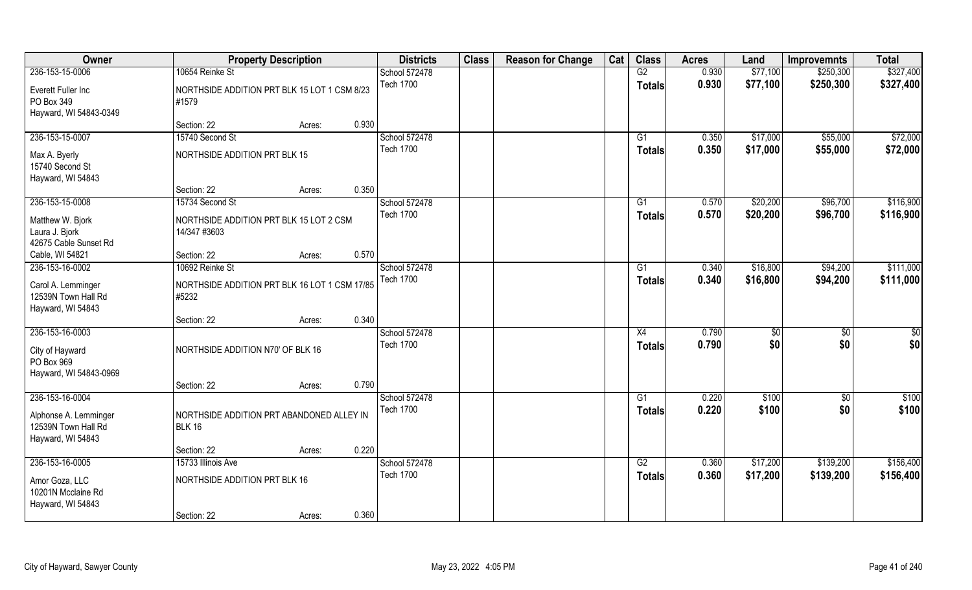| Owner                                                                      |                                                            | <b>Property Description</b> |       | <b>Districts</b>                  | <b>Class</b> | <b>Reason for Change</b> | Cat | <b>Class</b>        | <b>Acres</b>   | Land      | <b>Improvemnts</b>     | <b>Total</b>           |
|----------------------------------------------------------------------------|------------------------------------------------------------|-----------------------------|-------|-----------------------------------|--------------|--------------------------|-----|---------------------|----------------|-----------|------------------------|------------------------|
| 236-153-15-0006                                                            | 10654 Reinke St                                            |                             |       | School 572478                     |              |                          |     | G2                  | 0.930          | \$77,100  | \$250,300              | \$327,400              |
| Everett Fuller Inc<br>PO Box 349<br>Hayward, WI 54843-0349                 | NORTHSIDE ADDITION PRT BLK 15 LOT 1 CSM 8/23<br>#1579      |                             |       | <b>Tech 1700</b>                  |              |                          |     | <b>Totals</b>       | 0.930          | \$77,100  | \$250,300              | \$327,400              |
|                                                                            | Section: 22                                                | Acres:                      | 0.930 |                                   |              |                          |     |                     |                |           |                        |                        |
| 236-153-15-0007                                                            | 15740 Second St                                            |                             |       | School 572478                     |              |                          |     | G1                  | 0.350          | \$17,000  | \$55,000               | \$72,000               |
| Max A. Byerly<br>15740 Second St<br>Hayward, WI 54843                      | NORTHSIDE ADDITION PRT BLK 15                              |                             |       | <b>Tech 1700</b>                  |              |                          |     | Totals              | 0.350          | \$17,000  | \$55,000               | \$72,000               |
|                                                                            | Section: 22                                                | Acres:                      | 0.350 |                                   |              |                          |     |                     |                |           |                        |                        |
| 236-153-15-0008                                                            | 15734 Second St                                            |                             |       | School 572478                     |              |                          |     | G1                  | 0.570          | \$20,200  | \$96,700               | \$116,900              |
| Matthew W. Bjork<br>Laura J. Bjork<br>42675 Cable Sunset Rd                | NORTHSIDE ADDITION PRT BLK 15 LOT 2 CSM<br>14/347 #3603    |                             |       | <b>Tech 1700</b>                  |              |                          |     | <b>Totals</b>       | 0.570          | \$20,200  | \$96,700               | \$116,900              |
| Cable, WI 54821                                                            | Section: 22                                                | Acres:                      | 0.570 |                                   |              |                          |     |                     |                |           |                        |                        |
| 236-153-16-0002                                                            | 10692 Reinke St                                            |                             |       | School 572478                     |              |                          |     | G1                  | 0.340          | \$16,800  | \$94,200               | \$111,000              |
| Carol A. Lemminger<br>12539N Town Hall Rd<br>Hayward, WI 54843             | NORTHSIDE ADDITION PRT BLK 16 LOT 1 CSM 17/85<br>#5232     |                             |       | <b>Tech 1700</b>                  |              |                          |     | <b>Totals</b>       | 0.340          | \$16,800  | \$94,200               | \$111,000              |
|                                                                            | Section: 22                                                | Acres:                      | 0.340 |                                   |              |                          |     |                     |                |           |                        |                        |
| 236-153-16-0003<br>City of Hayward<br>PO Box 969<br>Hayward, WI 54843-0969 | NORTHSIDE ADDITION N70' OF BLK 16                          |                             |       | School 572478<br><b>Tech 1700</b> |              |                          |     | X4<br><b>Totals</b> | 0.790<br>0.790 | \$<br>\$0 | $\overline{50}$<br>\$0 | $\overline{50}$<br>\$0 |
|                                                                            | Section: 22                                                | Acres:                      | 0.790 |                                   |              |                          |     |                     |                |           |                        |                        |
| 236-153-16-0004                                                            |                                                            |                             |       | School 572478                     |              |                          |     | G1                  | 0.220          | \$100     | $\sqrt{6}$             | \$100                  |
| Alphonse A. Lemminger<br>12539N Town Hall Rd<br>Hayward, WI 54843          | NORTHSIDE ADDITION PRT ABANDONED ALLEY IN<br><b>BLK 16</b> |                             |       | <b>Tech 1700</b>                  |              |                          |     | <b>Totals</b>       | 0.220          | \$100     | \$0                    | \$100                  |
|                                                                            | Section: 22                                                | Acres:                      | 0.220 |                                   |              |                          |     |                     |                |           |                        |                        |
| 236-153-16-0005                                                            | 15733 Illinois Ave                                         |                             |       | School 572478                     |              |                          |     | G2                  | 0.360          | \$17,200  | \$139,200              | \$156,400              |
| Amor Goza, LLC<br>10201N Mcclaine Rd<br>Hayward, WI 54843                  | NORTHSIDE ADDITION PRT BLK 16                              |                             |       | <b>Tech 1700</b>                  |              |                          |     | <b>Totals</b>       | 0.360          | \$17,200  | \$139,200              | \$156,400              |
|                                                                            | Section: 22                                                | Acres:                      | 0.360 |                                   |              |                          |     |                     |                |           |                        |                        |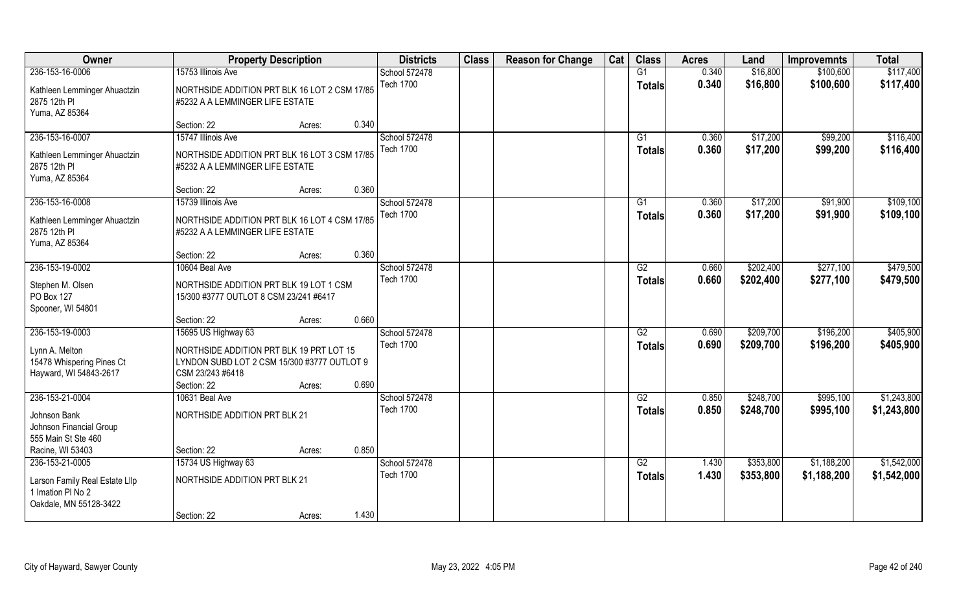| Owner                          | <b>Property Description</b>                   |        |       | <b>Districts</b>                  | <b>Class</b> | <b>Reason for Change</b> | Cat | <b>Class</b>    | <b>Acres</b> | Land      | <b>Improvemnts</b> | <b>Total</b> |
|--------------------------------|-----------------------------------------------|--------|-------|-----------------------------------|--------------|--------------------------|-----|-----------------|--------------|-----------|--------------------|--------------|
| 236-153-16-0006                | 15753 Illinois Ave                            |        |       | School 572478                     |              |                          |     | G1              | 0.340        | \$16,800  | \$100,600          | \$117,400    |
| Kathleen Lemminger Ahuactzin   | NORTHSIDE ADDITION PRT BLK 16 LOT 2 CSM 17/85 |        |       | <b>Tech 1700</b>                  |              |                          |     | <b>Totals</b>   | 0.340        | \$16,800  | \$100,600          | \$117,400    |
| 2875 12th PI                   | #5232 A A LEMMINGER LIFE ESTATE               |        |       |                                   |              |                          |     |                 |              |           |                    |              |
| Yuma, AZ 85364                 |                                               |        |       |                                   |              |                          |     |                 |              |           |                    |              |
|                                | Section: 22                                   | Acres: | 0.340 |                                   |              |                          |     |                 |              |           |                    |              |
| 236-153-16-0007                | 15747 Illinois Ave                            |        |       | School 572478                     |              |                          |     | G1              | 0.360        | \$17,200  | \$99,200           | \$116,400    |
| Kathleen Lemminger Ahuactzin   | NORTHSIDE ADDITION PRT BLK 16 LOT 3 CSM 17/85 |        |       | <b>Tech 1700</b>                  |              |                          |     | <b>Totals</b>   | 0.360        | \$17,200  | \$99,200           | \$116,400    |
| 2875 12th PI                   | #5232 A A LEMMINGER LIFE ESTATE               |        |       |                                   |              |                          |     |                 |              |           |                    |              |
| Yuma, AZ 85364                 |                                               |        |       |                                   |              |                          |     |                 |              |           |                    |              |
|                                | Section: 22                                   | Acres: | 0.360 |                                   |              |                          |     |                 |              |           |                    |              |
| 236-153-16-0008                | 15739 Illinois Ave                            |        |       | School 572478                     |              |                          |     | G1              | 0.360        | \$17,200  | \$91,900           | \$109,100    |
| Kathleen Lemminger Ahuactzin   | NORTHSIDE ADDITION PRT BLK 16 LOT 4 CSM 17/85 |        |       | <b>Tech 1700</b>                  |              |                          |     | <b>Totals</b>   | 0.360        | \$17,200  | \$91,900           | \$109,100    |
| 2875 12th PI                   | #5232 A A LEMMINGER LIFE ESTATE               |        |       |                                   |              |                          |     |                 |              |           |                    |              |
| Yuma, AZ 85364                 |                                               |        |       |                                   |              |                          |     |                 |              |           |                    |              |
|                                | Section: 22                                   | Acres: | 0.360 |                                   |              |                          |     |                 |              |           |                    |              |
| 236-153-19-0002                | 10604 Beal Ave                                |        |       | School 572478                     |              |                          |     | G2              | 0.660        | \$202,400 | \$277,100          | \$479,500    |
| Stephen M. Olsen               | NORTHSIDE ADDITION PRT BLK 19 LOT 1 CSM       |        |       | <b>Tech 1700</b>                  |              |                          |     | <b>Totals</b>   | 0.660        | \$202,400 | \$277,100          | \$479,500    |
| PO Box 127                     | 15/300 #3777 OUTLOT 8 CSM 23/241 #6417        |        |       |                                   |              |                          |     |                 |              |           |                    |              |
| Spooner, WI 54801              |                                               |        |       |                                   |              |                          |     |                 |              |           |                    |              |
|                                | Section: 22                                   | Acres: | 0.660 |                                   |              |                          |     |                 |              |           |                    |              |
| 236-153-19-0003                | 15695 US Highway 63                           |        |       | School 572478                     |              |                          |     | $\overline{G2}$ | 0.690        | \$209,700 | \$196,200          | \$405,900    |
| Lynn A. Melton                 | NORTHSIDE ADDITION PRT BLK 19 PRT LOT 15      |        |       | <b>Tech 1700</b>                  |              |                          |     | <b>Totals</b>   | 0.690        | \$209,700 | \$196,200          | \$405,900    |
| 15478 Whispering Pines Ct      | LYNDON SUBD LOT 2 CSM 15/300 #3777 OUTLOT 9   |        |       |                                   |              |                          |     |                 |              |           |                    |              |
| Hayward, WI 54843-2617         | CSM 23/243 #6418                              |        |       |                                   |              |                          |     |                 |              |           |                    |              |
|                                | Section: 22                                   | Acres: | 0.690 |                                   |              |                          |     |                 |              |           |                    |              |
| 236-153-21-0004                | 10631 Beal Ave                                |        |       | School 572478<br><b>Tech 1700</b> |              |                          |     | G2              | 0.850        | \$248,700 | \$995,100          | \$1,243,800  |
| Johnson Bank                   | NORTHSIDE ADDITION PRT BLK 21                 |        |       |                                   |              |                          |     | <b>Totals</b>   | 0.850        | \$248,700 | \$995,100          | \$1,243,800  |
| Johnson Financial Group        |                                               |        |       |                                   |              |                          |     |                 |              |           |                    |              |
| 555 Main St Ste 460            |                                               |        |       |                                   |              |                          |     |                 |              |           |                    |              |
| Racine, WI 53403               | Section: 22                                   | Acres: | 0.850 |                                   |              |                          |     |                 |              |           |                    |              |
| 236-153-21-0005                | 15734 US Highway 63                           |        |       | School 572478<br><b>Tech 1700</b> |              |                          |     | G2              | 1.430        | \$353,800 | \$1,188,200        | \$1,542,000  |
| Larson Family Real Estate Lllp | <b>NORTHSIDE ADDITION PRT BLK 21</b>          |        |       |                                   |              |                          |     | <b>Totals</b>   | 1.430        | \$353,800 | \$1,188,200        | \$1,542,000  |
| 1 Imation PI No 2              |                                               |        |       |                                   |              |                          |     |                 |              |           |                    |              |
| Oakdale, MN 55128-3422         |                                               |        |       |                                   |              |                          |     |                 |              |           |                    |              |
|                                | Section: 22                                   | Acres: | 1.430 |                                   |              |                          |     |                 |              |           |                    |              |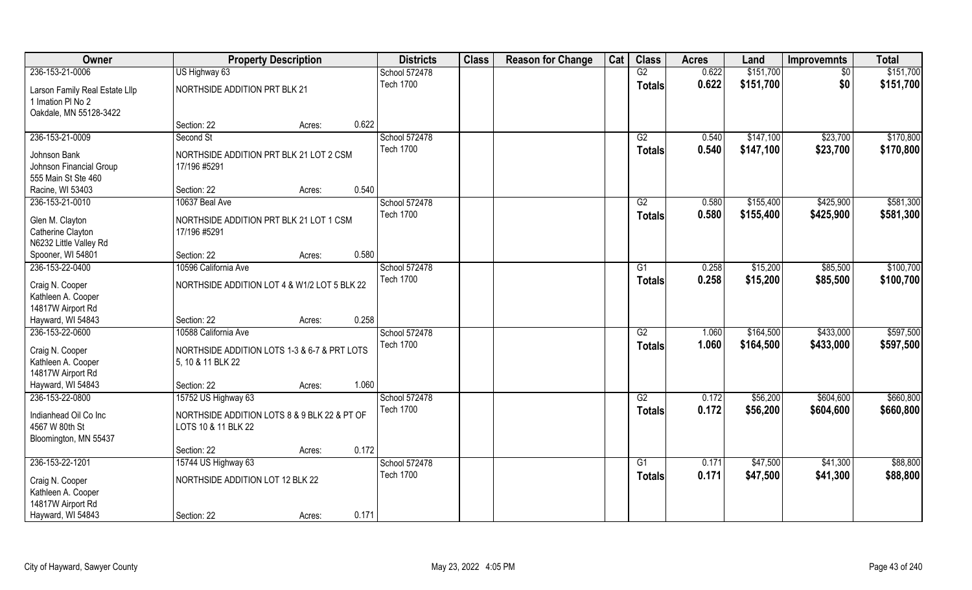| Owner                                               | <b>Property Description</b>                  |                 | <b>Districts</b> | <b>Class</b> | <b>Reason for Change</b> | Cat | <b>Class</b>    | <b>Acres</b> | Land      | <b>Improvemnts</b> | <b>Total</b> |
|-----------------------------------------------------|----------------------------------------------|-----------------|------------------|--------------|--------------------------|-----|-----------------|--------------|-----------|--------------------|--------------|
| 236-153-21-0006                                     | US Highway 63                                |                 | School 572478    |              |                          |     | G2              | 0.622        | \$151,700 | \$0                | \$151,700    |
| Larson Family Real Estate Lllp<br>1 Imation PI No 2 | NORTHSIDE ADDITION PRT BLK 21                |                 | <b>Tech 1700</b> |              |                          |     | <b>Totals</b>   | 0.622        | \$151,700 | \$0                | \$151,700    |
| Oakdale, MN 55128-3422                              |                                              |                 |                  |              |                          |     |                 |              |           |                    |              |
|                                                     | Section: 22                                  | 0.622<br>Acres: |                  |              |                          |     |                 |              |           |                    |              |
| 236-153-21-0009                                     | Second St                                    |                 | School 572478    |              |                          |     | G2              | 0.540        | \$147,100 | \$23,700           | \$170,800    |
| Johnson Bank                                        | NORTHSIDE ADDITION PRT BLK 21 LOT 2 CSM      |                 | <b>Tech 1700</b> |              |                          |     | <b>Totals</b>   | 0.540        | \$147,100 | \$23,700           | \$170,800    |
| Johnson Financial Group                             | 17/196 #5291                                 |                 |                  |              |                          |     |                 |              |           |                    |              |
| 555 Main St Ste 460                                 |                                              |                 |                  |              |                          |     |                 |              |           |                    |              |
| Racine, WI 53403                                    | Section: 22                                  | 0.540<br>Acres: |                  |              |                          |     |                 |              |           |                    |              |
| 236-153-21-0010                                     | 10637 Beal Ave                               |                 | School 572478    |              |                          |     | G2              | 0.580        | \$155,400 | \$425,900          | \$581,300    |
| Glen M. Clayton                                     | NORTHSIDE ADDITION PRT BLK 21 LOT 1 CSM      |                 | <b>Tech 1700</b> |              |                          |     | <b>Totals</b>   | 0.580        | \$155,400 | \$425,900          | \$581,300    |
| Catherine Clayton                                   | 17/196 #5291                                 |                 |                  |              |                          |     |                 |              |           |                    |              |
| N6232 Little Valley Rd                              |                                              |                 |                  |              |                          |     |                 |              |           |                    |              |
| Spooner, WI 54801                                   | Section: 22                                  | 0.580<br>Acres: |                  |              |                          |     |                 |              |           |                    |              |
| 236-153-22-0400                                     | 10596 California Ave                         |                 | School 572478    |              |                          |     | G1              | 0.258        | \$15,200  | \$85,500           | \$100,700    |
| Craig N. Cooper                                     | NORTHSIDE ADDITION LOT 4 & W1/2 LOT 5 BLK 22 |                 | <b>Tech 1700</b> |              |                          |     | <b>Totals</b>   | 0.258        | \$15,200  | \$85,500           | \$100,700    |
| Kathleen A. Cooper                                  |                                              |                 |                  |              |                          |     |                 |              |           |                    |              |
| 14817W Airport Rd                                   |                                              |                 |                  |              |                          |     |                 |              |           |                    |              |
| Hayward, WI 54843                                   | Section: 22                                  | 0.258<br>Acres: |                  |              |                          |     |                 |              |           |                    |              |
| 236-153-22-0600                                     | 10588 California Ave                         |                 | School 572478    |              |                          |     | $\overline{G2}$ | 1.060        | \$164,500 | \$433,000          | \$597,500    |
| Craig N. Cooper                                     | NORTHSIDE ADDITION LOTS 1-3 & 6-7 & PRT LOTS |                 | <b>Tech 1700</b> |              |                          |     | <b>Totals</b>   | 1.060        | \$164,500 | \$433,000          | \$597,500    |
| Kathleen A. Cooper                                  | 5, 10 & 11 BLK 22                            |                 |                  |              |                          |     |                 |              |           |                    |              |
| 14817W Airport Rd                                   |                                              |                 |                  |              |                          |     |                 |              |           |                    |              |
| Hayward, WI 54843                                   | Section: 22                                  | 1.060<br>Acres: |                  |              |                          |     |                 |              |           |                    |              |
| 236-153-22-0800                                     | 15752 US Highway 63                          |                 | School 572478    |              |                          |     | G2              | 0.172        | \$56,200  | \$604,600          | \$660,800    |
| Indianhead Oil Co Inc                               | NORTHSIDE ADDITION LOTS 8 & 9 BLK 22 & PT OF |                 | <b>Tech 1700</b> |              |                          |     | <b>Totals</b>   | 0.172        | \$56,200  | \$604,600          | \$660,800    |
| 4567 W 80th St                                      | LOTS 10 & 11 BLK 22                          |                 |                  |              |                          |     |                 |              |           |                    |              |
| Bloomington, MN 55437                               |                                              |                 |                  |              |                          |     |                 |              |           |                    |              |
|                                                     | Section: 22                                  | 0.172<br>Acres: |                  |              |                          |     |                 |              |           |                    |              |
| 236-153-22-1201                                     | 15744 US Highway 63                          |                 | School 572478    |              |                          |     | G1              | 0.171        | \$47,500  | \$41,300           | \$88,800     |
|                                                     | NORTHSIDE ADDITION LOT 12 BLK 22             |                 | <b>Tech 1700</b> |              |                          |     | <b>Totals</b>   | 0.171        | \$47,500  | \$41,300           | \$88,800     |
| Craig N. Cooper<br>Kathleen A. Cooper               |                                              |                 |                  |              |                          |     |                 |              |           |                    |              |
| 14817W Airport Rd                                   |                                              |                 |                  |              |                          |     |                 |              |           |                    |              |
| Hayward, WI 54843                                   | Section: 22                                  | 0.171<br>Acres: |                  |              |                          |     |                 |              |           |                    |              |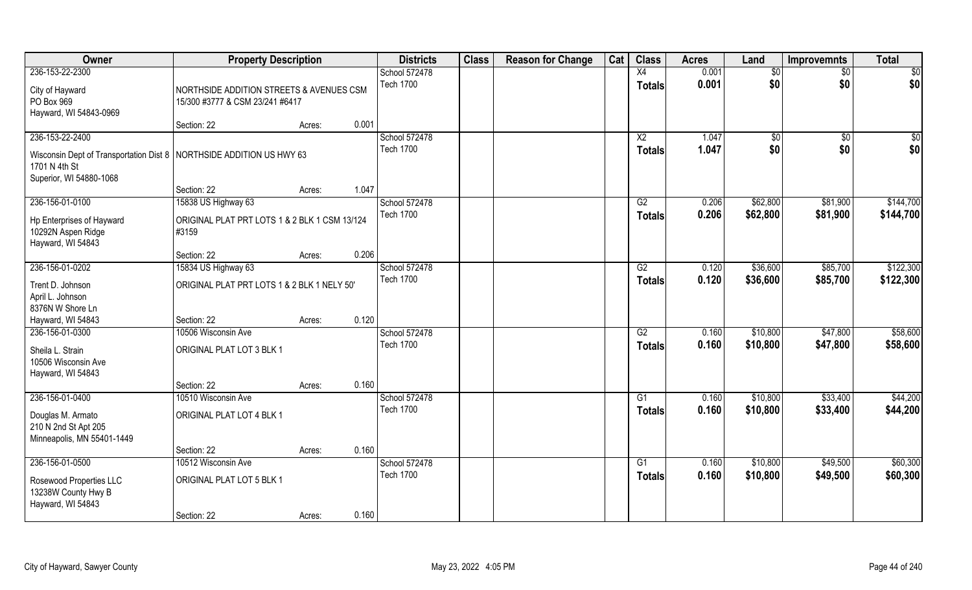| Owner                                                                  | <b>Property Description</b>                   |        |       | <b>Districts</b> | <b>Class</b> | <b>Reason for Change</b> | Cat | <b>Class</b>    | <b>Acres</b> | Land     | <b>Improvemnts</b> | <b>Total</b> |
|------------------------------------------------------------------------|-----------------------------------------------|--------|-------|------------------|--------------|--------------------------|-----|-----------------|--------------|----------|--------------------|--------------|
| 236-153-22-2300                                                        |                                               |        |       | School 572478    |              |                          |     | X4              | 0.001        | \$0      | \$0                | \$0          |
| City of Hayward                                                        | NORTHSIDE ADDITION STREETS & AVENUES CSM      |        |       | <b>Tech 1700</b> |              |                          |     | <b>Totals</b>   | 0.001        | \$0      | \$0                | \$0          |
| PO Box 969                                                             | 15/300 #3777 & CSM 23/241 #6417               |        |       |                  |              |                          |     |                 |              |          |                    |              |
| Hayward, WI 54843-0969                                                 |                                               |        |       |                  |              |                          |     |                 |              |          |                    |              |
|                                                                        | Section: 22                                   | Acres: | 0.001 |                  |              |                          |     |                 |              |          |                    |              |
| 236-153-22-2400                                                        |                                               |        |       | School 572478    |              |                          |     | $\overline{X2}$ | 1.047        | \$0      | $\sqrt[6]{}$       | \$0          |
| Wisconsin Dept of Transportation Dist 8   NORTHSIDE ADDITION US HWY 63 |                                               |        |       | <b>Tech 1700</b> |              |                          |     | <b>Totals</b>   | 1.047        | \$0      | \$0                | \$0          |
| 1701 N 4th St                                                          |                                               |        |       |                  |              |                          |     |                 |              |          |                    |              |
| Superior, WI 54880-1068                                                |                                               |        |       |                  |              |                          |     |                 |              |          |                    |              |
|                                                                        | Section: 22                                   | Acres: | 1.047 |                  |              |                          |     |                 |              |          |                    |              |
| 236-156-01-0100                                                        | 15838 US Highway 63                           |        |       | School 572478    |              |                          |     | G2              | 0.206        | \$62,800 | \$81,900           | \$144,700    |
| Hp Enterprises of Hayward                                              | ORIGINAL PLAT PRT LOTS 1 & 2 BLK 1 CSM 13/124 |        |       | <b>Tech 1700</b> |              |                          |     | <b>Totals</b>   | 0.206        | \$62,800 | \$81,900           | \$144,700    |
| 10292N Aspen Ridge                                                     | #3159                                         |        |       |                  |              |                          |     |                 |              |          |                    |              |
| Hayward, WI 54843                                                      |                                               |        |       |                  |              |                          |     |                 |              |          |                    |              |
|                                                                        | Section: 22                                   | Acres: | 0.206 |                  |              |                          |     |                 |              |          |                    |              |
| 236-156-01-0202                                                        | 15834 US Highway 63                           |        |       | School 572478    |              |                          |     | G2              | 0.120        | \$36,600 | \$85,700           | \$122,300    |
| Trent D. Johnson                                                       | ORIGINAL PLAT PRT LOTS 1 & 2 BLK 1 NELY 50'   |        |       | <b>Tech 1700</b> |              |                          |     | <b>Totals</b>   | 0.120        | \$36,600 | \$85,700           | \$122,300    |
| April L. Johnson                                                       |                                               |        |       |                  |              |                          |     |                 |              |          |                    |              |
| 8376N W Shore Ln                                                       |                                               |        |       |                  |              |                          |     |                 |              |          |                    |              |
| Hayward, WI 54843                                                      | Section: 22                                   | Acres: | 0.120 |                  |              |                          |     |                 |              |          |                    |              |
| 236-156-01-0300                                                        | 10506 Wisconsin Ave                           |        |       | School 572478    |              |                          |     | $\overline{G2}$ | 0.160        | \$10,800 | \$47,800           | \$58,600     |
| Sheila L. Strain                                                       | ORIGINAL PLAT LOT 3 BLK 1                     |        |       | <b>Tech 1700</b> |              |                          |     | <b>Totals</b>   | 0.160        | \$10,800 | \$47,800           | \$58,600     |
| 10506 Wisconsin Ave                                                    |                                               |        |       |                  |              |                          |     |                 |              |          |                    |              |
| Hayward, WI 54843                                                      |                                               |        |       |                  |              |                          |     |                 |              |          |                    |              |
|                                                                        | Section: 22                                   | Acres: | 0.160 |                  |              |                          |     |                 |              |          |                    |              |
| 236-156-01-0400                                                        | 10510 Wisconsin Ave                           |        |       | School 572478    |              |                          |     | G1              | 0.160        | \$10,800 | \$33,400           | \$44,200     |
| Douglas M. Armato                                                      | ORIGINAL PLAT LOT 4 BLK 1                     |        |       | <b>Tech 1700</b> |              |                          |     | <b>Totals</b>   | 0.160        | \$10,800 | \$33,400           | \$44,200     |
| 210 N 2nd St Apt 205                                                   |                                               |        |       |                  |              |                          |     |                 |              |          |                    |              |
| Minneapolis, MN 55401-1449                                             |                                               |        |       |                  |              |                          |     |                 |              |          |                    |              |
|                                                                        | Section: 22                                   | Acres: | 0.160 |                  |              |                          |     |                 |              |          |                    |              |
| 236-156-01-0500                                                        | 10512 Wisconsin Ave                           |        |       | School 572478    |              |                          |     | G1              | 0.160        | \$10,800 | \$49,500           | \$60,300     |
| Rosewood Properties LLC                                                | ORIGINAL PLAT LOT 5 BLK 1                     |        |       | <b>Tech 1700</b> |              |                          |     | <b>Totals</b>   | 0.160        | \$10,800 | \$49,500           | \$60,300     |
| 13238W County Hwy B                                                    |                                               |        |       |                  |              |                          |     |                 |              |          |                    |              |
| Hayward, WI 54843                                                      |                                               |        |       |                  |              |                          |     |                 |              |          |                    |              |
|                                                                        | Section: 22                                   | Acres: | 0.160 |                  |              |                          |     |                 |              |          |                    |              |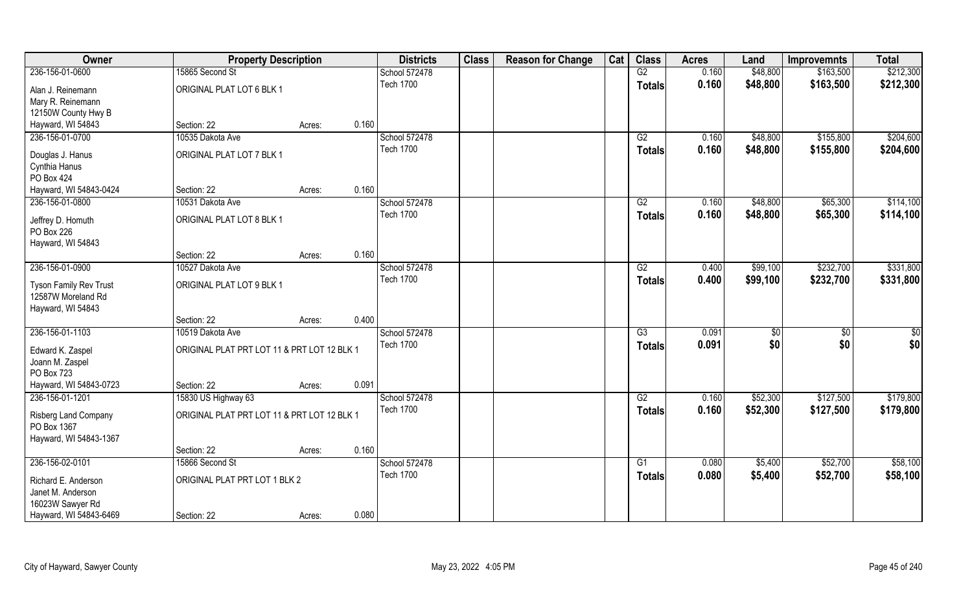| Owner                                                             | <b>Property Description</b>                 |                  |       | <b>Districts</b> | <b>Class</b> | <b>Reason for Change</b> | Cat | <b>Class</b>    | <b>Acres</b> | Land     | <b>Improvemnts</b> | <b>Total</b> |
|-------------------------------------------------------------------|---------------------------------------------|------------------|-------|------------------|--------------|--------------------------|-----|-----------------|--------------|----------|--------------------|--------------|
| 236-156-01-0600                                                   | 15865 Second St                             |                  |       | School 572478    |              |                          |     | G2              | 0.160        | \$48,800 | \$163,500          | \$212,300    |
| Alan J. Reinemann<br>Mary R. Reinemann                            | ORIGINAL PLAT LOT 6 BLK 1                   |                  |       | <b>Tech 1700</b> |              |                          |     | <b>Totals</b>   | 0.160        | \$48,800 | \$163,500          | \$212,300    |
| 12150W County Hwy B                                               |                                             |                  |       |                  |              |                          |     |                 |              |          |                    |              |
| Hayward, WI 54843                                                 | Section: 22                                 | Acres:           | 0.160 |                  |              |                          |     |                 |              |          |                    |              |
| 236-156-01-0700                                                   | 10535 Dakota Ave                            |                  |       | School 572478    |              |                          |     | $\overline{G2}$ | 0.160        | \$48,800 | \$155,800          | \$204,600    |
|                                                                   |                                             |                  |       | <b>Tech 1700</b> |              |                          |     | Totals          | 0.160        | \$48,800 | \$155,800          | \$204,600    |
| Douglas J. Hanus                                                  | ORIGINAL PLAT LOT 7 BLK 1                   |                  |       |                  |              |                          |     |                 |              |          |                    |              |
| Cynthia Hanus<br>PO Box 424                                       |                                             |                  |       |                  |              |                          |     |                 |              |          |                    |              |
| Hayward, WI 54843-0424                                            | Section: 22                                 | Acres:           | 0.160 |                  |              |                          |     |                 |              |          |                    |              |
| 236-156-01-0800                                                   | 10531 Dakota Ave                            |                  |       | School 572478    |              |                          |     | G2              | 0.160        | \$48,800 | \$65,300           | \$114,100    |
| Jeffrey D. Homuth<br>PO Box 226                                   | ORIGINAL PLAT LOT 8 BLK 1                   |                  |       | <b>Tech 1700</b> |              |                          |     | <b>Totals</b>   | 0.160        | \$48,800 | \$65,300           | \$114,100    |
| Hayward, WI 54843                                                 |                                             |                  |       |                  |              |                          |     |                 |              |          |                    |              |
|                                                                   | Section: 22                                 | Acres:           | 0.160 |                  |              |                          |     |                 |              |          |                    |              |
| 236-156-01-0900                                                   | 10527 Dakota Ave                            |                  |       | School 572478    |              |                          |     | G2              | 0.400        | \$99,100 | \$232,700          | \$331,800    |
| Tyson Family Rev Trust<br>12587W Moreland Rd<br>Hayward, WI 54843 | ORIGINAL PLAT LOT 9 BLK 1                   |                  |       | <b>Tech 1700</b> |              |                          |     | <b>Totals</b>   | 0.400        | \$99,100 | \$232,700          | \$331,800    |
|                                                                   | Section: 22                                 | Acres:           | 0.400 |                  |              |                          |     |                 |              |          |                    |              |
| 236-156-01-1103                                                   | 10519 Dakota Ave                            |                  |       | School 572478    |              |                          |     | $\overline{G3}$ | 0.091        | \$0      | $\overline{50}$    | \$0          |
|                                                                   | ORIGINAL PLAT PRT LOT 11 & PRT LOT 12 BLK 1 |                  |       | <b>Tech 1700</b> |              |                          |     | <b>Totals</b>   | 0.091        | \$0      | \$0                | \$0          |
| Edward K. Zaspel<br>Joann M. Zaspel<br>PO Box 723                 |                                             |                  |       |                  |              |                          |     |                 |              |          |                    |              |
| Hayward, WI 54843-0723                                            | Section: 22                                 | Acres:           | 0.091 |                  |              |                          |     |                 |              |          |                    |              |
| 236-156-01-1201                                                   | 15830 US Highway 63                         |                  |       | School 572478    |              |                          |     | G2              | 0.160        | \$52,300 | \$127,500          | \$179,800    |
| Risberg Land Company<br>PO Box 1367<br>Hayward, WI 54843-1367     | ORIGINAL PLAT PRT LOT 11 & PRT LOT 12 BLK 1 |                  |       | <b>Tech 1700</b> |              |                          |     | <b>Totals</b>   | 0.160        | \$52,300 | \$127,500          | \$179,800    |
|                                                                   | Section: 22                                 | Acres:           | 0.160 |                  |              |                          |     |                 |              |          |                    |              |
| 236-156-02-0101                                                   | 15866 Second St                             |                  |       | School 572478    |              |                          |     | $\overline{G1}$ | 0.080        | \$5,400  | \$52,700           | \$58,100     |
| Richard E. Anderson<br>Janet M. Anderson                          | ORIGINAL PLAT PRT LOT 1 BLK 2               | <b>Tech 1700</b> |       |                  |              |                          |     | <b>Totals</b>   | 0.080        | \$5,400  | \$52,700           | \$58,100     |
| 16023W Sawyer Rd                                                  |                                             |                  |       |                  |              |                          |     |                 |              |          |                    |              |
| Hayward, WI 54843-6469                                            | Section: 22                                 | Acres:           | 0.080 |                  |              |                          |     |                 |              |          |                    |              |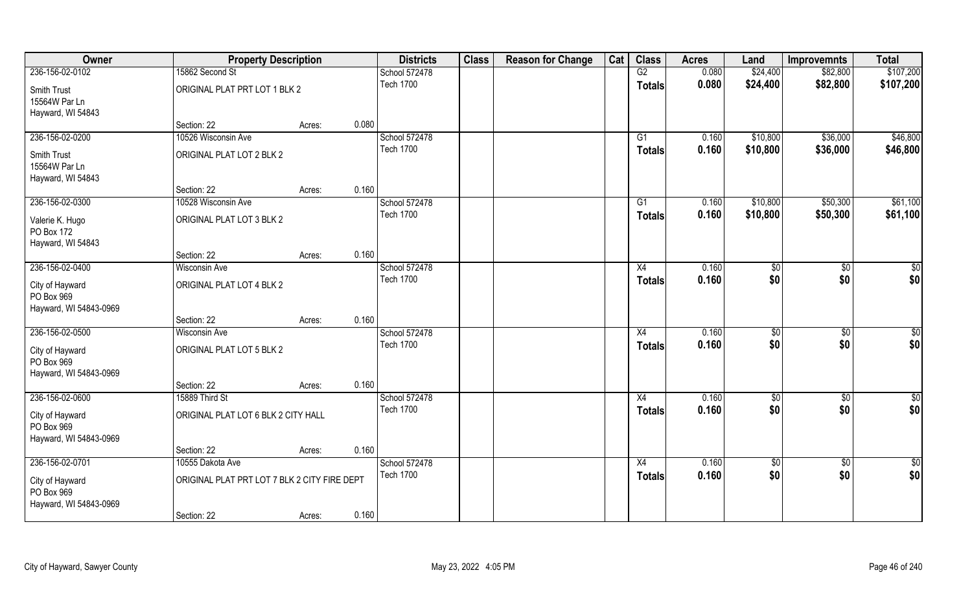| Owner                                                   |                                              | <b>Property Description</b> |       | <b>Districts</b> | <b>Class</b> | <b>Reason for Change</b> | Cat | <b>Class</b>  | <b>Acres</b> | Land        | <b>Improvemnts</b> | <b>Total</b>  |
|---------------------------------------------------------|----------------------------------------------|-----------------------------|-------|------------------|--------------|--------------------------|-----|---------------|--------------|-------------|--------------------|---------------|
| 236-156-02-0102                                         | 15862 Second St                              |                             |       | School 572478    |              |                          |     | G2            | 0.080        | \$24,400    | \$82,800           | \$107,200     |
| Smith Trust<br>15564W Par Ln<br>Hayward, WI 54843       | ORIGINAL PLAT PRT LOT 1 BLK 2                |                             |       | <b>Tech 1700</b> |              |                          |     | <b>Totals</b> | 0.080        | \$24,400    | \$82,800           | \$107,200     |
|                                                         | Section: 22                                  | Acres:                      | 0.080 |                  |              |                          |     |               |              |             |                    |               |
| 236-156-02-0200                                         | 10526 Wisconsin Ave                          |                             |       | School 572478    |              |                          |     | G1            | 0.160        | \$10,800    | \$36,000           | \$46,800      |
| Smith Trust<br>15564W Par Ln<br>Hayward, WI 54843       | ORIGINAL PLAT LOT 2 BLK 2                    |                             |       | <b>Tech 1700</b> |              |                          |     | <b>Totals</b> | 0.160        | \$10,800    | \$36,000           | \$46,800      |
|                                                         | Section: 22                                  | Acres:                      | 0.160 |                  |              |                          |     |               |              |             |                    |               |
| 236-156-02-0300                                         | 10528 Wisconsin Ave                          |                             |       | School 572478    |              |                          |     | G1            | 0.160        | \$10,800    | \$50,300           | \$61,100      |
| Valerie K. Hugo<br>PO Box 172<br>Hayward, WI 54843      | ORIGINAL PLAT LOT 3 BLK 2                    |                             |       | <b>Tech 1700</b> |              |                          |     | <b>Totals</b> | 0.160        | \$10,800    | \$50,300           | \$61,100      |
|                                                         | Section: 22                                  | Acres:                      | 0.160 |                  |              |                          |     |               |              |             |                    |               |
| 236-156-02-0400                                         | <b>Wisconsin Ave</b>                         |                             |       | School 572478    |              |                          |     | X4            | 0.160        | \$0         | \$0                | \$0           |
| City of Hayward<br>PO Box 969<br>Hayward, WI 54843-0969 | ORIGINAL PLAT LOT 4 BLK 2                    |                             |       | <b>Tech 1700</b> |              |                          |     | <b>Totals</b> | 0.160        | \$0         | \$0                | \$0           |
|                                                         | Section: 22                                  | Acres:                      | 0.160 |                  |              |                          |     |               |              |             |                    |               |
| 236-156-02-0500                                         | <b>Wisconsin Ave</b>                         |                             |       | School 572478    |              |                          |     | X4            | 0.160        | \$0         | $\overline{50}$    | \$0           |
| City of Hayward<br>PO Box 969<br>Hayward, WI 54843-0969 | ORIGINAL PLAT LOT 5 BLK 2                    |                             |       | <b>Tech 1700</b> |              |                          |     | <b>Totals</b> | 0.160        | \$0         | \$0                | \$0           |
|                                                         | Section: 22                                  | Acres:                      | 0.160 |                  |              |                          |     |               |              |             |                    |               |
| 236-156-02-0600                                         | 15889 Third St                               |                             |       | School 572478    |              |                          |     | X4            | 0.160        | \$0         | $\overline{50}$    | $\frac{6}{3}$ |
| City of Hayward<br>PO Box 969<br>Hayward, WI 54843-0969 | ORIGINAL PLAT LOT 6 BLK 2 CITY HALL          |                             |       | <b>Tech 1700</b> |              |                          |     | <b>Totals</b> | 0.160        | \$0         | \$0                | \$0           |
|                                                         | Section: 22                                  | Acres:                      | 0.160 |                  |              |                          |     |               |              |             |                    |               |
| 236-156-02-0701                                         | 10555 Dakota Ave                             |                             |       | School 572478    |              |                          |     | X4            | 0.160        | $\sqrt{$0}$ | $\overline{50}$    | $\frac{1}{2}$ |
| City of Hayward<br>PO Box 969<br>Hayward, WI 54843-0969 | ORIGINAL PLAT PRT LOT 7 BLK 2 CITY FIRE DEPT |                             |       | <b>Tech 1700</b> |              |                          |     | <b>Totals</b> | 0.160        | \$0         | \$0                | \$0           |
|                                                         | Section: 22                                  | Acres:                      | 0.160 |                  |              |                          |     |               |              |             |                    |               |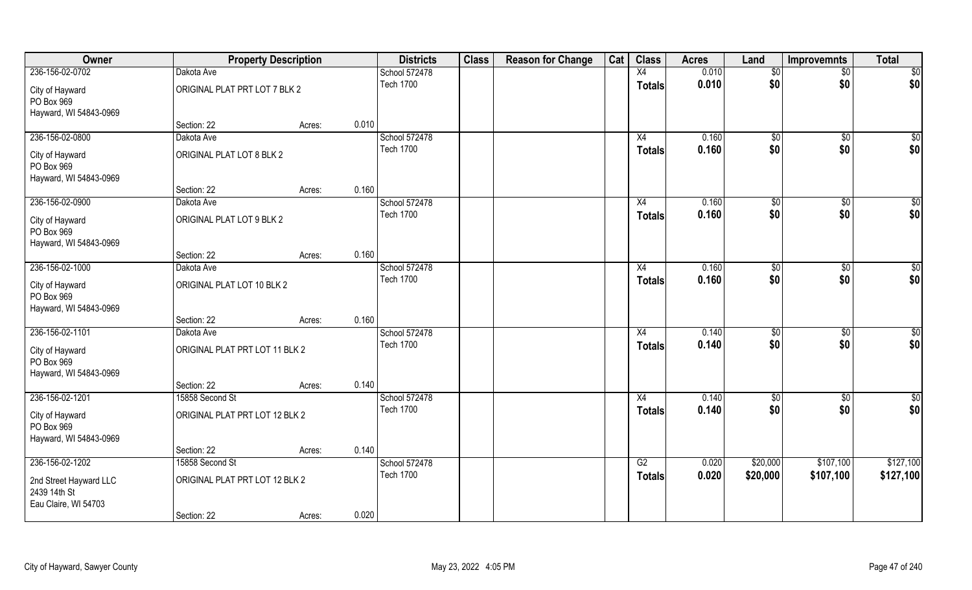| Owner                                                          |                                | <b>Property Description</b> |       | <b>Districts</b> | <b>Class</b> | <b>Reason for Change</b> | Cat | <b>Class</b>  | <b>Acres</b> | Land          | <b>Improvemnts</b> | <b>Total</b>    |
|----------------------------------------------------------------|--------------------------------|-----------------------------|-------|------------------|--------------|--------------------------|-----|---------------|--------------|---------------|--------------------|-----------------|
| 236-156-02-0702                                                | Dakota Ave                     |                             |       | School 572478    |              |                          |     | X4            | 0.010        | $\sqrt[6]{}$  | $\overline{50}$    | $\sqrt{50}$     |
| City of Hayward<br>PO Box 969<br>Hayward, WI 54843-0969        | ORIGINAL PLAT PRT LOT 7 BLK 2  |                             |       | <b>Tech 1700</b> |              |                          |     | <b>Totals</b> | 0.010        | \$0           | \$0                | \$0             |
|                                                                | Section: 22                    | Acres:                      | 0.010 |                  |              |                          |     |               |              |               |                    |                 |
| 236-156-02-0800                                                | Dakota Ave                     |                             |       | School 572478    |              |                          |     | X4            | 0.160        | $\sqrt[6]{3}$ | $\sqrt{$0}$        | $\sqrt{50}$     |
| City of Hayward<br>PO Box 969<br>Hayward, WI 54843-0969        | ORIGINAL PLAT LOT 8 BLK 2      |                             |       | <b>Tech 1700</b> |              |                          |     | Totals        | 0.160        | \$0           | \$0                | \$0             |
|                                                                | Section: 22                    | Acres:                      | 0.160 |                  |              |                          |     |               |              |               |                    |                 |
| 236-156-02-0900                                                | Dakota Ave                     |                             |       | School 572478    |              |                          |     | X4            | 0.160        | \$0           | $\sqrt[6]{3}$      | $\sqrt{50}$     |
| City of Hayward<br>PO Box 969<br>Hayward, WI 54843-0969        | ORIGINAL PLAT LOT 9 BLK 2      |                             |       | <b>Tech 1700</b> |              |                          |     | <b>Totals</b> | 0.160        | \$0           | \$0                | \$0             |
|                                                                | Section: 22                    | Acres:                      | 0.160 |                  |              |                          |     |               |              |               |                    |                 |
| 236-156-02-1000                                                | Dakota Ave                     |                             |       | School 572478    |              |                          |     | X4            | 0.160        | $\sqrt[6]{3}$ | $\sqrt[6]{3}$      | $\overline{50}$ |
| City of Hayward<br>PO Box 969<br>Hayward, WI 54843-0969        | ORIGINAL PLAT LOT 10 BLK 2     |                             |       | <b>Tech 1700</b> |              |                          |     | <b>Totals</b> | 0.160        | \$0           | \$0                | \$0             |
|                                                                | Section: 22                    | Acres:                      | 0.160 |                  |              |                          |     |               |              |               |                    |                 |
| 236-156-02-1101                                                | Dakota Ave                     |                             |       | School 572478    |              |                          |     | X4            | 0.140        | \$0           | \$0                | \$0             |
| City of Hayward<br>PO Box 969<br>Hayward, WI 54843-0969        | ORIGINAL PLAT PRT LOT 11 BLK 2 |                             |       | <b>Tech 1700</b> |              |                          |     | <b>Totals</b> | 0.140        | \$0           | \$0                | \$0             |
|                                                                | Section: 22                    | Acres:                      | 0.140 |                  |              |                          |     |               |              |               |                    |                 |
| 236-156-02-1201                                                | 15858 Second St                |                             |       | School 572478    |              |                          |     | X4            | 0.140        | $\sqrt{$0}$   | \$0                | \$0             |
| City of Hayward<br>PO Box 969<br>Hayward, WI 54843-0969        | ORIGINAL PLAT PRT LOT 12 BLK 2 |                             |       | <b>Tech 1700</b> |              |                          |     | <b>Totals</b> | 0.140        | \$0           | \$0                | \$0             |
|                                                                | Section: 22                    | Acres:                      | 0.140 |                  |              |                          |     |               |              |               |                    |                 |
| 236-156-02-1202                                                | 15858 Second St                |                             |       | School 572478    |              |                          |     | G2            | 0.020        | \$20,000      | \$107,100          | \$127,100       |
| 2nd Street Hayward LLC<br>2439 14th St<br>Eau Claire, WI 54703 | ORIGINAL PLAT PRT LOT 12 BLK 2 |                             |       | <b>Tech 1700</b> |              |                          |     | <b>Totals</b> | 0.020        | \$20,000      | \$107,100          | \$127,100       |
|                                                                | Section: 22                    | Acres:                      | 0.020 |                  |              |                          |     |               |              |               |                    |                 |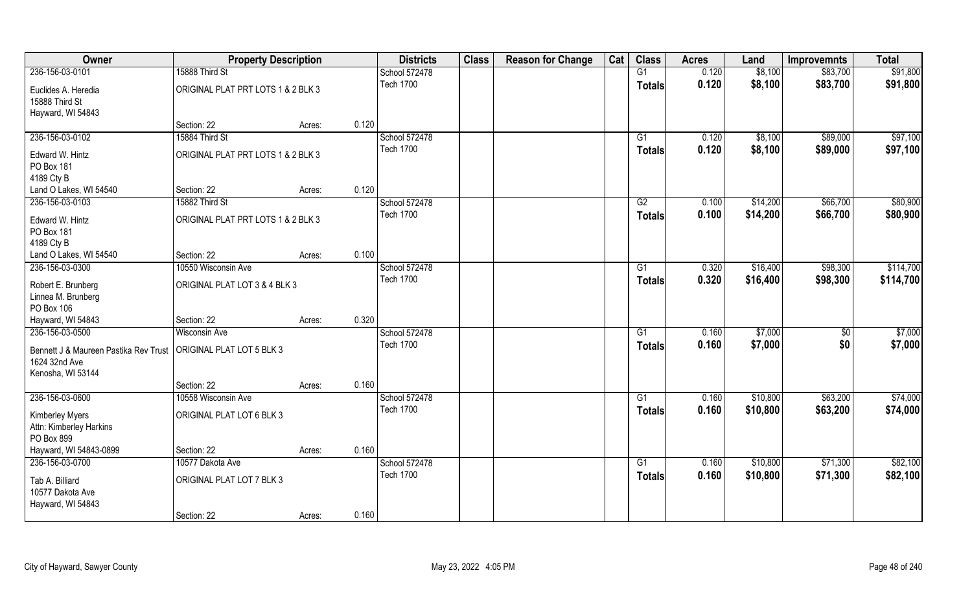| Owner                                                                                                   | <b>Property Description</b>              |        |       | <b>Districts</b> | <b>Class</b> | <b>Reason for Change</b> | Cat | <b>Class</b>    | <b>Acres</b> | Land     | <b>Improvemnts</b> | <b>Total</b> |
|---------------------------------------------------------------------------------------------------------|------------------------------------------|--------|-------|------------------|--------------|--------------------------|-----|-----------------|--------------|----------|--------------------|--------------|
| 236-156-03-0101                                                                                         | 15888 Third St                           |        |       | School 572478    |              |                          |     | G1              | 0.120        | \$8,100  | \$83,700           | \$91,800     |
| Euclides A. Heredia<br>15888 Third St<br>Hayward, WI 54843                                              | ORIGINAL PLAT PRT LOTS 1 & 2 BLK 3       |        |       | <b>Tech 1700</b> |              |                          |     | <b>Totals</b>   | 0.120        | \$8,100  | \$83,700           | \$91,800     |
|                                                                                                         | Section: 22                              | Acres: | 0.120 |                  |              |                          |     |                 |              |          |                    |              |
| 236-156-03-0102                                                                                         | 15884 Third St                           |        |       | School 572478    |              |                          |     | G1              | 0.120        | \$8,100  | \$89,000           | \$97,100     |
| Edward W. Hintz<br>PO Box 181<br>4189 Cty B                                                             | ORIGINAL PLAT PRT LOTS 1 & 2 BLK 3       |        |       | <b>Tech 1700</b> |              |                          |     | Totals          | 0.120        | \$8,100  | \$89,000           | \$97,100     |
| Land O Lakes, WI 54540                                                                                  | Section: 22                              | Acres: | 0.120 |                  |              |                          |     |                 |              |          |                    |              |
| 236-156-03-0103                                                                                         | 15882 Third St                           |        |       | School 572478    |              |                          |     | G2              | 0.100        | \$14,200 | \$66,700           | \$80,900     |
| Edward W. Hintz<br>PO Box 181<br>4189 Cty B                                                             | ORIGINAL PLAT PRT LOTS 1 & 2 BLK 3       |        |       | <b>Tech 1700</b> |              |                          |     | <b>Totals</b>   | 0.100        | \$14,200 | \$66,700           | \$80,900     |
| Land O Lakes, WI 54540                                                                                  | Section: 22                              | Acres: | 0.100 |                  |              |                          |     |                 |              |          |                    |              |
| 236-156-03-0300                                                                                         | 10550 Wisconsin Ave                      |        |       | School 572478    |              |                          |     | G1              | 0.320        | \$16,400 | \$98,300           | \$114,700    |
| Robert E. Brunberg<br>Linnea M. Brunberg<br>PO Box 106                                                  | ORIGINAL PLAT LOT 3 & 4 BLK 3            |        |       | <b>Tech 1700</b> |              |                          |     | Totals          | 0.320        | \$16,400 | \$98,300           | \$114,700    |
| Hayward, WI 54843                                                                                       | Section: 22                              | Acres: | 0.320 |                  |              |                          |     |                 |              |          |                    |              |
| 236-156-03-0500                                                                                         | <b>Wisconsin Ave</b>                     |        |       | School 572478    |              |                          |     | $\overline{G1}$ | 0.160        | \$7,000  | $\overline{50}$    | \$7,000      |
| Bennett J & Maureen Pastika Rev Trust   ORIGINAL PLAT LOT 5 BLK 3<br>1624 32nd Ave<br>Kenosha, WI 53144 |                                          |        |       | <b>Tech 1700</b> |              |                          |     | <b>Totals</b>   | 0.160        | \$7,000  | \$0                | \$7,000      |
|                                                                                                         | Section: 22                              | Acres: | 0.160 |                  |              |                          |     |                 |              |          |                    |              |
| 236-156-03-0600                                                                                         | 10558 Wisconsin Ave                      |        |       | School 572478    |              |                          |     | G1              | 0.160        | \$10,800 | \$63,200           | \$74,000     |
| <b>Kimberley Myers</b><br>Attn: Kimberley Harkins<br>PO Box 899                                         | ORIGINAL PLAT LOT 6 BLK 3                |        |       | <b>Tech 1700</b> |              |                          |     | <b>Totals</b>   | 0.160        | \$10,800 | \$63,200           | \$74,000     |
| Hayward, WI 54843-0899                                                                                  | Section: 22                              | Acres: | 0.160 |                  |              |                          |     |                 |              |          |                    |              |
| 236-156-03-0700                                                                                         | 10577 Dakota Ave                         |        |       | School 572478    |              |                          |     | G1              | 0.160        | \$10,800 | \$71,300           | \$82,100     |
| Tab A. Billiard<br>10577 Dakota Ave<br>Hayward, WI 54843                                                | ORIGINAL PLAT LOT 7 BLK 3<br>Section: 22 |        | 0.160 | <b>Tech 1700</b> |              |                          |     | <b>Totals</b>   | 0.160        | \$10,800 | \$71,300           | \$82,100     |
|                                                                                                         |                                          | Acres: |       |                  |              |                          |     |                 |              |          |                    |              |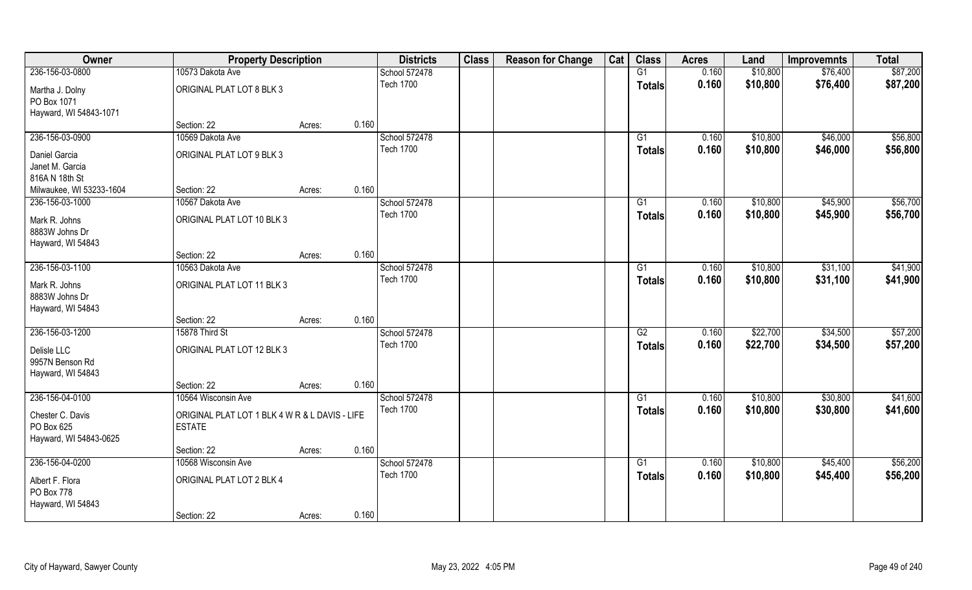| Owner                    | <b>Property Description</b>                    |        |       | <b>Districts</b> | <b>Class</b> | <b>Reason for Change</b> | Cat | <b>Class</b>    | <b>Acres</b> | Land     | <b>Improvemnts</b> | <b>Total</b> |
|--------------------------|------------------------------------------------|--------|-------|------------------|--------------|--------------------------|-----|-----------------|--------------|----------|--------------------|--------------|
| 236-156-03-0800          | 10573 Dakota Ave                               |        |       | School 572478    |              |                          |     | G1              | 0.160        | \$10,800 | \$76,400           | \$87,200     |
| Martha J. Dolny          | ORIGINAL PLAT LOT 8 BLK 3                      |        |       | <b>Tech 1700</b> |              |                          |     | <b>Totals</b>   | 0.160        | \$10,800 | \$76,400           | \$87,200     |
| PO Box 1071              |                                                |        |       |                  |              |                          |     |                 |              |          |                    |              |
| Hayward, WI 54843-1071   |                                                |        |       |                  |              |                          |     |                 |              |          |                    |              |
|                          | Section: 22                                    | Acres: | 0.160 |                  |              |                          |     |                 |              |          |                    |              |
| 236-156-03-0900          | 10569 Dakota Ave                               |        |       | School 572478    |              |                          |     | G1              | 0.160        | \$10,800 | \$46,000           | \$56,800     |
| Daniel Garcia            | ORIGINAL PLAT LOT 9 BLK 3                      |        |       | <b>Tech 1700</b> |              |                          |     | Totals          | 0.160        | \$10,800 | \$46,000           | \$56,800     |
| Janet M. Garcia          |                                                |        |       |                  |              |                          |     |                 |              |          |                    |              |
| 816A N 18th St           |                                                |        |       |                  |              |                          |     |                 |              |          |                    |              |
| Milwaukee, WI 53233-1604 | Section: 22                                    | Acres: | 0.160 |                  |              |                          |     |                 |              |          |                    |              |
| 236-156-03-1000          | 10567 Dakota Ave                               |        |       | School 572478    |              |                          |     | G1              | 0.160        | \$10,800 | \$45,900           | \$56,700     |
| Mark R. Johns            | ORIGINAL PLAT LOT 10 BLK 3                     |        |       | <b>Tech 1700</b> |              |                          |     | <b>Totals</b>   | 0.160        | \$10,800 | \$45,900           | \$56,700     |
| 8883W Johns Dr           |                                                |        |       |                  |              |                          |     |                 |              |          |                    |              |
| Hayward, WI 54843        |                                                |        |       |                  |              |                          |     |                 |              |          |                    |              |
|                          | Section: 22                                    | Acres: | 0.160 |                  |              |                          |     |                 |              |          |                    |              |
| 236-156-03-1100          | 10563 Dakota Ave                               |        |       | School 572478    |              |                          |     | G1              | 0.160        | \$10,800 | \$31,100           | \$41,900     |
| Mark R. Johns            | ORIGINAL PLAT LOT 11 BLK 3                     |        |       | <b>Tech 1700</b> |              |                          |     | <b>Totals</b>   | 0.160        | \$10,800 | \$31,100           | \$41,900     |
| 8883W Johns Dr           |                                                |        |       |                  |              |                          |     |                 |              |          |                    |              |
| Hayward, WI 54843        |                                                |        |       |                  |              |                          |     |                 |              |          |                    |              |
|                          | Section: 22                                    | Acres: | 0.160 |                  |              |                          |     |                 |              |          |                    |              |
| 236-156-03-1200          | 15878 Third St                                 |        |       | School 572478    |              |                          |     | $\overline{G2}$ | 0.160        | \$22,700 | \$34,500           | \$57,200     |
| Delisle LLC              | ORIGINAL PLAT LOT 12 BLK 3                     |        |       | <b>Tech 1700</b> |              |                          |     | <b>Totals</b>   | 0.160        | \$22,700 | \$34,500           | \$57,200     |
| 9957N Benson Rd          |                                                |        |       |                  |              |                          |     |                 |              |          |                    |              |
| Hayward, WI 54843        |                                                |        |       |                  |              |                          |     |                 |              |          |                    |              |
|                          | Section: 22                                    | Acres: | 0.160 |                  |              |                          |     |                 |              |          |                    |              |
| 236-156-04-0100          | 10564 Wisconsin Ave                            |        |       | School 572478    |              |                          |     | G1              | 0.160        | \$10,800 | \$30,800           | \$41,600     |
| Chester C. Davis         | ORIGINAL PLAT LOT 1 BLK 4 W R & L DAVIS - LIFE |        |       | <b>Tech 1700</b> |              |                          |     | <b>Totals</b>   | 0.160        | \$10,800 | \$30,800           | \$41,600     |
| PO Box 625               | <b>ESTATE</b>                                  |        |       |                  |              |                          |     |                 |              |          |                    |              |
| Hayward, WI 54843-0625   |                                                |        |       |                  |              |                          |     |                 |              |          |                    |              |
|                          | Section: 22                                    | Acres: | 0.160 |                  |              |                          |     |                 |              |          |                    |              |
| 236-156-04-0200          | 10568 Wisconsin Ave                            |        |       | School 572478    |              |                          |     | $\overline{G1}$ | 0.160        | \$10,800 | \$45,400           | \$56,200     |
| Albert F. Flora          | ORIGINAL PLAT LOT 2 BLK 4                      |        |       | <b>Tech 1700</b> |              |                          |     | <b>Totals</b>   | 0.160        | \$10,800 | \$45,400           | \$56,200     |
| PO Box 778               |                                                |        |       |                  |              |                          |     |                 |              |          |                    |              |
| Hayward, WI 54843        |                                                |        |       |                  |              |                          |     |                 |              |          |                    |              |
|                          | Section: 22                                    | Acres: | 0.160 |                  |              |                          |     |                 |              |          |                    |              |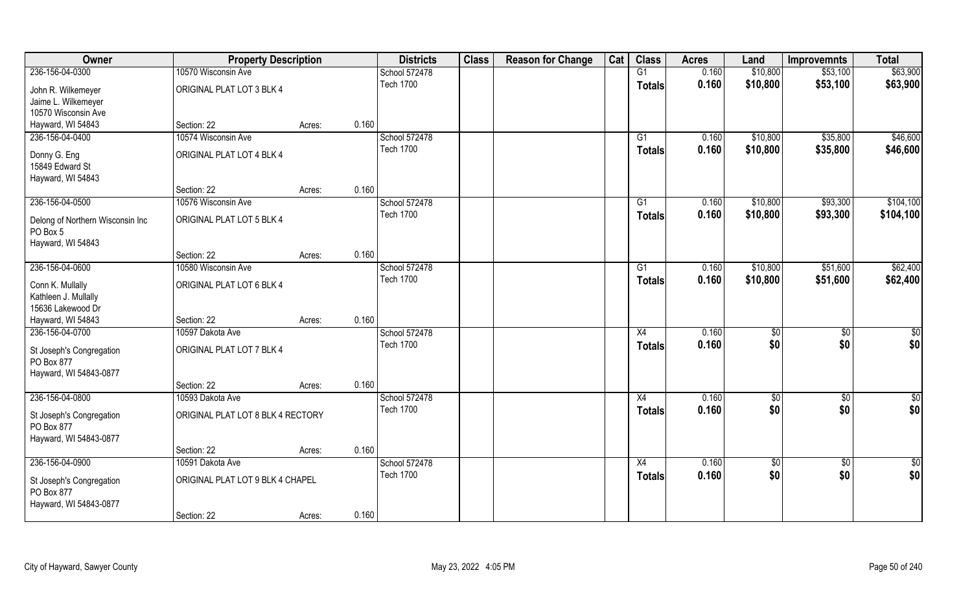| Owner                            | <b>Property Description</b>       |        |       | <b>Districts</b> | <b>Class</b> | <b>Reason for Change</b> | Cat | <b>Class</b>    | <b>Acres</b> | Land        | <b>Improvemnts</b> | <b>Total</b>  |
|----------------------------------|-----------------------------------|--------|-------|------------------|--------------|--------------------------|-----|-----------------|--------------|-------------|--------------------|---------------|
| 236-156-04-0300                  | 10570 Wisconsin Ave               |        |       | School 572478    |              |                          |     | G1              | 0.160        | \$10,800    | \$53,100           | \$63,900      |
| John R. Wilkemeyer               | ORIGINAL PLAT LOT 3 BLK 4         |        |       | <b>Tech 1700</b> |              |                          |     | <b>Totals</b>   | 0.160        | \$10,800    | \$53,100           | \$63,900      |
| Jaime L. Wilkemeyer              |                                   |        |       |                  |              |                          |     |                 |              |             |                    |               |
| 10570 Wisconsin Ave              |                                   |        |       |                  |              |                          |     |                 |              |             |                    |               |
| Hayward, WI 54843                | Section: 22                       | Acres: | 0.160 |                  |              |                          |     |                 |              |             |                    |               |
| 236-156-04-0400                  | 10574 Wisconsin Ave               |        |       | School 572478    |              |                          |     | G1              | 0.160        | \$10,800    | \$35,800           | \$46,600      |
| Donny G. Eng                     | ORIGINAL PLAT LOT 4 BLK 4         |        |       | <b>Tech 1700</b> |              |                          |     | <b>Totals</b>   | 0.160        | \$10,800    | \$35,800           | \$46,600      |
| 15849 Edward St                  |                                   |        |       |                  |              |                          |     |                 |              |             |                    |               |
| Hayward, WI 54843                |                                   |        |       |                  |              |                          |     |                 |              |             |                    |               |
|                                  | Section: 22                       | Acres: | 0.160 |                  |              |                          |     |                 |              |             |                    |               |
| 236-156-04-0500                  | 10576 Wisconsin Ave               |        |       | School 572478    |              |                          |     | G1              | 0.160        | \$10,800    | \$93,300           | \$104,100     |
| Delong of Northern Wisconsin Inc | ORIGINAL PLAT LOT 5 BLK 4         |        |       | <b>Tech 1700</b> |              |                          |     | <b>Totals</b>   | 0.160        | \$10,800    | \$93,300           | \$104,100     |
| PO Box 5                         |                                   |        |       |                  |              |                          |     |                 |              |             |                    |               |
| Hayward, WI 54843                |                                   |        |       |                  |              |                          |     |                 |              |             |                    |               |
|                                  | Section: 22                       | Acres: | 0.160 |                  |              |                          |     |                 |              |             |                    |               |
| 236-156-04-0600                  | 10580 Wisconsin Ave               |        |       | School 572478    |              |                          |     | G1              | 0.160        | \$10,800    | \$51,600           | \$62,400      |
| Conn K. Mullally                 | ORIGINAL PLAT LOT 6 BLK 4         |        |       | <b>Tech 1700</b> |              |                          |     | <b>Totals</b>   | 0.160        | \$10,800    | \$51,600           | \$62,400      |
| Kathleen J. Mullally             |                                   |        |       |                  |              |                          |     |                 |              |             |                    |               |
| 15636 Lakewood Dr                |                                   |        |       |                  |              |                          |     |                 |              |             |                    |               |
| Hayward, WI 54843                | Section: 22                       | Acres: | 0.160 |                  |              |                          |     |                 |              |             |                    |               |
| 236-156-04-0700                  | 10597 Dakota Ave                  |        |       | School 572478    |              |                          |     | $\overline{X4}$ | 0.160        | \$0         | $\overline{50}$    | \$0           |
| St Joseph's Congregation         | ORIGINAL PLAT LOT 7 BLK 4         |        |       | <b>Tech 1700</b> |              |                          |     | <b>Totals</b>   | 0.160        | \$0         | \$0                | \$0           |
| PO Box 877                       |                                   |        |       |                  |              |                          |     |                 |              |             |                    |               |
| Hayward, WI 54843-0877           |                                   |        |       |                  |              |                          |     |                 |              |             |                    |               |
|                                  | Section: 22                       | Acres: | 0.160 |                  |              |                          |     |                 |              |             |                    |               |
| 236-156-04-0800                  | 10593 Dakota Ave                  |        |       | School 572478    |              |                          |     | X4              | 0.160        | \$0         | $\overline{50}$    | $\frac{1}{2}$ |
| St Joseph's Congregation         | ORIGINAL PLAT LOT 8 BLK 4 RECTORY |        |       | <b>Tech 1700</b> |              |                          |     | <b>Totals</b>   | 0.160        | \$0         | \$0                | \$0           |
| PO Box 877                       |                                   |        |       |                  |              |                          |     |                 |              |             |                    |               |
| Hayward, WI 54843-0877           |                                   |        |       |                  |              |                          |     |                 |              |             |                    |               |
|                                  | Section: 22                       | Acres: | 0.160 |                  |              |                          |     |                 |              |             |                    |               |
| 236-156-04-0900                  | 10591 Dakota Ave                  |        |       | School 572478    |              |                          |     | X4              | 0.160        | $\sqrt{$0}$ | $\overline{50}$    | $\frac{1}{2}$ |
| St Joseph's Congregation         | ORIGINAL PLAT LOT 9 BLK 4 CHAPEL  |        |       | <b>Tech 1700</b> |              |                          |     | <b>Totals</b>   | 0.160        | \$0         | \$0                | \$0           |
| PO Box 877                       |                                   |        |       |                  |              |                          |     |                 |              |             |                    |               |
| Hayward, WI 54843-0877           |                                   |        |       |                  |              |                          |     |                 |              |             |                    |               |
|                                  | Section: 22                       | Acres: | 0.160 |                  |              |                          |     |                 |              |             |                    |               |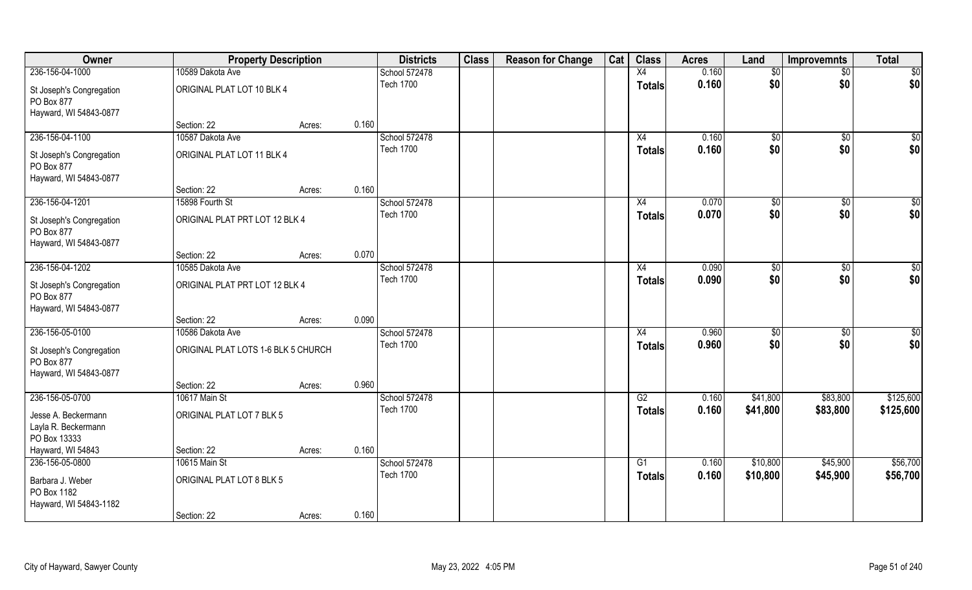| Owner                                                            | <b>Property Description</b>         |        |       | <b>Districts</b> | <b>Class</b> | <b>Reason for Change</b> | Cat | <b>Class</b>    | <b>Acres</b> | Land            | <b>Improvemnts</b> | <b>Total</b> |
|------------------------------------------------------------------|-------------------------------------|--------|-------|------------------|--------------|--------------------------|-----|-----------------|--------------|-----------------|--------------------|--------------|
| 236-156-04-1000                                                  | 10589 Dakota Ave                    |        |       | School 572478    |              |                          |     | X4              | 0.160        | $\overline{50}$ | $\overline{60}$    | \$0          |
| St Joseph's Congregation<br>PO Box 877<br>Hayward, WI 54843-0877 | ORIGINAL PLAT LOT 10 BLK 4          |        |       | <b>Tech 1700</b> |              |                          |     | <b>Totals</b>   | 0.160        | \$0             | \$0                | \$0          |
|                                                                  | Section: 22                         | Acres: | 0.160 |                  |              |                          |     |                 |              |                 |                    |              |
| 236-156-04-1100                                                  | 10587 Dakota Ave                    |        |       | School 572478    |              |                          |     | X4              | 0.160        | $\sqrt{$0}$     | $\overline{50}$    | \$0          |
| St Joseph's Congregation<br>PO Box 877<br>Hayward, WI 54843-0877 | ORIGINAL PLAT LOT 11 BLK 4          |        |       | <b>Tech 1700</b> |              |                          |     | Totals          | 0.160        | \$0             | \$0                | \$0          |
|                                                                  | Section: 22                         | Acres: | 0.160 |                  |              |                          |     |                 |              |                 |                    |              |
| 236-156-04-1201                                                  | 15898 Fourth St                     |        |       | School 572478    |              |                          |     | X4              | 0.070        | \$0             | \$0                | \$0          |
| St Joseph's Congregation<br>PO Box 877<br>Hayward, WI 54843-0877 | ORIGINAL PLAT PRT LOT 12 BLK 4      |        |       | <b>Tech 1700</b> |              |                          |     | <b>Totals</b>   | 0.070        | \$0             | \$0                | \$0          |
|                                                                  | Section: 22                         | Acres: | 0.070 |                  |              |                          |     |                 |              |                 |                    |              |
| 236-156-04-1202                                                  | 10585 Dakota Ave                    |        |       | School 572478    |              |                          |     | X4              | 0.090        | \$0             | \$0                | \$0          |
| St Joseph's Congregation<br>PO Box 877<br>Hayward, WI 54843-0877 | ORIGINAL PLAT PRT LOT 12 BLK 4      |        |       | <b>Tech 1700</b> |              |                          |     | <b>Totals</b>   | 0.090        | \$0             | \$0                | \$0          |
|                                                                  | Section: 22                         | Acres: | 0.090 |                  |              |                          |     |                 |              |                 |                    |              |
| 236-156-05-0100                                                  | 10586 Dakota Ave                    |        |       | School 572478    |              |                          |     | $\overline{X4}$ | 0.960        | \$0             | $\overline{50}$    | \$0          |
| St Joseph's Congregation<br>PO Box 877<br>Hayward, WI 54843-0877 | ORIGINAL PLAT LOTS 1-6 BLK 5 CHURCH |        |       | <b>Tech 1700</b> |              |                          |     | <b>Totals</b>   | 0.960        | \$0             | \$0                | \$0          |
|                                                                  | Section: 22                         | Acres: | 0.960 |                  |              |                          |     |                 |              |                 |                    |              |
| 236-156-05-0700                                                  | 10617 Main St                       |        |       | School 572478    |              |                          |     | G2              | 0.160        | \$41,800        | \$83,800           | \$125,600    |
| Jesse A. Beckermann<br>Layla R. Beckermann<br>PO Box 13333       | ORIGINAL PLAT LOT 7 BLK 5           |        |       | <b>Tech 1700</b> |              |                          |     | <b>Totals</b>   | 0.160        | \$41,800        | \$83,800           | \$125,600    |
| Hayward, WI 54843                                                | Section: 22                         | Acres: | 0.160 |                  |              |                          |     |                 |              |                 |                    |              |
| 236-156-05-0800                                                  | 10615 Main St                       |        |       | School 572478    |              |                          |     | $\overline{G1}$ | 0.160        | \$10,800        | \$45,900           | \$56,700     |
| Barbara J. Weber<br>PO Box 1182<br>Hayward, WI 54843-1182        | ORIGINAL PLAT LOT 8 BLK 5           |        |       | <b>Tech 1700</b> |              |                          |     | <b>Totals</b>   | 0.160        | \$10,800        | \$45,900           | \$56,700     |
|                                                                  | Section: 22                         | Acres: | 0.160 |                  |              |                          |     |                 |              |                 |                    |              |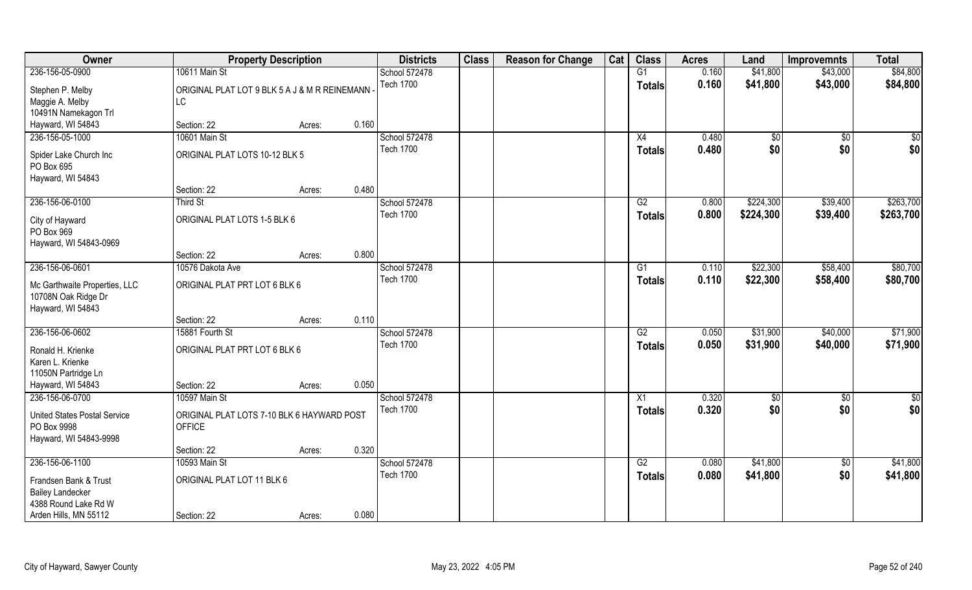| Owner                                              |                                               | <b>Property Description</b> |       | <b>Districts</b> | <b>Class</b> | <b>Reason for Change</b> | Cat | <b>Class</b>    | <b>Acres</b> | Land      | <b>Improvemnts</b> | <b>Total</b> |
|----------------------------------------------------|-----------------------------------------------|-----------------------------|-------|------------------|--------------|--------------------------|-----|-----------------|--------------|-----------|--------------------|--------------|
| 236-156-05-0900                                    | 10611 Main St                                 |                             |       | School 572478    |              |                          |     | G1              | 0.160        | \$41,800  | \$43,000           | \$84,800     |
| Stephen P. Melby                                   | ORIGINAL PLAT LOT 9 BLK 5 A J & M R REINEMANN |                             |       | <b>Tech 1700</b> |              |                          |     | <b>Totals</b>   | 0.160        | \$41,800  | \$43,000           | \$84,800     |
| Maggie A. Melby                                    | LC                                            |                             |       |                  |              |                          |     |                 |              |           |                    |              |
| 10491N Namekagon Trl                               |                                               |                             |       |                  |              |                          |     |                 |              |           |                    |              |
| Hayward, WI 54843                                  | Section: 22                                   | Acres:                      | 0.160 |                  |              |                          |     |                 |              |           |                    |              |
| 236-156-05-1000                                    | 10601 Main St                                 |                             |       | School 572478    |              |                          |     | X4              | 0.480        | \$0       | $\sqrt{$0}$        | \$0          |
| Spider Lake Church Inc                             | ORIGINAL PLAT LOTS 10-12 BLK 5                |                             |       | <b>Tech 1700</b> |              |                          |     | <b>Totals</b>   | 0.480        | \$0       | \$0                | \$0          |
| PO Box 695                                         |                                               |                             |       |                  |              |                          |     |                 |              |           |                    |              |
| Hayward, WI 54843                                  |                                               |                             |       |                  |              |                          |     |                 |              |           |                    |              |
|                                                    | Section: 22                                   | Acres:                      | 0.480 |                  |              |                          |     |                 |              |           |                    |              |
| 236-156-06-0100                                    | <b>Third St</b>                               |                             |       | School 572478    |              |                          |     | G2              | 0.800        | \$224,300 | \$39,400           | \$263,700    |
| City of Hayward                                    | ORIGINAL PLAT LOTS 1-5 BLK 6                  |                             |       | <b>Tech 1700</b> |              |                          |     | <b>Totals</b>   | 0.800        | \$224,300 | \$39,400           | \$263,700    |
| PO Box 969                                         |                                               |                             |       |                  |              |                          |     |                 |              |           |                    |              |
| Hayward, WI 54843-0969                             |                                               |                             |       |                  |              |                          |     |                 |              |           |                    |              |
|                                                    | Section: 22                                   | Acres:                      | 0.800 |                  |              |                          |     |                 |              |           |                    |              |
| 236-156-06-0601                                    | 10576 Dakota Ave                              |                             |       | School 572478    |              |                          |     | G1              | 0.110        | \$22,300  | \$58,400           | \$80,700     |
| Mc Garthwaite Properties, LLC                      | ORIGINAL PLAT PRT LOT 6 BLK 6                 |                             |       | <b>Tech 1700</b> |              |                          |     | <b>Totals</b>   | 0.110        | \$22,300  | \$58,400           | \$80,700     |
| 10708N Oak Ridge Dr                                |                                               |                             |       |                  |              |                          |     |                 |              |           |                    |              |
| Hayward, WI 54843                                  |                                               |                             |       |                  |              |                          |     |                 |              |           |                    |              |
|                                                    | Section: 22                                   | Acres:                      | 0.110 |                  |              |                          |     |                 |              |           |                    |              |
| 236-156-06-0602                                    | 15881 Fourth St                               |                             |       | School 572478    |              |                          |     | $\overline{G2}$ | 0.050        | \$31,900  | \$40,000           | \$71,900     |
| Ronald H. Krienke                                  | ORIGINAL PLAT PRT LOT 6 BLK 6                 |                             |       | <b>Tech 1700</b> |              |                          |     | <b>Totals</b>   | 0.050        | \$31,900  | \$40,000           | \$71,900     |
| Karen L. Krienke                                   |                                               |                             |       |                  |              |                          |     |                 |              |           |                    |              |
| 11050N Partridge Ln                                |                                               |                             |       |                  |              |                          |     |                 |              |           |                    |              |
| Hayward, WI 54843                                  | Section: 22                                   | Acres:                      | 0.050 |                  |              |                          |     |                 |              |           |                    |              |
| 236-156-06-0700                                    | 10597 Main St                                 |                             |       | School 572478    |              |                          |     | $\overline{X1}$ | 0.320        | \$0       | $\sqrt{$0}$        | \$0          |
|                                                    | ORIGINAL PLAT LOTS 7-10 BLK 6 HAYWARD POST    |                             |       | <b>Tech 1700</b> |              |                          |     | <b>Totals</b>   | 0.320        | \$0       | \$0                | \$0          |
| <b>United States Postal Service</b><br>PO Box 9998 | <b>OFFICE</b>                                 |                             |       |                  |              |                          |     |                 |              |           |                    |              |
| Hayward, WI 54843-9998                             |                                               |                             |       |                  |              |                          |     |                 |              |           |                    |              |
|                                                    | Section: 22                                   | Acres:                      | 0.320 |                  |              |                          |     |                 |              |           |                    |              |
| 236-156-06-1100                                    | 10593 Main St                                 |                             |       | School 572478    |              |                          |     | G2              | 0.080        | \$41,800  | $\sqrt{$0}$        | \$41,800     |
|                                                    |                                               |                             |       | <b>Tech 1700</b> |              |                          |     | <b>Totals</b>   | 0.080        | \$41,800  | \$0                | \$41,800     |
| Frandsen Bank & Trust<br><b>Bailey Landecker</b>   | ORIGINAL PLAT LOT 11 BLK 6                    |                             |       |                  |              |                          |     |                 |              |           |                    |              |
| 4388 Round Lake Rd W                               |                                               |                             |       |                  |              |                          |     |                 |              |           |                    |              |
| Arden Hills, MN 55112                              | Section: 22                                   | Acres:                      | 0.080 |                  |              |                          |     |                 |              |           |                    |              |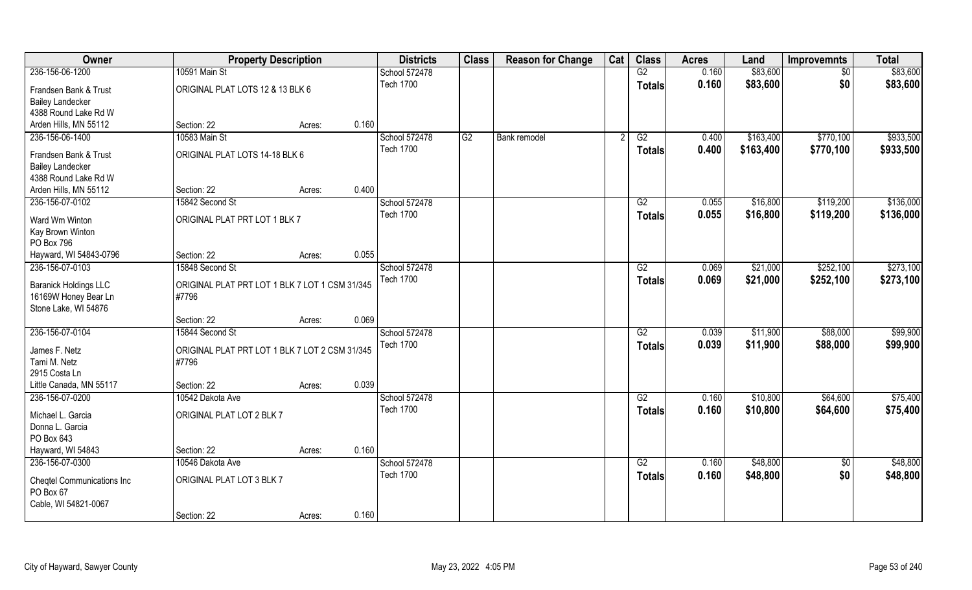| Owner                                           | <b>Property Description</b>                    |        |       | <b>Districts</b> | <b>Class</b> | <b>Reason for Change</b> | Cat | <b>Class</b>    | <b>Acres</b> | Land      | <b>Improvemnts</b> | <b>Total</b> |
|-------------------------------------------------|------------------------------------------------|--------|-------|------------------|--------------|--------------------------|-----|-----------------|--------------|-----------|--------------------|--------------|
| 236-156-06-1200                                 | 10591 Main St                                  |        |       | School 572478    |              |                          |     | G2              | 0.160        | \$83,600  | $\sqrt{6}$         | \$83,600     |
| Frandsen Bank & Trust                           | ORIGINAL PLAT LOTS 12 & 13 BLK 6               |        |       | <b>Tech 1700</b> |              |                          |     | <b>Totals</b>   | 0.160        | \$83,600  | \$0                | \$83,600     |
| <b>Bailey Landecker</b>                         |                                                |        |       |                  |              |                          |     |                 |              |           |                    |              |
| 4388 Round Lake Rd W                            |                                                |        |       |                  |              |                          |     |                 |              |           |                    |              |
| Arden Hills, MN 55112                           | Section: 22                                    | Acres: | 0.160 |                  |              |                          |     |                 |              |           |                    |              |
| 236-156-06-1400                                 | 10583 Main St                                  |        |       | School 572478    | G2           | Bank remodel             |     | G2              | 0.400        | \$163,400 | \$770,100          | \$933,500    |
|                                                 | ORIGINAL PLAT LOTS 14-18 BLK 6                 |        |       | <b>Tech 1700</b> |              |                          |     | Totals          | 0.400        | \$163,400 | \$770,100          | \$933,500    |
| Frandsen Bank & Trust                           |                                                |        |       |                  |              |                          |     |                 |              |           |                    |              |
| <b>Bailey Landecker</b><br>4388 Round Lake Rd W |                                                |        |       |                  |              |                          |     |                 |              |           |                    |              |
| Arden Hills, MN 55112                           | Section: 22                                    | Acres: | 0.400 |                  |              |                          |     |                 |              |           |                    |              |
| 236-156-07-0102                                 | 15842 Second St                                |        |       | School 572478    |              |                          |     | G2              | 0.055        | \$16,800  | \$119,200          | \$136,000    |
|                                                 |                                                |        |       | <b>Tech 1700</b> |              |                          |     | <b>Totals</b>   | 0.055        | \$16,800  | \$119,200          | \$136,000    |
| Ward Wm Winton                                  | ORIGINAL PLAT PRT LOT 1 BLK 7                  |        |       |                  |              |                          |     |                 |              |           |                    |              |
| Kay Brown Winton                                |                                                |        |       |                  |              |                          |     |                 |              |           |                    |              |
| PO Box 796                                      |                                                |        |       |                  |              |                          |     |                 |              |           |                    |              |
| Hayward, WI 54843-0796                          | Section: 22                                    | Acres: | 0.055 |                  |              |                          |     |                 |              |           |                    |              |
| 236-156-07-0103                                 | 15848 Second St                                |        |       | School 572478    |              |                          |     | G2              | 0.069        | \$21,000  | \$252,100          | \$273,100    |
| <b>Baranick Holdings LLC</b>                    | ORIGINAL PLAT PRT LOT 1 BLK 7 LOT 1 CSM 31/345 |        |       | Tech 1700        |              |                          |     | <b>Totals</b>   | 0.069        | \$21,000  | \$252,100          | \$273,100    |
| 16169W Honey Bear Ln                            | #7796                                          |        |       |                  |              |                          |     |                 |              |           |                    |              |
| Stone Lake, WI 54876                            |                                                |        |       |                  |              |                          |     |                 |              |           |                    |              |
|                                                 | Section: 22                                    | Acres: | 0.069 |                  |              |                          |     |                 |              |           |                    |              |
| 236-156-07-0104                                 | 15844 Second St                                |        |       | School 572478    |              |                          |     | $\overline{G2}$ | 0.039        | \$11,900  | \$88,000           | \$99,900     |
| James F. Netz                                   | ORIGINAL PLAT PRT LOT 1 BLK 7 LOT 2 CSM 31/345 |        |       | <b>Tech 1700</b> |              |                          |     | <b>Totals</b>   | 0.039        | \$11,900  | \$88,000           | \$99,900     |
| Tami M. Netz                                    | #7796                                          |        |       |                  |              |                          |     |                 |              |           |                    |              |
| 2915 Costa Ln                                   |                                                |        |       |                  |              |                          |     |                 |              |           |                    |              |
| Little Canada, MN 55117                         | Section: 22                                    | Acres: | 0.039 |                  |              |                          |     |                 |              |           |                    |              |
| 236-156-07-0200                                 | 10542 Dakota Ave                               |        |       | School 572478    |              |                          |     | G2              | 0.160        | \$10,800  | \$64,600           | \$75,400     |
|                                                 |                                                |        |       | <b>Tech 1700</b> |              |                          |     | <b>Totals</b>   | 0.160        | \$10,800  | \$64,600           | \$75,400     |
| Michael L. Garcia                               | ORIGINAL PLAT LOT 2 BLK 7                      |        |       |                  |              |                          |     |                 |              |           |                    |              |
| Donna L. Garcia<br>PO Box 643                   |                                                |        |       |                  |              |                          |     |                 |              |           |                    |              |
| Hayward, WI 54843                               | Section: 22                                    | Acres: | 0.160 |                  |              |                          |     |                 |              |           |                    |              |
| 236-156-07-0300                                 | 10546 Dakota Ave                               |        |       | School 572478    |              |                          |     | G2              | 0.160        | \$48,800  | $\overline{50}$    | \$48,800     |
|                                                 |                                                |        |       | <b>Tech 1700</b> |              |                          |     |                 | 0.160        | \$48,800  | \$0                | \$48,800     |
| <b>Cheqtel Communications Inc</b>               | ORIGINAL PLAT LOT 3 BLK 7                      |        |       |                  |              |                          |     | Totals          |              |           |                    |              |
| PO Box 67                                       |                                                |        |       |                  |              |                          |     |                 |              |           |                    |              |
| Cable, WI 54821-0067                            |                                                |        |       |                  |              |                          |     |                 |              |           |                    |              |
|                                                 | Section: 22                                    | Acres: | 0.160 |                  |              |                          |     |                 |              |           |                    |              |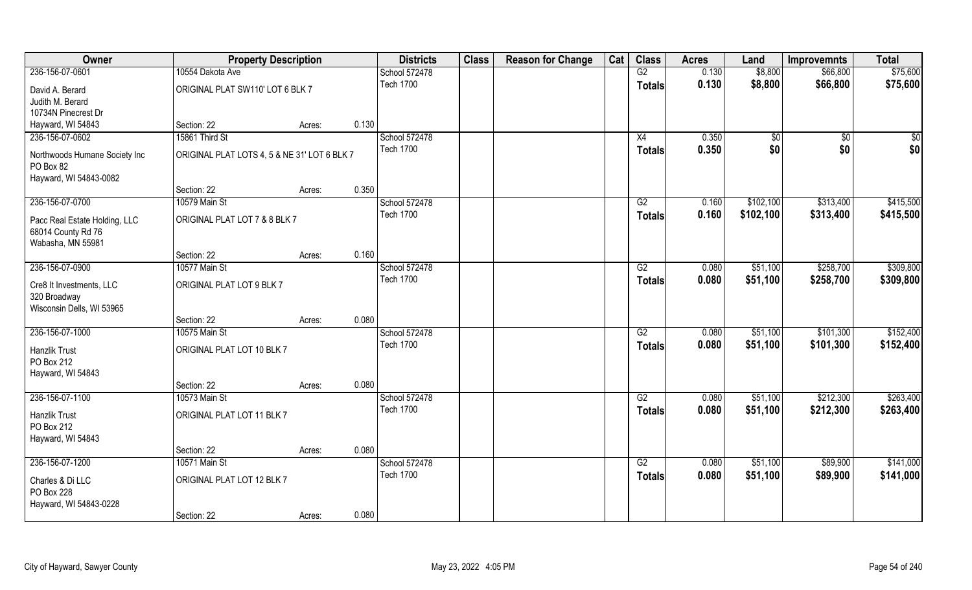| Owner                                                                    | <b>Property Description</b>                  |        |       | <b>Districts</b> | <b>Class</b> | <b>Reason for Change</b> | Cat | <b>Class</b>    | <b>Acres</b> | Land        | <b>Improvemnts</b> | <b>Total</b> |
|--------------------------------------------------------------------------|----------------------------------------------|--------|-------|------------------|--------------|--------------------------|-----|-----------------|--------------|-------------|--------------------|--------------|
| 236-156-07-0601                                                          | 10554 Dakota Ave                             |        |       | School 572478    |              |                          |     | G2              | 0.130        | \$8,800     | \$66,800           | \$75,600     |
| David A. Berard                                                          | ORIGINAL PLAT SW110' LOT 6 BLK 7             |        |       | <b>Tech 1700</b> |              |                          |     | <b>Totals</b>   | 0.130        | \$8,800     | \$66,800           | \$75,600     |
| Judith M. Berard                                                         |                                              |        |       |                  |              |                          |     |                 |              |             |                    |              |
| 10734N Pinecrest Dr                                                      |                                              |        |       |                  |              |                          |     |                 |              |             |                    |              |
| Hayward, WI 54843                                                        | Section: 22                                  | Acres: | 0.130 |                  |              |                          |     |                 |              |             |                    |              |
| 236-156-07-0602                                                          | 15861 Third St                               |        |       | School 572478    |              |                          |     | X4              | 0.350        | $\sqrt{$0}$ | $\overline{50}$    | \$0          |
| Northwoods Humane Society Inc<br>PO Box 82                               | ORIGINAL PLAT LOTS 4, 5 & NE 31' LOT 6 BLK 7 |        |       | <b>Tech 1700</b> |              |                          |     | Totals          | 0.350        | \$0         | \$0                | \$0          |
| Hayward, WI 54843-0082                                                   |                                              |        |       |                  |              |                          |     |                 |              |             |                    |              |
|                                                                          | Section: 22                                  | Acres: | 0.350 |                  |              |                          |     |                 |              |             |                    |              |
| 236-156-07-0700                                                          | 10579 Main St                                |        |       | School 572478    |              |                          |     | G2              | 0.160        | \$102,100   | \$313,400          | \$415,500    |
| Pacc Real Estate Holding, LLC<br>68014 County Rd 76<br>Wabasha, MN 55981 | ORIGINAL PLAT LOT 7 & 8 BLK 7                |        |       | <b>Tech 1700</b> |              |                          |     | <b>Totals</b>   | 0.160        | \$102,100   | \$313,400          | \$415,500    |
|                                                                          | Section: 22                                  | Acres: | 0.160 |                  |              |                          |     |                 |              |             |                    |              |
| 236-156-07-0900                                                          | 10577 Main St                                |        |       | School 572478    |              |                          |     | G2              | 0.080        | \$51,100    | \$258,700          | \$309,800    |
| Cre8 It Investments, LLC<br>320 Broadway                                 | ORIGINAL PLAT LOT 9 BLK 7                    |        |       | <b>Tech 1700</b> |              |                          |     | <b>Totals</b>   | 0.080        | \$51,100    | \$258,700          | \$309,800    |
| Wisconsin Dells, WI 53965                                                | Section: 22                                  | Acres: | 0.080 |                  |              |                          |     |                 |              |             |                    |              |
| 236-156-07-1000                                                          | 10575 Main St                                |        |       | School 572478    |              |                          |     | $\overline{G2}$ | 0.080        | \$51,100    | \$101,300          | \$152,400    |
|                                                                          |                                              |        |       | <b>Tech 1700</b> |              |                          |     |                 |              |             |                    |              |
| Hanzlik Trust<br>PO Box 212<br>Hayward, WI 54843                         | ORIGINAL PLAT LOT 10 BLK 7                   |        |       |                  |              |                          |     | <b>Totals</b>   | 0.080        | \$51,100    | \$101,300          | \$152,400    |
|                                                                          | Section: 22                                  | Acres: | 0.080 |                  |              |                          |     |                 |              |             |                    |              |
| 236-156-07-1100                                                          | 10573 Main St                                |        |       | School 572478    |              |                          |     | G2              | 0.080        | \$51,100    | \$212,300          | \$263,400    |
| Hanzlik Trust<br>PO Box 212<br>Hayward, WI 54843                         | ORIGINAL PLAT LOT 11 BLK 7                   |        |       | <b>Tech 1700</b> |              |                          |     | <b>Totals</b>   | 0.080        | \$51,100    | \$212,300          | \$263,400    |
|                                                                          | Section: 22                                  | Acres: | 0.080 |                  |              |                          |     |                 |              |             |                    |              |
| 236-156-07-1200                                                          | 10571 Main St                                |        |       | School 572478    |              |                          |     | G2              | 0.080        | \$51,100    | \$89,900           | \$141,000    |
|                                                                          |                                              |        |       | <b>Tech 1700</b> |              |                          |     | <b>Totals</b>   | 0.080        | \$51,100    | \$89,900           | \$141,000    |
| Charles & Di LLC<br>PO Box 228<br>Hayward, WI 54843-0228                 | ORIGINAL PLAT LOT 12 BLK 7                   |        |       |                  |              |                          |     |                 |              |             |                    |              |
|                                                                          | Section: 22                                  | Acres: | 0.080 |                  |              |                          |     |                 |              |             |                    |              |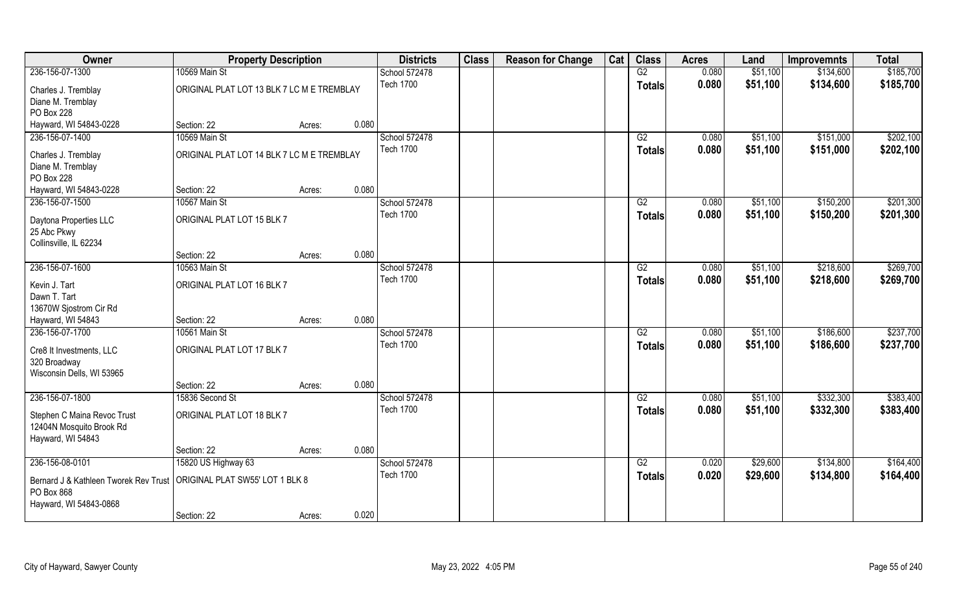| Owner                                                                         | <b>Property Description</b>                |                 | <b>Districts</b> | <b>Class</b> | <b>Reason for Change</b> | Cat | <b>Class</b>    | <b>Acres</b> | Land     | <b>Improvemnts</b> | <b>Total</b> |
|-------------------------------------------------------------------------------|--------------------------------------------|-----------------|------------------|--------------|--------------------------|-----|-----------------|--------------|----------|--------------------|--------------|
| 236-156-07-1300                                                               | 10569 Main St                              |                 | School 572478    |              |                          |     | G2              | 0.080        | \$51,100 | \$134,600          | \$185,700    |
| Charles J. Tremblay<br>Diane M. Tremblay                                      | ORIGINAL PLAT LOT 13 BLK 7 LC M E TREMBLAY |                 | <b>Tech 1700</b> |              |                          |     | <b>Totals</b>   | 0.080        | \$51,100 | \$134,600          | \$185,700    |
| PO Box 228                                                                    |                                            |                 |                  |              |                          |     |                 |              |          |                    |              |
| Hayward, WI 54843-0228                                                        | Section: 22                                | 0.080<br>Acres: |                  |              |                          |     |                 |              |          |                    |              |
| 236-156-07-1400                                                               | 10569 Main St                              |                 | School 572478    |              |                          |     | G2              | 0.080        | \$51,100 | \$151,000          | \$202,100    |
| Charles J. Tremblay<br>Diane M. Tremblay                                      | ORIGINAL PLAT LOT 14 BLK 7 LC M E TREMBLAY |                 | <b>Tech 1700</b> |              |                          |     | Totals          | 0.080        | \$51,100 | \$151,000          | \$202,100    |
| PO Box 228                                                                    |                                            |                 |                  |              |                          |     |                 |              |          |                    |              |
| Hayward, WI 54843-0228                                                        | Section: 22                                | 0.080<br>Acres: |                  |              |                          |     |                 |              |          |                    |              |
| 236-156-07-1500                                                               | 10567 Main St                              |                 | School 572478    |              |                          |     | G2              | 0.080        | \$51,100 | \$150,200          | \$201,300    |
| Daytona Properties LLC<br>25 Abc Pkwy<br>Collinsville, IL 62234               | ORIGINAL PLAT LOT 15 BLK 7                 |                 | <b>Tech 1700</b> |              |                          |     | <b>Totals</b>   | 0.080        | \$51,100 | \$150,200          | \$201,300    |
|                                                                               | Section: 22                                | 0.080<br>Acres: |                  |              |                          |     |                 |              |          |                    |              |
| 236-156-07-1600                                                               | 10563 Main St                              |                 | School 572478    |              |                          |     | G2              | 0.080        | \$51,100 | \$218,600          | \$269,700    |
| Kevin J. Tart                                                                 | ORIGINAL PLAT LOT 16 BLK 7                 |                 | <b>Tech 1700</b> |              |                          |     | <b>Totals</b>   | 0.080        | \$51,100 | \$218,600          | \$269,700    |
| Dawn T. Tart<br>13670W Sjostrom Cir Rd                                        |                                            |                 |                  |              |                          |     |                 |              |          |                    |              |
| Hayward, WI 54843                                                             | Section: 22                                | 0.080<br>Acres: |                  |              |                          |     |                 |              |          |                    |              |
| 236-156-07-1700                                                               | 10561 Main St                              |                 | School 572478    |              |                          |     | $\overline{G2}$ | 0.080        | \$51,100 | \$186,600          | \$237,700    |
| Cre8 It Investments, LLC<br>320 Broadway<br>Wisconsin Dells, WI 53965         | ORIGINAL PLAT LOT 17 BLK 7                 |                 | <b>Tech 1700</b> |              |                          |     | <b>Totals</b>   | 0.080        | \$51,100 | \$186,600          | \$237,700    |
|                                                                               | Section: 22                                | 0.080<br>Acres: |                  |              |                          |     |                 |              |          |                    |              |
| 236-156-07-1800                                                               | 15836 Second St                            |                 | School 572478    |              |                          |     | G2              | 0.080        | \$51,100 | \$332,300          | \$383,400    |
| Stephen C Maina Revoc Trust<br>12404N Mosquito Brook Rd<br>Hayward, WI 54843  | ORIGINAL PLAT LOT 18 BLK 7                 |                 | <b>Tech 1700</b> |              |                          |     | <b>Totals</b>   | 0.080        | \$51,100 | \$332,300          | \$383,400    |
|                                                                               | Section: 22                                | 0.080<br>Acres: |                  |              |                          |     |                 |              |          |                    |              |
| 236-156-08-0101                                                               | 15820 US Highway 63                        |                 | School 572478    |              |                          |     | G2              | 0.020        | \$29,600 | \$134,800          | \$164,400    |
| Bernard J & Kathleen Tworek Rev Trust<br>PO Box 868<br>Hayward, WI 54843-0868 | ORIGINAL PLAT SW55' LOT 1 BLK 8            |                 | <b>Tech 1700</b> |              |                          |     | <b>Totals</b>   | 0.020        | \$29,600 | \$134,800          | \$164,400    |
|                                                                               | Section: 22                                | 0.020<br>Acres: |                  |              |                          |     |                 |              |          |                    |              |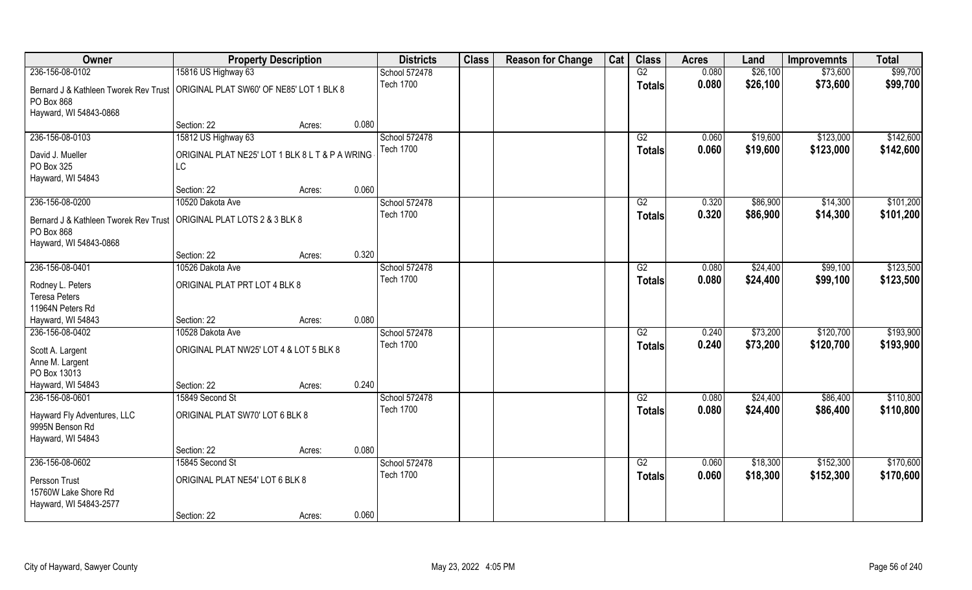| Owner                                                                  | <b>Property Description</b>                     |        |       | <b>Districts</b> | <b>Class</b> | <b>Reason for Change</b> | Cat | <b>Class</b>    | <b>Acres</b> | Land     | <b>Improvemnts</b> | <b>Total</b> |
|------------------------------------------------------------------------|-------------------------------------------------|--------|-------|------------------|--------------|--------------------------|-----|-----------------|--------------|----------|--------------------|--------------|
| 236-156-08-0102                                                        | 15816 US Highway 63                             |        |       | School 572478    |              |                          |     | G2              | 0.080        | \$26,100 | \$73,600           | \$99,700     |
| Bernard J & Kathleen Tworek Rev Trust                                  | ORIGINAL PLAT SW60' OF NE85' LOT 1 BLK 8        |        |       | <b>Tech 1700</b> |              |                          |     | <b>Totals</b>   | 0.080        | \$26,100 | \$73,600           | \$99,700     |
| PO Box 868                                                             |                                                 |        |       |                  |              |                          |     |                 |              |          |                    |              |
| Hayward, WI 54843-0868                                                 |                                                 |        |       |                  |              |                          |     |                 |              |          |                    |              |
|                                                                        | Section: 22                                     | Acres: | 0.080 |                  |              |                          |     |                 |              |          |                    |              |
| 236-156-08-0103                                                        | 15812 US Highway 63                             |        |       | School 572478    |              |                          |     | G2              | 0.060        | \$19,600 | \$123,000          | \$142,600    |
| David J. Mueller                                                       | ORIGINAL PLAT NE25' LOT 1 BLK 8 L T & P A WRING |        |       | <b>Tech 1700</b> |              |                          |     | <b>Totals</b>   | 0.060        | \$19,600 | \$123,000          | \$142,600    |
| PO Box 325                                                             | LC                                              |        |       |                  |              |                          |     |                 |              |          |                    |              |
| Hayward, WI 54843                                                      |                                                 |        |       |                  |              |                          |     |                 |              |          |                    |              |
|                                                                        | Section: 22                                     | Acres: | 0.060 |                  |              |                          |     |                 |              |          |                    |              |
| 236-156-08-0200                                                        | 10520 Dakota Ave                                |        |       | School 572478    |              |                          |     | G2              | 0.320        | \$86,900 | \$14,300           | \$101,200    |
| Bernard J & Kathleen Tworek Rev Trust   ORIGINAL PLAT LOTS 2 & 3 BLK 8 |                                                 |        |       | <b>Tech 1700</b> |              |                          |     | <b>Totals</b>   | 0.320        | \$86,900 | \$14,300           | \$101,200    |
| PO Box 868                                                             |                                                 |        |       |                  |              |                          |     |                 |              |          |                    |              |
| Hayward, WI 54843-0868                                                 |                                                 |        |       |                  |              |                          |     |                 |              |          |                    |              |
|                                                                        | Section: 22                                     | Acres: | 0.320 |                  |              |                          |     |                 |              |          |                    |              |
| 236-156-08-0401                                                        | 10526 Dakota Ave                                |        |       | School 572478    |              |                          |     | G2              | 0.080        | \$24,400 | \$99,100           | \$123,500    |
| Rodney L. Peters                                                       | ORIGINAL PLAT PRT LOT 4 BLK 8                   |        |       | <b>Tech 1700</b> |              |                          |     | <b>Totals</b>   | 0.080        | \$24,400 | \$99,100           | \$123,500    |
| <b>Teresa Peters</b>                                                   |                                                 |        |       |                  |              |                          |     |                 |              |          |                    |              |
| 11964N Peters Rd                                                       |                                                 |        |       |                  |              |                          |     |                 |              |          |                    |              |
| Hayward, WI 54843                                                      | Section: 22                                     | Acres: | 0.080 |                  |              |                          |     |                 |              |          |                    |              |
| 236-156-08-0402                                                        | 10528 Dakota Ave                                |        |       | School 572478    |              |                          |     | $\overline{G2}$ | 0.240        | \$73,200 | \$120,700          | \$193,900    |
| Scott A. Largent                                                       | ORIGINAL PLAT NW25' LOT 4 & LOT 5 BLK 8         |        |       | <b>Tech 1700</b> |              |                          |     | <b>Totals</b>   | 0.240        | \$73,200 | \$120,700          | \$193,900    |
| Anne M. Largent                                                        |                                                 |        |       |                  |              |                          |     |                 |              |          |                    |              |
| PO Box 13013                                                           |                                                 |        |       |                  |              |                          |     |                 |              |          |                    |              |
| Hayward, WI 54843                                                      | Section: 22                                     | Acres: | 0.240 |                  |              |                          |     |                 |              |          |                    |              |
| 236-156-08-0601                                                        | 15849 Second St                                 |        |       | School 572478    |              |                          |     | G2              | 0.080        | \$24,400 | \$86,400           | \$110,800    |
| Hayward Fly Adventures, LLC                                            | ORIGINAL PLAT SW70' LOT 6 BLK 8                 |        |       | <b>Tech 1700</b> |              |                          |     | <b>Totals</b>   | 0.080        | \$24,400 | \$86,400           | \$110,800    |
| 9995N Benson Rd                                                        |                                                 |        |       |                  |              |                          |     |                 |              |          |                    |              |
| Hayward, WI 54843                                                      |                                                 |        |       |                  |              |                          |     |                 |              |          |                    |              |
|                                                                        | Section: 22                                     | Acres: | 0.080 |                  |              |                          |     |                 |              |          |                    |              |
| 236-156-08-0602                                                        | 15845 Second St                                 |        |       | School 572478    |              |                          |     | G2              | 0.060        | \$18,300 | \$152,300          | \$170,600    |
| Persson Trust                                                          | ORIGINAL PLAT NE54' LOT 6 BLK 8                 |        |       | <b>Tech 1700</b> |              |                          |     | <b>Totals</b>   | 0.060        | \$18,300 | \$152,300          | \$170,600    |
| 15760W Lake Shore Rd                                                   |                                                 |        |       |                  |              |                          |     |                 |              |          |                    |              |
| Hayward, WI 54843-2577                                                 |                                                 |        |       |                  |              |                          |     |                 |              |          |                    |              |
|                                                                        | Section: 22                                     | Acres: | 0.060 |                  |              |                          |     |                 |              |          |                    |              |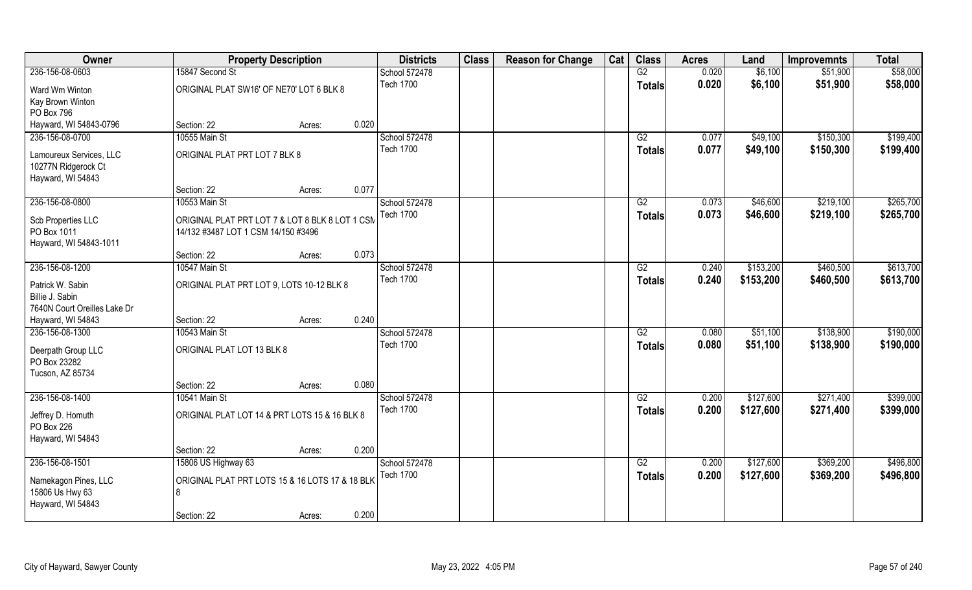| Owner                                                               |                                                                                        | <b>Property Description</b> |       | <b>Districts</b> | <b>Class</b> | <b>Reason for Change</b> | Cat | <b>Class</b>    | <b>Acres</b> | Land      | <b>Improvemnts</b> | <b>Total</b> |
|---------------------------------------------------------------------|----------------------------------------------------------------------------------------|-----------------------------|-------|------------------|--------------|--------------------------|-----|-----------------|--------------|-----------|--------------------|--------------|
| 236-156-08-0603                                                     | 15847 Second St                                                                        |                             |       | School 572478    |              |                          |     | G2              | 0.020        | \$6,100   | \$51,900           | \$58,000     |
| Ward Wm Winton<br>Kay Brown Winton                                  | ORIGINAL PLAT SW16' OF NE70' LOT 6 BLK 8                                               |                             |       | <b>Tech 1700</b> |              |                          |     | <b>Totals</b>   | 0.020        | \$6,100   | \$51,900           | \$58,000     |
| PO Box 796                                                          |                                                                                        |                             |       |                  |              |                          |     |                 |              |           |                    |              |
| Hayward, WI 54843-0796                                              | Section: 22                                                                            | Acres:                      | 0.020 |                  |              |                          |     |                 |              |           |                    |              |
| 236-156-08-0700                                                     | 10555 Main St                                                                          |                             |       | School 572478    |              |                          |     | G2              | 0.077        | \$49,100  | \$150,300          | \$199,400    |
| Lamoureux Services, LLC<br>10277N Ridgerock Ct                      | ORIGINAL PLAT PRT LOT 7 BLK 8                                                          |                             |       | <b>Tech 1700</b> |              |                          |     | Totals          | 0.077        | \$49,100  | \$150,300          | \$199,400    |
| Hayward, WI 54843                                                   | Section: 22                                                                            | Acres:                      | 0.077 |                  |              |                          |     |                 |              |           |                    |              |
| 236-156-08-0800                                                     | 10553 Main St                                                                          |                             |       | School 572478    |              |                          |     | G2              | 0.073        | \$46,600  | \$219,100          | \$265,700    |
| Scb Properties LLC<br>PO Box 1011<br>Hayward, WI 54843-1011         | ORIGINAL PLAT PRT LOT 7 & LOT 8 BLK 8 LOT 1 CSM<br>14/132 #3487 LOT 1 CSM 14/150 #3496 |                             |       | <b>Tech 1700</b> |              |                          |     | <b>Totals</b>   | 0.073        | \$46,600  | \$219,100          | \$265,700    |
|                                                                     | Section: 22                                                                            | Acres:                      | 0.073 |                  |              |                          |     |                 |              |           |                    |              |
| 236-156-08-1200                                                     | 10547 Main St                                                                          |                             |       | School 572478    |              |                          |     | G2              | 0.240        | \$153,200 | \$460,500          | \$613,700    |
| Patrick W. Sabin<br>Billie J. Sabin<br>7640N Court Oreilles Lake Dr | ORIGINAL PLAT PRT LOT 9, LOTS 10-12 BLK 8                                              |                             |       | <b>Tech 1700</b> |              |                          |     | <b>Totals</b>   | 0.240        | \$153,200 | \$460,500          | \$613,700    |
| Hayward, WI 54843                                                   | Section: 22                                                                            | Acres:                      | 0.240 |                  |              |                          |     |                 |              |           |                    |              |
| 236-156-08-1300                                                     | 10543 Main St                                                                          |                             |       | School 572478    |              |                          |     | $\overline{G2}$ | 0.080        | \$51,100  | \$138,900          | \$190,000    |
| Deerpath Group LLC<br>PO Box 23282<br>Tucson, AZ 85734              | ORIGINAL PLAT LOT 13 BLK 8                                                             |                             |       | <b>Tech 1700</b> |              |                          |     | <b>Totals</b>   | 0.080        | \$51,100  | \$138,900          | \$190,000    |
|                                                                     | Section: 22                                                                            | Acres:                      | 0.080 |                  |              |                          |     |                 |              |           |                    |              |
| 236-156-08-1400                                                     | 10541 Main St                                                                          |                             |       | School 572478    |              |                          |     | G2              | 0.200        | \$127,600 | \$271,400          | \$399,000    |
| Jeffrey D. Homuth<br>PO Box 226<br>Hayward, WI 54843                | ORIGINAL PLAT LOT 14 & PRT LOTS 15 & 16 BLK 8                                          |                             |       | <b>Tech 1700</b> |              |                          |     | <b>Totals</b>   | 0.200        | \$127,600 | \$271,400          | \$399,000    |
|                                                                     | Section: 22                                                                            | Acres:                      | 0.200 |                  |              |                          |     |                 |              |           |                    |              |
| 236-156-08-1501                                                     | 15806 US Highway 63                                                                    |                             |       | School 572478    |              |                          |     | G2              | 0.200        | \$127,600 | \$369,200          | \$496,800    |
| Namekagon Pines, LLC<br>15806 Us Hwy 63<br>Hayward, WI 54843        | ORIGINAL PLAT PRT LOTS 15 & 16 LOTS 17 & 18 BLK<br>8                                   |                             |       | <b>Tech 1700</b> |              |                          |     | <b>Totals</b>   | 0.200        | \$127,600 | \$369,200          | \$496,800    |
|                                                                     | Section: 22                                                                            | Acres:                      | 0.200 |                  |              |                          |     |                 |              |           |                    |              |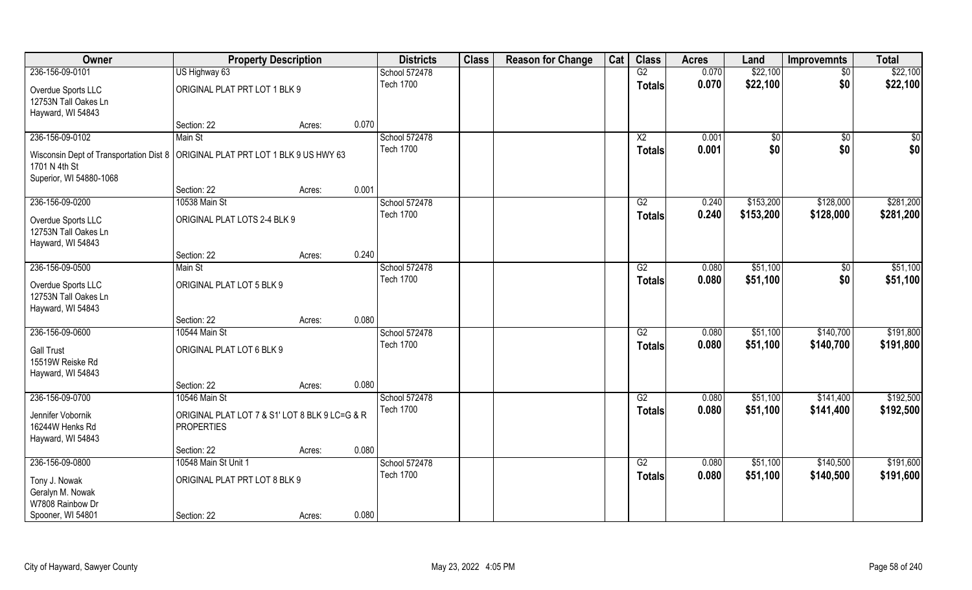| Owner                                                                             | <b>Property Description</b>                    |        |       | <b>Districts</b> | <b>Class</b> | <b>Reason for Change</b> | Cat | <b>Class</b>    | <b>Acres</b> | Land      | <b>Improvemnts</b> | <b>Total</b> |
|-----------------------------------------------------------------------------------|------------------------------------------------|--------|-------|------------------|--------------|--------------------------|-----|-----------------|--------------|-----------|--------------------|--------------|
| 236-156-09-0101                                                                   | US Highway 63                                  |        |       | School 572478    |              |                          |     | G2              | 0.070        | \$22,100  | $\sqrt{$0}$        | \$22,100     |
| Overdue Sports LLC                                                                | ORIGINAL PLAT PRT LOT 1 BLK 9                  |        |       | <b>Tech 1700</b> |              |                          |     | <b>Totals</b>   | 0.070        | \$22,100  | \$0                | \$22,100     |
| 12753N Tall Oakes Ln                                                              |                                                |        |       |                  |              |                          |     |                 |              |           |                    |              |
| Hayward, WI 54843                                                                 |                                                |        |       |                  |              |                          |     |                 |              |           |                    |              |
|                                                                                   | Section: 22                                    | Acres: | 0.070 |                  |              |                          |     |                 |              |           |                    |              |
| 236-156-09-0102                                                                   | Main St                                        |        |       | School 572478    |              |                          |     | $\overline{X2}$ | 0.001        | \$0       | \$0                | $\sqrt{50}$  |
| Wisconsin Dept of Transportation Dist 8   ORIGINAL PLAT PRT LOT 1 BLK 9 US HWY 63 |                                                |        |       | <b>Tech 1700</b> |              |                          |     | Totals          | 0.001        | \$0       | \$0                | \$0          |
| 1701 N 4th St                                                                     |                                                |        |       |                  |              |                          |     |                 |              |           |                    |              |
| Superior, WI 54880-1068                                                           |                                                |        |       |                  |              |                          |     |                 |              |           |                    |              |
|                                                                                   | Section: 22                                    | Acres: | 0.001 |                  |              |                          |     |                 |              |           |                    |              |
| 236-156-09-0200                                                                   | 10538 Main St                                  |        |       | School 572478    |              |                          |     | G2              | 0.240        | \$153,200 | \$128,000          | \$281,200    |
| Overdue Sports LLC                                                                | ORIGINAL PLAT LOTS 2-4 BLK 9                   |        |       | <b>Tech 1700</b> |              |                          |     | <b>Totals</b>   | 0.240        | \$153,200 | \$128,000          | \$281,200    |
| 12753N Tall Oakes Ln                                                              |                                                |        |       |                  |              |                          |     |                 |              |           |                    |              |
| Hayward, WI 54843                                                                 |                                                |        |       |                  |              |                          |     |                 |              |           |                    |              |
|                                                                                   | Section: 22                                    | Acres: | 0.240 |                  |              |                          |     |                 |              |           |                    |              |
| 236-156-09-0500                                                                   | Main St                                        |        |       | School 572478    |              |                          |     | G2              | 0.080        | \$51,100  | \$0                | \$51,100     |
| Overdue Sports LLC                                                                | ORIGINAL PLAT LOT 5 BLK 9                      |        |       | <b>Tech 1700</b> |              |                          |     | Totals          | 0.080        | \$51,100  | \$0                | \$51,100     |
| 12753N Tall Oakes Ln                                                              |                                                |        |       |                  |              |                          |     |                 |              |           |                    |              |
| Hayward, WI 54843                                                                 |                                                |        |       |                  |              |                          |     |                 |              |           |                    |              |
|                                                                                   | Section: 22                                    | Acres: | 0.080 |                  |              |                          |     |                 |              |           |                    |              |
| 236-156-09-0600                                                                   | 10544 Main St                                  |        |       | School 572478    |              |                          |     | $\overline{G2}$ | 0.080        | \$51,100  | \$140,700          | \$191,800    |
| <b>Gall Trust</b>                                                                 | ORIGINAL PLAT LOT 6 BLK 9                      |        |       | <b>Tech 1700</b> |              |                          |     | <b>Totals</b>   | 0.080        | \$51,100  | \$140,700          | \$191,800    |
| 15519W Reiske Rd                                                                  |                                                |        |       |                  |              |                          |     |                 |              |           |                    |              |
| Hayward, WI 54843                                                                 |                                                |        |       |                  |              |                          |     |                 |              |           |                    |              |
|                                                                                   | Section: 22                                    | Acres: | 0.080 |                  |              |                          |     |                 |              |           |                    |              |
| 236-156-09-0700                                                                   | 10546 Main St                                  |        |       | School 572478    |              |                          |     | G2              | 0.080        | \$51,100  | \$141,400          | \$192,500    |
| Jennifer Vobornik                                                                 | ORIGINAL PLAT LOT 7 & S1' LOT 8 BLK 9 LC=G & R |        |       | <b>Tech 1700</b> |              |                          |     | <b>Totals</b>   | 0.080        | \$51,100  | \$141,400          | \$192,500    |
| 16244W Henks Rd                                                                   | <b>PROPERTIES</b>                              |        |       |                  |              |                          |     |                 |              |           |                    |              |
| Hayward, WI 54843                                                                 |                                                |        |       |                  |              |                          |     |                 |              |           |                    |              |
|                                                                                   | Section: 22                                    | Acres: | 0.080 |                  |              |                          |     |                 |              |           |                    |              |
| 236-156-09-0800                                                                   | 10548 Main St Unit 1                           |        |       | School 572478    |              |                          |     | G2              | 0.080        | \$51,100  | \$140,500          | \$191,600    |
|                                                                                   |                                                |        |       | <b>Tech 1700</b> |              |                          |     | <b>Totals</b>   | 0.080        | \$51,100  | \$140,500          | \$191,600    |
| Tony J. Nowak<br>Geralyn M. Nowak                                                 | ORIGINAL PLAT PRT LOT 8 BLK 9                  |        |       |                  |              |                          |     |                 |              |           |                    |              |
| W7808 Rainbow Dr                                                                  |                                                |        |       |                  |              |                          |     |                 |              |           |                    |              |
| Spooner, WI 54801                                                                 | Section: 22                                    | Acres: | 0.080 |                  |              |                          |     |                 |              |           |                    |              |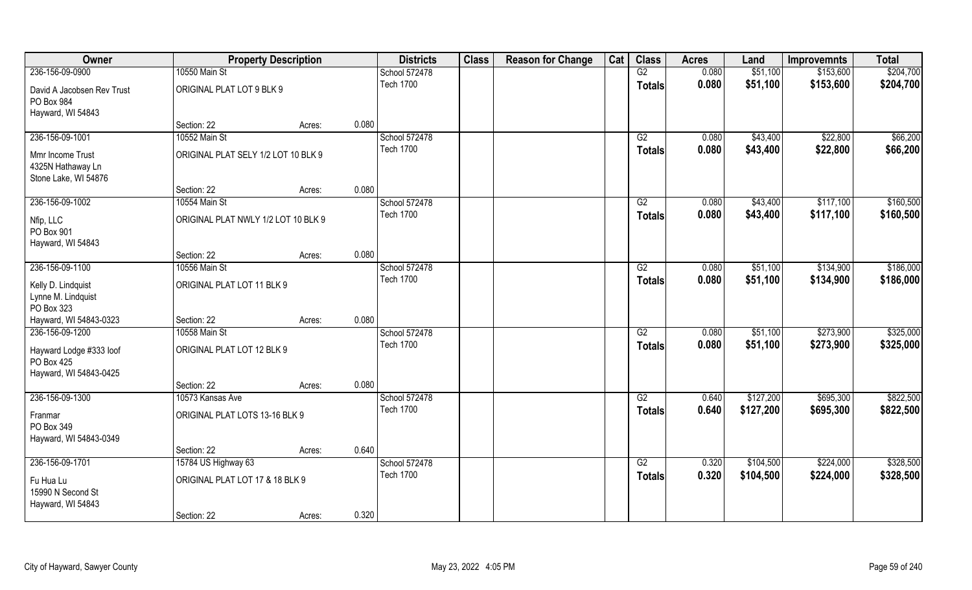| Owner                                               | <b>Property Description</b>         |        |       | <b>Districts</b> | <b>Class</b> | <b>Reason for Change</b> | Cat | <b>Class</b>    | <b>Acres</b> | Land      | <b>Improvemnts</b> | <b>Total</b> |
|-----------------------------------------------------|-------------------------------------|--------|-------|------------------|--------------|--------------------------|-----|-----------------|--------------|-----------|--------------------|--------------|
| 236-156-09-0900                                     | 10550 Main St                       |        |       | School 572478    |              |                          |     | G2              | 0.080        | \$51,100  | \$153,600          | \$204,700    |
| David A Jacobsen Rev Trust<br>PO Box 984            | ORIGINAL PLAT LOT 9 BLK 9           |        |       | <b>Tech 1700</b> |              |                          |     | <b>Totals</b>   | 0.080        | \$51,100  | \$153,600          | \$204,700    |
| Hayward, WI 54843                                   |                                     |        |       |                  |              |                          |     |                 |              |           |                    |              |
|                                                     | Section: 22                         | Acres: | 0.080 |                  |              |                          |     |                 |              |           |                    |              |
| 236-156-09-1001                                     | 10552 Main St                       |        |       | School 572478    |              |                          |     | G2              | 0.080        | \$43,400  | \$22,800           | \$66,200     |
| Mmr Income Trust                                    | ORIGINAL PLAT SELY 1/2 LOT 10 BLK 9 |        |       | <b>Tech 1700</b> |              |                          |     | Totals          | 0.080        | \$43,400  | \$22,800           | \$66,200     |
| 4325N Hathaway Ln                                   |                                     |        |       |                  |              |                          |     |                 |              |           |                    |              |
| Stone Lake, WI 54876                                |                                     |        |       |                  |              |                          |     |                 |              |           |                    |              |
|                                                     | Section: 22                         | Acres: | 0.080 |                  |              |                          |     |                 |              |           |                    |              |
| 236-156-09-1002                                     | 10554 Main St                       |        |       | School 572478    |              |                          |     | G2              | 0.080        | \$43,400  | \$117,100          | \$160,500    |
| Nfip, LLC<br>PO Box 901                             | ORIGINAL PLAT NWLY 1/2 LOT 10 BLK 9 |        |       | <b>Tech 1700</b> |              |                          |     | <b>Totals</b>   | 0.080        | \$43,400  | \$117,100          | \$160,500    |
| Hayward, WI 54843                                   |                                     |        |       |                  |              |                          |     |                 |              |           |                    |              |
|                                                     | Section: 22                         | Acres: | 0.080 |                  |              |                          |     |                 |              |           |                    |              |
| 236-156-09-1100                                     | 10556 Main St                       |        |       | School 572478    |              |                          |     | G2              | 0.080        | \$51,100  | \$134,900          | \$186,000    |
| Kelly D. Lindquist<br>Lynne M. Lindquist            | ORIGINAL PLAT LOT 11 BLK 9          |        |       | <b>Tech 1700</b> |              |                          |     | <b>Totals</b>   | 0.080        | \$51,100  | \$134,900          | \$186,000    |
| PO Box 323                                          |                                     |        |       |                  |              |                          |     |                 |              |           |                    |              |
| Hayward, WI 54843-0323                              | Section: 22                         | Acres: | 0.080 |                  |              |                          |     |                 |              |           |                    |              |
| 236-156-09-1200                                     | 10558 Main St                       |        |       | School 572478    |              |                          |     | $\overline{G2}$ | 0.080        | \$51,100  | \$273,900          | \$325,000    |
| Hayward Lodge #333 loof<br>PO Box 425               | ORIGINAL PLAT LOT 12 BLK 9          |        |       | <b>Tech 1700</b> |              |                          |     | <b>Totals</b>   | 0.080        | \$51,100  | \$273,900          | \$325,000    |
| Hayward, WI 54843-0425                              |                                     |        |       |                  |              |                          |     |                 |              |           |                    |              |
|                                                     | Section: 22                         | Acres: | 0.080 |                  |              |                          |     |                 |              |           |                    |              |
| 236-156-09-1300                                     | 10573 Kansas Ave                    |        |       | School 572478    |              |                          |     | G2              | 0.640        | \$127,200 | \$695,300          | \$822,500    |
| Franmar<br>PO Box 349                               | ORIGINAL PLAT LOTS 13-16 BLK 9      |        |       | <b>Tech 1700</b> |              |                          |     | <b>Totals</b>   | 0.640        | \$127,200 | \$695,300          | \$822,500    |
| Hayward, WI 54843-0349                              |                                     |        |       |                  |              |                          |     |                 |              |           |                    |              |
|                                                     | Section: 22                         | Acres: | 0.640 |                  |              |                          |     |                 |              |           |                    |              |
| 236-156-09-1701                                     | 15784 US Highway 63                 |        |       | School 572478    |              |                          |     | G2              | 0.320        | \$104,500 | \$224,000          | \$328,500    |
| Fu Hua Lu<br>15990 N Second St<br>Hayward, WI 54843 | ORIGINAL PLAT LOT 17 & 18 BLK 9     |        |       | <b>Tech 1700</b> |              |                          |     | <b>Totals</b>   | 0.320        | \$104,500 | \$224,000          | \$328,500    |
|                                                     | Section: 22                         | Acres: | 0.320 |                  |              |                          |     |                 |              |           |                    |              |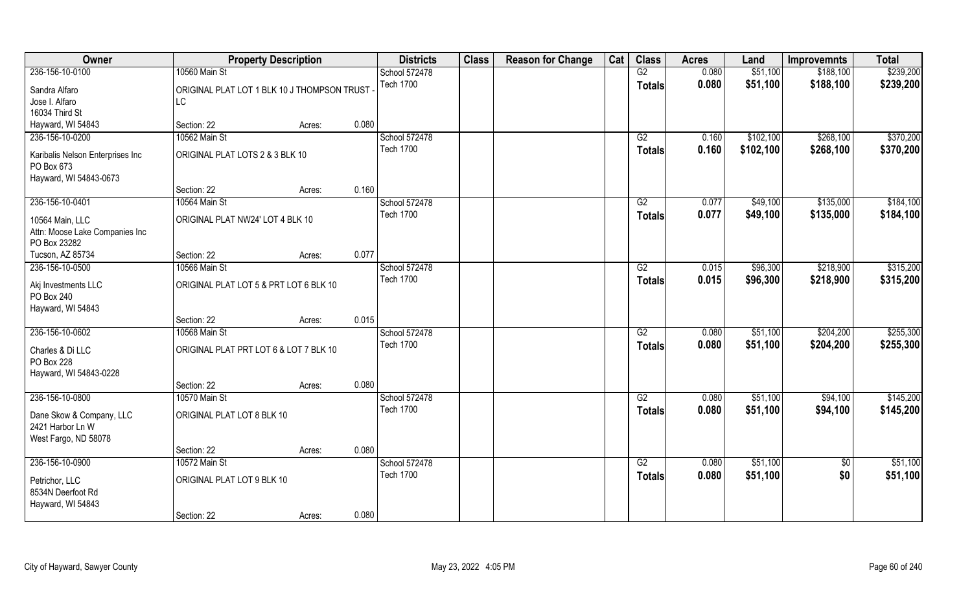| Owner                                                                | <b>Property Description</b>                 |        |       | <b>Districts</b> | <b>Class</b> | <b>Reason for Change</b> | Cat | <b>Class</b>    | <b>Acres</b> | Land      | <b>Improvemnts</b> | <b>Total</b> |
|----------------------------------------------------------------------|---------------------------------------------|--------|-------|------------------|--------------|--------------------------|-----|-----------------|--------------|-----------|--------------------|--------------|
| 236-156-10-0100                                                      | 10560 Main St                               |        |       | School 572478    |              |                          |     | G2              | 0.080        | \$51,100  | \$188,100          | \$239,200    |
| Sandra Alfaro                                                        | ORIGINAL PLAT LOT 1 BLK 10 J THOMPSON TRUST |        |       | <b>Tech 1700</b> |              |                          |     | <b>Totals</b>   | 0.080        | \$51,100  | \$188,100          | \$239,200    |
| Jose I. Alfaro                                                       | LC                                          |        |       |                  |              |                          |     |                 |              |           |                    |              |
| 16034 Third St                                                       |                                             |        |       |                  |              |                          |     |                 |              |           |                    |              |
| Hayward, WI 54843                                                    | Section: 22                                 | Acres: | 0.080 |                  |              |                          |     |                 |              |           |                    |              |
| 236-156-10-0200                                                      | 10562 Main St                               |        |       | School 572478    |              |                          |     | G2              | 0.160        | \$102,100 | \$268,100          | \$370,200    |
| Karibalis Nelson Enterprises Inc<br>PO Box 673                       | ORIGINAL PLAT LOTS 2 & 3 BLK 10             |        |       | <b>Tech 1700</b> |              |                          |     | <b>Totals</b>   | 0.160        | \$102,100 | \$268,100          | \$370,200    |
| Hayward, WI 54843-0673                                               |                                             |        |       |                  |              |                          |     |                 |              |           |                    |              |
|                                                                      | Section: 22                                 | Acres: | 0.160 |                  |              |                          |     |                 |              |           |                    |              |
| 236-156-10-0401                                                      | 10564 Main St                               |        |       | School 572478    |              |                          |     | G2              | 0.077        | \$49,100  | \$135,000          | \$184,100    |
| 10564 Main, LLC                                                      | ORIGINAL PLAT NW24' LOT 4 BLK 10            |        |       | <b>Tech 1700</b> |              |                          |     | <b>Totals</b>   | 0.077        | \$49,100  | \$135,000          | \$184,100    |
| Attn: Moose Lake Companies Inc<br>PO Box 23282                       |                                             |        |       |                  |              |                          |     |                 |              |           |                    |              |
| Tucson, AZ 85734                                                     | Section: 22                                 | Acres: | 0.077 |                  |              |                          |     |                 |              |           |                    |              |
| 236-156-10-0500                                                      | 10566 Main St                               |        |       | School 572478    |              |                          |     | G2              | 0.015        | \$96,300  | \$218,900          | \$315,200    |
| Akj Investments LLC<br>PO Box 240<br>Hayward, WI 54843               | ORIGINAL PLAT LOT 5 & PRT LOT 6 BLK 10      |        |       | <b>Tech 1700</b> |              |                          |     | <b>Totals</b>   | 0.015        | \$96,300  | \$218,900          | \$315,200    |
|                                                                      | Section: 22                                 | Acres: | 0.015 |                  |              |                          |     |                 |              |           |                    |              |
| 236-156-10-0602                                                      | 10568 Main St                               |        |       | School 572478    |              |                          |     | $\overline{G2}$ | 0.080        | \$51,100  | \$204,200          | \$255,300    |
|                                                                      |                                             |        |       | <b>Tech 1700</b> |              |                          |     | <b>Totals</b>   | 0.080        | \$51,100  | \$204,200          | \$255,300    |
| Charles & Di LLC<br>PO Box 228<br>Hayward, WI 54843-0228             | ORIGINAL PLAT PRT LOT 6 & LOT 7 BLK 10      |        |       |                  |              |                          |     |                 |              |           |                    |              |
|                                                                      | Section: 22                                 | Acres: | 0.080 |                  |              |                          |     |                 |              |           |                    |              |
| 236-156-10-0800                                                      | 10570 Main St                               |        |       | School 572478    |              |                          |     | G2              | 0.080        | \$51,100  | \$94,100           | \$145,200    |
| Dane Skow & Company, LLC<br>2421 Harbor Ln W<br>West Fargo, ND 58078 | ORIGINAL PLAT LOT 8 BLK 10                  |        |       | <b>Tech 1700</b> |              |                          |     | <b>Totals</b>   | 0.080        | \$51,100  | \$94,100           | \$145,200    |
|                                                                      | Section: 22                                 | Acres: | 0.080 |                  |              |                          |     |                 |              |           |                    |              |
| 236-156-10-0900                                                      | 10572 Main St                               |        |       | School 572478    |              |                          |     | G2              | 0.080        | \$51,100  | $\overline{50}$    | \$51,100     |
| Petrichor, LLC<br>8534N Deerfoot Rd<br>Hayward, WI 54843             | ORIGINAL PLAT LOT 9 BLK 10                  |        |       | <b>Tech 1700</b> |              |                          |     | <b>Totals</b>   | 0.080        | \$51,100  | \$0                | \$51,100     |
|                                                                      | Section: 22                                 | Acres: | 0.080 |                  |              |                          |     |                 |              |           |                    |              |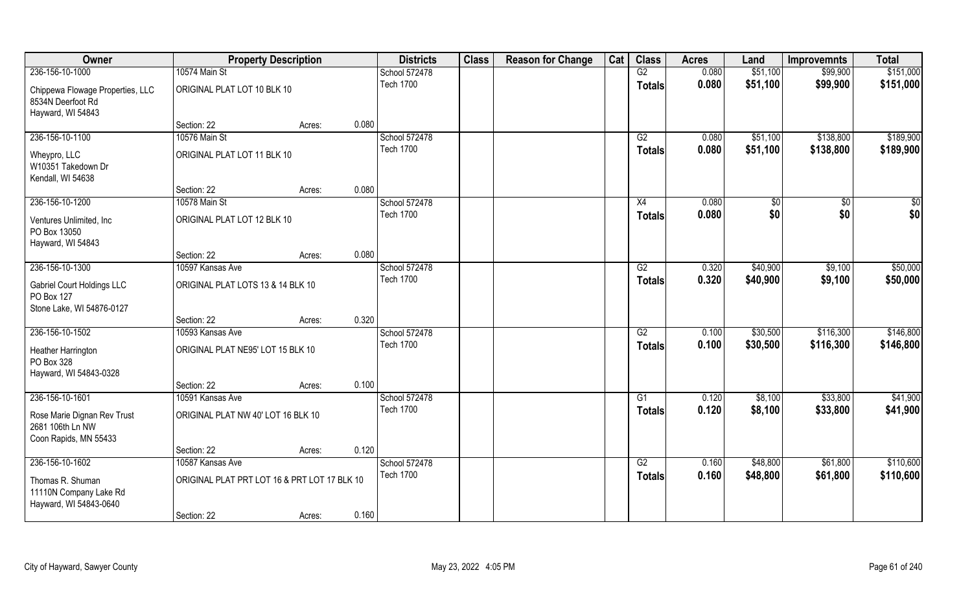| Owner                                                                        | <b>Property Description</b>                  |        |       | <b>Districts</b>                  | <b>Class</b> | <b>Reason for Change</b> | Cat | <b>Class</b>    | <b>Acres</b>   | Land                 | <b>Improvemnts</b>     | <b>Total</b>           |
|------------------------------------------------------------------------------|----------------------------------------------|--------|-------|-----------------------------------|--------------|--------------------------|-----|-----------------|----------------|----------------------|------------------------|------------------------|
| 236-156-10-1000                                                              | 10574 Main St                                |        |       | School 572478                     |              |                          |     | G2              | 0.080          | \$51,100             | \$99,900               | \$151,000              |
| Chippewa Flowage Properties, LLC<br>8534N Deerfoot Rd<br>Hayward, WI 54843   | ORIGINAL PLAT LOT 10 BLK 10                  |        |       | <b>Tech 1700</b>                  |              |                          |     | <b>Totals</b>   | 0.080          | \$51,100             | \$99,900               | \$151,000              |
|                                                                              | Section: 22                                  | Acres: | 0.080 |                                   |              |                          |     |                 |                |                      |                        |                        |
| 236-156-10-1100                                                              | 10576 Main St                                |        |       | School 572478<br><b>Tech 1700</b> |              |                          |     | G2              | 0.080<br>0.080 | \$51,100<br>\$51,100 | \$138,800<br>\$138,800 | \$189,900<br>\$189,900 |
| Wheypro, LLC<br>W10351 Takedown Dr<br>Kendall, WI 54638                      | ORIGINAL PLAT LOT 11 BLK 10                  |        |       |                                   |              |                          |     | <b>Totals</b>   |                |                      |                        |                        |
|                                                                              | Section: 22                                  | Acres: | 0.080 |                                   |              |                          |     |                 |                |                      |                        |                        |
| 236-156-10-1200                                                              | 10578 Main St                                |        |       | School 572478                     |              |                          |     | X4              | 0.080          | \$0                  | \$0                    | \$0                    |
| Ventures Unlimited, Inc.<br>PO Box 13050<br>Hayward, WI 54843                | ORIGINAL PLAT LOT 12 BLK 10                  |        |       | <b>Tech 1700</b>                  |              |                          |     | <b>Totals</b>   | 0.080          | \$0                  | \$0                    | \$0                    |
|                                                                              | Section: 22                                  | Acres: | 0.080 |                                   |              |                          |     |                 |                |                      |                        |                        |
| 236-156-10-1300                                                              | 10597 Kansas Ave                             |        |       | School 572478                     |              |                          |     | G2              | 0.320          | \$40,900             | \$9,100                | \$50,000               |
| <b>Gabriel Court Holdings LLC</b><br>PO Box 127<br>Stone Lake, WI 54876-0127 | ORIGINAL PLAT LOTS 13 & 14 BLK 10            |        |       | <b>Tech 1700</b>                  |              |                          |     | <b>Totals</b>   | 0.320          | \$40,900             | \$9,100                | \$50,000               |
|                                                                              | Section: 22                                  | Acres: | 0.320 |                                   |              |                          |     |                 |                |                      |                        |                        |
| 236-156-10-1502                                                              | 10593 Kansas Ave                             |        |       | School 572478                     |              |                          |     | $\overline{G2}$ | 0.100          | \$30,500             | \$116,300              | \$146,800              |
| Heather Harrington<br>PO Box 328<br>Hayward, WI 54843-0328                   | ORIGINAL PLAT NE95' LOT 15 BLK 10            |        |       | <b>Tech 1700</b>                  |              |                          |     | <b>Totals</b>   | 0.100          | \$30,500             | \$116,300              | \$146,800              |
|                                                                              | Section: 22                                  | Acres: | 0.100 |                                   |              |                          |     |                 |                |                      |                        |                        |
| 236-156-10-1601                                                              | 10591 Kansas Ave                             |        |       | School 572478                     |              |                          |     | G1              | 0.120          | \$8,100              | \$33,800               | \$41,900               |
| Rose Marie Dignan Rev Trust<br>2681 106th Ln NW<br>Coon Rapids, MN 55433     | ORIGINAL PLAT NW 40' LOT 16 BLK 10           |        |       | <b>Tech 1700</b>                  |              |                          |     | <b>Totals</b>   | 0.120          | \$8,100              | \$33,800               | \$41,900               |
|                                                                              | Section: 22                                  | Acres: | 0.120 |                                   |              |                          |     |                 |                |                      |                        |                        |
| 236-156-10-1602                                                              | 10587 Kansas Ave                             |        |       | School 572478                     |              |                          |     | G2              | 0.160          | \$48,800             | \$61,800               | \$110,600              |
| Thomas R. Shuman<br>11110N Company Lake Rd<br>Hayward, WI 54843-0640         | ORIGINAL PLAT PRT LOT 16 & PRT LOT 17 BLK 10 |        |       | <b>Tech 1700</b>                  |              |                          |     | <b>Totals</b>   | 0.160          | \$48,800             | \$61,800               | \$110,600              |
|                                                                              | Section: 22                                  | Acres: | 0.160 |                                   |              |                          |     |                 |                |                      |                        |                        |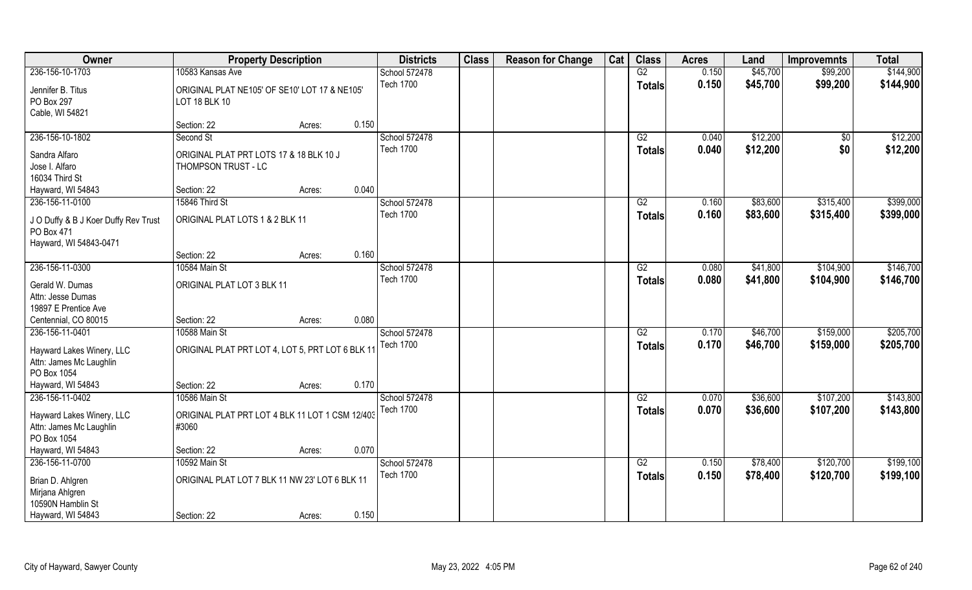| Owner                                                                        |                                                                       | <b>Property Description</b> |       | <b>Districts</b> | <b>Class</b> | <b>Reason for Change</b> | Cat | <b>Class</b>    | <b>Acres</b> | Land     | <b>Improvemnts</b> | <b>Total</b> |
|------------------------------------------------------------------------------|-----------------------------------------------------------------------|-----------------------------|-------|------------------|--------------|--------------------------|-----|-----------------|--------------|----------|--------------------|--------------|
| 236-156-10-1703                                                              | 10583 Kansas Ave                                                      |                             |       | School 572478    |              |                          |     | G2              | 0.150        | \$45,700 | \$99,200           | \$144,900    |
| Jennifer B. Titus<br>PO Box 297<br>Cable, WI 54821                           | ORIGINAL PLAT NE105' OF SE10' LOT 17 & NE105'<br><b>LOT 18 BLK 10</b> |                             |       | <b>Tech 1700</b> |              |                          |     | <b>Totals</b>   | 0.150        | \$45,700 | \$99,200           | \$144,900    |
|                                                                              | Section: 22                                                           | Acres:                      | 0.150 |                  |              |                          |     |                 |              |          |                    |              |
| 236-156-10-1802                                                              | Second St                                                             |                             |       | School 572478    |              |                          |     | G2              | 0.040        | \$12,200 | $\overline{50}$    | \$12,200     |
| Sandra Alfaro<br>Jose I. Alfaro<br>16034 Third St                            | ORIGINAL PLAT PRT LOTS 17 & 18 BLK 10 J<br>THOMPSON TRUST - LC        |                             |       | <b>Tech 1700</b> |              |                          |     | Totals          | 0.040        | \$12,200 | \$0                | \$12,200     |
| Hayward, WI 54843                                                            | Section: 22                                                           | Acres:                      | 0.040 |                  |              |                          |     |                 |              |          |                    |              |
| 236-156-11-0100                                                              | 15846 Third St                                                        |                             |       | School 572478    |              |                          |     | G2              | 0.160        | \$83,600 | \$315,400          | \$399,000    |
| J O Duffy & B J Koer Duffy Rev Trust<br>PO Box 471<br>Hayward, WI 54843-0471 | ORIGINAL PLAT LOTS 1 & 2 BLK 11                                       |                             |       | <b>Tech 1700</b> |              |                          |     | <b>Totals</b>   | 0.160        | \$83,600 | \$315,400          | \$399,000    |
|                                                                              | Section: 22                                                           | Acres:                      | 0.160 |                  |              |                          |     |                 |              |          |                    |              |
| 236-156-11-0300                                                              | 10584 Main St                                                         |                             |       | School 572478    |              |                          |     | G2              | 0.080        | \$41,800 | \$104,900          | \$146,700    |
| Gerald W. Dumas<br>Attn: Jesse Dumas                                         | ORIGINAL PLAT LOT 3 BLK 11                                            |                             |       | <b>Tech 1700</b> |              |                          |     | <b>Totals</b>   | 0.080        | \$41,800 | \$104,900          | \$146,700    |
| 19897 E Prentice Ave<br>Centennial, CO 80015                                 | Section: 22                                                           | Acres:                      | 0.080 |                  |              |                          |     |                 |              |          |                    |              |
| 236-156-11-0401                                                              | 10588 Main St                                                         |                             |       | School 572478    |              |                          |     | $\overline{G2}$ | 0.170        | \$46,700 | \$159,000          | \$205,700    |
| Hayward Lakes Winery, LLC<br>Attn: James Mc Laughlin<br>PO Box 1054          | ORIGINAL PLAT PRT LOT 4, LOT 5, PRT LOT 6 BLK 11                      |                             |       | <b>Tech 1700</b> |              |                          |     | <b>Totals</b>   | 0.170        | \$46,700 | \$159,000          | \$205,700    |
| Hayward, WI 54843                                                            | Section: 22                                                           | Acres:                      | 0.170 |                  |              |                          |     |                 |              |          |                    |              |
| 236-156-11-0402                                                              | 10586 Main St                                                         |                             |       | School 572478    |              |                          |     | G2              | 0.070        | \$36,600 | \$107,200          | \$143,800    |
| Hayward Lakes Winery, LLC<br>Attn: James Mc Laughlin<br>PO Box 1054          | ORIGINAL PLAT PRT LOT 4 BLK 11 LOT 1 CSM 12/403<br>#3060              |                             |       | <b>Tech 1700</b> |              |                          |     | <b>Totals</b>   | 0.070        | \$36,600 | \$107,200          | \$143,800    |
| Hayward, WI 54843                                                            | Section: 22                                                           | Acres:                      | 0.070 |                  |              |                          |     |                 |              |          |                    |              |
| 236-156-11-0700                                                              | 10592 Main St                                                         |                             |       | School 572478    |              |                          |     | G2              | 0.150        | \$78,400 | \$120,700          | \$199,100    |
| Brian D. Ahlgren<br>Mirjana Ahlgren<br>10590N Hamblin St                     | ORIGINAL PLAT LOT 7 BLK 11 NW 23' LOT 6 BLK 11                        |                             |       | <b>Tech 1700</b> |              |                          |     | <b>Totals</b>   | 0.150        | \$78,400 | \$120,700          | \$199,100    |
| Hayward, WI 54843                                                            | Section: 22                                                           | Acres:                      | 0.150 |                  |              |                          |     |                 |              |          |                    |              |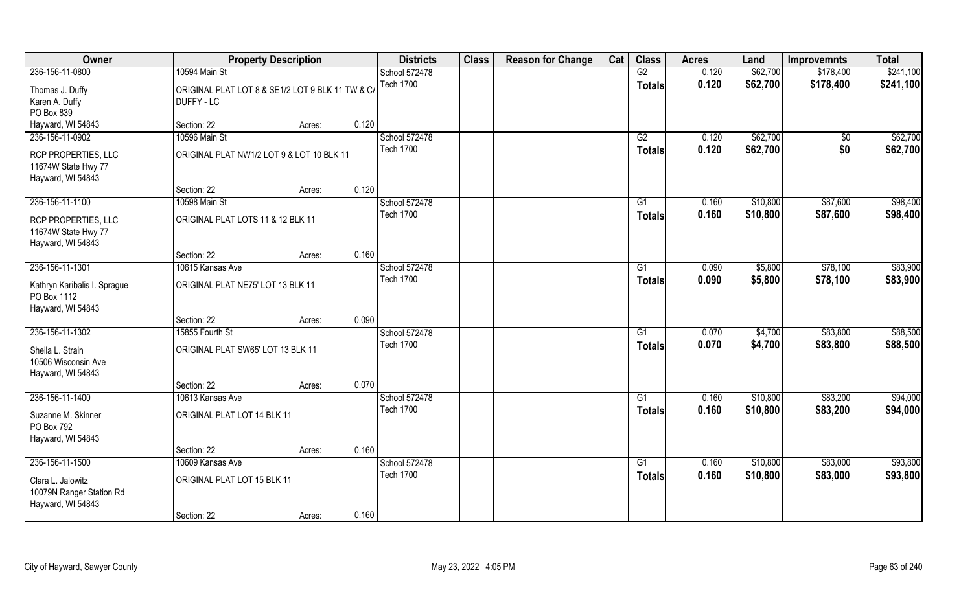| Owner                                                              | <b>Property Description</b>                                    |        |       | <b>Districts</b> | <b>Class</b> | <b>Reason for Change</b> | Cat | <b>Class</b>    | <b>Acres</b> | Land     | <b>Improvemnts</b> | <b>Total</b> |
|--------------------------------------------------------------------|----------------------------------------------------------------|--------|-------|------------------|--------------|--------------------------|-----|-----------------|--------------|----------|--------------------|--------------|
| 236-156-11-0800                                                    | 10594 Main St                                                  |        |       | School 572478    |              |                          |     | G2              | 0.120        | \$62,700 | \$178,400          | \$241,100    |
| Thomas J. Duffy<br>Karen A. Duffy                                  | ORIGINAL PLAT LOT 8 & SE1/2 LOT 9 BLK 11 TW & C/<br>DUFFY - LC |        |       | <b>Tech 1700</b> |              |                          |     | <b>Totals</b>   | 0.120        | \$62,700 | \$178,400          | \$241,100    |
| PO Box 839                                                         |                                                                |        |       |                  |              |                          |     |                 |              |          |                    |              |
| Hayward, WI 54843                                                  | Section: 22                                                    | Acres: | 0.120 |                  |              |                          |     |                 |              |          |                    |              |
| 236-156-11-0902                                                    | 10596 Main St                                                  |        |       | School 572478    |              |                          |     | G2              | 0.120        | \$62,700 | $\overline{50}$    | \$62,700     |
| RCP PROPERTIES, LLC<br>11674W State Hwy 77<br>Hayward, WI 54843    | ORIGINAL PLAT NW1/2 LOT 9 & LOT 10 BLK 11                      |        |       | <b>Tech 1700</b> |              |                          |     | <b>Totals</b>   | 0.120        | \$62,700 | \$0                | \$62,700     |
|                                                                    | Section: 22                                                    | Acres: | 0.120 |                  |              |                          |     |                 |              |          |                    |              |
| 236-156-11-1100                                                    | 10598 Main St                                                  |        |       | School 572478    |              |                          |     | G1              | 0.160        | \$10,800 | \$87,600           | \$98,400     |
| RCP PROPERTIES, LLC<br>11674W State Hwy 77<br>Hayward, WI 54843    | ORIGINAL PLAT LOTS 11 & 12 BLK 11                              |        |       | <b>Tech 1700</b> |              |                          |     | <b>Totals</b>   | 0.160        | \$10,800 | \$87,600           | \$98,400     |
|                                                                    | Section: 22                                                    | Acres: | 0.160 |                  |              |                          |     |                 |              |          |                    |              |
| 236-156-11-1301                                                    | 10615 Kansas Ave                                               |        |       | School 572478    |              |                          |     | G1              | 0.090        | \$5,800  | \$78,100           | \$83,900     |
| Kathryn Karibalis I. Sprague<br>PO Box 1112<br>Hayward, WI 54843   | ORIGINAL PLAT NE75' LOT 13 BLK 11                              |        |       | <b>Tech 1700</b> |              |                          |     | <b>Totals</b>   | 0.090        | \$5,800  | \$78,100           | \$83,900     |
|                                                                    | Section: 22                                                    | Acres: | 0.090 |                  |              |                          |     |                 |              |          |                    |              |
| 236-156-11-1302                                                    | 15855 Fourth St                                                |        |       | School 572478    |              |                          |     | G1              | 0.070        | \$4,700  | \$83,800           | \$88,500     |
| Sheila L. Strain<br>10506 Wisconsin Ave<br>Hayward, WI 54843       | ORIGINAL PLAT SW65' LOT 13 BLK 11                              |        |       | <b>Tech 1700</b> |              |                          |     | <b>Totals</b>   | 0.070        | \$4,700  | \$83,800           | \$88,500     |
|                                                                    | Section: 22                                                    | Acres: | 0.070 |                  |              |                          |     |                 |              |          |                    |              |
| 236-156-11-1400                                                    | 10613 Kansas Ave                                               |        |       | School 572478    |              |                          |     | G1              | 0.160        | \$10,800 | \$83,200           | \$94,000     |
| Suzanne M. Skinner<br>PO Box 792<br>Hayward, WI 54843              | ORIGINAL PLAT LOT 14 BLK 11                                    |        |       | <b>Tech 1700</b> |              |                          |     | <b>Totals</b>   | 0.160        | \$10,800 | \$83,200           | \$94,000     |
|                                                                    | Section: 22                                                    | Acres: | 0.160 |                  |              |                          |     |                 |              |          |                    |              |
| 236-156-11-1500                                                    | 10609 Kansas Ave                                               |        |       | School 572478    |              |                          |     | $\overline{G1}$ | 0.160        | \$10,800 | \$83,000           | \$93,800     |
|                                                                    |                                                                |        |       | <b>Tech 1700</b> |              |                          |     | <b>Totals</b>   | 0.160        | \$10,800 | \$83,000           | \$93,800     |
| Clara L. Jalowitz<br>10079N Ranger Station Rd<br>Hayward, WI 54843 | ORIGINAL PLAT LOT 15 BLK 11                                    |        |       |                  |              |                          |     |                 |              |          |                    |              |
|                                                                    | Section: 22                                                    | Acres: | 0.160 |                  |              |                          |     |                 |              |          |                    |              |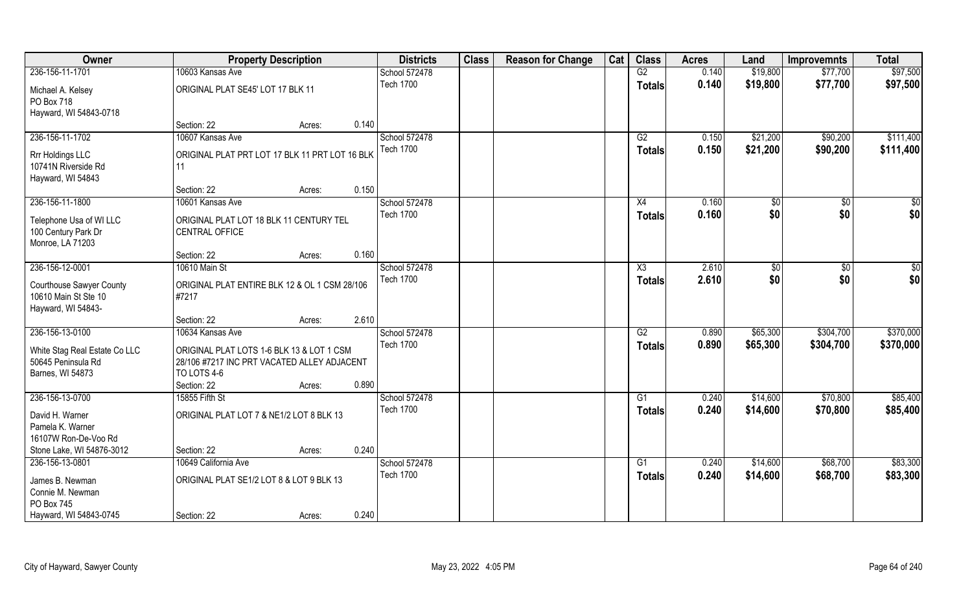| Owner                                                                         | <b>Property Description</b>                                                                                            |        |       | <b>Districts</b>                  | <b>Class</b> | <b>Reason for Change</b> | Cat | <b>Class</b>                     | <b>Acres</b>   | Land                 | <b>Improvemnts</b>   | <b>Total</b>         |
|-------------------------------------------------------------------------------|------------------------------------------------------------------------------------------------------------------------|--------|-------|-----------------------------------|--------------|--------------------------|-----|----------------------------------|----------------|----------------------|----------------------|----------------------|
| 236-156-11-1701                                                               | 10603 Kansas Ave                                                                                                       |        |       | School 572478                     |              |                          |     | G2                               | 0.140          | \$19,800             | \$77,700             | \$97,500             |
| Michael A. Kelsey<br>PO Box 718<br>Hayward, WI 54843-0718                     | ORIGINAL PLAT SE45' LOT 17 BLK 11                                                                                      |        |       | <b>Tech 1700</b>                  |              |                          |     | <b>Totals</b>                    | 0.140          | \$19,800             | \$77,700             | \$97,500             |
|                                                                               | Section: 22                                                                                                            | Acres: | 0.140 |                                   |              |                          |     |                                  |                |                      |                      |                      |
| 236-156-11-1702                                                               | 10607 Kansas Ave                                                                                                       |        |       | School 572478<br><b>Tech 1700</b> |              |                          |     | G2                               | 0.150          | \$21,200             | \$90,200             | \$111,400            |
| Rrr Holdings LLC<br>10741N Riverside Rd<br>Hayward, WI 54843                  | ORIGINAL PLAT PRT LOT 17 BLK 11 PRT LOT 16 BLK<br>11                                                                   |        |       |                                   |              |                          |     | <b>Totals</b>                    | 0.150          | \$21,200             | \$90,200             | \$111,400            |
|                                                                               | Section: 22                                                                                                            | Acres: | 0.150 |                                   |              |                          |     |                                  |                |                      |                      |                      |
| 236-156-11-1800                                                               | 10601 Kansas Ave                                                                                                       |        |       | School 572478                     |              |                          |     | X4                               | 0.160          | \$0                  | \$0                  | \$0                  |
| Telephone Usa of WI LLC<br>100 Century Park Dr<br>Monroe, LA 71203            | ORIGINAL PLAT LOT 18 BLK 11 CENTURY TEL<br>CENTRAL OFFICE                                                              |        |       | <b>Tech 1700</b>                  |              |                          |     | <b>Totals</b>                    | 0.160          | \$0                  | \$0                  | \$0                  |
|                                                                               | Section: 22                                                                                                            | Acres: | 0.160 |                                   |              |                          |     |                                  |                |                      |                      |                      |
| 236-156-12-0001                                                               | 10610 Main St                                                                                                          |        |       | School 572478                     |              |                          |     | X3                               | 2.610          | \$0                  | \$0                  | \$0                  |
| <b>Courthouse Sawyer County</b><br>10610 Main St Ste 10<br>Hayward, WI 54843- | ORIGINAL PLAT ENTIRE BLK 12 & OL 1 CSM 28/106<br>#7217                                                                 |        |       | <b>Tech 1700</b>                  |              |                          |     | <b>Totals</b>                    | 2.610          | \$0                  | \$0                  | \$0                  |
|                                                                               | Section: 22                                                                                                            | Acres: | 2.610 |                                   |              |                          |     |                                  |                |                      |                      |                      |
| 236-156-13-0100                                                               | 10634 Kansas Ave                                                                                                       |        |       | School 572478                     |              |                          |     | $\overline{G2}$                  | 0.890          | \$65,300             | \$304,700            | \$370,000            |
| White Stag Real Estate Co LLC<br>50645 Peninsula Rd<br>Barnes, WI 54873       | ORIGINAL PLAT LOTS 1-6 BLK 13 & LOT 1 CSM<br>28/106 #7217 INC PRT VACATED ALLEY ADJACENT<br>TO LOTS 4-6<br>Section: 22 | Acres: | 0.890 | <b>Tech 1700</b>                  |              |                          |     | <b>Totals</b>                    | 0.890          | \$65,300             | \$304,700            | \$370,000            |
| 236-156-13-0700                                                               | 15855 Fifth St                                                                                                         |        |       | School 572478                     |              |                          |     | G1                               | 0.240          | \$14,600             | \$70,800             | \$85,400             |
| David H. Warner<br>Pamela K. Warner<br>16107W Ron-De-Voo Rd                   | ORIGINAL PLAT LOT 7 & NE1/2 LOT 8 BLK 13                                                                               |        |       | <b>Tech 1700</b>                  |              |                          |     | <b>Totals</b>                    | 0.240          | \$14,600             | \$70,800             | \$85,400             |
| Stone Lake, WI 54876-3012                                                     | Section: 22                                                                                                            | Acres: | 0.240 |                                   |              |                          |     |                                  |                |                      |                      |                      |
| 236-156-13-0801<br>James B. Newman<br>Connie M. Newman<br>PO Box 745          | 10649 California Ave<br>ORIGINAL PLAT SE1/2 LOT 8 & LOT 9 BLK 13                                                       |        |       | School 572478<br><b>Tech 1700</b> |              |                          |     | $\overline{G1}$<br><b>Totals</b> | 0.240<br>0.240 | \$14,600<br>\$14,600 | \$68,700<br>\$68,700 | \$83,300<br>\$83,300 |
| Hayward, WI 54843-0745                                                        | Section: 22                                                                                                            | Acres: | 0.240 |                                   |              |                          |     |                                  |                |                      |                      |                      |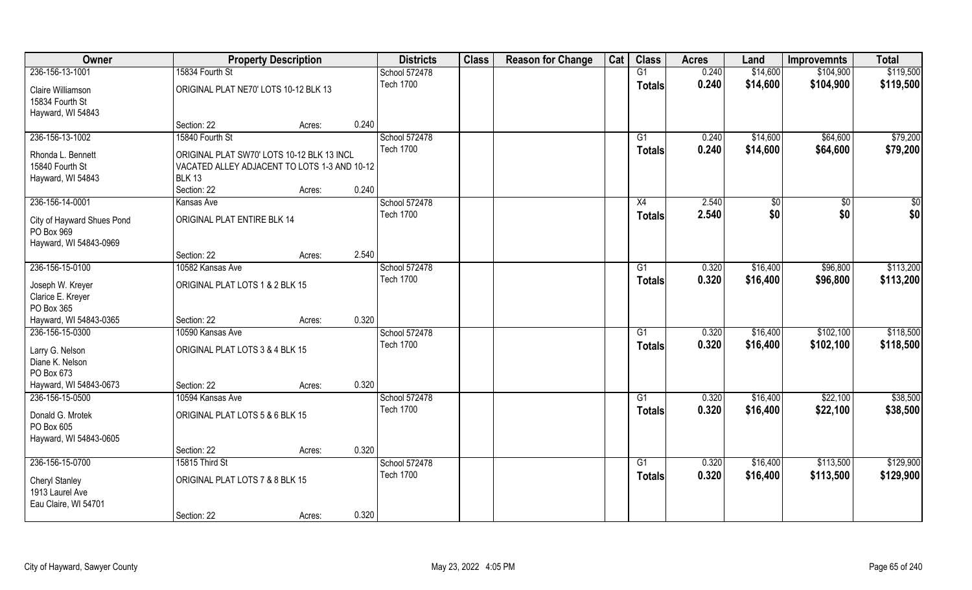| Owner                                                              |                                                                                                                            | <b>Property Description</b> |       | <b>Districts</b> | <b>Class</b> | <b>Reason for Change</b> | Cat | <b>Class</b>    | <b>Acres</b> | Land     | <b>Improvemnts</b> | <b>Total</b> |
|--------------------------------------------------------------------|----------------------------------------------------------------------------------------------------------------------------|-----------------------------|-------|------------------|--------------|--------------------------|-----|-----------------|--------------|----------|--------------------|--------------|
| 236-156-13-1001                                                    | 15834 Fourth St                                                                                                            |                             |       | School 572478    |              |                          |     | G1              | 0.240        | \$14,600 | \$104,900          | \$119,500    |
| Claire Williamson<br>15834 Fourth St<br>Hayward, WI 54843          | ORIGINAL PLAT NE70' LOTS 10-12 BLK 13                                                                                      |                             |       | <b>Tech 1700</b> |              |                          |     | <b>Totals</b>   | 0.240        | \$14,600 | \$104,900          | \$119,500    |
|                                                                    | Section: 22                                                                                                                | Acres:                      | 0.240 |                  |              |                          |     |                 |              |          |                    |              |
| 236-156-13-1002                                                    | 15840 Fourth St                                                                                                            |                             |       | School 572478    |              |                          |     | G1              | 0.240        | \$14,600 | \$64,600           | \$79,200     |
| Rhonda L. Bennett<br>15840 Fourth St<br>Hayward, WI 54843          | ORIGINAL PLAT SW70' LOTS 10-12 BLK 13 INCL<br>VACATED ALLEY ADJACENT TO LOTS 1-3 AND 10-12<br><b>BLK 13</b><br>Section: 22 | Acres:                      | 0.240 | <b>Tech 1700</b> |              |                          |     | <b>Totals</b>   | 0.240        | \$14,600 | \$64,600           | \$79,200     |
| 236-156-14-0001                                                    | Kansas Ave                                                                                                                 |                             |       | School 572478    |              |                          |     | X4              | 2.540        | \$0      | \$0                | \$0          |
| City of Hayward Shues Pond<br>PO Box 969<br>Hayward, WI 54843-0969 | ORIGINAL PLAT ENTIRE BLK 14                                                                                                |                             |       | <b>Tech 1700</b> |              |                          |     | <b>Totals</b>   | 2.540        | \$0      | \$0                | \$0          |
|                                                                    | Section: 22                                                                                                                | Acres:                      | 2.540 |                  |              |                          |     |                 |              |          |                    |              |
| 236-156-15-0100                                                    | 10582 Kansas Ave                                                                                                           |                             |       | School 572478    |              |                          |     | G1              | 0.320        | \$16,400 | \$96,800           | \$113,200    |
| Joseph W. Kreyer<br>Clarice E. Kreyer<br>PO Box 365                | ORIGINAL PLAT LOTS 1 & 2 BLK 15                                                                                            |                             |       | <b>Tech 1700</b> |              |                          |     | <b>Totals</b>   | 0.320        | \$16,400 | \$96,800           | \$113,200    |
| Hayward, WI 54843-0365                                             | Section: 22                                                                                                                | Acres:                      | 0.320 |                  |              |                          |     |                 |              |          |                    |              |
| 236-156-15-0300                                                    | 10590 Kansas Ave                                                                                                           |                             |       | School 572478    |              |                          |     | G1              | 0.320        | \$16,400 | \$102,100          | \$118,500    |
| Larry G. Nelson<br>Diane K. Nelson<br>PO Box 673                   | ORIGINAL PLAT LOTS 3 & 4 BLK 15                                                                                            |                             |       | <b>Tech 1700</b> |              |                          |     | <b>Totals</b>   | 0.320        | \$16,400 | \$102,100          | \$118,500    |
| Hayward, WI 54843-0673                                             | Section: 22                                                                                                                | Acres:                      | 0.320 |                  |              |                          |     |                 |              |          |                    |              |
| 236-156-15-0500                                                    | 10594 Kansas Ave                                                                                                           |                             |       | School 572478    |              |                          |     | G1              | 0.320        | \$16,400 | \$22,100           | \$38,500     |
| Donald G. Mrotek<br>PO Box 605<br>Hayward, WI 54843-0605           | ORIGINAL PLAT LOTS 5 & 6 BLK 15                                                                                            |                             |       | <b>Tech 1700</b> |              |                          |     | <b>Totals</b>   | 0.320        | \$16,400 | \$22,100           | \$38,500     |
|                                                                    | Section: 22                                                                                                                | Acres:                      | 0.320 |                  |              |                          |     |                 |              |          |                    |              |
| 236-156-15-0700                                                    | 15815 Third St                                                                                                             |                             |       | School 572478    |              |                          |     | $\overline{G1}$ | 0.320        | \$16,400 | \$113,500          | \$129,900    |
| <b>Cheryl Stanley</b><br>1913 Laurel Ave<br>Eau Claire, WI 54701   | ORIGINAL PLAT LOTS 7 & 8 BLK 15                                                                                            |                             |       | <b>Tech 1700</b> |              |                          |     | <b>Totals</b>   | 0.320        | \$16,400 | \$113,500          | \$129,900    |
|                                                                    | Section: 22                                                                                                                | Acres:                      | 0.320 |                  |              |                          |     |                 |              |          |                    |              |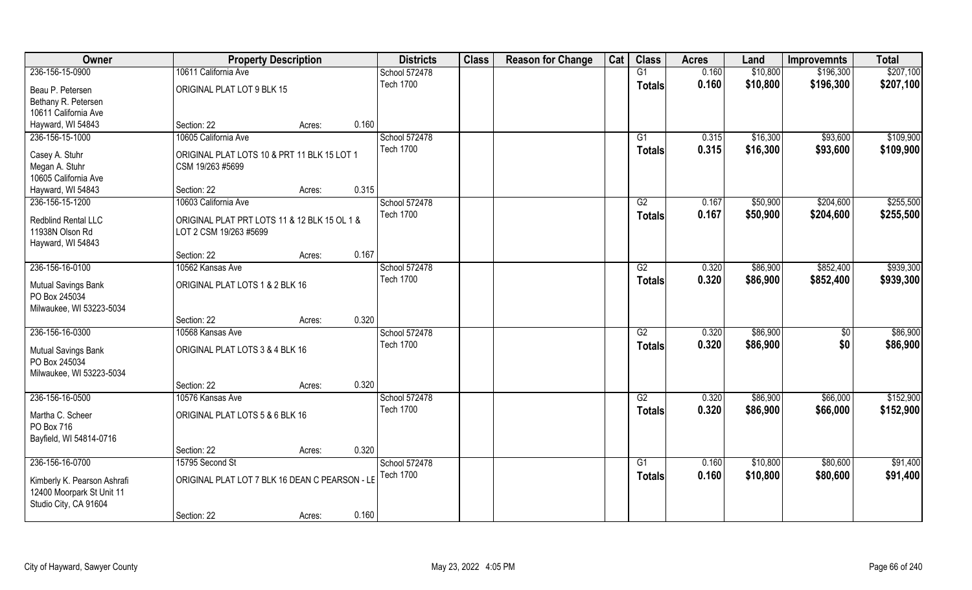| Owner                          | <b>Property Description</b>                    |        |       | <b>Districts</b> | <b>Class</b> | <b>Reason for Change</b> | Cat | <b>Class</b>    | <b>Acres</b> | Land     | <b>Improvemnts</b> | <b>Total</b> |
|--------------------------------|------------------------------------------------|--------|-------|------------------|--------------|--------------------------|-----|-----------------|--------------|----------|--------------------|--------------|
| 236-156-15-0900                | 10611 California Ave                           |        |       | School 572478    |              |                          |     | G1              | 0.160        | \$10,800 | \$196,300          | \$207,100    |
| Beau P. Petersen               | ORIGINAL PLAT LOT 9 BLK 15                     |        |       | <b>Tech 1700</b> |              |                          |     | <b>Totals</b>   | 0.160        | \$10,800 | \$196,300          | \$207,100    |
| Bethany R. Petersen            |                                                |        |       |                  |              |                          |     |                 |              |          |                    |              |
| 10611 California Ave           |                                                |        |       |                  |              |                          |     |                 |              |          |                    |              |
| Hayward, WI 54843              | Section: 22                                    | Acres: | 0.160 |                  |              |                          |     |                 |              |          |                    |              |
| 236-156-15-1000                | 10605 California Ave                           |        |       | School 572478    |              |                          |     | G1              | 0.315        | \$16,300 | \$93,600           | \$109,900    |
| Casey A. Stuhr                 | ORIGINAL PLAT LOTS 10 & PRT 11 BLK 15 LOT 1    |        |       | <b>Tech 1700</b> |              |                          |     | <b>Totals</b>   | 0.315        | \$16,300 | \$93,600           | \$109,900    |
| Megan A. Stuhr                 | CSM 19/263 #5699                               |        |       |                  |              |                          |     |                 |              |          |                    |              |
| 10605 California Ave           |                                                |        |       |                  |              |                          |     |                 |              |          |                    |              |
| Hayward, WI 54843              | Section: 22                                    | Acres: | 0.315 |                  |              |                          |     |                 |              |          |                    |              |
| 236-156-15-1200                | 10603 California Ave                           |        |       | School 572478    |              |                          |     | G2              | 0.167        | \$50,900 | \$204,600          | \$255,500    |
|                                |                                                |        |       | <b>Tech 1700</b> |              |                          |     | <b>Totals</b>   | 0.167        | \$50,900 | \$204,600          | \$255,500    |
| Redblind Rental LLC            | ORIGINAL PLAT PRT LOTS 11 & 12 BLK 15 OL 1 &   |        |       |                  |              |                          |     |                 |              |          |                    |              |
| 11938N Olson Rd                | LOT 2 CSM 19/263 #5699                         |        |       |                  |              |                          |     |                 |              |          |                    |              |
| Hayward, WI 54843              |                                                |        |       |                  |              |                          |     |                 |              |          |                    |              |
|                                | Section: 22                                    | Acres: | 0.167 |                  |              |                          |     |                 |              |          |                    |              |
| 236-156-16-0100                | 10562 Kansas Ave                               |        |       | School 572478    |              |                          |     | G2              | 0.320        | \$86,900 | \$852,400          | \$939,300    |
| Mutual Savings Bank            | ORIGINAL PLAT LOTS 1 & 2 BLK 16                |        |       | <b>Tech 1700</b> |              |                          |     | <b>Totals</b>   | 0.320        | \$86,900 | \$852,400          | \$939,300    |
| PO Box 245034                  |                                                |        |       |                  |              |                          |     |                 |              |          |                    |              |
| Milwaukee, WI 53223-5034       |                                                |        |       |                  |              |                          |     |                 |              |          |                    |              |
|                                | Section: 22                                    | Acres: | 0.320 |                  |              |                          |     |                 |              |          |                    |              |
| 236-156-16-0300                | 10568 Kansas Ave                               |        |       | School 572478    |              |                          |     | $\overline{G2}$ | 0.320        | \$86,900 | $\overline{50}$    | \$86,900     |
| <b>Mutual Savings Bank</b>     | ORIGINAL PLAT LOTS 3 & 4 BLK 16                |        |       | <b>Tech 1700</b> |              |                          |     | <b>Totals</b>   | 0.320        | \$86,900 | \$0                | \$86,900     |
| PO Box 245034                  |                                                |        |       |                  |              |                          |     |                 |              |          |                    |              |
| Milwaukee, WI 53223-5034       |                                                |        |       |                  |              |                          |     |                 |              |          |                    |              |
|                                | Section: 22                                    | Acres: | 0.320 |                  |              |                          |     |                 |              |          |                    |              |
| 236-156-16-0500                | 10576 Kansas Ave                               |        |       | School 572478    |              |                          |     | G2              | 0.320        | \$86,900 | \$66,000           | \$152,900    |
|                                |                                                |        |       | <b>Tech 1700</b> |              |                          |     | <b>Totals</b>   | 0.320        | \$86,900 | \$66,000           | \$152,900    |
| Martha C. Scheer<br>PO Box 716 | ORIGINAL PLAT LOTS 5 & 6 BLK 16                |        |       |                  |              |                          |     |                 |              |          |                    |              |
| Bayfield, WI 54814-0716        |                                                |        |       |                  |              |                          |     |                 |              |          |                    |              |
|                                | Section: 22                                    | Acres: | 0.320 |                  |              |                          |     |                 |              |          |                    |              |
| 236-156-16-0700                | 15795 Second St                                |        |       | School 572478    |              |                          |     | $\overline{G1}$ | 0.160        | \$10,800 | \$80,600           | \$91,400     |
|                                |                                                |        |       | <b>Tech 1700</b> |              |                          |     | <b>Totals</b>   | 0.160        | \$10,800 | \$80,600           | \$91,400     |
| Kimberly K. Pearson Ashrafi    | ORIGINAL PLAT LOT 7 BLK 16 DEAN C PEARSON - LE |        |       |                  |              |                          |     |                 |              |          |                    |              |
| 12400 Moorpark St Unit 11      |                                                |        |       |                  |              |                          |     |                 |              |          |                    |              |
| Studio City, CA 91604          |                                                |        |       |                  |              |                          |     |                 |              |          |                    |              |
|                                | Section: 22                                    | Acres: | 0.160 |                  |              |                          |     |                 |              |          |                    |              |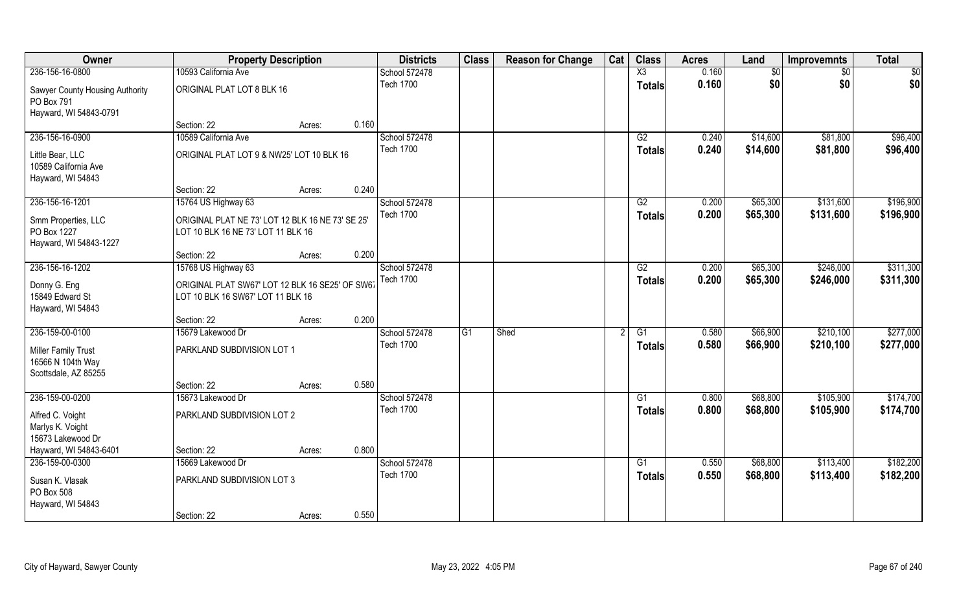| Owner                                                                   | <b>Property Description</b>                                                            |                 | <b>Districts</b>                  | <b>Class</b>   | <b>Reason for Change</b> | Cat | <b>Class</b>        | <b>Acres</b>   | Land                 | <b>Improvemnts</b>   | <b>Total</b>         |
|-------------------------------------------------------------------------|----------------------------------------------------------------------------------------|-----------------|-----------------------------------|----------------|--------------------------|-----|---------------------|----------------|----------------------|----------------------|----------------------|
| 236-156-16-0800                                                         | 10593 California Ave                                                                   |                 | School 572478                     |                |                          |     | $\overline{X3}$     | 0.160          | \$0                  | \$0                  | $\overline{50}$      |
| Sawyer County Housing Authority<br>PO Box 791<br>Hayward, WI 54843-0791 | ORIGINAL PLAT LOT 8 BLK 16                                                             |                 | <b>Tech 1700</b>                  |                |                          |     | <b>Totals</b>       | 0.160          | \$0                  | \$0                  | \$0                  |
|                                                                         | Section: 22                                                                            | 0.160<br>Acres: |                                   |                |                          |     |                     |                |                      |                      |                      |
| 236-156-16-0900                                                         | 10589 California Ave                                                                   |                 | School 572478<br><b>Tech 1700</b> |                |                          |     | G2<br><b>Totals</b> | 0.240<br>0.240 | \$14,600<br>\$14,600 | \$81,800<br>\$81,800 | \$96,400<br>\$96,400 |
| Little Bear, LLC<br>10589 California Ave<br>Hayward, WI 54843           | ORIGINAL PLAT LOT 9 & NW25' LOT 10 BLK 16                                              |                 |                                   |                |                          |     |                     |                |                      |                      |                      |
|                                                                         | Section: 22                                                                            | 0.240<br>Acres: |                                   |                |                          |     |                     |                |                      |                      |                      |
| 236-156-16-1201                                                         | 15764 US Highway 63                                                                    |                 | School 572478                     |                |                          |     | G2                  | 0.200          | \$65,300             | \$131,600            | \$196,900            |
| Smm Properties, LLC<br>PO Box 1227<br>Hayward, WI 54843-1227            | ORIGINAL PLAT NE 73' LOT 12 BLK 16 NE 73' SE 25'<br>LOT 10 BLK 16 NE 73' LOT 11 BLK 16 |                 | <b>Tech 1700</b>                  |                |                          |     | <b>Totals</b>       | 0.200          | \$65,300             | \$131,600            | \$196,900            |
|                                                                         | Section: 22                                                                            | 0.200<br>Acres: |                                   |                |                          |     |                     |                |                      |                      |                      |
| 236-156-16-1202                                                         | 15768 US Highway 63                                                                    |                 | School 572478                     |                |                          |     | G2                  | 0.200          | \$65,300             | \$246,000            | \$311,300            |
| Donny G. Eng<br>15849 Edward St<br>Hayward, WI 54843                    | ORIGINAL PLAT SW67' LOT 12 BLK 16 SE25' OF SW61<br>LOT 10 BLK 16 SW67' LOT 11 BLK 16   |                 | <b>Tech 1700</b>                  |                |                          |     | <b>Totals</b>       | 0.200          | \$65,300             | \$246,000            | \$311,300            |
|                                                                         | Section: 22                                                                            | 0.200<br>Acres: |                                   |                |                          |     |                     |                |                      |                      |                      |
| 236-159-00-0100                                                         | 15679 Lakewood Dr                                                                      |                 | School 572478                     | G <sub>1</sub> | Shed                     |     | $\overline{G1}$     | 0.580          | \$66,900             | \$210,100            | \$277,000            |
| Miller Family Trust<br>16566 N 104th Way<br>Scottsdale, AZ 85255        | PARKLAND SUBDIVISION LOT 1                                                             |                 | <b>Tech 1700</b>                  |                |                          |     | <b>Totals</b>       | 0.580          | \$66,900             | \$210,100            | \$277,000            |
|                                                                         | Section: 22                                                                            | 0.580<br>Acres: |                                   |                |                          |     |                     |                |                      |                      |                      |
| 236-159-00-0200                                                         | 15673 Lakewood Dr                                                                      |                 | School 572478                     |                |                          |     | G1                  | 0.800          | \$68,800             | \$105,900            | \$174,700            |
| Alfred C. Voight<br>Marlys K. Voight<br>15673 Lakewood Dr               | PARKLAND SUBDIVISION LOT 2                                                             |                 | <b>Tech 1700</b>                  |                |                          |     | <b>Totals</b>       | 0.800          | \$68,800             | \$105,900            | \$174,700            |
| Hayward, WI 54843-6401                                                  | Section: 22                                                                            | 0.800<br>Acres: |                                   |                |                          |     |                     |                |                      |                      |                      |
| 236-159-00-0300                                                         | 15669 Lakewood Dr                                                                      |                 | School 572478                     |                |                          |     | $\overline{G1}$     | 0.550          | \$68,800             | \$113,400            | \$182,200            |
| Susan K. Vlasak<br>PO Box 508<br>Hayward, WI 54843                      | PARKLAND SUBDIVISION LOT 3                                                             |                 | <b>Tech 1700</b>                  |                |                          |     | <b>Totals</b>       | 0.550          | \$68,800             | \$113,400            | \$182,200            |
|                                                                         | Section: 22                                                                            | 0.550<br>Acres: |                                   |                |                          |     |                     |                |                      |                      |                      |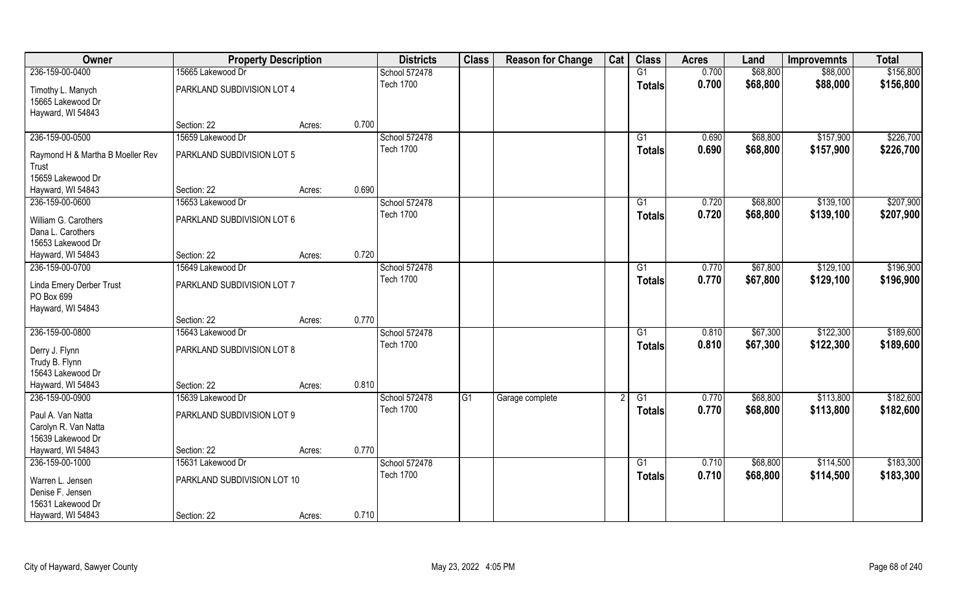| Owner                                                          | <b>Property Description</b> |        |       | <b>Districts</b> | <b>Class</b> | <b>Reason for Change</b> | Cat | <b>Class</b>    | <b>Acres</b> | Land     | <b>Improvemnts</b> | <b>Total</b> |
|----------------------------------------------------------------|-----------------------------|--------|-------|------------------|--------------|--------------------------|-----|-----------------|--------------|----------|--------------------|--------------|
| 236-159-00-0400                                                | 15665 Lakewood Dr           |        |       | School 572478    |              |                          |     | G1              | 0.700        | \$68,800 | \$88,000           | \$156,800    |
| Timothy L. Manych<br>15665 Lakewood Dr<br>Hayward, WI 54843    | PARKLAND SUBDIVISION LOT 4  |        |       | <b>Tech 1700</b> |              |                          |     | <b>Totals</b>   | 0.700        | \$68,800 | \$88,000           | \$156,800    |
|                                                                | Section: 22                 | Acres: | 0.700 |                  |              |                          |     |                 |              |          |                    |              |
| 236-159-00-0500                                                | 15659 Lakewood Dr           |        |       | School 572478    |              |                          |     | G1              | 0.690        | \$68,800 | \$157,900          | \$226,700    |
| Raymond H & Martha B Moeller Rev<br>Trust                      | PARKLAND SUBDIVISION LOT 5  |        |       | <b>Tech 1700</b> |              |                          |     | Totals          | 0.690        | \$68,800 | \$157,900          | \$226,700    |
| 15659 Lakewood Dr<br>Hayward, WI 54843                         | Section: 22                 | Acres: | 0.690 |                  |              |                          |     |                 |              |          |                    |              |
| 236-159-00-0600                                                | 15653 Lakewood Dr           |        |       | School 572478    |              |                          |     | G1              | 0.720        | \$68,800 | \$139,100          | \$207,900    |
| William G. Carothers<br>Dana L. Carothers<br>15653 Lakewood Dr | PARKLAND SUBDIVISION LOT 6  |        |       | <b>Tech 1700</b> |              |                          |     | <b>Totals</b>   | 0.720        | \$68,800 | \$139,100          | \$207,900    |
| Hayward, WI 54843                                              | Section: 22                 | Acres: | 0.720 |                  |              |                          |     |                 |              |          |                    |              |
| 236-159-00-0700                                                | 15649 Lakewood Dr           |        |       | School 572478    |              |                          |     | G1              | 0.770        | \$67,800 | \$129,100          | \$196,900    |
| Linda Emery Derber Trust<br>PO Box 699<br>Hayward, WI 54843    | PARKLAND SUBDIVISION LOT 7  |        |       | <b>Tech 1700</b> |              |                          |     | Totals          | 0.770        | \$67,800 | \$129,100          | \$196,900    |
|                                                                | Section: 22                 | Acres: | 0.770 |                  |              |                          |     |                 |              |          |                    |              |
| 236-159-00-0800                                                | 15643 Lakewood Dr           |        |       | School 572478    |              |                          |     | $\overline{G1}$ | 0.810        | \$67,300 | \$122,300          | \$189,600    |
| Derry J. Flynn<br>Trudy B. Flynn<br>15643 Lakewood Dr          | PARKLAND SUBDIVISION LOT 8  |        |       | <b>Tech 1700</b> |              |                          |     | <b>Totals</b>   | 0.810        | \$67,300 | \$122,300          | \$189,600    |
| Hayward, WI 54843                                              | Section: 22                 | Acres: | 0.810 |                  |              |                          |     |                 |              |          |                    |              |
| 236-159-00-0900                                                | 15639 Lakewood Dr           |        |       | School 572478    | G1           | Garage complete          |     | G1              | 0.770        | \$68,800 | \$113,800          | \$182,600    |
| Paul A. Van Natta<br>Carolyn R. Van Natta<br>15639 Lakewood Dr | PARKLAND SUBDIVISION LOT 9  |        |       | <b>Tech 1700</b> |              |                          |     | <b>Totals</b>   | 0.770        | \$68,800 | \$113,800          | \$182,600    |
| Hayward, WI 54843                                              | Section: 22                 | Acres: | 0.770 |                  |              |                          |     |                 |              |          |                    |              |
| 236-159-00-1000                                                | 15631 Lakewood Dr           |        |       | School 572478    |              |                          |     | $\overline{G1}$ | 0.710        | \$68,800 | \$114,500          | \$183,300    |
| Warren L. Jensen<br>Denise F. Jensen<br>15631 Lakewood Dr      | PARKLAND SUBDIVISION LOT 10 |        |       | <b>Tech 1700</b> |              |                          |     | <b>Totals</b>   | 0.710        | \$68,800 | \$114,500          | \$183,300    |
| Hayward, WI 54843                                              | Section: 22                 | Acres: | 0.710 |                  |              |                          |     |                 |              |          |                    |              |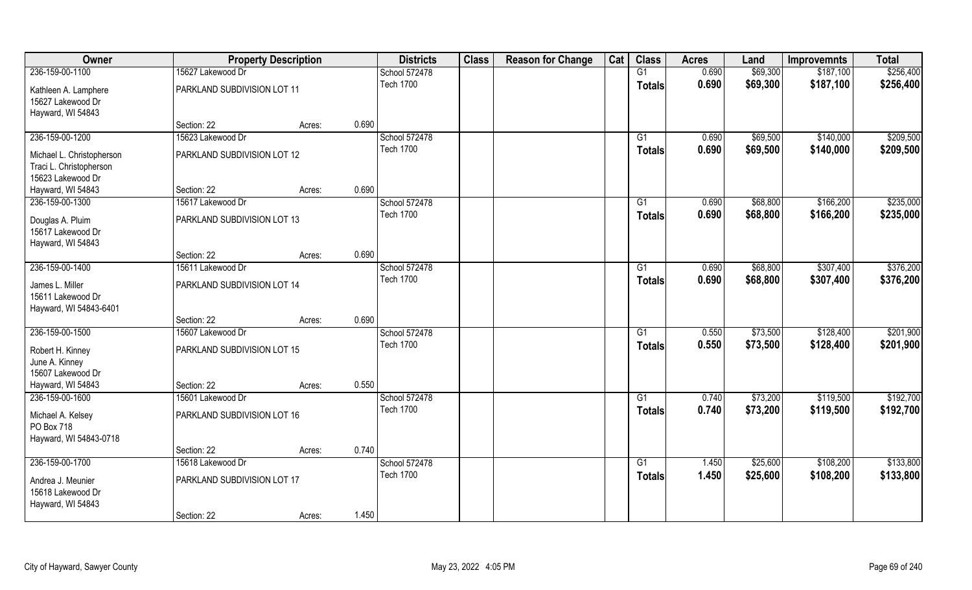| Owner                     | <b>Property Description</b> |        |       | <b>Districts</b> | <b>Class</b> | <b>Reason for Change</b> | Cat | <b>Class</b>    | <b>Acres</b> | Land     | <b>Improvemnts</b> | <b>Total</b> |
|---------------------------|-----------------------------|--------|-------|------------------|--------------|--------------------------|-----|-----------------|--------------|----------|--------------------|--------------|
| 236-159-00-1100           | 15627 Lakewood Dr           |        |       | School 572478    |              |                          |     | G1              | 0.690        | \$69,300 | \$187,100          | \$256,400    |
| Kathleen A. Lamphere      | PARKLAND SUBDIVISION LOT 11 |        |       | <b>Tech 1700</b> |              |                          |     | <b>Totals</b>   | 0.690        | \$69,300 | \$187,100          | \$256,400    |
| 15627 Lakewood Dr         |                             |        |       |                  |              |                          |     |                 |              |          |                    |              |
| Hayward, WI 54843         |                             |        |       |                  |              |                          |     |                 |              |          |                    |              |
|                           | Section: 22                 | Acres: | 0.690 |                  |              |                          |     |                 |              |          |                    |              |
| 236-159-00-1200           | 15623 Lakewood Dr           |        |       | School 572478    |              |                          |     | G1              | 0.690        | \$69,500 | \$140,000          | \$209,500    |
| Michael L. Christopherson | PARKLAND SUBDIVISION LOT 12 |        |       | <b>Tech 1700</b> |              |                          |     | Totals          | 0.690        | \$69,500 | \$140,000          | \$209,500    |
| Traci L. Christopherson   |                             |        |       |                  |              |                          |     |                 |              |          |                    |              |
| 15623 Lakewood Dr         |                             |        |       |                  |              |                          |     |                 |              |          |                    |              |
| Hayward, WI 54843         | Section: 22                 | Acres: | 0.690 |                  |              |                          |     |                 |              |          |                    |              |
| 236-159-00-1300           | 15617 Lakewood Dr           |        |       | School 572478    |              |                          |     | G1              | 0.690        | \$68,800 | \$166,200          | \$235,000    |
| Douglas A. Pluim          | PARKLAND SUBDIVISION LOT 13 |        |       | <b>Tech 1700</b> |              |                          |     | <b>Totals</b>   | 0.690        | \$68,800 | \$166,200          | \$235,000    |
| 15617 Lakewood Dr         |                             |        |       |                  |              |                          |     |                 |              |          |                    |              |
| Hayward, WI 54843         |                             |        |       |                  |              |                          |     |                 |              |          |                    |              |
|                           | Section: 22                 | Acres: | 0.690 |                  |              |                          |     |                 |              |          |                    |              |
| 236-159-00-1400           | 15611 Lakewood Dr           |        |       | School 572478    |              |                          |     | G1              | 0.690        | \$68,800 | \$307,400          | \$376,200    |
| James L. Miller           | PARKLAND SUBDIVISION LOT 14 |        |       | <b>Tech 1700</b> |              |                          |     | <b>Totals</b>   | 0.690        | \$68,800 | \$307,400          | \$376,200    |
| 15611 Lakewood Dr         |                             |        |       |                  |              |                          |     |                 |              |          |                    |              |
| Hayward, WI 54843-6401    |                             |        |       |                  |              |                          |     |                 |              |          |                    |              |
|                           | Section: 22                 | Acres: | 0.690 |                  |              |                          |     |                 |              |          |                    |              |
| 236-159-00-1500           | 15607 Lakewood Dr           |        |       | School 572478    |              |                          |     | $\overline{G1}$ | 0.550        | \$73,500 | \$128,400          | \$201,900    |
| Robert H. Kinney          | PARKLAND SUBDIVISION LOT 15 |        |       | <b>Tech 1700</b> |              |                          |     | <b>Totals</b>   | 0.550        | \$73,500 | \$128,400          | \$201,900    |
| June A. Kinney            |                             |        |       |                  |              |                          |     |                 |              |          |                    |              |
| 15607 Lakewood Dr         |                             |        |       |                  |              |                          |     |                 |              |          |                    |              |
| Hayward, WI 54843         | Section: 22                 | Acres: | 0.550 |                  |              |                          |     |                 |              |          |                    |              |
| 236-159-00-1600           | 15601 Lakewood Dr           |        |       | School 572478    |              |                          |     | G1              | 0.740        | \$73,200 | \$119,500          | \$192,700    |
| Michael A. Kelsey         | PARKLAND SUBDIVISION LOT 16 |        |       | <b>Tech 1700</b> |              |                          |     | <b>Totals</b>   | 0.740        | \$73,200 | \$119,500          | \$192,700    |
| PO Box 718                |                             |        |       |                  |              |                          |     |                 |              |          |                    |              |
| Hayward, WI 54843-0718    |                             |        |       |                  |              |                          |     |                 |              |          |                    |              |
|                           | Section: 22                 | Acres: | 0.740 |                  |              |                          |     |                 |              |          |                    |              |
| 236-159-00-1700           | 15618 Lakewood Dr           |        |       | School 572478    |              |                          |     | G1              | 1.450        | \$25,600 | \$108,200          | \$133,800    |
| Andrea J. Meunier         | PARKLAND SUBDIVISION LOT 17 |        |       | <b>Tech 1700</b> |              |                          |     | <b>Totals</b>   | 1.450        | \$25,600 | \$108,200          | \$133,800    |
| 15618 Lakewood Dr         |                             |        |       |                  |              |                          |     |                 |              |          |                    |              |
| Hayward, WI 54843         |                             |        |       |                  |              |                          |     |                 |              |          |                    |              |
|                           | Section: 22                 | Acres: | 1.450 |                  |              |                          |     |                 |              |          |                    |              |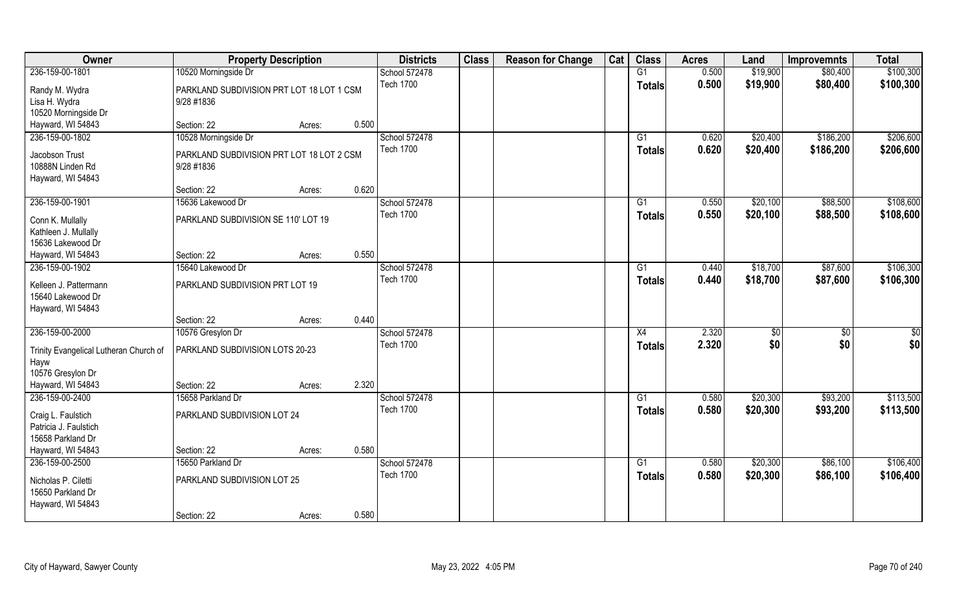| Owner                                                               | <b>Property Description</b>                             |        |       | <b>Districts</b> | <b>Class</b> | <b>Reason for Change</b> | Cat | <b>Class</b>    | <b>Acres</b> | Land     | <b>Improvemnts</b> | <b>Total</b> |
|---------------------------------------------------------------------|---------------------------------------------------------|--------|-------|------------------|--------------|--------------------------|-----|-----------------|--------------|----------|--------------------|--------------|
| 236-159-00-1801                                                     | 10520 Morningside Dr                                    |        |       | School 572478    |              |                          |     | G1              | 0.500        | \$19,900 | \$80,400           | \$100,300    |
| Randy M. Wydra<br>Lisa H. Wydra<br>10520 Morningside Dr             | PARKLAND SUBDIVISION PRT LOT 18 LOT 1 CSM<br>9/28 #1836 |        |       | <b>Tech 1700</b> |              |                          |     | <b>Totals</b>   | 0.500        | \$19,900 | \$80,400           | \$100,300    |
| Hayward, WI 54843                                                   | Section: 22                                             | Acres: | 0.500 |                  |              |                          |     |                 |              |          |                    |              |
| 236-159-00-1802                                                     | 10528 Morningside Dr                                    |        |       | School 572478    |              |                          |     | G1              | 0.620        | \$20,400 | \$186,200          | \$206,600    |
| Jacobson Trust<br>10888N Linden Rd<br>Hayward, WI 54843             | PARKLAND SUBDIVISION PRT LOT 18 LOT 2 CSM<br>9/28 #1836 |        |       | <b>Tech 1700</b> |              |                          |     | <b>Totals</b>   | 0.620        | \$20,400 | \$186,200          | \$206,600    |
|                                                                     | Section: 22                                             | Acres: | 0.620 |                  |              |                          |     |                 |              |          |                    |              |
| 236-159-00-1901                                                     | 15636 Lakewood Dr                                       |        |       | School 572478    |              |                          |     | G1              | 0.550        | \$20,100 | \$88,500           | \$108,600    |
| Conn K. Mullally<br>Kathleen J. Mullally<br>15636 Lakewood Dr       | PARKLAND SUBDIVISION SE 110' LOT 19                     |        |       | <b>Tech 1700</b> |              |                          |     | <b>Totals</b>   | 0.550        | \$20,100 | \$88,500           | \$108,600    |
| Hayward, WI 54843                                                   | Section: 22                                             | Acres: | 0.550 |                  |              |                          |     |                 |              |          |                    |              |
| 236-159-00-1902                                                     | 15640 Lakewood Dr                                       |        |       | School 572478    |              |                          |     | G1              | 0.440        | \$18,700 | \$87,600           | \$106,300    |
| Kelleen J. Pattermann<br>15640 Lakewood Dr<br>Hayward, WI 54843     | PARKLAND SUBDIVISION PRT LOT 19                         |        |       | <b>Tech 1700</b> |              |                          |     | <b>Totals</b>   | 0.440        | \$18,700 | \$87,600           | \$106,300    |
|                                                                     | Section: 22                                             | Acres: | 0.440 |                  |              |                          |     |                 |              |          |                    |              |
| 236-159-00-2000                                                     | 10576 Gresylon Dr                                       |        |       | School 572478    |              |                          |     | X4              | 2.320        | \$0      | $\overline{50}$    | \$0          |
| Trinity Evangelical Lutheran Church of<br>Hayw<br>10576 Gresylon Dr | PARKLAND SUBDIVISION LOTS 20-23                         |        |       | <b>Tech 1700</b> |              |                          |     | <b>Totals</b>   | 2.320        | \$0      | \$0                | \$0          |
| Hayward, WI 54843                                                   | Section: 22                                             | Acres: | 2.320 |                  |              |                          |     |                 |              |          |                    |              |
| 236-159-00-2400                                                     | 15658 Parkland Dr                                       |        |       | School 572478    |              |                          |     | G1              | 0.580        | \$20,300 | \$93,200           | \$113,500    |
| Craig L. Faulstich<br>Patricia J. Faulstich<br>15658 Parkland Dr    | PARKLAND SUBDIVISION LOT 24                             |        |       | <b>Tech 1700</b> |              |                          |     | <b>Totals</b>   | 0.580        | \$20,300 | \$93,200           | \$113,500    |
| Hayward, WI 54843                                                   | Section: 22                                             | Acres: | 0.580 |                  |              |                          |     |                 |              |          |                    |              |
| 236-159-00-2500                                                     | 15650 Parkland Dr                                       |        |       | School 572478    |              |                          |     | $\overline{G1}$ | 0.580        | \$20,300 | \$86,100           | \$106,400    |
| Nicholas P. Ciletti<br>15650 Parkland Dr<br>Hayward, WI 54843       | PARKLAND SUBDIVISION LOT 25                             |        |       | <b>Tech 1700</b> |              |                          |     | <b>Totals</b>   | 0.580        | \$20,300 | \$86,100           | \$106,400    |
|                                                                     | Section: 22                                             | Acres: | 0.580 |                  |              |                          |     |                 |              |          |                    |              |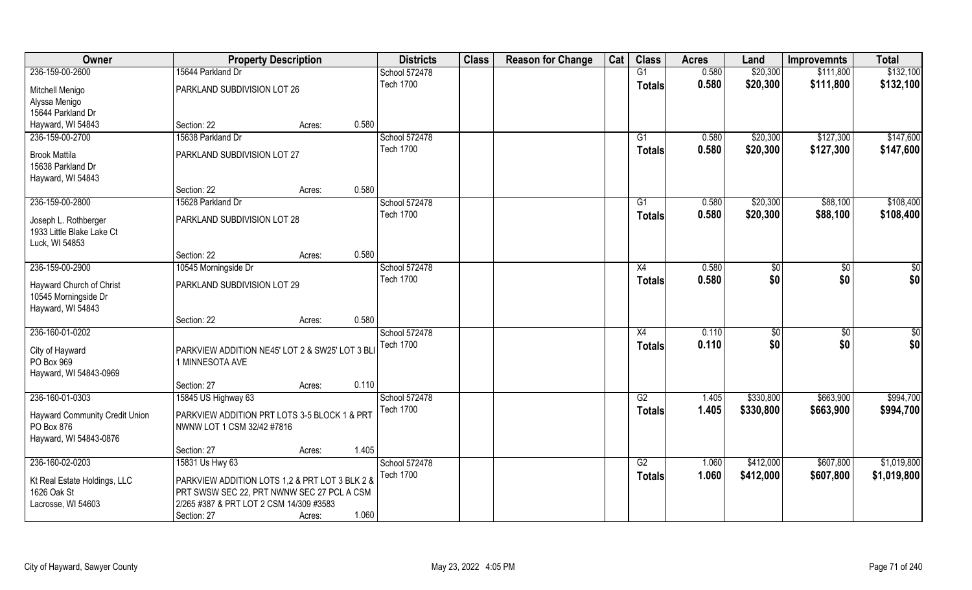| Owner                                            | <b>Property Description</b>                    |        |       | <b>Districts</b> | <b>Class</b> | <b>Reason for Change</b> | Cat | <b>Class</b>    | <b>Acres</b> | Land      | <b>Improvemnts</b> | <b>Total</b>    |
|--------------------------------------------------|------------------------------------------------|--------|-------|------------------|--------------|--------------------------|-----|-----------------|--------------|-----------|--------------------|-----------------|
| 236-159-00-2600                                  | 15644 Parkland Dr                              |        |       | School 572478    |              |                          |     | G1              | 0.580        | \$20,300  | \$111,800          | \$132,100       |
| Mitchell Menigo                                  | PARKLAND SUBDIVISION LOT 26                    |        |       | <b>Tech 1700</b> |              |                          |     | <b>Totals</b>   | 0.580        | \$20,300  | \$111,800          | \$132,100       |
| Alyssa Menigo                                    |                                                |        |       |                  |              |                          |     |                 |              |           |                    |                 |
| 15644 Parkland Dr                                |                                                |        |       |                  |              |                          |     |                 |              |           |                    |                 |
| Hayward, WI 54843                                | Section: 22                                    | Acres: | 0.580 |                  |              |                          |     |                 |              |           |                    |                 |
| 236-159-00-2700                                  | 15638 Parkland Dr                              |        |       | School 572478    |              |                          |     | $\overline{G1}$ | 0.580        | \$20,300  | \$127,300          | \$147,600       |
| <b>Brook Mattila</b>                             | PARKLAND SUBDIVISION LOT 27                    |        |       | <b>Tech 1700</b> |              |                          |     | <b>Totals</b>   | 0.580        | \$20,300  | \$127,300          | \$147,600       |
| 15638 Parkland Dr                                |                                                |        |       |                  |              |                          |     |                 |              |           |                    |                 |
| Hayward, WI 54843                                |                                                |        |       |                  |              |                          |     |                 |              |           |                    |                 |
|                                                  | Section: 22                                    | Acres: | 0.580 |                  |              |                          |     |                 |              |           |                    |                 |
| 236-159-00-2800                                  | 15628 Parkland Dr                              |        |       | School 572478    |              |                          |     | G1              | 0.580        | \$20,300  | \$88,100           | \$108,400       |
| Joseph L. Rothberger                             | PARKLAND SUBDIVISION LOT 28                    |        |       | <b>Tech 1700</b> |              |                          |     | <b>Totals</b>   | 0.580        | \$20,300  | \$88,100           | \$108,400       |
| 1933 Little Blake Lake Ct                        |                                                |        |       |                  |              |                          |     |                 |              |           |                    |                 |
| Luck, WI 54853                                   |                                                |        |       |                  |              |                          |     |                 |              |           |                    |                 |
|                                                  | Section: 22                                    | Acres: | 0.580 |                  |              |                          |     |                 |              |           |                    |                 |
| 236-159-00-2900                                  | 10545 Morningside Dr                           |        |       | School 572478    |              |                          |     | X4              | 0.580        | \$0       | \$0                | \$0             |
|                                                  | PARKLAND SUBDIVISION LOT 29                    |        |       | <b>Tech 1700</b> |              |                          |     | <b>Totals</b>   | 0.580        | \$0       | \$0                | \$0             |
| Hayward Church of Christ<br>10545 Morningside Dr |                                                |        |       |                  |              |                          |     |                 |              |           |                    |                 |
| Hayward, WI 54843                                |                                                |        |       |                  |              |                          |     |                 |              |           |                    |                 |
|                                                  | Section: 22                                    | Acres: | 0.580 |                  |              |                          |     |                 |              |           |                    |                 |
| 236-160-01-0202                                  |                                                |        |       | School 572478    |              |                          |     | X4              | 0.110        | \$0       | $\overline{50}$    | $\overline{50}$ |
|                                                  |                                                |        |       | <b>Tech 1700</b> |              |                          |     | <b>Totals</b>   | 0.110        | \$0       | \$0                | \$0             |
| City of Hayward                                  | PARKVIEW ADDITION NE45' LOT 2 & SW25' LOT 3 BL |        |       |                  |              |                          |     |                 |              |           |                    |                 |
| PO Box 969                                       | 1 MINNESOTA AVE                                |        |       |                  |              |                          |     |                 |              |           |                    |                 |
| Hayward, WI 54843-0969                           |                                                |        |       |                  |              |                          |     |                 |              |           |                    |                 |
|                                                  | Section: 27                                    | Acres: | 0.110 |                  |              |                          |     |                 |              |           |                    |                 |
| 236-160-01-0303                                  | 15845 US Highway 63                            |        |       | School 572478    |              |                          |     | G2              | 1.405        | \$330,800 | \$663,900          | \$994,700       |
| <b>Hayward Community Credit Union</b>            | PARKVIEW ADDITION PRT LOTS 3-5 BLOCK 1 & PRT   |        |       | <b>Tech 1700</b> |              |                          |     | <b>Totals</b>   | 1.405        | \$330,800 | \$663,900          | \$994,700       |
| PO Box 876                                       | NWNW LOT 1 CSM 32/42 #7816                     |        |       |                  |              |                          |     |                 |              |           |                    |                 |
| Hayward, WI 54843-0876                           |                                                |        |       |                  |              |                          |     |                 |              |           |                    |                 |
|                                                  | Section: 27                                    | Acres: | 1.405 |                  |              |                          |     |                 |              |           |                    |                 |
| 236-160-02-0203                                  | 15831 Us Hwy 63                                |        |       | School 572478    |              |                          |     | G2              | 1.060        | \$412,000 | \$607,800          | \$1,019,800     |
| Kt Real Estate Holdings, LLC                     | PARKVIEW ADDITION LOTS 1.2 & PRT LOT 3 BLK 2 & |        |       | <b>Tech 1700</b> |              |                          |     | <b>Totals</b>   | 1.060        | \$412,000 | \$607,800          | \$1,019,800     |
| 1626 Oak St                                      | PRT SWSW SEC 22, PRT NWNW SEC 27 PCL A CSM     |        |       |                  |              |                          |     |                 |              |           |                    |                 |
| Lacrosse, WI 54603                               | 2/265 #387 & PRT LOT 2 CSM 14/309 #3583        |        |       |                  |              |                          |     |                 |              |           |                    |                 |
|                                                  | Section: 27                                    | Acres: | 1.060 |                  |              |                          |     |                 |              |           |                    |                 |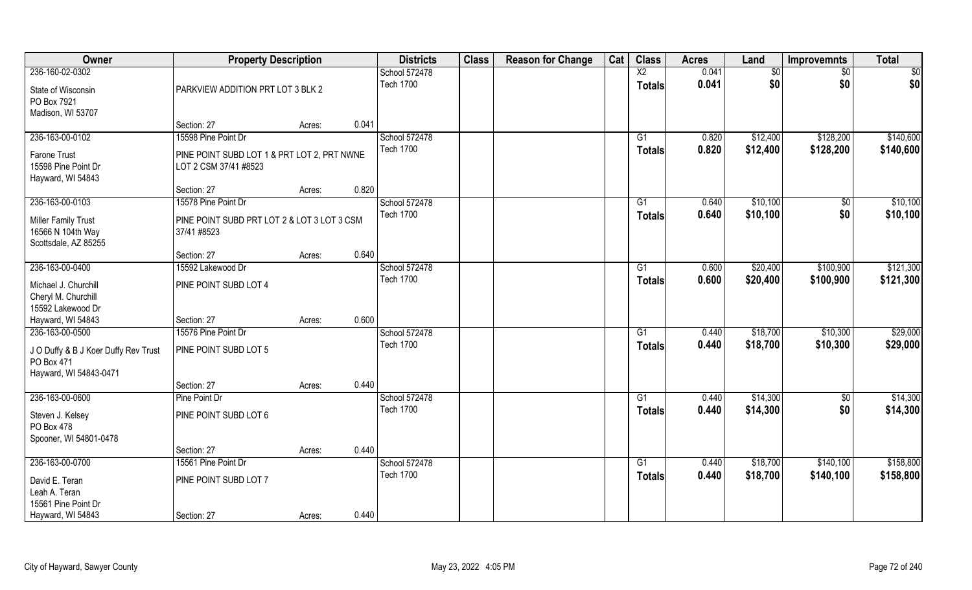| Owner                                                                        | <b>Property Description</b>                                          |        |       | <b>Districts</b> | <b>Class</b> | <b>Reason for Change</b> | Cat | <b>Class</b>    | <b>Acres</b> | Land     | <b>Improvemnts</b> | <b>Total</b> |
|------------------------------------------------------------------------------|----------------------------------------------------------------------|--------|-------|------------------|--------------|--------------------------|-----|-----------------|--------------|----------|--------------------|--------------|
| 236-160-02-0302                                                              |                                                                      |        |       | School 572478    |              |                          |     | $\overline{X2}$ | 0.041        | \$0      | $\sqrt{6}$         | \$0          |
| State of Wisconsin<br>PO Box 7921<br>Madison, WI 53707                       | PARKVIEW ADDITION PRT LOT 3 BLK 2                                    |        |       | <b>Tech 1700</b> |              |                          |     | <b>Totals</b>   | 0.041        | \$0      | \$0                | \$0          |
|                                                                              | Section: 27                                                          | Acres: | 0.041 |                  |              |                          |     |                 |              |          |                    |              |
| 236-163-00-0102                                                              | 15598 Pine Point Dr                                                  |        |       | School 572478    |              |                          |     | G1              | 0.820        | \$12,400 | \$128,200          | \$140,600    |
| Farone Trust<br>15598 Pine Point Dr<br>Hayward, WI 54843                     | PINE POINT SUBD LOT 1 & PRT LOT 2, PRT NWNE<br>LOT 2 CSM 37/41 #8523 |        |       | <b>Tech 1700</b> |              |                          |     | <b>Totals</b>   | 0.820        | \$12,400 | \$128,200          | \$140,600    |
|                                                                              | Section: 27                                                          | Acres: | 0.820 |                  |              |                          |     |                 |              |          |                    |              |
| 236-163-00-0103                                                              | 15578 Pine Point Dr                                                  |        |       | School 572478    |              |                          |     | G1              | 0.640        | \$10,100 | \$0                | \$10,100     |
| Miller Family Trust<br>16566 N 104th Way<br>Scottsdale, AZ 85255             | PINE POINT SUBD PRT LOT 2 & LOT 3 LOT 3 CSM<br>37/41 #8523           |        |       | <b>Tech 1700</b> |              |                          |     | <b>Totals</b>   | 0.640        | \$10,100 | \$0                | \$10,100     |
|                                                                              | Section: 27                                                          | Acres: | 0.640 |                  |              |                          |     |                 |              |          |                    |              |
| 236-163-00-0400                                                              | 15592 Lakewood Dr                                                    |        |       | School 572478    |              |                          |     | G1              | 0.600        | \$20,400 | \$100,900          | \$121,300    |
| Michael J. Churchill<br>Cheryl M. Churchill<br>15592 Lakewood Dr             | PINE POINT SUBD LOT 4                                                |        |       | <b>Tech 1700</b> |              |                          |     | <b>Totals</b>   | 0.600        | \$20,400 | \$100,900          | \$121,300    |
| Hayward, WI 54843                                                            | Section: 27                                                          | Acres: | 0.600 |                  |              |                          |     |                 |              |          |                    |              |
| 236-163-00-0500                                                              | 15576 Pine Point Dr                                                  |        |       | School 572478    |              |                          |     | G1              | 0.440        | \$18,700 | \$10,300           | \$29,000     |
| J O Duffy & B J Koer Duffy Rev Trust<br>PO Box 471<br>Hayward, WI 54843-0471 | PINE POINT SUBD LOT 5                                                |        |       | <b>Tech 1700</b> |              |                          |     | <b>Totals</b>   | 0.440        | \$18,700 | \$10,300           | \$29,000     |
|                                                                              | Section: 27                                                          | Acres: | 0.440 |                  |              |                          |     |                 |              |          |                    |              |
| 236-163-00-0600                                                              | Pine Point Dr                                                        |        |       | School 572478    |              |                          |     | G1              | 0.440        | \$14,300 | $\sqrt{50}$        | \$14,300     |
| Steven J. Kelsey<br>PO Box 478<br>Spooner, WI 54801-0478                     | PINE POINT SUBD LOT 6                                                |        |       | <b>Tech 1700</b> |              |                          |     | <b>Totals</b>   | 0.440        | \$14,300 | \$0                | \$14,300     |
|                                                                              | Section: 27                                                          | Acres: | 0.440 |                  |              |                          |     |                 |              |          |                    |              |
| 236-163-00-0700                                                              | 15561 Pine Point Dr                                                  |        |       | School 572478    |              |                          |     | G1              | 0.440        | \$18,700 | \$140,100          | \$158,800    |
| David E. Teran<br>Leah A. Teran<br>15561 Pine Point Dr                       | PINE POINT SUBD LOT 7                                                |        |       | <b>Tech 1700</b> |              |                          |     | <b>Totals</b>   | 0.440        | \$18,700 | \$140,100          | \$158,800    |
| Hayward, WI 54843                                                            | Section: 27                                                          | Acres: | 0.440 |                  |              |                          |     |                 |              |          |                    |              |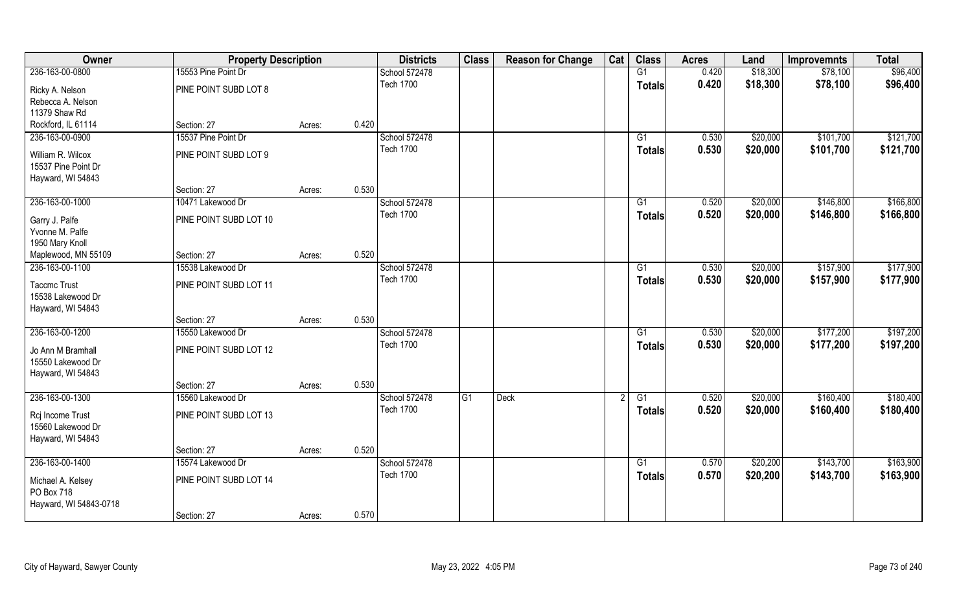| Owner                                                         | <b>Property Description</b> |        |       | <b>Districts</b> | <b>Class</b> | <b>Reason for Change</b> | Cat | <b>Class</b>  | <b>Acres</b> | Land     | <b>Improvemnts</b> | <b>Total</b> |
|---------------------------------------------------------------|-----------------------------|--------|-------|------------------|--------------|--------------------------|-----|---------------|--------------|----------|--------------------|--------------|
| 236-163-00-0800                                               | 15553 Pine Point Dr         |        |       | School 572478    |              |                          |     | G1            | 0.420        | \$18,300 | \$78,100           | \$96,400     |
| Ricky A. Nelson<br>Rebecca A. Nelson                          | PINE POINT SUBD LOT 8       |        |       | <b>Tech 1700</b> |              |                          |     | <b>Totals</b> | 0.420        | \$18,300 | \$78,100           | \$96,400     |
| 11379 Shaw Rd                                                 |                             |        |       |                  |              |                          |     |               |              |          |                    |              |
| Rockford, IL 61114                                            | Section: 27                 | Acres: | 0.420 |                  |              |                          |     |               |              |          |                    |              |
| 236-163-00-0900                                               | 15537 Pine Point Dr         |        |       | School 572478    |              |                          |     | G1            | 0.530        | \$20,000 | \$101,700          | \$121,700    |
| William R. Wilcox<br>15537 Pine Point Dr<br>Hayward, WI 54843 | PINE POINT SUBD LOT 9       |        |       | <b>Tech 1700</b> |              |                          |     | <b>Totals</b> | 0.530        | \$20,000 | \$101,700          | \$121,700    |
|                                                               | Section: 27                 | Acres: | 0.530 |                  |              |                          |     |               |              |          |                    |              |
| 236-163-00-1000                                               | 10471 Lakewood Dr           |        |       | School 572478    |              |                          |     | G1            | 0.520        | \$20,000 | \$146,800          | \$166,800    |
| Garry J. Palfe<br>Yvonne M. Palfe<br>1950 Mary Knoll          | PINE POINT SUBD LOT 10      |        |       | <b>Tech 1700</b> |              |                          |     | <b>Totals</b> | 0.520        | \$20,000 | \$146,800          | \$166,800    |
| Maplewood, MN 55109                                           | Section: 27                 | Acres: | 0.520 |                  |              |                          |     |               |              |          |                    |              |
| 236-163-00-1100                                               | 15538 Lakewood Dr           |        |       | School 572478    |              |                          |     | G1            | 0.530        | \$20,000 | \$157,900          | \$177,900    |
| <b>Taccmc Trust</b><br>15538 Lakewood Dr<br>Hayward, WI 54843 | PINE POINT SUBD LOT 11      |        |       | <b>Tech 1700</b> |              |                          |     | <b>Totals</b> | 0.530        | \$20,000 | \$157,900          | \$177,900    |
|                                                               | Section: 27                 | Acres: | 0.530 |                  |              |                          |     |               |              |          |                    |              |
| 236-163-00-1200                                               | 15550 Lakewood Dr           |        |       | School 572478    |              |                          |     | G1            | 0.530        | \$20,000 | \$177,200          | \$197,200    |
| Jo Ann M Bramhall<br>15550 Lakewood Dr<br>Hayward, WI 54843   | PINE POINT SUBD LOT 12      |        |       | <b>Tech 1700</b> |              |                          |     | <b>Totals</b> | 0.530        | \$20,000 | \$177,200          | \$197,200    |
|                                                               | Section: 27                 | Acres: | 0.530 |                  |              |                          |     |               |              |          |                    |              |
| 236-163-00-1300                                               | 15560 Lakewood Dr           |        |       | School 572478    | G1           | <b>Deck</b>              |     | G1            | 0.520        | \$20,000 | \$160,400          | \$180,400    |
| Rcj Income Trust<br>15560 Lakewood Dr<br>Hayward, WI 54843    | PINE POINT SUBD LOT 13      |        |       | <b>Tech 1700</b> |              |                          |     | <b>Totals</b> | 0.520        | \$20,000 | \$160,400          | \$180,400    |
|                                                               | Section: 27                 | Acres: | 0.520 |                  |              |                          |     |               |              |          |                    |              |
| 236-163-00-1400                                               | 15574 Lakewood Dr           |        |       | School 572478    |              |                          |     | G1            | 0.570        | \$20,200 | \$143,700          | \$163,900    |
| Michael A. Kelsey<br>PO Box 718                               | PINE POINT SUBD LOT 14      |        |       | <b>Tech 1700</b> |              |                          |     | <b>Totals</b> | 0.570        | \$20,200 | \$143,700          | \$163,900    |
| Hayward, WI 54843-0718                                        | Section: 27                 | Acres: | 0.570 |                  |              |                          |     |               |              |          |                    |              |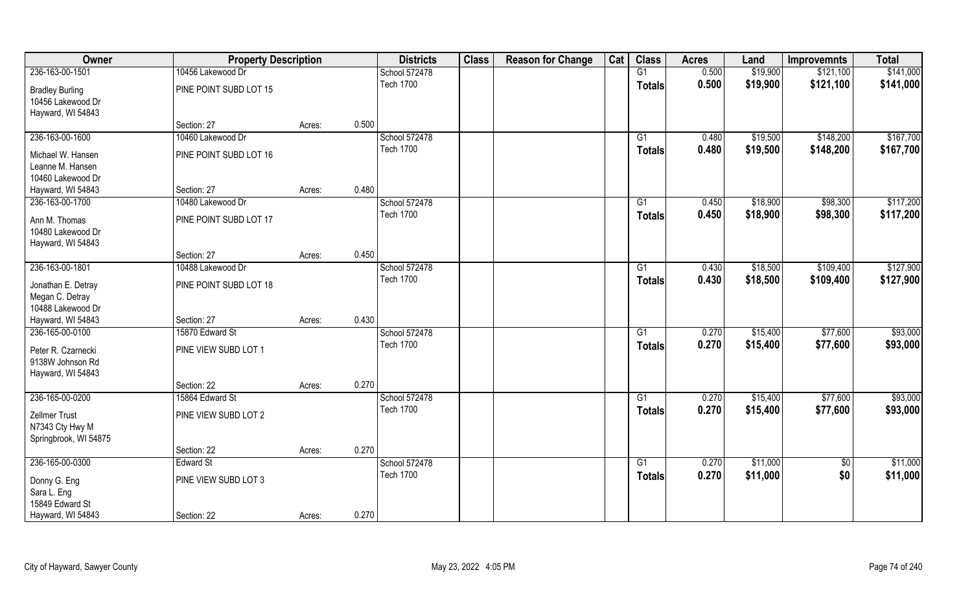| Owner                  | <b>Property Description</b> |        |       | <b>Districts</b> | <b>Class</b> | <b>Reason for Change</b> | Cat | <b>Class</b>  | <b>Acres</b> | Land     | <b>Improvemnts</b> | <b>Total</b> |
|------------------------|-----------------------------|--------|-------|------------------|--------------|--------------------------|-----|---------------|--------------|----------|--------------------|--------------|
| 236-163-00-1501        | 10456 Lakewood Dr           |        |       | School 572478    |              |                          |     | G1            | 0.500        | \$19,900 | \$121,100          | \$141,000    |
| <b>Bradley Burling</b> | PINE POINT SUBD LOT 15      |        |       | <b>Tech 1700</b> |              |                          |     | <b>Totals</b> | 0.500        | \$19,900 | \$121,100          | \$141,000    |
| 10456 Lakewood Dr      |                             |        |       |                  |              |                          |     |               |              |          |                    |              |
| Hayward, WI 54843      |                             |        |       |                  |              |                          |     |               |              |          |                    |              |
|                        | Section: 27                 | Acres: | 0.500 |                  |              |                          |     |               |              |          |                    |              |
| 236-163-00-1600        | 10460 Lakewood Dr           |        |       | School 572478    |              |                          |     | G1            | 0.480        | \$19,500 | \$148,200          | \$167,700    |
| Michael W. Hansen      | PINE POINT SUBD LOT 16      |        |       | <b>Tech 1700</b> |              |                          |     | Totals        | 0.480        | \$19,500 | \$148,200          | \$167,700    |
| Leanne M. Hansen       |                             |        |       |                  |              |                          |     |               |              |          |                    |              |
| 10460 Lakewood Dr      |                             |        |       |                  |              |                          |     |               |              |          |                    |              |
| Hayward, WI 54843      | Section: 27                 | Acres: | 0.480 |                  |              |                          |     |               |              |          |                    |              |
| 236-163-00-1700        | 10480 Lakewood Dr           |        |       | School 572478    |              |                          |     | G1            | 0.450        | \$18,900 | \$98,300           | \$117,200    |
| Ann M. Thomas          | PINE POINT SUBD LOT 17      |        |       | <b>Tech 1700</b> |              |                          |     | <b>Totals</b> | 0.450        | \$18,900 | \$98,300           | \$117,200    |
| 10480 Lakewood Dr      |                             |        |       |                  |              |                          |     |               |              |          |                    |              |
| Hayward, WI 54843      |                             |        |       |                  |              |                          |     |               |              |          |                    |              |
|                        | Section: 27                 | Acres: | 0.450 |                  |              |                          |     |               |              |          |                    |              |
| 236-163-00-1801        | 10488 Lakewood Dr           |        |       | School 572478    |              |                          |     | G1            | 0.430        | \$18,500 | \$109,400          | \$127,900    |
| Jonathan E. Detray     | PINE POINT SUBD LOT 18      |        |       | <b>Tech 1700</b> |              |                          |     | <b>Totals</b> | 0.430        | \$18,500 | \$109,400          | \$127,900    |
| Megan C. Detray        |                             |        |       |                  |              |                          |     |               |              |          |                    |              |
| 10488 Lakewood Dr      |                             |        |       |                  |              |                          |     |               |              |          |                    |              |
| Hayward, WI 54843      | Section: 27                 | Acres: | 0.430 |                  |              |                          |     |               |              |          |                    |              |
| 236-165-00-0100        | 15870 Edward St             |        |       | School 572478    |              |                          |     | G1            | 0.270        | \$15,400 | \$77,600           | \$93,000     |
| Peter R. Czarnecki     | PINE VIEW SUBD LOT 1        |        |       | <b>Tech 1700</b> |              |                          |     | <b>Totals</b> | 0.270        | \$15,400 | \$77,600           | \$93,000     |
| 9138W Johnson Rd       |                             |        |       |                  |              |                          |     |               |              |          |                    |              |
| Hayward, WI 54843      |                             |        |       |                  |              |                          |     |               |              |          |                    |              |
|                        | Section: 22                 | Acres: | 0.270 |                  |              |                          |     |               |              |          |                    |              |
| 236-165-00-0200        | 15864 Edward St             |        |       | School 572478    |              |                          |     | G1            | 0.270        | \$15,400 | \$77,600           | \$93,000     |
| Zellmer Trust          | PINE VIEW SUBD LOT 2        |        |       | <b>Tech 1700</b> |              |                          |     | <b>Totals</b> | 0.270        | \$15,400 | \$77,600           | \$93,000     |
| N7343 Cty Hwy M        |                             |        |       |                  |              |                          |     |               |              |          |                    |              |
| Springbrook, WI 54875  |                             |        |       |                  |              |                          |     |               |              |          |                    |              |
|                        | Section: 22                 | Acres: | 0.270 |                  |              |                          |     |               |              |          |                    |              |
| 236-165-00-0300        | Edward St                   |        |       | School 572478    |              |                          |     | G1            | 0.270        | \$11,000 | $\overline{50}$    | \$11,000     |
| Donny G. Eng           | PINE VIEW SUBD LOT 3        |        |       | <b>Tech 1700</b> |              |                          |     | <b>Totals</b> | 0.270        | \$11,000 | \$0                | \$11,000     |
| Sara L. Eng            |                             |        |       |                  |              |                          |     |               |              |          |                    |              |
| 15849 Edward St        |                             |        |       |                  |              |                          |     |               |              |          |                    |              |
| Hayward, WI 54843      | Section: 22                 | Acres: | 0.270 |                  |              |                          |     |               |              |          |                    |              |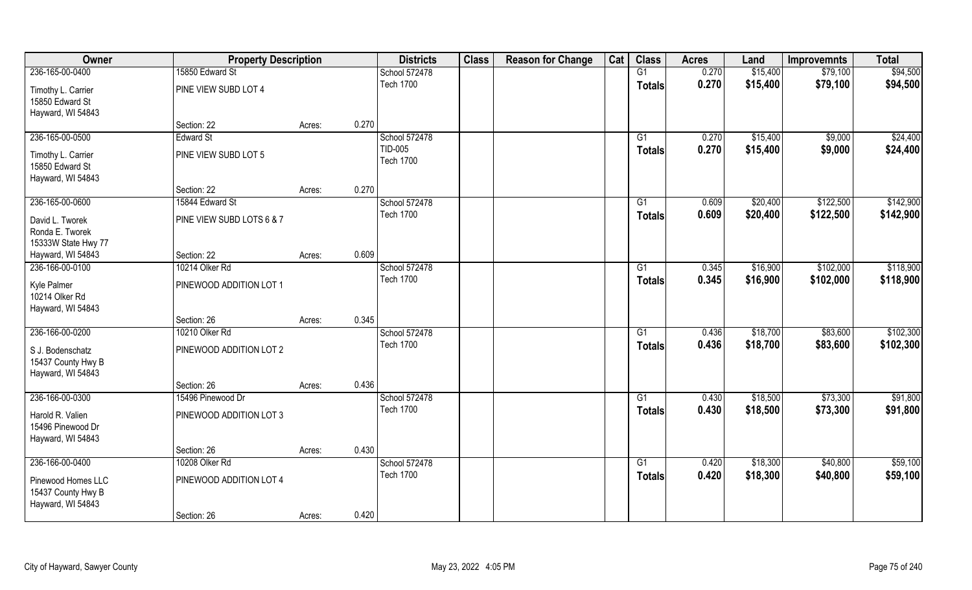| Owner                                   | <b>Property Description</b> |        |       | <b>Districts</b>         | <b>Class</b> | <b>Reason for Change</b> | Cat | <b>Class</b>    | <b>Acres</b> | Land     | <b>Improvemnts</b> | <b>Total</b> |
|-----------------------------------------|-----------------------------|--------|-------|--------------------------|--------------|--------------------------|-----|-----------------|--------------|----------|--------------------|--------------|
| 236-165-00-0400                         | 15850 Edward St             |        |       | School 572478            |              |                          |     | G1              | 0.270        | \$15,400 | \$79,100           | \$94,500     |
| Timothy L. Carrier                      | PINE VIEW SUBD LOT 4        |        |       | <b>Tech 1700</b>         |              |                          |     | <b>Totals</b>   | 0.270        | \$15,400 | \$79,100           | \$94,500     |
| 15850 Edward St                         |                             |        |       |                          |              |                          |     |                 |              |          |                    |              |
| Hayward, WI 54843                       | Section: 22                 |        | 0.270 |                          |              |                          |     |                 |              |          |                    |              |
|                                         | <b>Edward St</b>            | Acres: |       |                          |              |                          |     | G1              |              |          |                    |              |
| 236-165-00-0500                         |                             |        |       | School 572478<br>TID-005 |              |                          |     |                 | 0.270        | \$15,400 | \$9,000            | \$24,400     |
| Timothy L. Carrier                      | PINE VIEW SUBD LOT 5        |        |       | <b>Tech 1700</b>         |              |                          |     | Totals          | 0.270        | \$15,400 | \$9,000            | \$24,400     |
| 15850 Edward St                         |                             |        |       |                          |              |                          |     |                 |              |          |                    |              |
| Hayward, WI 54843                       |                             |        |       |                          |              |                          |     |                 |              |          |                    |              |
|                                         | Section: 22                 | Acres: | 0.270 |                          |              |                          |     |                 |              |          |                    |              |
| 236-165-00-0600                         | 15844 Edward St             |        |       | School 572478            |              |                          |     | G1              | 0.609        | \$20,400 | \$122,500          | \$142,900    |
| David L. Tworek                         | PINE VIEW SUBD LOTS 6 & 7   |        |       | <b>Tech 1700</b>         |              |                          |     | <b>Totals</b>   | 0.609        | \$20,400 | \$122,500          | \$142,900    |
| Ronda E. Tworek                         |                             |        |       |                          |              |                          |     |                 |              |          |                    |              |
| 15333W State Hwy 77                     |                             |        |       |                          |              |                          |     |                 |              |          |                    |              |
| Hayward, WI 54843                       | Section: 22                 | Acres: | 0.609 |                          |              |                          |     |                 |              |          |                    |              |
| 236-166-00-0100                         | 10214 Olker Rd              |        |       | School 572478            |              |                          |     | G1              | 0.345        | \$16,900 | \$102,000          | \$118,900    |
| Kyle Palmer<br>10214 Olker Rd           | PINEWOOD ADDITION LOT 1     |        |       | <b>Tech 1700</b>         |              |                          |     | <b>Totals</b>   | 0.345        | \$16,900 | \$102,000          | \$118,900    |
| Hayward, WI 54843                       |                             |        |       |                          |              |                          |     |                 |              |          |                    |              |
|                                         | Section: 26                 | Acres: | 0.345 |                          |              |                          |     |                 |              |          |                    |              |
| 236-166-00-0200                         | 10210 Olker Rd              |        |       | School 572478            |              |                          |     | $\overline{G1}$ | 0.436        | \$18,700 | \$83,600           | \$102,300    |
|                                         | PINEWOOD ADDITION LOT 2     |        |       | <b>Tech 1700</b>         |              |                          |     | <b>Totals</b>   | 0.436        | \$18,700 | \$83,600           | \$102,300    |
| S J. Bodenschatz                        |                             |        |       |                          |              |                          |     |                 |              |          |                    |              |
| 15437 County Hwy B<br>Hayward, WI 54843 |                             |        |       |                          |              |                          |     |                 |              |          |                    |              |
|                                         | Section: 26                 | Acres: | 0.436 |                          |              |                          |     |                 |              |          |                    |              |
| 236-166-00-0300                         | 15496 Pinewood Dr           |        |       | School 572478            |              |                          |     | G1              | 0.430        | \$18,500 | \$73,300           | \$91,800     |
|                                         |                             |        |       | <b>Tech 1700</b>         |              |                          |     |                 | 0.430        | \$18,500 |                    | \$91,800     |
| Harold R. Valien                        | PINEWOOD ADDITION LOT 3     |        |       |                          |              |                          |     | <b>Totals</b>   |              |          | \$73,300           |              |
| 15496 Pinewood Dr                       |                             |        |       |                          |              |                          |     |                 |              |          |                    |              |
| Hayward, WI 54843                       |                             |        |       |                          |              |                          |     |                 |              |          |                    |              |
|                                         | Section: 26                 | Acres: | 0.430 |                          |              |                          |     |                 |              |          |                    |              |
| 236-166-00-0400                         | 10208 Olker Rd              |        |       | School 572478            |              |                          |     | G1              | 0.420        | \$18,300 | \$40,800           | \$59,100     |
| Pinewood Homes LLC                      | PINEWOOD ADDITION LOT 4     |        |       | <b>Tech 1700</b>         |              |                          |     | <b>Totals</b>   | 0.420        | \$18,300 | \$40,800           | \$59,100     |
| 15437 County Hwy B                      |                             |        |       |                          |              |                          |     |                 |              |          |                    |              |
| Hayward, WI 54843                       |                             |        |       |                          |              |                          |     |                 |              |          |                    |              |
|                                         | Section: 26                 | Acres: | 0.420 |                          |              |                          |     |                 |              |          |                    |              |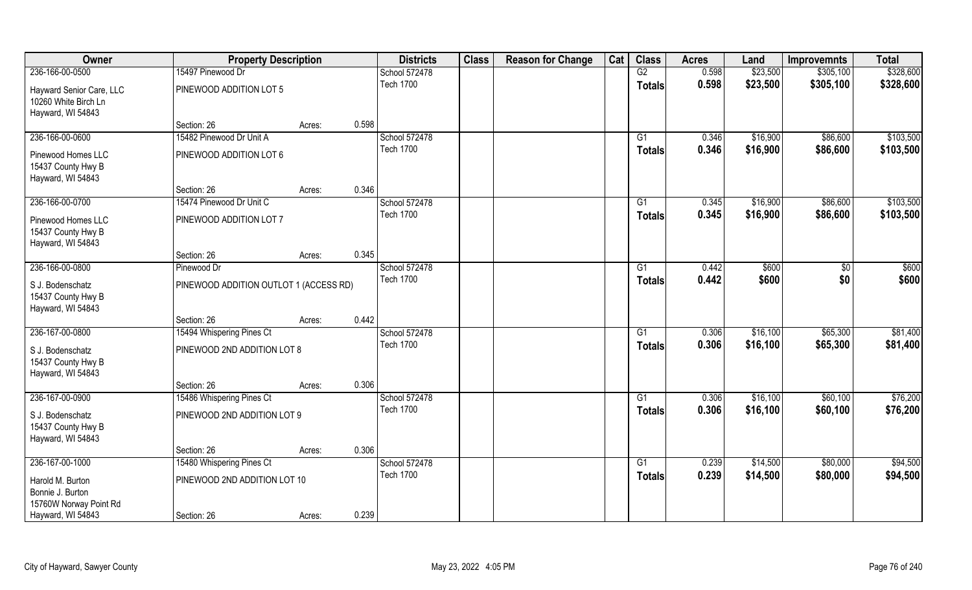| Owner                    | <b>Property Description</b>            |        |       | <b>Districts</b> | <b>Class</b> | <b>Reason for Change</b> | Cat | <b>Class</b>    | <b>Acres</b> | Land     | <b>Improvemnts</b> | <b>Total</b> |
|--------------------------|----------------------------------------|--------|-------|------------------|--------------|--------------------------|-----|-----------------|--------------|----------|--------------------|--------------|
| 236-166-00-0500          | 15497 Pinewood Dr                      |        |       | School 572478    |              |                          |     | G2              | 0.598        | \$23,500 | \$305,100          | \$328,600    |
| Hayward Senior Care, LLC | PINEWOOD ADDITION LOT 5                |        |       | <b>Tech 1700</b> |              |                          |     | <b>Totals</b>   | 0.598        | \$23,500 | \$305,100          | \$328,600    |
| 10260 White Birch Ln     |                                        |        |       |                  |              |                          |     |                 |              |          |                    |              |
| Hayward, WI 54843        |                                        |        |       |                  |              |                          |     |                 |              |          |                    |              |
|                          | Section: 26                            | Acres: | 0.598 |                  |              |                          |     |                 |              |          |                    |              |
| 236-166-00-0600          | 15482 Pinewood Dr Unit A               |        |       | School 572478    |              |                          |     | G1              | 0.346        | \$16,900 | \$86,600           | \$103,500    |
| Pinewood Homes LLC       | PINEWOOD ADDITION LOT 6                |        |       | <b>Tech 1700</b> |              |                          |     | Totals          | 0.346        | \$16,900 | \$86,600           | \$103,500    |
| 15437 County Hwy B       |                                        |        |       |                  |              |                          |     |                 |              |          |                    |              |
| Hayward, WI 54843        |                                        |        |       |                  |              |                          |     |                 |              |          |                    |              |
|                          | Section: 26                            | Acres: | 0.346 |                  |              |                          |     |                 |              |          |                    |              |
| 236-166-00-0700          | 15474 Pinewood Dr Unit C               |        |       | School 572478    |              |                          |     | G1              | 0.345        | \$16,900 | \$86,600           | \$103,500    |
| Pinewood Homes LLC       | PINEWOOD ADDITION LOT 7                |        |       | <b>Tech 1700</b> |              |                          |     | <b>Totals</b>   | 0.345        | \$16,900 | \$86,600           | \$103,500    |
| 15437 County Hwy B       |                                        |        |       |                  |              |                          |     |                 |              |          |                    |              |
| Hayward, WI 54843        |                                        |        |       |                  |              |                          |     |                 |              |          |                    |              |
|                          | Section: 26                            | Acres: | 0.345 |                  |              |                          |     |                 |              |          |                    |              |
| 236-166-00-0800          | Pinewood Dr                            |        |       | School 572478    |              |                          |     | G1              | 0.442        | \$600    | $\sqrt{50}$        | \$600        |
| S J. Bodenschatz         | PINEWOOD ADDITION OUTLOT 1 (ACCESS RD) |        |       | <b>Tech 1700</b> |              |                          |     | <b>Totals</b>   | 0.442        | \$600    | \$0                | \$600        |
| 15437 County Hwy B       |                                        |        |       |                  |              |                          |     |                 |              |          |                    |              |
| Hayward, WI 54843        |                                        |        |       |                  |              |                          |     |                 |              |          |                    |              |
|                          | Section: 26                            | Acres: | 0.442 |                  |              |                          |     |                 |              |          |                    |              |
| 236-167-00-0800          | 15494 Whispering Pines Ct              |        |       | School 572478    |              |                          |     | $\overline{G1}$ | 0.306        | \$16,100 | \$65,300           | \$81,400     |
| S J. Bodenschatz         | PINEWOOD 2ND ADDITION LOT 8            |        |       | <b>Tech 1700</b> |              |                          |     | <b>Totals</b>   | 0.306        | \$16,100 | \$65,300           | \$81,400     |
| 15437 County Hwy B       |                                        |        |       |                  |              |                          |     |                 |              |          |                    |              |
| Hayward, WI 54843        |                                        |        |       |                  |              |                          |     |                 |              |          |                    |              |
|                          | Section: 26                            | Acres: | 0.306 |                  |              |                          |     |                 |              |          |                    |              |
| 236-167-00-0900          | 15486 Whispering Pines Ct              |        |       | School 572478    |              |                          |     | G1              | 0.306        | \$16,100 | \$60,100           | \$76,200     |
| S J. Bodenschatz         | PINEWOOD 2ND ADDITION LOT 9            |        |       | <b>Tech 1700</b> |              |                          |     | <b>Totals</b>   | 0.306        | \$16,100 | \$60,100           | \$76,200     |
| 15437 County Hwy B       |                                        |        |       |                  |              |                          |     |                 |              |          |                    |              |
| Hayward, WI 54843        |                                        |        |       |                  |              |                          |     |                 |              |          |                    |              |
|                          | Section: 26                            | Acres: | 0.306 |                  |              |                          |     |                 |              |          |                    |              |
| 236-167-00-1000          | 15480 Whispering Pines Ct              |        |       | School 572478    |              |                          |     | G1              | 0.239        | \$14,500 | \$80,000           | \$94,500     |
| Harold M. Burton         | PINEWOOD 2ND ADDITION LOT 10           |        |       | <b>Tech 1700</b> |              |                          |     | <b>Totals</b>   | 0.239        | \$14,500 | \$80,000           | \$94,500     |
| Bonnie J. Burton         |                                        |        |       |                  |              |                          |     |                 |              |          |                    |              |
| 15760W Norway Point Rd   |                                        |        |       |                  |              |                          |     |                 |              |          |                    |              |
| Hayward, WI 54843        | Section: 26                            | Acres: | 0.239 |                  |              |                          |     |                 |              |          |                    |              |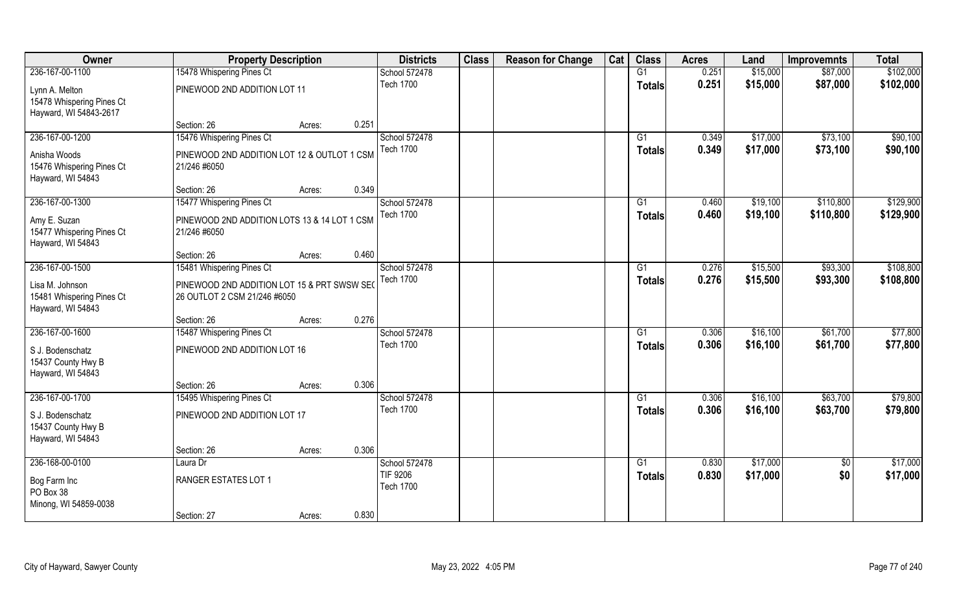| Owner                     | <b>Property Description</b>                  |                 | <b>Districts</b>                  | <b>Class</b> | <b>Reason for Change</b> | Cat | <b>Class</b>  | <b>Acres</b>   | Land                 | <b>Improvemnts</b> | <b>Total</b>         |
|---------------------------|----------------------------------------------|-----------------|-----------------------------------|--------------|--------------------------|-----|---------------|----------------|----------------------|--------------------|----------------------|
| 236-167-00-1100           | 15478 Whispering Pines Ct                    |                 | School 572478                     |              |                          |     | G1            | 0.251          | \$15,000             | \$87,000           | \$102,000            |
| Lynn A. Melton            | PINEWOOD 2ND ADDITION LOT 11                 |                 | <b>Tech 1700</b>                  |              |                          |     | <b>Totals</b> | 0.251          | \$15,000             | \$87,000           | \$102,000            |
| 15478 Whispering Pines Ct |                                              |                 |                                   |              |                          |     |               |                |                      |                    |                      |
| Hayward, WI 54843-2617    |                                              |                 |                                   |              |                          |     |               |                |                      |                    |                      |
|                           | Section: 26                                  | 0.251<br>Acres: |                                   |              |                          |     |               |                |                      |                    |                      |
| 236-167-00-1200           | 15476 Whispering Pines Ct                    |                 | School 572478                     |              |                          |     | G1            | 0.349          | \$17,000             | \$73,100           | \$90,100             |
| Anisha Woods              | PINEWOOD 2ND ADDITION LOT 12 & OUTLOT 1 CSM  |                 | <b>Tech 1700</b>                  |              |                          |     | <b>Totals</b> | 0.349          | \$17,000             | \$73,100           | \$90,100             |
| 15476 Whispering Pines Ct | 21/246 #6050                                 |                 |                                   |              |                          |     |               |                |                      |                    |                      |
| Hayward, WI 54843         |                                              |                 |                                   |              |                          |     |               |                |                      |                    |                      |
|                           | Section: 26                                  | 0.349<br>Acres: |                                   |              |                          |     |               |                |                      |                    |                      |
| 236-167-00-1300           | 15477 Whispering Pines Ct                    |                 | School 572478                     |              |                          |     | G1            | 0.460          | \$19,100             | \$110,800          | \$129,900            |
| Amy E. Suzan              | PINEWOOD 2ND ADDITION LOTS 13 & 14 LOT 1 CSM |                 | <b>Tech 1700</b>                  |              |                          |     | <b>Totals</b> | 0.460          | \$19,100             | \$110,800          | \$129,900            |
| 15477 Whispering Pines Ct | 21/246 #6050                                 |                 |                                   |              |                          |     |               |                |                      |                    |                      |
| Hayward, WI 54843         |                                              |                 |                                   |              |                          |     |               |                |                      |                    |                      |
|                           | Section: 26                                  | 0.460<br>Acres: |                                   |              |                          |     |               |                |                      |                    |                      |
| 236-167-00-1500           | 15481 Whispering Pines Ct                    |                 | School 572478                     |              |                          |     | G1            | 0.276          | \$15,500             | \$93,300           | \$108,800            |
| Lisa M. Johnson           | PINEWOOD 2ND ADDITION LOT 15 & PRT SWSW SEC  |                 | <b>Tech 1700</b>                  |              |                          |     | <b>Totals</b> | 0.276          | \$15,500             | \$93,300           | \$108,800            |
| 15481 Whispering Pines Ct | 26 OUTLOT 2 CSM 21/246 #6050                 |                 |                                   |              |                          |     |               |                |                      |                    |                      |
| Hayward, WI 54843         |                                              |                 |                                   |              |                          |     |               |                |                      |                    |                      |
|                           | Section: 26                                  | 0.276<br>Acres: |                                   |              |                          |     |               |                |                      |                    |                      |
| 236-167-00-1600           | 15487 Whispering Pines Ct                    |                 | School 572478                     |              |                          |     | G1            | 0.306          | \$16,100             | \$61,700           | \$77,800             |
| S J. Bodenschatz          | PINEWOOD 2ND ADDITION LOT 16                 |                 | <b>Tech 1700</b>                  |              |                          |     | <b>Totals</b> | 0.306          | \$16,100             | \$61,700           | \$77,800             |
| 15437 County Hwy B        |                                              |                 |                                   |              |                          |     |               |                |                      |                    |                      |
| Hayward, WI 54843         |                                              |                 |                                   |              |                          |     |               |                |                      |                    |                      |
|                           | Section: 26                                  | 0.306<br>Acres: |                                   |              |                          |     |               |                |                      |                    |                      |
| 236-167-00-1700           | 15495 Whispering Pines Ct                    |                 | School 572478<br><b>Tech 1700</b> |              |                          |     | G1            | 0.306          | \$16,100             | \$63,700           | \$79,800             |
| S J. Bodenschatz          | PINEWOOD 2ND ADDITION LOT 17                 |                 |                                   |              |                          |     | <b>Totals</b> | 0.306          | \$16,100             | \$63,700           | \$79,800             |
| 15437 County Hwy B        |                                              |                 |                                   |              |                          |     |               |                |                      |                    |                      |
| Hayward, WI 54843         |                                              |                 |                                   |              |                          |     |               |                |                      |                    |                      |
|                           | Section: 26                                  | 0.306<br>Acres: |                                   |              |                          |     |               |                |                      |                    |                      |
| 236-168-00-0100           | Laura Dr                                     |                 | School 572478<br><b>TIF 9206</b>  |              |                          |     | G1            | 0.830<br>0.830 | \$17,000<br>\$17,000 | $\sqrt{6}$<br>\$0  | \$17,000<br>\$17,000 |
| Bog Farm Inc              | RANGER ESTATES LOT 1                         |                 | <b>Tech 1700</b>                  |              |                          |     | <b>Totals</b> |                |                      |                    |                      |
| PO Box 38                 |                                              |                 |                                   |              |                          |     |               |                |                      |                    |                      |
| Minong, WI 54859-0038     |                                              |                 |                                   |              |                          |     |               |                |                      |                    |                      |
|                           | Section: 27                                  | 0.830<br>Acres: |                                   |              |                          |     |               |                |                      |                    |                      |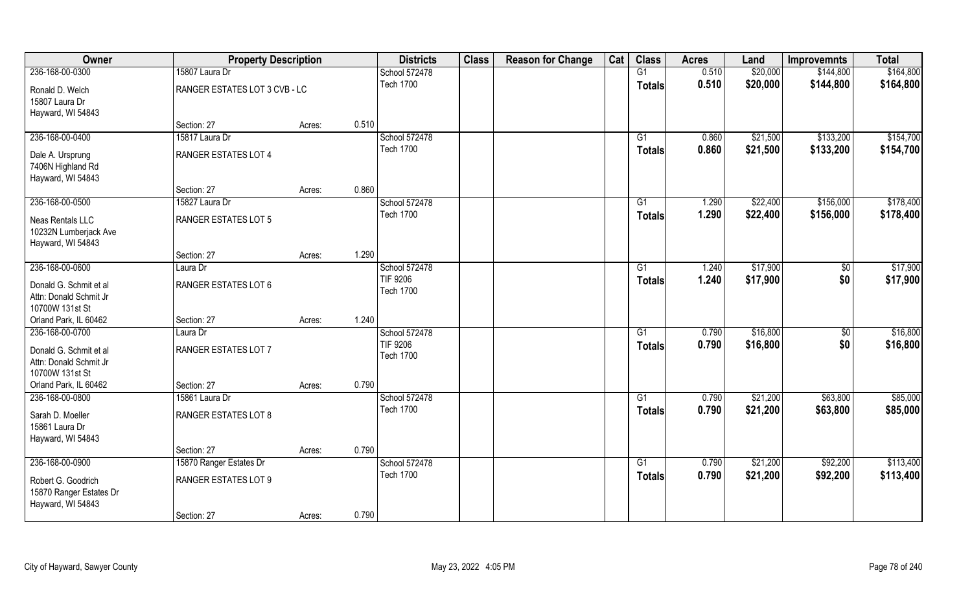| Owner                                                               | <b>Property Description</b>   |        |       | <b>Districts</b>                    | <b>Class</b> | <b>Reason for Change</b> | Cat | <b>Class</b>    | <b>Acres</b> | Land     | <b>Improvemnts</b> | <b>Total</b> |
|---------------------------------------------------------------------|-------------------------------|--------|-------|-------------------------------------|--------------|--------------------------|-----|-----------------|--------------|----------|--------------------|--------------|
| 236-168-00-0300                                                     | 15807 Laura Dr                |        |       | School 572478                       |              |                          |     | G1              | 0.510        | \$20,000 | \$144,800          | \$164,800    |
| Ronald D. Welch<br>15807 Laura Dr<br>Hayward, WI 54843              | RANGER ESTATES LOT 3 CVB - LC |        |       | <b>Tech 1700</b>                    |              |                          |     | <b>Totals</b>   | 0.510        | \$20,000 | \$144,800          | \$164,800    |
|                                                                     | Section: 27                   | Acres: | 0.510 |                                     |              |                          |     |                 |              |          |                    |              |
| 236-168-00-0400                                                     | 15817 Laura Dr                |        |       | School 572478                       |              |                          |     | G1              | 0.860        | \$21,500 | \$133,200          | \$154,700    |
| Dale A. Ursprung<br>7406N Highland Rd<br>Hayward, WI 54843          | RANGER ESTATES LOT 4          |        |       | <b>Tech 1700</b>                    |              |                          |     | Totals          | 0.860        | \$21,500 | \$133,200          | \$154,700    |
|                                                                     | Section: 27                   | Acres: | 0.860 |                                     |              |                          |     |                 |              |          |                    |              |
| 236-168-00-0500                                                     | 15827 Laura Dr                |        |       | School 572478                       |              |                          |     | G1              | 1.290        | \$22,400 | \$156,000          | \$178,400    |
| Neas Rentals LLC<br>10232N Lumberjack Ave<br>Hayward, WI 54843      | RANGER ESTATES LOT 5          |        |       | <b>Tech 1700</b>                    |              |                          |     | <b>Totals</b>   | 1.290        | \$22,400 | \$156,000          | \$178,400    |
|                                                                     | Section: 27                   | Acres: | 1.290 |                                     |              |                          |     |                 |              |          |                    |              |
| 236-168-00-0600                                                     | Laura Dr                      |        |       | School 572478                       |              |                          |     | G1              | 1.240        | \$17,900 | $\sqrt{50}$        | \$17,900     |
| Donald G. Schmit et al<br>Attn: Donald Schmit Jr<br>10700W 131st St | RANGER ESTATES LOT 6          |        |       | <b>TIF 9206</b><br><b>Tech 1700</b> |              |                          |     | <b>Totals</b>   | 1.240        | \$17,900 | \$0                | \$17,900     |
| Orland Park, IL 60462                                               | Section: 27                   | Acres: | 1.240 |                                     |              |                          |     |                 |              |          |                    |              |
| 236-168-00-0700                                                     | Laura Dr                      |        |       | School 572478                       |              |                          |     | $\overline{G1}$ | 0.790        | \$16,800 | $\overline{50}$    | \$16,800     |
| Donald G. Schmit et al<br>Attn: Donald Schmit Jr<br>10700W 131st St | RANGER ESTATES LOT 7          |        |       | <b>TIF 9206</b><br><b>Tech 1700</b> |              |                          |     | <b>Totals</b>   | 0.790        | \$16,800 | \$0                | \$16,800     |
| Orland Park, IL 60462                                               | Section: 27                   | Acres: | 0.790 |                                     |              |                          |     |                 |              |          |                    |              |
| 236-168-00-0800                                                     | 15861 Laura Dr                |        |       | School 572478                       |              |                          |     | G1              | 0.790        | \$21,200 | \$63,800           | \$85,000     |
| Sarah D. Moeller<br>15861 Laura Dr<br>Hayward, WI 54843             | RANGER ESTATES LOT 8          |        |       | <b>Tech 1700</b>                    |              |                          |     | <b>Totals</b>   | 0.790        | \$21,200 | \$63,800           | \$85,000     |
|                                                                     | Section: 27                   | Acres: | 0.790 |                                     |              |                          |     |                 |              |          |                    |              |
| 236-168-00-0900                                                     | 15870 Ranger Estates Dr       |        |       | School 572478                       |              |                          |     | G1              | 0.790        | \$21,200 | \$92,200           | \$113,400    |
| Robert G. Goodrich<br>15870 Ranger Estates Dr<br>Hayward, WI 54843  | RANGER ESTATES LOT 9          |        |       | <b>Tech 1700</b>                    |              |                          |     | <b>Totals</b>   | 0.790        | \$21,200 | \$92,200           | \$113,400    |
|                                                                     | Section: 27                   | Acres: | 0.790 |                                     |              |                          |     |                 |              |          |                    |              |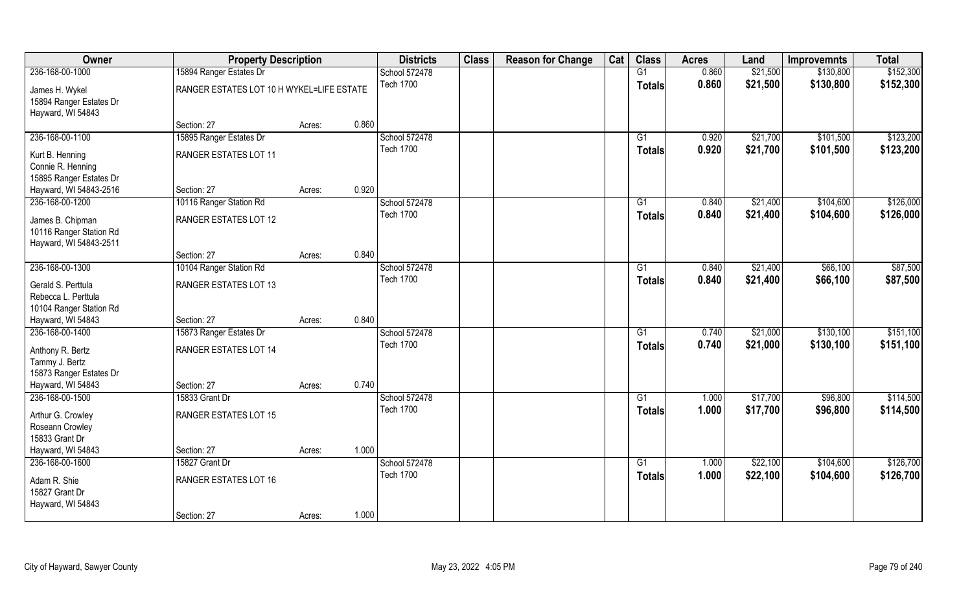| Owner                                                          | <b>Property Description</b>               |        |       | <b>Districts</b> | <b>Class</b> | <b>Reason for Change</b> | Cat | <b>Class</b>    | <b>Acres</b> | Land     | <b>Improvemnts</b> | <b>Total</b> |
|----------------------------------------------------------------|-------------------------------------------|--------|-------|------------------|--------------|--------------------------|-----|-----------------|--------------|----------|--------------------|--------------|
| 236-168-00-1000                                                | 15894 Ranger Estates Dr                   |        |       | School 572478    |              |                          |     | G1              | 0.860        | \$21,500 | \$130,800          | \$152,300    |
| James H. Wykel<br>15894 Ranger Estates Dr<br>Hayward, WI 54843 | RANGER ESTATES LOT 10 H WYKEL=LIFE ESTATE |        |       | <b>Tech 1700</b> |              |                          |     | <b>Totals</b>   | 0.860        | \$21,500 | \$130,800          | \$152,300    |
|                                                                | Section: 27                               | Acres: | 0.860 |                  |              |                          |     |                 |              |          |                    |              |
| 236-168-00-1100                                                | 15895 Ranger Estates Dr                   |        |       | School 572478    |              |                          |     | G1              | 0.920        | \$21,700 | \$101,500          | \$123,200    |
|                                                                | RANGER ESTATES LOT 11                     |        |       | <b>Tech 1700</b> |              |                          |     | Totals          | 0.920        | \$21,700 | \$101,500          | \$123,200    |
| Kurt B. Henning<br>Connie R. Henning                           |                                           |        |       |                  |              |                          |     |                 |              |          |                    |              |
| 15895 Ranger Estates Dr                                        |                                           |        |       |                  |              |                          |     |                 |              |          |                    |              |
| Hayward, WI 54843-2516                                         | Section: 27                               | Acres: | 0.920 |                  |              |                          |     |                 |              |          |                    |              |
| 236-168-00-1200                                                | 10116 Ranger Station Rd                   |        |       | School 572478    |              |                          |     | G1              | 0.840        | \$21,400 | \$104,600          | \$126,000    |
| James B. Chipman                                               | RANGER ESTATES LOT 12                     |        |       | <b>Tech 1700</b> |              |                          |     | <b>Totals</b>   | 0.840        | \$21,400 | \$104,600          | \$126,000    |
| 10116 Ranger Station Rd                                        |                                           |        |       |                  |              |                          |     |                 |              |          |                    |              |
| Hayward, WI 54843-2511                                         |                                           |        |       |                  |              |                          |     |                 |              |          |                    |              |
|                                                                | Section: 27                               | Acres: | 0.840 |                  |              |                          |     |                 |              |          |                    |              |
| 236-168-00-1300                                                | 10104 Ranger Station Rd                   |        |       | School 572478    |              |                          |     | G1              | 0.840        | \$21,400 | \$66,100           | \$87,500     |
| Gerald S. Perttula                                             | RANGER ESTATES LOT 13                     |        |       | <b>Tech 1700</b> |              |                          |     | <b>Totals</b>   | 0.840        | \$21,400 | \$66,100           | \$87,500     |
| Rebecca L. Perttula                                            |                                           |        |       |                  |              |                          |     |                 |              |          |                    |              |
| 10104 Ranger Station Rd                                        |                                           |        |       |                  |              |                          |     |                 |              |          |                    |              |
| Hayward, WI 54843                                              | Section: 27                               | Acres: | 0.840 |                  |              |                          |     |                 |              |          |                    |              |
| 236-168-00-1400                                                | 15873 Ranger Estates Dr                   |        |       | School 572478    |              |                          |     | $\overline{G1}$ | 0.740        | \$21,000 | \$130,100          | \$151,100    |
| Anthony R. Bertz                                               | RANGER ESTATES LOT 14                     |        |       | <b>Tech 1700</b> |              |                          |     | <b>Totals</b>   | 0.740        | \$21,000 | \$130,100          | \$151,100    |
| Tammy J. Bertz                                                 |                                           |        |       |                  |              |                          |     |                 |              |          |                    |              |
| 15873 Ranger Estates Dr                                        |                                           |        |       |                  |              |                          |     |                 |              |          |                    |              |
| Hayward, WI 54843                                              | Section: 27                               | Acres: | 0.740 |                  |              |                          |     |                 |              |          |                    |              |
| 236-168-00-1500                                                | 15833 Grant Dr                            |        |       | School 572478    |              |                          |     | G1              | 1.000        | \$17,700 | \$96,800           | \$114,500    |
| Arthur G. Crowley                                              | RANGER ESTATES LOT 15                     |        |       | <b>Tech 1700</b> |              |                          |     | <b>Totals</b>   | 1.000        | \$17,700 | \$96,800           | \$114,500    |
| Roseann Crowley                                                |                                           |        |       |                  |              |                          |     |                 |              |          |                    |              |
| 15833 Grant Dr                                                 |                                           |        |       |                  |              |                          |     |                 |              |          |                    |              |
| Hayward, WI 54843                                              | Section: 27                               | Acres: | 1.000 |                  |              |                          |     |                 |              |          |                    |              |
| 236-168-00-1600                                                | 15827 Grant Dr                            |        |       | School 572478    |              |                          |     | G1              | 1.000        | \$22,100 | \$104,600          | \$126,700    |
| Adam R. Shie                                                   | RANGER ESTATES LOT 16                     |        |       | <b>Tech 1700</b> |              |                          |     | <b>Totals</b>   | 1.000        | \$22,100 | \$104,600          | \$126,700    |
| 15827 Grant Dr                                                 |                                           |        |       |                  |              |                          |     |                 |              |          |                    |              |
| Hayward, WI 54843                                              |                                           |        |       |                  |              |                          |     |                 |              |          |                    |              |
|                                                                | Section: 27                               | Acres: | 1.000 |                  |              |                          |     |                 |              |          |                    |              |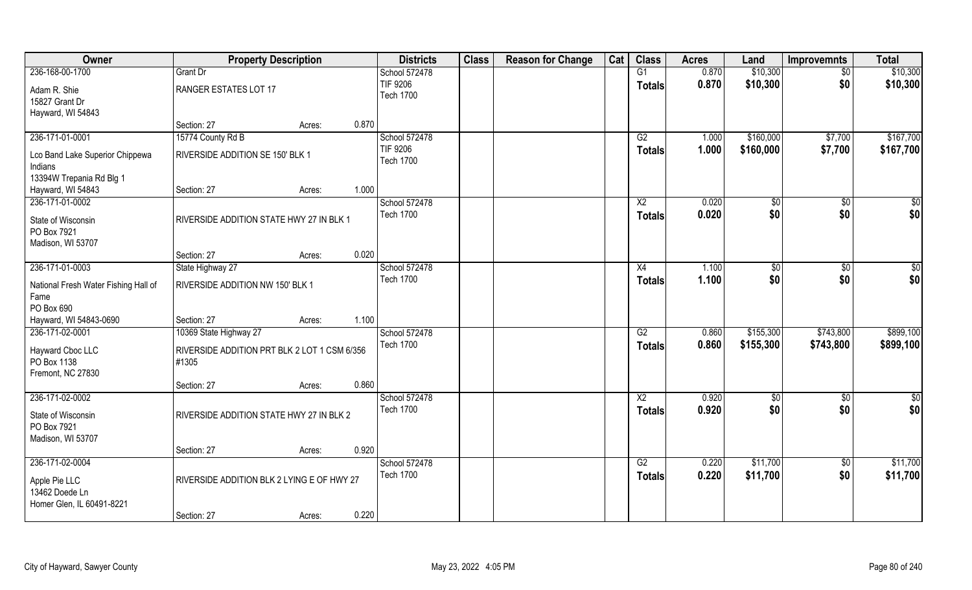| Owner                                                        | <b>Property Description</b>                           |        |       | <b>Districts</b>                    | <b>Class</b> | <b>Reason for Change</b> | Cat | <b>Class</b>    | <b>Acres</b> | Land          | <b>Improvemnts</b> | <b>Total</b>  |
|--------------------------------------------------------------|-------------------------------------------------------|--------|-------|-------------------------------------|--------------|--------------------------|-----|-----------------|--------------|---------------|--------------------|---------------|
| 236-168-00-1700                                              | Grant Dr                                              |        |       | School 572478                       |              |                          |     | G1              | 0.870        | \$10,300      | $\sqrt{6}$         | \$10,300      |
| Adam R. Shie<br>15827 Grant Dr<br>Hayward, WI 54843          | RANGER ESTATES LOT 17                                 |        |       | <b>TIF 9206</b><br><b>Tech 1700</b> |              |                          |     | <b>Totals</b>   | 0.870        | \$10,300      | \$0                | \$10,300      |
|                                                              | Section: 27                                           | Acres: | 0.870 |                                     |              |                          |     |                 |              |               |                    |               |
| 236-171-01-0001                                              | 15774 County Rd B                                     |        |       | School 572478                       |              |                          |     | G2              | 1.000        | \$160,000     | \$7,700            | \$167,700     |
| Lco Band Lake Superior Chippewa<br>Indians                   | RIVERSIDE ADDITION SE 150' BLK 1                      |        |       | <b>TIF 9206</b><br><b>Tech 1700</b> |              |                          |     | Totals          | 1.000        | \$160,000     | \$7,700            | \$167,700     |
| 13394W Trepania Rd Blg 1                                     |                                                       |        |       |                                     |              |                          |     |                 |              |               |                    |               |
| Hayward, WI 54843                                            | Section: 27                                           | Acres: | 1.000 |                                     |              |                          |     |                 |              |               |                    |               |
| 236-171-01-0002                                              |                                                       |        |       | School 572478                       |              |                          |     | $\overline{X2}$ | 0.020        | \$0           | \$0                | \$0           |
| State of Wisconsin<br>PO Box 7921<br>Madison, WI 53707       | RIVERSIDE ADDITION STATE HWY 27 IN BLK 1              |        |       | <b>Tech 1700</b>                    |              |                          |     | <b>Totals</b>   | 0.020        | \$0           | \$0                | \$0           |
|                                                              | Section: 27                                           | Acres: | 0.020 |                                     |              |                          |     |                 |              |               |                    |               |
| 236-171-01-0003                                              | State Highway 27                                      |        |       | School 572478                       |              |                          |     | X4              | 1.100        | $\sqrt[6]{3}$ | \$0                | \$0           |
| National Fresh Water Fishing Hall of<br>Fame<br>PO Box 690   | RIVERSIDE ADDITION NW 150' BLK 1                      |        |       | <b>Tech 1700</b>                    |              |                          |     | <b>Totals</b>   | 1.100        | \$0           | \$0                | \$0           |
| Hayward, WI 54843-0690                                       | Section: 27                                           | Acres: | 1.100 |                                     |              |                          |     |                 |              |               |                    |               |
| 236-171-02-0001                                              | 10369 State Highway 27                                |        |       | School 572478                       |              |                          |     | $\overline{G2}$ | 0.860        | \$155,300     | \$743,800          | \$899,100     |
| Hayward Cboc LLC<br>PO Box 1138<br>Fremont, NC 27830         | RIVERSIDE ADDITION PRT BLK 2 LOT 1 CSM 6/356<br>#1305 |        |       | <b>Tech 1700</b>                    |              |                          |     | <b>Totals</b>   | 0.860        | \$155,300     | \$743,800          | \$899,100     |
|                                                              | Section: 27                                           | Acres: | 0.860 |                                     |              |                          |     |                 |              |               |                    |               |
| 236-171-02-0002                                              |                                                       |        |       | School 572478                       |              |                          |     | $\overline{X2}$ | 0.920        | \$0           | $\sqrt{50}$        | $\frac{1}{2}$ |
| State of Wisconsin<br>PO Box 7921<br>Madison, WI 53707       | RIVERSIDE ADDITION STATE HWY 27 IN BLK 2              |        |       | <b>Tech 1700</b>                    |              |                          |     | <b>Totals</b>   | 0.920        | \$0           | \$0                | \$0           |
|                                                              | Section: 27                                           | Acres: | 0.920 |                                     |              |                          |     |                 |              |               |                    |               |
| 236-171-02-0004                                              |                                                       |        |       | School 572478                       |              |                          |     | G2              | 0.220        | \$11,700      | $\overline{50}$    | \$11,700      |
| Apple Pie LLC<br>13462 Doede Ln<br>Homer Glen, IL 60491-8221 | RIVERSIDE ADDITION BLK 2 LYING E OF HWY 27            |        |       | <b>Tech 1700</b>                    |              |                          |     | <b>Totals</b>   | 0.220        | \$11,700      | \$0                | \$11,700      |
|                                                              | Section: 27                                           | Acres: | 0.220 |                                     |              |                          |     |                 |              |               |                    |               |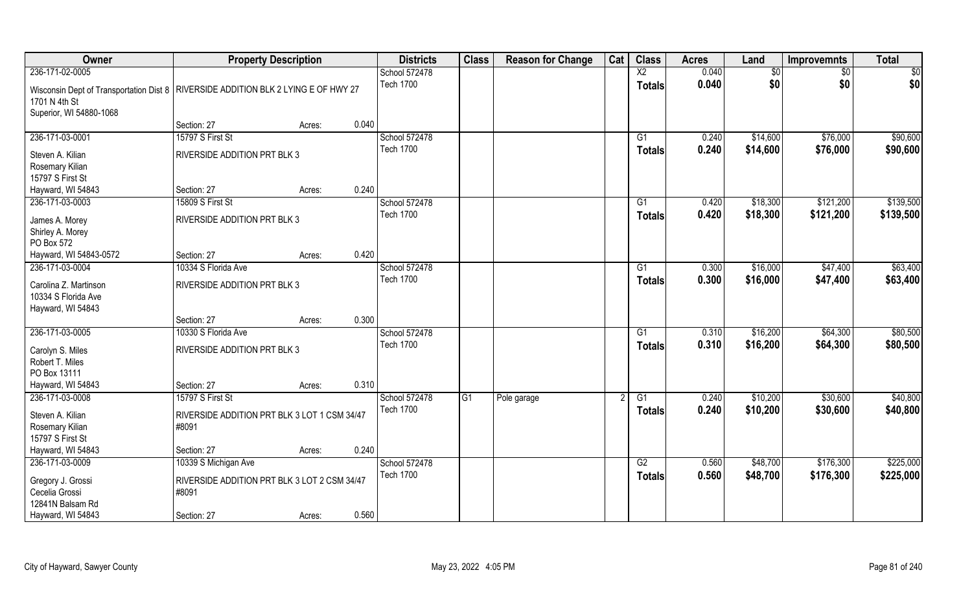| Owner                                                                                | <b>Property Description</b>                  |                 | <b>Districts</b> | <b>Class</b> | <b>Reason for Change</b> | Cat | <b>Class</b>    | <b>Acres</b> | Land     | <b>Improvemnts</b> | <b>Total</b> |
|--------------------------------------------------------------------------------------|----------------------------------------------|-----------------|------------------|--------------|--------------------------|-----|-----------------|--------------|----------|--------------------|--------------|
| 236-171-02-0005                                                                      |                                              |                 | School 572478    |              |                          |     | $\overline{X2}$ | 0.040        | \$0      | \$0                | \$0          |
| Wisconsin Dept of Transportation Dist 8   RIVERSIDE ADDITION BLK 2 LYING E OF HWY 27 |                                              |                 | <b>Tech 1700</b> |              |                          |     | <b>Totals</b>   | 0.040        | \$0      | \$0                | \$0          |
| 1701 N 4th St                                                                        |                                              |                 |                  |              |                          |     |                 |              |          |                    |              |
| Superior, WI 54880-1068                                                              | Section: 27                                  | 0.040<br>Acres: |                  |              |                          |     |                 |              |          |                    |              |
| 236-171-03-0001                                                                      | 15797 S First St                             |                 | School 572478    |              |                          |     |                 | 0.240        | \$14,600 | \$76,000           | \$90,600     |
|                                                                                      |                                              |                 | <b>Tech 1700</b> |              |                          |     | G <sub>1</sub>  | 0.240        |          |                    |              |
| Steven A. Kilian                                                                     | RIVERSIDE ADDITION PRT BLK 3                 |                 |                  |              |                          |     | <b>Totals</b>   |              | \$14,600 | \$76,000           | \$90,600     |
| Rosemary Kilian                                                                      |                                              |                 |                  |              |                          |     |                 |              |          |                    |              |
| 15797 S First St                                                                     |                                              |                 |                  |              |                          |     |                 |              |          |                    |              |
| Hayward, WI 54843                                                                    | Section: 27                                  | 0.240<br>Acres: |                  |              |                          |     |                 |              |          |                    |              |
| 236-171-03-0003                                                                      | 15809 S First St                             |                 | School 572478    |              |                          |     | G1              | 0.420        | \$18,300 | \$121,200          | \$139,500    |
| James A. Morey                                                                       | RIVERSIDE ADDITION PRT BLK 3                 |                 | <b>Tech 1700</b> |              |                          |     | <b>Totals</b>   | 0.420        | \$18,300 | \$121,200          | \$139,500    |
| Shirley A. Morey                                                                     |                                              |                 |                  |              |                          |     |                 |              |          |                    |              |
| PO Box 572                                                                           |                                              |                 |                  |              |                          |     |                 |              |          |                    |              |
| Hayward, WI 54843-0572                                                               | Section: 27                                  | 0.420<br>Acres: |                  |              |                          |     |                 |              |          |                    |              |
| 236-171-03-0004                                                                      | 10334 S Florida Ave                          |                 | School 572478    |              |                          |     | G1              | 0.300        | \$16,000 | \$47,400           | \$63,400     |
|                                                                                      |                                              |                 | <b>Tech 1700</b> |              |                          |     | <b>Totals</b>   | 0.300        | \$16,000 | \$47,400           | \$63,400     |
| Carolina Z. Martinson                                                                | RIVERSIDE ADDITION PRT BLK 3                 |                 |                  |              |                          |     |                 |              |          |                    |              |
| 10334 S Florida Ave                                                                  |                                              |                 |                  |              |                          |     |                 |              |          |                    |              |
| Hayward, WI 54843                                                                    |                                              |                 |                  |              |                          |     |                 |              |          |                    |              |
|                                                                                      | Section: 27                                  | 0.300<br>Acres: |                  |              |                          |     |                 |              |          |                    |              |
| 236-171-03-0005                                                                      | 10330 S Florida Ave                          |                 | School 572478    |              |                          |     | G1              | 0.310        | \$16,200 | \$64,300           | \$80,500     |
| Carolyn S. Miles                                                                     | RIVERSIDE ADDITION PRT BLK 3                 |                 | <b>Tech 1700</b> |              |                          |     | <b>Totals</b>   | 0.310        | \$16,200 | \$64,300           | \$80,500     |
| Robert T. Miles                                                                      |                                              |                 |                  |              |                          |     |                 |              |          |                    |              |
| PO Box 13111                                                                         |                                              |                 |                  |              |                          |     |                 |              |          |                    |              |
| Hayward, WI 54843                                                                    | Section: 27                                  | 0.310<br>Acres: |                  |              |                          |     |                 |              |          |                    |              |
| 236-171-03-0008                                                                      | 15797 S First St                             |                 | School 572478    | G1           | Pole garage              |     | G1              | 0.240        | \$10,200 | \$30,600           | \$40,800     |
| Steven A. Kilian                                                                     | RIVERSIDE ADDITION PRT BLK 3 LOT 1 CSM 34/47 |                 | <b>Tech 1700</b> |              |                          |     | <b>Totals</b>   | 0.240        | \$10,200 | \$30,600           | \$40,800     |
|                                                                                      | #8091                                        |                 |                  |              |                          |     |                 |              |          |                    |              |
| Rosemary Kilian<br>15797 S First St                                                  |                                              |                 |                  |              |                          |     |                 |              |          |                    |              |
| Hayward, WI 54843                                                                    | Section: 27                                  | 0.240<br>Acres: |                  |              |                          |     |                 |              |          |                    |              |
| 236-171-03-0009                                                                      | 10339 S Michigan Ave                         |                 | School 572478    |              |                          |     | G2              | 0.560        | \$48,700 | \$176,300          | \$225,000    |
|                                                                                      |                                              |                 | <b>Tech 1700</b> |              |                          |     |                 | 0.560        | \$48,700 | \$176,300          | \$225,000    |
| Gregory J. Grossi                                                                    | RIVERSIDE ADDITION PRT BLK 3 LOT 2 CSM 34/47 |                 |                  |              |                          |     | <b>Totals</b>   |              |          |                    |              |
| Cecelia Grossi                                                                       | #8091                                        |                 |                  |              |                          |     |                 |              |          |                    |              |
| 12841N Balsam Rd                                                                     |                                              |                 |                  |              |                          |     |                 |              |          |                    |              |
| Hayward, WI 54843                                                                    | Section: 27                                  | 0.560<br>Acres: |                  |              |                          |     |                 |              |          |                    |              |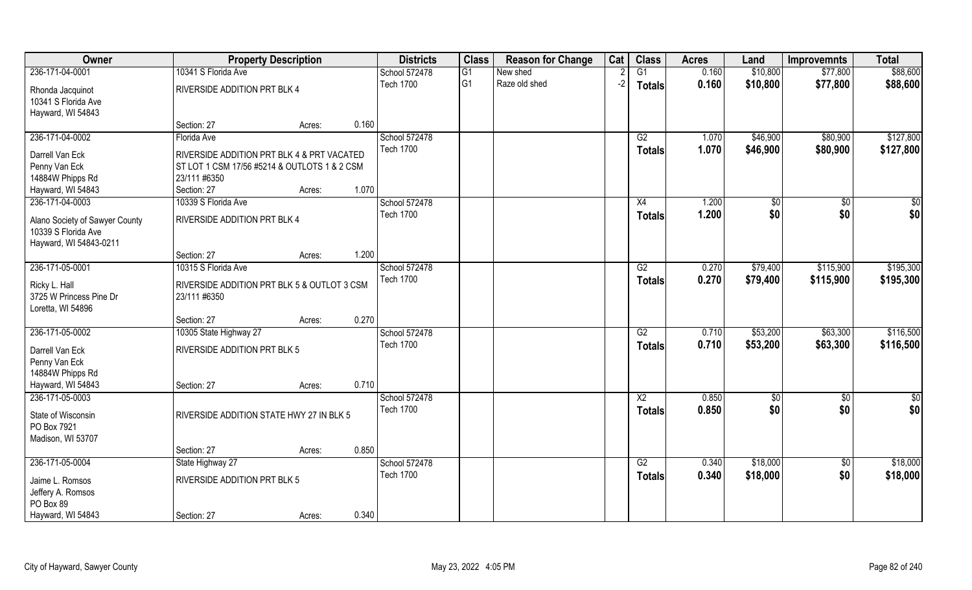| Owner                            | <b>Property Description</b>                  |        |       | <b>Districts</b> | <b>Class</b> | <b>Reason for Change</b> | Cat  | <b>Class</b>    | <b>Acres</b> | Land     | <b>Improvemnts</b> | <b>Total</b>  |
|----------------------------------|----------------------------------------------|--------|-------|------------------|--------------|--------------------------|------|-----------------|--------------|----------|--------------------|---------------|
| 236-171-04-0001                  | 10341 S Florida Ave                          |        |       | School 572478    | G1           | New shed                 |      | $\overline{G1}$ | 0.160        | \$10,800 | \$77,800           | \$88,600      |
| Rhonda Jacquinot                 | RIVERSIDE ADDITION PRT BLK 4                 |        |       | <b>Tech 1700</b> | lG1          | Raze old shed            | $-2$ | Totals          | 0.160        | \$10,800 | \$77,800           | \$88,600      |
| 10341 S Florida Ave              |                                              |        |       |                  |              |                          |      |                 |              |          |                    |               |
| Hayward, WI 54843                |                                              |        |       |                  |              |                          |      |                 |              |          |                    |               |
|                                  | Section: 27                                  | Acres: | 0.160 |                  |              |                          |      |                 |              |          |                    |               |
| 236-171-04-0002                  | Florida Ave                                  |        |       | School 572478    |              |                          |      | G2              | 1.070        | \$46,900 | \$80,900           | \$127,800     |
| Darrell Van Eck                  | RIVERSIDE ADDITION PRT BLK 4 & PRT VACATED   |        |       | <b>Tech 1700</b> |              |                          |      | Totals          | 1.070        | \$46,900 | \$80,900           | \$127,800     |
| Penny Van Eck                    | ST LOT 1 CSM 17/56 #5214 & OUTLOTS 1 & 2 CSM |        |       |                  |              |                          |      |                 |              |          |                    |               |
| 14884W Phipps Rd                 | 23/111 #6350                                 |        |       |                  |              |                          |      |                 |              |          |                    |               |
| Hayward, WI 54843                | Section: 27                                  | Acres: | 1.070 |                  |              |                          |      |                 |              |          |                    |               |
| 236-171-04-0003                  | 10339 S Florida Ave                          |        |       | School 572478    |              |                          |      | X4              | 1.200        | \$0      | \$0                | \$0           |
| Alano Society of Sawyer County   | <b>RIVERSIDE ADDITION PRT BLK 4</b>          |        |       | <b>Tech 1700</b> |              |                          |      | <b>Totals</b>   | 1.200        | \$0      | \$0                | \$0           |
| 10339 S Florida Ave              |                                              |        |       |                  |              |                          |      |                 |              |          |                    |               |
| Hayward, WI 54843-0211           |                                              |        |       |                  |              |                          |      |                 |              |          |                    |               |
|                                  | Section: 27                                  | Acres: | 1.200 |                  |              |                          |      |                 |              |          |                    |               |
| 236-171-05-0001                  | 10315 S Florida Ave                          |        |       | School 572478    |              |                          |      | G2              | 0.270        | \$79,400 | \$115,900          | \$195,300     |
| Ricky L. Hall                    | RIVERSIDE ADDITION PRT BLK 5 & OUTLOT 3 CSM  |        |       | <b>Tech 1700</b> |              |                          |      | <b>Totals</b>   | 0.270        | \$79,400 | \$115,900          | \$195,300     |
| 3725 W Princess Pine Dr          | 23/111 #6350                                 |        |       |                  |              |                          |      |                 |              |          |                    |               |
| Loretta, WI 54896                |                                              |        |       |                  |              |                          |      |                 |              |          |                    |               |
|                                  | Section: 27                                  | Acres: | 0.270 |                  |              |                          |      |                 |              |          |                    |               |
| 236-171-05-0002                  | 10305 State Highway 27                       |        |       | School 572478    |              |                          |      | $\overline{G2}$ | 0.710        | \$53,200 | \$63,300           | \$116,500     |
| Darrell Van Eck                  | RIVERSIDE ADDITION PRT BLK 5                 |        |       | <b>Tech 1700</b> |              |                          |      | <b>Totals</b>   | 0.710        | \$53,200 | \$63,300           | \$116,500     |
| Penny Van Eck                    |                                              |        |       |                  |              |                          |      |                 |              |          |                    |               |
| 14884W Phipps Rd                 |                                              |        |       |                  |              |                          |      |                 |              |          |                    |               |
| Hayward, WI 54843                | Section: 27                                  | Acres: | 0.710 |                  |              |                          |      |                 |              |          |                    |               |
| 236-171-05-0003                  |                                              |        |       | School 572478    |              |                          |      | $\overline{X2}$ | 0.850        | \$0      | $\overline{50}$    | $\frac{1}{2}$ |
|                                  |                                              |        |       | <b>Tech 1700</b> |              |                          |      | <b>Totals</b>   | 0.850        | \$0      | \$0                | \$0           |
| State of Wisconsin               | RIVERSIDE ADDITION STATE HWY 27 IN BLK 5     |        |       |                  |              |                          |      |                 |              |          |                    |               |
| PO Box 7921<br>Madison, WI 53707 |                                              |        |       |                  |              |                          |      |                 |              |          |                    |               |
|                                  | Section: 27                                  | Acres: | 0.850 |                  |              |                          |      |                 |              |          |                    |               |
| 236-171-05-0004                  | State Highway 27                             |        |       | School 572478    |              |                          |      | G2              | 0.340        | \$18,000 | $\overline{50}$    | \$18,000      |
|                                  |                                              |        |       | <b>Tech 1700</b> |              |                          |      | <b>Totals</b>   | 0.340        | \$18,000 | \$0                | \$18,000      |
| Jaime L. Romsos                  | RIVERSIDE ADDITION PRT BLK 5                 |        |       |                  |              |                          |      |                 |              |          |                    |               |
| Jeffery A. Romsos                |                                              |        |       |                  |              |                          |      |                 |              |          |                    |               |
| PO Box 89                        |                                              |        | 0.340 |                  |              |                          |      |                 |              |          |                    |               |
| Hayward, WI 54843                | Section: 27                                  | Acres: |       |                  |              |                          |      |                 |              |          |                    |               |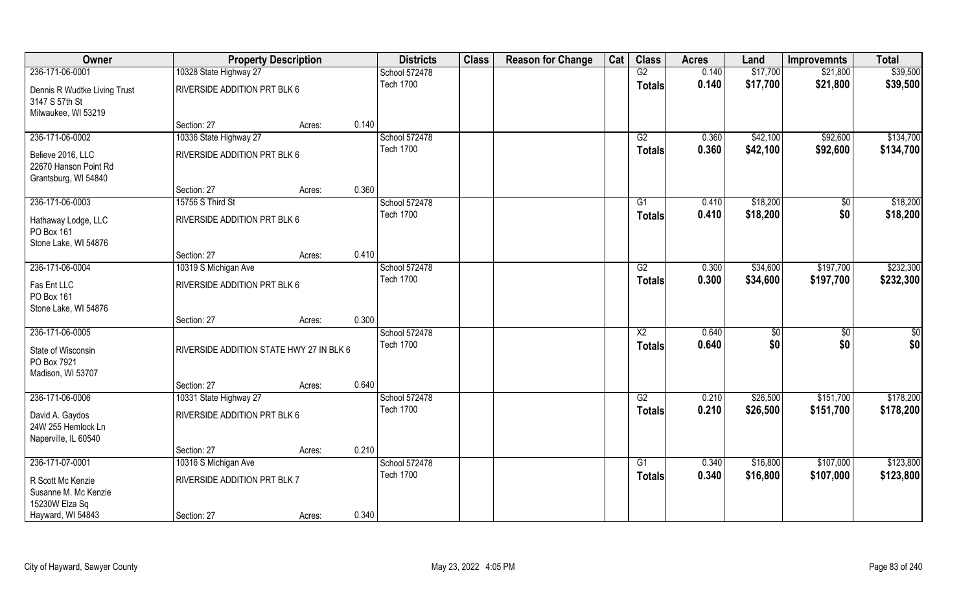| Owner                                                              | <b>Property Description</b>              |        |       | <b>Districts</b> | <b>Class</b> | <b>Reason for Change</b> | Cat | <b>Class</b>    | <b>Acres</b> | Land     | <b>Improvemnts</b> | <b>Total</b> |
|--------------------------------------------------------------------|------------------------------------------|--------|-------|------------------|--------------|--------------------------|-----|-----------------|--------------|----------|--------------------|--------------|
| 236-171-06-0001                                                    | 10328 State Highway 27                   |        |       | School 572478    |              |                          |     | G2              | 0.140        | \$17,700 | \$21,800           | \$39,500     |
| Dennis R Wudtke Living Trust<br>3147 S 57th St                     | RIVERSIDE ADDITION PRT BLK 6             |        |       | <b>Tech 1700</b> |              |                          |     | <b>Totals</b>   | 0.140        | \$17,700 | \$21,800           | \$39,500     |
| Milwaukee, WI 53219                                                | Section: 27                              | Acres: | 0.140 |                  |              |                          |     |                 |              |          |                    |              |
| 236-171-06-0002                                                    | 10336 State Highway 27                   |        |       | School 572478    |              |                          |     | G2              | 0.360        | \$42,100 | \$92,600           | \$134,700    |
|                                                                    |                                          |        |       | <b>Tech 1700</b> |              |                          |     | <b>Totals</b>   | 0.360        | \$42,100 | \$92,600           | \$134,700    |
| Believe 2016, LLC<br>22670 Hanson Point Rd<br>Grantsburg, WI 54840 | RIVERSIDE ADDITION PRT BLK 6             |        |       |                  |              |                          |     |                 |              |          |                    |              |
|                                                                    | Section: 27                              | Acres: | 0.360 |                  |              |                          |     |                 |              |          |                    |              |
| 236-171-06-0003                                                    | 15756 S Third St                         |        |       | School 572478    |              |                          |     | G1              | 0.410        | \$18,200 | \$0                | \$18,200     |
| Hathaway Lodge, LLC<br>PO Box 161<br>Stone Lake, WI 54876          | RIVERSIDE ADDITION PRT BLK 6             |        |       | <b>Tech 1700</b> |              |                          |     | <b>Totals</b>   | 0.410        | \$18,200 | \$0                | \$18,200     |
|                                                                    | Section: 27                              | Acres: | 0.410 |                  |              |                          |     |                 |              |          |                    |              |
| 236-171-06-0004                                                    | 10319 S Michigan Ave                     |        |       | School 572478    |              |                          |     | G2              | 0.300        | \$34,600 | \$197,700          | \$232,300    |
| Fas Ent LLC<br>PO Box 161<br>Stone Lake, WI 54876                  | RIVERSIDE ADDITION PRT BLK 6             |        |       | <b>Tech 1700</b> |              |                          |     | <b>Totals</b>   | 0.300        | \$34,600 | \$197,700          | \$232,300    |
|                                                                    | Section: 27                              | Acres: | 0.300 |                  |              |                          |     |                 |              |          |                    |              |
| 236-171-06-0005                                                    |                                          |        |       | School 572478    |              |                          |     | $\overline{X2}$ | 0.640        | \$       | \$0                | \$0          |
| State of Wisconsin<br>PO Box 7921<br>Madison, WI 53707             | RIVERSIDE ADDITION STATE HWY 27 IN BLK 6 |        |       | <b>Tech 1700</b> |              |                          |     | <b>Totals</b>   | 0.640        | \$0      | \$0                | \$0          |
|                                                                    | Section: 27                              | Acres: | 0.640 |                  |              |                          |     |                 |              |          |                    |              |
| 236-171-06-0006                                                    | 10331 State Highway 27                   |        |       | School 572478    |              |                          |     | G2              | 0.210        | \$26,500 | \$151,700          | \$178,200    |
| David A. Gaydos<br>24W 255 Hemlock Ln<br>Naperville, IL 60540      | RIVERSIDE ADDITION PRT BLK 6             |        |       | <b>Tech 1700</b> |              |                          |     | <b>Totals</b>   | 0.210        | \$26,500 | \$151,700          | \$178,200    |
|                                                                    | Section: 27                              | Acres: | 0.210 |                  |              |                          |     |                 |              |          |                    |              |
| 236-171-07-0001                                                    | 10316 S Michigan Ave                     |        |       | School 572478    |              |                          |     | G1              | 0.340        | \$16,800 | \$107,000          | \$123,800    |
| R Scott Mc Kenzie<br>Susanne M. Mc Kenzie                          | RIVERSIDE ADDITION PRT BLK 7             |        |       | <b>Tech 1700</b> |              |                          |     | <b>Totals</b>   | 0.340        | \$16,800 | \$107,000          | \$123,800    |
| 15230W Elza Sq                                                     |                                          |        |       |                  |              |                          |     |                 |              |          |                    |              |
| Hayward, WI 54843                                                  | Section: 27                              | Acres: | 0.340 |                  |              |                          |     |                 |              |          |                    |              |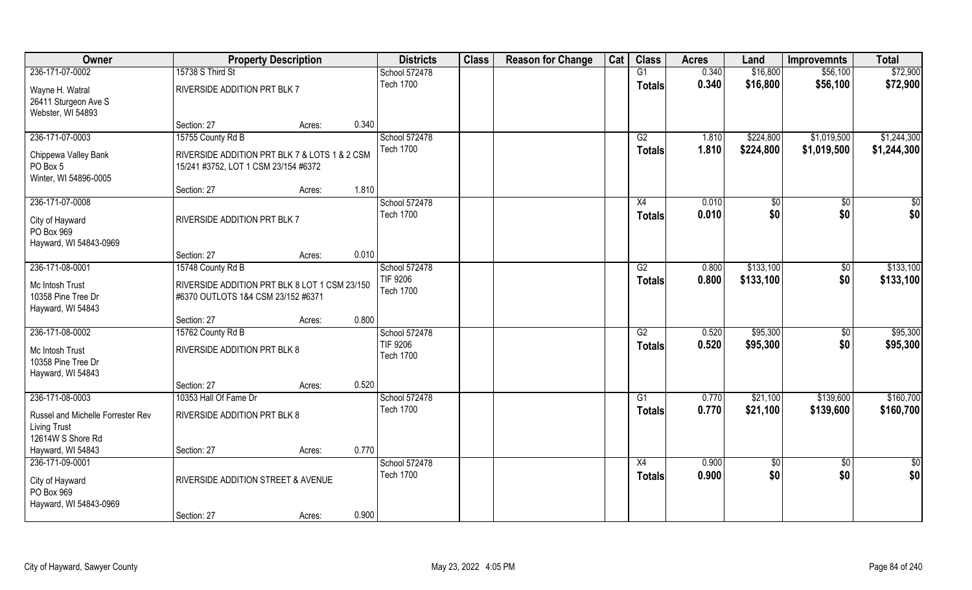| Owner                                                                         |                                                                                       | <b>Property Description</b> |       | <b>Districts</b>                    | <b>Class</b> | <b>Reason for Change</b> | Cat | <b>Class</b>        | <b>Acres</b>   | Land              | <b>Improvemnts</b>     | <b>Total</b>       |
|-------------------------------------------------------------------------------|---------------------------------------------------------------------------------------|-----------------------------|-------|-------------------------------------|--------------|--------------------------|-----|---------------------|----------------|-------------------|------------------------|--------------------|
| 236-171-07-0002                                                               | 15738 S Third St                                                                      |                             |       | School 572478                       |              |                          |     | G1                  | 0.340          | \$16,800          | \$56,100               | \$72,900           |
| Wayne H. Watral<br>26411 Sturgeon Ave S<br>Webster, WI 54893                  | RIVERSIDE ADDITION PRT BLK 7                                                          |                             |       | <b>Tech 1700</b>                    |              |                          |     | <b>Totals</b>       | 0.340          | \$16,800          | \$56,100               | \$72,900           |
|                                                                               | Section: 27                                                                           | Acres:                      | 0.340 |                                     |              |                          |     |                     |                |                   |                        |                    |
| 236-171-07-0003                                                               | 15755 County Rd B                                                                     |                             |       | School 572478                       |              |                          |     | G2                  | 1.810          | \$224,800         | \$1,019,500            | \$1,244,300        |
| Chippewa Valley Bank<br>PO Box 5<br>Winter, WI 54896-0005                     | RIVERSIDE ADDITION PRT BLK 7 & LOTS 1 & 2 CSM<br>15/241 #3752, LOT 1 CSM 23/154 #6372 |                             |       | <b>Tech 1700</b>                    |              |                          |     | Totals              | 1.810          | \$224,800         | \$1,019,500            | \$1,244,300        |
|                                                                               | Section: 27                                                                           | Acres:                      | 1.810 |                                     |              |                          |     |                     |                |                   |                        |                    |
| 236-171-07-0008                                                               |                                                                                       |                             |       | School 572478                       |              |                          |     | X4                  | 0.010          | \$0               | \$0                    | \$0                |
| City of Hayward<br>PO Box 969<br>Hayward, WI 54843-0969                       | RIVERSIDE ADDITION PRT BLK 7                                                          |                             |       | <b>Tech 1700</b>                    |              |                          |     | <b>Totals</b>       | 0.010          | \$0               | \$0                    | \$0                |
|                                                                               | Section: 27                                                                           | Acres:                      | 0.010 |                                     |              |                          |     |                     |                |                   |                        |                    |
| 236-171-08-0001                                                               | 15748 County Rd B                                                                     |                             |       | School 572478                       |              |                          |     | G2                  | 0.800          | \$133,100         | $\sqrt{50}$            | \$133,100          |
| Mc Intosh Trust<br>10358 Pine Tree Dr<br>Hayward, WI 54843                    | RIVERSIDE ADDITION PRT BLK 8 LOT 1 CSM 23/150<br>#6370 OUTLOTS 1&4 CSM 23/152 #6371   |                             |       | <b>TIF 9206</b><br><b>Tech 1700</b> |              |                          |     | <b>Totals</b>       | 0.800          | \$133,100         | \$0                    | \$133,100          |
|                                                                               | Section: 27                                                                           | Acres:                      | 0.800 |                                     |              |                          |     |                     |                |                   |                        |                    |
| 236-171-08-0002                                                               | 15762 County Rd B                                                                     |                             |       | School 572478                       |              |                          |     | $\overline{G2}$     | 0.520          | \$95,300          | $\overline{50}$        | \$95,300           |
| Mc Intosh Trust<br>10358 Pine Tree Dr<br>Hayward, WI 54843                    | RIVERSIDE ADDITION PRT BLK 8                                                          |                             |       | <b>TIF 9206</b><br><b>Tech 1700</b> |              |                          |     | <b>Totals</b>       | 0.520          | \$95,300          | \$0                    | \$95,300           |
|                                                                               | Section: 27                                                                           | Acres:                      | 0.520 |                                     |              |                          |     |                     |                |                   |                        |                    |
| 236-171-08-0003                                                               | 10353 Hall Of Fame Dr                                                                 |                             |       | School 572478                       |              |                          |     | G1                  | 0.770          | \$21,100          | \$139,600              | \$160,700          |
| Russel and Michelle Forrester Rev<br><b>Living Trust</b><br>12614W S Shore Rd | RIVERSIDE ADDITION PRT BLK 8                                                          |                             |       | <b>Tech 1700</b>                    |              |                          |     | <b>Totals</b>       | 0.770          | \$21,100          | \$139,600              | \$160,700          |
| Hayward, WI 54843                                                             | Section: 27                                                                           | Acres:                      | 0.770 |                                     |              |                          |     |                     |                |                   |                        |                    |
| 236-171-09-0001<br>City of Hayward<br>PO Box 969                              | RIVERSIDE ADDITION STREET & AVENUE                                                    |                             |       | School 572478<br><b>Tech 1700</b>   |              |                          |     | X4<br><b>Totals</b> | 0.900<br>0.900 | $\sqrt{6}$<br>\$0 | $\overline{50}$<br>\$0 | $rac{1}{2}$<br>\$0 |
| Hayward, WI 54843-0969                                                        | Section: 27                                                                           | Acres:                      | 0.900 |                                     |              |                          |     |                     |                |                   |                        |                    |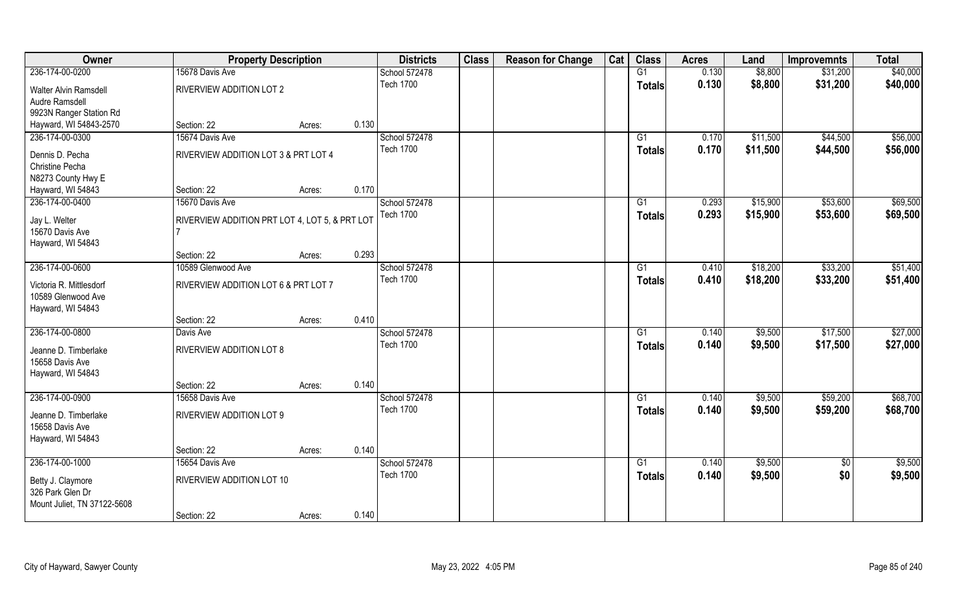| \$40,000<br>236-174-00-0200<br>15678 Davis Ave<br>G1<br>0.130<br>\$8,800<br>\$31,200<br>School 572478<br><b>Tech 1700</b><br>0.130<br>\$8,800<br>\$31,200<br>\$40,000<br><b>Totals</b><br>RIVERVIEW ADDITION LOT 2<br>Walter Alvin Ramsdell<br>Audre Ramsdell<br>9923N Ranger Station Rd<br>0.130<br>Hayward, WI 54843-2570<br>Section: 22<br>Acres:<br>\$56,000<br>236-174-00-0300<br>15674 Davis Ave<br>School 572478<br>\$11,500<br>\$44,500<br>G1<br>0.170<br><b>Tech 1700</b><br>0.170<br>\$11,500<br>\$44,500<br>\$56,000<br><b>Totals</b><br>RIVERVIEW ADDITION LOT 3 & PRT LOT 4<br>Dennis D. Pecha<br>Christine Pecha<br>N8273 County Hwy E<br>0.170<br>Hayward, WI 54843<br>Section: 22<br>Acres:<br>236-174-00-0400<br>School 572478<br>\$53,600<br>\$69,500<br>15670 Davis Ave<br>G1<br>0.293<br>\$15,900<br><b>Tech 1700</b><br>0.293<br>\$15,900<br>\$53,600<br>\$69,500<br><b>Totals</b><br>Jay L. Welter<br>RIVERVIEW ADDITION PRT LOT 4, LOT 5, & PRT LOT<br>15670 Davis Ave<br>Hayward, WI 54843<br>0.293<br>Section: 22<br>Acres:<br>236-174-00-0600<br>\$51,400<br>School 572478<br>\$18,200<br>\$33,200<br>10589 Glenwood Ave<br>0.410<br>G1<br><b>Tech 1700</b><br>0.410<br>\$18,200<br>\$33,200<br>\$51,400<br><b>Totals</b><br>RIVERVIEW ADDITION LOT 6 & PRT LOT 7<br>Victoria R. Mittlesdorf<br>10589 Glenwood Ave<br>Hayward, WI 54843<br>0.410<br>Section: 22<br>Acres:<br>\$27,000<br>236-174-00-0800<br>School 572478<br>0.140<br>\$9,500<br>\$17,500<br>Davis Ave<br>G1<br><b>Tech 1700</b><br>0.140<br>\$9,500<br>\$17,500<br>\$27,000<br><b>Totals</b><br>RIVERVIEW ADDITION LOT 8<br>Jeanne D. Timberlake<br>15658 Davis Ave<br>Hayward, WI 54843<br>0.140<br>Section: 22<br>Acres:<br>\$68,700<br>236-174-00-0900<br>15658 Davis Ave<br>School 572478<br>\$9,500<br>\$59,200<br>G1<br>0.140<br><b>Tech 1700</b><br>0.140<br>\$9,500<br>\$59,200<br>\$68,700<br><b>Totals</b><br>RIVERVIEW ADDITION LOT 9<br>Jeanne D. Timberlake<br>15658 Davis Ave<br>Hayward, WI 54843<br>0.140<br>Section: 22<br>Acres:<br>236-174-00-1000<br>15654 Davis Ave<br>School 572478<br>$\overline{G1}$<br>0.140<br>\$9,500<br>$\overline{50}$<br>\$9,500<br>\$0<br><b>Tech 1700</b><br>0.140<br>\$9,500<br>\$9,500<br><b>Totals</b><br>RIVERVIEW ADDITION LOT 10<br>Betty J. Claymore<br>326 Park Glen Dr<br>Mount Juliet, TN 37122-5608 | Owner | <b>Property Description</b> |        |       | <b>Districts</b> | <b>Class</b> | <b>Reason for Change</b> | Cat | <b>Class</b> | <b>Acres</b> | Land | <b>Improvemnts</b> | <b>Total</b> |
|-----------------------------------------------------------------------------------------------------------------------------------------------------------------------------------------------------------------------------------------------------------------------------------------------------------------------------------------------------------------------------------------------------------------------------------------------------------------------------------------------------------------------------------------------------------------------------------------------------------------------------------------------------------------------------------------------------------------------------------------------------------------------------------------------------------------------------------------------------------------------------------------------------------------------------------------------------------------------------------------------------------------------------------------------------------------------------------------------------------------------------------------------------------------------------------------------------------------------------------------------------------------------------------------------------------------------------------------------------------------------------------------------------------------------------------------------------------------------------------------------------------------------------------------------------------------------------------------------------------------------------------------------------------------------------------------------------------------------------------------------------------------------------------------------------------------------------------------------------------------------------------------------------------------------------------------------------------------------------------------------------------------------------------------------------------------------------------------------------------------------------------------------------------------------------------------------------------------------------------------------------------------------------------------------------------------------------------------------------------|-------|-----------------------------|--------|-------|------------------|--------------|--------------------------|-----|--------------|--------------|------|--------------------|--------------|
|                                                                                                                                                                                                                                                                                                                                                                                                                                                                                                                                                                                                                                                                                                                                                                                                                                                                                                                                                                                                                                                                                                                                                                                                                                                                                                                                                                                                                                                                                                                                                                                                                                                                                                                                                                                                                                                                                                                                                                                                                                                                                                                                                                                                                                                                                                                                                           |       |                             |        |       |                  |              |                          |     |              |              |      |                    |              |
|                                                                                                                                                                                                                                                                                                                                                                                                                                                                                                                                                                                                                                                                                                                                                                                                                                                                                                                                                                                                                                                                                                                                                                                                                                                                                                                                                                                                                                                                                                                                                                                                                                                                                                                                                                                                                                                                                                                                                                                                                                                                                                                                                                                                                                                                                                                                                           |       |                             |        |       |                  |              |                          |     |              |              |      |                    |              |
|                                                                                                                                                                                                                                                                                                                                                                                                                                                                                                                                                                                                                                                                                                                                                                                                                                                                                                                                                                                                                                                                                                                                                                                                                                                                                                                                                                                                                                                                                                                                                                                                                                                                                                                                                                                                                                                                                                                                                                                                                                                                                                                                                                                                                                                                                                                                                           |       |                             |        |       |                  |              |                          |     |              |              |      |                    |              |
|                                                                                                                                                                                                                                                                                                                                                                                                                                                                                                                                                                                                                                                                                                                                                                                                                                                                                                                                                                                                                                                                                                                                                                                                                                                                                                                                                                                                                                                                                                                                                                                                                                                                                                                                                                                                                                                                                                                                                                                                                                                                                                                                                                                                                                                                                                                                                           |       |                             |        |       |                  |              |                          |     |              |              |      |                    |              |
|                                                                                                                                                                                                                                                                                                                                                                                                                                                                                                                                                                                                                                                                                                                                                                                                                                                                                                                                                                                                                                                                                                                                                                                                                                                                                                                                                                                                                                                                                                                                                                                                                                                                                                                                                                                                                                                                                                                                                                                                                                                                                                                                                                                                                                                                                                                                                           |       |                             |        |       |                  |              |                          |     |              |              |      |                    |              |
|                                                                                                                                                                                                                                                                                                                                                                                                                                                                                                                                                                                                                                                                                                                                                                                                                                                                                                                                                                                                                                                                                                                                                                                                                                                                                                                                                                                                                                                                                                                                                                                                                                                                                                                                                                                                                                                                                                                                                                                                                                                                                                                                                                                                                                                                                                                                                           |       |                             |        |       |                  |              |                          |     |              |              |      |                    |              |
|                                                                                                                                                                                                                                                                                                                                                                                                                                                                                                                                                                                                                                                                                                                                                                                                                                                                                                                                                                                                                                                                                                                                                                                                                                                                                                                                                                                                                                                                                                                                                                                                                                                                                                                                                                                                                                                                                                                                                                                                                                                                                                                                                                                                                                                                                                                                                           |       |                             |        |       |                  |              |                          |     |              |              |      |                    |              |
|                                                                                                                                                                                                                                                                                                                                                                                                                                                                                                                                                                                                                                                                                                                                                                                                                                                                                                                                                                                                                                                                                                                                                                                                                                                                                                                                                                                                                                                                                                                                                                                                                                                                                                                                                                                                                                                                                                                                                                                                                                                                                                                                                                                                                                                                                                                                                           |       |                             |        |       |                  |              |                          |     |              |              |      |                    |              |
|                                                                                                                                                                                                                                                                                                                                                                                                                                                                                                                                                                                                                                                                                                                                                                                                                                                                                                                                                                                                                                                                                                                                                                                                                                                                                                                                                                                                                                                                                                                                                                                                                                                                                                                                                                                                                                                                                                                                                                                                                                                                                                                                                                                                                                                                                                                                                           |       |                             |        |       |                  |              |                          |     |              |              |      |                    |              |
|                                                                                                                                                                                                                                                                                                                                                                                                                                                                                                                                                                                                                                                                                                                                                                                                                                                                                                                                                                                                                                                                                                                                                                                                                                                                                                                                                                                                                                                                                                                                                                                                                                                                                                                                                                                                                                                                                                                                                                                                                                                                                                                                                                                                                                                                                                                                                           |       |                             |        |       |                  |              |                          |     |              |              |      |                    |              |
|                                                                                                                                                                                                                                                                                                                                                                                                                                                                                                                                                                                                                                                                                                                                                                                                                                                                                                                                                                                                                                                                                                                                                                                                                                                                                                                                                                                                                                                                                                                                                                                                                                                                                                                                                                                                                                                                                                                                                                                                                                                                                                                                                                                                                                                                                                                                                           |       |                             |        |       |                  |              |                          |     |              |              |      |                    |              |
|                                                                                                                                                                                                                                                                                                                                                                                                                                                                                                                                                                                                                                                                                                                                                                                                                                                                                                                                                                                                                                                                                                                                                                                                                                                                                                                                                                                                                                                                                                                                                                                                                                                                                                                                                                                                                                                                                                                                                                                                                                                                                                                                                                                                                                                                                                                                                           |       |                             |        |       |                  |              |                          |     |              |              |      |                    |              |
|                                                                                                                                                                                                                                                                                                                                                                                                                                                                                                                                                                                                                                                                                                                                                                                                                                                                                                                                                                                                                                                                                                                                                                                                                                                                                                                                                                                                                                                                                                                                                                                                                                                                                                                                                                                                                                                                                                                                                                                                                                                                                                                                                                                                                                                                                                                                                           |       |                             |        |       |                  |              |                          |     |              |              |      |                    |              |
|                                                                                                                                                                                                                                                                                                                                                                                                                                                                                                                                                                                                                                                                                                                                                                                                                                                                                                                                                                                                                                                                                                                                                                                                                                                                                                                                                                                                                                                                                                                                                                                                                                                                                                                                                                                                                                                                                                                                                                                                                                                                                                                                                                                                                                                                                                                                                           |       |                             |        |       |                  |              |                          |     |              |              |      |                    |              |
|                                                                                                                                                                                                                                                                                                                                                                                                                                                                                                                                                                                                                                                                                                                                                                                                                                                                                                                                                                                                                                                                                                                                                                                                                                                                                                                                                                                                                                                                                                                                                                                                                                                                                                                                                                                                                                                                                                                                                                                                                                                                                                                                                                                                                                                                                                                                                           |       |                             |        |       |                  |              |                          |     |              |              |      |                    |              |
|                                                                                                                                                                                                                                                                                                                                                                                                                                                                                                                                                                                                                                                                                                                                                                                                                                                                                                                                                                                                                                                                                                                                                                                                                                                                                                                                                                                                                                                                                                                                                                                                                                                                                                                                                                                                                                                                                                                                                                                                                                                                                                                                                                                                                                                                                                                                                           |       |                             |        |       |                  |              |                          |     |              |              |      |                    |              |
|                                                                                                                                                                                                                                                                                                                                                                                                                                                                                                                                                                                                                                                                                                                                                                                                                                                                                                                                                                                                                                                                                                                                                                                                                                                                                                                                                                                                                                                                                                                                                                                                                                                                                                                                                                                                                                                                                                                                                                                                                                                                                                                                                                                                                                                                                                                                                           |       |                             |        |       |                  |              |                          |     |              |              |      |                    |              |
|                                                                                                                                                                                                                                                                                                                                                                                                                                                                                                                                                                                                                                                                                                                                                                                                                                                                                                                                                                                                                                                                                                                                                                                                                                                                                                                                                                                                                                                                                                                                                                                                                                                                                                                                                                                                                                                                                                                                                                                                                                                                                                                                                                                                                                                                                                                                                           |       |                             |        |       |                  |              |                          |     |              |              |      |                    |              |
|                                                                                                                                                                                                                                                                                                                                                                                                                                                                                                                                                                                                                                                                                                                                                                                                                                                                                                                                                                                                                                                                                                                                                                                                                                                                                                                                                                                                                                                                                                                                                                                                                                                                                                                                                                                                                                                                                                                                                                                                                                                                                                                                                                                                                                                                                                                                                           |       |                             |        |       |                  |              |                          |     |              |              |      |                    |              |
|                                                                                                                                                                                                                                                                                                                                                                                                                                                                                                                                                                                                                                                                                                                                                                                                                                                                                                                                                                                                                                                                                                                                                                                                                                                                                                                                                                                                                                                                                                                                                                                                                                                                                                                                                                                                                                                                                                                                                                                                                                                                                                                                                                                                                                                                                                                                                           |       |                             |        |       |                  |              |                          |     |              |              |      |                    |              |
|                                                                                                                                                                                                                                                                                                                                                                                                                                                                                                                                                                                                                                                                                                                                                                                                                                                                                                                                                                                                                                                                                                                                                                                                                                                                                                                                                                                                                                                                                                                                                                                                                                                                                                                                                                                                                                                                                                                                                                                                                                                                                                                                                                                                                                                                                                                                                           |       |                             |        |       |                  |              |                          |     |              |              |      |                    |              |
|                                                                                                                                                                                                                                                                                                                                                                                                                                                                                                                                                                                                                                                                                                                                                                                                                                                                                                                                                                                                                                                                                                                                                                                                                                                                                                                                                                                                                                                                                                                                                                                                                                                                                                                                                                                                                                                                                                                                                                                                                                                                                                                                                                                                                                                                                                                                                           |       |                             |        |       |                  |              |                          |     |              |              |      |                    |              |
|                                                                                                                                                                                                                                                                                                                                                                                                                                                                                                                                                                                                                                                                                                                                                                                                                                                                                                                                                                                                                                                                                                                                                                                                                                                                                                                                                                                                                                                                                                                                                                                                                                                                                                                                                                                                                                                                                                                                                                                                                                                                                                                                                                                                                                                                                                                                                           |       |                             |        |       |                  |              |                          |     |              |              |      |                    |              |
|                                                                                                                                                                                                                                                                                                                                                                                                                                                                                                                                                                                                                                                                                                                                                                                                                                                                                                                                                                                                                                                                                                                                                                                                                                                                                                                                                                                                                                                                                                                                                                                                                                                                                                                                                                                                                                                                                                                                                                                                                                                                                                                                                                                                                                                                                                                                                           |       |                             |        |       |                  |              |                          |     |              |              |      |                    |              |
|                                                                                                                                                                                                                                                                                                                                                                                                                                                                                                                                                                                                                                                                                                                                                                                                                                                                                                                                                                                                                                                                                                                                                                                                                                                                                                                                                                                                                                                                                                                                                                                                                                                                                                                                                                                                                                                                                                                                                                                                                                                                                                                                                                                                                                                                                                                                                           |       |                             |        |       |                  |              |                          |     |              |              |      |                    |              |
|                                                                                                                                                                                                                                                                                                                                                                                                                                                                                                                                                                                                                                                                                                                                                                                                                                                                                                                                                                                                                                                                                                                                                                                                                                                                                                                                                                                                                                                                                                                                                                                                                                                                                                                                                                                                                                                                                                                                                                                                                                                                                                                                                                                                                                                                                                                                                           |       |                             |        |       |                  |              |                          |     |              |              |      |                    |              |
|                                                                                                                                                                                                                                                                                                                                                                                                                                                                                                                                                                                                                                                                                                                                                                                                                                                                                                                                                                                                                                                                                                                                                                                                                                                                                                                                                                                                                                                                                                                                                                                                                                                                                                                                                                                                                                                                                                                                                                                                                                                                                                                                                                                                                                                                                                                                                           |       |                             |        |       |                  |              |                          |     |              |              |      |                    |              |
|                                                                                                                                                                                                                                                                                                                                                                                                                                                                                                                                                                                                                                                                                                                                                                                                                                                                                                                                                                                                                                                                                                                                                                                                                                                                                                                                                                                                                                                                                                                                                                                                                                                                                                                                                                                                                                                                                                                                                                                                                                                                                                                                                                                                                                                                                                                                                           |       |                             |        |       |                  |              |                          |     |              |              |      |                    |              |
|                                                                                                                                                                                                                                                                                                                                                                                                                                                                                                                                                                                                                                                                                                                                                                                                                                                                                                                                                                                                                                                                                                                                                                                                                                                                                                                                                                                                                                                                                                                                                                                                                                                                                                                                                                                                                                                                                                                                                                                                                                                                                                                                                                                                                                                                                                                                                           |       |                             |        |       |                  |              |                          |     |              |              |      |                    |              |
|                                                                                                                                                                                                                                                                                                                                                                                                                                                                                                                                                                                                                                                                                                                                                                                                                                                                                                                                                                                                                                                                                                                                                                                                                                                                                                                                                                                                                                                                                                                                                                                                                                                                                                                                                                                                                                                                                                                                                                                                                                                                                                                                                                                                                                                                                                                                                           |       |                             |        |       |                  |              |                          |     |              |              |      |                    |              |
|                                                                                                                                                                                                                                                                                                                                                                                                                                                                                                                                                                                                                                                                                                                                                                                                                                                                                                                                                                                                                                                                                                                                                                                                                                                                                                                                                                                                                                                                                                                                                                                                                                                                                                                                                                                                                                                                                                                                                                                                                                                                                                                                                                                                                                                                                                                                                           |       |                             |        |       |                  |              |                          |     |              |              |      |                    |              |
|                                                                                                                                                                                                                                                                                                                                                                                                                                                                                                                                                                                                                                                                                                                                                                                                                                                                                                                                                                                                                                                                                                                                                                                                                                                                                                                                                                                                                                                                                                                                                                                                                                                                                                                                                                                                                                                                                                                                                                                                                                                                                                                                                                                                                                                                                                                                                           |       |                             |        |       |                  |              |                          |     |              |              |      |                    |              |
|                                                                                                                                                                                                                                                                                                                                                                                                                                                                                                                                                                                                                                                                                                                                                                                                                                                                                                                                                                                                                                                                                                                                                                                                                                                                                                                                                                                                                                                                                                                                                                                                                                                                                                                                                                                                                                                                                                                                                                                                                                                                                                                                                                                                                                                                                                                                                           |       |                             |        |       |                  |              |                          |     |              |              |      |                    |              |
|                                                                                                                                                                                                                                                                                                                                                                                                                                                                                                                                                                                                                                                                                                                                                                                                                                                                                                                                                                                                                                                                                                                                                                                                                                                                                                                                                                                                                                                                                                                                                                                                                                                                                                                                                                                                                                                                                                                                                                                                                                                                                                                                                                                                                                                                                                                                                           |       |                             |        |       |                  |              |                          |     |              |              |      |                    |              |
|                                                                                                                                                                                                                                                                                                                                                                                                                                                                                                                                                                                                                                                                                                                                                                                                                                                                                                                                                                                                                                                                                                                                                                                                                                                                                                                                                                                                                                                                                                                                                                                                                                                                                                                                                                                                                                                                                                                                                                                                                                                                                                                                                                                                                                                                                                                                                           |       | Section: 22                 | Acres: | 0.140 |                  |              |                          |     |              |              |      |                    |              |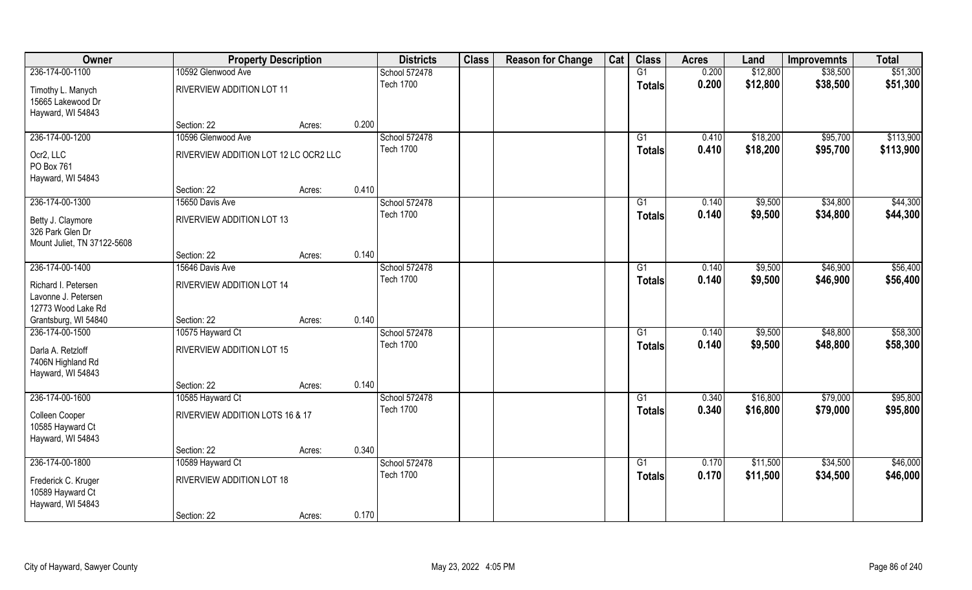| Owner                                                                | <b>Property Description</b>           |        |       | <b>Districts</b> | <b>Class</b> | <b>Reason for Change</b> | Cat | <b>Class</b>    | <b>Acres</b> | Land     | <b>Improvemnts</b> | <b>Total</b> |
|----------------------------------------------------------------------|---------------------------------------|--------|-------|------------------|--------------|--------------------------|-----|-----------------|--------------|----------|--------------------|--------------|
| 236-174-00-1100                                                      | 10592 Glenwood Ave                    |        |       | School 572478    |              |                          |     | G1              | 0.200        | \$12,800 | \$38,500           | \$51,300     |
| Timothy L. Manych<br>15665 Lakewood Dr<br>Hayward, WI 54843          | RIVERVIEW ADDITION LOT 11             |        |       | <b>Tech 1700</b> |              |                          |     | <b>Totals</b>   | 0.200        | \$12,800 | \$38,500           | \$51,300     |
|                                                                      | Section: 22                           | Acres: | 0.200 |                  |              |                          |     |                 |              |          |                    |              |
| 236-174-00-1200                                                      | 10596 Glenwood Ave                    |        |       | School 572478    |              |                          |     | G1              | 0.410        | \$18,200 | \$95,700           | \$113,900    |
| Ocr2, LLC<br>PO Box 761<br>Hayward, WI 54843                         | RIVERVIEW ADDITION LOT 12 LC OCR2 LLC |        |       | <b>Tech 1700</b> |              |                          |     | <b>Totals</b>   | 0.410        | \$18,200 | \$95,700           | \$113,900    |
|                                                                      | Section: 22                           | Acres: | 0.410 |                  |              |                          |     |                 |              |          |                    |              |
| 236-174-00-1300                                                      | 15650 Davis Ave                       |        |       | School 572478    |              |                          |     | G1              | 0.140        | \$9,500  | \$34,800           | \$44,300     |
| Betty J. Claymore<br>326 Park Glen Dr<br>Mount Juliet, TN 37122-5608 | RIVERVIEW ADDITION LOT 13             |        |       | <b>Tech 1700</b> |              |                          |     | <b>Totals</b>   | 0.140        | \$9,500  | \$34,800           | \$44,300     |
|                                                                      | Section: 22                           | Acres: | 0.140 |                  |              |                          |     |                 |              |          |                    |              |
| 236-174-00-1400                                                      | 15646 Davis Ave                       |        |       | School 572478    |              |                          |     | G1              | 0.140        | \$9,500  | \$46,900           | \$56,400     |
| Richard I. Petersen<br>Lavonne J. Petersen<br>12773 Wood Lake Rd     | RIVERVIEW ADDITION LOT 14             |        |       | <b>Tech 1700</b> |              |                          |     | Totals          | 0.140        | \$9,500  | \$46,900           | \$56,400     |
| Grantsburg, WI 54840                                                 | Section: 22                           | Acres: | 0.140 |                  |              |                          |     |                 |              |          |                    |              |
| 236-174-00-1500                                                      | 10575 Hayward Ct                      |        |       | School 572478    |              |                          |     | $\overline{G1}$ | 0.140        | \$9,500  | \$48,800           | \$58,300     |
| Darla A. Retzloff<br>7406N Highland Rd<br>Hayward, WI 54843          | RIVERVIEW ADDITION LOT 15             |        |       | <b>Tech 1700</b> |              |                          |     | <b>Totals</b>   | 0.140        | \$9,500  | \$48,800           | \$58,300     |
|                                                                      | Section: 22                           | Acres: | 0.140 |                  |              |                          |     |                 |              |          |                    |              |
| 236-174-00-1600                                                      | 10585 Hayward Ct                      |        |       | School 572478    |              |                          |     | G1              | 0.340        | \$16,800 | \$79,000           | \$95,800     |
| Colleen Cooper<br>10585 Hayward Ct<br>Hayward, WI 54843              | RIVERVIEW ADDITION LOTS 16 & 17       |        |       | <b>Tech 1700</b> |              |                          |     | <b>Totals</b>   | 0.340        | \$16,800 | \$79,000           | \$95,800     |
|                                                                      | Section: 22                           | Acres: | 0.340 |                  |              |                          |     |                 |              |          |                    |              |
| 236-174-00-1800                                                      | 10589 Hayward Ct                      |        |       | School 572478    |              |                          |     | $\overline{G1}$ | 0.170        | \$11,500 | \$34,500           | \$46,000     |
| Frederick C. Kruger<br>10589 Hayward Ct<br>Hayward, WI 54843         | RIVERVIEW ADDITION LOT 18             |        |       | <b>Tech 1700</b> |              |                          |     | <b>Totals</b>   | 0.170        | \$11,500 | \$34,500           | \$46,000     |
|                                                                      | Section: 22                           | Acres: | 0.170 |                  |              |                          |     |                 |              |          |                    |              |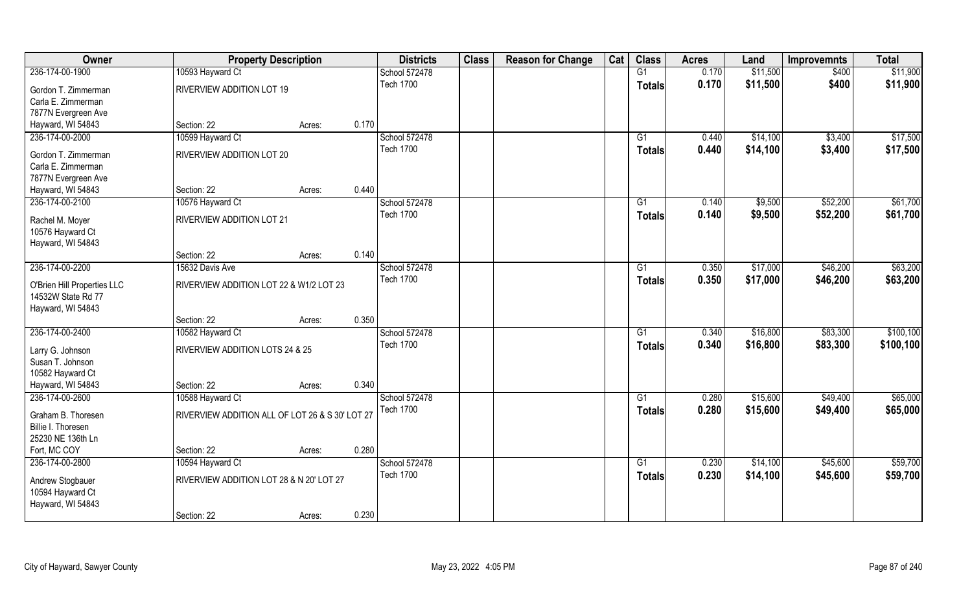| Owner                               | <b>Property Description</b>                     |        |       | <b>Districts</b>                  | <b>Class</b> | <b>Reason for Change</b> | Cat | <b>Class</b>  | <b>Acres</b> | Land     | <b>Improvemnts</b> | <b>Total</b> |
|-------------------------------------|-------------------------------------------------|--------|-------|-----------------------------------|--------------|--------------------------|-----|---------------|--------------|----------|--------------------|--------------|
| 236-174-00-1900                     | 10593 Hayward Ct                                |        |       | School 572478                     |              |                          |     | G1            | 0.170        | \$11,500 | \$400              | \$11,900     |
| Gordon T. Zimmerman                 | RIVERVIEW ADDITION LOT 19                       |        |       | <b>Tech 1700</b>                  |              |                          |     | <b>Totals</b> | 0.170        | \$11,500 | \$400              | \$11,900     |
| Carla E. Zimmerman                  |                                                 |        |       |                                   |              |                          |     |               |              |          |                    |              |
| 7877N Evergreen Ave                 |                                                 |        |       |                                   |              |                          |     |               |              |          |                    |              |
| Hayward, WI 54843                   | Section: 22                                     | Acres: | 0.170 |                                   |              |                          |     |               |              |          |                    |              |
| 236-174-00-2000                     | 10599 Hayward Ct                                |        |       | School 572478                     |              |                          |     | G1            | 0.440        | \$14,100 | \$3,400            | \$17,500     |
| Gordon T. Zimmerman                 | RIVERVIEW ADDITION LOT 20                       |        |       | <b>Tech 1700</b>                  |              |                          |     | <b>Totals</b> | 0.440        | \$14,100 | \$3,400            | \$17,500     |
| Carla E. Zimmerman                  |                                                 |        |       |                                   |              |                          |     |               |              |          |                    |              |
| 7877N Evergreen Ave                 |                                                 |        |       |                                   |              |                          |     |               |              |          |                    |              |
| Hayward, WI 54843                   | Section: 22                                     | Acres: | 0.440 |                                   |              |                          |     |               |              |          |                    |              |
| 236-174-00-2100                     | 10576 Hayward Ct                                |        |       | School 572478                     |              |                          |     | G1            | 0.140        | \$9,500  | \$52,200           | \$61,700     |
|                                     |                                                 |        |       | <b>Tech 1700</b>                  |              |                          |     | <b>Totals</b> | 0.140        | \$9,500  | \$52,200           | \$61,700     |
| Rachel M. Moyer<br>10576 Hayward Ct | RIVERVIEW ADDITION LOT 21                       |        |       |                                   |              |                          |     |               |              |          |                    |              |
| Hayward, WI 54843                   |                                                 |        |       |                                   |              |                          |     |               |              |          |                    |              |
|                                     | Section: 22                                     | Acres: | 0.140 |                                   |              |                          |     |               |              |          |                    |              |
| 236-174-00-2200                     | 15632 Davis Ave                                 |        |       | School 572478                     |              |                          |     | G1            | 0.350        | \$17,000 | \$46,200           | \$63,200     |
|                                     |                                                 |        |       | <b>Tech 1700</b>                  |              |                          |     | <b>Totals</b> | 0.350        | \$17,000 | \$46,200           | \$63,200     |
| O'Brien Hill Properties LLC         | RIVERVIEW ADDITION LOT 22 & W1/2 LOT 23         |        |       |                                   |              |                          |     |               |              |          |                    |              |
| 14532W State Rd 77                  |                                                 |        |       |                                   |              |                          |     |               |              |          |                    |              |
| Hayward, WI 54843                   |                                                 |        | 0.350 |                                   |              |                          |     |               |              |          |                    |              |
| 236-174-00-2400                     | Section: 22                                     | Acres: |       |                                   |              |                          |     | G1            | 0.340        | \$16,800 | \$83,300           | \$100, 100   |
|                                     | 10582 Hayward Ct                                |        |       | School 572478<br><b>Tech 1700</b> |              |                          |     |               |              |          |                    |              |
| Larry G. Johnson                    | RIVERVIEW ADDITION LOTS 24 & 25                 |        |       |                                   |              |                          |     | <b>Totals</b> | 0.340        | \$16,800 | \$83,300           | \$100,100    |
| Susan T. Johnson                    |                                                 |        |       |                                   |              |                          |     |               |              |          |                    |              |
| 10582 Hayward Ct                    |                                                 |        |       |                                   |              |                          |     |               |              |          |                    |              |
| Hayward, WI 54843                   | Section: 22                                     | Acres: | 0.340 |                                   |              |                          |     |               |              |          |                    |              |
| 236-174-00-2600                     | 10588 Hayward Ct                                |        |       | School 572478                     |              |                          |     | G1            | 0.280        | \$15,600 | \$49,400           | \$65,000     |
| Graham B. Thoresen                  | RIVERVIEW ADDITION ALL OF LOT 26 & S 30' LOT 27 |        |       | <b>Tech 1700</b>                  |              |                          |     | <b>Totals</b> | 0.280        | \$15,600 | \$49,400           | \$65,000     |
| Billie I. Thoresen                  |                                                 |        |       |                                   |              |                          |     |               |              |          |                    |              |
| 25230 NE 136th Ln                   |                                                 |        |       |                                   |              |                          |     |               |              |          |                    |              |
| Fort, MC COY                        | Section: 22                                     | Acres: | 0.280 |                                   |              |                          |     |               |              |          |                    |              |
| 236-174-00-2800                     | 10594 Hayward Ct                                |        |       | School 572478                     |              |                          |     | G1            | 0.230        | \$14,100 | \$45,600           | \$59,700     |
| Andrew Stogbauer                    | RIVERVIEW ADDITION LOT 28 & N 20' LOT 27        |        |       | <b>Tech 1700</b>                  |              |                          |     | <b>Totals</b> | 0.230        | \$14,100 | \$45,600           | \$59,700     |
| 10594 Hayward Ct                    |                                                 |        |       |                                   |              |                          |     |               |              |          |                    |              |
| Hayward, WI 54843                   |                                                 |        |       |                                   |              |                          |     |               |              |          |                    |              |
|                                     | Section: 22                                     | Acres: | 0.230 |                                   |              |                          |     |               |              |          |                    |              |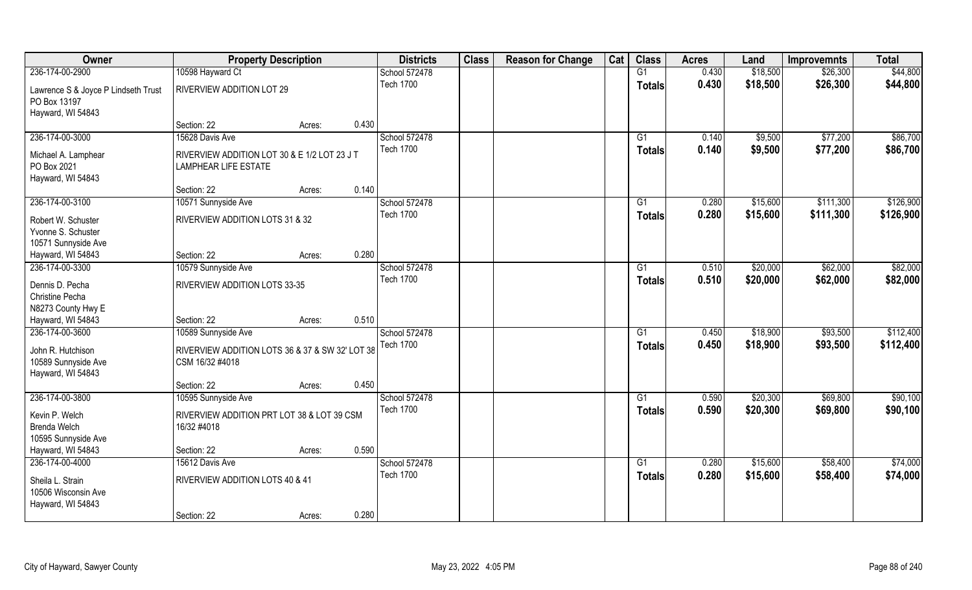| Owner                               | <b>Property Description</b>                     |        | <b>Districts</b> | <b>Class</b> | <b>Reason for Change</b> | Cat | <b>Class</b>  | <b>Acres</b> | Land     | <b>Improvemnts</b> | <b>Total</b> |
|-------------------------------------|-------------------------------------------------|--------|------------------|--------------|--------------------------|-----|---------------|--------------|----------|--------------------|--------------|
| 236-174-00-2900                     | 10598 Hayward Ct                                |        | School 572478    |              |                          |     | G1            | 0.430        | \$18,500 | \$26,300           | \$44,800     |
| Lawrence S & Joyce P Lindseth Trust | RIVERVIEW ADDITION LOT 29                       |        | <b>Tech 1700</b> |              |                          |     | <b>Totals</b> | 0.430        | \$18,500 | \$26,300           | \$44,800     |
| PO Box 13197                        |                                                 |        |                  |              |                          |     |               |              |          |                    |              |
| Hayward, WI 54843                   |                                                 |        |                  |              |                          |     |               |              |          |                    |              |
|                                     | Section: 22                                     | Acres: | 0.430            |              |                          |     |               |              |          |                    |              |
| 236-174-00-3000                     | 15628 Davis Ave                                 |        | School 572478    |              |                          |     | G1            | 0.140        | \$9,500  | \$77,200           | \$86,700     |
| Michael A. Lamphear                 | RIVERVIEW ADDITION LOT 30 & E 1/2 LOT 23 J T    |        | <b>Tech 1700</b> |              |                          |     | <b>Totals</b> | 0.140        | \$9,500  | \$77,200           | \$86,700     |
| PO Box 2021                         | <b>LAMPHEAR LIFE ESTATE</b>                     |        |                  |              |                          |     |               |              |          |                    |              |
| Hayward, WI 54843                   |                                                 |        |                  |              |                          |     |               |              |          |                    |              |
|                                     | Section: 22                                     | Acres: | 0.140            |              |                          |     |               |              |          |                    |              |
| 236-174-00-3100                     | 10571 Sunnyside Ave                             |        | School 572478    |              |                          |     | G1            | 0.280        | \$15,600 | \$111,300          | \$126,900    |
| Robert W. Schuster                  | RIVERVIEW ADDITION LOTS 31 & 32                 |        | <b>Tech 1700</b> |              |                          |     | <b>Totals</b> | 0.280        | \$15,600 | \$111,300          | \$126,900    |
| Yvonne S. Schuster                  |                                                 |        |                  |              |                          |     |               |              |          |                    |              |
| 10571 Sunnyside Ave                 |                                                 |        |                  |              |                          |     |               |              |          |                    |              |
| Hayward, WI 54843                   | Section: 22                                     | Acres: | 0.280            |              |                          |     |               |              |          |                    |              |
| 236-174-00-3300                     | 10579 Sunnyside Ave                             |        | School 572478    |              |                          |     | G1            | 0.510        | \$20,000 | \$62,000           | \$82,000     |
| Dennis D. Pecha                     | RIVERVIEW ADDITION LOTS 33-35                   |        | <b>Tech 1700</b> |              |                          |     | <b>Totals</b> | 0.510        | \$20,000 | \$62,000           | \$82,000     |
| Christine Pecha                     |                                                 |        |                  |              |                          |     |               |              |          |                    |              |
| N8273 County Hwy E                  |                                                 |        |                  |              |                          |     |               |              |          |                    |              |
| Hayward, WI 54843                   | Section: 22                                     | Acres: | 0.510            |              |                          |     |               |              |          |                    |              |
| 236-174-00-3600                     | 10589 Sunnyside Ave                             |        | School 572478    |              |                          |     | G1            | 0.450        | \$18,900 | \$93,500           | \$112,400    |
| John R. Hutchison                   | RIVERVIEW ADDITION LOTS 36 & 37 & SW 32' LOT 38 |        | <b>Tech 1700</b> |              |                          |     | <b>Totals</b> | 0.450        | \$18,900 | \$93,500           | \$112,400    |
| 10589 Sunnyside Ave                 | CSM 16/32 #4018                                 |        |                  |              |                          |     |               |              |          |                    |              |
| Hayward, WI 54843                   |                                                 |        |                  |              |                          |     |               |              |          |                    |              |
|                                     | Section: 22                                     | Acres: | 0.450            |              |                          |     |               |              |          |                    |              |
| 236-174-00-3800                     | 10595 Sunnyside Ave                             |        | School 572478    |              |                          |     | G1            | 0.590        | \$20,300 | \$69,800           | \$90,100     |
| Kevin P. Welch                      | RIVERVIEW ADDITION PRT LOT 38 & LOT 39 CSM      |        | <b>Tech 1700</b> |              |                          |     | <b>Totals</b> | 0.590        | \$20,300 | \$69,800           | \$90,100     |
| <b>Brenda Welch</b>                 | 16/32 #4018                                     |        |                  |              |                          |     |               |              |          |                    |              |
| 10595 Sunnyside Ave                 |                                                 |        |                  |              |                          |     |               |              |          |                    |              |
| Hayward, WI 54843                   | Section: 22                                     | Acres: | 0.590            |              |                          |     |               |              |          |                    |              |
| 236-174-00-4000                     | 15612 Davis Ave                                 |        | School 572478    |              |                          |     | G1            | 0.280        | \$15,600 | \$58,400           | \$74,000     |
| Sheila L. Strain                    | RIVERVIEW ADDITION LOTS 40 & 41                 |        | <b>Tech 1700</b> |              |                          |     | <b>Totals</b> | 0.280        | \$15,600 | \$58,400           | \$74,000     |
| 10506 Wisconsin Ave                 |                                                 |        |                  |              |                          |     |               |              |          |                    |              |
| Hayward, WI 54843                   |                                                 |        |                  |              |                          |     |               |              |          |                    |              |
|                                     | Section: 22                                     | Acres: | 0.280            |              |                          |     |               |              |          |                    |              |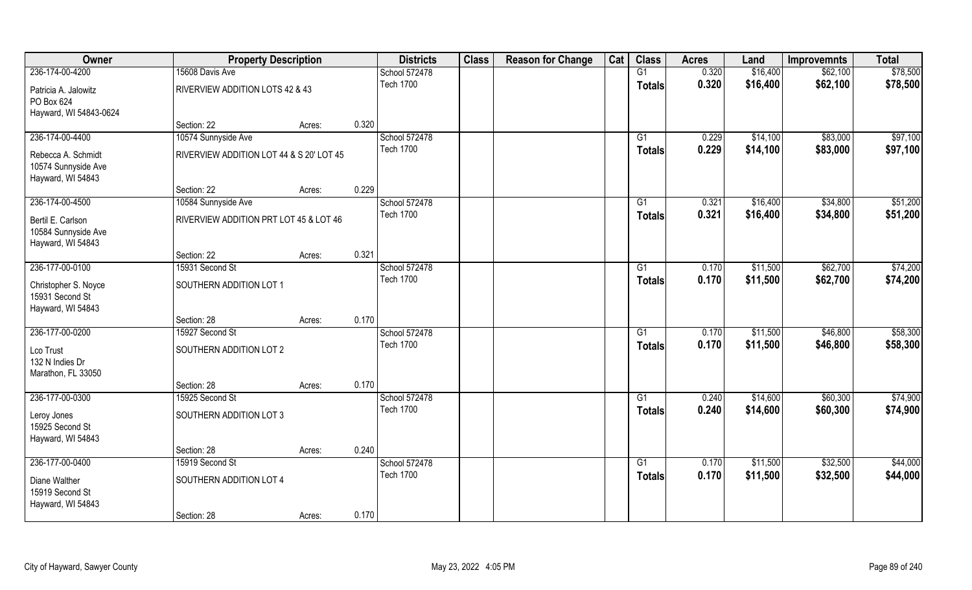| Owner                                                          | <b>Property Description</b>              |        |       | <b>Districts</b> | <b>Class</b> | <b>Reason for Change</b> | Cat | <b>Class</b>    | <b>Acres</b> | Land     | <b>Improvemnts</b> | <b>Total</b> |
|----------------------------------------------------------------|------------------------------------------|--------|-------|------------------|--------------|--------------------------|-----|-----------------|--------------|----------|--------------------|--------------|
| 236-174-00-4200                                                | 15608 Davis Ave                          |        |       | School 572478    |              |                          |     | G1              | 0.320        | \$16,400 | \$62,100           | \$78,500     |
| Patricia A. Jalowitz<br>PO Box 624<br>Hayward, WI 54843-0624   | RIVERVIEW ADDITION LOTS 42 & 43          |        |       | <b>Tech 1700</b> |              |                          |     | <b>Totals</b>   | 0.320        | \$16,400 | \$62,100           | \$78,500     |
|                                                                | Section: 22                              | Acres: | 0.320 |                  |              |                          |     |                 |              |          |                    |              |
| 236-174-00-4400                                                | 10574 Sunnyside Ave                      |        |       | School 572478    |              |                          |     | G1              | 0.229        | \$14,100 | \$83,000           | \$97,100     |
| Rebecca A. Schmidt<br>10574 Sunnyside Ave<br>Hayward, WI 54843 | RIVERVIEW ADDITION LOT 44 & S 20' LOT 45 |        |       | <b>Tech 1700</b> |              |                          |     | <b>Totals</b>   | 0.229        | \$14,100 | \$83,000           | \$97,100     |
|                                                                | Section: 22                              | Acres: | 0.229 |                  |              |                          |     |                 |              |          |                    |              |
| 236-174-00-4500                                                | 10584 Sunnyside Ave                      |        |       | School 572478    |              |                          |     | G1              | 0.321        | \$16,400 | \$34,800           | \$51,200     |
| Bertil E. Carlson<br>10584 Sunnyside Ave<br>Hayward, WI 54843  | RIVERVIEW ADDITION PRT LOT 45 & LOT 46   |        |       | <b>Tech 1700</b> |              |                          |     | <b>Totals</b>   | 0.321        | \$16,400 | \$34,800           | \$51,200     |
|                                                                | Section: 22                              | Acres: | 0.321 |                  |              |                          |     |                 |              |          |                    |              |
| 236-177-00-0100                                                | 15931 Second St                          |        |       | School 572478    |              |                          |     | G1              | 0.170        | \$11,500 | \$62,700           | \$74,200     |
| Christopher S. Noyce<br>15931 Second St<br>Hayward, WI 54843   | SOUTHERN ADDITION LOT 1                  |        |       | <b>Tech 1700</b> |              |                          |     | <b>Totals</b>   | 0.170        | \$11,500 | \$62,700           | \$74,200     |
|                                                                | Section: 28                              | Acres: | 0.170 |                  |              |                          |     |                 |              |          |                    |              |
| 236-177-00-0200                                                | 15927 Second St                          |        |       | School 572478    |              |                          |     | $\overline{G1}$ | 0.170        | \$11,500 | \$46,800           | \$58,300     |
| Lco Trust<br>132 N Indies Dr<br>Marathon, FL 33050             | SOUTHERN ADDITION LOT 2                  |        |       | <b>Tech 1700</b> |              |                          |     | Totals          | 0.170        | \$11,500 | \$46,800           | \$58,300     |
|                                                                | Section: 28                              | Acres: | 0.170 |                  |              |                          |     |                 |              |          |                    |              |
| 236-177-00-0300                                                | 15925 Second St                          |        |       | School 572478    |              |                          |     | G1              | 0.240        | \$14,600 | \$60,300           | \$74,900     |
| Leroy Jones<br>15925 Second St<br>Hayward, WI 54843            | SOUTHERN ADDITION LOT 3                  |        |       | <b>Tech 1700</b> |              |                          |     | <b>Totals</b>   | 0.240        | \$14,600 | \$60,300           | \$74,900     |
|                                                                | Section: 28                              | Acres: | 0.240 |                  |              |                          |     |                 |              |          |                    |              |
| 236-177-00-0400                                                | 15919 Second St                          |        |       | School 572478    |              |                          |     | $\overline{G1}$ | 0.170        | \$11,500 | \$32,500           | \$44,000     |
| Diane Walther<br>15919 Second St<br>Hayward, WI 54843          | SOUTHERN ADDITION LOT 4                  |        |       | <b>Tech 1700</b> |              |                          |     | <b>Totals</b>   | 0.170        | \$11,500 | \$32,500           | \$44,000     |
|                                                                | Section: 28                              | Acres: | 0.170 |                  |              |                          |     |                 |              |          |                    |              |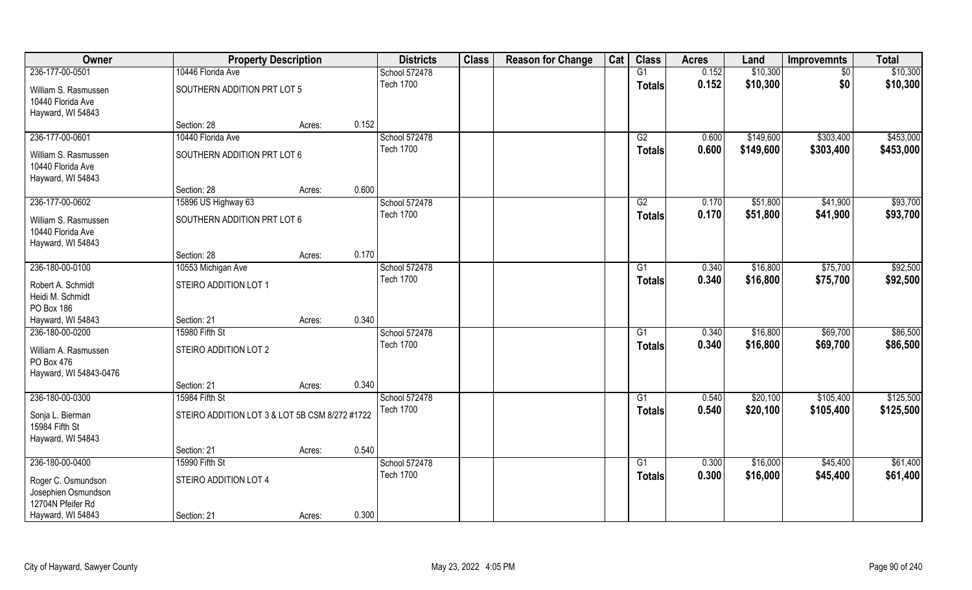| Owner                                     | <b>Property Description</b>                    |        |       | <b>Districts</b>                  | <b>Class</b> | <b>Reason for Change</b> | Cat | <b>Class</b>    | <b>Acres</b>   | Land                 | <b>Improvemnts</b>   | <b>Total</b> |
|-------------------------------------------|------------------------------------------------|--------|-------|-----------------------------------|--------------|--------------------------|-----|-----------------|----------------|----------------------|----------------------|--------------|
| 236-177-00-0501                           | 10446 Florida Ave                              |        |       | School 572478                     |              |                          |     | G1              | 0.152          | \$10,300             | $\sqrt{6}$           | \$10,300     |
| William S. Rasmussen                      | SOUTHERN ADDITION PRT LOT 5                    |        |       | <b>Tech 1700</b>                  |              |                          |     | <b>Totals</b>   | 0.152          | \$10,300             | \$0                  | \$10,300     |
| 10440 Florida Ave                         |                                                |        |       |                                   |              |                          |     |                 |                |                      |                      |              |
| Hayward, WI 54843                         |                                                |        |       |                                   |              |                          |     |                 |                |                      |                      |              |
|                                           | Section: 28                                    | Acres: | 0.152 |                                   |              |                          |     |                 |                |                      |                      |              |
| 236-177-00-0601                           | 10440 Florida Ave                              |        |       | School 572478                     |              |                          |     | G2              | 0.600          | \$149,600            | \$303,400            | \$453,000    |
| William S. Rasmussen                      | SOUTHERN ADDITION PRT LOT 6                    |        |       | <b>Tech 1700</b>                  |              |                          |     | <b>Totals</b>   | 0.600          | \$149,600            | \$303,400            | \$453,000    |
| 10440 Florida Ave                         |                                                |        |       |                                   |              |                          |     |                 |                |                      |                      |              |
| Hayward, WI 54843                         |                                                |        |       |                                   |              |                          |     |                 |                |                      |                      |              |
|                                           | Section: 28                                    | Acres: | 0.600 |                                   |              |                          |     |                 |                |                      |                      |              |
| 236-177-00-0602                           | 15896 US Highway 63                            |        |       | School 572478                     |              |                          |     | G2              | 0.170          | \$51,800             | \$41,900             | \$93,700     |
| William S. Rasmussen                      | SOUTHERN ADDITION PRT LOT 6                    |        |       | <b>Tech 1700</b>                  |              |                          |     | <b>Totals</b>   | 0.170          | \$51,800             | \$41,900             | \$93,700     |
| 10440 Florida Ave                         |                                                |        |       |                                   |              |                          |     |                 |                |                      |                      |              |
| Hayward, WI 54843                         |                                                |        |       |                                   |              |                          |     |                 |                |                      |                      |              |
| 236-180-00-0100                           | Section: 28                                    | Acres: | 0.170 |                                   |              |                          |     |                 |                |                      |                      | \$92,500     |
|                                           | 10553 Michigan Ave                             |        |       | School 572478<br><b>Tech 1700</b> |              |                          |     | G1              | 0.340<br>0.340 | \$16,800<br>\$16,800 | \$75,700<br>\$75,700 | \$92,500     |
| Robert A. Schmidt                         | STEIRO ADDITION LOT 1                          |        |       |                                   |              |                          |     | <b>Totals</b>   |                |                      |                      |              |
| Heidi M. Schmidt                          |                                                |        |       |                                   |              |                          |     |                 |                |                      |                      |              |
| PO Box 186                                |                                                |        | 0.340 |                                   |              |                          |     |                 |                |                      |                      |              |
| Hayward, WI 54843<br>236-180-00-0200      | Section: 21<br>15980 Fifth St                  | Acres: |       | School 572478                     |              |                          |     | $\overline{G1}$ | 0.340          | \$16,800             | \$69,700             | \$86,500     |
|                                           |                                                |        |       | <b>Tech 1700</b>                  |              |                          |     | <b>Totals</b>   | 0.340          | \$16,800             | \$69,700             | \$86,500     |
| William A. Rasmussen                      | STEIRO ADDITION LOT 2                          |        |       |                                   |              |                          |     |                 |                |                      |                      |              |
| PO Box 476                                |                                                |        |       |                                   |              |                          |     |                 |                |                      |                      |              |
| Hayward, WI 54843-0476                    | Section: 21                                    | Acres: | 0.340 |                                   |              |                          |     |                 |                |                      |                      |              |
| 236-180-00-0300                           | 15984 Fifth St                                 |        |       | School 572478                     |              |                          |     | G1              | 0.540          | \$20,100             | \$105,400            | \$125,500    |
|                                           |                                                |        |       | <b>Tech 1700</b>                  |              |                          |     | <b>Totals</b>   | 0.540          | \$20,100             | \$105,400            | \$125,500    |
| Sonja L. Bierman                          | STEIRO ADDITION LOT 3 & LOT 5B CSM 8/272 #1722 |        |       |                                   |              |                          |     |                 |                |                      |                      |              |
| 15984 Fifth St<br>Hayward, WI 54843       |                                                |        |       |                                   |              |                          |     |                 |                |                      |                      |              |
|                                           | Section: 21                                    | Acres: | 0.540 |                                   |              |                          |     |                 |                |                      |                      |              |
| 236-180-00-0400                           | 15990 Fifth St                                 |        |       | School 572478                     |              |                          |     | G1              | 0.300          | \$16,000             | \$45,400             | \$61,400     |
|                                           |                                                |        |       | <b>Tech 1700</b>                  |              |                          |     | <b>Totals</b>   | 0.300          | \$16,000             | \$45,400             | \$61,400     |
| Roger C. Osmundson<br>Josephien Osmundson | STEIRO ADDITION LOT 4                          |        |       |                                   |              |                          |     |                 |                |                      |                      |              |
| 12704N Pfeifer Rd                         |                                                |        |       |                                   |              |                          |     |                 |                |                      |                      |              |
| Hayward, WI 54843                         | Section: 21                                    | Acres: | 0.300 |                                   |              |                          |     |                 |                |                      |                      |              |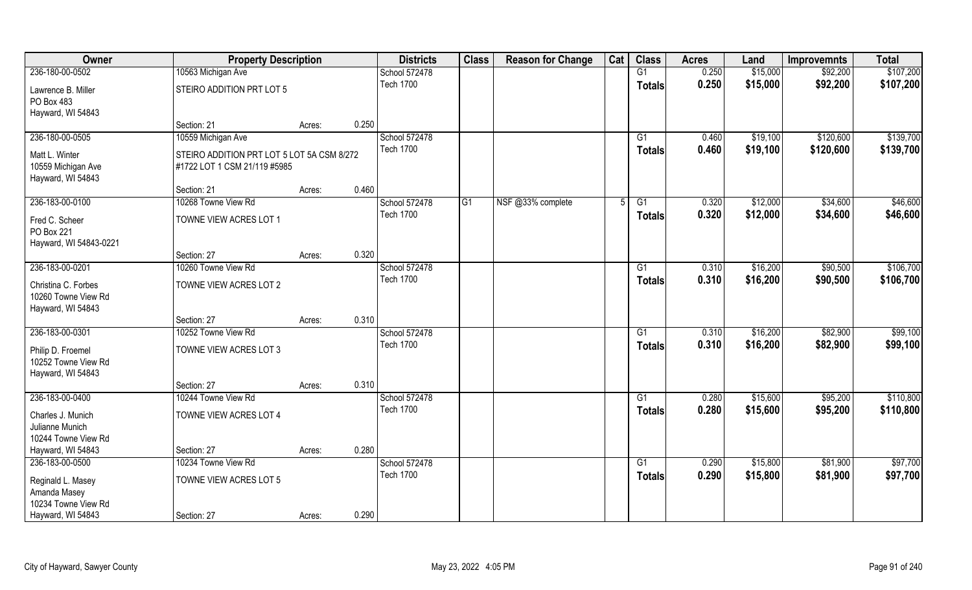| Owner                                                           | <b>Property Description</b>                                                |        |       | <b>Districts</b>                  | <b>Class</b>   | <b>Reason for Change</b> | Cat | <b>Class</b>        | <b>Acres</b>   | Land                 | <b>Improvemnts</b>     | <b>Total</b>           |
|-----------------------------------------------------------------|----------------------------------------------------------------------------|--------|-------|-----------------------------------|----------------|--------------------------|-----|---------------------|----------------|----------------------|------------------------|------------------------|
| 236-180-00-0502                                                 | 10563 Michigan Ave                                                         |        |       | School 572478                     |                |                          |     | G1                  | 0.250          | \$15,000             | \$92,200               | \$107,200              |
| Lawrence B. Miller<br>PO Box 483<br>Hayward, WI 54843           | STEIRO ADDITION PRT LOT 5                                                  |        |       | <b>Tech 1700</b>                  |                |                          |     | <b>Totals</b>       | 0.250          | \$15,000             | \$92,200               | \$107,200              |
|                                                                 | Section: 21                                                                | Acres: | 0.250 |                                   |                |                          |     |                     |                |                      |                        |                        |
| 236-180-00-0505                                                 | 10559 Michigan Ave                                                         |        |       | School 572478<br><b>Tech 1700</b> |                |                          |     | G1<br><b>Totals</b> | 0.460<br>0.460 | \$19,100<br>\$19,100 | \$120,600<br>\$120,600 | \$139,700<br>\$139,700 |
| Matt L. Winter<br>10559 Michigan Ave<br>Hayward, WI 54843       | STEIRO ADDITION PRT LOT 5 LOT 5A CSM 8/272<br>#1722 LOT 1 CSM 21/119 #5985 |        |       |                                   |                |                          |     |                     |                |                      |                        |                        |
|                                                                 | Section: 21                                                                | Acres: | 0.460 |                                   |                |                          |     |                     |                |                      |                        |                        |
| 236-183-00-0100                                                 | 10268 Towne View Rd                                                        |        |       | School 572478                     | G <sub>1</sub> | NSF @33% complete        |     | G1                  | 0.320          | \$12,000             | \$34,600               | \$46,600               |
| Fred C. Scheer<br>PO Box 221<br>Hayward, WI 54843-0221          | TOWNE VIEW ACRES LOT 1                                                     |        |       | <b>Tech 1700</b>                  |                |                          |     | <b>Totals</b>       | 0.320          | \$12,000             | \$34,600               | \$46,600               |
|                                                                 | Section: 27                                                                | Acres: | 0.320 |                                   |                |                          |     |                     |                |                      |                        |                        |
| 236-183-00-0201                                                 | 10260 Towne View Rd                                                        |        |       | School 572478                     |                |                          |     | G1                  | 0.310          | \$16,200             | \$90,500               | \$106,700              |
| Christina C. Forbes<br>10260 Towne View Rd<br>Hayward, WI 54843 | TOWNE VIEW ACRES LOT 2                                                     |        |       | <b>Tech 1700</b>                  |                |                          |     | <b>Totals</b>       | 0.310          | \$16,200             | \$90,500               | \$106,700              |
|                                                                 | Section: 27                                                                | Acres: | 0.310 |                                   |                |                          |     |                     |                |                      |                        |                        |
| 236-183-00-0301                                                 | 10252 Towne View Rd                                                        |        |       | School 572478<br><b>Tech 1700</b> |                |                          |     | $\overline{G1}$     | 0.310<br>0.310 | \$16,200             | \$82,900               | \$99,100               |
| Philip D. Froemel<br>10252 Towne View Rd<br>Hayward, WI 54843   | TOWNE VIEW ACRES LOT 3                                                     |        |       |                                   |                |                          |     | <b>Totals</b>       |                | \$16,200             | \$82,900               | \$99,100               |
|                                                                 | Section: 27                                                                | Acres: | 0.310 |                                   |                |                          |     |                     |                |                      |                        |                        |
| 236-183-00-0400                                                 | 10244 Towne View Rd                                                        |        |       | School 572478                     |                |                          |     | G1                  | 0.280          | \$15,600             | \$95,200               | \$110,800              |
| Charles J. Munich<br>Julianne Munich<br>10244 Towne View Rd     | TOWNE VIEW ACRES LOT 4                                                     |        |       | <b>Tech 1700</b>                  |                |                          |     | <b>Totals</b>       | 0.280          | \$15,600             | \$95,200               | \$110,800              |
| Hayward, WI 54843                                               | Section: 27                                                                | Acres: | 0.280 |                                   |                |                          |     |                     |                |                      |                        |                        |
| 236-183-00-0500                                                 | 10234 Towne View Rd                                                        |        |       | School 572478                     |                |                          |     | $\overline{G1}$     | 0.290          | \$15,800             | \$81,900               | \$97,700               |
| Reginald L. Masey<br>Amanda Masey                               | TOWNE VIEW ACRES LOT 5                                                     |        |       | <b>Tech 1700</b>                  |                |                          |     | <b>Totals</b>       | 0.290          | \$15,800             | \$81,900               | \$97,700               |
| 10234 Towne View Rd                                             |                                                                            |        |       |                                   |                |                          |     |                     |                |                      |                        |                        |
| Hayward, WI 54843                                               | Section: 27                                                                | Acres: | 0.290 |                                   |                |                          |     |                     |                |                      |                        |                        |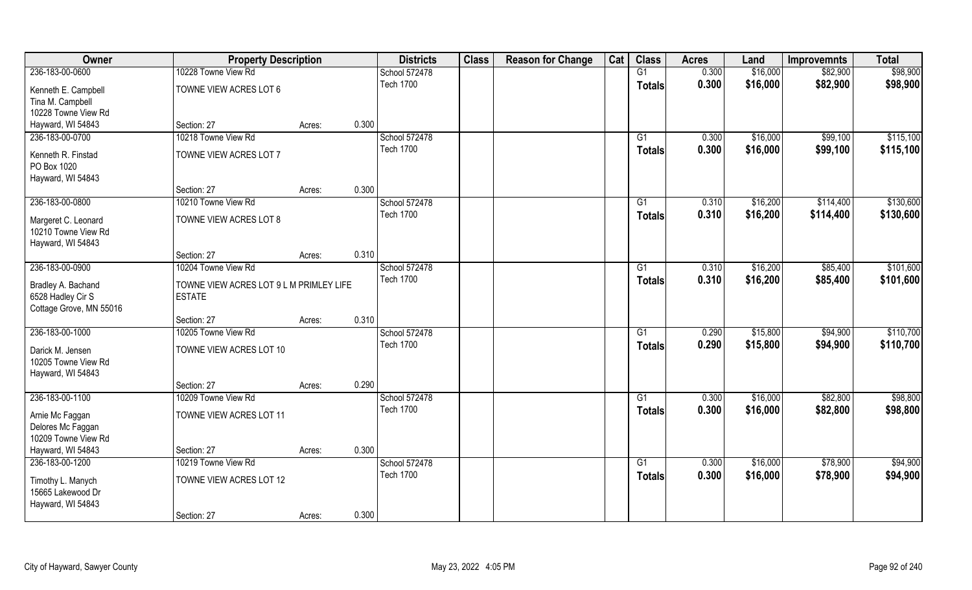| Owner                   | <b>Property Description</b>             |        |       | <b>Districts</b> | <b>Class</b> | <b>Reason for Change</b> | Cat | <b>Class</b>    | <b>Acres</b> | Land     | <b>Improvemnts</b> | <b>Total</b> |
|-------------------------|-----------------------------------------|--------|-------|------------------|--------------|--------------------------|-----|-----------------|--------------|----------|--------------------|--------------|
| 236-183-00-0600         | 10228 Towne View Rd                     |        |       | School 572478    |              |                          |     | G1              | 0.300        | \$16,000 | \$82,900           | \$98,900     |
| Kenneth E. Campbell     | TOWNE VIEW ACRES LOT 6                  |        |       | <b>Tech 1700</b> |              |                          |     | <b>Totals</b>   | 0.300        | \$16,000 | \$82,900           | \$98,900     |
| Tina M. Campbell        |                                         |        |       |                  |              |                          |     |                 |              |          |                    |              |
| 10228 Towne View Rd     |                                         |        |       |                  |              |                          |     |                 |              |          |                    |              |
| Hayward, WI 54843       | Section: 27                             | Acres: | 0.300 |                  |              |                          |     |                 |              |          |                    |              |
| 236-183-00-0700         | 10218 Towne View Rd                     |        |       | School 572478    |              |                          |     | G1              | 0.300        | \$16,000 | \$99,100           | \$115,100    |
| Kenneth R. Finstad      | TOWNE VIEW ACRES LOT 7                  |        |       | <b>Tech 1700</b> |              |                          |     | <b>Totals</b>   | 0.300        | \$16,000 | \$99,100           | \$115,100    |
| PO Box 1020             |                                         |        |       |                  |              |                          |     |                 |              |          |                    |              |
| Hayward, WI 54843       |                                         |        |       |                  |              |                          |     |                 |              |          |                    |              |
|                         | Section: 27                             | Acres: | 0.300 |                  |              |                          |     |                 |              |          |                    |              |
| 236-183-00-0800         | 10210 Towne View Rd                     |        |       | School 572478    |              |                          |     | G1              | 0.310        | \$16,200 | \$114,400          | \$130,600    |
| Margeret C. Leonard     | TOWNE VIEW ACRES LOT 8                  |        |       | <b>Tech 1700</b> |              |                          |     | <b>Totals</b>   | 0.310        | \$16,200 | \$114,400          | \$130,600    |
| 10210 Towne View Rd     |                                         |        |       |                  |              |                          |     |                 |              |          |                    |              |
| Hayward, WI 54843       |                                         |        |       |                  |              |                          |     |                 |              |          |                    |              |
|                         | Section: 27                             | Acres: | 0.310 |                  |              |                          |     |                 |              |          |                    |              |
| 236-183-00-0900         | 10204 Towne View Rd                     |        |       | School 572478    |              |                          |     | G1              | 0.310        | \$16,200 | \$85,400           | \$101,600    |
| Bradley A. Bachand      | TOWNE VIEW ACRES LOT 9 L M PRIMLEY LIFE |        |       | <b>Tech 1700</b> |              |                          |     | <b>Totals</b>   | 0.310        | \$16,200 | \$85,400           | \$101,600    |
| 6528 Hadley Cir S       | <b>ESTATE</b>                           |        |       |                  |              |                          |     |                 |              |          |                    |              |
| Cottage Grove, MN 55016 |                                         |        |       |                  |              |                          |     |                 |              |          |                    |              |
|                         | Section: 27                             | Acres: | 0.310 |                  |              |                          |     |                 |              |          |                    |              |
| 236-183-00-1000         | 10205 Towne View Rd                     |        |       | School 572478    |              |                          |     | G1              | 0.290        | \$15,800 | \$94,900           | \$110,700    |
| Darick M. Jensen        | TOWNE VIEW ACRES LOT 10                 |        |       | <b>Tech 1700</b> |              |                          |     | <b>Totals</b>   | 0.290        | \$15,800 | \$94,900           | \$110,700    |
| 10205 Towne View Rd     |                                         |        |       |                  |              |                          |     |                 |              |          |                    |              |
| Hayward, WI 54843       |                                         |        |       |                  |              |                          |     |                 |              |          |                    |              |
|                         | Section: 27                             | Acres: | 0.290 |                  |              |                          |     |                 |              |          |                    |              |
| 236-183-00-1100         | 10209 Towne View Rd                     |        |       | School 572478    |              |                          |     | G1              | 0.300        | \$16,000 | \$82,800           | \$98,800     |
| Arnie Mc Faggan         | TOWNE VIEW ACRES LOT 11                 |        |       | <b>Tech 1700</b> |              |                          |     | <b>Totals</b>   | 0.300        | \$16,000 | \$82,800           | \$98,800     |
| Delores Mc Faggan       |                                         |        |       |                  |              |                          |     |                 |              |          |                    |              |
| 10209 Towne View Rd     |                                         |        |       |                  |              |                          |     |                 |              |          |                    |              |
| Hayward, WI 54843       | Section: 27                             | Acres: | 0.300 |                  |              |                          |     |                 |              |          |                    |              |
| 236-183-00-1200         | 10219 Towne View Rd                     |        |       | School 572478    |              |                          |     | $\overline{G1}$ | 0.300        | \$16,000 | \$78,900           | \$94,900     |
| Timothy L. Manych       | TOWNE VIEW ACRES LOT 12                 |        |       | <b>Tech 1700</b> |              |                          |     | <b>Totals</b>   | 0.300        | \$16,000 | \$78,900           | \$94,900     |
| 15665 Lakewood Dr       |                                         |        |       |                  |              |                          |     |                 |              |          |                    |              |
| Hayward, WI 54843       |                                         |        |       |                  |              |                          |     |                 |              |          |                    |              |
|                         | Section: 27                             | Acres: | 0.300 |                  |              |                          |     |                 |              |          |                    |              |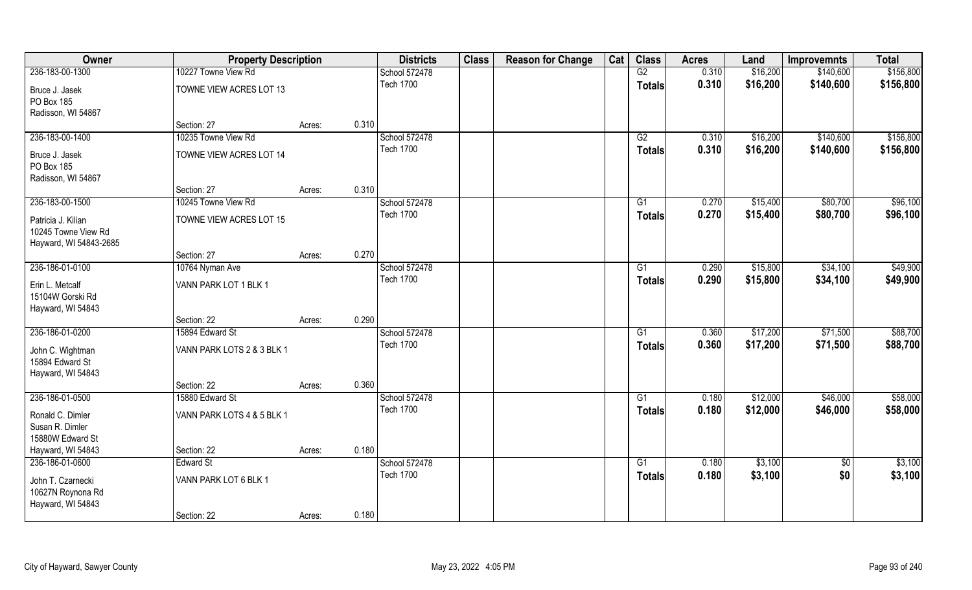| Owner                        | <b>Property Description</b>    |        |       | <b>Districts</b>                  | <b>Class</b> | <b>Reason for Change</b> | Cat | <b>Class</b>    | <b>Acres</b>   | Land     | <b>Improvemnts</b> | <b>Total</b> |
|------------------------------|--------------------------------|--------|-------|-----------------------------------|--------------|--------------------------|-----|-----------------|----------------|----------|--------------------|--------------|
| 236-183-00-1300              | 10227 Towne View Rd            |        |       | School 572478                     |              |                          |     | G2              | 0.310          | \$16,200 | \$140,600          | \$156,800    |
| Bruce J. Jasek<br>PO Box 185 | TOWNE VIEW ACRES LOT 13        |        |       | <b>Tech 1700</b>                  |              |                          |     | <b>Totals</b>   | 0.310          | \$16,200 | \$140,600          | \$156,800    |
| Radisson, WI 54867           |                                |        |       |                                   |              |                          |     |                 |                |          |                    |              |
|                              | Section: 27                    | Acres: | 0.310 |                                   |              |                          |     |                 |                |          |                    |              |
| 236-183-00-1400              | 10235 Towne View Rd            |        |       | School 572478                     |              |                          |     | G2              | 0.310          | \$16,200 | \$140,600          | \$156,800    |
| Bruce J. Jasek               | TOWNE VIEW ACRES LOT 14        |        |       | <b>Tech 1700</b>                  |              |                          |     | Totals          | 0.310          | \$16,200 | \$140,600          | \$156,800    |
| PO Box 185                   |                                |        |       |                                   |              |                          |     |                 |                |          |                    |              |
| Radisson, WI 54867           |                                |        |       |                                   |              |                          |     |                 |                |          |                    |              |
|                              | Section: 27                    | Acres: | 0.310 |                                   |              |                          |     |                 |                |          |                    |              |
| 236-183-00-1500              | 10245 Towne View Rd            |        |       | School 572478                     |              |                          |     | G1              | 0.270          | \$15,400 | \$80,700           | \$96,100     |
| Patricia J. Kilian           | TOWNE VIEW ACRES LOT 15        |        |       | <b>Tech 1700</b>                  |              |                          |     | <b>Totals</b>   | 0.270          | \$15,400 | \$80,700           | \$96,100     |
| 10245 Towne View Rd          |                                |        |       |                                   |              |                          |     |                 |                |          |                    |              |
| Hayward, WI 54843-2685       |                                |        |       |                                   |              |                          |     |                 |                |          |                    |              |
|                              | Section: 27                    | Acres: | 0.270 |                                   |              |                          |     |                 |                |          |                    |              |
| 236-186-01-0100              | 10764 Nyman Ave                |        |       | School 572478                     |              |                          |     | G1              | 0.290          | \$15,800 | \$34,100           | \$49,900     |
| Erin L. Metcalf              | VANN PARK LOT 1 BLK 1          |        |       | <b>Tech 1700</b>                  |              |                          |     | <b>Totals</b>   | 0.290          | \$15,800 | \$34,100           | \$49,900     |
| 15104W Gorski Rd             |                                |        |       |                                   |              |                          |     |                 |                |          |                    |              |
| Hayward, WI 54843            |                                |        |       |                                   |              |                          |     |                 |                |          |                    |              |
| 236-186-01-0200              | Section: 22<br>15894 Edward St | Acres: | 0.290 |                                   |              |                          |     | $\overline{G1}$ | 0.360          |          | \$71,500           | \$88,700     |
|                              |                                |        |       | School 572478<br><b>Tech 1700</b> |              |                          |     |                 |                | \$17,200 |                    |              |
| John C. Wightman             | VANN PARK LOTS 2 & 3 BLK 1     |        |       |                                   |              |                          |     | <b>Totals</b>   | 0.360          | \$17,200 | \$71,500           | \$88,700     |
| 15894 Edward St              |                                |        |       |                                   |              |                          |     |                 |                |          |                    |              |
| Hayward, WI 54843            |                                |        |       |                                   |              |                          |     |                 |                |          |                    |              |
|                              | Section: 22                    | Acres: | 0.360 |                                   |              |                          |     |                 |                |          |                    |              |
| 236-186-01-0500              | 15880 Edward St                |        |       | School 572478<br><b>Tech 1700</b> |              |                          |     | G1              | 0.180<br>0.180 | \$12,000 | \$46,000           | \$58,000     |
| Ronald C. Dimler             | VANN PARK LOTS 4 & 5 BLK 1     |        |       |                                   |              |                          |     | <b>Totals</b>   |                | \$12,000 | \$46,000           | \$58,000     |
| Susan R. Dimler              |                                |        |       |                                   |              |                          |     |                 |                |          |                    |              |
| 15880W Edward St             |                                |        |       |                                   |              |                          |     |                 |                |          |                    |              |
| Hayward, WI 54843            | Section: 22                    | Acres: | 0.180 |                                   |              |                          |     |                 |                |          |                    |              |
| 236-186-01-0600              | <b>Edward St</b>               |        |       | School 572478<br><b>Tech 1700</b> |              |                          |     | G1              | 0.180          | \$3,100  | $\overline{50}$    | \$3,100      |
| John T. Czarnecki            | VANN PARK LOT 6 BLK 1          |        |       |                                   |              |                          |     | <b>Totals</b>   | 0.180          | \$3,100  | \$0                | \$3,100      |
| 10627N Roynona Rd            |                                |        |       |                                   |              |                          |     |                 |                |          |                    |              |
| Hayward, WI 54843            |                                |        |       |                                   |              |                          |     |                 |                |          |                    |              |
|                              | Section: 22                    | Acres: | 0.180 |                                   |              |                          |     |                 |                |          |                    |              |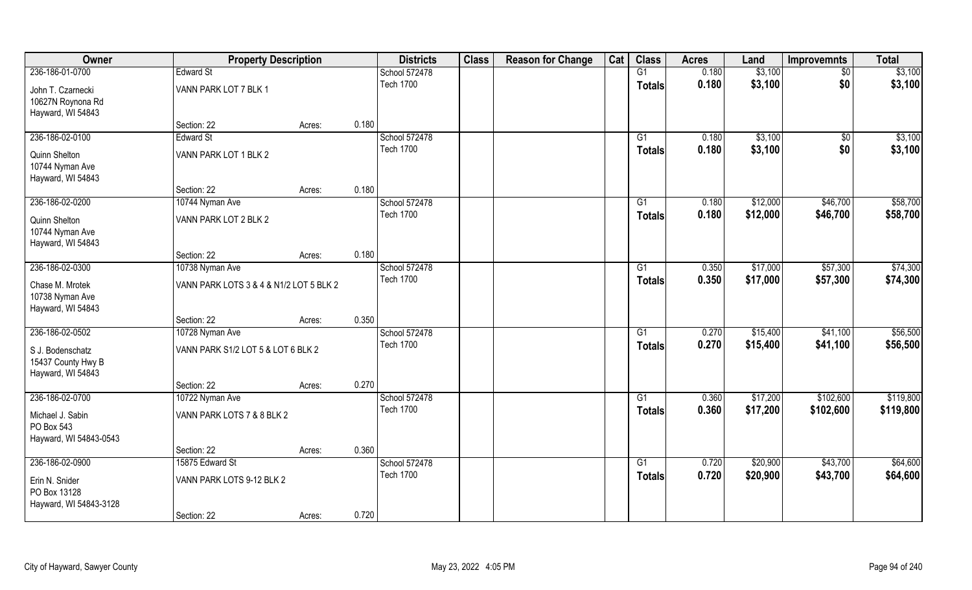| Owner                  | <b>Property Description</b>             |        |       | <b>Districts</b>                  | <b>Class</b> | <b>Reason for Change</b> | Cat | <b>Class</b>    | <b>Acres</b>   | Land                 | <b>Improvemnts</b>     | <b>Total</b>           |
|------------------------|-----------------------------------------|--------|-------|-----------------------------------|--------------|--------------------------|-----|-----------------|----------------|----------------------|------------------------|------------------------|
| 236-186-01-0700        | <b>Edward St</b>                        |        |       | School 572478                     |              |                          |     | G1              | 0.180          | \$3,100              | $\sqrt{6}$             | \$3,100                |
| John T. Czarnecki      | VANN PARK LOT 7 BLK 1                   |        |       | <b>Tech 1700</b>                  |              |                          |     | <b>Totals</b>   | 0.180          | \$3,100              | \$0                    | \$3,100                |
| 10627N Roynona Rd      |                                         |        |       |                                   |              |                          |     |                 |                |                      |                        |                        |
| Hayward, WI 54843      |                                         |        |       |                                   |              |                          |     |                 |                |                      |                        |                        |
|                        | Section: 22                             | Acres: | 0.180 |                                   |              |                          |     |                 |                |                      |                        |                        |
| 236-186-02-0100        | <b>Edward St</b>                        |        |       | School 572478                     |              |                          |     | $\overline{G1}$ | 0.180          | \$3,100              | $\overline{50}$        | \$3,100                |
| Quinn Shelton          | VANN PARK LOT 1 BLK 2                   |        |       | <b>Tech 1700</b>                  |              |                          |     | Totals          | 0.180          | \$3,100              | \$0                    | \$3,100                |
| 10744 Nyman Ave        |                                         |        |       |                                   |              |                          |     |                 |                |                      |                        |                        |
| Hayward, WI 54843      |                                         |        |       |                                   |              |                          |     |                 |                |                      |                        |                        |
|                        | Section: 22                             | Acres: | 0.180 |                                   |              |                          |     |                 |                |                      |                        |                        |
| 236-186-02-0200        | 10744 Nyman Ave                         |        |       | School 572478                     |              |                          |     | G1              | 0.180          | \$12,000             | \$46,700               | \$58,700               |
| Quinn Shelton          | VANN PARK LOT 2 BLK 2                   |        |       | <b>Tech 1700</b>                  |              |                          |     | <b>Totals</b>   | 0.180          | \$12,000             | \$46,700               | \$58,700               |
| 10744 Nyman Ave        |                                         |        |       |                                   |              |                          |     |                 |                |                      |                        |                        |
| Hayward, WI 54843      |                                         |        |       |                                   |              |                          |     |                 |                |                      |                        |                        |
|                        | Section: 22                             | Acres: | 0.180 |                                   |              |                          |     |                 |                |                      |                        |                        |
| 236-186-02-0300        | 10738 Nyman Ave                         |        |       | School 572478<br><b>Tech 1700</b> |              |                          |     | G1              | 0.350          | \$17,000             | \$57,300               | \$74,300               |
| Chase M. Mrotek        | VANN PARK LOTS 3 & 4 & N1/2 LOT 5 BLK 2 |        |       |                                   |              |                          |     | <b>Totals</b>   | 0.350          | \$17,000             | \$57,300               | \$74,300               |
| 10738 Nyman Ave        |                                         |        |       |                                   |              |                          |     |                 |                |                      |                        |                        |
| Hayward, WI 54843      |                                         |        |       |                                   |              |                          |     |                 |                |                      |                        |                        |
|                        | Section: 22                             | Acres: | 0.350 |                                   |              |                          |     |                 |                |                      |                        |                        |
| 236-186-02-0502        | 10728 Nyman Ave                         |        |       | School 572478<br><b>Tech 1700</b> |              |                          |     | $\overline{G1}$ | 0.270          | \$15,400             | \$41,100               | \$56,500               |
| S J. Bodenschatz       | VANN PARK S1/2 LOT 5 & LOT 6 BLK 2      |        |       |                                   |              |                          |     | <b>Totals</b>   | 0.270          | \$15,400             | \$41,100               | \$56,500               |
| 15437 County Hwy B     |                                         |        |       |                                   |              |                          |     |                 |                |                      |                        |                        |
| Hayward, WI 54843      |                                         |        |       |                                   |              |                          |     |                 |                |                      |                        |                        |
|                        | Section: 22                             | Acres: | 0.270 |                                   |              |                          |     |                 |                |                      |                        |                        |
| 236-186-02-0700        | 10722 Nyman Ave                         |        |       | School 572478<br><b>Tech 1700</b> |              |                          |     | G1              | 0.360<br>0.360 | \$17,200<br>\$17,200 | \$102,600<br>\$102,600 | \$119,800<br>\$119,800 |
| Michael J. Sabin       | VANN PARK LOTS 7 & 8 BLK 2              |        |       |                                   |              |                          |     | <b>Totals</b>   |                |                      |                        |                        |
| PO Box 543             |                                         |        |       |                                   |              |                          |     |                 |                |                      |                        |                        |
| Hayward, WI 54843-0543 |                                         |        |       |                                   |              |                          |     |                 |                |                      |                        |                        |
| 236-186-02-0900        | Section: 22<br>15875 Edward St          | Acres: | 0.360 | School 572478                     |              |                          |     | G1              | 0.720          | \$20,900             | \$43,700               | \$64,600               |
|                        |                                         |        |       | <b>Tech 1700</b>                  |              |                          |     |                 | 0.720          | \$20,900             | \$43,700               | \$64,600               |
| Erin N. Snider         | VANN PARK LOTS 9-12 BLK 2               |        |       |                                   |              |                          |     | <b>Totals</b>   |                |                      |                        |                        |
| PO Box 13128           |                                         |        |       |                                   |              |                          |     |                 |                |                      |                        |                        |
| Hayward, WI 54843-3128 |                                         |        |       |                                   |              |                          |     |                 |                |                      |                        |                        |
|                        | Section: 22                             | Acres: | 0.720 |                                   |              |                          |     |                 |                |                      |                        |                        |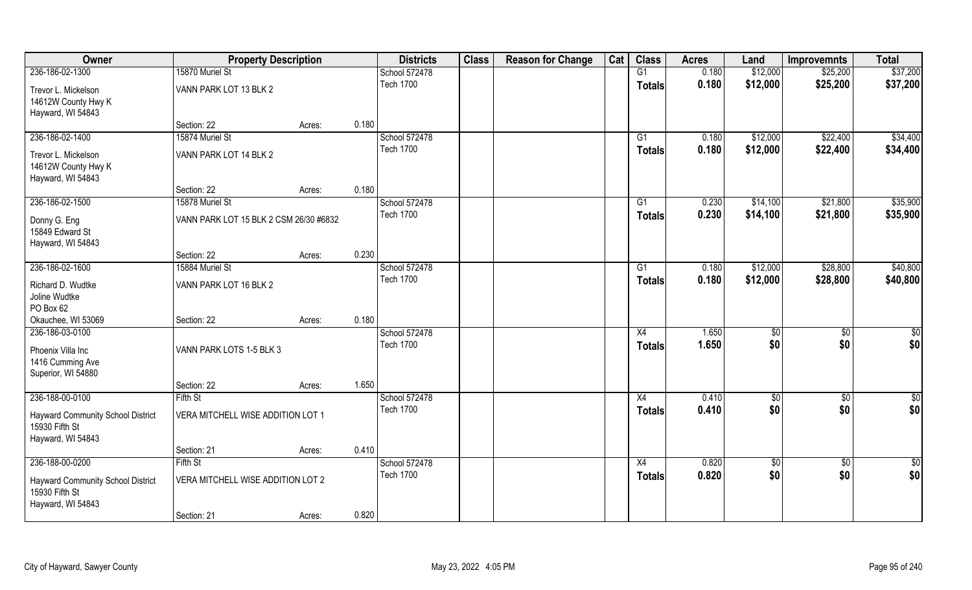| \$12,000<br>236-186-02-1300<br>15870 Muriel St<br>G1<br>0.180<br>\$25,200<br>School 572478                                   | \$37,200                             |
|------------------------------------------------------------------------------------------------------------------------------|--------------------------------------|
|                                                                                                                              |                                      |
| <b>Tech 1700</b><br>0.180<br>\$12,000<br>\$25,200<br><b>Totals</b><br>VANN PARK LOT 13 BLK 2<br>Trevor L. Mickelson          | \$37,200                             |
| 14612W County Hwy K                                                                                                          |                                      |
| Hayward, WI 54843                                                                                                            |                                      |
| 0.180<br>Section: 22<br>Acres:                                                                                               |                                      |
| \$22,400<br>236-186-02-1400<br>15874 Muriel St<br>School 572478<br>0.180<br>\$12,000<br>G1                                   | \$34,400                             |
| <b>Tech 1700</b><br>0.180<br>\$12,000<br>\$22,400<br>Totals<br>VANN PARK LOT 14 BLK 2<br>Trevor L. Mickelson                 | \$34,400                             |
| 14612W County Hwy K                                                                                                          |                                      |
| Hayward, WI 54843                                                                                                            |                                      |
| 0.180<br>Section: 22<br>Acres:                                                                                               |                                      |
| 236-186-02-1500<br>15878 Muriel St<br>School 572478<br>G1<br>0.230<br>\$14,100<br>\$21,800                                   | \$35,900                             |
| <b>Tech 1700</b><br>0.230<br>\$14,100<br>\$21,800<br><b>Totals</b><br>Donny G. Eng<br>VANN PARK LOT 15 BLK 2 CSM 26/30 #6832 | \$35,900                             |
| 15849 Edward St                                                                                                              |                                      |
| Hayward, WI 54843                                                                                                            |                                      |
| 0.230<br>Section: 22<br>Acres:                                                                                               |                                      |
| 236-186-02-1600<br>School 572478<br>\$12,000<br>\$28,800<br>15884 Muriel St<br>G1<br>0.180<br><b>Tech 1700</b>               | \$40,800                             |
| 0.180<br>\$12,000<br>\$28,800<br><b>Totals</b><br>Richard D. Wudtke<br>VANN PARK LOT 16 BLK 2                                | \$40,800                             |
| Joline Wudtke                                                                                                                |                                      |
| PO Box 62                                                                                                                    |                                      |
| 0.180<br>Okauchee, WI 53069<br>Section: 22<br>Acres:<br>236-186-03-0100<br>X4<br>1.650                                       |                                      |
| School 572478<br>\$0<br><b>Tech 1700</b><br>1.650<br>\$0                                                                     | $\overline{50}$<br>\$0<br>\$0<br>\$0 |
| <b>Totals</b><br>Phoenix Villa Inc<br>VANN PARK LOTS 1-5 BLK 3                                                               |                                      |
| 1416 Cumming Ave                                                                                                             |                                      |
| Superior, WI 54880                                                                                                           |                                      |
| 1.650<br>Section: 22<br>Acres:<br>236-188-00-0100<br>Fifth St<br>School 572478<br>X4<br>0.410                                | $\overline{60}$<br>$\frac{1}{2}$     |
| \$0<br><b>Tech 1700</b><br>0.410<br>\$0<br><b>Totals</b>                                                                     | \$0<br>\$0                           |
| VERA MITCHELL WISE ADDITION LOT 1<br><b>Hayward Community School District</b>                                                |                                      |
| 15930 Fifth St                                                                                                               |                                      |
| Hayward, WI 54843<br>0.410<br>Section: 21<br>Acres:                                                                          |                                      |
| 236-188-00-0200<br>School 572478<br>Fifth St<br>X4<br>0.820<br>$\sqrt{$0}$                                                   | $\overline{50}$<br>$rac{1}{2}$       |
| <b>Tech 1700</b><br>0.820<br>\$0<br><b>Totals</b>                                                                            | \$0<br>\$0                           |
| VERA MITCHELL WISE ADDITION LOT 2<br>Hayward Community School District                                                       |                                      |
| 15930 Fifth St<br>Hayward, WI 54843                                                                                          |                                      |
| 0.820<br>Section: 21<br>Acres:                                                                                               |                                      |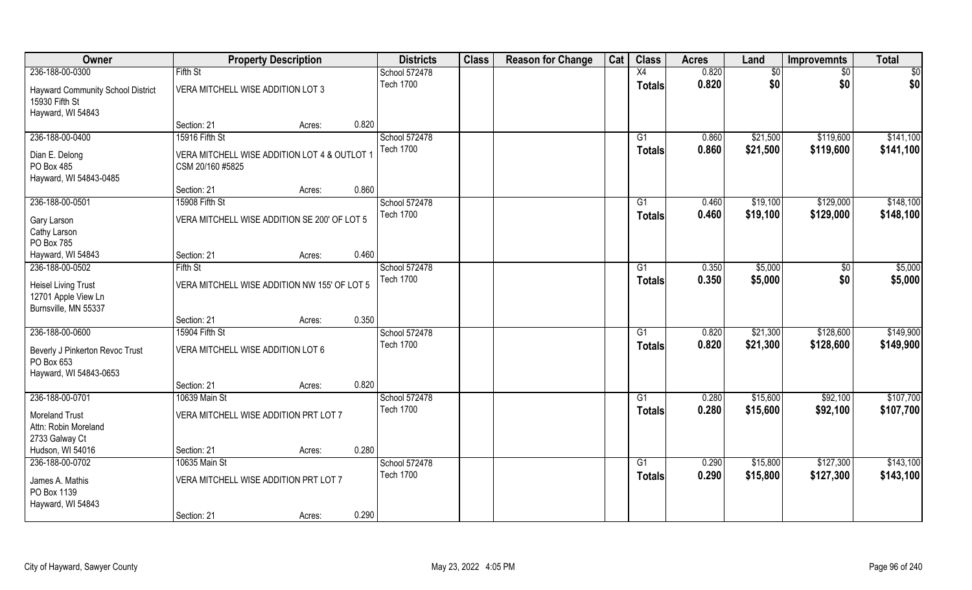| Owner                                                                           |                                       | <b>Property Description</b>                  |       | <b>Districts</b>                  | <b>Class</b> | <b>Reason for Change</b> | Cat | <b>Class</b>    | <b>Acres</b> | Land     | <b>Improvemnts</b> | <b>Total</b> |
|---------------------------------------------------------------------------------|---------------------------------------|----------------------------------------------|-------|-----------------------------------|--------------|--------------------------|-----|-----------------|--------------|----------|--------------------|--------------|
| 236-188-00-0300                                                                 | Fifth St                              |                                              |       | School 572478                     |              |                          |     | X4              | 0.820        | \$0      | $\sqrt{6}$         | \$0          |
| <b>Hayward Community School District</b><br>15930 Fifth St<br>Hayward, WI 54843 | VERA MITCHELL WISE ADDITION LOT 3     |                                              |       | <b>Tech 1700</b>                  |              |                          |     | <b>Totals</b>   | 0.820        | \$0      | \$0                | \$0          |
|                                                                                 | Section: 21                           | Acres:                                       | 0.820 |                                   |              |                          |     |                 |              |          |                    |              |
| 236-188-00-0400                                                                 | 15916 Fifth St                        |                                              |       | School 572478<br><b>Tech 1700</b> |              |                          |     | G1              | 0.860        | \$21,500 | \$119,600          | \$141,100    |
| Dian E. Delong<br>PO Box 485<br>Hayward, WI 54843-0485                          | CSM 20/160 #5825                      | VERA MITCHELL WISE ADDITION LOT 4 & OUTLOT 1 |       |                                   |              |                          |     | Totals          | 0.860        | \$21,500 | \$119,600          | \$141,100    |
|                                                                                 | Section: 21                           | Acres:                                       | 0.860 |                                   |              |                          |     |                 |              |          |                    |              |
| 236-188-00-0501                                                                 | 15908 Fifth St                        |                                              |       | School 572478                     |              |                          |     | G1              | 0.460        | \$19,100 | \$129,000          | \$148,100    |
| Gary Larson<br>Cathy Larson<br>PO Box 785                                       |                                       | VERA MITCHELL WISE ADDITION SE 200' OF LOT 5 |       | <b>Tech 1700</b>                  |              |                          |     | <b>Totals</b>   | 0.460        | \$19,100 | \$129,000          | \$148,100    |
| Hayward, WI 54843                                                               | Section: 21                           | Acres:                                       | 0.460 |                                   |              |                          |     |                 |              |          |                    |              |
| 236-188-00-0502                                                                 | Fifth St                              |                                              |       | School 572478                     |              |                          |     | G1              | 0.350        | \$5,000  | $\frac{1}{30}$     | \$5,000      |
| <b>Heisel Living Trust</b><br>12701 Apple View Ln<br>Burnsville, MN 55337       |                                       | VERA MITCHELL WISE ADDITION NW 155' OF LOT 5 |       | Tech 1700                         |              |                          |     | <b>Totals</b>   | 0.350        | \$5,000  | \$0                | \$5,000      |
|                                                                                 | Section: 21                           | Acres:                                       | 0.350 |                                   |              |                          |     |                 |              |          |                    |              |
| 236-188-00-0600                                                                 | 15904 Fifth St                        |                                              |       | School 572478                     |              |                          |     | $\overline{G1}$ | 0.820        | \$21,300 | \$128,600          | \$149,900    |
| Beverly J Pinkerton Revoc Trust<br>PO Box 653<br>Hayward, WI 54843-0653         | VERA MITCHELL WISE ADDITION LOT 6     |                                              |       | <b>Tech 1700</b>                  |              |                          |     | <b>Totals</b>   | 0.820        | \$21,300 | \$128,600          | \$149,900    |
|                                                                                 | Section: 21                           | Acres:                                       | 0.820 |                                   |              |                          |     |                 |              |          |                    |              |
| 236-188-00-0701                                                                 | 10639 Main St                         |                                              |       | School 572478                     |              |                          |     | G1              | 0.280        | \$15,600 | \$92,100           | \$107,700    |
| <b>Moreland Trust</b><br>Attn: Robin Moreland<br>2733 Galway Ct                 | VERA MITCHELL WISE ADDITION PRT LOT 7 |                                              |       | <b>Tech 1700</b>                  |              |                          |     | <b>Totals</b>   | 0.280        | \$15,600 | \$92,100           | \$107,700    |
| Hudson, WI 54016                                                                | Section: 21                           | Acres:                                       | 0.280 |                                   |              |                          |     |                 |              |          |                    |              |
| 236-188-00-0702                                                                 | 10635 Main St                         |                                              |       | School 572478                     |              |                          |     | $\overline{G1}$ | 0.290        | \$15,800 | \$127,300          | \$143,100    |
| James A. Mathis<br>PO Box 1139<br>Hayward, WI 54843                             | VERA MITCHELL WISE ADDITION PRT LOT 7 |                                              |       | <b>Tech 1700</b>                  |              |                          |     | <b>Totals</b>   | 0.290        | \$15,800 | \$127,300          | \$143,100    |
|                                                                                 | Section: 21                           | Acres:                                       | 0.290 |                                   |              |                          |     |                 |              |          |                    |              |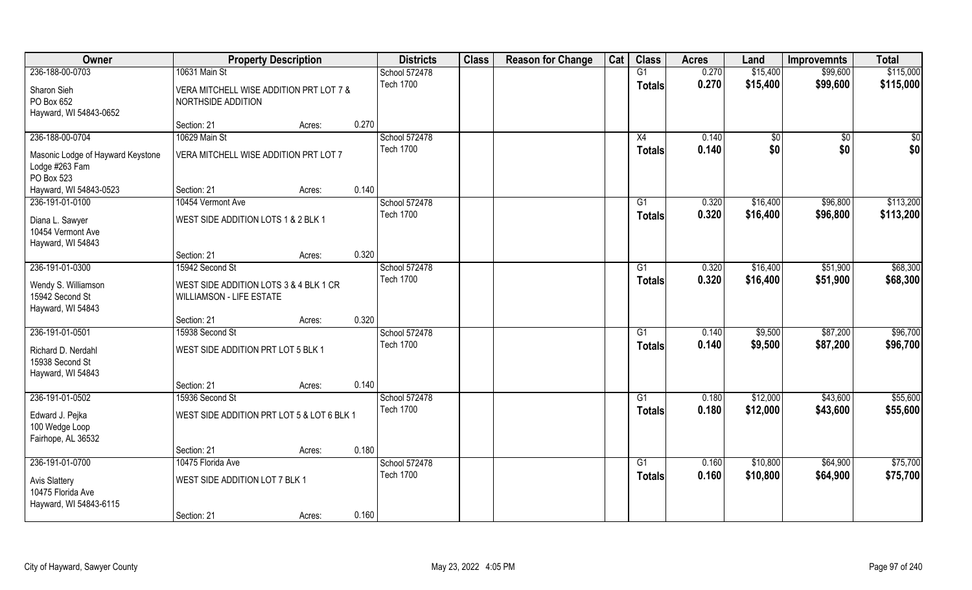| Owner                                                               | <b>Property Description</b>                                               |        |       | <b>Districts</b> | <b>Class</b> | <b>Reason for Change</b> | Cat | <b>Class</b>  | <b>Acres</b> | Land     | <b>Improvemnts</b> | <b>Total</b> |
|---------------------------------------------------------------------|---------------------------------------------------------------------------|--------|-------|------------------|--------------|--------------------------|-----|---------------|--------------|----------|--------------------|--------------|
| 236-188-00-0703                                                     | 10631 Main St                                                             |        |       | School 572478    |              |                          |     | G1            | 0.270        | \$15,400 | \$99,600           | \$115,000    |
| Sharon Sieh<br>PO Box 652<br>Hayward, WI 54843-0652                 | VERA MITCHELL WISE ADDITION PRT LOT 7 &<br>NORTHSIDE ADDITION             |        |       | <b>Tech 1700</b> |              |                          |     | <b>Totals</b> | 0.270        | \$15,400 | \$99,600           | \$115,000    |
|                                                                     | Section: 21                                                               | Acres: | 0.270 |                  |              |                          |     |               |              |          |                    |              |
| 236-188-00-0704                                                     | 10629 Main St                                                             |        |       | School 572478    |              |                          |     | X4            | 0.140        | \$0      | $\overline{50}$    | \$0          |
| Masonic Lodge of Hayward Keystone<br>Lodge #263 Fam<br>PO Box 523   | VERA MITCHELL WISE ADDITION PRT LOT 7                                     |        |       | <b>Tech 1700</b> |              |                          |     | Totals        | 0.140        | \$0      | \$0                | \$0          |
| Hayward, WI 54843-0523                                              | Section: 21                                                               | Acres: | 0.140 |                  |              |                          |     |               |              |          |                    |              |
| 236-191-01-0100                                                     | 10454 Vermont Ave                                                         |        |       | School 572478    |              |                          |     | G1            | 0.320        | \$16,400 | \$96,800           | \$113,200    |
| Diana L. Sawyer<br>10454 Vermont Ave<br>Hayward, WI 54843           | WEST SIDE ADDITION LOTS 1 & 2 BLK 1                                       |        |       | <b>Tech 1700</b> |              |                          |     | <b>Totals</b> | 0.320        | \$16,400 | \$96,800           | \$113,200    |
|                                                                     | Section: 21                                                               | Acres: | 0.320 |                  |              |                          |     |               |              |          |                    |              |
| 236-191-01-0300                                                     | 15942 Second St                                                           |        |       | School 572478    |              |                          |     | G1            | 0.320        | \$16,400 | \$51,900           | \$68,300     |
| Wendy S. Williamson<br>15942 Second St<br>Hayward, WI 54843         | WEST SIDE ADDITION LOTS 3 & 4 BLK 1 CR<br><b>WILLIAMSON - LIFE ESTATE</b> |        |       | <b>Tech 1700</b> |              |                          |     | <b>Totals</b> | 0.320        | \$16,400 | \$51,900           | \$68,300     |
|                                                                     | Section: 21                                                               | Acres: | 0.320 |                  |              |                          |     |               |              |          |                    |              |
| 236-191-01-0501                                                     | 15938 Second St                                                           |        |       | School 572478    |              |                          |     | G1            | 0.140        | \$9,500  | \$87,200           | \$96,700     |
| Richard D. Nerdahl<br>15938 Second St<br>Hayward, WI 54843          | WEST SIDE ADDITION PRT LOT 5 BLK 1                                        |        |       | <b>Tech 1700</b> |              |                          |     | <b>Totals</b> | 0.140        | \$9,500  | \$87,200           | \$96,700     |
|                                                                     | Section: 21                                                               | Acres: | 0.140 |                  |              |                          |     |               |              |          |                    |              |
| 236-191-01-0502                                                     | 15936 Second St                                                           |        |       | School 572478    |              |                          |     | G1            | 0.180        | \$12,000 | \$43,600           | \$55,600     |
| Edward J. Pejka<br>100 Wedge Loop<br>Fairhope, AL 36532             | WEST SIDE ADDITION PRT LOT 5 & LOT 6 BLK 1                                |        |       | <b>Tech 1700</b> |              |                          |     | <b>Totals</b> | 0.180        | \$12,000 | \$43,600           | \$55,600     |
|                                                                     | Section: 21                                                               | Acres: | 0.180 |                  |              |                          |     |               |              |          |                    |              |
| 236-191-01-0700                                                     | 10475 Florida Ave                                                         |        |       | School 572478    |              |                          |     | G1            | 0.160        | \$10,800 | \$64,900           | \$75,700     |
| <b>Avis Slattery</b><br>10475 Florida Ave<br>Hayward, WI 54843-6115 | WEST SIDE ADDITION LOT 7 BLK 1                                            |        |       | <b>Tech 1700</b> |              |                          |     | Totals        | 0.160        | \$10,800 | \$64,900           | \$75,700     |
|                                                                     | Section: 21                                                               | Acres: | 0.160 |                  |              |                          |     |               |              |          |                    |              |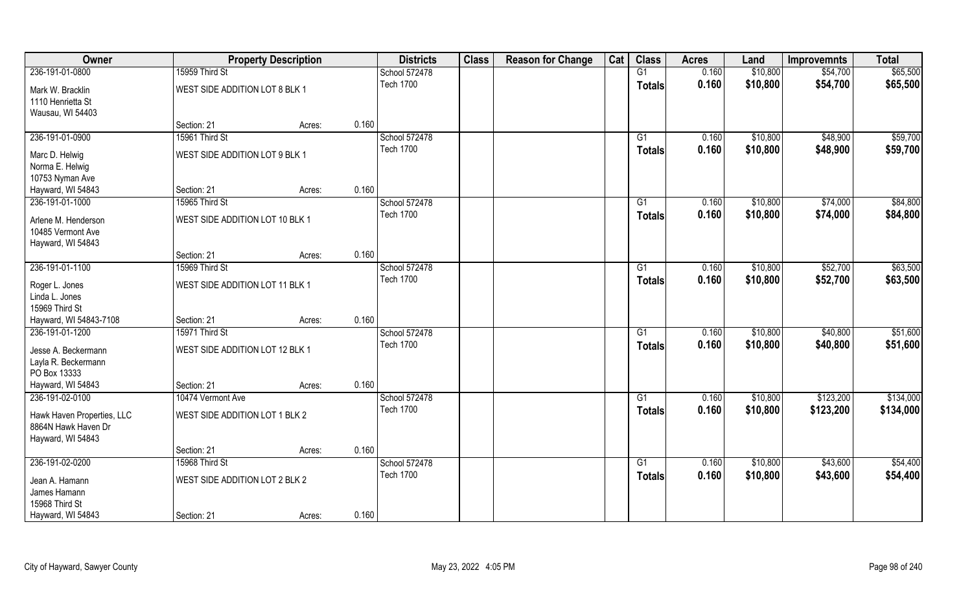| Owner                      |                                 | <b>Property Description</b> |       | <b>Districts</b> | <b>Class</b> | <b>Reason for Change</b> | Cat | <b>Class</b>    | <b>Acres</b> | Land     | <b>Improvemnts</b> | <b>Total</b> |
|----------------------------|---------------------------------|-----------------------------|-------|------------------|--------------|--------------------------|-----|-----------------|--------------|----------|--------------------|--------------|
| 236-191-01-0800            | 15959 Third St                  |                             |       | School 572478    |              |                          |     | G1              | 0.160        | \$10,800 | \$54,700           | \$65,500     |
| Mark W. Bracklin           | WEST SIDE ADDITION LOT 8 BLK 1  |                             |       | <b>Tech 1700</b> |              |                          |     | <b>Totals</b>   | 0.160        | \$10,800 | \$54,700           | \$65,500     |
| 1110 Henrietta St          |                                 |                             |       |                  |              |                          |     |                 |              |          |                    |              |
| Wausau, WI 54403           |                                 |                             |       |                  |              |                          |     |                 |              |          |                    |              |
|                            | Section: 21                     | Acres:                      | 0.160 |                  |              |                          |     |                 |              |          |                    |              |
| 236-191-01-0900            | 15961 Third St                  |                             |       | School 572478    |              |                          |     | G1              | 0.160        | \$10,800 | \$48,900           | \$59,700     |
| Marc D. Helwig             | WEST SIDE ADDITION LOT 9 BLK 1  |                             |       | <b>Tech 1700</b> |              |                          |     | Totals          | 0.160        | \$10,800 | \$48,900           | \$59,700     |
| Norma E. Helwig            |                                 |                             |       |                  |              |                          |     |                 |              |          |                    |              |
| 10753 Nyman Ave            |                                 |                             |       |                  |              |                          |     |                 |              |          |                    |              |
| Hayward, WI 54843          | Section: 21                     | Acres:                      | 0.160 |                  |              |                          |     |                 |              |          |                    |              |
| 236-191-01-1000            | 15965 Third St                  |                             |       | School 572478    |              |                          |     | G1              | 0.160        | \$10,800 | \$74,000           | \$84,800     |
| Arlene M. Henderson        | WEST SIDE ADDITION LOT 10 BLK 1 |                             |       | <b>Tech 1700</b> |              |                          |     | <b>Totals</b>   | 0.160        | \$10,800 | \$74,000           | \$84,800     |
| 10485 Vermont Ave          |                                 |                             |       |                  |              |                          |     |                 |              |          |                    |              |
| Hayward, WI 54843          |                                 |                             |       |                  |              |                          |     |                 |              |          |                    |              |
|                            | Section: 21                     | Acres:                      | 0.160 |                  |              |                          |     |                 |              |          |                    |              |
| 236-191-01-1100            | 15969 Third St                  |                             |       | School 572478    |              |                          |     | G1              | 0.160        | \$10,800 | \$52,700           | \$63,500     |
| Roger L. Jones             | WEST SIDE ADDITION LOT 11 BLK 1 |                             |       | <b>Tech 1700</b> |              |                          |     | <b>Totals</b>   | 0.160        | \$10,800 | \$52,700           | \$63,500     |
| Linda L. Jones             |                                 |                             |       |                  |              |                          |     |                 |              |          |                    |              |
| 15969 Third St             |                                 |                             |       |                  |              |                          |     |                 |              |          |                    |              |
| Hayward, WI 54843-7108     | Section: 21                     | Acres:                      | 0.160 |                  |              |                          |     |                 |              |          |                    |              |
| 236-191-01-1200            | 15971 Third St                  |                             |       | School 572478    |              |                          |     | $\overline{G1}$ | 0.160        | \$10,800 | \$40,800           | \$51,600     |
| Jesse A. Beckermann        | WEST SIDE ADDITION LOT 12 BLK 1 |                             |       | <b>Tech 1700</b> |              |                          |     | <b>Totals</b>   | 0.160        | \$10,800 | \$40,800           | \$51,600     |
| Layla R. Beckermann        |                                 |                             |       |                  |              |                          |     |                 |              |          |                    |              |
| PO Box 13333               |                                 |                             |       |                  |              |                          |     |                 |              |          |                    |              |
| Hayward, WI 54843          | Section: 21                     | Acres:                      | 0.160 |                  |              |                          |     |                 |              |          |                    |              |
| 236-191-02-0100            | 10474 Vermont Ave               |                             |       | School 572478    |              |                          |     | G1              | 0.160        | \$10,800 | \$123,200          | \$134,000    |
| Hawk Haven Properties, LLC | WEST SIDE ADDITION LOT 1 BLK 2  |                             |       | <b>Tech 1700</b> |              |                          |     | <b>Totals</b>   | 0.160        | \$10,800 | \$123,200          | \$134,000    |
| 8864N Hawk Haven Dr        |                                 |                             |       |                  |              |                          |     |                 |              |          |                    |              |
| Hayward, WI 54843          |                                 |                             |       |                  |              |                          |     |                 |              |          |                    |              |
|                            | Section: 21                     | Acres:                      | 0.160 |                  |              |                          |     |                 |              |          |                    |              |
| 236-191-02-0200            | 15968 Third St                  |                             |       | School 572478    |              |                          |     | G1              | 0.160        | \$10,800 | \$43,600           | \$54,400     |
| Jean A. Hamann             | WEST SIDE ADDITION LOT 2 BLK 2  |                             |       | <b>Tech 1700</b> |              |                          |     | <b>Totals</b>   | 0.160        | \$10,800 | \$43,600           | \$54,400     |
| James Hamann               |                                 |                             |       |                  |              |                          |     |                 |              |          |                    |              |
| 15968 Third St             |                                 |                             |       |                  |              |                          |     |                 |              |          |                    |              |
| Hayward, WI 54843          | Section: 21                     | Acres:                      | 0.160 |                  |              |                          |     |                 |              |          |                    |              |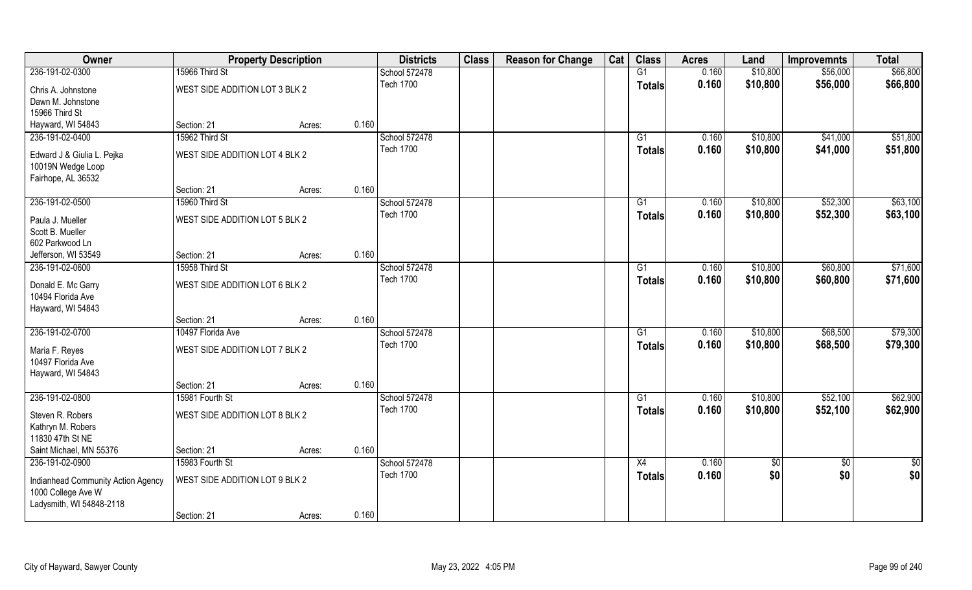| Owner                                                    | <b>Property Description</b>    |        |       | <b>Districts</b> | <b>Class</b> | <b>Reason for Change</b> | Cat | <b>Class</b>  | <b>Acres</b> | Land       | <b>Improvemnts</b> | <b>Total</b> |
|----------------------------------------------------------|--------------------------------|--------|-------|------------------|--------------|--------------------------|-----|---------------|--------------|------------|--------------------|--------------|
| 236-191-02-0300                                          | 15966 Third St                 |        |       | School 572478    |              |                          |     | G1            | 0.160        | \$10,800   | \$56,000           | \$66,800     |
| Chris A. Johnstone                                       | WEST SIDE ADDITION LOT 3 BLK 2 |        |       | <b>Tech 1700</b> |              |                          |     | <b>Totals</b> | 0.160        | \$10,800   | \$56,000           | \$66,800     |
| Dawn M. Johnstone                                        |                                |        |       |                  |              |                          |     |               |              |            |                    |              |
| 15966 Third St                                           |                                |        |       |                  |              |                          |     |               |              |            |                    |              |
| Hayward, WI 54843                                        | Section: 21                    | Acres: | 0.160 |                  |              |                          |     |               |              |            |                    |              |
| 236-191-02-0400                                          | 15962 Third St                 |        |       | School 572478    |              |                          |     | G1            | 0.160        | \$10,800   | \$41,000           | \$51,800     |
| Edward J & Giulia L. Pejka                               | WEST SIDE ADDITION LOT 4 BLK 2 |        |       | <b>Tech 1700</b> |              |                          |     | <b>Totals</b> | 0.160        | \$10,800   | \$41,000           | \$51,800     |
| 10019N Wedge Loop                                        |                                |        |       |                  |              |                          |     |               |              |            |                    |              |
| Fairhope, AL 36532                                       |                                |        |       |                  |              |                          |     |               |              |            |                    |              |
|                                                          | Section: 21                    | Acres: | 0.160 |                  |              |                          |     |               |              |            |                    |              |
| 236-191-02-0500                                          | 15960 Third St                 |        |       | School 572478    |              |                          |     | G1            | 0.160        | \$10,800   | \$52,300           | \$63,100     |
| Paula J. Mueller                                         | WEST SIDE ADDITION LOT 5 BLK 2 |        |       | <b>Tech 1700</b> |              |                          |     | <b>Totals</b> | 0.160        | \$10,800   | \$52,300           | \$63,100     |
| Scott B. Mueller                                         |                                |        |       |                  |              |                          |     |               |              |            |                    |              |
| 602 Parkwood Ln                                          |                                |        |       |                  |              |                          |     |               |              |            |                    |              |
| Jefferson, WI 53549                                      | Section: 21                    | Acres: | 0.160 |                  |              |                          |     |               |              |            |                    |              |
| 236-191-02-0600                                          | 15958 Third St                 |        |       | School 572478    |              |                          |     | G1            | 0.160        | \$10,800   | \$60,800           | \$71,600     |
| Donald E. Mc Garry                                       | WEST SIDE ADDITION LOT 6 BLK 2 |        |       | <b>Tech 1700</b> |              |                          |     | <b>Totals</b> | 0.160        | \$10,800   | \$60,800           | \$71,600     |
| 10494 Florida Ave                                        |                                |        |       |                  |              |                          |     |               |              |            |                    |              |
| Hayward, WI 54843                                        |                                |        |       |                  |              |                          |     |               |              |            |                    |              |
|                                                          | Section: 21                    | Acres: | 0.160 |                  |              |                          |     |               |              |            |                    |              |
| 236-191-02-0700                                          | 10497 Florida Ave              |        |       | School 572478    |              |                          |     | G1            | 0.160        | \$10,800   | \$68,500           | \$79,300     |
| Maria F. Reyes                                           | WEST SIDE ADDITION LOT 7 BLK 2 |        |       | <b>Tech 1700</b> |              |                          |     | <b>Totals</b> | 0.160        | \$10,800   | \$68,500           | \$79,300     |
| 10497 Florida Ave                                        |                                |        |       |                  |              |                          |     |               |              |            |                    |              |
| Hayward, WI 54843                                        |                                |        |       |                  |              |                          |     |               |              |            |                    |              |
|                                                          | Section: 21                    | Acres: | 0.160 |                  |              |                          |     |               |              |            |                    |              |
| 236-191-02-0800                                          | 15981 Fourth St                |        |       | School 572478    |              |                          |     | G1            | 0.160        | \$10,800   | \$52,100           | \$62,900     |
| Steven R. Robers                                         | WEST SIDE ADDITION LOT 8 BLK 2 |        |       | <b>Tech 1700</b> |              |                          |     | <b>Totals</b> | 0.160        | \$10,800   | \$52,100           | \$62,900     |
| Kathryn M. Robers                                        |                                |        |       |                  |              |                          |     |               |              |            |                    |              |
| 11830 47th St NE                                         |                                |        |       |                  |              |                          |     |               |              |            |                    |              |
| Saint Michael, MN 55376                                  | Section: 21                    | Acres: | 0.160 |                  |              |                          |     |               |              |            |                    |              |
| 236-191-02-0900                                          | 15983 Fourth St                |        |       | School 572478    |              |                          |     | X4            | 0.160        | $\sqrt{6}$ | $\overline{50}$    | $rac{1}{2}$  |
|                                                          | WEST SIDE ADDITION LOT 9 BLK 2 |        |       | <b>Tech 1700</b> |              |                          |     | <b>Totals</b> | 0.160        | \$0        | \$0                | \$0          |
| Indianhead Community Action Agency<br>1000 College Ave W |                                |        |       |                  |              |                          |     |               |              |            |                    |              |
| Ladysmith, WI 54848-2118                                 |                                |        |       |                  |              |                          |     |               |              |            |                    |              |
|                                                          | Section: 21                    | Acres: | 0.160 |                  |              |                          |     |               |              |            |                    |              |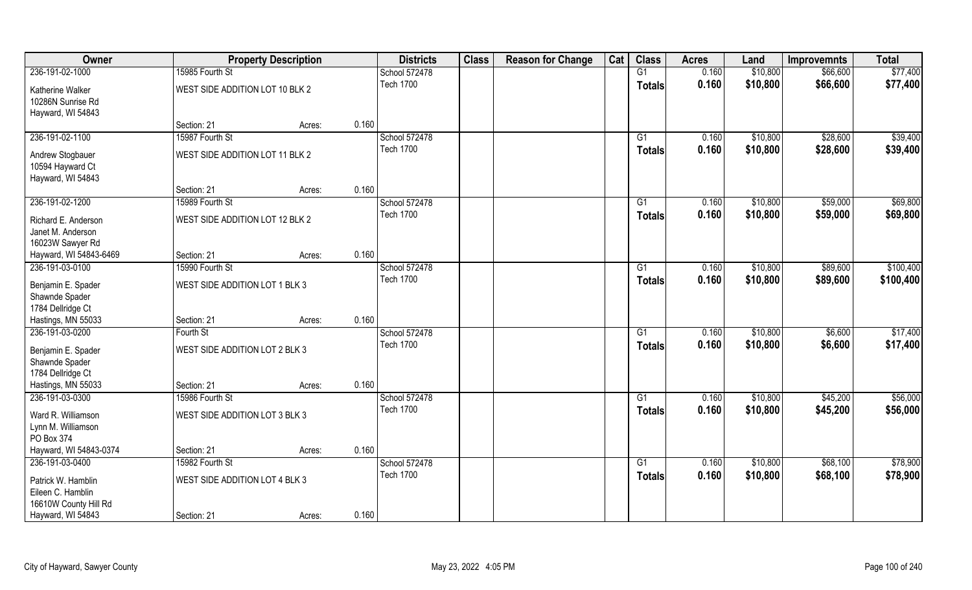| 0.160<br>\$10,800<br>\$77,400<br>236-191-02-1000<br>15985 Fourth St<br>G1<br>\$66,600<br>School 572478<br><b>Tech 1700</b><br>0.160<br>\$10,800<br>\$66,600<br>\$77,400<br><b>Totals</b><br>WEST SIDE ADDITION LOT 10 BLK 2<br>Katherine Walker<br>10286N Sunrise Rd<br>Hayward, WI 54843<br>0.160<br>Section: 21<br>Acres:<br>\$39,400<br>236-191-02-1100<br>15987 Fourth St<br>School 572478<br>0.160<br>\$10,800<br>\$28,600<br>G1<br><b>Tech 1700</b><br>0.160<br>\$10,800<br>\$28,600<br>\$39,400<br>Totals |
|------------------------------------------------------------------------------------------------------------------------------------------------------------------------------------------------------------------------------------------------------------------------------------------------------------------------------------------------------------------------------------------------------------------------------------------------------------------------------------------------------------------|
|                                                                                                                                                                                                                                                                                                                                                                                                                                                                                                                  |
|                                                                                                                                                                                                                                                                                                                                                                                                                                                                                                                  |
|                                                                                                                                                                                                                                                                                                                                                                                                                                                                                                                  |
|                                                                                                                                                                                                                                                                                                                                                                                                                                                                                                                  |
|                                                                                                                                                                                                                                                                                                                                                                                                                                                                                                                  |
|                                                                                                                                                                                                                                                                                                                                                                                                                                                                                                                  |
| WEST SIDE ADDITION LOT 11 BLK 2<br>Andrew Stogbauer                                                                                                                                                                                                                                                                                                                                                                                                                                                              |
| 10594 Hayward Ct                                                                                                                                                                                                                                                                                                                                                                                                                                                                                                 |
| Hayward, WI 54843                                                                                                                                                                                                                                                                                                                                                                                                                                                                                                |
| 0.160<br>Section: 21<br>Acres:                                                                                                                                                                                                                                                                                                                                                                                                                                                                                   |
| \$69,800<br>236-191-02-1200<br>15989 Fourth St<br>School 572478<br>G1<br>0.160<br>\$10,800<br>\$59,000                                                                                                                                                                                                                                                                                                                                                                                                           |
| <b>Tech 1700</b><br>0.160<br>\$10,800<br>\$59,000<br>\$69,800<br><b>Totals</b><br>WEST SIDE ADDITION LOT 12 BLK 2<br>Richard E. Anderson                                                                                                                                                                                                                                                                                                                                                                         |
| Janet M. Anderson                                                                                                                                                                                                                                                                                                                                                                                                                                                                                                |
| 16023W Sawyer Rd                                                                                                                                                                                                                                                                                                                                                                                                                                                                                                 |
| 0.160<br>Hayward, WI 54843-6469<br>Section: 21<br>Acres:                                                                                                                                                                                                                                                                                                                                                                                                                                                         |
| \$100,400<br>236-191-03-0100<br>15990 Fourth St<br>School 572478<br>\$10,800<br>\$89,600<br>G1<br>0.160                                                                                                                                                                                                                                                                                                                                                                                                          |
| <b>Tech 1700</b><br>0.160<br>\$10,800<br>\$89,600<br>\$100,400<br><b>Totals</b><br>WEST SIDE ADDITION LOT 1 BLK 3                                                                                                                                                                                                                                                                                                                                                                                                |
| Benjamin E. Spader<br>Shawnde Spader                                                                                                                                                                                                                                                                                                                                                                                                                                                                             |
| 1784 Dellridge Ct                                                                                                                                                                                                                                                                                                                                                                                                                                                                                                |
| 0.160<br>Hastings, MN 55033<br>Section: 21<br>Acres:                                                                                                                                                                                                                                                                                                                                                                                                                                                             |
| \$17,400<br>236-191-03-0200<br>School 572478<br>$\overline{G1}$<br>0.160<br>\$10,800<br>\$6,600<br>Fourth St                                                                                                                                                                                                                                                                                                                                                                                                     |
| <b>Tech 1700</b><br>\$10,800<br>0.160<br>\$6,600<br>\$17,400<br><b>Totals</b>                                                                                                                                                                                                                                                                                                                                                                                                                                    |
| WEST SIDE ADDITION LOT 2 BLK 3<br>Benjamin E. Spader<br>Shawnde Spader                                                                                                                                                                                                                                                                                                                                                                                                                                           |
| 1784 Dellridge Ct                                                                                                                                                                                                                                                                                                                                                                                                                                                                                                |
| Hastings, MN 55033<br>0.160<br>Section: 21<br>Acres:                                                                                                                                                                                                                                                                                                                                                                                                                                                             |
| 236-191-03-0300<br>\$56,000<br>15986 Fourth St<br>School 572478<br>0.160<br>\$10,800<br>\$45,200<br>G1                                                                                                                                                                                                                                                                                                                                                                                                           |
| <b>Tech 1700</b><br>\$10,800<br>\$56,000<br>0.160<br>\$45,200<br><b>Totals</b>                                                                                                                                                                                                                                                                                                                                                                                                                                   |
| Ward R. Williamson<br>WEST SIDE ADDITION LOT 3 BLK 3                                                                                                                                                                                                                                                                                                                                                                                                                                                             |
| Lynn M. Williamson<br>PO Box 374                                                                                                                                                                                                                                                                                                                                                                                                                                                                                 |
| 0.160<br>Hayward, WI 54843-0374<br>Section: 21<br>Acres:                                                                                                                                                                                                                                                                                                                                                                                                                                                         |
| 236-191-03-0400<br>School 572478<br>\$78,900<br>15982 Fourth St<br>$\overline{G1}$<br>0.160<br>\$10,800<br>\$68,100                                                                                                                                                                                                                                                                                                                                                                                              |
| <b>Tech 1700</b><br>0.160<br>\$10,800<br>\$78,900<br>\$68,100<br><b>Totals</b>                                                                                                                                                                                                                                                                                                                                                                                                                                   |
| WEST SIDE ADDITION LOT 4 BLK 3<br>Patrick W. Hamblin                                                                                                                                                                                                                                                                                                                                                                                                                                                             |
| Eileen C. Hamblin<br>16610W County Hill Rd                                                                                                                                                                                                                                                                                                                                                                                                                                                                       |
| 0.160<br>Hayward, WI 54843<br>Section: 21<br>Acres:                                                                                                                                                                                                                                                                                                                                                                                                                                                              |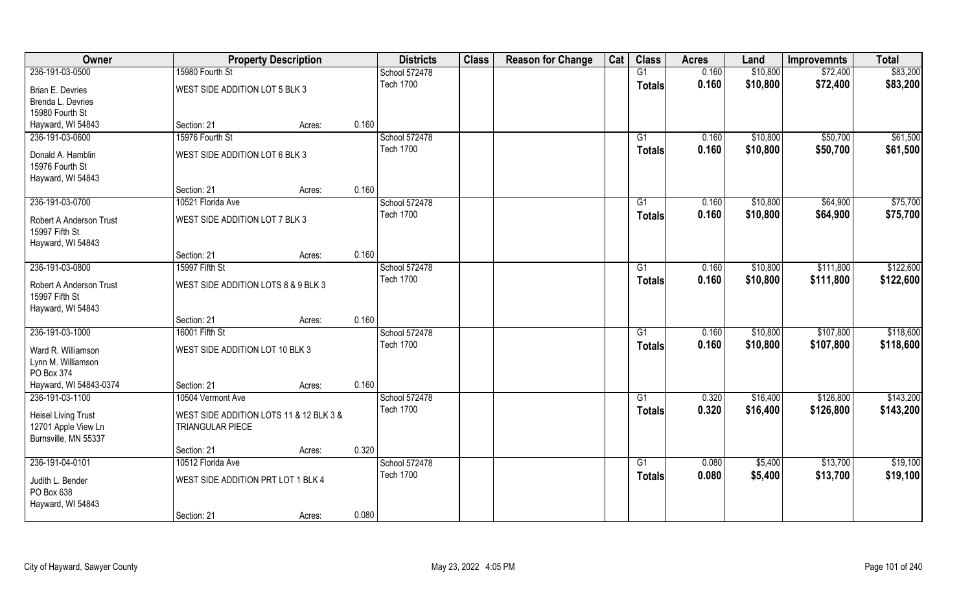| Owner                                     | <b>Property Description</b>             |       | <b>Districts</b> | <b>Class</b> | <b>Reason for Change</b> | Cat | <b>Class</b>    | <b>Acres</b> | Land     | <b>Improvemnts</b> | <b>Total</b> |
|-------------------------------------------|-----------------------------------------|-------|------------------|--------------|--------------------------|-----|-----------------|--------------|----------|--------------------|--------------|
| 236-191-03-0500                           | 15980 Fourth St                         |       | School 572478    |              |                          |     | G1              | 0.160        | \$10,800 | \$72,400           | \$83,200     |
| Brian E. Devries                          | WEST SIDE ADDITION LOT 5 BLK 3          |       | <b>Tech 1700</b> |              |                          |     | <b>Totals</b>   | 0.160        | \$10,800 | \$72,400           | \$83,200     |
| Brenda L. Devries                         |                                         |       |                  |              |                          |     |                 |              |          |                    |              |
| 15980 Fourth St                           |                                         |       |                  |              |                          |     |                 |              |          |                    |              |
| Hayward, WI 54843                         | Section: 21<br>Acres:                   | 0.160 |                  |              |                          |     |                 |              |          |                    |              |
| 236-191-03-0600                           | 15976 Fourth St                         |       | School 572478    |              |                          |     | G1              | 0.160        | \$10,800 | \$50,700           | \$61,500     |
| Donald A. Hamblin                         | WEST SIDE ADDITION LOT 6 BLK 3          |       | <b>Tech 1700</b> |              |                          |     | Totals          | 0.160        | \$10,800 | \$50,700           | \$61,500     |
| 15976 Fourth St                           |                                         |       |                  |              |                          |     |                 |              |          |                    |              |
| Hayward, WI 54843                         |                                         |       |                  |              |                          |     |                 |              |          |                    |              |
|                                           | Section: 21<br>Acres:                   | 0.160 |                  |              |                          |     |                 |              |          |                    |              |
| 236-191-03-0700                           | 10521 Florida Ave                       |       | School 572478    |              |                          |     | G1              | 0.160        | \$10,800 | \$64,900           | \$75,700     |
|                                           |                                         |       | <b>Tech 1700</b> |              |                          |     | <b>Totals</b>   | 0.160        | \$10,800 | \$64,900           | \$75,700     |
| Robert A Anderson Trust<br>15997 Fifth St | WEST SIDE ADDITION LOT 7 BLK 3          |       |                  |              |                          |     |                 |              |          |                    |              |
| Hayward, WI 54843                         |                                         |       |                  |              |                          |     |                 |              |          |                    |              |
|                                           | Section: 21<br>Acres:                   | 0.160 |                  |              |                          |     |                 |              |          |                    |              |
| 236-191-03-0800                           | 15997 Fifth St                          |       | School 572478    |              |                          |     | G1              | 0.160        | \$10,800 | \$111,800          | \$122,600    |
|                                           |                                         |       | <b>Tech 1700</b> |              |                          |     | <b>Totals</b>   | 0.160        | \$10,800 | \$111,800          | \$122,600    |
| Robert A Anderson Trust                   | WEST SIDE ADDITION LOTS 8 & 9 BLK 3     |       |                  |              |                          |     |                 |              |          |                    |              |
| 15997 Fifth St                            |                                         |       |                  |              |                          |     |                 |              |          |                    |              |
| Hayward, WI 54843                         | Section: 21                             | 0.160 |                  |              |                          |     |                 |              |          |                    |              |
| 236-191-03-1000                           | Acres:<br>16001 Fifth St                |       | School 572478    |              |                          |     | $\overline{G1}$ | 0.160        | \$10,800 | \$107,800          | \$118,600    |
|                                           |                                         |       | <b>Tech 1700</b> |              |                          |     |                 | 0.160        |          | \$107,800          |              |
| Ward R. Williamson                        | WEST SIDE ADDITION LOT 10 BLK 3         |       |                  |              |                          |     | <b>Totals</b>   |              | \$10,800 |                    | \$118,600    |
| Lynn M. Williamson                        |                                         |       |                  |              |                          |     |                 |              |          |                    |              |
| PO Box 374                                |                                         |       |                  |              |                          |     |                 |              |          |                    |              |
| Hayward, WI 54843-0374                    | Section: 21<br>Acres:                   | 0.160 |                  |              |                          |     |                 |              |          |                    |              |
| 236-191-03-1100                           | 10504 Vermont Ave                       |       | School 572478    |              |                          |     | G1              | 0.320        | \$16,400 | \$126,800          | \$143,200    |
| <b>Heisel Living Trust</b>                | WEST SIDE ADDITION LOTS 11 & 12 BLK 3 & |       | <b>Tech 1700</b> |              |                          |     | <b>Totals</b>   | 0.320        | \$16,400 | \$126,800          | \$143,200    |
| 12701 Apple View Ln                       | TRIANGULAR PIECE                        |       |                  |              |                          |     |                 |              |          |                    |              |
| Burnsville, MN 55337                      |                                         |       |                  |              |                          |     |                 |              |          |                    |              |
|                                           | Section: 21<br>Acres:                   | 0.320 |                  |              |                          |     |                 |              |          |                    |              |
| 236-191-04-0101                           | 10512 Florida Ave                       |       | School 572478    |              |                          |     | G1              | 0.080        | \$5,400  | \$13,700           | \$19,100     |
| Judith L. Bender                          | WEST SIDE ADDITION PRT LOT 1 BLK 4      |       | <b>Tech 1700</b> |              |                          |     | <b>Totals</b>   | 0.080        | \$5,400  | \$13,700           | \$19,100     |
| PO Box 638                                |                                         |       |                  |              |                          |     |                 |              |          |                    |              |
| Hayward, WI 54843                         |                                         |       |                  |              |                          |     |                 |              |          |                    |              |
|                                           | Section: 21<br>Acres:                   | 0.080 |                  |              |                          |     |                 |              |          |                    |              |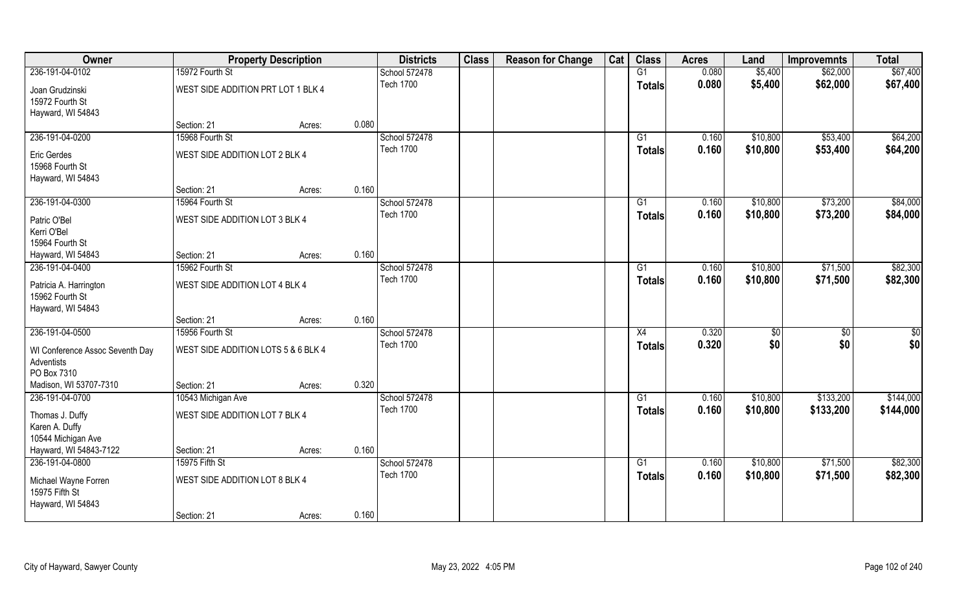| Owner                                                          |                                     | <b>Property Description</b> | <b>Districts</b> | <b>Class</b> | <b>Reason for Change</b> | Cat | <b>Class</b>    | <b>Acres</b> | Land     | <b>Improvemnts</b> | <b>Total</b> |
|----------------------------------------------------------------|-------------------------------------|-----------------------------|------------------|--------------|--------------------------|-----|-----------------|--------------|----------|--------------------|--------------|
| 236-191-04-0102                                                | 15972 Fourth St                     |                             | School 572478    |              |                          |     | G1              | 0.080        | \$5,400  | \$62,000           | \$67,400     |
| Joan Grudzinski<br>15972 Fourth St<br>Hayward, WI 54843        | WEST SIDE ADDITION PRT LOT 1 BLK 4  |                             | <b>Tech 1700</b> |              |                          |     | <b>Totals</b>   | 0.080        | \$5,400  | \$62,000           | \$67,400     |
|                                                                | Section: 21                         | Acres:                      | 0.080            |              |                          |     |                 |              |          |                    |              |
| 236-191-04-0200                                                | 15968 Fourth St                     |                             | School 572478    |              |                          |     | G1              | 0.160        | \$10,800 | \$53,400           | \$64,200     |
| Eric Gerdes<br>15968 Fourth St<br>Hayward, WI 54843            | WEST SIDE ADDITION LOT 2 BLK 4      |                             | <b>Tech 1700</b> |              |                          |     | Totals          | 0.160        | \$10,800 | \$53,400           | \$64,200     |
|                                                                | Section: 21                         | Acres:                      | 0.160            |              |                          |     |                 |              |          |                    |              |
| 236-191-04-0300                                                | 15964 Fourth St                     |                             | School 572478    |              |                          |     | G1              | 0.160        | \$10,800 | \$73,200           | \$84,000     |
| Patric O'Bel<br>Kerri O'Bel<br>15964 Fourth St                 | WEST SIDE ADDITION LOT 3 BLK 4      |                             | <b>Tech 1700</b> |              |                          |     | <b>Totals</b>   | 0.160        | \$10,800 | \$73,200           | \$84,000     |
| Hayward, WI 54843                                              | Section: 21                         | Acres:                      | 0.160            |              |                          |     |                 |              |          |                    |              |
| 236-191-04-0400                                                | 15962 Fourth St                     |                             | School 572478    |              |                          |     | G1              | 0.160        | \$10,800 | \$71,500           | \$82,300     |
| Patricia A. Harrington<br>15962 Fourth St<br>Hayward, WI 54843 | WEST SIDE ADDITION LOT 4 BLK 4      |                             | <b>Tech 1700</b> |              |                          |     | Totals          | 0.160        | \$10,800 | \$71,500           | \$82,300     |
|                                                                | Section: 21                         | Acres:                      | 0.160            |              |                          |     |                 |              |          |                    |              |
| 236-191-04-0500                                                | 15956 Fourth St                     |                             | School 572478    |              |                          |     | $\overline{X4}$ | 0.320        | \$0      | $\overline{50}$    | \$0          |
| WI Conference Assoc Seventh Day<br>Adventists<br>PO Box 7310   | WEST SIDE ADDITION LOTS 5 & 6 BLK 4 |                             | <b>Tech 1700</b> |              |                          |     | <b>Totals</b>   | 0.320        | \$0      | \$0                | \$0          |
| Madison, WI 53707-7310                                         | Section: 21                         | Acres:                      | 0.320            |              |                          |     |                 |              |          |                    |              |
| 236-191-04-0700                                                | 10543 Michigan Ave                  |                             | School 572478    |              |                          |     | G1              | 0.160        | \$10,800 | \$133,200          | \$144,000    |
| Thomas J. Duffy<br>Karen A. Duffy<br>10544 Michigan Ave        | WEST SIDE ADDITION LOT 7 BLK 4      |                             | <b>Tech 1700</b> |              |                          |     | <b>Totals</b>   | 0.160        | \$10,800 | \$133,200          | \$144,000    |
| Hayward, WI 54843-7122                                         | Section: 21                         | Acres:                      | 0.160            |              |                          |     |                 |              |          |                    |              |
| 236-191-04-0800                                                | 15975 Fifth St                      |                             | School 572478    |              |                          |     | $\overline{G1}$ | 0.160        | \$10,800 | \$71,500           | \$82,300     |
| Michael Wayne Forren<br>15975 Fifth St<br>Hayward, WI 54843    | WEST SIDE ADDITION LOT 8 BLK 4      |                             | <b>Tech 1700</b> |              |                          |     | <b>Totals</b>   | 0.160        | \$10,800 | \$71,500           | \$82,300     |
|                                                                | Section: 21                         | Acres:                      | 0.160            |              |                          |     |                 |              |          |                    |              |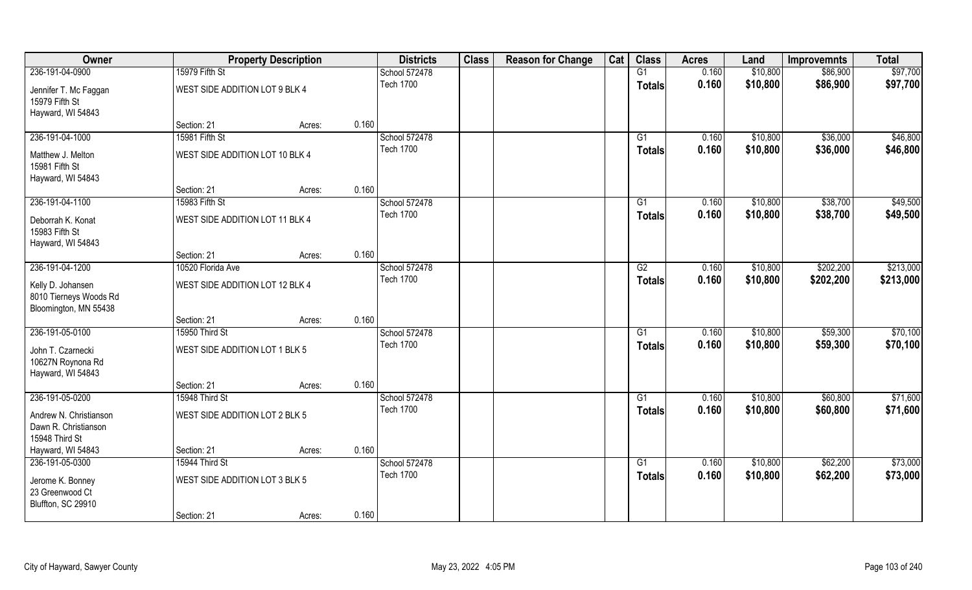| Owner                                                                |                                 | <b>Property Description</b> | <b>Districts</b> | <b>Class</b> | <b>Reason for Change</b> | Cat | <b>Class</b>    | <b>Acres</b> | Land     | <b>Improvemnts</b> | <b>Total</b> |
|----------------------------------------------------------------------|---------------------------------|-----------------------------|------------------|--------------|--------------------------|-----|-----------------|--------------|----------|--------------------|--------------|
| 236-191-04-0900                                                      | 15979 Fifth St                  |                             | School 572478    |              |                          |     | G1              | 0.160        | \$10,800 | \$86,900           | \$97,700     |
| Jennifer T. Mc Faggan<br>15979 Fifth St                              | WEST SIDE ADDITION LOT 9 BLK 4  |                             | <b>Tech 1700</b> |              |                          |     | <b>Totals</b>   | 0.160        | \$10,800 | \$86,900           | \$97,700     |
| Hayward, WI 54843                                                    |                                 |                             |                  |              |                          |     |                 |              |          |                    |              |
|                                                                      | Section: 21                     | Acres:                      | 0.160            |              |                          |     |                 |              |          |                    |              |
| 236-191-04-1000                                                      | 15981 Fifth St                  |                             | School 572478    |              |                          |     | G1              | 0.160        | \$10,800 | \$36,000           | \$46,800     |
| Matthew J. Melton<br>15981 Fifth St                                  | WEST SIDE ADDITION LOT 10 BLK 4 |                             | <b>Tech 1700</b> |              |                          |     | Totals          | 0.160        | \$10,800 | \$36,000           | \$46,800     |
| Hayward, WI 54843                                                    |                                 |                             |                  |              |                          |     |                 |              |          |                    |              |
|                                                                      | Section: 21                     | Acres:                      | 0.160            |              |                          |     |                 |              |          |                    |              |
| 236-191-04-1100                                                      | 15983 Fifth St                  |                             | School 572478    |              |                          |     | G1              | 0.160        | \$10,800 | \$38,700           | \$49,500     |
| Deborrah K. Konat<br>15983 Fifth St<br>Hayward, WI 54843             | WEST SIDE ADDITION LOT 11 BLK 4 |                             | <b>Tech 1700</b> |              |                          |     | <b>Totals</b>   | 0.160        | \$10,800 | \$38,700           | \$49,500     |
|                                                                      | Section: 21                     | Acres:                      | 0.160            |              |                          |     |                 |              |          |                    |              |
| 236-191-04-1200                                                      | 10520 Florida Ave               |                             | School 572478    |              |                          |     | G2              | 0.160        | \$10,800 | \$202,200          | \$213,000    |
|                                                                      |                                 |                             | <b>Tech 1700</b> |              |                          |     | Totals          | 0.160        | \$10,800 | \$202,200          | \$213,000    |
| Kelly D. Johansen<br>8010 Tierneys Woods Rd<br>Bloomington, MN 55438 | WEST SIDE ADDITION LOT 12 BLK 4 |                             |                  |              |                          |     |                 |              |          |                    |              |
|                                                                      | Section: 21                     | Acres:                      | 0.160            |              |                          |     |                 |              |          |                    |              |
| 236-191-05-0100                                                      | 15950 Third St                  |                             | School 572478    |              |                          |     | $\overline{G1}$ | 0.160        | \$10,800 | \$59,300           | \$70,100     |
| John T. Czarnecki<br>10627N Roynona Rd<br>Hayward, WI 54843          | WEST SIDE ADDITION LOT 1 BLK 5  |                             | <b>Tech 1700</b> |              |                          |     | <b>Totals</b>   | 0.160        | \$10,800 | \$59,300           | \$70,100     |
|                                                                      | Section: 21                     | Acres:                      | 0.160            |              |                          |     |                 |              |          |                    |              |
| 236-191-05-0200                                                      | 15948 Third St                  |                             | School 572478    |              |                          |     | G1              | 0.160        | \$10,800 | \$60,800           | \$71,600     |
| Andrew N. Christianson<br>Dawn R. Christianson<br>15948 Third St     | WEST SIDE ADDITION LOT 2 BLK 5  |                             | <b>Tech 1700</b> |              |                          |     | <b>Totals</b>   | 0.160        | \$10,800 | \$60,800           | \$71,600     |
| Hayward, WI 54843                                                    | Section: 21                     | Acres:                      | 0.160            |              |                          |     |                 |              |          |                    |              |
| 236-191-05-0300                                                      | 15944 Third St                  |                             | School 572478    |              |                          |     | $\overline{G1}$ | 0.160        | \$10,800 | \$62,200           | \$73,000     |
| Jerome K. Bonney<br>23 Greenwood Ct<br>Bluffton, SC 29910            | WEST SIDE ADDITION LOT 3 BLK 5  |                             | <b>Tech 1700</b> |              |                          |     | <b>Totals</b>   | 0.160        | \$10,800 | \$62,200           | \$73,000     |
|                                                                      | Section: 21                     | Acres:                      | 0.160            |              |                          |     |                 |              |          |                    |              |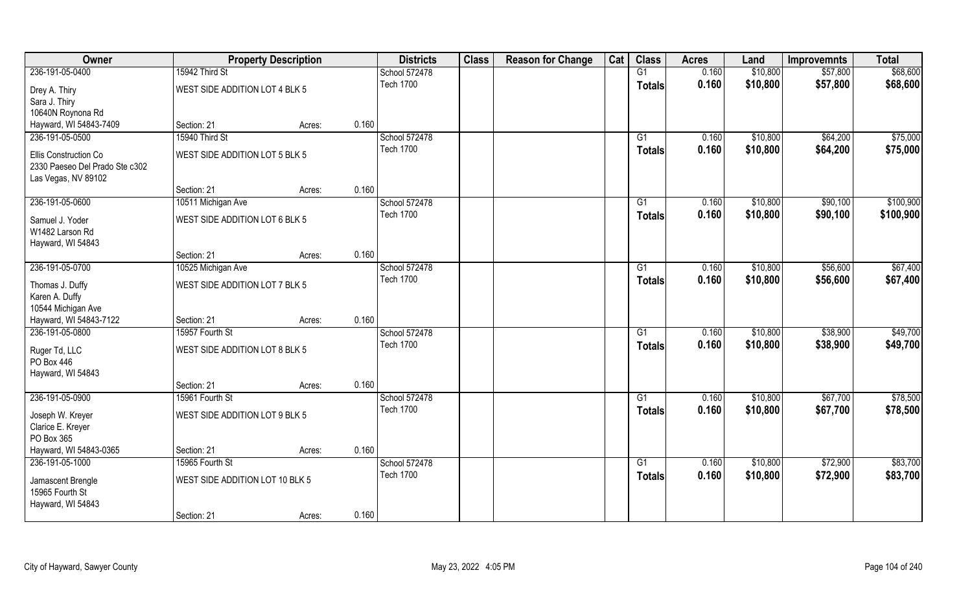| Owner                          |                                 | <b>Property Description</b> |       | <b>Districts</b> | <b>Class</b> | <b>Reason for Change</b> | Cat | <b>Class</b>    | <b>Acres</b> | Land     | <b>Improvemnts</b> | <b>Total</b> |
|--------------------------------|---------------------------------|-----------------------------|-------|------------------|--------------|--------------------------|-----|-----------------|--------------|----------|--------------------|--------------|
| 236-191-05-0400                | 15942 Third St                  |                             |       | School 572478    |              |                          |     | G1              | 0.160        | \$10,800 | \$57,800           | \$68,600     |
| Drey A. Thiry                  | WEST SIDE ADDITION LOT 4 BLK 5  |                             |       | <b>Tech 1700</b> |              |                          |     | <b>Totals</b>   | 0.160        | \$10,800 | \$57,800           | \$68,600     |
| Sara J. Thiry                  |                                 |                             |       |                  |              |                          |     |                 |              |          |                    |              |
| 10640N Roynona Rd              |                                 |                             |       |                  |              |                          |     |                 |              |          |                    |              |
| Hayward, WI 54843-7409         | Section: 21                     | Acres:                      | 0.160 |                  |              |                          |     |                 |              |          |                    |              |
| 236-191-05-0500                | 15940 Third St                  |                             |       | School 572478    |              |                          |     | G1              | 0.160        | \$10,800 | \$64,200           | \$75,000     |
| Ellis Construction Co          | WEST SIDE ADDITION LOT 5 BLK 5  |                             |       | <b>Tech 1700</b> |              |                          |     | Totals          | 0.160        | \$10,800 | \$64,200           | \$75,000     |
| 2330 Paeseo Del Prado Ste c302 |                                 |                             |       |                  |              |                          |     |                 |              |          |                    |              |
| Las Vegas, NV 89102            |                                 |                             |       |                  |              |                          |     |                 |              |          |                    |              |
|                                | Section: 21                     | Acres:                      | 0.160 |                  |              |                          |     |                 |              |          |                    |              |
| 236-191-05-0600                | 10511 Michigan Ave              |                             |       | School 572478    |              |                          |     | G1              | 0.160        | \$10,800 | \$90,100           | \$100,900    |
| Samuel J. Yoder                | WEST SIDE ADDITION LOT 6 BLK 5  |                             |       | <b>Tech 1700</b> |              |                          |     | <b>Totals</b>   | 0.160        | \$10,800 | \$90,100           | \$100,900    |
| W1482 Larson Rd                |                                 |                             |       |                  |              |                          |     |                 |              |          |                    |              |
| Hayward, WI 54843              |                                 |                             |       |                  |              |                          |     |                 |              |          |                    |              |
|                                | Section: 21                     | Acres:                      | 0.160 |                  |              |                          |     |                 |              |          |                    |              |
| 236-191-05-0700                | 10525 Michigan Ave              |                             |       | School 572478    |              |                          |     | G1              | 0.160        | \$10,800 | \$56,600           | \$67,400     |
| Thomas J. Duffy                | WEST SIDE ADDITION LOT 7 BLK 5  |                             |       | <b>Tech 1700</b> |              |                          |     | <b>Totals</b>   | 0.160        | \$10,800 | \$56,600           | \$67,400     |
| Karen A. Duffy                 |                                 |                             |       |                  |              |                          |     |                 |              |          |                    |              |
| 10544 Michigan Ave             |                                 |                             |       |                  |              |                          |     |                 |              |          |                    |              |
| Hayward, WI 54843-7122         | Section: 21                     | Acres:                      | 0.160 |                  |              |                          |     |                 |              |          |                    |              |
| 236-191-05-0800                | 15957 Fourth St                 |                             |       | School 572478    |              |                          |     | $\overline{G1}$ | 0.160        | \$10,800 | \$38,900           | \$49,700     |
| Ruger Td, LLC                  | WEST SIDE ADDITION LOT 8 BLK 5  |                             |       | <b>Tech 1700</b> |              |                          |     | <b>Totals</b>   | 0.160        | \$10,800 | \$38,900           | \$49,700     |
| PO Box 446                     |                                 |                             |       |                  |              |                          |     |                 |              |          |                    |              |
| Hayward, WI 54843              |                                 |                             |       |                  |              |                          |     |                 |              |          |                    |              |
|                                | Section: 21                     | Acres:                      | 0.160 |                  |              |                          |     |                 |              |          |                    |              |
| 236-191-05-0900                | 15961 Fourth St                 |                             |       | School 572478    |              |                          |     | G1              | 0.160        | \$10,800 | \$67,700           | \$78,500     |
| Joseph W. Kreyer               | WEST SIDE ADDITION LOT 9 BLK 5  |                             |       | <b>Tech 1700</b> |              |                          |     | <b>Totals</b>   | 0.160        | \$10,800 | \$67,700           | \$78,500     |
| Clarice E. Kreyer              |                                 |                             |       |                  |              |                          |     |                 |              |          |                    |              |
| PO Box 365                     |                                 |                             |       |                  |              |                          |     |                 |              |          |                    |              |
| Hayward, WI 54843-0365         | Section: 21                     | Acres:                      | 0.160 |                  |              |                          |     |                 |              |          |                    |              |
| 236-191-05-1000                | 15965 Fourth St                 |                             |       | School 572478    |              |                          |     | G1              | 0.160        | \$10,800 | \$72,900           | \$83,700     |
| Jamascent Brengle              | WEST SIDE ADDITION LOT 10 BLK 5 |                             |       | <b>Tech 1700</b> |              |                          |     | <b>Totals</b>   | 0.160        | \$10,800 | \$72,900           | \$83,700     |
| 15965 Fourth St                |                                 |                             |       |                  |              |                          |     |                 |              |          |                    |              |
| Hayward, WI 54843              |                                 |                             |       |                  |              |                          |     |                 |              |          |                    |              |
|                                | Section: 21                     | Acres:                      | 0.160 |                  |              |                          |     |                 |              |          |                    |              |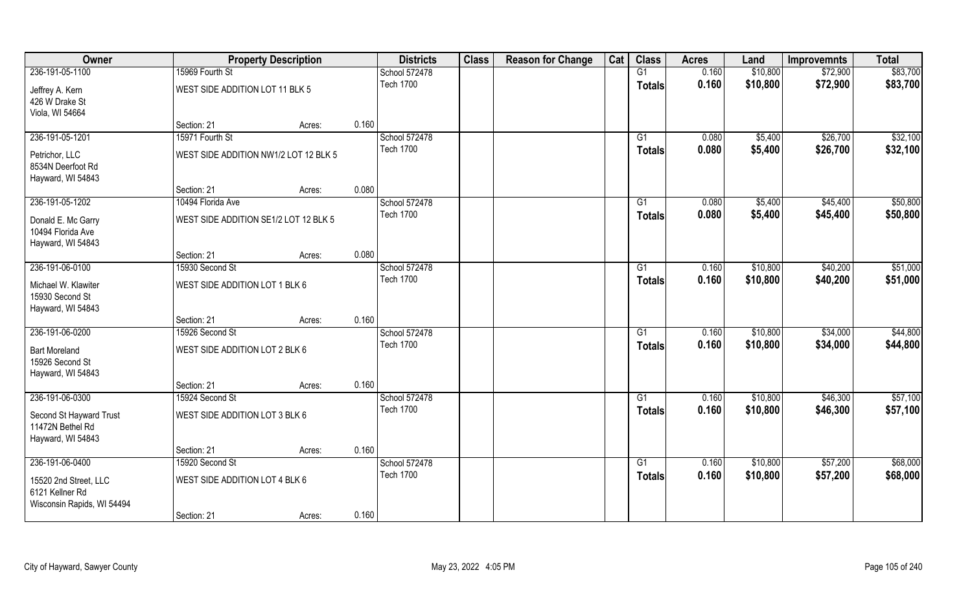| Owner                                                                  |                                       | <b>Property Description</b> |       | <b>Districts</b> | <b>Class</b> | <b>Reason for Change</b> | Cat | <b>Class</b>    | <b>Acres</b> | Land     | <b>Improvemnts</b> | <b>Total</b> |
|------------------------------------------------------------------------|---------------------------------------|-----------------------------|-------|------------------|--------------|--------------------------|-----|-----------------|--------------|----------|--------------------|--------------|
| 236-191-05-1100                                                        | 15969 Fourth St                       |                             |       | School 572478    |              |                          |     | G1              | 0.160        | \$10,800 | \$72,900           | \$83,700     |
| Jeffrey A. Kern<br>426 W Drake St<br>Viola, WI 54664                   | WEST SIDE ADDITION LOT 11 BLK 5       |                             |       | <b>Tech 1700</b> |              |                          |     | <b>Totals</b>   | 0.160        | \$10,800 | \$72,900           | \$83,700     |
|                                                                        | Section: 21                           | Acres:                      | 0.160 |                  |              |                          |     |                 |              |          |                    |              |
| 236-191-05-1201                                                        | 15971 Fourth St                       |                             |       | School 572478    |              |                          |     | G1              | 0.080        | \$5,400  | \$26,700           | \$32,100     |
| Petrichor, LLC<br>8534N Deerfoot Rd<br>Hayward, WI 54843               | WEST SIDE ADDITION NW1/2 LOT 12 BLK 5 |                             |       | <b>Tech 1700</b> |              |                          |     | Totals          | 0.080        | \$5,400  | \$26,700           | \$32,100     |
|                                                                        | Section: 21                           | Acres:                      | 0.080 |                  |              |                          |     |                 |              |          |                    |              |
| 236-191-05-1202                                                        | 10494 Florida Ave                     |                             |       | School 572478    |              |                          |     | G1              | 0.080        | \$5,400  | \$45,400           | \$50,800     |
| Donald E. Mc Garry<br>10494 Florida Ave<br>Hayward, WI 54843           | WEST SIDE ADDITION SE1/2 LOT 12 BLK 5 |                             |       | <b>Tech 1700</b> |              |                          |     | <b>Totals</b>   | 0.080        | \$5,400  | \$45,400           | \$50,800     |
|                                                                        | Section: 21                           | Acres:                      | 0.080 |                  |              |                          |     |                 |              |          |                    |              |
| 236-191-06-0100                                                        | 15930 Second St                       |                             |       | School 572478    |              |                          |     | G1              | 0.160        | \$10,800 | \$40,200           | \$51,000     |
| Michael W. Klawiter<br>15930 Second St<br>Hayward, WI 54843            | WEST SIDE ADDITION LOT 1 BLK 6        |                             |       | <b>Tech 1700</b> |              |                          |     | Totals          | 0.160        | \$10,800 | \$40,200           | \$51,000     |
|                                                                        | Section: 21                           | Acres:                      | 0.160 |                  |              |                          |     |                 |              |          |                    |              |
| 236-191-06-0200                                                        | 15926 Second St                       |                             |       | School 572478    |              |                          |     | $\overline{G1}$ | 0.160        | \$10,800 | \$34,000           | \$44,800     |
| <b>Bart Moreland</b><br>15926 Second St<br>Hayward, WI 54843           | WEST SIDE ADDITION LOT 2 BLK 6        |                             |       | <b>Tech 1700</b> |              |                          |     | <b>Totals</b>   | 0.160        | \$10,800 | \$34,000           | \$44,800     |
|                                                                        | Section: 21                           | Acres:                      | 0.160 |                  |              |                          |     |                 |              |          |                    |              |
| 236-191-06-0300                                                        | 15924 Second St                       |                             |       | School 572478    |              |                          |     | G1              | 0.160        | \$10,800 | \$46,300           | \$57,100     |
| Second St Hayward Trust<br>11472N Bethel Rd<br>Hayward, WI 54843       | WEST SIDE ADDITION LOT 3 BLK 6        |                             |       | <b>Tech 1700</b> |              |                          |     | <b>Totals</b>   | 0.160        | \$10,800 | \$46,300           | \$57,100     |
|                                                                        | Section: 21                           | Acres:                      | 0.160 |                  |              |                          |     |                 |              |          |                    |              |
| 236-191-06-0400                                                        | 15920 Second St                       |                             |       | School 572478    |              |                          |     | G1              | 0.160        | \$10,800 | \$57,200           | \$68,000     |
| 15520 2nd Street, LLC<br>6121 Kellner Rd<br>Wisconsin Rapids, WI 54494 | WEST SIDE ADDITION LOT 4 BLK 6        |                             |       | <b>Tech 1700</b> |              |                          |     | <b>Totals</b>   | 0.160        | \$10,800 | \$57,200           | \$68,000     |
|                                                                        | Section: 21                           | Acres:                      | 0.160 |                  |              |                          |     |                 |              |          |                    |              |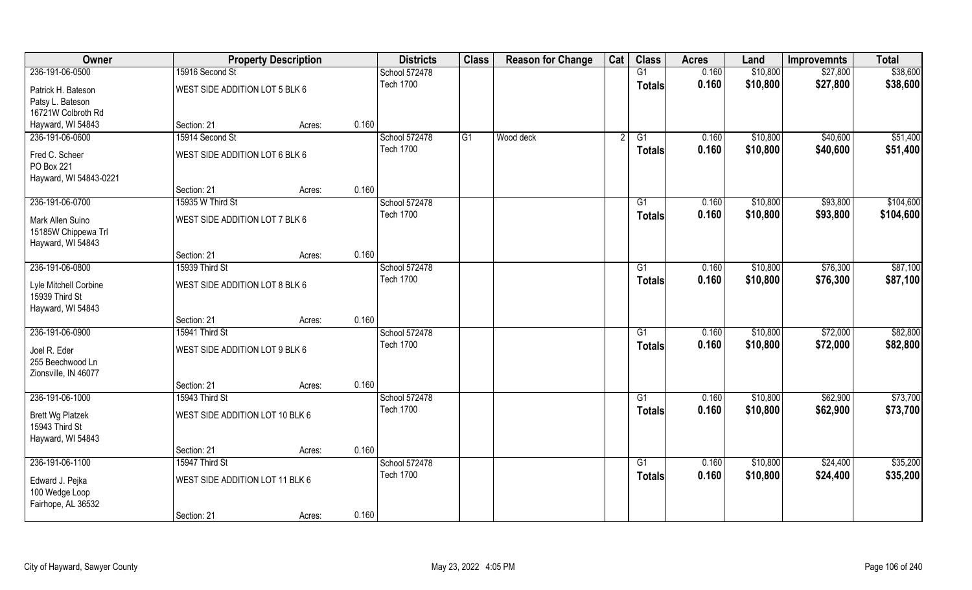| Owner                                                          |                                 | <b>Property Description</b> | <b>Districts</b> | <b>Class</b> | <b>Reason for Change</b> | Cat | <b>Class</b>    | <b>Acres</b> | Land     | <b>Improvemnts</b> | <b>Total</b> |
|----------------------------------------------------------------|---------------------------------|-----------------------------|------------------|--------------|--------------------------|-----|-----------------|--------------|----------|--------------------|--------------|
| 236-191-06-0500                                                | 15916 Second St                 |                             | School 572478    |              |                          |     | G1              | 0.160        | \$10,800 | \$27,800           | \$38,600     |
| Patrick H. Bateson<br>Patsy L. Bateson                         | WEST SIDE ADDITION LOT 5 BLK 6  |                             | <b>Tech 1700</b> |              |                          |     | <b>Totals</b>   | 0.160        | \$10,800 | \$27,800           | \$38,600     |
| 16721W Colbroth Rd                                             |                                 |                             |                  |              |                          |     |                 |              |          |                    |              |
| Hayward, WI 54843                                              | Section: 21                     | Acres:                      | 0.160            |              |                          |     |                 |              |          |                    |              |
| 236-191-06-0600                                                | 15914 Second St                 |                             | School 572478    | G1           | Wood deck                |     | G1              | 0.160        | \$10,800 | \$40,600           | \$51,400     |
| Fred C. Scheer<br>PO Box 221                                   | WEST SIDE ADDITION LOT 6 BLK 6  |                             | <b>Tech 1700</b> |              |                          |     | Totals          | 0.160        | \$10,800 | \$40,600           | \$51,400     |
| Hayward, WI 54843-0221                                         | Section: 21                     | Acres:                      | 0.160            |              |                          |     |                 |              |          |                    |              |
| 236-191-06-0700                                                | 15935 W Third St                |                             | School 572478    |              |                          |     | G1              | 0.160        | \$10,800 | \$93,800           | \$104,600    |
| Mark Allen Suino<br>15185W Chippewa Trl<br>Hayward, WI 54843   | WEST SIDE ADDITION LOT 7 BLK 6  |                             | <b>Tech 1700</b> |              |                          |     | <b>Totals</b>   | 0.160        | \$10,800 | \$93,800           | \$104,600    |
|                                                                | Section: 21                     | Acres:                      | 0.160            |              |                          |     |                 |              |          |                    |              |
| 236-191-06-0800                                                | 15939 Third St                  |                             | School 572478    |              |                          |     | G1              | 0.160        | \$10,800 | \$76,300           | \$87,100     |
| Lyle Mitchell Corbine<br>15939 Third St<br>Hayward, WI 54843   | WEST SIDE ADDITION LOT 8 BLK 6  |                             | <b>Tech 1700</b> |              |                          |     | Totals          | 0.160        | \$10,800 | \$76,300           | \$87,100     |
|                                                                | Section: 21                     | Acres:                      | 0.160            |              |                          |     |                 |              |          |                    |              |
| 236-191-06-0900                                                | 15941 Third St                  |                             | School 572478    |              |                          |     | $\overline{G1}$ | 0.160        | \$10,800 | \$72,000           | \$82,800     |
| Joel R. Eder<br>255 Beechwood Ln<br>Zionsville, IN 46077       | WEST SIDE ADDITION LOT 9 BLK 6  |                             | <b>Tech 1700</b> |              |                          |     | <b>Totals</b>   | 0.160        | \$10,800 | \$72,000           | \$82,800     |
|                                                                | Section: 21                     | Acres:                      | 0.160            |              |                          |     |                 |              |          |                    |              |
| 236-191-06-1000                                                | 15943 Third St                  |                             | School 572478    |              |                          |     | G1              | 0.160        | \$10,800 | \$62,900           | \$73,700     |
| <b>Brett Wg Platzek</b><br>15943 Third St<br>Hayward, WI 54843 | WEST SIDE ADDITION LOT 10 BLK 6 |                             | <b>Tech 1700</b> |              |                          |     | <b>Totals</b>   | 0.160        | \$10,800 | \$62,900           | \$73,700     |
|                                                                | Section: 21                     | Acres:                      | 0.160            |              |                          |     |                 |              |          |                    |              |
| 236-191-06-1100                                                | 15947 Third St                  |                             | School 572478    |              |                          |     | $\overline{G1}$ | 0.160        | \$10,800 | \$24,400           | \$35,200     |
| Edward J. Pejka<br>100 Wedge Loop<br>Fairhope, AL 36532        | WEST SIDE ADDITION LOT 11 BLK 6 |                             | <b>Tech 1700</b> |              |                          |     | <b>Totals</b>   | 0.160        | \$10,800 | \$24,400           | \$35,200     |
|                                                                | Section: 21                     | Acres:                      | 0.160            |              |                          |     |                 |              |          |                    |              |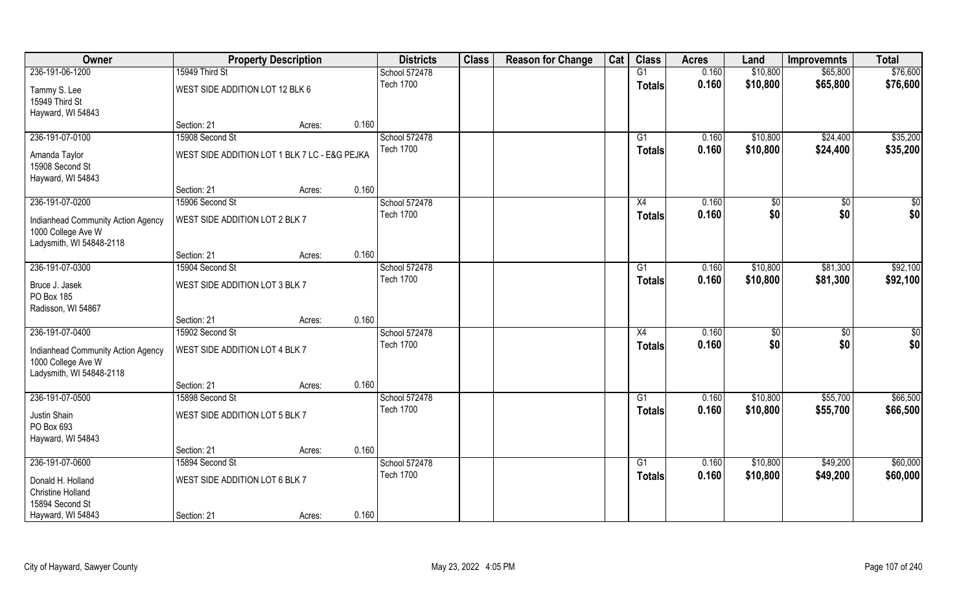| Owner                                                    | <b>Property Description</b>                   |        |       | <b>Districts</b>                  | <b>Class</b> | <b>Reason for Change</b> | Cat | <b>Class</b>  | <b>Acres</b> | Land     | <b>Improvemnts</b> | <b>Total</b> |
|----------------------------------------------------------|-----------------------------------------------|--------|-------|-----------------------------------|--------------|--------------------------|-----|---------------|--------------|----------|--------------------|--------------|
| 236-191-06-1200                                          | 15949 Third St                                |        |       | School 572478                     |              |                          |     | G1            | 0.160        | \$10,800 | \$65,800           | \$76,600     |
| Tammy S. Lee<br>15949 Third St                           | WEST SIDE ADDITION LOT 12 BLK 6               |        |       | <b>Tech 1700</b>                  |              |                          |     | <b>Totals</b> | 0.160        | \$10,800 | \$65,800           | \$76,600     |
| Hayward, WI 54843                                        |                                               |        |       |                                   |              |                          |     |               |              |          |                    |              |
|                                                          | Section: 21                                   | Acres: | 0.160 |                                   |              |                          |     |               |              |          |                    |              |
| 236-191-07-0100                                          | 15908 Second St                               |        |       | School 572478                     |              |                          |     | G1            | 0.160        | \$10,800 | \$24,400           | \$35,200     |
| Amanda Taylor                                            | WEST SIDE ADDITION LOT 1 BLK 7 LC - E&G PEJKA |        |       | <b>Tech 1700</b>                  |              |                          |     | Totals        | 0.160        | \$10,800 | \$24,400           | \$35,200     |
| 15908 Second St                                          |                                               |        |       |                                   |              |                          |     |               |              |          |                    |              |
| Hayward, WI 54843                                        |                                               |        |       |                                   |              |                          |     |               |              |          |                    |              |
|                                                          | Section: 21                                   | Acres: | 0.160 |                                   |              |                          |     |               |              |          |                    |              |
| 236-191-07-0200                                          | 15906 Second St                               |        |       | School 572478                     |              |                          |     | X4            | 0.160        | \$0      | \$0                | \$0          |
| Indianhead Community Action Agency<br>1000 College Ave W | WEST SIDE ADDITION LOT 2 BLK 7                |        |       | <b>Tech 1700</b>                  |              |                          |     | <b>Totals</b> | 0.160        | \$0      | \$0                | \$0          |
| Ladysmith, WI 54848-2118                                 |                                               |        |       |                                   |              |                          |     |               |              |          |                    |              |
|                                                          | Section: 21                                   | Acres: | 0.160 |                                   |              |                          |     |               |              |          |                    |              |
| 236-191-07-0300                                          | 15904 Second St                               |        |       | School 572478                     |              |                          |     | G1            | 0.160        | \$10,800 | \$81,300           | \$92,100     |
| Bruce J. Jasek<br>PO Box 185<br>Radisson, WI 54867       | WEST SIDE ADDITION LOT 3 BLK 7                |        |       | <b>Tech 1700</b>                  |              |                          |     | <b>Totals</b> | 0.160        | \$10,800 | \$81,300           | \$92,100     |
|                                                          | Section: 21                                   | Acres: | 0.160 |                                   |              |                          |     |               |              |          |                    |              |
| 236-191-07-0400                                          | 15902 Second St                               |        |       | School 572478                     |              |                          |     | X4            | 0.160        | \$0      | $\overline{50}$    | \$0          |
|                                                          |                                               |        |       | <b>Tech 1700</b>                  |              |                          |     | <b>Totals</b> | 0.160        | \$0      | \$0                | \$0          |
| Indianhead Community Action Agency<br>1000 College Ave W | WEST SIDE ADDITION LOT 4 BLK 7                |        |       |                                   |              |                          |     |               |              |          |                    |              |
| Ladysmith, WI 54848-2118                                 |                                               |        |       |                                   |              |                          |     |               |              |          |                    |              |
|                                                          | Section: 21                                   | Acres: | 0.160 |                                   |              |                          |     |               |              |          |                    |              |
| 236-191-07-0500                                          | 15898 Second St                               |        |       | School 572478                     |              |                          |     | G1            | 0.160        | \$10,800 | \$55,700           | \$66,500     |
| Justin Shain<br>PO Box 693                               | WEST SIDE ADDITION LOT 5 BLK 7                |        |       | <b>Tech 1700</b>                  |              |                          |     | <b>Totals</b> | 0.160        | \$10,800 | \$55,700           | \$66,500     |
| Hayward, WI 54843                                        |                                               |        |       |                                   |              |                          |     |               |              |          |                    |              |
|                                                          | Section: 21                                   | Acres: | 0.160 |                                   |              |                          |     |               |              |          |                    |              |
| 236-191-07-0600                                          | 15894 Second St                               |        |       | School 572478<br><b>Tech 1700</b> |              |                          |     | G1            | 0.160        | \$10,800 | \$49,200           | \$60,000     |
| Donald H. Holland                                        | WEST SIDE ADDITION LOT 6 BLK 7                |        |       |                                   |              |                          |     | <b>Totals</b> | 0.160        | \$10,800 | \$49,200           | \$60,000     |
| <b>Christine Holland</b>                                 |                                               |        |       |                                   |              |                          |     |               |              |          |                    |              |
| 15894 Second St                                          |                                               |        |       |                                   |              |                          |     |               |              |          |                    |              |
| Hayward, WI 54843                                        | Section: 21                                   | Acres: | 0.160 |                                   |              |                          |     |               |              |          |                    |              |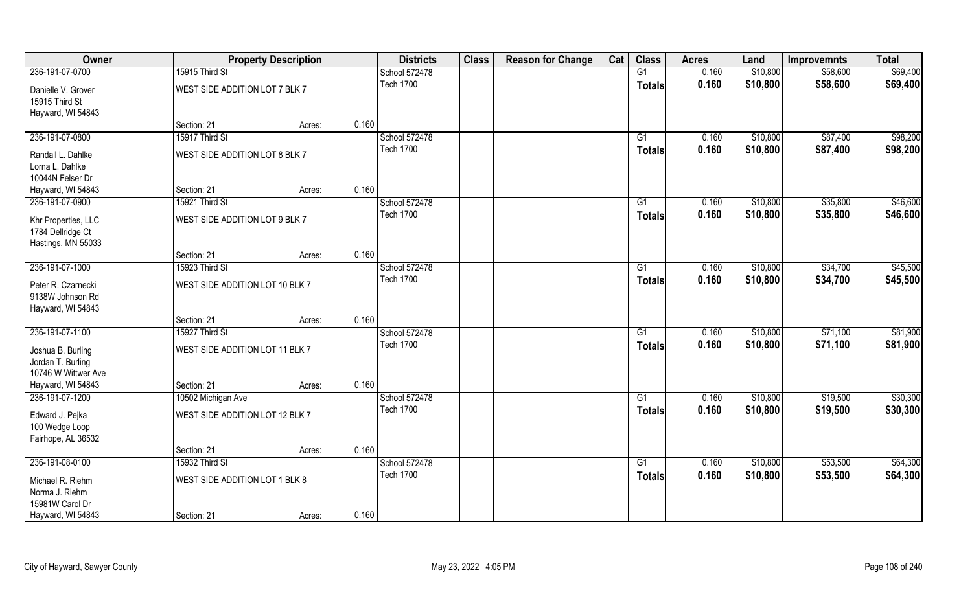| Owner               |                                 | <b>Property Description</b> |       | <b>Districts</b> | <b>Class</b> | <b>Reason for Change</b> | Cat | <b>Class</b>    | <b>Acres</b> | Land     | <b>Improvemnts</b> | <b>Total</b> |
|---------------------|---------------------------------|-----------------------------|-------|------------------|--------------|--------------------------|-----|-----------------|--------------|----------|--------------------|--------------|
| 236-191-07-0700     | 15915 Third St                  |                             |       | School 572478    |              |                          |     | G1              | 0.160        | \$10,800 | \$58,600           | \$69,400     |
| Danielle V. Grover  | WEST SIDE ADDITION LOT 7 BLK 7  |                             |       | <b>Tech 1700</b> |              |                          |     | <b>Totals</b>   | 0.160        | \$10,800 | \$58,600           | \$69,400     |
| 15915 Third St      |                                 |                             |       |                  |              |                          |     |                 |              |          |                    |              |
| Hayward, WI 54843   |                                 |                             |       |                  |              |                          |     |                 |              |          |                    |              |
|                     | Section: 21                     | Acres:                      | 0.160 |                  |              |                          |     |                 |              |          |                    |              |
| 236-191-07-0800     | 15917 Third St                  |                             |       | School 572478    |              |                          |     | G1              | 0.160        | \$10,800 | \$87,400           | \$98,200     |
| Randall L. Dahlke   | WEST SIDE ADDITION LOT 8 BLK 7  |                             |       | <b>Tech 1700</b> |              |                          |     | Totals          | 0.160        | \$10,800 | \$87,400           | \$98,200     |
| Lorna L. Dahlke     |                                 |                             |       |                  |              |                          |     |                 |              |          |                    |              |
| 10044N Felser Dr    |                                 |                             |       |                  |              |                          |     |                 |              |          |                    |              |
| Hayward, WI 54843   | Section: 21                     | Acres:                      | 0.160 |                  |              |                          |     |                 |              |          |                    |              |
| 236-191-07-0900     | 15921 Third St                  |                             |       | School 572478    |              |                          |     | G1              | 0.160        | \$10,800 | \$35,800           | \$46,600     |
| Khr Properties, LLC | WEST SIDE ADDITION LOT 9 BLK 7  |                             |       | <b>Tech 1700</b> |              |                          |     | <b>Totals</b>   | 0.160        | \$10,800 | \$35,800           | \$46,600     |
| 1784 Dellridge Ct   |                                 |                             |       |                  |              |                          |     |                 |              |          |                    |              |
| Hastings, MN 55033  |                                 |                             |       |                  |              |                          |     |                 |              |          |                    |              |
|                     | Section: 21                     | Acres:                      | 0.160 |                  |              |                          |     |                 |              |          |                    |              |
| 236-191-07-1000     | 15923 Third St                  |                             |       | School 572478    |              |                          |     | G1              | 0.160        | \$10,800 | \$34,700           | \$45,500     |
| Peter R. Czarnecki  | WEST SIDE ADDITION LOT 10 BLK 7 |                             |       | <b>Tech 1700</b> |              |                          |     | <b>Totals</b>   | 0.160        | \$10,800 | \$34,700           | \$45,500     |
| 9138W Johnson Rd    |                                 |                             |       |                  |              |                          |     |                 |              |          |                    |              |
| Hayward, WI 54843   |                                 |                             |       |                  |              |                          |     |                 |              |          |                    |              |
|                     | Section: 21                     | Acres:                      | 0.160 |                  |              |                          |     |                 |              |          |                    |              |
| 236-191-07-1100     | 15927 Third St                  |                             |       | School 572478    |              |                          |     | $\overline{G1}$ | 0.160        | \$10,800 | \$71,100           | \$81,900     |
| Joshua B. Burling   | WEST SIDE ADDITION LOT 11 BLK 7 |                             |       | <b>Tech 1700</b> |              |                          |     | <b>Totals</b>   | 0.160        | \$10,800 | \$71,100           | \$81,900     |
| Jordan T. Burling   |                                 |                             |       |                  |              |                          |     |                 |              |          |                    |              |
| 10746 W Wittwer Ave |                                 |                             |       |                  |              |                          |     |                 |              |          |                    |              |
| Hayward, WI 54843   | Section: 21                     | Acres:                      | 0.160 |                  |              |                          |     |                 |              |          |                    |              |
| 236-191-07-1200     | 10502 Michigan Ave              |                             |       | School 572478    |              |                          |     | G1              | 0.160        | \$10,800 | \$19,500           | \$30,300     |
| Edward J. Pejka     | WEST SIDE ADDITION LOT 12 BLK 7 |                             |       | <b>Tech 1700</b> |              |                          |     | <b>Totals</b>   | 0.160        | \$10,800 | \$19,500           | \$30,300     |
| 100 Wedge Loop      |                                 |                             |       |                  |              |                          |     |                 |              |          |                    |              |
| Fairhope, AL 36532  |                                 |                             |       |                  |              |                          |     |                 |              |          |                    |              |
|                     | Section: 21                     | Acres:                      | 0.160 |                  |              |                          |     |                 |              |          |                    |              |
| 236-191-08-0100     | 15932 Third St                  |                             |       | School 572478    |              |                          |     | G1              | 0.160        | \$10,800 | \$53,500           | \$64,300     |
| Michael R. Riehm    | WEST SIDE ADDITION LOT 1 BLK 8  |                             |       | <b>Tech 1700</b> |              |                          |     | <b>Totals</b>   | 0.160        | \$10,800 | \$53,500           | \$64,300     |
| Norma J. Riehm      |                                 |                             |       |                  |              |                          |     |                 |              |          |                    |              |
| 15981W Carol Dr     |                                 |                             |       |                  |              |                          |     |                 |              |          |                    |              |
| Hayward, WI 54843   | Section: 21                     | Acres:                      | 0.160 |                  |              |                          |     |                 |              |          |                    |              |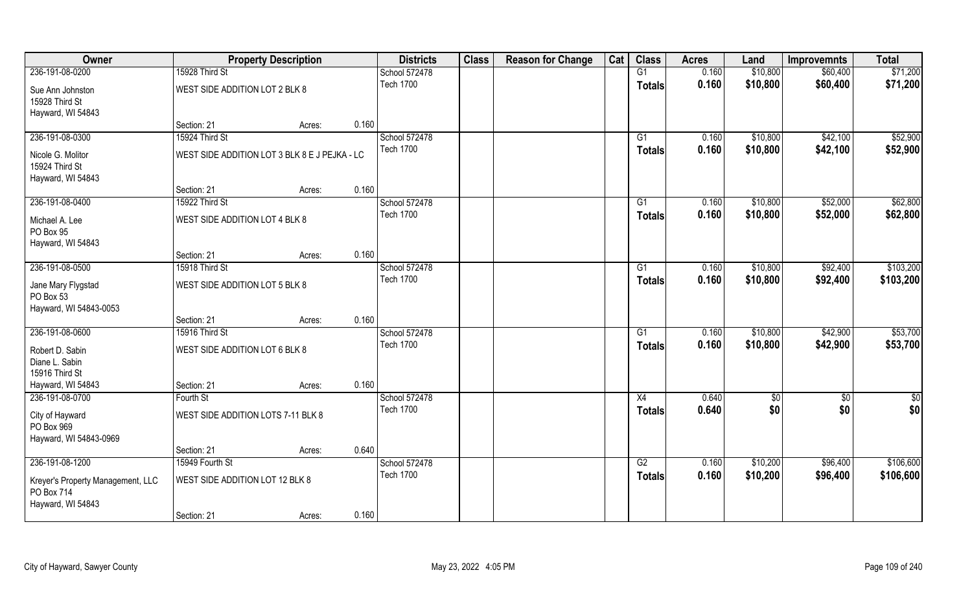| Owner                                                     |                                               | <b>Property Description</b> |       | <b>Districts</b> | <b>Class</b> | <b>Reason for Change</b> | Cat | <b>Class</b>    | <b>Acres</b> | Land     | <b>Improvemnts</b> | <b>Total</b>  |
|-----------------------------------------------------------|-----------------------------------------------|-----------------------------|-------|------------------|--------------|--------------------------|-----|-----------------|--------------|----------|--------------------|---------------|
| 236-191-08-0200                                           | 15928 Third St                                |                             |       | School 572478    |              |                          |     | G1              | 0.160        | \$10,800 | \$60,400           | \$71,200      |
| Sue Ann Johnston<br>15928 Third St<br>Hayward, WI 54843   | WEST SIDE ADDITION LOT 2 BLK 8                |                             |       | <b>Tech 1700</b> |              |                          |     | <b>Totals</b>   | 0.160        | \$10,800 | \$60,400           | \$71,200      |
|                                                           | Section: 21                                   | Acres:                      | 0.160 |                  |              |                          |     |                 |              |          |                    |               |
| 236-191-08-0300                                           | 15924 Third St                                |                             |       | School 572478    |              |                          |     | G1              | 0.160        | \$10,800 | \$42,100           | \$52,900      |
| Nicole G. Molitor<br>15924 Third St<br>Hayward, WI 54843  | WEST SIDE ADDITION LOT 3 BLK 8 E J PEJKA - LC |                             |       | <b>Tech 1700</b> |              |                          |     | Totals          | 0.160        | \$10,800 | \$42,100           | \$52,900      |
|                                                           | Section: 21                                   | Acres:                      | 0.160 |                  |              |                          |     |                 |              |          |                    |               |
| 236-191-08-0400                                           | 15922 Third St                                |                             |       | School 572478    |              |                          |     | G1              | 0.160        | \$10,800 | \$52,000           | \$62,800      |
| Michael A. Lee<br>PO Box 95<br>Hayward, WI 54843          | WEST SIDE ADDITION LOT 4 BLK 8                |                             |       | <b>Tech 1700</b> |              |                          |     | <b>Totals</b>   | 0.160        | \$10,800 | \$52,000           | \$62,800      |
|                                                           | Section: 21                                   | Acres:                      | 0.160 |                  |              |                          |     |                 |              |          |                    |               |
| 236-191-08-0500                                           | 15918 Third St                                |                             |       | School 572478    |              |                          |     | G1              | 0.160        | \$10,800 | \$92,400           | \$103,200     |
| Jane Mary Flygstad<br>PO Box 53<br>Hayward, WI 54843-0053 | WEST SIDE ADDITION LOT 5 BLK 8                |                             |       | <b>Tech 1700</b> |              |                          |     | Totals          | 0.160        | \$10,800 | \$92,400           | \$103,200     |
|                                                           | Section: 21                                   | Acres:                      | 0.160 |                  |              |                          |     |                 |              |          |                    |               |
| 236-191-08-0600                                           | 15916 Third St                                |                             |       | School 572478    |              |                          |     | $\overline{G1}$ | 0.160        | \$10,800 | \$42,900           | \$53,700      |
| Robert D. Sabin<br>Diane L. Sabin<br>15916 Third St       | WEST SIDE ADDITION LOT 6 BLK 8                |                             |       | <b>Tech 1700</b> |              |                          |     | <b>Totals</b>   | 0.160        | \$10,800 | \$42,900           | \$53,700      |
| Hayward, WI 54843                                         | Section: 21                                   | Acres:                      | 0.160 |                  |              |                          |     |                 |              |          |                    |               |
| 236-191-08-0700                                           | Fourth St                                     |                             |       | School 572478    |              |                          |     | X4              | 0.640        | \$0      | $\overline{50}$    | $\frac{1}{2}$ |
| City of Hayward<br>PO Box 969<br>Hayward, WI 54843-0969   | WEST SIDE ADDITION LOTS 7-11 BLK 8            |                             |       | <b>Tech 1700</b> |              |                          |     | <b>Totals</b>   | 0.640        | \$0      | \$0                | \$0           |
|                                                           | Section: 21                                   | Acres:                      | 0.640 |                  |              |                          |     |                 |              |          |                    |               |
| 236-191-08-1200                                           | 15949 Fourth St                               |                             |       | School 572478    |              |                          |     | G2              | 0.160        | \$10,200 | \$96,400           | \$106,600     |
| Kreyer's Property Management, LLC<br>PO Box 714           | WEST SIDE ADDITION LOT 12 BLK 8               |                             |       | <b>Tech 1700</b> |              |                          |     | <b>Totals</b>   | 0.160        | \$10,200 | \$96,400           | \$106,600     |
| Hayward, WI 54843                                         | Section: 21                                   | Acres:                      | 0.160 |                  |              |                          |     |                 |              |          |                    |               |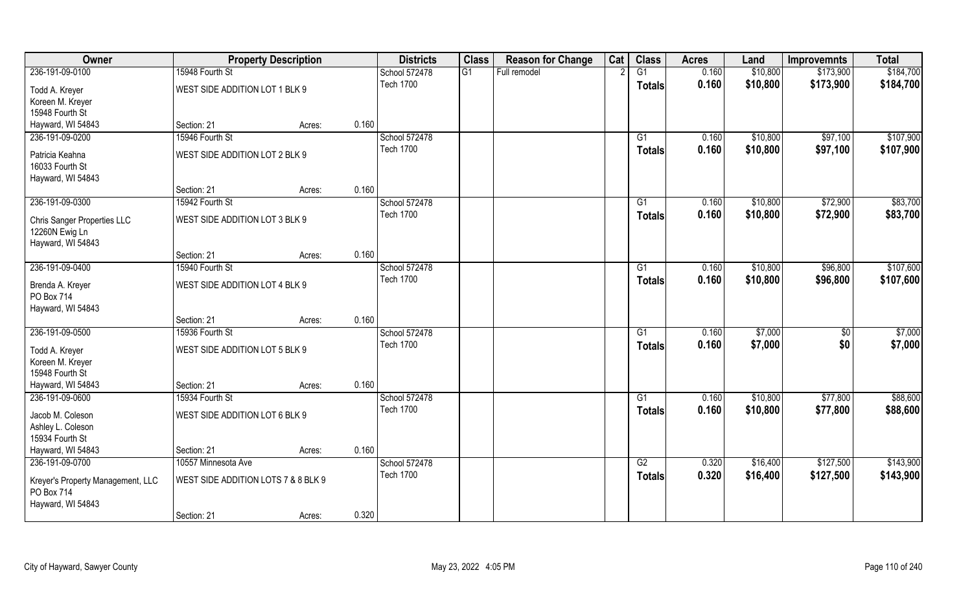| Owner                                           |                                     | <b>Property Description</b> |       | <b>Districts</b> | <b>Class</b> | <b>Reason for Change</b> | Cat | <b>Class</b>  | <b>Acres</b> | Land     | <b>Improvemnts</b> | <b>Total</b> |
|-------------------------------------------------|-------------------------------------|-----------------------------|-------|------------------|--------------|--------------------------|-----|---------------|--------------|----------|--------------------|--------------|
| 236-191-09-0100                                 | 15948 Fourth St                     |                             |       | School 572478    | G1           | Full remodel             |     | G1            | 0.160        | \$10,800 | \$173,900          | \$184,700    |
| Todd A. Kreyer                                  | WEST SIDE ADDITION LOT 1 BLK 9      |                             |       | <b>Tech 1700</b> |              |                          |     | <b>Totals</b> | 0.160        | \$10,800 | \$173,900          | \$184,700    |
| Koreen M. Kreyer                                |                                     |                             |       |                  |              |                          |     |               |              |          |                    |              |
| 15948 Fourth St                                 |                                     |                             |       |                  |              |                          |     |               |              |          |                    |              |
| Hayward, WI 54843                               | Section: 21                         | Acres:                      | 0.160 |                  |              |                          |     |               |              |          |                    |              |
| 236-191-09-0200                                 | 15946 Fourth St                     |                             |       | School 572478    |              |                          |     | G1            | 0.160        | \$10,800 | \$97,100           | \$107,900    |
| Patricia Keahna                                 | WEST SIDE ADDITION LOT 2 BLK 9      |                             |       | <b>Tech 1700</b> |              |                          |     | <b>Totals</b> | 0.160        | \$10,800 | \$97,100           | \$107,900    |
| 16033 Fourth St                                 |                                     |                             |       |                  |              |                          |     |               |              |          |                    |              |
| Hayward, WI 54843                               |                                     |                             |       |                  |              |                          |     |               |              |          |                    |              |
|                                                 | Section: 21                         | Acres:                      | 0.160 |                  |              |                          |     |               |              |          |                    |              |
| 236-191-09-0300                                 | 15942 Fourth St                     |                             |       | School 572478    |              |                          |     | G1            | 0.160        | \$10,800 | \$72,900           | \$83,700     |
| <b>Chris Sanger Properties LLC</b>              | WEST SIDE ADDITION LOT 3 BLK 9      |                             |       | <b>Tech 1700</b> |              |                          |     | <b>Totals</b> | 0.160        | \$10,800 | \$72,900           | \$83,700     |
| 12260N Ewig Ln                                  |                                     |                             |       |                  |              |                          |     |               |              |          |                    |              |
| Hayward, WI 54843                               |                                     |                             |       |                  |              |                          |     |               |              |          |                    |              |
|                                                 | Section: 21                         | Acres:                      | 0.160 |                  |              |                          |     |               |              |          |                    |              |
| 236-191-09-0400                                 | 15940 Fourth St                     |                             |       | School 572478    |              |                          |     | G1            | 0.160        | \$10,800 | \$96,800           | \$107,600    |
| Brenda A. Kreyer                                | WEST SIDE ADDITION LOT 4 BLK 9      |                             |       | <b>Tech 1700</b> |              |                          |     | <b>Totals</b> | 0.160        | \$10,800 | \$96,800           | \$107,600    |
| PO Box 714                                      |                                     |                             |       |                  |              |                          |     |               |              |          |                    |              |
| Hayward, WI 54843                               |                                     |                             |       |                  |              |                          |     |               |              |          |                    |              |
|                                                 | Section: 21                         | Acres:                      | 0.160 |                  |              |                          |     |               |              |          |                    |              |
| 236-191-09-0500                                 | 15936 Fourth St                     |                             |       | School 572478    |              |                          |     | G1            | 0.160        | \$7,000  | $\overline{50}$    | \$7,000      |
| Todd A. Kreyer                                  | WEST SIDE ADDITION LOT 5 BLK 9      |                             |       | <b>Tech 1700</b> |              |                          |     | <b>Totals</b> | 0.160        | \$7,000  | \$0                | \$7,000      |
| Koreen M. Kreyer                                |                                     |                             |       |                  |              |                          |     |               |              |          |                    |              |
| 15948 Fourth St                                 |                                     |                             |       |                  |              |                          |     |               |              |          |                    |              |
| Hayward, WI 54843                               | Section: 21                         | Acres:                      | 0.160 |                  |              |                          |     |               |              |          |                    |              |
| 236-191-09-0600                                 | 15934 Fourth St                     |                             |       | School 572478    |              |                          |     | G1            | 0.160        | \$10,800 | \$77,800           | \$88,600     |
| Jacob M. Coleson                                | WEST SIDE ADDITION LOT 6 BLK 9      |                             |       | <b>Tech 1700</b> |              |                          |     | <b>Totals</b> | 0.160        | \$10,800 | \$77,800           | \$88,600     |
| Ashley L. Coleson                               |                                     |                             |       |                  |              |                          |     |               |              |          |                    |              |
| 15934 Fourth St                                 |                                     |                             |       |                  |              |                          |     |               |              |          |                    |              |
| Hayward, WI 54843                               | Section: 21                         | Acres:                      | 0.160 |                  |              |                          |     |               |              |          |                    |              |
| 236-191-09-0700                                 | 10557 Minnesota Ave                 |                             |       | School 572478    |              |                          |     | G2            | 0.320        | \$16,400 | \$127,500          | \$143,900    |
|                                                 | WEST SIDE ADDITION LOTS 7 & 8 BLK 9 |                             |       | <b>Tech 1700</b> |              |                          |     | <b>Totals</b> | 0.320        | \$16,400 | \$127,500          | \$143,900    |
| Kreyer's Property Management, LLC<br>PO Box 714 |                                     |                             |       |                  |              |                          |     |               |              |          |                    |              |
| Hayward, WI 54843                               |                                     |                             |       |                  |              |                          |     |               |              |          |                    |              |
|                                                 | Section: 21                         | Acres:                      | 0.320 |                  |              |                          |     |               |              |          |                    |              |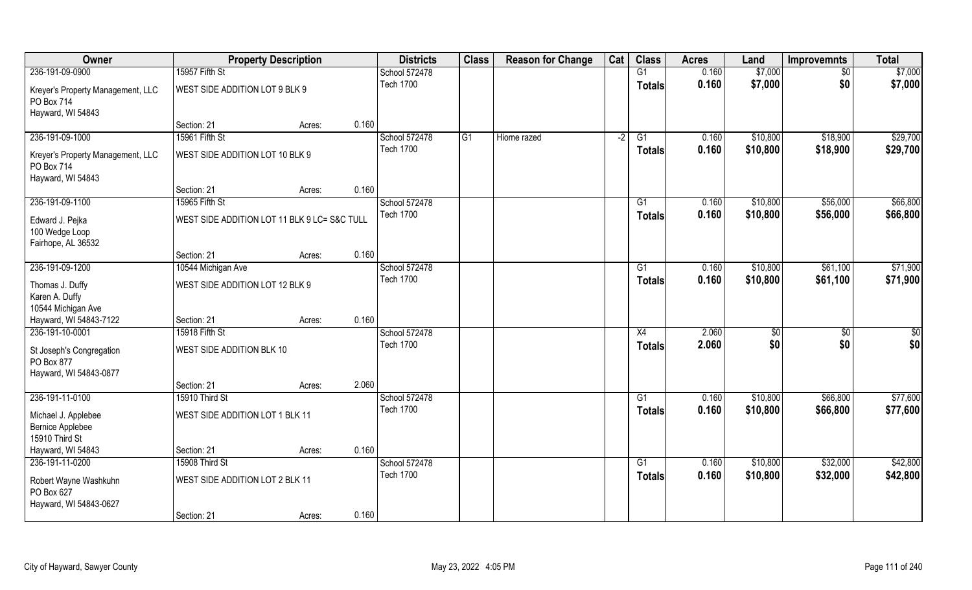| Owner                                                                | <b>Property Description</b>                  |        |       | <b>Districts</b>           | <b>Class</b> | <b>Reason for Change</b> | Cat  | <b>Class</b>    | <b>Acres</b>   | Land                 | <b>Improvemnts</b>   | <b>Total</b>         |
|----------------------------------------------------------------------|----------------------------------------------|--------|-------|----------------------------|--------------|--------------------------|------|-----------------|----------------|----------------------|----------------------|----------------------|
| 236-191-09-0900                                                      | 15957 Fifth St                               |        |       | School 572478              |              |                          |      | G1              | 0.160          | \$7,000              | $\sqrt{6}$           | \$7,000              |
| Kreyer's Property Management, LLC<br>PO Box 714<br>Hayward, WI 54843 | WEST SIDE ADDITION LOT 9 BLK 9               |        |       | <b>Tech 1700</b>           |              |                          |      | <b>Totals</b>   | 0.160          | \$7,000              | \$0                  | \$7,000              |
|                                                                      | Section: 21                                  | Acres: | 0.160 |                            |              |                          |      |                 |                |                      |                      |                      |
| 236-191-09-1000                                                      | 15961 Fifth St                               |        |       | School 572478              | G1           | Hiome razed              | $-2$ | $\overline{G1}$ | 0.160          | \$10,800             | \$18,900             | \$29,700             |
| Kreyer's Property Management, LLC<br>PO Box 714                      | WEST SIDE ADDITION LOT 10 BLK 9              |        |       | <b>Tech 1700</b>           |              |                          |      | Totals          | 0.160          | \$10,800             | \$18,900             | \$29,700             |
| Hayward, WI 54843                                                    |                                              |        |       |                            |              |                          |      |                 |                |                      |                      |                      |
|                                                                      | Section: 21                                  | Acres: | 0.160 |                            |              |                          |      |                 |                |                      |                      |                      |
| 236-191-09-1100                                                      | 15965 Fifth St                               |        |       | School 572478<br>Tech 1700 |              |                          |      | G1              | 0.160<br>0.160 | \$10,800<br>\$10,800 | \$56,000<br>\$56,000 | \$66,800<br>\$66,800 |
| Edward J. Pejka<br>100 Wedge Loop<br>Fairhope, AL 36532              | WEST SIDE ADDITION LOT 11 BLK 9 LC= S&C TULL |        |       |                            |              |                          |      | <b>Totals</b>   |                |                      |                      |                      |
|                                                                      | Section: 21                                  | Acres: | 0.160 |                            |              |                          |      |                 |                |                      |                      |                      |
| 236-191-09-1200                                                      | 10544 Michigan Ave                           |        |       | School 572478              |              |                          |      | G1              | 0.160          | \$10,800             | \$61,100             | \$71,900             |
| Thomas J. Duffy<br>Karen A. Duffy<br>10544 Michigan Ave              | WEST SIDE ADDITION LOT 12 BLK 9              |        |       | <b>Tech 1700</b>           |              |                          |      | <b>Totals</b>   | 0.160          | \$10,800             | \$61,100             | \$71,900             |
| Hayward, WI 54843-7122                                               | Section: 21                                  | Acres: | 0.160 |                            |              |                          |      |                 |                |                      |                      |                      |
| 236-191-10-0001                                                      | 15918 Fifth St                               |        |       | School 572478              |              |                          |      | X4              | 2.060          | \$0                  | $\overline{50}$      | \$0                  |
| St Joseph's Congregation<br>PO Box 877<br>Hayward, WI 54843-0877     | WEST SIDE ADDITION BLK 10                    |        |       | <b>Tech 1700</b>           |              |                          |      | <b>Totals</b>   | 2.060          | \$0                  | \$0                  | \$0                  |
|                                                                      | Section: 21                                  | Acres: | 2.060 |                            |              |                          |      |                 |                |                      |                      |                      |
| 236-191-11-0100                                                      | 15910 Third St                               |        |       | School 572478              |              |                          |      | G1              | 0.160          | \$10,800             | \$66,800             | \$77,600             |
| Michael J. Applebee<br><b>Bernice Applebee</b><br>15910 Third St     | WEST SIDE ADDITION LOT 1 BLK 11              |        |       | <b>Tech 1700</b>           |              |                          |      | <b>Totals</b>   | 0.160          | \$10,800             | \$66,800             | \$77,600             |
| Hayward, WI 54843                                                    | Section: 21                                  | Acres: | 0.160 |                            |              |                          |      |                 |                |                      |                      |                      |
| 236-191-11-0200                                                      | 15908 Third St                               |        |       | School 572478              |              |                          |      | $\overline{G1}$ | 0.160          | \$10,800             | \$32,000             | \$42,800             |
| Robert Wayne Washkuhn<br>PO Box 627<br>Hayward, WI 54843-0627        | WEST SIDE ADDITION LOT 2 BLK 11              |        |       | <b>Tech 1700</b>           |              |                          |      | Totals          | 0.160          | \$10,800             | \$32,000             | \$42,800             |
|                                                                      | Section: 21                                  | Acres: | 0.160 |                            |              |                          |      |                 |                |                      |                      |                      |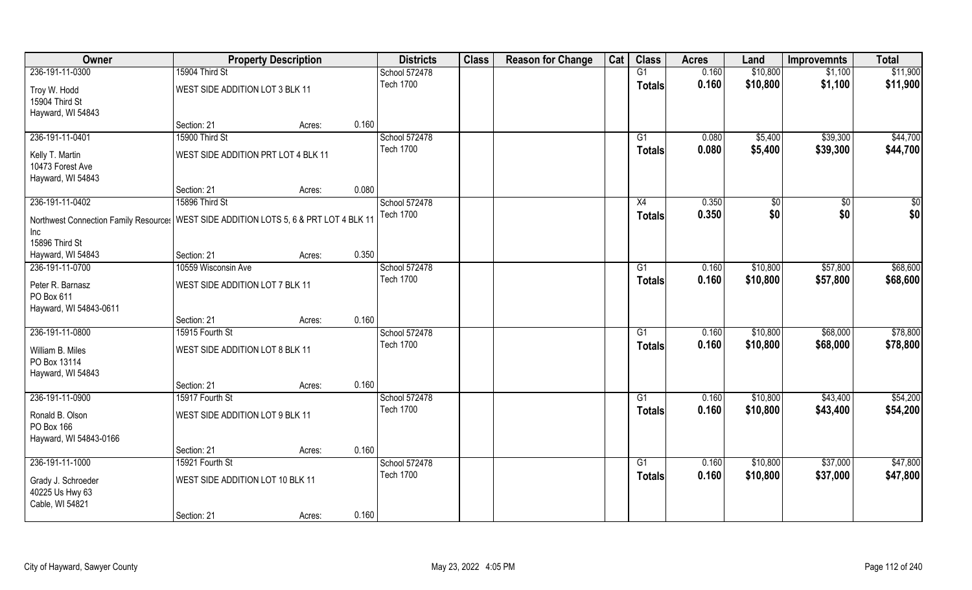| Owner                                                                                   |                                     | <b>Property Description</b> |       | <b>Districts</b> | <b>Class</b> | <b>Reason for Change</b> | Cat | <b>Class</b>    | <b>Acres</b> | Land     | <b>Improvemnts</b> | <b>Total</b> |
|-----------------------------------------------------------------------------------------|-------------------------------------|-----------------------------|-------|------------------|--------------|--------------------------|-----|-----------------|--------------|----------|--------------------|--------------|
| 236-191-11-0300                                                                         | 15904 Third St                      |                             |       | School 572478    |              |                          |     | G1              | 0.160        | \$10,800 | \$1,100            | \$11,900     |
| Troy W. Hodd<br>15904 Third St                                                          | WEST SIDE ADDITION LOT 3 BLK 11     |                             |       | <b>Tech 1700</b> |              |                          |     | <b>Totals</b>   | 0.160        | \$10,800 | \$1,100            | \$11,900     |
| Hayward, WI 54843                                                                       |                                     |                             |       |                  |              |                          |     |                 |              |          |                    |              |
|                                                                                         | Section: 21                         | Acres:                      | 0.160 |                  |              |                          |     |                 |              |          |                    |              |
| 236-191-11-0401                                                                         | 15900 Third St                      |                             |       | School 572478    |              |                          |     | G1              | 0.080        | \$5,400  | \$39,300           | \$44,700     |
|                                                                                         |                                     |                             |       | <b>Tech 1700</b> |              |                          |     | Totals          | 0.080        | \$5,400  | \$39,300           | \$44,700     |
| Kelly T. Martin<br>10473 Forest Ave                                                     | WEST SIDE ADDITION PRT LOT 4 BLK 11 |                             |       |                  |              |                          |     |                 |              |          |                    |              |
| Hayward, WI 54843                                                                       |                                     |                             |       |                  |              |                          |     |                 |              |          |                    |              |
|                                                                                         | Section: 21                         | Acres:                      | 0.080 |                  |              |                          |     |                 |              |          |                    |              |
| 236-191-11-0402                                                                         | 15896 Third St                      |                             |       | School 572478    |              |                          |     | X4              | 0.350        | \$0      | \$0                | \$0          |
|                                                                                         |                                     |                             |       | <b>Tech 1700</b> |              |                          |     | <b>Totals</b>   | 0.350        | \$0      | \$0                | \$0          |
| Northwest Connection Family Resource:   WEST SIDE ADDITION LOTS 5, 6 & PRT LOT 4 BLK 11 |                                     |                             |       |                  |              |                          |     |                 |              |          |                    |              |
| Inc                                                                                     |                                     |                             |       |                  |              |                          |     |                 |              |          |                    |              |
| 15896 Third St                                                                          |                                     |                             |       |                  |              |                          |     |                 |              |          |                    |              |
| Hayward, WI 54843                                                                       | Section: 21                         | Acres:                      | 0.350 |                  |              |                          |     |                 |              |          |                    |              |
| 236-191-11-0700                                                                         | 10559 Wisconsin Ave                 |                             |       | School 572478    |              |                          |     | G1              | 0.160        | \$10,800 | \$57,800           | \$68,600     |
| Peter R. Barnasz<br>PO Box 611                                                          | WEST SIDE ADDITION LOT 7 BLK 11     |                             |       | <b>Tech 1700</b> |              |                          |     | Totals          | 0.160        | \$10,800 | \$57,800           | \$68,600     |
| Hayward, WI 54843-0611                                                                  |                                     |                             |       |                  |              |                          |     |                 |              |          |                    |              |
|                                                                                         | Section: 21                         | Acres:                      | 0.160 |                  |              |                          |     |                 |              |          |                    |              |
| 236-191-11-0800                                                                         | 15915 Fourth St                     |                             |       | School 572478    |              |                          |     | $\overline{G1}$ | 0.160        | \$10,800 | \$68,000           | \$78,800     |
| William B. Miles                                                                        | WEST SIDE ADDITION LOT 8 BLK 11     |                             |       | <b>Tech 1700</b> |              |                          |     | <b>Totals</b>   | 0.160        | \$10,800 | \$68,000           | \$78,800     |
| PO Box 13114                                                                            |                                     |                             |       |                  |              |                          |     |                 |              |          |                    |              |
| Hayward, WI 54843                                                                       |                                     |                             |       |                  |              |                          |     |                 |              |          |                    |              |
|                                                                                         | Section: 21                         | Acres:                      | 0.160 |                  |              |                          |     |                 |              |          |                    |              |
| 236-191-11-0900                                                                         | 15917 Fourth St                     |                             |       | School 572478    |              |                          |     | G1              | 0.160        | \$10,800 | \$43,400           | \$54,200     |
| Ronald B. Olson<br>PO Box 166                                                           | WEST SIDE ADDITION LOT 9 BLK 11     |                             |       | <b>Tech 1700</b> |              |                          |     | <b>Totals</b>   | 0.160        | \$10,800 | \$43,400           | \$54,200     |
| Hayward, WI 54843-0166                                                                  |                                     |                             |       |                  |              |                          |     |                 |              |          |                    |              |
|                                                                                         | Section: 21                         | Acres:                      | 0.160 |                  |              |                          |     |                 |              |          |                    |              |
| 236-191-11-1000                                                                         | 15921 Fourth St                     |                             |       | School 572478    |              |                          |     | G1              | 0.160        | \$10,800 | \$37,000           | \$47,800     |
| Grady J. Schroeder<br>40225 Us Hwy 63<br>Cable, WI 54821                                | WEST SIDE ADDITION LOT 10 BLK 11    |                             |       | <b>Tech 1700</b> |              |                          |     | <b>Totals</b>   | 0.160        | \$10,800 | \$37,000           | \$47,800     |
|                                                                                         | Section: 21                         | Acres:                      | 0.160 |                  |              |                          |     |                 |              |          |                    |              |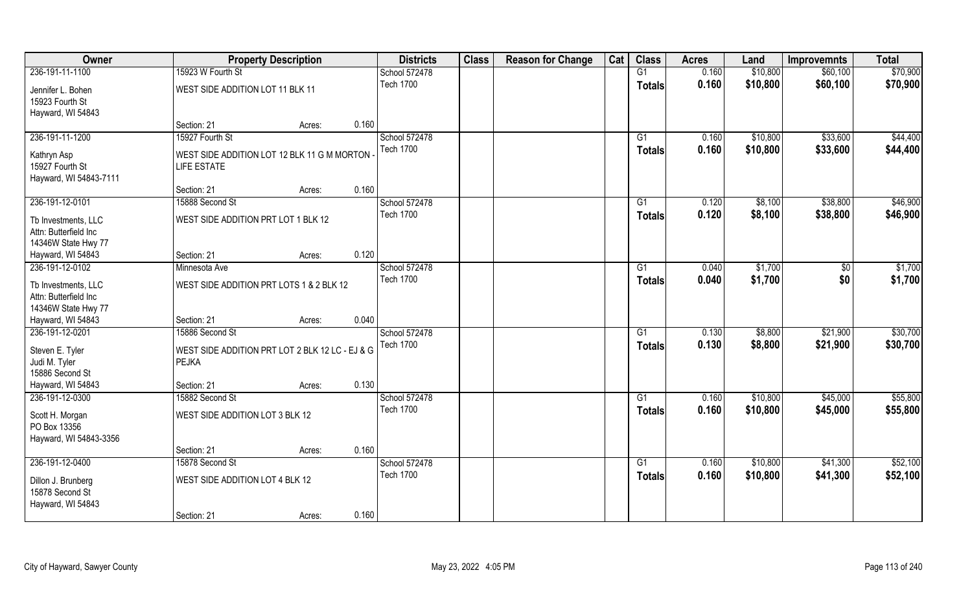| Owner                                                               |                                                                   | <b>Property Description</b> |       | <b>Districts</b> | <b>Class</b> | <b>Reason for Change</b> | Cat | <b>Class</b>    | <b>Acres</b> | Land     | <b>Improvemnts</b> | <b>Total</b> |
|---------------------------------------------------------------------|-------------------------------------------------------------------|-----------------------------|-------|------------------|--------------|--------------------------|-----|-----------------|--------------|----------|--------------------|--------------|
| 236-191-11-1100                                                     | 15923 W Fourth St                                                 |                             |       | School 572478    |              |                          |     | G1              | 0.160        | \$10,800 | \$60,100           | \$70,900     |
| Jennifer L. Bohen<br>15923 Fourth St<br>Hayward, WI 54843           | WEST SIDE ADDITION LOT 11 BLK 11                                  |                             |       | <b>Tech 1700</b> |              |                          |     | <b>Totals</b>   | 0.160        | \$10,800 | \$60,100           | \$70,900     |
|                                                                     | Section: 21                                                       | Acres:                      | 0.160 |                  |              |                          |     |                 |              |          |                    |              |
| 236-191-11-1200                                                     | 15927 Fourth St                                                   |                             |       | School 572478    |              |                          |     | G1              | 0.160        | \$10,800 | \$33,600           | \$44,400     |
| Kathryn Asp<br>15927 Fourth St<br>Hayward, WI 54843-7111            | WEST SIDE ADDITION LOT 12 BLK 11 G M MORTON<br><b>LIFE ESTATE</b> |                             |       | <b>Tech 1700</b> |              |                          |     | Totals          | 0.160        | \$10,800 | \$33,600           | \$44,400     |
|                                                                     | Section: 21                                                       | Acres:                      | 0.160 |                  |              |                          |     |                 |              |          |                    |              |
| 236-191-12-0101                                                     | 15888 Second St                                                   |                             |       | School 572478    |              |                          |     | G1              | 0.120        | \$8,100  | \$38,800           | \$46,900     |
| Tb Investments, LLC<br>Attn: Butterfield Inc<br>14346W State Hwy 77 | WEST SIDE ADDITION PRT LOT 1 BLK 12                               |                             |       | <b>Tech 1700</b> |              |                          |     | <b>Totals</b>   | 0.120        | \$8,100  | \$38,800           | \$46,900     |
| Hayward, WI 54843                                                   | Section: 21                                                       | Acres:                      | 0.120 |                  |              |                          |     |                 |              |          |                    |              |
| 236-191-12-0102                                                     | Minnesota Ave                                                     |                             |       | School 572478    |              |                          |     | G1              | 0.040        | \$1,700  | $\sqrt{50}$        | \$1,700      |
| Tb Investments, LLC<br>Attn: Butterfield Inc<br>14346W State Hwy 77 | WEST SIDE ADDITION PRT LOTS 1 & 2 BLK 12                          |                             |       | <b>Tech 1700</b> |              |                          |     | Totals          | 0.040        | \$1,700  | \$0                | \$1,700      |
| Hayward, WI 54843                                                   | Section: 21                                                       | Acres:                      | 0.040 |                  |              |                          |     |                 |              |          |                    |              |
| 236-191-12-0201                                                     | 15886 Second St                                                   |                             |       | School 572478    |              |                          |     | $\overline{G1}$ | 0.130        | \$8,800  | \$21,900           | \$30,700     |
| Steven E. Tyler<br>Judi M. Tyler<br>15886 Second St                 | WEST SIDE ADDITION PRT LOT 2 BLK 12 LC - EJ & G<br><b>PEJKA</b>   |                             |       | <b>Tech 1700</b> |              |                          |     | <b>Totals</b>   | 0.130        | \$8,800  | \$21,900           | \$30,700     |
| Hayward, WI 54843                                                   | Section: 21                                                       | Acres:                      | 0.130 |                  |              |                          |     |                 |              |          |                    |              |
| 236-191-12-0300                                                     | 15882 Second St                                                   |                             |       | School 572478    |              |                          |     | G1              | 0.160        | \$10,800 | \$45,000           | \$55,800     |
| Scott H. Morgan<br>PO Box 13356<br>Hayward, WI 54843-3356           | WEST SIDE ADDITION LOT 3 BLK 12                                   |                             |       | <b>Tech 1700</b> |              |                          |     | <b>Totals</b>   | 0.160        | \$10,800 | \$45,000           | \$55,800     |
|                                                                     | Section: 21                                                       | Acres:                      | 0.160 |                  |              |                          |     |                 |              |          |                    |              |
| 236-191-12-0400                                                     | 15878 Second St                                                   |                             |       | School 572478    |              |                          |     | $\overline{G1}$ | 0.160        | \$10,800 | \$41,300           | \$52,100     |
| Dillon J. Brunberg<br>15878 Second St<br>Hayward, WI 54843          | WEST SIDE ADDITION LOT 4 BLK 12                                   |                             |       | <b>Tech 1700</b> |              |                          |     | <b>Totals</b>   | 0.160        | \$10,800 | \$41,300           | \$52,100     |
|                                                                     | Section: 21                                                       | Acres:                      | 0.160 |                  |              |                          |     |                 |              |          |                    |              |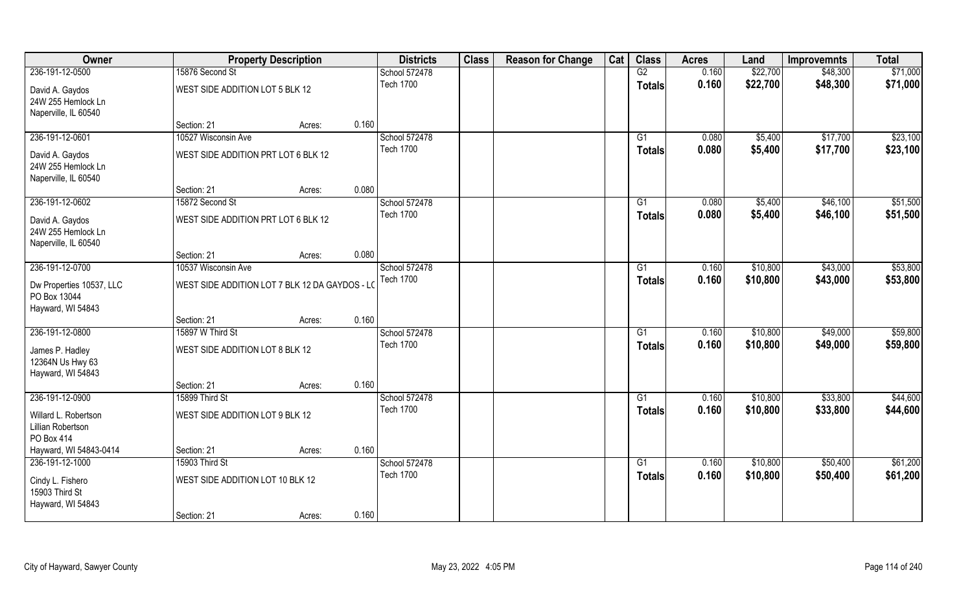| Owner                                                         |                                                | <b>Property Description</b> |       | <b>Districts</b> | <b>Class</b> | <b>Reason for Change</b> | Cat | <b>Class</b>    | <b>Acres</b> | Land     | <b>Improvemnts</b> | <b>Total</b> |
|---------------------------------------------------------------|------------------------------------------------|-----------------------------|-------|------------------|--------------|--------------------------|-----|-----------------|--------------|----------|--------------------|--------------|
| 236-191-12-0500                                               | 15876 Second St                                |                             |       | School 572478    |              |                          |     | G2              | 0.160        | \$22,700 | \$48,300           | \$71,000     |
| David A. Gaydos<br>24W 255 Hemlock Ln<br>Naperville, IL 60540 | WEST SIDE ADDITION LOT 5 BLK 12                |                             |       | <b>Tech 1700</b> |              |                          |     | <b>Totals</b>   | 0.160        | \$22,700 | \$48,300           | \$71,000     |
|                                                               | Section: 21                                    | Acres:                      | 0.160 |                  |              |                          |     |                 |              |          |                    |              |
| 236-191-12-0601                                               | 10527 Wisconsin Ave                            |                             |       | School 572478    |              |                          |     | G1              | 0.080        | \$5,400  | \$17,700           | \$23,100     |
| David A. Gaydos<br>24W 255 Hemlock Ln<br>Naperville, IL 60540 | WEST SIDE ADDITION PRT LOT 6 BLK 12            |                             |       | <b>Tech 1700</b> |              |                          |     | Totals          | 0.080        | \$5,400  | \$17,700           | \$23,100     |
|                                                               | Section: 21                                    | Acres:                      | 0.080 |                  |              |                          |     |                 |              |          |                    |              |
| 236-191-12-0602                                               | 15872 Second St                                |                             |       | School 572478    |              |                          |     | G1              | 0.080        | \$5,400  | \$46,100           | \$51,500     |
| David A. Gaydos<br>24W 255 Hemlock Ln<br>Naperville, IL 60540 | WEST SIDE ADDITION PRT LOT 6 BLK 12            |                             |       | <b>Tech 1700</b> |              |                          |     | <b>Totals</b>   | 0.080        | \$5,400  | \$46,100           | \$51,500     |
|                                                               | Section: 21                                    | Acres:                      | 0.080 |                  |              |                          |     |                 |              |          |                    |              |
| 236-191-12-0700                                               | 10537 Wisconsin Ave                            |                             |       | School 572478    |              |                          |     | G1              | 0.160        | \$10,800 | \$43,000           | \$53,800     |
| Dw Properties 10537, LLC<br>PO Box 13044<br>Hayward, WI 54843 | WEST SIDE ADDITION LOT 7 BLK 12 DA GAYDOS - LO |                             |       | <b>Tech 1700</b> |              |                          |     | Totals          | 0.160        | \$10,800 | \$43,000           | \$53,800     |
|                                                               | Section: 21                                    | Acres:                      | 0.160 |                  |              |                          |     |                 |              |          |                    |              |
| 236-191-12-0800                                               | 15897 W Third St                               |                             |       | School 572478    |              |                          |     | $\overline{G1}$ | 0.160        | \$10,800 | \$49,000           | \$59,800     |
| James P. Hadley<br>12364N Us Hwy 63<br>Hayward, WI 54843      | WEST SIDE ADDITION LOT 8 BLK 12                |                             |       | <b>Tech 1700</b> |              |                          |     | <b>Totals</b>   | 0.160        | \$10,800 | \$49,000           | \$59,800     |
|                                                               | Section: 21                                    | Acres:                      | 0.160 |                  |              |                          |     |                 |              |          |                    |              |
| 236-191-12-0900                                               | 15899 Third St                                 |                             |       | School 572478    |              |                          |     | G1              | 0.160        | \$10,800 | \$33,800           | \$44,600     |
| Willard L. Robertson<br>Lillian Robertson<br>PO Box 414       | WEST SIDE ADDITION LOT 9 BLK 12                |                             |       | <b>Tech 1700</b> |              |                          |     | <b>Totals</b>   | 0.160        | \$10,800 | \$33,800           | \$44,600     |
| Hayward, WI 54843-0414                                        | Section: 21                                    | Acres:                      | 0.160 |                  |              |                          |     |                 |              |          |                    |              |
| 236-191-12-1000                                               | 15903 Third St                                 |                             |       | School 572478    |              |                          |     | $\overline{G1}$ | 0.160        | \$10,800 | \$50,400           | \$61,200     |
| Cindy L. Fishero<br>15903 Third St<br>Hayward, WI 54843       | WEST SIDE ADDITION LOT 10 BLK 12               |                             | 0.160 | <b>Tech 1700</b> |              |                          |     | <b>Totals</b>   | 0.160        | \$10,800 | \$50,400           | \$61,200     |
|                                                               | Section: 21                                    | Acres:                      |       |                  |              |                          |     |                 |              |          |                    |              |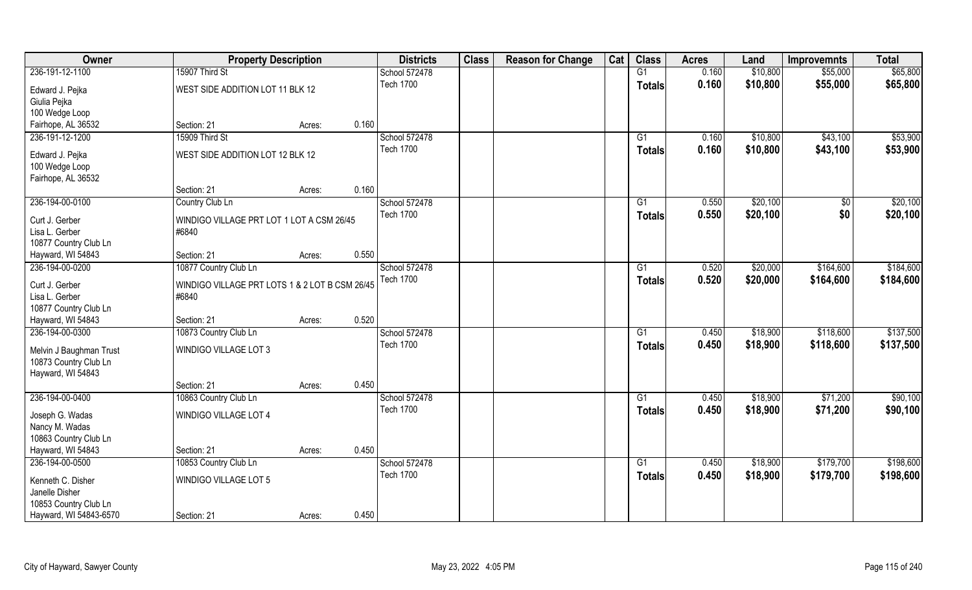| Owner                                                                 | <b>Property Description</b>                             |        |       | <b>Districts</b> | <b>Class</b> | <b>Reason for Change</b> | Cat | <b>Class</b>    | <b>Acres</b> | Land     | <b>Improvemnts</b> | <b>Total</b> |
|-----------------------------------------------------------------------|---------------------------------------------------------|--------|-------|------------------|--------------|--------------------------|-----|-----------------|--------------|----------|--------------------|--------------|
| 236-191-12-1100                                                       | 15907 Third St                                          |        |       | School 572478    |              |                          |     | G1              | 0.160        | \$10,800 | \$55,000           | \$65,800     |
| Edward J. Pejka<br>Giulia Pejka                                       | WEST SIDE ADDITION LOT 11 BLK 12                        |        |       | <b>Tech 1700</b> |              |                          |     | <b>Totals</b>   | 0.160        | \$10,800 | \$55,000           | \$65,800     |
| 100 Wedge Loop                                                        |                                                         |        |       |                  |              |                          |     |                 |              |          |                    |              |
| Fairhope, AL 36532                                                    | Section: 21                                             | Acres: | 0.160 |                  |              |                          |     |                 |              |          |                    |              |
| 236-191-12-1200                                                       | 15909 Third St                                          |        |       | School 572478    |              |                          |     | $\overline{G1}$ | 0.160        | \$10,800 | \$43,100           | \$53,900     |
| Edward J. Pejka<br>100 Wedge Loop                                     | WEST SIDE ADDITION LOT 12 BLK 12                        |        |       | <b>Tech 1700</b> |              |                          |     | Totals          | 0.160        | \$10,800 | \$43,100           | \$53,900     |
| Fairhope, AL 36532                                                    | Section: 21                                             | Acres: | 0.160 |                  |              |                          |     |                 |              |          |                    |              |
| 236-194-00-0100                                                       | Country Club Ln                                         |        |       | School 572478    |              |                          |     | G1              | 0.550        | \$20,100 | \$0                | \$20,100     |
| Curt J. Gerber<br>Lisa L. Gerber<br>10877 Country Club Ln             | WINDIGO VILLAGE PRT LOT 1 LOT A CSM 26/45<br>#6840      |        |       | <b>Tech 1700</b> |              |                          |     | <b>Totals</b>   | 0.550        | \$20,100 | \$0                | \$20,100     |
| Hayward, WI 54843                                                     | Section: 21                                             | Acres: | 0.550 |                  |              |                          |     |                 |              |          |                    |              |
| 236-194-00-0200                                                       | 10877 Country Club Ln                                   |        |       | School 572478    |              |                          |     | G1              | 0.520        | \$20,000 | \$164,600          | \$184,600    |
| Curt J. Gerber<br>Lisa L. Gerber<br>10877 Country Club Ln             | WINDIGO VILLAGE PRT LOTS 1 & 2 LOT B CSM 26/45<br>#6840 |        |       | <b>Tech 1700</b> |              |                          |     | <b>Totals</b>   | 0.520        | \$20,000 | \$164,600          | \$184,600    |
| Hayward, WI 54843                                                     | Section: 21                                             | Acres: | 0.520 |                  |              |                          |     |                 |              |          |                    |              |
| 236-194-00-0300                                                       | 10873 Country Club Ln                                   |        |       | School 572478    |              |                          |     | G1              | 0.450        | \$18,900 | \$118,600          | \$137,500    |
| Melvin J Baughman Trust<br>10873 Country Club Ln<br>Hayward, WI 54843 | <b>WINDIGO VILLAGE LOT 3</b>                            |        |       | <b>Tech 1700</b> |              |                          |     | <b>Totals</b>   | 0.450        | \$18,900 | \$118,600          | \$137,500    |
|                                                                       | Section: 21                                             | Acres: | 0.450 |                  |              |                          |     |                 |              |          |                    |              |
| 236-194-00-0400                                                       | 10863 Country Club Ln                                   |        |       | School 572478    |              |                          |     | G1              | 0.450        | \$18,900 | \$71,200           | \$90,100     |
| Joseph G. Wadas<br>Nancy M. Wadas<br>10863 Country Club Ln            | <b>WINDIGO VILLAGE LOT 4</b>                            |        |       | <b>Tech 1700</b> |              |                          |     | <b>Totals</b>   | 0.450        | \$18,900 | \$71,200           | \$90,100     |
| Hayward, WI 54843                                                     | Section: 21                                             | Acres: | 0.450 |                  |              |                          |     |                 |              |          |                    |              |
| 236-194-00-0500                                                       | 10853 Country Club Ln                                   |        |       | School 572478    |              |                          |     | G1              | 0.450        | \$18,900 | \$179,700          | \$198,600    |
| Kenneth C. Disher<br>Janelle Disher<br>10853 Country Club Ln          | WINDIGO VILLAGE LOT 5                                   |        |       | <b>Tech 1700</b> |              |                          |     | <b>Totals</b>   | 0.450        | \$18,900 | \$179,700          | \$198,600    |
| Hayward, WI 54843-6570                                                | Section: 21                                             | Acres: | 0.450 |                  |              |                          |     |                 |              |          |                    |              |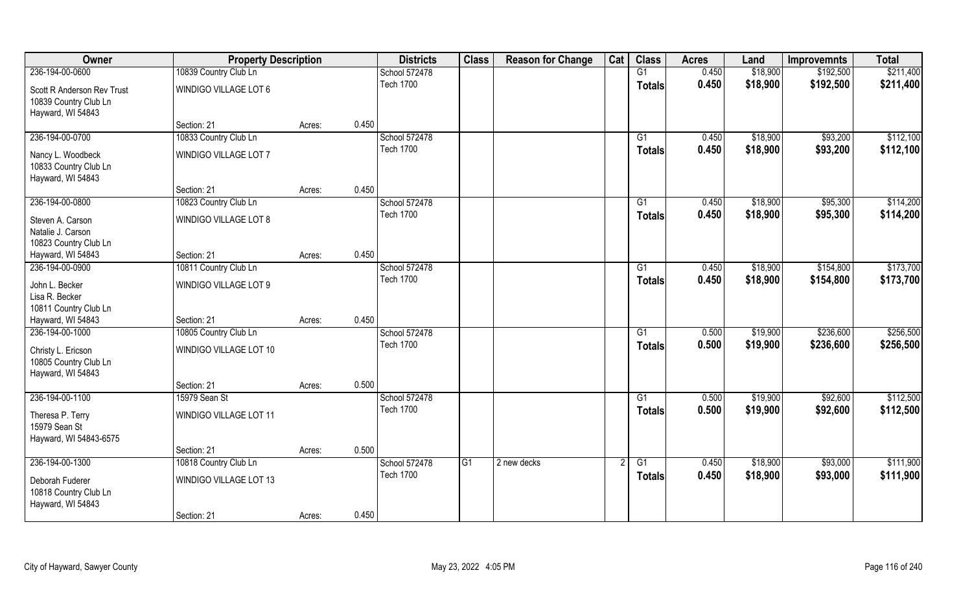| Owner                      | <b>Property Description</b> |        |       | <b>Districts</b> | <b>Class</b>   | <b>Reason for Change</b> | Cat | <b>Class</b>    | <b>Acres</b> | Land     | <b>Improvemnts</b> | <b>Total</b> |
|----------------------------|-----------------------------|--------|-------|------------------|----------------|--------------------------|-----|-----------------|--------------|----------|--------------------|--------------|
| 236-194-00-0600            | 10839 Country Club Ln       |        |       | School 572478    |                |                          |     | G1              | 0.450        | \$18,900 | \$192,500          | \$211,400    |
| Scott R Anderson Rev Trust | WINDIGO VILLAGE LOT 6       |        |       | <b>Tech 1700</b> |                |                          |     | <b>Totals</b>   | 0.450        | \$18,900 | \$192,500          | \$211,400    |
| 10839 Country Club Ln      |                             |        |       |                  |                |                          |     |                 |              |          |                    |              |
| Hayward, WI 54843          |                             |        |       |                  |                |                          |     |                 |              |          |                    |              |
|                            | Section: 21                 | Acres: | 0.450 |                  |                |                          |     |                 |              |          |                    |              |
| 236-194-00-0700            | 10833 Country Club Ln       |        |       | School 572478    |                |                          |     | G1              | 0.450        | \$18,900 | \$93,200           | \$112,100    |
| Nancy L. Woodbeck          | WINDIGO VILLAGE LOT 7       |        |       | <b>Tech 1700</b> |                |                          |     | Totals          | 0.450        | \$18,900 | \$93,200           | \$112,100    |
| 10833 Country Club Ln      |                             |        |       |                  |                |                          |     |                 |              |          |                    |              |
| Hayward, WI 54843          |                             |        |       |                  |                |                          |     |                 |              |          |                    |              |
|                            | Section: 21                 | Acres: | 0.450 |                  |                |                          |     |                 |              |          |                    |              |
| 236-194-00-0800            | 10823 Country Club Ln       |        |       | School 572478    |                |                          |     | G1              | 0.450        | \$18,900 | \$95,300           | \$114,200    |
| Steven A. Carson           | WINDIGO VILLAGE LOT 8       |        |       | <b>Tech 1700</b> |                |                          |     | <b>Totals</b>   | 0.450        | \$18,900 | \$95,300           | \$114,200    |
| Natalie J. Carson          |                             |        |       |                  |                |                          |     |                 |              |          |                    |              |
| 10823 Country Club Ln      |                             |        |       |                  |                |                          |     |                 |              |          |                    |              |
| Hayward, WI 54843          | Section: 21                 | Acres: | 0.450 |                  |                |                          |     |                 |              |          |                    |              |
| 236-194-00-0900            | 10811 Country Club Ln       |        |       | School 572478    |                |                          |     | G1              | 0.450        | \$18,900 | \$154,800          | \$173,700    |
| John L. Becker             | WINDIGO VILLAGE LOT 9       |        |       | <b>Tech 1700</b> |                |                          |     | <b>Totals</b>   | 0.450        | \$18,900 | \$154,800          | \$173,700    |
| Lisa R. Becker             |                             |        |       |                  |                |                          |     |                 |              |          |                    |              |
| 10811 Country Club Ln      |                             |        |       |                  |                |                          |     |                 |              |          |                    |              |
| Hayward, WI 54843          | Section: 21                 | Acres: | 0.450 |                  |                |                          |     |                 |              |          |                    |              |
| 236-194-00-1000            | 10805 Country Club Ln       |        |       | School 572478    |                |                          |     | $\overline{G1}$ | 0.500        | \$19,900 | \$236,600          | \$256,500    |
| Christy L. Ericson         | WINDIGO VILLAGE LOT 10      |        |       | <b>Tech 1700</b> |                |                          |     | <b>Totals</b>   | 0.500        | \$19,900 | \$236,600          | \$256,500    |
| 10805 Country Club Ln      |                             |        |       |                  |                |                          |     |                 |              |          |                    |              |
| Hayward, WI 54843          |                             |        |       |                  |                |                          |     |                 |              |          |                    |              |
|                            | Section: 21                 | Acres: | 0.500 |                  |                |                          |     |                 |              |          |                    |              |
| 236-194-00-1100            | 15979 Sean St               |        |       | School 572478    |                |                          |     | G1              | 0.500        | \$19,900 | \$92,600           | \$112,500    |
| Theresa P. Terry           | WINDIGO VILLAGE LOT 11      |        |       | <b>Tech 1700</b> |                |                          |     | <b>Totals</b>   | 0.500        | \$19,900 | \$92,600           | \$112,500    |
| 15979 Sean St              |                             |        |       |                  |                |                          |     |                 |              |          |                    |              |
| Hayward, WI 54843-6575     |                             |        |       |                  |                |                          |     |                 |              |          |                    |              |
|                            | Section: 21                 | Acres: | 0.500 |                  |                |                          |     |                 |              |          |                    |              |
| 236-194-00-1300            | 10818 Country Club Ln       |        |       | School 572478    | G <sub>1</sub> | 2 new decks              |     | $\overline{G1}$ | 0.450        | \$18,900 | \$93,000           | \$111,900    |
| Deborah Fuderer            | WINDIGO VILLAGE LOT 13      |        |       | <b>Tech 1700</b> |                |                          |     | <b>Totals</b>   | 0.450        | \$18,900 | \$93,000           | \$111,900    |
| 10818 Country Club Ln      |                             |        |       |                  |                |                          |     |                 |              |          |                    |              |
| Hayward, WI 54843          |                             |        |       |                  |                |                          |     |                 |              |          |                    |              |
|                            | Section: 21                 | Acres: | 0.450 |                  |                |                          |     |                 |              |          |                    |              |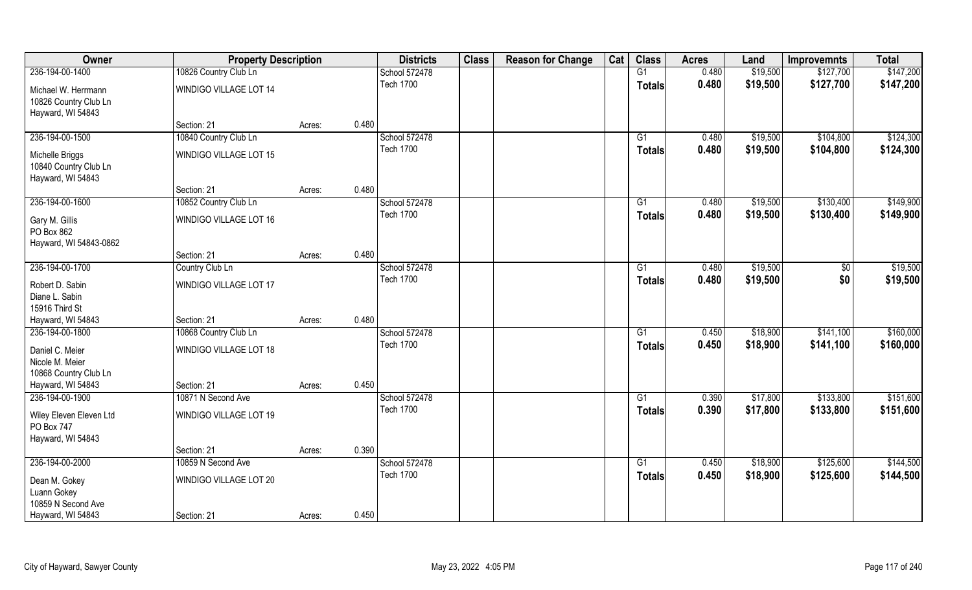| Owner                   | <b>Property Description</b> |        |       | <b>Districts</b> | <b>Class</b> | <b>Reason for Change</b> | Cat | <b>Class</b>  | <b>Acres</b> | Land     | <b>Improvemnts</b> | <b>Total</b> |
|-------------------------|-----------------------------|--------|-------|------------------|--------------|--------------------------|-----|---------------|--------------|----------|--------------------|--------------|
| 236-194-00-1400         | 10826 Country Club Ln       |        |       | School 572478    |              |                          |     | G1            | 0.480        | \$19,500 | \$127,700          | \$147,200    |
| Michael W. Herrmann     | WINDIGO VILLAGE LOT 14      |        |       | <b>Tech 1700</b> |              |                          |     | <b>Totals</b> | 0.480        | \$19,500 | \$127,700          | \$147,200    |
| 10826 Country Club Ln   |                             |        |       |                  |              |                          |     |               |              |          |                    |              |
| Hayward, WI 54843       |                             |        |       |                  |              |                          |     |               |              |          |                    |              |
|                         | Section: 21                 | Acres: | 0.480 |                  |              |                          |     |               |              |          |                    |              |
| 236-194-00-1500         | 10840 Country Club Ln       |        |       | School 572478    |              |                          |     | G1            | 0.480        | \$19,500 | \$104,800          | \$124,300    |
| Michelle Briggs         | WINDIGO VILLAGE LOT 15      |        |       | <b>Tech 1700</b> |              |                          |     | Totals        | 0.480        | \$19,500 | \$104,800          | \$124,300    |
| 10840 Country Club Ln   |                             |        |       |                  |              |                          |     |               |              |          |                    |              |
| Hayward, WI 54843       |                             |        |       |                  |              |                          |     |               |              |          |                    |              |
|                         | Section: 21                 | Acres: | 0.480 |                  |              |                          |     |               |              |          |                    |              |
| 236-194-00-1600         | 10852 Country Club Ln       |        |       | School 572478    |              |                          |     | G1            | 0.480        | \$19,500 | \$130,400          | \$149,900    |
| Gary M. Gillis          | WINDIGO VILLAGE LOT 16      |        |       | <b>Tech 1700</b> |              |                          |     | <b>Totals</b> | 0.480        | \$19,500 | \$130,400          | \$149,900    |
| PO Box 862              |                             |        |       |                  |              |                          |     |               |              |          |                    |              |
| Hayward, WI 54843-0862  |                             |        |       |                  |              |                          |     |               |              |          |                    |              |
|                         | Section: 21                 | Acres: | 0.480 |                  |              |                          |     |               |              |          |                    |              |
| 236-194-00-1700         | Country Club Ln             |        |       | School 572478    |              |                          |     | G1            | 0.480        | \$19,500 | $\sqrt[6]{3}$      | \$19,500     |
| Robert D. Sabin         | WINDIGO VILLAGE LOT 17      |        |       | <b>Tech 1700</b> |              |                          |     | <b>Totals</b> | 0.480        | \$19,500 | \$0                | \$19,500     |
| Diane L. Sabin          |                             |        |       |                  |              |                          |     |               |              |          |                    |              |
| 15916 Third St          |                             |        |       |                  |              |                          |     |               |              |          |                    |              |
| Hayward, WI 54843       | Section: 21                 | Acres: | 0.480 |                  |              |                          |     |               |              |          |                    |              |
| 236-194-00-1800         | 10868 Country Club Ln       |        |       | School 572478    |              |                          |     | G1            | 0.450        | \$18,900 | \$141,100          | \$160,000    |
| Daniel C. Meier         | WINDIGO VILLAGE LOT 18      |        |       | <b>Tech 1700</b> |              |                          |     | <b>Totals</b> | 0.450        | \$18,900 | \$141,100          | \$160,000    |
| Nicole M. Meier         |                             |        |       |                  |              |                          |     |               |              |          |                    |              |
| 10868 Country Club Ln   |                             |        |       |                  |              |                          |     |               |              |          |                    |              |
| Hayward, WI 54843       | Section: 21                 | Acres: | 0.450 |                  |              |                          |     |               |              |          |                    |              |
| 236-194-00-1900         | 10871 N Second Ave          |        |       | School 572478    |              |                          |     | G1            | 0.390        | \$17,800 | \$133,800          | \$151,600    |
| Wiley Eleven Eleven Ltd | WINDIGO VILLAGE LOT 19      |        |       | <b>Tech 1700</b> |              |                          |     | <b>Totals</b> | 0.390        | \$17,800 | \$133,800          | \$151,600    |
| PO Box 747              |                             |        |       |                  |              |                          |     |               |              |          |                    |              |
| Hayward, WI 54843       |                             |        |       |                  |              |                          |     |               |              |          |                    |              |
|                         | Section: 21                 | Acres: | 0.390 |                  |              |                          |     |               |              |          |                    |              |
| 236-194-00-2000         | 10859 N Second Ave          |        |       | School 572478    |              |                          |     | G1            | 0.450        | \$18,900 | \$125,600          | \$144,500    |
| Dean M. Gokey           | WINDIGO VILLAGE LOT 20      |        |       | <b>Tech 1700</b> |              |                          |     | <b>Totals</b> | 0.450        | \$18,900 | \$125,600          | \$144,500    |
| Luann Gokey             |                             |        |       |                  |              |                          |     |               |              |          |                    |              |
| 10859 N Second Ave      |                             |        |       |                  |              |                          |     |               |              |          |                    |              |
| Hayward, WI 54843       | Section: 21                 | Acres: | 0.450 |                  |              |                          |     |               |              |          |                    |              |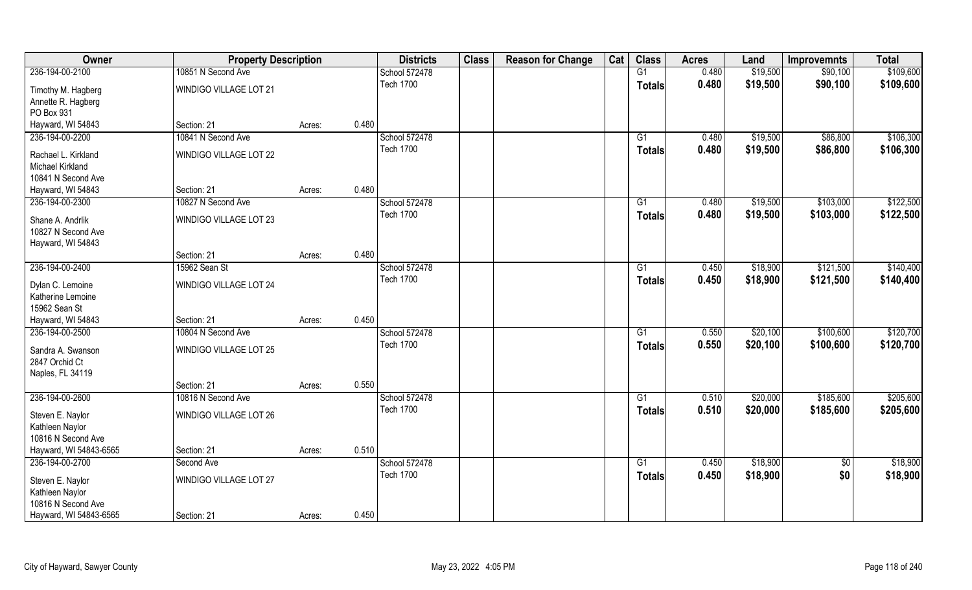| \$19,500<br>236-194-00-2100<br>10851 N Second Ave<br>G1<br>0.480<br>\$90,100<br>School 572478<br><b>Tech 1700</b><br>0.480<br>\$19,500<br>\$90,100<br><b>Totals</b><br>WINDIGO VILLAGE LOT 21<br>Timothy M. Hagberg<br>Annette R. Hagberg<br>PO Box 931<br>0.480<br>Hayward, WI 54843<br>Section: 21<br>Acres:<br>236-194-00-2200<br>10841 N Second Ave<br>School 572478<br>0.480<br>\$19,500<br>\$86,800<br>G1<br><b>Tech 1700</b><br>0.480<br>\$19,500<br>\$86,800<br>Totals<br>WINDIGO VILLAGE LOT 22<br>Rachael L. Kirkland<br>Michael Kirkland<br>10841 N Second Ave<br>0.480<br>Hayward, WI 54843<br>Section: 21<br>Acres:<br>236-194-00-2300<br>10827 N Second Ave<br>School 572478<br>G1<br>0.480<br>\$19,500<br>\$103,000 | Owner | <b>Property Description</b> |  | <b>Districts</b> | <b>Class</b> | <b>Reason for Change</b> | Cat | <b>Class</b>  | <b>Acres</b> | Land     | <b>Improvemnts</b> | <b>Total</b> |
|------------------------------------------------------------------------------------------------------------------------------------------------------------------------------------------------------------------------------------------------------------------------------------------------------------------------------------------------------------------------------------------------------------------------------------------------------------------------------------------------------------------------------------------------------------------------------------------------------------------------------------------------------------------------------------------------------------------------------------|-------|-----------------------------|--|------------------|--------------|--------------------------|-----|---------------|--------------|----------|--------------------|--------------|
|                                                                                                                                                                                                                                                                                                                                                                                                                                                                                                                                                                                                                                                                                                                                    |       |                             |  |                  |              |                          |     |               |              |          |                    | \$109,600    |
|                                                                                                                                                                                                                                                                                                                                                                                                                                                                                                                                                                                                                                                                                                                                    |       |                             |  |                  |              |                          |     |               |              |          |                    | \$109,600    |
|                                                                                                                                                                                                                                                                                                                                                                                                                                                                                                                                                                                                                                                                                                                                    |       |                             |  |                  |              |                          |     |               |              |          |                    |              |
|                                                                                                                                                                                                                                                                                                                                                                                                                                                                                                                                                                                                                                                                                                                                    |       |                             |  |                  |              |                          |     |               |              |          |                    |              |
|                                                                                                                                                                                                                                                                                                                                                                                                                                                                                                                                                                                                                                                                                                                                    |       |                             |  |                  |              |                          |     |               |              |          |                    |              |
|                                                                                                                                                                                                                                                                                                                                                                                                                                                                                                                                                                                                                                                                                                                                    |       |                             |  |                  |              |                          |     |               |              |          |                    | \$106,300    |
|                                                                                                                                                                                                                                                                                                                                                                                                                                                                                                                                                                                                                                                                                                                                    |       |                             |  |                  |              |                          |     |               |              |          |                    | \$106,300    |
|                                                                                                                                                                                                                                                                                                                                                                                                                                                                                                                                                                                                                                                                                                                                    |       |                             |  |                  |              |                          |     |               |              |          |                    |              |
|                                                                                                                                                                                                                                                                                                                                                                                                                                                                                                                                                                                                                                                                                                                                    |       |                             |  |                  |              |                          |     |               |              |          |                    |              |
|                                                                                                                                                                                                                                                                                                                                                                                                                                                                                                                                                                                                                                                                                                                                    |       |                             |  |                  |              |                          |     |               |              |          |                    |              |
|                                                                                                                                                                                                                                                                                                                                                                                                                                                                                                                                                                                                                                                                                                                                    |       |                             |  |                  |              |                          |     |               |              |          |                    | \$122,500    |
| <b>WINDIGO VILLAGE LOT 23</b><br>Shane A. Andrlik                                                                                                                                                                                                                                                                                                                                                                                                                                                                                                                                                                                                                                                                                  |       |                             |  | <b>Tech 1700</b> |              |                          |     | <b>Totals</b> | 0.480        | \$19,500 | \$103,000          | \$122,500    |
| 10827 N Second Ave                                                                                                                                                                                                                                                                                                                                                                                                                                                                                                                                                                                                                                                                                                                 |       |                             |  |                  |              |                          |     |               |              |          |                    |              |
| Hayward, WI 54843                                                                                                                                                                                                                                                                                                                                                                                                                                                                                                                                                                                                                                                                                                                  |       |                             |  |                  |              |                          |     |               |              |          |                    |              |
| 0.480<br>Section: 21<br>Acres:                                                                                                                                                                                                                                                                                                                                                                                                                                                                                                                                                                                                                                                                                                     |       |                             |  |                  |              |                          |     |               |              |          |                    |              |
| 236-194-00-2400<br>School 572478<br>15962 Sean St<br>\$18,900<br>\$121,500<br>G1<br>0.450                                                                                                                                                                                                                                                                                                                                                                                                                                                                                                                                                                                                                                          |       |                             |  |                  |              |                          |     |               |              |          |                    | \$140,400    |
| <b>Tech 1700</b><br>0.450<br>\$18,900<br>\$121,500<br><b>Totals</b><br><b>WINDIGO VILLAGE LOT 24</b><br>Dylan C. Lemoine                                                                                                                                                                                                                                                                                                                                                                                                                                                                                                                                                                                                           |       |                             |  |                  |              |                          |     |               |              |          |                    | \$140,400    |
| Katherine Lemoine                                                                                                                                                                                                                                                                                                                                                                                                                                                                                                                                                                                                                                                                                                                  |       |                             |  |                  |              |                          |     |               |              |          |                    |              |
| 15962 Sean St                                                                                                                                                                                                                                                                                                                                                                                                                                                                                                                                                                                                                                                                                                                      |       |                             |  |                  |              |                          |     |               |              |          |                    |              |
| 0.450<br>Hayward, WI 54843<br>Section: 21<br>Acres:                                                                                                                                                                                                                                                                                                                                                                                                                                                                                                                                                                                                                                                                                |       |                             |  |                  |              |                          |     |               |              |          |                    |              |
| \$100,600<br>236-194-00-2500<br>10804 N Second Ave<br>School 572478<br>$\overline{G1}$<br>0.550<br>\$20,100                                                                                                                                                                                                                                                                                                                                                                                                                                                                                                                                                                                                                        |       |                             |  |                  |              |                          |     |               |              |          |                    | \$120,700    |
| <b>Tech 1700</b><br>0.550<br>\$20,100<br>\$100,600<br><b>Totals</b><br>Sandra A. Swanson<br>WINDIGO VILLAGE LOT 25                                                                                                                                                                                                                                                                                                                                                                                                                                                                                                                                                                                                                 |       |                             |  |                  |              |                          |     |               |              |          |                    | \$120,700    |
| 2847 Orchid Ct                                                                                                                                                                                                                                                                                                                                                                                                                                                                                                                                                                                                                                                                                                                     |       |                             |  |                  |              |                          |     |               |              |          |                    |              |
| Naples, FL 34119                                                                                                                                                                                                                                                                                                                                                                                                                                                                                                                                                                                                                                                                                                                   |       |                             |  |                  |              |                          |     |               |              |          |                    |              |
| 0.550<br>Section: 21<br>Acres:                                                                                                                                                                                                                                                                                                                                                                                                                                                                                                                                                                                                                                                                                                     |       |                             |  |                  |              |                          |     |               |              |          |                    |              |
| \$20,000<br>\$185,600<br>236-194-00-2600<br>10816 N Second Ave<br>School 572478<br>0.510<br>G1                                                                                                                                                                                                                                                                                                                                                                                                                                                                                                                                                                                                                                     |       |                             |  |                  |              |                          |     |               |              |          |                    | \$205,600    |
| <b>Tech 1700</b><br>\$20,000<br>\$185,600<br>0.510<br><b>Totals</b>                                                                                                                                                                                                                                                                                                                                                                                                                                                                                                                                                                                                                                                                |       |                             |  |                  |              |                          |     |               |              |          |                    | \$205,600    |
| Steven E. Naylor<br>WINDIGO VILLAGE LOT 26<br>Kathleen Naylor                                                                                                                                                                                                                                                                                                                                                                                                                                                                                                                                                                                                                                                                      |       |                             |  |                  |              |                          |     |               |              |          |                    |              |
| 10816 N Second Ave                                                                                                                                                                                                                                                                                                                                                                                                                                                                                                                                                                                                                                                                                                                 |       |                             |  |                  |              |                          |     |               |              |          |                    |              |
| 0.510<br>Hayward, WI 54843-6565<br>Section: 21<br>Acres:                                                                                                                                                                                                                                                                                                                                                                                                                                                                                                                                                                                                                                                                           |       |                             |  |                  |              |                          |     |               |              |          |                    |              |
| 236-194-00-2700<br>School 572478<br>\$18,900<br>Second Ave<br>$\overline{G1}$<br>0.450<br>$\overline{50}$                                                                                                                                                                                                                                                                                                                                                                                                                                                                                                                                                                                                                          |       |                             |  |                  |              |                          |     |               |              |          |                    | \$18,900     |
| <b>Tech 1700</b><br>\$0<br>0.450<br>\$18,900<br><b>Totals</b>                                                                                                                                                                                                                                                                                                                                                                                                                                                                                                                                                                                                                                                                      |       |                             |  |                  |              |                          |     |               |              |          |                    | \$18,900     |
| WINDIGO VILLAGE LOT 27<br>Steven E. Naylor                                                                                                                                                                                                                                                                                                                                                                                                                                                                                                                                                                                                                                                                                         |       |                             |  |                  |              |                          |     |               |              |          |                    |              |
| Kathleen Naylor<br>10816 N Second Ave                                                                                                                                                                                                                                                                                                                                                                                                                                                                                                                                                                                                                                                                                              |       |                             |  |                  |              |                          |     |               |              |          |                    |              |
| 0.450<br>Hayward, WI 54843-6565<br>Section: 21<br>Acres:                                                                                                                                                                                                                                                                                                                                                                                                                                                                                                                                                                                                                                                                           |       |                             |  |                  |              |                          |     |               |              |          |                    |              |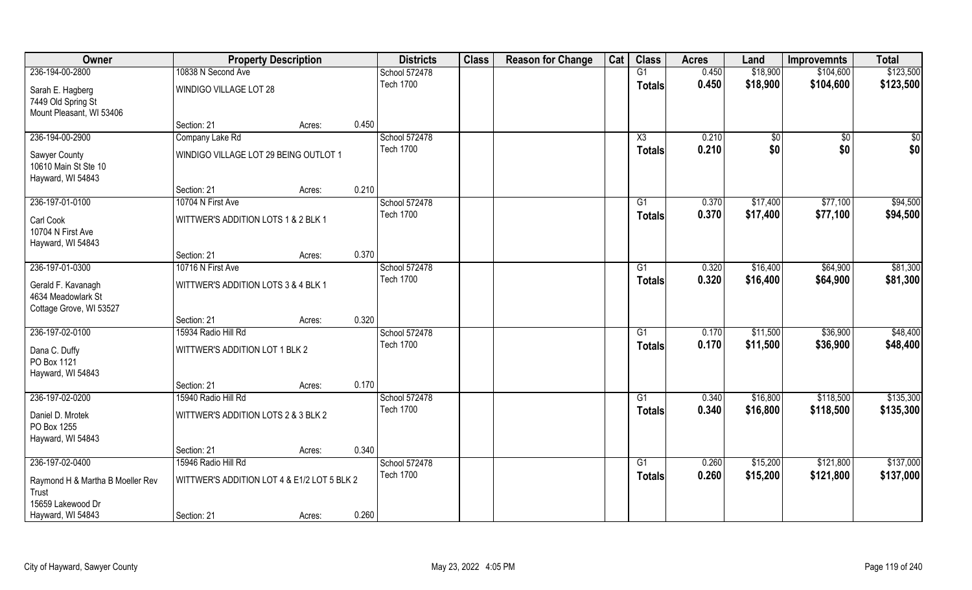| Owner                                  | <b>Property Description</b>                 |        |       | <b>Districts</b>                  | <b>Class</b> | <b>Reason for Change</b> | Cat | <b>Class</b>           | <b>Acres</b>   | Land        | <b>Improvemnts</b> | <b>Total</b> |
|----------------------------------------|---------------------------------------------|--------|-------|-----------------------------------|--------------|--------------------------|-----|------------------------|----------------|-------------|--------------------|--------------|
| 236-194-00-2800                        | 10838 N Second Ave                          |        |       | School 572478                     |              |                          |     | G1                     | 0.450          | \$18,900    | \$104,600          | \$123,500    |
| Sarah E. Hagberg<br>7449 Old Spring St | WINDIGO VILLAGE LOT 28                      |        |       | <b>Tech 1700</b>                  |              |                          |     | <b>Totals</b>          | 0.450          | \$18,900    | \$104,600          | \$123,500    |
| Mount Pleasant, WI 53406               |                                             |        |       |                                   |              |                          |     |                        |                |             |                    |              |
|                                        | Section: 21                                 | Acres: | 0.450 |                                   |              |                          |     |                        |                |             |                    |              |
| 236-194-00-2900                        | Company Lake Rd                             |        |       | School 572478                     |              |                          |     | $\overline{\text{X3}}$ | 0.210          | $\sqrt{$0}$ | $\overline{50}$    | \$0          |
| Sawyer County                          | WINDIGO VILLAGE LOT 29 BEING OUTLOT 1       |        |       | <b>Tech 1700</b>                  |              |                          |     | Totals                 | 0.210          | \$0         | \$0                | \$0          |
| 10610 Main St Ste 10                   |                                             |        |       |                                   |              |                          |     |                        |                |             |                    |              |
| Hayward, WI 54843                      |                                             |        |       |                                   |              |                          |     |                        |                |             |                    |              |
|                                        | Section: 21                                 | Acres: | 0.210 |                                   |              |                          |     |                        |                |             |                    |              |
| 236-197-01-0100                        | 10704 N First Ave                           |        |       | School 572478                     |              |                          |     | G1                     | 0.370          | \$17,400    | \$77,100           | \$94,500     |
| Carl Cook                              | WITTWER'S ADDITION LOTS 1 & 2 BLK 1         |        |       | <b>Tech 1700</b>                  |              |                          |     | <b>Totals</b>          | 0.370          | \$17,400    | \$77,100           | \$94,500     |
| 10704 N First Ave                      |                                             |        |       |                                   |              |                          |     |                        |                |             |                    |              |
| Hayward, WI 54843                      |                                             |        |       |                                   |              |                          |     |                        |                |             |                    |              |
|                                        | Section: 21                                 | Acres: | 0.370 |                                   |              |                          |     |                        |                |             |                    |              |
| 236-197-01-0300                        | 10716 N First Ave                           |        |       | School 572478<br><b>Tech 1700</b> |              |                          |     | G1                     | 0.320<br>0.320 | \$16,400    | \$64,900           | \$81,300     |
| Gerald F. Kavanagh                     | WITTWER'S ADDITION LOTS 3 & 4 BLK 1         |        |       |                                   |              |                          |     | <b>Totals</b>          |                | \$16,400    | \$64,900           | \$81,300     |
| 4634 Meadowlark St                     |                                             |        |       |                                   |              |                          |     |                        |                |             |                    |              |
| Cottage Grove, WI 53527                | Section: 21                                 | Acres: | 0.320 |                                   |              |                          |     |                        |                |             |                    |              |
| 236-197-02-0100                        | 15934 Radio Hill Rd                         |        |       | School 572478                     |              |                          |     | $\overline{G1}$        | 0.170          | \$11,500    | \$36,900           | \$48,400     |
|                                        |                                             |        |       | <b>Tech 1700</b>                  |              |                          |     | <b>Totals</b>          | 0.170          | \$11,500    | \$36,900           | \$48,400     |
| Dana C. Duffy                          | WITTWER'S ADDITION LOT 1 BLK 2              |        |       |                                   |              |                          |     |                        |                |             |                    |              |
| PO Box 1121<br>Hayward, WI 54843       |                                             |        |       |                                   |              |                          |     |                        |                |             |                    |              |
|                                        | Section: 21                                 | Acres: | 0.170 |                                   |              |                          |     |                        |                |             |                    |              |
| 236-197-02-0200                        | 15940 Radio Hill Rd                         |        |       | School 572478                     |              |                          |     | G1                     | 0.340          | \$16,800    | \$118,500          | \$135,300    |
|                                        |                                             |        |       | <b>Tech 1700</b>                  |              |                          |     | <b>Totals</b>          | 0.340          | \$16,800    | \$118,500          | \$135,300    |
| Daniel D. Mrotek<br>PO Box 1255        | WITTWER'S ADDITION LOTS 2 & 3 BLK 2         |        |       |                                   |              |                          |     |                        |                |             |                    |              |
| Hayward, WI 54843                      |                                             |        |       |                                   |              |                          |     |                        |                |             |                    |              |
|                                        | Section: 21                                 | Acres: | 0.340 |                                   |              |                          |     |                        |                |             |                    |              |
| 236-197-02-0400                        | 15946 Radio Hill Rd                         |        |       | School 572478                     |              |                          |     | G1                     | 0.260          | \$15,200    | \$121,800          | \$137,000    |
| Raymond H & Martha B Moeller Rev       | WITTWER'S ADDITION LOT 4 & E1/2 LOT 5 BLK 2 |        |       | <b>Tech 1700</b>                  |              |                          |     | <b>Totals</b>          | 0.260          | \$15,200    | \$121,800          | \$137,000    |
| Trust                                  |                                             |        |       |                                   |              |                          |     |                        |                |             |                    |              |
| 15659 Lakewood Dr                      |                                             |        |       |                                   |              |                          |     |                        |                |             |                    |              |
| Hayward, WI 54843                      | Section: 21                                 | Acres: | 0.260 |                                   |              |                          |     |                        |                |             |                    |              |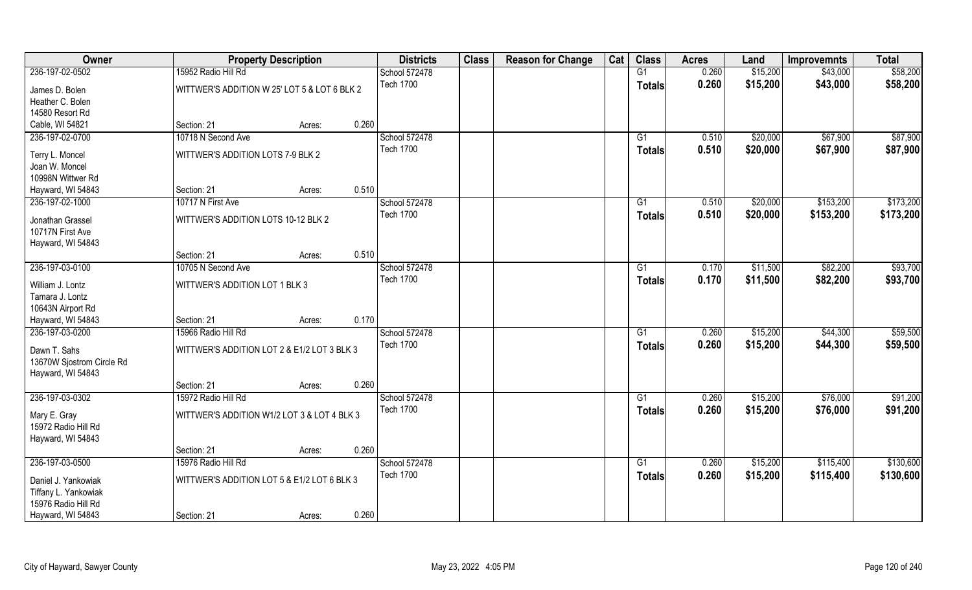| 236-197-02-0502<br>15952 Radio Hill Rd<br>G1<br>0.260<br>\$15,200<br>\$43,000<br>School 572478<br><b>Tech 1700</b><br>0.260<br>\$15,200<br>\$43,000<br><b>Totals</b><br>WITTWER'S ADDITION W 25' LOT 5 & LOT 6 BLK 2<br>James D. Bolen | \$58,200<br>\$58,200 |
|----------------------------------------------------------------------------------------------------------------------------------------------------------------------------------------------------------------------------------------|----------------------|
|                                                                                                                                                                                                                                        |                      |
|                                                                                                                                                                                                                                        |                      |
| Heather C. Bolen                                                                                                                                                                                                                       |                      |
| 14580 Resort Rd                                                                                                                                                                                                                        |                      |
| Cable, WI 54821<br>0.260<br>Section: 21<br>Acres:                                                                                                                                                                                      |                      |
| \$67,900<br>236-197-02-0700<br>10718 N Second Ave<br>School 572478<br>\$20,000<br>G1<br>0.510                                                                                                                                          | \$87,900             |
| <b>Tech 1700</b><br>0.510<br>\$20,000<br>\$67,900<br><b>Totals</b><br>WITTWER'S ADDITION LOTS 7-9 BLK 2<br>Terry L. Moncel                                                                                                             | \$87,900             |
| Joan W. Moncel                                                                                                                                                                                                                         |                      |
| 10998N Wittwer Rd                                                                                                                                                                                                                      |                      |
| 0.510<br>Hayward, WI 54843<br>Section: 21<br>Acres:                                                                                                                                                                                    |                      |
| 236-197-02-1000<br>School 572478<br>\$153,200<br>10717 N First Ave<br>G1<br>0.510<br>\$20,000                                                                                                                                          | \$173,200            |
| <b>Tech 1700</b><br>0.510<br>\$20,000<br>\$153,200<br><b>Totals</b>                                                                                                                                                                    | \$173,200            |
| WITTWER'S ADDITION LOTS 10-12 BLK 2<br>Jonathan Grassel                                                                                                                                                                                |                      |
| 10717N First Ave                                                                                                                                                                                                                       |                      |
| Hayward, WI 54843<br>0.510<br>Section: 21<br>Acres:                                                                                                                                                                                    |                      |
| 236-197-03-0100<br>School 572478<br>\$82,200<br>10705 N Second Ave<br>0.170<br>\$11,500<br>G1                                                                                                                                          | \$93,700             |
| <b>Tech 1700</b><br>0.170<br>\$11,500<br>\$82,200<br><b>Totals</b>                                                                                                                                                                     | \$93,700             |
| WITTWER'S ADDITION LOT 1 BLK 3<br>William J. Lontz                                                                                                                                                                                     |                      |
| Tamara J. Lontz                                                                                                                                                                                                                        |                      |
| 10643N Airport Rd                                                                                                                                                                                                                      |                      |
| 0.170<br>Hayward, WI 54843<br>Section: 21<br>Acres:                                                                                                                                                                                    |                      |
| 236-197-03-0200<br>15966 Radio Hill Rd<br>School 572478<br>0.260<br>\$15,200<br>\$44,300<br>G1                                                                                                                                         | \$59,500             |
| <b>Tech 1700</b><br>\$15,200<br>0.260<br>\$44,300<br><b>Totals</b><br>Dawn T. Sahs<br>WITTWER'S ADDITION LOT 2 & E1/2 LOT 3 BLK 3                                                                                                      | \$59,500             |
| 13670W Sjostrom Circle Rd                                                                                                                                                                                                              |                      |
| Hayward, WI 54843                                                                                                                                                                                                                      |                      |
| 0.260<br>Section: 21<br>Acres:                                                                                                                                                                                                         |                      |
| 236-197-03-0302<br>15972 Radio Hill Rd<br>School 572478<br>\$15,200<br>\$76,000<br>G1<br>0.260                                                                                                                                         | \$91,200             |
| <b>Tech 1700</b><br>\$15,200<br>0.260<br>\$76,000<br><b>Totals</b><br>WITTWER'S ADDITION W1/2 LOT 3 & LOT 4 BLK 3<br>Mary E. Gray                                                                                                      | \$91,200             |
| 15972 Radio Hill Rd                                                                                                                                                                                                                    |                      |
| Hayward, WI 54843                                                                                                                                                                                                                      |                      |
| 0.260<br>Section: 21<br>Acres:                                                                                                                                                                                                         |                      |
| 236-197-03-0500<br>15976 Radio Hill Rd<br>School 572478<br>$\overline{G1}$<br>0.260<br>\$15,200<br>\$115,400                                                                                                                           | \$130,600            |
| <b>Tech 1700</b><br>0.260<br>\$15,200<br>\$115,400<br><b>Totals</b><br>WITTWER'S ADDITION LOT 5 & E1/2 LOT 6 BLK 3                                                                                                                     | \$130,600            |
| Daniel J. Yankowiak<br>Tiffany L. Yankowiak                                                                                                                                                                                            |                      |
| 15976 Radio Hill Rd                                                                                                                                                                                                                    |                      |
| 0.260<br>Hayward, WI 54843<br>Section: 21<br>Acres:                                                                                                                                                                                    |                      |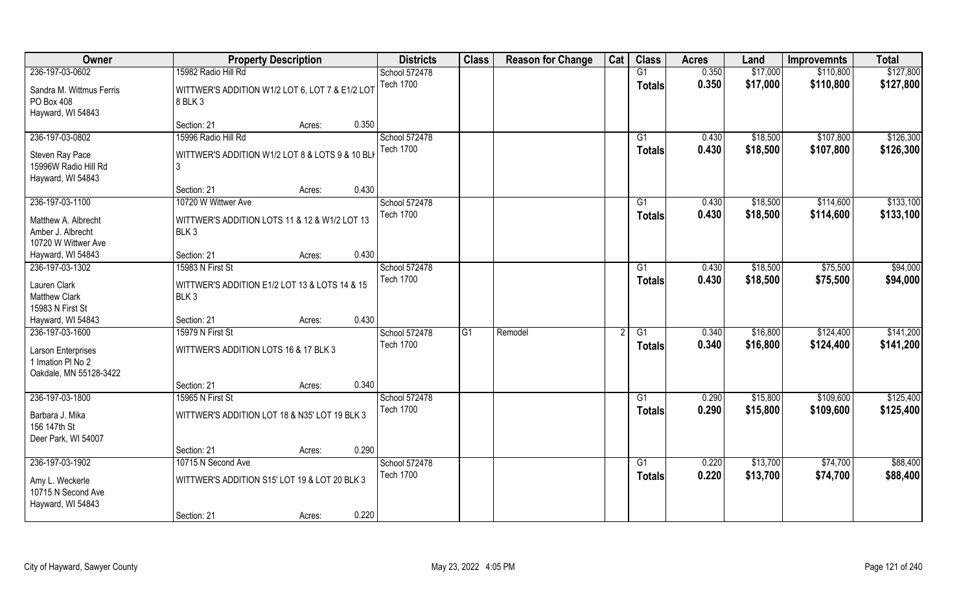| Owner                                   | <b>Property Description</b>                         |        |       | <b>Districts</b> | <b>Class</b> | <b>Reason for Change</b> | Cat | <b>Class</b>    | <b>Acres</b> | Land     | <b>Improvemnts</b> | <b>Total</b> |
|-----------------------------------------|-----------------------------------------------------|--------|-------|------------------|--------------|--------------------------|-----|-----------------|--------------|----------|--------------------|--------------|
| 236-197-03-0602                         | 15982 Radio Hill Rd                                 |        |       | School 572478    |              |                          |     | G1              | 0.350        | \$17,000 | \$110,800          | \$127,800    |
| Sandra M. Wittmus Ferris                | WITTWER'S ADDITION W1/2 LOT 6, LOT 7 & E1/2 LOT     |        |       | <b>Tech 1700</b> |              |                          |     | <b>Totals</b>   | 0.350        | \$17,000 | \$110,800          | \$127,800    |
| PO Box 408                              | 8 BLK 3                                             |        |       |                  |              |                          |     |                 |              |          |                    |              |
| Hayward, WI 54843                       |                                                     |        |       |                  |              |                          |     |                 |              |          |                    |              |
|                                         | Section: 21                                         | Acres: | 0.350 |                  |              |                          |     |                 |              |          |                    |              |
| 236-197-03-0802                         | 15996 Radio Hill Rd                                 |        |       | School 572478    |              |                          |     | G1              | 0.430        | \$18,500 | \$107,800          | \$126,300    |
|                                         |                                                     |        |       | <b>Tech 1700</b> |              |                          |     | Totals          | 0.430        | \$18,500 | \$107,800          | \$126,300    |
| Steven Ray Pace<br>15996W Radio Hill Rd | WITTWER'S ADDITION W1/2 LOT 8 & LOTS 9 & 10 BL<br>3 |        |       |                  |              |                          |     |                 |              |          |                    |              |
| Hayward, WI 54843                       |                                                     |        |       |                  |              |                          |     |                 |              |          |                    |              |
|                                         | Section: 21                                         | Acres: | 0.430 |                  |              |                          |     |                 |              |          |                    |              |
| 236-197-03-1100                         | 10720 W Wittwer Ave                                 |        |       | School 572478    |              |                          |     | G1              | 0.430        | \$18,500 | \$114,600          | \$133,100    |
|                                         |                                                     |        |       | <b>Tech 1700</b> |              |                          |     | <b>Totals</b>   | 0.430        | \$18,500 | \$114,600          | \$133,100    |
| Matthew A. Albrecht                     | WITTWER'S ADDITION LOTS 11 & 12 & W1/2 LOT 13       |        |       |                  |              |                          |     |                 |              |          |                    |              |
| Amber J. Albrecht                       | BLK <sub>3</sub>                                    |        |       |                  |              |                          |     |                 |              |          |                    |              |
| 10720 W Wittwer Ave                     |                                                     |        |       |                  |              |                          |     |                 |              |          |                    |              |
| Hayward, WI 54843                       | Section: 21                                         | Acres: | 0.430 |                  |              |                          |     |                 |              |          |                    |              |
| 236-197-03-1302                         | 15983 N First St                                    |        |       | School 572478    |              |                          |     | G1              | 0.430        | \$18,500 | \$75,500           | \$94,000     |
| Lauren Clark                            | WITTWER'S ADDITION E1/2 LOT 13 & LOTS 14 & 15       |        |       | <b>Tech 1700</b> |              |                          |     | <b>Totals</b>   | 0.430        | \$18,500 | \$75,500           | \$94,000     |
| <b>Matthew Clark</b>                    | BLK <sub>3</sub>                                    |        |       |                  |              |                          |     |                 |              |          |                    |              |
| 15983 N First St                        |                                                     |        |       |                  |              |                          |     |                 |              |          |                    |              |
| Hayward, WI 54843                       | Section: 21                                         | Acres: | 0.430 |                  |              |                          |     |                 |              |          |                    |              |
| 236-197-03-1600                         | 15979 N First St                                    |        |       | School 572478    | G1           | Remodel                  |     | $\overline{G1}$ | 0.340        | \$16,800 | \$124,400          | \$141,200    |
| Larson Enterprises                      | WITTWER'S ADDITION LOTS 16 & 17 BLK 3               |        |       | <b>Tech 1700</b> |              |                          |     | <b>Totals</b>   | 0.340        | \$16,800 | \$124,400          | \$141,200    |
| 1 Imation PI No 2                       |                                                     |        |       |                  |              |                          |     |                 |              |          |                    |              |
| Oakdale, MN 55128-3422                  |                                                     |        |       |                  |              |                          |     |                 |              |          |                    |              |
|                                         | Section: 21                                         | Acres: | 0.340 |                  |              |                          |     |                 |              |          |                    |              |
| 236-197-03-1800                         | 15965 N First St                                    |        |       | School 572478    |              |                          |     | G1              | 0.290        | \$15,800 | \$109,600          | \$125,400    |
|                                         | WITTWER'S ADDITION LOT 18 & N35' LOT 19 BLK 3       |        |       | <b>Tech 1700</b> |              |                          |     | <b>Totals</b>   | 0.290        | \$15,800 | \$109,600          | \$125,400    |
| Barbara J. Mika<br>156 147th St         |                                                     |        |       |                  |              |                          |     |                 |              |          |                    |              |
| Deer Park, WI 54007                     |                                                     |        |       |                  |              |                          |     |                 |              |          |                    |              |
|                                         | Section: 21                                         | Acres: | 0.290 |                  |              |                          |     |                 |              |          |                    |              |
| 236-197-03-1902                         | 10715 N Second Ave                                  |        |       | School 572478    |              |                          |     | $\overline{G1}$ | 0.220        | \$13,700 | \$74,700           | \$88,400     |
|                                         |                                                     |        |       | <b>Tech 1700</b> |              |                          |     | <b>Totals</b>   | 0.220        | \$13,700 | \$74,700           | \$88,400     |
| Amy L. Weckerle                         | WITTWER'S ADDITION S15' LOT 19 & LOT 20 BLK 3       |        |       |                  |              |                          |     |                 |              |          |                    |              |
| 10715 N Second Ave                      |                                                     |        |       |                  |              |                          |     |                 |              |          |                    |              |
| Hayward, WI 54843                       |                                                     |        |       |                  |              |                          |     |                 |              |          |                    |              |
|                                         | Section: 21                                         | Acres: | 0.220 |                  |              |                          |     |                 |              |          |                    |              |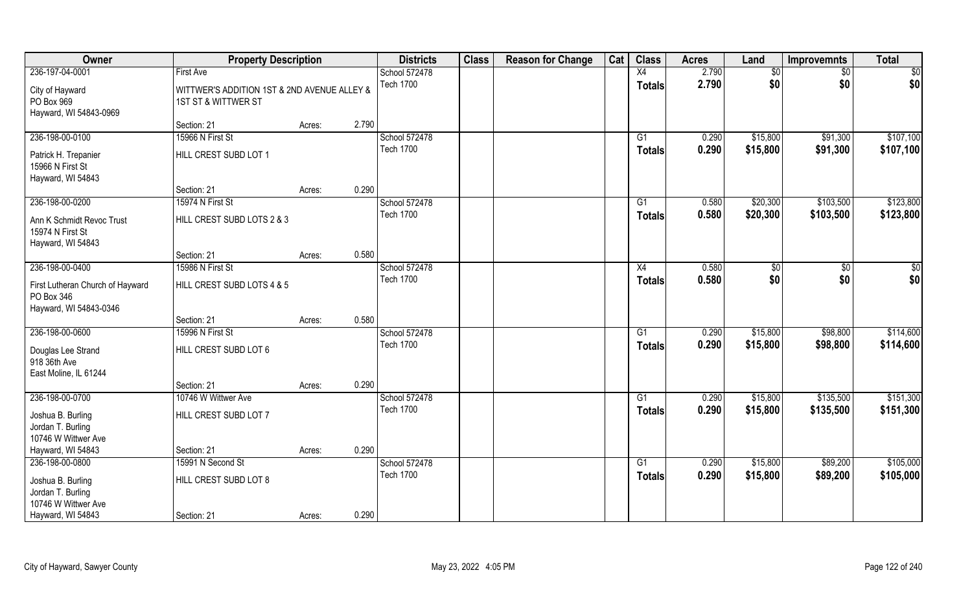| Owner                                  | <b>Property Description</b>                 |        |       | <b>Districts</b> | <b>Class</b> | <b>Reason for Change</b> | Cat | <b>Class</b>    | <b>Acres</b> | Land     | <b>Improvemnts</b> | <b>Total</b>  |
|----------------------------------------|---------------------------------------------|--------|-------|------------------|--------------|--------------------------|-----|-----------------|--------------|----------|--------------------|---------------|
| 236-197-04-0001                        | <b>First Ave</b>                            |        |       | School 572478    |              |                          |     | X4              | 2.790        | \$0      | $\sqrt{6}$         | \$0           |
| City of Hayward                        | WITTWER'S ADDITION 1ST & 2ND AVENUE ALLEY & |        |       | <b>Tech 1700</b> |              |                          |     | <b>Totals</b>   | 2.790        | \$0      | \$0                | \$0           |
| PO Box 969                             | 1ST ST & WITTWER ST                         |        |       |                  |              |                          |     |                 |              |          |                    |               |
| Hayward, WI 54843-0969                 |                                             |        |       |                  |              |                          |     |                 |              |          |                    |               |
|                                        | Section: 21                                 | Acres: | 2.790 |                  |              |                          |     |                 |              |          |                    |               |
| 236-198-00-0100                        | 15966 N First St                            |        |       | School 572478    |              |                          |     | G1              | 0.290        | \$15,800 | \$91,300           | \$107,100     |
| Patrick H. Trepanier                   | HILL CREST SUBD LOT 1                       |        |       | <b>Tech 1700</b> |              |                          |     | Totals          | 0.290        | \$15,800 | \$91,300           | \$107,100     |
| 15966 N First St                       |                                             |        |       |                  |              |                          |     |                 |              |          |                    |               |
| Hayward, WI 54843                      |                                             |        |       |                  |              |                          |     |                 |              |          |                    |               |
|                                        | Section: 21                                 | Acres: | 0.290 |                  |              |                          |     |                 |              |          |                    |               |
| 236-198-00-0200                        | 15974 N First St                            |        |       | School 572478    |              |                          |     | G1              | 0.580        | \$20,300 | \$103,500          | \$123,800     |
| Ann K Schmidt Revoc Trust              | HILL CREST SUBD LOTS 2 & 3                  |        |       | <b>Tech 1700</b> |              |                          |     | <b>Totals</b>   | 0.580        | \$20,300 | \$103,500          | \$123,800     |
| 15974 N First St                       |                                             |        |       |                  |              |                          |     |                 |              |          |                    |               |
| Hayward, WI 54843                      |                                             |        |       |                  |              |                          |     |                 |              |          |                    |               |
|                                        | Section: 21                                 | Acres: | 0.580 |                  |              |                          |     |                 |              |          |                    |               |
| 236-198-00-0400                        | 15986 N First St                            |        |       | School 572478    |              |                          |     | X4              | 0.580        | \$0      | $\sqrt{50}$        | $\frac{6}{3}$ |
| First Lutheran Church of Hayward       | HILL CREST SUBD LOTS 4 & 5                  |        |       | <b>Tech 1700</b> |              |                          |     | <b>Totals</b>   | 0.580        | \$0      | \$0                | \$0           |
| PO Box 346                             |                                             |        |       |                  |              |                          |     |                 |              |          |                    |               |
| Hayward, WI 54843-0346                 |                                             |        |       |                  |              |                          |     |                 |              |          |                    |               |
|                                        | Section: 21                                 | Acres: | 0.580 |                  |              |                          |     |                 |              |          |                    |               |
| 236-198-00-0600                        | 15996 N First St                            |        |       | School 572478    |              |                          |     | $\overline{G1}$ | 0.290        | \$15,800 | \$98,800           | \$114,600     |
|                                        | HILL CREST SUBD LOT 6                       |        |       | <b>Tech 1700</b> |              |                          |     | <b>Totals</b>   | 0.290        | \$15,800 | \$98,800           | \$114,600     |
| Douglas Lee Strand<br>918 36th Ave     |                                             |        |       |                  |              |                          |     |                 |              |          |                    |               |
| East Moline, IL 61244                  |                                             |        |       |                  |              |                          |     |                 |              |          |                    |               |
|                                        | Section: 21                                 | Acres: | 0.290 |                  |              |                          |     |                 |              |          |                    |               |
| 236-198-00-0700                        | 10746 W Wittwer Ave                         |        |       | School 572478    |              |                          |     | G1              | 0.290        | \$15,800 | \$135,500          | \$151,300     |
|                                        | HILL CREST SUBD LOT 7                       |        |       | <b>Tech 1700</b> |              |                          |     | <b>Totals</b>   | 0.290        | \$15,800 | \$135,500          | \$151,300     |
| Joshua B. Burling<br>Jordan T. Burling |                                             |        |       |                  |              |                          |     |                 |              |          |                    |               |
| 10746 W Wittwer Ave                    |                                             |        |       |                  |              |                          |     |                 |              |          |                    |               |
| Hayward, WI 54843                      | Section: 21                                 | Acres: | 0.290 |                  |              |                          |     |                 |              |          |                    |               |
| 236-198-00-0800                        | 15991 N Second St                           |        |       | School 572478    |              |                          |     | G1              | 0.290        | \$15,800 | \$89,200           | \$105,000     |
|                                        |                                             |        |       | <b>Tech 1700</b> |              |                          |     | <b>Totals</b>   | 0.290        | \$15,800 | \$89,200           | \$105,000     |
| Joshua B. Burling<br>Jordan T. Burling | HILL CREST SUBD LOT 8                       |        |       |                  |              |                          |     |                 |              |          |                    |               |
| 10746 W Wittwer Ave                    |                                             |        |       |                  |              |                          |     |                 |              |          |                    |               |
| Hayward, WI 54843                      | Section: 21                                 | Acres: | 0.290 |                  |              |                          |     |                 |              |          |                    |               |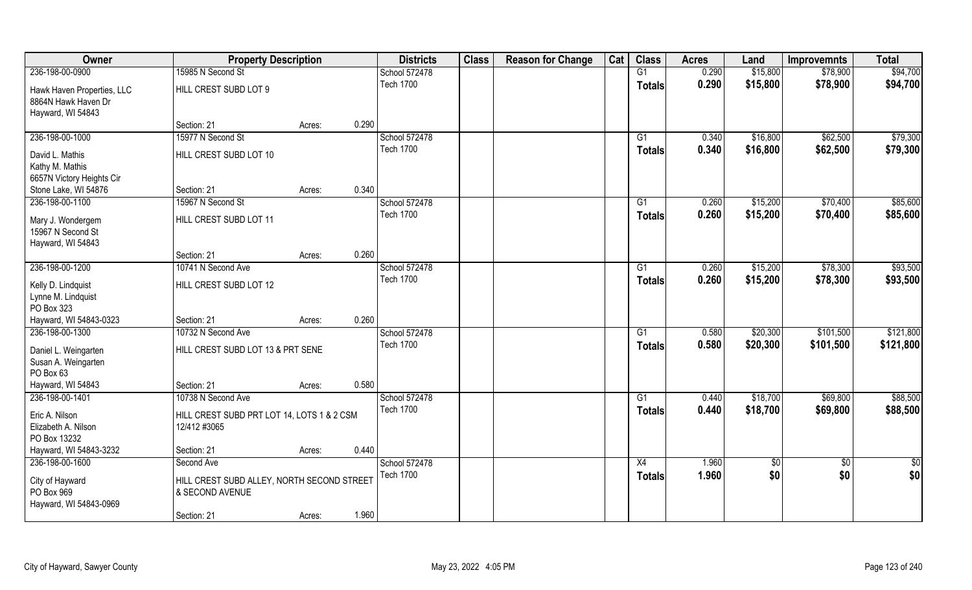| Owner                      | <b>Property Description</b>                |        |       | <b>Districts</b> | <b>Class</b> | <b>Reason for Change</b> | Cat | <b>Class</b>    | <b>Acres</b> | Land            | <b>Improvemnts</b> | <b>Total</b>    |
|----------------------------|--------------------------------------------|--------|-------|------------------|--------------|--------------------------|-----|-----------------|--------------|-----------------|--------------------|-----------------|
| 236-198-00-0900            | 15985 N Second St                          |        |       | School 572478    |              |                          |     | $\overline{G1}$ | 0.290        | \$15,800        | \$78,900           | \$94,700        |
| Hawk Haven Properties, LLC | HILL CREST SUBD LOT 9                      |        |       | <b>Tech 1700</b> |              |                          |     | <b>Totals</b>   | 0.290        | \$15,800        | \$78,900           | \$94,700        |
| 8864N Hawk Haven Dr        |                                            |        |       |                  |              |                          |     |                 |              |                 |                    |                 |
| Hayward, WI 54843          |                                            |        |       |                  |              |                          |     |                 |              |                 |                    |                 |
|                            | Section: 21                                | Acres: | 0.290 |                  |              |                          |     |                 |              |                 |                    |                 |
| 236-198-00-1000            | 15977 N Second St                          |        |       | School 572478    |              |                          |     | G1              | 0.340        | \$16,800        | \$62,500           | \$79,300        |
| David L. Mathis            | HILL CREST SUBD LOT 10                     |        |       | <b>Tech 1700</b> |              |                          |     | <b>Totals</b>   | 0.340        | \$16,800        | \$62,500           | \$79,300        |
| Kathy M. Mathis            |                                            |        |       |                  |              |                          |     |                 |              |                 |                    |                 |
| 6657N Victory Heights Cir  |                                            |        |       |                  |              |                          |     |                 |              |                 |                    |                 |
| Stone Lake, WI 54876       | Section: 21                                | Acres: | 0.340 |                  |              |                          |     |                 |              |                 |                    |                 |
| 236-198-00-1100            | 15967 N Second St                          |        |       | School 572478    |              |                          |     | G1              | 0.260        | \$15,200        | \$70,400           | \$85,600        |
| Mary J. Wondergem          | HILL CREST SUBD LOT 11                     |        |       | <b>Tech 1700</b> |              |                          |     | <b>Totals</b>   | 0.260        | \$15,200        | \$70,400           | \$85,600        |
| 15967 N Second St          |                                            |        |       |                  |              |                          |     |                 |              |                 |                    |                 |
| Hayward, WI 54843          |                                            |        |       |                  |              |                          |     |                 |              |                 |                    |                 |
|                            | Section: 21                                | Acres: | 0.260 |                  |              |                          |     |                 |              |                 |                    |                 |
| 236-198-00-1200            | 10741 N Second Ave                         |        |       | School 572478    |              |                          |     | G1              | 0.260        | \$15,200        | \$78,300           | \$93,500        |
| Kelly D. Lindquist         | HILL CREST SUBD LOT 12                     |        |       | <b>Tech 1700</b> |              |                          |     | <b>Totals</b>   | 0.260        | \$15,200        | \$78,300           | \$93,500        |
| Lynne M. Lindquist         |                                            |        |       |                  |              |                          |     |                 |              |                 |                    |                 |
| PO Box 323                 |                                            |        |       |                  |              |                          |     |                 |              |                 |                    |                 |
| Hayward, WI 54843-0323     | Section: 21                                | Acres: | 0.260 |                  |              |                          |     |                 |              |                 |                    |                 |
| 236-198-00-1300            | 10732 N Second Ave                         |        |       | School 572478    |              |                          |     | G1              | 0.580        | \$20,300        | \$101,500          | \$121,800       |
| Daniel L. Weingarten       | HILL CREST SUBD LOT 13 & PRT SENE          |        |       | <b>Tech 1700</b> |              |                          |     | Totals          | 0.580        | \$20,300        | \$101,500          | \$121,800       |
| Susan A. Weingarten        |                                            |        |       |                  |              |                          |     |                 |              |                 |                    |                 |
| PO Box 63                  |                                            |        |       |                  |              |                          |     |                 |              |                 |                    |                 |
| Hayward, WI 54843          | Section: 21                                | Acres: | 0.580 |                  |              |                          |     |                 |              |                 |                    |                 |
| 236-198-00-1401            | 10738 N Second Ave                         |        |       | School 572478    |              |                          |     | G1              | 0.440        | \$18,700        | \$69,800           | \$88,500        |
| Eric A. Nilson             | HILL CREST SUBD PRT LOT 14, LOTS 1 & 2 CSM |        |       | <b>Tech 1700</b> |              |                          |     | <b>Totals</b>   | 0.440        | \$18,700        | \$69,800           | \$88,500        |
| Elizabeth A. Nilson        | 12/412 #3065                               |        |       |                  |              |                          |     |                 |              |                 |                    |                 |
| PO Box 13232               |                                            |        |       |                  |              |                          |     |                 |              |                 |                    |                 |
| Hayward, WI 54843-3232     | Section: 21                                | Acres: | 0.440 |                  |              |                          |     |                 |              |                 |                    |                 |
| 236-198-00-1600            | Second Ave                                 |        |       | School 572478    |              |                          |     | X4              | 1.960        | $\overline{50}$ | $\overline{50}$    | $\overline{50}$ |
| City of Hayward            | HILL CREST SUBD ALLEY, NORTH SECOND STREET |        |       | <b>Tech 1700</b> |              |                          |     | <b>Totals</b>   | 1.960        | \$0             | \$0                | \$0             |
| PO Box 969                 | & SECOND AVENUE                            |        |       |                  |              |                          |     |                 |              |                 |                    |                 |
| Hayward, WI 54843-0969     |                                            |        |       |                  |              |                          |     |                 |              |                 |                    |                 |
|                            | Section: 21                                | Acres: | 1.960 |                  |              |                          |     |                 |              |                 |                    |                 |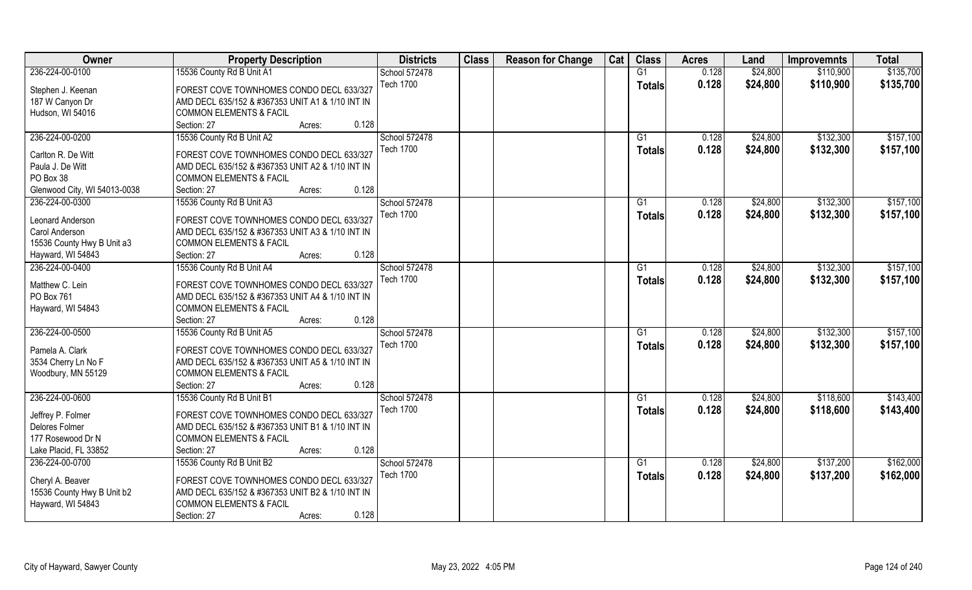| Owner                        | <b>Property Description</b>                      | <b>Districts</b> | <b>Class</b> | <b>Reason for Change</b> | Cat | <b>Class</b>    | <b>Acres</b> | Land     | <b>Improvemnts</b> | <b>Total</b> |
|------------------------------|--------------------------------------------------|------------------|--------------|--------------------------|-----|-----------------|--------------|----------|--------------------|--------------|
| 236-224-00-0100              | 15536 County Rd B Unit A1                        | School 572478    |              |                          |     | G1              | 0.128        | \$24,800 | \$110,900          | \$135,700    |
| Stephen J. Keenan            | FOREST COVE TOWNHOMES CONDO DECL 633/327         | <b>Tech 1700</b> |              |                          |     | <b>Totals</b>   | 0.128        | \$24,800 | \$110,900          | \$135,700    |
| 187 W Canyon Dr              | AMD DECL 635/152 & #367353 UNIT A1 & 1/10 INT IN |                  |              |                          |     |                 |              |          |                    |              |
| Hudson, WI 54016             | <b>COMMON ELEMENTS &amp; FACIL</b>               |                  |              |                          |     |                 |              |          |                    |              |
|                              | 0.128<br>Section: 27<br>Acres:                   |                  |              |                          |     |                 |              |          |                    |              |
| 236-224-00-0200              | 15536 County Rd B Unit A2                        | School 572478    |              |                          |     | G1              | 0.128        | \$24,800 | \$132,300          | \$157,100    |
|                              |                                                  | <b>Tech 1700</b> |              |                          |     | <b>Totals</b>   | 0.128        | \$24,800 | \$132,300          | \$157,100    |
| Carlton R. De Witt           | FOREST COVE TOWNHOMES CONDO DECL 633/327         |                  |              |                          |     |                 |              |          |                    |              |
| Paula J. De Witt             | AMD DECL 635/152 & #367353 UNIT A2 & 1/10 INT IN |                  |              |                          |     |                 |              |          |                    |              |
| PO Box 38                    | <b>COMMON ELEMENTS &amp; FACIL</b>               |                  |              |                          |     |                 |              |          |                    |              |
| Glenwood City, WI 54013-0038 | 0.128<br>Section: 27<br>Acres:                   |                  |              |                          |     |                 |              |          |                    |              |
| 236-224-00-0300              | 15536 County Rd B Unit A3                        | School 572478    |              |                          |     | G1              | 0.128        | \$24,800 | \$132,300          | \$157,100    |
| Leonard Anderson             | FOREST COVE TOWNHOMES CONDO DECL 633/327         | Tech 1700        |              |                          |     | <b>Totals</b>   | 0.128        | \$24,800 | \$132,300          | \$157,100    |
| Carol Anderson               | AMD DECL 635/152 & #367353 UNIT A3 & 1/10 INT IN |                  |              |                          |     |                 |              |          |                    |              |
| 15536 County Hwy B Unit a3   | <b>COMMON ELEMENTS &amp; FACIL</b>               |                  |              |                          |     |                 |              |          |                    |              |
| Hayward, WI 54843            | 0.128<br>Section: 27<br>Acres:                   |                  |              |                          |     |                 |              |          |                    |              |
| 236-224-00-0400              | 15536 County Rd B Unit A4                        | School 572478    |              |                          |     | G1              | 0.128        | \$24,800 | \$132,300          | \$157,100    |
|                              |                                                  | <b>Tech 1700</b> |              |                          |     | <b>Totals</b>   | 0.128        | \$24,800 | \$132,300          | \$157,100    |
| Matthew C. Lein              | FOREST COVE TOWNHOMES CONDO DECL 633/327         |                  |              |                          |     |                 |              |          |                    |              |
| PO Box 761                   | AMD DECL 635/152 & #367353 UNIT A4 & 1/10 INT IN |                  |              |                          |     |                 |              |          |                    |              |
| Hayward, WI 54843            | <b>COMMON ELEMENTS &amp; FACIL</b>               |                  |              |                          |     |                 |              |          |                    |              |
|                              | 0.128<br>Section: 27<br>Acres:                   |                  |              |                          |     |                 |              |          |                    |              |
| 236-224-00-0500              | 15536 County Rd B Unit A5                        | School 572478    |              |                          |     | G1              | 0.128        | \$24,800 | \$132,300          | \$157,100    |
| Pamela A. Clark              | FOREST COVE TOWNHOMES CONDO DECL 633/327         | <b>Tech 1700</b> |              |                          |     | <b>Totals</b>   | 0.128        | \$24,800 | \$132,300          | \$157,100    |
| 3534 Cherry Ln No F          | AMD DECL 635/152 & #367353 UNIT A5 & 1/10 INT IN |                  |              |                          |     |                 |              |          |                    |              |
| Woodbury, MN 55129           | <b>COMMON ELEMENTS &amp; FACIL</b>               |                  |              |                          |     |                 |              |          |                    |              |
|                              | 0.128<br>Section: 27<br>Acres:                   |                  |              |                          |     |                 |              |          |                    |              |
| 236-224-00-0600              | 15536 County Rd B Unit B1                        | School 572478    |              |                          |     | G1              | 0.128        | \$24,800 | \$118,600          | \$143,400    |
|                              |                                                  | <b>Tech 1700</b> |              |                          |     | <b>Totals</b>   | 0.128        | \$24,800 | \$118,600          | \$143,400    |
| Jeffrey P. Folmer            | FOREST COVE TOWNHOMES CONDO DECL 633/327         |                  |              |                          |     |                 |              |          |                    |              |
| Delores Folmer               | AMD DECL 635/152 & #367353 UNIT B1 & 1/10 INT IN |                  |              |                          |     |                 |              |          |                    |              |
| 177 Rosewood Dr N            | <b>COMMON ELEMENTS &amp; FACIL</b>               |                  |              |                          |     |                 |              |          |                    |              |
| Lake Placid, FL 33852        | 0.128<br>Section: 27<br>Acres:                   |                  |              |                          |     |                 |              |          |                    |              |
| 236-224-00-0700              | 15536 County Rd B Unit B2                        | School 572478    |              |                          |     | $\overline{G1}$ | 0.128        | \$24,800 | \$137,200          | \$162,000    |
| Cheryl A. Beaver             | FOREST COVE TOWNHOMES CONDO DECL 633/327         | <b>Tech 1700</b> |              |                          |     | <b>Totals</b>   | 0.128        | \$24,800 | \$137,200          | \$162,000    |
| 15536 County Hwy B Unit b2   | AMD DECL 635/152 & #367353 UNIT B2 & 1/10 INT IN |                  |              |                          |     |                 |              |          |                    |              |
| Hayward, WI 54843            | <b>COMMON ELEMENTS &amp; FACIL</b>               |                  |              |                          |     |                 |              |          |                    |              |
|                              | 0.128<br>Section: 27<br>Acres:                   |                  |              |                          |     |                 |              |          |                    |              |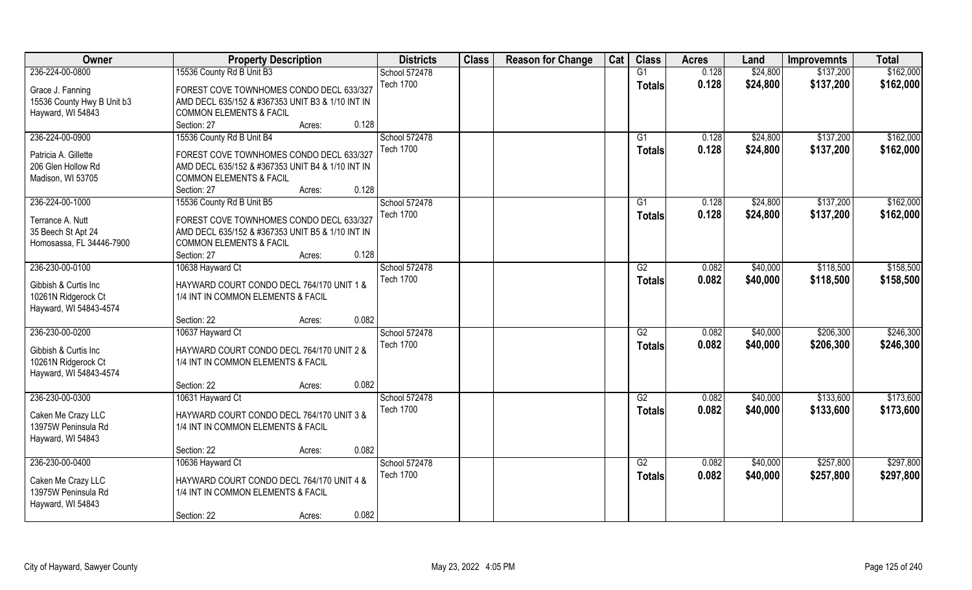| Owner                      | <b>Property Description</b>                      | <b>Districts</b> | <b>Class</b> | <b>Reason for Change</b> | Cat | <b>Class</b>    | <b>Acres</b> | Land     | <b>Improvemnts</b> | <b>Total</b> |
|----------------------------|--------------------------------------------------|------------------|--------------|--------------------------|-----|-----------------|--------------|----------|--------------------|--------------|
| 236-224-00-0800            | 15536 County Rd B Unit B3                        | School 572478    |              |                          |     | G1              | 0.128        | \$24,800 | \$137,200          | \$162,000    |
| Grace J. Fanning           | FOREST COVE TOWNHOMES CONDO DECL 633/327         | <b>Tech 1700</b> |              |                          |     | <b>Totals</b>   | 0.128        | \$24,800 | \$137,200          | \$162,000    |
| 15536 County Hwy B Unit b3 | AMD DECL 635/152 & #367353 UNIT B3 & 1/10 INT IN |                  |              |                          |     |                 |              |          |                    |              |
| Hayward, WI 54843          | <b>COMMON ELEMENTS &amp; FACIL</b>               |                  |              |                          |     |                 |              |          |                    |              |
|                            | Section: 27<br>0.128<br>Acres:                   |                  |              |                          |     |                 |              |          |                    |              |
| 236-224-00-0900            | 15536 County Rd B Unit B4                        | School 572478    |              |                          |     | G1              | 0.128        | \$24,800 | \$137,200          | \$162,000    |
|                            |                                                  | <b>Tech 1700</b> |              |                          |     | <b>Totals</b>   | 0.128        | \$24,800 | \$137,200          | \$162,000    |
| Patricia A. Gillette       | FOREST COVE TOWNHOMES CONDO DECL 633/327         |                  |              |                          |     |                 |              |          |                    |              |
| 206 Glen Hollow Rd         | AMD DECL 635/152 & #367353 UNIT B4 & 1/10 INT IN |                  |              |                          |     |                 |              |          |                    |              |
| Madison, WI 53705          | <b>COMMON ELEMENTS &amp; FACIL</b>               |                  |              |                          |     |                 |              |          |                    |              |
|                            | 0.128<br>Section: 27<br>Acres:                   |                  |              |                          |     |                 |              |          |                    |              |
| 236-224-00-1000            | 15536 County Rd B Unit B5                        | School 572478    |              |                          |     | G1              | 0.128        | \$24,800 | \$137,200          | \$162,000    |
| Terrance A. Nutt           | FOREST COVE TOWNHOMES CONDO DECL 633/327         | Tech 1700        |              |                          |     | <b>Totals</b>   | 0.128        | \$24,800 | \$137,200          | \$162,000    |
| 35 Beech St Apt 24         | AMD DECL 635/152 & #367353 UNIT B5 & 1/10 INT IN |                  |              |                          |     |                 |              |          |                    |              |
| Homosassa, FL 34446-7900   | <b>COMMON ELEMENTS &amp; FACIL</b>               |                  |              |                          |     |                 |              |          |                    |              |
|                            | 0.128<br>Section: 27<br>Acres:                   |                  |              |                          |     |                 |              |          |                    |              |
| 236-230-00-0100            | 10638 Hayward Ct                                 | School 572478    |              |                          |     | G2              | 0.082        | \$40,000 | \$118,500          | \$158,500    |
|                            |                                                  | <b>Tech 1700</b> |              |                          |     |                 | 0.082        | \$40,000 | \$118,500          | \$158,500    |
| Gibbish & Curtis Inc       | HAYWARD COURT CONDO DECL 764/170 UNIT 1 &        |                  |              |                          |     | <b>Totals</b>   |              |          |                    |              |
| 10261N Ridgerock Ct        | 1/4 INT IN COMMON ELEMENTS & FACIL               |                  |              |                          |     |                 |              |          |                    |              |
| Hayward, WI 54843-4574     |                                                  |                  |              |                          |     |                 |              |          |                    |              |
|                            | 0.082<br>Section: 22<br>Acres:                   |                  |              |                          |     |                 |              |          |                    |              |
| 236-230-00-0200            | 10637 Hayward Ct                                 | School 572478    |              |                          |     | $\overline{G2}$ | 0.082        | \$40,000 | \$206,300          | \$246,300    |
| Gibbish & Curtis Inc       | HAYWARD COURT CONDO DECL 764/170 UNIT 2 &        | <b>Tech 1700</b> |              |                          |     | <b>Totals</b>   | 0.082        | \$40,000 | \$206,300          | \$246,300    |
| 10261N Ridgerock Ct        | 1/4 INT IN COMMON ELEMENTS & FACIL               |                  |              |                          |     |                 |              |          |                    |              |
| Hayward, WI 54843-4574     |                                                  |                  |              |                          |     |                 |              |          |                    |              |
|                            | 0.082<br>Section: 22<br>Acres:                   |                  |              |                          |     |                 |              |          |                    |              |
| 236-230-00-0300            | 10631 Hayward Ct                                 | School 572478    |              |                          |     | G2              | 0.082        | \$40,000 | \$133,600          | \$173,600    |
|                            |                                                  | <b>Tech 1700</b> |              |                          |     | <b>Totals</b>   | 0.082        | \$40,000 | \$133,600          | \$173,600    |
| Caken Me Crazy LLC         | HAYWARD COURT CONDO DECL 764/170 UNIT 3 &        |                  |              |                          |     |                 |              |          |                    |              |
| 13975W Peninsula Rd        | 1/4 INT IN COMMON ELEMENTS & FACIL               |                  |              |                          |     |                 |              |          |                    |              |
| Hayward, WI 54843          |                                                  |                  |              |                          |     |                 |              |          |                    |              |
|                            | 0.082<br>Section: 22<br>Acres:                   |                  |              |                          |     |                 |              |          |                    |              |
| 236-230-00-0400            | 10636 Hayward Ct                                 | School 572478    |              |                          |     | G2              | 0.082        | \$40,000 | \$257,800          | \$297,800    |
| Caken Me Crazy LLC         | HAYWARD COURT CONDO DECL 764/170 UNIT 4 &        | <b>Tech 1700</b> |              |                          |     | <b>Totals</b>   | 0.082        | \$40,000 | \$257,800          | \$297,800    |
| 13975W Peninsula Rd        | 1/4 INT IN COMMON ELEMENTS & FACIL               |                  |              |                          |     |                 |              |          |                    |              |
| Hayward, WI 54843          |                                                  |                  |              |                          |     |                 |              |          |                    |              |
|                            | 0.082<br>Section: 22<br>Acres:                   |                  |              |                          |     |                 |              |          |                    |              |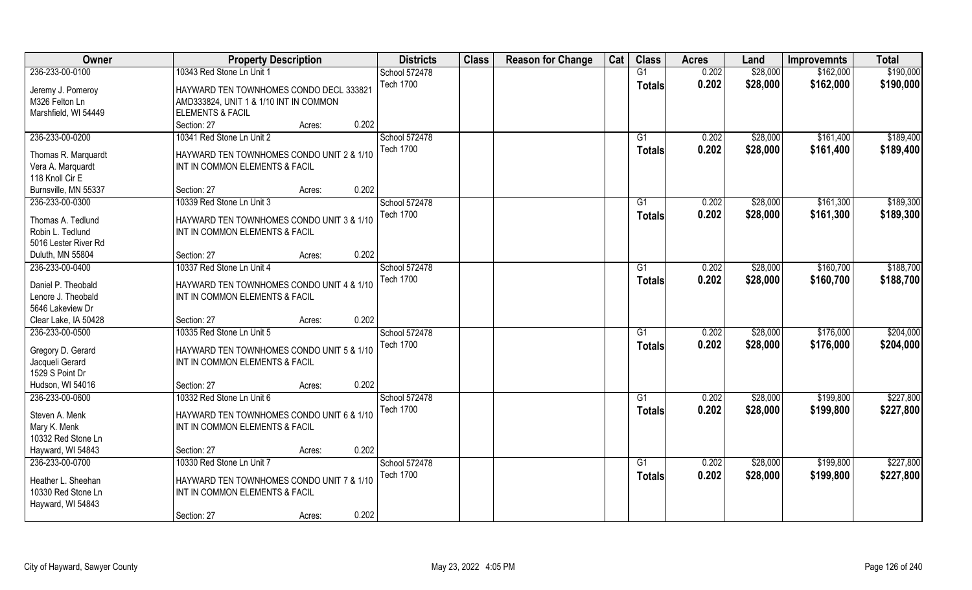| Owner                | <b>Property Description</b>               | <b>Districts</b> | <b>Class</b> | <b>Reason for Change</b> | Cat | <b>Class</b>    | <b>Acres</b> | Land     | <b>Improvemnts</b> | <b>Total</b> |
|----------------------|-------------------------------------------|------------------|--------------|--------------------------|-----|-----------------|--------------|----------|--------------------|--------------|
| 236-233-00-0100      | 10343 Red Stone Ln Unit 1                 | School 572478    |              |                          |     | G1              | 0.202        | \$28,000 | \$162,000          | \$190,000    |
| Jeremy J. Pomeroy    | HAYWARD TEN TOWNHOMES CONDO DECL 333821   | <b>Tech 1700</b> |              |                          |     | <b>Totals</b>   | 0.202        | \$28,000 | \$162,000          | \$190,000    |
| M326 Felton Ln       | AMD333824, UNIT 1 & 1/10 INT IN COMMON    |                  |              |                          |     |                 |              |          |                    |              |
| Marshfield, WI 54449 | <b>ELEMENTS &amp; FACIL</b>               |                  |              |                          |     |                 |              |          |                    |              |
|                      | 0.202<br>Section: 27<br>Acres:            |                  |              |                          |     |                 |              |          |                    |              |
| 236-233-00-0200      | 10341 Red Stone Ln Unit 2                 | School 572478    |              |                          |     | G1              | 0.202        | \$28,000 | \$161,400          | \$189,400    |
|                      |                                           | <b>Tech 1700</b> |              |                          |     | Totals          | 0.202        | \$28,000 | \$161,400          | \$189,400    |
| Thomas R. Marquardt  | HAYWARD TEN TOWNHOMES CONDO UNIT 2 & 1/10 |                  |              |                          |     |                 |              |          |                    |              |
| Vera A. Marquardt    | INT IN COMMON ELEMENTS & FACIL            |                  |              |                          |     |                 |              |          |                    |              |
| 118 Knoll Cir E      |                                           |                  |              |                          |     |                 |              |          |                    |              |
| Burnsville, MN 55337 | 0.202<br>Section: 27<br>Acres:            |                  |              |                          |     |                 |              |          |                    |              |
| 236-233-00-0300      | 10339 Red Stone Ln Unit 3                 | School 572478    |              |                          |     | G1              | 0.202        | \$28,000 | \$161,300          | \$189,300    |
| Thomas A. Tedlund    | HAYWARD TEN TOWNHOMES CONDO UNIT 3 & 1/10 | <b>Tech 1700</b> |              |                          |     | <b>Totals</b>   | 0.202        | \$28,000 | \$161,300          | \$189,300    |
| Robin L. Tedlund     | INT IN COMMON ELEMENTS & FACIL            |                  |              |                          |     |                 |              |          |                    |              |
| 5016 Lester River Rd |                                           |                  |              |                          |     |                 |              |          |                    |              |
| Duluth, MN 55804     | 0.202<br>Section: 27<br>Acres:            |                  |              |                          |     |                 |              |          |                    |              |
| 236-233-00-0400      | 10337 Red Stone Ln Unit 4                 | School 572478    |              |                          |     | G1              | 0.202        | \$28,000 | \$160,700          | \$188,700    |
| Daniel P. Theobald   | HAYWARD TEN TOWNHOMES CONDO UNIT 4 & 1/10 | <b>Tech 1700</b> |              |                          |     | Totals          | 0.202        | \$28,000 | \$160,700          | \$188,700    |
| Lenore J. Theobald   | INT IN COMMON ELEMENTS & FACIL            |                  |              |                          |     |                 |              |          |                    |              |
| 5646 Lakeview Dr     |                                           |                  |              |                          |     |                 |              |          |                    |              |
| Clear Lake, IA 50428 | 0.202<br>Section: 27<br>Acres:            |                  |              |                          |     |                 |              |          |                    |              |
| 236-233-00-0500      | 10335 Red Stone Ln Unit 5                 | School 572478    |              |                          |     | $\overline{G1}$ | 0.202        | \$28,000 | \$176,000          | \$204,000    |
|                      |                                           | <b>Tech 1700</b> |              |                          |     |                 | 0.202        | \$28,000 | \$176,000          | \$204,000    |
| Gregory D. Gerard    | HAYWARD TEN TOWNHOMES CONDO UNIT 5 & 1/10 |                  |              |                          |     | <b>Totals</b>   |              |          |                    |              |
| Jacqueli Gerard      | INT IN COMMON ELEMENTS & FACIL            |                  |              |                          |     |                 |              |          |                    |              |
| 1529 S Point Dr      |                                           |                  |              |                          |     |                 |              |          |                    |              |
| Hudson, WI 54016     | 0.202<br>Section: 27<br>Acres:            |                  |              |                          |     |                 |              |          |                    |              |
| 236-233-00-0600      | 10332 Red Stone Ln Unit 6                 | School 572478    |              |                          |     | G1              | 0.202        | \$28,000 | \$199,800          | \$227,800    |
| Steven A. Menk       | HAYWARD TEN TOWNHOMES CONDO UNIT 6 & 1/10 | <b>Tech 1700</b> |              |                          |     | <b>Totals</b>   | 0.202        | \$28,000 | \$199,800          | \$227,800    |
| Mary K. Menk         | INT IN COMMON ELEMENTS & FACIL            |                  |              |                          |     |                 |              |          |                    |              |
| 10332 Red Stone Ln   |                                           |                  |              |                          |     |                 |              |          |                    |              |
| Hayward, WI 54843    | 0.202<br>Section: 27<br>Acres:            |                  |              |                          |     |                 |              |          |                    |              |
| 236-233-00-0700      | 10330 Red Stone Ln Unit 7                 | School 572478    |              |                          |     | $\overline{G1}$ | 0.202        | \$28,000 | \$199,800          | \$227,800    |
|                      |                                           | <b>Tech 1700</b> |              |                          |     | <b>Totals</b>   | 0.202        | \$28,000 | \$199,800          | \$227,800    |
| Heather L. Sheehan   | HAYWARD TEN TOWNHOMES CONDO UNIT 7 & 1/10 |                  |              |                          |     |                 |              |          |                    |              |
| 10330 Red Stone Ln   | INT IN COMMON ELEMENTS & FACIL            |                  |              |                          |     |                 |              |          |                    |              |
| Hayward, WI 54843    |                                           |                  |              |                          |     |                 |              |          |                    |              |
|                      | 0.202<br>Section: 27<br>Acres:            |                  |              |                          |     |                 |              |          |                    |              |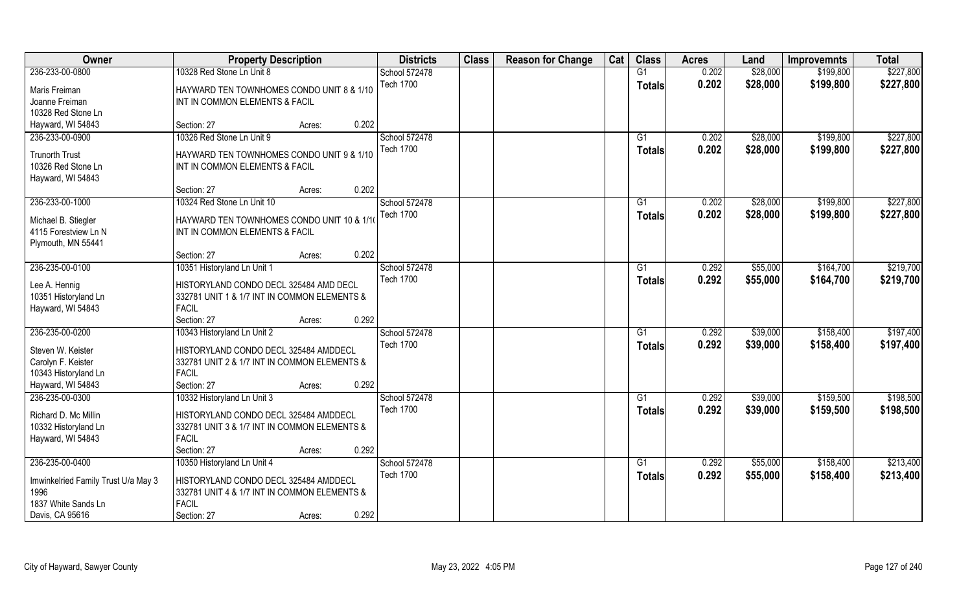| Owner                                       | <b>Property Description</b>                                                 | <b>Districts</b>                  | <b>Class</b> | <b>Reason for Change</b> | Cat | <b>Class</b>    | <b>Acres</b> | Land     | <b>Improvemnts</b> | <b>Total</b> |
|---------------------------------------------|-----------------------------------------------------------------------------|-----------------------------------|--------------|--------------------------|-----|-----------------|--------------|----------|--------------------|--------------|
| 236-233-00-0800                             | 10328 Red Stone Ln Unit 8                                                   | School 572478                     |              |                          |     | G1              | 0.202        | \$28,000 | \$199,800          | \$227,800    |
| Maris Freiman                               | HAYWARD TEN TOWNHOMES CONDO UNIT 8 & 1/10                                   | <b>Tech 1700</b>                  |              |                          |     | <b>Totals</b>   | 0.202        | \$28,000 | \$199,800          | \$227,800    |
| Joanne Freiman                              | INT IN COMMON ELEMENTS & FACIL                                              |                                   |              |                          |     |                 |              |          |                    |              |
| 10328 Red Stone Ln                          |                                                                             |                                   |              |                          |     |                 |              |          |                    |              |
| Hayward, WI 54843                           | 0.202<br>Section: 27<br>Acres:                                              |                                   |              |                          |     |                 |              |          |                    |              |
| 236-233-00-0900                             | 10326 Red Stone Ln Unit 9                                                   | <b>School 572478</b>              |              |                          |     | G1              | 0.202        | \$28,000 | \$199,800          | \$227,800    |
| <b>Trunorth Trust</b>                       | HAYWARD TEN TOWNHOMES CONDO UNIT 9 & 1/10                                   | <b>Tech 1700</b>                  |              |                          |     | <b>Totals</b>   | 0.202        | \$28,000 | \$199,800          | \$227,800    |
| 10326 Red Stone Ln                          | INT IN COMMON ELEMENTS & FACIL                                              |                                   |              |                          |     |                 |              |          |                    |              |
| Hayward, WI 54843                           |                                                                             |                                   |              |                          |     |                 |              |          |                    |              |
|                                             | 0.202<br>Section: 27<br>Acres:                                              |                                   |              |                          |     |                 |              |          |                    |              |
| 236-233-00-1000                             | 10324 Red Stone Ln Unit 10                                                  | School 572478                     |              |                          |     | G1              | 0.202        | \$28,000 | \$199,800          | \$227,800    |
|                                             |                                                                             | <b>Tech 1700</b>                  |              |                          |     | <b>Totals</b>   | 0.202        | \$28,000 | \$199,800          | \$227,800    |
| Michael B. Stiegler<br>4115 Forestview Ln N | HAYWARD TEN TOWNHOMES CONDO UNIT 10 & 1/1<br>INT IN COMMON ELEMENTS & FACIL |                                   |              |                          |     |                 |              |          |                    |              |
| Plymouth, MN 55441                          |                                                                             |                                   |              |                          |     |                 |              |          |                    |              |
|                                             | 0.202<br>Section: 27<br>Acres:                                              |                                   |              |                          |     |                 |              |          |                    |              |
| 236-235-00-0100                             | 10351 Historyland Ln Unit 1                                                 | School 572478                     |              |                          |     | G1              | 0.292        | \$55,000 | \$164,700          | \$219,700    |
|                                             |                                                                             | <b>Tech 1700</b>                  |              |                          |     | Totals          | 0.292        | \$55,000 | \$164,700          | \$219,700    |
| Lee A. Hennig                               | HISTORYLAND CONDO DECL 325484 AMD DECL                                      |                                   |              |                          |     |                 |              |          |                    |              |
| 10351 Historyland Ln<br>Hayward, WI 54843   | 332781 UNIT 1 & 1/7 INT IN COMMON ELEMENTS &<br><b>FACIL</b>                |                                   |              |                          |     |                 |              |          |                    |              |
|                                             | 0.292<br>Section: 27<br>Acres:                                              |                                   |              |                          |     |                 |              |          |                    |              |
| 236-235-00-0200                             | 10343 Historyland Ln Unit 2                                                 | School 572478                     |              |                          |     | G1              | 0.292        | \$39,000 | \$158,400          | \$197,400    |
|                                             |                                                                             | <b>Tech 1700</b>                  |              |                          |     | <b>Totals</b>   | 0.292        | \$39,000 | \$158,400          | \$197,400    |
| Steven W. Keister                           | HISTORYLAND CONDO DECL 325484 AMDDECL                                       |                                   |              |                          |     |                 |              |          |                    |              |
| Carolyn F. Keister                          | 332781 UNIT 2 & 1/7 INT IN COMMON ELEMENTS &                                |                                   |              |                          |     |                 |              |          |                    |              |
| 10343 Historyland Ln<br>Hayward, WI 54843   | <b>FACIL</b><br>0.292<br>Section: 27                                        |                                   |              |                          |     |                 |              |          |                    |              |
| 236-235-00-0300                             | Acres:<br>10332 Historyland Ln Unit 3                                       | School 572478                     |              |                          |     | G1              | 0.292        | \$39,000 | \$159,500          | \$198,500    |
|                                             |                                                                             | <b>Tech 1700</b>                  |              |                          |     |                 | 0.292        | \$39,000 | \$159,500          | \$198,500    |
| Richard D. Mc Millin                        | HISTORYLAND CONDO DECL 325484 AMDDECL                                       |                                   |              |                          |     | <b>Totals</b>   |              |          |                    |              |
| 10332 Historyland Ln                        | 332781 UNIT 3 & 1/7 INT IN COMMON ELEMENTS &                                |                                   |              |                          |     |                 |              |          |                    |              |
| Hayward, WI 54843                           | <b>FACIL</b>                                                                |                                   |              |                          |     |                 |              |          |                    |              |
|                                             | 0.292<br>Section: 27<br>Acres:                                              |                                   |              |                          |     |                 |              |          |                    |              |
| 236-235-00-0400                             | 10350 Historyland Ln Unit 4                                                 | School 572478<br><b>Tech 1700</b> |              |                          |     | $\overline{G1}$ | 0.292        | \$55,000 | \$158,400          | \$213,400    |
| Imwinkelried Family Trust U/a May 3         | HISTORYLAND CONDO DECL 325484 AMDDECL                                       |                                   |              |                          |     | <b>Totals</b>   | 0.292        | \$55,000 | \$158,400          | \$213,400    |
| 1996                                        | 332781 UNIT 4 & 1/7 INT IN COMMON ELEMENTS &                                |                                   |              |                          |     |                 |              |          |                    |              |
| 1837 White Sands Ln                         | <b>FACIL</b>                                                                |                                   |              |                          |     |                 |              |          |                    |              |
| Davis, CA 95616                             | 0.292<br>Section: 27<br>Acres:                                              |                                   |              |                          |     |                 |              |          |                    |              |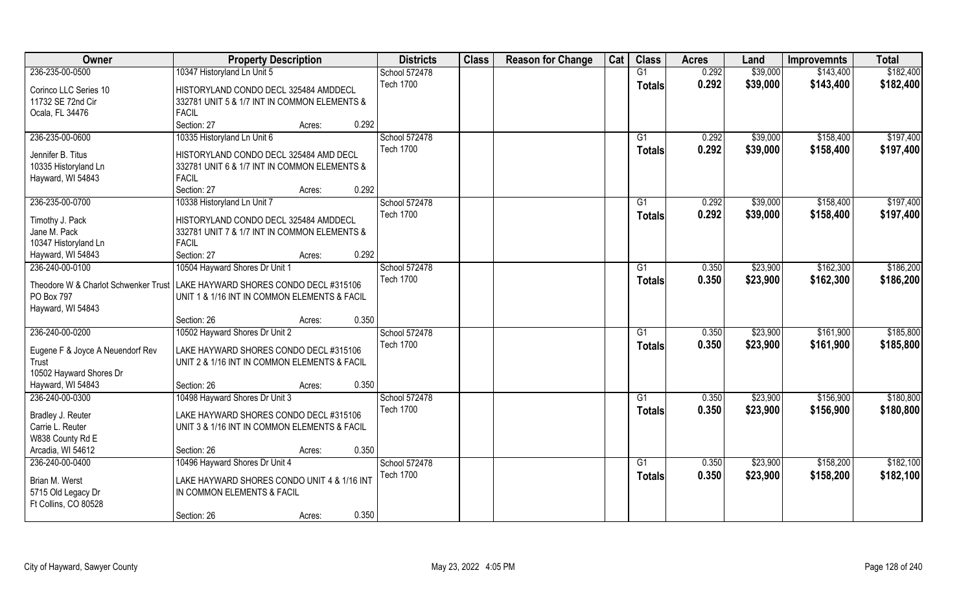| Owner                                | <b>Property Description</b>                  |                 | <b>Districts</b> | <b>Class</b> | <b>Reason for Change</b> | Cat | <b>Class</b>  | <b>Acres</b> | Land     | <b>Improvemnts</b> | <b>Total</b> |
|--------------------------------------|----------------------------------------------|-----------------|------------------|--------------|--------------------------|-----|---------------|--------------|----------|--------------------|--------------|
| 236-235-00-0500                      | 10347 Historyland Ln Unit 5                  |                 | School 572478    |              |                          |     | G1            | 0.292        | \$39,000 | \$143,400          | \$182,400    |
| Corinco LLC Series 10                | HISTORYLAND CONDO DECL 325484 AMDDECL        |                 | <b>Tech 1700</b> |              |                          |     | <b>Totals</b> | 0.292        | \$39,000 | \$143,400          | \$182,400    |
| 11732 SE 72nd Cir                    | 332781 UNIT 5 & 1/7 INT IN COMMON ELEMENTS & |                 |                  |              |                          |     |               |              |          |                    |              |
| Ocala, FL 34476                      | <b>FACIL</b>                                 |                 |                  |              |                          |     |               |              |          |                    |              |
|                                      | Section: 27                                  | 0.292<br>Acres: |                  |              |                          |     |               |              |          |                    |              |
| 236-235-00-0600                      | 10335 Historyland Ln Unit 6                  |                 | School 572478    |              |                          |     | G1            | 0.292        | \$39,000 | \$158,400          | \$197,400    |
|                                      |                                              |                 | <b>Tech 1700</b> |              |                          |     | Totals        | 0.292        | \$39,000 | \$158,400          | \$197,400    |
| Jennifer B. Titus                    | HISTORYLAND CONDO DECL 325484 AMD DECL       |                 |                  |              |                          |     |               |              |          |                    |              |
| 10335 Historyland Ln                 | 332781 UNIT 6 & 1/7 INT IN COMMON ELEMENTS & |                 |                  |              |                          |     |               |              |          |                    |              |
| Hayward, WI 54843                    | <b>FACIL</b>                                 |                 |                  |              |                          |     |               |              |          |                    |              |
|                                      | Section: 27                                  | 0.292<br>Acres: |                  |              |                          |     |               |              |          |                    |              |
| 236-235-00-0700                      | 10338 Historyland Ln Unit 7                  |                 | School 572478    |              |                          |     | G1            | 0.292        | \$39,000 | \$158,400          | \$197,400    |
| Timothy J. Pack                      | HISTORYLAND CONDO DECL 325484 AMDDECL        |                 | <b>Tech 1700</b> |              |                          |     | <b>Totals</b> | 0.292        | \$39,000 | \$158,400          | \$197,400    |
| Jane M. Pack                         | 332781 UNIT 7 & 1/7 INT IN COMMON ELEMENTS & |                 |                  |              |                          |     |               |              |          |                    |              |
| 10347 Historyland Ln                 | <b>FACIL</b>                                 |                 |                  |              |                          |     |               |              |          |                    |              |
| Hayward, WI 54843                    | Section: 27                                  | 0.292<br>Acres: |                  |              |                          |     |               |              |          |                    |              |
| 236-240-00-0100                      | 10504 Hayward Shores Dr Unit 1               |                 | School 572478    |              |                          |     | G1            | 0.350        | \$23,900 | \$162,300          | \$186,200    |
|                                      |                                              |                 | <b>Tech 1700</b> |              |                          |     | <b>Totals</b> | 0.350        | \$23,900 | \$162,300          | \$186,200    |
| Theodore W & Charlot Schwenker Trust | LAKE HAYWARD SHORES CONDO DECL #315106       |                 |                  |              |                          |     |               |              |          |                    |              |
| PO Box 797                           | UNIT 1 & 1/16 INT IN COMMON ELEMENTS & FACIL |                 |                  |              |                          |     |               |              |          |                    |              |
| Hayward, WI 54843                    |                                              | 0.350           |                  |              |                          |     |               |              |          |                    |              |
|                                      | Section: 26                                  | Acres:          |                  |              |                          |     |               |              |          |                    |              |
| 236-240-00-0200                      | 10502 Hayward Shores Dr Unit 2               |                 | School 572478    |              |                          |     | G1            | 0.350        | \$23,900 | \$161,900          | \$185,800    |
| Eugene F & Joyce A Neuendorf Rev     | LAKE HAYWARD SHORES CONDO DECL #315106       |                 | <b>Tech 1700</b> |              |                          |     | <b>Totals</b> | 0.350        | \$23,900 | \$161,900          | \$185,800    |
| Trust                                | UNIT 2 & 1/16 INT IN COMMON ELEMENTS & FACIL |                 |                  |              |                          |     |               |              |          |                    |              |
| 10502 Hayward Shores Dr              |                                              |                 |                  |              |                          |     |               |              |          |                    |              |
| Hayward, WI 54843                    | Section: 26                                  | 0.350<br>Acres: |                  |              |                          |     |               |              |          |                    |              |
| 236-240-00-0300                      | 10498 Hayward Shores Dr Unit 3               |                 | School 572478    |              |                          |     | G1            | 0.350        | \$23,900 | \$156,900          | \$180,800    |
| Bradley J. Reuter                    | LAKE HAYWARD SHORES CONDO DECL #315106       |                 | <b>Tech 1700</b> |              |                          |     | <b>Totals</b> | 0.350        | \$23,900 | \$156,900          | \$180,800    |
| Carrie L. Reuter                     | UNIT 3 & 1/16 INT IN COMMON ELEMENTS & FACIL |                 |                  |              |                          |     |               |              |          |                    |              |
| W838 County Rd E                     |                                              |                 |                  |              |                          |     |               |              |          |                    |              |
| Arcadia, WI 54612                    | Section: 26                                  | 0.350<br>Acres: |                  |              |                          |     |               |              |          |                    |              |
| 236-240-00-0400                      | 10496 Hayward Shores Dr Unit 4               |                 | School 572478    |              |                          |     | G1            | 0.350        | \$23,900 | \$158,200          | \$182,100    |
|                                      |                                              |                 | <b>Tech 1700</b> |              |                          |     | Totals        | 0.350        | \$23,900 | \$158,200          | \$182,100    |
| Brian M. Werst                       | LAKE HAYWARD SHORES CONDO UNIT 4 & 1/16 INT  |                 |                  |              |                          |     |               |              |          |                    |              |
| 5715 Old Legacy Dr                   | IN COMMON ELEMENTS & FACIL                   |                 |                  |              |                          |     |               |              |          |                    |              |
| Ft Collins, CO 80528                 |                                              |                 |                  |              |                          |     |               |              |          |                    |              |
|                                      | Section: 26                                  | 0.350<br>Acres: |                  |              |                          |     |               |              |          |                    |              |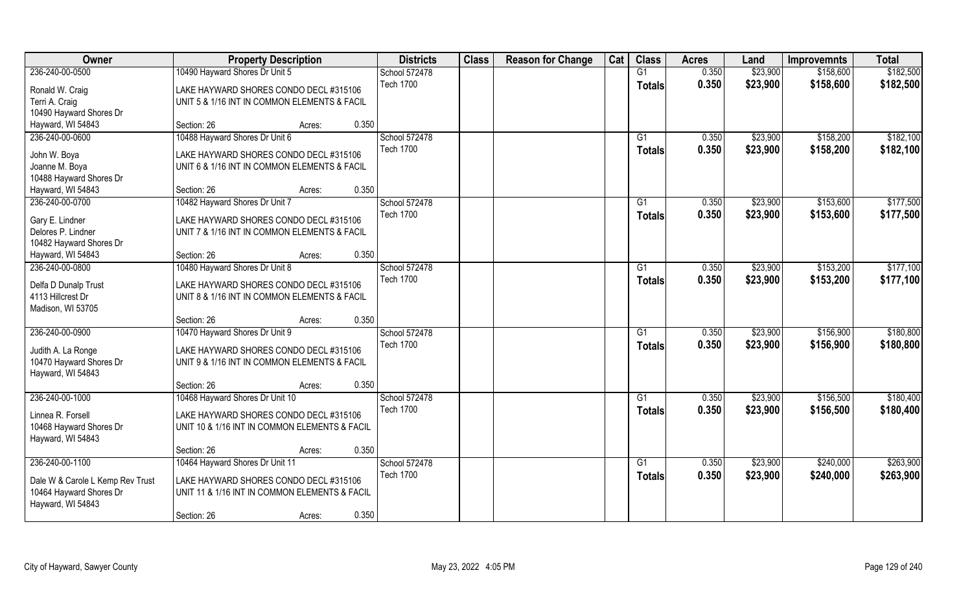| Owner                                                       | <b>Property Description</b>                                                             | <b>Districts</b> | <b>Class</b> | <b>Reason for Change</b> | Cat | <b>Class</b>    | <b>Acres</b> | Land     | <b>Improvemnts</b> | <b>Total</b> |
|-------------------------------------------------------------|-----------------------------------------------------------------------------------------|------------------|--------------|--------------------------|-----|-----------------|--------------|----------|--------------------|--------------|
| 236-240-00-0500                                             | 10490 Hayward Shores Dr Unit 5                                                          | School 572478    |              |                          |     | G1              | 0.350        | \$23,900 | \$158,600          | \$182,500    |
| Ronald W. Craig                                             | LAKE HAYWARD SHORES CONDO DECL #315106                                                  | <b>Tech 1700</b> |              |                          |     | <b>Totals</b>   | 0.350        | \$23,900 | \$158,600          | \$182,500    |
| Terri A. Craig                                              | UNIT 5 & 1/16 INT IN COMMON ELEMENTS & FACIL                                            |                  |              |                          |     |                 |              |          |                    |              |
| 10490 Hayward Shores Dr                                     |                                                                                         |                  |              |                          |     |                 |              |          |                    |              |
| Hayward, WI 54843                                           | 0.350<br>Section: 26<br>Acres:                                                          |                  |              |                          |     |                 |              |          |                    |              |
| 236-240-00-0600                                             | 10488 Hayward Shores Dr Unit 6                                                          | School 572478    |              |                          |     | G1              | 0.350        | \$23,900 | \$158,200          | \$182,100    |
| John W. Boya                                                | LAKE HAYWARD SHORES CONDO DECL #315106                                                  | <b>Tech 1700</b> |              |                          |     | <b>Totals</b>   | 0.350        | \$23,900 | \$158,200          | \$182,100    |
| Joanne M. Boya                                              | UNIT 6 & 1/16 INT IN COMMON ELEMENTS & FACIL                                            |                  |              |                          |     |                 |              |          |                    |              |
| 10488 Hayward Shores Dr                                     |                                                                                         |                  |              |                          |     |                 |              |          |                    |              |
| Hayward, WI 54843                                           | 0.350<br>Section: 26<br>Acres:                                                          |                  |              |                          |     |                 |              |          |                    |              |
| 236-240-00-0700                                             | 10482 Hayward Shores Dr Unit 7                                                          | School 572478    |              |                          |     | G1              | 0.350        | \$23,900 | \$153,600          | \$177,500    |
| Gary E. Lindner                                             | LAKE HAYWARD SHORES CONDO DECL #315106                                                  | <b>Tech 1700</b> |              |                          |     | <b>Totals</b>   | 0.350        | \$23,900 | \$153,600          | \$177,500    |
| Delores P. Lindner                                          | UNIT 7 & 1/16 INT IN COMMON ELEMENTS & FACIL                                            |                  |              |                          |     |                 |              |          |                    |              |
| 10482 Hayward Shores Dr                                     |                                                                                         |                  |              |                          |     |                 |              |          |                    |              |
| Hayward, WI 54843                                           | 0.350<br>Section: 26<br>Acres:                                                          |                  |              |                          |     |                 |              |          |                    |              |
| 236-240-00-0800                                             | 10480 Hayward Shores Dr Unit 8                                                          | School 572478    |              |                          |     | G1              | 0.350        | \$23,900 | \$153,200          | \$177,100    |
| Delfa D Dunalp Trust                                        | LAKE HAYWARD SHORES CONDO DECL #315106                                                  | <b>Tech 1700</b> |              |                          |     | <b>Totals</b>   | 0.350        | \$23,900 | \$153,200          | \$177,100    |
| 4113 Hillcrest Dr                                           | UNIT 8 & 1/16 INT IN COMMON ELEMENTS & FACIL                                            |                  |              |                          |     |                 |              |          |                    |              |
| Madison, WI 53705                                           |                                                                                         |                  |              |                          |     |                 |              |          |                    |              |
|                                                             | 0.350<br>Section: 26<br>Acres:                                                          |                  |              |                          |     |                 |              |          |                    |              |
| 236-240-00-0900                                             | 10470 Hayward Shores Dr Unit 9                                                          | School 572478    |              |                          |     | G1              | 0.350        | \$23,900 | \$156,900          | \$180,800    |
| Judith A. La Ronge                                          | LAKE HAYWARD SHORES CONDO DECL #315106                                                  | <b>Tech 1700</b> |              |                          |     | <b>Totals</b>   | 0.350        | \$23,900 | \$156,900          | \$180,800    |
| 10470 Hayward Shores Dr                                     | UNIT 9 & 1/16 INT IN COMMON ELEMENTS & FACIL                                            |                  |              |                          |     |                 |              |          |                    |              |
| Hayward, WI 54843                                           |                                                                                         |                  |              |                          |     |                 |              |          |                    |              |
|                                                             | 0.350<br>Section: 26<br>Acres:                                                          |                  |              |                          |     |                 |              |          |                    |              |
| 236-240-00-1000                                             | 10468 Hayward Shores Dr Unit 10                                                         | School 572478    |              |                          |     | G1              | 0.350        | \$23,900 | \$156,500          | \$180,400    |
| Linnea R. Forsell                                           | LAKE HAYWARD SHORES CONDO DECL #315106                                                  | <b>Tech 1700</b> |              |                          |     | <b>Totals</b>   | 0.350        | \$23,900 | \$156,500          | \$180,400    |
| 10468 Hayward Shores Dr                                     | UNIT 10 & 1/16 INT IN COMMON ELEMENTS & FACIL                                           |                  |              |                          |     |                 |              |          |                    |              |
| Hayward, WI 54843                                           |                                                                                         |                  |              |                          |     |                 |              |          |                    |              |
|                                                             | 0.350<br>Section: 26<br>Acres:                                                          |                  |              |                          |     |                 |              |          |                    |              |
| 236-240-00-1100                                             | 10464 Hayward Shores Dr Unit 11                                                         | School 572478    |              |                          |     | $\overline{G1}$ | 0.350        | \$23,900 | \$240,000          | \$263,900    |
|                                                             |                                                                                         | <b>Tech 1700</b> |              |                          |     | <b>Totals</b>   | 0.350        | \$23,900 | \$240,000          | \$263,900    |
| Dale W & Carole L Kemp Rev Trust<br>10464 Hayward Shores Dr | LAKE HAYWARD SHORES CONDO DECL #315106<br>UNIT 11 & 1/16 INT IN COMMON ELEMENTS & FACIL |                  |              |                          |     |                 |              |          |                    |              |
| Hayward, WI 54843                                           |                                                                                         |                  |              |                          |     |                 |              |          |                    |              |
|                                                             | 0.350<br>Section: 26<br>Acres:                                                          |                  |              |                          |     |                 |              |          |                    |              |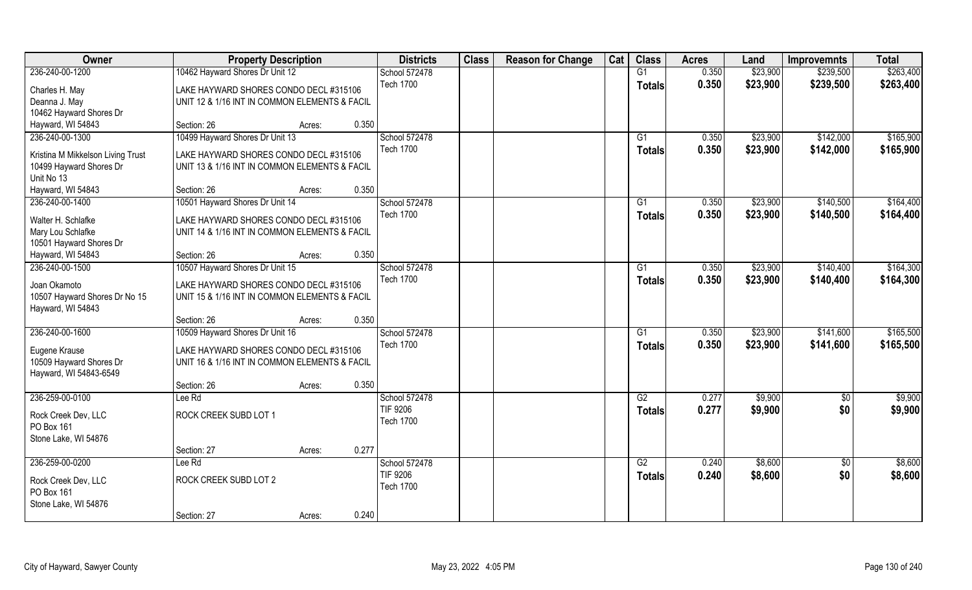| Owner                                             | <b>Property Description</b>                                                             |                 | <b>Districts</b>                  | <b>Class</b> | <b>Reason for Change</b> | Cat | <b>Class</b>  | <b>Acres</b>   | Land     | <b>Improvemnts</b> | <b>Total</b> |
|---------------------------------------------------|-----------------------------------------------------------------------------------------|-----------------|-----------------------------------|--------------|--------------------------|-----|---------------|----------------|----------|--------------------|--------------|
| 236-240-00-1200                                   | 10462 Hayward Shores Dr Unit 12                                                         |                 | School 572478                     |              |                          |     | G1            | 0.350          | \$23,900 | \$239,500          | \$263,400    |
| Charles H. May                                    | LAKE HAYWARD SHORES CONDO DECL #315106                                                  |                 | <b>Tech 1700</b>                  |              |                          |     | <b>Totals</b> | 0.350          | \$23,900 | \$239,500          | \$263,400    |
| Deanna J. May                                     | UNIT 12 & 1/16 INT IN COMMON ELEMENTS & FACIL                                           |                 |                                   |              |                          |     |               |                |          |                    |              |
| 10462 Hayward Shores Dr                           |                                                                                         |                 |                                   |              |                          |     |               |                |          |                    |              |
| Hayward, WI 54843                                 | Section: 26                                                                             | 0.350<br>Acres: |                                   |              |                          |     |               |                |          |                    |              |
| 236-240-00-1300                                   | 10499 Hayward Shores Dr Unit 13                                                         |                 | School 572478<br><b>Tech 1700</b> |              |                          |     | G1            | 0.350<br>0.350 | \$23,900 | \$142,000          | \$165,900    |
| Kristina M Mikkelson Living Trust                 | LAKE HAYWARD SHORES CONDO DECL #315106                                                  |                 |                                   |              |                          |     | <b>Totals</b> |                | \$23,900 | \$142,000          | \$165,900    |
| 10499 Hayward Shores Dr                           | UNIT 13 & 1/16 INT IN COMMON ELEMENTS & FACIL                                           |                 |                                   |              |                          |     |               |                |          |                    |              |
| Unit No 13                                        |                                                                                         |                 |                                   |              |                          |     |               |                |          |                    |              |
| Hayward, WI 54843                                 | Section: 26                                                                             | 0.350<br>Acres: |                                   |              |                          |     |               |                |          |                    |              |
| 236-240-00-1400                                   | 10501 Hayward Shores Dr Unit 14                                                         |                 | School 572478                     |              |                          |     | G1            | 0.350          | \$23,900 | \$140,500          | \$164,400    |
| Walter H. Schlafke                                | LAKE HAYWARD SHORES CONDO DECL #315106                                                  |                 | <b>Tech 1700</b>                  |              |                          |     | <b>Totals</b> | 0.350          | \$23,900 | \$140,500          | \$164,400    |
| Mary Lou Schlafke                                 | UNIT 14 & 1/16 INT IN COMMON ELEMENTS & FACIL                                           |                 |                                   |              |                          |     |               |                |          |                    |              |
| 10501 Hayward Shores Dr                           |                                                                                         |                 |                                   |              |                          |     |               |                |          |                    |              |
| Hayward, WI 54843                                 | Section: 26                                                                             | 0.350<br>Acres: |                                   |              |                          |     |               |                |          |                    |              |
| 236-240-00-1500                                   | 10507 Hayward Shores Dr Unit 15                                                         |                 | School 572478                     |              |                          |     | G1            | 0.350          | \$23,900 | \$140,400          | \$164,300    |
| Joan Okamoto<br>10507 Hayward Shores Dr No 15     | LAKE HAYWARD SHORES CONDO DECL #315106<br>UNIT 15 & 1/16 INT IN COMMON ELEMENTS & FACIL |                 | <b>Tech 1700</b>                  |              |                          |     | <b>Totals</b> | 0.350          | \$23,900 | \$140,400          | \$164,300    |
| Hayward, WI 54843                                 | Section: 26                                                                             | 0.350<br>Acres: |                                   |              |                          |     |               |                |          |                    |              |
| 236-240-00-1600                                   | 10509 Hayward Shores Dr Unit 16                                                         |                 | School 572478                     |              |                          |     | G1            | 0.350          | \$23,900 | \$141,600          | \$165,500    |
|                                                   |                                                                                         |                 | <b>Tech 1700</b>                  |              |                          |     |               | 0.350          |          | \$141,600          | \$165,500    |
| Eugene Krause                                     | LAKE HAYWARD SHORES CONDO DECL #315106                                                  |                 |                                   |              |                          |     | <b>Totals</b> |                | \$23,900 |                    |              |
| 10509 Hayward Shores Dr<br>Hayward, WI 54843-6549 | UNIT 16 & 1/16 INT IN COMMON ELEMENTS & FACIL                                           |                 |                                   |              |                          |     |               |                |          |                    |              |
|                                                   | Section: 26                                                                             | 0.350<br>Acres: |                                   |              |                          |     |               |                |          |                    |              |
| 236-259-00-0100                                   | Lee Rd                                                                                  |                 | School 572478                     |              |                          |     | G2            | 0.277          | \$9,900  | \$0                | \$9,900      |
| Rock Creek Dev, LLC<br>PO Box 161                 | ROCK CREEK SUBD LOT 1                                                                   |                 | TIF 9206<br><b>Tech 1700</b>      |              |                          |     | <b>Totals</b> | 0.277          | \$9,900  | \$0                | \$9,900      |
| Stone Lake, WI 54876                              |                                                                                         |                 |                                   |              |                          |     |               |                |          |                    |              |
|                                                   | Section: 27                                                                             | 0.277<br>Acres: |                                   |              |                          |     |               |                |          |                    |              |
| 236-259-00-0200                                   | Lee Rd                                                                                  |                 | School 572478                     |              |                          |     | G2            | 0.240          | \$8,600  | $\sqrt{$0}$        | \$8,600      |
| Rock Creek Dev, LLC<br>PO Box 161                 | ROCK CREEK SUBD LOT 2                                                                   |                 | TIF 9206<br><b>Tech 1700</b>      |              |                          |     | <b>Totals</b> | 0.240          | \$8,600  | \$0                | \$8,600      |
| Stone Lake, WI 54876                              |                                                                                         |                 |                                   |              |                          |     |               |                |          |                    |              |
|                                                   | Section: 27                                                                             | 0.240<br>Acres: |                                   |              |                          |     |               |                |          |                    |              |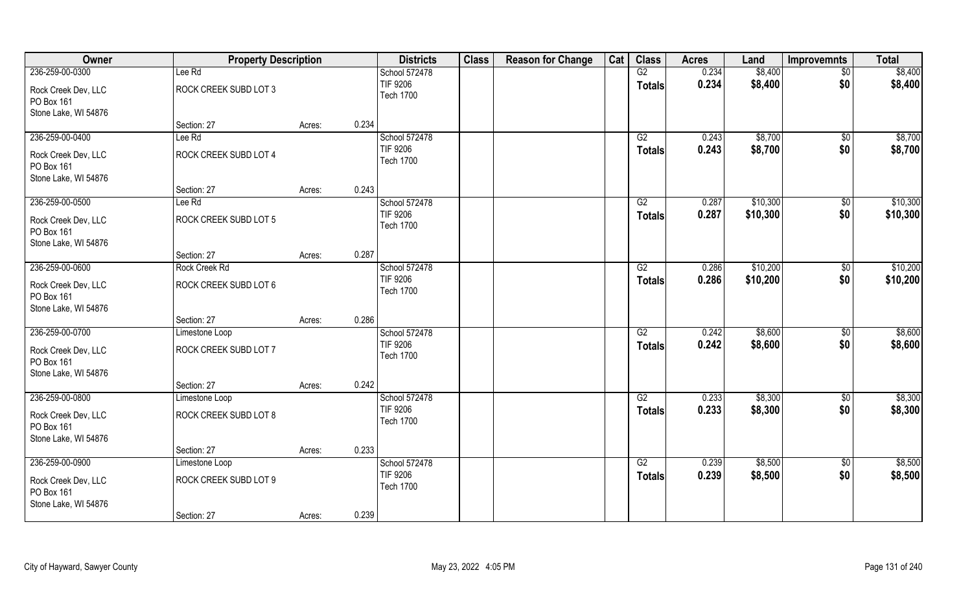| Owner                                                     | <b>Property Description</b> |        | <b>Districts</b>                    | <b>Class</b> | <b>Reason for Change</b> | Cat | <b>Class</b>    | <b>Acres</b> | Land     | <b>Improvemnts</b> | <b>Total</b> |
|-----------------------------------------------------------|-----------------------------|--------|-------------------------------------|--------------|--------------------------|-----|-----------------|--------------|----------|--------------------|--------------|
| 236-259-00-0300                                           | Lee Rd                      |        | School 572478                       |              |                          |     | G2              | 0.234        | \$8,400  | $\overline{50}$    | \$8,400      |
| Rock Creek Dev, LLC<br>PO Box 161                         | ROCK CREEK SUBD LOT 3       |        | <b>TIF 9206</b><br><b>Tech 1700</b> |              |                          |     | <b>Totals</b>   | 0.234        | \$8,400  | \$0                | \$8,400      |
| Stone Lake, WI 54876                                      |                             |        |                                     |              |                          |     |                 |              |          |                    |              |
|                                                           | Section: 27                 | Acres: | 0.234                               |              |                          |     |                 |              |          |                    |              |
| 236-259-00-0400                                           | Lee Rd                      |        | School 572478                       |              |                          |     | G2              | 0.243        | \$8,700  | \$0                | \$8,700      |
| Rock Creek Dev, LLC<br>PO Box 161                         | ROCK CREEK SUBD LOT 4       |        | TIF 9206<br><b>Tech 1700</b>        |              |                          |     | <b>Totals</b>   | 0.243        | \$8,700  | \$0                | \$8,700      |
| Stone Lake, WI 54876                                      |                             |        |                                     |              |                          |     |                 |              |          |                    |              |
|                                                           | Section: 27                 | Acres: | 0.243                               |              |                          |     |                 |              |          |                    |              |
| 236-259-00-0500                                           | Lee Rd                      |        | School 572478                       |              |                          |     | G2              | 0.287        | \$10,300 | $\sqrt[6]{3}$      | \$10,300     |
| Rock Creek Dev, LLC<br>PO Box 161                         | ROCK CREEK SUBD LOT 5       |        | TIF 9206<br><b>Tech 1700</b>        |              |                          |     | <b>Totals</b>   | 0.287        | \$10,300 | \$0                | \$10,300     |
| Stone Lake, WI 54876                                      |                             |        |                                     |              |                          |     |                 |              |          |                    |              |
|                                                           | Section: 27                 | Acres: | 0.287                               |              |                          |     |                 |              |          |                    |              |
| 236-259-00-0600                                           | Rock Creek Rd               |        | School 572478                       |              |                          |     | G2              | 0.286        | \$10,200 | $\sqrt[6]{3}$      | \$10,200     |
| Rock Creek Dev, LLC<br>PO Box 161<br>Stone Lake, WI 54876 | ROCK CREEK SUBD LOT 6       |        | <b>TIF 9206</b><br><b>Tech 1700</b> |              |                          |     | <b>Totals</b>   | 0.286        | \$10,200 | \$0                | \$10,200     |
|                                                           | Section: 27                 | Acres: | 0.286                               |              |                          |     |                 |              |          |                    |              |
| 236-259-00-0700                                           | Limestone Loop              |        | School 572478                       |              |                          |     | $\overline{G2}$ | 0.242        | \$8,600  | $\sqrt[6]{30}$     | \$8,600      |
|                                                           |                             |        | <b>TIF 9206</b>                     |              |                          |     | <b>Totals</b>   | 0.242        | \$8,600  | \$0                | \$8,600      |
| Rock Creek Dev, LLC                                       | ROCK CREEK SUBD LOT 7       |        | <b>Tech 1700</b>                    |              |                          |     |                 |              |          |                    |              |
| PO Box 161                                                |                             |        |                                     |              |                          |     |                 |              |          |                    |              |
| Stone Lake, WI 54876                                      |                             |        |                                     |              |                          |     |                 |              |          |                    |              |
|                                                           | Section: 27                 | Acres: | 0.242                               |              |                          |     |                 |              |          |                    |              |
| 236-259-00-0800                                           | Limestone Loop              |        | School 572478                       |              |                          |     | G2              | 0.233        | \$8,300  | \$0                | \$8,300      |
| Rock Creek Dev, LLC<br>PO Box 161<br>Stone Lake, WI 54876 | ROCK CREEK SUBD LOT 8       |        | TIF 9206<br><b>Tech 1700</b>        |              |                          |     | <b>Totals</b>   | 0.233        | \$8,300  | \$0                | \$8,300      |
|                                                           | Section: 27                 | Acres: | 0.233                               |              |                          |     |                 |              |          |                    |              |
| 236-259-00-0900                                           | Limestone Loop              |        | School 572478                       |              |                          |     | G2              | 0.239        | \$8,500  | \$0                | \$8,500      |
|                                                           |                             |        | <b>TIF 9206</b>                     |              |                          |     | <b>Totals</b>   | 0.239        | \$8,500  | \$0                | \$8,500      |
| Rock Creek Dev, LLC<br>PO Box 161                         | ROCK CREEK SUBD LOT 9       |        | <b>Tech 1700</b>                    |              |                          |     |                 |              |          |                    |              |
| Stone Lake, WI 54876                                      |                             |        |                                     |              |                          |     |                 |              |          |                    |              |
|                                                           | Section: 27                 | Acres: | 0.239                               |              |                          |     |                 |              |          |                    |              |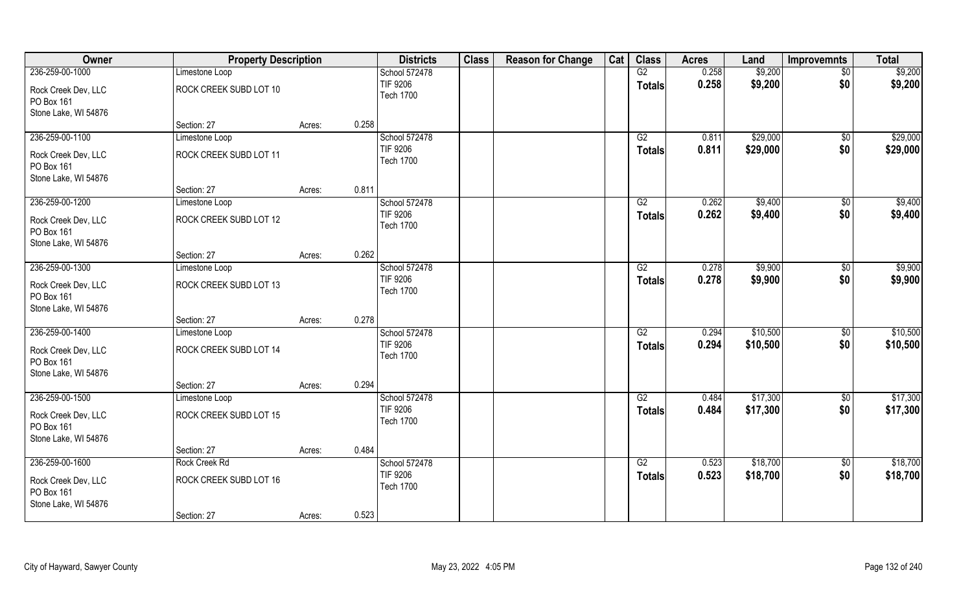| Owner                                                     | <b>Property Description</b> |        | <b>Districts</b>                    | <b>Class</b> | <b>Reason for Change</b> | Cat | <b>Class</b>    | <b>Acres</b> | Land     | Improvemnts     | <b>Total</b> |
|-----------------------------------------------------------|-----------------------------|--------|-------------------------------------|--------------|--------------------------|-----|-----------------|--------------|----------|-----------------|--------------|
| 236-259-00-1000                                           | Limestone Loop              |        | School 572478                       |              |                          |     | G2              | 0.258        | \$9,200  | $\overline{50}$ | \$9,200      |
| Rock Creek Dev, LLC<br>PO Box 161                         | ROCK CREEK SUBD LOT 10      |        | <b>TIF 9206</b><br><b>Tech 1700</b> |              |                          |     | <b>Totals</b>   | 0.258        | \$9,200  | \$0             | \$9,200      |
| Stone Lake, WI 54876                                      |                             |        |                                     |              |                          |     |                 |              |          |                 |              |
|                                                           | Section: 27                 | Acres: | 0.258                               |              |                          |     |                 |              |          |                 |              |
| 236-259-00-1100                                           | Limestone Loop              |        | School 572478                       |              |                          |     | G2              | 0.811        | \$29,000 | \$0             | \$29,000     |
| Rock Creek Dev, LLC<br>PO Box 161                         | ROCK CREEK SUBD LOT 11      |        | TIF 9206<br><b>Tech 1700</b>        |              |                          |     | <b>Totals</b>   | 0.811        | \$29,000 | \$0             | \$29,000     |
| Stone Lake, WI 54876                                      |                             |        |                                     |              |                          |     |                 |              |          |                 |              |
|                                                           | Section: 27                 | Acres: | 0.811                               |              |                          |     |                 |              |          |                 |              |
| 236-259-00-1200                                           | Limestone Loop              |        | School 572478                       |              |                          |     | G2              | 0.262        | \$9,400  | $\sqrt[6]{3}$   | \$9,400      |
| Rock Creek Dev, LLC<br>PO Box 161                         | ROCK CREEK SUBD LOT 12      |        | TIF 9206<br><b>Tech 1700</b>        |              |                          |     | <b>Totals</b>   | 0.262        | \$9,400  | \$0             | \$9,400      |
| Stone Lake, WI 54876                                      | Section: 27                 |        | 0.262                               |              |                          |     |                 |              |          |                 |              |
| 236-259-00-1300                                           |                             | Acres: | School 572478                       |              |                          |     | G2              | 0.278        | \$9,900  |                 | \$9,900      |
|                                                           | Limestone Loop              |        | <b>TIF 9206</b>                     |              |                          |     |                 |              |          | \$0             |              |
| Rock Creek Dev, LLC<br>PO Box 161<br>Stone Lake, WI 54876 | ROCK CREEK SUBD LOT 13      |        | <b>Tech 1700</b>                    |              |                          |     | <b>Totals</b>   | 0.278        | \$9,900  | \$0             | \$9,900      |
|                                                           | Section: 27                 | Acres: | 0.278                               |              |                          |     |                 |              |          |                 |              |
| 236-259-00-1400                                           | Limestone Loop              |        | School 572478                       |              |                          |     | $\overline{G2}$ | 0.294        | \$10,500 | $\sqrt[6]{30}$  | \$10,500     |
|                                                           |                             |        | <b>TIF 9206</b>                     |              |                          |     | <b>Totals</b>   | 0.294        | \$10,500 | \$0             | \$10,500     |
| Rock Creek Dev, LLC                                       | ROCK CREEK SUBD LOT 14      |        | <b>Tech 1700</b>                    |              |                          |     |                 |              |          |                 |              |
| PO Box 161                                                |                             |        |                                     |              |                          |     |                 |              |          |                 |              |
| Stone Lake, WI 54876                                      | Section: 27                 | Acres: | 0.294                               |              |                          |     |                 |              |          |                 |              |
| 236-259-00-1500                                           | Limestone Loop              |        | School 572478                       |              |                          |     | G2              | 0.484        | \$17,300 | \$0             | \$17,300     |
|                                                           |                             |        | <b>TIF 9206</b>                     |              |                          |     | <b>Totals</b>   | 0.484        | \$17,300 | \$0             | \$17,300     |
| Rock Creek Dev, LLC<br>PO Box 161                         | ROCK CREEK SUBD LOT 15      |        | <b>Tech 1700</b>                    |              |                          |     |                 |              |          |                 |              |
| Stone Lake, WI 54876                                      |                             |        |                                     |              |                          |     |                 |              |          |                 |              |
|                                                           | Section: 27                 | Acres: | 0.484                               |              |                          |     |                 |              |          |                 |              |
| 236-259-00-1600                                           | Rock Creek Rd               |        | School 572478                       |              |                          |     | G2              | 0.523        | \$18,700 | \$0             | \$18,700     |
| Rock Creek Dev, LLC<br>PO Box 161                         | ROCK CREEK SUBD LOT 16      |        | <b>TIF 9206</b><br><b>Tech 1700</b> |              |                          |     | <b>Totals</b>   | 0.523        | \$18,700 | \$0             | \$18,700     |
| Stone Lake, WI 54876                                      | Section: 27                 | Acres: | 0.523                               |              |                          |     |                 |              |          |                 |              |
|                                                           |                             |        |                                     |              |                          |     |                 |              |          |                 |              |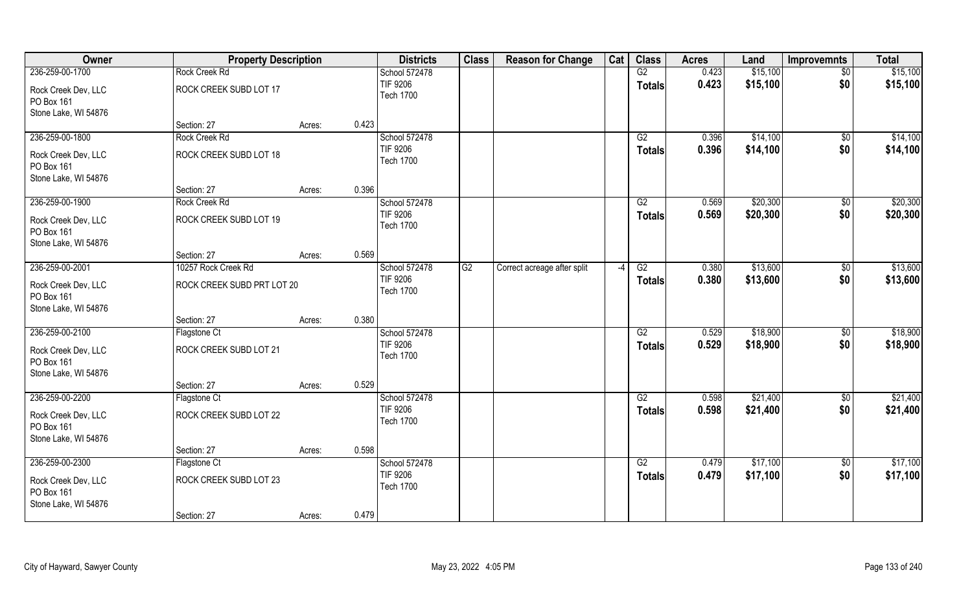| Owner                                                     | <b>Property Description</b> |        | <b>Districts</b>                    | <b>Class</b> | <b>Reason for Change</b>    | Cat           | <b>Class</b>    | <b>Acres</b> | Land     | <b>Improvemnts</b> | <b>Total</b> |
|-----------------------------------------------------------|-----------------------------|--------|-------------------------------------|--------------|-----------------------------|---------------|-----------------|--------------|----------|--------------------|--------------|
| 236-259-00-1700                                           | Rock Creek Rd               |        | School 572478                       |              |                             |               | G2              | 0.423        | \$15,100 | $\sqrt{$0}$        | \$15,100     |
| Rock Creek Dev, LLC<br>PO Box 161<br>Stone Lake, WI 54876 | ROCK CREEK SUBD LOT 17      |        | <b>TIF 9206</b><br><b>Tech 1700</b> |              |                             |               | <b>Totals</b>   | 0.423        | \$15,100 | \$0                | \$15,100     |
|                                                           | Section: 27                 | Acres: | 0.423                               |              |                             |               |                 |              |          |                    |              |
| 236-259-00-1800                                           | Rock Creek Rd               |        | School 572478                       |              |                             |               | G2              | 0.396        | \$14,100 | \$0                | \$14,100     |
| Rock Creek Dev, LLC<br>PO Box 161<br>Stone Lake, WI 54876 | ROCK CREEK SUBD LOT 18      |        | <b>TIF 9206</b><br><b>Tech 1700</b> |              |                             |               | Totals          | 0.396        | \$14,100 | \$0                | \$14,100     |
|                                                           | Section: 27                 | Acres: | 0.396                               |              |                             |               |                 |              |          |                    |              |
| 236-259-00-1900                                           | Rock Creek Rd               |        | School 572478                       |              |                             |               | G2              | 0.569        | \$20,300 | $\frac{1}{2}$      | \$20,300     |
| Rock Creek Dev, LLC<br>PO Box 161<br>Stone Lake, WI 54876 | ROCK CREEK SUBD LOT 19      |        | <b>TIF 9206</b><br><b>Tech 1700</b> |              |                             |               | <b>Totals</b>   | 0.569        | \$20,300 | \$0                | \$20,300     |
|                                                           | Section: 27                 | Acres: | 0.569                               |              |                             |               |                 |              |          |                    |              |
| 236-259-00-2001                                           | 10257 Rock Creek Rd         |        | School 572478                       | G2           | Correct acreage after split | $\mathcal{L}$ | G2              | 0.380        | \$13,600 | \$0                | \$13,600     |
| Rock Creek Dev, LLC<br>PO Box 161<br>Stone Lake, WI 54876 | ROCK CREEK SUBD PRT LOT 20  |        | <b>TIF 9206</b><br><b>Tech 1700</b> |              |                             |               | <b>Totals</b>   | 0.380        | \$13,600 | \$0                | \$13,600     |
|                                                           | Section: 27                 | Acres: | 0.380                               |              |                             |               |                 |              |          |                    |              |
| 236-259-00-2100                                           | Flagstone Ct                |        | School 572478                       |              |                             |               | $\overline{G2}$ | 0.529        | \$18,900 | $\overline{50}$    | \$18,900     |
| Rock Creek Dev, LLC<br>PO Box 161<br>Stone Lake, WI 54876 | ROCK CREEK SUBD LOT 21      |        | <b>TIF 9206</b><br><b>Tech 1700</b> |              |                             |               | <b>Totals</b>   | 0.529        | \$18,900 | \$0                | \$18,900     |
|                                                           | Section: 27                 | Acres: | 0.529                               |              |                             |               |                 |              |          |                    |              |
| 236-259-00-2200                                           | Flagstone Ct                |        | School 572478                       |              |                             |               | $\overline{G2}$ | 0.598        | \$21,400 | $\overline{60}$    | \$21,400     |
| Rock Creek Dev, LLC<br>PO Box 161<br>Stone Lake, WI 54876 | ROCK CREEK SUBD LOT 22      |        | <b>TIF 9206</b><br><b>Tech 1700</b> |              |                             |               | <b>Totals</b>   | 0.598        | \$21,400 | \$0                | \$21,400     |
|                                                           | Section: 27                 | Acres: | 0.598                               |              |                             |               |                 |              |          |                    |              |
| 236-259-00-2300                                           | Flagstone Ct                |        | School 572478                       |              |                             |               | G2              | 0.479        | \$17,100 | \$0                | \$17,100     |
| Rock Creek Dev, LLC<br>PO Box 161<br>Stone Lake, WI 54876 | ROCK CREEK SUBD LOT 23      |        | <b>TIF 9206</b><br><b>Tech 1700</b> |              |                             |               | Totals          | 0.479        | \$17,100 | \$0                | \$17,100     |
|                                                           | Section: 27                 | Acres: | 0.479                               |              |                             |               |                 |              |          |                    |              |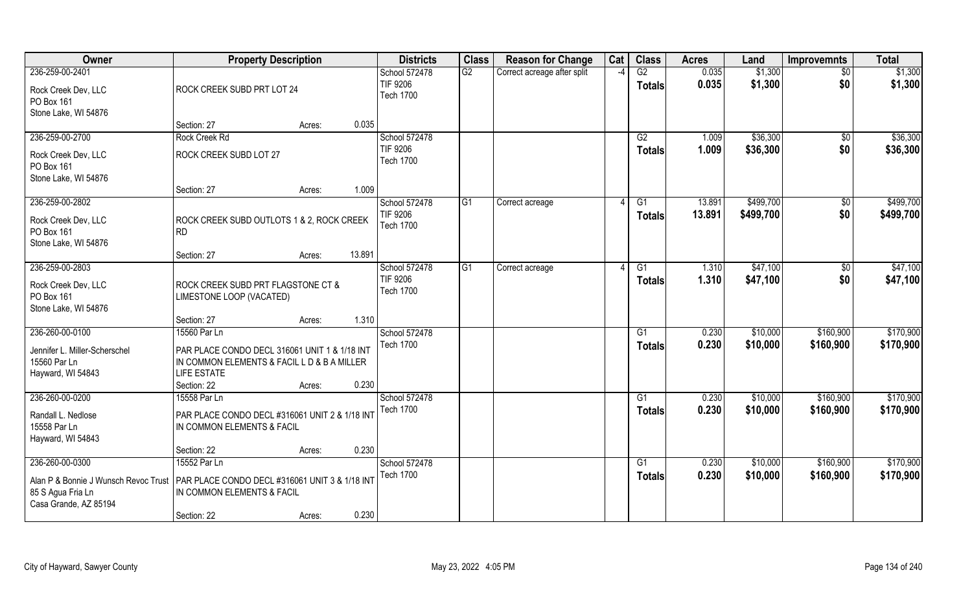| Owner                                                                                                 | <b>Property Description</b>                                                                                                |                  | <b>Districts</b>                              | <b>Class</b> | <b>Reason for Change</b>    | Cat           | <b>Class</b>              | <b>Acres</b>   | Land                 | <b>Improvemnts</b>     | <b>Total</b>           |
|-------------------------------------------------------------------------------------------------------|----------------------------------------------------------------------------------------------------------------------------|------------------|-----------------------------------------------|--------------|-----------------------------|---------------|---------------------------|----------------|----------------------|------------------------|------------------------|
| 236-259-00-2401<br>Rock Creek Dev, LLC<br>PO Box 161                                                  | ROCK CREEK SUBD PRT LOT 24                                                                                                 |                  | School 572478<br>TIF 9206<br><b>Tech 1700</b> | G2           | Correct acreage after split | $\mathcal{L}$ | G2<br><b>Totals</b>       | 0.035<br>0.035 | \$1,300<br>\$1,300   | $\sqrt{$0}$<br>\$0     | \$1,300<br>\$1,300     |
| Stone Lake, WI 54876                                                                                  | Section: 27                                                                                                                | 0.035<br>Acres:  |                                               |              |                             |               |                           |                |                      |                        |                        |
| 236-259-00-2700                                                                                       | Rock Creek Rd                                                                                                              |                  | School 572478                                 |              |                             |               | $\overline{G2}$           | 1.009          | \$36,300             | \$0                    | \$36,300               |
| Rock Creek Dev, LLC<br>PO Box 161<br>Stone Lake, WI 54876                                             | ROCK CREEK SUBD LOT 27                                                                                                     |                  | TIF 9206<br><b>Tech 1700</b>                  |              |                             |               | <b>Totals</b>             | 1.009          | \$36,300             | \$0                    | \$36,300               |
|                                                                                                       | Section: 27                                                                                                                | 1.009<br>Acres:  |                                               |              |                             |               |                           |                |                      |                        |                        |
| 236-259-00-2802                                                                                       |                                                                                                                            |                  | School 572478                                 | G1           | Correct acreage             |               | G1                        | 13.891         | \$499,700            | $\frac{1}{2}$          | \$499,700              |
| Rock Creek Dev, LLC<br>PO Box 161<br>Stone Lake, WI 54876                                             | ROCK CREEK SUBD OUTLOTS 1 & 2, ROCK CREEK<br><b>RD</b>                                                                     |                  | TIF 9206<br><b>Tech 1700</b>                  |              |                             |               | <b>Totals</b>             | 13.891         | \$499,700            | \$0                    | \$499,700              |
|                                                                                                       | Section: 27                                                                                                                | 13.891<br>Acres: |                                               |              |                             |               |                           |                |                      |                        |                        |
| 236-259-00-2803                                                                                       |                                                                                                                            |                  | School 572478                                 | G1           | Correct acreage             |               | G1                        | 1.310          | \$47,100             | \$0                    | \$47,100               |
| Rock Creek Dev, LLC<br>PO Box 161<br>Stone Lake, WI 54876                                             | ROCK CREEK SUBD PRT FLAGSTONE CT &<br>LIMESTONE LOOP (VACATED)                                                             |                  | <b>TIF 9206</b><br><b>Tech 1700</b>           |              |                             |               | <b>Totals</b>             | 1.310          | \$47,100             | \$0                    | \$47,100               |
|                                                                                                       | Section: 27                                                                                                                | 1.310<br>Acres:  |                                               |              |                             |               |                           |                |                      |                        |                        |
| 236-260-00-0100                                                                                       | 15560 Par Ln                                                                                                               |                  | School 572478                                 |              |                             |               | $\overline{G1}$           | 0.230          | \$10,000             | \$160,900              | \$170,900              |
| Jennifer L. Miller-Scherschel<br>15560 Par Ln<br>Hayward, WI 54843                                    | PAR PLACE CONDO DECL 316061 UNIT 1 & 1/18 INT<br>IN COMMON ELEMENTS & FACIL L D & B A MILLER<br>LIFE ESTATE<br>Section: 22 | 0.230<br>Acres:  | <b>Tech 1700</b>                              |              |                             |               | Totals                    | 0.230          | \$10,000             | \$160,900              | \$170,900              |
| 236-260-00-0200                                                                                       | 15558 Par Ln                                                                                                               |                  | School 572478                                 |              |                             |               | G1                        | 0.230          | \$10,000             | \$160,900              | \$170,900              |
| Randall L. Nedlose<br>15558 Par Ln<br>Hayward, WI 54843                                               | PAR PLACE CONDO DECL #316061 UNIT 2 & 1/18 INT<br>IN COMMON ELEMENTS & FACIL                                               |                  | <b>Tech 1700</b>                              |              |                             |               | <b>Totals</b>             | 0.230          | \$10,000             | \$160,900              | \$170,900              |
|                                                                                                       | Section: 22                                                                                                                | 0.230<br>Acres:  |                                               |              |                             |               |                           |                |                      |                        |                        |
| 236-260-00-0300<br>Alan P & Bonnie J Wunsch Revoc Trust<br>85 S Agua Fria Ln<br>Casa Grande, AZ 85194 | 15552 Par Ln<br>PAR PLACE CONDO DECL #316061 UNIT 3 & 1/18 INT<br>IN COMMON ELEMENTS & FACIL                               |                  | School 572478<br><b>Tech 1700</b>             |              |                             |               | $\overline{G1}$<br>Totals | 0.230<br>0.230 | \$10,000<br>\$10,000 | \$160,900<br>\$160,900 | \$170,900<br>\$170,900 |
|                                                                                                       | Section: 22                                                                                                                | 0.230<br>Acres:  |                                               |              |                             |               |                           |                |                      |                        |                        |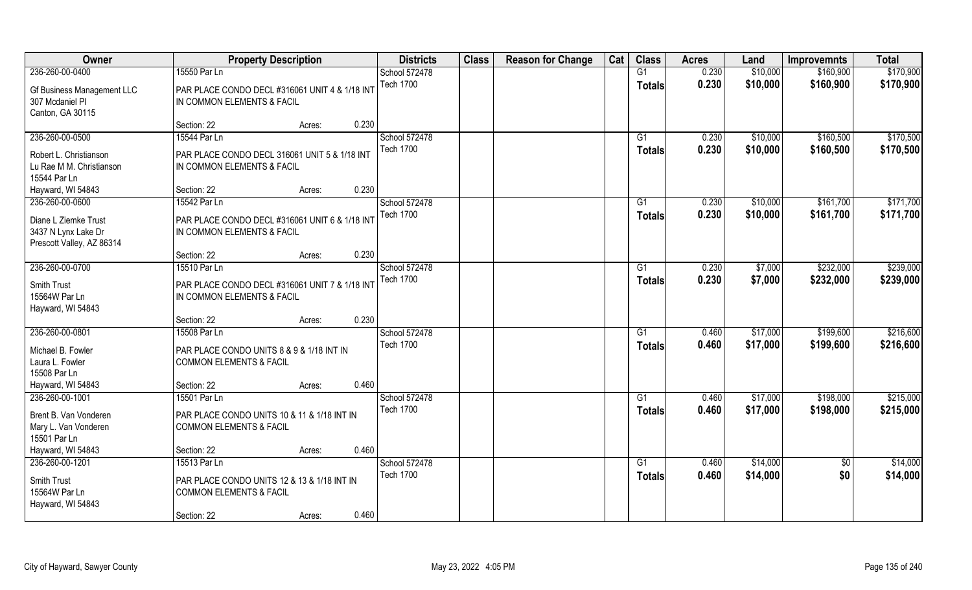| Owner                                | <b>Property Description</b>                    | <b>Districts</b> | <b>Class</b> | <b>Reason for Change</b> | Cat | <b>Class</b>  | <b>Acres</b> | Land     | <b>Improvemnts</b>     | <b>Total</b> |
|--------------------------------------|------------------------------------------------|------------------|--------------|--------------------------|-----|---------------|--------------|----------|------------------------|--------------|
| 236-260-00-0400                      | 15550 Par Ln                                   | School 572478    |              |                          |     | G1            | 0.230        | \$10,000 | \$160,900              | \$170,900    |
| Gf Business Management LLC           | PAR PLACE CONDO DECL #316061 UNIT 4 & 1/18 INT | <b>Tech 1700</b> |              |                          |     | <b>Totals</b> | 0.230        | \$10,000 | \$160,900              | \$170,900    |
| 307 Mcdaniel Pl                      | IN COMMON ELEMENTS & FACIL                     |                  |              |                          |     |               |              |          |                        |              |
| Canton, GA 30115                     |                                                |                  |              |                          |     |               |              |          |                        |              |
|                                      | 0.230<br>Section: 22<br>Acres:                 |                  |              |                          |     |               |              |          |                        |              |
| 236-260-00-0500                      | 15544 Par Ln                                   | School 572478    |              |                          |     | G1            | 0.230        | \$10,000 | \$160,500              | \$170,500    |
| Robert L. Christianson               | PAR PLACE CONDO DECL 316061 UNIT 5 & 1/18 INT  | <b>Tech 1700</b> |              |                          |     | <b>Totals</b> | 0.230        | \$10,000 | \$160,500              | \$170,500    |
| Lu Rae M M. Christianson             | IN COMMON ELEMENTS & FACIL                     |                  |              |                          |     |               |              |          |                        |              |
| 15544 Par Ln                         |                                                |                  |              |                          |     |               |              |          |                        |              |
| Hayward, WI 54843                    | 0.230<br>Section: 22<br>Acres:                 |                  |              |                          |     |               |              |          |                        |              |
| 236-260-00-0600                      | 15542 Par Ln                                   | School 572478    |              |                          |     | G1            | 0.230        | \$10,000 | \$161,700              | \$171,700    |
|                                      |                                                | <b>Tech 1700</b> |              |                          |     | <b>Totals</b> | 0.230        | \$10,000 | \$161,700              | \$171,700    |
| Diane L Ziemke Trust                 | PAR PLACE CONDO DECL #316061 UNIT 6 & 1/18 INT |                  |              |                          |     |               |              |          |                        |              |
| 3437 N Lynx Lake Dr                  | IN COMMON ELEMENTS & FACIL                     |                  |              |                          |     |               |              |          |                        |              |
| Prescott Valley, AZ 86314            |                                                |                  |              |                          |     |               |              |          |                        |              |
|                                      | 0.230<br>Section: 22<br>Acres:                 |                  |              |                          |     |               |              |          |                        |              |
| 236-260-00-0700                      | 15510 Par Ln                                   | School 572478    |              |                          |     | G1            | 0.230        | \$7,000  | \$232,000              | \$239,000    |
| Smith Trust                          | PAR PLACE CONDO DECL #316061 UNIT 7 & 1/18 INT | <b>Tech 1700</b> |              |                          |     | <b>Totals</b> | 0.230        | \$7,000  | \$232,000              | \$239,000    |
| 15564W Par Ln                        | IN COMMON ELEMENTS & FACIL                     |                  |              |                          |     |               |              |          |                        |              |
| Hayward, WI 54843                    |                                                |                  |              |                          |     |               |              |          |                        |              |
|                                      | 0.230<br>Section: 22<br>Acres:                 |                  |              |                          |     |               |              |          |                        |              |
| 236-260-00-0801                      | 15508 Par Ln                                   | School 572478    |              |                          |     | G1            | 0.460        | \$17,000 | \$199,600              | \$216,600    |
| Michael B. Fowler                    | PAR PLACE CONDO UNITS 8 & 9 & 1/18 INT IN      | <b>Tech 1700</b> |              |                          |     | <b>Totals</b> | 0.460        | \$17,000 | \$199,600              | \$216,600    |
| Laura L. Fowler                      | <b>COMMON ELEMENTS &amp; FACIL</b>             |                  |              |                          |     |               |              |          |                        |              |
| 15508 Par Ln                         |                                                |                  |              |                          |     |               |              |          |                        |              |
| Hayward, WI 54843                    | 0.460<br>Section: 22<br>Acres:                 |                  |              |                          |     |               |              |          |                        |              |
| 236-260-00-1001                      | 15501 Par Ln                                   | School 572478    |              |                          |     | G1            | 0.460        | \$17,000 | \$198,000              | \$215,000    |
|                                      |                                                | <b>Tech 1700</b> |              |                          |     | <b>Totals</b> | 0.460        | \$17,000 | \$198,000              | \$215,000    |
| Brent B. Van Vonderen                | PAR PLACE CONDO UNITS 10 & 11 & 1/18 INT IN    |                  |              |                          |     |               |              |          |                        |              |
| Mary L. Van Vonderen<br>15501 Par Ln | <b>COMMON ELEMENTS &amp; FACIL</b>             |                  |              |                          |     |               |              |          |                        |              |
| Hayward, WI 54843                    | 0.460<br>Section: 22<br>Acres:                 |                  |              |                          |     |               |              |          |                        |              |
| 236-260-00-1201                      | 15513 Par Ln                                   | School 572478    |              |                          |     | G1            | 0.460        |          |                        | \$14,000     |
|                                      |                                                | <b>Tech 1700</b> |              |                          |     |               | 0.460        | \$14,000 | $\overline{50}$<br>\$0 |              |
| Smith Trust                          | PAR PLACE CONDO UNITS 12 & 13 & 1/18 INT IN    |                  |              |                          |     | <b>Totals</b> |              | \$14,000 |                        | \$14,000     |
| 15564W Par Ln                        | <b>COMMON ELEMENTS &amp; FACIL</b>             |                  |              |                          |     |               |              |          |                        |              |
| Hayward, WI 54843                    |                                                |                  |              |                          |     |               |              |          |                        |              |
|                                      | 0.460<br>Section: 22<br>Acres:                 |                  |              |                          |     |               |              |          |                        |              |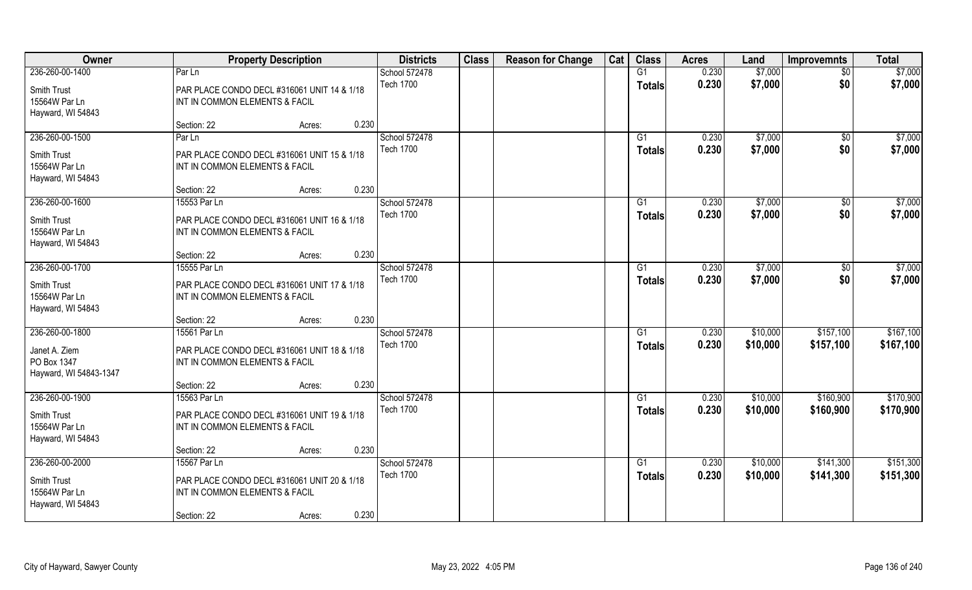| \$7,000<br>G1<br>0.230<br>\$7,000<br>Part<br>School 572478<br>$\overline{50}$<br><b>Tech 1700</b><br>0.230<br>\$7,000<br>\$0<br>\$7,000<br><b>Totals</b><br>Smith Trust<br>PAR PLACE CONDO DECL #316061 UNIT 14 & 1/18<br>15564W Par Ln<br>INT IN COMMON ELEMENTS & FACIL<br>Hayward, WI 54843<br>0.230<br>Section: 22<br>Acres:<br>236-260-00-1500<br>School 572478<br>Par Ln<br>0.230<br>\$7,000<br>\$7,000<br>G1<br>$\overline{50}$<br>0.230<br><b>Tech 1700</b><br>\$7,000<br>\$0<br>\$7,000<br><b>Totals</b><br>PAR PLACE CONDO DECL #316061 UNIT 15 & 1/18<br>15564W Par Ln<br>INT IN COMMON ELEMENTS & FACIL<br>Hayward, WI 54843<br>0.230<br>Section: 22<br>Acres:<br>236-260-00-1600<br>School 572478<br>\$7,000<br>\$7,000<br>15553 Par Ln<br>G1<br>0.230<br>$\sqrt[6]{30}$<br><b>Tech 1700</b><br>\$0<br>0.230<br>\$7,000<br>\$7,000<br><b>Totals</b><br>Smith Trust<br>PAR PLACE CONDO DECL #316061 UNIT 16 & 1/18<br>15564W Par Ln<br>INT IN COMMON ELEMENTS & FACIL<br>Hayward, WI 54843<br>0.230<br>Section: 22<br>Acres:<br>236-260-00-1700<br>\$7,000<br>School 572478<br>0.230<br>\$7,000<br>15555 Par Ln<br>G1<br>$\sqrt[6]{3}$<br><b>Tech 1700</b><br>\$0<br>0.230<br>\$7,000<br>\$7,000<br><b>Totals</b><br>Smith Trust<br>PAR PLACE CONDO DECL #316061 UNIT 17 & 1/18<br>15564W Par Ln<br>INT IN COMMON ELEMENTS & FACIL<br>Hayward, WI 54843<br>0.230<br>Section: 22<br>Acres:<br>\$167,100<br>School 572478<br>0.230<br>\$10,000<br>\$157,100<br>15561 Par Ln<br>G1<br><b>Tech 1700</b><br>0.230<br>\$10,000<br>\$157,100<br>\$167,100<br><b>Totals</b><br>Janet A. Ziem<br>PAR PLACE CONDO DECL #316061 UNIT 18 & 1/18<br>PO Box 1347<br>INT IN COMMON ELEMENTS & FACIL<br>Hayward, WI 54843-1347<br>0.230<br>Section: 22<br>Acres:<br>236-260-00-1900<br>\$170,900<br>15563 Par Ln<br>School 572478<br>0.230<br>\$10,000<br>\$160,900<br>G1<br><b>Tech 1700</b><br>0.230<br>\$10,000<br>\$160,900<br>\$170,900<br><b>Totals</b><br>Smith Trust<br>PAR PLACE CONDO DECL #316061 UNIT 19 & 1/18<br>15564W Par Ln<br>INT IN COMMON ELEMENTS & FACIL<br>Hayward, WI 54843<br>0.230<br>Section: 22<br>Acres:<br>236-260-00-2000<br>School 572478<br>\$151,300<br>15567 Par Ln<br>G1<br>0.230<br>\$10,000<br>\$141,300<br><b>Tech 1700</b><br>0.230<br>\$10,000<br>\$141,300<br>\$151,300<br><b>Totals</b><br>Smith Trust<br>PAR PLACE CONDO DECL #316061 UNIT 20 & 1/18<br>15564W Par Ln<br>INT IN COMMON ELEMENTS & FACIL<br>Hayward, WI 54843 | Owner           | <b>Property Description</b> | <b>Districts</b> | <b>Class</b> | <b>Reason for Change</b> | Cat | <b>Class</b> | <b>Acres</b> | Land | <b>Improvemnts</b> | <b>Total</b> |
|----------------------------------------------------------------------------------------------------------------------------------------------------------------------------------------------------------------------------------------------------------------------------------------------------------------------------------------------------------------------------------------------------------------------------------------------------------------------------------------------------------------------------------------------------------------------------------------------------------------------------------------------------------------------------------------------------------------------------------------------------------------------------------------------------------------------------------------------------------------------------------------------------------------------------------------------------------------------------------------------------------------------------------------------------------------------------------------------------------------------------------------------------------------------------------------------------------------------------------------------------------------------------------------------------------------------------------------------------------------------------------------------------------------------------------------------------------------------------------------------------------------------------------------------------------------------------------------------------------------------------------------------------------------------------------------------------------------------------------------------------------------------------------------------------------------------------------------------------------------------------------------------------------------------------------------------------------------------------------------------------------------------------------------------------------------------------------------------------------------------------------------------------------------------------------------------------------------------------------------------------------------------------------------------------------------------------------------------------------------------------------------------------------------------------------------------------------------------|-----------------|-----------------------------|------------------|--------------|--------------------------|-----|--------------|--------------|------|--------------------|--------------|
|                                                                                                                                                                                                                                                                                                                                                                                                                                                                                                                                                                                                                                                                                                                                                                                                                                                                                                                                                                                                                                                                                                                                                                                                                                                                                                                                                                                                                                                                                                                                                                                                                                                                                                                                                                                                                                                                                                                                                                                                                                                                                                                                                                                                                                                                                                                                                                                                                                                                      | 236-260-00-1400 |                             |                  |              |                          |     |              |              |      |                    |              |
|                                                                                                                                                                                                                                                                                                                                                                                                                                                                                                                                                                                                                                                                                                                                                                                                                                                                                                                                                                                                                                                                                                                                                                                                                                                                                                                                                                                                                                                                                                                                                                                                                                                                                                                                                                                                                                                                                                                                                                                                                                                                                                                                                                                                                                                                                                                                                                                                                                                                      |                 |                             |                  |              |                          |     |              |              |      |                    |              |
|                                                                                                                                                                                                                                                                                                                                                                                                                                                                                                                                                                                                                                                                                                                                                                                                                                                                                                                                                                                                                                                                                                                                                                                                                                                                                                                                                                                                                                                                                                                                                                                                                                                                                                                                                                                                                                                                                                                                                                                                                                                                                                                                                                                                                                                                                                                                                                                                                                                                      |                 |                             |                  |              |                          |     |              |              |      |                    |              |
|                                                                                                                                                                                                                                                                                                                                                                                                                                                                                                                                                                                                                                                                                                                                                                                                                                                                                                                                                                                                                                                                                                                                                                                                                                                                                                                                                                                                                                                                                                                                                                                                                                                                                                                                                                                                                                                                                                                                                                                                                                                                                                                                                                                                                                                                                                                                                                                                                                                                      |                 |                             |                  |              |                          |     |              |              |      |                    |              |
|                                                                                                                                                                                                                                                                                                                                                                                                                                                                                                                                                                                                                                                                                                                                                                                                                                                                                                                                                                                                                                                                                                                                                                                                                                                                                                                                                                                                                                                                                                                                                                                                                                                                                                                                                                                                                                                                                                                                                                                                                                                                                                                                                                                                                                                                                                                                                                                                                                                                      |                 |                             |                  |              |                          |     |              |              |      |                    |              |
|                                                                                                                                                                                                                                                                                                                                                                                                                                                                                                                                                                                                                                                                                                                                                                                                                                                                                                                                                                                                                                                                                                                                                                                                                                                                                                                                                                                                                                                                                                                                                                                                                                                                                                                                                                                                                                                                                                                                                                                                                                                                                                                                                                                                                                                                                                                                                                                                                                                                      |                 |                             |                  |              |                          |     |              |              |      |                    |              |
|                                                                                                                                                                                                                                                                                                                                                                                                                                                                                                                                                                                                                                                                                                                                                                                                                                                                                                                                                                                                                                                                                                                                                                                                                                                                                                                                                                                                                                                                                                                                                                                                                                                                                                                                                                                                                                                                                                                                                                                                                                                                                                                                                                                                                                                                                                                                                                                                                                                                      | Smith Trust     |                             |                  |              |                          |     |              |              |      |                    |              |
|                                                                                                                                                                                                                                                                                                                                                                                                                                                                                                                                                                                                                                                                                                                                                                                                                                                                                                                                                                                                                                                                                                                                                                                                                                                                                                                                                                                                                                                                                                                                                                                                                                                                                                                                                                                                                                                                                                                                                                                                                                                                                                                                                                                                                                                                                                                                                                                                                                                                      |                 |                             |                  |              |                          |     |              |              |      |                    |              |
|                                                                                                                                                                                                                                                                                                                                                                                                                                                                                                                                                                                                                                                                                                                                                                                                                                                                                                                                                                                                                                                                                                                                                                                                                                                                                                                                                                                                                                                                                                                                                                                                                                                                                                                                                                                                                                                                                                                                                                                                                                                                                                                                                                                                                                                                                                                                                                                                                                                                      |                 |                             |                  |              |                          |     |              |              |      |                    |              |
|                                                                                                                                                                                                                                                                                                                                                                                                                                                                                                                                                                                                                                                                                                                                                                                                                                                                                                                                                                                                                                                                                                                                                                                                                                                                                                                                                                                                                                                                                                                                                                                                                                                                                                                                                                                                                                                                                                                                                                                                                                                                                                                                                                                                                                                                                                                                                                                                                                                                      |                 |                             |                  |              |                          |     |              |              |      |                    |              |
|                                                                                                                                                                                                                                                                                                                                                                                                                                                                                                                                                                                                                                                                                                                                                                                                                                                                                                                                                                                                                                                                                                                                                                                                                                                                                                                                                                                                                                                                                                                                                                                                                                                                                                                                                                                                                                                                                                                                                                                                                                                                                                                                                                                                                                                                                                                                                                                                                                                                      |                 |                             |                  |              |                          |     |              |              |      |                    |              |
|                                                                                                                                                                                                                                                                                                                                                                                                                                                                                                                                                                                                                                                                                                                                                                                                                                                                                                                                                                                                                                                                                                                                                                                                                                                                                                                                                                                                                                                                                                                                                                                                                                                                                                                                                                                                                                                                                                                                                                                                                                                                                                                                                                                                                                                                                                                                                                                                                                                                      |                 |                             |                  |              |                          |     |              |              |      |                    |              |
|                                                                                                                                                                                                                                                                                                                                                                                                                                                                                                                                                                                                                                                                                                                                                                                                                                                                                                                                                                                                                                                                                                                                                                                                                                                                                                                                                                                                                                                                                                                                                                                                                                                                                                                                                                                                                                                                                                                                                                                                                                                                                                                                                                                                                                                                                                                                                                                                                                                                      |                 |                             |                  |              |                          |     |              |              |      |                    |              |
|                                                                                                                                                                                                                                                                                                                                                                                                                                                                                                                                                                                                                                                                                                                                                                                                                                                                                                                                                                                                                                                                                                                                                                                                                                                                                                                                                                                                                                                                                                                                                                                                                                                                                                                                                                                                                                                                                                                                                                                                                                                                                                                                                                                                                                                                                                                                                                                                                                                                      |                 |                             |                  |              |                          |     |              |              |      |                    |              |
|                                                                                                                                                                                                                                                                                                                                                                                                                                                                                                                                                                                                                                                                                                                                                                                                                                                                                                                                                                                                                                                                                                                                                                                                                                                                                                                                                                                                                                                                                                                                                                                                                                                                                                                                                                                                                                                                                                                                                                                                                                                                                                                                                                                                                                                                                                                                                                                                                                                                      |                 |                             |                  |              |                          |     |              |              |      |                    |              |
|                                                                                                                                                                                                                                                                                                                                                                                                                                                                                                                                                                                                                                                                                                                                                                                                                                                                                                                                                                                                                                                                                                                                                                                                                                                                                                                                                                                                                                                                                                                                                                                                                                                                                                                                                                                                                                                                                                                                                                                                                                                                                                                                                                                                                                                                                                                                                                                                                                                                      |                 |                             |                  |              |                          |     |              |              |      |                    |              |
|                                                                                                                                                                                                                                                                                                                                                                                                                                                                                                                                                                                                                                                                                                                                                                                                                                                                                                                                                                                                                                                                                                                                                                                                                                                                                                                                                                                                                                                                                                                                                                                                                                                                                                                                                                                                                                                                                                                                                                                                                                                                                                                                                                                                                                                                                                                                                                                                                                                                      |                 |                             |                  |              |                          |     |              |              |      |                    |              |
|                                                                                                                                                                                                                                                                                                                                                                                                                                                                                                                                                                                                                                                                                                                                                                                                                                                                                                                                                                                                                                                                                                                                                                                                                                                                                                                                                                                                                                                                                                                                                                                                                                                                                                                                                                                                                                                                                                                                                                                                                                                                                                                                                                                                                                                                                                                                                                                                                                                                      |                 |                             |                  |              |                          |     |              |              |      |                    |              |
|                                                                                                                                                                                                                                                                                                                                                                                                                                                                                                                                                                                                                                                                                                                                                                                                                                                                                                                                                                                                                                                                                                                                                                                                                                                                                                                                                                                                                                                                                                                                                                                                                                                                                                                                                                                                                                                                                                                                                                                                                                                                                                                                                                                                                                                                                                                                                                                                                                                                      |                 |                             |                  |              |                          |     |              |              |      |                    |              |
|                                                                                                                                                                                                                                                                                                                                                                                                                                                                                                                                                                                                                                                                                                                                                                                                                                                                                                                                                                                                                                                                                                                                                                                                                                                                                                                                                                                                                                                                                                                                                                                                                                                                                                                                                                                                                                                                                                                                                                                                                                                                                                                                                                                                                                                                                                                                                                                                                                                                      | 236-260-00-1800 |                             |                  |              |                          |     |              |              |      |                    |              |
|                                                                                                                                                                                                                                                                                                                                                                                                                                                                                                                                                                                                                                                                                                                                                                                                                                                                                                                                                                                                                                                                                                                                                                                                                                                                                                                                                                                                                                                                                                                                                                                                                                                                                                                                                                                                                                                                                                                                                                                                                                                                                                                                                                                                                                                                                                                                                                                                                                                                      |                 |                             |                  |              |                          |     |              |              |      |                    |              |
|                                                                                                                                                                                                                                                                                                                                                                                                                                                                                                                                                                                                                                                                                                                                                                                                                                                                                                                                                                                                                                                                                                                                                                                                                                                                                                                                                                                                                                                                                                                                                                                                                                                                                                                                                                                                                                                                                                                                                                                                                                                                                                                                                                                                                                                                                                                                                                                                                                                                      |                 |                             |                  |              |                          |     |              |              |      |                    |              |
|                                                                                                                                                                                                                                                                                                                                                                                                                                                                                                                                                                                                                                                                                                                                                                                                                                                                                                                                                                                                                                                                                                                                                                                                                                                                                                                                                                                                                                                                                                                                                                                                                                                                                                                                                                                                                                                                                                                                                                                                                                                                                                                                                                                                                                                                                                                                                                                                                                                                      |                 |                             |                  |              |                          |     |              |              |      |                    |              |
|                                                                                                                                                                                                                                                                                                                                                                                                                                                                                                                                                                                                                                                                                                                                                                                                                                                                                                                                                                                                                                                                                                                                                                                                                                                                                                                                                                                                                                                                                                                                                                                                                                                                                                                                                                                                                                                                                                                                                                                                                                                                                                                                                                                                                                                                                                                                                                                                                                                                      |                 |                             |                  |              |                          |     |              |              |      |                    |              |
|                                                                                                                                                                                                                                                                                                                                                                                                                                                                                                                                                                                                                                                                                                                                                                                                                                                                                                                                                                                                                                                                                                                                                                                                                                                                                                                                                                                                                                                                                                                                                                                                                                                                                                                                                                                                                                                                                                                                                                                                                                                                                                                                                                                                                                                                                                                                                                                                                                                                      |                 |                             |                  |              |                          |     |              |              |      |                    |              |
|                                                                                                                                                                                                                                                                                                                                                                                                                                                                                                                                                                                                                                                                                                                                                                                                                                                                                                                                                                                                                                                                                                                                                                                                                                                                                                                                                                                                                                                                                                                                                                                                                                                                                                                                                                                                                                                                                                                                                                                                                                                                                                                                                                                                                                                                                                                                                                                                                                                                      |                 |                             |                  |              |                          |     |              |              |      |                    |              |
|                                                                                                                                                                                                                                                                                                                                                                                                                                                                                                                                                                                                                                                                                                                                                                                                                                                                                                                                                                                                                                                                                                                                                                                                                                                                                                                                                                                                                                                                                                                                                                                                                                                                                                                                                                                                                                                                                                                                                                                                                                                                                                                                                                                                                                                                                                                                                                                                                                                                      |                 |                             |                  |              |                          |     |              |              |      |                    |              |
|                                                                                                                                                                                                                                                                                                                                                                                                                                                                                                                                                                                                                                                                                                                                                                                                                                                                                                                                                                                                                                                                                                                                                                                                                                                                                                                                                                                                                                                                                                                                                                                                                                                                                                                                                                                                                                                                                                                                                                                                                                                                                                                                                                                                                                                                                                                                                                                                                                                                      |                 |                             |                  |              |                          |     |              |              |      |                    |              |
|                                                                                                                                                                                                                                                                                                                                                                                                                                                                                                                                                                                                                                                                                                                                                                                                                                                                                                                                                                                                                                                                                                                                                                                                                                                                                                                                                                                                                                                                                                                                                                                                                                                                                                                                                                                                                                                                                                                                                                                                                                                                                                                                                                                                                                                                                                                                                                                                                                                                      |                 |                             |                  |              |                          |     |              |              |      |                    |              |
|                                                                                                                                                                                                                                                                                                                                                                                                                                                                                                                                                                                                                                                                                                                                                                                                                                                                                                                                                                                                                                                                                                                                                                                                                                                                                                                                                                                                                                                                                                                                                                                                                                                                                                                                                                                                                                                                                                                                                                                                                                                                                                                                                                                                                                                                                                                                                                                                                                                                      |                 |                             |                  |              |                          |     |              |              |      |                    |              |
|                                                                                                                                                                                                                                                                                                                                                                                                                                                                                                                                                                                                                                                                                                                                                                                                                                                                                                                                                                                                                                                                                                                                                                                                                                                                                                                                                                                                                                                                                                                                                                                                                                                                                                                                                                                                                                                                                                                                                                                                                                                                                                                                                                                                                                                                                                                                                                                                                                                                      |                 |                             |                  |              |                          |     |              |              |      |                    |              |
|                                                                                                                                                                                                                                                                                                                                                                                                                                                                                                                                                                                                                                                                                                                                                                                                                                                                                                                                                                                                                                                                                                                                                                                                                                                                                                                                                                                                                                                                                                                                                                                                                                                                                                                                                                                                                                                                                                                                                                                                                                                                                                                                                                                                                                                                                                                                                                                                                                                                      |                 |                             |                  |              |                          |     |              |              |      |                    |              |
| 0.230<br>Section: 22<br>Acres:                                                                                                                                                                                                                                                                                                                                                                                                                                                                                                                                                                                                                                                                                                                                                                                                                                                                                                                                                                                                                                                                                                                                                                                                                                                                                                                                                                                                                                                                                                                                                                                                                                                                                                                                                                                                                                                                                                                                                                                                                                                                                                                                                                                                                                                                                                                                                                                                                                       |                 |                             |                  |              |                          |     |              |              |      |                    |              |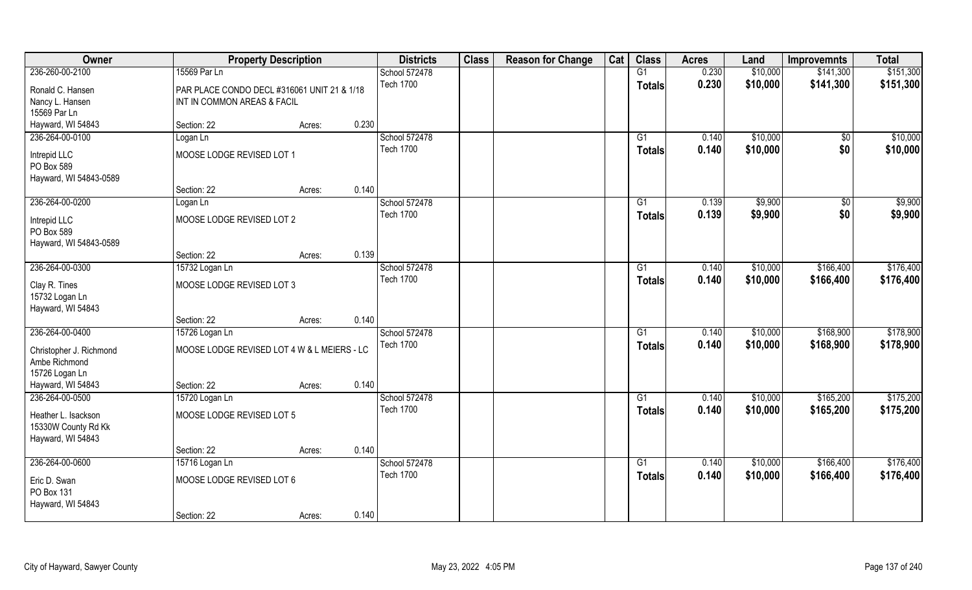| Owner                   |                                             | <b>Property Description</b> |       | <b>Districts</b> | <b>Class</b> | <b>Reason for Change</b> | Cat | <b>Class</b>    | <b>Acres</b> | Land     | <b>Improvemnts</b> | <b>Total</b> |
|-------------------------|---------------------------------------------|-----------------------------|-------|------------------|--------------|--------------------------|-----|-----------------|--------------|----------|--------------------|--------------|
| 236-260-00-2100         | 15569 Par Ln                                |                             |       | School 572478    |              |                          |     | G1              | 0.230        | \$10,000 | \$141,300          | \$151,300    |
| Ronald C. Hansen        | PAR PLACE CONDO DECL #316061 UNIT 21 & 1/18 |                             |       | <b>Tech 1700</b> |              |                          |     | <b>Totals</b>   | 0.230        | \$10,000 | \$141,300          | \$151,300    |
| Nancy L. Hansen         | INT IN COMMON AREAS & FACIL                 |                             |       |                  |              |                          |     |                 |              |          |                    |              |
| 15569 Par Ln            |                                             |                             |       |                  |              |                          |     |                 |              |          |                    |              |
| Hayward, WI 54843       | Section: 22                                 | Acres:                      | 0.230 |                  |              |                          |     |                 |              |          |                    |              |
| 236-264-00-0100         | Logan Ln                                    |                             |       | School 572478    |              |                          |     | G1              | 0.140        | \$10,000 | $\sqrt[6]{}$       | \$10,000     |
| Intrepid LLC            | MOOSE LODGE REVISED LOT 1                   |                             |       | <b>Tech 1700</b> |              |                          |     | Totals          | 0.140        | \$10,000 | \$0                | \$10,000     |
| PO Box 589              |                                             |                             |       |                  |              |                          |     |                 |              |          |                    |              |
| Hayward, WI 54843-0589  |                                             |                             |       |                  |              |                          |     |                 |              |          |                    |              |
|                         | Section: 22                                 | Acres:                      | 0.140 |                  |              |                          |     |                 |              |          |                    |              |
| 236-264-00-0200         | Logan Ln                                    |                             |       | School 572478    |              |                          |     | G1              | 0.139        | \$9,900  | \$0                | \$9,900      |
| Intrepid LLC            | MOOSE LODGE REVISED LOT 2                   |                             |       | <b>Tech 1700</b> |              |                          |     | <b>Totals</b>   | 0.139        | \$9,900  | \$0                | \$9,900      |
| PO Box 589              |                                             |                             |       |                  |              |                          |     |                 |              |          |                    |              |
| Hayward, WI 54843-0589  |                                             |                             |       |                  |              |                          |     |                 |              |          |                    |              |
|                         | Section: 22                                 | Acres:                      | 0.139 |                  |              |                          |     |                 |              |          |                    |              |
| 236-264-00-0300         | 15732 Logan Ln                              |                             |       | School 572478    |              |                          |     | G1              | 0.140        | \$10,000 | \$166,400          | \$176,400    |
| Clay R. Tines           | MOOSE LODGE REVISED LOT 3                   |                             |       | <b>Tech 1700</b> |              |                          |     | Totals          | 0.140        | \$10,000 | \$166,400          | \$176,400    |
| 15732 Logan Ln          |                                             |                             |       |                  |              |                          |     |                 |              |          |                    |              |
| Hayward, WI 54843       |                                             |                             |       |                  |              |                          |     |                 |              |          |                    |              |
|                         | Section: 22                                 | Acres:                      | 0.140 |                  |              |                          |     |                 |              |          |                    |              |
| 236-264-00-0400         | 15726 Logan Ln                              |                             |       | School 572478    |              |                          |     | $\overline{G1}$ | 0.140        | \$10,000 | \$168,900          | \$178,900    |
| Christopher J. Richmond | MOOSE LODGE REVISED LOT 4 W & L MEIERS - LC |                             |       | <b>Tech 1700</b> |              |                          |     | <b>Totals</b>   | 0.140        | \$10,000 | \$168,900          | \$178,900    |
| Ambe Richmond           |                                             |                             |       |                  |              |                          |     |                 |              |          |                    |              |
| 15726 Logan Ln          |                                             |                             |       |                  |              |                          |     |                 |              |          |                    |              |
| Hayward, WI 54843       | Section: 22                                 | Acres:                      | 0.140 |                  |              |                          |     |                 |              |          |                    |              |
| 236-264-00-0500         | 15720 Logan Ln                              |                             |       | School 572478    |              |                          |     | G1              | 0.140        | \$10,000 | \$165,200          | \$175,200    |
| Heather L. Isackson     | MOOSE LODGE REVISED LOT 5                   |                             |       | <b>Tech 1700</b> |              |                          |     | <b>Totals</b>   | 0.140        | \$10,000 | \$165,200          | \$175,200    |
| 15330W County Rd Kk     |                                             |                             |       |                  |              |                          |     |                 |              |          |                    |              |
| Hayward, WI 54843       |                                             |                             |       |                  |              |                          |     |                 |              |          |                    |              |
|                         | Section: 22                                 | Acres:                      | 0.140 |                  |              |                          |     |                 |              |          |                    |              |
| 236-264-00-0600         | 15716 Logan Ln                              |                             |       | School 572478    |              |                          |     | $\overline{G1}$ | 0.140        | \$10,000 | \$166,400          | \$176,400    |
| Eric D. Swan            | MOOSE LODGE REVISED LOT 6                   |                             |       | <b>Tech 1700</b> |              |                          |     | Totals          | 0.140        | \$10,000 | \$166,400          | \$176,400    |
| PO Box 131              |                                             |                             |       |                  |              |                          |     |                 |              |          |                    |              |
| Hayward, WI 54843       |                                             |                             |       |                  |              |                          |     |                 |              |          |                    |              |
|                         | Section: 22                                 | Acres:                      | 0.140 |                  |              |                          |     |                 |              |          |                    |              |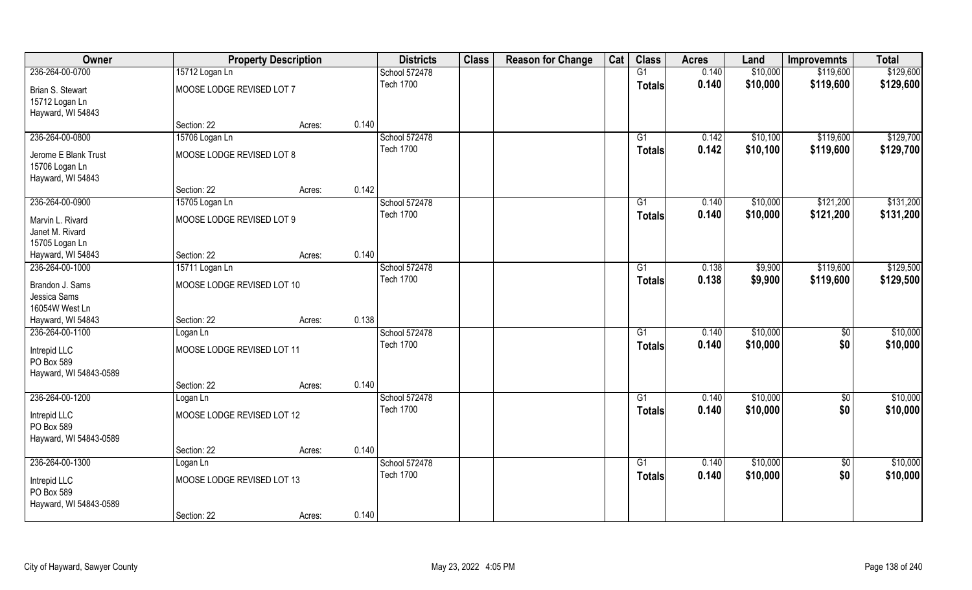| Owner                                                   |                            | <b>Property Description</b> | <b>Districts</b> | <b>Class</b> | <b>Reason for Change</b> | Cat | <b>Class</b>    | <b>Acres</b> | Land     | <b>Improvemnts</b> | <b>Total</b> |
|---------------------------------------------------------|----------------------------|-----------------------------|------------------|--------------|--------------------------|-----|-----------------|--------------|----------|--------------------|--------------|
| 236-264-00-0700                                         | 15712 Logan Ln             |                             | School 572478    |              |                          |     | G1              | 0.140        | \$10,000 | \$119,600          | \$129,600    |
| Brian S. Stewart<br>15712 Logan Ln<br>Hayward, WI 54843 | MOOSE LODGE REVISED LOT 7  |                             | <b>Tech 1700</b> |              |                          |     | <b>Totals</b>   | 0.140        | \$10,000 | \$119,600          | \$129,600    |
|                                                         | Section: 22                | Acres:                      | 0.140            |              |                          |     |                 |              |          |                    |              |
| 236-264-00-0800                                         | 15706 Logan Ln             |                             | School 572478    |              |                          |     | G1              | 0.142        | \$10,100 | \$119,600          | \$129,700    |
| Jerome E Blank Trust                                    | MOOSE LODGE REVISED LOT 8  |                             | <b>Tech 1700</b> |              |                          |     | Totals          | 0.142        | \$10,100 | \$119,600          | \$129,700    |
| 15706 Logan Ln<br>Hayward, WI 54843                     |                            |                             |                  |              |                          |     |                 |              |          |                    |              |
|                                                         | Section: 22                | Acres:                      | 0.142            |              |                          |     |                 |              |          |                    |              |
| 236-264-00-0900                                         | 15705 Logan Ln             |                             | School 572478    |              |                          |     | $\overline{G1}$ | 0.140        | \$10,000 | \$121,200          | \$131,200    |
| Marvin L. Rivard<br>Janet M. Rivard<br>15705 Logan Ln   | MOOSE LODGE REVISED LOT 9  |                             | <b>Tech 1700</b> |              |                          |     | <b>Totals</b>   | 0.140        | \$10,000 | \$121,200          | \$131,200    |
| Hayward, WI 54843                                       | Section: 22                | Acres:                      | 0.140            |              |                          |     |                 |              |          |                    |              |
| 236-264-00-1000                                         | 15711 Logan Ln             |                             | School 572478    |              |                          |     | G1              | 0.138        | \$9,900  | \$119,600          | \$129,500    |
| Brandon J. Sams<br>Jessica Sams<br>16054W West Ln       | MOOSE LODGE REVISED LOT 10 |                             | <b>Tech 1700</b> |              |                          |     | <b>Totals</b>   | 0.138        | \$9,900  | \$119,600          | \$129,500    |
| Hayward, WI 54843                                       | Section: 22                | Acres:                      | 0.138            |              |                          |     |                 |              |          |                    |              |
| 236-264-00-1100                                         | Logan Ln                   |                             | School 572478    |              |                          |     | G1              | 0.140        | \$10,000 | \$0                | \$10,000     |
| Intrepid LLC<br>PO Box 589<br>Hayward, WI 54843-0589    | MOOSE LODGE REVISED LOT 11 |                             | <b>Tech 1700</b> |              |                          |     | <b>Totals</b>   | 0.140        | \$10,000 | \$0                | \$10,000     |
|                                                         | Section: 22                | Acres:                      | 0.140            |              |                          |     |                 |              |          |                    |              |
| 236-264-00-1200                                         | Logan Ln                   |                             | School 572478    |              |                          |     | G1              | 0.140        | \$10,000 | $\overline{50}$    | \$10,000     |
| Intrepid LLC<br>PO Box 589<br>Hayward, WI 54843-0589    | MOOSE LODGE REVISED LOT 12 |                             | <b>Tech 1700</b> |              |                          |     | <b>Totals</b>   | 0.140        | \$10,000 | \$0                | \$10,000     |
|                                                         | Section: 22                | Acres:                      | 0.140            |              |                          |     |                 |              |          |                    |              |
| 236-264-00-1300                                         | Logan Ln                   |                             | School 572478    |              |                          |     | $\overline{G1}$ | 0.140        | \$10,000 | $\overline{50}$    | \$10,000     |
| Intrepid LLC<br>PO Box 589<br>Hayward, WI 54843-0589    | MOOSE LODGE REVISED LOT 13 |                             | <b>Tech 1700</b> |              |                          |     | Totals          | 0.140        | \$10,000 | \$0                | \$10,000     |
|                                                         | Section: 22                | Acres:                      | 0.140            |              |                          |     |                 |              |          |                    |              |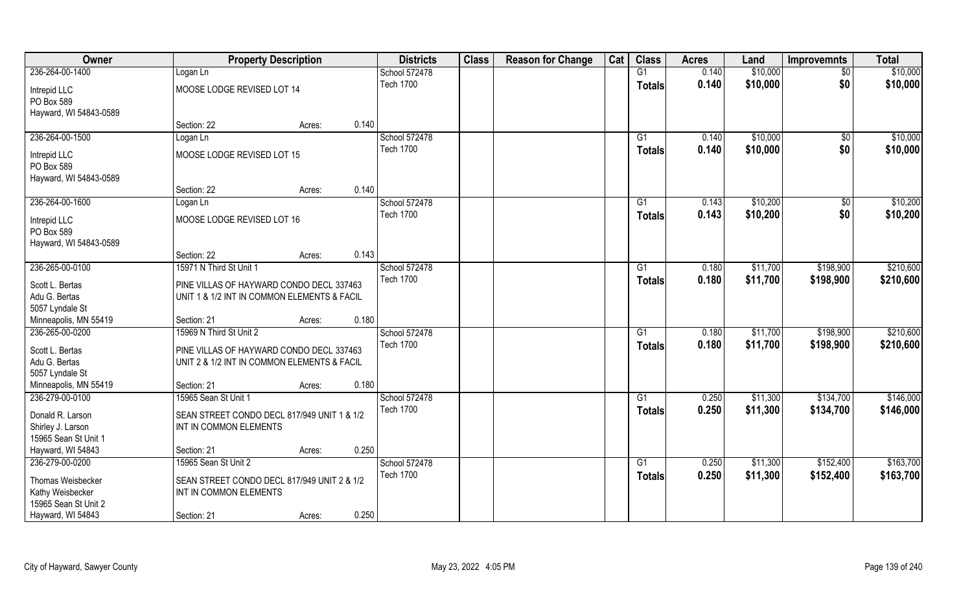| Owner                                                         |                                                                                         | <b>Property Description</b> |       | <b>Districts</b> | <b>Class</b> | <b>Reason for Change</b> | Cat | <b>Class</b>  | <b>Acres</b> | Land     | <b>Improvemnts</b> | <b>Total</b> |
|---------------------------------------------------------------|-----------------------------------------------------------------------------------------|-----------------------------|-------|------------------|--------------|--------------------------|-----|---------------|--------------|----------|--------------------|--------------|
| 236-264-00-1400                                               | Logan Ln                                                                                |                             |       | School 572478    |              |                          |     | G1            | 0.140        | \$10,000 | $\sqrt{6}$         | \$10,000     |
| Intrepid LLC<br>PO Box 589<br>Hayward, WI 54843-0589          | MOOSE LODGE REVISED LOT 14                                                              |                             |       | <b>Tech 1700</b> |              |                          |     | <b>Totals</b> | 0.140        | \$10,000 | \$0                | \$10,000     |
|                                                               | Section: 22                                                                             | Acres:                      | 0.140 |                  |              |                          |     |               |              |          |                    |              |
| 236-264-00-1500                                               | Logan Ln                                                                                |                             |       | School 572478    |              |                          |     | G1            | 0.140        | \$10,000 | $\overline{50}$    | \$10,000     |
| Intrepid LLC<br>PO Box 589<br>Hayward, WI 54843-0589          | MOOSE LODGE REVISED LOT 15                                                              |                             |       | <b>Tech 1700</b> |              |                          |     | Totals        | 0.140        | \$10,000 | \$0                | \$10,000     |
|                                                               | Section: 22                                                                             | Acres:                      | 0.140 |                  |              |                          |     |               |              |          |                    |              |
| 236-264-00-1600                                               | Logan Ln                                                                                |                             |       | School 572478    |              |                          |     | G1            | 0.143        | \$10,200 | \$0                | \$10,200     |
| Intrepid LLC<br>PO Box 589<br>Hayward, WI 54843-0589          | MOOSE LODGE REVISED LOT 16                                                              |                             |       | <b>Tech 1700</b> |              |                          |     | <b>Totals</b> | 0.143        | \$10,200 | \$0                | \$10,200     |
|                                                               | Section: 22                                                                             | Acres:                      | 0.143 |                  |              |                          |     |               |              |          |                    |              |
| 236-265-00-0100                                               | 15971 N Third St Unit 1                                                                 |                             |       | School 572478    |              |                          |     | G1            | 0.180        | \$11,700 | \$198,900          | \$210,600    |
| Scott L. Bertas<br>Adu G. Bertas<br>5057 Lyndale St           | PINE VILLAS OF HAYWARD CONDO DECL 337463<br>UNIT 1 & 1/2 INT IN COMMON ELEMENTS & FACIL |                             |       | <b>Tech 1700</b> |              |                          |     | <b>Totals</b> | 0.180        | \$11,700 | \$198,900          | \$210,600    |
| Minneapolis, MN 55419                                         | Section: 21                                                                             | Acres:                      | 0.180 |                  |              |                          |     |               |              |          |                    |              |
| 236-265-00-0200                                               | 15969 N Third St Unit 2                                                                 |                             |       | School 572478    |              |                          |     | G1            | 0.180        | \$11,700 | \$198,900          | \$210,600    |
| Scott L. Bertas<br>Adu G. Bertas<br>5057 Lyndale St           | PINE VILLAS OF HAYWARD CONDO DECL 337463<br>UNIT 2 & 1/2 INT IN COMMON ELEMENTS & FACIL |                             |       | <b>Tech 1700</b> |              |                          |     | <b>Totals</b> | 0.180        | \$11,700 | \$198,900          | \$210,600    |
| Minneapolis, MN 55419                                         | Section: 21                                                                             | Acres:                      | 0.180 |                  |              |                          |     |               |              |          |                    |              |
| 236-279-00-0100                                               | 15965 Sean St Unit 1                                                                    |                             |       | School 572478    |              |                          |     | G1            | 0.250        | \$11,300 | \$134,700          | \$146,000    |
| Donald R. Larson<br>Shirley J. Larson<br>15965 Sean St Unit 1 | SEAN STREET CONDO DECL 817/949 UNIT 1 & 1/2<br>INT IN COMMON ELEMENTS                   |                             |       | <b>Tech 1700</b> |              |                          |     | <b>Totals</b> | 0.250        | \$11,300 | \$134,700          | \$146,000    |
| Hayward, WI 54843                                             | Section: 21                                                                             | Acres:                      | 0.250 |                  |              |                          |     |               |              |          |                    |              |
| 236-279-00-0200                                               | 15965 Sean St Unit 2                                                                    |                             |       | School 572478    |              |                          |     | G1            | 0.250        | \$11,300 | \$152,400          | \$163,700    |
| Thomas Weisbecker<br>Kathy Weisbecker<br>15965 Sean St Unit 2 | SEAN STREET CONDO DECL 817/949 UNIT 2 & 1/2<br>INT IN COMMON ELEMENTS                   |                             | 0.250 | <b>Tech 1700</b> |              |                          |     | <b>Totals</b> | 0.250        | \$11,300 | \$152,400          | \$163,700    |
| Hayward, WI 54843                                             | Section: 21                                                                             | Acres:                      |       |                  |              |                          |     |               |              |          |                    |              |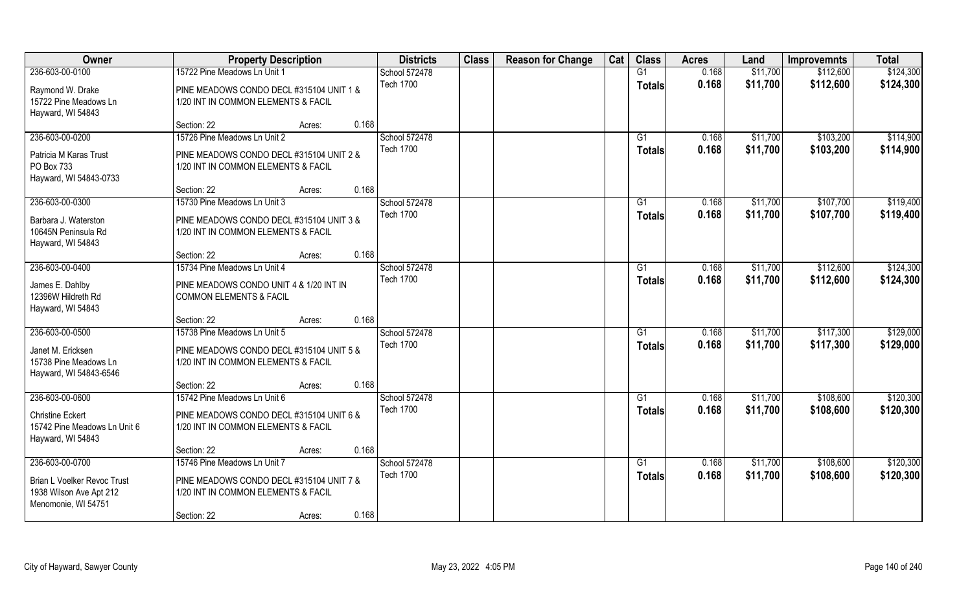| Owner                                                                         | <b>Property Description</b>                                                     | <b>Districts</b>                  | <b>Class</b> | <b>Reason for Change</b> | Cat | <b>Class</b>                    | <b>Acres</b>   | Land                 | <b>Improvemnts</b>     | <b>Total</b>           |
|-------------------------------------------------------------------------------|---------------------------------------------------------------------------------|-----------------------------------|--------------|--------------------------|-----|---------------------------------|----------------|----------------------|------------------------|------------------------|
| 236-603-00-0100                                                               | 15722 Pine Meadows Ln Unit 1                                                    | School 572478                     |              |                          |     | G1                              | 0.168          | \$11,700             | \$112,600              | \$124,300              |
| Raymond W. Drake<br>15722 Pine Meadows Ln                                     | PINE MEADOWS CONDO DECL #315104 UNIT 1 &<br>1/20 INT IN COMMON ELEMENTS & FACIL | <b>Tech 1700</b>                  |              |                          |     | <b>Totals</b>                   | 0.168          | \$11,700             | \$112,600              | \$124,300              |
| Hayward, WI 54843                                                             | 0.168<br>Section: 22<br>Acres:                                                  |                                   |              |                          |     |                                 |                |                      |                        |                        |
| 236-603-00-0200                                                               | 15726 Pine Meadows Ln Unit 2                                                    | School 572478<br><b>Tech 1700</b> |              |                          |     | G1                              | 0.168          | \$11,700             | \$103,200              | \$114,900              |
| Patricia M Karas Trust<br>PO Box 733<br>Hayward, WI 54843-0733                | PINE MEADOWS CONDO DECL #315104 UNIT 2 &<br>1/20 INT IN COMMON ELEMENTS & FACIL |                                   |              |                          |     | <b>Totals</b>                   | 0.168          | \$11,700             | \$103,200              | \$114,900              |
|                                                                               | 0.168<br>Section: 22<br>Acres:                                                  |                                   |              |                          |     |                                 |                |                      |                        |                        |
| 236-603-00-0300                                                               | 15730 Pine Meadows Ln Unit 3                                                    | School 572478                     |              |                          |     | G1                              | 0.168          | \$11,700             | \$107,700              | \$119,400              |
| Barbara J. Waterston<br>10645N Peninsula Rd<br>Hayward, WI 54843              | PINE MEADOWS CONDO DECL #315104 UNIT 3 &<br>1/20 INT IN COMMON ELEMENTS & FACIL | <b>Tech 1700</b>                  |              |                          |     | <b>Totals</b>                   | 0.168          | \$11,700             | \$107,700              | \$119,400              |
|                                                                               | 0.168<br>Section: 22<br>Acres:                                                  |                                   |              |                          |     |                                 |                |                      |                        |                        |
| 236-603-00-0400                                                               | 15734 Pine Meadows Ln Unit 4                                                    | School 572478                     |              |                          |     | G1                              | 0.168          | \$11,700             | \$112,600              | \$124,300              |
| James E. Dahlby<br>12396W Hildreth Rd<br>Hayward, WI 54843                    | PINE MEADOWS CONDO UNIT 4 & 1/20 INT IN<br><b>COMMON ELEMENTS &amp; FACIL</b>   | <b>Tech 1700</b>                  |              |                          |     | <b>Totals</b>                   | 0.168          | \$11,700             | \$112,600              | \$124,300              |
|                                                                               | 0.168<br>Section: 22<br>Acres:                                                  |                                   |              |                          |     |                                 |                |                      |                        |                        |
| 236-603-00-0500                                                               | 15738 Pine Meadows Ln Unit 5                                                    | School 572478<br><b>Tech 1700</b> |              |                          |     | G <sub>1</sub><br><b>Totals</b> | 0.168<br>0.168 | \$11,700<br>\$11,700 | \$117,300<br>\$117,300 | \$129,000<br>\$129,000 |
| Janet M. Ericksen<br>15738 Pine Meadows Ln<br>Hayward, WI 54843-6546          | PINE MEADOWS CONDO DECL #315104 UNIT 5 &<br>1/20 INT IN COMMON ELEMENTS & FACIL |                                   |              |                          |     |                                 |                |                      |                        |                        |
|                                                                               | 0.168<br>Section: 22<br>Acres:                                                  |                                   |              |                          |     |                                 |                |                      |                        |                        |
| 236-603-00-0600                                                               | 15742 Pine Meadows Ln Unit 6                                                    | School 572478                     |              |                          |     | G1                              | 0.168          | \$11,700             | \$108,600              | \$120,300              |
| <b>Christine Eckert</b><br>15742 Pine Meadows Ln Unit 6<br>Hayward, WI 54843  | PINE MEADOWS CONDO DECL #315104 UNIT 6 &<br>1/20 INT IN COMMON ELEMENTS & FACIL | <b>Tech 1700</b>                  |              |                          |     | <b>Totals</b>                   | 0.168          | \$11,700             | \$108,600              | \$120,300              |
|                                                                               | 0.168<br>Section: 22<br>Acres:                                                  |                                   |              |                          |     |                                 |                |                      |                        |                        |
| 236-603-00-0700                                                               | 15746 Pine Meadows Ln Unit 7                                                    | School 572478                     |              |                          |     | $\overline{G1}$                 | 0.168          | \$11,700             | \$108,600              | \$120,300              |
| Brian L Voelker Revoc Trust<br>1938 Wilson Ave Apt 212<br>Menomonie, WI 54751 | PINE MEADOWS CONDO DECL #315104 UNIT 7 &<br>1/20 INT IN COMMON ELEMENTS & FACIL | <b>Tech 1700</b>                  |              |                          |     | Totals                          | 0.168          | \$11,700             | \$108,600              | \$120,300              |
|                                                                               | 0.168<br>Section: 22<br>Acres:                                                  |                                   |              |                          |     |                                 |                |                      |                        |                        |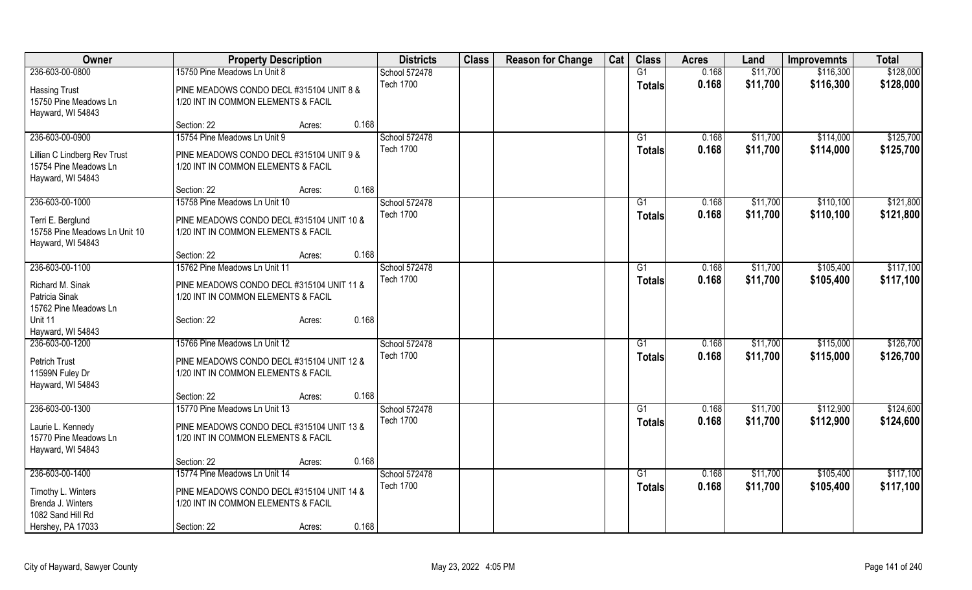| Owner                                | <b>Property Description</b>               |                 | <b>Districts</b> | <b>Class</b> | <b>Reason for Change</b> | Cat | <b>Class</b>    | <b>Acres</b> | Land     | <b>Improvemnts</b> | <b>Total</b> |
|--------------------------------------|-------------------------------------------|-----------------|------------------|--------------|--------------------------|-----|-----------------|--------------|----------|--------------------|--------------|
| 236-603-00-0800                      | 15750 Pine Meadows Ln Unit 8              |                 | School 572478    |              |                          |     | $\overline{G1}$ | 0.168        | \$11,700 | \$116,300          | \$128,000    |
| <b>Hassing Trust</b>                 | PINE MEADOWS CONDO DECL #315104 UNIT 8 &  |                 | <b>Tech 1700</b> |              |                          |     | <b>Totals</b>   | 0.168        | \$11,700 | \$116,300          | \$128,000    |
| 15750 Pine Meadows Ln                | 1/20 INT IN COMMON ELEMENTS & FACIL       |                 |                  |              |                          |     |                 |              |          |                    |              |
| Hayward, WI 54843                    |                                           |                 |                  |              |                          |     |                 |              |          |                    |              |
|                                      | Section: 22                               | 0.168<br>Acres: |                  |              |                          |     |                 |              |          |                    |              |
| 236-603-00-0900                      | 15754 Pine Meadows Ln Unit 9              |                 | School 572478    |              |                          |     | G1              | 0.168        | \$11,700 | \$114,000          | \$125,700    |
|                                      |                                           |                 | <b>Tech 1700</b> |              |                          |     | <b>Totals</b>   | 0.168        | \$11,700 | \$114,000          | \$125,700    |
| Lillian C Lindberg Rev Trust         | PINE MEADOWS CONDO DECL #315104 UNIT 9 &  |                 |                  |              |                          |     |                 |              |          |                    |              |
| 15754 Pine Meadows Ln                | 1/20 INT IN COMMON ELEMENTS & FACIL       |                 |                  |              |                          |     |                 |              |          |                    |              |
| Hayward, WI 54843                    |                                           | 0.168           |                  |              |                          |     |                 |              |          |                    |              |
|                                      | Section: 22                               | Acres:          |                  |              |                          |     |                 |              |          |                    |              |
| 236-603-00-1000                      | 15758 Pine Meadows Ln Unit 10             |                 | School 572478    |              |                          |     | G1              | 0.168        | \$11,700 | \$110,100          | \$121,800    |
| Terri E. Berglund                    | PINE MEADOWS CONDO DECL #315104 UNIT 10 & |                 | <b>Tech 1700</b> |              |                          |     | <b>Totals</b>   | 0.168        | \$11,700 | \$110,100          | \$121,800    |
| 15758 Pine Meadows Ln Unit 10        | 1/20 INT IN COMMON ELEMENTS & FACIL       |                 |                  |              |                          |     |                 |              |          |                    |              |
| Hayward, WI 54843                    |                                           |                 |                  |              |                          |     |                 |              |          |                    |              |
|                                      | Section: 22                               | 0.168<br>Acres: |                  |              |                          |     |                 |              |          |                    |              |
| 236-603-00-1100                      | 15762 Pine Meadows Ln Unit 11             |                 | School 572478    |              |                          |     | $\overline{G1}$ | 0.168        | \$11,700 | \$105,400          | \$117,100    |
|                                      |                                           |                 | <b>Tech 1700</b> |              |                          |     | Totals          | 0.168        | \$11,700 | \$105,400          | \$117,100    |
| Richard M. Sinak                     | PINE MEADOWS CONDO DECL #315104 UNIT 11 & |                 |                  |              |                          |     |                 |              |          |                    |              |
| Patricia Sinak                       | 1/20 INT IN COMMON ELEMENTS & FACIL       |                 |                  |              |                          |     |                 |              |          |                    |              |
| 15762 Pine Meadows Ln                |                                           |                 |                  |              |                          |     |                 |              |          |                    |              |
| Unit 11                              | Section: 22                               | 0.168<br>Acres: |                  |              |                          |     |                 |              |          |                    |              |
| Hayward, WI 54843<br>236-603-00-1200 | 15766 Pine Meadows Ln Unit 12             |                 | School 572478    |              |                          |     |                 |              |          |                    |              |
|                                      |                                           |                 | <b>Tech 1700</b> |              |                          |     | G1              | 0.168        | \$11,700 | \$115,000          | \$126,700    |
| <b>Petrich Trust</b>                 | PINE MEADOWS CONDO DECL #315104 UNIT 12 & |                 |                  |              |                          |     | <b>Totals</b>   | 0.168        | \$11,700 | \$115,000          | \$126,700    |
| 11599N Fuley Dr                      | 1/20 INT IN COMMON ELEMENTS & FACIL       |                 |                  |              |                          |     |                 |              |          |                    |              |
| Hayward, WI 54843                    |                                           |                 |                  |              |                          |     |                 |              |          |                    |              |
|                                      | Section: 22                               | 0.168<br>Acres: |                  |              |                          |     |                 |              |          |                    |              |
| 236-603-00-1300                      | 15770 Pine Meadows Ln Unit 13             |                 | School 572478    |              |                          |     | G1              | 0.168        | \$11,700 | \$112,900          | \$124,600    |
| Laurie L. Kennedy                    | PINE MEADOWS CONDO DECL #315104 UNIT 13 & |                 | <b>Tech 1700</b> |              |                          |     | Totals          | 0.168        | \$11,700 | \$112,900          | \$124,600    |
| 15770 Pine Meadows Ln                | 1/20 INT IN COMMON ELEMENTS & FACIL       |                 |                  |              |                          |     |                 |              |          |                    |              |
| Hayward, WI 54843                    |                                           |                 |                  |              |                          |     |                 |              |          |                    |              |
|                                      | Section: 22                               | 0.168<br>Acres: |                  |              |                          |     |                 |              |          |                    |              |
| 236-603-00-1400                      | 15774 Pine Meadows Ln Unit 14             |                 | School 572478    |              |                          |     | G1              | 0.168        | \$11,700 | \$105,400          | \$117,100    |
|                                      |                                           |                 | <b>Tech 1700</b> |              |                          |     |                 | 0.168        | \$11,700 |                    | \$117,100    |
| Timothy L. Winters                   | PINE MEADOWS CONDO DECL #315104 UNIT 14 & |                 |                  |              |                          |     | Totals          |              |          | \$105,400          |              |
| Brenda J. Winters                    | 1/20 INT IN COMMON ELEMENTS & FACIL       |                 |                  |              |                          |     |                 |              |          |                    |              |
| 1082 Sand Hill Rd                    |                                           |                 |                  |              |                          |     |                 |              |          |                    |              |
| Hershey, PA 17033                    | Section: 22                               | 0.168<br>Acres: |                  |              |                          |     |                 |              |          |                    |              |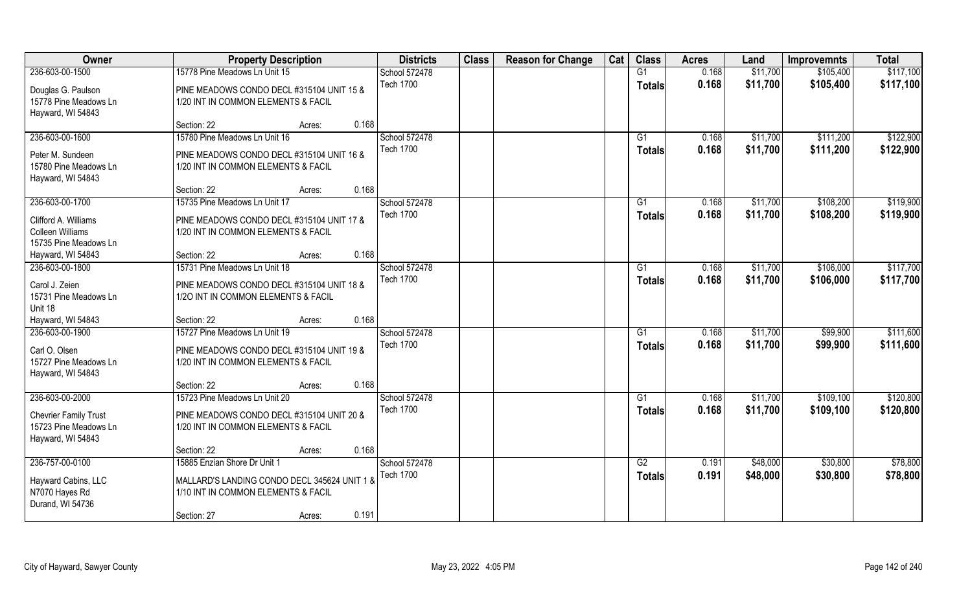| Owner                        | <b>Property Description</b>                  | <b>Districts</b> | <b>Class</b> | <b>Reason for Change</b> | Cat | <b>Class</b>  | <b>Acres</b> | Land     | <b>Improvemnts</b> | <b>Total</b> |
|------------------------------|----------------------------------------------|------------------|--------------|--------------------------|-----|---------------|--------------|----------|--------------------|--------------|
| 236-603-00-1500              | 15778 Pine Meadows Ln Unit 15                | School 572478    |              |                          |     | G1            | 0.168        | \$11,700 | \$105,400          | \$117,100    |
| Douglas G. Paulson           | PINE MEADOWS CONDO DECL #315104 UNIT 15 &    | <b>Tech 1700</b> |              |                          |     | <b>Totals</b> | 0.168        | \$11,700 | \$105,400          | \$117,100    |
| 15778 Pine Meadows Ln        | 1/20 INT IN COMMON ELEMENTS & FACIL          |                  |              |                          |     |               |              |          |                    |              |
| Hayward, WI 54843            |                                              |                  |              |                          |     |               |              |          |                    |              |
|                              | 0.168<br>Section: 22<br>Acres:               |                  |              |                          |     |               |              |          |                    |              |
| 236-603-00-1600              | 15780 Pine Meadows Ln Unit 16                | School 572478    |              |                          |     | G1            | 0.168        | \$11,700 | \$111,200          | \$122,900    |
| Peter M. Sundeen             | PINE MEADOWS CONDO DECL #315104 UNIT 16 &    | <b>Tech 1700</b> |              |                          |     | <b>Totals</b> | 0.168        | \$11,700 | \$111,200          | \$122,900    |
| 15780 Pine Meadows Ln        | 1/20 INT IN COMMON ELEMENTS & FACIL          |                  |              |                          |     |               |              |          |                    |              |
| Hayward, WI 54843            |                                              |                  |              |                          |     |               |              |          |                    |              |
|                              | 0.168<br>Section: 22<br>Acres:               |                  |              |                          |     |               |              |          |                    |              |
| 236-603-00-1700              | 15735 Pine Meadows Ln Unit 17                | School 572478    |              |                          |     | G1            | 0.168        | \$11,700 | \$108,200          | \$119,900    |
| Clifford A. Williams         | PINE MEADOWS CONDO DECL #315104 UNIT 17 &    | <b>Tech 1700</b> |              |                          |     | <b>Totals</b> | 0.168        | \$11,700 | \$108,200          | \$119,900    |
| Colleen Williams             | 1/20 INT IN COMMON ELEMENTS & FACIL          |                  |              |                          |     |               |              |          |                    |              |
| 15735 Pine Meadows Ln        |                                              |                  |              |                          |     |               |              |          |                    |              |
| Hayward, WI 54843            | 0.168<br>Section: 22<br>Acres:               |                  |              |                          |     |               |              |          |                    |              |
| 236-603-00-1800              | 15731 Pine Meadows Ln Unit 18                | School 572478    |              |                          |     | G1            | 0.168        | \$11,700 | \$106,000          | \$117,700    |
| Carol J. Zeien               | PINE MEADOWS CONDO DECL #315104 UNIT 18 &    | <b>Tech 1700</b> |              |                          |     | <b>Totals</b> | 0.168        | \$11,700 | \$106,000          | \$117,700    |
| 15731 Pine Meadows Ln        | 1/20 INT IN COMMON ELEMENTS & FACIL          |                  |              |                          |     |               |              |          |                    |              |
| Unit 18                      |                                              |                  |              |                          |     |               |              |          |                    |              |
| Hayward, WI 54843            | 0.168<br>Section: 22<br>Acres:               |                  |              |                          |     |               |              |          |                    |              |
| 236-603-00-1900              | 15727 Pine Meadows Ln Unit 19                | School 572478    |              |                          |     | G1            | 0.168        | \$11,700 | \$99,900           | \$111,600    |
| Carl O. Olsen                | PINE MEADOWS CONDO DECL #315104 UNIT 19 &    | <b>Tech 1700</b> |              |                          |     | <b>Totals</b> | 0.168        | \$11,700 | \$99,900           | \$111,600    |
| 15727 Pine Meadows Ln        | 1/20 INT IN COMMON ELEMENTS & FACIL          |                  |              |                          |     |               |              |          |                    |              |
| Hayward, WI 54843            |                                              |                  |              |                          |     |               |              |          |                    |              |
|                              | 0.168<br>Section: 22<br>Acres:               |                  |              |                          |     |               |              |          |                    |              |
| 236-603-00-2000              | 15723 Pine Meadows Ln Unit 20                | School 572478    |              |                          |     | G1            | 0.168        | \$11,700 | \$109,100          | \$120,800    |
| <b>Chevrier Family Trust</b> | PINE MEADOWS CONDO DECL #315104 UNIT 20 &    | <b>Tech 1700</b> |              |                          |     | <b>Totals</b> | 0.168        | \$11,700 | \$109,100          | \$120,800    |
| 15723 Pine Meadows Ln        | 1/20 INT IN COMMON ELEMENTS & FACIL          |                  |              |                          |     |               |              |          |                    |              |
| Hayward, WI 54843            |                                              |                  |              |                          |     |               |              |          |                    |              |
|                              | 0.168<br>Section: 22<br>Acres:               |                  |              |                          |     |               |              |          |                    |              |
| 236-757-00-0100              | 15885 Enzian Shore Dr Unit 1                 | School 572478    |              |                          |     | G2            | 0.191        | \$48,000 | \$30,800           | \$78,800     |
| Hayward Cabins, LLC          | MALLARD'S LANDING CONDO DECL 345624 UNIT 1 & | <b>Tech 1700</b> |              |                          |     | <b>Totals</b> | 0.191        | \$48,000 | \$30,800           | \$78,800     |
| N7070 Hayes Rd               | 1/10 INT IN COMMON ELEMENTS & FACIL          |                  |              |                          |     |               |              |          |                    |              |
| Durand, WI 54736             |                                              |                  |              |                          |     |               |              |          |                    |              |
|                              | 0.191<br>Section: 27<br>Acres:               |                  |              |                          |     |               |              |          |                    |              |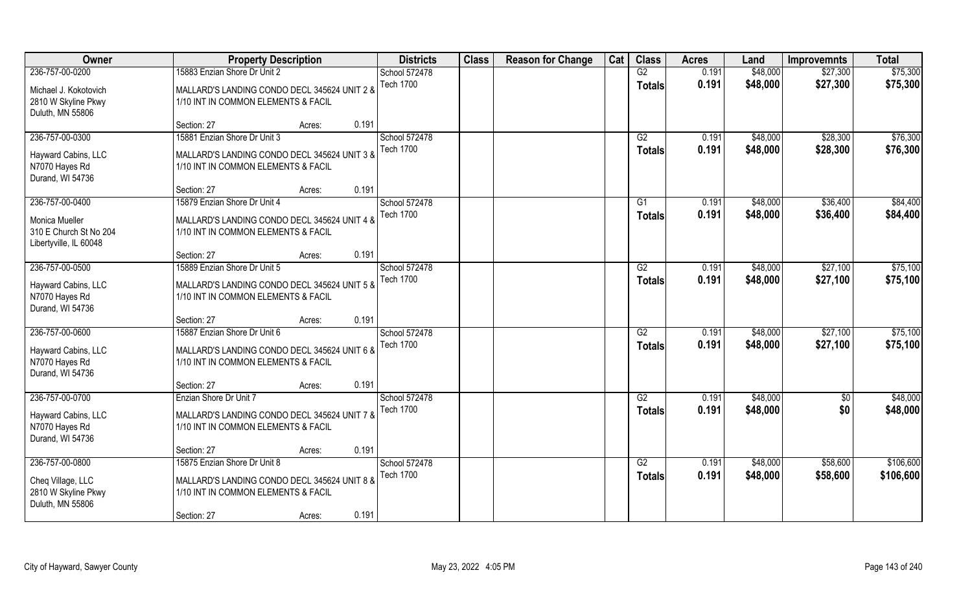| Owner                                                                                        |                                                                                                                     | <b>Property Description</b> |       | <b>Districts</b>                  | <b>Class</b> | <b>Reason for Change</b> | Cat | <b>Class</b>        | <b>Acres</b>   | Land                 | <b>Improvemnts</b>   | <b>Total</b>         |
|----------------------------------------------------------------------------------------------|---------------------------------------------------------------------------------------------------------------------|-----------------------------|-------|-----------------------------------|--------------|--------------------------|-----|---------------------|----------------|----------------------|----------------------|----------------------|
| 236-757-00-0200                                                                              | 15883 Enzian Shore Dr Unit 2                                                                                        |                             |       | School 572478                     |              |                          |     | G2                  | 0.191          | \$48,000             | \$27,300             | \$75,300             |
| Michael J. Kokotovich<br>2810 W Skyline Pkwy<br>Duluth, MN 55806                             | MALLARD'S LANDING CONDO DECL 345624 UNIT 2 &<br>1/10 INT IN COMMON ELEMENTS & FACIL                                 |                             |       | <b>Tech 1700</b>                  |              |                          |     | <b>Totals</b>       | 0.191          | \$48,000             | \$27,300             | \$75,300             |
|                                                                                              | Section: 27                                                                                                         | Acres:                      | 0.191 |                                   |              |                          |     |                     |                |                      |                      |                      |
| 236-757-00-0300                                                                              | 15881 Enzian Shore Dr Unit 3                                                                                        |                             |       | School 572478                     |              |                          |     | G2                  | 0.191          | \$48,000             | \$28,300             | \$76,300             |
| Hayward Cabins, LLC<br>N7070 Hayes Rd<br>Durand, WI 54736                                    | MALLARD'S LANDING CONDO DECL 345624 UNIT 3 &<br>1/10 INT IN COMMON ELEMENTS & FACIL                                 |                             |       | <b>Tech 1700</b>                  |              |                          |     | <b>Totals</b>       | 0.191          | \$48,000             | \$28,300             | \$76,300             |
|                                                                                              | Section: 27                                                                                                         | Acres:                      | 0.191 |                                   |              |                          |     |                     |                |                      |                      |                      |
| 236-757-00-0400<br><b>Monica Mueller</b><br>310 E Church St No 204<br>Libertyville, IL 60048 | 15879 Enzian Shore Dr Unit 4<br>MALLARD'S LANDING CONDO DECL 345624 UNIT 4 &<br>1/10 INT IN COMMON ELEMENTS & FACIL |                             |       | School 572478<br><b>Tech 1700</b> |              |                          |     | G1<br><b>Totals</b> | 0.191<br>0.191 | \$48,000<br>\$48,000 | \$36,400<br>\$36,400 | \$84,400<br>\$84,400 |
|                                                                                              | Section: 27                                                                                                         | Acres:                      | 0.191 |                                   |              |                          |     |                     |                |                      |                      |                      |
| 236-757-00-0500                                                                              | 15889 Enzian Shore Dr Unit 5                                                                                        |                             |       | School 572478                     |              |                          |     | G2                  | 0.191          | \$48,000             | \$27,100             | \$75,100             |
| Hayward Cabins, LLC<br>N7070 Hayes Rd<br>Durand, WI 54736                                    | MALLARD'S LANDING CONDO DECL 345624 UNIT 5 &<br>1/10 INT IN COMMON ELEMENTS & FACIL                                 |                             |       | <b>Tech 1700</b>                  |              |                          |     | <b>Totals</b>       | 0.191          | \$48,000             | \$27,100             | \$75,100             |
|                                                                                              | Section: 27                                                                                                         | Acres:                      | 0.191 |                                   |              |                          |     |                     |                |                      |                      |                      |
| 236-757-00-0600                                                                              | 15887 Enzian Shore Dr Unit 6                                                                                        |                             |       | School 572478                     |              |                          |     | $\overline{G2}$     | 0.191          | \$48,000             | \$27,100             | \$75,100             |
| Hayward Cabins, LLC<br>N7070 Hayes Rd<br>Durand, WI 54736                                    | MALLARD'S LANDING CONDO DECL 345624 UNIT 6 &<br>1/10 INT IN COMMON ELEMENTS & FACIL                                 |                             |       | <b>Tech 1700</b>                  |              |                          |     | <b>Totals</b>       | 0.191          | \$48,000             | \$27,100             | \$75,100             |
|                                                                                              | Section: 27                                                                                                         | Acres:                      | 0.191 |                                   |              |                          |     |                     |                |                      |                      |                      |
| 236-757-00-0700                                                                              | Enzian Shore Dr Unit 7                                                                                              |                             |       | School 572478                     |              |                          |     | G2                  | 0.191          | \$48,000             | $\overline{50}$      | \$48,000             |
| Hayward Cabins, LLC<br>N7070 Hayes Rd<br>Durand, WI 54736                                    | MALLARD'S LANDING CONDO DECL 345624 UNIT 7 &<br>1/10 INT IN COMMON ELEMENTS & FACIL                                 |                             |       | <b>Tech 1700</b>                  |              |                          |     | <b>Totals</b>       | 0.191          | \$48,000             | \$0                  | \$48,000             |
|                                                                                              | Section: 27                                                                                                         | Acres:                      | 0.191 |                                   |              |                          |     |                     |                |                      |                      |                      |
| 236-757-00-0800                                                                              | 15875 Enzian Shore Dr Unit 8                                                                                        |                             |       | School 572478                     |              |                          |     | G2                  | 0.191          | \$48,000             | \$58,600             | \$106,600            |
| Cheq Village, LLC<br>2810 W Skyline Pkwy<br>Duluth, MN 55806                                 | MALLARD'S LANDING CONDO DECL 345624 UNIT 8 &<br>1/10 INT IN COMMON ELEMENTS & FACIL                                 |                             |       | <b>Tech 1700</b>                  |              |                          |     | <b>Totals</b>       | 0.191          | \$48,000             | \$58,600             | \$106,600            |
|                                                                                              | Section: 27                                                                                                         | Acres:                      | 0.191 |                                   |              |                          |     |                     |                |                      |                      |                      |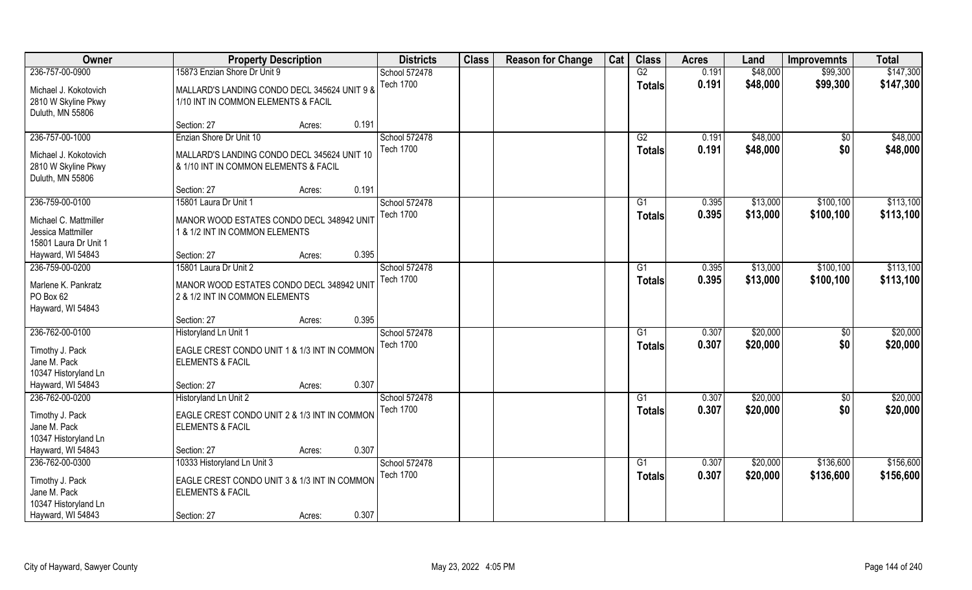| Owner                 | <b>Property Description</b>                  | <b>Districts</b> | <b>Class</b> | <b>Reason for Change</b> | Cat | <b>Class</b>    | <b>Acres</b> | Land     | <b>Improvemnts</b> | <b>Total</b> |
|-----------------------|----------------------------------------------|------------------|--------------|--------------------------|-----|-----------------|--------------|----------|--------------------|--------------|
| 236-757-00-0900       | 15873 Enzian Shore Dr Unit 9                 | School 572478    |              |                          |     | G2              | 0.191        | \$48,000 | \$99,300           | \$147,300    |
| Michael J. Kokotovich | MALLARD'S LANDING CONDO DECL 345624 UNIT 9 & | <b>Tech 1700</b> |              |                          |     | <b>Totals</b>   | 0.191        | \$48,000 | \$99,300           | \$147,300    |
| 2810 W Skyline Pkwy   | 1/10 INT IN COMMON ELEMENTS & FACIL          |                  |              |                          |     |                 |              |          |                    |              |
| Duluth, MN 55806      |                                              |                  |              |                          |     |                 |              |          |                    |              |
|                       | 0.191<br>Section: 27<br>Acres:               |                  |              |                          |     |                 |              |          |                    |              |
| 236-757-00-1000       | Enzian Shore Dr Unit 10                      | School 572478    |              |                          |     | G2              | 0.191        | \$48,000 | $\overline{50}$    | \$48,000     |
| Michael J. Kokotovich | MALLARD'S LANDING CONDO DECL 345624 UNIT 10  | <b>Tech 1700</b> |              |                          |     | <b>Totals</b>   | 0.191        | \$48,000 | \$0                | \$48,000     |
| 2810 W Skyline Pkwy   | & 1/10 INT IN COMMON ELEMENTS & FACIL        |                  |              |                          |     |                 |              |          |                    |              |
| Duluth, MN 55806      |                                              |                  |              |                          |     |                 |              |          |                    |              |
|                       | 0.191<br>Section: 27<br>Acres:               |                  |              |                          |     |                 |              |          |                    |              |
| 236-759-00-0100       | 15801 Laura Dr Unit 1                        | School 572478    |              |                          |     | G1              | 0.395        | \$13,000 | \$100, 100         | \$113,100    |
| Michael C. Mattmiller | MANOR WOOD ESTATES CONDO DECL 348942 UNIT    | <b>Tech 1700</b> |              |                          |     | <b>Totals</b>   | 0.395        | \$13,000 | \$100,100          | \$113,100    |
| Jessica Mattmiller    | 1 & 1/2 INT IN COMMON ELEMENTS               |                  |              |                          |     |                 |              |          |                    |              |
| 15801 Laura Dr Unit 1 |                                              |                  |              |                          |     |                 |              |          |                    |              |
| Hayward, WI 54843     | 0.395<br>Section: 27<br>Acres:               |                  |              |                          |     |                 |              |          |                    |              |
| 236-759-00-0200       | 15801 Laura Dr Unit 2                        | School 572478    |              |                          |     | G1              | 0.395        | \$13,000 | \$100, 100         | \$113,100    |
| Marlene K. Pankratz   | MANOR WOOD ESTATES CONDO DECL 348942 UNIT    | <b>Tech 1700</b> |              |                          |     | <b>Totals</b>   | 0.395        | \$13,000 | \$100,100          | \$113,100    |
| PO Box 62             | 2 & 1/2 INT IN COMMON ELEMENTS               |                  |              |                          |     |                 |              |          |                    |              |
| Hayward, WI 54843     |                                              |                  |              |                          |     |                 |              |          |                    |              |
|                       | 0.395<br>Section: 27<br>Acres:               |                  |              |                          |     |                 |              |          |                    |              |
| 236-762-00-0100       | Historyland Ln Unit 1                        | School 572478    |              |                          |     | G1              | 0.307        | \$20,000 | \$0                | \$20,000     |
| Timothy J. Pack       | EAGLE CREST CONDO UNIT 1 & 1/3 INT IN COMMON | <b>Tech 1700</b> |              |                          |     | <b>Totals</b>   | 0.307        | \$20,000 | \$0                | \$20,000     |
| Jane M. Pack          | <b>ELEMENTS &amp; FACIL</b>                  |                  |              |                          |     |                 |              |          |                    |              |
| 10347 Historyland Ln  |                                              |                  |              |                          |     |                 |              |          |                    |              |
| Hayward, WI 54843     | 0.307<br>Section: 27<br>Acres:               |                  |              |                          |     |                 |              |          |                    |              |
| 236-762-00-0200       | Historyland Ln Unit 2                        | School 572478    |              |                          |     | G1              | 0.307        | \$20,000 | \$0                | \$20,000     |
| Timothy J. Pack       | EAGLE CREST CONDO UNIT 2 & 1/3 INT IN COMMON | <b>Tech 1700</b> |              |                          |     | <b>Totals</b>   | 0.307        | \$20,000 | \$0                | \$20,000     |
| Jane M. Pack          | <b>ELEMENTS &amp; FACIL</b>                  |                  |              |                          |     |                 |              |          |                    |              |
| 10347 Historyland Ln  |                                              |                  |              |                          |     |                 |              |          |                    |              |
| Hayward, WI 54843     | 0.307<br>Section: 27<br>Acres:               |                  |              |                          |     |                 |              |          |                    |              |
| 236-762-00-0300       | 10333 Historyland Ln Unit 3                  | School 572478    |              |                          |     | $\overline{G1}$ | 0.307        | \$20,000 | \$136,600          | \$156,600    |
| Timothy J. Pack       | EAGLE CREST CONDO UNIT 3 & 1/3 INT IN COMMON | <b>Tech 1700</b> |              |                          |     | <b>Totals</b>   | 0.307        | \$20,000 | \$136,600          | \$156,600    |
| Jane M. Pack          | <b>ELEMENTS &amp; FACIL</b>                  |                  |              |                          |     |                 |              |          |                    |              |
| 10347 Historyland Ln  |                                              |                  |              |                          |     |                 |              |          |                    |              |
| Hayward, WI 54843     | 0.307<br>Section: 27<br>Acres:               |                  |              |                          |     |                 |              |          |                    |              |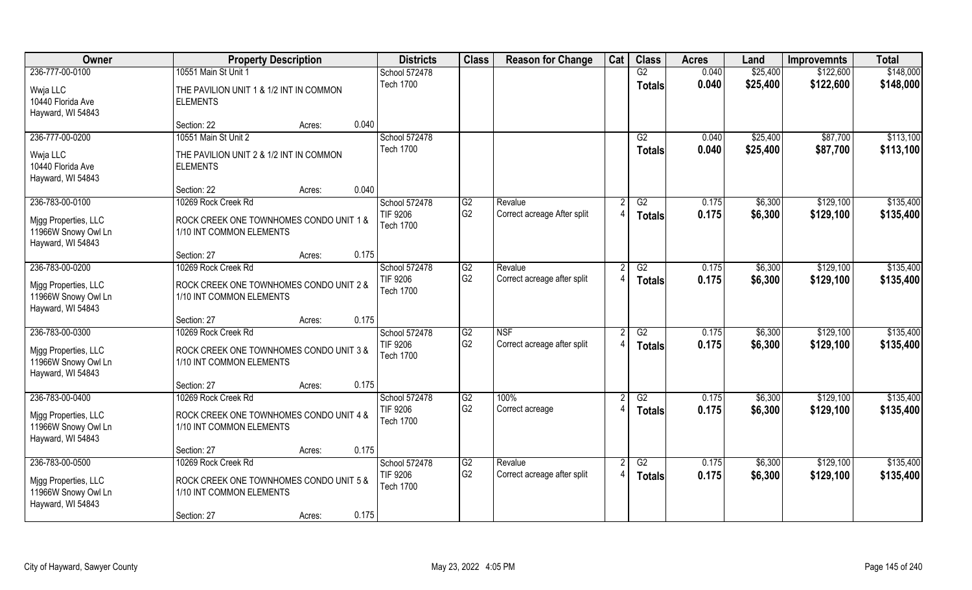| Owner                                                            | <b>Property Description</b>                                         |                 | <b>Districts</b>                    | <b>Class</b>    | <b>Reason for Change</b>    | Cat | <b>Class</b>    | <b>Acres</b>   | Land                 | <b>Improvemnts</b>   | <b>Total</b>           |
|------------------------------------------------------------------|---------------------------------------------------------------------|-----------------|-------------------------------------|-----------------|-----------------------------|-----|-----------------|----------------|----------------------|----------------------|------------------------|
| 236-777-00-0100                                                  | 10551 Main St Unit 1                                                |                 | School 572478                       |                 |                             |     | G2              | 0.040          | \$25,400             | \$122,600            | \$148,000              |
| Wwja LLC<br>10440 Florida Ave<br>Hayward, WI 54843               | THE PAVILION UNIT 1 & 1/2 INT IN COMMON<br><b>ELEMENTS</b>          |                 | <b>Tech 1700</b>                    |                 |                             |     | <b>Totals</b>   | 0.040          | \$25,400             | \$122,600            | \$148,000              |
|                                                                  | Section: 22                                                         | 0.040<br>Acres: |                                     |                 |                             |     |                 |                |                      |                      |                        |
| 236-777-00-0200                                                  | 10551 Main St Unit 2                                                |                 | School 572478<br><b>Tech 1700</b>   |                 |                             |     | G2<br>Totals    | 0.040<br>0.040 | \$25,400<br>\$25,400 | \$87,700<br>\$87,700 | \$113,100<br>\$113,100 |
| Wwja LLC<br>10440 Florida Ave<br>Hayward, WI 54843               | THE PAVILION UNIT 2 & 1/2 INT IN COMMON<br><b>ELEMENTS</b>          |                 |                                     |                 |                             |     |                 |                |                      |                      |                        |
|                                                                  | Section: 22                                                         | 0.040<br>Acres: |                                     |                 |                             |     |                 |                |                      |                      |                        |
| 236-783-00-0100                                                  | 10269 Rock Creek Rd                                                 |                 | School 572478                       | G2              | Revalue                     |     | G2              | 0.175          | \$6,300              | \$129,100            | \$135,400              |
| Migg Properties, LLC<br>11966W Snowy Owl Ln<br>Hayward, WI 54843 | ROCK CREEK ONE TOWNHOMES CONDO UNIT 1 &<br>1/10 INT COMMON ELEMENTS |                 | TIF 9206<br><b>Tech 1700</b>        | G2              | Correct acreage After split |     | <b>Totals</b>   | 0.175          | \$6,300              | \$129,100            | \$135,400              |
|                                                                  | Section: 27                                                         | 0.175<br>Acres: |                                     |                 |                             |     |                 |                |                      |                      |                        |
| 236-783-00-0200                                                  | 10269 Rock Creek Rd                                                 |                 | School 572478                       | G2              | Revalue                     |     | G2              | 0.175          | \$6,300              | \$129,100            | \$135,400              |
| Mjgg Properties, LLC<br>11966W Snowy Owl Ln<br>Hayward, WI 54843 | ROCK CREEK ONE TOWNHOMES CONDO UNIT 2 &<br>1/10 INT COMMON ELEMENTS |                 | TIF 9206<br><b>Tech 1700</b>        | G <sub>2</sub>  | Correct acreage after split |     | <b>Totals</b>   | 0.175          | \$6,300              | \$129,100            | \$135,400              |
|                                                                  | Section: 27                                                         | 0.175<br>Acres: |                                     |                 |                             |     |                 |                |                      |                      |                        |
| 236-783-00-0300                                                  | 10269 Rock Creek Rd                                                 |                 | School 572478                       | $\overline{G2}$ | <b>NSF</b>                  |     | $\overline{G2}$ | 0.175          | \$6,300              | \$129,100            | \$135,400              |
| Mjgg Properties, LLC<br>11966W Snowy Owl Ln<br>Hayward, WI 54843 | ROCK CREEK ONE TOWNHOMES CONDO UNIT 3 &<br>1/10 INT COMMON ELEMENTS |                 | <b>TIF 9206</b><br><b>Tech 1700</b> | G <sub>2</sub>  | Correct acreage after split |     | <b>Totals</b>   | 0.175          | \$6,300              | \$129,100            | \$135,400              |
|                                                                  | Section: 27                                                         | 0.175<br>Acres: |                                     |                 |                             |     |                 |                |                      |                      |                        |
| 236-783-00-0400                                                  | 10269 Rock Creek Rd                                                 |                 | School 572478                       | G2              | 100%                        |     | G2              | 0.175          | \$6,300              | \$129,100            | \$135,400              |
| Migg Properties, LLC<br>11966W Snowy Owl Ln<br>Hayward, WI 54843 | ROCK CREEK ONE TOWNHOMES CONDO UNIT 4 &<br>1/10 INT COMMON ELEMENTS |                 | <b>TIF 9206</b><br><b>Tech 1700</b> | G <sub>2</sub>  | Correct acreage             |     | <b>Totals</b>   | 0.175          | \$6,300              | \$129,100            | \$135,400              |
|                                                                  | Section: 27                                                         | 0.175<br>Acres: |                                     |                 |                             |     |                 |                |                      |                      |                        |
| 236-783-00-0500                                                  | 10269 Rock Creek Rd                                                 |                 | School 572478                       | G2              | Revalue                     |     | G2              | 0.175          | \$6,300              | \$129,100            | \$135,400              |
| Mjgg Properties, LLC<br>11966W Snowy Owl Ln<br>Hayward, WI 54843 | ROCK CREEK ONE TOWNHOMES CONDO UNIT 5 &<br>1/10 INT COMMON ELEMENTS |                 | <b>TIF 9206</b><br><b>Tech 1700</b> | G <sub>2</sub>  | Correct acreage after split |     | <b>Totals</b>   | 0.175          | \$6,300              | \$129,100            | \$135,400              |
|                                                                  | Section: 27                                                         | 0.175<br>Acres: |                                     |                 |                             |     |                 |                |                      |                      |                        |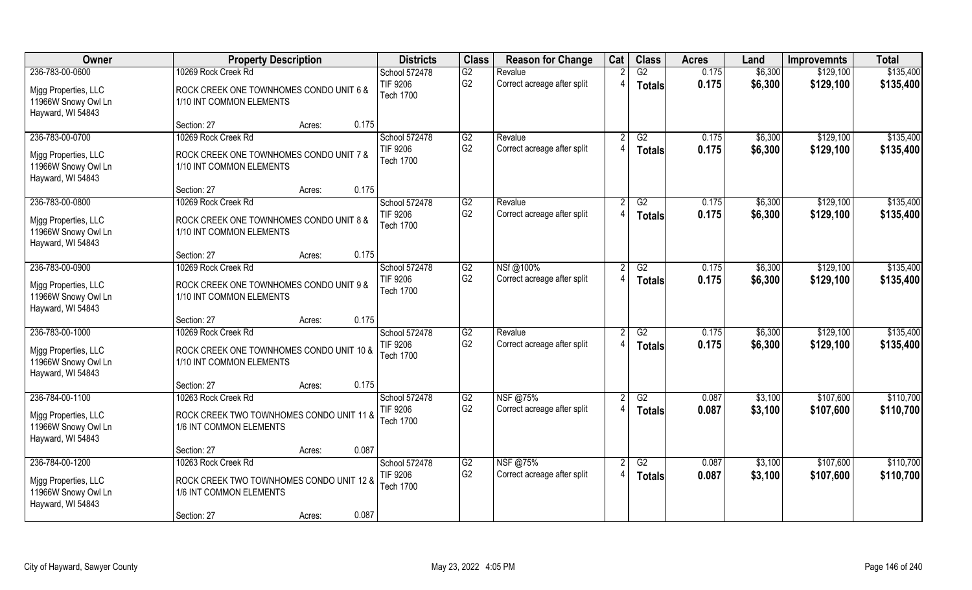| <b>Owner</b>                                                     | <b>Property Description</b>                                          | <b>Districts</b>                              | <b>Class</b>         | <b>Reason for Change</b>               | Cat | <b>Class</b>        | <b>Acres</b>   | Land               | <b>Improvemnts</b>     | <b>Total</b>           |
|------------------------------------------------------------------|----------------------------------------------------------------------|-----------------------------------------------|----------------------|----------------------------------------|-----|---------------------|----------------|--------------------|------------------------|------------------------|
| 236-783-00-0600<br>Migg Properties, LLC                          | 10269 Rock Creek Rd<br>ROCK CREEK ONE TOWNHOMES CONDO UNIT 6 &       | School 572478<br>TIF 9206<br><b>Tech 1700</b> | G2<br>G <sub>2</sub> | Revalue<br>Correct acreage after split |     | G2<br><b>Totals</b> | 0.175<br>0.175 | \$6,300<br>\$6,300 | \$129,100<br>\$129,100 | \$135,400<br>\$135,400 |
| 11966W Snowy Owl Ln<br>Hayward, WI 54843                         | 1/10 INT COMMON ELEMENTS                                             |                                               |                      |                                        |     |                     |                |                    |                        |                        |
|                                                                  | 0.175<br>Section: 27<br>Acres:                                       |                                               |                      |                                        |     |                     |                |                    |                        |                        |
| 236-783-00-0700                                                  | 10269 Rock Creek Rd                                                  | School 572478<br><b>TIF 9206</b>              | G2<br>G <sub>2</sub> | Revalue<br>Correct acreage after split |     | G2<br><b>Totals</b> | 0.175<br>0.175 | \$6,300<br>\$6,300 | \$129,100<br>\$129,100 | \$135,400<br>\$135,400 |
| Migg Properties, LLC<br>11966W Snowy Owl Ln<br>Hayward, WI 54843 | ROCK CREEK ONE TOWNHOMES CONDO UNIT 7 &<br>1/10 INT COMMON ELEMENTS  | <b>Tech 1700</b>                              |                      |                                        |     |                     |                |                    |                        |                        |
|                                                                  | 0.175<br>Section: 27<br>Acres:                                       |                                               |                      |                                        |     |                     |                |                    |                        |                        |
| 236-783-00-0800                                                  | 10269 Rock Creek Rd                                                  | School 572478                                 | G2                   | Revalue                                |     | G2                  | 0.175          | \$6,300            | \$129,100              | \$135,400              |
| Migg Properties, LLC<br>11966W Snowy Owl Ln<br>Hayward, WI 54843 | ROCK CREEK ONE TOWNHOMES CONDO UNIT 8 &<br>1/10 INT COMMON ELEMENTS  | <b>TIF 9206</b><br><b>Tech 1700</b>           | G <sub>2</sub>       | Correct acreage after split            |     | <b>Totals</b>       | 0.175          | \$6,300            | \$129,100              | \$135,400              |
|                                                                  | 0.175<br>Section: 27<br>Acres:                                       |                                               |                      |                                        |     |                     |                |                    |                        |                        |
| 236-783-00-0900                                                  | 10269 Rock Creek Rd                                                  | School 572478                                 | G2                   | NSf@100%                               |     | G2                  | 0.175          | \$6,300            | \$129,100              | \$135,400              |
| Migg Properties, LLC<br>11966W Snowy Owl Ln<br>Hayward, WI 54843 | ROCK CREEK ONE TOWNHOMES CONDO UNIT 9 &<br>1/10 INT COMMON ELEMENTS  | <b>TIF 9206</b><br><b>Tech 1700</b>           | G <sub>2</sub>       | Correct acreage after split            |     | <b>Totals</b>       | 0.175          | \$6,300            | \$129,100              | \$135,400              |
|                                                                  | 0.175<br>Section: 27<br>Acres:                                       |                                               |                      |                                        |     |                     |                |                    |                        |                        |
| 236-783-00-1000                                                  | 10269 Rock Creek Rd                                                  | School 572478                                 | $\overline{G2}$      | Revalue                                |     | $\overline{G2}$     | 0.175          | \$6,300            | \$129,100              | \$135,400              |
| Migg Properties, LLC<br>11966W Snowy Owl Ln<br>Hayward, WI 54843 | ROCK CREEK ONE TOWNHOMES CONDO UNIT 10 &<br>1/10 INT COMMON ELEMENTS | <b>TIF 9206</b><br><b>Tech 1700</b>           | G <sub>2</sub>       | Correct acreage after split            |     | <b>Totals</b>       | 0.175          | \$6,300            | \$129,100              | \$135,400              |
|                                                                  | 0.175<br>Section: 27<br>Acres:                                       |                                               |                      |                                        |     |                     |                |                    |                        |                        |
| 236-784-00-1100                                                  | 10263 Rock Creek Rd                                                  | School 572478                                 | G2                   | NSF @75%                               |     | G2                  | 0.087          | \$3,100            | \$107,600              | \$110,700              |
| Migg Properties, LLC<br>11966W Snowy Owl Ln<br>Hayward, WI 54843 | ROCK CREEK TWO TOWNHOMES CONDO UNIT 11 &<br>1/6 INT COMMON ELEMENTS  | TIF 9206<br><b>Tech 1700</b>                  | G <sub>2</sub>       | Correct acreage after split            |     | <b>Totals</b>       | 0.087          | \$3,100            | \$107,600              | \$110,700              |
|                                                                  | 0.087<br>Section: 27<br>Acres:                                       |                                               |                      |                                        |     |                     |                |                    |                        |                        |
| 236-784-00-1200                                                  | 10263 Rock Creek Rd                                                  | School 572478                                 | G2                   | NSF @75%                               |     | G2                  | 0.087          | \$3,100            | \$107,600              | \$110,700              |
| Migg Properties, LLC<br>11966W Snowy Owl Ln<br>Hayward, WI 54843 | ROCK CREEK TWO TOWNHOMES CONDO UNIT 12 &<br>1/6 INT COMMON ELEMENTS  | TIF 9206<br><b>Tech 1700</b>                  | G <sub>2</sub>       | Correct acreage after split            |     | <b>Totals</b>       | 0.087          | \$3,100            | \$107,600              | \$110,700              |
|                                                                  | 0.087<br>Section: 27<br>Acres:                                       |                                               |                      |                                        |     |                     |                |                    |                        |                        |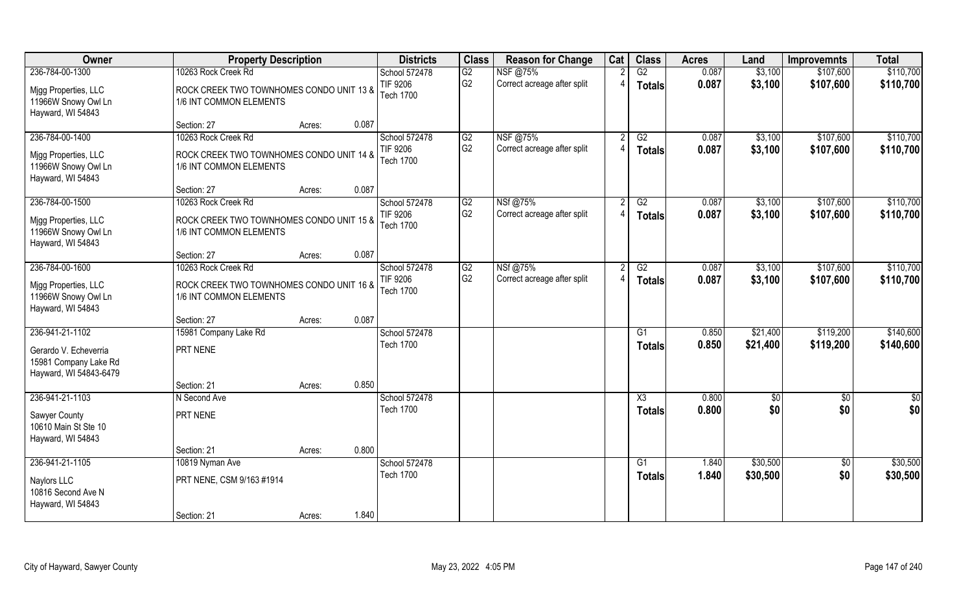| Owner                                                                                       | <b>Property Description</b>                                                                |        |       | <b>Districts</b>                                     | <b>Class</b>         | <b>Reason for Change</b>                | Cat | <b>Class</b>                            | <b>Acres</b>   | Land                 | <b>Improvemnts</b>     | <b>Total</b>           |
|---------------------------------------------------------------------------------------------|--------------------------------------------------------------------------------------------|--------|-------|------------------------------------------------------|----------------------|-----------------------------------------|-----|-----------------------------------------|----------------|----------------------|------------------------|------------------------|
| 236-784-00-1300<br>Mjgg Properties, LLC<br>11966W Snowy Owl Ln                              | 10263 Rock Creek Rd<br>ROCK CREEK TWO TOWNHOMES CONDO UNIT 13 &<br>1/6 INT COMMON ELEMENTS |        |       | School 572478<br>TIF 9206<br>Tech 1700               | G2<br>G <sub>2</sub> | NSF @75%<br>Correct acreage after split |     | G2<br><b>Totals</b>                     | 0.087<br>0.087 | \$3,100<br>\$3,100   | \$107,600<br>\$107,600 | \$110,700<br>\$110,700 |
| Hayward, WI 54843                                                                           | Section: 27                                                                                | Acres: | 0.087 |                                                      |                      |                                         |     |                                         |                |                      |                        |                        |
| 236-784-00-1400<br>Migg Properties, LLC<br>11966W Snowy Owl Ln                              | 10263 Rock Creek Rd<br>ROCK CREEK TWO TOWNHOMES CONDO UNIT 14 &<br>1/6 INT COMMON ELEMENTS |        |       | School 572478<br><b>TIF 9206</b><br><b>Tech 1700</b> | G2<br>G <sub>2</sub> | NSF @75%<br>Correct acreage after split |     | G2<br><b>Totals</b>                     | 0.087<br>0.087 | \$3,100<br>\$3,100   | \$107,600<br>\$107,600 | \$110,700<br>\$110,700 |
| Hayward, WI 54843                                                                           | Section: 27                                                                                | Acres: | 0.087 |                                                      |                      |                                         |     |                                         |                |                      |                        |                        |
| 236-784-00-1500<br>Migg Properties, LLC<br>11966W Snowy Owl Ln<br>Hayward, WI 54843         | 10263 Rock Creek Rd<br>ROCK CREEK TWO TOWNHOMES CONDO UNIT 15 &<br>1/6 INT COMMON ELEMENTS |        |       | School 572478<br>TIF 9206<br><b>Tech 1700</b>        | G2<br>G <sub>2</sub> | NSf@75%<br>Correct acreage after split  |     | G2<br><b>Totals</b>                     | 0.087<br>0.087 | \$3,100<br>\$3,100   | \$107,600<br>\$107,600 | \$110,700<br>\$110,700 |
|                                                                                             | Section: 27                                                                                | Acres: | 0.087 |                                                      |                      |                                         |     |                                         |                |                      |                        |                        |
| 236-784-00-1600<br>Mjgg Properties, LLC<br>11966W Snowy Owl Ln<br>Hayward, WI 54843         | 10263 Rock Creek Rd<br>ROCK CREEK TWO TOWNHOMES CONDO UNIT 16 &<br>1/6 INT COMMON ELEMENTS |        |       | School 572478<br><b>TIF 9206</b><br><b>Tech 1700</b> | G2<br>G <sub>2</sub> | NSf@75%<br>Correct acreage after split  |     | G2<br>Totals                            | 0.087<br>0.087 | \$3,100<br>\$3,100   | \$107,600<br>\$107,600 | \$110,700<br>\$110,700 |
|                                                                                             | Section: 27                                                                                | Acres: | 0.087 |                                                      |                      |                                         |     |                                         |                |                      |                        |                        |
| 236-941-21-1102<br>Gerardo V. Echeverria<br>15981 Company Lake Rd<br>Hayward, WI 54843-6479 | 15981 Company Lake Rd<br>PRT NENE                                                          |        |       | School 572478<br><b>Tech 1700</b>                    |                      |                                         |     | $\overline{G1}$<br><b>Totals</b>        | 0.850<br>0.850 | \$21,400<br>\$21,400 | \$119,200<br>\$119,200 | \$140,600<br>\$140,600 |
|                                                                                             | Section: 21                                                                                | Acres: | 0.850 |                                                      |                      |                                         |     |                                         |                |                      |                        |                        |
| 236-941-21-1103<br>Sawyer County<br>10610 Main St Ste 10<br>Hayward, WI 54843               | N Second Ave<br>PRT NENE                                                                   |        |       | School 572478<br><b>Tech 1700</b>                    |                      |                                         |     | $\overline{\text{X3}}$<br><b>Totals</b> | 0.800<br>0.800 | \$0<br>\$0           | $\frac{6}{5}$<br>\$0   | $\frac{1}{2}$<br>\$0   |
|                                                                                             | Section: 21                                                                                | Acres: | 0.800 |                                                      |                      |                                         |     |                                         |                |                      |                        |                        |
| 236-941-21-1105<br>Naylors LLC<br>10816 Second Ave N<br>Hayward, WI 54843                   | 10819 Nyman Ave<br>PRT NENE, CSM 9/163 #1914<br>Section: 21                                | Acres: | 1.840 | School 572478<br><b>Tech 1700</b>                    |                      |                                         |     | $\overline{G1}$<br>Totals               | 1.840<br>1.840 | \$30,500<br>\$30,500 | \$0<br>\$0             | \$30,500<br>\$30,500   |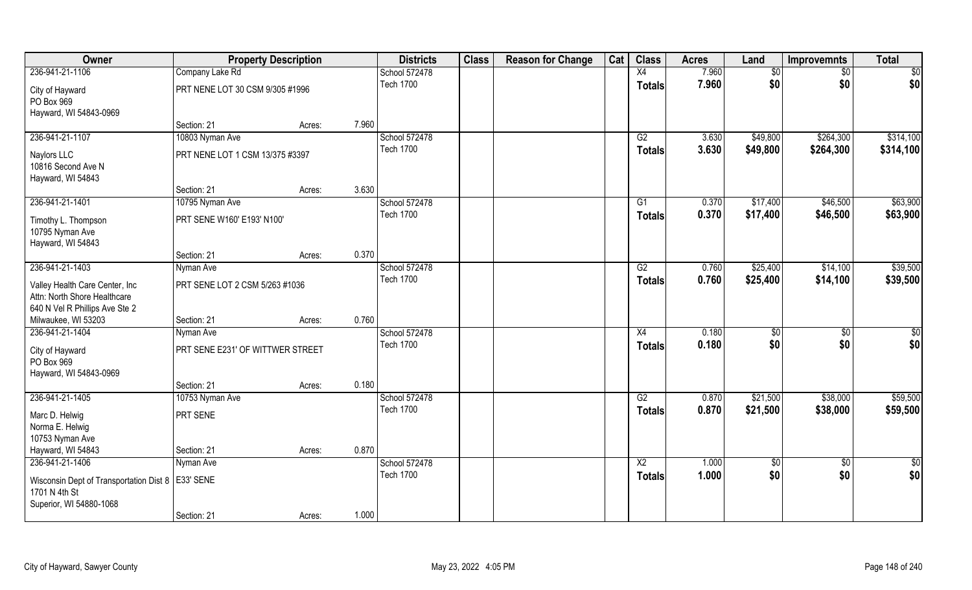| Owner                                                                                             | <b>Property Description</b>      |        |       | <b>Districts</b>                  | <b>Class</b> | <b>Reason for Change</b> | Cat | <b>Class</b>    | <b>Acres</b>   | Land                 | <b>Improvemnts</b>     | <b>Total</b>           |
|---------------------------------------------------------------------------------------------------|----------------------------------|--------|-------|-----------------------------------|--------------|--------------------------|-----|-----------------|----------------|----------------------|------------------------|------------------------|
| 236-941-21-1106                                                                                   | Company Lake Rd                  |        |       | School 572478                     |              |                          |     | X4              | 7.960          | $\overline{50}$      | \$0                    | $\overline{50}$        |
| City of Hayward<br>PO Box 969<br>Hayward, WI 54843-0969                                           | PRT NENE LOT 30 CSM 9/305 #1996  |        |       | <b>Tech 1700</b>                  |              |                          |     | <b>Totals</b>   | 7.960          | \$0                  | \$0                    | \$0                    |
|                                                                                                   | Section: 21                      | Acres: | 7.960 |                                   |              |                          |     |                 |                |                      |                        |                        |
| 236-941-21-1107                                                                                   | 10803 Nyman Ave                  |        |       | School 572478<br><b>Tech 1700</b> |              |                          |     | G2              | 3.630<br>3.630 | \$49,800<br>\$49,800 | \$264,300<br>\$264,300 | \$314,100<br>\$314,100 |
| Naylors LLC<br>10816 Second Ave N<br>Hayward, WI 54843                                            | PRT NENE LOT 1 CSM 13/375 #3397  |        |       |                                   |              |                          |     | <b>Totals</b>   |                |                      |                        |                        |
|                                                                                                   | Section: 21                      | Acres: | 3.630 |                                   |              |                          |     |                 |                |                      |                        |                        |
| 236-941-21-1401                                                                                   | 10795 Nyman Ave                  |        |       | School 572478                     |              |                          |     | G1              | 0.370          | \$17,400             | \$46,500               | \$63,900               |
| Timothy L. Thompson<br>10795 Nyman Ave                                                            | PRT SENE W160' E193' N100'       |        |       | <b>Tech 1700</b>                  |              |                          |     | <b>Totals</b>   | 0.370          | \$17,400             | \$46,500               | \$63,900               |
| Hayward, WI 54843                                                                                 | Section: 21                      | Acres: | 0.370 |                                   |              |                          |     |                 |                |                      |                        |                        |
| 236-941-21-1403                                                                                   | Nyman Ave                        |        |       | School 572478                     |              |                          |     | G2              | 0.760          | \$25,400             | \$14,100               | \$39,500               |
| Valley Health Care Center, Inc.<br>Attn: North Shore Healthcare<br>640 N Vel R Phillips Ave Ste 2 | PRT SENE LOT 2 CSM 5/263 #1036   |        |       | <b>Tech 1700</b>                  |              |                          |     | <b>Totals</b>   | 0.760          | \$25,400             | \$14,100               | \$39,500               |
| Milwaukee, WI 53203                                                                               | Section: 21                      | Acres: | 0.760 |                                   |              |                          |     |                 |                |                      |                        |                        |
| 236-941-21-1404                                                                                   | Nyman Ave                        |        |       | School 572478                     |              |                          |     | X4              | 0.180          | $\overline{50}$      | \$0                    | $\overline{50}$        |
| City of Hayward<br>PO Box 969<br>Hayward, WI 54843-0969                                           | PRT SENE E231' OF WITTWER STREET |        |       | <b>Tech 1700</b>                  |              |                          |     | <b>Totals</b>   | 0.180          | \$0                  | \$0                    | \$0                    |
|                                                                                                   | Section: 21                      | Acres: | 0.180 |                                   |              |                          |     |                 |                |                      |                        |                        |
| 236-941-21-1405                                                                                   | 10753 Nyman Ave                  |        |       | School 572478                     |              |                          |     | G2              | 0.870          | \$21,500             | \$38,000               | \$59,500               |
| Marc D. Helwig<br>Norma E. Helwig<br>10753 Nyman Ave                                              | PRT SENE                         |        |       | <b>Tech 1700</b>                  |              |                          |     | <b>Totals</b>   | 0.870          | \$21,500             | \$38,000               | \$59,500               |
| Hayward, WI 54843                                                                                 | Section: 21                      | Acres: | 0.870 |                                   |              |                          |     |                 |                |                      |                        |                        |
| 236-941-21-1406                                                                                   | Nyman Ave                        |        |       | School 572478                     |              |                          |     | $\overline{X2}$ | 1.000          | $\overline{50}$      | $\sqrt{6}$             | $\frac{6}{3}$          |
| Wisconsin Dept of Transportation Dist 8   E33' SENE<br>1701 N 4th St<br>Superior, WI 54880-1068   |                                  |        |       | <b>Tech 1700</b>                  |              |                          |     | <b>Totals</b>   | 1.000          | \$0                  | \$0                    | \$0                    |
|                                                                                                   | Section: 21                      | Acres: | 1.000 |                                   |              |                          |     |                 |                |                      |                        |                        |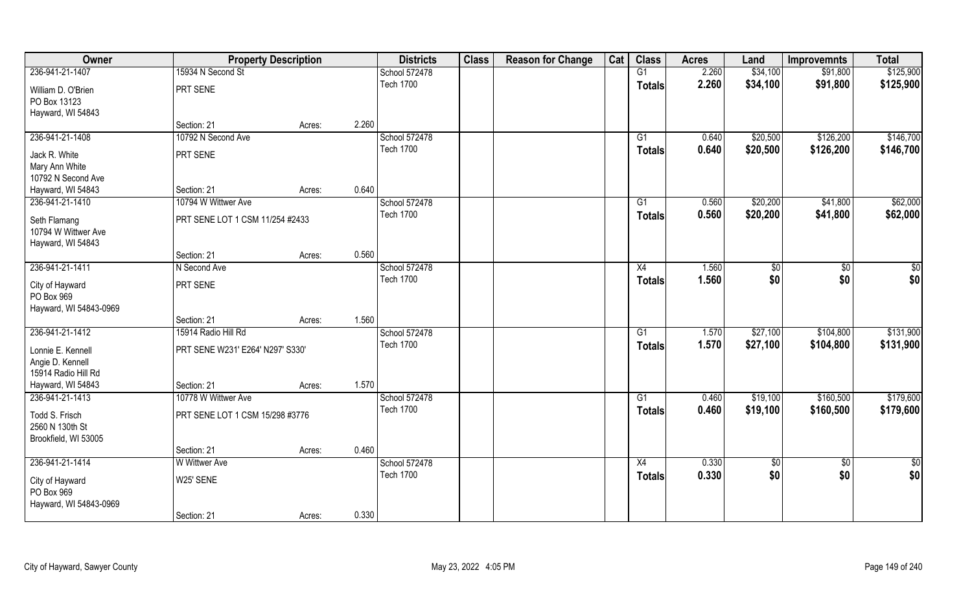| Owner                                                        |                                  | <b>Property Description</b> | <b>Districts</b>                  | <b>Class</b> | <b>Reason for Change</b> | Cat | <b>Class</b>  | <b>Acres</b>   | Land       | <b>Improvemnts</b> | <b>Total</b>  |
|--------------------------------------------------------------|----------------------------------|-----------------------------|-----------------------------------|--------------|--------------------------|-----|---------------|----------------|------------|--------------------|---------------|
| 236-941-21-1407                                              | 15934 N Second St                |                             | School 572478                     |              |                          |     | G1            | 2.260          | \$34,100   | \$91,800           | \$125,900     |
| William D. O'Brien<br>PO Box 13123                           | PRT SENE                         |                             | <b>Tech 1700</b>                  |              |                          |     | <b>Totals</b> | 2.260          | \$34,100   | \$91,800           | \$125,900     |
| Hayward, WI 54843                                            |                                  |                             |                                   |              |                          |     |               |                |            |                    |               |
|                                                              | Section: 21                      | Acres:                      | 2.260                             |              |                          |     |               |                |            |                    |               |
| 236-941-21-1408                                              | 10792 N Second Ave               |                             | School 572478<br><b>Tech 1700</b> |              |                          |     | G1            | 0.640          | \$20,500   | \$126,200          | \$146,700     |
| Jack R. White                                                | PRT SENE                         |                             |                                   |              |                          |     | Totals        | 0.640          | \$20,500   | \$126,200          | \$146,700     |
| Mary Ann White                                               |                                  |                             |                                   |              |                          |     |               |                |            |                    |               |
| 10792 N Second Ave                                           |                                  |                             |                                   |              |                          |     |               |                |            |                    |               |
| Hayward, WI 54843                                            | Section: 21                      | Acres:                      | 0.640                             |              |                          |     |               |                |            |                    |               |
| 236-941-21-1410                                              | 10794 W Wittwer Ave              |                             | School 572478                     |              |                          |     | G1            | 0.560          | \$20,200   | \$41,800           | \$62,000      |
| Seth Flamang<br>10794 W Wittwer Ave                          | PRT SENE LOT 1 CSM 11/254 #2433  |                             | <b>Tech 1700</b>                  |              |                          |     | <b>Totals</b> | 0.560          | \$20,200   | \$41,800           | \$62,000      |
| Hayward, WI 54843                                            |                                  |                             |                                   |              |                          |     |               |                |            |                    |               |
| 236-941-21-1411                                              | Section: 21                      | Acres:                      | 0.560                             |              |                          |     |               |                |            |                    |               |
|                                                              | N Second Ave                     |                             | School 572478<br><b>Tech 1700</b> |              |                          |     | X4            | 1.560<br>1.560 | \$<br>\$0  | \$0<br>\$0         | \$0           |
| City of Hayward<br>PO Box 969<br>Hayward, WI 54843-0969      | PRT SENE                         |                             |                                   |              |                          |     | <b>Totals</b> |                |            |                    | \$0           |
|                                                              | Section: 21                      | Acres:                      | 1.560                             |              |                          |     |               |                |            |                    |               |
| 236-941-21-1412                                              | 15914 Radio Hill Rd              |                             | School 572478                     |              |                          |     | G1            | 1.570          | \$27,100   | \$104,800          | \$131,900     |
| Lonnie E. Kennell<br>Angie D. Kennell<br>15914 Radio Hill Rd | PRT SENE W231' E264' N297' S330' |                             | <b>Tech 1700</b>                  |              |                          |     | <b>Totals</b> | 1.570          | \$27,100   | \$104,800          | \$131,900     |
| Hayward, WI 54843                                            | Section: 21                      | Acres:                      | 1.570                             |              |                          |     |               |                |            |                    |               |
| 236-941-21-1413                                              | 10778 W Wittwer Ave              |                             | School 572478                     |              |                          |     | G1            | 0.460          | \$19,100   | \$160,500          | \$179,600     |
| Todd S. Frisch<br>2560 N 130th St<br>Brookfield, WI 53005    | PRT SENE LOT 1 CSM 15/298 #3776  |                             | <b>Tech 1700</b>                  |              |                          |     | <b>Totals</b> | 0.460          | \$19,100   | \$160,500          | \$179,600     |
|                                                              | Section: 21                      | Acres:                      | 0.460                             |              |                          |     |               |                |            |                    |               |
| 236-941-21-1414                                              | <b>W</b> Wittwer Ave             |                             | School 572478                     |              |                          |     | X4            | 0.330          | $\sqrt{6}$ | $\overline{50}$    | $\frac{1}{2}$ |
| City of Hayward<br>PO Box 969<br>Hayward, WI 54843-0969      | W25' SENE                        |                             | <b>Tech 1700</b>                  |              |                          |     | <b>Totals</b> | 0.330          | \$0        | \$0                | \$0           |
|                                                              | Section: 21                      | Acres:                      | 0.330                             |              |                          |     |               |                |            |                    |               |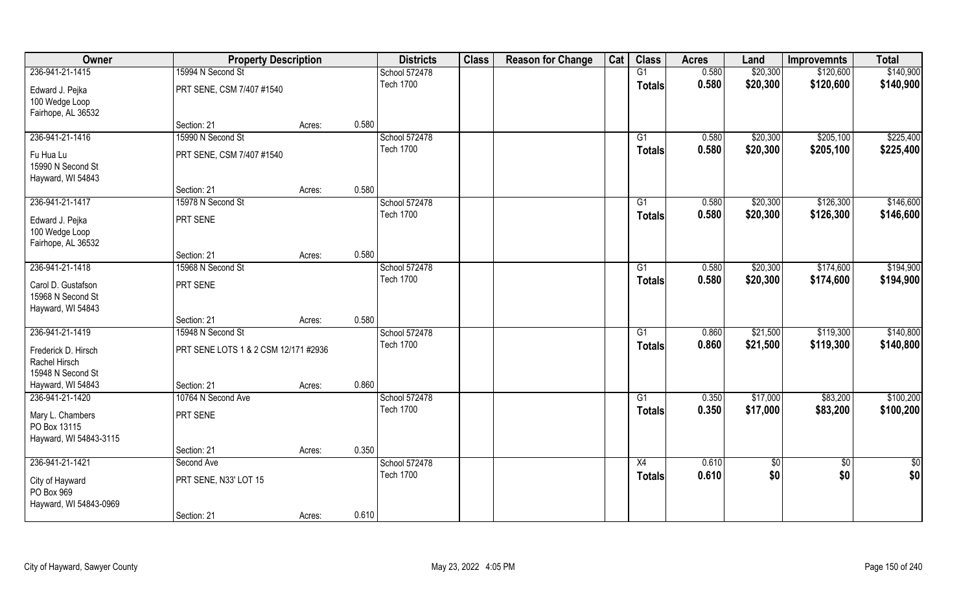| Owner                                                        | <b>Property Description</b>          |        |       | <b>Districts</b> | <b>Class</b> | <b>Reason for Change</b> | Cat | <b>Class</b>    | <b>Acres</b> | Land       | <b>Improvemnts</b> | <b>Total</b>  |
|--------------------------------------------------------------|--------------------------------------|--------|-------|------------------|--------------|--------------------------|-----|-----------------|--------------|------------|--------------------|---------------|
| 236-941-21-1415                                              | 15994 N Second St                    |        |       | School 572478    |              |                          |     | G1              | 0.580        | \$20,300   | \$120,600          | \$140,900     |
| Edward J. Pejka<br>100 Wedge Loop<br>Fairhope, AL 36532      | PRT SENE, CSM 7/407 #1540            |        |       | <b>Tech 1700</b> |              |                          |     | <b>Totals</b>   | 0.580        | \$20,300   | \$120,600          | \$140,900     |
|                                                              | Section: 21                          | Acres: | 0.580 |                  |              |                          |     |                 |              |            |                    |               |
| 236-941-21-1416                                              | 15990 N Second St                    |        |       | School 572478    |              |                          |     | G1              | 0.580        | \$20,300   | \$205,100          | \$225,400     |
| Fu Hua Lu<br>15990 N Second St<br>Hayward, WI 54843          | PRT SENE, CSM 7/407 #1540            |        |       | <b>Tech 1700</b> |              |                          |     | Totals          | 0.580        | \$20,300   | \$205,100          | \$225,400     |
|                                                              | Section: 21                          | Acres: | 0.580 |                  |              |                          |     |                 |              |            |                    |               |
| 236-941-21-1417                                              | 15978 N Second St                    |        |       | School 572478    |              |                          |     | G1              | 0.580        | \$20,300   | \$126,300          | \$146,600     |
| Edward J. Pejka<br>100 Wedge Loop<br>Fairhope, AL 36532      | PRT SENE                             |        |       | <b>Tech 1700</b> |              |                          |     | <b>Totals</b>   | 0.580        | \$20,300   | \$126,300          | \$146,600     |
|                                                              | Section: 21                          | Acres: | 0.580 |                  |              |                          |     |                 |              |            |                    |               |
| 236-941-21-1418                                              | 15968 N Second St                    |        |       | School 572478    |              |                          |     | G1              | 0.580        | \$20,300   | \$174,600          | \$194,900     |
| Carol D. Gustafson<br>15968 N Second St<br>Hayward, WI 54843 | PRT SENE                             |        |       | <b>Tech 1700</b> |              |                          |     | <b>Totals</b>   | 0.580        | \$20,300   | \$174,600          | \$194,900     |
|                                                              | Section: 21                          | Acres: | 0.580 |                  |              |                          |     |                 |              |            |                    |               |
| 236-941-21-1419                                              | 15948 N Second St                    |        |       | School 572478    |              |                          |     | $\overline{G1}$ | 0.860        | \$21,500   | \$119,300          | \$140,800     |
| Frederick D. Hirsch<br>Rachel Hirsch<br>15948 N Second St    | PRT SENE LOTS 1 & 2 CSM 12/171 #2936 |        |       | <b>Tech 1700</b> |              |                          |     | <b>Totals</b>   | 0.860        | \$21,500   | \$119,300          | \$140,800     |
| Hayward, WI 54843                                            | Section: 21                          | Acres: | 0.860 |                  |              |                          |     |                 |              |            |                    |               |
| 236-941-21-1420                                              | 10764 N Second Ave                   |        |       | School 572478    |              |                          |     | G1              | 0.350        | \$17,000   | \$83,200           | \$100,200     |
| Mary L. Chambers<br>PO Box 13115<br>Hayward, WI 54843-3115   | PRT SENE                             |        |       | <b>Tech 1700</b> |              |                          |     | <b>Totals</b>   | 0.350        | \$17,000   | \$83,200           | \$100,200     |
|                                                              | Section: 21                          | Acres: | 0.350 |                  |              |                          |     |                 |              |            |                    |               |
| 236-941-21-1421                                              | Second Ave                           |        |       | School 572478    |              |                          |     | X4              | 0.610        | $\sqrt{6}$ | $\overline{50}$    | $\frac{1}{2}$ |
| City of Hayward<br>PO Box 969<br>Hayward, WI 54843-0969      | PRT SENE, N33' LOT 15                |        |       | <b>Tech 1700</b> |              |                          |     | <b>Totals</b>   | 0.610        | \$0        | \$0                | \$0           |
|                                                              | Section: 21                          | Acres: | 0.610 |                  |              |                          |     |                 |              |            |                    |               |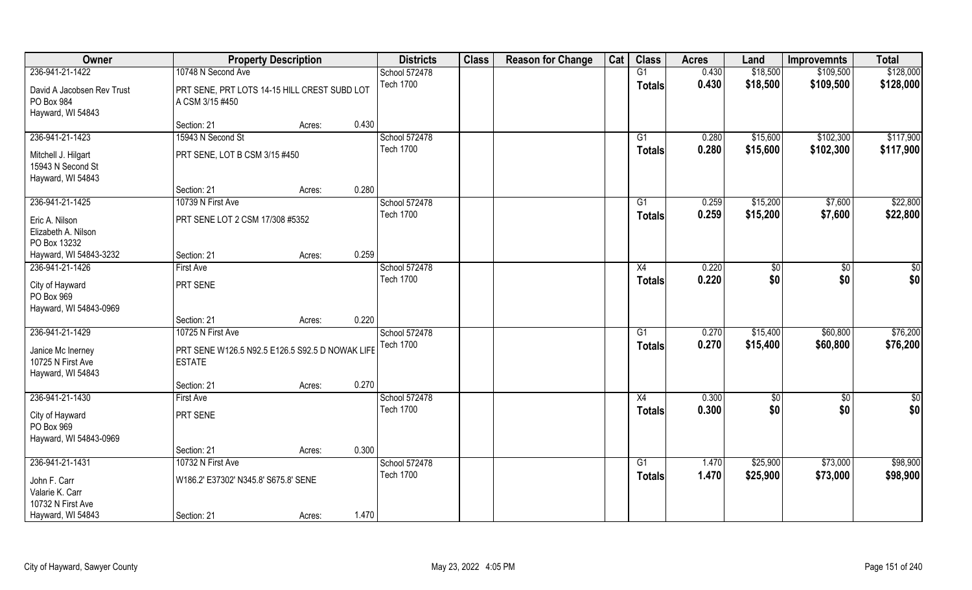| Owner                                                                          |                                                                                       | <b>Property Description</b> |       | <b>Districts</b>                  | <b>Class</b> | <b>Reason for Change</b> | Cat | <b>Class</b>        | <b>Acres</b>   | Land                 | <b>Improvemnts</b>   | <b>Total</b>         |
|--------------------------------------------------------------------------------|---------------------------------------------------------------------------------------|-----------------------------|-------|-----------------------------------|--------------|--------------------------|-----|---------------------|----------------|----------------------|----------------------|----------------------|
| 236-941-21-1422                                                                | 10748 N Second Ave                                                                    |                             |       | School 572478                     |              |                          |     | G1                  | 0.430          | \$18,500             | \$109,500            | \$128,000            |
| David A Jacobsen Rev Trust<br>PO Box 984<br>Hayward, WI 54843                  | PRT SENE, PRT LOTS 14-15 HILL CREST SUBD LOT<br>A CSM 3/15 #450                       |                             |       | <b>Tech 1700</b>                  |              |                          |     | Totals              | 0.430          | \$18,500             | \$109,500            | \$128,000            |
|                                                                                | Section: 21                                                                           | Acres:                      | 0.430 |                                   |              |                          |     |                     |                |                      |                      |                      |
| 236-941-21-1423                                                                | 15943 N Second St                                                                     |                             |       | School 572478                     |              |                          |     | G1                  | 0.280          | \$15,600             | \$102,300            | \$117,900            |
| Mitchell J. Hilgart<br>15943 N Second St<br>Hayward, WI 54843                  | PRT SENE, LOT B CSM 3/15 #450                                                         |                             |       | <b>Tech 1700</b>                  |              |                          |     | Totals              | 0.280          | \$15,600             | \$102,300            | \$117,900            |
|                                                                                | Section: 21                                                                           | Acres:                      | 0.280 |                                   |              |                          |     |                     |                |                      |                      |                      |
| 236-941-21-1425<br>Eric A. Nilson<br>Elizabeth A. Nilson<br>PO Box 13232       | 10739 N First Ave<br>PRT SENE LOT 2 CSM 17/308 #5352                                  |                             |       | School 572478<br><b>Tech 1700</b> |              |                          |     | G1<br><b>Totals</b> | 0.259<br>0.259 | \$15,200<br>\$15,200 | \$7,600<br>\$7,600   | \$22,800<br>\$22,800 |
| Hayward, WI 54843-3232                                                         | Section: 21                                                                           | Acres:                      | 0.259 |                                   |              |                          |     |                     |                |                      |                      |                      |
| 236-941-21-1426                                                                | <b>First Ave</b>                                                                      |                             |       | School 572478                     |              |                          |     | X4                  | 0.220          | \$0                  | \$0                  | \$0                  |
| City of Hayward<br>PO Box 969<br>Hayward, WI 54843-0969                        | PRT SENE                                                                              |                             |       | <b>Tech 1700</b>                  |              |                          |     | <b>Totals</b>       | 0.220          | \$0                  | \$0                  | \$0                  |
|                                                                                | Section: 21                                                                           | Acres:                      | 0.220 |                                   |              |                          |     |                     |                |                      |                      |                      |
| 236-941-21-1429<br>Janice Mc Inerney<br>10725 N First Ave<br>Hayward, WI 54843 | 10725 N First Ave<br>PRT SENE W126.5 N92.5 E126.5 S92.5 D NOWAK LIFE<br><b>ESTATE</b> |                             |       | School 572478<br><b>Tech 1700</b> |              |                          |     | G1<br><b>Totals</b> | 0.270<br>0.270 | \$15,400<br>\$15,400 | \$60,800<br>\$60,800 | \$76,200<br>\$76,200 |
|                                                                                | Section: 21                                                                           | Acres:                      | 0.270 |                                   |              |                          |     |                     |                |                      |                      |                      |
| 236-941-21-1430                                                                | <b>First Ave</b>                                                                      |                             |       | School 572478                     |              |                          |     | X4                  | 0.300          | \$0                  | $\sqrt{50}$          | $\frac{1}{2}$        |
| City of Hayward<br>PO Box 969<br>Hayward, WI 54843-0969                        | PRT SENE                                                                              |                             |       | <b>Tech 1700</b>                  |              |                          |     | <b>Totals</b>       | 0.300          | \$0                  | \$0                  | \$0                  |
|                                                                                | Section: 21                                                                           | Acres:                      | 0.300 |                                   |              |                          |     |                     |                |                      |                      |                      |
| 236-941-21-1431                                                                | 10732 N First Ave                                                                     |                             |       | School 572478                     |              |                          |     | G1                  | 1.470          | \$25,900             | \$73,000             | \$98,900             |
| John F. Carr<br>Valarie K. Carr<br>10732 N First Ave<br>Hayward, WI 54843      | W186.2' E37302' N345.8' S675.8' SENE<br>Section: 21                                   | Acres:                      | 1.470 | <b>Tech 1700</b>                  |              |                          |     | <b>Totals</b>       | 1.470          | \$25,900             | \$73,000             | \$98,900             |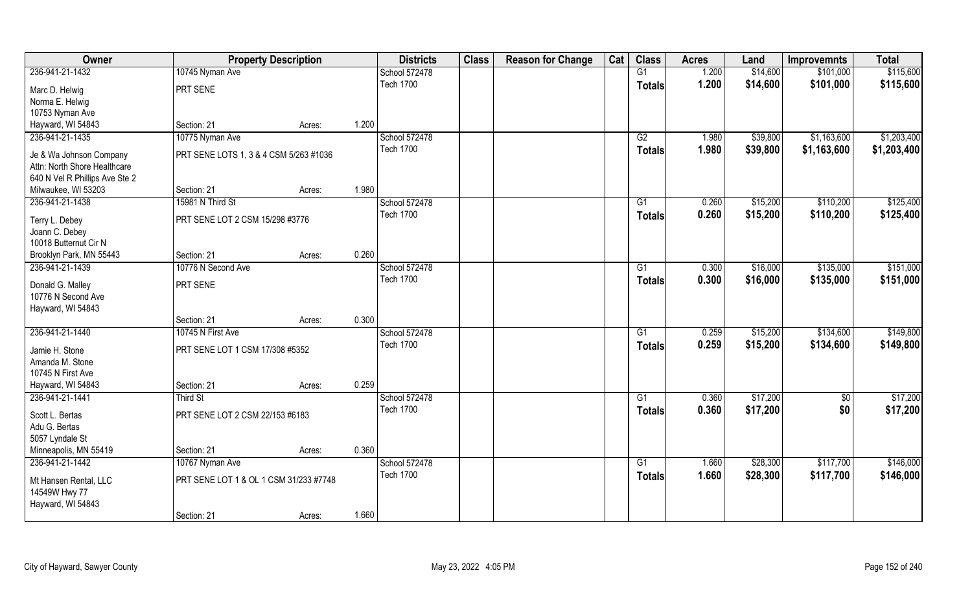| Owner                                   | <b>Property Description</b>            |        |       | <b>Districts</b> | <b>Class</b> | <b>Reason for Change</b> | Cat | <b>Class</b>    | <b>Acres</b> | Land     | <b>Improvemnts</b> | <b>Total</b> |
|-----------------------------------------|----------------------------------------|--------|-------|------------------|--------------|--------------------------|-----|-----------------|--------------|----------|--------------------|--------------|
| 236-941-21-1432                         | 10745 Nyman Ave                        |        |       | School 572478    |              |                          |     | G1              | 1.200        | \$14,600 | \$101,000          | \$115,600    |
| Marc D. Helwig                          | PRT SENE                               |        |       | <b>Tech 1700</b> |              |                          |     | <b>Totals</b>   | 1.200        | \$14,600 | \$101,000          | \$115,600    |
| Norma E. Helwig                         |                                        |        |       |                  |              |                          |     |                 |              |          |                    |              |
| 10753 Nyman Ave                         |                                        |        |       |                  |              |                          |     |                 |              |          |                    |              |
| Hayward, WI 54843                       | Section: 21                            | Acres: | 1.200 |                  |              |                          |     |                 |              |          |                    |              |
| 236-941-21-1435                         | 10775 Nyman Ave                        |        |       | School 572478    |              |                          |     | G2              | 1.980        | \$39,800 | \$1,163,600        | \$1,203,400  |
| Je & Wa Johnson Company                 | PRT SENE LOTS 1, 3 & 4 CSM 5/263 #1036 |        |       | <b>Tech 1700</b> |              |                          |     | <b>Totals</b>   | 1.980        | \$39,800 | \$1,163,600        | \$1,203,400  |
| Attn: North Shore Healthcare            |                                        |        |       |                  |              |                          |     |                 |              |          |                    |              |
| 640 N Vel R Phillips Ave Ste 2          |                                        |        |       |                  |              |                          |     |                 |              |          |                    |              |
| Milwaukee, WI 53203                     | Section: 21                            | Acres: | 1.980 |                  |              |                          |     |                 |              |          |                    |              |
| 236-941-21-1438                         | 15981 N Third St                       |        |       | School 572478    |              |                          |     | G1              | 0.260        | \$15,200 | \$110,200          | \$125,400    |
|                                         |                                        |        |       | <b>Tech 1700</b> |              |                          |     | <b>Totals</b>   | 0.260        | \$15,200 | \$110,200          | \$125,400    |
| Terry L. Debey                          | PRT SENE LOT 2 CSM 15/298 #3776        |        |       |                  |              |                          |     |                 |              |          |                    |              |
| Joann C. Debey<br>10018 Butternut Cir N |                                        |        |       |                  |              |                          |     |                 |              |          |                    |              |
| Brooklyn Park, MN 55443                 | Section: 21                            | Acres: | 0.260 |                  |              |                          |     |                 |              |          |                    |              |
| 236-941-21-1439                         | 10776 N Second Ave                     |        |       | School 572478    |              |                          |     | G1              | 0.300        | \$16,000 | \$135,000          | \$151,000    |
|                                         |                                        |        |       | <b>Tech 1700</b> |              |                          |     | <b>Totals</b>   | 0.300        | \$16,000 | \$135,000          | \$151,000    |
| Donald G. Malley                        | PRT SENE                               |        |       |                  |              |                          |     |                 |              |          |                    |              |
| 10776 N Second Ave                      |                                        |        |       |                  |              |                          |     |                 |              |          |                    |              |
| Hayward, WI 54843                       |                                        |        |       |                  |              |                          |     |                 |              |          |                    |              |
|                                         | Section: 21                            | Acres: | 0.300 |                  |              |                          |     |                 |              |          |                    |              |
| 236-941-21-1440                         | 10745 N First Ave                      |        |       | School 572478    |              |                          |     | $\overline{G1}$ | 0.259        | \$15,200 | \$134,600          | \$149,800    |
| Jamie H. Stone                          | PRT SENE LOT 1 CSM 17/308 #5352        |        |       | <b>Tech 1700</b> |              |                          |     | <b>Totals</b>   | 0.259        | \$15,200 | \$134,600          | \$149,800    |
| Amanda M. Stone                         |                                        |        |       |                  |              |                          |     |                 |              |          |                    |              |
| 10745 N First Ave                       |                                        |        |       |                  |              |                          |     |                 |              |          |                    |              |
| Hayward, WI 54843                       | Section: 21                            | Acres: | 0.259 |                  |              |                          |     |                 |              |          |                    |              |
| 236-941-21-1441                         | Third St                               |        |       | School 572478    |              |                          |     | G1              | 0.360        | \$17,200 | $\overline{50}$    | \$17,200     |
| Scott L. Bertas                         | PRT SENE LOT 2 CSM 22/153 #6183        |        |       | <b>Tech 1700</b> |              |                          |     | <b>Totals</b>   | 0.360        | \$17,200 | \$0                | \$17,200     |
| Adu G. Bertas                           |                                        |        |       |                  |              |                          |     |                 |              |          |                    |              |
| 5057 Lyndale St                         |                                        |        |       |                  |              |                          |     |                 |              |          |                    |              |
| Minneapolis, MN 55419                   | Section: 21                            | Acres: | 0.360 |                  |              |                          |     |                 |              |          |                    |              |
| 236-941-21-1442                         | 10767 Nyman Ave                        |        |       | School 572478    |              |                          |     | G1              | 1.660        | \$28,300 | \$117,700          | \$146,000    |
| Mt Hansen Rental, LLC                   | PRT SENE LOT 1 & OL 1 CSM 31/233 #7748 |        |       | <b>Tech 1700</b> |              |                          |     | <b>Totals</b>   | 1.660        | \$28,300 | \$117,700          | \$146,000    |
| 14549W Hwy 77                           |                                        |        |       |                  |              |                          |     |                 |              |          |                    |              |
| Hayward, WI 54843                       |                                        |        |       |                  |              |                          |     |                 |              |          |                    |              |
|                                         | Section: 21                            | Acres: | 1.660 |                  |              |                          |     |                 |              |          |                    |              |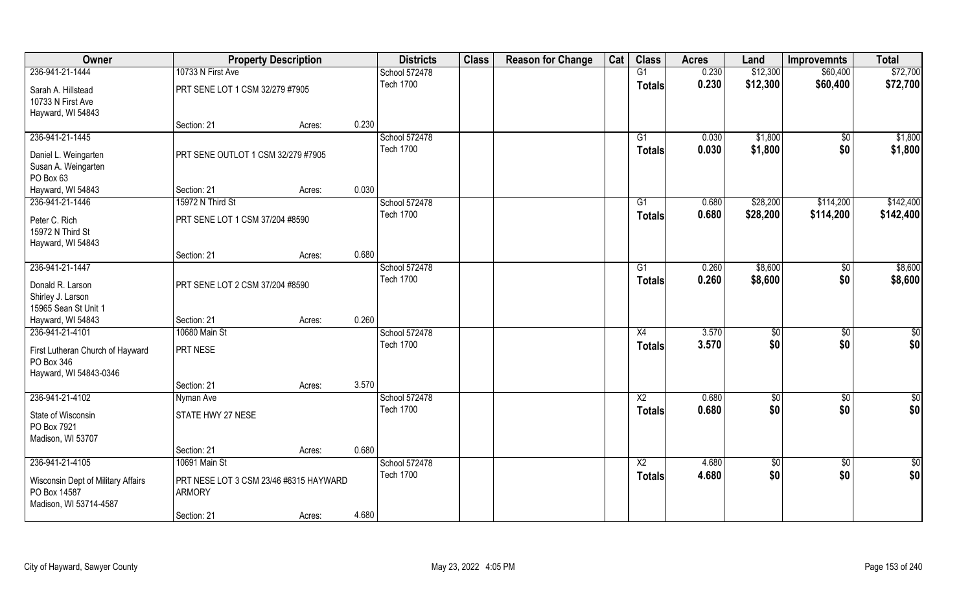| Owner                                                                        | <b>Property Description</b>                             |        |       | <b>Districts</b> | <b>Class</b> | <b>Reason for Change</b> | Cat | <b>Class</b>    | <b>Acres</b> | Land            | <b>Improvemnts</b> | <b>Total</b>  |
|------------------------------------------------------------------------------|---------------------------------------------------------|--------|-------|------------------|--------------|--------------------------|-----|-----------------|--------------|-----------------|--------------------|---------------|
| 236-941-21-1444                                                              | 10733 N First Ave                                       |        |       | School 572478    |              |                          |     | G1              | 0.230        | \$12,300        | \$60,400           | \$72,700      |
| Sarah A. Hillstead<br>10733 N First Ave                                      | PRT SENE LOT 1 CSM 32/279 #7905                         |        |       | <b>Tech 1700</b> |              |                          |     | <b>Totals</b>   | 0.230        | \$12,300        | \$60,400           | \$72,700      |
| Hayward, WI 54843                                                            |                                                         |        | 0.230 |                  |              |                          |     |                 |              |                 |                    |               |
| 236-941-21-1445                                                              | Section: 21                                             | Acres: |       | School 572478    |              |                          |     | $\overline{G1}$ | 0.030        | \$1,800         | $\overline{50}$    | \$1,800       |
| Daniel L. Weingarten<br>Susan A. Weingarten<br>PO Box 63                     | PRT SENE OUTLOT 1 CSM 32/279 #7905                      |        |       | <b>Tech 1700</b> |              |                          |     | <b>Totals</b>   | 0.030        | \$1,800         | \$0                | \$1,800       |
| Hayward, WI 54843                                                            | Section: 21                                             | Acres: | 0.030 |                  |              |                          |     |                 |              |                 |                    |               |
| 236-941-21-1446                                                              | 15972 N Third St                                        |        |       | School 572478    |              |                          |     | G1              | 0.680        | \$28,200        | \$114,200          | \$142,400     |
| Peter C. Rich<br>15972 N Third St<br>Hayward, WI 54843                       | PRT SENE LOT 1 CSM 37/204 #8590                         |        |       | <b>Tech 1700</b> |              |                          |     | <b>Totals</b>   | 0.680        | \$28,200        | \$114,200          | \$142,400     |
|                                                                              | Section: 21                                             | Acres: | 0.680 |                  |              |                          |     |                 |              |                 |                    |               |
| 236-941-21-1447                                                              |                                                         |        |       | School 572478    |              |                          |     | G1              | 0.260        | \$8,600         | \$0                | \$8,600       |
| Donald R. Larson<br>Shirley J. Larson<br>15965 Sean St Unit 1                | PRT SENE LOT 2 CSM 37/204 #8590                         |        |       | <b>Tech 1700</b> |              |                          |     | <b>Totals</b>   | 0.260        | \$8,600         | \$0                | \$8,600       |
| Hayward, WI 54843                                                            | Section: 21                                             | Acres: | 0.260 |                  |              |                          |     |                 |              |                 |                    |               |
| 236-941-21-4101                                                              | 10680 Main St                                           |        |       | School 572478    |              |                          |     | $\overline{X4}$ | 3.570        | $\overline{50}$ | $\overline{50}$    | $\frac{6}{3}$ |
| First Lutheran Church of Hayward<br>PO Box 346<br>Hayward, WI 54843-0346     | PRT NESE                                                |        |       | <b>Tech 1700</b> |              |                          |     | <b>Totals</b>   | 3.570        | \$0             | \$0                | \$0           |
|                                                                              | Section: 21                                             | Acres: | 3.570 |                  |              |                          |     |                 |              |                 |                    |               |
| 236-941-21-4102                                                              | Nyman Ave                                               |        |       | School 572478    |              |                          |     | $\overline{X2}$ | 0.680        | $\frac{1}{3}$   | $\overline{60}$    | $\frac{6}{3}$ |
| State of Wisconsin<br>PO Box 7921<br>Madison, WI 53707                       | STATE HWY 27 NESE                                       |        |       | <b>Tech 1700</b> |              |                          |     | <b>Totals</b>   | 0.680        | \$0             | \$0                | \$0           |
|                                                                              | Section: 21                                             | Acres: | 0.680 |                  |              |                          |     |                 |              |                 |                    |               |
| 236-941-21-4105                                                              | 10691 Main St                                           |        |       | School 572478    |              |                          |     | $\overline{X2}$ | 4.680        | \$0             | $\overline{50}$    | $rac{1}{2}$   |
| Wisconsin Dept of Military Affairs<br>PO Box 14587<br>Madison, WI 53714-4587 | PRT NESE LOT 3 CSM 23/46 #6315 HAYWARD<br><b>ARMORY</b> |        |       | <b>Tech 1700</b> |              |                          |     | <b>Totals</b>   | 4.680        | \$0             | \$0                | \$0           |
|                                                                              | Section: 21                                             | Acres: | 4.680 |                  |              |                          |     |                 |              |                 |                    |               |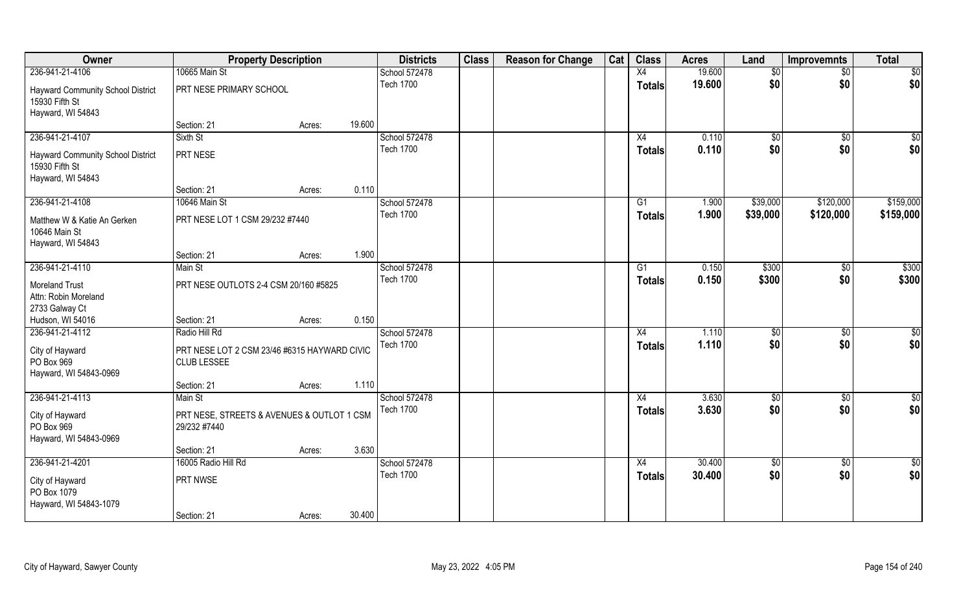| Owner                                                      | <b>Property Description</b>                                |        |        | <b>Districts</b>                  | <b>Class</b> | <b>Reason for Change</b> | Cat | <b>Class</b>  | <b>Acres</b> | Land        | <b>Improvemnts</b> | <b>Total</b>  |
|------------------------------------------------------------|------------------------------------------------------------|--------|--------|-----------------------------------|--------------|--------------------------|-----|---------------|--------------|-------------|--------------------|---------------|
| 236-941-21-4106                                            | 10665 Main St                                              |        |        | School 572478                     |              |                          |     | X4            | 19.600       | \$0         | $\overline{50}$    | \$0           |
| <b>Hayward Community School District</b><br>15930 Fifth St | PRT NESE PRIMARY SCHOOL                                    |        |        | <b>Tech 1700</b>                  |              |                          |     | <b>Totals</b> | 19.600       | \$0         | \$0                | \$0           |
| Hayward, WI 54843                                          |                                                            |        |        |                                   |              |                          |     |               |              |             |                    |               |
|                                                            | Section: 21                                                | Acres: | 19.600 |                                   |              |                          |     |               |              |             |                    |               |
| 236-941-21-4107                                            | Sixth St                                                   |        |        | School 572478                     |              |                          |     | X4            | 0.110        | $\sqrt{$0}$ | $\sqrt{6}$         | \$0           |
| <b>Hayward Community School District</b><br>15930 Fifth St | PRT NESE                                                   |        |        | <b>Tech 1700</b>                  |              |                          |     | <b>Totals</b> | 0.110        | \$0         | \$0                | \$0           |
| Hayward, WI 54843                                          |                                                            |        |        |                                   |              |                          |     |               |              |             |                    |               |
|                                                            | Section: 21                                                | Acres: | 0.110  |                                   |              |                          |     |               |              |             |                    |               |
| 236-941-21-4108                                            | 10646 Main St                                              |        |        | School 572478                     |              |                          |     | G1            | 1.900        | \$39,000    | \$120,000          | \$159,000     |
| Matthew W & Katie An Gerken<br>10646 Main St               | PRT NESE LOT 1 CSM 29/232 #7440                            |        |        | <b>Tech 1700</b>                  |              |                          |     | <b>Totals</b> | 1.900        | \$39,000    | \$120,000          | \$159,000     |
| Hayward, WI 54843                                          |                                                            |        |        |                                   |              |                          |     |               |              |             |                    |               |
|                                                            | Section: 21                                                | Acres: | 1.900  |                                   |              |                          |     |               |              |             |                    |               |
| 236-941-21-4110                                            | Main St                                                    |        |        | School 572478<br><b>Tech 1700</b> |              |                          |     | G1            | 0.150        | \$300       | \$0                | \$300         |
| <b>Moreland Trust</b>                                      | PRT NESE OUTLOTS 2-4 CSM 20/160 #5825                      |        |        |                                   |              |                          |     | <b>Totals</b> | 0.150        | \$300       | \$0                | \$300         |
| Attn: Robin Moreland                                       |                                                            |        |        |                                   |              |                          |     |               |              |             |                    |               |
| 2733 Galway Ct                                             |                                                            |        |        |                                   |              |                          |     |               |              |             |                    |               |
| Hudson, WI 54016                                           | Section: 21                                                | Acres: | 0.150  |                                   |              |                          |     |               |              |             |                    |               |
| 236-941-21-4112                                            | Radio Hill Rd                                              |        |        | School 572478                     |              |                          |     | X4            | 1.110        | \$          | \$0                | \$0           |
| City of Hayward                                            | PRT NESE LOT 2 CSM 23/46 #6315 HAYWARD CIVIC               |        |        | <b>Tech 1700</b>                  |              |                          |     | <b>Totals</b> | 1.110        | \$0         | \$0                | \$0           |
| PO Box 969                                                 | <b>CLUB LESSEE</b>                                         |        |        |                                   |              |                          |     |               |              |             |                    |               |
| Hayward, WI 54843-0969                                     |                                                            |        |        |                                   |              |                          |     |               |              |             |                    |               |
|                                                            | Section: 21                                                | Acres: | 1.110  |                                   |              |                          |     |               |              |             |                    |               |
| 236-941-21-4113                                            | Main St                                                    |        |        | School 572478                     |              |                          |     | X4            | 3.630        | \$0         | $\overline{50}$    | $\frac{1}{2}$ |
| City of Hayward<br>PO Box 969<br>Hayward, WI 54843-0969    | PRT NESE, STREETS & AVENUES & OUTLOT 1 CSM<br>29/232 #7440 |        |        | <b>Tech 1700</b>                  |              |                          |     | <b>Totals</b> | 3.630        | \$0         | \$0                | \$0           |
|                                                            | Section: 21                                                | Acres: | 3.630  |                                   |              |                          |     |               |              |             |                    |               |
| 236-941-21-4201                                            | 16005 Radio Hill Rd                                        |        |        | School 572478                     |              |                          |     | X4            | 30.400       | $\sqrt{$0}$ | $\overline{50}$    | $\frac{1}{2}$ |
|                                                            |                                                            |        |        | <b>Tech 1700</b>                  |              |                          |     | <b>Totals</b> | 30.400       | \$0         | \$0                | \$0           |
| City of Hayward<br>PO Box 1079<br>Hayward, WI 54843-1079   | PRT NWSE                                                   |        |        |                                   |              |                          |     |               |              |             |                    |               |
|                                                            | Section: 21                                                | Acres: | 30.400 |                                   |              |                          |     |               |              |             |                    |               |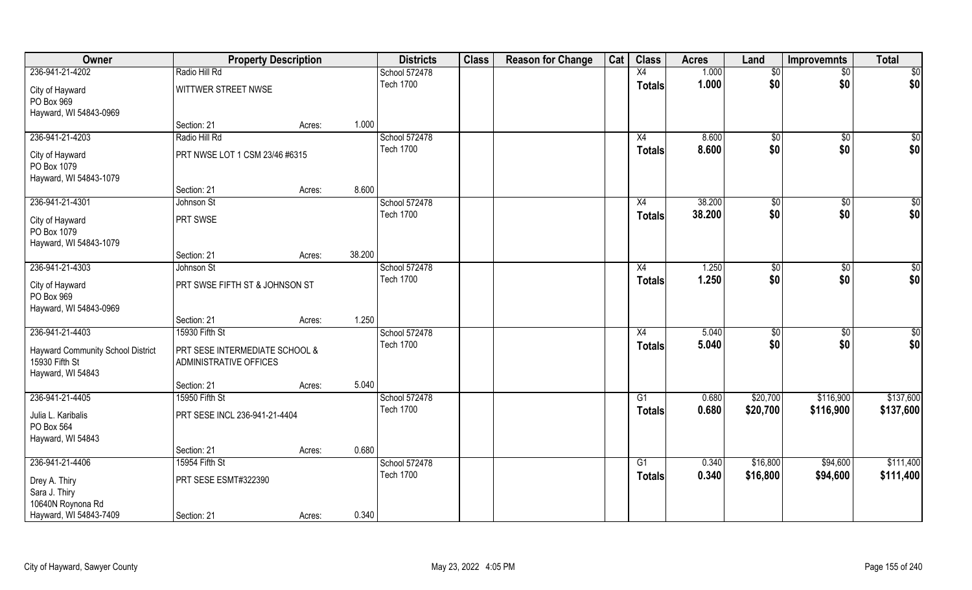| Owner                                                                           |                                                          | <b>Property Description</b> |        | <b>Districts</b> | <b>Class</b> | <b>Reason for Change</b> | Cat | <b>Class</b>    | <b>Acres</b> | Land        | <b>Improvemnts</b> | <b>Total</b> |
|---------------------------------------------------------------------------------|----------------------------------------------------------|-----------------------------|--------|------------------|--------------|--------------------------|-----|-----------------|--------------|-------------|--------------------|--------------|
| 236-941-21-4202                                                                 | Radio Hill Rd                                            |                             |        | School 572478    |              |                          |     | X4              | 1.000        | \$0         | $\sqrt{6}$         | \$0          |
| City of Hayward<br>PO Box 969<br>Hayward, WI 54843-0969                         | WITTWER STREET NWSE                                      |                             |        | <b>Tech 1700</b> |              |                          |     | <b>Totals</b>   | 1.000        | \$0         | \$0                | \$0          |
|                                                                                 | Section: 21                                              | Acres:                      | 1.000  |                  |              |                          |     |                 |              |             |                    |              |
| 236-941-21-4203                                                                 | Radio Hill Rd                                            |                             |        | School 572478    |              |                          |     | X4              | 8.600        | $\sqrt{$0}$ | $\overline{50}$    | \$0          |
| City of Hayward<br>PO Box 1079<br>Hayward, WI 54843-1079                        | PRT NWSE LOT 1 CSM 23/46 #6315                           |                             |        | <b>Tech 1700</b> |              |                          |     | Totals          | 8.600        | \$0         | \$0                | \$0          |
|                                                                                 | Section: 21                                              | Acres:                      | 8.600  |                  |              |                          |     |                 |              |             |                    |              |
| 236-941-21-4301                                                                 | Johnson St                                               |                             |        | School 572478    |              |                          |     | X4              | 38.200       | \$0         | \$0                | \$0          |
| City of Hayward<br>PO Box 1079<br>Hayward, WI 54843-1079                        | PRT SWSE                                                 |                             |        | <b>Tech 1700</b> |              |                          |     | <b>Totals</b>   | 38.200       | \$0         | \$0                | \$0          |
|                                                                                 | Section: 21                                              | Acres:                      | 38.200 |                  |              |                          |     |                 |              |             |                    |              |
| 236-941-21-4303                                                                 | Johnson St                                               |                             |        | School 572478    |              |                          |     | X4              | 1.250        | \$0         | \$0                | \$0          |
| City of Hayward<br>PO Box 969<br>Hayward, WI 54843-0969                         | PRT SWSE FIFTH ST & JOHNSON ST                           |                             |        | <b>Tech 1700</b> |              |                          |     | <b>Totals</b>   | 1.250        | \$0         | \$0                | \$0          |
|                                                                                 | Section: 21                                              | Acres:                      | 1.250  |                  |              |                          |     |                 |              |             |                    |              |
| 236-941-21-4403                                                                 | 15930 Fifth St                                           |                             |        | School 572478    |              |                          |     | $\overline{X4}$ | 5.040        | \$0         | $\overline{50}$    | \$0          |
| <b>Hayward Community School District</b><br>15930 Fifth St<br>Hayward, WI 54843 | PRT SESE INTERMEDIATE SCHOOL &<br>ADMINISTRATIVE OFFICES |                             |        | <b>Tech 1700</b> |              |                          |     | <b>Totals</b>   | 5.040        | \$0         | \$0                | \$0          |
|                                                                                 | Section: 21                                              | Acres:                      | 5.040  |                  |              |                          |     |                 |              |             |                    |              |
| 236-941-21-4405                                                                 | 15950 Fifth St                                           |                             |        | School 572478    |              |                          |     | G1              | 0.680        | \$20,700    | \$116,900          | \$137,600    |
| Julia L. Karibalis<br>PO Box 564<br>Hayward, WI 54843                           | PRT SESE INCL 236-941-21-4404                            |                             |        | <b>Tech 1700</b> |              |                          |     | <b>Totals</b>   | 0.680        | \$20,700    | \$116,900          | \$137,600    |
|                                                                                 | Section: 21                                              | Acres:                      | 0.680  |                  |              |                          |     |                 |              |             |                    |              |
| 236-941-21-4406                                                                 | 15954 Fifth St                                           |                             |        | School 572478    |              |                          |     | $\overline{G1}$ | 0.340        | \$16,800    | \$94,600           | \$111,400    |
| Drey A. Thiry<br>Sara J. Thiry<br>10640N Roynona Rd                             | PRT SESE ESMT#322390                                     |                             |        | <b>Tech 1700</b> |              |                          |     | <b>Totals</b>   | 0.340        | \$16,800    | \$94,600           | \$111,400    |
| Hayward, WI 54843-7409                                                          | Section: 21                                              | Acres:                      | 0.340  |                  |              |                          |     |                 |              |             |                    |              |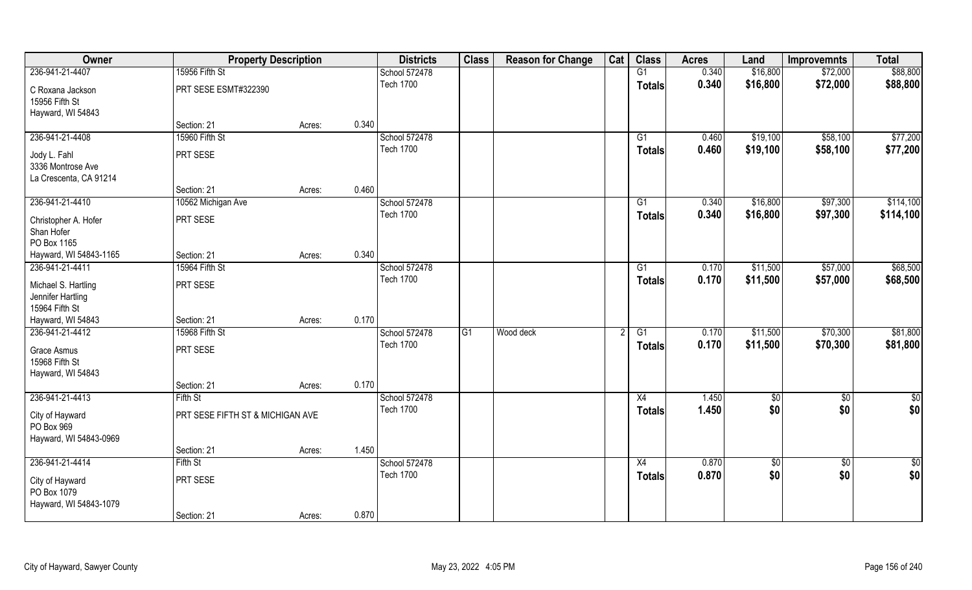| Owner                              | <b>Property Description</b>      |        |       | <b>Districts</b> | <b>Class</b>    | <b>Reason for Change</b> | Cat | <b>Class</b>    | <b>Acres</b> | Land        | <b>Improvemnts</b> | <b>Total</b>  |
|------------------------------------|----------------------------------|--------|-------|------------------|-----------------|--------------------------|-----|-----------------|--------------|-------------|--------------------|---------------|
| 236-941-21-4407                    | 15956 Fifth St                   |        |       | School 572478    |                 |                          |     | G1              | 0.340        | \$16,800    | \$72,000           | \$88,800      |
| C Roxana Jackson<br>15956 Fifth St | PRT SESE ESMT#322390             |        |       | <b>Tech 1700</b> |                 |                          |     | <b>Totals</b>   | 0.340        | \$16,800    | \$72,000           | \$88,800      |
| Hayward, WI 54843                  |                                  |        |       |                  |                 |                          |     |                 |              |             |                    |               |
|                                    | Section: 21                      | Acres: | 0.340 |                  |                 |                          |     |                 |              |             |                    |               |
| 236-941-21-4408                    | 15960 Fifth St                   |        |       | School 572478    |                 |                          |     | G1              | 0.460        | \$19,100    | \$58,100           | \$77,200      |
| Jody L. Fahl                       | PRT SESE                         |        |       | <b>Tech 1700</b> |                 |                          |     | Totals          | 0.460        | \$19,100    | \$58,100           | \$77,200      |
| 3336 Montrose Ave                  |                                  |        |       |                  |                 |                          |     |                 |              |             |                    |               |
| La Crescenta, CA 91214             |                                  |        |       |                  |                 |                          |     |                 |              |             |                    |               |
|                                    | Section: 21                      | Acres: | 0.460 |                  |                 |                          |     |                 |              |             |                    |               |
| 236-941-21-4410                    | 10562 Michigan Ave               |        |       | School 572478    |                 |                          |     | G1              | 0.340        | \$16,800    | \$97,300           | \$114,100     |
| Christopher A. Hofer               | PRT SESE                         |        |       | <b>Tech 1700</b> |                 |                          |     | <b>Totals</b>   | 0.340        | \$16,800    | \$97,300           | \$114,100     |
| Shan Hofer                         |                                  |        |       |                  |                 |                          |     |                 |              |             |                    |               |
| PO Box 1165                        |                                  |        |       |                  |                 |                          |     |                 |              |             |                    |               |
| Hayward, WI 54843-1165             | Section: 21                      | Acres: | 0.340 |                  |                 |                          |     |                 |              |             |                    |               |
| 236-941-21-4411                    | 15964 Fifth St                   |        |       | School 572478    |                 |                          |     | G1              | 0.170        | \$11,500    | \$57,000           | \$68,500      |
| Michael S. Hartling                | PRT SESE                         |        |       | <b>Tech 1700</b> |                 |                          |     | <b>Totals</b>   | 0.170        | \$11,500    | \$57,000           | \$68,500      |
| Jennifer Hartling                  |                                  |        |       |                  |                 |                          |     |                 |              |             |                    |               |
| 15964 Fifth St                     |                                  |        |       |                  |                 |                          |     |                 |              |             |                    |               |
| Hayward, WI 54843                  | Section: 21                      | Acres: | 0.170 |                  |                 |                          |     |                 |              |             |                    |               |
| 236-941-21-4412                    | 15968 Fifth St                   |        |       | School 572478    | $\overline{G1}$ | Wood deck                |     | $\overline{G1}$ | 0.170        | \$11,500    | \$70,300           | \$81,800      |
| Grace Asmus                        | PRT SESE                         |        |       | <b>Tech 1700</b> |                 |                          |     | <b>Totals</b>   | 0.170        | \$11,500    | \$70,300           | \$81,800      |
| 15968 Fifth St                     |                                  |        |       |                  |                 |                          |     |                 |              |             |                    |               |
| Hayward, WI 54843                  |                                  |        |       |                  |                 |                          |     |                 |              |             |                    |               |
|                                    | Section: 21                      | Acres: | 0.170 |                  |                 |                          |     |                 |              |             |                    |               |
| 236-941-21-4413                    | Fifth St                         |        |       | School 572478    |                 |                          |     | X4              | 1.450        | \$0         | $\sqrt{50}$        | $\frac{6}{3}$ |
| City of Hayward                    | PRT SESE FIFTH ST & MICHIGAN AVE |        |       | <b>Tech 1700</b> |                 |                          |     | <b>Totals</b>   | 1.450        | \$0         | \$0                | \$0           |
| PO Box 969                         |                                  |        |       |                  |                 |                          |     |                 |              |             |                    |               |
| Hayward, WI 54843-0969             |                                  |        |       |                  |                 |                          |     |                 |              |             |                    |               |
|                                    | Section: 21                      | Acres: | 1.450 |                  |                 |                          |     |                 |              |             |                    |               |
| 236-941-21-4414                    | Fifth St                         |        |       | School 572478    |                 |                          |     | X4              | 0.870        | $\sqrt{$0}$ | $\overline{50}$    | $\frac{1}{6}$ |
| City of Hayward                    | PRT SESE                         |        |       | <b>Tech 1700</b> |                 |                          |     | <b>Totals</b>   | 0.870        | \$0         | \$0                | \$0           |
| PO Box 1079                        |                                  |        |       |                  |                 |                          |     |                 |              |             |                    |               |
| Hayward, WI 54843-1079             |                                  |        |       |                  |                 |                          |     |                 |              |             |                    |               |
|                                    | Section: 21                      | Acres: | 0.870 |                  |                 |                          |     |                 |              |             |                    |               |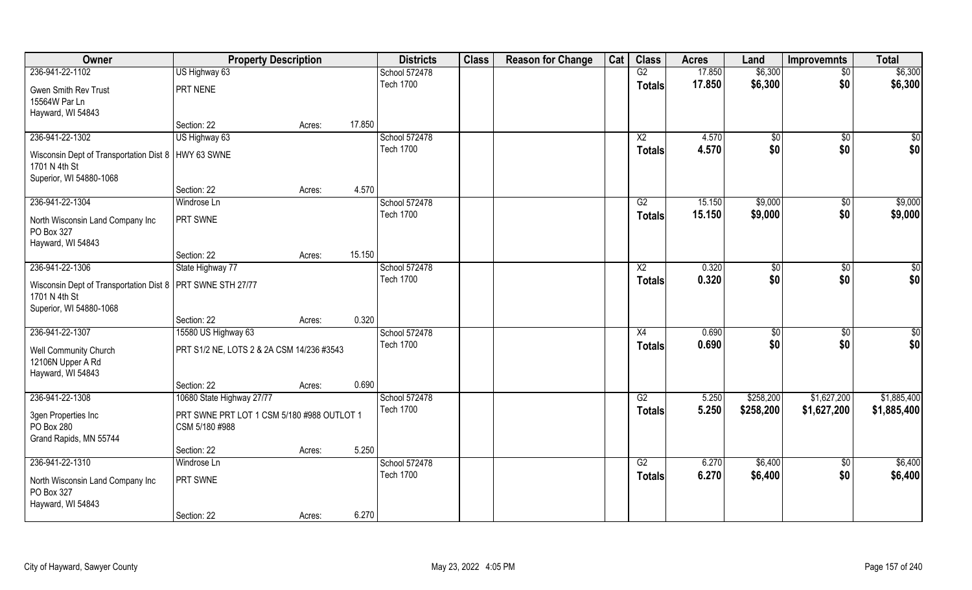| 17.850<br>\$6,300<br>236-941-22-1102<br>US Highway 63<br>School 572478<br>G2<br>$\overline{50}$<br><b>Tech 1700</b><br>\$6,300<br>\$0<br>17.850<br><b>Totals</b><br>PRT NENE<br>Gwen Smith Rev Trust<br>15564W Par Ln | \$6,300<br>\$6,300 |
|-----------------------------------------------------------------------------------------------------------------------------------------------------------------------------------------------------------------------|--------------------|
|                                                                                                                                                                                                                       |                    |
|                                                                                                                                                                                                                       |                    |
|                                                                                                                                                                                                                       |                    |
| Hayward, WI 54843                                                                                                                                                                                                     |                    |
| 17.850<br>Section: 22<br>Acres:                                                                                                                                                                                       |                    |
| 236-941-22-1302<br>US Highway 63<br>School 572478<br>$\overline{X2}$<br>4.570<br>\$0<br>\$0                                                                                                                           | $\sqrt{50}$        |
| <b>Tech 1700</b><br>4.570<br>\$0<br>\$0<br><b>Totals</b><br>Wisconsin Dept of Transportation Dist 8   HWY 63 SWNE                                                                                                     | \$0                |
| 1701 N 4th St                                                                                                                                                                                                         |                    |
| Superior, WI 54880-1068                                                                                                                                                                                               |                    |
| 4.570<br>Section: 22<br>Acres:                                                                                                                                                                                        |                    |
| 236-941-22-1304<br>School 572478<br>\$9,000<br>G2<br>15.150<br>\$0<br>Windrose Ln                                                                                                                                     | \$9,000            |
| \$0<br><b>Tech 1700</b><br>15.150<br>\$9,000<br><b>Totals</b><br>PRT SWNE<br>North Wisconsin Land Company Inc                                                                                                         | \$9,000            |
| PO Box 327                                                                                                                                                                                                            |                    |
| Hayward, WI 54843                                                                                                                                                                                                     |                    |
| 15.150<br>Section: 22<br>Acres:                                                                                                                                                                                       |                    |
| 236-941-22-1306<br>School 572478<br>0.320<br>State Highway 77<br>$\frac{1}{20}$<br>$\sqrt[6]{30}$<br>X <sub>2</sub>                                                                                                   | \$0                |
| \$0<br>\$0<br><b>Tech 1700</b><br>0.320<br><b>Totals</b><br>Wisconsin Dept of Transportation Dist 8   PRT SWNE STH 27/77                                                                                              | \$0                |
| 1701 N 4th St                                                                                                                                                                                                         |                    |
| Superior, WI 54880-1068                                                                                                                                                                                               |                    |
| 0.320<br>Section: 22<br>Acres:                                                                                                                                                                                        |                    |
| 236-941-22-1307<br>15580 US Highway 63<br>0.690<br>School 572478<br>X4<br>$\sqrt[6]{30}$<br>$\sqrt[6]{30}$                                                                                                            | \$0                |
| <b>Tech 1700</b><br>0.690<br>\$0<br>\$0<br><b>Totals</b><br>PRT S1/2 NE, LOTS 2 & 2A CSM 14/236 #3543<br>Well Community Church                                                                                        | \$0                |
| 12106N Upper A Rd                                                                                                                                                                                                     |                    |
| Hayward, WI 54843                                                                                                                                                                                                     |                    |
| 0.690<br>Section: 22<br>Acres:                                                                                                                                                                                        |                    |
| 236-941-22-1308<br>10680 State Highway 27/77<br>School 572478<br>G2<br>\$258,200<br>\$1,627,200<br>5.250                                                                                                              | \$1,885,400        |
| <b>Tech 1700</b><br>5.250<br>\$258,200<br>\$1,627,200<br><b>Totals</b>                                                                                                                                                | \$1,885,400        |
| 3gen Properties Inc<br>PRT SWNE PRT LOT 1 CSM 5/180 #988 OUTLOT 1<br>PO Box 280<br>CSM 5/180 #988                                                                                                                     |                    |
| Grand Rapids, MN 55744                                                                                                                                                                                                |                    |
| 5.250<br>Section: 22<br>Acres:                                                                                                                                                                                        |                    |
| 236-941-22-1310<br>School 572478<br>\$6,400<br>Windrose Ln<br>G2<br>6.270<br>$\overline{50}$                                                                                                                          | \$6,400            |
| \$0<br><b>Tech 1700</b><br>6.270<br>\$6,400<br><b>Totals</b>                                                                                                                                                          | \$6,400            |
| PRT SWNE<br>North Wisconsin Land Company Inc                                                                                                                                                                          |                    |
| PO Box 327<br>Hayward, WI 54843                                                                                                                                                                                       |                    |
| 6.270<br>Section: 22<br>Acres:                                                                                                                                                                                        |                    |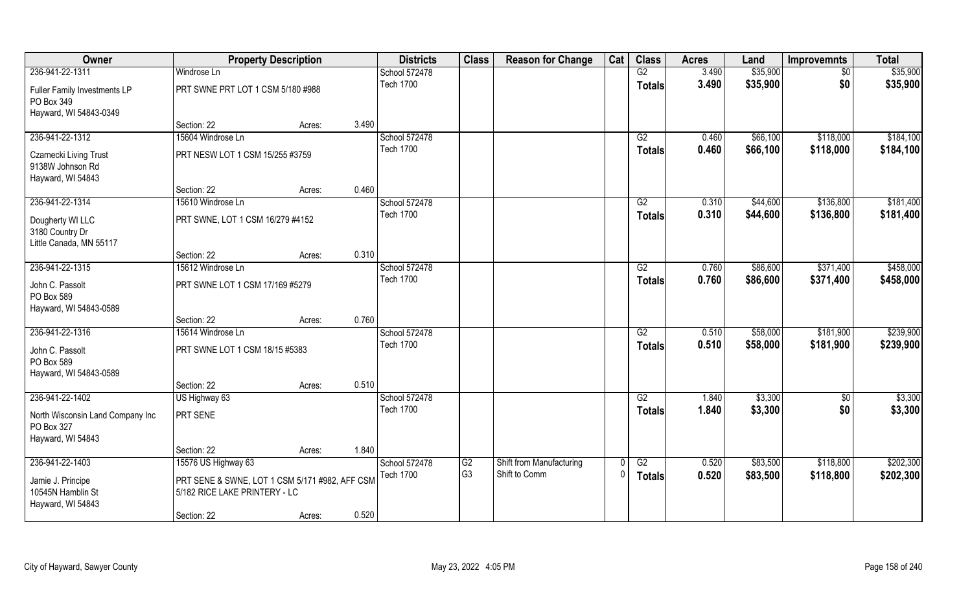| Owner                            | <b>Property Description</b>                    |        |       | <b>Districts</b>                  | <b>Class</b>         | <b>Reason for Change</b>                  | Cat | <b>Class</b>    | <b>Acres</b> | Land     | <b>Improvemnts</b> | <b>Total</b> |
|----------------------------------|------------------------------------------------|--------|-------|-----------------------------------|----------------------|-------------------------------------------|-----|-----------------|--------------|----------|--------------------|--------------|
| 236-941-22-1311                  | Windrose Ln                                    |        |       | School 572478                     |                      |                                           |     | G2              | 3.490        | \$35,900 | $\sqrt{6}$         | \$35,900     |
| Fuller Family Investments LP     | PRT SWNE PRT LOT 1 CSM 5/180 #988              |        |       | <b>Tech 1700</b>                  |                      |                                           |     | <b>Totals</b>   | 3.490        | \$35,900 | \$0                | \$35,900     |
| PO Box 349                       |                                                |        |       |                                   |                      |                                           |     |                 |              |          |                    |              |
| Hayward, WI 54843-0349           |                                                |        |       |                                   |                      |                                           |     |                 |              |          |                    |              |
|                                  | Section: 22                                    | Acres: | 3.490 |                                   |                      |                                           |     |                 |              |          |                    |              |
| 236-941-22-1312                  | 15604 Windrose Ln                              |        |       | School 572478                     |                      |                                           |     | G2              | 0.460        | \$66,100 | \$118,000          | \$184,100    |
| Czarnecki Living Trust           | PRT NESW LOT 1 CSM 15/255 #3759                |        |       | <b>Tech 1700</b>                  |                      |                                           |     | <b>Totals</b>   | 0.460        | \$66,100 | \$118,000          | \$184,100    |
| 9138W Johnson Rd                 |                                                |        |       |                                   |                      |                                           |     |                 |              |          |                    |              |
| Hayward, WI 54843                |                                                |        |       |                                   |                      |                                           |     |                 |              |          |                    |              |
|                                  | Section: 22                                    | Acres: | 0.460 |                                   |                      |                                           |     |                 |              |          |                    |              |
| 236-941-22-1314                  | 15610 Windrose Ln                              |        |       | School 572478                     |                      |                                           |     | G2              | 0.310        | \$44,600 | \$136,800          | \$181,400    |
| Dougherty WI LLC                 | PRT SWNE, LOT 1 CSM 16/279 #4152               |        |       | <b>Tech 1700</b>                  |                      |                                           |     | <b>Totals</b>   | 0.310        | \$44,600 | \$136,800          | \$181,400    |
| 3180 Country Dr                  |                                                |        |       |                                   |                      |                                           |     |                 |              |          |                    |              |
| Little Canada, MN 55117          |                                                |        |       |                                   |                      |                                           |     |                 |              |          |                    |              |
|                                  | Section: 22                                    | Acres: | 0.310 |                                   |                      |                                           |     |                 |              |          |                    |              |
| 236-941-22-1315                  | 15612 Windrose Ln                              |        |       | School 572478                     |                      |                                           |     | G2              | 0.760        | \$86,600 | \$371,400          | \$458,000    |
| John C. Passolt                  | PRT SWNE LOT 1 CSM 17/169 #5279                |        |       | <b>Tech 1700</b>                  |                      |                                           |     | <b>Totals</b>   | 0.760        | \$86,600 | \$371,400          | \$458,000    |
| PO Box 589                       |                                                |        |       |                                   |                      |                                           |     |                 |              |          |                    |              |
| Hayward, WI 54843-0589           |                                                |        |       |                                   |                      |                                           |     |                 |              |          |                    |              |
|                                  | Section: 22                                    | Acres: | 0.760 |                                   |                      |                                           |     |                 |              |          |                    |              |
| 236-941-22-1316                  | 15614 Windrose Ln                              |        |       | School 572478                     |                      |                                           |     | $\overline{G2}$ | 0.510        | \$58,000 | \$181,900          | \$239,900    |
| John C. Passolt                  | PRT SWNE LOT 1 CSM 18/15 #5383                 |        |       | <b>Tech 1700</b>                  |                      |                                           |     | <b>Totals</b>   | 0.510        | \$58,000 | \$181,900          | \$239,900    |
| PO Box 589                       |                                                |        |       |                                   |                      |                                           |     |                 |              |          |                    |              |
| Hayward, WI 54843-0589           |                                                |        |       |                                   |                      |                                           |     |                 |              |          |                    |              |
|                                  | Section: 22                                    | Acres: | 0.510 |                                   |                      |                                           |     |                 |              |          |                    |              |
| 236-941-22-1402                  | US Highway 63                                  |        |       | School 572478                     |                      |                                           |     | G2              | 1.840        | \$3,300  | $\overline{50}$    | \$3,300      |
| North Wisconsin Land Company Inc | PRT SENE                                       |        |       | <b>Tech 1700</b>                  |                      |                                           |     | <b>Totals</b>   | 1.840        | \$3,300  | \$0                | \$3,300      |
| PO Box 327                       |                                                |        |       |                                   |                      |                                           |     |                 |              |          |                    |              |
| Hayward, WI 54843                |                                                |        |       |                                   |                      |                                           |     |                 |              |          |                    |              |
|                                  | Section: 22                                    | Acres: | 1.840 |                                   |                      |                                           |     |                 |              |          |                    |              |
| 236-941-22-1403                  | 15576 US Highway 63                            |        |       | School 572478<br><b>Tech 1700</b> | G2<br>G <sub>3</sub> | Shift from Manufacturing<br>Shift to Comm |     | G2              | 0.520        | \$83,500 | \$118,800          | \$202,300    |
| Jamie J. Principe                | PRT SENE & SWNE, LOT 1 CSM 5/171 #982, AFF CSM |        |       |                                   |                      |                                           |     | <b>Totals</b>   | 0.520        | \$83,500 | \$118,800          | \$202,300    |
| 10545N Hamblin St                | 5/182 RICE LAKE PRINTERY - LC                  |        |       |                                   |                      |                                           |     |                 |              |          |                    |              |
| Hayward, WI 54843                |                                                |        |       |                                   |                      |                                           |     |                 |              |          |                    |              |
|                                  | Section: 22                                    | Acres: | 0.520 |                                   |                      |                                           |     |                 |              |          |                    |              |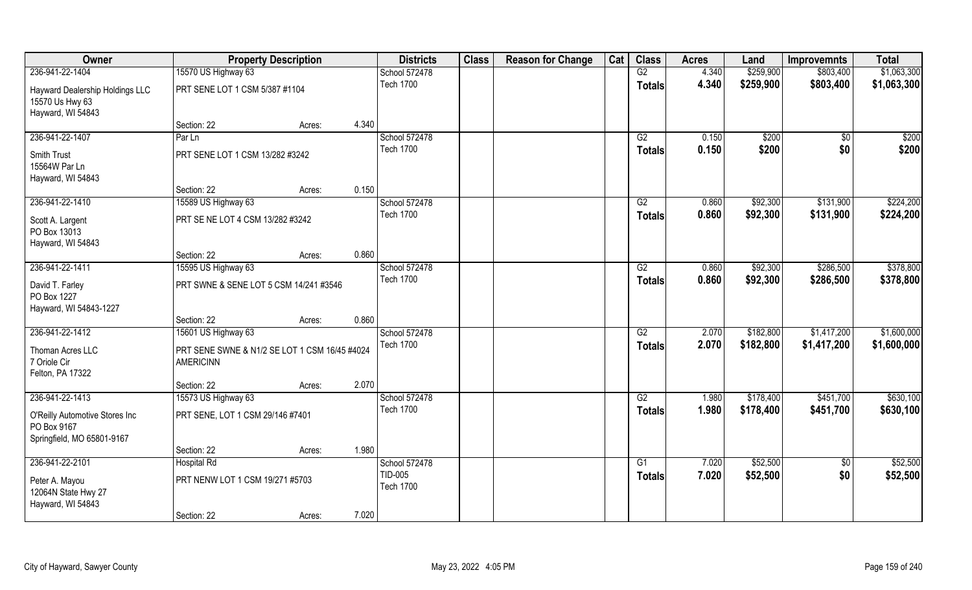| Owner                                 | <b>Property Description</b>                                       |        |       | <b>Districts</b>                  | <b>Class</b> | <b>Reason for Change</b> | Cat | <b>Class</b>    | <b>Acres</b>   | Land      | <b>Improvemnts</b> | <b>Total</b> |
|---------------------------------------|-------------------------------------------------------------------|--------|-------|-----------------------------------|--------------|--------------------------|-----|-----------------|----------------|-----------|--------------------|--------------|
| 236-941-22-1404                       | 15570 US Highway 63                                               |        |       | School 572478                     |              |                          |     | G2              | 4.340          | \$259,900 | \$803,400          | \$1,063,300  |
| Hayward Dealership Holdings LLC       | PRT SENE LOT 1 CSM 5/387 #1104                                    |        |       | <b>Tech 1700</b>                  |              |                          |     | <b>Totals</b>   | 4.340          | \$259,900 | \$803,400          | \$1,063,300  |
| 15570 Us Hwy 63                       |                                                                   |        |       |                                   |              |                          |     |                 |                |           |                    |              |
| Hayward, WI 54843                     |                                                                   |        |       |                                   |              |                          |     |                 |                |           |                    |              |
|                                       | Section: 22                                                       | Acres: | 4.340 |                                   |              |                          |     |                 |                |           |                    |              |
| 236-941-22-1407                       | Par Ln                                                            |        |       | School 572478                     |              |                          |     | $\overline{G2}$ | 0.150          | \$200     | \$0                | \$200        |
| Smith Trust                           | PRT SENE LOT 1 CSM 13/282 #3242                                   |        |       | <b>Tech 1700</b>                  |              |                          |     | Totals          | 0.150          | \$200     | \$0                | \$200        |
| 15564W Par Ln                         |                                                                   |        |       |                                   |              |                          |     |                 |                |           |                    |              |
| Hayward, WI 54843                     |                                                                   |        |       |                                   |              |                          |     |                 |                |           |                    |              |
|                                       | Section: 22                                                       | Acres: | 0.150 |                                   |              |                          |     |                 |                |           |                    |              |
| 236-941-22-1410                       | 15589 US Highway 63                                               |        |       | School 572478<br><b>Tech 1700</b> |              |                          |     | G2              | 0.860<br>0.860 | \$92,300  | \$131,900          | \$224,200    |
| Scott A. Largent                      | PRT SE NE LOT 4 CSM 13/282 #3242                                  |        |       |                                   |              |                          |     | <b>Totals</b>   |                | \$92,300  | \$131,900          | \$224,200    |
| PO Box 13013                          |                                                                   |        |       |                                   |              |                          |     |                 |                |           |                    |              |
| Hayward, WI 54843                     | Section: 22                                                       |        | 0.860 |                                   |              |                          |     |                 |                |           |                    |              |
| 236-941-22-1411                       | 15595 US Highway 63                                               | Acres: |       | School 572478                     |              |                          |     | G2              | 0.860          | \$92,300  | \$286,500          | \$378,800    |
|                                       |                                                                   |        |       | <b>Tech 1700</b>                  |              |                          |     | <b>Totals</b>   | 0.860          | \$92,300  | \$286,500          | \$378,800    |
| David T. Farley                       | PRT SWNE & SENE LOT 5 CSM 14/241 #3546                            |        |       |                                   |              |                          |     |                 |                |           |                    |              |
| PO Box 1227<br>Hayward, WI 54843-1227 |                                                                   |        |       |                                   |              |                          |     |                 |                |           |                    |              |
|                                       | Section: 22                                                       | Acres: | 0.860 |                                   |              |                          |     |                 |                |           |                    |              |
| 236-941-22-1412                       | 15601 US Highway 63                                               |        |       | School 572478                     |              |                          |     | $\overline{G2}$ | 2.070          | \$182,800 | \$1,417,200        | \$1,600,000  |
|                                       |                                                                   |        |       | <b>Tech 1700</b>                  |              |                          |     | <b>Totals</b>   | 2.070          | \$182,800 | \$1,417,200        | \$1,600,000  |
| Thoman Acres LLC<br>7 Oriole Cir      | PRT SENE SWNE & N1/2 SE LOT 1 CSM 16/45 #4024<br><b>AMERICINN</b> |        |       |                                   |              |                          |     |                 |                |           |                    |              |
| Felton, PA 17322                      |                                                                   |        |       |                                   |              |                          |     |                 |                |           |                    |              |
|                                       | Section: 22                                                       | Acres: | 2.070 |                                   |              |                          |     |                 |                |           |                    |              |
| 236-941-22-1413                       | 15573 US Highway 63                                               |        |       | School 572478                     |              |                          |     | G2              | 1.980          | \$178,400 | \$451,700          | \$630,100    |
| O'Reilly Automotive Stores Inc        | PRT SENE, LOT 1 CSM 29/146 #7401                                  |        |       | <b>Tech 1700</b>                  |              |                          |     | <b>Totals</b>   | 1.980          | \$178,400 | \$451,700          | \$630,100    |
| PO Box 9167                           |                                                                   |        |       |                                   |              |                          |     |                 |                |           |                    |              |
| Springfield, MO 65801-9167            |                                                                   |        |       |                                   |              |                          |     |                 |                |           |                    |              |
|                                       | Section: 22                                                       | Acres: | 1.980 |                                   |              |                          |     |                 |                |           |                    |              |
| 236-941-22-2101                       | <b>Hospital Rd</b>                                                |        |       | School 572478                     |              |                          |     | G1              | 7.020          | \$52,500  | $\overline{50}$    | \$52,500     |
| Peter A. Mayou                        | PRT NENW LOT 1 CSM 19/271 #5703                                   |        |       | TID-005                           |              |                          |     | <b>Totals</b>   | 7.020          | \$52,500  | \$0                | \$52,500     |
| 12064N State Hwy 27                   |                                                                   |        |       | <b>Tech 1700</b>                  |              |                          |     |                 |                |           |                    |              |
| Hayward, WI 54843                     |                                                                   |        |       |                                   |              |                          |     |                 |                |           |                    |              |
|                                       | Section: 22                                                       | Acres: | 7.020 |                                   |              |                          |     |                 |                |           |                    |              |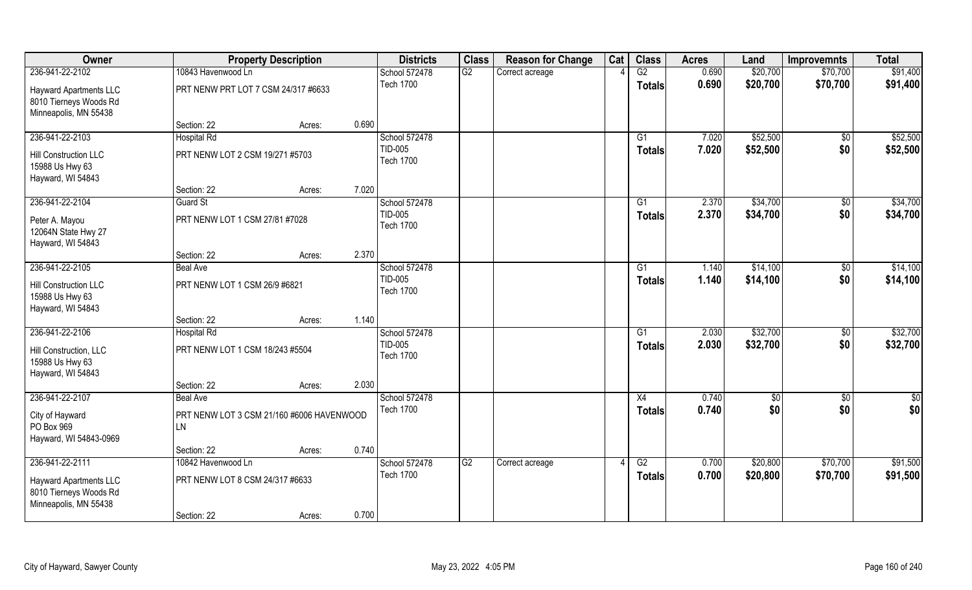| Owner                                     |                                           | <b>Property Description</b> |       | <b>Districts</b>            | <b>Class</b>    | <b>Reason for Change</b> | Cat | <b>Class</b>    | <b>Acres</b> | Land     | <b>Improvemnts</b> | <b>Total</b>  |
|-------------------------------------------|-------------------------------------------|-----------------------------|-------|-----------------------------|-----------------|--------------------------|-----|-----------------|--------------|----------|--------------------|---------------|
| 236-941-22-2102                           | 10843 Havenwood Ln                        |                             |       | School 572478               | G2              | Correct acreage          |     | G2              | 0.690        | \$20,700 | \$70,700           | \$91,400      |
| <b>Hayward Apartments LLC</b>             | PRT NENW PRT LOT 7 CSM 24/317 #6633       |                             |       | <b>Tech 1700</b>            |                 |                          |     | <b>Totals</b>   | 0.690        | \$20,700 | \$70,700           | \$91,400      |
| 8010 Tierneys Woods Rd                    |                                           |                             |       |                             |                 |                          |     |                 |              |          |                    |               |
| Minneapolis, MN 55438                     |                                           |                             |       |                             |                 |                          |     |                 |              |          |                    |               |
|                                           | Section: 22                               | Acres:                      | 0.690 |                             |                 |                          |     |                 |              |          |                    |               |
| 236-941-22-2103                           | <b>Hospital Rd</b>                        |                             |       | School 572478               |                 |                          |     | $\overline{G1}$ | 7.020        | \$52,500 | $\overline{50}$    | \$52,500      |
| Hill Construction LLC                     | PRT NENW LOT 2 CSM 19/271 #5703           |                             |       | TID-005<br><b>Tech 1700</b> |                 |                          |     | Totals          | 7.020        | \$52,500 | \$0                | \$52,500      |
| 15988 Us Hwy 63                           |                                           |                             |       |                             |                 |                          |     |                 |              |          |                    |               |
| Hayward, WI 54843                         |                                           |                             |       |                             |                 |                          |     |                 |              |          |                    |               |
|                                           | Section: 22                               | Acres:                      | 7.020 |                             |                 |                          |     |                 |              |          |                    |               |
| 236-941-22-2104                           | <b>Guard St</b>                           |                             |       | School 572478<br>TID-005    |                 |                          |     | G1              | 2.370        | \$34,700 | \$0                | \$34,700      |
| Peter A. Mayou                            | PRT NENW LOT 1 CSM 27/81 #7028            |                             |       | <b>Tech 1700</b>            |                 |                          |     | <b>Totals</b>   | 2.370        | \$34,700 | \$0                | \$34,700      |
| 12064N State Hwy 27                       |                                           |                             |       |                             |                 |                          |     |                 |              |          |                    |               |
| Hayward, WI 54843                         |                                           |                             |       |                             |                 |                          |     |                 |              |          |                    |               |
| 236-941-22-2105                           | Section: 22<br><b>Beal Ave</b>            | Acres:                      | 2.370 | School 572478               |                 |                          |     | G1              | 1.140        | \$14,100 | $\sqrt{50}$        | \$14,100      |
|                                           |                                           |                             |       | TID-005                     |                 |                          |     | <b>Totals</b>   | 1.140        | \$14,100 | \$0                | \$14,100      |
| Hill Construction LLC                     | PRT NENW LOT 1 CSM 26/9 #6821             |                             |       | <b>Tech 1700</b>            |                 |                          |     |                 |              |          |                    |               |
| 15988 Us Hwy 63                           |                                           |                             |       |                             |                 |                          |     |                 |              |          |                    |               |
| Hayward, WI 54843                         | Section: 22                               | Acres:                      | 1.140 |                             |                 |                          |     |                 |              |          |                    |               |
| 236-941-22-2106                           | <b>Hospital Rd</b>                        |                             |       | School 572478               |                 |                          |     | $\overline{G1}$ | 2.030        | \$32,700 | $\overline{50}$    | \$32,700      |
|                                           |                                           |                             |       | TID-005                     |                 |                          |     | Totals          | 2.030        | \$32,700 | \$0                | \$32,700      |
| Hill Construction, LLC<br>15988 Us Hwy 63 | PRT NENW LOT 1 CSM 18/243 #5504           |                             |       | <b>Tech 1700</b>            |                 |                          |     |                 |              |          |                    |               |
| Hayward, WI 54843                         |                                           |                             |       |                             |                 |                          |     |                 |              |          |                    |               |
|                                           | Section: 22                               | Acres:                      | 2.030 |                             |                 |                          |     |                 |              |          |                    |               |
| 236-941-22-2107                           | <b>Beal Ave</b>                           |                             |       | School 572478               |                 |                          |     | X4              | 0.740        | \$0      | $\overline{50}$    | $\frac{1}{2}$ |
| City of Hayward                           | PRT NENW LOT 3 CSM 21/160 #6006 HAVENWOOD |                             |       | <b>Tech 1700</b>            |                 |                          |     | <b>Totals</b>   | 0.740        | \$0      | \$0                | \$0           |
| PO Box 969                                | LN                                        |                             |       |                             |                 |                          |     |                 |              |          |                    |               |
| Hayward, WI 54843-0969                    |                                           |                             |       |                             |                 |                          |     |                 |              |          |                    |               |
|                                           | Section: 22                               | Acres:                      | 0.740 |                             |                 |                          |     |                 |              |          |                    |               |
| 236-941-22-2111                           | 10842 Havenwood Ln                        |                             |       | School 572478               | $\overline{G2}$ | Correct acreage          |     | $\overline{G2}$ | 0.700        | \$20,800 | \$70,700           | \$91,500      |
| <b>Hayward Apartments LLC</b>             | PRT NENW LOT 8 CSM 24/317 #6633           |                             |       | <b>Tech 1700</b>            |                 |                          |     | <b>Totals</b>   | 0.700        | \$20,800 | \$70,700           | \$91,500      |
| 8010 Tierneys Woods Rd                    |                                           |                             |       |                             |                 |                          |     |                 |              |          |                    |               |
| Minneapolis, MN 55438                     |                                           |                             |       |                             |                 |                          |     |                 |              |          |                    |               |
|                                           | Section: 22                               | Acres:                      | 0.700 |                             |                 |                          |     |                 |              |          |                    |               |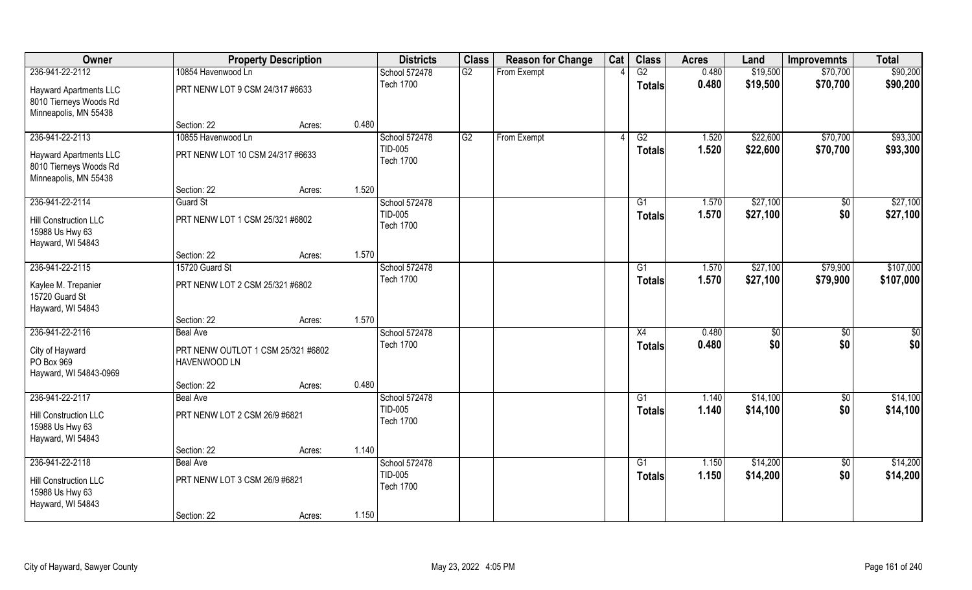| Owner                         | <b>Property Description</b>        |       | <b>Districts</b>            | <b>Class</b> | <b>Reason for Change</b> | Cat | <b>Class</b>    | <b>Acres</b> | Land     | <b>Improvemnts</b> | <b>Total</b> |
|-------------------------------|------------------------------------|-------|-----------------------------|--------------|--------------------------|-----|-----------------|--------------|----------|--------------------|--------------|
| 236-941-22-2112               | 10854 Havenwood Ln                 |       | School 572478               | G2           | From Exempt              |     | G2              | 0.480        | \$19,500 | \$70,700           | \$90,200     |
| <b>Hayward Apartments LLC</b> | PRT NENW LOT 9 CSM 24/317 #6633    |       | <b>Tech 1700</b>            |              |                          |     | <b>Totals</b>   | 0.480        | \$19,500 | \$70,700           | \$90,200     |
| 8010 Tierneys Woods Rd        |                                    |       |                             |              |                          |     |                 |              |          |                    |              |
| Minneapolis, MN 55438         |                                    |       |                             |              |                          |     |                 |              |          |                    |              |
|                               | Section: 22<br>Acres:              | 0.480 |                             |              |                          |     |                 |              |          |                    |              |
| 236-941-22-2113               | 10855 Havenwood Ln                 |       | School 572478               | G2           | From Exempt              |     | G2              | 1.520        | \$22,600 | \$70,700           | \$93,300     |
| <b>Hayward Apartments LLC</b> | PRT NENW LOT 10 CSM 24/317 #6633   |       | TID-005                     |              |                          |     | Totals          | 1.520        | \$22,600 | \$70,700           | \$93,300     |
| 8010 Tierneys Woods Rd        |                                    |       | <b>Tech 1700</b>            |              |                          |     |                 |              |          |                    |              |
| Minneapolis, MN 55438         |                                    |       |                             |              |                          |     |                 |              |          |                    |              |
|                               | Section: 22<br>Acres:              | 1.520 |                             |              |                          |     |                 |              |          |                    |              |
| 236-941-22-2114               | <b>Guard St</b>                    |       | School 572478               |              |                          |     | G1              | 1.570        | \$27,100 | \$0                | \$27,100     |
| <b>Hill Construction LLC</b>  | PRT NENW LOT 1 CSM 25/321 #6802    |       | TID-005<br><b>Tech 1700</b> |              |                          |     | <b>Totals</b>   | 1.570        | \$27,100 | \$0                | \$27,100     |
| 15988 Us Hwy 63               |                                    |       |                             |              |                          |     |                 |              |          |                    |              |
| Hayward, WI 54843             |                                    |       |                             |              |                          |     |                 |              |          |                    |              |
|                               | Section: 22<br>Acres:              | 1.570 |                             |              |                          |     |                 |              |          |                    |              |
| 236-941-22-2115               | 15720 Guard St                     |       | School 572478               |              |                          |     | G1              | 1.570        | \$27,100 | \$79,900           | \$107,000    |
| Kaylee M. Trepanier           | PRT NENW LOT 2 CSM 25/321 #6802    |       | <b>Tech 1700</b>            |              |                          |     | <b>Totals</b>   | 1.570        | \$27,100 | \$79,900           | \$107,000    |
| 15720 Guard St                |                                    |       |                             |              |                          |     |                 |              |          |                    |              |
| Hayward, WI 54843             |                                    |       |                             |              |                          |     |                 |              |          |                    |              |
|                               | Section: 22<br>Acres:              | 1.570 |                             |              |                          |     |                 |              |          |                    |              |
| 236-941-22-2116               | <b>Beal Ave</b>                    |       | School 572478               |              |                          |     | X4              | 0.480        | \$0      | $\overline{50}$    | \$0          |
| City of Hayward               | PRT NENW OUTLOT 1 CSM 25/321 #6802 |       | <b>Tech 1700</b>            |              |                          |     | <b>Totals</b>   | 0.480        | \$0      | \$0                | \$0          |
| PO Box 969                    | HAVENWOOD LN                       |       |                             |              |                          |     |                 |              |          |                    |              |
| Hayward, WI 54843-0969        |                                    |       |                             |              |                          |     |                 |              |          |                    |              |
|                               | Section: 22<br>Acres:              | 0.480 |                             |              |                          |     |                 |              |          |                    |              |
| 236-941-22-2117               | <b>Beal Ave</b>                    |       | School 572478               |              |                          |     | $\overline{G1}$ | 1.140        | \$14,100 | $\overline{50}$    | \$14,100     |
| Hill Construction LLC         | PRT NENW LOT 2 CSM 26/9 #6821      |       | TID-005<br><b>Tech 1700</b> |              |                          |     | <b>Totals</b>   | 1.140        | \$14,100 | \$0                | \$14,100     |
| 15988 Us Hwy 63               |                                    |       |                             |              |                          |     |                 |              |          |                    |              |
| Hayward, WI 54843             |                                    |       |                             |              |                          |     |                 |              |          |                    |              |
|                               | Section: 22<br>Acres:              | 1.140 |                             |              |                          |     |                 |              |          |                    |              |
| 236-941-22-2118               | <b>Beal Ave</b>                    |       | School 572478               |              |                          |     | G1              | 1.150        | \$14,200 | $\overline{50}$    | \$14,200     |
| Hill Construction LLC         | PRT NENW LOT 3 CSM 26/9 #6821      |       | TID-005<br><b>Tech 1700</b> |              |                          |     | <b>Totals</b>   | 1.150        | \$14,200 | \$0                | \$14,200     |
| 15988 Us Hwy 63               |                                    |       |                             |              |                          |     |                 |              |          |                    |              |
| Hayward, WI 54843             |                                    |       |                             |              |                          |     |                 |              |          |                    |              |
|                               | Section: 22<br>Acres:              | 1.150 |                             |              |                          |     |                 |              |          |                    |              |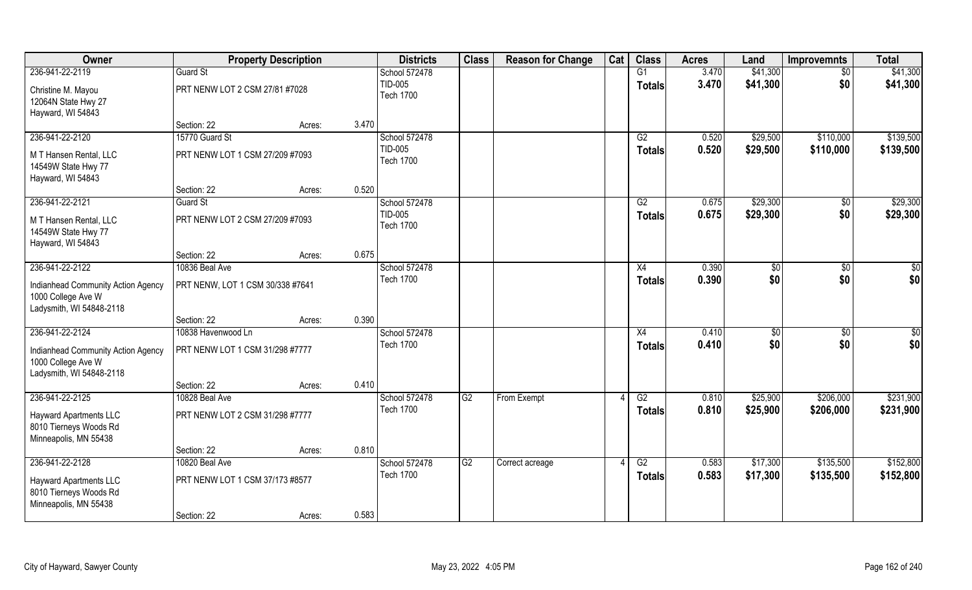| Owner                                                                                |                                  | <b>Property Description</b> |       | <b>Districts</b>            | <b>Class</b> | <b>Reason for Change</b> | Cat | <b>Class</b>  | <b>Acres</b> | Land     | <b>Improvemnts</b> | <b>Total</b> |
|--------------------------------------------------------------------------------------|----------------------------------|-----------------------------|-------|-----------------------------|--------------|--------------------------|-----|---------------|--------------|----------|--------------------|--------------|
| 236-941-22-2119                                                                      | <b>Guard St</b>                  |                             |       | School 572478               |              |                          |     | G1            | 3.470        | \$41,300 | $\sqrt{6}$         | \$41,300     |
| Christine M. Mayou<br>12064N State Hwy 27                                            | PRT NENW LOT 2 CSM 27/81 #7028   |                             |       | TID-005<br><b>Tech 1700</b> |              |                          |     | <b>Totals</b> | 3.470        | \$41,300 | \$0                | \$41,300     |
| Hayward, WI 54843                                                                    |                                  |                             |       |                             |              |                          |     |               |              |          |                    |              |
|                                                                                      | Section: 22                      | Acres:                      | 3.470 |                             |              |                          |     |               |              |          |                    |              |
| 236-941-22-2120                                                                      | 15770 Guard St                   |                             |       | School 572478               |              |                          |     | G2            | 0.520        | \$29,500 | \$110,000          | \$139,500    |
| M T Hansen Rental, LLC<br>14549W State Hwy 77<br>Hayward, WI 54843                   | PRT NENW LOT 1 CSM 27/209 #7093  |                             |       | TID-005<br><b>Tech 1700</b> |              |                          |     | Totals        | 0.520        | \$29,500 | \$110,000          | \$139,500    |
|                                                                                      | Section: 22                      | Acres:                      | 0.520 |                             |              |                          |     |               |              |          |                    |              |
| 236-941-22-2121                                                                      | <b>Guard St</b>                  |                             |       | School 572478               |              |                          |     | G2            | 0.675        | \$29,300 | \$0                | \$29,300     |
| M T Hansen Rental, LLC<br>14549W State Hwy 77<br>Hayward, WI 54843                   | PRT NENW LOT 2 CSM 27/209 #7093  |                             |       | TID-005<br><b>Tech 1700</b> |              |                          |     | <b>Totals</b> | 0.675        | \$29,300 | \$0                | \$29,300     |
|                                                                                      | Section: 22                      | Acres:                      | 0.675 |                             |              |                          |     |               |              |          |                    |              |
| 236-941-22-2122                                                                      | 10836 Beal Ave                   |                             |       | School 572478               |              |                          |     | X4            | 0.390        | \$0      | $\sqrt{50}$        | \$0          |
| Indianhead Community Action Agency<br>1000 College Ave W<br>Ladysmith, WI 54848-2118 | PRT NENW, LOT 1 CSM 30/338 #7641 |                             |       | <b>Tech 1700</b>            |              |                          |     | <b>Totals</b> | 0.390        | \$0      | \$0                | \$0          |
|                                                                                      | Section: 22                      | Acres:                      | 0.390 |                             |              |                          |     |               |              |          |                    |              |
| 236-941-22-2124                                                                      | 10838 Havenwood Ln               |                             |       | School 572478               |              |                          |     | X4            | 0.410        | \$0      | $\overline{50}$    | \$0          |
| Indianhead Community Action Agency                                                   | PRT NENW LOT 1 CSM 31/298 #7777  |                             |       | <b>Tech 1700</b>            |              |                          |     | <b>Totals</b> | 0.410        | \$0      | \$0                | \$0          |
| 1000 College Ave W                                                                   |                                  |                             |       |                             |              |                          |     |               |              |          |                    |              |
| Ladysmith, WI 54848-2118                                                             | Section: 22                      | Acres:                      | 0.410 |                             |              |                          |     |               |              |          |                    |              |
| 236-941-22-2125                                                                      | 10828 Beal Ave                   |                             |       | School 572478               | G2           | From Exempt              |     | G2            | 0.810        | \$25,900 | \$206,000          | \$231,900    |
| <b>Hayward Apartments LLC</b><br>8010 Tierneys Woods Rd<br>Minneapolis, MN 55438     | PRT NENW LOT 2 CSM 31/298 #7777  |                             |       | <b>Tech 1700</b>            |              |                          |     | <b>Totals</b> | 0.810        | \$25,900 | \$206,000          | \$231,900    |
|                                                                                      | Section: 22                      | Acres:                      | 0.810 |                             |              |                          |     |               |              |          |                    |              |
| 236-941-22-2128                                                                      | 10820 Beal Ave                   |                             |       | School 572478               | G2           | Correct acreage          |     | G2            | 0.583        | \$17,300 | \$135,500          | \$152,800    |
| <b>Hayward Apartments LLC</b><br>8010 Tierneys Woods Rd<br>Minneapolis, MN 55438     | PRT NENW LOT 1 CSM 37/173 #8577  |                             |       | <b>Tech 1700</b>            |              |                          |     | <b>Totals</b> | 0.583        | \$17,300 | \$135,500          | \$152,800    |
|                                                                                      | Section: 22                      | Acres:                      | 0.583 |                             |              |                          |     |               |              |          |                    |              |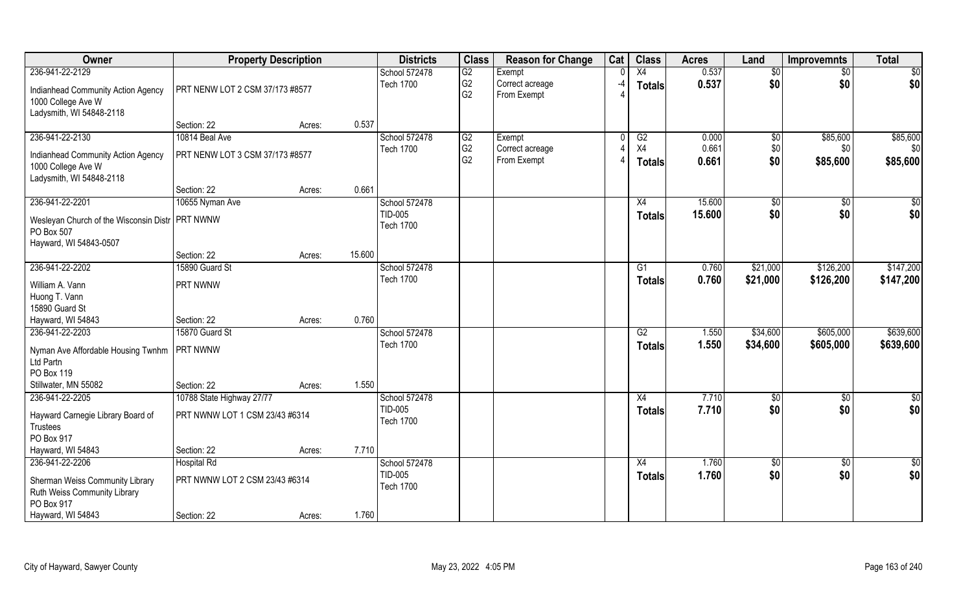| Owner                                                                                                   | <b>Property Description</b>                          |        |        | <b>Districts</b>                             | <b>Class</b>                           | <b>Reason for Change</b>                 | Cat  | <b>Class</b>                     | <b>Acres</b>     | Land                 | <b>Improvemnts</b>     | <b>Total</b>           |
|---------------------------------------------------------------------------------------------------------|------------------------------------------------------|--------|--------|----------------------------------------------|----------------------------------------|------------------------------------------|------|----------------------------------|------------------|----------------------|------------------------|------------------------|
| 236-941-22-2129<br>Indianhead Community Action Agency<br>1000 College Ave W<br>Ladysmith, WI 54848-2118 | PRT NENW LOT 2 CSM 37/173 #8577                      |        |        | School 572478<br><b>Tech 1700</b>            | G2<br>G <sub>2</sub><br>G <sub>2</sub> | Exempt<br>Correct acreage<br>From Exempt | $-4$ | X4<br><b>Totals</b>              | 0.537<br>0.537   | \$0<br>\$0           | \$0<br>\$0             | \$0<br>\$0             |
|                                                                                                         | Section: 22                                          | Acres: | 0.537  |                                              |                                        |                                          |      |                                  |                  |                      |                        |                        |
| 236-941-22-2130<br>Indianhead Community Action Agency                                                   | 10814 Beal Ave<br>PRT NENW LOT 3 CSM 37/173 #8577    |        |        | School 572478<br><b>Tech 1700</b>            | G2<br>G <sub>2</sub>                   | Exempt<br>Correct acreage                |      | G2<br>X4                         | 0.000<br>0.661   | $\sqrt[6]{}$<br>\$0  | \$85,600<br>\$0        | \$85,600<br>\$0        |
| 1000 College Ave W<br>Ladysmith, WI 54848-2118                                                          |                                                      |        |        |                                              | G <sub>2</sub>                         | From Exempt                              |      | <b>Totals</b>                    | 0.661            | \$0                  | \$85,600               | \$85,600               |
|                                                                                                         | Section: 22                                          | Acres: | 0.661  |                                              |                                        |                                          |      |                                  |                  |                      |                        |                        |
| 236-941-22-2201<br>Wesleyan Church of the Wisconsin Distr   PRT NWNW<br>PO Box 507                      | 10655 Nyman Ave                                      |        |        | School 572478<br>TID-005<br><b>Tech 1700</b> |                                        |                                          |      | X4<br><b>Totals</b>              | 15.600<br>15.600 | \$0<br>\$0           | \$0<br>\$0             | \$0<br>\$0             |
| Hayward, WI 54843-0507                                                                                  | Section: 22                                          | Acres: | 15.600 |                                              |                                        |                                          |      |                                  |                  |                      |                        |                        |
| 236-941-22-2202                                                                                         | 15890 Guard St                                       |        |        | School 572478                                |                                        |                                          |      | G1                               | 0.760            | \$21,000             | \$126,200              | \$147,200              |
| William A. Vann<br>Huong T. Vann<br>15890 Guard St                                                      | PRT NWNW                                             |        |        | <b>Tech 1700</b>                             |                                        |                                          |      | <b>Totals</b>                    | 0.760            | \$21,000             | \$126,200              | \$147,200              |
| Hayward, WI 54843                                                                                       | Section: 22                                          | Acres: | 0.760  |                                              |                                        |                                          |      |                                  |                  |                      |                        |                        |
| 236-941-22-2203                                                                                         | 15870 Guard St                                       |        |        | School 572478<br><b>Tech 1700</b>            |                                        |                                          |      | $\overline{G2}$<br><b>Totals</b> | 1.550<br>1.550   | \$34,600<br>\$34,600 | \$605,000<br>\$605,000 | \$639,600<br>\$639,600 |
| Nyman Ave Affordable Housing Twnhm<br>Ltd Partn<br>PO Box 119                                           | <b>PRT NWNW</b>                                      |        |        |                                              |                                        |                                          |      |                                  |                  |                      |                        |                        |
| Stillwater, MN 55082                                                                                    | Section: 22                                          | Acres: | 1.550  |                                              |                                        |                                          |      |                                  |                  |                      |                        |                        |
| 236-941-22-2205                                                                                         | 10788 State Highway 27/77                            |        |        | School 572478                                |                                        |                                          |      | X4                               | 7.710            | \$0                  | $\overline{50}$        | $\frac{6}{3}$          |
| Hayward Carnegie Library Board of<br>Trustees<br>PO Box 917                                             | PRT NWNW LOT 1 CSM 23/43 #6314                       |        |        | TID-005<br><b>Tech 1700</b>                  |                                        |                                          |      | <b>Totals</b>                    | 7.710            | \$0                  | \$0                    | \$0                    |
| Hayward, WI 54843                                                                                       | Section: 22                                          | Acres: | 7.710  |                                              |                                        |                                          |      |                                  |                  |                      |                        |                        |
| 236-941-22-2206<br>Sherman Weiss Community Library<br>Ruth Weiss Community Library<br>PO Box 917        | <b>Hospital Rd</b><br>PRT NWNW LOT 2 CSM 23/43 #6314 |        |        | School 572478<br>TID-005<br><b>Tech 1700</b> |                                        |                                          |      | X4<br><b>Totals</b>              | 1.760<br>1.760   | \$0<br>\$0           | $\sqrt[6]{30}$<br>\$0  | $\frac{1}{6}$<br>\$0   |
| Hayward, WI 54843                                                                                       | Section: 22                                          | Acres: | 1.760  |                                              |                                        |                                          |      |                                  |                  |                      |                        |                        |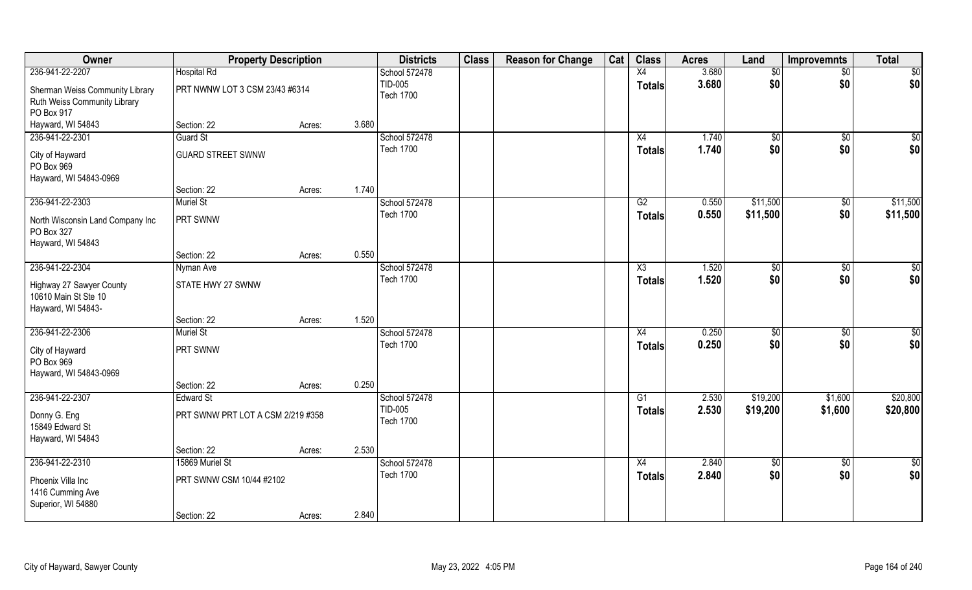| Owner                                                                  | <b>Property Description</b>       |        |       | <b>Districts</b>            | <b>Class</b> | <b>Reason for Change</b> | Cat | <b>Class</b>  | <b>Acres</b> | Land            | <b>Improvemnts</b> | <b>Total</b>  |
|------------------------------------------------------------------------|-----------------------------------|--------|-------|-----------------------------|--------------|--------------------------|-----|---------------|--------------|-----------------|--------------------|---------------|
| 236-941-22-2207                                                        | <b>Hospital Rd</b>                |        |       | School 572478               |              |                          |     | X4            | 3.680        | \$0             | $\overline{50}$    | \$0           |
| Sherman Weiss Community Library<br>Ruth Weiss Community Library        | PRT NWNW LOT 3 CSM 23/43 #6314    |        |       | TID-005<br><b>Tech 1700</b> |              |                          |     | <b>Totals</b> | 3.680        | \$0             | \$0                | \$0           |
| PO Box 917<br>Hayward, WI 54843                                        | Section: 22                       | Acres: | 3.680 |                             |              |                          |     |               |              |                 |                    |               |
| 236-941-22-2301                                                        | <b>Guard St</b>                   |        |       | School 572478               |              |                          |     | X4            | 1.740        | $\sqrt{50}$     | $\sqrt{6}$         | \$0           |
|                                                                        |                                   |        |       | <b>Tech 1700</b>            |              |                          |     | <b>Totals</b> | 1.740        | \$0             | \$0                | \$0           |
| City of Hayward<br>PO Box 969                                          | <b>GUARD STREET SWNW</b>          |        |       |                             |              |                          |     |               |              |                 |                    |               |
| Hayward, WI 54843-0969                                                 |                                   |        | 1.740 |                             |              |                          |     |               |              |                 |                    |               |
| 236-941-22-2303                                                        | Section: 22<br><b>Muriel St</b>   | Acres: |       | School 572478               |              |                          |     | G2            | 0.550        | \$11,500        | $\overline{50}$    | \$11,500      |
|                                                                        | <b>PRT SWNW</b>                   |        |       | <b>Tech 1700</b>            |              |                          |     | <b>Totals</b> | 0.550        | \$11,500        | \$0                | \$11,500      |
| North Wisconsin Land Company Inc<br>PO Box 327                         |                                   |        |       |                             |              |                          |     |               |              |                 |                    |               |
| Hayward, WI 54843                                                      | Section: 22                       |        | 0.550 |                             |              |                          |     |               |              |                 |                    |               |
| 236-941-22-2304                                                        | Nyman Ave                         | Acres: |       | School 572478               |              |                          |     | X3            | 1.520        |                 | \$0                | \$0           |
|                                                                        |                                   |        |       | <b>Tech 1700</b>            |              |                          |     |               | 1.520        | \$0<br>\$0      | \$0                | \$0           |
| Highway 27 Sawyer County<br>10610 Main St Ste 10<br>Hayward, WI 54843- | STATE HWY 27 SWNW                 |        |       |                             |              |                          |     | <b>Totals</b> |              |                 |                    |               |
|                                                                        | Section: 22                       | Acres: | 1.520 |                             |              |                          |     |               |              |                 |                    |               |
| 236-941-22-2306                                                        | <b>Muriel St</b>                  |        |       | School 572478               |              |                          |     | X4            | 0.250        | \$              | \$0                | $\frac{6}{3}$ |
| City of Hayward                                                        | <b>PRT SWNW</b>                   |        |       | <b>Tech 1700</b>            |              |                          |     | <b>Totals</b> | 0.250        | \$0             | \$0                | \$0           |
| PO Box 969<br>Hayward, WI 54843-0969                                   |                                   |        |       |                             |              |                          |     |               |              |                 |                    |               |
|                                                                        | Section: 22                       | Acres: | 0.250 |                             |              |                          |     |               |              |                 |                    |               |
| 236-941-22-2307                                                        | <b>Edward St</b>                  |        |       | School 572478               |              |                          |     | G1            | 2.530        | \$19,200        | \$1,600            | \$20,800      |
| Donny G. Eng<br>15849 Edward St<br>Hayward, WI 54843                   | PRT SWNW PRT LOT A CSM 2/219 #358 |        |       | TID-005<br><b>Tech 1700</b> |              |                          |     | <b>Totals</b> | 2.530        | \$19,200        | \$1,600            | \$20,800      |
|                                                                        | Section: 22                       | Acres: | 2.530 |                             |              |                          |     |               |              |                 |                    |               |
| 236-941-22-2310                                                        | 15869 Muriel St                   |        |       | School 572478               |              |                          |     | X4            | 2.840        | $\overline{50}$ | $\overline{50}$    | $\frac{1}{6}$ |
|                                                                        |                                   |        |       | <b>Tech 1700</b>            |              |                          |     | <b>Totals</b> | 2.840        | \$0             | \$0                | \$0           |
| Phoenix Villa Inc<br>1416 Cumming Ave<br>Superior, WI 54880            | PRT SWNW CSM 10/44 #2102          |        |       |                             |              |                          |     |               |              |                 |                    |               |
|                                                                        | Section: 22                       | Acres: | 2.840 |                             |              |                          |     |               |              |                 |                    |               |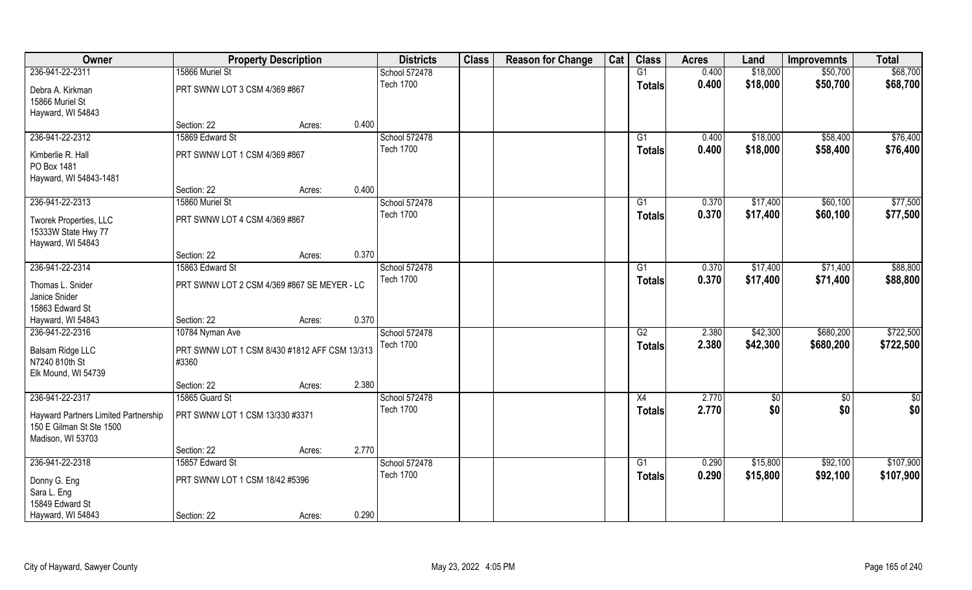| Owner                                                                                 |                                                        | <b>Property Description</b> |       | <b>Districts</b> | <b>Class</b> | <b>Reason for Change</b> | Cat | <b>Class</b>    | <b>Acres</b> | Land     | <b>Improvemnts</b> | <b>Total</b> |
|---------------------------------------------------------------------------------------|--------------------------------------------------------|-----------------------------|-------|------------------|--------------|--------------------------|-----|-----------------|--------------|----------|--------------------|--------------|
| 236-941-22-2311                                                                       | 15866 Muriel St                                        |                             |       | School 572478    |              |                          |     | G1              | 0.400        | \$18,000 | \$50,700           | \$68,700     |
| Debra A. Kirkman<br>15866 Muriel St                                                   | PRT SWNW LOT 3 CSM 4/369 #867                          |                             |       | <b>Tech 1700</b> |              |                          |     | <b>Totals</b>   | 0.400        | \$18,000 | \$50,700           | \$68,700     |
| Hayward, WI 54843                                                                     |                                                        |                             |       |                  |              |                          |     |                 |              |          |                    |              |
|                                                                                       | Section: 22                                            | Acres:                      | 0.400 |                  |              |                          |     |                 |              |          |                    |              |
| 236-941-22-2312                                                                       | 15869 Edward St                                        |                             |       | School 572478    |              |                          |     | G1              | 0.400        | \$18,000 | \$58,400           | \$76,400     |
| Kimberlie R. Hall                                                                     | PRT SWNW LOT 1 CSM 4/369 #867                          |                             |       | <b>Tech 1700</b> |              |                          |     | <b>Totals</b>   | 0.400        | \$18,000 | \$58,400           | \$76,400     |
| PO Box 1481<br>Hayward, WI 54843-1481                                                 |                                                        |                             |       |                  |              |                          |     |                 |              |          |                    |              |
|                                                                                       | Section: 22                                            | Acres:                      | 0.400 |                  |              |                          |     |                 |              |          |                    |              |
| 236-941-22-2313                                                                       | 15860 Muriel St                                        |                             |       | School 572478    |              |                          |     | G1              | 0.370        | \$17,400 | \$60,100           | \$77,500     |
| Tworek Properties, LLC<br>15333W State Hwy 77<br>Hayward, WI 54843                    | PRT SWNW LOT 4 CSM 4/369 #867                          |                             |       | <b>Tech 1700</b> |              |                          |     | <b>Totals</b>   | 0.370        | \$17,400 | \$60,100           | \$77,500     |
|                                                                                       | Section: 22                                            | Acres:                      | 0.370 |                  |              |                          |     |                 |              |          |                    |              |
| 236-941-22-2314                                                                       | 15863 Edward St                                        |                             |       | School 572478    |              |                          |     | G1              | 0.370        | \$17,400 | \$71,400           | \$88,800     |
| Thomas L. Snider<br>Janice Snider<br>15863 Edward St                                  | PRT SWNW LOT 2 CSM 4/369 #867 SE MEYER - LC            |                             |       | <b>Tech 1700</b> |              |                          |     | <b>Totals</b>   | 0.370        | \$17,400 | \$71,400           | \$88,800     |
| Hayward, WI 54843                                                                     | Section: 22                                            | Acres:                      | 0.370 |                  |              |                          |     |                 |              |          |                    |              |
| 236-941-22-2316                                                                       | 10784 Nyman Ave                                        |                             |       | School 572478    |              |                          |     | G2              | 2.380        | \$42,300 | \$680,200          | \$722,500    |
| Balsam Ridge LLC<br>N7240 810th St<br>Elk Mound, WI 54739                             | PRT SWNW LOT 1 CSM 8/430 #1812 AFF CSM 13/313<br>#3360 |                             |       | <b>Tech 1700</b> |              |                          |     | <b>Totals</b>   | 2.380        | \$42,300 | \$680,200          | \$722,500    |
|                                                                                       | Section: 22                                            | Acres:                      | 2.380 |                  |              |                          |     |                 |              |          |                    |              |
| 236-941-22-2317                                                                       | 15865 Guard St                                         |                             |       | School 572478    |              |                          |     | X4              | 2.770        | \$0      | \$0                | \$0          |
| Hayward Partners Limited Partnership<br>150 E Gilman St Ste 1500<br>Madison, WI 53703 | PRT SWNW LOT 1 CSM 13/330 #3371                        |                             |       | <b>Tech 1700</b> |              |                          |     | <b>Totals</b>   | 2.770        | \$0      | \$0                | \$0          |
|                                                                                       | Section: 22                                            | Acres:                      | 2.770 |                  |              |                          |     |                 |              |          |                    |              |
| 236-941-22-2318                                                                       | 15857 Edward St                                        |                             |       | School 572478    |              |                          |     | $\overline{G1}$ | 0.290        | \$15,800 | \$92,100           | \$107,900    |
| Donny G. Eng                                                                          | PRT SWNW LOT 1 CSM 18/42 #5396                         |                             |       | <b>Tech 1700</b> |              |                          |     | <b>Totals</b>   | 0.290        | \$15,800 | \$92,100           | \$107,900    |
| Sara L. Eng<br>15849 Edward St                                                        |                                                        |                             |       |                  |              |                          |     |                 |              |          |                    |              |
| Hayward, WI 54843                                                                     | Section: 22                                            | Acres:                      | 0.290 |                  |              |                          |     |                 |              |          |                    |              |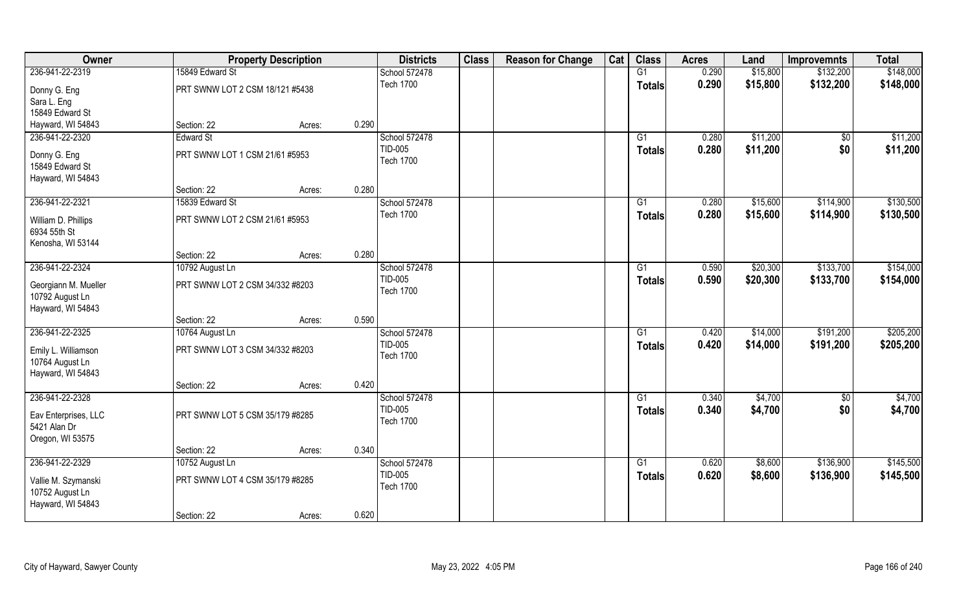| Owner                |                                 | <b>Property Description</b> |       | <b>Districts</b> | <b>Class</b> | <b>Reason for Change</b> | Cat | <b>Class</b>    | <b>Acres</b> | Land     | <b>Improvemnts</b> | <b>Total</b> |
|----------------------|---------------------------------|-----------------------------|-------|------------------|--------------|--------------------------|-----|-----------------|--------------|----------|--------------------|--------------|
| 236-941-22-2319      | 15849 Edward St                 |                             |       | School 572478    |              |                          |     | G1              | 0.290        | \$15,800 | \$132,200          | \$148,000    |
| Donny G. Eng         | PRT SWNW LOT 2 CSM 18/121 #5438 |                             |       | <b>Tech 1700</b> |              |                          |     | <b>Totals</b>   | 0.290        | \$15,800 | \$132,200          | \$148,000    |
| Sara L. Eng          |                                 |                             |       |                  |              |                          |     |                 |              |          |                    |              |
| 15849 Edward St      |                                 |                             |       |                  |              |                          |     |                 |              |          |                    |              |
| Hayward, WI 54843    | Section: 22                     | Acres:                      | 0.290 |                  |              |                          |     |                 |              |          |                    |              |
| 236-941-22-2320      | Edward St                       |                             |       | School 572478    |              |                          |     | G1              | 0.280        | \$11,200 | $\overline{50}$    | \$11,200     |
| Donny G. Eng         | PRT SWNW LOT 1 CSM 21/61 #5953  |                             |       | TID-005          |              |                          |     | Totals          | 0.280        | \$11,200 | \$0                | \$11,200     |
| 15849 Edward St      |                                 |                             |       | <b>Tech 1700</b> |              |                          |     |                 |              |          |                    |              |
| Hayward, WI 54843    |                                 |                             |       |                  |              |                          |     |                 |              |          |                    |              |
|                      | Section: 22                     | Acres:                      | 0.280 |                  |              |                          |     |                 |              |          |                    |              |
| 236-941-22-2321      | 15839 Edward St                 |                             |       | School 572478    |              |                          |     | G1              | 0.280        | \$15,600 | \$114,900          | \$130,500    |
| William D. Phillips  | PRT SWNW LOT 2 CSM 21/61 #5953  |                             |       | <b>Tech 1700</b> |              |                          |     | <b>Totals</b>   | 0.280        | \$15,600 | \$114,900          | \$130,500    |
| 6934 55th St         |                                 |                             |       |                  |              |                          |     |                 |              |          |                    |              |
| Kenosha, WI 53144    |                                 |                             |       |                  |              |                          |     |                 |              |          |                    |              |
|                      | Section: 22                     | Acres:                      | 0.280 |                  |              |                          |     |                 |              |          |                    |              |
| 236-941-22-2324      | 10792 August Ln                 |                             |       | School 572478    |              |                          |     | G1              | 0.590        | \$20,300 | \$133,700          | \$154,000    |
| Georgiann M. Mueller | PRT SWNW LOT 2 CSM 34/332 #8203 |                             |       | TID-005          |              |                          |     | <b>Totals</b>   | 0.590        | \$20,300 | \$133,700          | \$154,000    |
| 10792 August Ln      |                                 |                             |       | <b>Tech 1700</b> |              |                          |     |                 |              |          |                    |              |
| Hayward, WI 54843    |                                 |                             |       |                  |              |                          |     |                 |              |          |                    |              |
|                      | Section: 22                     | Acres:                      | 0.590 |                  |              |                          |     |                 |              |          |                    |              |
| 236-941-22-2325      | 10764 August Ln                 |                             |       | School 572478    |              |                          |     | $\overline{G1}$ | 0.420        | \$14,000 | \$191,200          | \$205,200    |
| Emily L. Williamson  | PRT SWNW LOT 3 CSM 34/332 #8203 |                             |       | TID-005          |              |                          |     | <b>Totals</b>   | 0.420        | \$14,000 | \$191,200          | \$205,200    |
| 10764 August Ln      |                                 |                             |       | <b>Tech 1700</b> |              |                          |     |                 |              |          |                    |              |
| Hayward, WI 54843    |                                 |                             |       |                  |              |                          |     |                 |              |          |                    |              |
|                      | Section: 22                     | Acres:                      | 0.420 |                  |              |                          |     |                 |              |          |                    |              |
| 236-941-22-2328      |                                 |                             |       | School 572478    |              |                          |     | G1              | 0.340        | \$4,700  | $\overline{50}$    | \$4,700      |
| Eav Enterprises, LLC | PRT SWNW LOT 5 CSM 35/179 #8285 |                             |       | TID-005          |              |                          |     | <b>Totals</b>   | 0.340        | \$4,700  | \$0                | \$4,700      |
| 5421 Alan Dr         |                                 |                             |       | <b>Tech 1700</b> |              |                          |     |                 |              |          |                    |              |
| Oregon, WI 53575     |                                 |                             |       |                  |              |                          |     |                 |              |          |                    |              |
|                      | Section: 22                     | Acres:                      | 0.340 |                  |              |                          |     |                 |              |          |                    |              |
| 236-941-22-2329      | 10752 August Ln                 |                             |       | School 572478    |              |                          |     | $\overline{G1}$ | 0.620        | \$8,600  | \$136,900          | \$145,500    |
| Vallie M. Szymanski  | PRT SWNW LOT 4 CSM 35/179 #8285 |                             |       | TID-005          |              |                          |     | <b>Totals</b>   | 0.620        | \$8,600  | \$136,900          | \$145,500    |
| 10752 August Ln      |                                 |                             |       | <b>Tech 1700</b> |              |                          |     |                 |              |          |                    |              |
| Hayward, WI 54843    |                                 |                             |       |                  |              |                          |     |                 |              |          |                    |              |
|                      | Section: 22                     | Acres:                      | 0.620 |                  |              |                          |     |                 |              |          |                    |              |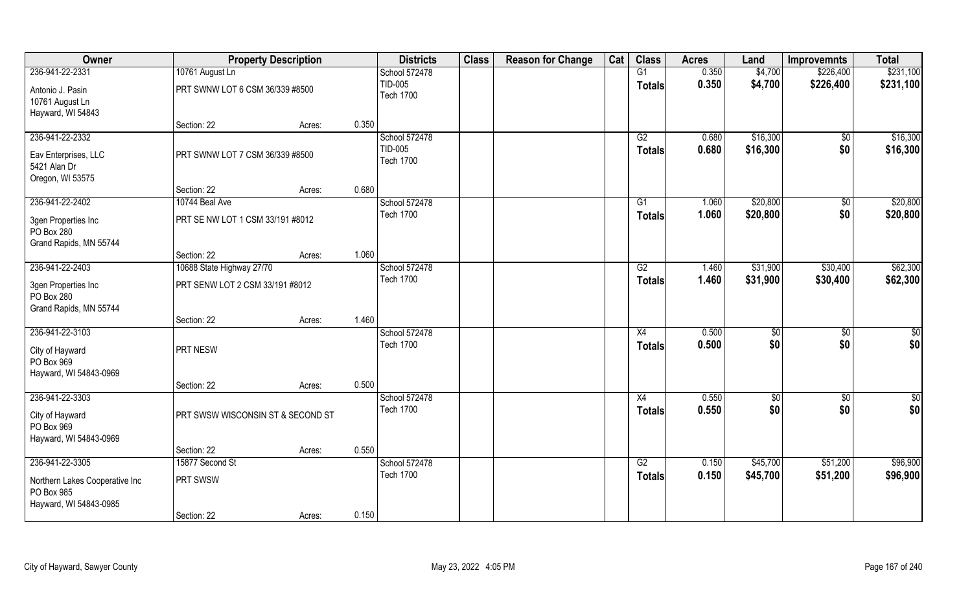| Owner                                |                                   | <b>Property Description</b> |       | <b>Districts</b>                  | <b>Class</b> | <b>Reason for Change</b> | Cat | <b>Class</b>  | <b>Acres</b> | Land     | <b>Improvemnts</b>     | <b>Total</b>  |
|--------------------------------------|-----------------------------------|-----------------------------|-------|-----------------------------------|--------------|--------------------------|-----|---------------|--------------|----------|------------------------|---------------|
| 236-941-22-2331                      | 10761 August Ln                   |                             |       | School 572478                     |              |                          |     | G1            | 0.350        | \$4,700  | \$226,400              | \$231,100     |
| Antonio J. Pasin                     | PRT SWNW LOT 6 CSM 36/339 #8500   |                             |       | TID-005                           |              |                          |     | <b>Totals</b> | 0.350        | \$4,700  | \$226,400              | \$231,100     |
| 10761 August Ln                      |                                   |                             |       | <b>Tech 1700</b>                  |              |                          |     |               |              |          |                        |               |
| Hayward, WI 54843                    |                                   |                             |       |                                   |              |                          |     |               |              |          |                        |               |
|                                      | Section: 22                       | Acres:                      | 0.350 |                                   |              |                          |     |               |              |          |                        |               |
| 236-941-22-2332                      |                                   |                             |       | School 572478                     |              |                          |     | G2            | 0.680        | \$16,300 | $\overline{50}$        | \$16,300      |
| Eav Enterprises, LLC                 | PRT SWNW LOT 7 CSM 36/339 #8500   |                             |       | TID-005<br><b>Tech 1700</b>       |              |                          |     | Totals        | 0.680        | \$16,300 | \$0                    | \$16,300      |
| 5421 Alan Dr                         |                                   |                             |       |                                   |              |                          |     |               |              |          |                        |               |
| Oregon, WI 53575                     |                                   |                             |       |                                   |              |                          |     |               |              |          |                        |               |
|                                      | Section: 22                       | Acres:                      | 0.680 |                                   |              |                          |     |               |              |          |                        |               |
| 236-941-22-2402                      | 10744 Beal Ave                    |                             |       | School 572478<br><b>Tech 1700</b> |              |                          |     | G1            | 1.060        | \$20,800 | $\overline{50}$<br>\$0 | \$20,800      |
| 3gen Properties Inc                  | PRT SE NW LOT 1 CSM 33/191 #8012  |                             |       |                                   |              |                          |     | <b>Totals</b> | 1.060        | \$20,800 |                        | \$20,800      |
| PO Box 280                           |                                   |                             |       |                                   |              |                          |     |               |              |          |                        |               |
| Grand Rapids, MN 55744               | Section: 22                       |                             | 1.060 |                                   |              |                          |     |               |              |          |                        |               |
| 236-941-22-2403                      | 10688 State Highway 27/70         | Acres:                      |       | School 572478                     |              |                          |     | G2            | 1.460        | \$31,900 | \$30,400               | \$62,300      |
|                                      |                                   |                             |       | <b>Tech 1700</b>                  |              |                          |     | <b>Totals</b> | 1.460        | \$31,900 | \$30,400               | \$62,300      |
| 3gen Properties Inc                  | PRT SENW LOT 2 CSM 33/191 #8012   |                             |       |                                   |              |                          |     |               |              |          |                        |               |
| PO Box 280<br>Grand Rapids, MN 55744 |                                   |                             |       |                                   |              |                          |     |               |              |          |                        |               |
|                                      | Section: 22                       | Acres:                      | 1.460 |                                   |              |                          |     |               |              |          |                        |               |
| 236-941-22-3103                      |                                   |                             |       | School 572478                     |              |                          |     | X4            | 0.500        | \$       | \$0                    | \$0           |
|                                      | PRT NESW                          |                             |       | <b>Tech 1700</b>                  |              |                          |     | <b>Totals</b> | 0.500        | \$0      | \$0                    | \$0           |
| City of Hayward<br>PO Box 969        |                                   |                             |       |                                   |              |                          |     |               |              |          |                        |               |
| Hayward, WI 54843-0969               |                                   |                             |       |                                   |              |                          |     |               |              |          |                        |               |
|                                      | Section: 22                       | Acres:                      | 0.500 |                                   |              |                          |     |               |              |          |                        |               |
| 236-941-22-3303                      |                                   |                             |       | School 572478                     |              |                          |     | X4            | 0.550        | \$0      | $\overline{50}$        | $\frac{1}{2}$ |
| City of Hayward                      | PRT SWSW WISCONSIN ST & SECOND ST |                             |       | <b>Tech 1700</b>                  |              |                          |     | <b>Totals</b> | 0.550        | \$0      | \$0                    | \$0           |
| PO Box 969                           |                                   |                             |       |                                   |              |                          |     |               |              |          |                        |               |
| Hayward, WI 54843-0969               |                                   |                             |       |                                   |              |                          |     |               |              |          |                        |               |
|                                      | Section: 22                       | Acres:                      | 0.550 |                                   |              |                          |     |               |              |          |                        |               |
| 236-941-22-3305                      | 15877 Second St                   |                             |       | School 572478                     |              |                          |     | G2            | 0.150        | \$45,700 | \$51,200               | \$96,900      |
| Northern Lakes Cooperative Inc       | PRT SWSW                          |                             |       | <b>Tech 1700</b>                  |              |                          |     | <b>Totals</b> | 0.150        | \$45,700 | \$51,200               | \$96,900      |
| PO Box 985                           |                                   |                             |       |                                   |              |                          |     |               |              |          |                        |               |
| Hayward, WI 54843-0985               |                                   |                             |       |                                   |              |                          |     |               |              |          |                        |               |
|                                      | Section: 22                       | Acres:                      | 0.150 |                                   |              |                          |     |               |              |          |                        |               |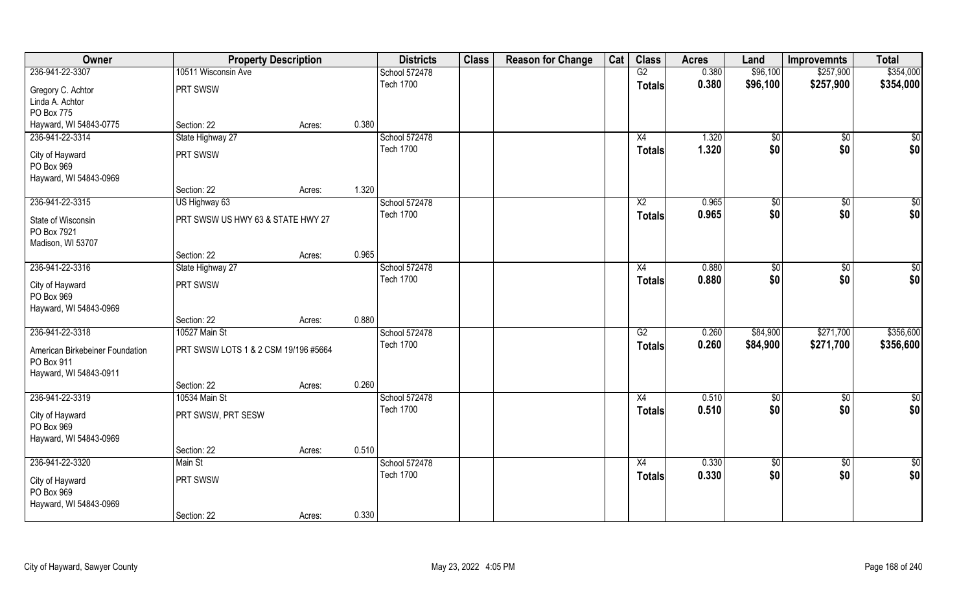| Owner                                                                   | <b>Property Description</b>          |        |       | <b>Districts</b>                  | <b>Class</b> | <b>Reason for Change</b> | Cat | <b>Class</b>  | <b>Acres</b> | Land        | <b>Improvemnts</b> | <b>Total</b> |
|-------------------------------------------------------------------------|--------------------------------------|--------|-------|-----------------------------------|--------------|--------------------------|-----|---------------|--------------|-------------|--------------------|--------------|
| 236-941-22-3307                                                         | 10511 Wisconsin Ave                  |        |       | School 572478                     |              |                          |     | G2            | 0.380        | \$96,100    | \$257,900          | \$354,000    |
| Gregory C. Achtor                                                       | PRT SWSW                             |        |       | <b>Tech 1700</b>                  |              |                          |     | <b>Totals</b> | 0.380        | \$96,100    | \$257,900          | \$354,000    |
| Linda A. Achtor                                                         |                                      |        |       |                                   |              |                          |     |               |              |             |                    |              |
| PO Box 775                                                              |                                      |        |       |                                   |              |                          |     |               |              |             |                    |              |
| Hayward, WI 54843-0775                                                  | Section: 22                          | Acres: | 0.380 |                                   |              |                          |     |               |              |             |                    |              |
| 236-941-22-3314                                                         | State Highway 27                     |        |       | School 572478<br><b>Tech 1700</b> |              |                          |     | X4            | 1.320        | \$0         | $\sqrt[6]{}$       | \$0          |
| City of Hayward                                                         | PRT SWSW                             |        |       |                                   |              |                          |     | Totals        | 1.320        | \$0         | \$0                | \$0          |
| PO Box 969                                                              |                                      |        |       |                                   |              |                          |     |               |              |             |                    |              |
| Hayward, WI 54843-0969                                                  |                                      |        |       |                                   |              |                          |     |               |              |             |                    |              |
|                                                                         | Section: 22                          | Acres: | 1.320 |                                   |              |                          |     |               |              |             |                    |              |
| 236-941-22-3315                                                         | US Highway 63                        |        |       | School 572478                     |              |                          |     | X2            | 0.965        | \$0         | $\overline{30}$    | $\sqrt{50}$  |
| State of Wisconsin<br>PO Box 7921                                       | PRT SWSW US HWY 63 & STATE HWY 27    |        |       | <b>Tech 1700</b>                  |              |                          |     | <b>Totals</b> | 0.965        | \$0         | \$0                | \$0          |
| Madison, WI 53707                                                       |                                      |        |       |                                   |              |                          |     |               |              |             |                    |              |
|                                                                         | Section: 22                          | Acres: | 0.965 |                                   |              |                          |     |               |              |             |                    |              |
| 236-941-22-3316                                                         | State Highway 27                     |        |       | School 572478                     |              |                          |     | X4            | 0.880        | \$0         | $\sqrt[6]{3}$      | $\sqrt{50}$  |
| City of Hayward<br>PO Box 969<br>Hayward, WI 54843-0969                 | PRT SWSW                             |        |       | <b>Tech 1700</b>                  |              |                          |     | <b>Totals</b> | 0.880        | \$0         | \$0                | \$0          |
|                                                                         | Section: 22                          | Acres: | 0.880 |                                   |              |                          |     |               |              |             |                    |              |
| 236-941-22-3318                                                         | 10527 Main St                        |        |       | School 572478                     |              |                          |     | G2            | 0.260        | \$84,900    | \$271,700          | \$356,600    |
| American Birkebeiner Foundation<br>PO Box 911<br>Hayward, WI 54843-0911 | PRT SWSW LOTS 1 & 2 CSM 19/196 #5664 |        |       | <b>Tech 1700</b>                  |              |                          |     | <b>Totals</b> | 0.260        | \$84,900    | \$271,700          | \$356,600    |
|                                                                         | Section: 22                          | Acres: | 0.260 |                                   |              |                          |     |               |              |             |                    |              |
| 236-941-22-3319                                                         | 10534 Main St                        |        |       | School 572478                     |              |                          |     | X4            | 0.510        | \$0         | $\sqrt{$0}$        | \$0          |
| City of Hayward<br>PO Box 969<br>Hayward, WI 54843-0969                 | PRT SWSW, PRT SESW                   |        |       | <b>Tech 1700</b>                  |              |                          |     | <b>Totals</b> | 0.510        | \$0         | \$0                | \$0          |
|                                                                         | Section: 22                          | Acres: | 0.510 |                                   |              |                          |     |               |              |             |                    |              |
| 236-941-22-3320                                                         | Main St                              |        |       | School 572478                     |              |                          |     | X4            | 0.330        | $\sqrt{60}$ | $\sqrt{$0}$        | \$0          |
| City of Hayward<br>PO Box 969<br>Hayward, WI 54843-0969                 | PRT SWSW                             |        |       | <b>Tech 1700</b>                  |              |                          |     | Totals        | 0.330        | \$0         | \$0                | \$0          |
|                                                                         | Section: 22                          | Acres: | 0.330 |                                   |              |                          |     |               |              |             |                    |              |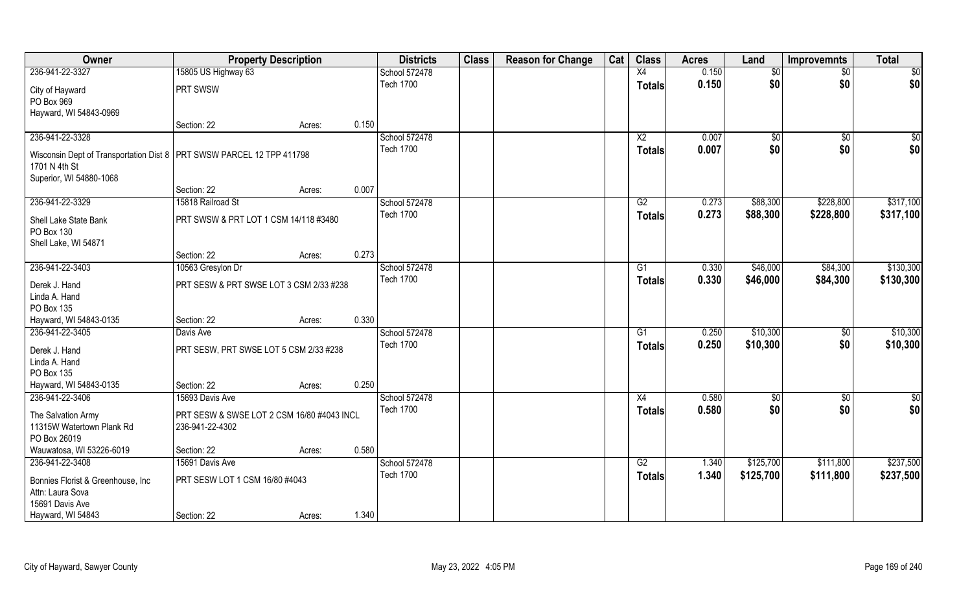| Owner                                                                   | <b>Property Description</b>                |        |       | <b>Districts</b> | <b>Class</b> | <b>Reason for Change</b> | Cat | <b>Class</b>    | <b>Acres</b> | Land        | <b>Improvemnts</b> | <b>Total</b>  |
|-------------------------------------------------------------------------|--------------------------------------------|--------|-------|------------------|--------------|--------------------------|-----|-----------------|--------------|-------------|--------------------|---------------|
| 236-941-22-3327                                                         | 15805 US Highway 63                        |        |       | School 572478    |              |                          |     | X4              | 0.150        | \$0         | $\sqrt{6}$         | \$0           |
| City of Hayward                                                         | PRT SWSW                                   |        |       | <b>Tech 1700</b> |              |                          |     | <b>Totals</b>   | 0.150        | \$0         | \$0                | \$0           |
| PO Box 969                                                              |                                            |        |       |                  |              |                          |     |                 |              |             |                    |               |
| Hayward, WI 54843-0969                                                  |                                            |        |       |                  |              |                          |     |                 |              |             |                    |               |
|                                                                         | Section: 22                                | Acres: | 0.150 |                  |              |                          |     |                 |              |             |                    |               |
| 236-941-22-3328                                                         |                                            |        |       | School 572478    |              |                          |     | $\overline{X2}$ | 0.007        | $\sqrt{$0}$ | \$0                | \$0           |
| Wisconsin Dept of Transportation Dist 8   PRT SWSW PARCEL 12 TPP 411798 |                                            |        |       | <b>Tech 1700</b> |              |                          |     | Totals          | 0.007        | \$0         | \$0                | \$0           |
| 1701 N 4th St                                                           |                                            |        |       |                  |              |                          |     |                 |              |             |                    |               |
| Superior, WI 54880-1068                                                 |                                            |        |       |                  |              |                          |     |                 |              |             |                    |               |
|                                                                         | Section: 22                                | Acres: | 0.007 |                  |              |                          |     |                 |              |             |                    |               |
| 236-941-22-3329                                                         | 15818 Railroad St                          |        |       | School 572478    |              |                          |     | G2              | 0.273        | \$88,300    | \$228,800          | \$317,100     |
| Shell Lake State Bank                                                   | PRT SWSW & PRT LOT 1 CSM 14/118 #3480      |        |       | <b>Tech 1700</b> |              |                          |     | <b>Totals</b>   | 0.273        | \$88,300    | \$228,800          | \$317,100     |
| PO Box 130                                                              |                                            |        |       |                  |              |                          |     |                 |              |             |                    |               |
| Shell Lake, WI 54871                                                    |                                            |        |       |                  |              |                          |     |                 |              |             |                    |               |
|                                                                         | Section: 22                                | Acres: | 0.273 |                  |              |                          |     |                 |              |             |                    |               |
| 236-941-22-3403                                                         | 10563 Gresylon Dr                          |        |       | School 572478    |              |                          |     | G1              | 0.330        | \$46,000    | \$84,300           | \$130,300     |
| Derek J. Hand                                                           | PRT SESW & PRT SWSE LOT 3 CSM 2/33 #238    |        |       | <b>Tech 1700</b> |              |                          |     | <b>Totals</b>   | 0.330        | \$46,000    | \$84,300           | \$130,300     |
| Linda A. Hand                                                           |                                            |        |       |                  |              |                          |     |                 |              |             |                    |               |
| PO Box 135                                                              |                                            |        |       |                  |              |                          |     |                 |              |             |                    |               |
| Hayward, WI 54843-0135                                                  | Section: 22                                | Acres: | 0.330 |                  |              |                          |     |                 |              |             |                    |               |
| 236-941-22-3405                                                         | Davis Ave                                  |        |       | School 572478    |              |                          |     | $\overline{G1}$ | 0.250        | \$10,300    | \$0                | \$10,300      |
| Derek J. Hand                                                           | PRT SESW, PRT SWSE LOT 5 CSM 2/33 #238     |        |       | <b>Tech 1700</b> |              |                          |     | <b>Totals</b>   | 0.250        | \$10,300    | \$0                | \$10,300      |
| Linda A. Hand                                                           |                                            |        |       |                  |              |                          |     |                 |              |             |                    |               |
| PO Box 135                                                              |                                            |        |       |                  |              |                          |     |                 |              |             |                    |               |
| Hayward, WI 54843-0135                                                  | Section: 22                                | Acres: | 0.250 |                  |              |                          |     |                 |              |             |                    |               |
| 236-941-22-3406                                                         | 15693 Davis Ave                            |        |       | School 572478    |              |                          |     | X4              | 0.580        | \$0         | \$0                | $\frac{1}{2}$ |
| The Salvation Army                                                      | PRT SESW & SWSE LOT 2 CSM 16/80 #4043 INCL |        |       | <b>Tech 1700</b> |              |                          |     | <b>Totals</b>   | 0.580        | \$0         | \$0                | \$0           |
| 11315W Watertown Plank Rd                                               | 236-941-22-4302                            |        |       |                  |              |                          |     |                 |              |             |                    |               |
| PO Box 26019                                                            |                                            |        |       |                  |              |                          |     |                 |              |             |                    |               |
| Wauwatosa, WI 53226-6019                                                | Section: 22                                | Acres: | 0.580 |                  |              |                          |     |                 |              |             |                    |               |
| 236-941-22-3408                                                         | 15691 Davis Ave                            |        |       | School 572478    |              |                          |     | G2              | 1.340        | \$125,700   | \$111,800          | \$237,500     |
| Bonnies Florist & Greenhouse, Inc                                       | PRT SESW LOT 1 CSM 16/80 #4043             |        |       | <b>Tech 1700</b> |              |                          |     | <b>Totals</b>   | 1.340        | \$125,700   | \$111,800          | \$237,500     |
| Attn: Laura Sova                                                        |                                            |        |       |                  |              |                          |     |                 |              |             |                    |               |
| 15691 Davis Ave                                                         |                                            |        |       |                  |              |                          |     |                 |              |             |                    |               |
| Hayward, WI 54843                                                       | Section: 22                                | Acres: | 1.340 |                  |              |                          |     |                 |              |             |                    |               |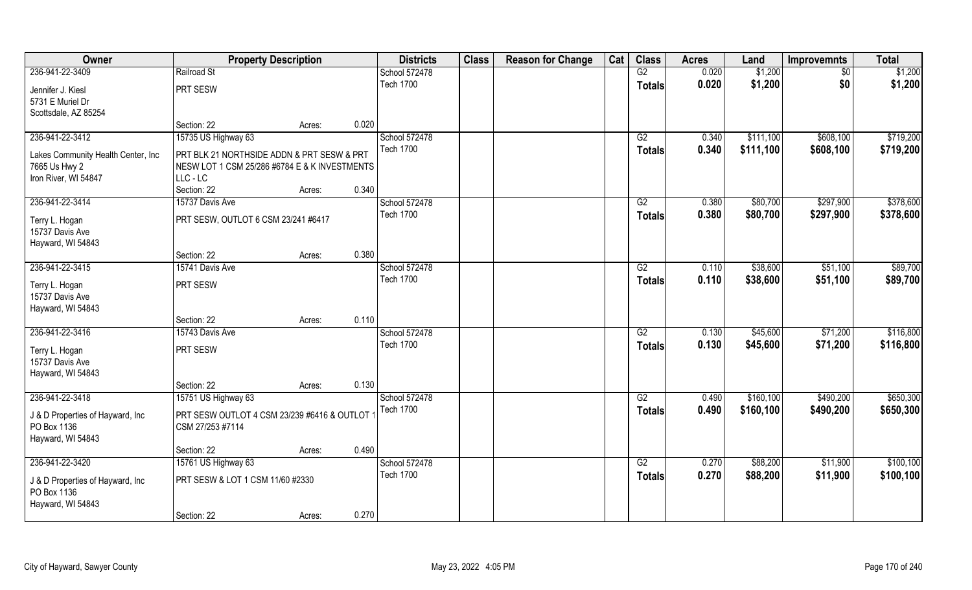| Owner                                | <b>Property Description</b>                   |        |       | <b>Districts</b>                  | <b>Class</b> | <b>Reason for Change</b> | Cat | <b>Class</b>    | <b>Acres</b> | Land       | <b>Improvemnts</b> | <b>Total</b> |
|--------------------------------------|-----------------------------------------------|--------|-------|-----------------------------------|--------------|--------------------------|-----|-----------------|--------------|------------|--------------------|--------------|
| 236-941-22-3409                      | Railroad St                                   |        |       | School 572478                     |              |                          |     | G2              | 0.020        | \$1,200    | $\sqrt{6}$         | \$1,200      |
| Jennifer J. Kiesl                    | PRT SESW                                      |        |       | <b>Tech 1700</b>                  |              |                          |     | <b>Totals</b>   | 0.020        | \$1,200    | \$0                | \$1,200      |
| 5731 E Muriel Dr                     |                                               |        |       |                                   |              |                          |     |                 |              |            |                    |              |
| Scottsdale, AZ 85254                 |                                               |        |       |                                   |              |                          |     |                 |              |            |                    |              |
|                                      | Section: 22                                   | Acres: | 0.020 |                                   |              |                          |     |                 |              |            |                    |              |
| 236-941-22-3412                      | 15735 US Highway 63                           |        |       | School 572478                     |              |                          |     | G2              | 0.340        | \$111,100  | \$608,100          | \$719,200    |
| Lakes Community Health Center, Inc.  | PRT BLK 21 NORTHSIDE ADDN & PRT SESW & PRT    |        |       | <b>Tech 1700</b>                  |              |                          |     | <b>Totals</b>   | 0.340        | \$111,100  | \$608,100          | \$719,200    |
| 7665 Us Hwy 2                        | NESW LOT 1 CSM 25/286 #6784 E & K INVESTMENTS |        |       |                                   |              |                          |     |                 |              |            |                    |              |
| Iron River, WI 54847                 | LLC-LC                                        |        |       |                                   |              |                          |     |                 |              |            |                    |              |
|                                      | Section: 22                                   | Acres: | 0.340 |                                   |              |                          |     |                 |              |            |                    |              |
| 236-941-22-3414                      | 15737 Davis Ave                               |        |       | School 572478                     |              |                          |     | G2              | 0.380        | \$80,700   | \$297,900          | \$378,600    |
|                                      | PRT SESW, OUTLOT 6 CSM 23/241 #6417           |        |       | <b>Tech 1700</b>                  |              |                          |     | <b>Totals</b>   | 0.380        | \$80,700   | \$297,900          | \$378,600    |
| Terry L. Hogan<br>15737 Davis Ave    |                                               |        |       |                                   |              |                          |     |                 |              |            |                    |              |
| Hayward, WI 54843                    |                                               |        |       |                                   |              |                          |     |                 |              |            |                    |              |
|                                      | Section: 22                                   | Acres: | 0.380 |                                   |              |                          |     |                 |              |            |                    |              |
| 236-941-22-3415                      | 15741 Davis Ave                               |        |       | School 572478                     |              |                          |     | G2              | 0.110        | \$38,600   | \$51,100           | \$89,700     |
|                                      |                                               |        |       | <b>Tech 1700</b>                  |              |                          |     | <b>Totals</b>   | 0.110        | \$38,600   | \$51,100           | \$89,700     |
| Terry L. Hogan                       | PRT SESW                                      |        |       |                                   |              |                          |     |                 |              |            |                    |              |
| 15737 Davis Ave<br>Hayward, WI 54843 |                                               |        |       |                                   |              |                          |     |                 |              |            |                    |              |
|                                      | Section: 22                                   | Acres: | 0.110 |                                   |              |                          |     |                 |              |            |                    |              |
| 236-941-22-3416                      | 15743 Davis Ave                               |        |       | School 572478                     |              |                          |     | $\overline{G2}$ | 0.130        | \$45,600   | \$71,200           | \$116,800    |
|                                      |                                               |        |       | <b>Tech 1700</b>                  |              |                          |     | <b>Totals</b>   | 0.130        | \$45,600   | \$71,200           | \$116,800    |
| Terry L. Hogan                       | PRT SESW                                      |        |       |                                   |              |                          |     |                 |              |            |                    |              |
| 15737 Davis Ave                      |                                               |        |       |                                   |              |                          |     |                 |              |            |                    |              |
| Hayward, WI 54843                    |                                               |        |       |                                   |              |                          |     |                 |              |            |                    |              |
|                                      | Section: 22                                   | Acres: | 0.130 |                                   |              |                          |     |                 |              |            |                    |              |
| 236-941-22-3418                      | 15751 US Highway 63                           |        |       | School 572478<br><b>Tech 1700</b> |              |                          |     | G2              | 0.490        | \$160, 100 | \$490,200          | \$650,300    |
| J & D Properties of Hayward, Inc     | PRT SESW OUTLOT 4 CSM 23/239 #6416 & OUTLOT   |        |       |                                   |              |                          |     | <b>Totals</b>   | 0.490        | \$160,100  | \$490,200          | \$650,300    |
| PO Box 1136                          | CSM 27/253 #7114                              |        |       |                                   |              |                          |     |                 |              |            |                    |              |
| Hayward, WI 54843                    |                                               |        |       |                                   |              |                          |     |                 |              |            |                    |              |
|                                      | Section: 22                                   | Acres: | 0.490 |                                   |              |                          |     |                 |              |            |                    |              |
| 236-941-22-3420                      | 15761 US Highway 63                           |        |       | School 572478                     |              |                          |     | G2              | 0.270        | \$88,200   | \$11,900           | \$100,100    |
| J & D Properties of Hayward, Inc     | PRT SESW & LOT 1 CSM 11/60 #2330              |        |       | <b>Tech 1700</b>                  |              |                          |     | <b>Totals</b>   | 0.270        | \$88,200   | \$11,900           | \$100,100    |
| PO Box 1136                          |                                               |        |       |                                   |              |                          |     |                 |              |            |                    |              |
| Hayward, WI 54843                    |                                               |        |       |                                   |              |                          |     |                 |              |            |                    |              |
|                                      | Section: 22                                   | Acres: | 0.270 |                                   |              |                          |     |                 |              |            |                    |              |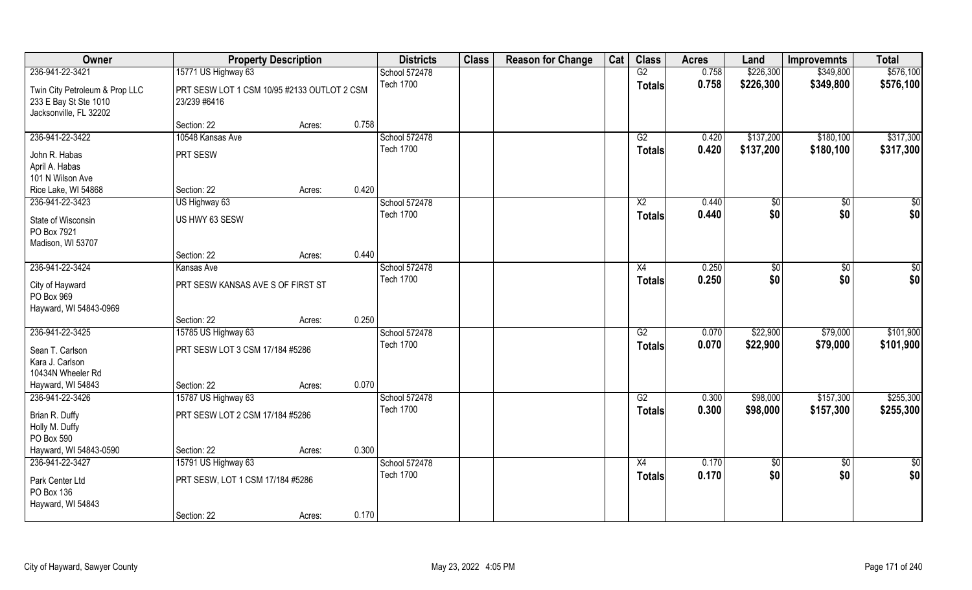| Owner                          | <b>Property Description</b>                 |        |       | <b>Districts</b> | <b>Class</b> | <b>Reason for Change</b> | Cat | <b>Class</b>    | <b>Acres</b> | Land       | <b>Improvemnts</b> | <b>Total</b>  |
|--------------------------------|---------------------------------------------|--------|-------|------------------|--------------|--------------------------|-----|-----------------|--------------|------------|--------------------|---------------|
| 236-941-22-3421                | 15771 US Highway 63                         |        |       | School 572478    |              |                          |     | G2              | 0.758        | \$226,300  | \$349,800          | \$576,100     |
| Twin City Petroleum & Prop LLC | PRT SESW LOT 1 CSM 10/95 #2133 OUTLOT 2 CSM |        |       | <b>Tech 1700</b> |              |                          |     | <b>Totals</b>   | 0.758        | \$226,300  | \$349,800          | \$576,100     |
| 233 E Bay St Ste 1010          | 23/239 #6416                                |        |       |                  |              |                          |     |                 |              |            |                    |               |
| Jacksonville, FL 32202         |                                             |        |       |                  |              |                          |     |                 |              |            |                    |               |
|                                | Section: 22                                 | Acres: | 0.758 |                  |              |                          |     |                 |              |            |                    |               |
| 236-941-22-3422                | 10548 Kansas Ave                            |        |       | School 572478    |              |                          |     | G2              | 0.420        | \$137,200  | \$180,100          | \$317,300     |
| John R. Habas                  | PRT SESW                                    |        |       | <b>Tech 1700</b> |              |                          |     | <b>Totals</b>   | 0.420        | \$137,200  | \$180,100          | \$317,300     |
| April A. Habas                 |                                             |        |       |                  |              |                          |     |                 |              |            |                    |               |
| 101 N Wilson Ave               |                                             |        |       |                  |              |                          |     |                 |              |            |                    |               |
| Rice Lake, WI 54868            | Section: 22                                 | Acres: | 0.420 |                  |              |                          |     |                 |              |            |                    |               |
| 236-941-22-3423                | US Highway 63                               |        |       | School 572478    |              |                          |     | X <sub>2</sub>  | 0.440        | \$0        | \$0                | \$0           |
| State of Wisconsin             | US HWY 63 SESW                              |        |       | <b>Tech 1700</b> |              |                          |     | <b>Totals</b>   | 0.440        | \$0        | \$0                | \$0           |
| PO Box 7921                    |                                             |        |       |                  |              |                          |     |                 |              |            |                    |               |
| Madison, WI 53707              |                                             |        |       |                  |              |                          |     |                 |              |            |                    |               |
|                                | Section: 22                                 | Acres: | 0.440 |                  |              |                          |     |                 |              |            |                    |               |
| 236-941-22-3424                | Kansas Ave                                  |        |       | School 572478    |              |                          |     | X4              | 0.250        | \$0        | $\sqrt{50}$        | $\frac{6}{3}$ |
| City of Hayward                | PRT SESW KANSAS AVE S OF FIRST ST           |        |       | <b>Tech 1700</b> |              |                          |     | <b>Totals</b>   | 0.250        | \$0        | \$0                | \$0           |
| PO Box 969                     |                                             |        |       |                  |              |                          |     |                 |              |            |                    |               |
| Hayward, WI 54843-0969         |                                             |        |       |                  |              |                          |     |                 |              |            |                    |               |
|                                | Section: 22                                 | Acres: | 0.250 |                  |              |                          |     |                 |              |            |                    |               |
| 236-941-22-3425                | 15785 US Highway 63                         |        |       | School 572478    |              |                          |     | $\overline{G2}$ | 0.070        | \$22,900   | \$79,000           | \$101,900     |
| Sean T. Carlson                | PRT SESW LOT 3 CSM 17/184 #5286             |        |       | <b>Tech 1700</b> |              |                          |     | <b>Totals</b>   | 0.070        | \$22,900   | \$79,000           | \$101,900     |
| Kara J. Carlson                |                                             |        |       |                  |              |                          |     |                 |              |            |                    |               |
| 10434N Wheeler Rd              |                                             |        |       |                  |              |                          |     |                 |              |            |                    |               |
| Hayward, WI 54843              | Section: 22                                 | Acres: | 0.070 |                  |              |                          |     |                 |              |            |                    |               |
| 236-941-22-3426                | 15787 US Highway 63                         |        |       | School 572478    |              |                          |     | G2              | 0.300        | \$98,000   | \$157,300          | \$255,300     |
| Brian R. Duffy                 | PRT SESW LOT 2 CSM 17/184 #5286             |        |       | <b>Tech 1700</b> |              |                          |     | <b>Totals</b>   | 0.300        | \$98,000   | \$157,300          | \$255,300     |
| Holly M. Duffy                 |                                             |        |       |                  |              |                          |     |                 |              |            |                    |               |
| PO Box 590                     |                                             |        |       |                  |              |                          |     |                 |              |            |                    |               |
| Hayward, WI 54843-0590         | Section: 22                                 | Acres: | 0.300 |                  |              |                          |     |                 |              |            |                    |               |
| 236-941-22-3427                | 15791 US Highway 63                         |        |       | School 572478    |              |                          |     | X4              | 0.170        | $\sqrt{6}$ | $\overline{50}$    | $\frac{1}{2}$ |
| Park Center Ltd                | PRT SESW, LOT 1 CSM 17/184 #5286            |        |       | <b>Tech 1700</b> |              |                          |     | <b>Totals</b>   | 0.170        | \$0        | \$0                | \$0           |
| PO Box 136                     |                                             |        |       |                  |              |                          |     |                 |              |            |                    |               |
| Hayward, WI 54843              |                                             |        |       |                  |              |                          |     |                 |              |            |                    |               |
|                                | Section: 22                                 | Acres: | 0.170 |                  |              |                          |     |                 |              |            |                    |               |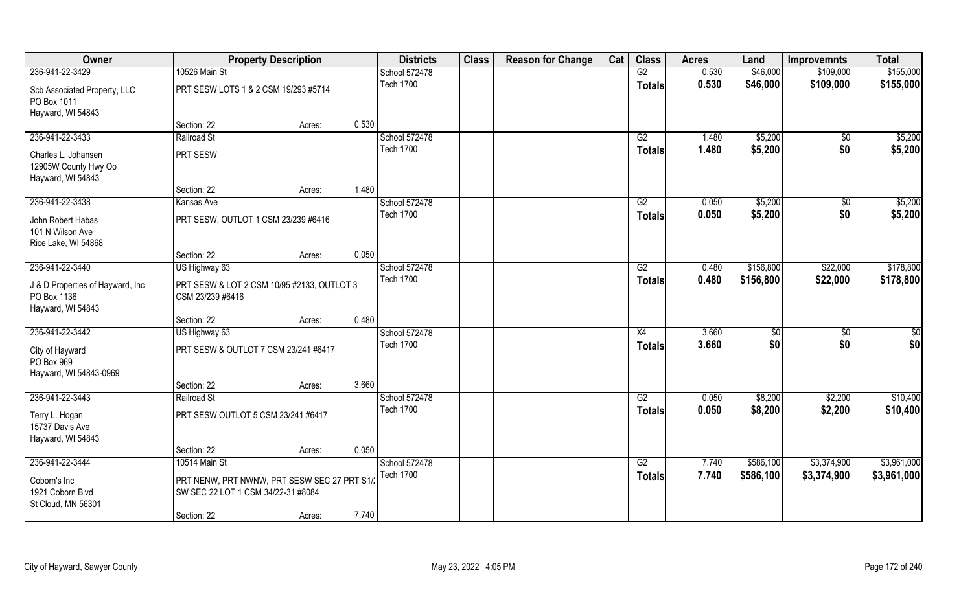| Owner                             | <b>Property Description</b>                 |        |       | <b>Districts</b> | <b>Class</b> | <b>Reason for Change</b> | Cat | <b>Class</b>  | <b>Acres</b> | Land          | <b>Improvemnts</b> | <b>Total</b> |
|-----------------------------------|---------------------------------------------|--------|-------|------------------|--------------|--------------------------|-----|---------------|--------------|---------------|--------------------|--------------|
| 236-941-22-3429                   | 10526 Main St                               |        |       | School 572478    |              |                          |     | G2            | 0.530        | \$46,000      | \$109,000          | \$155,000    |
| Scb Associated Property, LLC      | PRT SESW LOTS 1 & 2 CSM 19/293 #5714        |        |       | <b>Tech 1700</b> |              |                          |     | Totals        | 0.530        | \$46,000      | \$109,000          | \$155,000    |
| PO Box 1011                       |                                             |        |       |                  |              |                          |     |               |              |               |                    |              |
| Hayward, WI 54843                 |                                             |        |       |                  |              |                          |     |               |              |               |                    |              |
|                                   | Section: 22                                 | Acres: | 0.530 |                  |              |                          |     |               |              |               |                    |              |
| 236-941-22-3433                   | Railroad St                                 |        |       | School 572478    |              |                          |     | G2            | 1.480        | \$5,200       | $\sqrt{6}$         | \$5,200      |
| Charles L. Johansen               | PRT SESW                                    |        |       | <b>Tech 1700</b> |              |                          |     | <b>Totals</b> | 1.480        | \$5,200       | \$0                | \$5,200      |
| 12905W County Hwy Oo              |                                             |        |       |                  |              |                          |     |               |              |               |                    |              |
| Hayward, WI 54843                 |                                             |        |       |                  |              |                          |     |               |              |               |                    |              |
|                                   | Section: 22                                 | Acres: | 1.480 |                  |              |                          |     |               |              |               |                    |              |
| 236-941-22-3438                   | Kansas Ave                                  |        |       | School 572478    |              |                          |     | G2            | 0.050        | \$5,200       | \$0                | \$5,200      |
| John Robert Habas                 | PRT SESW, OUTLOT 1 CSM 23/239 #6416         |        |       | <b>Tech 1700</b> |              |                          |     | <b>Totals</b> | 0.050        | \$5,200       | \$0                | \$5,200      |
| 101 N Wilson Ave                  |                                             |        |       |                  |              |                          |     |               |              |               |                    |              |
| Rice Lake, WI 54868               |                                             |        |       |                  |              |                          |     |               |              |               |                    |              |
|                                   | Section: 22                                 | Acres: | 0.050 |                  |              |                          |     |               |              |               |                    |              |
| 236-941-22-3440                   | US Highway 63                               |        |       | School 572478    |              |                          |     | G2            | 0.480        | \$156,800     | \$22,000           | \$178,800    |
| J & D Properties of Hayward, Inc. | PRT SESW & LOT 2 CSM 10/95 #2133, OUTLOT 3  |        |       | <b>Tech 1700</b> |              |                          |     | <b>Totals</b> | 0.480        | \$156,800     | \$22,000           | \$178,800    |
| PO Box 1136                       | CSM 23/239 #6416                            |        |       |                  |              |                          |     |               |              |               |                    |              |
| Hayward, WI 54843                 |                                             |        |       |                  |              |                          |     |               |              |               |                    |              |
|                                   | Section: 22                                 | Acres: | 0.480 |                  |              |                          |     |               |              |               |                    |              |
| 236-941-22-3442                   | US Highway 63                               |        |       | School 572478    |              |                          |     | X4            | 3.660        | $\frac{6}{3}$ | \$0                | \$0          |
| City of Hayward                   | PRT SESW & OUTLOT 7 CSM 23/241 #6417        |        |       | <b>Tech 1700</b> |              |                          |     | <b>Totals</b> | 3.660        | \$0           | \$0                | \$0          |
| PO Box 969                        |                                             |        |       |                  |              |                          |     |               |              |               |                    |              |
| Hayward, WI 54843-0969            |                                             |        |       |                  |              |                          |     |               |              |               |                    |              |
|                                   | Section: 22                                 | Acres: | 3.660 |                  |              |                          |     |               |              |               |                    |              |
| 236-941-22-3443                   | Railroad St                                 |        |       | School 572478    |              |                          |     | G2            | 0.050        | \$8,200       | \$2,200            | \$10,400     |
| Terry L. Hogan                    | PRT SESW OUTLOT 5 CSM 23/241 #6417          |        |       | <b>Tech 1700</b> |              |                          |     | <b>Totals</b> | 0.050        | \$8,200       | \$2,200            | \$10,400     |
| 15737 Davis Ave                   |                                             |        |       |                  |              |                          |     |               |              |               |                    |              |
| Hayward, WI 54843                 |                                             |        |       |                  |              |                          |     |               |              |               |                    |              |
|                                   | Section: 22                                 | Acres: | 0.050 |                  |              |                          |     |               |              |               |                    |              |
| 236-941-22-3444                   | 10514 Main St                               |        |       | School 572478    |              |                          |     | G2            | 7.740        | \$586,100     | \$3,374,900        | \$3,961,000  |
| Coborn's Inc                      | PRT NENW, PRT NWNW, PRT SESW SEC 27 PRT S1/ |        |       | <b>Tech 1700</b> |              |                          |     | <b>Totals</b> | 7.740        | \$586,100     | \$3,374,900        | \$3,961,000  |
| 1921 Coborn Blvd                  | SW SEC 22 LOT 1 CSM 34/22-31 #8084          |        |       |                  |              |                          |     |               |              |               |                    |              |
| St Cloud, MN 56301                |                                             |        |       |                  |              |                          |     |               |              |               |                    |              |
|                                   | Section: 22                                 | Acres: | 7.740 |                  |              |                          |     |               |              |               |                    |              |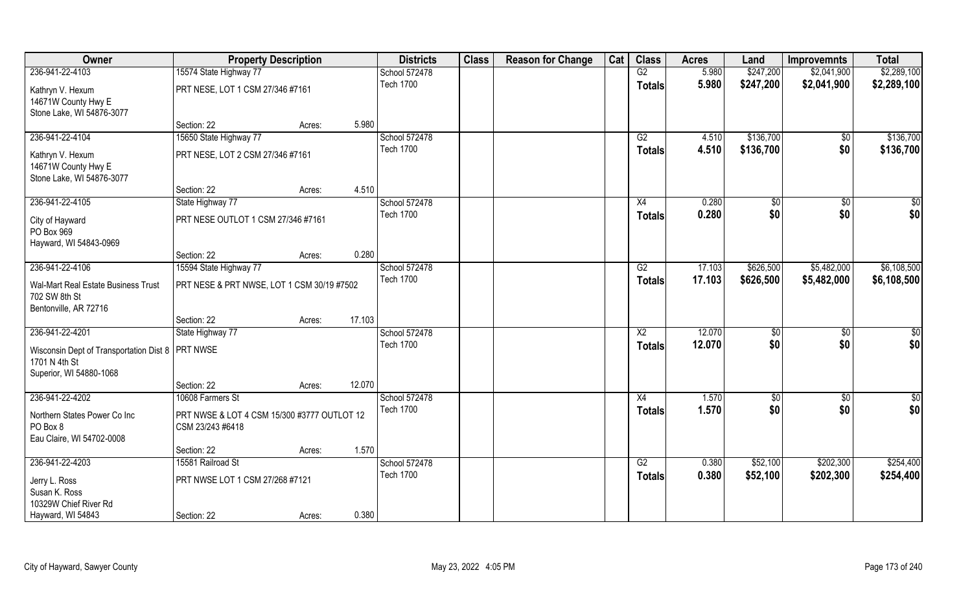| Owner                                              | <b>Property Description</b>                 |        |        | <b>Districts</b> | <b>Class</b> | <b>Reason for Change</b> | Cat | <b>Class</b>           | <b>Acres</b> | Land      | <b>Improvemnts</b> | <b>Total</b>  |
|----------------------------------------------------|---------------------------------------------|--------|--------|------------------|--------------|--------------------------|-----|------------------------|--------------|-----------|--------------------|---------------|
| 236-941-22-4103                                    | 15574 State Highway 77                      |        |        | School 572478    |              |                          |     | G2                     | 5.980        | \$247,200 | \$2,041,900        | \$2,289,100   |
| Kathryn V. Hexum                                   | PRT NESE, LOT 1 CSM 27/346 #7161            |        |        | <b>Tech 1700</b> |              |                          |     | <b>Totals</b>          | 5.980        | \$247,200 | \$2,041,900        | \$2,289,100   |
| 14671W County Hwy E                                |                                             |        |        |                  |              |                          |     |                        |              |           |                    |               |
| Stone Lake, WI 54876-3077                          |                                             |        |        |                  |              |                          |     |                        |              |           |                    |               |
|                                                    | Section: 22                                 | Acres: | 5.980  |                  |              |                          |     |                        |              |           |                    |               |
| 236-941-22-4104                                    | 15650 State Highway 77                      |        |        | School 572478    |              |                          |     | G2                     | 4.510        | \$136,700 | $\overline{50}$    | \$136,700     |
| Kathryn V. Hexum                                   | PRT NESE, LOT 2 CSM 27/346 #7161            |        |        | <b>Tech 1700</b> |              |                          |     | Totals                 | 4.510        | \$136,700 | \$0                | \$136,700     |
| 14671W County Hwy E                                |                                             |        |        |                  |              |                          |     |                        |              |           |                    |               |
| Stone Lake, WI 54876-3077                          |                                             |        |        |                  |              |                          |     |                        |              |           |                    |               |
|                                                    | Section: 22                                 | Acres: | 4.510  |                  |              |                          |     |                        |              |           |                    |               |
| 236-941-22-4105                                    | State Highway 77                            |        |        | School 572478    |              |                          |     | X4                     | 0.280        | \$0       | \$0                | \$0           |
| City of Hayward                                    | PRT NESE OUTLOT 1 CSM 27/346 #7161          |        |        | <b>Tech 1700</b> |              |                          |     | <b>Totals</b>          | 0.280        | \$0       | \$0                | \$0           |
| PO Box 969                                         |                                             |        |        |                  |              |                          |     |                        |              |           |                    |               |
| Hayward, WI 54843-0969                             |                                             |        |        |                  |              |                          |     |                        |              |           |                    |               |
|                                                    | Section: 22                                 | Acres: | 0.280  |                  |              |                          |     |                        |              |           |                    |               |
| 236-941-22-4106                                    | 15594 State Highway 77                      |        |        | School 572478    |              |                          |     | G2                     | 17.103       | \$626,500 | \$5,482,000        | \$6,108,500   |
| Wal-Mart Real Estate Business Trust                | PRT NESE & PRT NWSE, LOT 1 CSM 30/19 #7502  |        |        | <b>Tech 1700</b> |              |                          |     | <b>Totals</b>          | 17.103       | \$626,500 | \$5,482,000        | \$6,108,500   |
| 702 SW 8th St                                      |                                             |        |        |                  |              |                          |     |                        |              |           |                    |               |
| Bentonville, AR 72716                              |                                             |        |        |                  |              |                          |     |                        |              |           |                    |               |
|                                                    | Section: 22                                 | Acres: | 17.103 |                  |              |                          |     |                        |              |           |                    |               |
| 236-941-22-4201                                    | State Highway 77                            |        |        | School 572478    |              |                          |     | $\overline{\text{X2}}$ | 12.070       | \$0       | $\overline{50}$    | \$0           |
| Wisconsin Dept of Transportation Dist 8   PRT NWSE |                                             |        |        | <b>Tech 1700</b> |              |                          |     | <b>Totals</b>          | 12.070       | \$0       | \$0                | \$0           |
| 1701 N 4th St                                      |                                             |        |        |                  |              |                          |     |                        |              |           |                    |               |
| Superior, WI 54880-1068                            |                                             |        |        |                  |              |                          |     |                        |              |           |                    |               |
|                                                    | Section: 22                                 | Acres: | 12.070 |                  |              |                          |     |                        |              |           |                    |               |
| 236-941-22-4202                                    | 10608 Farmers St                            |        |        | School 572478    |              |                          |     | X4                     | 1.570        | \$0       | $\overline{50}$    | $\frac{1}{2}$ |
| Northern States Power Co Inc                       | PRT NWSE & LOT 4 CSM 15/300 #3777 OUTLOT 12 |        |        | <b>Tech 1700</b> |              |                          |     | <b>Totals</b>          | 1.570        | \$0       | \$0                | \$0           |
| PO Box 8                                           | CSM 23/243 #6418                            |        |        |                  |              |                          |     |                        |              |           |                    |               |
| Eau Claire, WI 54702-0008                          |                                             |        |        |                  |              |                          |     |                        |              |           |                    |               |
|                                                    | Section: 22                                 | Acres: | 1.570  |                  |              |                          |     |                        |              |           |                    |               |
| 236-941-22-4203                                    | 15581 Railroad St                           |        |        | School 572478    |              |                          |     | G2                     | 0.380        | \$52,100  | \$202,300          | \$254,400     |
| Jerry L. Ross                                      | PRT NWSE LOT 1 CSM 27/268 #7121             |        |        | <b>Tech 1700</b> |              |                          |     | <b>Totals</b>          | 0.380        | \$52,100  | \$202,300          | \$254,400     |
| Susan K. Ross                                      |                                             |        |        |                  |              |                          |     |                        |              |           |                    |               |
| 10329W Chief River Rd                              |                                             |        |        |                  |              |                          |     |                        |              |           |                    |               |
| Hayward, WI 54843                                  | Section: 22                                 | Acres: | 0.380  |                  |              |                          |     |                        |              |           |                    |               |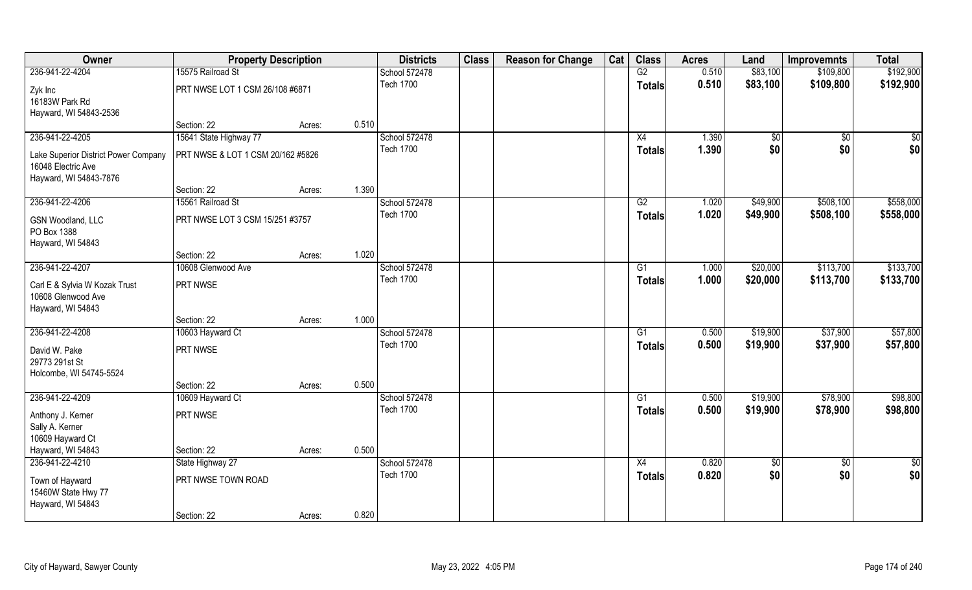| Owner                                | <b>Property Description</b>       |        |       | <b>Districts</b> | <b>Class</b> | <b>Reason for Change</b> | Cat | <b>Class</b>  | <b>Acres</b> | Land        | <b>Improvemnts</b> | <b>Total</b>  |
|--------------------------------------|-----------------------------------|--------|-------|------------------|--------------|--------------------------|-----|---------------|--------------|-------------|--------------------|---------------|
| 236-941-22-4204                      | 15575 Railroad St                 |        |       | School 572478    |              |                          |     | G2            | 0.510        | \$83,100    | \$109,800          | \$192,900     |
| Zyk Inc                              | PRT NWSE LOT 1 CSM 26/108 #6871   |        |       | <b>Tech 1700</b> |              |                          |     | <b>Totals</b> | 0.510        | \$83,100    | \$109,800          | \$192,900     |
| 16183W Park Rd                       |                                   |        |       |                  |              |                          |     |               |              |             |                    |               |
| Hayward, WI 54843-2536               |                                   |        |       |                  |              |                          |     |               |              |             |                    |               |
|                                      | Section: 22                       | Acres: | 0.510 |                  |              |                          |     |               |              |             |                    |               |
| 236-941-22-4205                      | 15641 State Highway 77            |        |       | School 572478    |              |                          |     | X4            | 1.390        | $\sqrt{$0}$ | $\sqrt{6}$         | \$0           |
| Lake Superior District Power Company | PRT NWSE & LOT 1 CSM 20/162 #5826 |        |       | <b>Tech 1700</b> |              |                          |     | <b>Totals</b> | 1.390        | \$0         | \$0                | \$0           |
| 16048 Electric Ave                   |                                   |        |       |                  |              |                          |     |               |              |             |                    |               |
| Hayward, WI 54843-7876               |                                   |        |       |                  |              |                          |     |               |              |             |                    |               |
|                                      | Section: 22                       | Acres: | 1.390 |                  |              |                          |     |               |              |             |                    |               |
| 236-941-22-4206                      | 15561 Railroad St                 |        |       | School 572478    |              |                          |     | G2            | 1.020        | \$49,900    | \$508,100          | \$558,000     |
| GSN Woodland, LLC                    | PRT NWSE LOT 3 CSM 15/251 #3757   |        |       | <b>Tech 1700</b> |              |                          |     | <b>Totals</b> | 1.020        | \$49,900    | \$508,100          | \$558,000     |
| PO Box 1388                          |                                   |        |       |                  |              |                          |     |               |              |             |                    |               |
| Hayward, WI 54843                    |                                   |        |       |                  |              |                          |     |               |              |             |                    |               |
|                                      | Section: 22                       | Acres: | 1.020 |                  |              |                          |     |               |              |             |                    |               |
| 236-941-22-4207                      | 10608 Glenwood Ave                |        |       | School 572478    |              |                          |     | G1            | 1.000        | \$20,000    | \$113,700          | \$133,700     |
| Carl E & Sylvia W Kozak Trust        | PRT NWSE                          |        |       | <b>Tech 1700</b> |              |                          |     | <b>Totals</b> | 1.000        | \$20,000    | \$113,700          | \$133,700     |
| 10608 Glenwood Ave                   |                                   |        |       |                  |              |                          |     |               |              |             |                    |               |
| Hayward, WI 54843                    |                                   |        |       |                  |              |                          |     |               |              |             |                    |               |
|                                      | Section: 22                       | Acres: | 1.000 |                  |              |                          |     |               |              |             |                    |               |
| 236-941-22-4208                      | 10603 Hayward Ct                  |        |       | School 572478    |              |                          |     | G1            | 0.500        | \$19,900    | \$37,900           | \$57,800      |
| David W. Pake                        | PRT NWSE                          |        |       | <b>Tech 1700</b> |              |                          |     | Totals        | 0.500        | \$19,900    | \$37,900           | \$57,800      |
| 29773 291st St                       |                                   |        |       |                  |              |                          |     |               |              |             |                    |               |
| Holcombe, WI 54745-5524              |                                   |        |       |                  |              |                          |     |               |              |             |                    |               |
|                                      | Section: 22                       | Acres: | 0.500 |                  |              |                          |     |               |              |             |                    |               |
| 236-941-22-4209                      | 10609 Hayward Ct                  |        |       | School 572478    |              |                          |     | G1            | 0.500        | \$19,900    | \$78,900           | \$98,800      |
| Anthony J. Kerner                    | PRT NWSE                          |        |       | <b>Tech 1700</b> |              |                          |     | <b>Totals</b> | 0.500        | \$19,900    | \$78,900           | \$98,800      |
| Sally A. Kerner                      |                                   |        |       |                  |              |                          |     |               |              |             |                    |               |
| 10609 Hayward Ct                     |                                   |        |       |                  |              |                          |     |               |              |             |                    |               |
| Hayward, WI 54843                    | Section: 22                       | Acres: | 0.500 |                  |              |                          |     |               |              |             |                    |               |
| 236-941-22-4210                      | State Highway 27                  |        |       | School 572478    |              |                          |     | X4            | 0.820        | $\sqrt{6}$  | $\sqrt{6}$         | $\frac{1}{2}$ |
| Town of Hayward                      | PRT NWSE TOWN ROAD                |        |       | <b>Tech 1700</b> |              |                          |     | <b>Totals</b> | 0.820        | \$0         | \$0                | \$0           |
| 15460W State Hwy 77                  |                                   |        |       |                  |              |                          |     |               |              |             |                    |               |
| Hayward, WI 54843                    |                                   |        |       |                  |              |                          |     |               |              |             |                    |               |
|                                      | Section: 22                       | Acres: | 0.820 |                  |              |                          |     |               |              |             |                    |               |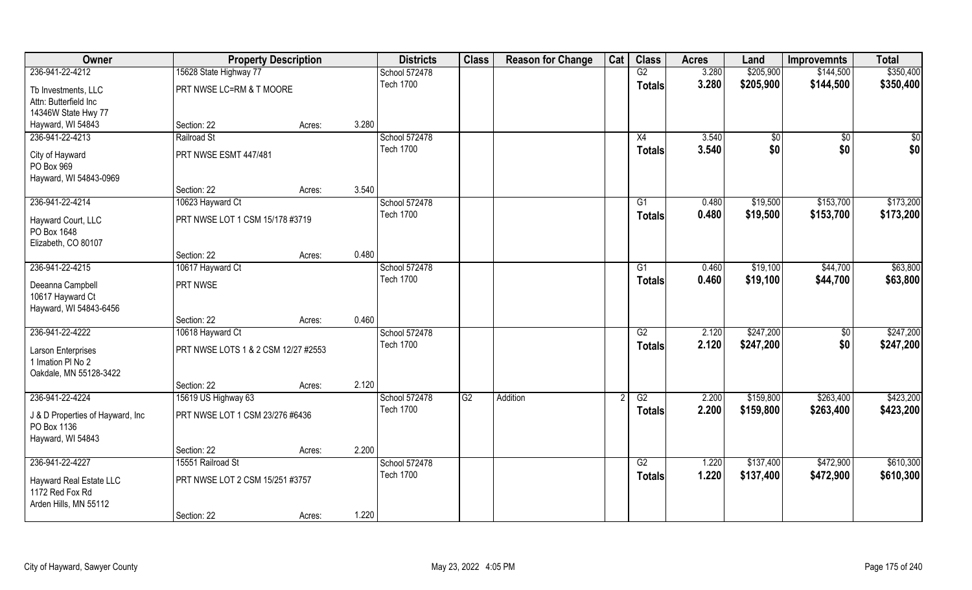| Owner                            | <b>Property Description</b>         |        |       | <b>Districts</b> | <b>Class</b> | <b>Reason for Change</b> | Cat | <b>Class</b>    | <b>Acres</b> | Land        | <b>Improvemnts</b> | <b>Total</b> |
|----------------------------------|-------------------------------------|--------|-------|------------------|--------------|--------------------------|-----|-----------------|--------------|-------------|--------------------|--------------|
| 236-941-22-4212                  | 15628 State Highway 77              |        |       | School 572478    |              |                          |     | G2              | 3.280        | \$205,900   | \$144,500          | \$350,400    |
| Tb Investments, LLC              | PRT NWSE LC=RM & T MOORE            |        |       | <b>Tech 1700</b> |              |                          |     | <b>Totals</b>   | 3.280        | \$205,900   | \$144,500          | \$350,400    |
| Attn: Butterfield Inc            |                                     |        |       |                  |              |                          |     |                 |              |             |                    |              |
| 14346W State Hwy 77              |                                     |        |       |                  |              |                          |     |                 |              |             |                    |              |
| Hayward, WI 54843                | Section: 22                         | Acres: | 3.280 |                  |              |                          |     |                 |              |             |                    |              |
| 236-941-22-4213                  | Railroad St                         |        |       | School 572478    |              |                          |     | X4              | 3.540        | $\sqrt{$0}$ | $\overline{50}$    | \$0          |
| City of Hayward                  | PRT NWSE ESMT 447/481               |        |       | <b>Tech 1700</b> |              |                          |     | Totals          | 3.540        | \$0         | \$0                | \$0          |
| PO Box 969                       |                                     |        |       |                  |              |                          |     |                 |              |             |                    |              |
| Hayward, WI 54843-0969           |                                     |        |       |                  |              |                          |     |                 |              |             |                    |              |
|                                  | Section: 22                         | Acres: | 3.540 |                  |              |                          |     |                 |              |             |                    |              |
| 236-941-22-4214                  | 10623 Hayward Ct                    |        |       | School 572478    |              |                          |     | G1              | 0.480        | \$19,500    | \$153,700          | \$173,200    |
| Hayward Court, LLC               | PRT NWSE LOT 1 CSM 15/178 #3719     |        |       | <b>Tech 1700</b> |              |                          |     | <b>Totals</b>   | 0.480        | \$19,500    | \$153,700          | \$173,200    |
| PO Box 1648                      |                                     |        |       |                  |              |                          |     |                 |              |             |                    |              |
| Elizabeth, CO 80107              |                                     |        |       |                  |              |                          |     |                 |              |             |                    |              |
|                                  | Section: 22                         | Acres: | 0.480 |                  |              |                          |     |                 |              |             |                    |              |
| 236-941-22-4215                  | 10617 Hayward Ct                    |        |       | School 572478    |              |                          |     | G1              | 0.460        | \$19,100    | \$44,700           | \$63,800     |
| Deeanna Campbell                 | PRT NWSE                            |        |       | <b>Tech 1700</b> |              |                          |     | <b>Totals</b>   | 0.460        | \$19,100    | \$44,700           | \$63,800     |
| 10617 Hayward Ct                 |                                     |        |       |                  |              |                          |     |                 |              |             |                    |              |
| Hayward, WI 54843-6456           |                                     |        |       |                  |              |                          |     |                 |              |             |                    |              |
|                                  | Section: 22                         | Acres: | 0.460 |                  |              |                          |     |                 |              |             |                    |              |
| 236-941-22-4222                  | 10618 Hayward Ct                    |        |       | School 572478    |              |                          |     | $\overline{G2}$ | 2.120        | \$247,200   | $\overline{50}$    | \$247,200    |
| Larson Enterprises               | PRT NWSE LOTS 1 & 2 CSM 12/27 #2553 |        |       | <b>Tech 1700</b> |              |                          |     | <b>Totals</b>   | 2.120        | \$247,200   | \$0                | \$247,200    |
| 1 Imation PI No 2                |                                     |        |       |                  |              |                          |     |                 |              |             |                    |              |
| Oakdale, MN 55128-3422           |                                     |        |       |                  |              |                          |     |                 |              |             |                    |              |
|                                  | Section: 22                         | Acres: | 2.120 |                  |              |                          |     |                 |              |             |                    |              |
| 236-941-22-4224                  | 15619 US Highway 63                 |        |       | School 572478    | G2           | Addition                 |     | G2              | 2.200        | \$159,800   | \$263,400          | \$423,200    |
| J & D Properties of Hayward, Inc | PRT NWSE LOT 1 CSM 23/276 #6436     |        |       | <b>Tech 1700</b> |              |                          |     | <b>Totals</b>   | 2.200        | \$159,800   | \$263,400          | \$423,200    |
| PO Box 1136                      |                                     |        |       |                  |              |                          |     |                 |              |             |                    |              |
| Hayward, WI 54843                |                                     |        |       |                  |              |                          |     |                 |              |             |                    |              |
|                                  | Section: 22                         | Acres: | 2.200 |                  |              |                          |     |                 |              |             |                    |              |
| 236-941-22-4227                  | 15551 Railroad St                   |        |       | School 572478    |              |                          |     | G2              | 1.220        | \$137,400   | \$472,900          | \$610,300    |
| Hayward Real Estate LLC          | PRT NWSE LOT 2 CSM 15/251 #3757     |        |       | <b>Tech 1700</b> |              |                          |     | <b>Totals</b>   | 1.220        | \$137,400   | \$472,900          | \$610,300    |
| 1172 Red Fox Rd                  |                                     |        |       |                  |              |                          |     |                 |              |             |                    |              |
| Arden Hills, MN 55112            |                                     |        |       |                  |              |                          |     |                 |              |             |                    |              |
|                                  | Section: 22                         | Acres: | 1.220 |                  |              |                          |     |                 |              |             |                    |              |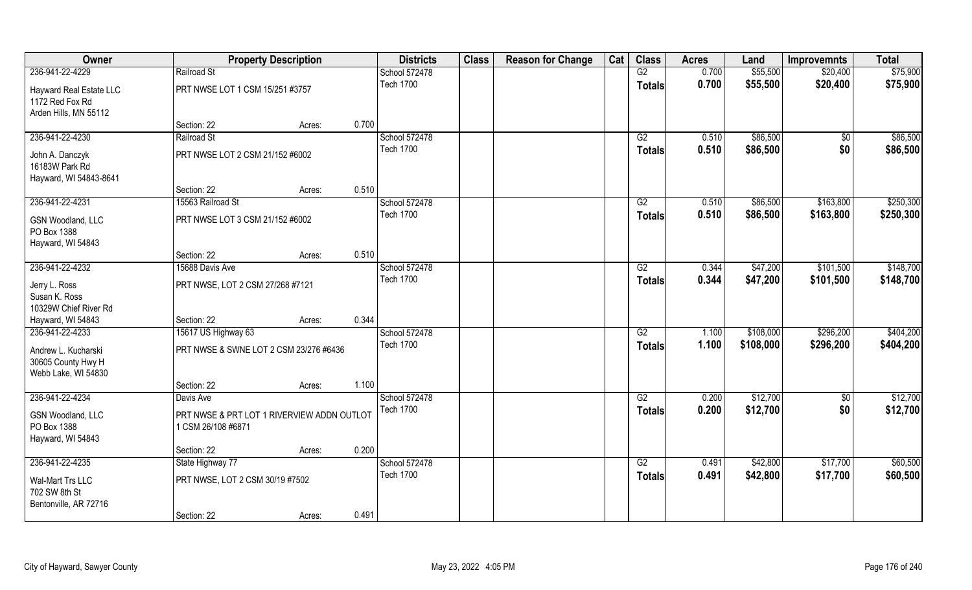| G2<br>\$55,500<br>\$75,900<br>236-941-22-4229<br>Railroad St<br>School 572478<br>0.700<br>\$20,400<br><b>Tech 1700</b><br>0.700<br>\$55,500<br>\$20,400<br>\$75,900<br><b>Totals</b><br>PRT NWSE LOT 1 CSM 15/251 #3757<br>Hayward Real Estate LLC<br>1172 Red Fox Rd<br>Arden Hills, MN 55112<br>0.700<br>Section: 22<br>Acres:<br>236-941-22-4230<br>School 572478<br>\$86,500<br>Railroad St<br>G2<br>0.510<br>$\overline{50}$<br><b>Tech 1700</b><br>\$86,500<br>\$0<br>0.510<br><b>Totals</b><br>PRT NWSE LOT 2 CSM 21/152 #6002<br>John A. Danczyk<br>16183W Park Rd<br>Hayward, WI 54843-8641<br>0.510<br>Section: 22<br>Acres:<br>236-941-22-4231<br>15563 Railroad St<br>School 572478<br>\$86,500<br>\$163,800<br>G2<br>0.510<br><b>Tech 1700</b><br>0.510<br>\$86,500<br>\$163,800<br><b>Totals</b><br>PRT NWSE LOT 3 CSM 21/152 #6002<br>GSN Woodland, LLC<br>PO Box 1388<br>Hayward, WI 54843<br>0.510<br>Section: 22<br>Acres:<br>236-941-22-4232<br>School 572478<br>\$47,200<br>\$101,500<br>15688 Davis Ave<br>G2<br>0.344<br><b>Tech 1700</b><br>0.344<br>\$47,200<br>\$101,500<br><b>Totals</b><br>PRT NWSE, LOT 2 CSM 27/268 #7121<br>Jerry L. Ross<br>Susan K. Ross<br>10329W Chief River Rd<br>0.344<br>Hayward, WI 54843<br>Section: 22<br>Acres:<br>236-941-22-4233<br>$\overline{G2}$<br>\$108,000<br>\$296,200<br>15617 US Highway 63<br>School 572478<br>1.100<br><b>Tech 1700</b><br>\$108,000<br>1.100<br>\$296,200<br><b>Totals</b><br>Andrew L. Kucharski<br>PRT NWSE & SWNE LOT 2 CSM 23/276 #6436<br>30605 County Hwy H<br>Webb Lake, WI 54830<br>1.100<br>Section: 22<br>Acres:<br>236-941-22-4234<br>\$12,700<br>School 572478<br>G2<br>0.200<br>Davis Ave<br>\$0<br>\$0<br><b>Tech 1700</b><br>0.200<br>\$12,700<br><b>Totals</b><br>PRT NWSE & PRT LOT 1 RIVERVIEW ADDN OUTLOT<br>GSN Woodland, LLC<br>PO Box 1388<br>1 CSM 26/108 #6871<br>Hayward, WI 54843<br>0.200<br>Section: 22<br>Acres:<br>236-941-22-4235<br>School 572478<br>\$17,700<br>State Highway 77<br>G2<br>0.491<br>\$42,800<br><b>Tech 1700</b><br>\$42,800<br>\$17,700<br>0.491<br><b>Totals</b><br>PRT NWSE, LOT 2 CSM 30/19 #7502<br>Wal-Mart Trs LLC<br>702 SW 8th St<br>Bentonville, AR 72716 | Owner |             | <b>Property Description</b> |       | <b>Districts</b> | <b>Class</b> | <b>Reason for Change</b> | Cat | <b>Class</b> | <b>Acres</b> | Land | <b>Improvemnts</b> | <b>Total</b> |
|------------------------------------------------------------------------------------------------------------------------------------------------------------------------------------------------------------------------------------------------------------------------------------------------------------------------------------------------------------------------------------------------------------------------------------------------------------------------------------------------------------------------------------------------------------------------------------------------------------------------------------------------------------------------------------------------------------------------------------------------------------------------------------------------------------------------------------------------------------------------------------------------------------------------------------------------------------------------------------------------------------------------------------------------------------------------------------------------------------------------------------------------------------------------------------------------------------------------------------------------------------------------------------------------------------------------------------------------------------------------------------------------------------------------------------------------------------------------------------------------------------------------------------------------------------------------------------------------------------------------------------------------------------------------------------------------------------------------------------------------------------------------------------------------------------------------------------------------------------------------------------------------------------------------------------------------------------------------------------------------------------------------------------------------------------------------------------------------------------------------------------------------------------------------------------------------------------|-------|-------------|-----------------------------|-------|------------------|--------------|--------------------------|-----|--------------|--------------|------|--------------------|--------------|
|                                                                                                                                                                                                                                                                                                                                                                                                                                                                                                                                                                                                                                                                                                                                                                                                                                                                                                                                                                                                                                                                                                                                                                                                                                                                                                                                                                                                                                                                                                                                                                                                                                                                                                                                                                                                                                                                                                                                                                                                                                                                                                                                                                                                            |       |             |                             |       |                  |              |                          |     |              |              |      |                    |              |
| \$86,500<br>\$86,500                                                                                                                                                                                                                                                                                                                                                                                                                                                                                                                                                                                                                                                                                                                                                                                                                                                                                                                                                                                                                                                                                                                                                                                                                                                                                                                                                                                                                                                                                                                                                                                                                                                                                                                                                                                                                                                                                                                                                                                                                                                                                                                                                                                       |       |             |                             |       |                  |              |                          |     |              |              |      |                    |              |
|                                                                                                                                                                                                                                                                                                                                                                                                                                                                                                                                                                                                                                                                                                                                                                                                                                                                                                                                                                                                                                                                                                                                                                                                                                                                                                                                                                                                                                                                                                                                                                                                                                                                                                                                                                                                                                                                                                                                                                                                                                                                                                                                                                                                            |       |             |                             |       |                  |              |                          |     |              |              |      |                    |              |
|                                                                                                                                                                                                                                                                                                                                                                                                                                                                                                                                                                                                                                                                                                                                                                                                                                                                                                                                                                                                                                                                                                                                                                                                                                                                                                                                                                                                                                                                                                                                                                                                                                                                                                                                                                                                                                                                                                                                                                                                                                                                                                                                                                                                            |       |             |                             |       |                  |              |                          |     |              |              |      |                    |              |
|                                                                                                                                                                                                                                                                                                                                                                                                                                                                                                                                                                                                                                                                                                                                                                                                                                                                                                                                                                                                                                                                                                                                                                                                                                                                                                                                                                                                                                                                                                                                                                                                                                                                                                                                                                                                                                                                                                                                                                                                                                                                                                                                                                                                            |       |             |                             |       |                  |              |                          |     |              |              |      |                    |              |
| \$250,300<br>\$250,300<br>\$148,700<br>\$148,700<br>\$404,200<br>\$404,200<br>\$12,700<br>\$12,700<br>\$60,500<br>\$60,500                                                                                                                                                                                                                                                                                                                                                                                                                                                                                                                                                                                                                                                                                                                                                                                                                                                                                                                                                                                                                                                                                                                                                                                                                                                                                                                                                                                                                                                                                                                                                                                                                                                                                                                                                                                                                                                                                                                                                                                                                                                                                 |       |             |                             |       |                  |              |                          |     |              |              |      |                    |              |
|                                                                                                                                                                                                                                                                                                                                                                                                                                                                                                                                                                                                                                                                                                                                                                                                                                                                                                                                                                                                                                                                                                                                                                                                                                                                                                                                                                                                                                                                                                                                                                                                                                                                                                                                                                                                                                                                                                                                                                                                                                                                                                                                                                                                            |       |             |                             |       |                  |              |                          |     |              |              |      |                    |              |
|                                                                                                                                                                                                                                                                                                                                                                                                                                                                                                                                                                                                                                                                                                                                                                                                                                                                                                                                                                                                                                                                                                                                                                                                                                                                                                                                                                                                                                                                                                                                                                                                                                                                                                                                                                                                                                                                                                                                                                                                                                                                                                                                                                                                            |       |             |                             |       |                  |              |                          |     |              |              |      |                    |              |
|                                                                                                                                                                                                                                                                                                                                                                                                                                                                                                                                                                                                                                                                                                                                                                                                                                                                                                                                                                                                                                                                                                                                                                                                                                                                                                                                                                                                                                                                                                                                                                                                                                                                                                                                                                                                                                                                                                                                                                                                                                                                                                                                                                                                            |       |             |                             |       |                  |              |                          |     |              |              |      |                    |              |
|                                                                                                                                                                                                                                                                                                                                                                                                                                                                                                                                                                                                                                                                                                                                                                                                                                                                                                                                                                                                                                                                                                                                                                                                                                                                                                                                                                                                                                                                                                                                                                                                                                                                                                                                                                                                                                                                                                                                                                                                                                                                                                                                                                                                            |       |             |                             |       |                  |              |                          |     |              |              |      |                    |              |
|                                                                                                                                                                                                                                                                                                                                                                                                                                                                                                                                                                                                                                                                                                                                                                                                                                                                                                                                                                                                                                                                                                                                                                                                                                                                                                                                                                                                                                                                                                                                                                                                                                                                                                                                                                                                                                                                                                                                                                                                                                                                                                                                                                                                            |       |             |                             |       |                  |              |                          |     |              |              |      |                    |              |
|                                                                                                                                                                                                                                                                                                                                                                                                                                                                                                                                                                                                                                                                                                                                                                                                                                                                                                                                                                                                                                                                                                                                                                                                                                                                                                                                                                                                                                                                                                                                                                                                                                                                                                                                                                                                                                                                                                                                                                                                                                                                                                                                                                                                            |       |             |                             |       |                  |              |                          |     |              |              |      |                    |              |
|                                                                                                                                                                                                                                                                                                                                                                                                                                                                                                                                                                                                                                                                                                                                                                                                                                                                                                                                                                                                                                                                                                                                                                                                                                                                                                                                                                                                                                                                                                                                                                                                                                                                                                                                                                                                                                                                                                                                                                                                                                                                                                                                                                                                            |       |             |                             |       |                  |              |                          |     |              |              |      |                    |              |
|                                                                                                                                                                                                                                                                                                                                                                                                                                                                                                                                                                                                                                                                                                                                                                                                                                                                                                                                                                                                                                                                                                                                                                                                                                                                                                                                                                                                                                                                                                                                                                                                                                                                                                                                                                                                                                                                                                                                                                                                                                                                                                                                                                                                            |       |             |                             |       |                  |              |                          |     |              |              |      |                    |              |
|                                                                                                                                                                                                                                                                                                                                                                                                                                                                                                                                                                                                                                                                                                                                                                                                                                                                                                                                                                                                                                                                                                                                                                                                                                                                                                                                                                                                                                                                                                                                                                                                                                                                                                                                                                                                                                                                                                                                                                                                                                                                                                                                                                                                            |       |             |                             |       |                  |              |                          |     |              |              |      |                    |              |
|                                                                                                                                                                                                                                                                                                                                                                                                                                                                                                                                                                                                                                                                                                                                                                                                                                                                                                                                                                                                                                                                                                                                                                                                                                                                                                                                                                                                                                                                                                                                                                                                                                                                                                                                                                                                                                                                                                                                                                                                                                                                                                                                                                                                            |       |             |                             |       |                  |              |                          |     |              |              |      |                    |              |
|                                                                                                                                                                                                                                                                                                                                                                                                                                                                                                                                                                                                                                                                                                                                                                                                                                                                                                                                                                                                                                                                                                                                                                                                                                                                                                                                                                                                                                                                                                                                                                                                                                                                                                                                                                                                                                                                                                                                                                                                                                                                                                                                                                                                            |       |             |                             |       |                  |              |                          |     |              |              |      |                    |              |
|                                                                                                                                                                                                                                                                                                                                                                                                                                                                                                                                                                                                                                                                                                                                                                                                                                                                                                                                                                                                                                                                                                                                                                                                                                                                                                                                                                                                                                                                                                                                                                                                                                                                                                                                                                                                                                                                                                                                                                                                                                                                                                                                                                                                            |       |             |                             |       |                  |              |                          |     |              |              |      |                    |              |
|                                                                                                                                                                                                                                                                                                                                                                                                                                                                                                                                                                                                                                                                                                                                                                                                                                                                                                                                                                                                                                                                                                                                                                                                                                                                                                                                                                                                                                                                                                                                                                                                                                                                                                                                                                                                                                                                                                                                                                                                                                                                                                                                                                                                            |       |             |                             |       |                  |              |                          |     |              |              |      |                    |              |
|                                                                                                                                                                                                                                                                                                                                                                                                                                                                                                                                                                                                                                                                                                                                                                                                                                                                                                                                                                                                                                                                                                                                                                                                                                                                                                                                                                                                                                                                                                                                                                                                                                                                                                                                                                                                                                                                                                                                                                                                                                                                                                                                                                                                            |       |             |                             |       |                  |              |                          |     |              |              |      |                    |              |
|                                                                                                                                                                                                                                                                                                                                                                                                                                                                                                                                                                                                                                                                                                                                                                                                                                                                                                                                                                                                                                                                                                                                                                                                                                                                                                                                                                                                                                                                                                                                                                                                                                                                                                                                                                                                                                                                                                                                                                                                                                                                                                                                                                                                            |       |             |                             |       |                  |              |                          |     |              |              |      |                    |              |
|                                                                                                                                                                                                                                                                                                                                                                                                                                                                                                                                                                                                                                                                                                                                                                                                                                                                                                                                                                                                                                                                                                                                                                                                                                                                                                                                                                                                                                                                                                                                                                                                                                                                                                                                                                                                                                                                                                                                                                                                                                                                                                                                                                                                            |       |             |                             |       |                  |              |                          |     |              |              |      |                    |              |
|                                                                                                                                                                                                                                                                                                                                                                                                                                                                                                                                                                                                                                                                                                                                                                                                                                                                                                                                                                                                                                                                                                                                                                                                                                                                                                                                                                                                                                                                                                                                                                                                                                                                                                                                                                                                                                                                                                                                                                                                                                                                                                                                                                                                            |       |             |                             |       |                  |              |                          |     |              |              |      |                    |              |
|                                                                                                                                                                                                                                                                                                                                                                                                                                                                                                                                                                                                                                                                                                                                                                                                                                                                                                                                                                                                                                                                                                                                                                                                                                                                                                                                                                                                                                                                                                                                                                                                                                                                                                                                                                                                                                                                                                                                                                                                                                                                                                                                                                                                            |       |             |                             |       |                  |              |                          |     |              |              |      |                    |              |
|                                                                                                                                                                                                                                                                                                                                                                                                                                                                                                                                                                                                                                                                                                                                                                                                                                                                                                                                                                                                                                                                                                                                                                                                                                                                                                                                                                                                                                                                                                                                                                                                                                                                                                                                                                                                                                                                                                                                                                                                                                                                                                                                                                                                            |       |             |                             |       |                  |              |                          |     |              |              |      |                    |              |
|                                                                                                                                                                                                                                                                                                                                                                                                                                                                                                                                                                                                                                                                                                                                                                                                                                                                                                                                                                                                                                                                                                                                                                                                                                                                                                                                                                                                                                                                                                                                                                                                                                                                                                                                                                                                                                                                                                                                                                                                                                                                                                                                                                                                            |       |             |                             |       |                  |              |                          |     |              |              |      |                    |              |
|                                                                                                                                                                                                                                                                                                                                                                                                                                                                                                                                                                                                                                                                                                                                                                                                                                                                                                                                                                                                                                                                                                                                                                                                                                                                                                                                                                                                                                                                                                                                                                                                                                                                                                                                                                                                                                                                                                                                                                                                                                                                                                                                                                                                            |       |             |                             |       |                  |              |                          |     |              |              |      |                    |              |
|                                                                                                                                                                                                                                                                                                                                                                                                                                                                                                                                                                                                                                                                                                                                                                                                                                                                                                                                                                                                                                                                                                                                                                                                                                                                                                                                                                                                                                                                                                                                                                                                                                                                                                                                                                                                                                                                                                                                                                                                                                                                                                                                                                                                            |       |             |                             |       |                  |              |                          |     |              |              |      |                    |              |
|                                                                                                                                                                                                                                                                                                                                                                                                                                                                                                                                                                                                                                                                                                                                                                                                                                                                                                                                                                                                                                                                                                                                                                                                                                                                                                                                                                                                                                                                                                                                                                                                                                                                                                                                                                                                                                                                                                                                                                                                                                                                                                                                                                                                            |       |             |                             |       |                  |              |                          |     |              |              |      |                    |              |
|                                                                                                                                                                                                                                                                                                                                                                                                                                                                                                                                                                                                                                                                                                                                                                                                                                                                                                                                                                                                                                                                                                                                                                                                                                                                                                                                                                                                                                                                                                                                                                                                                                                                                                                                                                                                                                                                                                                                                                                                                                                                                                                                                                                                            |       |             |                             |       |                  |              |                          |     |              |              |      |                    |              |
|                                                                                                                                                                                                                                                                                                                                                                                                                                                                                                                                                                                                                                                                                                                                                                                                                                                                                                                                                                                                                                                                                                                                                                                                                                                                                                                                                                                                                                                                                                                                                                                                                                                                                                                                                                                                                                                                                                                                                                                                                                                                                                                                                                                                            |       |             |                             |       |                  |              |                          |     |              |              |      |                    |              |
|                                                                                                                                                                                                                                                                                                                                                                                                                                                                                                                                                                                                                                                                                                                                                                                                                                                                                                                                                                                                                                                                                                                                                                                                                                                                                                                                                                                                                                                                                                                                                                                                                                                                                                                                                                                                                                                                                                                                                                                                                                                                                                                                                                                                            |       |             |                             |       |                  |              |                          |     |              |              |      |                    |              |
|                                                                                                                                                                                                                                                                                                                                                                                                                                                                                                                                                                                                                                                                                                                                                                                                                                                                                                                                                                                                                                                                                                                                                                                                                                                                                                                                                                                                                                                                                                                                                                                                                                                                                                                                                                                                                                                                                                                                                                                                                                                                                                                                                                                                            |       |             |                             |       |                  |              |                          |     |              |              |      |                    |              |
|                                                                                                                                                                                                                                                                                                                                                                                                                                                                                                                                                                                                                                                                                                                                                                                                                                                                                                                                                                                                                                                                                                                                                                                                                                                                                                                                                                                                                                                                                                                                                                                                                                                                                                                                                                                                                                                                                                                                                                                                                                                                                                                                                                                                            |       | Section: 22 | Acres:                      | 0.491 |                  |              |                          |     |              |              |      |                    |              |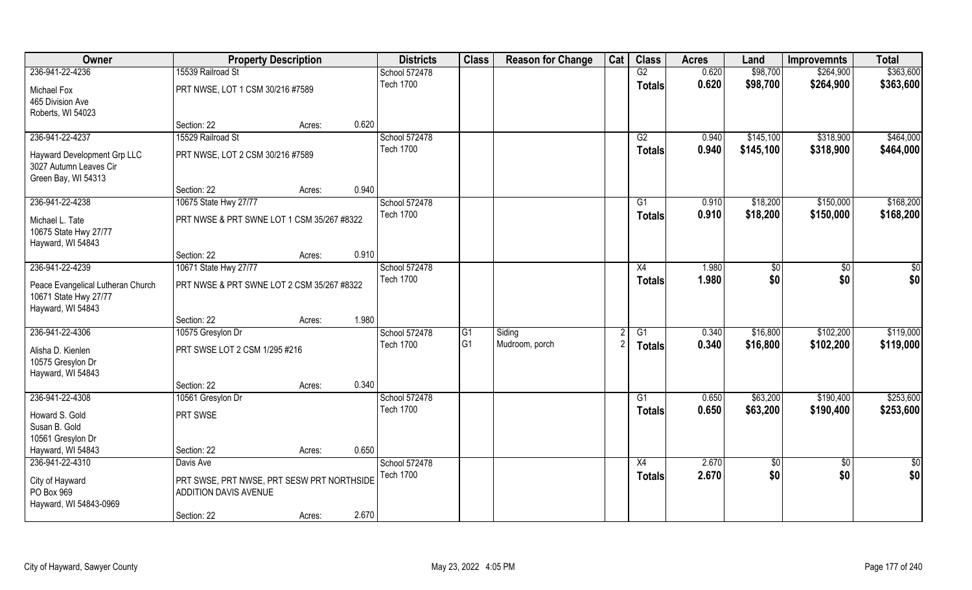| Owner                             | <b>Property Description</b>                |        |       | <b>Districts</b> | <b>Class</b>   | <b>Reason for Change</b> | Cat | <b>Class</b>    | <b>Acres</b> | Land      | <b>Improvemnts</b> | <b>Total</b> |
|-----------------------------------|--------------------------------------------|--------|-------|------------------|----------------|--------------------------|-----|-----------------|--------------|-----------|--------------------|--------------|
| 236-941-22-4236                   | 15539 Railroad St                          |        |       | School 572478    |                |                          |     | $\overline{G2}$ | 0.620        | \$98,700  | \$264,900          | \$363,600    |
| Michael Fox                       | PRT NWSE, LOT 1 CSM 30/216 #7589           |        |       | <b>Tech 1700</b> |                |                          |     | Totals          | 0.620        | \$98,700  | \$264,900          | \$363,600    |
| 465 Division Ave                  |                                            |        |       |                  |                |                          |     |                 |              |           |                    |              |
| Roberts, WI 54023                 |                                            |        |       |                  |                |                          |     |                 |              |           |                    |              |
|                                   | Section: 22                                | Acres: | 0.620 |                  |                |                          |     |                 |              |           |                    |              |
| 236-941-22-4237                   | 15529 Railroad St                          |        |       | School 572478    |                |                          |     | G2              | 0.940        | \$145,100 | \$318,900          | \$464,000    |
| Hayward Development Grp LLC       | PRT NWSE, LOT 2 CSM 30/216 #7589           |        |       | <b>Tech 1700</b> |                |                          |     | <b>Totals</b>   | 0.940        | \$145,100 | \$318,900          | \$464,000    |
| 3027 Autumn Leaves Cir            |                                            |        |       |                  |                |                          |     |                 |              |           |                    |              |
| Green Bay, WI 54313               |                                            |        |       |                  |                |                          |     |                 |              |           |                    |              |
|                                   | Section: 22                                | Acres: | 0.940 |                  |                |                          |     |                 |              |           |                    |              |
| 236-941-22-4238                   | 10675 State Hwy 27/77                      |        |       | School 572478    |                |                          |     | G1              | 0.910        | \$18,200  | \$150,000          | \$168,200    |
| Michael L. Tate                   | PRT NWSE & PRT SWNE LOT 1 CSM 35/267 #8322 |        |       | <b>Tech 1700</b> |                |                          |     | <b>Totals</b>   | 0.910        | \$18,200  | \$150,000          | \$168,200    |
| 10675 State Hwy 27/77             |                                            |        |       |                  |                |                          |     |                 |              |           |                    |              |
| Hayward, WI 54843                 |                                            |        |       |                  |                |                          |     |                 |              |           |                    |              |
|                                   | Section: 22                                | Acres: | 0.910 |                  |                |                          |     |                 |              |           |                    |              |
| 236-941-22-4239                   | 10671 State Hwy 27/77                      |        |       | School 572478    |                |                          |     | X4              | 1.980        | \$0       | \$0                | \$0          |
| Peace Evangelical Lutheran Church | PRT NWSE & PRT SWNE LOT 2 CSM 35/267 #8322 |        |       | <b>Tech 1700</b> |                |                          |     | <b>Totals</b>   | 1.980        | \$0       | \$0                | \$0          |
| 10671 State Hwy 27/77             |                                            |        |       |                  |                |                          |     |                 |              |           |                    |              |
| Hayward, WI 54843                 |                                            |        |       |                  |                |                          |     |                 |              |           |                    |              |
|                                   | Section: 22                                | Acres: | 1.980 |                  |                |                          |     |                 |              |           |                    |              |
| 236-941-22-4306                   | 10575 Gresylon Dr                          |        |       | School 572478    | G <sub>1</sub> | Siding                   |     | G1              | 0.340        | \$16,800  | \$102,200          | \$119,000    |
| Alisha D. Kienlen                 | PRT SWSE LOT 2 CSM 1/295 #216              |        |       | <b>Tech 1700</b> | G1             | Mudroom, porch           |     | <b>Totals</b>   | 0.340        | \$16,800  | \$102,200          | \$119,000    |
| 10575 Gresylon Dr                 |                                            |        |       |                  |                |                          |     |                 |              |           |                    |              |
| Hayward, WI 54843                 |                                            |        |       |                  |                |                          |     |                 |              |           |                    |              |
|                                   | Section: 22                                | Acres: | 0.340 |                  |                |                          |     |                 |              |           |                    |              |
| 236-941-22-4308                   | 10561 Gresylon Dr                          |        |       | School 572478    |                |                          |     | G1              | 0.650        | \$63,200  | \$190,400          | \$253,600    |
| Howard S. Gold                    | PRT SWSE                                   |        |       | <b>Tech 1700</b> |                |                          |     | <b>Totals</b>   | 0.650        | \$63,200  | \$190,400          | \$253,600    |
| Susan B. Gold                     |                                            |        |       |                  |                |                          |     |                 |              |           |                    |              |
| 10561 Gresylon Dr                 |                                            |        |       |                  |                |                          |     |                 |              |           |                    |              |
| Hayward, WI 54843                 | Section: 22                                | Acres: | 0.650 |                  |                |                          |     |                 |              |           |                    |              |
| 236-941-22-4310                   | Davis Ave                                  |        |       | School 572478    |                |                          |     | X4              | 2.670        | \$0       | $\sqrt{6}$         | \$0          |
| City of Hayward                   | PRT SWSE, PRT NWSE, PRT SESW PRT NORTHSIDE |        |       | <b>Tech 1700</b> |                |                          |     | <b>Totals</b>   | 2.670        | \$0       | \$0                | \$0          |
| PO Box 969                        | ADDITION DAVIS AVENUE                      |        |       |                  |                |                          |     |                 |              |           |                    |              |
| Hayward, WI 54843-0969            |                                            |        |       |                  |                |                          |     |                 |              |           |                    |              |
|                                   | Section: 22                                | Acres: | 2.670 |                  |                |                          |     |                 |              |           |                    |              |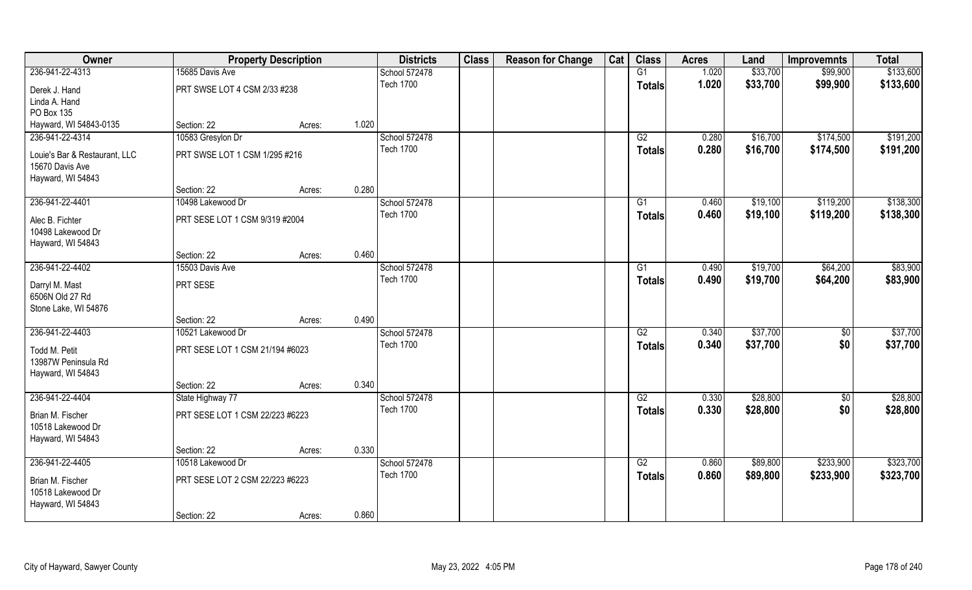| Owner                                  |                                 | <b>Property Description</b> |       | <b>Districts</b> | <b>Class</b> | <b>Reason for Change</b> | Cat | <b>Class</b>    | <b>Acres</b> | Land     | <b>Improvemnts</b> | <b>Total</b> |
|----------------------------------------|---------------------------------|-----------------------------|-------|------------------|--------------|--------------------------|-----|-----------------|--------------|----------|--------------------|--------------|
| 236-941-22-4313                        | 15685 Davis Ave                 |                             |       | School 572478    |              |                          |     | G1              | 1.020        | \$33,700 | \$99,900           | \$133,600    |
| Derek J. Hand                          | PRT SWSE LOT 4 CSM 2/33 #238    |                             |       | <b>Tech 1700</b> |              |                          |     | <b>Totals</b>   | 1.020        | \$33,700 | \$99,900           | \$133,600    |
| Linda A. Hand                          |                                 |                             |       |                  |              |                          |     |                 |              |          |                    |              |
| PO Box 135                             |                                 |                             |       |                  |              |                          |     |                 |              |          |                    |              |
| Hayward, WI 54843-0135                 | Section: 22                     | Acres:                      | 1.020 |                  |              |                          |     |                 |              |          |                    |              |
| 236-941-22-4314                        | 10583 Gresylon Dr               |                             |       | School 572478    |              |                          |     | G2              | 0.280        | \$16,700 | \$174,500          | \$191,200    |
| Louie's Bar & Restaurant, LLC          | PRT SWSE LOT 1 CSM 1/295 #216   |                             |       | <b>Tech 1700</b> |              |                          |     | Totals          | 0.280        | \$16,700 | \$174,500          | \$191,200    |
| 15670 Davis Ave                        |                                 |                             |       |                  |              |                          |     |                 |              |          |                    |              |
| Hayward, WI 54843                      |                                 |                             |       |                  |              |                          |     |                 |              |          |                    |              |
|                                        | Section: 22                     | Acres:                      | 0.280 |                  |              |                          |     |                 |              |          |                    |              |
| 236-941-22-4401                        | 10498 Lakewood Dr               |                             |       | School 572478    |              |                          |     | G1              | 0.460        | \$19,100 | \$119,200          | \$138,300    |
| Alec B. Fichter                        | PRT SESE LOT 1 CSM 9/319 #2004  |                             |       | <b>Tech 1700</b> |              |                          |     | <b>Totals</b>   | 0.460        | \$19,100 | \$119,200          | \$138,300    |
| 10498 Lakewood Dr                      |                                 |                             |       |                  |              |                          |     |                 |              |          |                    |              |
| Hayward, WI 54843                      |                                 |                             |       |                  |              |                          |     |                 |              |          |                    |              |
|                                        | Section: 22                     | Acres:                      | 0.460 |                  |              |                          |     |                 |              |          |                    |              |
| 236-941-22-4402                        | 15503 Davis Ave                 |                             |       | School 572478    |              |                          |     | G1              | 0.490        | \$19,700 | \$64,200           | \$83,900     |
| Darryl M. Mast                         | PRT SESE                        |                             |       | <b>Tech 1700</b> |              |                          |     | <b>Totals</b>   | 0.490        | \$19,700 | \$64,200           | \$83,900     |
| 6506N Old 27 Rd                        |                                 |                             |       |                  |              |                          |     |                 |              |          |                    |              |
| Stone Lake, WI 54876                   |                                 |                             |       |                  |              |                          |     |                 |              |          |                    |              |
|                                        | Section: 22                     | Acres:                      | 0.490 |                  |              |                          |     |                 |              |          |                    |              |
| 236-941-22-4403                        | 10521 Lakewood Dr               |                             |       | School 572478    |              |                          |     | $\overline{G2}$ | 0.340        | \$37,700 | $\overline{50}$    | \$37,700     |
| Todd M. Petit                          | PRT SESE LOT 1 CSM 21/194 #6023 |                             |       | <b>Tech 1700</b> |              |                          |     | <b>Totals</b>   | 0.340        | \$37,700 | \$0                | \$37,700     |
| 13987W Peninsula Rd                    |                                 |                             |       |                  |              |                          |     |                 |              |          |                    |              |
| Hayward, WI 54843                      |                                 |                             |       |                  |              |                          |     |                 |              |          |                    |              |
|                                        | Section: 22                     | Acres:                      | 0.340 |                  |              |                          |     |                 |              |          |                    |              |
| 236-941-22-4404                        | State Highway 77                |                             |       | School 572478    |              |                          |     | G2              | 0.330        | \$28,800 | $\overline{50}$    | \$28,800     |
|                                        |                                 |                             |       | <b>Tech 1700</b> |              |                          |     | <b>Totals</b>   | 0.330        | \$28,800 | \$0                | \$28,800     |
| Brian M. Fischer<br>10518 Lakewood Dr  | PRT SESE LOT 1 CSM 22/223 #6223 |                             |       |                  |              |                          |     |                 |              |          |                    |              |
| Hayward, WI 54843                      |                                 |                             |       |                  |              |                          |     |                 |              |          |                    |              |
|                                        | Section: 22                     | Acres:                      | 0.330 |                  |              |                          |     |                 |              |          |                    |              |
| 236-941-22-4405                        | 10518 Lakewood Dr               |                             |       | School 572478    |              |                          |     | G2              | 0.860        | \$89,800 | \$233,900          | \$323,700    |
|                                        |                                 |                             |       | <b>Tech 1700</b> |              |                          |     | <b>Totals</b>   | 0.860        | \$89,800 | \$233,900          | \$323,700    |
| Brian M. Fischer                       | PRT SESE LOT 2 CSM 22/223 #6223 |                             |       |                  |              |                          |     |                 |              |          |                    |              |
| 10518 Lakewood Dr<br>Hayward, WI 54843 |                                 |                             |       |                  |              |                          |     |                 |              |          |                    |              |
|                                        | Section: 22                     | Acres:                      | 0.860 |                  |              |                          |     |                 |              |          |                    |              |
|                                        |                                 |                             |       |                  |              |                          |     |                 |              |          |                    |              |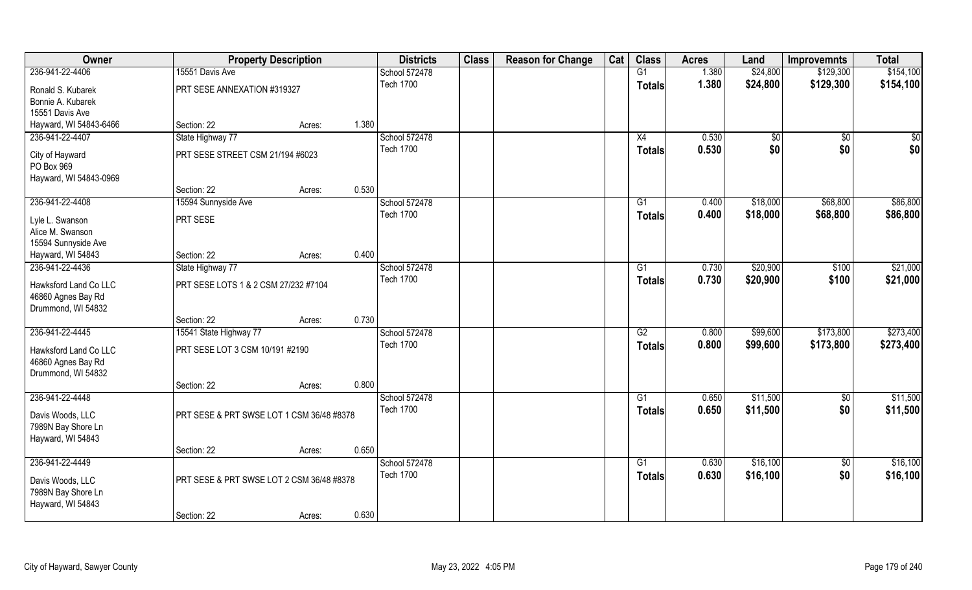| Owner                                                                          |                                           | <b>Property Description</b> |       | <b>Districts</b>                  | <b>Class</b> | <b>Reason for Change</b> | Cat | <b>Class</b>                     | <b>Acres</b>   | Land                 | <b>Improvemnts</b>     | <b>Total</b>         |
|--------------------------------------------------------------------------------|-------------------------------------------|-----------------------------|-------|-----------------------------------|--------------|--------------------------|-----|----------------------------------|----------------|----------------------|------------------------|----------------------|
| 236-941-22-4406                                                                | 15551 Davis Ave                           |                             |       | School 572478                     |              |                          |     | G1                               | 1.380          | \$24,800             | \$129,300              | \$154,100            |
| Ronald S. Kubarek<br>Bonnie A. Kubarek                                         | PRT SESE ANNEXATION #319327               |                             |       | <b>Tech 1700</b>                  |              |                          |     | <b>Totals</b>                    | 1.380          | \$24,800             | \$129,300              | \$154,100            |
| 15551 Davis Ave                                                                |                                           |                             |       |                                   |              |                          |     |                                  |                |                      |                        |                      |
| Hayward, WI 54843-6466                                                         | Section: 22                               | Acres:                      | 1.380 |                                   |              |                          |     |                                  |                |                      |                        |                      |
| 236-941-22-4407                                                                | State Highway 77                          |                             |       | School 572478                     |              |                          |     | X4                               | 0.530          | $\sqrt{$0}$          | $\overline{50}$        | \$0                  |
| City of Hayward<br>PO Box 969<br>Hayward, WI 54843-0969                        | PRT SESE STREET CSM 21/194 #6023          |                             |       | <b>Tech 1700</b>                  |              |                          |     | <b>Totals</b>                    | 0.530          | \$0                  | \$0                    | \$0                  |
|                                                                                | Section: 22                               | Acres:                      | 0.530 |                                   |              |                          |     |                                  |                |                      |                        |                      |
| 236-941-22-4408                                                                | 15594 Sunnyside Ave                       |                             |       | School 572478                     |              |                          |     | G1                               | 0.400          | \$18,000             | \$68,800               | \$86,800             |
| Lyle L. Swanson<br>Alice M. Swanson                                            | PRT SESE                                  |                             |       | <b>Tech 1700</b>                  |              |                          |     | <b>Totals</b>                    | 0.400          | \$18,000             | \$68,800               | \$86,800             |
| 15594 Sunnyside Ave<br>Hayward, WI 54843                                       | Section: 22                               |                             | 0.400 |                                   |              |                          |     |                                  |                |                      |                        |                      |
| 236-941-22-4436                                                                | State Highway 77                          | Acres:                      |       | School 572478                     |              |                          |     | G1                               | 0.730          | \$20,900             | \$100                  | \$21,000             |
| Hawksford Land Co LLC<br>46860 Agnes Bay Rd<br>Drummond, WI 54832              | PRT SESE LOTS 1 & 2 CSM 27/232 #7104      |                             |       | <b>Tech 1700</b>                  |              |                          |     | <b>Totals</b>                    | 0.730          | \$20,900             | \$100                  | \$21,000             |
|                                                                                | Section: 22                               | Acres:                      | 0.730 |                                   |              |                          |     |                                  |                |                      |                        |                      |
| 236-941-22-4445                                                                | 15541 State Highway 77                    |                             |       | School 572478                     |              |                          |     | $\overline{G2}$                  | 0.800          | \$99,600             | \$173,800              | \$273,400            |
| Hawksford Land Co LLC<br>46860 Agnes Bay Rd<br>Drummond, WI 54832              | PRT SESE LOT 3 CSM 10/191 #2190           |                             |       | <b>Tech 1700</b>                  |              |                          |     | <b>Totals</b>                    | 0.800          | \$99,600             | \$173,800              | \$273,400            |
|                                                                                | Section: 22                               | Acres:                      | 0.800 |                                   |              |                          |     |                                  |                |                      |                        |                      |
| 236-941-22-4448<br>Davis Woods, LLC<br>7989N Bay Shore Ln<br>Hayward, WI 54843 | PRT SESE & PRT SWSE LOT 1 CSM 36/48 #8378 |                             |       | School 572478<br><b>Tech 1700</b> |              |                          |     | G1<br><b>Totals</b>              | 0.650<br>0.650 | \$11,500<br>\$11,500 | $\overline{50}$<br>\$0 | \$11,500<br>\$11,500 |
|                                                                                | Section: 22                               | Acres:                      | 0.650 |                                   |              |                          |     |                                  |                |                      |                        |                      |
| 236-941-22-4449<br>Davis Woods, LLC                                            | PRT SESE & PRT SWSE LOT 2 CSM 36/48 #8378 |                             |       | School 572478<br><b>Tech 1700</b> |              |                          |     | $\overline{G1}$<br><b>Totals</b> | 0.630<br>0.630 | \$16,100<br>\$16,100 | $\overline{50}$<br>\$0 | \$16,100<br>\$16,100 |
| 7989N Bay Shore Ln<br>Hayward, WI 54843                                        | Section: 22                               | Acres:                      | 0.630 |                                   |              |                          |     |                                  |                |                      |                        |                      |
|                                                                                |                                           |                             |       |                                   |              |                          |     |                                  |                |                      |                        |                      |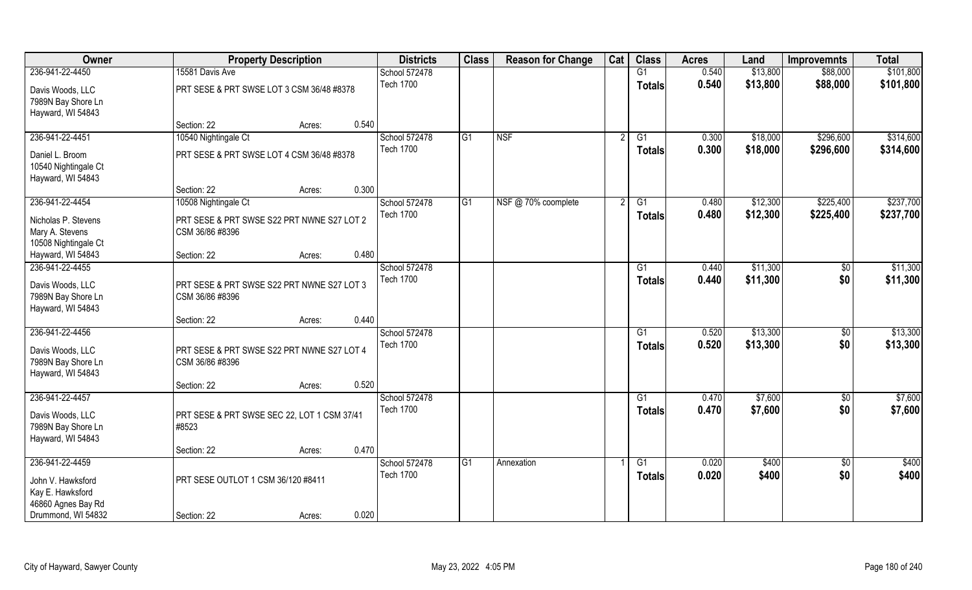| Owner                                                          |                                                               | <b>Property Description</b> |       | <b>Districts</b> | <b>Class</b> | <b>Reason for Change</b> | Cat | <b>Class</b>    | <b>Acres</b> | Land     | <b>Improvemnts</b> | <b>Total</b> |
|----------------------------------------------------------------|---------------------------------------------------------------|-----------------------------|-------|------------------|--------------|--------------------------|-----|-----------------|--------------|----------|--------------------|--------------|
| 236-941-22-4450                                                | 15581 Davis Ave                                               |                             |       | School 572478    |              |                          |     | G1              | 0.540        | \$13,800 | \$88,000           | \$101,800    |
| Davis Woods, LLC<br>7989N Bay Shore Ln<br>Hayward, WI 54843    | PRT SESE & PRT SWSE LOT 3 CSM 36/48 #8378                     |                             |       | <b>Tech 1700</b> |              |                          |     | <b>Totals</b>   | 0.540        | \$13,800 | \$88,000           | \$101,800    |
|                                                                | Section: 22                                                   | Acres:                      | 0.540 |                  |              |                          |     |                 |              |          |                    |              |
| 236-941-22-4451                                                | 10540 Nightingale Ct                                          |                             |       | School 572478    | G1           | <b>NSF</b>               |     | $\overline{G1}$ | 0.300        | \$18,000 | \$296,600          | \$314,600    |
| Daniel L. Broom<br>10540 Nightingale Ct<br>Hayward, WI 54843   | PRT SESE & PRT SWSE LOT 4 CSM 36/48 #8378                     |                             |       | <b>Tech 1700</b> |              |                          |     | <b>Totals</b>   | 0.300        | \$18,000 | \$296,600          | \$314,600    |
|                                                                | Section: 22                                                   | Acres:                      | 0.300 |                  |              |                          |     |                 |              |          |                    |              |
| 236-941-22-4454                                                | 10508 Nightingale Ct                                          |                             |       | School 572478    | G1           | NSF @ 70% coomplete      |     | G1              | 0.480        | \$12,300 | \$225,400          | \$237,700    |
| Nicholas P. Stevens<br>Mary A. Stevens<br>10508 Nightingale Ct | PRT SESE & PRT SWSE S22 PRT NWNE S27 LOT 2<br>CSM 36/86 #8396 |                             |       | <b>Tech 1700</b> |              |                          |     | <b>Totals</b>   | 0.480        | \$12,300 | \$225,400          | \$237,700    |
| Hayward, WI 54843                                              | Section: 22                                                   | Acres:                      | 0.480 |                  |              |                          |     |                 |              |          |                    |              |
| 236-941-22-4455                                                |                                                               |                             |       | School 572478    |              |                          |     | G1              | 0.440        | \$11,300 | $\sqrt{50}$        | \$11,300     |
| Davis Woods, LLC<br>7989N Bay Shore Ln<br>Hayward, WI 54843    | PRT SESE & PRT SWSE S22 PRT NWNE S27 LOT 3<br>CSM 36/86 #8396 |                             |       | <b>Tech 1700</b> |              |                          |     | <b>Totals</b>   | 0.440        | \$11,300 | \$0                | \$11,300     |
|                                                                | Section: 22                                                   | Acres:                      | 0.440 |                  |              |                          |     |                 |              |          |                    |              |
| 236-941-22-4456                                                |                                                               |                             |       | School 572478    |              |                          |     | $\overline{G1}$ | 0.520        | \$13,300 | $\overline{50}$    | \$13,300     |
| Davis Woods, LLC<br>7989N Bay Shore Ln<br>Hayward, WI 54843    | PRT SESE & PRT SWSE S22 PRT NWNE S27 LOT 4<br>CSM 36/86 #8396 |                             |       | <b>Tech 1700</b> |              |                          |     | <b>Totals</b>   | 0.520        | \$13,300 | \$0                | \$13,300     |
|                                                                | Section: 22                                                   | Acres:                      | 0.520 |                  |              |                          |     |                 |              |          |                    |              |
| 236-941-22-4457                                                |                                                               |                             |       | School 572478    |              |                          |     | G1              | 0.470        | \$7,600  | $\sqrt{6}$         | \$7,600      |
| Davis Woods, LLC<br>7989N Bay Shore Ln<br>Hayward, WI 54843    | PRT SESE & PRT SWSE SEC 22, LOT 1 CSM 37/41<br>#8523          |                             |       | <b>Tech 1700</b> |              |                          |     | <b>Totals</b>   | 0.470        | \$7,600  | \$0                | \$7,600      |
|                                                                | Section: 22                                                   | Acres:                      | 0.470 |                  |              |                          |     |                 |              |          |                    |              |
| 236-941-22-4459                                                |                                                               |                             |       | School 572478    | G1           | Annexation               |     | $\overline{G1}$ | 0.020        | \$400    | $\overline{50}$    | \$400        |
| John V. Hawksford<br>Kay E. Hawksford                          | PRT SESE OUTLOT 1 CSM 36/120 #8411                            |                             |       | <b>Tech 1700</b> |              |                          |     | Totals          | 0.020        | \$400    | \$0                | \$400        |
| 46860 Agnes Bay Rd<br>Drummond, WI 54832                       | Section: 22                                                   | Acres:                      | 0.020 |                  |              |                          |     |                 |              |          |                    |              |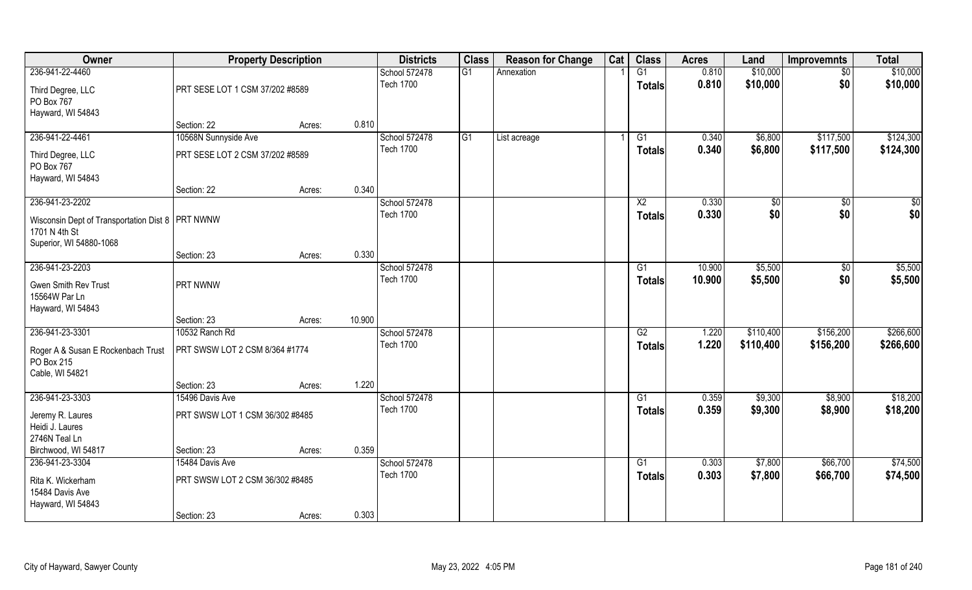| Owner                                                               | <b>Property Description</b>     |        |        | <b>Districts</b> | <b>Class</b> | <b>Reason for Change</b> | Cat | <b>Class</b>    | <b>Acres</b> | Land      | <b>Improvemnts</b> | <b>Total</b> |
|---------------------------------------------------------------------|---------------------------------|--------|--------|------------------|--------------|--------------------------|-----|-----------------|--------------|-----------|--------------------|--------------|
| 236-941-22-4460                                                     |                                 |        |        | School 572478    | G1           | Annexation               |     | G1              | 0.810        | \$10,000  | $\overline{50}$    | \$10,000     |
| Third Degree, LLC<br>PO Box 767                                     | PRT SESE LOT 1 CSM 37/202 #8589 |        |        | <b>Tech 1700</b> |              |                          |     | Totals          | 0.810        | \$10,000  | \$0                | \$10,000     |
| Hayward, WI 54843                                                   |                                 |        |        |                  |              |                          |     |                 |              |           |                    |              |
|                                                                     | Section: 22                     | Acres: | 0.810  |                  |              |                          |     |                 |              |           |                    |              |
| 236-941-22-4461                                                     | 10568N Sunnyside Ave            |        |        | School 572478    | G1           | List acreage             |     | G1              | 0.340        | \$6,800   | \$117,500          | \$124,300    |
| Third Degree, LLC<br>PO Box 767                                     | PRT SESE LOT 2 CSM 37/202 #8589 |        |        | <b>Tech 1700</b> |              |                          |     | Totals          | 0.340        | \$6,800   | \$117,500          | \$124,300    |
| Hayward, WI 54843                                                   |                                 |        |        |                  |              |                          |     |                 |              |           |                    |              |
|                                                                     | Section: 22                     | Acres: | 0.340  |                  |              |                          |     |                 |              |           |                    |              |
| 236-941-23-2202                                                     |                                 |        |        | School 572478    |              |                          |     | $\overline{X2}$ | 0.330        | \$0       | \$0                | \$0          |
| Wisconsin Dept of Transportation Dist 8   PRT NWNW<br>1701 N 4th St |                                 |        |        | <b>Tech 1700</b> |              |                          |     | <b>Totals</b>   | 0.330        | \$0       | \$0                | \$0          |
| Superior, WI 54880-1068                                             | Section: 23                     | Acres: | 0.330  |                  |              |                          |     |                 |              |           |                    |              |
| 236-941-23-2203                                                     |                                 |        |        | School 572478    |              |                          |     | G1              | 10.900       | \$5,500   | $\sqrt[6]{}$       | \$5,500      |
| Gwen Smith Rev Trust<br>15564W Par Ln<br>Hayward, WI 54843          | PRT NWNW                        |        |        | <b>Tech 1700</b> |              |                          |     | <b>Totals</b>   | 10.900       | \$5,500   | \$0                | \$5,500      |
|                                                                     | Section: 23                     | Acres: | 10.900 |                  |              |                          |     |                 |              |           |                    |              |
| 236-941-23-3301                                                     | 10532 Ranch Rd                  |        |        | School 572478    |              |                          |     | $\overline{G2}$ | 1.220        | \$110,400 | \$156,200          | \$266,600    |
| Roger A & Susan E Rockenbach Trust<br>PO Box 215<br>Cable, WI 54821 | PRT SWSW LOT 2 CSM 8/364 #1774  |        |        | <b>Tech 1700</b> |              |                          |     | <b>Totals</b>   | 1.220        | \$110,400 | \$156,200          | \$266,600    |
|                                                                     | Section: 23                     | Acres: | 1.220  |                  |              |                          |     |                 |              |           |                    |              |
| 236-941-23-3303                                                     | 15496 Davis Ave                 |        |        | School 572478    |              |                          |     | G1              | 0.359        | \$9,300   | \$8,900            | \$18,200     |
| Jeremy R. Laures<br>Heidi J. Laures<br>2746N Teal Ln                | PRT SWSW LOT 1 CSM 36/302 #8485 |        |        | <b>Tech 1700</b> |              |                          |     | <b>Totals</b>   | 0.359        | \$9,300   | \$8,900            | \$18,200     |
| Birchwood, WI 54817                                                 | Section: 23                     | Acres: | 0.359  |                  |              |                          |     |                 |              |           |                    |              |
| 236-941-23-3304                                                     | 15484 Davis Ave                 |        |        | School 572478    |              |                          |     | G1              | 0.303        | \$7,800   | \$66,700           | \$74,500     |
| Rita K. Wickerham<br>15484 Davis Ave<br>Hayward, WI 54843           | PRT SWSW LOT 2 CSM 36/302 #8485 |        |        | <b>Tech 1700</b> |              |                          |     | <b>Totals</b>   | 0.303        | \$7,800   | \$66,700           | \$74,500     |
|                                                                     | Section: 23                     | Acres: | 0.303  |                  |              |                          |     |                 |              |           |                    |              |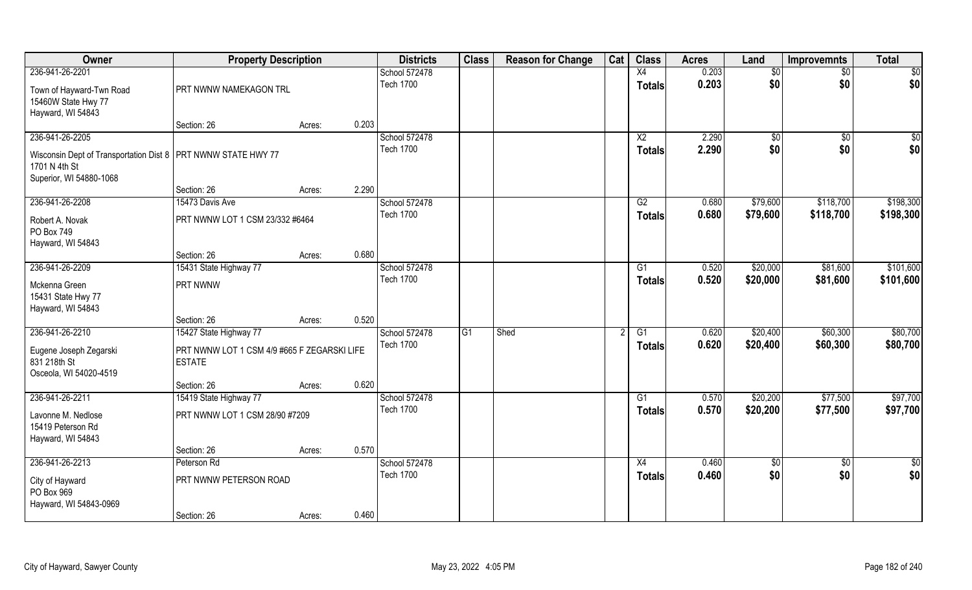| Owner                                                           | <b>Property Description</b>                 |        |       | <b>Districts</b>                  | <b>Class</b>    | <b>Reason for Change</b> | Cat | <b>Class</b>    | <b>Acres</b>   | Land        | <b>Improvemnts</b> | <b>Total</b>  |
|-----------------------------------------------------------------|---------------------------------------------|--------|-------|-----------------------------------|-----------------|--------------------------|-----|-----------------|----------------|-------------|--------------------|---------------|
| 236-941-26-2201                                                 |                                             |        |       | School 572478                     |                 |                          |     | $\overline{X4}$ | 0.203          | \$0         | $\sqrt{6}$         | \$0           |
| Town of Hayward-Twn Road                                        | PRT NWNW NAMEKAGON TRL                      |        |       | <b>Tech 1700</b>                  |                 |                          |     | <b>Totals</b>   | 0.203          | \$0         | \$0                | \$0           |
| 15460W State Hwy 77                                             |                                             |        |       |                                   |                 |                          |     |                 |                |             |                    |               |
| Hayward, WI 54843                                               |                                             |        | 0.203 |                                   |                 |                          |     |                 |                |             |                    |               |
|                                                                 | Section: 26                                 | Acres: |       |                                   |                 |                          |     | $\overline{X2}$ |                |             |                    |               |
| 236-941-26-2205                                                 |                                             |        |       | School 572478<br><b>Tech 1700</b> |                 |                          |     |                 | 2.290<br>2.290 | $\sqrt{$0}$ | \$0                | \$0           |
| Wisconsin Dept of Transportation Dist 8   PRT NWNW STATE HWY 77 |                                             |        |       |                                   |                 |                          |     | <b>Totals</b>   |                | \$0         | \$0                | \$0           |
| 1701 N 4th St                                                   |                                             |        |       |                                   |                 |                          |     |                 |                |             |                    |               |
| Superior, WI 54880-1068                                         |                                             |        |       |                                   |                 |                          |     |                 |                |             |                    |               |
|                                                                 | Section: 26                                 | Acres: | 2.290 |                                   |                 |                          |     |                 |                |             |                    |               |
| 236-941-26-2208                                                 | 15473 Davis Ave                             |        |       | School 572478                     |                 |                          |     | G2              | 0.680          | \$79,600    | \$118,700          | \$198,300     |
| Robert A. Novak                                                 | PRT NWNW LOT 1 CSM 23/332 #6464             |        |       | <b>Tech 1700</b>                  |                 |                          |     | <b>Totals</b>   | 0.680          | \$79,600    | \$118,700          | \$198,300     |
| PO Box 749                                                      |                                             |        |       |                                   |                 |                          |     |                 |                |             |                    |               |
| Hayward, WI 54843                                               |                                             |        |       |                                   |                 |                          |     |                 |                |             |                    |               |
|                                                                 | Section: 26                                 | Acres: | 0.680 |                                   |                 |                          |     |                 |                |             |                    |               |
| 236-941-26-2209                                                 | 15431 State Highway 77                      |        |       | School 572478                     |                 |                          |     | G1              | 0.520          | \$20,000    | \$81,600           | \$101,600     |
|                                                                 |                                             |        |       | <b>Tech 1700</b>                  |                 |                          |     | <b>Totals</b>   | 0.520          | \$20,000    | \$81,600           | \$101,600     |
| Mckenna Green                                                   | PRT NWNW                                    |        |       |                                   |                 |                          |     |                 |                |             |                    |               |
| 15431 State Hwy 77<br>Hayward, WI 54843                         |                                             |        |       |                                   |                 |                          |     |                 |                |             |                    |               |
|                                                                 | Section: 26                                 | Acres: | 0.520 |                                   |                 |                          |     |                 |                |             |                    |               |
| 236-941-26-2210                                                 | 15427 State Highway 77                      |        |       | School 572478                     | $\overline{G1}$ | Shed                     |     | $\overline{G1}$ | 0.620          | \$20,400    | \$60,300           | \$80,700      |
|                                                                 |                                             |        |       | <b>Tech 1700</b>                  |                 |                          |     |                 | 0.620          | \$20,400    | \$60,300           | \$80,700      |
| Eugene Joseph Zegarski                                          | PRT NWNW LOT 1 CSM 4/9 #665 F ZEGARSKI LIFE |        |       |                                   |                 |                          |     | <b>Totals</b>   |                |             |                    |               |
| 831 218th St                                                    | <b>ESTATE</b>                               |        |       |                                   |                 |                          |     |                 |                |             |                    |               |
| Osceola, WI 54020-4519                                          |                                             |        |       |                                   |                 |                          |     |                 |                |             |                    |               |
|                                                                 | Section: 26                                 | Acres: | 0.620 |                                   |                 |                          |     |                 |                |             |                    |               |
| 236-941-26-2211                                                 | 15419 State Highway 77                      |        |       | School 572478                     |                 |                          |     | G1              | 0.570          | \$20,200    | \$77,500           | \$97,700      |
| Lavonne M. Nedlose                                              | PRT NWNW LOT 1 CSM 28/90 #7209              |        |       | <b>Tech 1700</b>                  |                 |                          |     | <b>Totals</b>   | 0.570          | \$20,200    | \$77,500           | \$97,700      |
| 15419 Peterson Rd                                               |                                             |        |       |                                   |                 |                          |     |                 |                |             |                    |               |
| Hayward, WI 54843                                               |                                             |        |       |                                   |                 |                          |     |                 |                |             |                    |               |
|                                                                 | Section: 26                                 | Acres: | 0.570 |                                   |                 |                          |     |                 |                |             |                    |               |
| 236-941-26-2213                                                 | Peterson Rd                                 |        |       | School 572478                     |                 |                          |     | X4              | 0.460          | $\sqrt{6}$  | $\overline{50}$    | $\frac{1}{6}$ |
| City of Hayward                                                 | PRT NWNW PETERSON ROAD                      |        |       | <b>Tech 1700</b>                  |                 |                          |     | <b>Totals</b>   | 0.460          | \$0         | \$0                | \$0           |
| PO Box 969                                                      |                                             |        |       |                                   |                 |                          |     |                 |                |             |                    |               |
| Hayward, WI 54843-0969                                          |                                             |        |       |                                   |                 |                          |     |                 |                |             |                    |               |
|                                                                 | Section: 26                                 | Acres: | 0.460 |                                   |                 |                          |     |                 |                |             |                    |               |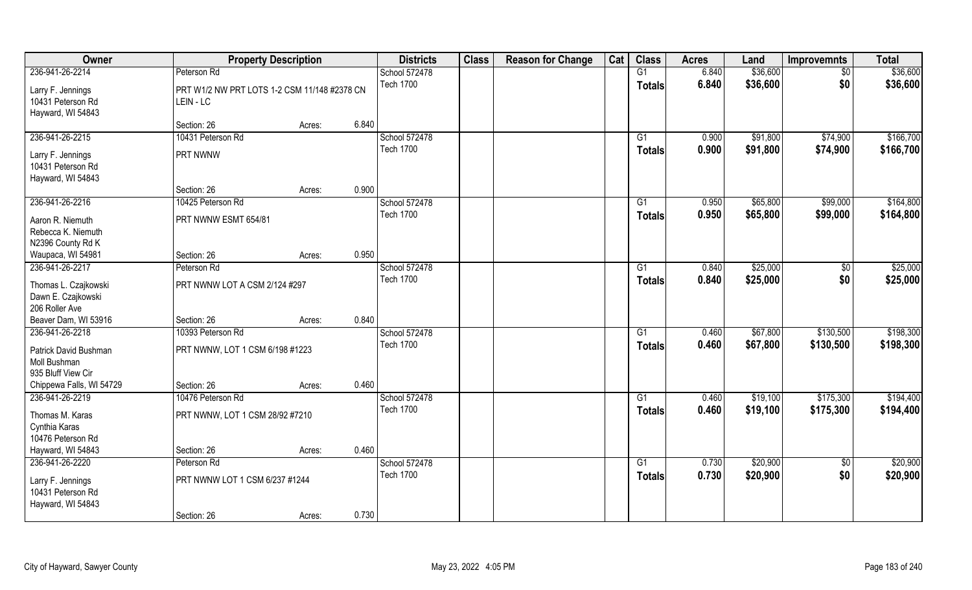| Owner                                                        |                                                           | <b>Property Description</b> |       | <b>Districts</b> | <b>Class</b> | <b>Reason for Change</b> | Cat | <b>Class</b>    | <b>Acres</b> | Land     | <b>Improvemnts</b> | <b>Total</b> |
|--------------------------------------------------------------|-----------------------------------------------------------|-----------------------------|-------|------------------|--------------|--------------------------|-----|-----------------|--------------|----------|--------------------|--------------|
| 236-941-26-2214                                              | Peterson Rd                                               |                             |       | School 572478    |              |                          |     | G1              | 6.840        | \$36,600 | $\sqrt{6}$         | \$36,600     |
| Larry F. Jennings<br>10431 Peterson Rd<br>Hayward, WI 54843  | PRT W1/2 NW PRT LOTS 1-2 CSM 11/148 #2378 CN<br>LEIN - LC |                             |       | <b>Tech 1700</b> |              |                          |     | <b>Totals</b>   | 6.840        | \$36,600 | \$0                | \$36,600     |
|                                                              | Section: 26                                               | Acres:                      | 6.840 |                  |              |                          |     |                 |              |          |                    |              |
| 236-941-26-2215                                              | 10431 Peterson Rd                                         |                             |       | School 572478    |              |                          |     | G1              | 0.900        | \$91,800 | \$74,900           | \$166,700    |
| Larry F. Jennings<br>10431 Peterson Rd<br>Hayward, WI 54843  | PRT NWNW                                                  |                             |       | <b>Tech 1700</b> |              |                          |     | Totals          | 0.900        | \$91,800 | \$74,900           | \$166,700    |
|                                                              | Section: 26                                               | Acres:                      | 0.900 |                  |              |                          |     |                 |              |          |                    |              |
| 236-941-26-2216                                              | 10425 Peterson Rd                                         |                             |       | School 572478    |              |                          |     | G1              | 0.950        | \$65,800 | \$99,000           | \$164,800    |
| Aaron R. Niemuth<br>Rebecca K. Niemuth<br>N2396 County Rd K  | PRT NWNW ESMT 654/81                                      |                             |       | <b>Tech 1700</b> |              |                          |     | <b>Totals</b>   | 0.950        | \$65,800 | \$99,000           | \$164,800    |
| Waupaca, WI 54981                                            | Section: 26                                               | Acres:                      | 0.950 |                  |              |                          |     |                 |              |          |                    |              |
| 236-941-26-2217                                              | Peterson Rd                                               |                             |       | School 572478    |              |                          |     | G1              | 0.840        | \$25,000 | $\sqrt{50}$        | \$25,000     |
| Thomas L. Czajkowski<br>Dawn E. Czajkowski<br>206 Roller Ave | PRT NWNW LOT A CSM 2/124 #297                             |                             |       | <b>Tech 1700</b> |              |                          |     | Totals          | 0.840        | \$25,000 | \$0                | \$25,000     |
| Beaver Dam, WI 53916                                         | Section: 26                                               | Acres:                      | 0.840 |                  |              |                          |     |                 |              |          |                    |              |
| 236-941-26-2218                                              | 10393 Peterson Rd                                         |                             |       | School 572478    |              |                          |     | $\overline{G1}$ | 0.460        | \$67,800 | \$130,500          | \$198,300    |
| Patrick David Bushman<br>Moll Bushman<br>935 Bluff View Cir  | PRT NWNW, LOT 1 CSM 6/198 #1223                           |                             |       | <b>Tech 1700</b> |              |                          |     | <b>Totals</b>   | 0.460        | \$67,800 | \$130,500          | \$198,300    |
| Chippewa Falls, WI 54729                                     | Section: 26                                               | Acres:                      | 0.460 |                  |              |                          |     |                 |              |          |                    |              |
| 236-941-26-2219                                              | 10476 Peterson Rd                                         |                             |       | School 572478    |              |                          |     | G1              | 0.460        | \$19,100 | \$175,300          | \$194,400    |
| Thomas M. Karas<br>Cynthia Karas<br>10476 Peterson Rd        | PRT NWNW, LOT 1 CSM 28/92 #7210                           |                             |       | <b>Tech 1700</b> |              |                          |     | <b>Totals</b>   | 0.460        | \$19,100 | \$175,300          | \$194,400    |
| Hayward, WI 54843                                            | Section: 26                                               | Acres:                      | 0.460 |                  |              |                          |     |                 |              |          |                    |              |
| 236-941-26-2220                                              | Peterson Rd                                               |                             |       | School 572478    |              |                          |     | $\overline{G1}$ | 0.730        | \$20,900 | $\overline{50}$    | \$20,900     |
| Larry F. Jennings<br>10431 Peterson Rd<br>Hayward, WI 54843  | PRT NWNW LOT 1 CSM 6/237 #1244                            |                             |       | <b>Tech 1700</b> |              |                          |     | <b>Totals</b>   | 0.730        | \$20,900 | \$0                | \$20,900     |
|                                                              | Section: 26                                               | Acres:                      | 0.730 |                  |              |                          |     |                 |              |          |                    |              |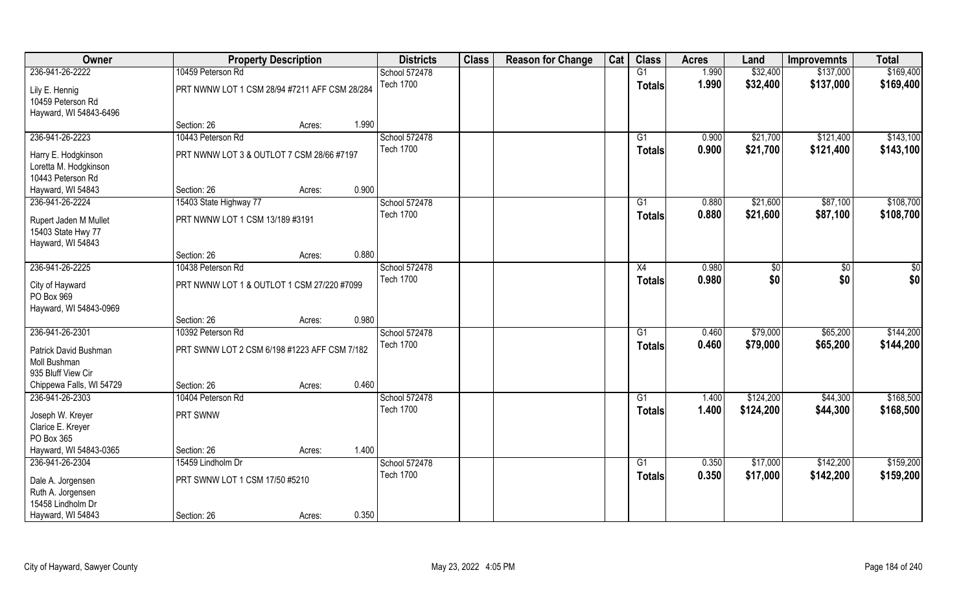| Owner                                                             |                                               | <b>Property Description</b> |       | <b>Districts</b>                  | <b>Class</b> | <b>Reason for Change</b> | Cat | <b>Class</b>    | <b>Acres</b>   | Land                 | <b>Improvemnts</b>     | <b>Total</b>           |
|-------------------------------------------------------------------|-----------------------------------------------|-----------------------------|-------|-----------------------------------|--------------|--------------------------|-----|-----------------|----------------|----------------------|------------------------|------------------------|
| 236-941-26-2222                                                   | 10459 Peterson Rd                             |                             |       | School 572478                     |              |                          |     | G1              | 1.990          | \$32,400             | \$137,000              | \$169,400              |
| Lily E. Hennig<br>10459 Peterson Rd<br>Hayward, WI 54843-6496     | PRT NWNW LOT 1 CSM 28/94 #7211 AFF CSM 28/284 |                             |       | <b>Tech 1700</b>                  |              |                          |     | <b>Totals</b>   | 1.990          | \$32,400             | \$137,000              | \$169,400              |
|                                                                   | Section: 26                                   | Acres:                      | 1.990 |                                   |              |                          |     |                 |                |                      |                        |                        |
| 236-941-26-2223                                                   | 10443 Peterson Rd                             |                             |       | School 572478<br><b>Tech 1700</b> |              |                          |     | G1              | 0.900<br>0.900 | \$21,700<br>\$21,700 | \$121,400<br>\$121,400 | \$143,100<br>\$143,100 |
| Harry E. Hodgkinson<br>Loretta M. Hodgkinson<br>10443 Peterson Rd | PRT NWNW LOT 3 & OUTLOT 7 CSM 28/66 #7197     |                             |       |                                   |              |                          |     | Totals          |                |                      |                        |                        |
| Hayward, WI 54843                                                 | Section: 26                                   | Acres:                      | 0.900 |                                   |              |                          |     |                 |                |                      |                        |                        |
| 236-941-26-2224                                                   | 15403 State Highway 77                        |                             |       | School 572478                     |              |                          |     | G1              | 0.880          | \$21,600             | \$87,100               | \$108,700              |
| Rupert Jaden M Mullet<br>15403 State Hwy 77<br>Hayward, WI 54843  | PRT NWNW LOT 1 CSM 13/189 #3191               |                             |       | <b>Tech 1700</b>                  |              |                          |     | <b>Totals</b>   | 0.880          | \$21,600             | \$87,100               | \$108,700              |
|                                                                   | Section: 26                                   | Acres:                      | 0.880 |                                   |              |                          |     |                 |                |                      |                        |                        |
| 236-941-26-2225                                                   | 10438 Peterson Rd                             |                             |       | School 572478                     |              |                          |     | X4              | 0.980          | \$0                  | $\frac{1}{30}$         | $\frac{6}{3}$          |
| City of Hayward<br>PO Box 969<br>Hayward, WI 54843-0969           | PRT NWNW LOT 1 & OUTLOT 1 CSM 27/220 #7099    |                             |       | <b>Tech 1700</b>                  |              |                          |     | <b>Totals</b>   | 0.980          | \$0                  | \$0                    | \$0                    |
|                                                                   | Section: 26                                   | Acres:                      | 0.980 |                                   |              |                          |     |                 |                |                      |                        |                        |
| 236-941-26-2301                                                   | 10392 Peterson Rd                             |                             |       | School 572478                     |              |                          |     | $\overline{G1}$ | 0.460          | \$79,000             | \$65,200               | \$144,200              |
| Patrick David Bushman<br>Moll Bushman<br>935 Bluff View Cir       | PRT SWNW LOT 2 CSM 6/198 #1223 AFF CSM 7/182  |                             |       | <b>Tech 1700</b>                  |              |                          |     | <b>Totals</b>   | 0.460          | \$79,000             | \$65,200               | \$144,200              |
| Chippewa Falls, WI 54729                                          | Section: 26                                   | Acres:                      | 0.460 |                                   |              |                          |     |                 |                |                      |                        |                        |
| 236-941-26-2303                                                   | 10404 Peterson Rd                             |                             |       | School 572478                     |              |                          |     | G1              | 1.400          | \$124,200            | \$44,300               | \$168,500              |
| Joseph W. Kreyer<br>Clarice E. Kreyer<br>PO Box 365               | PRT SWNW                                      |                             |       | <b>Tech 1700</b>                  |              |                          |     | <b>Totals</b>   | 1.400          | \$124,200            | \$44,300               | \$168,500              |
| Hayward, WI 54843-0365                                            | Section: 26                                   | Acres:                      | 1.400 |                                   |              |                          |     |                 |                |                      |                        |                        |
| 236-941-26-2304                                                   | 15459 Lindholm Dr                             |                             |       | School 572478                     |              |                          |     | $\overline{G1}$ | 0.350          | \$17,000             | \$142,200              | \$159,200              |
| Dale A. Jorgensen<br>Ruth A. Jorgensen<br>15458 Lindholm Dr       | PRT SWNW LOT 1 CSM 17/50 #5210                |                             |       | <b>Tech 1700</b>                  |              |                          |     | <b>Totals</b>   | 0.350          | \$17,000             | \$142,200              | \$159,200              |
| Hayward, WI 54843                                                 | Section: 26                                   | Acres:                      | 0.350 |                                   |              |                          |     |                 |                |                      |                        |                        |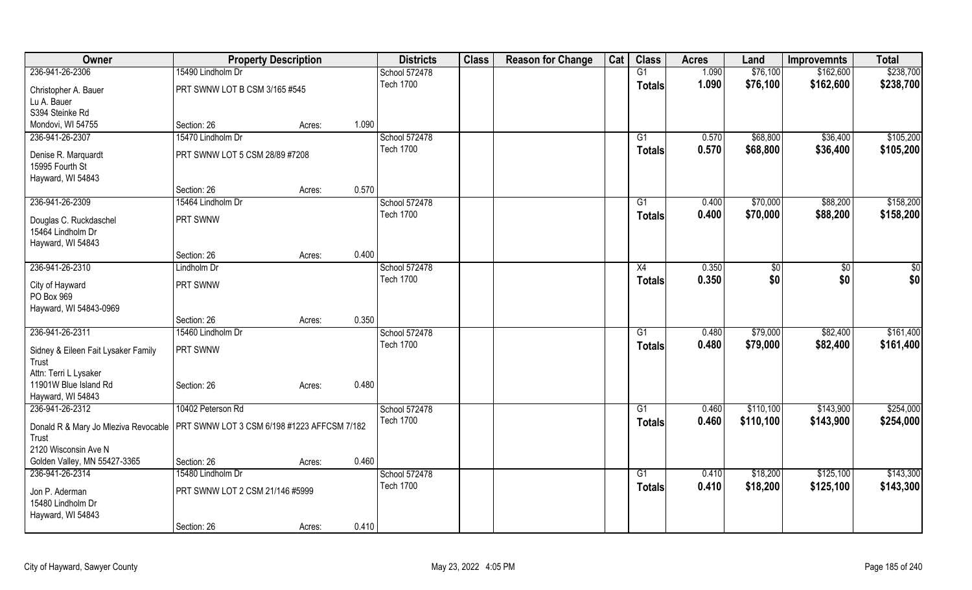| \$76,100<br>236-941-26-2306<br>15490 Lindholm Dr<br>G1<br>1.090<br>\$162,600<br>School 572478<br><b>Tech 1700</b><br>1.090<br>\$76,100<br>\$162,600<br>Totals<br>PRT SWNW LOT B CSM 3/165 #545<br>Christopher A. Bauer<br>Lu A. Bauer<br>S394 Steinke Rd<br>1.090<br>Mondovi, WI 54755<br>Section: 26<br>Acres: |  |  |  |  |  |  |           |
|-----------------------------------------------------------------------------------------------------------------------------------------------------------------------------------------------------------------------------------------------------------------------------------------------------------------|--|--|--|--|--|--|-----------|
|                                                                                                                                                                                                                                                                                                                 |  |  |  |  |  |  | \$238,700 |
|                                                                                                                                                                                                                                                                                                                 |  |  |  |  |  |  | \$238,700 |
|                                                                                                                                                                                                                                                                                                                 |  |  |  |  |  |  |           |
|                                                                                                                                                                                                                                                                                                                 |  |  |  |  |  |  |           |
|                                                                                                                                                                                                                                                                                                                 |  |  |  |  |  |  |           |
| 15470 Lindholm Dr<br>School 572478<br>\$68,800<br>\$36,400<br>236-941-26-2307<br>0.570<br>G1                                                                                                                                                                                                                    |  |  |  |  |  |  | \$105,200 |
| <b>Tech 1700</b><br>0.570<br>\$36,400<br>\$68,800<br><b>Totals</b><br>PRT SWNW LOT 5 CSM 28/89 #7208<br>Denise R. Marquardt                                                                                                                                                                                     |  |  |  |  |  |  | \$105,200 |
| 15995 Fourth St                                                                                                                                                                                                                                                                                                 |  |  |  |  |  |  |           |
| Hayward, WI 54843                                                                                                                                                                                                                                                                                               |  |  |  |  |  |  |           |
| 0.570<br>Section: 26<br>Acres:                                                                                                                                                                                                                                                                                  |  |  |  |  |  |  |           |
| 236-941-26-2309<br>15464 Lindholm Dr<br>School 572478<br>0.400<br>\$70,000<br>\$88,200<br>G1                                                                                                                                                                                                                    |  |  |  |  |  |  | \$158,200 |
| <b>Tech 1700</b><br>\$70,000<br>0.400<br>\$88,200<br><b>Totals</b>                                                                                                                                                                                                                                              |  |  |  |  |  |  | \$158,200 |
| PRT SWNW<br>Douglas C. Ruckdaschel                                                                                                                                                                                                                                                                              |  |  |  |  |  |  |           |
| 15464 Lindholm Dr                                                                                                                                                                                                                                                                                               |  |  |  |  |  |  |           |
| Hayward, WI 54843                                                                                                                                                                                                                                                                                               |  |  |  |  |  |  |           |
| 0.400<br>Section: 26<br>Acres:                                                                                                                                                                                                                                                                                  |  |  |  |  |  |  |           |
| 236-941-26-2310<br>School 572478<br>Lindholm Dr<br>X4<br>0.350<br>$\sqrt[6]{30}$<br>\$0                                                                                                                                                                                                                         |  |  |  |  |  |  | \$0       |
| <b>Tech 1700</b><br>0.350<br>\$0<br>\$0<br><b>Totals</b><br>City of Hayward<br>PRT SWNW                                                                                                                                                                                                                         |  |  |  |  |  |  | \$0       |
| PO Box 969                                                                                                                                                                                                                                                                                                      |  |  |  |  |  |  |           |
| Hayward, WI 54843-0969                                                                                                                                                                                                                                                                                          |  |  |  |  |  |  |           |
| 0.350<br>Section: 26<br>Acres:                                                                                                                                                                                                                                                                                  |  |  |  |  |  |  |           |
| 236-941-26-2311<br>15460 Lindholm Dr<br>School 572478<br>0.480<br>\$79,000<br>\$82,400<br>G1                                                                                                                                                                                                                    |  |  |  |  |  |  | \$161,400 |
| \$79,000<br><b>Tech 1700</b><br>0.480<br>\$82,400<br><b>Totals</b>                                                                                                                                                                                                                                              |  |  |  |  |  |  | \$161,400 |
| PRT SWNW<br>Sidney & Eileen Fait Lysaker Family                                                                                                                                                                                                                                                                 |  |  |  |  |  |  |           |
| Trust                                                                                                                                                                                                                                                                                                           |  |  |  |  |  |  |           |
| Attn: Terri L Lysaker<br>0.480<br>11901W Blue Island Rd                                                                                                                                                                                                                                                         |  |  |  |  |  |  |           |
| Section: 26<br>Acres:<br>Hayward, WI 54843                                                                                                                                                                                                                                                                      |  |  |  |  |  |  |           |
| 10402 Peterson Rd<br>236-941-26-2312<br>School 572478<br>0.460<br>\$110,100<br>\$143,900<br>G1                                                                                                                                                                                                                  |  |  |  |  |  |  | \$254,000 |
| <b>Tech 1700</b><br>0.460                                                                                                                                                                                                                                                                                       |  |  |  |  |  |  |           |
| \$110,100<br>\$143,900<br><b>Totals</b><br>PRT SWNW LOT 3 CSM 6/198 #1223 AFFCSM 7/182<br>Donald R & Mary Jo Mleziva Revocable                                                                                                                                                                                  |  |  |  |  |  |  | \$254,000 |
| Trust                                                                                                                                                                                                                                                                                                           |  |  |  |  |  |  |           |
| 2120 Wisconsin Ave N                                                                                                                                                                                                                                                                                            |  |  |  |  |  |  |           |
| 0.460<br>Golden Valley, MN 55427-3365<br>Section: 26<br>Acres:                                                                                                                                                                                                                                                  |  |  |  |  |  |  |           |
| School 572478<br>236-941-26-2314<br>15480 Lindholm Dr<br>\$18,200<br>\$125,100<br>G1<br>0.410                                                                                                                                                                                                                   |  |  |  |  |  |  | \$143,300 |
| <b>Tech 1700</b><br>0.410<br>\$18,200<br>\$125,100<br><b>Totals</b><br>Jon P. Aderman<br>PRT SWNW LOT 2 CSM 21/146 #5999                                                                                                                                                                                        |  |  |  |  |  |  | \$143,300 |
| 15480 Lindholm Dr                                                                                                                                                                                                                                                                                               |  |  |  |  |  |  |           |
| Hayward, WI 54843                                                                                                                                                                                                                                                                                               |  |  |  |  |  |  |           |
| 0.410<br>Section: 26<br>Acres:                                                                                                                                                                                                                                                                                  |  |  |  |  |  |  |           |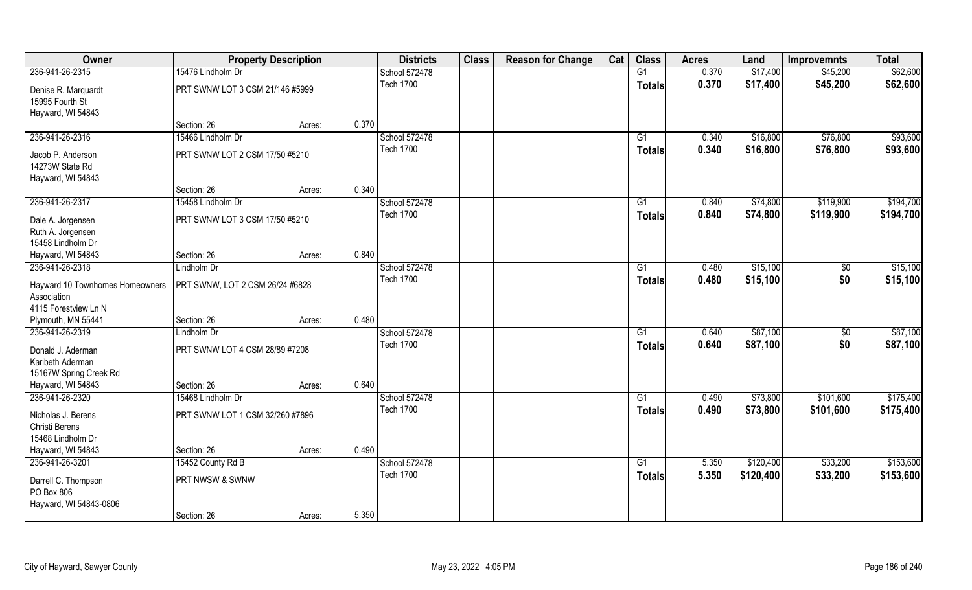| Owner                                  | <b>Property Description</b>     |        |       | <b>Districts</b> | <b>Class</b> | <b>Reason for Change</b> | Cat | <b>Class</b>    | <b>Acres</b> | Land      | <b>Improvemnts</b> | <b>Total</b> |
|----------------------------------------|---------------------------------|--------|-------|------------------|--------------|--------------------------|-----|-----------------|--------------|-----------|--------------------|--------------|
| 236-941-26-2315                        | 15476 Lindholm Dr               |        |       | School 572478    |              |                          |     | G1              | 0.370        | \$17,400  | \$45,200           | \$62,600     |
| Denise R. Marquardt<br>15995 Fourth St | PRT SWNW LOT 3 CSM 21/146 #5999 |        |       | <b>Tech 1700</b> |              |                          |     | <b>Totals</b>   | 0.370        | \$17,400  | \$45,200           | \$62,600     |
| Hayward, WI 54843                      |                                 |        |       |                  |              |                          |     |                 |              |           |                    |              |
|                                        | Section: 26                     | Acres: | 0.370 |                  |              |                          |     |                 |              |           |                    |              |
| 236-941-26-2316                        | 15466 Lindholm Dr               |        |       | School 572478    |              |                          |     | G1              | 0.340        | \$16,800  | \$76,800           | \$93,600     |
| Jacob P. Anderson                      | PRT SWNW LOT 2 CSM 17/50 #5210  |        |       | <b>Tech 1700</b> |              |                          |     | Totals          | 0.340        | \$16,800  | \$76,800           | \$93,600     |
| 14273W State Rd                        |                                 |        |       |                  |              |                          |     |                 |              |           |                    |              |
| Hayward, WI 54843                      |                                 |        |       |                  |              |                          |     |                 |              |           |                    |              |
|                                        | Section: 26                     | Acres: | 0.340 |                  |              |                          |     |                 |              |           |                    |              |
| 236-941-26-2317                        | 15458 Lindholm Dr               |        |       | School 572478    |              |                          |     | G1              | 0.840        | \$74,800  | \$119,900          | \$194,700    |
| Dale A. Jorgensen                      | PRT SWNW LOT 3 CSM 17/50 #5210  |        |       | <b>Tech 1700</b> |              |                          |     | <b>Totals</b>   | 0.840        | \$74,800  | \$119,900          | \$194,700    |
| Ruth A. Jorgensen                      |                                 |        |       |                  |              |                          |     |                 |              |           |                    |              |
| 15458 Lindholm Dr                      |                                 |        |       |                  |              |                          |     |                 |              |           |                    |              |
| Hayward, WI 54843                      | Section: 26                     | Acres: | 0.840 |                  |              |                          |     |                 |              |           |                    |              |
| 236-941-26-2318                        | Lindholm Dr                     |        |       | School 572478    |              |                          |     | G1              | 0.480        | \$15,100  | $\sqrt{50}$        | \$15,100     |
| Hayward 10 Townhomes Homeowners        | PRT SWNW, LOT 2 CSM 26/24 #6828 |        |       | <b>Tech 1700</b> |              |                          |     | Totals          | 0.480        | \$15,100  | \$0                | \$15,100     |
| Association                            |                                 |        |       |                  |              |                          |     |                 |              |           |                    |              |
| 4115 Forestview Ln N                   |                                 |        |       |                  |              |                          |     |                 |              |           |                    |              |
| Plymouth, MN 55441                     | Section: 26                     | Acres: | 0.480 |                  |              |                          |     |                 |              |           |                    |              |
| 236-941-26-2319                        | Lindholm Dr                     |        |       | School 572478    |              |                          |     | $\overline{G1}$ | 0.640        | \$87,100  | $\overline{50}$    | \$87,100     |
| Donald J. Aderman                      | PRT SWNW LOT 4 CSM 28/89 #7208  |        |       | <b>Tech 1700</b> |              |                          |     | <b>Totals</b>   | 0.640        | \$87,100  | \$0                | \$87,100     |
| Karibeth Aderman                       |                                 |        |       |                  |              |                          |     |                 |              |           |                    |              |
| 15167W Spring Creek Rd                 |                                 |        |       |                  |              |                          |     |                 |              |           |                    |              |
| Hayward, WI 54843                      | Section: 26                     | Acres: | 0.640 |                  |              |                          |     |                 |              |           |                    |              |
| 236-941-26-2320                        | 15468 Lindholm Dr               |        |       | School 572478    |              |                          |     | G1              | 0.490        | \$73,800  | \$101,600          | \$175,400    |
| Nicholas J. Berens                     | PRT SWNW LOT 1 CSM 32/260 #7896 |        |       | <b>Tech 1700</b> |              |                          |     | <b>Totals</b>   | 0.490        | \$73,800  | \$101,600          | \$175,400    |
| Christi Berens                         |                                 |        |       |                  |              |                          |     |                 |              |           |                    |              |
| 15468 Lindholm Dr                      |                                 |        |       |                  |              |                          |     |                 |              |           |                    |              |
| Hayward, WI 54843                      | Section: 26                     | Acres: | 0.490 |                  |              |                          |     |                 |              |           |                    |              |
| 236-941-26-3201                        | 15452 County Rd B               |        |       | School 572478    |              |                          |     | $\overline{G1}$ | 5.350        | \$120,400 | \$33,200           | \$153,600    |
|                                        |                                 |        |       | <b>Tech 1700</b> |              |                          |     | <b>Totals</b>   | 5.350        | \$120,400 | \$33,200           | \$153,600    |
| Darrell C. Thompson                    | PRT NWSW & SWNW                 |        |       |                  |              |                          |     |                 |              |           |                    |              |
| PO Box 806                             |                                 |        |       |                  |              |                          |     |                 |              |           |                    |              |
| Hayward, WI 54843-0806                 | Section: 26                     | Acres: | 5.350 |                  |              |                          |     |                 |              |           |                    |              |
|                                        |                                 |        |       |                  |              |                          |     |                 |              |           |                    |              |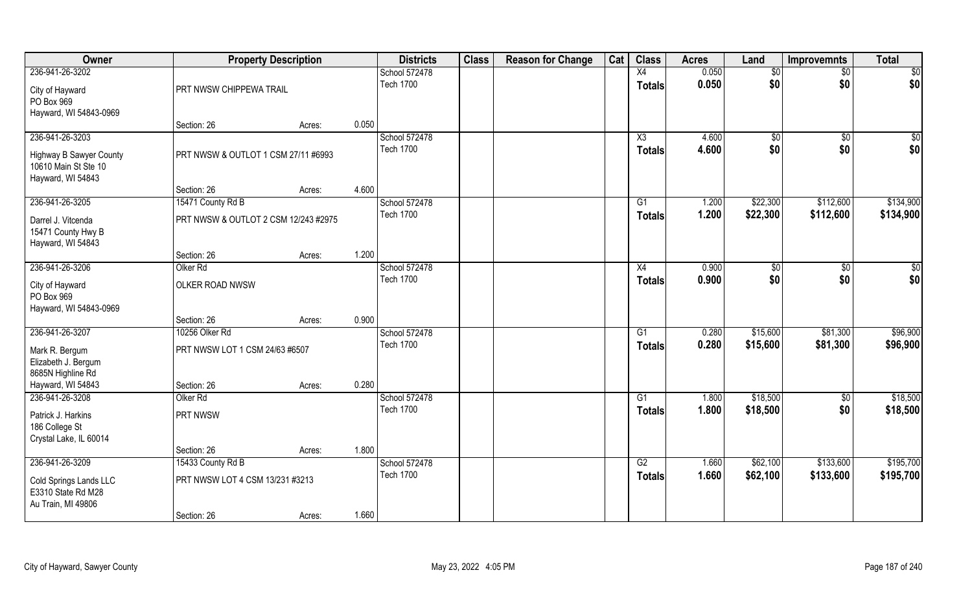| Owner                                                                | <b>Property Description</b>          |        |       | <b>Districts</b> | <b>Class</b> | <b>Reason for Change</b> | Cat | <b>Class</b>           | <b>Acres</b> | Land        | <b>Improvemnts</b> | <b>Total</b> |
|----------------------------------------------------------------------|--------------------------------------|--------|-------|------------------|--------------|--------------------------|-----|------------------------|--------------|-------------|--------------------|--------------|
| 236-941-26-3202                                                      |                                      |        |       | School 572478    |              |                          |     | X4                     | 0.050        | $\sqrt{6}$  | $\overline{60}$    | \$0          |
| City of Hayward<br>PO Box 969<br>Hayward, WI 54843-0969              | PRT NWSW CHIPPEWA TRAIL              |        |       | <b>Tech 1700</b> |              |                          |     | <b>Totals</b>          | 0.050        | \$0         | \$0                | \$0          |
|                                                                      | Section: 26                          | Acres: | 0.050 |                  |              |                          |     |                        |              |             |                    |              |
| 236-941-26-3203                                                      |                                      |        |       | School 572478    |              |                          |     | $\overline{\text{X3}}$ | 4.600        | $\sqrt{$0}$ | $\overline{50}$    | \$0          |
| Highway B Sawyer County<br>10610 Main St Ste 10<br>Hayward, WI 54843 | PRT NWSW & OUTLOT 1 CSM 27/11 #6993  |        |       | <b>Tech 1700</b> |              |                          |     | <b>Totals</b>          | 4.600        | \$0         | \$0                | \$0          |
|                                                                      | Section: 26                          | Acres: | 4.600 |                  |              |                          |     |                        |              |             |                    |              |
| 236-941-26-3205                                                      | 15471 County Rd B                    |        |       | School 572478    |              |                          |     | G1                     | 1.200        | \$22,300    | \$112,600          | \$134,900    |
| Darrel J. Vitcenda<br>15471 County Hwy B<br>Hayward, WI 54843        | PRT NWSW & OUTLOT 2 CSM 12/243 #2975 |        |       | <b>Tech 1700</b> |              |                          |     | <b>Totals</b>          | 1.200        | \$22,300    | \$112,600          | \$134,900    |
|                                                                      | Section: 26                          | Acres: | 1.200 |                  |              |                          |     |                        |              |             |                    |              |
| 236-941-26-3206                                                      | Olker <sub>Rd</sub>                  |        |       | School 572478    |              |                          |     | X4                     | 0.900        | \$0         | \$0                | \$0          |
| City of Hayward<br>PO Box 969<br>Hayward, WI 54843-0969              | OLKER ROAD NWSW                      |        |       | <b>Tech 1700</b> |              |                          |     | <b>Totals</b>          | 0.900        | \$0         | \$0                | \$0          |
|                                                                      | Section: 26                          | Acres: | 0.900 |                  |              |                          |     |                        |              |             |                    |              |
| 236-941-26-3207                                                      | 10256 Olker Rd                       |        |       | School 572478    |              |                          |     | G1                     | 0.280        | \$15,600    | \$81,300           | \$96,900     |
| Mark R. Bergum<br>Elizabeth J. Bergum<br>8685N Highline Rd           | PRT NWSW LOT 1 CSM 24/63 #6507       |        |       | <b>Tech 1700</b> |              |                          |     | <b>Totals</b>          | 0.280        | \$15,600    | \$81,300           | \$96,900     |
| Hayward, WI 54843                                                    | Section: 26                          | Acres: | 0.280 |                  |              |                          |     |                        |              |             |                    |              |
| 236-941-26-3208                                                      | Olker <sub>Rd</sub>                  |        |       | School 572478    |              |                          |     | G1                     | 1.800        | \$18,500    | $\sqrt{50}$        | \$18,500     |
| Patrick J. Harkins<br>186 College St<br>Crystal Lake, IL 60014       | PRT NWSW                             |        |       | <b>Tech 1700</b> |              |                          |     | <b>Totals</b>          | 1.800        | \$18,500    | \$0                | \$18,500     |
|                                                                      | Section: 26                          | Acres: | 1.800 |                  |              |                          |     |                        |              |             |                    |              |
| 236-941-26-3209                                                      | 15433 County Rd B                    |        |       | School 572478    |              |                          |     | G2                     | 1.660        | \$62,100    | \$133,600          | \$195,700    |
| Cold Springs Lands LLC<br>E3310 State Rd M28<br>Au Train, MI 49806   | PRT NWSW LOT 4 CSM 13/231 #3213      |        |       | <b>Tech 1700</b> |              |                          |     | <b>Totals</b>          | 1.660        | \$62,100    | \$133,600          | \$195,700    |
|                                                                      | Section: 26                          | Acres: | 1.660 |                  |              |                          |     |                        |              |             |                    |              |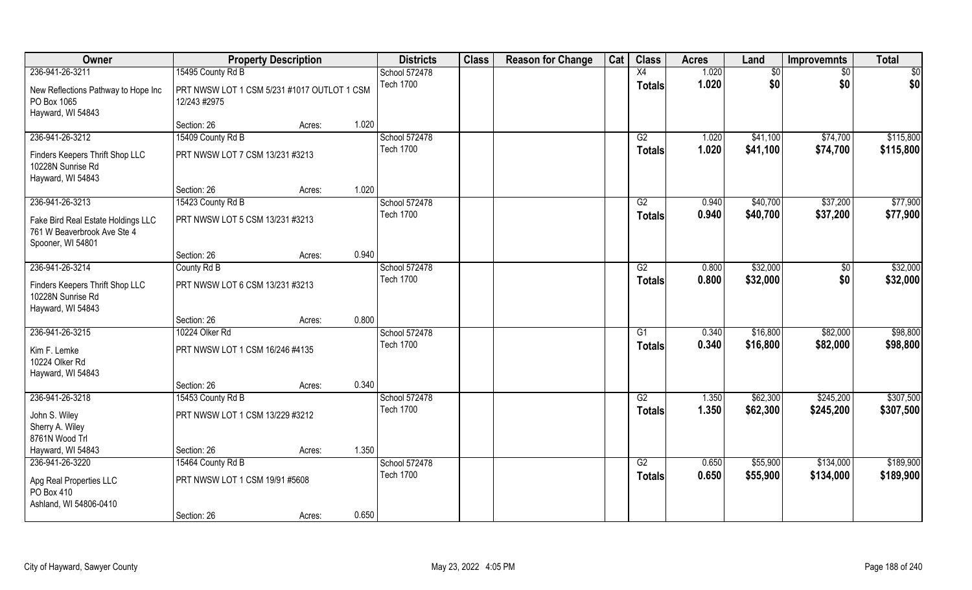| Owner                                                                                  |                                                             | <b>Property Description</b> |       | <b>Districts</b> | <b>Class</b> | <b>Reason for Change</b> | Cat | <b>Class</b>  | <b>Acres</b> | Land     | <b>Improvemnts</b> | <b>Total</b>    |
|----------------------------------------------------------------------------------------|-------------------------------------------------------------|-----------------------------|-------|------------------|--------------|--------------------------|-----|---------------|--------------|----------|--------------------|-----------------|
| 236-941-26-3211                                                                        | 15495 County Rd B                                           |                             |       | School 572478    |              |                          |     | X4            | 1.020        | \$0      | \$0                | $\overline{50}$ |
| New Reflections Pathway to Hope Inc<br>PO Box 1065<br>Hayward, WI 54843                | PRT NWSW LOT 1 CSM 5/231 #1017 OUTLOT 1 CSM<br>12/243 #2975 |                             |       | <b>Tech 1700</b> |              |                          |     | <b>Totals</b> | 1.020        | \$0      | \$0                | \$0             |
|                                                                                        | Section: 26                                                 | Acres:                      | 1.020 |                  |              |                          |     |               |              |          |                    |                 |
| 236-941-26-3212                                                                        | 15409 County Rd B                                           |                             |       | School 572478    |              |                          |     | G2            | 1.020        | \$41,100 | \$74,700           | \$115,800       |
| Finders Keepers Thrift Shop LLC<br>10228N Sunrise Rd<br>Hayward, WI 54843              | PRT NWSW LOT 7 CSM 13/231 #3213                             |                             |       | <b>Tech 1700</b> |              |                          |     | <b>Totals</b> | 1.020        | \$41,100 | \$74,700           | \$115,800       |
|                                                                                        | Section: 26                                                 | Acres:                      | 1.020 |                  |              |                          |     |               |              |          |                    |                 |
| 236-941-26-3213                                                                        | 15423 County Rd B                                           |                             |       | School 572478    |              |                          |     | G2            | 0.940        | \$40,700 | \$37,200           | \$77,900        |
| Fake Bird Real Estate Holdings LLC<br>761 W Beaverbrook Ave Ste 4<br>Spooner, WI 54801 | PRT NWSW LOT 5 CSM 13/231 #3213                             |                             |       | <b>Tech 1700</b> |              |                          |     | <b>Totals</b> | 0.940        | \$40,700 | \$37,200           | \$77,900        |
|                                                                                        | Section: 26                                                 | Acres:                      | 0.940 |                  |              |                          |     |               |              |          |                    |                 |
| 236-941-26-3214                                                                        | County Rd B                                                 |                             |       | School 572478    |              |                          |     | G2            | 0.800        | \$32,000 | $\sqrt[6]{3}$      | \$32,000        |
| Finders Keepers Thrift Shop LLC<br>10228N Sunrise Rd<br>Hayward, WI 54843              | PRT NWSW LOT 6 CSM 13/231 #3213                             |                             |       | <b>Tech 1700</b> |              |                          |     | <b>Totals</b> | 0.800        | \$32,000 | \$0                | \$32,000        |
|                                                                                        | Section: 26                                                 | Acres:                      | 0.800 |                  |              |                          |     |               |              |          |                    |                 |
| 236-941-26-3215                                                                        | 10224 Olker Rd                                              |                             |       | School 572478    |              |                          |     | G1            | 0.340        | \$16,800 | \$82,000           | \$98,800        |
| Kim F. Lemke<br>10224 Olker Rd<br>Hayward, WI 54843                                    | PRT NWSW LOT 1 CSM 16/246 #4135                             |                             |       | <b>Tech 1700</b> |              |                          |     | <b>Totals</b> | 0.340        | \$16,800 | \$82,000           | \$98,800        |
|                                                                                        | Section: 26                                                 | Acres:                      | 0.340 |                  |              |                          |     |               |              |          |                    |                 |
| 236-941-26-3218                                                                        | 15453 County Rd B                                           |                             |       | School 572478    |              |                          |     | G2            | 1.350        | \$62,300 | \$245,200          | \$307,500       |
| John S. Wiley<br>Sherry A. Wiley<br>8761N Wood Trl                                     | PRT NWSW LOT 1 CSM 13/229 #3212                             |                             |       | <b>Tech 1700</b> |              |                          |     | <b>Totals</b> | 1.350        | \$62,300 | \$245,200          | \$307,500       |
| Hayward, WI 54843                                                                      | Section: 26                                                 | Acres:                      | 1.350 |                  |              |                          |     |               |              |          |                    |                 |
| 236-941-26-3220                                                                        | 15464 County Rd B                                           |                             |       | School 572478    |              |                          |     | G2            | 0.650        | \$55,900 | \$134,000          | \$189,900       |
| Apg Real Properties LLC<br>PO Box 410<br>Ashland, WI 54806-0410                        | PRT NWSW LOT 1 CSM 19/91 #5608                              |                             |       | <b>Tech 1700</b> |              |                          |     | <b>Totals</b> | 0.650        | \$55,900 | \$134,000          | \$189,900       |
|                                                                                        | Section: 26                                                 | Acres:                      | 0.650 |                  |              |                          |     |               |              |          |                    |                 |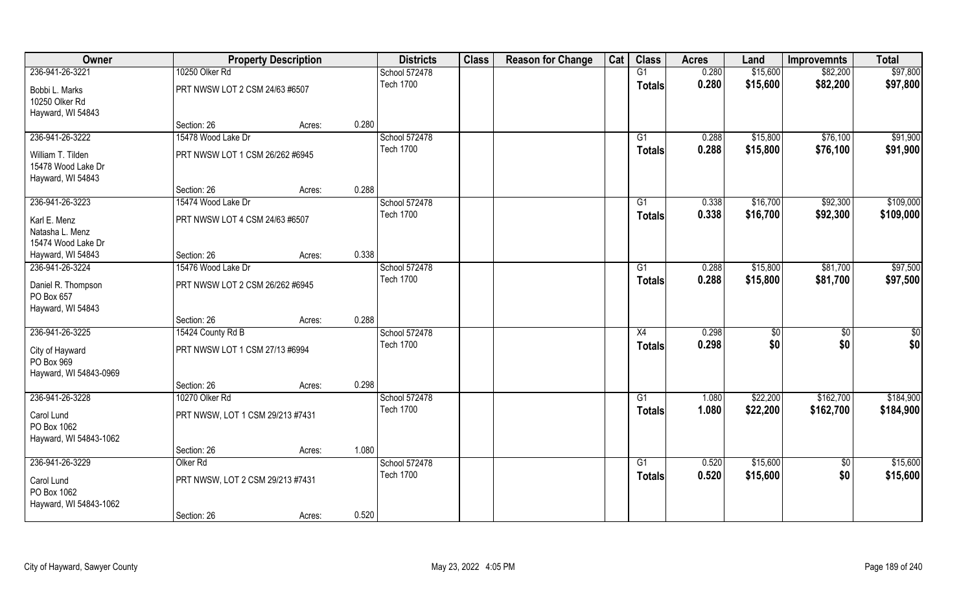| Owner                            |                                  | <b>Property Description</b> | <b>Districts</b>                  | <b>Class</b> | <b>Reason for Change</b> | Cat | <b>Class</b>    | <b>Acres</b> | Land     | <b>Improvemnts</b> | <b>Total</b>  |
|----------------------------------|----------------------------------|-----------------------------|-----------------------------------|--------------|--------------------------|-----|-----------------|--------------|----------|--------------------|---------------|
| 236-941-26-3221                  | 10250 Olker Rd                   |                             | School 572478                     |              |                          |     | G1              | 0.280        | \$15,600 | \$82,200           | \$97,800      |
| Bobbi L. Marks<br>10250 Olker Rd | PRT NWSW LOT 2 CSM 24/63 #6507   |                             | <b>Tech 1700</b>                  |              |                          |     | <b>Totals</b>   | 0.280        | \$15,600 | \$82,200           | \$97,800      |
| Hayward, WI 54843                |                                  |                             |                                   |              |                          |     |                 |              |          |                    |               |
|                                  | Section: 26                      | Acres:                      | 0.280                             |              |                          |     |                 |              |          |                    |               |
| 236-941-26-3222                  | 15478 Wood Lake Dr               |                             | School 572478                     |              |                          |     | G1              | 0.288        | \$15,800 | \$76,100           | \$91,900      |
| William T. Tilden                | PRT NWSW LOT 1 CSM 26/262 #6945  |                             | <b>Tech 1700</b>                  |              |                          |     | Totals          | 0.288        | \$15,800 | \$76,100           | \$91,900      |
| 15478 Wood Lake Dr               |                                  |                             |                                   |              |                          |     |                 |              |          |                    |               |
| Hayward, WI 54843                |                                  |                             |                                   |              |                          |     |                 |              |          |                    |               |
|                                  | Section: 26                      | Acres:                      | 0.288                             |              |                          |     |                 |              |          |                    |               |
| 236-941-26-3223                  | 15474 Wood Lake Dr               |                             | School 572478                     |              |                          |     | G1              | 0.338        | \$16,700 | \$92,300           | \$109,000     |
| Karl E. Menz                     | PRT NWSW LOT 4 CSM 24/63 #6507   |                             | <b>Tech 1700</b>                  |              |                          |     | <b>Totals</b>   | 0.338        | \$16,700 | \$92,300           | \$109,000     |
| Natasha L. Menz                  |                                  |                             |                                   |              |                          |     |                 |              |          |                    |               |
| 15474 Wood Lake Dr               |                                  |                             |                                   |              |                          |     |                 |              |          |                    |               |
| Hayward, WI 54843                | Section: 26                      | Acres:                      | 0.338                             |              |                          |     |                 |              |          |                    |               |
| 236-941-26-3224                  | 15476 Wood Lake Dr               |                             | School 572478                     |              |                          |     | G1              | 0.288        | \$15,800 | \$81,700           | \$97,500      |
| Daniel R. Thompson<br>PO Box 657 | PRT NWSW LOT 2 CSM 26/262 #6945  |                             | <b>Tech 1700</b>                  |              |                          |     | <b>Totals</b>   | 0.288        | \$15,800 | \$81,700           | \$97,500      |
| Hayward, WI 54843                |                                  |                             |                                   |              |                          |     |                 |              |          |                    |               |
|                                  | Section: 26                      | Acres:                      | 0.288                             |              |                          |     |                 |              |          |                    |               |
| 236-941-26-3225                  | 15424 County Rd B                |                             | School 572478                     |              |                          |     | X4              | 0.298        | \$       | \$0                | $\frac{6}{3}$ |
| City of Hayward                  | PRT NWSW LOT 1 CSM 27/13 #6994   |                             | <b>Tech 1700</b>                  |              |                          |     | <b>Totals</b>   | 0.298        | \$0      | \$0                | \$0           |
| PO Box 969                       |                                  |                             |                                   |              |                          |     |                 |              |          |                    |               |
| Hayward, WI 54843-0969           |                                  |                             |                                   |              |                          |     |                 |              |          |                    |               |
|                                  | Section: 26                      | Acres:                      | 0.298                             |              |                          |     |                 |              |          |                    |               |
| 236-941-26-3228                  | 10270 Olker Rd                   |                             | School 572478                     |              |                          |     | G1              | 1.080        | \$22,200 | \$162,700          | \$184,900     |
| Carol Lund<br>PO Box 1062        | PRT NWSW, LOT 1 CSM 29/213 #7431 |                             | <b>Tech 1700</b>                  |              |                          |     | <b>Totals</b>   | 1.080        | \$22,200 | \$162,700          | \$184,900     |
| Hayward, WI 54843-1062           |                                  |                             |                                   |              |                          |     |                 |              |          |                    |               |
|                                  | Section: 26                      | Acres:                      | 1.080                             |              |                          |     |                 |              |          |                    |               |
| 236-941-26-3229                  | Olker <sub>Rd</sub>              |                             | School 572478<br><b>Tech 1700</b> |              |                          |     | $\overline{G1}$ | 0.520        | \$15,600 | $\overline{50}$    | \$15,600      |
| Carol Lund<br>PO Box 1062        | PRT NWSW, LOT 2 CSM 29/213 #7431 |                             |                                   |              |                          |     | <b>Totals</b>   | 0.520        | \$15,600 | \$0                | \$15,600      |
| Hayward, WI 54843-1062           | Section: 26                      | Acres:                      | 0.520                             |              |                          |     |                 |              |          |                    |               |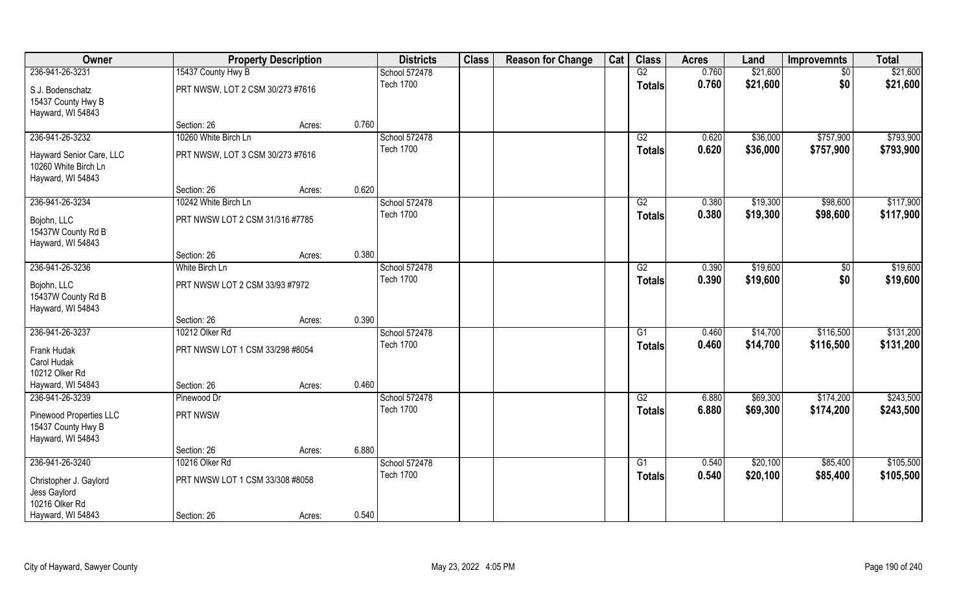| Owner                                                                 |                                  | <b>Property Description</b> |       | <b>Districts</b>                  | <b>Class</b> | <b>Reason for Change</b> | Cat | <b>Class</b>  | <b>Acres</b> | Land     | <b>Improvemnts</b> | <b>Total</b> |
|-----------------------------------------------------------------------|----------------------------------|-----------------------------|-------|-----------------------------------|--------------|--------------------------|-----|---------------|--------------|----------|--------------------|--------------|
| 236-941-26-3231                                                       | 15437 County Hwy B               |                             |       | School 572478                     |              |                          |     | G2            | 0.760        | \$21,600 | $\sqrt{6}$         | \$21,600     |
| S J. Bodenschatz<br>15437 County Hwy B<br>Hayward, WI 54843           | PRT NWSW, LOT 2 CSM 30/273 #7616 |                             |       | <b>Tech 1700</b>                  |              |                          |     | <b>Totals</b> | 0.760        | \$21,600 | \$0                | \$21,600     |
|                                                                       | Section: 26                      | Acres:                      | 0.760 |                                   |              |                          |     |               |              |          |                    |              |
| 236-941-26-3232                                                       | 10260 White Birch Ln             |                             |       | School 572478<br><b>Tech 1700</b> |              |                          |     | G2            | 0.620        | \$36,000 | \$757,900          | \$793,900    |
| Hayward Senior Care, LLC<br>10260 White Birch Ln<br>Hayward, WI 54843 | PRT NWSW, LOT 3 CSM 30/273 #7616 |                             |       |                                   |              |                          |     | Totals        | 0.620        | \$36,000 | \$757,900          | \$793,900    |
|                                                                       | Section: 26                      | Acres:                      | 0.620 |                                   |              |                          |     |               |              |          |                    |              |
| 236-941-26-3234                                                       | 10242 White Birch Ln             |                             |       | School 572478                     |              |                          |     | G2            | 0.380        | \$19,300 | \$98,600           | \$117,900    |
| Bojohn, LLC<br>15437W County Rd B<br>Hayward, WI 54843                | PRT NWSW LOT 2 CSM 31/316 #7785  |                             |       | <b>Tech 1700</b>                  |              |                          |     | <b>Totals</b> | 0.380        | \$19,300 | \$98,600           | \$117,900    |
|                                                                       | Section: 26                      | Acres:                      | 0.380 |                                   |              |                          |     |               |              |          |                    |              |
| 236-941-26-3236                                                       | White Birch Ln                   |                             |       | School 572478                     |              |                          |     | G2            | 0.390        | \$19,600 | \$0                | \$19,600     |
| Bojohn, LLC<br>15437W County Rd B<br>Hayward, WI 54843                | PRT NWSW LOT 2 CSM 33/93 #7972   |                             |       | <b>Tech 1700</b>                  |              |                          |     | <b>Totals</b> | 0.390        | \$19,600 | \$0                | \$19,600     |
|                                                                       | Section: 26                      | Acres:                      | 0.390 |                                   |              |                          |     |               |              |          |                    |              |
| 236-941-26-3237                                                       | 10212 Olker Rd                   |                             |       | School 572478                     |              |                          |     | G1            | 0.460        | \$14,700 | \$116,500          | \$131,200    |
| Frank Hudak                                                           | PRT NWSW LOT 1 CSM 33/298 #8054  |                             |       | <b>Tech 1700</b>                  |              |                          |     | <b>Totals</b> | 0.460        | \$14,700 | \$116,500          | \$131,200    |
| Carol Hudak                                                           |                                  |                             |       |                                   |              |                          |     |               |              |          |                    |              |
| 10212 Olker Rd                                                        |                                  |                             |       |                                   |              |                          |     |               |              |          |                    |              |
| Hayward, WI 54843                                                     | Section: 26                      | Acres:                      | 0.460 |                                   |              |                          |     |               |              |          |                    |              |
| 236-941-26-3239                                                       | Pinewood Dr                      |                             |       | School 572478                     |              |                          |     | G2            | 6.880        | \$69,300 | \$174,200          | \$243,500    |
| Pinewood Properties LLC<br>15437 County Hwy B<br>Hayward, WI 54843    | PRT NWSW                         |                             |       | <b>Tech 1700</b>                  |              |                          |     | <b>Totals</b> | 6,880        | \$69,300 | \$174,200          | \$243,500    |
|                                                                       | Section: 26                      | Acres:                      | 6.880 |                                   |              |                          |     |               |              |          |                    |              |
| 236-941-26-3240                                                       | 10216 Olker Rd                   |                             |       | School 572478                     |              |                          |     | G1            | 0.540        | \$20,100 | \$85,400           | \$105,500    |
| Christopher J. Gaylord<br>Jess Gaylord<br>10216 Olker Rd              | PRT NWSW LOT 1 CSM 33/308 #8058  |                             |       | <b>Tech 1700</b>                  |              |                          |     | <b>Totals</b> | 0.540        | \$20,100 | \$85,400           | \$105,500    |
| Hayward, WI 54843                                                     | Section: 26                      | Acres:                      | 0.540 |                                   |              |                          |     |               |              |          |                    |              |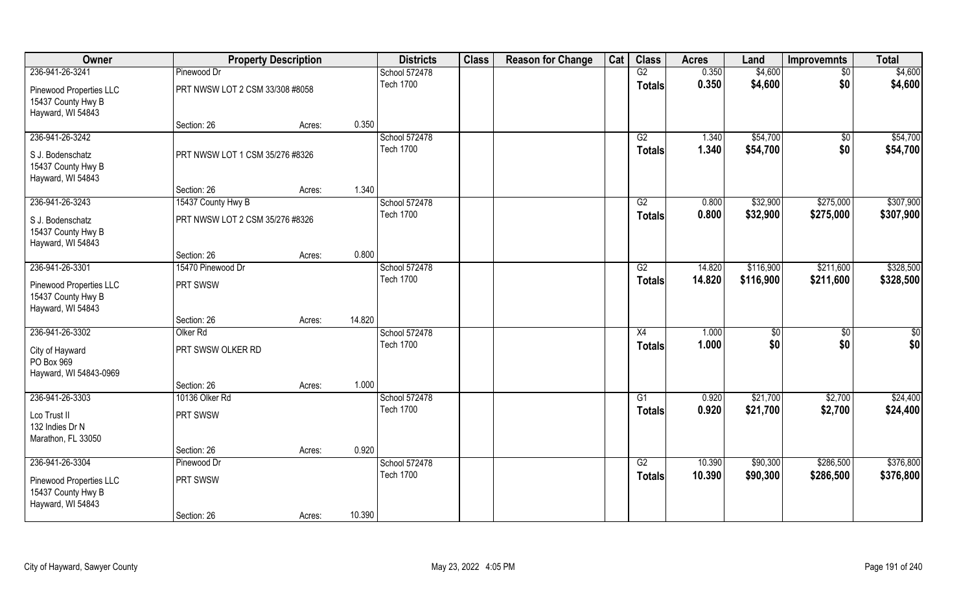| Owner                                                              |                                 | <b>Property Description</b> |        | <b>Districts</b>                  | <b>Class</b> | <b>Reason for Change</b> | Cat | <b>Class</b>        | <b>Acres</b>   | Land                 | <b>Improvemnts</b>     | <b>Total</b>         |
|--------------------------------------------------------------------|---------------------------------|-----------------------------|--------|-----------------------------------|--------------|--------------------------|-----|---------------------|----------------|----------------------|------------------------|----------------------|
| 236-941-26-3241                                                    | Pinewood Dr                     |                             |        | School 572478                     |              |                          |     | G2                  | 0.350          | \$4,600              | $\sqrt{6}$             | \$4,600              |
| Pinewood Properties LLC<br>15437 County Hwy B<br>Hayward, WI 54843 | PRT NWSW LOT 2 CSM 33/308 #8058 |                             |        | <b>Tech 1700</b>                  |              |                          |     | <b>Totals</b>       | 0.350          | \$4,600              | \$0                    | \$4,600              |
|                                                                    | Section: 26                     | Acres:                      | 0.350  |                                   |              |                          |     |                     |                |                      |                        |                      |
| 236-941-26-3242                                                    |                                 |                             |        | School 572478<br><b>Tech 1700</b> |              |                          |     | G2<br><b>Totals</b> | 1.340<br>1.340 | \$54,700<br>\$54,700 | $\overline{50}$<br>\$0 | \$54,700<br>\$54,700 |
| S J. Bodenschatz<br>15437 County Hwy B<br>Hayward, WI 54843        | PRT NWSW LOT 1 CSM 35/276 #8326 |                             |        |                                   |              |                          |     |                     |                |                      |                        |                      |
|                                                                    | Section: 26                     | Acres:                      | 1.340  |                                   |              |                          |     |                     |                |                      |                        |                      |
| 236-941-26-3243                                                    | 15437 County Hwy B              |                             |        | School 572478                     |              |                          |     | G2                  | 0.800          | \$32,900             | \$275,000              | \$307,900            |
| S J. Bodenschatz<br>15437 County Hwy B<br>Hayward, WI 54843        | PRT NWSW LOT 2 CSM 35/276 #8326 |                             |        | <b>Tech 1700</b>                  |              |                          |     | <b>Totals</b>       | 0.800          | \$32,900             | \$275,000              | \$307,900            |
|                                                                    | Section: 26                     | Acres:                      | 0.800  |                                   |              |                          |     |                     |                |                      |                        |                      |
| 236-941-26-3301                                                    | 15470 Pinewood Dr               |                             |        | School 572478                     |              |                          |     | G2                  | 14.820         | \$116,900            | \$211,600              | \$328,500            |
| Pinewood Properties LLC<br>15437 County Hwy B<br>Hayward, WI 54843 | PRT SWSW                        |                             |        | <b>Tech 1700</b>                  |              |                          |     | <b>Totals</b>       | 14.820         | \$116,900            | \$211,600              | \$328,500            |
|                                                                    | Section: 26                     | Acres:                      | 14.820 |                                   |              |                          |     |                     |                |                      |                        |                      |
| 236-941-26-3302                                                    | Olker <sub>Rd</sub>             |                             |        | School 572478<br><b>Tech 1700</b> |              |                          |     | X4                  | 1.000<br>1.000 | \$<br>\$0            | $\overline{50}$        | $\overline{50}$      |
| City of Hayward<br>PO Box 969<br>Hayward, WI 54843-0969            | PRT SWSW OLKER RD               |                             |        |                                   |              |                          |     | <b>Totals</b>       |                |                      | \$0                    | \$0                  |
|                                                                    | Section: 26                     | Acres:                      | 1.000  |                                   |              |                          |     |                     |                |                      |                        |                      |
| 236-941-26-3303                                                    | 10136 Olker Rd                  |                             |        | School 572478                     |              |                          |     | G1                  | 0.920          | \$21,700             | \$2,700                | \$24,400             |
| Lco Trust II<br>132 Indies Dr N<br>Marathon, FL 33050              | PRT SWSW                        |                             |        | <b>Tech 1700</b>                  |              |                          |     | <b>Totals</b>       | 0.920          | \$21,700             | \$2,700                | \$24,400             |
|                                                                    | Section: 26                     | Acres:                      | 0.920  |                                   |              |                          |     |                     |                |                      |                        |                      |
| 236-941-26-3304                                                    | Pinewood Dr                     |                             |        | School 572478                     |              |                          |     | G2                  | 10.390         | \$90,300             | \$286,500              | \$376,800            |
| Pinewood Properties LLC<br>15437 County Hwy B<br>Hayward, WI 54843 | PRT SWSW                        |                             |        | <b>Tech 1700</b>                  |              |                          |     | <b>Totals</b>       | 10.390         | \$90,300             | \$286,500              | \$376,800            |
|                                                                    | Section: 26                     | Acres:                      | 10.390 |                                   |              |                          |     |                     |                |                      |                        |                      |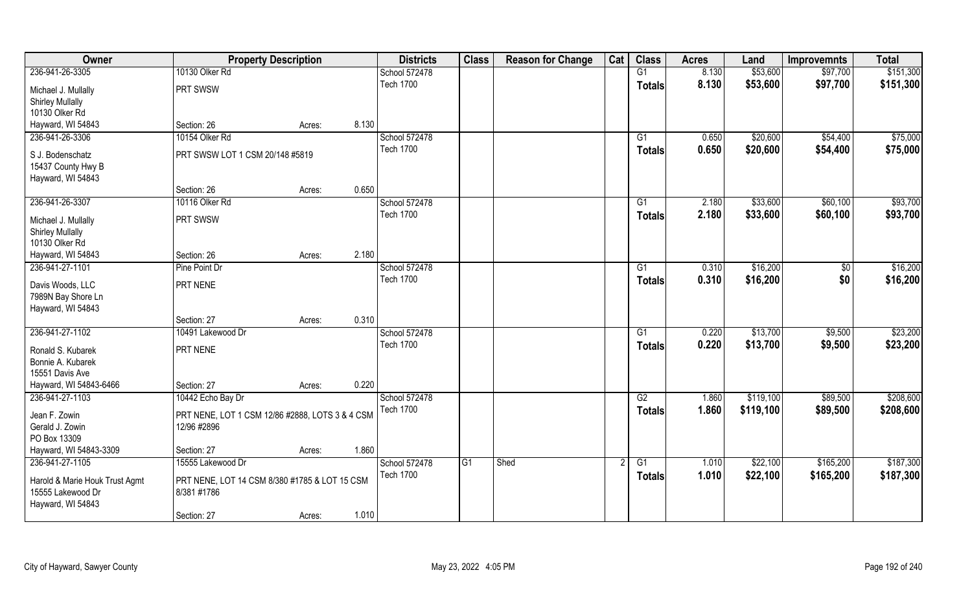| Owner                                          | <b>Property Description</b>                     |        |       | <b>Districts</b>                  | <b>Class</b>    | <b>Reason for Change</b> | Cat | <b>Class</b>    | <b>Acres</b> | Land      | <b>Improvemnts</b> | <b>Total</b> |
|------------------------------------------------|-------------------------------------------------|--------|-------|-----------------------------------|-----------------|--------------------------|-----|-----------------|--------------|-----------|--------------------|--------------|
| 236-941-26-3305                                | 10130 Olker Rd                                  |        |       | School 572478                     |                 |                          |     | G1              | 8.130        | \$53,600  | \$97,700           | \$151,300    |
| Michael J. Mullally                            | PRT SWSW                                        |        |       | <b>Tech 1700</b>                  |                 |                          |     | <b>Totals</b>   | 8.130        | \$53,600  | \$97,700           | \$151,300    |
| <b>Shirley Mullally</b>                        |                                                 |        |       |                                   |                 |                          |     |                 |              |           |                    |              |
| 10130 Olker Rd                                 |                                                 |        |       |                                   |                 |                          |     |                 |              |           |                    |              |
| Hayward, WI 54843                              | Section: 26                                     | Acres: | 8.130 |                                   |                 |                          |     |                 |              |           |                    |              |
| 236-941-26-3306                                | 10154 Olker Rd                                  |        |       | School 572478                     |                 |                          |     | G1              | 0.650        | \$20,600  | \$54,400           | \$75,000     |
| S J. Bodenschatz                               | PRT SWSW LOT 1 CSM 20/148 #5819                 |        |       | <b>Tech 1700</b>                  |                 |                          |     | Totals          | 0.650        | \$20,600  | \$54,400           | \$75,000     |
| 15437 County Hwy B                             |                                                 |        |       |                                   |                 |                          |     |                 |              |           |                    |              |
| Hayward, WI 54843                              |                                                 |        |       |                                   |                 |                          |     |                 |              |           |                    |              |
|                                                | Section: 26                                     | Acres: | 0.650 |                                   |                 |                          |     |                 |              |           |                    |              |
| 236-941-26-3307                                | 10116 Olker Rd                                  |        |       | School 572478                     |                 |                          |     | G1              | 2.180        | \$33,600  | \$60,100           | \$93,700     |
|                                                | PRT SWSW                                        |        |       | <b>Tech 1700</b>                  |                 |                          |     | <b>Totals</b>   | 2.180        | \$33,600  | \$60,100           | \$93,700     |
| Michael J. Mullally<br><b>Shirley Mullally</b> |                                                 |        |       |                                   |                 |                          |     |                 |              |           |                    |              |
| 10130 Olker Rd                                 |                                                 |        |       |                                   |                 |                          |     |                 |              |           |                    |              |
| Hayward, WI 54843                              | Section: 26                                     | Acres: | 2.180 |                                   |                 |                          |     |                 |              |           |                    |              |
| 236-941-27-1101                                | Pine Point Dr                                   |        |       | School 572478                     |                 |                          |     | G1              | 0.310        | \$16,200  | \$0                | \$16,200     |
|                                                |                                                 |        |       | <b>Tech 1700</b>                  |                 |                          |     | <b>Totals</b>   | 0.310        | \$16,200  | \$0                | \$16,200     |
| Davis Woods, LLC                               | PRT NENE                                        |        |       |                                   |                 |                          |     |                 |              |           |                    |              |
| 7989N Bay Shore Ln                             |                                                 |        |       |                                   |                 |                          |     |                 |              |           |                    |              |
| Hayward, WI 54843                              | Section: 27                                     | Acres: | 0.310 |                                   |                 |                          |     |                 |              |           |                    |              |
| 236-941-27-1102                                | 10491 Lakewood Dr                               |        |       | School 572478                     |                 |                          |     | G1              | 0.220        | \$13,700  | \$9,500            | \$23,200     |
|                                                |                                                 |        |       | <b>Tech 1700</b>                  |                 |                          |     | <b>Totals</b>   | 0.220        | \$13,700  | \$9,500            | \$23,200     |
| Ronald S. Kubarek                              | PRT NENE                                        |        |       |                                   |                 |                          |     |                 |              |           |                    |              |
| Bonnie A. Kubarek                              |                                                 |        |       |                                   |                 |                          |     |                 |              |           |                    |              |
| 15551 Davis Ave                                |                                                 |        |       |                                   |                 |                          |     |                 |              |           |                    |              |
| Hayward, WI 54843-6466                         | Section: 27                                     | Acres: | 0.220 |                                   |                 |                          |     |                 |              |           |                    |              |
| 236-941-27-1103                                | 10442 Echo Bay Dr                               |        |       | School 572478<br><b>Tech 1700</b> |                 |                          |     | $\overline{G2}$ | 1.860        | \$119,100 | \$89,500           | \$208,600    |
| Jean F. Zowin                                  | PRT NENE, LOT 1 CSM 12/86 #2888, LOTS 3 & 4 CSM |        |       |                                   |                 |                          |     | <b>Totals</b>   | 1.860        | \$119,100 | \$89,500           | \$208,600    |
| Gerald J. Zowin                                | 12/96 #2896                                     |        |       |                                   |                 |                          |     |                 |              |           |                    |              |
| PO Box 13309                                   |                                                 |        |       |                                   |                 |                          |     |                 |              |           |                    |              |
| Hayward, WI 54843-3309                         | Section: 27                                     | Acres: | 1.860 |                                   |                 |                          |     |                 |              |           |                    |              |
| 236-941-27-1105                                | 15555 Lakewood Dr                               |        |       | School 572478                     | $\overline{G1}$ | Shed                     |     | G1              | 1.010        | \$22,100  | \$165,200          | \$187,300    |
| Harold & Marie Houk Trust Agmt                 | PRT NENE, LOT 14 CSM 8/380 #1785 & LOT 15 CSM   |        |       | <b>Tech 1700</b>                  |                 |                          |     | <b>Totals</b>   | 1.010        | \$22,100  | \$165,200          | \$187,300    |
| 15555 Lakewood Dr                              | 8/381 #1786                                     |        |       |                                   |                 |                          |     |                 |              |           |                    |              |
| Hayward, WI 54843                              |                                                 |        |       |                                   |                 |                          |     |                 |              |           |                    |              |
|                                                | Section: 27                                     | Acres: | 1.010 |                                   |                 |                          |     |                 |              |           |                    |              |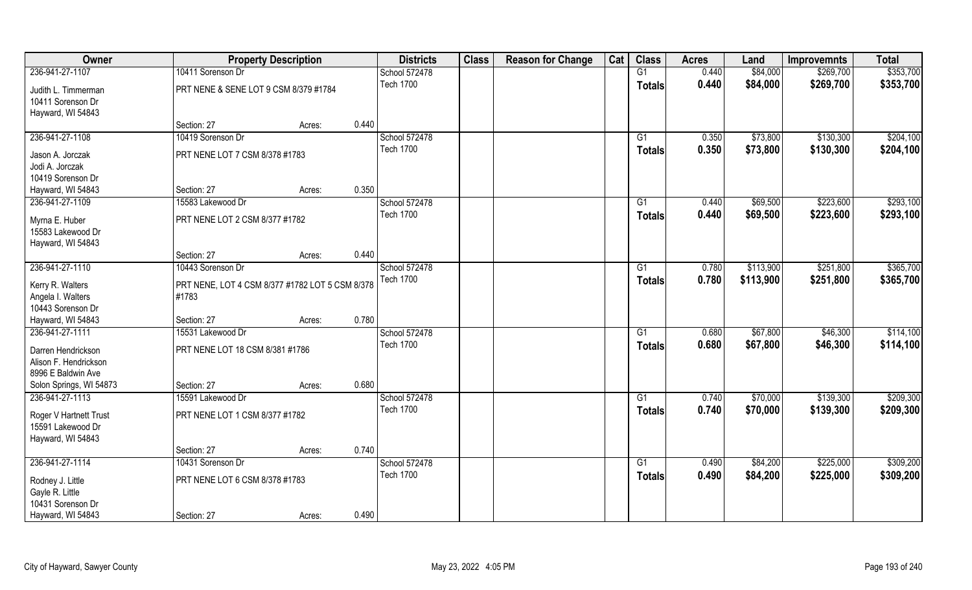| Owner                                    |                                                          | <b>Property Description</b> |       | <b>Districts</b> | <b>Class</b> | <b>Reason for Change</b> | Cat | <b>Class</b>    | <b>Acres</b> | Land      | <b>Improvemnts</b> | <b>Total</b> |
|------------------------------------------|----------------------------------------------------------|-----------------------------|-------|------------------|--------------|--------------------------|-----|-----------------|--------------|-----------|--------------------|--------------|
| 236-941-27-1107                          | 10411 Sorenson Dr                                        |                             |       | School 572478    |              |                          |     | G1              | 0.440        | \$84,000  | \$269,700          | \$353,700    |
| Judith L. Timmerman<br>10411 Sorenson Dr | PRT NENE & SENE LOT 9 CSM 8/379 #1784                    |                             |       | <b>Tech 1700</b> |              |                          |     | <b>Totals</b>   | 0.440        | \$84,000  | \$269,700          | \$353,700    |
| Hayward, WI 54843                        |                                                          |                             | 0.440 |                  |              |                          |     |                 |              |           |                    |              |
| 236-941-27-1108                          | Section: 27<br>10419 Sorenson Dr                         | Acres:                      |       | School 572478    |              |                          |     | G1              | 0.350        | \$73,800  | \$130,300          | \$204,100    |
|                                          |                                                          |                             |       | <b>Tech 1700</b> |              |                          |     |                 | 0.350        | \$73,800  | \$130,300          | \$204,100    |
| Jason A. Jorczak                         | PRT NENE LOT 7 CSM 8/378 #1783                           |                             |       |                  |              |                          |     | Totals          |              |           |                    |              |
| Jodi A. Jorczak                          |                                                          |                             |       |                  |              |                          |     |                 |              |           |                    |              |
| 10419 Sorenson Dr                        |                                                          |                             |       |                  |              |                          |     |                 |              |           |                    |              |
| Hayward, WI 54843                        | Section: 27                                              | Acres:                      | 0.350 |                  |              |                          |     |                 |              |           |                    |              |
| 236-941-27-1109                          | 15583 Lakewood Dr                                        |                             |       | School 572478    |              |                          |     | G1              | 0.440        | \$69,500  | \$223,600          | \$293,100    |
| Myrna E. Huber                           | PRT NENE LOT 2 CSM 8/377 #1782                           |                             |       | <b>Tech 1700</b> |              |                          |     | <b>Totals</b>   | 0.440        | \$69,500  | \$223,600          | \$293,100    |
| 15583 Lakewood Dr                        |                                                          |                             |       |                  |              |                          |     |                 |              |           |                    |              |
| Hayward, WI 54843                        |                                                          |                             |       |                  |              |                          |     |                 |              |           |                    |              |
|                                          | Section: 27                                              | Acres:                      | 0.440 |                  |              |                          |     |                 |              |           |                    |              |
| 236-941-27-1110                          | 10443 Sorenson Dr                                        |                             |       | School 572478    |              |                          |     | G1              | 0.780        | \$113,900 | \$251,800          | \$365,700    |
|                                          |                                                          |                             |       | <b>Tech 1700</b> |              |                          |     | <b>Totals</b>   | 0.780        | \$113,900 | \$251,800          | \$365,700    |
| Kerry R. Walters<br>Angela I. Walters    | PRT NENE, LOT 4 CSM 8/377 #1782 LOT 5 CSM 8/378<br>#1783 |                             |       |                  |              |                          |     |                 |              |           |                    |              |
| 10443 Sorenson Dr                        |                                                          |                             |       |                  |              |                          |     |                 |              |           |                    |              |
| Hayward, WI 54843                        | Section: 27                                              | Acres:                      | 0.780 |                  |              |                          |     |                 |              |           |                    |              |
| 236-941-27-1111                          | 15531 Lakewood Dr                                        |                             |       | School 572478    |              |                          |     | $\overline{G1}$ | 0.680        | \$67,800  | \$46,300           | \$114,100    |
|                                          |                                                          |                             |       | <b>Tech 1700</b> |              |                          |     | <b>Totals</b>   | 0.680        | \$67,800  | \$46,300           | \$114,100    |
| Darren Hendrickson                       | PRT NENE LOT 18 CSM 8/381 #1786                          |                             |       |                  |              |                          |     |                 |              |           |                    |              |
| Alison F. Hendrickson                    |                                                          |                             |       |                  |              |                          |     |                 |              |           |                    |              |
| 8996 E Baldwin Ave                       |                                                          |                             |       |                  |              |                          |     |                 |              |           |                    |              |
| Solon Springs, WI 54873                  | Section: 27                                              | Acres:                      | 0.680 |                  |              |                          |     |                 |              |           |                    |              |
| 236-941-27-1113                          | 15591 Lakewood Dr                                        |                             |       | School 572478    |              |                          |     | G1              | 0.740        | \$70,000  | \$139,300          | \$209,300    |
| Roger V Hartnett Trust                   | PRT NENE LOT 1 CSM 8/377 #1782                           |                             |       | <b>Tech 1700</b> |              |                          |     | <b>Totals</b>   | 0.740        | \$70,000  | \$139,300          | \$209,300    |
| 15591 Lakewood Dr                        |                                                          |                             |       |                  |              |                          |     |                 |              |           |                    |              |
| Hayward, WI 54843                        |                                                          |                             | 0.740 |                  |              |                          |     |                 |              |           |                    |              |
| 236-941-27-1114                          | Section: 27<br>10431 Sorenson Dr                         | Acres:                      |       | School 572478    |              |                          |     | $\overline{G1}$ | 0.490        | \$84,200  | \$225,000          | \$309,200    |
|                                          |                                                          |                             |       | <b>Tech 1700</b> |              |                          |     |                 |              |           |                    |              |
| Rodney J. Little                         | PRT NENE LOT 6 CSM 8/378 #1783                           |                             |       |                  |              |                          |     | <b>Totals</b>   | 0.490        | \$84,200  | \$225,000          | \$309,200    |
| Gayle R. Little                          |                                                          |                             |       |                  |              |                          |     |                 |              |           |                    |              |
| 10431 Sorenson Dr                        |                                                          |                             |       |                  |              |                          |     |                 |              |           |                    |              |
| Hayward, WI 54843                        | Section: 27                                              | Acres:                      | 0.490 |                  |              |                          |     |                 |              |           |                    |              |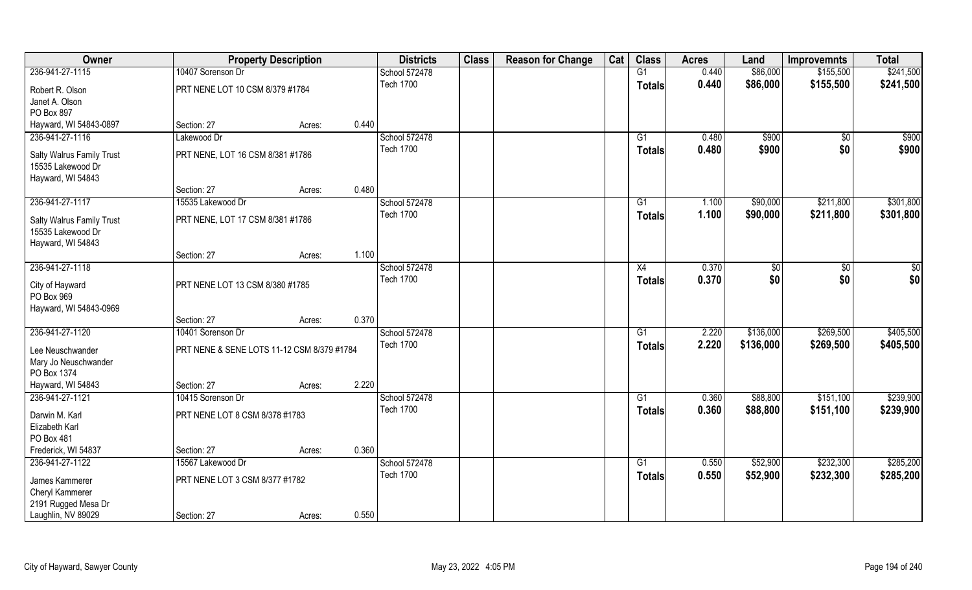| Owner                            |                                            | <b>Property Description</b> |       | <b>Districts</b> | <b>Class</b> | <b>Reason for Change</b> | Cat | <b>Class</b>    | <b>Acres</b> | Land      | <b>Improvemnts</b> | <b>Total</b>  |
|----------------------------------|--------------------------------------------|-----------------------------|-------|------------------|--------------|--------------------------|-----|-----------------|--------------|-----------|--------------------|---------------|
| 236-941-27-1115                  | 10407 Sorenson Dr                          |                             |       | School 572478    |              |                          |     | G1              | 0.440        | \$86,000  | \$155,500          | \$241,500     |
| Robert R. Olson                  | PRT NENE LOT 10 CSM 8/379 #1784            |                             |       | <b>Tech 1700</b> |              |                          |     | <b>Totals</b>   | 0.440        | \$86,000  | \$155,500          | \$241,500     |
| Janet A. Olson                   |                                            |                             |       |                  |              |                          |     |                 |              |           |                    |               |
| PO Box 897                       |                                            |                             |       |                  |              |                          |     |                 |              |           |                    |               |
| Hayward, WI 54843-0897           | Section: 27                                | Acres:                      | 0.440 |                  |              |                          |     |                 |              |           |                    |               |
| 236-941-27-1116                  | Lakewood Dr                                |                             |       | School 572478    |              |                          |     | G1              | 0.480        | \$900     | $\overline{50}$    | \$900         |
| Salty Walrus Family Trust        | PRT NENE, LOT 16 CSM 8/381 #1786           |                             |       | <b>Tech 1700</b> |              |                          |     | Totals          | 0.480        | \$900     | \$0                | \$900         |
| 15535 Lakewood Dr                |                                            |                             |       |                  |              |                          |     |                 |              |           |                    |               |
| Hayward, WI 54843                |                                            |                             |       |                  |              |                          |     |                 |              |           |                    |               |
|                                  | Section: 27                                | Acres:                      | 0.480 |                  |              |                          |     |                 |              |           |                    |               |
| 236-941-27-1117                  | 15535 Lakewood Dr                          |                             |       | School 572478    |              |                          |     | G1              | 1.100        | \$90,000  | \$211,800          | \$301,800     |
| <b>Salty Walrus Family Trust</b> | PRT NENE, LOT 17 CSM 8/381 #1786           |                             |       | <b>Tech 1700</b> |              |                          |     | <b>Totals</b>   | 1.100        | \$90,000  | \$211,800          | \$301,800     |
| 15535 Lakewood Dr                |                                            |                             |       |                  |              |                          |     |                 |              |           |                    |               |
| Hayward, WI 54843                |                                            |                             |       |                  |              |                          |     |                 |              |           |                    |               |
|                                  | Section: 27                                | Acres:                      | 1.100 |                  |              |                          |     |                 |              |           |                    |               |
| 236-941-27-1118                  |                                            |                             |       | School 572478    |              |                          |     | X4              | 0.370        | \$0       | $\sqrt{50}$        | $\frac{6}{3}$ |
| City of Hayward                  | PRT NENE LOT 13 CSM 8/380 #1785            |                             |       | <b>Tech 1700</b> |              |                          |     | <b>Totals</b>   | 0.370        | \$0       | \$0                | \$0           |
| PO Box 969                       |                                            |                             |       |                  |              |                          |     |                 |              |           |                    |               |
| Hayward, WI 54843-0969           |                                            |                             |       |                  |              |                          |     |                 |              |           |                    |               |
|                                  | Section: 27                                | Acres:                      | 0.370 |                  |              |                          |     |                 |              |           |                    |               |
| 236-941-27-1120                  | 10401 Sorenson Dr                          |                             |       | School 572478    |              |                          |     | $\overline{G1}$ | 2.220        | \$136,000 | \$269,500          | \$405,500     |
| Lee Neuschwander                 | PRT NENE & SENE LOTS 11-12 CSM 8/379 #1784 |                             |       | <b>Tech 1700</b> |              |                          |     | <b>Totals</b>   | 2.220        | \$136,000 | \$269,500          | \$405,500     |
| Mary Jo Neuschwander             |                                            |                             |       |                  |              |                          |     |                 |              |           |                    |               |
| PO Box 1374                      |                                            |                             |       |                  |              |                          |     |                 |              |           |                    |               |
| Hayward, WI 54843                | Section: 27                                | Acres:                      | 2.220 |                  |              |                          |     |                 |              |           |                    |               |
| 236-941-27-1121                  | 10415 Sorenson Dr                          |                             |       | School 572478    |              |                          |     | G1              | 0.360        | \$88,800  | \$151,100          | \$239,900     |
| Darwin M. Karl                   | PRT NENE LOT 8 CSM 8/378 #1783             |                             |       | <b>Tech 1700</b> |              |                          |     | <b>Totals</b>   | 0.360        | \$88,800  | \$151,100          | \$239,900     |
| Elizabeth Karl                   |                                            |                             |       |                  |              |                          |     |                 |              |           |                    |               |
| PO Box 481                       |                                            |                             |       |                  |              |                          |     |                 |              |           |                    |               |
| Frederick, WI 54837              | Section: 27                                | Acres:                      | 0.360 |                  |              |                          |     |                 |              |           |                    |               |
| 236-941-27-1122                  | 15567 Lakewood Dr                          |                             |       | School 572478    |              |                          |     | $\overline{G1}$ | 0.550        | \$52,900  | \$232,300          | \$285,200     |
| James Kammerer                   | PRT NENE LOT 3 CSM 8/377 #1782             |                             |       | <b>Tech 1700</b> |              |                          |     | <b>Totals</b>   | 0.550        | \$52,900  | \$232,300          | \$285,200     |
| Cheryl Kammerer                  |                                            |                             |       |                  |              |                          |     |                 |              |           |                    |               |
| 2191 Rugged Mesa Dr              |                                            |                             |       |                  |              |                          |     |                 |              |           |                    |               |
| Laughlin, NV 89029               | Section: 27                                | Acres:                      | 0.550 |                  |              |                          |     |                 |              |           |                    |               |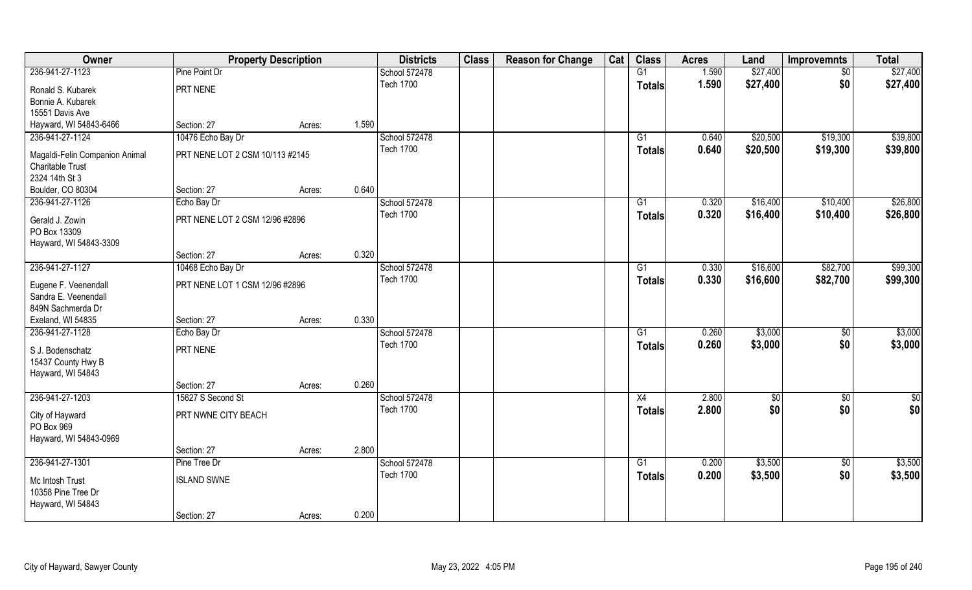| Owner                          | <b>Property Description</b>     |        |       | <b>Districts</b> | <b>Class</b> | <b>Reason for Change</b> | Cat | <b>Class</b>  | <b>Acres</b> | Land     | <b>Improvemnts</b> | <b>Total</b>  |
|--------------------------------|---------------------------------|--------|-------|------------------|--------------|--------------------------|-----|---------------|--------------|----------|--------------------|---------------|
| 236-941-27-1123                | Pine Point Dr                   |        |       | School 572478    |              |                          |     | G1            | 1.590        | \$27,400 | \$0                | \$27,400      |
| Ronald S. Kubarek              | PRT NENE                        |        |       | <b>Tech 1700</b> |              |                          |     | <b>Totals</b> | 1.590        | \$27,400 | \$0                | \$27,400      |
| Bonnie A. Kubarek              |                                 |        |       |                  |              |                          |     |               |              |          |                    |               |
| 15551 Davis Ave                |                                 |        |       |                  |              |                          |     |               |              |          |                    |               |
| Hayward, WI 54843-6466         | Section: 27                     | Acres: | 1.590 |                  |              |                          |     |               |              |          |                    |               |
| 236-941-27-1124                | 10476 Echo Bay Dr               |        |       | School 572478    |              |                          |     | G1            | 0.640        | \$20,500 | \$19,300           | \$39,800      |
| Magaldi-Felin Companion Animal | PRT NENE LOT 2 CSM 10/113 #2145 |        |       | <b>Tech 1700</b> |              |                          |     | Totals        | 0.640        | \$20,500 | \$19,300           | \$39,800      |
| <b>Charitable Trust</b>        |                                 |        |       |                  |              |                          |     |               |              |          |                    |               |
| 2324 14th St 3                 |                                 |        |       |                  |              |                          |     |               |              |          |                    |               |
| Boulder, CO 80304              | Section: 27                     | Acres: | 0.640 |                  |              |                          |     |               |              |          |                    |               |
| 236-941-27-1126                | Echo Bay Dr                     |        |       | School 572478    |              |                          |     | G1            | 0.320        | \$16,400 | \$10,400           | \$26,800      |
| Gerald J. Zowin                | PRT NENE LOT 2 CSM 12/96 #2896  |        |       | <b>Tech 1700</b> |              |                          |     | <b>Totals</b> | 0.320        | \$16,400 | \$10,400           | \$26,800      |
| PO Box 13309                   |                                 |        |       |                  |              |                          |     |               |              |          |                    |               |
| Hayward, WI 54843-3309         |                                 |        |       |                  |              |                          |     |               |              |          |                    |               |
|                                | Section: 27                     | Acres: | 0.320 |                  |              |                          |     |               |              |          |                    |               |
| 236-941-27-1127                | 10468 Echo Bay Dr               |        |       | School 572478    |              |                          |     | G1            | 0.330        | \$16,600 | \$82,700           | \$99,300      |
| Eugene F. Veenendall           | PRT NENE LOT 1 CSM 12/96 #2896  |        |       | <b>Tech 1700</b> |              |                          |     | <b>Totals</b> | 0.330        | \$16,600 | \$82,700           | \$99,300      |
| Sandra E. Veenendall           |                                 |        |       |                  |              |                          |     |               |              |          |                    |               |
| 849N Sachmerda Dr              |                                 |        |       |                  |              |                          |     |               |              |          |                    |               |
| Exeland, WI 54835              | Section: 27                     | Acres: | 0.330 |                  |              |                          |     |               |              |          |                    |               |
| 236-941-27-1128                | Echo Bay Dr                     |        |       | School 572478    |              |                          |     | G1            | 0.260        | \$3,000  | \$0                | \$3,000       |
| S J. Bodenschatz               | PRT NENE                        |        |       | <b>Tech 1700</b> |              |                          |     | <b>Totals</b> | 0.260        | \$3,000  | \$0                | \$3,000       |
| 15437 County Hwy B             |                                 |        |       |                  |              |                          |     |               |              |          |                    |               |
| Hayward, WI 54843              |                                 |        |       |                  |              |                          |     |               |              |          |                    |               |
|                                | Section: 27                     | Acres: | 0.260 |                  |              |                          |     |               |              |          |                    |               |
| 236-941-27-1203                | 15627 S Second St               |        |       | School 572478    |              |                          |     | X4            | 2.800        | \$0      | $\overline{60}$    | $\frac{1}{2}$ |
| City of Hayward                | PRT NWNE CITY BEACH             |        |       | <b>Tech 1700</b> |              |                          |     | <b>Totals</b> | 2.800        | \$0      | \$0                | \$0           |
| PO Box 969                     |                                 |        |       |                  |              |                          |     |               |              |          |                    |               |
| Hayward, WI 54843-0969         |                                 |        |       |                  |              |                          |     |               |              |          |                    |               |
|                                | Section: 27                     | Acres: | 2.800 |                  |              |                          |     |               |              |          |                    |               |
| 236-941-27-1301                | Pine Tree Dr                    |        |       | School 572478    |              |                          |     | G1            | 0.200        | \$3,500  | $\overline{50}$    | \$3,500       |
| Mc Intosh Trust                | <b>ISLAND SWNE</b>              |        |       | <b>Tech 1700</b> |              |                          |     | <b>Totals</b> | 0.200        | \$3,500  | \$0                | \$3,500       |
| 10358 Pine Tree Dr             |                                 |        |       |                  |              |                          |     |               |              |          |                    |               |
| Hayward, WI 54843              |                                 |        |       |                  |              |                          |     |               |              |          |                    |               |
|                                | Section: 27                     | Acres: | 0.200 |                  |              |                          |     |               |              |          |                    |               |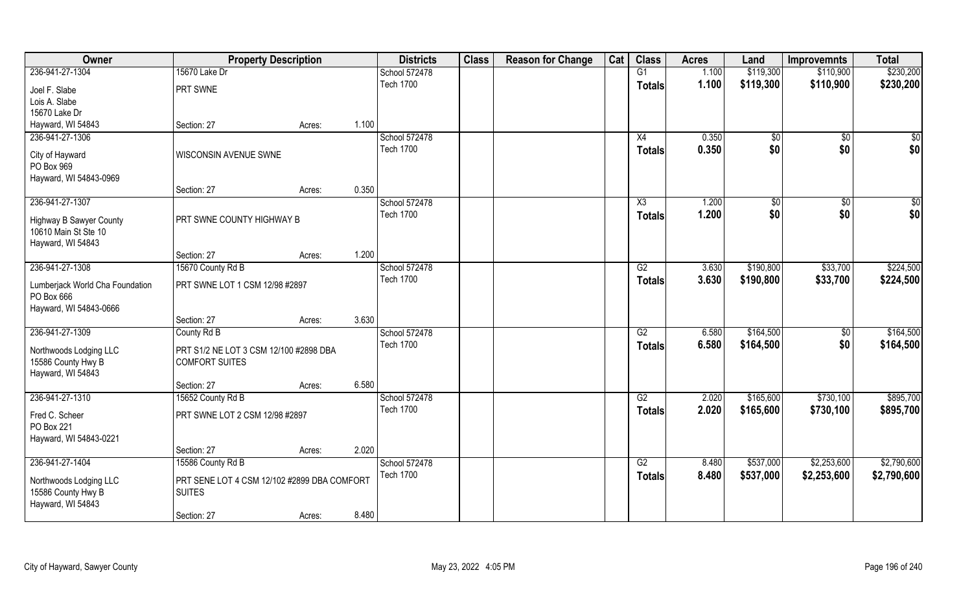| Owner                                         | <b>Property Description</b>                 |        |       | <b>Districts</b> | <b>Class</b> | <b>Reason for Change</b> | Cat | <b>Class</b>    | <b>Acres</b> | Land      | <b>Improvemnts</b> | <b>Total</b>     |
|-----------------------------------------------|---------------------------------------------|--------|-------|------------------|--------------|--------------------------|-----|-----------------|--------------|-----------|--------------------|------------------|
| 236-941-27-1304                               | 15670 Lake Dr                               |        |       | School 572478    |              |                          |     | G1              | 1.100        | \$119,300 | \$110,900          | \$230,200        |
| Joel F. Slabe                                 | PRT SWNE                                    |        |       | <b>Tech 1700</b> |              |                          |     | <b>Totals</b>   | 1.100        | \$119,300 | \$110,900          | \$230,200        |
| Lois A. Slabe                                 |                                             |        |       |                  |              |                          |     |                 |              |           |                    |                  |
| 15670 Lake Dr                                 |                                             |        |       |                  |              |                          |     |                 |              |           |                    |                  |
| Hayward, WI 54843                             | Section: 27                                 | Acres: | 1.100 |                  |              |                          |     |                 |              |           |                    |                  |
| 236-941-27-1306                               |                                             |        |       | School 572478    |              |                          |     | X4              | 0.350        | \$0       | \$0                | $\overline{\$0}$ |
| City of Hayward                               | WISCONSIN AVENUE SWNE                       |        |       | <b>Tech 1700</b> |              |                          |     | Totals          | 0.350        | \$0       | \$0                | \$0              |
| PO Box 969                                    |                                             |        |       |                  |              |                          |     |                 |              |           |                    |                  |
| Hayward, WI 54843-0969                        |                                             |        |       |                  |              |                          |     |                 |              |           |                    |                  |
|                                               | Section: 27                                 | Acres: | 0.350 |                  |              |                          |     |                 |              |           |                    |                  |
| 236-941-27-1307                               |                                             |        |       | School 572478    |              |                          |     | X3              | 1.200        | \$0       | \$0                | $\sqrt{50}$      |
|                                               |                                             |        |       | <b>Tech 1700</b> |              |                          |     | <b>Totals</b>   | 1.200        | \$0       | \$0                | \$0              |
| <b>Highway B Sawyer County</b>                | PRT SWNE COUNTY HIGHWAY B                   |        |       |                  |              |                          |     |                 |              |           |                    |                  |
| 10610 Main St Ste 10                          |                                             |        |       |                  |              |                          |     |                 |              |           |                    |                  |
| Hayward, WI 54843                             | Section: 27                                 | Acres: | 1.200 |                  |              |                          |     |                 |              |           |                    |                  |
| 236-941-27-1308                               | 15670 County Rd B                           |        |       | School 572478    |              |                          |     | G2              | 3.630        | \$190,800 | \$33,700           | \$224,500        |
|                                               |                                             |        |       | <b>Tech 1700</b> |              |                          |     |                 |              |           |                    |                  |
| Lumberjack World Cha Foundation<br>PO Box 666 | PRT SWNE LOT 1 CSM 12/98 #2897              |        |       |                  |              |                          |     | <b>Totals</b>   | 3.630        | \$190,800 | \$33,700           | \$224,500        |
| Hayward, WI 54843-0666                        |                                             |        |       |                  |              |                          |     |                 |              |           |                    |                  |
|                                               | Section: 27                                 | Acres: | 3.630 |                  |              |                          |     |                 |              |           |                    |                  |
| 236-941-27-1309                               | County Rd B                                 |        |       | School 572478    |              |                          |     | $\overline{G2}$ | 6.580        | \$164,500 | $\overline{50}$    | \$164,500        |
|                                               | PRT S1/2 NE LOT 3 CSM 12/100 #2898 DBA      |        |       | <b>Tech 1700</b> |              |                          |     | <b>Totals</b>   | 6.580        | \$164,500 | \$0                | \$164,500        |
| Northwoods Lodging LLC<br>15586 County Hwy B  | <b>COMFORT SUITES</b>                       |        |       |                  |              |                          |     |                 |              |           |                    |                  |
| Hayward, WI 54843                             |                                             |        |       |                  |              |                          |     |                 |              |           |                    |                  |
|                                               | Section: 27                                 | Acres: | 6.580 |                  |              |                          |     |                 |              |           |                    |                  |
| 236-941-27-1310                               | 15652 County Rd B                           |        |       | School 572478    |              |                          |     | $\overline{G2}$ | 2.020        | \$165,600 | \$730,100          | \$895,700        |
|                                               |                                             |        |       | <b>Tech 1700</b> |              |                          |     |                 | 2.020        | \$165,600 | \$730,100          | \$895,700        |
| Fred C. Scheer                                | PRT SWNE LOT 2 CSM 12/98 #2897              |        |       |                  |              |                          |     | <b>Totals</b>   |              |           |                    |                  |
| PO Box 221                                    |                                             |        |       |                  |              |                          |     |                 |              |           |                    |                  |
| Hayward, WI 54843-0221                        |                                             |        |       |                  |              |                          |     |                 |              |           |                    |                  |
|                                               | Section: 27                                 | Acres: | 2.020 |                  |              |                          |     |                 |              |           |                    |                  |
| 236-941-27-1404                               | 15586 County Rd B                           |        |       | School 572478    |              |                          |     | G2              | 8.480        | \$537,000 | \$2,253,600        | \$2,790,600      |
| Northwoods Lodging LLC                        | PRT SENE LOT 4 CSM 12/102 #2899 DBA COMFORT |        |       | <b>Tech 1700</b> |              |                          |     | <b>Totals</b>   | 8.480        | \$537,000 | \$2,253,600        | \$2,790,600      |
| 15586 County Hwy B                            | <b>SUITES</b>                               |        |       |                  |              |                          |     |                 |              |           |                    |                  |
| Hayward, WI 54843                             |                                             |        |       |                  |              |                          |     |                 |              |           |                    |                  |
|                                               | Section: 27                                 | Acres: | 8.480 |                  |              |                          |     |                 |              |           |                    |                  |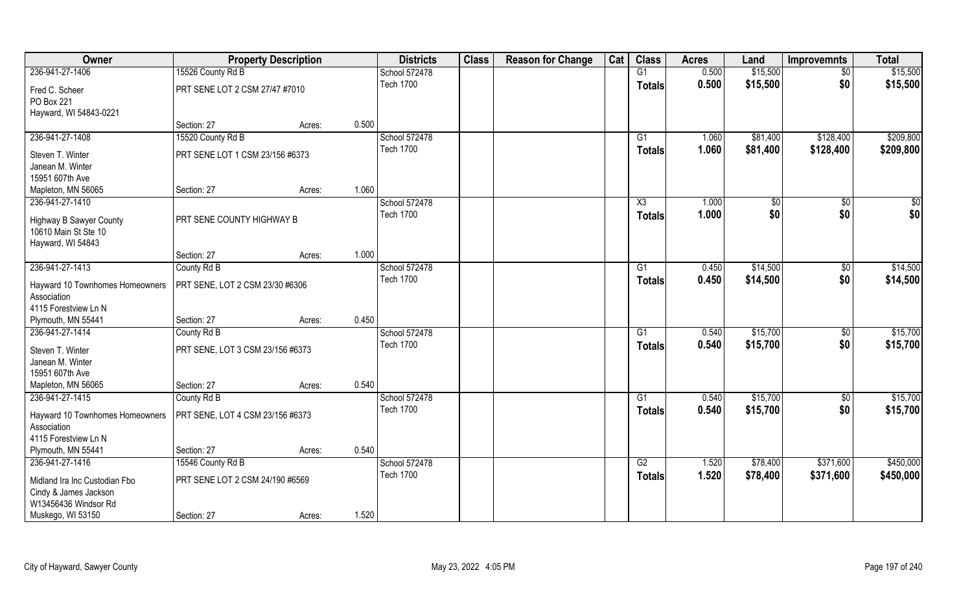| Owner                               | <b>Property Description</b>      |        |       | <b>Districts</b> | <b>Class</b> | <b>Reason for Change</b> | Cat | <b>Class</b>           | <b>Acres</b> | Land     | <b>Improvemnts</b> | <b>Total</b> |
|-------------------------------------|----------------------------------|--------|-------|------------------|--------------|--------------------------|-----|------------------------|--------------|----------|--------------------|--------------|
| 236-941-27-1406                     | 15526 County Rd B                |        |       | School 572478    |              |                          |     | G1                     | 0.500        | \$15,500 | \$0                | \$15,500     |
| Fred C. Scheer                      | PRT SENE LOT 2 CSM 27/47 #7010   |        |       | <b>Tech 1700</b> |              |                          |     | <b>Totals</b>          | 0.500        | \$15,500 | \$0                | \$15,500     |
| PO Box 221                          |                                  |        |       |                  |              |                          |     |                        |              |          |                    |              |
| Hayward, WI 54843-0221              |                                  |        |       |                  |              |                          |     |                        |              |          |                    |              |
|                                     | Section: 27                      | Acres: | 0.500 |                  |              |                          |     |                        |              |          |                    |              |
| 236-941-27-1408                     | 15520 County Rd B                |        |       | School 572478    |              |                          |     | G1                     | 1.060        | \$81,400 | \$128,400          | \$209,800    |
| Steven T. Winter                    | PRT SENE LOT 1 CSM 23/156 #6373  |        |       | <b>Tech 1700</b> |              |                          |     | <b>Totals</b>          | 1.060        | \$81,400 | \$128,400          | \$209,800    |
| Janean M. Winter                    |                                  |        |       |                  |              |                          |     |                        |              |          |                    |              |
| 15951 607th Ave                     |                                  |        |       |                  |              |                          |     |                        |              |          |                    |              |
| Mapleton, MN 56065                  | Section: 27                      | Acres: | 1.060 |                  |              |                          |     |                        |              |          |                    |              |
| 236-941-27-1410                     |                                  |        |       | School 572478    |              |                          |     | $\overline{\text{X3}}$ | 1.000        | \$0      | \$0                | \$0          |
| <b>Highway B Sawyer County</b>      | PRT SENE COUNTY HIGHWAY B        |        |       | <b>Tech 1700</b> |              |                          |     | <b>Totals</b>          | 1.000        | \$0      | \$0                | \$0          |
| 10610 Main St Ste 10                |                                  |        |       |                  |              |                          |     |                        |              |          |                    |              |
| Hayward, WI 54843                   |                                  |        |       |                  |              |                          |     |                        |              |          |                    |              |
|                                     | Section: 27                      | Acres: | 1.000 |                  |              |                          |     |                        |              |          |                    |              |
| 236-941-27-1413                     | County Rd B                      |        |       | School 572478    |              |                          |     | G1                     | 0.450        | \$14,500 | \$0                | \$14,500     |
| Hayward 10 Townhomes Homeowners     | PRT SENE, LOT 2 CSM 23/30 #6306  |        |       | <b>Tech 1700</b> |              |                          |     | <b>Totals</b>          | 0.450        | \$14,500 | \$0                | \$14,500     |
| Association                         |                                  |        |       |                  |              |                          |     |                        |              |          |                    |              |
| 4115 Forestview Ln N                |                                  |        |       |                  |              |                          |     |                        |              |          |                    |              |
| Plymouth, MN 55441                  | Section: 27                      | Acres: | 0.450 |                  |              |                          |     |                        |              |          |                    |              |
| 236-941-27-1414                     | County Rd B                      |        |       | School 572478    |              |                          |     | G1                     | 0.540        | \$15,700 | \$0                | \$15,700     |
| Steven T. Winter                    | PRT SENE, LOT 3 CSM 23/156 #6373 |        |       | <b>Tech 1700</b> |              |                          |     | <b>Totals</b>          | 0.540        | \$15,700 | \$0                | \$15,700     |
| Janean M. Winter                    |                                  |        |       |                  |              |                          |     |                        |              |          |                    |              |
| 15951 607th Ave                     |                                  |        |       |                  |              |                          |     |                        |              |          |                    |              |
| Mapleton, MN 56065                  | Section: 27                      | Acres: | 0.540 |                  |              |                          |     |                        |              |          |                    |              |
| 236-941-27-1415                     | County Rd B                      |        |       | School 572478    |              |                          |     | G1                     | 0.540        | \$15,700 | $\sqrt{50}$        | \$15,700     |
|                                     |                                  |        |       | <b>Tech 1700</b> |              |                          |     | <b>Totals</b>          | 0.540        | \$15,700 | \$0                | \$15,700     |
| Hayward 10 Townhomes Homeowners     | PRT SENE, LOT 4 CSM 23/156 #6373 |        |       |                  |              |                          |     |                        |              |          |                    |              |
| Association<br>4115 Forestview Ln N |                                  |        |       |                  |              |                          |     |                        |              |          |                    |              |
| Plymouth, MN 55441                  | Section: 27                      | Acres: | 0.540 |                  |              |                          |     |                        |              |          |                    |              |
| 236-941-27-1416                     | 15546 County Rd B                |        |       | School 572478    |              |                          |     | G2                     | 1.520        | \$78,400 | \$371,600          | \$450,000    |
|                                     |                                  |        |       | <b>Tech 1700</b> |              |                          |     | <b>Totals</b>          | 1.520        | \$78,400 | \$371,600          | \$450,000    |
| Midland Ira Inc Custodian Fbo       | PRT SENE LOT 2 CSM 24/190 #6569  |        |       |                  |              |                          |     |                        |              |          |                    |              |
| Cindy & James Jackson               |                                  |        |       |                  |              |                          |     |                        |              |          |                    |              |
| W13456436 Windsor Rd                |                                  |        |       |                  |              |                          |     |                        |              |          |                    |              |
| Muskego, WI 53150                   | Section: 27                      | Acres: | 1.520 |                  |              |                          |     |                        |              |          |                    |              |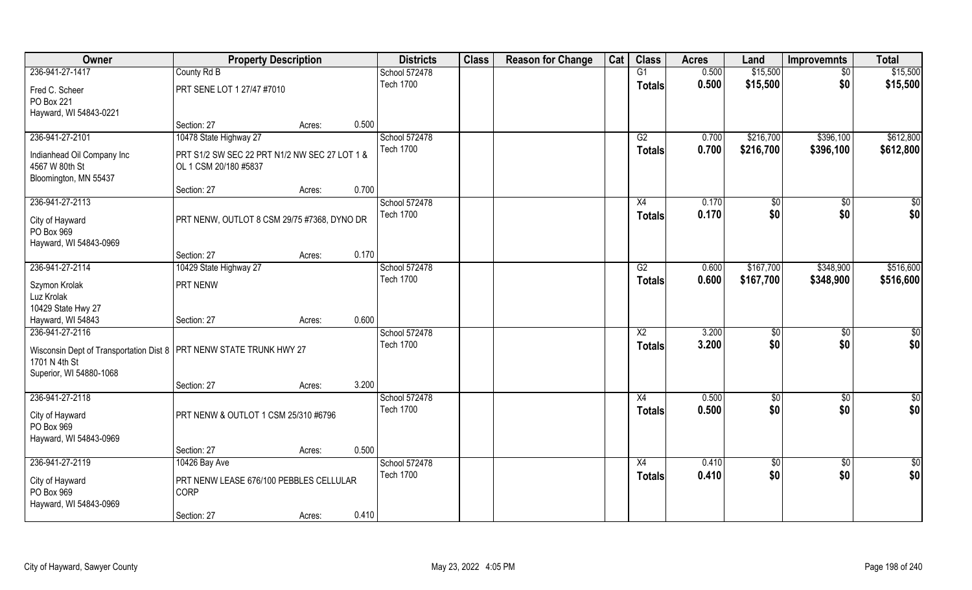| Owner                                                                                                     | <b>Property Description</b>                                            |                 | <b>Districts</b>                  | <b>Class</b> | <b>Reason for Change</b> | Cat | <b>Class</b>                     | <b>Acres</b>   | Land       | <b>Improvemnts</b>     | <b>Total</b>           |
|-----------------------------------------------------------------------------------------------------------|------------------------------------------------------------------------|-----------------|-----------------------------------|--------------|--------------------------|-----|----------------------------------|----------------|------------|------------------------|------------------------|
| 236-941-27-1417                                                                                           | County Rd B                                                            |                 | School 572478                     |              |                          |     | G1                               | 0.500          | \$15,500   | $\sqrt{$0}$            | \$15,500               |
| Fred C. Scheer<br>PO Box 221                                                                              | PRT SENE LOT 1 27/47 #7010                                             |                 | <b>Tech 1700</b>                  |              |                          |     | <b>Totals</b>                    | 0.500          | \$15,500   | \$0                    | \$15,500               |
| Hayward, WI 54843-0221                                                                                    |                                                                        |                 |                                   |              |                          |     |                                  |                |            |                        |                        |
|                                                                                                           | Section: 27                                                            | 0.500<br>Acres: |                                   |              |                          |     |                                  |                |            |                        |                        |
| 236-941-27-2101                                                                                           | 10478 State Highway 27                                                 |                 | School 572478                     |              |                          |     | G2                               | 0.700          | \$216,700  | \$396,100              | \$612,800              |
| Indianhead Oil Company Inc<br>4567 W 80th St<br>Bloomington, MN 55437                                     | PRT S1/2 SW SEC 22 PRT N1/2 NW SEC 27 LOT 1 &<br>OL 1 CSM 20/180 #5837 |                 | <b>Tech 1700</b>                  |              |                          |     | <b>Totals</b>                    | 0.700          | \$216,700  | \$396,100              | \$612,800              |
|                                                                                                           | Section: 27                                                            | 0.700<br>Acres: |                                   |              |                          |     |                                  |                |            |                        |                        |
| 236-941-27-2113                                                                                           |                                                                        |                 | School 572478                     |              |                          |     | X4                               | 0.170          | \$0        | $\sqrt{50}$            | $\sqrt{50}$            |
| City of Hayward<br>PO Box 969<br>Hayward, WI 54843-0969                                                   | PRT NENW, OUTLOT 8 CSM 29/75 #7368, DYNO DR                            |                 | <b>Tech 1700</b>                  |              |                          |     | <b>Totals</b>                    | 0.170          | \$0        | \$0                    | \$0                    |
|                                                                                                           | Section: 27                                                            | 0.170<br>Acres: |                                   |              |                          |     |                                  |                |            |                        |                        |
| 236-941-27-2114                                                                                           | 10429 State Highway 27                                                 |                 | School 572478                     |              |                          |     | G2                               | 0.600          | \$167,700  | \$348,900              | \$516,600              |
| Szymon Krolak                                                                                             | PRT NENW                                                               |                 | <b>Tech 1700</b>                  |              |                          |     | <b>Totals</b>                    | 0.600          | \$167,700  | \$348,900              | \$516,600              |
| Luz Krolak<br>10429 State Hwy 27                                                                          |                                                                        |                 |                                   |              |                          |     |                                  |                |            |                        |                        |
| Hayward, WI 54843                                                                                         | Section: 27                                                            | 0.600<br>Acres: |                                   |              |                          |     |                                  |                |            |                        |                        |
| 236-941-27-2116<br>Wisconsin Dept of Transportation Dist 8   PRT NENW STATE TRUNK HWY 27<br>1701 N 4th St |                                                                        |                 | School 572478<br><b>Tech 1700</b> |              |                          |     | $\overline{X2}$<br><b>Totals</b> | 3.200<br>3.200 | \$0<br>\$0 | $\overline{50}$<br>\$0 | $\overline{50}$<br>\$0 |
| Superior, WI 54880-1068                                                                                   |                                                                        |                 |                                   |              |                          |     |                                  |                |            |                        |                        |
|                                                                                                           | Section: 27                                                            | 3.200<br>Acres: |                                   |              |                          |     |                                  |                |            |                        |                        |
| 236-941-27-2118<br>City of Hayward<br>PO Box 969<br>Hayward, WI 54843-0969                                | PRT NENW & OUTLOT 1 CSM 25/310 #6796                                   |                 | School 572478<br><b>Tech 1700</b> |              |                          |     | X4<br><b>Totals</b>              | 0.500<br>0.500 | \$0<br>\$0 | $\sqrt{$0}$<br>\$0     | \$0<br>\$0             |
|                                                                                                           | Section: 27                                                            | 0.500<br>Acres: |                                   |              |                          |     |                                  |                |            |                        |                        |
| 236-941-27-2119                                                                                           | 10426 Bay Ave                                                          |                 | School 572478                     |              |                          |     | X4                               | 0.410          | $\sqrt{6}$ | $\sqrt{$0}$            | $\overline{50}$        |
| City of Hayward<br>PO Box 969<br>Hayward, WI 54843-0969                                                   | PRT NENW LEASE 676/100 PEBBLES CELLULAR<br><b>CORP</b>                 |                 | <b>Tech 1700</b>                  |              |                          |     | <b>Totals</b>                    | 0.410          | \$0        | \$0                    | \$0                    |
|                                                                                                           | Section: 27                                                            | 0.410<br>Acres: |                                   |              |                          |     |                                  |                |            |                        |                        |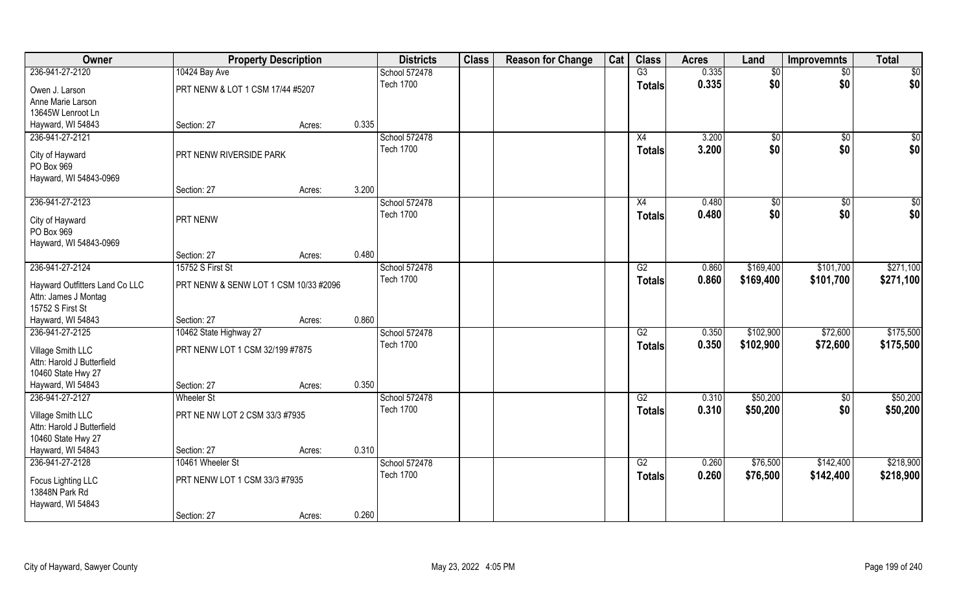| Owner                                                                      |                                       | <b>Property Description</b> |       | <b>Districts</b> | <b>Class</b> | <b>Reason for Change</b> | Cat | <b>Class</b>    | <b>Acres</b> | Land        | <b>Improvemnts</b> | <b>Total</b> |
|----------------------------------------------------------------------------|---------------------------------------|-----------------------------|-------|------------------|--------------|--------------------------|-----|-----------------|--------------|-------------|--------------------|--------------|
| 236-941-27-2120                                                            | 10424 Bay Ave                         |                             |       | School 572478    |              |                          |     | $\overline{G3}$ | 0.335        | $\sqrt{6}$  | $\sqrt{6}$         | \$0          |
| Owen J. Larson<br>Anne Marie Larson                                        | PRT NENW & LOT 1 CSM 17/44 #5207      |                             |       | <b>Tech 1700</b> |              |                          |     | <b>Totals</b>   | 0.335        | \$0         | \$0                | \$0          |
| 13645W Lenroot Ln                                                          |                                       |                             |       |                  |              |                          |     |                 |              |             |                    |              |
| Hayward, WI 54843                                                          | Section: 27                           | Acres:                      | 0.335 |                  |              |                          |     |                 |              |             |                    |              |
| 236-941-27-2121                                                            |                                       |                             |       | School 572478    |              |                          |     | X4              | 3.200        | $\sqrt{$0}$ | $\overline{50}$    | \$0          |
| City of Hayward<br>PO Box 969                                              | PRT NENW RIVERSIDE PARK               |                             |       | <b>Tech 1700</b> |              |                          |     | Totals          | 3.200        | \$0         | \$0                | \$0          |
| Hayward, WI 54843-0969                                                     |                                       |                             |       |                  |              |                          |     |                 |              |             |                    |              |
|                                                                            | Section: 27                           | Acres:                      | 3.200 |                  |              |                          |     |                 |              |             |                    |              |
| 236-941-27-2123                                                            |                                       |                             |       | School 572478    |              |                          |     | X4              | 0.480        | \$0         | \$0                | \$0          |
| City of Hayward<br>PO Box 969                                              | PRT NENW                              |                             |       | <b>Tech 1700</b> |              |                          |     | <b>Totals</b>   | 0.480        | \$0         | \$0                | \$0          |
| Hayward, WI 54843-0969                                                     |                                       |                             |       |                  |              |                          |     |                 |              |             |                    |              |
|                                                                            | Section: 27                           | Acres:                      | 0.480 |                  |              |                          |     |                 |              |             |                    |              |
| 236-941-27-2124                                                            | 15752 S First St                      |                             |       | School 572478    |              |                          |     | G2              | 0.860        | \$169,400   | \$101,700          | \$271,100    |
| Hayward Outfitters Land Co LLC<br>Attn: James J Montag<br>15752 S First St | PRT NENW & SENW LOT 1 CSM 10/33 #2096 |                             |       | <b>Tech 1700</b> |              |                          |     | <b>Totals</b>   | 0.860        | \$169,400   | \$101,700          | \$271,100    |
| Hayward, WI 54843                                                          | Section: 27                           | Acres:                      | 0.860 |                  |              |                          |     |                 |              |             |                    |              |
| 236-941-27-2125                                                            | 10462 State Highway 27                |                             |       | School 572478    |              |                          |     | $\overline{G2}$ | 0.350        | \$102,900   | \$72,600           | \$175,500    |
| Village Smith LLC                                                          | PRT NENW LOT 1 CSM 32/199 #7875       |                             |       | <b>Tech 1700</b> |              |                          |     | <b>Totals</b>   | 0.350        | \$102,900   | \$72,600           | \$175,500    |
| Attn: Harold J Butterfield                                                 |                                       |                             |       |                  |              |                          |     |                 |              |             |                    |              |
| 10460 State Hwy 27                                                         |                                       |                             |       |                  |              |                          |     |                 |              |             |                    |              |
| Hayward, WI 54843                                                          | Section: 27                           | Acres:                      | 0.350 |                  |              |                          |     |                 |              |             |                    |              |
| 236-941-27-2127                                                            | <b>Wheeler St</b>                     |                             |       | School 572478    |              |                          |     | G2              | 0.310        | \$50,200    | $\overline{50}$    | \$50,200     |
| Village Smith LLC                                                          | PRT NE NW LOT 2 CSM 33/3 #7935        |                             |       | <b>Tech 1700</b> |              |                          |     | <b>Totals</b>   | 0.310        | \$50,200    | \$0                | \$50,200     |
| Attn: Harold J Butterfield                                                 |                                       |                             |       |                  |              |                          |     |                 |              |             |                    |              |
| 10460 State Hwy 27                                                         |                                       |                             |       |                  |              |                          |     |                 |              |             |                    |              |
| Hayward, WI 54843                                                          | Section: 27                           | Acres:                      | 0.310 |                  |              |                          |     |                 |              |             |                    |              |
| 236-941-27-2128                                                            | 10461 Wheeler St                      |                             |       | School 572478    |              |                          |     | G2              | 0.260        | \$76,500    | \$142,400          | \$218,900    |
| Focus Lighting LLC<br>13848N Park Rd                                       | PRT NENW LOT 1 CSM 33/3 #7935         |                             |       | <b>Tech 1700</b> |              |                          |     | <b>Totals</b>   | 0.260        | \$76,500    | \$142,400          | \$218,900    |
| Hayward, WI 54843                                                          |                                       |                             |       |                  |              |                          |     |                 |              |             |                    |              |
|                                                                            | Section: 27                           | Acres:                      | 0.260 |                  |              |                          |     |                 |              |             |                    |              |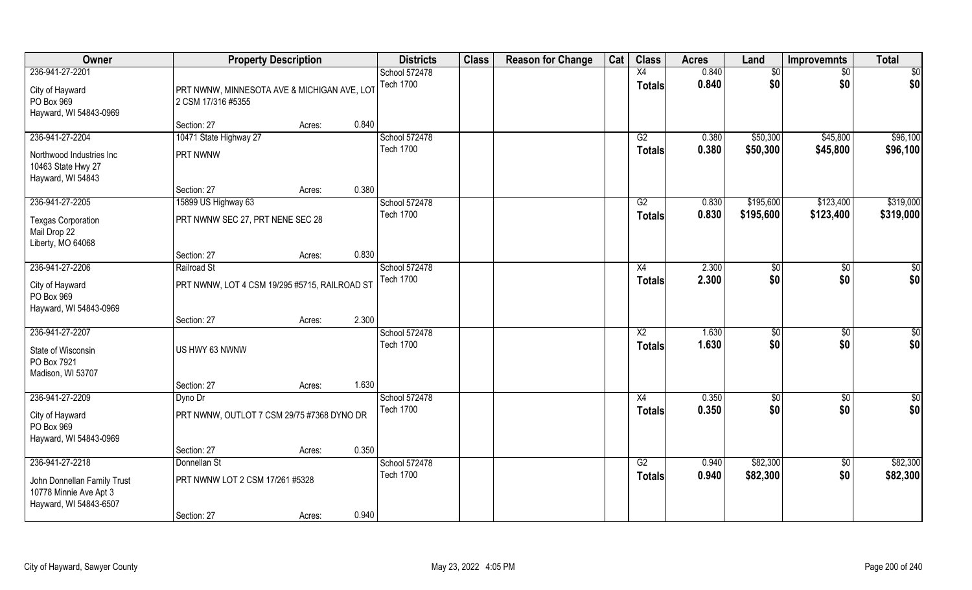| Owner                                                                           |                                                                   | <b>Property Description</b> |       | <b>Districts</b>                  | <b>Class</b> | <b>Reason for Change</b> | Cat | <b>Class</b>                     | <b>Acres</b>   | Land       | <b>Improvemnts</b>     | <b>Total</b>  |
|---------------------------------------------------------------------------------|-------------------------------------------------------------------|-----------------------------|-------|-----------------------------------|--------------|--------------------------|-----|----------------------------------|----------------|------------|------------------------|---------------|
| 236-941-27-2201<br>City of Hayward<br>PO Box 969<br>Hayward, WI 54843-0969      | PRT NWNW, MINNESOTA AVE & MICHIGAN AVE, LOT<br>2 CSM 17/316 #5355 |                             |       | School 572478<br><b>Tech 1700</b> |              |                          |     | X4<br><b>Totals</b>              | 0.840<br>0.840 | \$0<br>\$0 | \$0<br>\$0             | \$0<br>\$0    |
|                                                                                 | Section: 27                                                       | Acres:                      | 0.840 |                                   |              |                          |     |                                  |                |            |                        |               |
| 236-941-27-2204                                                                 | 10471 State Highway 27                                            |                             |       | School 572478                     |              |                          |     | G2                               | 0.380          | \$50,300   | \$45,800               | \$96,100      |
| Northwood Industries Inc<br>10463 State Hwy 27<br>Hayward, WI 54843             | PRT NWNW                                                          |                             |       | <b>Tech 1700</b>                  |              |                          |     | <b>Totals</b>                    | 0.380          | \$50,300   | \$45,800               | \$96,100      |
|                                                                                 | Section: 27                                                       | Acres:                      | 0.380 |                                   |              |                          |     |                                  |                |            |                        |               |
| 236-941-27-2205                                                                 | 15899 US Highway 63                                               |                             |       | School 572478                     |              |                          |     | G2                               | 0.830          | \$195,600  | \$123,400              | \$319,000     |
| <b>Texgas Corporation</b><br>Mail Drop 22<br>Liberty, MO 64068                  | PRT NWNW SEC 27, PRT NENE SEC 28                                  |                             |       | <b>Tech 1700</b>                  |              |                          |     | <b>Totals</b>                    | 0.830          | \$195,600  | \$123,400              | \$319,000     |
|                                                                                 | Section: 27                                                       | Acres:                      | 0.830 |                                   |              |                          |     |                                  |                |            |                        |               |
| 236-941-27-2206                                                                 | Railroad St                                                       |                             |       | School 572478                     |              |                          |     | X4                               | 2.300          | \$0        | \$0                    | \$0           |
| City of Hayward<br>PO Box 969<br>Hayward, WI 54843-0969                         | PRT NWNW, LOT 4 CSM 19/295 #5715, RAILROAD ST                     |                             |       | <b>Tech 1700</b>                  |              |                          |     | <b>Totals</b>                    | 2.300          | \$0        | \$0                    | \$0           |
|                                                                                 | Section: 27                                                       | Acres:                      | 2.300 |                                   |              |                          |     |                                  |                |            |                        |               |
| 236-941-27-2207<br>State of Wisconsin<br>PO Box 7921<br>Madison, WI 53707       | US HWY 63 NWNW                                                    |                             |       | School 572478<br><b>Tech 1700</b> |              |                          |     | $\overline{X2}$<br><b>Totals</b> | 1.630<br>1.630 | \$0<br>\$0 | $\overline{50}$<br>\$0 | \$0<br>\$0    |
|                                                                                 | Section: 27                                                       | Acres:                      | 1.630 |                                   |              |                          |     |                                  |                |            |                        |               |
| 236-941-27-2209                                                                 | Dyno Dr                                                           |                             |       | School 572478                     |              |                          |     | X4                               | 0.350          | \$0        | $\overline{50}$        | $\frac{1}{2}$ |
| City of Hayward<br>PO Box 969<br>Hayward, WI 54843-0969                         | PRT NWNW, OUTLOT 7 CSM 29/75 #7368 DYNO DR                        |                             |       | <b>Tech 1700</b>                  |              |                          |     | <b>Totals</b>                    | 0.350          | \$0        | \$0                    | \$0           |
|                                                                                 | Section: 27                                                       | Acres:                      | 0.350 |                                   |              |                          |     |                                  |                |            |                        |               |
| 236-941-27-2218                                                                 | Donnellan St                                                      |                             |       | School 572478                     |              |                          |     | G2                               | 0.940          | \$82,300   | $\overline{50}$        | \$82,300      |
| John Donnellan Family Trust<br>10778 Minnie Ave Apt 3<br>Hayward, WI 54843-6507 | PRT NWNW LOT 2 CSM 17/261 #5328                                   |                             |       | <b>Tech 1700</b>                  |              |                          |     | <b>Totals</b>                    | 0.940          | \$82,300   | \$0                    | \$82,300      |
|                                                                                 | Section: 27                                                       | Acres:                      | 0.940 |                                   |              |                          |     |                                  |                |            |                        |               |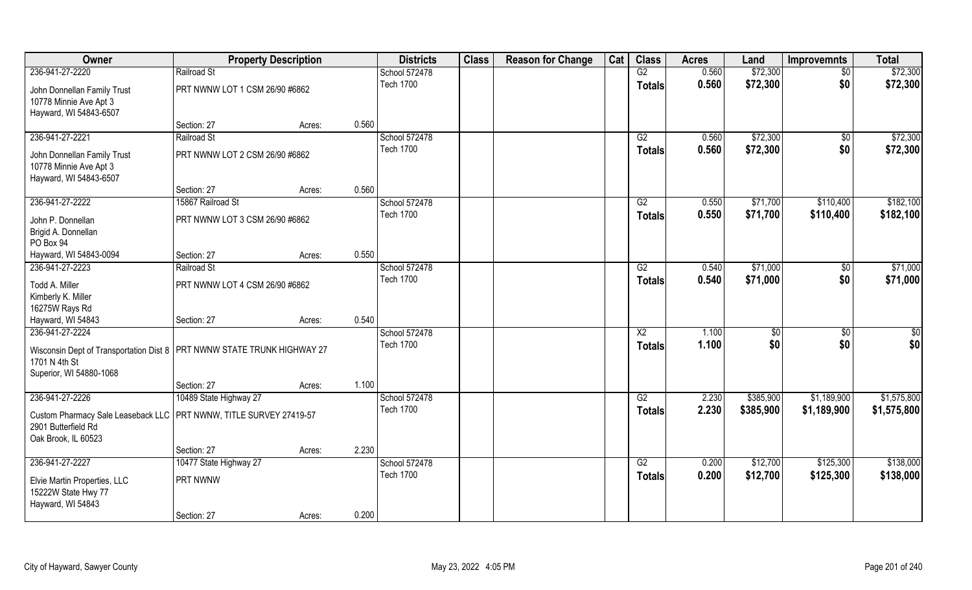| Owner                                                                                                                                    | <b>Property Description</b>    |        |       | <b>Districts</b>                  | <b>Class</b> | <b>Reason for Change</b> | Cat | <b>Class</b>                     | <b>Acres</b>   | Land       | <b>Improvemnts</b>     | <b>Total</b> |
|------------------------------------------------------------------------------------------------------------------------------------------|--------------------------------|--------|-------|-----------------------------------|--------------|--------------------------|-----|----------------------------------|----------------|------------|------------------------|--------------|
| 236-941-27-2220                                                                                                                          | Railroad St                    |        |       | School 572478                     |              |                          |     | G2                               | 0.560          | \$72,300   | $\sqrt{6}$             | \$72,300     |
| John Donnellan Family Trust<br>10778 Minnie Ave Apt 3<br>Hayward, WI 54843-6507                                                          | PRT NWNW LOT 1 CSM 26/90 #6862 |        |       | <b>Tech 1700</b>                  |              |                          |     | <b>Totals</b>                    | 0.560          | \$72,300   | \$0                    | \$72,300     |
|                                                                                                                                          | Section: 27                    | Acres: | 0.560 |                                   |              |                          |     |                                  |                |            |                        |              |
| 236-941-27-2221                                                                                                                          | Railroad St                    |        |       | School 572478                     |              |                          |     | G2                               | 0.560          | \$72,300   | \$0                    | \$72,300     |
| John Donnellan Family Trust<br>10778 Minnie Ave Apt 3<br>Hayward, WI 54843-6507                                                          | PRT NWNW LOT 2 CSM 26/90 #6862 |        |       | <b>Tech 1700</b>                  |              |                          |     | <b>Totals</b>                    | 0.560          | \$72,300   | \$0                    | \$72,300     |
|                                                                                                                                          | Section: 27                    | Acres: | 0.560 |                                   |              |                          |     |                                  |                |            |                        |              |
| 236-941-27-2222                                                                                                                          | 15867 Railroad St              |        |       | School 572478                     |              |                          |     | G2                               | 0.550          | \$71,700   | \$110,400              | \$182,100    |
| John P. Donnellan<br>Brigid A. Donnellan<br>PO Box 94                                                                                    | PRT NWNW LOT 3 CSM 26/90 #6862 |        |       | <b>Tech 1700</b>                  |              |                          |     | <b>Totals</b>                    | 0.550          | \$71,700   | \$110,400              | \$182,100    |
| Hayward, WI 54843-0094                                                                                                                   | Section: 27                    | Acres: | 0.550 |                                   |              |                          |     |                                  |                |            |                        |              |
| 236-941-27-2223                                                                                                                          | Railroad St                    |        |       | School 572478                     |              |                          |     | G2                               | 0.540          | \$71,000   | $\sqrt{50}$            | \$71,000     |
| Todd A. Miller<br>Kimberly K. Miller<br>16275W Rays Rd                                                                                   | PRT NWNW LOT 4 CSM 26/90 #6862 |        |       | <b>Tech 1700</b>                  |              |                          |     | <b>Totals</b>                    | 0.540          | \$71,000   | \$0                    | \$71,000     |
| Hayward, WI 54843                                                                                                                        | Section: 27                    | Acres: | 0.540 |                                   |              |                          |     |                                  |                |            |                        |              |
| 236-941-27-2224<br>Wisconsin Dept of Transportation Dist 8   PRT NWNW STATE TRUNK HIGHWAY 27<br>1701 N 4th St<br>Superior, WI 54880-1068 |                                |        |       | School 572478<br><b>Tech 1700</b> |              |                          |     | $\overline{X2}$<br><b>Totals</b> | 1.100<br>1.100 | \$0<br>\$0 | $\overline{50}$<br>\$0 | \$0<br>\$0   |
|                                                                                                                                          | Section: 27                    | Acres: | 1.100 |                                   |              |                          |     |                                  |                |            |                        |              |
| 236-941-27-2226                                                                                                                          | 10489 State Highway 27         |        |       | School 572478                     |              |                          |     | G2                               | 2.230          | \$385,900  | \$1,189,900            | \$1,575,800  |
| Custom Pharmacy Sale Leaseback LLC   PRT NWNW, TITLE SURVEY 27419-57<br>2901 Butterfield Rd<br>Oak Brook, IL 60523                       |                                |        |       | <b>Tech 1700</b>                  |              |                          |     | <b>Totals</b>                    | 2.230          | \$385,900  | \$1,189,900            | \$1,575,800  |
|                                                                                                                                          | Section: 27                    | Acres: | 2.230 |                                   |              |                          |     |                                  |                |            |                        |              |
| 236-941-27-2227                                                                                                                          | 10477 State Highway 27         |        |       | School 572478                     |              |                          |     | G2                               | 0.200          | \$12,700   | \$125,300              | \$138,000    |
| Elvie Martin Properties, LLC<br>15222W State Hwy 77<br>Hayward, WI 54843                                                                 | PRT NWNW                       |        |       | <b>Tech 1700</b>                  |              |                          |     | <b>Totals</b>                    | 0.200          | \$12,700   | \$125,300              | \$138,000    |
|                                                                                                                                          | Section: 27                    | Acres: | 0.200 |                                   |              |                          |     |                                  |                |            |                        |              |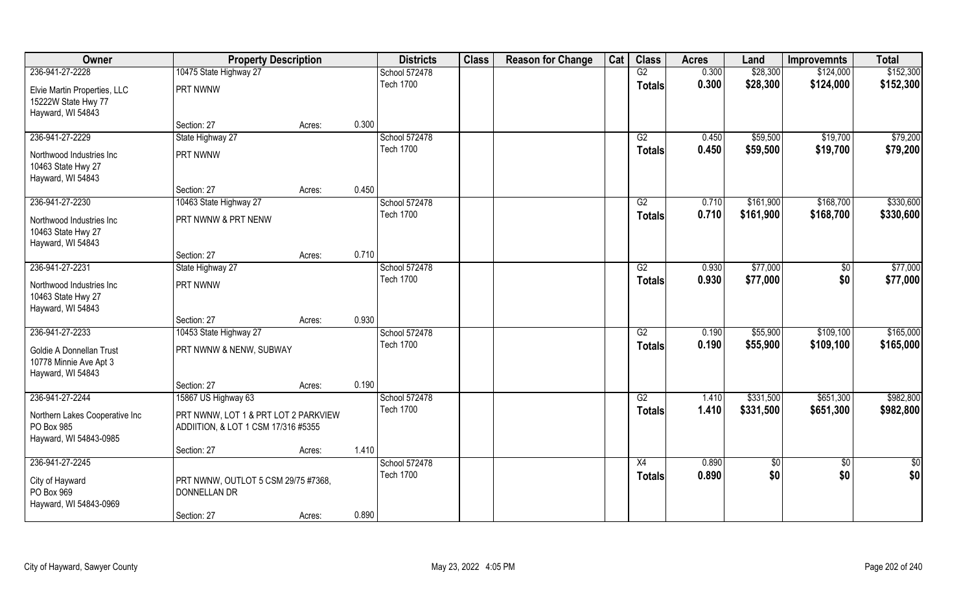| 10475 State Highway 27<br>G2<br>\$28,300<br>236-941-27-2228<br>School 572478<br>0.300<br>\$124,000<br><b>Tech 1700</b><br>\$28,300<br>0.300<br>\$124,000<br><b>Totals</b><br>PRT NWNW<br>Elvie Martin Properties, LLC<br>15222W State Hwy 77<br>Hayward, WI 54843<br>0.300<br>Section: 27<br>Acres:<br>\$59,500<br>\$79,200<br>236-941-27-2229<br>State Highway 27<br>School 572478<br>G2<br>0.450<br>\$19,700<br><b>Tech 1700</b><br>0.450<br>\$59,500<br>\$19,700<br>\$79,200<br><b>Totals</b><br>PRT NWNW<br>Northwood Industries Inc<br>10463 State Hwy 27<br>Hayward, WI 54843<br>0.450<br>Section: 27<br>Acres:<br>\$330,600<br>236-941-27-2230<br>School 572478<br>\$161,900<br>\$168,700<br>10463 State Highway 27<br>G2<br>0.710<br><b>Tech 1700</b><br>0.710<br>\$161,900<br>\$168,700<br>\$330,600<br><b>Totals</b><br>PRT NWNW & PRT NENW<br>Northwood Industries Inc<br>10463 State Hwy 27 | Owner             | <b>Property Description</b> | <b>Districts</b> | <b>Class</b> | <b>Reason for Change</b> | Cat | <b>Class</b> | <b>Acres</b> | Land | <b>Improvemnts</b> | <b>Total</b> |
|---------------------------------------------------------------------------------------------------------------------------------------------------------------------------------------------------------------------------------------------------------------------------------------------------------------------------------------------------------------------------------------------------------------------------------------------------------------------------------------------------------------------------------------------------------------------------------------------------------------------------------------------------------------------------------------------------------------------------------------------------------------------------------------------------------------------------------------------------------------------------------------------------------|-------------------|-----------------------------|------------------|--------------|--------------------------|-----|--------------|--------------|------|--------------------|--------------|
|                                                                                                                                                                                                                                                                                                                                                                                                                                                                                                                                                                                                                                                                                                                                                                                                                                                                                                         |                   |                             |                  |              |                          |     |              |              |      |                    | \$152,300    |
|                                                                                                                                                                                                                                                                                                                                                                                                                                                                                                                                                                                                                                                                                                                                                                                                                                                                                                         |                   |                             |                  |              |                          |     |              |              |      |                    | \$152,300    |
|                                                                                                                                                                                                                                                                                                                                                                                                                                                                                                                                                                                                                                                                                                                                                                                                                                                                                                         |                   |                             |                  |              |                          |     |              |              |      |                    |              |
|                                                                                                                                                                                                                                                                                                                                                                                                                                                                                                                                                                                                                                                                                                                                                                                                                                                                                                         |                   |                             |                  |              |                          |     |              |              |      |                    |              |
|                                                                                                                                                                                                                                                                                                                                                                                                                                                                                                                                                                                                                                                                                                                                                                                                                                                                                                         |                   |                             |                  |              |                          |     |              |              |      |                    |              |
|                                                                                                                                                                                                                                                                                                                                                                                                                                                                                                                                                                                                                                                                                                                                                                                                                                                                                                         |                   |                             |                  |              |                          |     |              |              |      |                    |              |
|                                                                                                                                                                                                                                                                                                                                                                                                                                                                                                                                                                                                                                                                                                                                                                                                                                                                                                         |                   |                             |                  |              |                          |     |              |              |      |                    |              |
|                                                                                                                                                                                                                                                                                                                                                                                                                                                                                                                                                                                                                                                                                                                                                                                                                                                                                                         |                   |                             |                  |              |                          |     |              |              |      |                    |              |
|                                                                                                                                                                                                                                                                                                                                                                                                                                                                                                                                                                                                                                                                                                                                                                                                                                                                                                         |                   |                             |                  |              |                          |     |              |              |      |                    |              |
|                                                                                                                                                                                                                                                                                                                                                                                                                                                                                                                                                                                                                                                                                                                                                                                                                                                                                                         |                   |                             |                  |              |                          |     |              |              |      |                    |              |
|                                                                                                                                                                                                                                                                                                                                                                                                                                                                                                                                                                                                                                                                                                                                                                                                                                                                                                         |                   |                             |                  |              |                          |     |              |              |      |                    |              |
|                                                                                                                                                                                                                                                                                                                                                                                                                                                                                                                                                                                                                                                                                                                                                                                                                                                                                                         |                   |                             |                  |              |                          |     |              |              |      |                    |              |
|                                                                                                                                                                                                                                                                                                                                                                                                                                                                                                                                                                                                                                                                                                                                                                                                                                                                                                         |                   |                             |                  |              |                          |     |              |              |      |                    |              |
|                                                                                                                                                                                                                                                                                                                                                                                                                                                                                                                                                                                                                                                                                                                                                                                                                                                                                                         | Hayward, WI 54843 |                             |                  |              |                          |     |              |              |      |                    |              |
| 0.710<br>Section: 27<br>Acres:                                                                                                                                                                                                                                                                                                                                                                                                                                                                                                                                                                                                                                                                                                                                                                                                                                                                          |                   |                             |                  |              |                          |     |              |              |      |                    |              |
| 236-941-27-2231<br>School 572478<br>\$77,000<br>State Highway 27<br>G2<br>0.930<br>\$0<br><b>Tech 1700</b>                                                                                                                                                                                                                                                                                                                                                                                                                                                                                                                                                                                                                                                                                                                                                                                              |                   |                             |                  |              |                          |     |              |              |      |                    | \$77,000     |
| \$0<br>0.930<br>\$77,000<br><b>Totals</b><br>PRT NWNW<br>Northwood Industries Inc                                                                                                                                                                                                                                                                                                                                                                                                                                                                                                                                                                                                                                                                                                                                                                                                                       |                   |                             |                  |              |                          |     |              |              |      |                    | \$77,000     |
| 10463 State Hwy 27                                                                                                                                                                                                                                                                                                                                                                                                                                                                                                                                                                                                                                                                                                                                                                                                                                                                                      |                   |                             |                  |              |                          |     |              |              |      |                    |              |
| Hayward, WI 54843                                                                                                                                                                                                                                                                                                                                                                                                                                                                                                                                                                                                                                                                                                                                                                                                                                                                                       |                   |                             |                  |              |                          |     |              |              |      |                    |              |
| 0.930<br>Section: 27<br>Acres:                                                                                                                                                                                                                                                                                                                                                                                                                                                                                                                                                                                                                                                                                                                                                                                                                                                                          |                   |                             |                  |              |                          |     |              |              |      |                    |              |
| 236-941-27-2233<br>$\overline{G2}$<br>0.190<br>\$55,900<br>\$109,100<br>10453 State Highway 27<br>School 572478<br><b>Tech 1700</b><br>\$55,900                                                                                                                                                                                                                                                                                                                                                                                                                                                                                                                                                                                                                                                                                                                                                         |                   |                             |                  |              |                          |     |              |              |      |                    | \$165,000    |
| 0.190<br>\$109,100<br><b>Totals</b><br>PRT NWNW & NENW, SUBWAY<br>Goldie A Donnellan Trust                                                                                                                                                                                                                                                                                                                                                                                                                                                                                                                                                                                                                                                                                                                                                                                                              |                   |                             |                  |              |                          |     |              |              |      |                    | \$165,000    |
| 10778 Minnie Ave Apt 3                                                                                                                                                                                                                                                                                                                                                                                                                                                                                                                                                                                                                                                                                                                                                                                                                                                                                  |                   |                             |                  |              |                          |     |              |              |      |                    |              |
| Hayward, WI 54843<br>0.190                                                                                                                                                                                                                                                                                                                                                                                                                                                                                                                                                                                                                                                                                                                                                                                                                                                                              |                   |                             |                  |              |                          |     |              |              |      |                    |              |
| Section: 27<br>Acres:<br>236-941-27-2244<br>School 572478<br>G2<br>\$331,500<br>\$651,300<br>1.410                                                                                                                                                                                                                                                                                                                                                                                                                                                                                                                                                                                                                                                                                                                                                                                                      |                   |                             |                  |              |                          |     |              |              |      |                    | \$982,800    |
| 15867 US Highway 63<br><b>Tech 1700</b><br>1.410<br>\$331,500<br>\$651,300                                                                                                                                                                                                                                                                                                                                                                                                                                                                                                                                                                                                                                                                                                                                                                                                                              |                   |                             |                  |              |                          |     |              |              |      |                    | \$982,800    |
| <b>Totals</b><br>Northern Lakes Cooperative Inc<br>PRT NWNW, LOT 1 & PRT LOT 2 PARKVIEW                                                                                                                                                                                                                                                                                                                                                                                                                                                                                                                                                                                                                                                                                                                                                                                                                 |                   |                             |                  |              |                          |     |              |              |      |                    |              |
| PO Box 985<br>ADDIITION, & LOT 1 CSM 17/316 #5355                                                                                                                                                                                                                                                                                                                                                                                                                                                                                                                                                                                                                                                                                                                                                                                                                                                       |                   |                             |                  |              |                          |     |              |              |      |                    |              |
| Hayward, WI 54843-0985<br>1.410<br>Section: 27                                                                                                                                                                                                                                                                                                                                                                                                                                                                                                                                                                                                                                                                                                                                                                                                                                                          |                   |                             |                  |              |                          |     |              |              |      |                    |              |
| Acres:<br>236-941-27-2245<br>School 572478<br>X4<br>0.890<br>$\sqrt{6}$<br>$\sqrt{6}$                                                                                                                                                                                                                                                                                                                                                                                                                                                                                                                                                                                                                                                                                                                                                                                                                   |                   |                             |                  |              |                          |     |              |              |      |                    | \$0          |
| \$0<br><b>Tech 1700</b><br>0.890<br>\$0<br><b>Totals</b>                                                                                                                                                                                                                                                                                                                                                                                                                                                                                                                                                                                                                                                                                                                                                                                                                                                |                   |                             |                  |              |                          |     |              |              |      |                    | \$0          |
| City of Hayward<br>PRT NWNW, OUTLOT 5 CSM 29/75 #7368,                                                                                                                                                                                                                                                                                                                                                                                                                                                                                                                                                                                                                                                                                                                                                                                                                                                  |                   |                             |                  |              |                          |     |              |              |      |                    |              |
| PO Box 969<br>DONNELLAN DR                                                                                                                                                                                                                                                                                                                                                                                                                                                                                                                                                                                                                                                                                                                                                                                                                                                                              |                   |                             |                  |              |                          |     |              |              |      |                    |              |
| Hayward, WI 54843-0969<br>0.890<br>Section: 27<br>Acres:                                                                                                                                                                                                                                                                                                                                                                                                                                                                                                                                                                                                                                                                                                                                                                                                                                                |                   |                             |                  |              |                          |     |              |              |      |                    |              |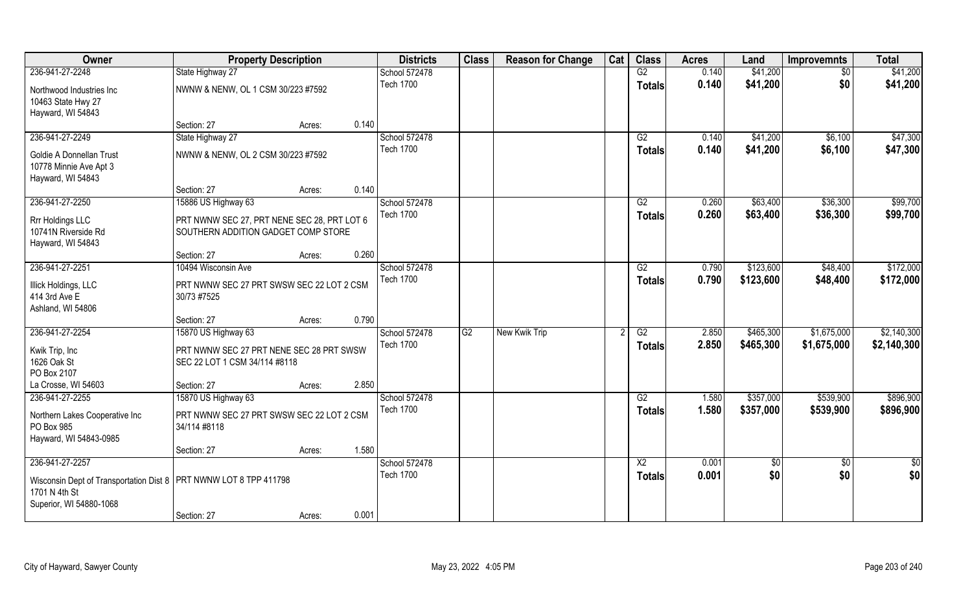| Owner                                                                                                                              | <b>Property Description</b>                                                        |                 | <b>Districts</b>                  | <b>Class</b>    | <b>Reason for Change</b> | Cat | <b>Class</b>                     | <b>Acres</b>   | Land                   | <b>Improvemnts</b>     | <b>Total</b>           |
|------------------------------------------------------------------------------------------------------------------------------------|------------------------------------------------------------------------------------|-----------------|-----------------------------------|-----------------|--------------------------|-----|----------------------------------|----------------|------------------------|------------------------|------------------------|
| 236-941-27-2248                                                                                                                    | State Highway 27                                                                   |                 | School 572478                     |                 |                          |     | G2                               | 0.140          | \$41,200               | \$0                    | \$41,200               |
| Northwood Industries Inc<br>10463 State Hwy 27<br>Hayward, WI 54843                                                                | NWNW & NENW, OL 1 CSM 30/223 #7592                                                 |                 | <b>Tech 1700</b>                  |                 |                          |     | <b>Totals</b>                    | 0.140          | \$41,200               | \$0                    | \$41,200               |
|                                                                                                                                    | Section: 27                                                                        | 0.140<br>Acres: |                                   |                 |                          |     |                                  |                |                        |                        |                        |
| 236-941-27-2249                                                                                                                    | State Highway 27                                                                   |                 | School 572478                     |                 |                          |     | G2                               | 0.140          | \$41,200               | \$6,100                | \$47,300               |
| Goldie A Donnellan Trust<br>10778 Minnie Ave Apt 3<br>Hayward, WI 54843                                                            | NWNW & NENW, OL 2 CSM 30/223 #7592                                                 |                 | <b>Tech 1700</b>                  |                 |                          |     | <b>Totals</b>                    | 0.140          | \$41,200               | \$6,100                | \$47,300               |
|                                                                                                                                    | Section: 27                                                                        | 0.140<br>Acres: |                                   |                 |                          |     |                                  |                |                        |                        |                        |
| 236-941-27-2250                                                                                                                    | 15886 US Highway 63                                                                |                 | School 572478                     |                 |                          |     | G2                               | 0.260          | \$63,400               | \$36,300               | \$99,700               |
| Rrr Holdings LLC<br>10741N Riverside Rd<br>Hayward, WI 54843                                                                       | PRT NWNW SEC 27, PRT NENE SEC 28, PRT LOT 6<br>SOUTHERN ADDITION GADGET COMP STORE |                 | Tech 1700                         |                 |                          |     | <b>Totals</b>                    | 0.260          | \$63,400               | \$36,300               | \$99,700               |
|                                                                                                                                    | Section: 27                                                                        | 0.260<br>Acres: |                                   |                 |                          |     |                                  |                |                        |                        |                        |
| 236-941-27-2251                                                                                                                    | 10494 Wisconsin Ave                                                                |                 | School 572478                     |                 |                          |     | G2                               | 0.790          | \$123,600              | \$48,400               | \$172,000              |
| <b>Illick Holdings, LLC</b><br>414 3rd Ave E<br>Ashland, WI 54806                                                                  | PRT NWNW SEC 27 PRT SWSW SEC 22 LOT 2 CSM<br>30/73 #7525                           |                 | <b>Tech 1700</b>                  |                 |                          |     | <b>Totals</b>                    | 0.790          | \$123,600              | \$48,400               | \$172,000              |
|                                                                                                                                    | Section: 27                                                                        | 0.790<br>Acres: |                                   |                 |                          |     |                                  |                |                        |                        |                        |
| 236-941-27-2254                                                                                                                    | 15870 US Highway 63                                                                |                 | School 572478                     | $\overline{G2}$ | New Kwik Trip            |     | $\overline{G2}$                  | 2.850          | \$465,300              | \$1,675,000            | \$2,140,300            |
| Kwik Trip, Inc<br>1626 Oak St<br>PO Box 2107                                                                                       | PRT NWNW SEC 27 PRT NENE SEC 28 PRT SWSW<br>SEC 22 LOT 1 CSM 34/114 #8118          |                 | <b>Tech 1700</b>                  |                 |                          |     | <b>Totals</b>                    | 2.850          | \$465,300              | \$1,675,000            | \$2,140,300            |
| La Crosse, WI 54603                                                                                                                | Section: 27                                                                        | 2.850<br>Acres: |                                   |                 |                          |     |                                  |                |                        |                        |                        |
| 236-941-27-2255<br>Northern Lakes Cooperative Inc<br>PO Box 985<br>Hayward, WI 54843-0985                                          | 15870 US Highway 63<br>PRT NWNW SEC 27 PRT SWSW SEC 22 LOT 2 CSM<br>34/114 #8118   |                 | School 572478<br><b>Tech 1700</b> |                 |                          |     | G2<br><b>Totals</b>              | 1.580<br>1.580 | \$357,000<br>\$357,000 | \$539,900<br>\$539,900 | \$896,900<br>\$896,900 |
|                                                                                                                                    | Section: 27                                                                        | 1.580<br>Acres: |                                   |                 |                          |     |                                  |                |                        |                        |                        |
| 236-941-27-2257<br>Wisconsin Dept of Transportation Dist 8   PRT NWNW LOT 8 TPP 411798<br>1701 N 4th St<br>Superior, WI 54880-1068 |                                                                                    |                 | School 572478<br><b>Tech 1700</b> |                 |                          |     | $\overline{X2}$<br><b>Totals</b> | 0.001<br>0.001 | $\sqrt{6}$<br>\$0      | $\overline{50}$<br>\$0 | $\frac{1}{2}$<br>\$0   |
|                                                                                                                                    | Section: 27                                                                        | 0.001<br>Acres: |                                   |                 |                          |     |                                  |                |                        |                        |                        |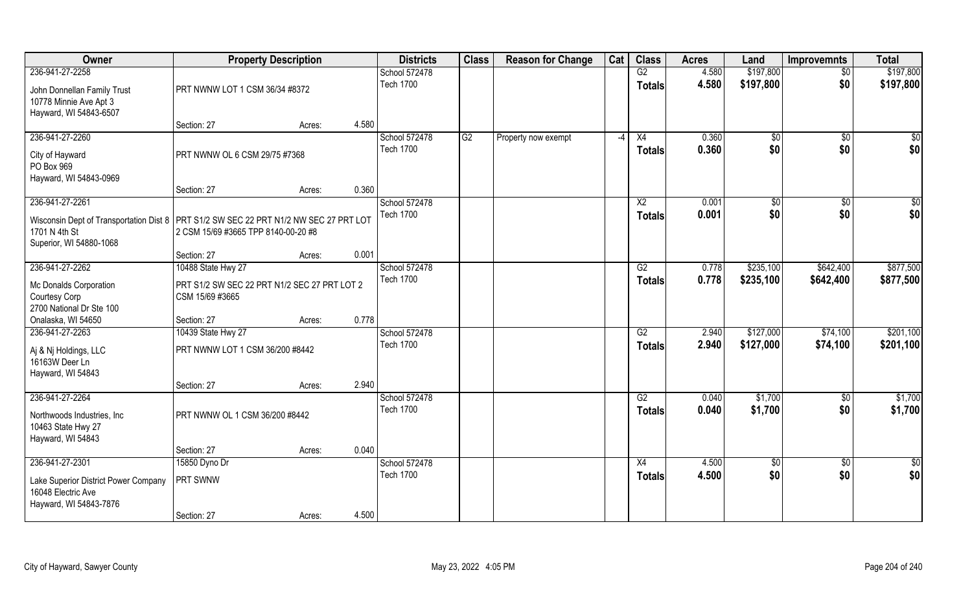| Owner                                                                                                                               | <b>Property Description</b>                                     |        |       | <b>Districts</b>                  | <b>Class</b> | <b>Reason for Change</b> | Cat  | <b>Class</b>                     | <b>Acres</b>   | Land                   | <b>Improvemnts</b>     | <b>Total</b>           |
|-------------------------------------------------------------------------------------------------------------------------------------|-----------------------------------------------------------------|--------|-------|-----------------------------------|--------------|--------------------------|------|----------------------------------|----------------|------------------------|------------------------|------------------------|
| 236-941-27-2258                                                                                                                     |                                                                 |        |       | School 572478                     |              |                          |      | G2                               | 4.580          | \$197,800              | $\sqrt{6}$             | \$197,800              |
| John Donnellan Family Trust<br>10778 Minnie Ave Apt 3<br>Hayward, WI 54843-6507                                                     | PRT NWNW LOT 1 CSM 36/34 #8372                                  |        |       | <b>Tech 1700</b>                  |              |                          |      | <b>Totals</b>                    | 4.580          | \$197,800              | \$0                    | \$197,800              |
|                                                                                                                                     | Section: 27                                                     | Acres: | 4.580 |                                   |              |                          |      |                                  |                |                        |                        |                        |
| 236-941-27-2260<br>City of Hayward<br>PO Box 969                                                                                    | PRT NWNW OL 6 CSM 29/75 #7368                                   |        |       | School 572478<br><b>Tech 1700</b> | G2           | Property now exempt      | $-4$ | X4<br>Totals                     | 0.360<br>0.360 | $\sqrt{$0}$<br>\$0     | \$0<br>\$0             | \$0<br>\$0             |
| Hayward, WI 54843-0969                                                                                                              |                                                                 |        |       |                                   |              |                          |      |                                  |                |                        |                        |                        |
| 236-941-27-2261                                                                                                                     | Section: 27                                                     | Acres: | 0.360 | School 572478                     |              |                          |      | X <sub>2</sub>                   | 0.001          |                        |                        | \$0                    |
| Wisconsin Dept of Transportation Dist 8   PRT S1/2 SW SEC 22 PRT N1/2 NW SEC 27 PRT LOT<br>1701 N 4th St<br>Superior, WI 54880-1068 | 2 CSM 15/69 #3665 TPP 8140-00-20 #8                             |        |       | <b>Tech 1700</b>                  |              |                          |      | <b>Totals</b>                    | 0.001          | \$0<br>\$0             | \$0<br>\$0             | \$0                    |
|                                                                                                                                     | Section: 27                                                     | Acres: | 0.001 |                                   |              |                          |      |                                  |                |                        |                        |                        |
| 236-941-27-2262                                                                                                                     | 10488 State Hwy 27                                              |        |       | School 572478                     |              |                          |      | G2                               | 0.778          | \$235,100              | \$642,400              | \$877,500              |
| Mc Donalds Corporation<br>Courtesy Corp<br>2700 National Dr Ste 100                                                                 | PRT S1/2 SW SEC 22 PRT N1/2 SEC 27 PRT LOT 2<br>CSM 15/69 #3665 |        |       | <b>Tech 1700</b>                  |              |                          |      | <b>Totals</b>                    | 0.778          | \$235,100              | \$642,400              | \$877,500              |
| Onalaska, WI 54650                                                                                                                  | Section: 27                                                     | Acres: | 0.778 |                                   |              |                          |      |                                  |                |                        |                        |                        |
| 236-941-27-2263<br>Aj & Nj Holdings, LLC<br>16163W Deer Ln<br>Hayward, WI 54843                                                     | 10439 State Hwy 27<br>PRT NWNW LOT 1 CSM 36/200 #8442           |        |       | School 572478<br><b>Tech 1700</b> |              |                          |      | $\overline{G2}$<br><b>Totals</b> | 2.940<br>2.940 | \$127,000<br>\$127,000 | \$74,100<br>\$74,100   | \$201,100<br>\$201,100 |
|                                                                                                                                     | Section: 27                                                     | Acres: | 2.940 |                                   |              |                          |      |                                  |                |                        |                        |                        |
| 236-941-27-2264<br>Northwoods Industries, Inc.<br>10463 State Hwy 27<br>Hayward, WI 54843                                           | PRT NWNW OL 1 CSM 36/200 #8442                                  |        |       | School 572478<br><b>Tech 1700</b> |              |                          |      | G2<br><b>Totals</b>              | 0.040<br>0.040 | \$1,700<br>\$1,700     | \$0<br>\$0             | \$1,700<br>\$1,700     |
|                                                                                                                                     | Section: 27                                                     | Acres: | 0.040 |                                   |              |                          |      |                                  |                |                        |                        |                        |
| 236-941-27-2301<br>Lake Superior District Power Company<br>16048 Electric Ave<br>Hayward, WI 54843-7876                             | 15850 Dyno Dr<br>PRT SWNW                                       |        |       | School 572478<br><b>Tech 1700</b> |              |                          |      | X4<br><b>Totals</b>              | 4.500<br>4.500 | $\sqrt{6}$<br>\$0      | $\overline{50}$<br>\$0 | $\frac{1}{2}$<br>\$0   |
|                                                                                                                                     | Section: 27                                                     | Acres: | 4.500 |                                   |              |                          |      |                                  |                |                        |                        |                        |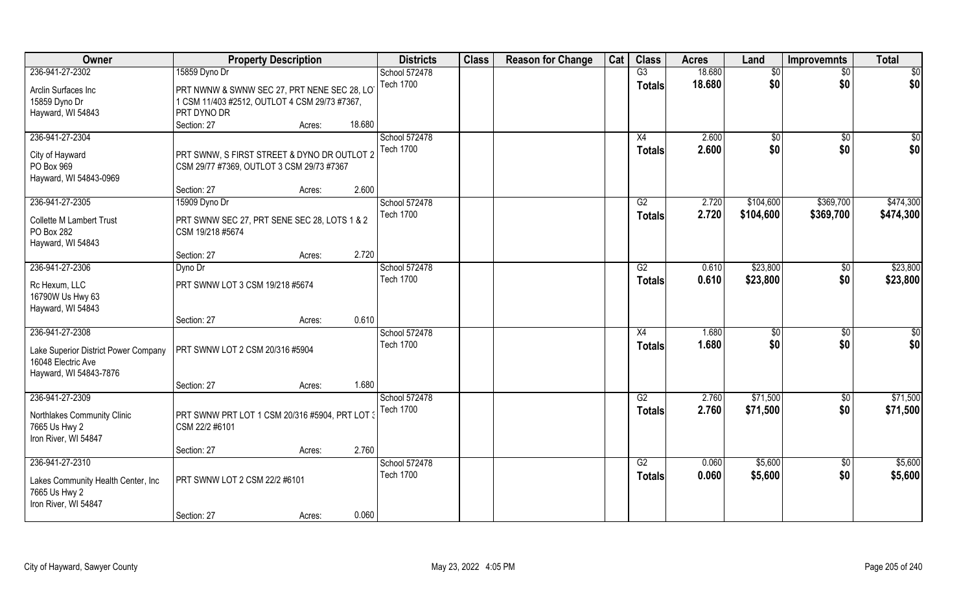| Owner                                | <b>Property Description</b>                    |                  | <b>Districts</b> | <b>Class</b> | <b>Reason for Change</b> | Cat | <b>Class</b>  | <b>Acres</b> | Land      | <b>Improvemnts</b> | <b>Total</b>    |
|--------------------------------------|------------------------------------------------|------------------|------------------|--------------|--------------------------|-----|---------------|--------------|-----------|--------------------|-----------------|
| 236-941-27-2302                      | 15859 Dyno Dr                                  |                  | School 572478    |              |                          |     | G3            | 18.680       | \$0       | $\sqrt{$0}$        | $\sqrt{50}$     |
| Arclin Surfaces Inc                  | PRT NWNW & SWNW SEC 27, PRT NENE SEC 28, LOT   |                  | <b>Tech 1700</b> |              |                          |     | <b>Totals</b> | 18.680       | \$0       | \$0                | \$0             |
| 15859 Dyno Dr                        | 1 CSM 11/403 #2512, OUTLOT 4 CSM 29/73 #7367,  |                  |                  |              |                          |     |               |              |           |                    |                 |
| Hayward, WI 54843                    | PRT DYNO DR                                    |                  |                  |              |                          |     |               |              |           |                    |                 |
|                                      | Section: 27                                    | 18.680<br>Acres: |                  |              |                          |     |               |              |           |                    |                 |
| 236-941-27-2304                      |                                                |                  | School 572478    |              |                          |     | X4            | 2.600        |           |                    |                 |
|                                      |                                                |                  | <b>Tech 1700</b> |              |                          |     |               |              | \$0       | $\sqrt{$0}$        | \$0             |
| City of Hayward                      | PRT SWNW, S FIRST STREET & DYNO DR OUTLOT 2    |                  |                  |              |                          |     | <b>Totals</b> | 2.600        | \$0       | \$0                | \$0             |
| PO Box 969                           | CSM 29/77 #7369, OUTLOT 3 CSM 29/73 #7367      |                  |                  |              |                          |     |               |              |           |                    |                 |
| Hayward, WI 54843-0969               |                                                |                  |                  |              |                          |     |               |              |           |                    |                 |
|                                      | Section: 27                                    | 2.600<br>Acres:  |                  |              |                          |     |               |              |           |                    |                 |
| 236-941-27-2305                      | 15909 Dyno Dr                                  |                  | School 572478    |              |                          |     | G2            | 2.720        | \$104,600 | \$369,700          | \$474,300       |
|                                      |                                                |                  | <b>Tech 1700</b> |              |                          |     | <b>Totals</b> | 2.720        | \$104,600 | \$369,700          | \$474,300       |
| <b>Collette M Lambert Trust</b>      | PRT SWNW SEC 27, PRT SENE SEC 28, LOTS 1 & 2   |                  |                  |              |                          |     |               |              |           |                    |                 |
| PO Box 282                           | CSM 19/218 #5674                               |                  |                  |              |                          |     |               |              |           |                    |                 |
| Hayward, WI 54843                    |                                                |                  |                  |              |                          |     |               |              |           |                    |                 |
|                                      | Section: 27                                    | 2.720<br>Acres:  |                  |              |                          |     |               |              |           |                    |                 |
| 236-941-27-2306                      | Dyno Dr                                        |                  | School 572478    |              |                          |     | G2            | 0.610        | \$23,800  | $\sqrt[6]{3}$      | \$23,800        |
| Rc Hexum, LLC                        | PRT SWNW LOT 3 CSM 19/218 #5674                |                  | <b>Tech 1700</b> |              |                          |     | <b>Totals</b> | 0.610        | \$23,800  | \$0                | \$23,800        |
| 16790W Us Hwy 63                     |                                                |                  |                  |              |                          |     |               |              |           |                    |                 |
| Hayward, WI 54843                    |                                                |                  |                  |              |                          |     |               |              |           |                    |                 |
|                                      | Section: 27                                    | 0.610<br>Acres:  |                  |              |                          |     |               |              |           |                    |                 |
| 236-941-27-2308                      |                                                |                  | School 572478    |              |                          |     | X4            | 1.680        | \$0       | $\overline{50}$    | $\overline{50}$ |
|                                      |                                                |                  | <b>Tech 1700</b> |              |                          |     |               |              |           |                    |                 |
| Lake Superior District Power Company | PRT SWNW LOT 2 CSM 20/316 #5904                |                  |                  |              |                          |     | <b>Totals</b> | 1.680        | \$0       | \$0                | \$0             |
| 16048 Electric Ave                   |                                                |                  |                  |              |                          |     |               |              |           |                    |                 |
| Hayward, WI 54843-7876               |                                                |                  |                  |              |                          |     |               |              |           |                    |                 |
|                                      | Section: 27                                    | 1.680<br>Acres:  |                  |              |                          |     |               |              |           |                    |                 |
| 236-941-27-2309                      |                                                |                  | School 572478    |              |                          |     | G2            | 2.760        | \$71,500  | $\sqrt{$0}$        | \$71,500        |
|                                      |                                                |                  | <b>Tech 1700</b> |              |                          |     | <b>Totals</b> | 2.760        | \$71,500  | \$0                | \$71,500        |
| Northlakes Community Clinic          | PRT SWNW PRT LOT 1 CSM 20/316 #5904, PRT LOT 3 |                  |                  |              |                          |     |               |              |           |                    |                 |
| 7665 Us Hwy 2                        | CSM 22/2 #6101                                 |                  |                  |              |                          |     |               |              |           |                    |                 |
| Iron River, WI 54847                 |                                                |                  |                  |              |                          |     |               |              |           |                    |                 |
|                                      | Section: 27                                    | 2.760<br>Acres:  |                  |              |                          |     |               |              |           |                    |                 |
| 236-941-27-2310                      |                                                |                  | School 572478    |              |                          |     | G2            | 0.060        | \$5,600   | $\sqrt{$0}$        | \$5,600         |
| Lakes Community Health Center, Inc   | PRT SWNW LOT 2 CSM 22/2 #6101                  |                  | <b>Tech 1700</b> |              |                          |     | <b>Totals</b> | 0.060        | \$5,600   | \$0                | \$5,600         |
| 7665 Us Hwy 2                        |                                                |                  |                  |              |                          |     |               |              |           |                    |                 |
| Iron River, WI 54847                 |                                                |                  |                  |              |                          |     |               |              |           |                    |                 |
|                                      | Section: 27                                    | 0.060            |                  |              |                          |     |               |              |           |                    |                 |
|                                      |                                                | Acres:           |                  |              |                          |     |               |              |           |                    |                 |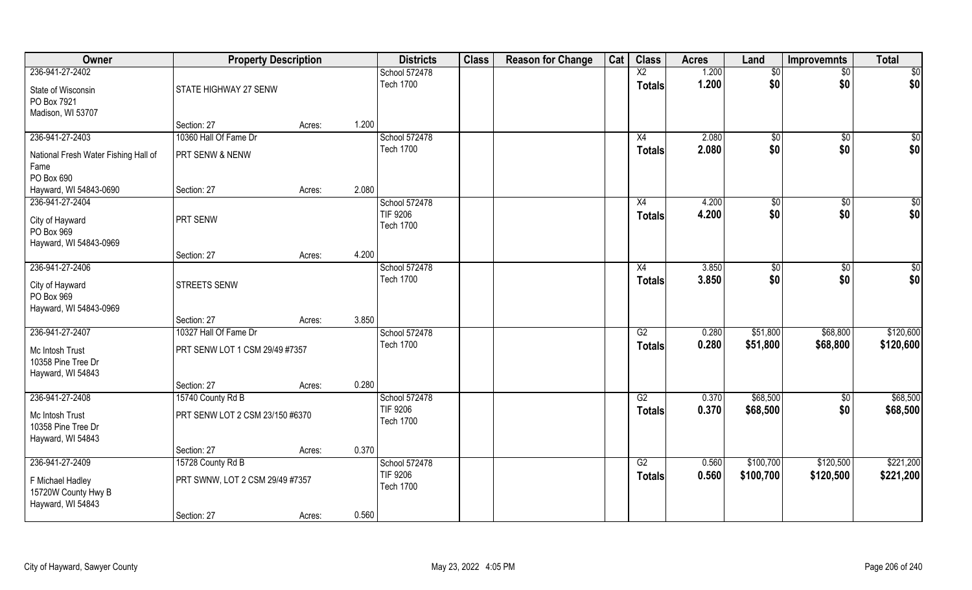| Owner                                                        | <b>Property Description</b>     |        |       | <b>Districts</b>                    | <b>Class</b> | <b>Reason for Change</b> | Cat | <b>Class</b>                     | <b>Acres</b>   | Land              | <b>Improvemnts</b> | <b>Total</b> |
|--------------------------------------------------------------|---------------------------------|--------|-------|-------------------------------------|--------------|--------------------------|-----|----------------------------------|----------------|-------------------|--------------------|--------------|
| 236-941-27-2402                                              |                                 |        |       | School 572478<br><b>Tech 1700</b>   |              |                          |     | $\overline{X2}$<br><b>Totals</b> | 1.200<br>1.200 | $\sqrt{6}$<br>\$0 | $\sqrt{6}$<br>\$0  | \$0<br>\$0   |
| State of Wisconsin<br>PO Box 7921                            | STATE HIGHWAY 27 SENW           |        |       |                                     |              |                          |     |                                  |                |                   |                    |              |
| Madison, WI 53707                                            | Section: 27                     | Acres: | 1.200 |                                     |              |                          |     |                                  |                |                   |                    |              |
| 236-941-27-2403                                              | 10360 Hall Of Fame Dr           |        |       | School 572478                       |              |                          |     | X4                               | 2.080          | $\sqrt{$0}$       | $\overline{50}$    | \$0          |
| National Fresh Water Fishing Hall of<br>Fame                 | PRT SENW & NENW                 |        |       | <b>Tech 1700</b>                    |              |                          |     | Totals                           | 2.080          | \$0               | \$0                | \$0          |
| PO Box 690                                                   |                                 |        |       |                                     |              |                          |     |                                  |                |                   |                    |              |
| Hayward, WI 54843-0690                                       | Section: 27                     | Acres: | 2.080 |                                     |              |                          |     |                                  |                |                   |                    |              |
| 236-941-27-2404                                              |                                 |        |       | School 572478                       |              |                          |     | X4                               | 4.200          | \$0               | $\sqrt{6}$         | \$0          |
| City of Hayward<br>PO Box 969                                | PRT SENW                        |        |       | TIF 9206<br><b>Tech 1700</b>        |              |                          |     | <b>Totals</b>                    | 4.200          | \$0               | \$0                | \$0          |
| Hayward, WI 54843-0969                                       |                                 |        |       |                                     |              |                          |     |                                  |                |                   |                    |              |
|                                                              | Section: 27                     | Acres: | 4.200 |                                     |              |                          |     |                                  |                |                   |                    |              |
| 236-941-27-2406                                              |                                 |        |       | School 572478                       |              |                          |     | X4                               | 3.850          | \$0               | \$0                | \$0          |
| City of Hayward<br>PO Box 969<br>Hayward, WI 54843-0969      | <b>STREETS SENW</b>             |        |       | <b>Tech 1700</b>                    |              |                          |     | <b>Totals</b>                    | 3.850          | \$0               | \$0                | \$0          |
|                                                              | Section: 27                     | Acres: | 3.850 |                                     |              |                          |     |                                  |                |                   |                    |              |
| 236-941-27-2407                                              | 10327 Hall Of Fame Dr           |        |       | School 572478                       |              |                          |     | $\overline{G2}$                  | 0.280          | \$51,800          | \$68,800           | \$120,600    |
| Mc Intosh Trust<br>10358 Pine Tree Dr<br>Hayward, WI 54843   | PRT SENW LOT 1 CSM 29/49 #7357  |        |       | <b>Tech 1700</b>                    |              |                          |     | <b>Totals</b>                    | 0.280          | \$51,800          | \$68,800           | \$120,600    |
|                                                              | Section: 27                     | Acres: | 0.280 |                                     |              |                          |     |                                  |                |                   |                    |              |
| 236-941-27-2408                                              | 15740 County Rd B               |        |       | School 572478                       |              |                          |     | G2                               | 0.370          | \$68,500          | $\sqrt{50}$        | \$68,500     |
| Mc Intosh Trust<br>10358 Pine Tree Dr<br>Hayward, WI 54843   | PRT SENW LOT 2 CSM 23/150 #6370 |        |       | TIF 9206<br><b>Tech 1700</b>        |              |                          |     | <b>Totals</b>                    | 0.370          | \$68,500          | \$0                | \$68,500     |
|                                                              | Section: 27                     | Acres: | 0.370 |                                     |              |                          |     |                                  |                |                   |                    |              |
| 236-941-27-2409                                              | 15728 County Rd B               |        |       | School 572478                       |              |                          |     | G2                               | 0.560          | \$100,700         | \$120,500          | \$221,200    |
| F Michael Hadley<br>15720W County Hwy B<br>Hayward, WI 54843 | PRT SWNW, LOT 2 CSM 29/49 #7357 |        |       | <b>TIF 9206</b><br><b>Tech 1700</b> |              |                          |     | <b>Totals</b>                    | 0.560          | \$100,700         | \$120,500          | \$221,200    |
|                                                              | Section: 27                     | Acres: | 0.560 |                                     |              |                          |     |                                  |                |                   |                    |              |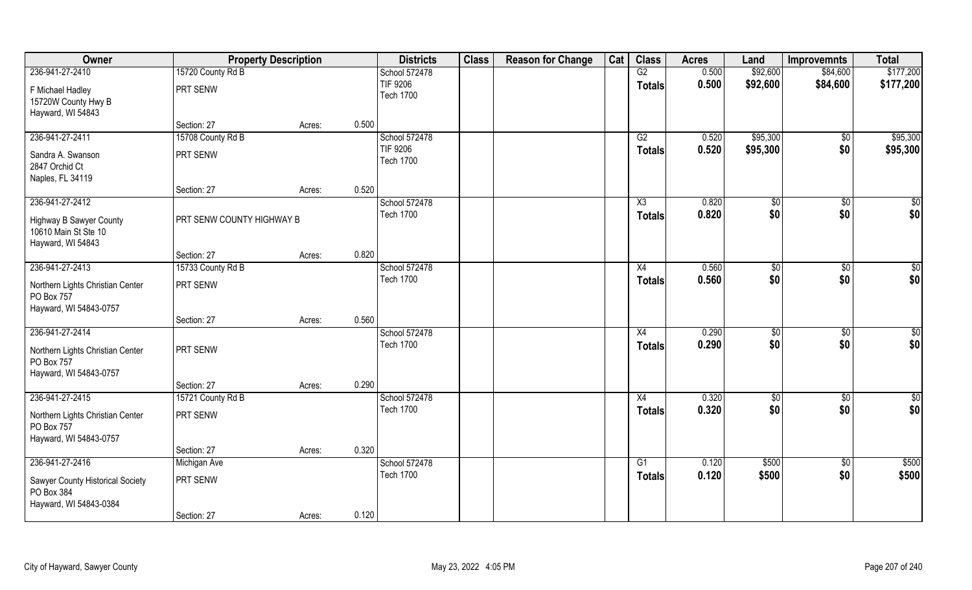| Owner                                          | <b>Property Description</b> |        |       | <b>Districts</b>                    | <b>Class</b> | <b>Reason for Change</b> | Cat | <b>Class</b>           | <b>Acres</b> | Land     | <b>Improvemnts</b> | <b>Total</b> |
|------------------------------------------------|-----------------------------|--------|-------|-------------------------------------|--------------|--------------------------|-----|------------------------|--------------|----------|--------------------|--------------|
| 236-941-27-2410                                | 15720 County Rd B           |        |       | School 572478                       |              |                          |     | G2                     | 0.500        | \$92,600 | \$84,600           | \$177,200    |
| F Michael Hadley                               | PRT SENW                    |        |       | <b>TIF 9206</b>                     |              |                          |     | <b>Totals</b>          | 0.500        | \$92,600 | \$84,600           | \$177,200    |
| 15720W County Hwy B                            |                             |        |       | <b>Tech 1700</b>                    |              |                          |     |                        |              |          |                    |              |
| Hayward, WI 54843                              |                             |        |       |                                     |              |                          |     |                        |              |          |                    |              |
|                                                | Section: 27                 | Acres: | 0.500 |                                     |              |                          |     |                        |              |          |                    |              |
| 236-941-27-2411                                | 15708 County Rd B           |        |       | School 572478                       |              |                          |     | G2                     | 0.520        | \$95,300 | $\sqrt[6]{}$       | \$95,300     |
| Sandra A. Swanson                              | PRT SENW                    |        |       | <b>TIF 9206</b><br><b>Tech 1700</b> |              |                          |     | <b>Totals</b>          | 0.520        | \$95,300 | \$0                | \$95,300     |
| 2847 Orchid Ct                                 |                             |        |       |                                     |              |                          |     |                        |              |          |                    |              |
| Naples, FL 34119                               |                             |        | 0.520 |                                     |              |                          |     |                        |              |          |                    |              |
| 236-941-27-2412                                | Section: 27                 | Acres: |       | School 572478                       |              |                          |     | $\overline{\text{X3}}$ | 0.820        | \$0      | \$0                | $\sqrt{50}$  |
|                                                |                             |        |       | <b>Tech 1700</b>                    |              |                          |     | <b>Totals</b>          | 0.820        | \$0      | \$0                | \$0          |
| <b>Highway B Sawyer County</b>                 | PRT SENW COUNTY HIGHWAY B   |        |       |                                     |              |                          |     |                        |              |          |                    |              |
| 10610 Main St Ste 10                           |                             |        |       |                                     |              |                          |     |                        |              |          |                    |              |
| Hayward, WI 54843                              | Section: 27                 | Acres: | 0.820 |                                     |              |                          |     |                        |              |          |                    |              |
| 236-941-27-2413                                | 15733 County Rd B           |        |       | School 572478                       |              |                          |     | X4                     | 0.560        | \$0      | \$0                | $\sqrt{50}$  |
|                                                |                             |        |       | <b>Tech 1700</b>                    |              |                          |     | <b>Totals</b>          | 0.560        | \$0      | \$0                | \$0          |
| Northern Lights Christian Center<br>PO Box 757 | PRT SENW                    |        |       |                                     |              |                          |     |                        |              |          |                    |              |
| Hayward, WI 54843-0757                         |                             |        |       |                                     |              |                          |     |                        |              |          |                    |              |
|                                                | Section: 27                 | Acres: | 0.560 |                                     |              |                          |     |                        |              |          |                    |              |
| 236-941-27-2414                                |                             |        |       | School 572478                       |              |                          |     | X4                     | 0.290        | \$0      | $\overline{50}$    | $\sqrt{50}$  |
| Northern Lights Christian Center               | PRT SENW                    |        |       | <b>Tech 1700</b>                    |              |                          |     | <b>Totals</b>          | 0.290        | \$0      | \$0                | \$0          |
| PO Box 757                                     |                             |        |       |                                     |              |                          |     |                        |              |          |                    |              |
| Hayward, WI 54843-0757                         |                             |        |       |                                     |              |                          |     |                        |              |          |                    |              |
|                                                | Section: 27                 | Acres: | 0.290 |                                     |              |                          |     |                        |              |          |                    |              |
| 236-941-27-2415                                | 15721 County Rd B           |        |       | School 572478                       |              |                          |     | X4                     | 0.320        | \$0      | $\sqrt{$0}$        | \$0          |
| Northern Lights Christian Center               | PRT SENW                    |        |       | <b>Tech 1700</b>                    |              |                          |     | <b>Totals</b>          | 0.320        | \$0      | \$0                | \$0          |
| PO Box 757                                     |                             |        |       |                                     |              |                          |     |                        |              |          |                    |              |
| Hayward, WI 54843-0757                         |                             |        |       |                                     |              |                          |     |                        |              |          |                    |              |
|                                                | Section: 27                 | Acres: | 0.320 |                                     |              |                          |     |                        |              |          |                    |              |
| 236-941-27-2416                                | Michigan Ave                |        |       | School 572478                       |              |                          |     | $\overline{G1}$        | 0.120        | \$500    | $\sqrt{$0}$        | \$500        |
| Sawyer County Historical Society               | PRT SENW                    |        |       | <b>Tech 1700</b>                    |              |                          |     | <b>Totals</b>          | 0.120        | \$500    | \$0                | \$500        |
| PO Box 384                                     |                             |        |       |                                     |              |                          |     |                        |              |          |                    |              |
| Hayward, WI 54843-0384                         |                             |        |       |                                     |              |                          |     |                        |              |          |                    |              |
|                                                | Section: 27                 | Acres: | 0.120 |                                     |              |                          |     |                        |              |          |                    |              |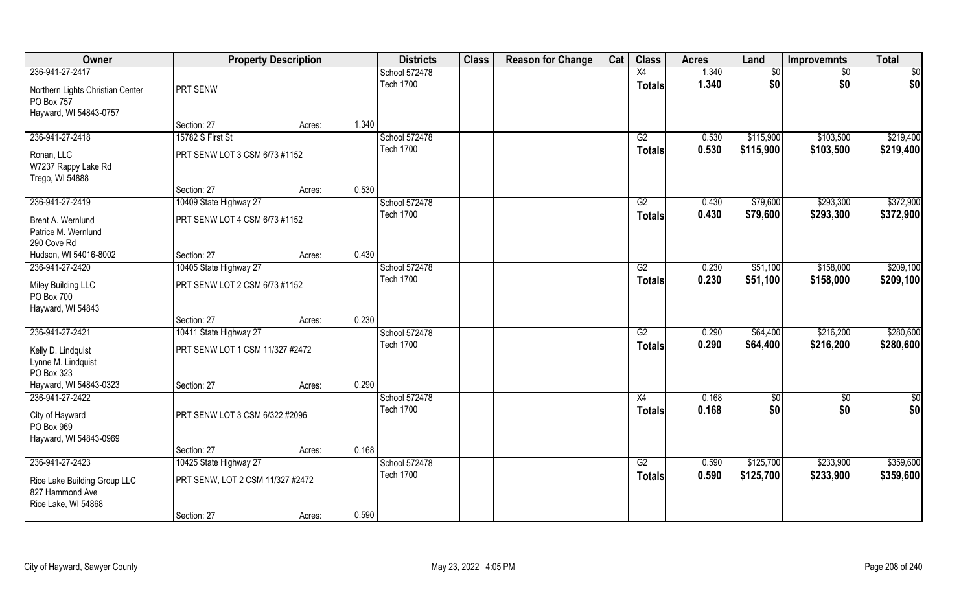| Owner                                                                    |                                  | <b>Property Description</b> |       | <b>Districts</b> | <b>Class</b> | <b>Reason for Change</b> | Cat | <b>Class</b>    | <b>Acres</b> | Land      | <b>Improvemnts</b> | <b>Total</b>  |
|--------------------------------------------------------------------------|----------------------------------|-----------------------------|-------|------------------|--------------|--------------------------|-----|-----------------|--------------|-----------|--------------------|---------------|
| 236-941-27-2417                                                          |                                  |                             |       | School 572478    |              |                          |     | X4              | 1.340        | \$0       | \$0                | \$0           |
| Northern Lights Christian Center<br>PO Box 757<br>Hayward, WI 54843-0757 | PRT SENW                         |                             |       | <b>Tech 1700</b> |              |                          |     | <b>Totals</b>   | 1.340        | \$0       | \$0                | \$0           |
|                                                                          | Section: 27                      | Acres:                      | 1.340 |                  |              |                          |     |                 |              |           |                    |               |
| 236-941-27-2418                                                          | 15782 S First St                 |                             |       | School 572478    |              |                          |     | G2              | 0.530        | \$115,900 | \$103,500          | \$219,400     |
| Ronan, LLC<br>W7237 Rappy Lake Rd<br>Trego, WI 54888                     | PRT SENW LOT 3 CSM 6/73 #1152    |                             |       | <b>Tech 1700</b> |              |                          |     | <b>Totals</b>   | 0.530        | \$115,900 | \$103,500          | \$219,400     |
|                                                                          | Section: 27                      | Acres:                      | 0.530 |                  |              |                          |     |                 |              |           |                    |               |
| 236-941-27-2419                                                          | 10409 State Highway 27           |                             |       | School 572478    |              |                          |     | G2              | 0.430        | \$79,600  | \$293,300          | \$372,900     |
| Brent A. Wernlund<br>Patrice M. Wernlund<br>290 Cove Rd                  | PRT SENW LOT 4 CSM 6/73 #1152    |                             |       | <b>Tech 1700</b> |              |                          |     | <b>Totals</b>   | 0.430        | \$79,600  | \$293,300          | \$372,900     |
| Hudson, WI 54016-8002                                                    | Section: 27                      | Acres:                      | 0.430 |                  |              |                          |     |                 |              |           |                    |               |
| 236-941-27-2420                                                          | 10405 State Highway 27           |                             |       | School 572478    |              |                          |     | G2              | 0.230        | \$51,100  | \$158,000          | \$209,100     |
| Miley Building LLC<br>PO Box 700<br>Hayward, WI 54843                    | PRT SENW LOT 2 CSM 6/73 #1152    |                             |       | <b>Tech 1700</b> |              |                          |     | <b>Totals</b>   | 0.230        | \$51,100  | \$158,000          | \$209,100     |
|                                                                          | Section: 27                      | Acres:                      | 0.230 |                  |              |                          |     |                 |              |           |                    |               |
| 236-941-27-2421                                                          | 10411 State Highway 27           |                             |       | School 572478    |              |                          |     | $\overline{G2}$ | 0.290        | \$64,400  | \$216,200          | \$280,600     |
| Kelly D. Lindquist<br>Lynne M. Lindquist<br>PO Box 323                   | PRT SENW LOT 1 CSM 11/327 #2472  |                             |       | <b>Tech 1700</b> |              |                          |     | <b>Totals</b>   | 0.290        | \$64,400  | \$216,200          | \$280,600     |
| Hayward, WI 54843-0323                                                   | Section: 27                      | Acres:                      | 0.290 |                  |              |                          |     |                 |              |           |                    |               |
| 236-941-27-2422                                                          |                                  |                             |       | School 572478    |              |                          |     | X4              | 0.168        | \$0       | $\sqrt{50}$        | $\frac{1}{2}$ |
| City of Hayward<br>PO Box 969<br>Hayward, WI 54843-0969                  | PRT SENW LOT 3 CSM 6/322 #2096   |                             |       | <b>Tech 1700</b> |              |                          |     | <b>Totals</b>   | 0.168        | \$0       | \$0                | \$0           |
|                                                                          | Section: 27                      | Acres:                      | 0.168 |                  |              |                          |     |                 |              |           |                    |               |
| 236-941-27-2423                                                          | 10425 State Highway 27           |                             |       | School 572478    |              |                          |     | G2              | 0.590        | \$125,700 | \$233,900          | \$359,600     |
| Rice Lake Building Group LLC<br>827 Hammond Ave<br>Rice Lake, WI 54868   | PRT SENW, LOT 2 CSM 11/327 #2472 |                             |       | <b>Tech 1700</b> |              |                          |     | <b>Totals</b>   | 0.590        | \$125,700 | \$233,900          | \$359,600     |
|                                                                          | Section: 27                      | Acres:                      | 0.590 |                  |              |                          |     |                 |              |           |                    |               |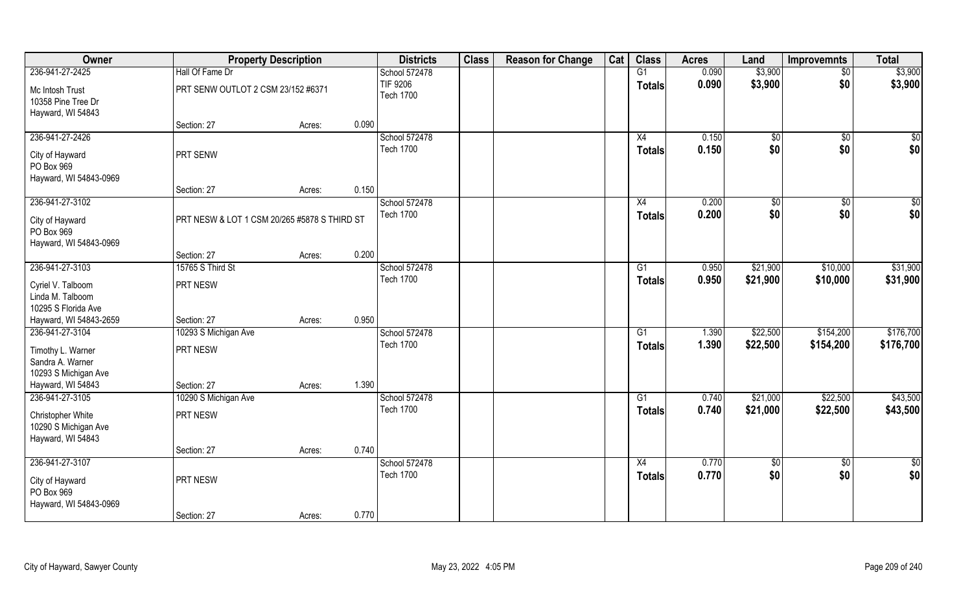| Owner                                                                      | <b>Property Description</b>                  |        |       | <b>Districts</b>                    | <b>Class</b> | <b>Reason for Change</b> | Cat | <b>Class</b>        | <b>Acres</b>   | Land               | <b>Improvemnts</b>     | <b>Total</b>           |
|----------------------------------------------------------------------------|----------------------------------------------|--------|-------|-------------------------------------|--------------|--------------------------|-----|---------------------|----------------|--------------------|------------------------|------------------------|
| 236-941-27-2425                                                            | Hall Of Fame Dr                              |        |       | School 572478                       |              |                          |     | G1                  | 0.090          | \$3,900            | $\sqrt{6}$             | \$3,900                |
| Mc Intosh Trust<br>10358 Pine Tree Dr<br>Hayward, WI 54843                 | PRT SENW OUTLOT 2 CSM 23/152 #6371           |        |       | <b>TIF 9206</b><br><b>Tech 1700</b> |              |                          |     | <b>Totals</b>       | 0.090          | \$3,900            | \$0                    | \$3,900                |
|                                                                            | Section: 27                                  | Acres: | 0.090 |                                     |              |                          |     |                     |                |                    |                        |                        |
| 236-941-27-2426                                                            |                                              |        |       | School 572478                       |              |                          |     | X4                  | 0.150          | \$0                | $\overline{30}$        | \$0                    |
| City of Hayward<br>PO Box 969<br>Hayward, WI 54843-0969                    | PRT SENW                                     |        |       | <b>Tech 1700</b>                    |              |                          |     | Totals              | 0.150          | \$0                | \$0                    | \$0                    |
|                                                                            | Section: 27                                  | Acres: | 0.150 |                                     |              |                          |     |                     |                |                    |                        |                        |
| 236-941-27-3102                                                            |                                              |        |       | School 572478                       |              |                          |     | X4                  | 0.200          | $\sqrt{50}$        | $\overline{50}$        | $\sqrt{50}$            |
| City of Hayward<br>PO Box 969<br>Hayward, WI 54843-0969                    | PRT NESW & LOT 1 CSM 20/265 #5878 S THIRD ST |        |       | <b>Tech 1700</b>                    |              |                          |     | <b>Totals</b>       | 0.200          | \$0                | \$0                    | \$0                    |
|                                                                            | Section: 27                                  | Acres: | 0.200 |                                     |              |                          |     |                     |                |                    |                        |                        |
| 236-941-27-3103                                                            | 15765 S Third St                             |        |       | School 572478                       |              |                          |     | G1                  | 0.950          | \$21,900           | \$10,000               | \$31,900               |
| Cyriel V. Talboom<br>Linda M. Talboom<br>10295 S Florida Ave               | PRT NESW                                     |        |       | <b>Tech 1700</b>                    |              |                          |     | <b>Totals</b>       | 0.950          | \$21,900           | \$10,000               | \$31,900               |
| Hayward, WI 54843-2659                                                     | Section: 27                                  | Acres: | 0.950 |                                     |              |                          |     |                     |                |                    |                        |                        |
| 236-941-27-3104                                                            | 10293 S Michigan Ave                         |        |       | School 572478                       |              |                          |     | G1                  | 1.390          | \$22,500           | \$154,200              | \$176,700              |
| Timothy L. Warner<br>Sandra A. Warner<br>10293 S Michigan Ave              | PRT NESW                                     |        |       | <b>Tech 1700</b>                    |              |                          |     | <b>Totals</b>       | 1.390          | \$22,500           | \$154,200              | \$176,700              |
| Hayward, WI 54843                                                          | Section: 27                                  | Acres: | 1.390 |                                     |              |                          |     |                     |                |                    |                        |                        |
| 236-941-27-3105                                                            | 10290 S Michigan Ave                         |        |       | School 572478                       |              |                          |     | G1                  | 0.740          | \$21,000           | \$22,500               | \$43,500               |
| Christopher White<br>10290 S Michigan Ave<br>Hayward, WI 54843             | PRT NESW                                     |        |       | <b>Tech 1700</b>                    |              |                          |     | <b>Totals</b>       | 0.740          | \$21,000           | \$22,500               | \$43,500               |
|                                                                            | Section: 27                                  | Acres: | 0.740 |                                     |              |                          |     |                     |                |                    |                        |                        |
| 236-941-27-3107<br>City of Hayward<br>PO Box 969<br>Hayward, WI 54843-0969 | PRT NESW<br>Section: 27                      | Acres: | 0.770 | School 572478<br><b>Tech 1700</b>   |              |                          |     | X4<br><b>Totals</b> | 0.770<br>0.770 | $\sqrt{50}$<br>\$0 | $\overline{30}$<br>\$0 | $\overline{50}$<br>\$0 |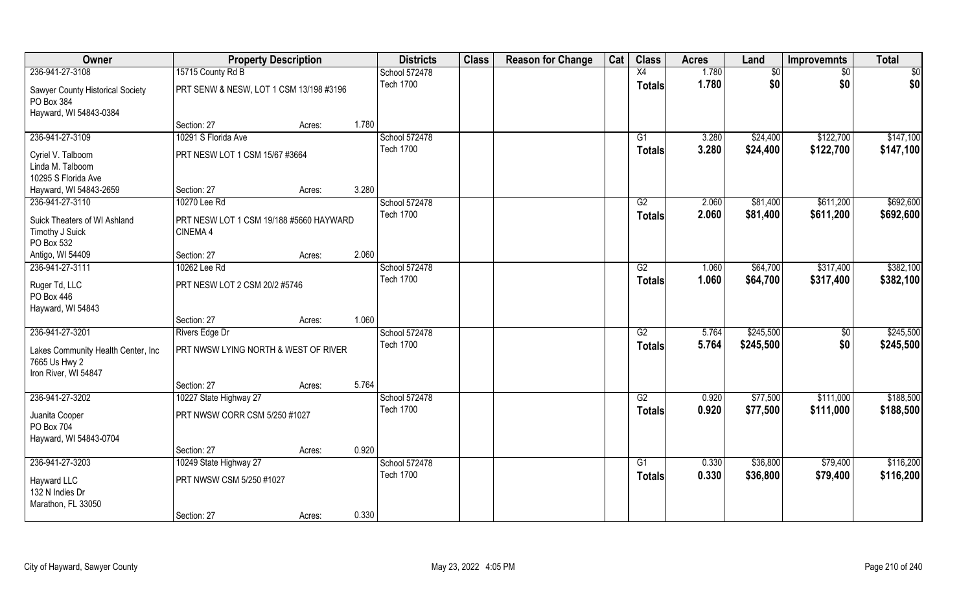| Owner                              | <b>Property Description</b>             |                 | <b>Districts</b> | <b>Class</b> | <b>Reason for Change</b> | Cat | <b>Class</b>    | <b>Acres</b> | Land      | <b>Improvemnts</b> | <b>Total</b> |
|------------------------------------|-----------------------------------------|-----------------|------------------|--------------|--------------------------|-----|-----------------|--------------|-----------|--------------------|--------------|
| 236-941-27-3108                    | 15715 County Rd B                       |                 | School 572478    |              |                          |     | X4              | 1.780        | \$0       | $\sqrt{6}$         | \$0          |
| Sawyer County Historical Society   | PRT SENW & NESW, LOT 1 CSM 13/198 #3196 |                 | <b>Tech 1700</b> |              |                          |     | <b>Totals</b>   | 1.780        | \$0       | \$0                | \$0          |
| PO Box 384                         |                                         |                 |                  |              |                          |     |                 |              |           |                    |              |
| Hayward, WI 54843-0384             |                                         |                 |                  |              |                          |     |                 |              |           |                    |              |
|                                    | Section: 27                             | 1.780<br>Acres: |                  |              |                          |     |                 |              |           |                    |              |
| 236-941-27-3109                    | 10291 S Florida Ave                     |                 | School 572478    |              |                          |     | G1              | 3.280        | \$24,400  | \$122,700          | \$147,100    |
| Cyriel V. Talboom                  | PRT NESW LOT 1 CSM 15/67 #3664          |                 | <b>Tech 1700</b> |              |                          |     | Totals          | 3.280        | \$24,400  | \$122,700          | \$147,100    |
| Linda M. Talboom                   |                                         |                 |                  |              |                          |     |                 |              |           |                    |              |
| 10295 S Florida Ave                |                                         |                 |                  |              |                          |     |                 |              |           |                    |              |
| Hayward, WI 54843-2659             | Section: 27                             | 3.280<br>Acres: |                  |              |                          |     |                 |              |           |                    |              |
| 236-941-27-3110                    | 10270 Lee Rd                            |                 | School 572478    |              |                          |     | G2              | 2.060        | \$81,400  | \$611,200          | \$692,600    |
| Suick Theaters of WI Ashland       | PRT NESW LOT 1 CSM 19/188 #5660 HAYWARD |                 | <b>Tech 1700</b> |              |                          |     | <b>Totals</b>   | 2.060        | \$81,400  | \$611,200          | \$692,600    |
| Timothy J Suick                    | CINEMA 4                                |                 |                  |              |                          |     |                 |              |           |                    |              |
| PO Box 532                         |                                         |                 |                  |              |                          |     |                 |              |           |                    |              |
| Antigo, WI 54409                   | Section: 27                             | 2.060<br>Acres: |                  |              |                          |     |                 |              |           |                    |              |
| 236-941-27-3111                    | 10262 Lee Rd                            |                 | School 572478    |              |                          |     | G2              | 1.060        | \$64,700  | \$317,400          | \$382,100    |
| Ruger Td, LLC                      | PRT NESW LOT 2 CSM 20/2 #5746           |                 | <b>Tech 1700</b> |              |                          |     | <b>Totals</b>   | 1.060        | \$64,700  | \$317,400          | \$382,100    |
| PO Box 446                         |                                         |                 |                  |              |                          |     |                 |              |           |                    |              |
| Hayward, WI 54843                  |                                         |                 |                  |              |                          |     |                 |              |           |                    |              |
|                                    | Section: 27                             | 1.060<br>Acres: |                  |              |                          |     |                 |              |           |                    |              |
| 236-941-27-3201                    | <b>Rivers Edge Dr</b>                   |                 | School 572478    |              |                          |     | $\overline{G2}$ | 5.764        | \$245,500 | $\overline{50}$    | \$245,500    |
| Lakes Community Health Center, Inc | PRT NWSW LYING NORTH & WEST OF RIVER    |                 | <b>Tech 1700</b> |              |                          |     | <b>Totals</b>   | 5.764        | \$245,500 | \$0                | \$245,500    |
| 7665 Us Hwy 2                      |                                         |                 |                  |              |                          |     |                 |              |           |                    |              |
| Iron River, WI 54847               |                                         |                 |                  |              |                          |     |                 |              |           |                    |              |
|                                    | Section: 27                             | 5.764<br>Acres: |                  |              |                          |     |                 |              |           |                    |              |
| 236-941-27-3202                    | 10227 State Highway 27                  |                 | School 572478    |              |                          |     | G2              | 0.920        | \$77,500  | \$111,000          | \$188,500    |
| Juanita Cooper                     | PRT NWSW CORR CSM 5/250 #1027           |                 | <b>Tech 1700</b> |              |                          |     | <b>Totals</b>   | 0.920        | \$77,500  | \$111,000          | \$188,500    |
| PO Box 704                         |                                         |                 |                  |              |                          |     |                 |              |           |                    |              |
| Hayward, WI 54843-0704             |                                         |                 |                  |              |                          |     |                 |              |           |                    |              |
|                                    | Section: 27                             | 0.920<br>Acres: |                  |              |                          |     |                 |              |           |                    |              |
| 236-941-27-3203                    | 10249 State Highway 27                  |                 | School 572478    |              |                          |     | G1              | 0.330        | \$36,800  | \$79,400           | \$116,200    |
| Hayward LLC                        | PRT NWSW CSM 5/250 #1027                |                 | <b>Tech 1700</b> |              |                          |     | <b>Totals</b>   | 0.330        | \$36,800  | \$79,400           | \$116,200    |
| 132 N Indies Dr                    |                                         |                 |                  |              |                          |     |                 |              |           |                    |              |
| Marathon, FL 33050                 |                                         |                 |                  |              |                          |     |                 |              |           |                    |              |
|                                    | Section: 27                             | 0.330<br>Acres: |                  |              |                          |     |                 |              |           |                    |              |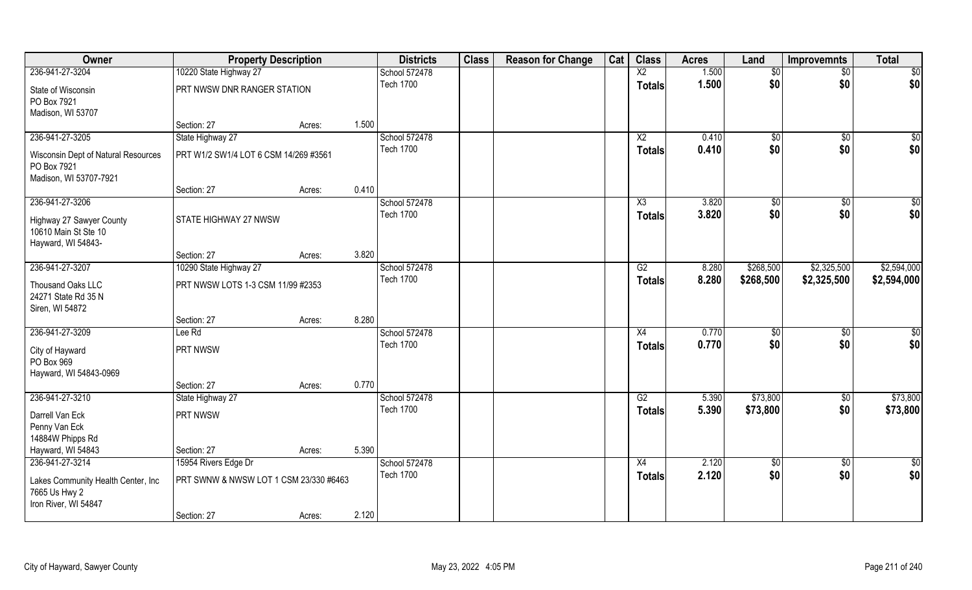| Owner                               | <b>Property Description</b>            |        |       | <b>Districts</b> | <b>Class</b> | <b>Reason for Change</b> | Cat | <b>Class</b>    | <b>Acres</b> | Land            | <b>Improvemnts</b> | <b>Total</b> |
|-------------------------------------|----------------------------------------|--------|-------|------------------|--------------|--------------------------|-----|-----------------|--------------|-----------------|--------------------|--------------|
| 236-941-27-3204                     | 10220 State Highway 27                 |        |       | School 572478    |              |                          |     | $\overline{X2}$ | 1.500        | $\overline{50}$ | $\sqrt{6}$         | \$0          |
| State of Wisconsin                  | PRT NWSW DNR RANGER STATION            |        |       | <b>Tech 1700</b> |              |                          |     | <b>Totals</b>   | 1.500        | \$0             | \$0                | \$0          |
| PO Box 7921                         |                                        |        |       |                  |              |                          |     |                 |              |                 |                    |              |
| Madison, WI 53707                   |                                        |        |       |                  |              |                          |     |                 |              |                 |                    |              |
|                                     | Section: 27                            | Acres: | 1.500 |                  |              |                          |     |                 |              |                 |                    |              |
| 236-941-27-3205                     | State Highway 27                       |        |       | School 572478    |              |                          |     | $\overline{X2}$ | 0.410        | $\sqrt{$0}$     | \$0                | \$0          |
| Wisconsin Dept of Natural Resources | PRT W1/2 SW1/4 LOT 6 CSM 14/269 #3561  |        |       | <b>Tech 1700</b> |              |                          |     | Totals          | 0.410        | \$0             | \$0                | \$0          |
| PO Box 7921                         |                                        |        |       |                  |              |                          |     |                 |              |                 |                    |              |
| Madison, WI 53707-7921              |                                        |        |       |                  |              |                          |     |                 |              |                 |                    |              |
|                                     | Section: 27                            | Acres: | 0.410 |                  |              |                          |     |                 |              |                 |                    |              |
| 236-941-27-3206                     |                                        |        |       | School 572478    |              |                          |     | X3              | 3.820        | \$0             | \$0                | \$0          |
| Highway 27 Sawyer County            | STATE HIGHWAY 27 NWSW                  |        |       | <b>Tech 1700</b> |              |                          |     | <b>Totals</b>   | 3.820        | \$0             | \$0                | \$0          |
| 10610 Main St Ste 10                |                                        |        |       |                  |              |                          |     |                 |              |                 |                    |              |
| Hayward, WI 54843-                  |                                        |        |       |                  |              |                          |     |                 |              |                 |                    |              |
|                                     | Section: 27                            | Acres: | 3.820 |                  |              |                          |     |                 |              |                 |                    |              |
| 236-941-27-3207                     | 10290 State Highway 27                 |        |       | School 572478    |              |                          |     | G2              | 8.280        | \$268,500       | \$2,325,500        | \$2,594,000  |
| Thousand Oaks LLC                   | PRT NWSW LOTS 1-3 CSM 11/99 #2353      |        |       | <b>Tech 1700</b> |              |                          |     | <b>Totals</b>   | 8.280        | \$268,500       | \$2,325,500        | \$2,594,000  |
| 24271 State Rd 35 N                 |                                        |        |       |                  |              |                          |     |                 |              |                 |                    |              |
| Siren, WI 54872                     |                                        |        |       |                  |              |                          |     |                 |              |                 |                    |              |
|                                     | Section: 27                            | Acres: | 8.280 |                  |              |                          |     |                 |              |                 |                    |              |
| 236-941-27-3209                     | Lee Rd                                 |        |       | School 572478    |              |                          |     | X4              | 0.770        | $\sqrt[6]{30}$  | \$0                | \$0          |
| City of Hayward                     | PRT NWSW                               |        |       | <b>Tech 1700</b> |              |                          |     | <b>Totals</b>   | 0.770        | \$0             | \$0                | \$0          |
| PO Box 969                          |                                        |        |       |                  |              |                          |     |                 |              |                 |                    |              |
| Hayward, WI 54843-0969              |                                        |        |       |                  |              |                          |     |                 |              |                 |                    |              |
|                                     | Section: 27                            | Acres: | 0.770 |                  |              |                          |     |                 |              |                 |                    |              |
| 236-941-27-3210                     | State Highway 27                       |        |       | School 572478    |              |                          |     | G2              | 5.390        | \$73,800        | $\sqrt{50}$        | \$73,800     |
| Darrell Van Eck                     | PRT NWSW                               |        |       | <b>Tech 1700</b> |              |                          |     | <b>Totals</b>   | 5.390        | \$73,800        | \$0                | \$73,800     |
| Penny Van Eck                       |                                        |        |       |                  |              |                          |     |                 |              |                 |                    |              |
| 14884W Phipps Rd                    |                                        |        |       |                  |              |                          |     |                 |              |                 |                    |              |
| Hayward, WI 54843                   | Section: 27                            | Acres: | 5.390 |                  |              |                          |     |                 |              |                 |                    |              |
| 236-941-27-3214                     | 15954 Rivers Edge Dr                   |        |       | School 572478    |              |                          |     | X4              | 2.120        | \$0             | $\sqrt{6}$         | \$0          |
| Lakes Community Health Center, Inc  | PRT SWNW & NWSW LOT 1 CSM 23/330 #6463 |        |       | <b>Tech 1700</b> |              |                          |     | <b>Totals</b>   | 2.120        | \$0             | \$0                | \$0          |
| 7665 Us Hwy 2                       |                                        |        |       |                  |              |                          |     |                 |              |                 |                    |              |
| Iron River, WI 54847                |                                        |        |       |                  |              |                          |     |                 |              |                 |                    |              |
|                                     | Section: 27                            | Acres: | 2.120 |                  |              |                          |     |                 |              |                 |                    |              |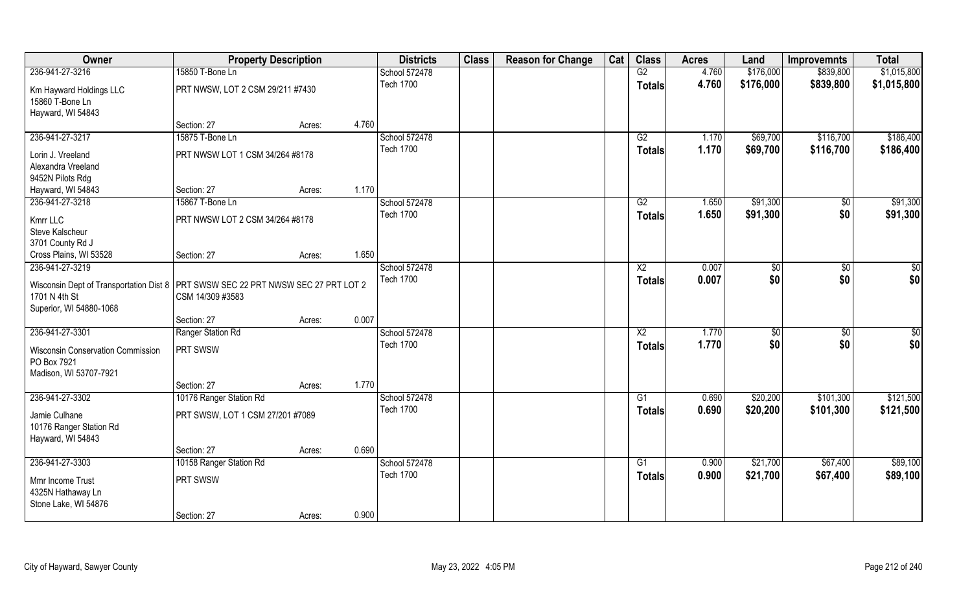| Owner                                                                               | <b>Property Description</b>      |        |       | <b>Districts</b> | <b>Class</b> | <b>Reason for Change</b> | Cat | <b>Class</b>    | <b>Acres</b> | Land      | <b>Improvemnts</b> | <b>Total</b>  |
|-------------------------------------------------------------------------------------|----------------------------------|--------|-------|------------------|--------------|--------------------------|-----|-----------------|--------------|-----------|--------------------|---------------|
| 236-941-27-3216                                                                     | 15850 T-Bone Ln                  |        |       | School 572478    |              |                          |     | G2              | 4.760        | \$176,000 | \$839,800          | \$1,015,800   |
| Km Hayward Holdings LLC                                                             | PRT NWSW, LOT 2 CSM 29/211 #7430 |        |       | <b>Tech 1700</b> |              |                          |     | <b>Totals</b>   | 4.760        | \$176,000 | \$839,800          | \$1,015,800   |
| 15860 T-Bone Ln                                                                     |                                  |        |       |                  |              |                          |     |                 |              |           |                    |               |
| Hayward, WI 54843                                                                   |                                  |        |       |                  |              |                          |     |                 |              |           |                    |               |
|                                                                                     | Section: 27                      | Acres: | 4.760 |                  |              |                          |     |                 |              |           |                    |               |
| 236-941-27-3217                                                                     | 15875 T-Bone Ln                  |        |       | School 572478    |              |                          |     | G2              | 1.170        | \$69,700  | \$116,700          | \$186,400     |
| Lorin J. Vreeland                                                                   | PRT NWSW LOT 1 CSM 34/264 #8178  |        |       | <b>Tech 1700</b> |              |                          |     | Totals          | 1.170        | \$69,700  | \$116,700          | \$186,400     |
| Alexandra Vreeland                                                                  |                                  |        |       |                  |              |                          |     |                 |              |           |                    |               |
| 9452N Pilots Rdg                                                                    |                                  |        |       |                  |              |                          |     |                 |              |           |                    |               |
| Hayward, WI 54843                                                                   | Section: 27                      | Acres: | 1.170 |                  |              |                          |     |                 |              |           |                    |               |
| 236-941-27-3218                                                                     | 15867 T-Bone Ln                  |        |       | School 572478    |              |                          |     | G2              | 1.650        | \$91,300  | \$0                | \$91,300      |
| Kmrr LLC                                                                            | PRT NWSW LOT 2 CSM 34/264 #8178  |        |       | <b>Tech 1700</b> |              |                          |     | <b>Totals</b>   | 1.650        | \$91,300  | \$0                | \$91,300      |
| Steve Kalscheur                                                                     |                                  |        |       |                  |              |                          |     |                 |              |           |                    |               |
| 3701 County Rd J                                                                    |                                  |        |       |                  |              |                          |     |                 |              |           |                    |               |
| Cross Plains, WI 53528                                                              | Section: 27                      | Acres: | 1.650 |                  |              |                          |     |                 |              |           |                    |               |
| 236-941-27-3219                                                                     |                                  |        |       | School 572478    |              |                          |     | X <sub>2</sub>  | 0.007        | \$0       | $\sqrt{50}$        | $\frac{6}{3}$ |
| Wisconsin Dept of Transportation Dist 8   PRT SWSW SEC 22 PRT NWSW SEC 27 PRT LOT 2 |                                  |        |       | <b>Tech 1700</b> |              |                          |     | <b>Totals</b>   | 0.007        | \$0       | \$0                | \$0           |
| 1701 N 4th St                                                                       | CSM 14/309 #3583                 |        |       |                  |              |                          |     |                 |              |           |                    |               |
| Superior, WI 54880-1068                                                             |                                  |        |       |                  |              |                          |     |                 |              |           |                    |               |
|                                                                                     | Section: 27                      | Acres: | 0.007 |                  |              |                          |     |                 |              |           |                    |               |
| 236-941-27-3301                                                                     | Ranger Station Rd                |        |       | School 572478    |              |                          |     | $\overline{X2}$ | 1.770        | \$0       | $\overline{50}$    | \$0           |
| <b>Wisconsin Conservation Commission</b>                                            | PRT SWSW                         |        |       | <b>Tech 1700</b> |              |                          |     | <b>Totals</b>   | 1.770        | \$0       | \$0                | \$0           |
| PO Box 7921                                                                         |                                  |        |       |                  |              |                          |     |                 |              |           |                    |               |
| Madison, WI 53707-7921                                                              |                                  |        |       |                  |              |                          |     |                 |              |           |                    |               |
|                                                                                     | Section: 27                      | Acres: | 1.770 |                  |              |                          |     |                 |              |           |                    |               |
| 236-941-27-3302                                                                     | 10176 Ranger Station Rd          |        |       | School 572478    |              |                          |     | G1              | 0.690        | \$20,200  | \$101,300          | \$121,500     |
| Jamie Culhane                                                                       | PRT SWSW, LOT 1 CSM 27/201 #7089 |        |       | <b>Tech 1700</b> |              |                          |     | <b>Totals</b>   | 0.690        | \$20,200  | \$101,300          | \$121,500     |
| 10176 Ranger Station Rd                                                             |                                  |        |       |                  |              |                          |     |                 |              |           |                    |               |
| Hayward, WI 54843                                                                   |                                  |        |       |                  |              |                          |     |                 |              |           |                    |               |
|                                                                                     | Section: 27                      | Acres: | 0.690 |                  |              |                          |     |                 |              |           |                    |               |
| 236-941-27-3303                                                                     | 10158 Ranger Station Rd          |        |       | School 572478    |              |                          |     | G1              | 0.900        | \$21,700  | \$67,400           | \$89,100      |
| Mmr Income Trust                                                                    | PRT SWSW                         |        |       | <b>Tech 1700</b> |              |                          |     | <b>Totals</b>   | 0.900        | \$21,700  | \$67,400           | \$89,100      |
| 4325N Hathaway Ln                                                                   |                                  |        |       |                  |              |                          |     |                 |              |           |                    |               |
| Stone Lake, WI 54876                                                                |                                  |        |       |                  |              |                          |     |                 |              |           |                    |               |
|                                                                                     | Section: 27                      | Acres: | 0.900 |                  |              |                          |     |                 |              |           |                    |               |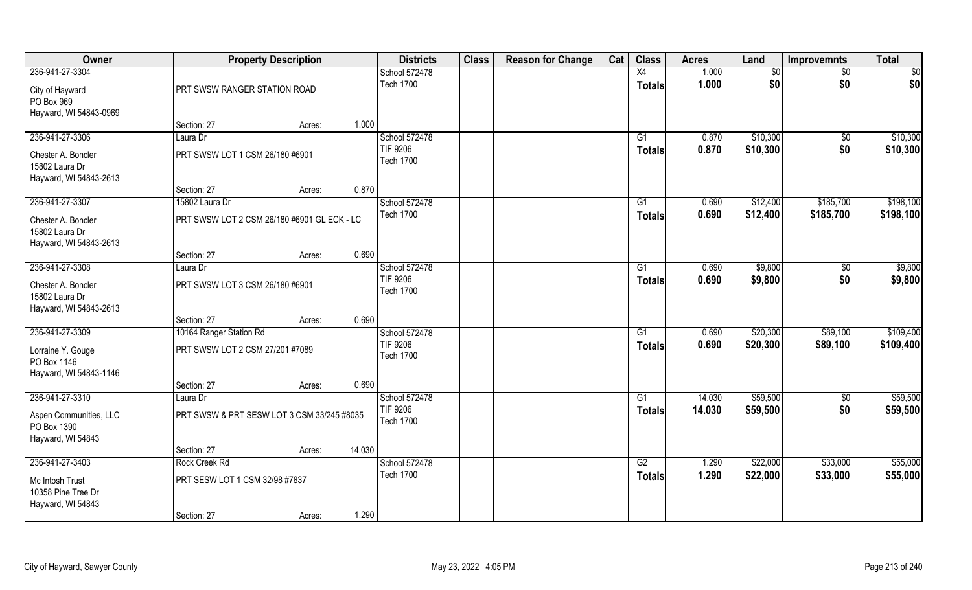| Owner                                                          |                                               | <b>Property Description</b> |        | <b>Districts</b>                    | <b>Class</b> | <b>Reason for Change</b> | Cat | <b>Class</b>    | <b>Acres</b> | Land            | <b>Improvemnts</b> | <b>Total</b> |
|----------------------------------------------------------------|-----------------------------------------------|-----------------------------|--------|-------------------------------------|--------------|--------------------------|-----|-----------------|--------------|-----------------|--------------------|--------------|
| 236-941-27-3304                                                |                                               |                             |        | School 572478                       |              |                          |     | X4              | 1.000        | $\overline{50}$ | $\sqrt{6}$         | \$0          |
| City of Hayward<br>PO Box 969<br>Hayward, WI 54843-0969        | PRT SWSW RANGER STATION ROAD                  |                             |        | <b>Tech 1700</b>                    |              |                          |     | <b>Totals</b>   | 1.000        | \$0             | \$0                | \$0          |
|                                                                | Section: 27                                   | Acres:                      | 1.000  |                                     |              |                          |     |                 |              |                 |                    |              |
| 236-941-27-3306                                                | Laura Dr                                      |                             |        | School 572478                       |              |                          |     | G1              | 0.870        | \$10,300        | $\overline{50}$    | \$10,300     |
| Chester A. Boncler<br>15802 Laura Dr<br>Hayward, WI 54843-2613 | PRT SWSW LOT 1 CSM 26/180 #6901               |                             |        | TIF 9206<br><b>Tech 1700</b>        |              |                          |     | Totals          | 0.870        | \$10,300        | \$0                | \$10,300     |
|                                                                | Section: 27                                   | Acres:                      | 0.870  |                                     |              |                          |     |                 |              |                 |                    |              |
| 236-941-27-3307                                                | 15802 Laura Dr                                |                             |        | School 572478                       |              |                          |     | G1              | 0.690        | \$12,400        | \$185,700          | \$198,100    |
| Chester A. Boncler<br>15802 Laura Dr<br>Hayward, WI 54843-2613 | PRT SWSW LOT 2 CSM 26/180 #6901 GL ECK - LC   |                             |        | <b>Tech 1700</b>                    |              |                          |     | <b>Totals</b>   | 0.690        | \$12,400        | \$185,700          | \$198,100    |
|                                                                | Section: 27                                   | Acres:                      | 0.690  |                                     |              |                          |     |                 |              |                 |                    |              |
| 236-941-27-3308                                                | Laura Dr                                      |                             |        | School 572478                       |              |                          |     | G1              | 0.690        | \$9,800         | $\sqrt{50}$        | \$9,800      |
| Chester A. Boncler<br>15802 Laura Dr<br>Hayward, WI 54843-2613 | PRT SWSW LOT 3 CSM 26/180 #6901               |                             |        | <b>TIF 9206</b><br><b>Tech 1700</b> |              |                          |     | <b>Totals</b>   | 0.690        | \$9,800         | \$0                | \$9,800      |
|                                                                | Section: 27                                   | Acres:                      | 0.690  |                                     |              |                          |     |                 |              |                 |                    |              |
| 236-941-27-3309                                                | 10164 Ranger Station Rd                       |                             |        | School 572478                       |              |                          |     | $\overline{G1}$ | 0.690        | \$20,300        | \$89,100           | \$109,400    |
| Lorraine Y. Gouge<br>PO Box 1146<br>Hayward, WI 54843-1146     | PRT SWSW LOT 2 CSM 27/201 #7089               |                             |        | <b>TIF 9206</b><br><b>Tech 1700</b> |              |                          |     | <b>Totals</b>   | 0.690        | \$20,300        | \$89,100           | \$109,400    |
|                                                                | Section: 27                                   | Acres:                      | 0.690  |                                     |              |                          |     |                 |              |                 |                    |              |
| 236-941-27-3310                                                | Laura Dr                                      |                             |        | School 572478                       |              |                          |     | G1              | 14.030       | \$59,500        | $\sqrt{50}$        | \$59,500     |
| Aspen Communities, LLC<br>PO Box 1390                          | PRT SWSW & PRT SESW LOT 3 CSM 33/245 #8035    |                             |        | <b>TIF 9206</b><br><b>Tech 1700</b> |              |                          |     | <b>Totals</b>   | 14.030       | \$59,500        | \$0                | \$59,500     |
| Hayward, WI 54843                                              | Section: 27                                   | Acres:                      | 14.030 |                                     |              |                          |     |                 |              |                 |                    |              |
| 236-941-27-3403                                                | Rock Creek Rd                                 |                             |        | School 572478                       |              |                          |     | G2              | 1.290        | \$22,000        | \$33,000           | \$55,000     |
| Mc Intosh Trust<br>10358 Pine Tree Dr<br>Hayward, WI 54843     | PRT SESW LOT 1 CSM 32/98 #7837<br>Section: 27 | Acres:                      | 1.290  | <b>Tech 1700</b>                    |              |                          |     | <b>Totals</b>   | 1.290        | \$22,000        | \$33,000           | \$55,000     |
|                                                                |                                               |                             |        |                                     |              |                          |     |                 |              |                 |                    |              |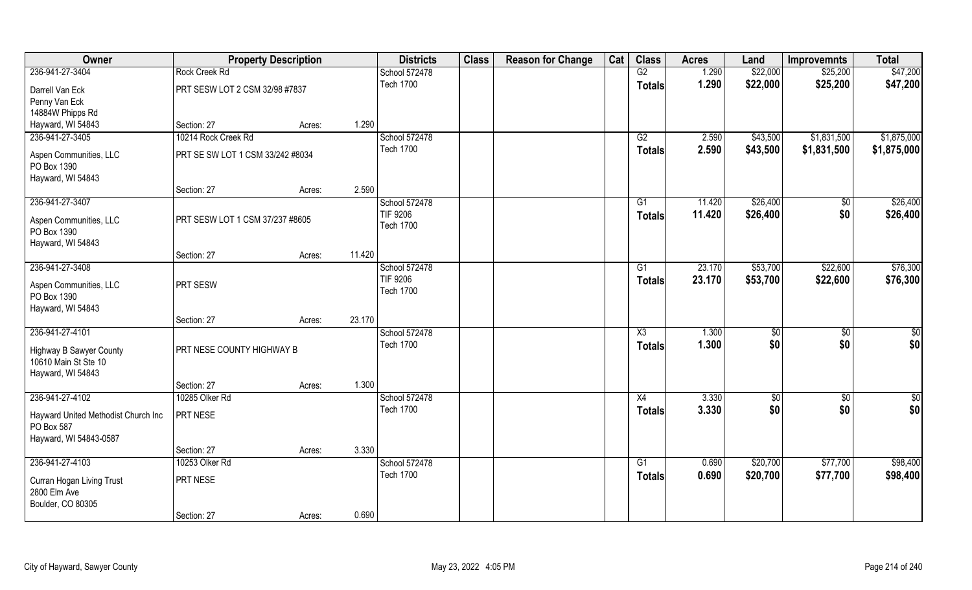| Owner                                                                                          |                                  | <b>Property Description</b> |        | <b>Districts</b>                  | <b>Class</b> | <b>Reason for Change</b> | Cat | <b>Class</b>                         | <b>Acres</b>   | Land      | <b>Improvemnts</b>     | <b>Total</b>         |
|------------------------------------------------------------------------------------------------|----------------------------------|-----------------------------|--------|-----------------------------------|--------------|--------------------------|-----|--------------------------------------|----------------|-----------|------------------------|----------------------|
| 236-941-27-3404                                                                                | <b>Rock Creek Rd</b>             |                             |        | School 572478                     |              |                          |     | G2                                   | 1.290          | \$22,000  | \$25,200               | \$47,200             |
| Darrell Van Eck                                                                                | PRT SESW LOT 2 CSM 32/98 #7837   |                             |        | <b>Tech 1700</b>                  |              |                          |     | <b>Totals</b>                        | 1.290          | \$22,000  | \$25,200               | \$47,200             |
| Penny Van Eck                                                                                  |                                  |                             |        |                                   |              |                          |     |                                      |                |           |                        |                      |
| 14884W Phipps Rd                                                                               |                                  |                             |        |                                   |              |                          |     |                                      |                |           |                        |                      |
| Hayward, WI 54843                                                                              | Section: 27                      | Acres:                      | 1.290  |                                   |              |                          |     |                                      |                |           |                        |                      |
| 236-941-27-3405                                                                                | 10214 Rock Creek Rd              |                             |        | School 572478                     |              |                          |     | G2                                   | 2.590          | \$43,500  | \$1,831,500            | \$1,875,000          |
| Aspen Communities, LLC<br>PO Box 1390                                                          | PRT SE SW LOT 1 CSM 33/242 #8034 |                             |        | <b>Tech 1700</b>                  |              |                          |     | <b>Totals</b>                        | 2.590          | \$43,500  | \$1,831,500            | \$1,875,000          |
| Hayward, WI 54843                                                                              |                                  |                             |        |                                   |              |                          |     |                                      |                |           |                        |                      |
|                                                                                                | Section: 27                      | Acres:                      | 2.590  |                                   |              |                          |     |                                      |                |           |                        |                      |
| 236-941-27-3407                                                                                |                                  |                             |        | School 572478                     |              |                          |     | G1                                   | 11.420         | \$26,400  | \$0                    | \$26,400             |
| Aspen Communities, LLC<br>PO Box 1390                                                          | PRT SESW LOT 1 CSM 37/237 #8605  |                             |        | TIF 9206<br><b>Tech 1700</b>      |              |                          |     | <b>Totals</b>                        | 11.420         | \$26,400  | \$0                    | \$26,400             |
| Hayward, WI 54843                                                                              | Section: 27                      |                             | 11.420 |                                   |              |                          |     |                                      |                |           |                        |                      |
| 236-941-27-3408                                                                                |                                  | Acres:                      |        | School 572478                     |              |                          |     | G1                                   | 23.170         | \$53,700  | \$22,600               | \$76,300             |
| Aspen Communities, LLC<br>PO Box 1390                                                          | PRT SESW                         |                             |        | TIF 9206<br><b>Tech 1700</b>      |              |                          |     | Totals                               | 23.170         | \$53,700  | \$22,600               | \$76,300             |
| Hayward, WI 54843                                                                              |                                  |                             |        |                                   |              |                          |     |                                      |                |           |                        |                      |
|                                                                                                | Section: 27                      | Acres:                      | 23.170 |                                   |              |                          |     |                                      |                |           |                        |                      |
| 236-941-27-4101<br><b>Highway B Sawyer County</b><br>10610 Main St Ste 10<br>Hayward, WI 54843 | PRT NESE COUNTY HIGHWAY B        |                             |        | School 572478<br><b>Tech 1700</b> |              |                          |     | $\overline{\chi_3}$<br><b>Totals</b> | 1.300<br>1.300 | \$<br>\$0 | $\overline{50}$<br>\$0 | $\frac{6}{3}$<br>\$0 |
|                                                                                                | Section: 27                      | Acres:                      | 1.300  |                                   |              |                          |     |                                      |                |           |                        |                      |
| 236-941-27-4102                                                                                | 10285 Olker Rd                   |                             |        | School 572478                     |              |                          |     | X4                                   | 3.330          | \$0       | $\overline{50}$        | $\frac{6}{3}$        |
| Hayward United Methodist Church Inc<br>PO Box 587<br>Hayward, WI 54843-0587                    | PRT NESE                         |                             |        | <b>Tech 1700</b>                  |              |                          |     | <b>Totals</b>                        | 3.330          | \$0       | \$0                    | \$0                  |
|                                                                                                | Section: 27                      | Acres:                      | 3.330  |                                   |              |                          |     |                                      |                |           |                        |                      |
| 236-941-27-4103                                                                                | 10253 Olker Rd                   |                             |        | School 572478                     |              |                          |     | G1                                   | 0.690          | \$20,700  | \$77,700               | \$98,400             |
| Curran Hogan Living Trust<br>2800 Elm Ave<br>Boulder, CO 80305                                 | PRT NESE                         |                             |        | <b>Tech 1700</b>                  |              |                          |     | <b>Totals</b>                        | 0.690          | \$20,700  | \$77,700               | \$98,400             |
|                                                                                                | Section: 27                      | Acres:                      | 0.690  |                                   |              |                          |     |                                      |                |           |                        |                      |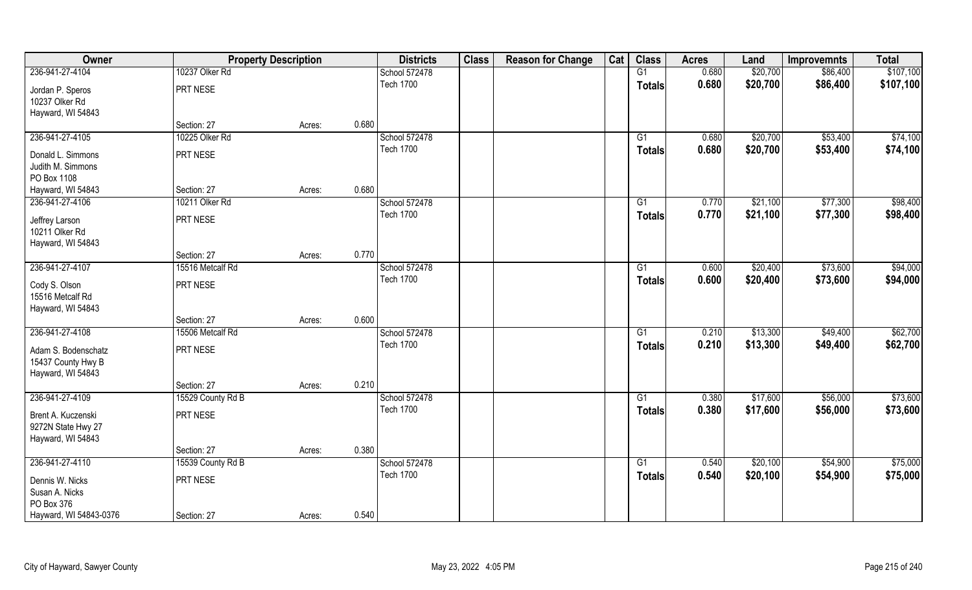| Owner                                     |                   | <b>Property Description</b> |       | <b>Districts</b> | <b>Class</b> | <b>Reason for Change</b> | Cat | <b>Class</b>  | <b>Acres</b> | Land     | <b>Improvemnts</b> | <b>Total</b> |
|-------------------------------------------|-------------------|-----------------------------|-------|------------------|--------------|--------------------------|-----|---------------|--------------|----------|--------------------|--------------|
| 236-941-27-4104                           | 10237 Olker Rd    |                             |       | School 572478    |              |                          |     | G1            | 0.680        | \$20,700 | \$86,400           | \$107,100    |
| Jordan P. Speros                          | PRT NESE          |                             |       | <b>Tech 1700</b> |              |                          |     | <b>Totals</b> | 0.680        | \$20,700 | \$86,400           | \$107,100    |
| 10237 Olker Rd                            |                   |                             |       |                  |              |                          |     |               |              |          |                    |              |
| Hayward, WI 54843                         |                   |                             |       |                  |              |                          |     |               |              |          |                    |              |
|                                           | Section: 27       | Acres:                      | 0.680 |                  |              |                          |     |               |              |          |                    |              |
| 236-941-27-4105                           | 10225 Olker Rd    |                             |       | School 572478    |              |                          |     | G1            | 0.680        | \$20,700 | \$53,400           | \$74,100     |
| Donald L. Simmons                         | PRT NESE          |                             |       | <b>Tech 1700</b> |              |                          |     | <b>Totals</b> | 0.680        | \$20,700 | \$53,400           | \$74,100     |
| Judith M. Simmons                         |                   |                             |       |                  |              |                          |     |               |              |          |                    |              |
| PO Box 1108                               |                   |                             |       |                  |              |                          |     |               |              |          |                    |              |
| Hayward, WI 54843                         | Section: 27       | Acres:                      | 0.680 |                  |              |                          |     |               |              |          |                    |              |
| 236-941-27-4106                           | 10211 Olker Rd    |                             |       | School 572478    |              |                          |     | G1            | 0.770        | \$21,100 | \$77,300           | \$98,400     |
| Jeffrey Larson                            | PRT NESE          |                             |       | <b>Tech 1700</b> |              |                          |     | <b>Totals</b> | 0.770        | \$21,100 | \$77,300           | \$98,400     |
| 10211 Olker Rd                            |                   |                             |       |                  |              |                          |     |               |              |          |                    |              |
| Hayward, WI 54843                         |                   |                             |       |                  |              |                          |     |               |              |          |                    |              |
|                                           | Section: 27       | Acres:                      | 0.770 |                  |              |                          |     |               |              |          |                    |              |
| 236-941-27-4107                           | 15516 Metcalf Rd  |                             |       | School 572478    |              |                          |     | G1            | 0.600        | \$20,400 | \$73,600           | \$94,000     |
|                                           | PRT NESE          |                             |       | <b>Tech 1700</b> |              |                          |     | <b>Totals</b> | 0.600        | \$20,400 | \$73,600           | \$94,000     |
| Cody S. Olson<br>15516 Metcalf Rd         |                   |                             |       |                  |              |                          |     |               |              |          |                    |              |
| Hayward, WI 54843                         |                   |                             |       |                  |              |                          |     |               |              |          |                    |              |
|                                           | Section: 27       | Acres:                      | 0.600 |                  |              |                          |     |               |              |          |                    |              |
| 236-941-27-4108                           | 15506 Metcalf Rd  |                             |       | School 572478    |              |                          |     | G1            | 0.210        | \$13,300 | \$49,400           | \$62,700     |
|                                           |                   |                             |       | <b>Tech 1700</b> |              |                          |     | <b>Totals</b> | 0.210        | \$13,300 | \$49,400           | \$62,700     |
| Adam S. Bodenschatz<br>15437 County Hwy B | PRT NESE          |                             |       |                  |              |                          |     |               |              |          |                    |              |
| Hayward, WI 54843                         |                   |                             |       |                  |              |                          |     |               |              |          |                    |              |
|                                           | Section: 27       | Acres:                      | 0.210 |                  |              |                          |     |               |              |          |                    |              |
| 236-941-27-4109                           | 15529 County Rd B |                             |       | School 572478    |              |                          |     | G1            | 0.380        | \$17,600 | \$56,000           | \$73,600     |
|                                           |                   |                             |       | <b>Tech 1700</b> |              |                          |     | <b>Totals</b> | 0.380        | \$17,600 | \$56,000           | \$73,600     |
| Brent A. Kuczenski                        | PRT NESE          |                             |       |                  |              |                          |     |               |              |          |                    |              |
| 9272N State Hwy 27<br>Hayward, WI 54843   |                   |                             |       |                  |              |                          |     |               |              |          |                    |              |
|                                           | Section: 27       | Acres:                      | 0.380 |                  |              |                          |     |               |              |          |                    |              |
| 236-941-27-4110                           | 15539 County Rd B |                             |       | School 572478    |              |                          |     | G1            | 0.540        | \$20,100 | \$54,900           | \$75,000     |
|                                           |                   |                             |       | <b>Tech 1700</b> |              |                          |     | <b>Totals</b> | 0.540        | \$20,100 | \$54,900           | \$75,000     |
| Dennis W. Nicks                           | PRT NESE          |                             |       |                  |              |                          |     |               |              |          |                    |              |
| Susan A. Nicks                            |                   |                             |       |                  |              |                          |     |               |              |          |                    |              |
| PO Box 376<br>Hayward, WI 54843-0376      | Section: 27       |                             | 0.540 |                  |              |                          |     |               |              |          |                    |              |
|                                           |                   | Acres:                      |       |                  |              |                          |     |               |              |          |                    |              |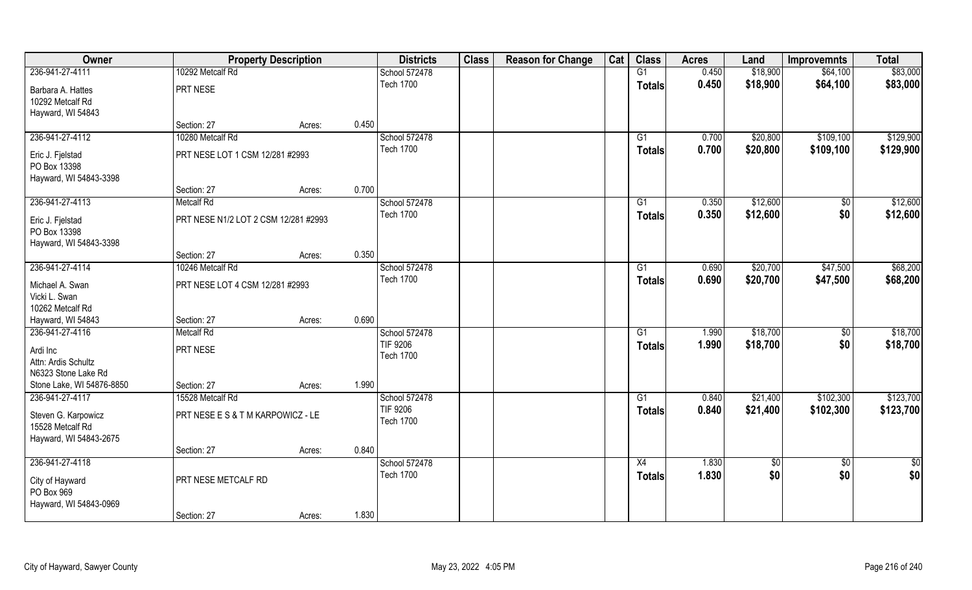| Owner                                                             |                                      | <b>Property Description</b> | <b>Districts</b>                    | <b>Class</b> | <b>Reason for Change</b> | Cat | <b>Class</b>    | <b>Acres</b>   | Land                 | <b>Improvemnts</b>     | <b>Total</b>           |
|-------------------------------------------------------------------|--------------------------------------|-----------------------------|-------------------------------------|--------------|--------------------------|-----|-----------------|----------------|----------------------|------------------------|------------------------|
| 236-941-27-4111                                                   | 10292 Metcalf Rd                     |                             | School 572478                       |              |                          |     | G1              | 0.450          | \$18,900             | \$64,100               | \$83,000               |
| Barbara A. Hattes<br>10292 Metcalf Rd<br>Hayward, WI 54843        | PRT NESE                             |                             | <b>Tech 1700</b>                    |              |                          |     | <b>Totals</b>   | 0.450          | \$18,900             | \$64,100               | \$83,000               |
|                                                                   | Section: 27                          | Acres:                      | 0.450                               |              |                          |     |                 |                |                      |                        |                        |
| 236-941-27-4112                                                   | 10280 Metcalf Rd                     |                             | School 572478<br><b>Tech 1700</b>   |              |                          |     | G1              | 0.700<br>0.700 | \$20,800<br>\$20,800 | \$109,100<br>\$109,100 | \$129,900<br>\$129,900 |
| Eric J. Fjelstad<br>PO Box 13398<br>Hayward, WI 54843-3398        | PRT NESE LOT 1 CSM 12/281 #2993      |                             |                                     |              |                          |     | Totals          |                |                      |                        |                        |
|                                                                   | Section: 27                          | Acres:                      | 0.700                               |              |                          |     |                 |                |                      |                        |                        |
| 236-941-27-4113                                                   | <b>Metcalf Rd</b>                    |                             | School 572478                       |              |                          |     | G1              | 0.350          | \$12,600             | \$0                    | \$12,600               |
| Eric J. Fjelstad<br>PO Box 13398<br>Hayward, WI 54843-3398        | PRT NESE N1/2 LOT 2 CSM 12/281 #2993 |                             | <b>Tech 1700</b>                    |              |                          |     | <b>Totals</b>   | 0.350          | \$12,600             | \$0                    | \$12,600               |
|                                                                   | Section: 27                          | Acres:                      | 0.350                               |              |                          |     |                 |                |                      |                        |                        |
| 236-941-27-4114                                                   | 10246 Metcalf Rd                     |                             | School 572478                       |              |                          |     | G1              | 0.690          | \$20,700             | \$47,500               | \$68,200               |
| Michael A. Swan<br>Vicki L. Swan<br>10262 Metcalf Rd              | PRT NESE LOT 4 CSM 12/281 #2993      |                             | <b>Tech 1700</b>                    |              |                          |     | Totals          | 0.690          | \$20,700             | \$47,500               | \$68,200               |
| Hayward, WI 54843                                                 | Section: 27                          | Acres:                      | 0.690                               |              |                          |     |                 |                |                      |                        |                        |
| 236-941-27-4116                                                   | <b>Metcalf Rd</b>                    |                             | School 572478                       |              |                          |     | $\overline{G1}$ | 1.990          | \$18,700             | $\overline{50}$        | \$18,700               |
| Ardi Inc<br>Attn: Ardis Schultz<br>N6323 Stone Lake Rd            | PRT NESE                             |                             | <b>TIF 9206</b><br><b>Tech 1700</b> |              |                          |     | <b>Totals</b>   | 1.990          | \$18,700             | \$0                    | \$18,700               |
| Stone Lake, WI 54876-8850                                         | Section: 27                          | Acres:                      | 1.990                               |              |                          |     |                 |                |                      |                        |                        |
| 236-941-27-4117                                                   | 15528 Metcalf Rd                     |                             | School 572478                       |              |                          |     | G1              | 0.840          | \$21,400             | \$102,300              | \$123,700              |
| Steven G. Karpowicz<br>15528 Metcalf Rd<br>Hayward, WI 54843-2675 | PRT NESE E S & T M KARPOWICZ - LE    |                             | TIF 9206<br><b>Tech 1700</b>        |              |                          |     | <b>Totals</b>   | 0.840          | \$21,400             | \$102,300              | \$123,700              |
|                                                                   | Section: 27                          | Acres:                      | 0.840                               |              |                          |     |                 |                |                      |                        |                        |
| 236-941-27-4118                                                   |                                      |                             | School 572478                       |              |                          |     | X4              | 1.830          | $\sqrt{6}$           | $\overline{50}$        | $rac{1}{2}$            |
| City of Hayward<br>PO Box 969<br>Hayward, WI 54843-0969           | PRT NESE METCALF RD                  |                             | <b>Tech 1700</b>                    |              |                          |     | <b>Totals</b>   | 1.830          | \$0                  | \$0                    | \$0                    |
|                                                                   | Section: 27                          | Acres:                      | 1.830                               |              |                          |     |                 |                |                      |                        |                        |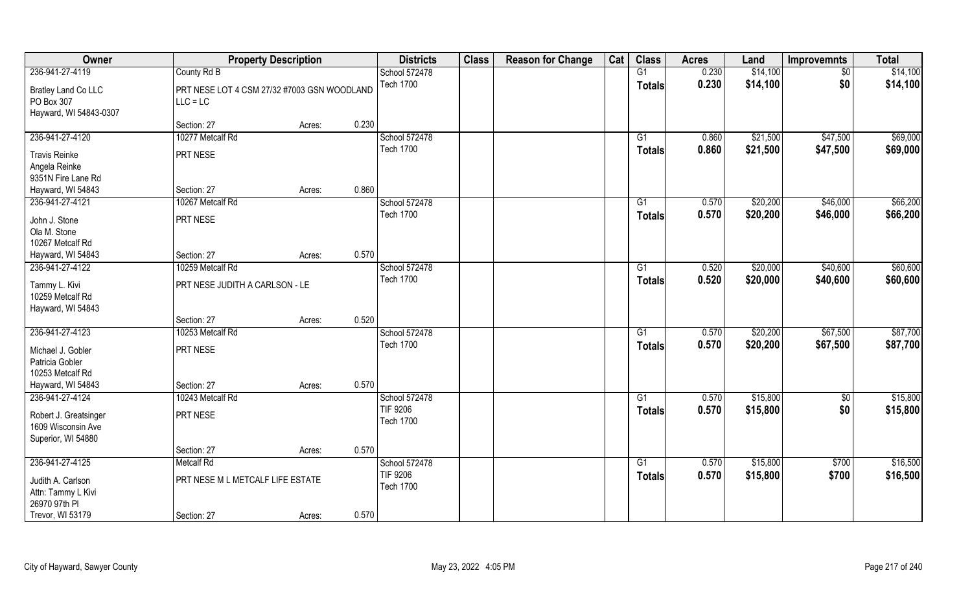| <b>Owner</b>                                                                                    | <b>Property Description</b>                               |        |       | <b>Districts</b>                                     | <b>Class</b> | <b>Reason for Change</b> | Cat | <b>Class</b>        | <b>Acres</b>   | Land                 | <b>Improvemnts</b>   | <b>Total</b>         |
|-------------------------------------------------------------------------------------------------|-----------------------------------------------------------|--------|-------|------------------------------------------------------|--------------|--------------------------|-----|---------------------|----------------|----------------------|----------------------|----------------------|
| 236-941-27-4119                                                                                 | County Rd B                                               |        |       | School 572478                                        |              |                          |     | G1                  | 0.230          | \$14,100             | $\sqrt{50}$          | \$14,100             |
| <b>Bratley Land Co LLC</b><br>PO Box 307<br>Hayward, WI 54843-0307                              | PRT NESE LOT 4 CSM 27/32 #7003 GSN WOODLAND<br>$LLC = LC$ |        |       | <b>Tech 1700</b>                                     |              |                          |     | <b>Totals</b>       | 0.230          | \$14,100             | \$0                  | \$14,100             |
|                                                                                                 | Section: 27                                               | Acres: | 0.230 |                                                      |              |                          |     |                     |                |                      |                      |                      |
| 236-941-27-4120                                                                                 | 10277 Metcalf Rd                                          |        |       | School 572478                                        |              |                          |     | G1                  | 0.860          | \$21,500             | \$47,500             | \$69,000             |
| <b>Travis Reinke</b><br>Angela Reinke<br>9351N Fire Lane Rd                                     | PRT NESE                                                  |        |       | <b>Tech 1700</b>                                     |              |                          |     | Totals              | 0.860          | \$21,500             | \$47,500             | \$69,000             |
| Hayward, WI 54843                                                                               | Section: 27                                               | Acres: | 0.860 |                                                      |              |                          |     |                     |                |                      |                      |                      |
| 236-941-27-4121<br>John J. Stone<br>Ola M. Stone<br>10267 Metcalf Rd                            | 10267 Metcalf Rd<br>PRT NESE                              |        |       | School 572478<br><b>Tech 1700</b>                    |              |                          |     | G1<br><b>Totals</b> | 0.570<br>0.570 | \$20,200<br>\$20,200 | \$46,000<br>\$46,000 | \$66,200<br>\$66,200 |
| Hayward, WI 54843                                                                               | Section: 27                                               | Acres: | 0.570 |                                                      |              |                          |     |                     |                |                      |                      |                      |
| 236-941-27-4122<br>Tammy L. Kivi<br>10259 Metcalf Rd<br>Hayward, WI 54843                       | 10259 Metcalf Rd<br>PRT NESE JUDITH A CARLSON - LE        |        |       | School 572478<br><b>Tech 1700</b>                    |              |                          |     | G1<br><b>Totals</b> | 0.520<br>0.520 | \$20,000<br>\$20,000 | \$40,600<br>\$40,600 | \$60,600<br>\$60,600 |
|                                                                                                 | Section: 27                                               | Acres: | 0.520 |                                                      |              |                          |     |                     |                |                      |                      |                      |
| 236-941-27-4123<br>Michael J. Gobler<br>Patricia Gobler                                         | 10253 Metcalf Rd<br>PRT NESE                              |        |       | School 572478<br><b>Tech 1700</b>                    |              |                          |     | G1<br><b>Totals</b> | 0.570<br>0.570 | \$20,200<br>\$20,200 | \$67,500<br>\$67,500 | \$87,700<br>\$87,700 |
| 10253 Metcalf Rd                                                                                |                                                           |        |       |                                                      |              |                          |     |                     |                |                      |                      |                      |
| Hayward, WI 54843                                                                               | Section: 27                                               | Acres: | 0.570 |                                                      |              |                          |     |                     |                |                      |                      |                      |
| 236-941-27-4124                                                                                 | 10243 Metcalf Rd                                          |        |       | School 572478                                        |              |                          |     | G1                  | 0.570          | \$15,800             | $\sqrt{50}$          | \$15,800             |
| Robert J. Greatsinger<br>1609 Wisconsin Ave<br>Superior, WI 54880                               | PRT NESE                                                  |        |       | <b>TIF 9206</b><br><b>Tech 1700</b>                  |              |                          |     | <b>Totals</b>       | 0.570          | \$15,800             | \$0                  | \$15,800             |
|                                                                                                 | Section: 27                                               | Acres: | 0.570 |                                                      |              |                          |     |                     |                |                      |                      |                      |
| 236-941-27-4125<br>Judith A. Carlson<br>Attn: Tammy L Kivi<br>26970 97th PI<br>Trevor, WI 53179 | <b>Metcalf Rd</b><br>PRT NESE M L METCALF LIFE ESTATE     |        | 0.570 | School 572478<br><b>TIF 9206</b><br><b>Tech 1700</b> |              |                          |     | G1<br><b>Totals</b> | 0.570<br>0.570 | \$15,800<br>\$15,800 | \$700<br>\$700       | \$16,500<br>\$16,500 |
|                                                                                                 | Section: 27                                               | Acres: |       |                                                      |              |                          |     |                     |                |                      |                      |                      |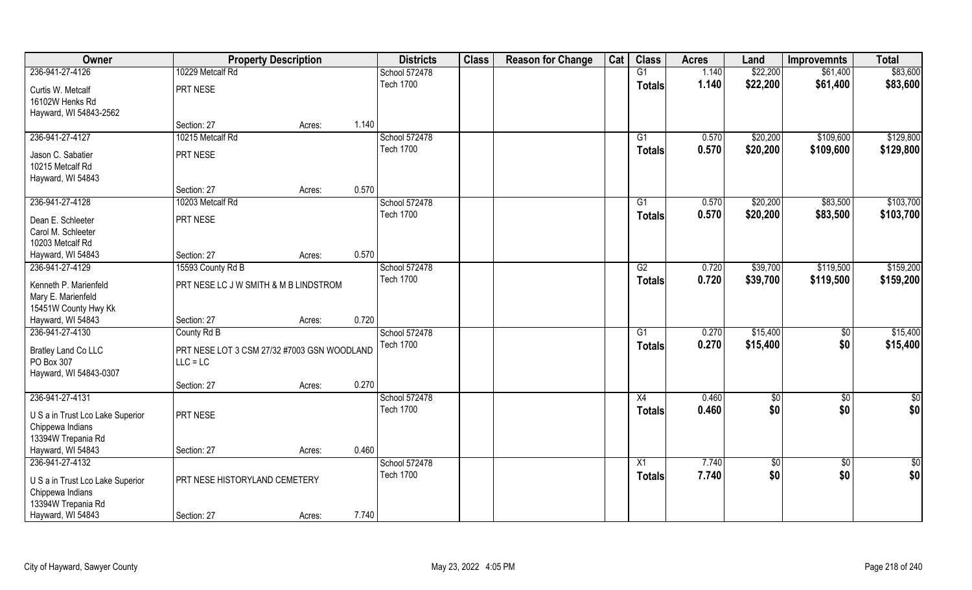| Owner                                                |                                             | <b>Property Description</b> |       | <b>Districts</b> | <b>Class</b> | <b>Reason for Change</b> | Cat | <b>Class</b>    | <b>Acres</b> | Land        | <b>Improvemnts</b> | <b>Total</b>  |
|------------------------------------------------------|---------------------------------------------|-----------------------------|-------|------------------|--------------|--------------------------|-----|-----------------|--------------|-------------|--------------------|---------------|
| 236-941-27-4126                                      | 10229 Metcalf Rd                            |                             |       | School 572478    |              |                          |     | G1              | 1.140        | \$22,200    | \$61,400           | \$83,600      |
| Curtis W. Metcalf                                    | PRT NESE                                    |                             |       | <b>Tech 1700</b> |              |                          |     | <b>Totals</b>   | 1.140        | \$22,200    | \$61,400           | \$83,600      |
| 16102W Henks Rd                                      |                                             |                             |       |                  |              |                          |     |                 |              |             |                    |               |
| Hayward, WI 54843-2562                               |                                             |                             |       |                  |              |                          |     |                 |              |             |                    |               |
|                                                      | Section: 27                                 | Acres:                      | 1.140 |                  |              |                          |     |                 |              |             |                    |               |
| 236-941-27-4127                                      | 10215 Metcalf Rd                            |                             |       | School 572478    |              |                          |     | G1              | 0.570        | \$20,200    | \$109,600          | \$129,800     |
| Jason C. Sabatier                                    | PRT NESE                                    |                             |       | <b>Tech 1700</b> |              |                          |     | Totals          | 0.570        | \$20,200    | \$109,600          | \$129,800     |
| 10215 Metcalf Rd                                     |                                             |                             |       |                  |              |                          |     |                 |              |             |                    |               |
| Hayward, WI 54843                                    |                                             |                             |       |                  |              |                          |     |                 |              |             |                    |               |
|                                                      | Section: 27                                 | Acres:                      | 0.570 |                  |              |                          |     |                 |              |             |                    |               |
| 236-941-27-4128                                      | 10203 Metcalf Rd                            |                             |       | School 572478    |              |                          |     | G1              | 0.570        | \$20,200    | \$83,500           | \$103,700     |
|                                                      |                                             |                             |       | <b>Tech 1700</b> |              |                          |     | <b>Totals</b>   | 0.570        | \$20,200    | \$83,500           | \$103,700     |
| Dean E. Schleeter                                    | PRT NESE                                    |                             |       |                  |              |                          |     |                 |              |             |                    |               |
| Carol M. Schleeter                                   |                                             |                             |       |                  |              |                          |     |                 |              |             |                    |               |
| 10203 Metcalf Rd<br>Hayward, WI 54843                | Section: 27                                 |                             | 0.570 |                  |              |                          |     |                 |              |             |                    |               |
| 236-941-27-4129                                      | 15593 County Rd B                           | Acres:                      |       | School 572478    |              |                          |     | G2              | 0.720        | \$39,700    | \$119,500          | \$159,200     |
|                                                      |                                             |                             |       | <b>Tech 1700</b> |              |                          |     |                 | 0.720        |             |                    |               |
| Kenneth P. Marienfeld                                | PRT NESE LC J W SMITH & M B LINDSTROM       |                             |       |                  |              |                          |     | <b>Totals</b>   |              | \$39,700    | \$119,500          | \$159,200     |
| Mary E. Marienfeld                                   |                                             |                             |       |                  |              |                          |     |                 |              |             |                    |               |
| 15451W County Hwy Kk                                 |                                             |                             |       |                  |              |                          |     |                 |              |             |                    |               |
| Hayward, WI 54843                                    | Section: 27                                 | Acres:                      | 0.720 |                  |              |                          |     |                 |              |             |                    |               |
| 236-941-27-4130                                      | County Rd B                                 |                             |       | School 572478    |              |                          |     | $\overline{G1}$ | 0.270        | \$15,400    | $\overline{50}$    | \$15,400      |
| Bratley Land Co LLC                                  | PRT NESE LOT 3 CSM 27/32 #7003 GSN WOODLAND |                             |       | <b>Tech 1700</b> |              |                          |     | <b>Totals</b>   | 0.270        | \$15,400    | \$0                | \$15,400      |
| PO Box 307                                           | $LLC = LC$                                  |                             |       |                  |              |                          |     |                 |              |             |                    |               |
| Hayward, WI 54843-0307                               |                                             |                             |       |                  |              |                          |     |                 |              |             |                    |               |
|                                                      | Section: 27                                 | Acres:                      | 0.270 |                  |              |                          |     |                 |              |             |                    |               |
| 236-941-27-4131                                      |                                             |                             |       | School 572478    |              |                          |     | X4              | 0.460        | \$0         | $\overline{50}$    | $\frac{1}{2}$ |
|                                                      | PRT NESE                                    |                             |       | <b>Tech 1700</b> |              |                          |     | <b>Totals</b>   | 0.460        | \$0         | \$0                | \$0           |
| U S a in Trust Lco Lake Superior<br>Chippewa Indians |                                             |                             |       |                  |              |                          |     |                 |              |             |                    |               |
| 13394W Trepania Rd                                   |                                             |                             |       |                  |              |                          |     |                 |              |             |                    |               |
| Hayward, WI 54843                                    | Section: 27                                 | Acres:                      | 0.460 |                  |              |                          |     |                 |              |             |                    |               |
| 236-941-27-4132                                      |                                             |                             |       | School 572478    |              |                          |     | $\overline{X1}$ | 7.740        | $\sqrt{$0}$ | $\overline{50}$    | $rac{1}{2}$   |
|                                                      |                                             |                             |       | <b>Tech 1700</b> |              |                          |     | <b>Totals</b>   | 7.740        | \$0         | \$0                | \$0           |
| U S a in Trust Lco Lake Superior                     | PRT NESE HISTORYLAND CEMETERY               |                             |       |                  |              |                          |     |                 |              |             |                    |               |
| Chippewa Indians                                     |                                             |                             |       |                  |              |                          |     |                 |              |             |                    |               |
| 13394W Trepania Rd                                   |                                             |                             |       |                  |              |                          |     |                 |              |             |                    |               |
| Hayward, WI 54843                                    | Section: 27                                 | Acres:                      | 7.740 |                  |              |                          |     |                 |              |             |                    |               |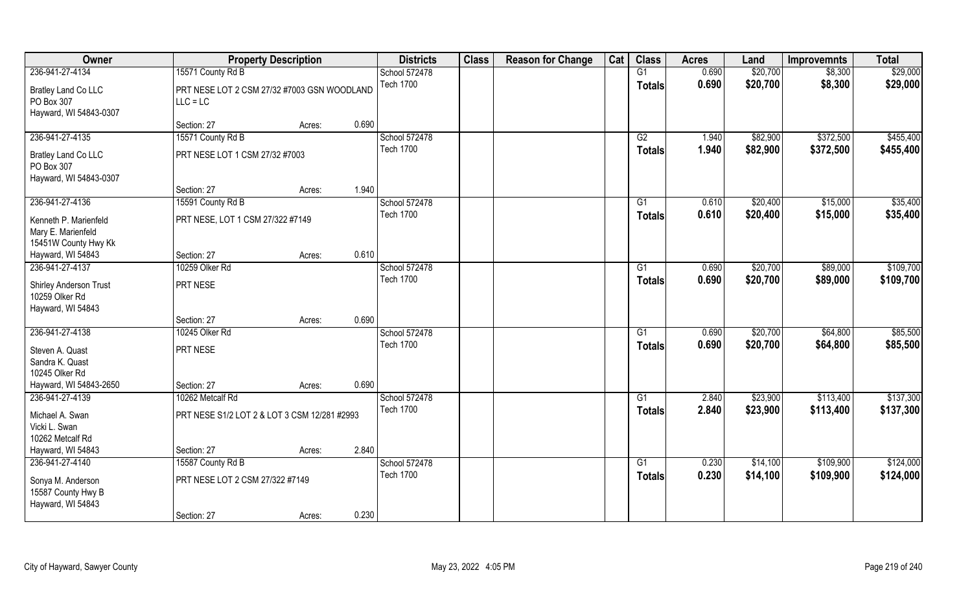| Owner                                                               |                                                           | <b>Property Description</b> |       | <b>Districts</b> | <b>Class</b> | <b>Reason for Change</b> | Cat | <b>Class</b>    | <b>Acres</b> | Land     | <b>Improvemnts</b> | <b>Total</b> |
|---------------------------------------------------------------------|-----------------------------------------------------------|-----------------------------|-------|------------------|--------------|--------------------------|-----|-----------------|--------------|----------|--------------------|--------------|
| 236-941-27-4134                                                     | 15571 County Rd B                                         |                             |       | School 572478    |              |                          |     | G1              | 0.690        | \$20,700 | \$8,300            | \$29,000     |
| Bratley Land Co LLC<br>PO Box 307<br>Hayward, WI 54843-0307         | PRT NESE LOT 2 CSM 27/32 #7003 GSN WOODLAND<br>$LLC = LC$ |                             |       | <b>Tech 1700</b> |              |                          |     | <b>Totals</b>   | 0.690        | \$20,700 | \$8,300            | \$29,000     |
|                                                                     | Section: 27                                               | Acres:                      | 0.690 |                  |              |                          |     |                 |              |          |                    |              |
| 236-941-27-4135                                                     | 15571 County Rd B                                         |                             |       | School 572478    |              |                          |     | G2              | 1.940        | \$82,900 | \$372,500          | \$455,400    |
| Bratley Land Co LLC<br>PO Box 307<br>Hayward, WI 54843-0307         | PRT NESE LOT 1 CSM 27/32 #7003                            |                             |       | <b>Tech 1700</b> |              |                          |     | Totals          | 1.940        | \$82,900 | \$372,500          | \$455,400    |
|                                                                     | Section: 27                                               | Acres:                      | 1.940 |                  |              |                          |     |                 |              |          |                    |              |
| 236-941-27-4136                                                     | 15591 County Rd B                                         |                             |       | School 572478    |              |                          |     | G1              | 0.610        | \$20,400 | \$15,000           | \$35,400     |
| Kenneth P. Marienfeld<br>Mary E. Marienfeld<br>15451W County Hwy Kk | PRT NESE, LOT 1 CSM 27/322 #7149                          |                             |       | <b>Tech 1700</b> |              |                          |     | <b>Totals</b>   | 0.610        | \$20,400 | \$15,000           | \$35,400     |
| Hayward, WI 54843                                                   | Section: 27                                               | Acres:                      | 0.610 |                  |              |                          |     |                 |              |          |                    |              |
| 236-941-27-4137                                                     | 10259 Olker Rd                                            |                             |       | School 572478    |              |                          |     | G1              | 0.690        | \$20,700 | \$89,000           | \$109,700    |
| Shirley Anderson Trust<br>10259 Olker Rd<br>Hayward, WI 54843       | PRT NESE                                                  |                             |       | <b>Tech 1700</b> |              |                          |     | Totals          | 0.690        | \$20,700 | \$89,000           | \$109,700    |
|                                                                     | Section: 27                                               | Acres:                      | 0.690 |                  |              |                          |     |                 |              |          |                    |              |
| 236-941-27-4138                                                     | 10245 Olker Rd                                            |                             |       | School 572478    |              |                          |     | $\overline{G1}$ | 0.690        | \$20,700 | \$64,800           | \$85,500     |
| Steven A. Quast<br>Sandra K. Quast<br>10245 Olker Rd                | PRT NESE                                                  |                             |       | <b>Tech 1700</b> |              |                          |     | <b>Totals</b>   | 0.690        | \$20,700 | \$64,800           | \$85,500     |
| Hayward, WI 54843-2650                                              | Section: 27                                               | Acres:                      | 0.690 |                  |              |                          |     |                 |              |          |                    |              |
| 236-941-27-4139                                                     | 10262 Metcalf Rd                                          |                             |       | School 572478    |              |                          |     | G1              | 2.840        | \$23,900 | \$113,400          | \$137,300    |
| Michael A. Swan<br>Vicki L. Swan<br>10262 Metcalf Rd                | PRT NESE S1/2 LOT 2 & LOT 3 CSM 12/281 #2993              |                             |       | <b>Tech 1700</b> |              |                          |     | <b>Totals</b>   | 2.840        | \$23,900 | \$113,400          | \$137,300    |
| Hayward, WI 54843                                                   | Section: 27                                               | Acres:                      | 2.840 |                  |              |                          |     |                 |              |          |                    |              |
| 236-941-27-4140                                                     | 15587 County Rd B                                         |                             |       | School 572478    |              |                          |     | $\overline{G1}$ | 0.230        | \$14,100 | \$109,900          | \$124,000    |
| Sonya M. Anderson<br>15587 County Hwy B<br>Hayward, WI 54843        | PRT NESE LOT 2 CSM 27/322 #7149                           |                             |       | <b>Tech 1700</b> |              |                          |     | <b>Totals</b>   | 0.230        | \$14,100 | \$109,900          | \$124,000    |
|                                                                     | Section: 27                                               | Acres:                      | 0.230 |                  |              |                          |     |                 |              |          |                    |              |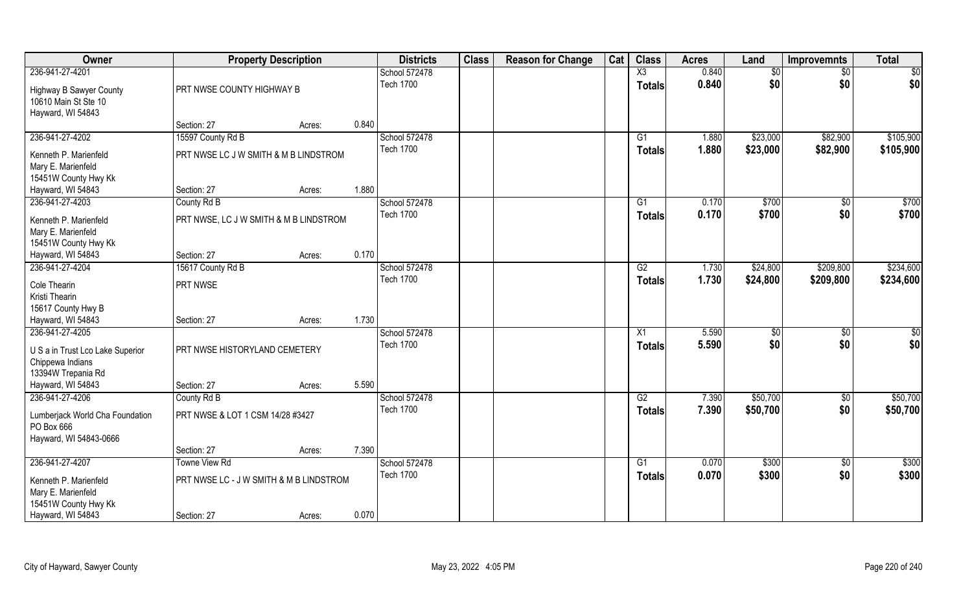| Owner                                                                       |                                         | <b>Property Description</b> |       | <b>Districts</b>                  | <b>Class</b> | <b>Reason for Change</b> | Cat | <b>Class</b>           | <b>Acres</b> | Land     | <b>Improvemnts</b> | <b>Total</b>  |
|-----------------------------------------------------------------------------|-----------------------------------------|-----------------------------|-------|-----------------------------------|--------------|--------------------------|-----|------------------------|--------------|----------|--------------------|---------------|
| 236-941-27-4201                                                             |                                         |                             |       | School 572478                     |              |                          |     | $\overline{\text{X3}}$ | 0.840        | \$0      | $\sqrt{6}$         | \$0           |
| <b>Highway B Sawyer County</b><br>10610 Main St Ste 10<br>Hayward, WI 54843 | PRT NWSE COUNTY HIGHWAY B               |                             |       | <b>Tech 1700</b>                  |              |                          |     | <b>Totals</b>          | 0.840        | \$0      | \$0                | \$0           |
|                                                                             | Section: 27                             | Acres:                      | 0.840 |                                   |              |                          |     |                        |              |          |                    |               |
| 236-941-27-4202                                                             | 15597 County Rd B                       |                             |       | School 572478                     |              |                          |     | G1                     | 1.880        | \$23,000 | \$82,900           | \$105,900     |
|                                                                             | PRT NWSE LC J W SMITH & M B LINDSTROM   |                             |       | <b>Tech 1700</b>                  |              |                          |     | Totals                 | 1.880        | \$23,000 | \$82,900           | \$105,900     |
| Kenneth P. Marienfeld<br>Mary E. Marienfeld                                 |                                         |                             |       |                                   |              |                          |     |                        |              |          |                    |               |
| 15451W County Hwy Kk                                                        |                                         |                             |       |                                   |              |                          |     |                        |              |          |                    |               |
| Hayward, WI 54843                                                           | Section: 27                             | Acres:                      | 1.880 |                                   |              |                          |     |                        |              |          |                    |               |
| 236-941-27-4203                                                             | County Rd B                             |                             |       | School 572478                     |              |                          |     | G1                     | 0.170        | \$700    | \$0                | \$700         |
|                                                                             |                                         |                             |       | <b>Tech 1700</b>                  |              |                          |     | <b>Totals</b>          | 0.170        | \$700    | \$0                | \$700         |
| Kenneth P. Marienfeld                                                       | PRT NWSE, LC J W SMITH & M B LINDSTROM  |                             |       |                                   |              |                          |     |                        |              |          |                    |               |
| Mary E. Marienfeld                                                          |                                         |                             |       |                                   |              |                          |     |                        |              |          |                    |               |
| 15451W County Hwy Kk<br>Hayward, WI 54843                                   | Section: 27                             | Acres:                      | 0.170 |                                   |              |                          |     |                        |              |          |                    |               |
| 236-941-27-4204                                                             | 15617 County Rd B                       |                             |       | School 572478                     |              |                          |     | G2                     | 1.730        | \$24,800 | \$209,800          | \$234,600     |
|                                                                             |                                         |                             |       | <b>Tech 1700</b>                  |              |                          |     | <b>Totals</b>          | 1.730        | \$24,800 | \$209,800          | \$234,600     |
| Cole Thearin                                                                | PRT NWSE                                |                             |       |                                   |              |                          |     |                        |              |          |                    |               |
| Kristi Thearin                                                              |                                         |                             |       |                                   |              |                          |     |                        |              |          |                    |               |
| 15617 County Hwy B                                                          |                                         |                             |       |                                   |              |                          |     |                        |              |          |                    |               |
| Hayward, WI 54843                                                           | Section: 27                             | Acres:                      | 1.730 |                                   |              |                          |     |                        |              |          |                    |               |
| 236-941-27-4205                                                             |                                         |                             |       | School 572478<br><b>Tech 1700</b> |              |                          |     | X1                     | 5.590        | \$       | \$0                | $\frac{6}{3}$ |
| U S a in Trust Lco Lake Superior                                            | PRT NWSE HISTORYLAND CEMETERY           |                             |       |                                   |              |                          |     | <b>Totals</b>          | 5.590        | \$0      | \$0                | \$0           |
| Chippewa Indians                                                            |                                         |                             |       |                                   |              |                          |     |                        |              |          |                    |               |
| 13394W Trepania Rd                                                          |                                         |                             |       |                                   |              |                          |     |                        |              |          |                    |               |
| Hayward, WI 54843                                                           | Section: 27                             | Acres:                      | 5.590 |                                   |              |                          |     |                        |              |          |                    |               |
| 236-941-27-4206                                                             | County Rd B                             |                             |       | School 572478                     |              |                          |     | G2                     | 7.390        | \$50,700 | $\sqrt{50}$        | \$50,700      |
| Lumberjack World Cha Foundation<br>PO Box 666                               | PRT NWSE & LOT 1 CSM 14/28 #3427        |                             |       | <b>Tech 1700</b>                  |              |                          |     | <b>Totals</b>          | 7.390        | \$50,700 | \$0                | \$50,700      |
| Hayward, WI 54843-0666                                                      | Section: 27                             | Acres:                      | 7.390 |                                   |              |                          |     |                        |              |          |                    |               |
| 236-941-27-4207                                                             | <b>Towne View Rd</b>                    |                             |       | School 572478                     |              |                          |     | G1                     | 0.070        | \$300    | $\sqrt{6}$         | \$300         |
|                                                                             |                                         |                             |       | <b>Tech 1700</b>                  |              |                          |     | <b>Totals</b>          | 0.070        | \$300    | \$0                | \$300         |
| Kenneth P. Marienfeld<br>Mary E. Marienfeld                                 | PRT NWSE LC - J W SMITH & M B LINDSTROM |                             |       |                                   |              |                          |     |                        |              |          |                    |               |
| 15451W County Hwy Kk<br>Hayward, WI 54843                                   | Section: 27                             |                             | 0.070 |                                   |              |                          |     |                        |              |          |                    |               |
|                                                                             |                                         | Acres:                      |       |                                   |              |                          |     |                        |              |          |                    |               |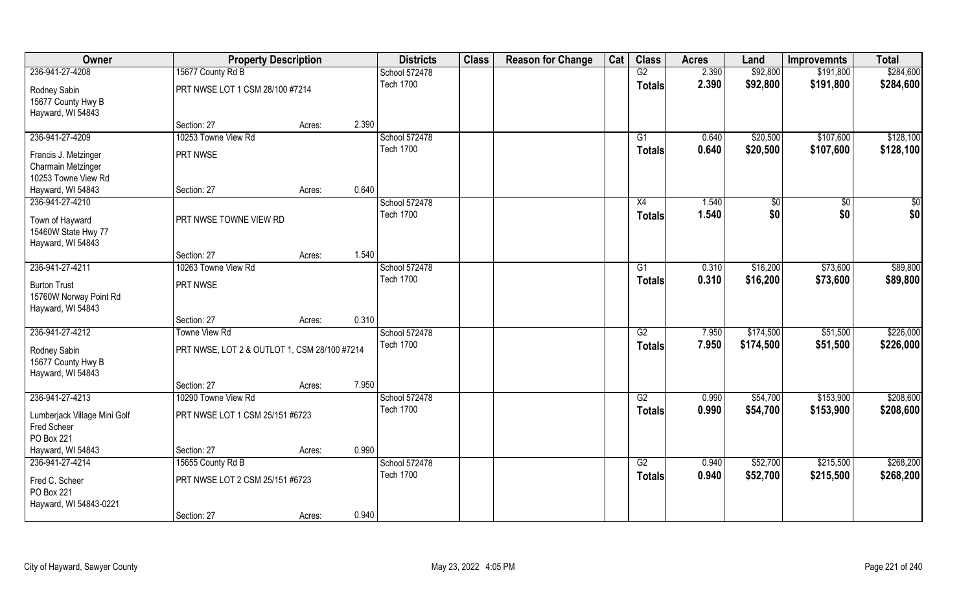| Owner                                                              |                                              | <b>Property Description</b> |       | <b>Districts</b> | <b>Class</b> | <b>Reason for Change</b> | Cat | <b>Class</b>    | <b>Acres</b> | Land      | <b>Improvemnts</b> | <b>Total</b> |
|--------------------------------------------------------------------|----------------------------------------------|-----------------------------|-------|------------------|--------------|--------------------------|-----|-----------------|--------------|-----------|--------------------|--------------|
| 236-941-27-4208                                                    | 15677 County Rd B                            |                             |       | School 572478    |              |                          |     | G2              | 2.390        | \$92,800  | \$191,800          | \$284,600    |
| Rodney Sabin<br>15677 County Hwy B                                 | PRT NWSE LOT 1 CSM 28/100 #7214              |                             |       | <b>Tech 1700</b> |              |                          |     | <b>Totals</b>   | 2.390        | \$92,800  | \$191,800          | \$284,600    |
| Hayward, WI 54843                                                  |                                              |                             |       |                  |              |                          |     |                 |              |           |                    |              |
|                                                                    | Section: 27                                  | Acres:                      | 2.390 |                  |              |                          |     |                 |              |           |                    |              |
| 236-941-27-4209                                                    | 10253 Towne View Rd                          |                             |       | School 572478    |              |                          |     | G1              | 0.640        | \$20,500  | \$107,600          | \$128,100    |
| Francis J. Metzinger                                               | PRT NWSE                                     |                             |       | <b>Tech 1700</b> |              |                          |     | Totals          | 0.640        | \$20,500  | \$107,600          | \$128,100    |
| Charmain Metzinger                                                 |                                              |                             |       |                  |              |                          |     |                 |              |           |                    |              |
| 10253 Towne View Rd                                                |                                              |                             |       |                  |              |                          |     |                 |              |           |                    |              |
| Hayward, WI 54843                                                  | Section: 27                                  | Acres:                      | 0.640 |                  |              |                          |     |                 |              |           |                    |              |
| 236-941-27-4210                                                    |                                              |                             |       | School 572478    |              |                          |     | X4              | 1.540        | \$0       | $\overline{50}$    | \$0          |
| Town of Hayward                                                    | PRT NWSE TOWNE VIEW RD                       |                             |       | <b>Tech 1700</b> |              |                          |     | <b>Totals</b>   | 1.540        | \$0       | \$0                | \$0          |
| 15460W State Hwy 77                                                |                                              |                             |       |                  |              |                          |     |                 |              |           |                    |              |
| Hayward, WI 54843                                                  |                                              |                             |       |                  |              |                          |     |                 |              |           |                    |              |
|                                                                    | Section: 27                                  | Acres:                      | 1.540 |                  |              |                          |     |                 |              |           |                    |              |
| 236-941-27-4211                                                    | 10263 Towne View Rd                          |                             |       | School 572478    |              |                          |     | G1              | 0.310        | \$16,200  | \$73,600           | \$89,800     |
| <b>Burton Trust</b><br>15760W Norway Point Rd<br>Hayward, WI 54843 | PRT NWSE                                     |                             |       | <b>Tech 1700</b> |              |                          |     | <b>Totals</b>   | 0.310        | \$16,200  | \$73,600           | \$89,800     |
|                                                                    | Section: 27                                  | Acres:                      | 0.310 |                  |              |                          |     |                 |              |           |                    |              |
| 236-941-27-4212                                                    | <b>Towne View Rd</b>                         |                             |       | School 572478    |              |                          |     | $\overline{G2}$ | 7.950        | \$174,500 | \$51,500           | \$226,000    |
| Rodney Sabin<br>15677 County Hwy B<br>Hayward, WI 54843            | PRT NWSE, LOT 2 & OUTLOT 1, CSM 28/100 #7214 |                             |       | <b>Tech 1700</b> |              |                          |     | <b>Totals</b>   | 7.950        | \$174,500 | \$51,500           | \$226,000    |
|                                                                    | Section: 27                                  | Acres:                      | 7.950 |                  |              |                          |     |                 |              |           |                    |              |
| 236-941-27-4213                                                    | 10290 Towne View Rd                          |                             |       | School 572478    |              |                          |     | G2              | 0.990        | \$54,700  | \$153,900          | \$208,600    |
| Lumberjack Village Mini Golf<br>Fred Scheer<br>PO Box 221          | PRT NWSE LOT 1 CSM 25/151 #6723              |                             |       | <b>Tech 1700</b> |              |                          |     | <b>Totals</b>   | 0.990        | \$54,700  | \$153,900          | \$208,600    |
| Hayward, WI 54843                                                  | Section: 27                                  | Acres:                      | 0.990 |                  |              |                          |     |                 |              |           |                    |              |
| 236-941-27-4214                                                    | 15655 County Rd B                            |                             |       | School 572478    |              |                          |     | G2              | 0.940        | \$52,700  | \$215,500          | \$268,200    |
|                                                                    |                                              |                             |       | <b>Tech 1700</b> |              |                          |     | <b>Totals</b>   | 0.940        | \$52,700  | \$215,500          | \$268,200    |
| Fred C. Scheer<br>PO Box 221                                       | PRT NWSE LOT 2 CSM 25/151 #6723              |                             |       |                  |              |                          |     |                 |              |           |                    |              |
| Hayward, WI 54843-0221                                             | Section: 27                                  | Acres:                      | 0.940 |                  |              |                          |     |                 |              |           |                    |              |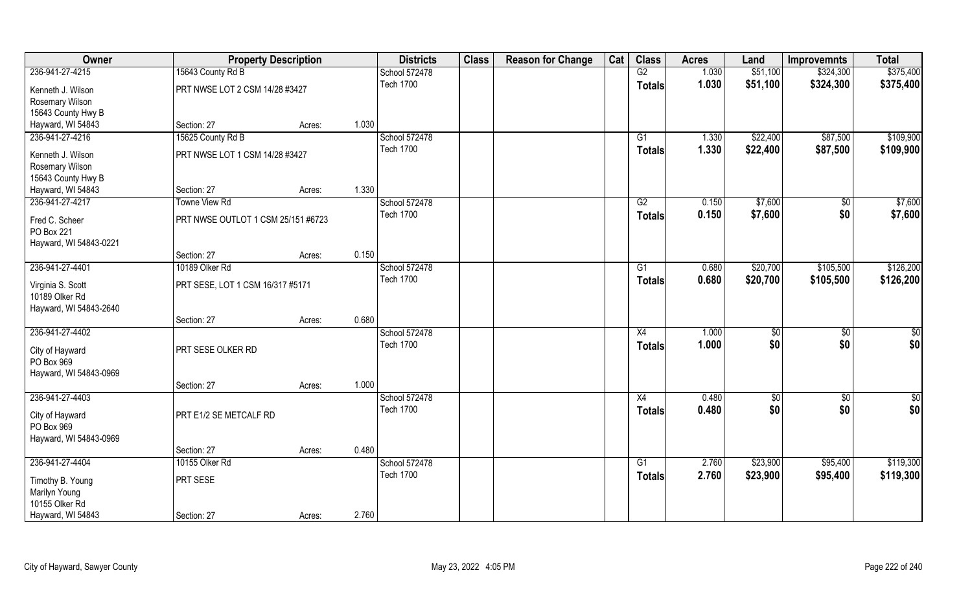| Owner                                                         | <b>Property Description</b>        |        |       | <b>Districts</b>                  | <b>Class</b> | <b>Reason for Change</b> | Cat | <b>Class</b>    | <b>Acres</b>   | Land                 | <b>Improvemnts</b>     | <b>Total</b>           |
|---------------------------------------------------------------|------------------------------------|--------|-------|-----------------------------------|--------------|--------------------------|-----|-----------------|----------------|----------------------|------------------------|------------------------|
| 236-941-27-4215                                               | 15643 County Rd B                  |        |       | School 572478                     |              |                          |     | G2              | 1.030          | \$51,100             | \$324,300              | \$375,400              |
| Kenneth J. Wilson                                             | PRT NWSE LOT 2 CSM 14/28 #3427     |        |       | <b>Tech 1700</b>                  |              |                          |     | <b>Totals</b>   | 1.030          | \$51,100             | \$324,300              | \$375,400              |
| Rosemary Wilson                                               |                                    |        |       |                                   |              |                          |     |                 |                |                      |                        |                        |
| 15643 County Hwy B                                            |                                    |        |       |                                   |              |                          |     |                 |                |                      |                        |                        |
| Hayward, WI 54843                                             | Section: 27                        | Acres: | 1.030 |                                   |              |                          |     |                 |                |                      |                        |                        |
| 236-941-27-4216                                               | 15625 County Rd B                  |        |       | School 572478<br><b>Tech 1700</b> |              |                          |     | G1<br>Totals    | 1.330<br>1.330 | \$22,400<br>\$22,400 | \$87,500<br>\$87,500   | \$109,900<br>\$109,900 |
| Kenneth J. Wilson                                             | PRT NWSE LOT 1 CSM 14/28 #3427     |        |       |                                   |              |                          |     |                 |                |                      |                        |                        |
| Rosemary Wilson                                               |                                    |        |       |                                   |              |                          |     |                 |                |                      |                        |                        |
| 15643 County Hwy B                                            |                                    |        |       |                                   |              |                          |     |                 |                |                      |                        |                        |
| Hayward, WI 54843                                             | Section: 27                        | Acres: | 1.330 |                                   |              |                          |     |                 |                |                      |                        |                        |
| 236-941-27-4217                                               | <b>Towne View Rd</b>               |        |       | School 572478                     |              |                          |     | G2              | 0.150          | \$7,600              | \$0                    | \$7,600                |
| Fred C. Scheer                                                | PRT NWSE OUTLOT 1 CSM 25/151 #6723 |        |       | <b>Tech 1700</b>                  |              |                          |     | <b>Totals</b>   | 0.150          | \$7,600              | \$0                    | \$7,600                |
| PO Box 221                                                    |                                    |        |       |                                   |              |                          |     |                 |                |                      |                        |                        |
| Hayward, WI 54843-0221                                        |                                    |        |       |                                   |              |                          |     |                 |                |                      |                        |                        |
|                                                               | Section: 27                        | Acres: | 0.150 |                                   |              |                          |     |                 |                |                      |                        |                        |
| 236-941-27-4401                                               | 10189 Olker Rd                     |        |       | School 572478                     |              |                          |     | G1              | 0.680          | \$20,700             | \$105,500              | \$126,200              |
| Virginia S. Scott<br>10189 Olker Rd<br>Hayward, WI 54843-2640 | PRT SESE, LOT 1 CSM 16/317 #5171   |        |       | <b>Tech 1700</b>                  |              |                          |     | <b>Totals</b>   | 0.680          | \$20,700             | \$105,500              | \$126,200              |
|                                                               | Section: 27                        | Acres: | 0.680 |                                   |              |                          |     |                 |                |                      |                        |                        |
| 236-941-27-4402                                               |                                    |        |       | School 572478                     |              |                          |     | $\overline{X4}$ | 1.000          | \$0                  | $\overline{50}$        | \$0                    |
|                                                               |                                    |        |       | <b>Tech 1700</b>                  |              |                          |     | <b>Totals</b>   | 1.000          | \$0                  | \$0                    | \$0                    |
| City of Hayward<br>PO Box 969<br>Hayward, WI 54843-0969       | PRT SESE OLKER RD                  |        |       |                                   |              |                          |     |                 |                |                      |                        |                        |
|                                                               | Section: 27                        | Acres: | 1.000 |                                   |              |                          |     |                 |                |                      |                        |                        |
| 236-941-27-4403                                               |                                    |        |       | School 572478                     |              |                          |     | X4              | 0.480          |                      |                        | $\frac{1}{2}$          |
|                                                               |                                    |        |       | <b>Tech 1700</b>                  |              |                          |     |                 |                | \$0<br>\$0           | $\overline{50}$<br>\$0 |                        |
| City of Hayward<br>PO Box 969                                 | PRT E1/2 SE METCALF RD             |        |       |                                   |              |                          |     | <b>Totals</b>   | 0.480          |                      |                        | \$0                    |
| Hayward, WI 54843-0969                                        |                                    |        |       |                                   |              |                          |     |                 |                |                      |                        |                        |
|                                                               | Section: 27                        | Acres: | 0.480 |                                   |              |                          |     |                 |                |                      |                        |                        |
| 236-941-27-4404                                               | 10155 Olker Rd                     |        |       | School 572478                     |              |                          |     | $\overline{G1}$ | 2.760          | \$23,900             | \$95,400               | \$119,300              |
|                                                               |                                    |        |       | <b>Tech 1700</b>                  |              |                          |     |                 | 2.760          | \$23,900             | \$95,400               | \$119,300              |
| Timothy B. Young                                              | PRT SESE                           |        |       |                                   |              |                          |     | <b>Totals</b>   |                |                      |                        |                        |
| Marilyn Young                                                 |                                    |        |       |                                   |              |                          |     |                 |                |                      |                        |                        |
| 10155 Olker Rd                                                |                                    |        |       |                                   |              |                          |     |                 |                |                      |                        |                        |
| Hayward, WI 54843                                             | Section: 27                        | Acres: | 2.760 |                                   |              |                          |     |                 |                |                      |                        |                        |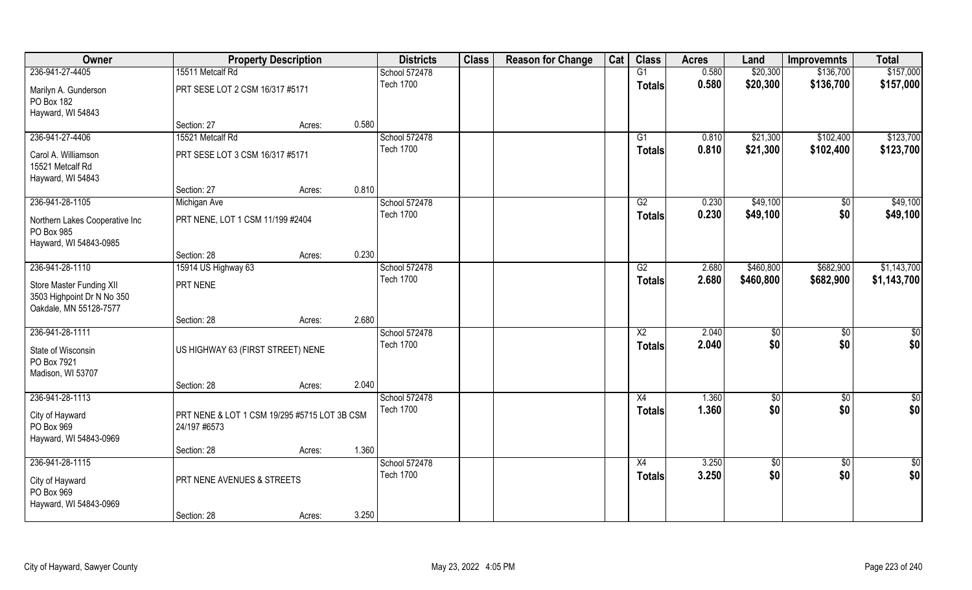| Owner                                                                            |                                              | <b>Property Description</b> |       | <b>Districts</b>                  | <b>Class</b> | <b>Reason for Change</b> | Cat | <b>Class</b>           | <b>Acres</b>   | Land                   | <b>Improvemnts</b>     | <b>Total</b>  |
|----------------------------------------------------------------------------------|----------------------------------------------|-----------------------------|-------|-----------------------------------|--------------|--------------------------|-----|------------------------|----------------|------------------------|------------------------|---------------|
| 236-941-27-4405                                                                  | 15511 Metcalf Rd                             |                             |       | School 572478                     |              |                          |     | G1                     | 0.580          | \$20,300               | \$136,700              | \$157,000     |
| Marilyn A. Gunderson<br>PO Box 182                                               | PRT SESE LOT 2 CSM 16/317 #5171              |                             |       | <b>Tech 1700</b>                  |              |                          |     | <b>Totals</b>          | 0.580          | \$20,300               | \$136,700              | \$157,000     |
| Hayward, WI 54843                                                                |                                              |                             |       |                                   |              |                          |     |                        |                |                        |                        |               |
|                                                                                  | Section: 27                                  | Acres:                      | 0.580 |                                   |              |                          |     |                        |                |                        |                        |               |
| 236-941-27-4406                                                                  | 15521 Metcalf Rd                             |                             |       | School 572478                     |              |                          |     | G1                     | 0.810          | \$21,300               | \$102,400              | \$123,700     |
| Carol A. Williamson                                                              | PRT SESE LOT 3 CSM 16/317 #5171              |                             |       | <b>Tech 1700</b>                  |              |                          |     | Totals                 | 0.810          | \$21,300               | \$102,400              | \$123,700     |
| 15521 Metcalf Rd                                                                 |                                              |                             |       |                                   |              |                          |     |                        |                |                        |                        |               |
| Hayward, WI 54843                                                                |                                              |                             |       |                                   |              |                          |     |                        |                |                        |                        |               |
|                                                                                  | Section: 27                                  | Acres:                      | 0.810 |                                   |              |                          |     |                        |                |                        |                        |               |
| 236-941-28-1105                                                                  | Michigan Ave                                 |                             |       | School 572478                     |              |                          |     | G2                     | 0.230          | \$49,100               | \$0                    | \$49,100      |
| Northern Lakes Cooperative Inc<br>PO Box 985                                     | PRT NENE, LOT 1 CSM 11/199 #2404             |                             |       | <b>Tech 1700</b>                  |              |                          |     | <b>Totals</b>          | 0.230          | \$49,100               | \$0                    | \$49,100      |
| Hayward, WI 54843-0985                                                           |                                              |                             |       |                                   |              |                          |     |                        |                |                        |                        |               |
|                                                                                  | Section: 28                                  | Acres:                      | 0.230 |                                   |              |                          |     |                        |                |                        |                        |               |
| 236-941-28-1110                                                                  | 15914 US Highway 63                          |                             |       | School 572478<br><b>Tech 1700</b> |              |                          |     | G2                     | 2.680<br>2.680 | \$460,800<br>\$460,800 | \$682,900<br>\$682,900 | \$1,143,700   |
| Store Master Funding XII<br>3503 Highpoint Dr N No 350<br>Oakdale, MN 55128-7577 | PRT NENE                                     |                             |       |                                   |              |                          |     | <b>Totals</b>          |                |                        |                        | \$1,143,700   |
|                                                                                  | Section: 28                                  | Acres:                      | 2.680 |                                   |              |                          |     |                        |                |                        |                        |               |
| 236-941-28-1111                                                                  |                                              |                             |       | School 572478                     |              |                          |     | $\overline{\text{X2}}$ | 2.040          | \$                     | \$0                    | \$0           |
| State of Wisconsin                                                               | US HIGHWAY 63 (FIRST STREET) NENE            |                             |       | <b>Tech 1700</b>                  |              |                          |     | <b>Totals</b>          | 2.040          | \$0                    | \$0                    | \$0           |
| PO Box 7921                                                                      |                                              |                             |       |                                   |              |                          |     |                        |                |                        |                        |               |
| Madison, WI 53707                                                                |                                              |                             |       |                                   |              |                          |     |                        |                |                        |                        |               |
|                                                                                  | Section: 28                                  | Acres:                      | 2.040 |                                   |              |                          |     |                        |                |                        |                        |               |
| 236-941-28-1113                                                                  |                                              |                             |       | School 572478                     |              |                          |     | X4                     | 1.360          | \$0                    | \$0                    | $\frac{1}{2}$ |
| City of Hayward                                                                  | PRT NENE & LOT 1 CSM 19/295 #5715 LOT 3B CSM |                             |       | <b>Tech 1700</b>                  |              |                          |     | <b>Totals</b>          | 1.360          | \$0                    | \$0                    | \$0           |
| PO Box 969                                                                       | 24/197 #6573                                 |                             |       |                                   |              |                          |     |                        |                |                        |                        |               |
| Hayward, WI 54843-0969                                                           |                                              |                             |       |                                   |              |                          |     |                        |                |                        |                        |               |
| 236-941-28-1115                                                                  | Section: 28                                  | Acres:                      | 1.360 | School 572478                     |              |                          |     | X4                     | 3.250          | $\sqrt{6}$             | $\overline{50}$        | $rac{1}{2}$   |
|                                                                                  |                                              |                             |       | <b>Tech 1700</b>                  |              |                          |     | <b>Totals</b>          | 3.250          | \$0                    | \$0                    | \$0           |
| City of Hayward<br>PO Box 969<br>Hayward, WI 54843-0969                          | PRT NENE AVENUES & STREETS                   |                             |       |                                   |              |                          |     |                        |                |                        |                        |               |
|                                                                                  | Section: 28                                  | Acres:                      | 3.250 |                                   |              |                          |     |                        |                |                        |                        |               |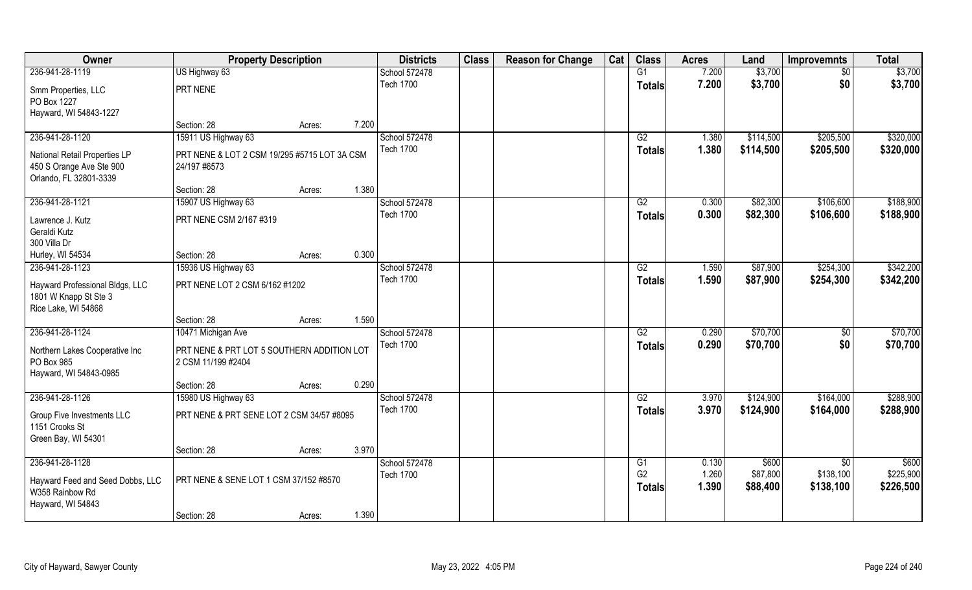| Owner                                                                           | <b>Property Description</b>                  |        |       | <b>Districts</b> | <b>Class</b> | <b>Reason for Change</b> | Cat | <b>Class</b>    | <b>Acres</b> | Land      | <b>Improvemnts</b> | <b>Total</b> |
|---------------------------------------------------------------------------------|----------------------------------------------|--------|-------|------------------|--------------|--------------------------|-----|-----------------|--------------|-----------|--------------------|--------------|
| 236-941-28-1119                                                                 | US Highway 63                                |        |       | School 572478    |              |                          |     | G1              | 7.200        | \$3,700   | \$0                | \$3,700      |
| Smm Properties, LLC<br>PO Box 1227                                              | PRT NENE                                     |        |       | <b>Tech 1700</b> |              |                          |     | <b>Totals</b>   | 7.200        | \$3,700   | \$0                | \$3,700      |
| Hayward, WI 54843-1227                                                          |                                              |        |       |                  |              |                          |     |                 |              |           |                    |              |
|                                                                                 | Section: 28                                  | Acres: | 7.200 |                  |              |                          |     |                 |              |           |                    |              |
| 236-941-28-1120                                                                 | 15911 US Highway 63                          |        |       | School 572478    |              |                          |     | G2              | 1.380        | \$114,500 | \$205,500          | \$320,000    |
| National Retail Properties LP                                                   | PRT NENE & LOT 2 CSM 19/295 #5715 LOT 3A CSM |        |       | <b>Tech 1700</b> |              |                          |     | <b>Totals</b>   | 1.380        | \$114,500 | \$205,500          | \$320,000    |
| 450 S Orange Ave Ste 900                                                        | 24/197 #6573                                 |        |       |                  |              |                          |     |                 |              |           |                    |              |
| Orlando, FL 32801-3339                                                          |                                              |        |       |                  |              |                          |     |                 |              |           |                    |              |
|                                                                                 | Section: 28                                  | Acres: | 1.380 |                  |              |                          |     |                 |              |           |                    |              |
| 236-941-28-1121                                                                 | 15907 US Highway 63                          |        |       | School 572478    |              |                          |     | G2              | 0.300        | \$82,300  | \$106,600          | \$188,900    |
| Lawrence J. Kutz                                                                | PRT NENE CSM 2/167 #319                      |        |       | <b>Tech 1700</b> |              |                          |     | <b>Totals</b>   | 0.300        | \$82,300  | \$106,600          | \$188,900    |
| Geraldi Kutz                                                                    |                                              |        |       |                  |              |                          |     |                 |              |           |                    |              |
| 300 Villa Dr                                                                    |                                              |        |       |                  |              |                          |     |                 |              |           |                    |              |
| Hurley, WI 54534                                                                | Section: 28                                  | Acres: | 0.300 |                  |              |                          |     |                 |              |           |                    |              |
| 236-941-28-1123                                                                 | 15936 US Highway 63                          |        |       | School 572478    |              |                          |     | G2              | 1.590        | \$87,900  | \$254,300          | \$342,200    |
| Hayward Professional Bldgs, LLC<br>1801 W Knapp St Ste 3<br>Rice Lake, WI 54868 | PRT NENE LOT 2 CSM 6/162 #1202               |        |       | <b>Tech 1700</b> |              |                          |     | <b>Totals</b>   | 1.590        | \$87,900  | \$254,300          | \$342,200    |
|                                                                                 | Section: 28                                  | Acres: | 1.590 |                  |              |                          |     |                 |              |           |                    |              |
| 236-941-28-1124                                                                 | 10471 Michigan Ave                           |        |       | School 572478    |              |                          |     | $\overline{G2}$ | 0.290        | \$70,700  | \$0                | \$70,700     |
| Northern Lakes Cooperative Inc                                                  | PRT NENE & PRT LOT 5 SOUTHERN ADDITION LOT   |        |       | <b>Tech 1700</b> |              |                          |     | <b>Totals</b>   | 0.290        | \$70,700  | \$0                | \$70,700     |
| PO Box 985                                                                      | 2 CSM 11/199 #2404                           |        |       |                  |              |                          |     |                 |              |           |                    |              |
| Hayward, WI 54843-0985                                                          |                                              |        |       |                  |              |                          |     |                 |              |           |                    |              |
|                                                                                 | Section: 28                                  | Acres: | 0.290 |                  |              |                          |     |                 |              |           |                    |              |
| 236-941-28-1126                                                                 | 15980 US Highway 63                          |        |       | School 572478    |              |                          |     | G2              | 3.970        | \$124,900 | \$164,000          | \$288,900    |
| Group Five Investments LLC                                                      | PRT NENE & PRT SENE LOT 2 CSM 34/57 #8095    |        |       | <b>Tech 1700</b> |              |                          |     | <b>Totals</b>   | 3.970        | \$124,900 | \$164,000          | \$288,900    |
| 1151 Crooks St                                                                  |                                              |        |       |                  |              |                          |     |                 |              |           |                    |              |
| Green Bay, WI 54301                                                             |                                              |        | 3.970 |                  |              |                          |     |                 |              |           |                    |              |
| 236-941-28-1128                                                                 | Section: 28                                  | Acres: |       | School 572478    |              |                          |     | G1              | 0.130        | \$600     | $\overline{60}$    | \$600        |
|                                                                                 |                                              |        |       | <b>Tech 1700</b> |              |                          |     | G <sub>2</sub>  | 1.260        | \$87,800  | \$138,100          | \$225,900    |
| Hayward Feed and Seed Dobbs, LLC<br>W358 Rainbow Rd<br>Hayward, WI 54843        | PRT NENE & SENE LOT 1 CSM 37/152 #8570       |        |       |                  |              |                          |     | <b>Totals</b>   | 1.390        | \$88,400  | \$138,100          | \$226,500    |
|                                                                                 | Section: 28                                  | Acres: | 1.390 |                  |              |                          |     |                 |              |           |                    |              |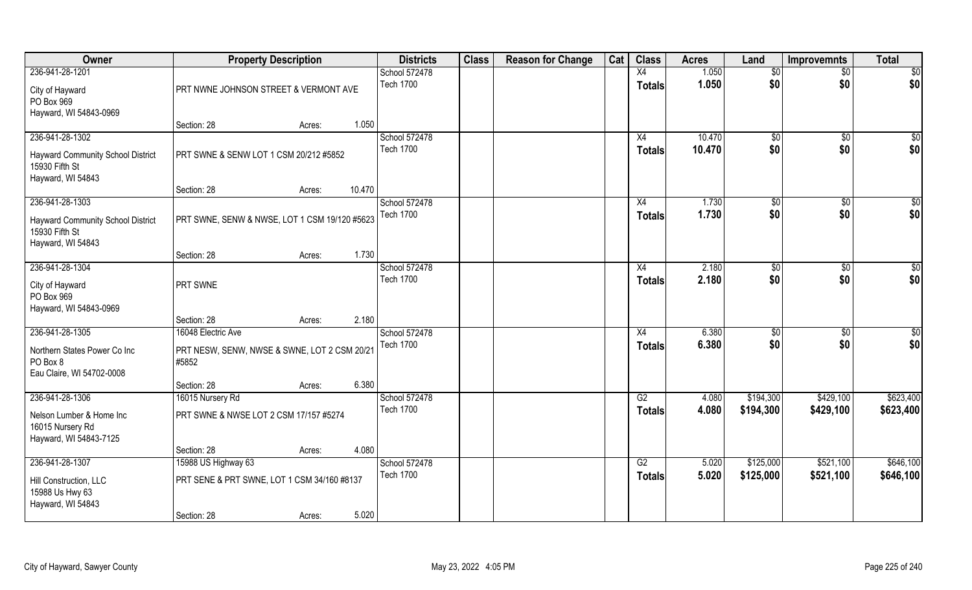| Owner                                                                         | <b>Property Description</b>                           |                  | <b>Districts</b>                  | <b>Class</b> | <b>Reason for Change</b> | Cat | <b>Class</b>        | <b>Acres</b>     | Land       | <b>Improvemnts</b>     | <b>Total</b>       |
|-------------------------------------------------------------------------------|-------------------------------------------------------|------------------|-----------------------------------|--------------|--------------------------|-----|---------------------|------------------|------------|------------------------|--------------------|
| 236-941-28-1201                                                               |                                                       |                  | School 572478                     |              |                          |     | X4                  | 1.050            | \$0        | $\sqrt{$0}$            | $\sqrt{50}$        |
| City of Hayward<br>PO Box 969<br>Hayward, WI 54843-0969                       | PRT NWNE JOHNSON STREET & VERMONT AVE                 |                  | <b>Tech 1700</b>                  |              |                          |     | <b>Totals</b>       | 1.050            | \$0        | \$0                    | \$0                |
|                                                                               | Section: 28                                           | 1.050<br>Acres:  |                                   |              |                          |     |                     |                  |            |                        |                    |
| 236-941-28-1302<br><b>Hayward Community School District</b><br>15930 Fifth St | PRT SWNE & SENW LOT 1 CSM 20/212 #5852                |                  | School 572478<br><b>Tech 1700</b> |              |                          |     | X4<br><b>Totals</b> | 10.470<br>10.470 | \$0<br>\$0 | $\sqrt{$0}$<br>\$0     | \$0<br>\$0         |
| Hayward, WI 54843                                                             | Section: 28                                           | 10.470<br>Acres: |                                   |              |                          |     |                     |                  |            |                        |                    |
| 236-941-28-1303                                                               |                                                       |                  | School 572478                     |              |                          |     | X4                  | 1.730            | \$0        | $\overline{50}$        | $\sqrt{50}$        |
| Hayward Community School District<br>15930 Fifth St<br>Hayward, WI 54843      | PRT SWNE, SENW & NWSE, LOT 1 CSM 19/120 #5623         |                  | <b>Tech 1700</b>                  |              |                          |     | <b>Totals</b>       | 1.730            | \$0        | \$0                    | \$0                |
|                                                                               | Section: 28                                           | 1.730<br>Acres:  |                                   |              |                          |     |                     |                  |            |                        |                    |
| 236-941-28-1304                                                               |                                                       |                  | School 572478                     |              |                          |     | X4                  | 2.180            | \$0        | $\sqrt[6]{3}$          | \$0                |
| City of Hayward<br>PO Box 969<br>Hayward, WI 54843-0969                       | PRT SWNE                                              |                  | <b>Tech 1700</b>                  |              |                          |     | <b>Totals</b>       | 2.180            | \$0        | \$0                    | \$0                |
|                                                                               | Section: 28                                           | 2.180<br>Acres:  |                                   |              |                          |     |                     |                  |            |                        |                    |
| 236-941-28-1305                                                               | 16048 Electric Ave                                    |                  | School 572478<br><b>Tech 1700</b> |              |                          |     | X4                  | 6.380<br>6.380   | \$0<br>\$0 | $\overline{50}$<br>\$0 | $\sqrt{50}$<br>\$0 |
| Northern States Power Co Inc<br>PO Box 8<br>Eau Claire, WI 54702-0008         | PRT NESW, SENW, NWSE & SWNE, LOT 2 CSM 20/21<br>#5852 |                  |                                   |              |                          |     | <b>Totals</b>       |                  |            |                        |                    |
|                                                                               | Section: 28                                           | 6.380<br>Acres:  |                                   |              |                          |     |                     |                  |            |                        |                    |
| 236-941-28-1306                                                               | 16015 Nursery Rd                                      |                  | School 572478                     |              |                          |     | G2                  | 4.080            | \$194,300  | \$429,100              | \$623,400          |
| Nelson Lumber & Home Inc<br>16015 Nursery Rd<br>Hayward, WI 54843-7125        | PRT SWNE & NWSE LOT 2 CSM 17/157 #5274                |                  | <b>Tech 1700</b>                  |              |                          |     | <b>Totals</b>       | 4.080            | \$194,300  | \$429,100              | \$623,400          |
|                                                                               | Section: 28                                           | 4.080<br>Acres:  |                                   |              |                          |     |                     |                  |            |                        |                    |
| 236-941-28-1307                                                               | 15988 US Highway 63                                   |                  | School 572478                     |              |                          |     | G2                  | 5.020            | \$125,000  | \$521,100              | \$646,100          |
| Hill Construction, LLC<br>15988 Us Hwy 63<br>Hayward, WI 54843                | PRT SENE & PRT SWNE, LOT 1 CSM 34/160 #8137           |                  | <b>Tech 1700</b>                  |              |                          |     | <b>Totals</b>       | 5.020            | \$125,000  | \$521,100              | \$646,100          |
|                                                                               | Section: 28                                           | 5.020<br>Acres:  |                                   |              |                          |     |                     |                  |            |                        |                    |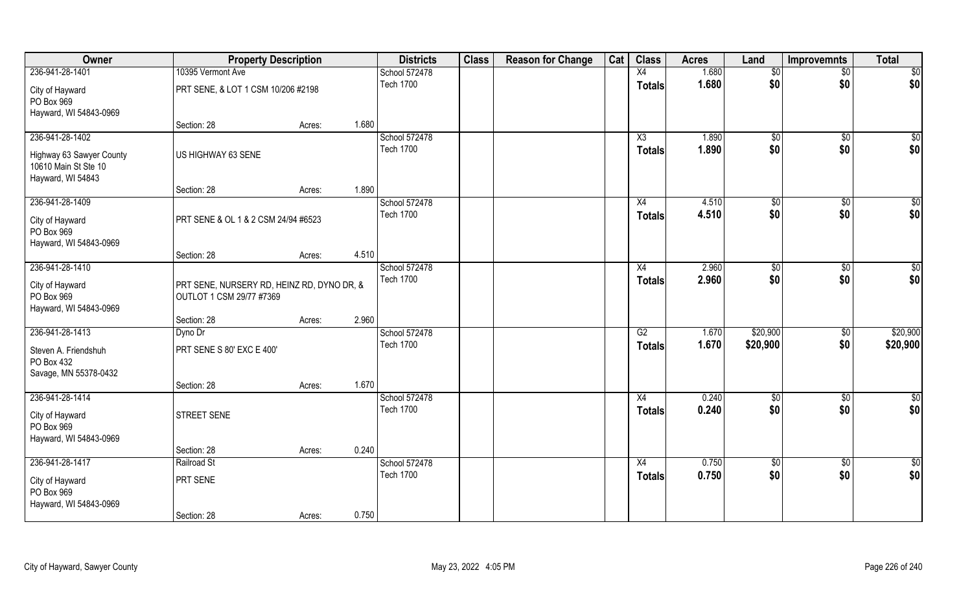| Owner                                                                                    | <b>Property Description</b>                                            |        |       | <b>Districts</b>                  | <b>Class</b> | <b>Reason for Change</b> | Cat | <b>Class</b>                     | <b>Acres</b>   | Land                 | <b>Improvemnts</b>     | <b>Total</b>         |
|------------------------------------------------------------------------------------------|------------------------------------------------------------------------|--------|-------|-----------------------------------|--------------|--------------------------|-----|----------------------------------|----------------|----------------------|------------------------|----------------------|
| 236-941-28-1401                                                                          | 10395 Vermont Ave                                                      |        |       | School 572478                     |              |                          |     | X4                               | 1.680          | \$0                  | $\sqrt{$0}$            | $\overline{50}$      |
| City of Hayward<br>PO Box 969<br>Hayward, WI 54843-0969                                  | PRT SENE, & LOT 1 CSM 10/206 #2198                                     |        |       | <b>Tech 1700</b>                  |              |                          |     | <b>Totals</b>                    | 1.680          | \$0                  | \$0                    | \$0                  |
|                                                                                          | Section: 28                                                            | Acres: | 1.680 |                                   |              |                          |     |                                  |                |                      |                        |                      |
| 236-941-28-1402<br>Highway 63 Sawyer County<br>10610 Main St Ste 10<br>Hayward, WI 54843 | US HIGHWAY 63 SENE                                                     |        |       | School 572478<br><b>Tech 1700</b> |              |                          |     | X3<br>Totals                     | 1.890<br>1.890 | $\sqrt{60}$<br>\$0   | \$0<br>\$0             | $\sqrt{50}$<br>\$0   |
|                                                                                          | Section: 28                                                            | Acres: | 1.890 |                                   |              |                          |     |                                  |                |                      |                        |                      |
| 236-941-28-1409<br>City of Hayward<br>PO Box 969<br>Hayward, WI 54843-0969               | PRT SENE & OL 1 & 2 CSM 24/94 #6523                                    |        |       | School 572478<br><b>Tech 1700</b> |              |                          |     | X4<br><b>Totals</b>              | 4.510<br>4.510 | \$0<br>\$0           | \$0<br>\$0             | \$0<br>\$0           |
|                                                                                          | Section: 28                                                            | Acres: | 4.510 |                                   |              |                          |     |                                  |                |                      |                        |                      |
| 236-941-28-1410<br>City of Hayward<br>PO Box 969<br>Hayward, WI 54843-0969               | PRT SENE, NURSERY RD, HEINZ RD, DYNO DR, &<br>OUTLOT 1 CSM 29/77 #7369 |        |       | School 572478<br><b>Tech 1700</b> |              |                          |     | X4<br><b>Totals</b>              | 2.960<br>2.960 | \$0<br>\$0           | $\sqrt[6]{3}$<br>\$0   | \$0<br>\$0           |
|                                                                                          | Section: 28                                                            | Acres: | 2.960 |                                   |              |                          |     |                                  |                |                      |                        |                      |
| 236-941-28-1413<br>Steven A. Friendshuh<br>PO Box 432<br>Savage, MN 55378-0432           | Dyno Dr<br>PRT SENE S 80' EXC E 400'                                   |        |       | School 572478<br><b>Tech 1700</b> |              |                          |     | $\overline{G2}$<br><b>Totals</b> | 1.670<br>1.670 | \$20,900<br>\$20,900 | $\overline{50}$<br>\$0 | \$20,900<br>\$20,900 |
|                                                                                          | Section: 28                                                            | Acres: | 1.670 |                                   |              |                          |     |                                  |                |                      |                        |                      |
| 236-941-28-1414<br>City of Hayward<br>PO Box 969<br>Hayward, WI 54843-0969               | STREET SENE                                                            |        |       | School 572478<br><b>Tech 1700</b> |              |                          |     | X4<br><b>Totals</b>              | 0.240<br>0.240 | \$0<br>\$0           | $\sqrt{$0}$<br>\$0     | \$0<br>\$0           |
|                                                                                          | Section: 28                                                            | Acres: | 0.240 |                                   |              |                          |     |                                  |                |                      |                        |                      |
| 236-941-28-1417<br>City of Hayward<br>PO Box 969<br>Hayward, WI 54843-0969               | Railroad St<br>PRT SENE                                                |        |       | School 572478<br><b>Tech 1700</b> |              |                          |     | X4<br><b>Totals</b>              | 0.750<br>0.750 | $\sqrt{50}$<br>\$0   | $\overline{30}$<br>\$0 | \$0<br>\$0           |
|                                                                                          | Section: 28                                                            | Acres: | 0.750 |                                   |              |                          |     |                                  |                |                      |                        |                      |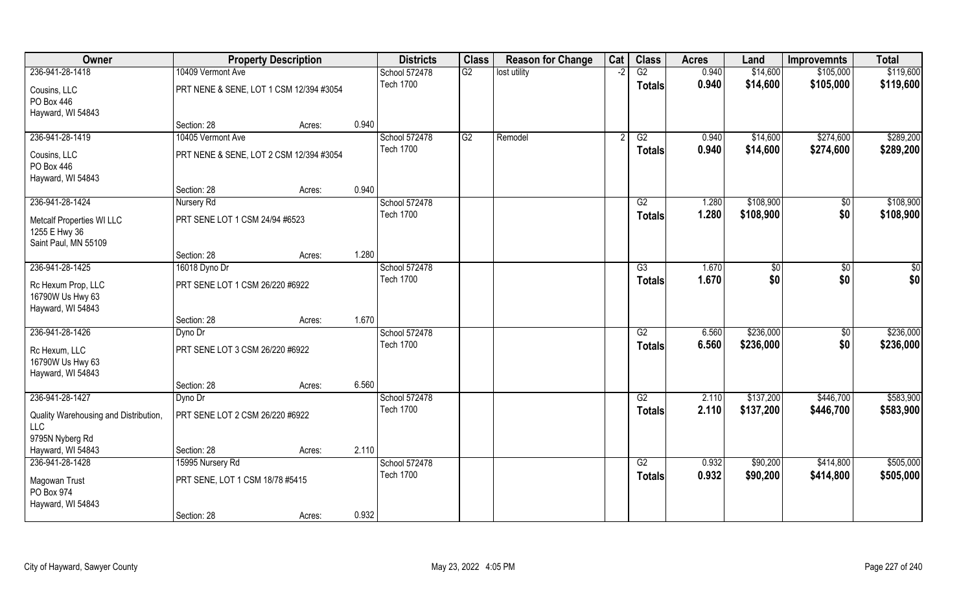| Owner                                                                     | <b>Property Description</b>             |        |       | <b>Districts</b> | <b>Class</b> | <b>Reason for Change</b> | Cat | <b>Class</b>    | <b>Acres</b> | Land          | <b>Improvemnts</b> | <b>Total</b> |
|---------------------------------------------------------------------------|-----------------------------------------|--------|-------|------------------|--------------|--------------------------|-----|-----------------|--------------|---------------|--------------------|--------------|
| 236-941-28-1418                                                           | 10409 Vermont Ave                       |        |       | School 572478    | G2           | lost utility             | -2  | $\overline{G2}$ | 0.940        | \$14,600      | \$105,000          | \$119,600    |
| Cousins, LLC<br>PO Box 446                                                | PRT NENE & SENE, LOT 1 CSM 12/394 #3054 |        |       | <b>Tech 1700</b> |              |                          |     | Totals          | 0.940        | \$14,600      | \$105,000          | \$119,600    |
| Hayward, WI 54843                                                         |                                         |        |       |                  |              |                          |     |                 |              |               |                    |              |
|                                                                           | Section: 28                             | Acres: | 0.940 |                  |              |                          |     |                 |              |               |                    |              |
| 236-941-28-1419                                                           | 10405 Vermont Ave                       |        |       | School 572478    | G2           | Remodel                  |     | G2              | 0.940        | \$14,600      | \$274,600          | \$289,200    |
| Cousins, LLC                                                              | PRT NENE & SENE, LOT 2 CSM 12/394 #3054 |        |       | <b>Tech 1700</b> |              |                          |     | Totals          | 0.940        | \$14,600      | \$274,600          | \$289,200    |
| PO Box 446                                                                |                                         |        |       |                  |              |                          |     |                 |              |               |                    |              |
| Hayward, WI 54843                                                         |                                         |        |       |                  |              |                          |     |                 |              |               |                    |              |
|                                                                           | Section: 28                             | Acres: | 0.940 |                  |              |                          |     |                 |              |               |                    |              |
| 236-941-28-1424                                                           | Nursery Rd                              |        |       | School 572478    |              |                          |     | G2              | 1.280        | \$108,900     | \$0                | \$108,900    |
| <b>Metcalf Properties WI LLC</b><br>1255 E Hwy 36<br>Saint Paul, MN 55109 | PRT SENE LOT 1 CSM 24/94 #6523          |        |       | <b>Tech 1700</b> |              |                          |     | <b>Totals</b>   | 1.280        | \$108,900     | \$0                | \$108,900    |
|                                                                           | Section: 28                             | Acres: | 1.280 |                  |              |                          |     |                 |              |               |                    |              |
| 236-941-28-1425                                                           | 16018 Dyno Dr                           |        |       | School 572478    |              |                          |     | G3              | 1.670        | $\frac{6}{3}$ | $\sqrt{50}$        | \$0          |
|                                                                           |                                         |        |       | <b>Tech 1700</b> |              |                          |     | <b>Totals</b>   | 1.670        | \$0           | \$0                | \$0          |
| Rc Hexum Prop, LLC<br>16790W Us Hwy 63<br>Hayward, WI 54843               | PRT SENE LOT 1 CSM 26/220 #6922         |        |       |                  |              |                          |     |                 |              |               |                    |              |
|                                                                           | Section: 28                             | Acres: | 1.670 |                  |              |                          |     |                 |              |               |                    |              |
| 236-941-28-1426                                                           | Dyno Dr                                 |        |       | School 572478    |              |                          |     | $\overline{G2}$ | 6.560        | \$236,000     | $\overline{50}$    | \$236,000    |
| Rc Hexum, LLC                                                             | PRT SENE LOT 3 CSM 26/220 #6922         |        |       | <b>Tech 1700</b> |              |                          |     | <b>Totals</b>   | 6.560        | \$236,000     | \$0                | \$236,000    |
| 16790W Us Hwy 63<br>Hayward, WI 54843                                     |                                         |        |       |                  |              |                          |     |                 |              |               |                    |              |
|                                                                           | Section: 28                             | Acres: | 6.560 |                  |              |                          |     |                 |              |               |                    |              |
| 236-941-28-1427                                                           | Dyno Dr                                 |        |       | School 572478    |              |                          |     | G2              | 2.110        | \$137,200     | \$446,700          | \$583,900    |
| Quality Warehousing and Distribution,<br>LLC                              | PRT SENE LOT 2 CSM 26/220 #6922         |        |       | <b>Tech 1700</b> |              |                          |     | <b>Totals</b>   | 2.110        | \$137,200     | \$446,700          | \$583,900    |
| 9795N Nyberg Rd                                                           |                                         |        |       |                  |              |                          |     |                 |              |               |                    |              |
| Hayward, WI 54843                                                         | Section: 28                             | Acres: | 2.110 |                  |              |                          |     |                 |              |               |                    |              |
| 236-941-28-1428                                                           | 15995 Nursery Rd                        |        |       | School 572478    |              |                          |     | G2              | 0.932        | \$90,200      | \$414,800          | \$505,000    |
| Magowan Trust<br>PO Box 974                                               | PRT SENE, LOT 1 CSM 18/78 #5415         |        |       | <b>Tech 1700</b> |              |                          |     | <b>Totals</b>   | 0.932        | \$90,200      | \$414,800          | \$505,000    |
| Hayward, WI 54843                                                         |                                         |        |       |                  |              |                          |     |                 |              |               |                    |              |
|                                                                           | Section: 28                             | Acres: | 0.932 |                  |              |                          |     |                 |              |               |                    |              |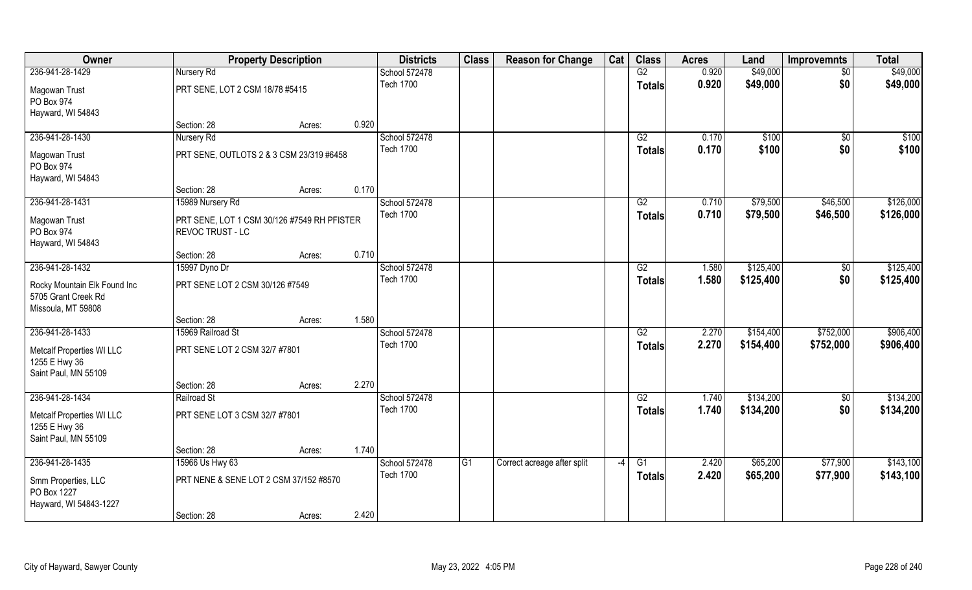| Owner                                                                     |                                                                 | <b>Property Description</b>            |                  | <b>Districts</b> | <b>Class</b> | <b>Reason for Change</b>    | Cat           | <b>Class</b>    | <b>Acres</b> | Land      | <b>Improvemnts</b> | <b>Total</b> |
|---------------------------------------------------------------------------|-----------------------------------------------------------------|----------------------------------------|------------------|------------------|--------------|-----------------------------|---------------|-----------------|--------------|-----------|--------------------|--------------|
| 236-941-28-1429                                                           | Nursery Rd                                                      |                                        |                  | School 572478    |              |                             |               | G2              | 0.920        | \$49,000  | $\sqrt{6}$         | \$49,000     |
| Magowan Trust<br>PO Box 974                                               | PRT SENE, LOT 2 CSM 18/78 #5415                                 |                                        |                  | <b>Tech 1700</b> |              |                             |               | <b>Totals</b>   | 0.920        | \$49,000  | \$0                | \$49,000     |
| Hayward, WI 54843                                                         |                                                                 |                                        |                  |                  |              |                             |               |                 |              |           |                    |              |
|                                                                           | Section: 28                                                     | Acres:                                 | 0.920            |                  |              |                             |               |                 |              |           |                    |              |
| 236-941-28-1430                                                           | Nursery Rd                                                      |                                        |                  | School 572478    |              |                             |               | G2              | 0.170        | \$100     | $\overline{50}$    | \$100        |
| Magowan Trust<br>PO Box 974                                               | PRT SENE, OUTLOTS 2 & 3 CSM 23/319 #6458                        |                                        |                  | <b>Tech 1700</b> |              |                             |               | <b>Totals</b>   | 0.170        | \$100     | \$0                | \$100        |
| Hayward, WI 54843                                                         | Section: 28                                                     | Acres:                                 | 0.170            |                  |              |                             |               |                 |              |           |                    |              |
| 236-941-28-1431                                                           | 15989 Nursery Rd                                                |                                        |                  | School 572478    |              |                             |               | G2              | 0.710        | \$79,500  | \$46,500           | \$126,000    |
| Magowan Trust<br>PO Box 974<br>Hayward, WI 54843                          | PRT SENE, LOT 1 CSM 30/126 #7549 RH PFISTER<br>REVOC TRUST - LC |                                        |                  | <b>Tech 1700</b> |              |                             |               | <b>Totals</b>   | 0.710        | \$79,500  | \$46,500           | \$126,000    |
|                                                                           | Section: 28                                                     | Acres:                                 | 0.710            |                  |              |                             |               |                 |              |           |                    |              |
| 236-941-28-1432                                                           | 15997 Dyno Dr                                                   |                                        |                  | School 572478    |              |                             |               | G2              | 1.580        | \$125,400 | \$0                | \$125,400    |
| Rocky Mountain Elk Found Inc<br>5705 Grant Creek Rd<br>Missoula, MT 59808 | PRT SENE LOT 2 CSM 30/126 #7549                                 |                                        |                  | <b>Tech 1700</b> |              |                             |               | <b>Totals</b>   | 1.580        | \$125,400 | \$0                | \$125,400    |
|                                                                           | Section: 28                                                     | Acres:                                 | 1.580            |                  |              |                             |               |                 |              |           |                    |              |
| 236-941-28-1433                                                           | 15969 Railroad St                                               |                                        |                  | School 572478    |              |                             |               | $\overline{G2}$ | 2.270        | \$154,400 | \$752,000          | \$906,400    |
| Metcalf Properties WI LLC<br>1255 E Hwy 36<br>Saint Paul, MN 55109        | PRT SENE LOT 2 CSM 32/7 #7801                                   |                                        |                  | <b>Tech 1700</b> |              |                             |               | <b>Totals</b>   | 2.270        | \$154,400 | \$752,000          | \$906,400    |
|                                                                           | Section: 28                                                     | Acres:                                 | 2.270            |                  |              |                             |               |                 |              |           |                    |              |
| 236-941-28-1434                                                           | Railroad St                                                     |                                        |                  | School 572478    |              |                             |               | G2              | 1.740        | \$134,200 | $\sqrt{50}$        | \$134,200    |
| Metcalf Properties WI LLC<br>1255 E Hwy 36<br>Saint Paul, MN 55109        | PRT SENE LOT 3 CSM 32/7 #7801                                   |                                        |                  | <b>Tech 1700</b> |              |                             |               | <b>Totals</b>   | 1.740        | \$134,200 | \$0                | \$134,200    |
|                                                                           | Section: 28                                                     | Acres:                                 | 1.740            |                  |              |                             |               |                 |              |           |                    |              |
| 236-941-28-1435                                                           | 15966 Us Hwy 63                                                 |                                        |                  | School 572478    | G1           | Correct acreage after split | $-4$          | $\overline{G1}$ | 2.420        | \$65,200  | \$77,900           | \$143,100    |
| Smm Properties, LLC<br>PO Box 1227                                        |                                                                 | PRT NENE & SENE LOT 2 CSM 37/152 #8570 | <b>Tech 1700</b> |                  |              |                             | <b>Totals</b> | 2.420           | \$65,200     | \$77,900  | \$143,100          |              |
| Hayward, WI 54843-1227                                                    | Section: 28                                                     | Acres:                                 | 2.420            |                  |              |                             |               |                 |              |           |                    |              |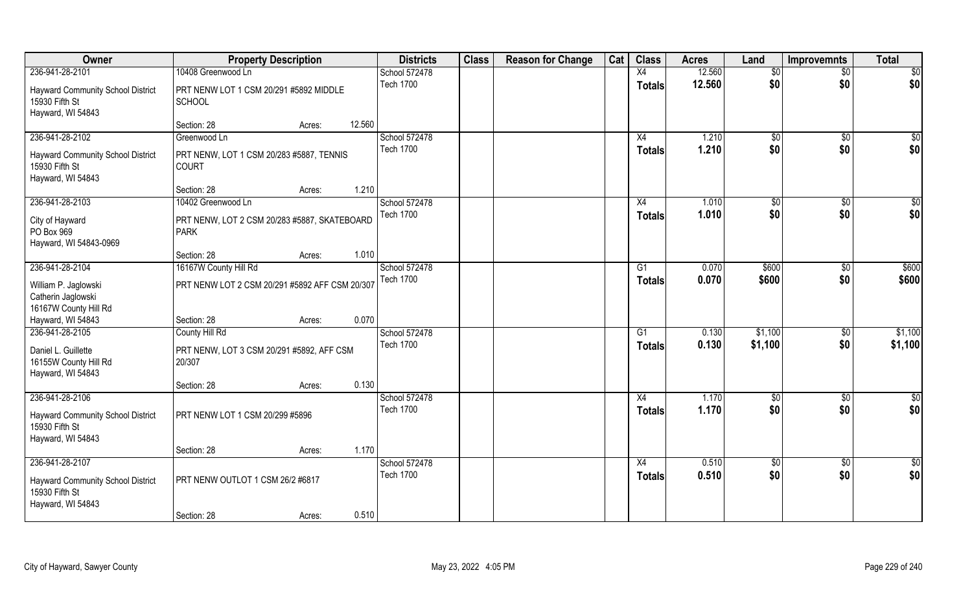| Owner                                                                    | <b>Property Description</b>                                 | <b>Districts</b> | <b>Class</b> | <b>Reason for Change</b> | Cat | <b>Class</b>  | <b>Acres</b> | Land          | <b>Improvemnts</b> | <b>Total</b>    |
|--------------------------------------------------------------------------|-------------------------------------------------------------|------------------|--------------|--------------------------|-----|---------------|--------------|---------------|--------------------|-----------------|
| 236-941-28-2101                                                          | 10408 Greenwood Ln                                          | School 572478    |              |                          |     | X4            | 12.560       | \$0           | $\sqrt{$0}$        | \$0             |
| Hayward Community School District<br>15930 Fifth St<br>Hayward, WI 54843 | PRT NENW LOT 1 CSM 20/291 #5892 MIDDLE<br><b>SCHOOL</b>     | <b>Tech 1700</b> |              |                          |     | <b>Totals</b> | 12.560       | \$0           | \$0                | \$0             |
|                                                                          | 12.560<br>Section: 28<br>Acres:                             |                  |              |                          |     |               |              |               |                    |                 |
| 236-941-28-2102                                                          | Greenwood Ln                                                | School 572478    |              |                          |     | X4            | 1.210        | $\sqrt{50}$   | $\sqrt{$0}$        | \$0             |
| Hayward Community School District<br>15930 Fifth St<br>Hayward, WI 54843 | PRT NENW, LOT 1 CSM 20/283 #5887, TENNIS<br><b>COURT</b>    | <b>Tech 1700</b> |              |                          |     | <b>Totals</b> | 1.210        | \$0           | \$0                | \$0             |
|                                                                          | 1.210<br>Section: 28<br>Acres:                              |                  |              |                          |     |               |              |               |                    |                 |
| 236-941-28-2103                                                          | 10402 Greenwood Ln                                          | School 572478    |              |                          |     | X4            | 1.010        | $\sqrt[6]{3}$ | $\sqrt{50}$        | $\sqrt{50}$     |
| City of Hayward<br>PO Box 969<br>Hayward, WI 54843-0969                  | PRT NENW, LOT 2 CSM 20/283 #5887, SKATEBOARD<br><b>PARK</b> | <b>Tech 1700</b> |              |                          |     | <b>Totals</b> | 1.010        | \$0           | \$0                | \$0             |
|                                                                          | 1.010<br>Section: 28<br>Acres:                              |                  |              |                          |     |               |              |               |                    |                 |
| 236-941-28-2104                                                          | 16167W County Hill Rd                                       | School 572478    |              |                          |     | G1            | 0.070        | \$600         | $\sqrt[6]{3}$      | \$600           |
| William P. Jaglowski<br>Catherin Jaglowski<br>16167W County Hill Rd      | PRT NENW LOT 2 CSM 20/291 #5892 AFF CSM 20/307              | <b>Tech 1700</b> |              |                          |     | <b>Totals</b> | 0.070        | \$600         | \$0                | \$600           |
| Hayward, WI 54843                                                        | 0.070<br>Section: 28<br>Acres:                              |                  |              |                          |     |               |              |               |                    |                 |
| 236-941-28-2105                                                          | County Hill Rd                                              | School 572478    |              |                          |     | G1            | 0.130        | \$1,100       | $\overline{50}$    | \$1,100         |
| Daniel L. Guillette<br>16155W County Hill Rd<br>Hayward, WI 54843        | PRT NENW, LOT 3 CSM 20/291 #5892, AFF CSM<br>20/307         | <b>Tech 1700</b> |              |                          |     | <b>Totals</b> | 0.130        | \$1,100       | \$0                | \$1,100         |
|                                                                          | 0.130<br>Section: 28<br>Acres:                              |                  |              |                          |     |               |              |               |                    |                 |
| 236-941-28-2106                                                          |                                                             | School 572478    |              |                          |     | X4            | 1.170        | \$0           | $\sqrt{$0}$        | \$0             |
| Hayward Community School District<br>15930 Fifth St<br>Hayward, WI 54843 | PRT NENW LOT 1 CSM 20/299 #5896                             | <b>Tech 1700</b> |              |                          |     | <b>Totals</b> | 1.170        | \$0           | \$0                | \$0             |
|                                                                          | 1.170<br>Section: 28<br>Acres:                              |                  |              |                          |     |               |              |               |                    |                 |
| 236-941-28-2107                                                          |                                                             | School 572478    |              |                          |     | X4            | 0.510        | $\sqrt{$0}$   | $\sqrt{$0}$        | $\overline{50}$ |
| Hayward Community School District<br>15930 Fifth St<br>Hayward, WI 54843 | PRT NENW OUTLOT 1 CSM 26/2 #6817                            | <b>Tech 1700</b> |              |                          |     | <b>Totals</b> | 0.510        | \$0           | \$0                | \$0             |
|                                                                          | 0.510<br>Section: 28<br>Acres:                              |                  |              |                          |     |               |              |               |                    |                 |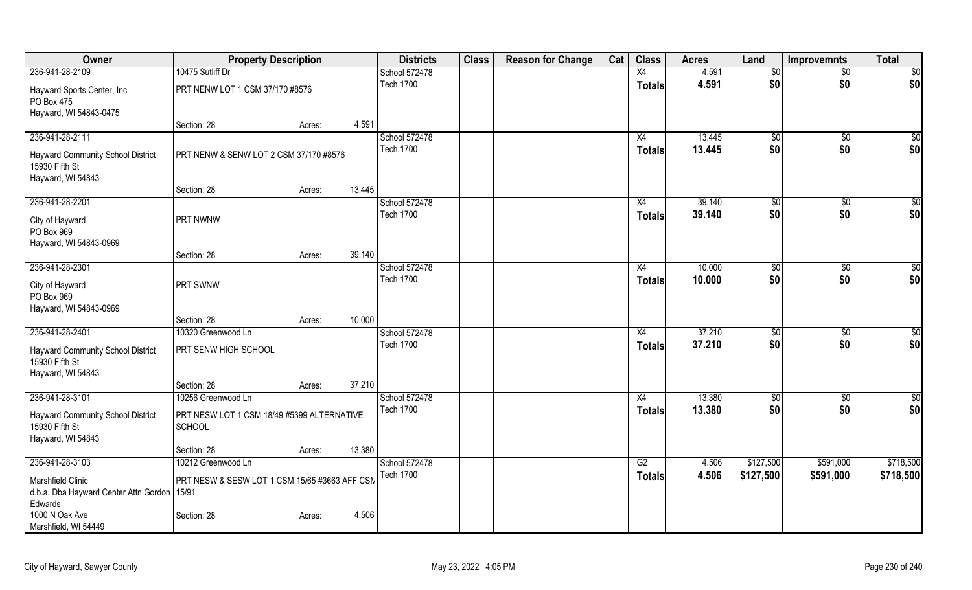| Owner                                                                                                                  | <b>Property Description</b>                                                       |                  | <b>Districts</b>                  | <b>Class</b> | <b>Reason for Change</b> | Cat | <b>Class</b>        | <b>Acres</b>     | Land                  | <b>Improvemnts</b>    | <b>Total</b>         |
|------------------------------------------------------------------------------------------------------------------------|-----------------------------------------------------------------------------------|------------------|-----------------------------------|--------------|--------------------------|-----|---------------------|------------------|-----------------------|-----------------------|----------------------|
| 236-941-28-2109                                                                                                        | 10475 Sutliff Dr                                                                  |                  | School 572478                     |              |                          |     | X4                  | 4.591            | $\overline{50}$       | $\overline{30}$       | \$0                  |
| Hayward Sports Center, Inc<br>PO Box 475<br>Hayward, WI 54843-0475                                                     | PRT NENW LOT 1 CSM 37/170 #8576                                                   |                  | <b>Tech 1700</b>                  |              |                          |     | <b>Totals</b>       | 4.591            | \$0                   | \$0                   | \$0                  |
|                                                                                                                        | Section: 28                                                                       | 4.591<br>Acres:  |                                   |              |                          |     |                     |                  |                       |                       |                      |
| 236-941-28-2111<br><b>Hayward Community School District</b><br>15930 Fifth St<br>Hayward, WI 54843                     | PRT NENW & SENW LOT 2 CSM 37/170 #8576                                            |                  | School 572478<br><b>Tech 1700</b> |              |                          |     | X4<br><b>Totals</b> | 13.445<br>13.445 | $\sqrt[6]{30}$<br>\$0 | \$0<br>\$0            | \$0<br>\$0           |
|                                                                                                                        | Section: 28                                                                       | 13.445<br>Acres: |                                   |              |                          |     |                     |                  |                       |                       |                      |
| 236-941-28-2201<br>City of Hayward<br>PO Box 969<br>Hayward, WI 54843-0969                                             | PRT NWNW                                                                          |                  | School 572478<br><b>Tech 1700</b> |              |                          |     | X4<br><b>Totals</b> | 39.140<br>39.140 | \$0<br>\$0            | \$0<br>\$0            | \$0<br>\$0           |
|                                                                                                                        | Section: 28                                                                       | 39.140<br>Acres: |                                   |              |                          |     |                     |                  |                       |                       |                      |
| 236-941-28-2301<br>City of Hayward<br>PO Box 969<br>Hayward, WI 54843-0969                                             | PRT SWNW                                                                          |                  | School 572478<br><b>Tech 1700</b> |              |                          |     | X4<br><b>Totals</b> | 10.000<br>10.000 | \$0<br>\$0            | \$0<br>\$0            | $\sqrt{50}$<br>\$0   |
|                                                                                                                        | Section: 28                                                                       | 10.000<br>Acres: |                                   |              |                          |     |                     |                  |                       |                       |                      |
| 236-941-28-2401<br><b>Hayward Community School District</b><br>15930 Fifth St<br>Hayward, WI 54843                     | 10320 Greenwood Ln<br>PRT SENW HIGH SCHOOL                                        |                  | School 572478<br><b>Tech 1700</b> |              |                          |     | X4<br><b>Totals</b> | 37.210<br>37.210 | $\sqrt[6]{3}$<br>\$0  | $\sqrt[6]{30}$<br>\$0 | $\sqrt{50}$<br>\$0   |
|                                                                                                                        | Section: 28                                                                       | 37.210<br>Acres: |                                   |              |                          |     |                     |                  |                       |                       |                      |
| 236-941-28-3101<br>Hayward Community School District<br>15930 Fifth St<br>Hayward, WI 54843                            | 10256 Greenwood Ln<br>PRT NESW LOT 1 CSM 18/49 #5399 ALTERNATIVE<br><b>SCHOOL</b> |                  | School 572478<br><b>Tech 1700</b> |              |                          |     | X4<br><b>Totals</b> | 13.380<br>13.380 | \$0<br>\$0            | \$0<br>\$0            | $\frac{6}{3}$<br>\$0 |
| 236-941-28-3103                                                                                                        | Section: 28<br>10212 Greenwood Ln                                                 | 13.380<br>Acres: | School 572478                     |              |                          |     | G2                  | 4.506            | \$127,500             | \$591,000             | \$718,500            |
| <b>Marshfield Clinic</b><br>d.b.a. Dba Hayward Center Attn Gordon<br>Edwards<br>1000 N Oak Ave<br>Marshfield, WI 54449 | PRT NESW & SESW LOT 1 CSM 15/65 #3663 AFF CSM<br>15/91<br>Section: 28             | 4.506<br>Acres:  | <b>Tech 1700</b>                  |              |                          |     | <b>Totals</b>       | 4.506            | \$127,500             | \$591,000             | \$718,500            |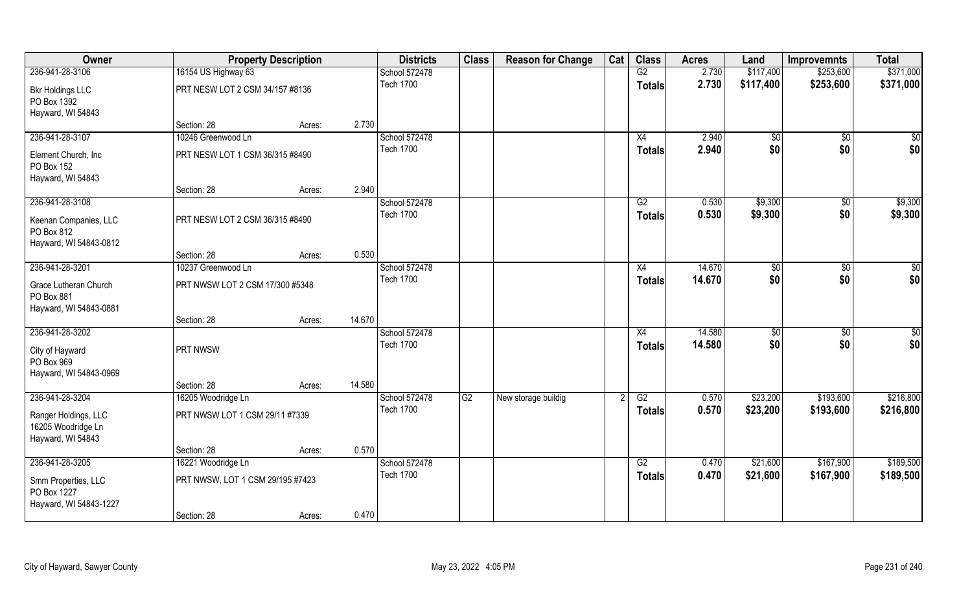| Owner                                                           |                                  | <b>Property Description</b> |        | <b>Districts</b>                  | <b>Class</b> | <b>Reason for Change</b> | Cat | <b>Class</b>        | <b>Acres</b>     | Land               | <b>Improvemnts</b> | <b>Total</b>       |
|-----------------------------------------------------------------|----------------------------------|-----------------------------|--------|-----------------------------------|--------------|--------------------------|-----|---------------------|------------------|--------------------|--------------------|--------------------|
| 236-941-28-3106                                                 | 16154 US Highway 63              |                             |        | School 572478                     |              |                          |     | G2                  | 2.730            | \$117,400          | \$253,600          | \$371,000          |
| <b>Bkr Holdings LLC</b><br>PO Box 1392<br>Hayward, WI 54843     | PRT NESW LOT 2 CSM 34/157 #8136  |                             |        | <b>Tech 1700</b>                  |              |                          |     | <b>Totals</b>       | 2.730            | \$117,400          | \$253,600          | \$371,000          |
|                                                                 | Section: 28                      | Acres:                      | 2.730  |                                   |              |                          |     |                     |                  |                    |                    |                    |
| 236-941-28-3107                                                 | 10246 Greenwood Ln               |                             |        | School 572478                     |              |                          |     | X4                  | 2.940            | \$0                | $\sqrt{$0}$        | \$0                |
| Element Church, Inc.<br>PO Box 152<br>Hayward, WI 54843         | PRT NESW LOT 1 CSM 36/315 #8490  |                             |        | <b>Tech 1700</b>                  |              |                          |     | <b>Totals</b>       | 2.940            | \$0                | \$0                | \$0                |
|                                                                 | Section: 28                      | Acres:                      | 2.940  |                                   |              |                          |     |                     |                  |                    |                    |                    |
| 236-941-28-3108                                                 |                                  |                             |        | School 572478                     |              |                          |     | G2                  | 0.530            | \$9,300            | \$0                | \$9,300            |
| Keenan Companies, LLC<br>PO Box 812                             | PRT NESW LOT 2 CSM 36/315 #8490  |                             |        | <b>Tech 1700</b>                  |              |                          |     | <b>Totals</b>       | 0.530            | \$9,300            | \$0                | \$9,300            |
| Hayward, WI 54843-0812                                          | Section: 28                      | Acres:                      | 0.530  |                                   |              |                          |     |                     |                  |                    |                    |                    |
| 236-941-28-3201                                                 | 10237 Greenwood Ln               |                             |        | School 572478                     |              |                          |     | X4                  | 14.670           | \$0                | $\sqrt[6]{3}$      | $\sqrt{50}$        |
|                                                                 |                                  |                             |        | <b>Tech 1700</b>                  |              |                          |     | <b>Totals</b>       | 14.670           | \$0                | \$0                | \$0                |
| Grace Lutheran Church<br>PO Box 881<br>Hayward, WI 54843-0881   | PRT NWSW LOT 2 CSM 17/300 #5348  |                             |        |                                   |              |                          |     |                     |                  |                    |                    |                    |
|                                                                 | Section: 28                      | Acres:                      | 14.670 |                                   |              |                          |     |                     |                  |                    |                    |                    |
| 236-941-28-3202                                                 |                                  |                             |        | School 572478<br><b>Tech 1700</b> |              |                          |     | X4<br><b>Totals</b> | 14.580<br>14.580 | $\sqrt{50}$<br>\$0 | \$0<br>\$0         | $\sqrt{50}$<br>\$0 |
| City of Hayward<br>PO Box 969<br>Hayward, WI 54843-0969         | PRT NWSW                         |                             |        |                                   |              |                          |     |                     |                  |                    |                    |                    |
|                                                                 | Section: 28                      | Acres:                      | 14.580 |                                   |              |                          |     |                     |                  |                    |                    |                    |
| 236-941-28-3204                                                 | 16205 Woodridge Ln               |                             |        | School 572478                     | G2           | New storage buildig      |     | G2                  | 0.570            | \$23,200           | \$193,600          | \$216,800          |
| Ranger Holdings, LLC<br>16205 Woodridge Ln<br>Hayward, WI 54843 | PRT NWSW LOT 1 CSM 29/11 #7339   |                             |        | <b>Tech 1700</b>                  |              |                          |     | <b>Totals</b>       | 0.570            | \$23,200           | \$193,600          | \$216,800          |
|                                                                 | Section: 28                      | Acres:                      | 0.570  |                                   |              |                          |     |                     |                  |                    |                    |                    |
| 236-941-28-3205                                                 | 16221 Woodridge Ln               |                             |        | School 572478                     |              |                          |     | G2                  | 0.470            | \$21,600           | \$167,900          | \$189,500          |
| Smm Properties, LLC<br>PO Box 1227                              | PRT NWSW, LOT 1 CSM 29/195 #7423 |                             |        | <b>Tech 1700</b>                  |              |                          |     | <b>Totals</b>       | 0.470            | \$21,600           | \$167,900          | \$189,500          |
| Hayward, WI 54843-1227                                          | Section: 28                      | Acres:                      | 0.470  |                                   |              |                          |     |                     |                  |                    |                    |                    |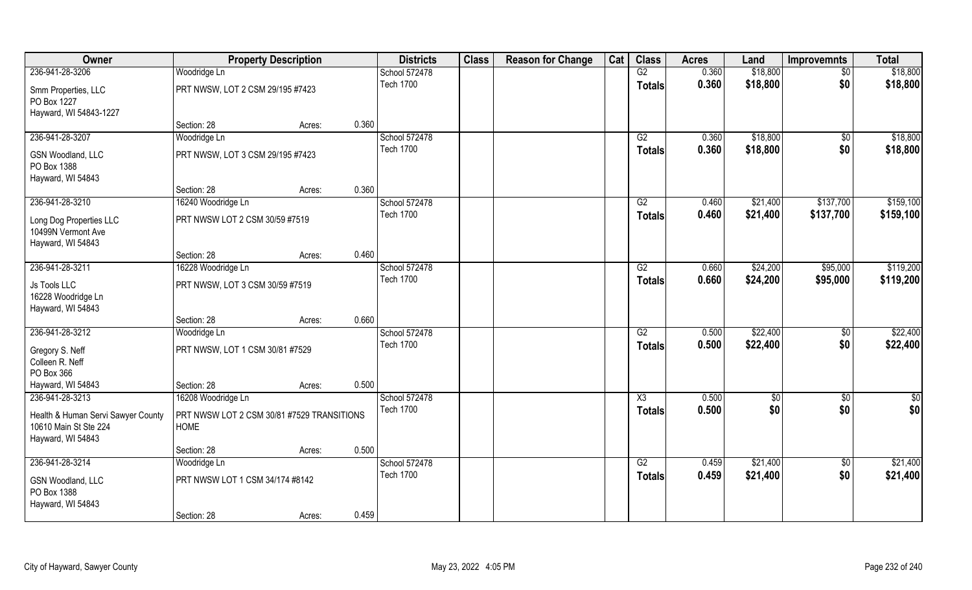| Owner                                                       |                                                           | <b>Property Description</b> |       | <b>Districts</b> | <b>Class</b> | <b>Reason for Change</b> | Cat | <b>Class</b>           | <b>Acres</b> | Land     | <b>Improvemnts</b> | <b>Total</b>  |
|-------------------------------------------------------------|-----------------------------------------------------------|-----------------------------|-------|------------------|--------------|--------------------------|-----|------------------------|--------------|----------|--------------------|---------------|
| 236-941-28-3206                                             | Woodridge Ln                                              |                             |       | School 572478    |              |                          |     | G2                     | 0.360        | \$18,800 | $\sqrt{6}$         | \$18,800      |
| Smm Properties, LLC<br>PO Box 1227                          | PRT NWSW, LOT 2 CSM 29/195 #7423                          |                             |       | <b>Tech 1700</b> |              |                          |     | <b>Totals</b>          | 0.360        | \$18,800 | \$0                | \$18,800      |
| Hayward, WI 54843-1227                                      | Section: 28                                               | Acres:                      | 0.360 |                  |              |                          |     |                        |              |          |                    |               |
| 236-941-28-3207                                             | Woodridge Ln                                              |                             |       | School 572478    |              |                          |     | G2                     | 0.360        | \$18,800 | \$0                | \$18,800      |
|                                                             |                                                           |                             |       | <b>Tech 1700</b> |              |                          |     | <b>Totals</b>          | 0.360        | \$18,800 | \$0                | \$18,800      |
| <b>GSN Woodland, LLC</b><br>PO Box 1388                     | PRT NWSW, LOT 3 CSM 29/195 #7423                          |                             |       |                  |              |                          |     |                        |              |          |                    |               |
| Hayward, WI 54843                                           | Section: 28                                               |                             | 0.360 |                  |              |                          |     |                        |              |          |                    |               |
| 236-941-28-3210                                             |                                                           | Acres:                      |       | School 572478    |              |                          |     | G2                     | 0.460        | \$21,400 | \$137,700          | \$159,100     |
|                                                             | 16240 Woodridge Ln                                        |                             |       | <b>Tech 1700</b> |              |                          |     |                        | 0.460        | \$21,400 | \$137,700          | \$159,100     |
| Long Dog Properties LLC<br>10499N Vermont Ave               | PRT NWSW LOT 2 CSM 30/59 #7519                            |                             |       |                  |              |                          |     | <b>Totals</b>          |              |          |                    |               |
| Hayward, WI 54843                                           |                                                           |                             |       |                  |              |                          |     |                        |              |          |                    |               |
|                                                             | Section: 28                                               | Acres:                      | 0.460 |                  |              |                          |     |                        |              |          |                    |               |
| 236-941-28-3211                                             | 16228 Woodridge Ln                                        |                             |       | School 572478    |              |                          |     | G2                     | 0.660        | \$24,200 | \$95,000           | \$119,200     |
| Js Tools LLC<br>16228 Woodridge Ln<br>Hayward, WI 54843     | PRT NWSW, LOT 3 CSM 30/59 #7519                           |                             |       | <b>Tech 1700</b> |              |                          |     | <b>Totals</b>          | 0.660        | \$24,200 | \$95,000           | \$119,200     |
|                                                             | Section: 28                                               | Acres:                      | 0.660 |                  |              |                          |     |                        |              |          |                    |               |
| 236-941-28-3212                                             | Woodridge Ln                                              |                             |       | School 572478    |              |                          |     | $\overline{G2}$        | 0.500        | \$22,400 | $\overline{50}$    | \$22,400      |
|                                                             |                                                           |                             |       | <b>Tech 1700</b> |              |                          |     | <b>Totals</b>          | 0.500        | \$22,400 | \$0                | \$22,400      |
| Gregory S. Neff                                             | PRT NWSW, LOT 1 CSM 30/81 #7529                           |                             |       |                  |              |                          |     |                        |              |          |                    |               |
| Colleen R. Neff                                             |                                                           |                             |       |                  |              |                          |     |                        |              |          |                    |               |
| PO Box 366                                                  |                                                           |                             |       |                  |              |                          |     |                        |              |          |                    |               |
| Hayward, WI 54843<br>236-941-28-3213                        | Section: 28                                               | Acres:                      | 0.500 | School 572478    |              |                          |     | $\overline{\text{X3}}$ | 0.500        |          |                    |               |
|                                                             | 16208 Woodridge Ln                                        |                             |       | <b>Tech 1700</b> |              |                          |     |                        |              | \$0      | $\overline{60}$    | $\frac{1}{2}$ |
| Health & Human Servi Sawyer County<br>10610 Main St Ste 224 | PRT NWSW LOT 2 CSM 30/81 #7529 TRANSITIONS<br><b>HOME</b> |                             |       |                  |              |                          |     | <b>Totals</b>          | 0.500        | \$0      | \$0                | \$0           |
| Hayward, WI 54843                                           | Section: 28                                               | Acres:                      | 0.500 |                  |              |                          |     |                        |              |          |                    |               |
| 236-941-28-3214                                             | Woodridge Ln                                              |                             |       | School 572478    |              |                          |     | G2                     | 0.459        | \$21,400 | $\overline{50}$    | \$21,400      |
|                                                             |                                                           |                             |       | <b>Tech 1700</b> |              |                          |     | <b>Totals</b>          | 0.459        | \$21,400 | \$0                | \$21,400      |
| GSN Woodland, LLC<br>PO Box 1388                            | PRT NWSW LOT 1 CSM 34/174 #8142                           |                             |       |                  |              |                          |     |                        |              |          |                    |               |
| Hayward, WI 54843                                           | Section: 28                                               | Acres:                      | 0.459 |                  |              |                          |     |                        |              |          |                    |               |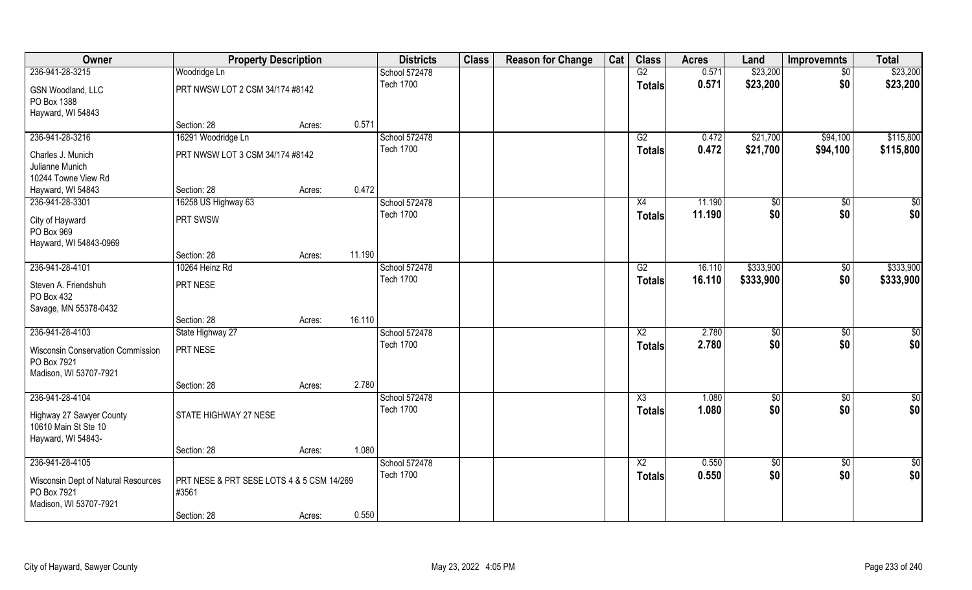| Owner                                                                        | <b>Property Description</b>                        |        |        | <b>Districts</b>                  | <b>Class</b> | <b>Reason for Change</b> | Cat | <b>Class</b>           | <b>Acres</b> | Land        | <b>Improvemnts</b> | <b>Total</b>    |
|------------------------------------------------------------------------------|----------------------------------------------------|--------|--------|-----------------------------------|--------------|--------------------------|-----|------------------------|--------------|-------------|--------------------|-----------------|
| 236-941-28-3215                                                              | Woodridge Ln                                       |        |        | School 572478                     |              |                          |     | G2                     | 0.571        | \$23,200    | $\sqrt{$0}$        | \$23,200        |
| <b>GSN Woodland, LLC</b><br>PO Box 1388                                      | PRT NWSW LOT 2 CSM 34/174 #8142                    |        |        | <b>Tech 1700</b>                  |              |                          |     | <b>Totals</b>          | 0.571        | \$23,200    | \$0                | \$23,200        |
| Hayward, WI 54843                                                            |                                                    |        |        |                                   |              |                          |     |                        |              |             |                    |                 |
|                                                                              | Section: 28                                        | Acres: | 0.571  |                                   |              |                          |     |                        |              |             |                    |                 |
| 236-941-28-3216                                                              | 16291 Woodridge Ln                                 |        |        | School 572478<br><b>Tech 1700</b> |              |                          |     | G2                     | 0.472        | \$21,700    | \$94,100           | \$115,800       |
| Charles J. Munich                                                            | PRT NWSW LOT 3 CSM 34/174 #8142                    |        |        |                                   |              |                          |     | Totals                 | 0.472        | \$21,700    | \$94,100           | \$115,800       |
| Julianne Munich                                                              |                                                    |        |        |                                   |              |                          |     |                        |              |             |                    |                 |
| 10244 Towne View Rd                                                          |                                                    |        |        |                                   |              |                          |     |                        |              |             |                    |                 |
| Hayward, WI 54843                                                            | Section: 28                                        | Acres: | 0.472  |                                   |              |                          |     |                        |              |             |                    |                 |
| 236-941-28-3301                                                              | 16258 US Highway 63                                |        |        | School 572478                     |              |                          |     | X4                     | 11.190       | \$0         | \$0                | \$0             |
| City of Hayward                                                              | PRT SWSW                                           |        |        | <b>Tech 1700</b>                  |              |                          |     | <b>Totals</b>          | 11.190       | \$0         | \$0                | \$0             |
| PO Box 969                                                                   |                                                    |        |        |                                   |              |                          |     |                        |              |             |                    |                 |
| Hayward, WI 54843-0969                                                       |                                                    |        |        |                                   |              |                          |     |                        |              |             |                    |                 |
|                                                                              | Section: 28                                        | Acres: | 11.190 |                                   |              |                          |     |                        |              |             |                    |                 |
| 236-941-28-4101                                                              | 10264 Heinz Rd                                     |        |        | School 572478                     |              |                          |     | G2                     | 16.110       | \$333,900   | $\frac{6}{3}$      | \$333,900       |
| Steven A. Friendshuh<br>PO Box 432                                           | PRT NESE                                           |        |        | <b>Tech 1700</b>                  |              |                          |     | <b>Totals</b>          | 16.110       | \$333,900   | \$0                | \$333,900       |
| Savage, MN 55378-0432                                                        |                                                    |        |        |                                   |              |                          |     |                        |              |             |                    |                 |
|                                                                              | Section: 28                                        | Acres: | 16.110 |                                   |              |                          |     |                        |              |             |                    |                 |
| 236-941-28-4103                                                              | State Highway 27                                   |        |        | School 572478                     |              |                          |     | $\overline{\text{X2}}$ | 2.780        | $\sqrt{50}$ | $\overline{50}$    | $\overline{50}$ |
| <b>Wisconsin Conservation Commission</b>                                     | PRT NESE                                           |        |        | <b>Tech 1700</b>                  |              |                          |     | <b>Totals</b>          | 2.780        | \$0         | \$0                | \$0             |
| PO Box 7921                                                                  |                                                    |        |        |                                   |              |                          |     |                        |              |             |                    |                 |
| Madison, WI 53707-7921                                                       |                                                    |        |        |                                   |              |                          |     |                        |              |             |                    |                 |
|                                                                              | Section: 28                                        | Acres: | 2.780  |                                   |              |                          |     |                        |              |             |                    |                 |
| 236-941-28-4104                                                              |                                                    |        |        | School 572478                     |              |                          |     | $\overline{\text{X3}}$ | 1.080        | \$0         | $\sqrt{$0}$        | \$0             |
| Highway 27 Sawyer County<br>10610 Main St Ste 10<br>Hayward, WI 54843-       | STATE HIGHWAY 27 NESE                              |        |        | <b>Tech 1700</b>                  |              |                          |     | <b>Totals</b>          | 1.080        | \$0         | \$0                | \$0             |
|                                                                              | Section: 28                                        | Acres: | 1.080  |                                   |              |                          |     |                        |              |             |                    |                 |
| 236-941-28-4105                                                              |                                                    |        |        | School 572478                     |              |                          |     | $\overline{X2}$        | 0.550        | $\sqrt{50}$ | $\sqrt{$0}$        | $\overline{50}$ |
| Wisconsin Dept of Natural Resources<br>PO Box 7921<br>Madison, WI 53707-7921 | PRT NESE & PRT SESE LOTS 4 & 5 CSM 14/269<br>#3561 |        |        | <b>Tech 1700</b>                  |              |                          |     | <b>Totals</b>          | 0.550        | \$0         | \$0                | \$0             |
|                                                                              | Section: 28                                        | Acres: | 0.550  |                                   |              |                          |     |                        |              |             |                    |                 |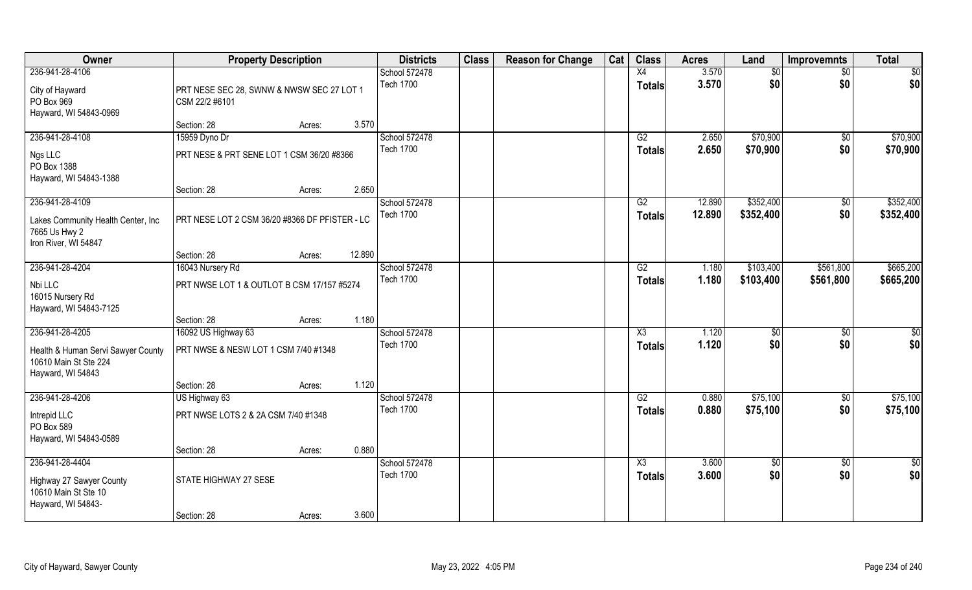| Owner                                                                            | <b>Property Description</b>                                 |                  | <b>Districts</b>                  | <b>Class</b> | <b>Reason for Change</b> | Cat | <b>Class</b>           | <b>Acres</b>   | Land        | <b>Improvemnts</b>     | <b>Total</b>       |
|----------------------------------------------------------------------------------|-------------------------------------------------------------|------------------|-----------------------------------|--------------|--------------------------|-----|------------------------|----------------|-------------|------------------------|--------------------|
| 236-941-28-4106                                                                  |                                                             |                  | School 572478                     |              |                          |     | X4                     | 3.570          | \$0         | $\sqrt{$0}$            | $\sqrt{50}$        |
| City of Hayward<br>PO Box 969<br>Hayward, WI 54843-0969                          | PRT NESE SEC 28, SWNW & NWSW SEC 27 LOT 1<br>CSM 22/2 #6101 |                  | <b>Tech 1700</b>                  |              |                          |     | <b>Totals</b>          | 3.570          | \$0         | \$0                    | \$0                |
|                                                                                  | Section: 28                                                 | 3.570<br>Acres:  |                                   |              |                          |     |                        |                |             |                        |                    |
| 236-941-28-4108                                                                  | 15959 Dyno Dr                                               |                  | School 572478                     |              |                          |     | G2                     | 2.650          | \$70,900    | $\sqrt{$0}$            | \$70,900           |
| Ngs LLC<br>PO Box 1388<br>Hayward, WI 54843-1388                                 | PRT NESE & PRT SENE LOT 1 CSM 36/20 #8366                   |                  | <b>Tech 1700</b>                  |              |                          |     | <b>Totals</b>          | 2.650          | \$70,900    | \$0                    | \$70,900           |
|                                                                                  | Section: 28                                                 | 2.650<br>Acres:  |                                   |              |                          |     |                        |                |             |                        |                    |
| 236-941-28-4109                                                                  |                                                             |                  | School 572478                     |              |                          |     | G2                     | 12.890         | \$352,400   | $\frac{1}{2}$          | \$352,400          |
| Lakes Community Health Center, Inc<br>7665 Us Hwy 2<br>Iron River, WI 54847      | PRT NESE LOT 2 CSM 36/20 #8366 DF PFISTER - LC              |                  | <b>Tech 1700</b>                  |              |                          |     | <b>Totals</b>          | 12.890         | \$352,400   | \$0                    | \$352,400          |
|                                                                                  | Section: 28                                                 | 12.890<br>Acres: |                                   |              |                          |     |                        |                |             |                        |                    |
| 236-941-28-4204                                                                  | 16043 Nursery Rd                                            |                  | School 572478                     |              |                          |     | G2                     | 1.180          | \$103,400   | \$561,800              | \$665,200          |
| Nbi LLC<br>16015 Nursery Rd<br>Hayward, WI 54843-7125                            | PRT NWSE LOT 1 & OUTLOT B CSM 17/157 #5274                  |                  | <b>Tech 1700</b>                  |              |                          |     | <b>Totals</b>          | 1.180          | \$103,400   | \$561,800              | \$665,200          |
|                                                                                  | Section: 28                                                 | 1.180<br>Acres:  |                                   |              |                          |     |                        |                |             |                        |                    |
| 236-941-28-4205                                                                  | 16092 US Highway 63                                         |                  | School 572478<br><b>Tech 1700</b> |              |                          |     | X3<br><b>Totals</b>    | 1.120<br>1.120 | \$0<br>\$0  | $\overline{50}$<br>\$0 | $\sqrt{50}$<br>\$0 |
| Health & Human Servi Sawyer County<br>10610 Main St Ste 224<br>Hayward, WI 54843 | PRT NWSE & NESW LOT 1 CSM 7/40 #1348                        |                  |                                   |              |                          |     |                        |                |             |                        |                    |
|                                                                                  | Section: 28                                                 | 1.120<br>Acres:  |                                   |              |                          |     |                        |                |             |                        |                    |
| 236-941-28-4206                                                                  | US Highway 63                                               |                  | School 572478                     |              |                          |     | G2                     | 0.880          | \$75,100    | $\sqrt{$0}$            | \$75,100           |
| Intrepid LLC<br>PO Box 589                                                       | PRT NWSE LOTS 2 & 2A CSM 7/40 #1348                         |                  | <b>Tech 1700</b>                  |              |                          |     | <b>Totals</b>          | 0.880          | \$75,100    | \$0                    | \$75,100           |
| Hayward, WI 54843-0589                                                           | Section: 28                                                 | 0.880<br>Acres:  |                                   |              |                          |     |                        |                |             |                        |                    |
| 236-941-28-4404                                                                  |                                                             |                  | School 572478                     |              |                          |     | $\overline{\text{X3}}$ | 3.600          | $\sqrt{50}$ | $\sqrt{$0}$            | $\overline{50}$    |
| Highway 27 Sawyer County<br>10610 Main St Ste 10<br>Hayward, WI 54843-           | STATE HIGHWAY 27 SESE                                       |                  | <b>Tech 1700</b>                  |              |                          |     | <b>Totals</b>          | 3.600          | \$0         | \$0                    | \$0                |
|                                                                                  | Section: 28                                                 | 3.600<br>Acres:  |                                   |              |                          |     |                        |                |             |                        |                    |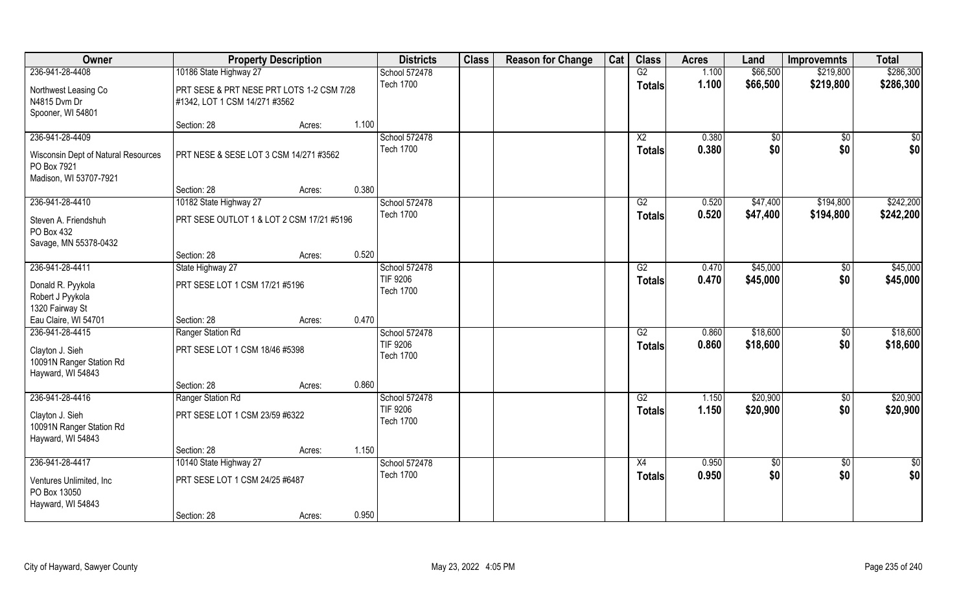| Owner                                         | <b>Property Description</b>               |        | <b>Districts</b>                  | <b>Class</b> | <b>Reason for Change</b> | Cat | <b>Class</b>    | <b>Acres</b> | Land        | <b>Improvemnts</b> | <b>Total</b>    |
|-----------------------------------------------|-------------------------------------------|--------|-----------------------------------|--------------|--------------------------|-----|-----------------|--------------|-------------|--------------------|-----------------|
| 236-941-28-4408                               | 10186 State Highway 27                    |        | School 572478                     |              |                          |     | G2              | 1.100        | \$66,500    | \$219,800          | \$286,300       |
| Northwest Leasing Co                          | PRT SESE & PRT NESE PRT LOTS 1-2 CSM 7/28 |        | <b>Tech 1700</b>                  |              |                          |     | <b>Totals</b>   | 1.100        | \$66,500    | \$219,800          | \$286,300       |
| N4815 Dvm Dr                                  | #1342, LOT 1 CSM 14/271 #3562             |        |                                   |              |                          |     |                 |              |             |                    |                 |
| Spooner, WI 54801                             |                                           |        |                                   |              |                          |     |                 |              |             |                    |                 |
|                                               | Section: 28                               | Acres: | 1.100                             |              |                          |     |                 |              |             |                    |                 |
| 236-941-28-4409                               |                                           |        | School 572478                     |              |                          |     | X2              | 0.380        | \$0         | \$0                | $\sqrt{50}$     |
| Wisconsin Dept of Natural Resources           | PRT NESE & SESE LOT 3 CSM 14/271 #3562    |        | <b>Tech 1700</b>                  |              |                          |     | <b>Totals</b>   | 0.380        | \$0         | \$0                | \$0             |
| PO Box 7921                                   |                                           |        |                                   |              |                          |     |                 |              |             |                    |                 |
| Madison, WI 53707-7921                        |                                           |        |                                   |              |                          |     |                 |              |             |                    |                 |
|                                               | Section: 28                               | Acres: | 0.380                             |              |                          |     |                 |              |             |                    |                 |
| 236-941-28-4410                               | 10182 State Highway 27                    |        | School 572478<br><b>Tech 1700</b> |              |                          |     | G2              | 0.520        | \$47,400    | \$194,800          | \$242,200       |
| Steven A. Friendshuh                          | PRT SESE OUTLOT 1 & LOT 2 CSM 17/21 #5196 |        |                                   |              |                          |     | <b>Totals</b>   | 0.520        | \$47,400    | \$194,800          | \$242,200       |
| PO Box 432                                    |                                           |        |                                   |              |                          |     |                 |              |             |                    |                 |
| Savage, MN 55378-0432                         |                                           |        |                                   |              |                          |     |                 |              |             |                    |                 |
| 236-941-28-4411                               | Section: 28<br>State Highway 27           | Acres: | 0.520<br>School 572478            |              |                          |     | G2              | 0.470        | \$45,000    | \$0                | \$45,000        |
|                                               |                                           |        | <b>TIF 9206</b>                   |              |                          |     | <b>Totals</b>   | 0.470        | \$45,000    | \$0                | \$45,000        |
| Donald R. Pyykola                             | PRT SESE LOT 1 CSM 17/21 #5196            |        | <b>Tech 1700</b>                  |              |                          |     |                 |              |             |                    |                 |
| Robert J Pyykola                              |                                           |        |                                   |              |                          |     |                 |              |             |                    |                 |
| 1320 Fairway St<br>Eau Claire, WI 54701       | Section: 28                               | Acres: | 0.470                             |              |                          |     |                 |              |             |                    |                 |
| 236-941-28-4415                               | Ranger Station Rd                         |        | School 572478                     |              |                          |     | $\overline{G2}$ | 0.860        | \$18,600    | $\overline{50}$    | \$18,600        |
|                                               |                                           |        | <b>TIF 9206</b>                   |              |                          |     | <b>Totals</b>   | 0.860        | \$18,600    | \$0                | \$18,600        |
| Clayton J. Sieh                               | PRT SESE LOT 1 CSM 18/46 #5398            |        | <b>Tech 1700</b>                  |              |                          |     |                 |              |             |                    |                 |
| 10091N Ranger Station Rd<br>Hayward, WI 54843 |                                           |        |                                   |              |                          |     |                 |              |             |                    |                 |
|                                               | Section: 28                               | Acres: | 0.860                             |              |                          |     |                 |              |             |                    |                 |
| 236-941-28-4416                               | Ranger Station Rd                         |        | School 572478                     |              |                          |     | G2              | 1.150        | \$20,900    | $\sqrt{$0}$        | \$20,900        |
|                                               |                                           |        | <b>TIF 9206</b>                   |              |                          |     | <b>Totals</b>   | 1.150        | \$20,900    | \$0                | \$20,900        |
| Clayton J. Sieh<br>10091N Ranger Station Rd   | PRT SESE LOT 1 CSM 23/59 #6322            |        | <b>Tech 1700</b>                  |              |                          |     |                 |              |             |                    |                 |
| Hayward, WI 54843                             |                                           |        |                                   |              |                          |     |                 |              |             |                    |                 |
|                                               | Section: 28                               | Acres: | 1.150                             |              |                          |     |                 |              |             |                    |                 |
| 236-941-28-4417                               | 10140 State Highway 27                    |        | School 572478                     |              |                          |     | $\overline{X4}$ | 0.950        | $\sqrt{50}$ | $\sqrt{$0}$        | $\overline{50}$ |
| Ventures Unlimited, Inc.                      | PRT SESE LOT 1 CSM 24/25 #6487            |        | <b>Tech 1700</b>                  |              |                          |     | <b>Totals</b>   | 0.950        | \$0         | \$0                | \$0             |
| PO Box 13050                                  |                                           |        |                                   |              |                          |     |                 |              |             |                    |                 |
| Hayward, WI 54843                             |                                           |        |                                   |              |                          |     |                 |              |             |                    |                 |
|                                               | Section: 28                               | Acres: | 0.950                             |              |                          |     |                 |              |             |                    |                 |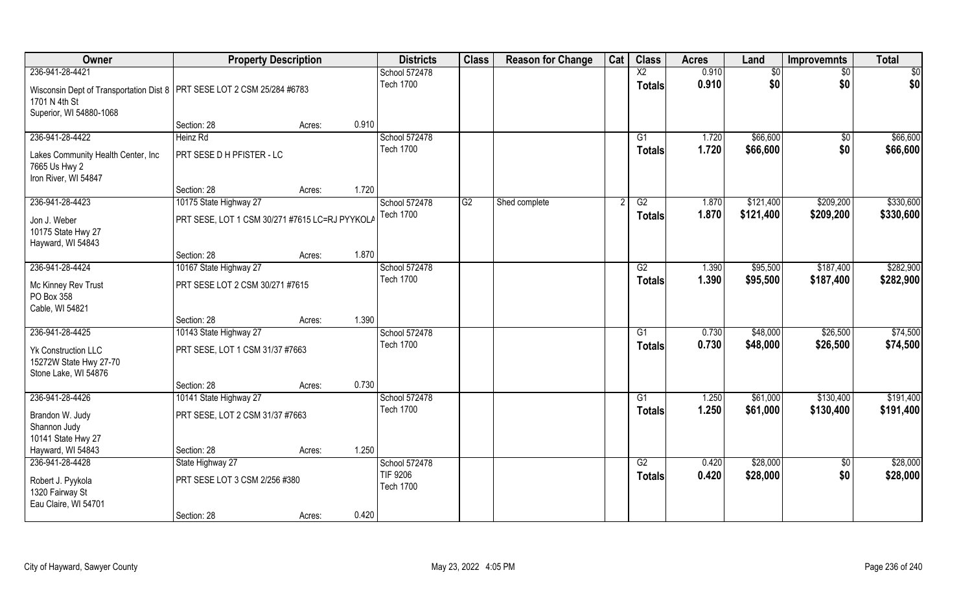| Owner                                                                                                                 | <b>Property Description</b>                                      |                 | <b>Districts</b>                              | <b>Class</b> | <b>Reason for Change</b> | Cat | <b>Class</b>    | <b>Acres</b>   | Land                 | <b>Improvemnts</b> | <b>Total</b>         |
|-----------------------------------------------------------------------------------------------------------------------|------------------------------------------------------------------|-----------------|-----------------------------------------------|--------------|--------------------------|-----|-----------------|----------------|----------------------|--------------------|----------------------|
| 236-941-28-4421                                                                                                       |                                                                  |                 | School 572478                                 |              |                          |     | $\overline{X2}$ | 0.910          | \$0                  | $\sqrt{6}$         | \$0                  |
| Wisconsin Dept of Transportation Dist 8   PRT SESE LOT 2 CSM 25/284 #6783<br>1701 N 4th St<br>Superior, WI 54880-1068 |                                                                  |                 | <b>Tech 1700</b>                              |              |                          |     | <b>Totals</b>   | 0.910          | \$0                  | \$0                | \$0                  |
|                                                                                                                       | Section: 28                                                      | 0.910<br>Acres: |                                               |              |                          |     |                 |                |                      |                    |                      |
| 236-941-28-4422                                                                                                       | Heinz Rd                                                         |                 | School 572478                                 |              |                          |     | G1              | 1.720          | \$66,600             | \$0                | \$66,600             |
| Lakes Community Health Center, Inc<br>7665 Us Hwy 2<br>Iron River, WI 54847                                           | PRT SESE D H PFISTER - LC                                        |                 | <b>Tech 1700</b>                              |              |                          |     | <b>Totals</b>   | 1.720          | \$66,600             | \$0                | \$66,600             |
|                                                                                                                       | Section: 28                                                      | 1.720<br>Acres: |                                               |              |                          |     |                 |                |                      |                    |                      |
| 236-941-28-4423                                                                                                       | 10175 State Highway 27                                           |                 | School 572478                                 | G2           | Shed complete            |     | G2              | 1.870          | \$121,400            | \$209,200          | \$330,600            |
| Jon J. Weber<br>10175 State Hwy 27<br>Hayward, WI 54843                                                               | PRT SESE, LOT 1 CSM 30/271 #7615 LC=RJ PYYKOLA                   |                 | <b>Tech 1700</b>                              |              |                          |     | <b>Totals</b>   | 1.870          | \$121,400            | \$209,200          | \$330,600            |
|                                                                                                                       | Section: 28                                                      | 1.870<br>Acres: |                                               |              |                          |     |                 |                |                      |                    |                      |
| 236-941-28-4424                                                                                                       | 10167 State Highway 27                                           |                 | School 572478                                 |              |                          |     | G2              | 1.390          | \$95,500             | \$187,400          | \$282,900            |
| Mc Kinney Rev Trust<br>PO Box 358<br>Cable, WI 54821                                                                  | PRT SESE LOT 2 CSM 30/271 #7615                                  |                 | <b>Tech 1700</b>                              |              |                          |     | <b>Totals</b>   | 1.390          | \$95,500             | \$187,400          | \$282,900            |
|                                                                                                                       | Section: 28                                                      | 1.390<br>Acres: |                                               |              |                          |     |                 |                |                      |                    |                      |
| 236-941-28-4425                                                                                                       | 10143 State Highway 27                                           |                 | School 572478                                 |              |                          |     | $\overline{G1}$ | 0.730          | \$48,000             | \$26,500           | \$74,500             |
| <b>Yk Construction LLC</b><br>15272W State Hwy 27-70<br>Stone Lake, WI 54876                                          | PRT SESE, LOT 1 CSM 31/37 #7663                                  |                 | <b>Tech 1700</b>                              |              |                          |     | Totals          | 0.730          | \$48,000             | \$26,500           | \$74,500             |
|                                                                                                                       | Section: 28                                                      | 0.730<br>Acres: |                                               |              |                          |     |                 |                |                      |                    |                      |
| 236-941-28-4426                                                                                                       | 10141 State Highway 27                                           |                 | School 572478                                 |              |                          |     | $\overline{G1}$ | 1.250          | \$61,000             | \$130,400          | \$191,400            |
| Brandon W. Judy<br>Shannon Judy<br>10141 State Hwy 27                                                                 | PRT SESE, LOT 2 CSM 31/37 #7663                                  |                 | <b>Tech 1700</b>                              |              |                          |     | <b>Totals</b>   | 1.250          | \$61,000             | \$130,400          | \$191,400            |
| Hayward, WI 54843                                                                                                     | Section: 28                                                      | 1.250<br>Acres: |                                               |              |                          |     |                 |                |                      |                    |                      |
| 236-941-28-4428<br>Robert J. Pyykola<br>1320 Fairway St<br>Eau Claire, WI 54701                                       | State Highway 27<br>PRT SESE LOT 3 CSM 2/256 #380<br>Section: 28 | 0.420<br>Acres: | School 572478<br>TIF 9206<br><b>Tech 1700</b> |              |                          |     | G2<br>Totals    | 0.420<br>0.420 | \$28,000<br>\$28,000 | $\sqrt{6}$<br>\$0  | \$28,000<br>\$28,000 |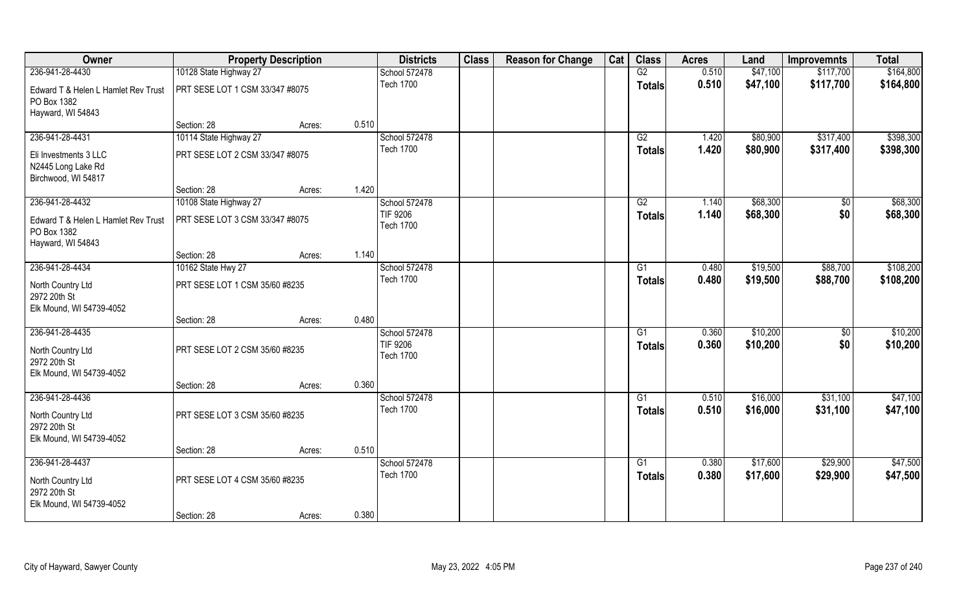| Owner                                                         | <b>Property Description</b>     |        |       | <b>Districts</b>             | <b>Class</b> | <b>Reason for Change</b> | Cat | <b>Class</b>    | <b>Acres</b> | Land     | <b>Improvemnts</b> | <b>Total</b> |
|---------------------------------------------------------------|---------------------------------|--------|-------|------------------------------|--------------|--------------------------|-----|-----------------|--------------|----------|--------------------|--------------|
| 236-941-28-4430                                               | 10128 State Highway 27          |        |       | School 572478                |              |                          |     | G2              | 0.510        | \$47,100 | \$117,700          | \$164,800    |
| Edward T & Helen L Hamlet Rev Trust<br>PO Box 1382            | PRT SESE LOT 1 CSM 33/347 #8075 |        |       | <b>Tech 1700</b>             |              |                          |     | <b>Totals</b>   | 0.510        | \$47,100 | \$117,700          | \$164,800    |
| Hayward, WI 54843                                             |                                 |        |       |                              |              |                          |     |                 |              |          |                    |              |
|                                                               | Section: 28                     | Acres: | 0.510 |                              |              |                          |     |                 |              |          |                    |              |
| 236-941-28-4431                                               | 10114 State Highway 27          |        |       | School 572478                |              |                          |     | G2              | 1.420        | \$80,900 | \$317,400          | \$398,300    |
| Eli Investments 3 LLC<br>N2445 Long Lake Rd                   | PRT SESE LOT 2 CSM 33/347 #8075 |        |       | <b>Tech 1700</b>             |              |                          |     | <b>Totals</b>   | 1.420        | \$80,900 | \$317,400          | \$398,300    |
| Birchwood, WI 54817                                           | Section: 28                     |        | 1.420 |                              |              |                          |     |                 |              |          |                    |              |
| 236-941-28-4432                                               | 10108 State Highway 27          | Acres: |       | School 572478                |              |                          |     | G2              | 1.140        | \$68,300 |                    | \$68,300     |
|                                                               |                                 |        |       | <b>TIF 9206</b>              |              |                          |     |                 | 1.140        | \$68,300 | \$0<br>\$0         | \$68,300     |
| Edward T & Helen L Hamlet Rev Trust<br>PO Box 1382            | PRT SESE LOT 3 CSM 33/347 #8075 |        |       | <b>Tech 1700</b>             |              |                          |     | <b>Totals</b>   |              |          |                    |              |
| Hayward, WI 54843                                             |                                 |        |       |                              |              |                          |     |                 |              |          |                    |              |
|                                                               | Section: 28                     | Acres: | 1.140 |                              |              |                          |     |                 |              |          |                    |              |
| 236-941-28-4434                                               | 10162 State Hwy 27              |        |       | School 572478                |              |                          |     | G1              | 0.480        | \$19,500 | \$88,700           | \$108,200    |
| North Country Ltd<br>2972 20th St<br>Elk Mound, WI 54739-4052 | PRT SESE LOT 1 CSM 35/60 #8235  |        |       | <b>Tech 1700</b>             |              |                          |     | <b>Totals</b>   | 0.480        | \$19,500 | \$88,700           | \$108,200    |
|                                                               | Section: 28                     | Acres: | 0.480 |                              |              |                          |     |                 |              |          |                    |              |
| 236-941-28-4435                                               |                                 |        |       | School 572478                |              |                          |     | $\overline{G1}$ | 0.360        | \$10,200 | $\overline{50}$    | \$10,200     |
| North Country Ltd<br>2972 20th St                             | PRT SESE LOT 2 CSM 35/60 #8235  |        |       | TIF 9206<br><b>Tech 1700</b> |              |                          |     | <b>Totals</b>   | 0.360        | \$10,200 | \$0                | \$10,200     |
| Elk Mound, WI 54739-4052                                      |                                 |        |       |                              |              |                          |     |                 |              |          |                    |              |
|                                                               | Section: 28                     | Acres: | 0.360 |                              |              |                          |     |                 |              |          |                    |              |
| 236-941-28-4436                                               |                                 |        |       | School 572478                |              |                          |     | $\overline{G1}$ | 0.510        | \$16,000 | \$31,100           | \$47,100     |
| North Country Ltd<br>2972 20th St                             | PRT SESE LOT 3 CSM 35/60 #8235  |        |       | <b>Tech 1700</b>             |              |                          |     | <b>Totals</b>   | 0.510        | \$16,000 | \$31,100           | \$47,100     |
| Elk Mound, WI 54739-4052                                      |                                 |        | 0.510 |                              |              |                          |     |                 |              |          |                    |              |
| 236-941-28-4437                                               | Section: 28                     | Acres: |       | School 572478                |              |                          |     | $\overline{G1}$ | 0.380        | \$17,600 | \$29,900           | \$47,500     |
|                                                               |                                 |        |       | <b>Tech 1700</b>             |              |                          |     | <b>Totals</b>   | 0.380        | \$17,600 | \$29,900           | \$47,500     |
| North Country Ltd<br>2972 20th St<br>Elk Mound, WI 54739-4052 | PRT SESE LOT 4 CSM 35/60 #8235  |        |       |                              |              |                          |     |                 |              |          |                    |              |
|                                                               | Section: 28                     | Acres: | 0.380 |                              |              |                          |     |                 |              |          |                    |              |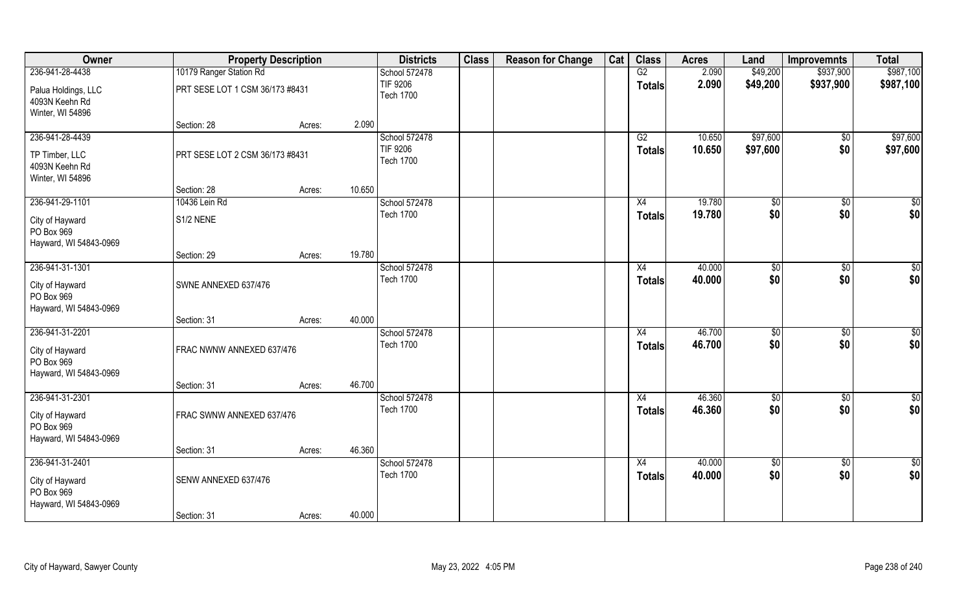| Owner                                                                      |                                 | <b>Property Description</b> |                  | <b>Districts</b>                                     | <b>Class</b> | <b>Reason for Change</b> | Cat    | <b>Class</b>                     | <b>Acres</b>     | Land                 | <b>Improvemnts</b>     | <b>Total</b>            |
|----------------------------------------------------------------------------|---------------------------------|-----------------------------|------------------|------------------------------------------------------|--------------|--------------------------|--------|----------------------------------|------------------|----------------------|------------------------|-------------------------|
| 236-941-28-4438                                                            | 10179 Ranger Station Rd         |                             |                  | School 572478                                        |              |                          |        | G2                               | 2.090            | \$49,200             | \$937,900              | \$987,100               |
| Palua Holdings, LLC<br>4093N Keehn Rd<br>Winter, WI 54896                  | PRT SESE LOT 1 CSM 36/173 #8431 |                             |                  | <b>TIF 9206</b><br><b>Tech 1700</b>                  |              |                          |        | <b>Totals</b>                    | 2.090            | \$49,200             | \$937,900              | \$987,100               |
|                                                                            | Section: 28                     | Acres:                      | 2.090            |                                                      |              |                          |        |                                  |                  |                      |                        |                         |
| 236-941-28-4439<br>TP Timber, LLC<br>4093N Keehn Rd<br>Winter, WI 54896    | PRT SESE LOT 2 CSM 36/173 #8431 |                             |                  | School 572478<br><b>TIF 9206</b><br><b>Tech 1700</b> |              |                          |        | G2<br><b>Totals</b>              | 10.650<br>10.650 | \$97,600<br>\$97,600 | $\sqrt[6]{}$<br>\$0    | \$97,600<br>\$97,600    |
|                                                                            | Section: 28                     | Acres:                      | 10.650           |                                                      |              |                          |        |                                  |                  |                      |                        |                         |
| 236-941-29-1101                                                            | 10436 Lein Rd                   |                             |                  | School 572478                                        |              |                          |        | X4                               | 19.780           | \$0                  | $\overline{30}$        | \$0                     |
| City of Hayward<br>PO Box 969<br>Hayward, WI 54843-0969                    | S1/2 NENE                       |                             |                  | <b>Tech 1700</b>                                     |              |                          |        | <b>Totals</b>                    | 19.780           | \$0                  | \$0                    | \$0                     |
|                                                                            | Section: 29                     | Acres:                      | 19.780           |                                                      |              |                          |        |                                  |                  |                      |                        |                         |
| 236-941-31-1301                                                            |                                 |                             |                  | School 572478                                        |              |                          |        | X4                               | 40.000           | \$0                  | $\sqrt[6]{3}$          | \$0                     |
| City of Hayward<br>PO Box 969<br>Hayward, WI 54843-0969                    | SWNE ANNEXED 637/476            |                             |                  | <b>Tech 1700</b>                                     |              |                          |        | <b>Totals</b>                    | 40.000           | \$0                  | \$0                    | \$0                     |
|                                                                            | Section: 31                     | Acres:                      | 40.000           |                                                      |              |                          |        |                                  |                  |                      |                        |                         |
| 236-941-31-2201<br>City of Hayward<br>PO Box 969<br>Hayward, WI 54843-0969 | FRAC NWNW ANNEXED 637/476       |                             |                  | School 572478<br><b>Tech 1700</b>                    |              |                          |        | $\overline{X4}$<br><b>Totals</b> | 46.700<br>46.700 | $\sqrt{50}$<br>\$0   | $\overline{50}$<br>\$0 | $\sqrt{50}$<br>\$0      |
|                                                                            | Section: 31                     | Acres:                      | 46.700           |                                                      |              |                          |        |                                  |                  |                      |                        |                         |
| 236-941-31-2301<br>City of Hayward<br>PO Box 969<br>Hayward, WI 54843-0969 | FRAC SWNW ANNEXED 637/476       |                             |                  | School 572478<br><b>Tech 1700</b>                    |              |                          |        | X4<br><b>Totals</b>              | 46.360<br>46.360 | \$0<br>\$0           | $\sqrt{$0}$<br>\$0     | $\overline{50}$<br> \$0 |
|                                                                            | Section: 31                     | Acres:                      | 46.360           |                                                      |              |                          |        |                                  |                  |                      |                        |                         |
| 236-941-31-2401                                                            |                                 |                             |                  | School 572478                                        |              |                          |        | X4                               | 40.000           | \$0                  | $\sqrt{$0}$            | \$0                     |
| City of Hayward<br>PO Box 969<br>Hayward, WI 54843-0969                    | SENW ANNEXED 637/476            |                             | <b>Tech 1700</b> |                                                      |              |                          | Totals | 40.000                           | \$0              | \$0                  | \$0                    |                         |
|                                                                            | Section: 31                     | Acres:                      | 40.000           |                                                      |              |                          |        |                                  |                  |                      |                        |                         |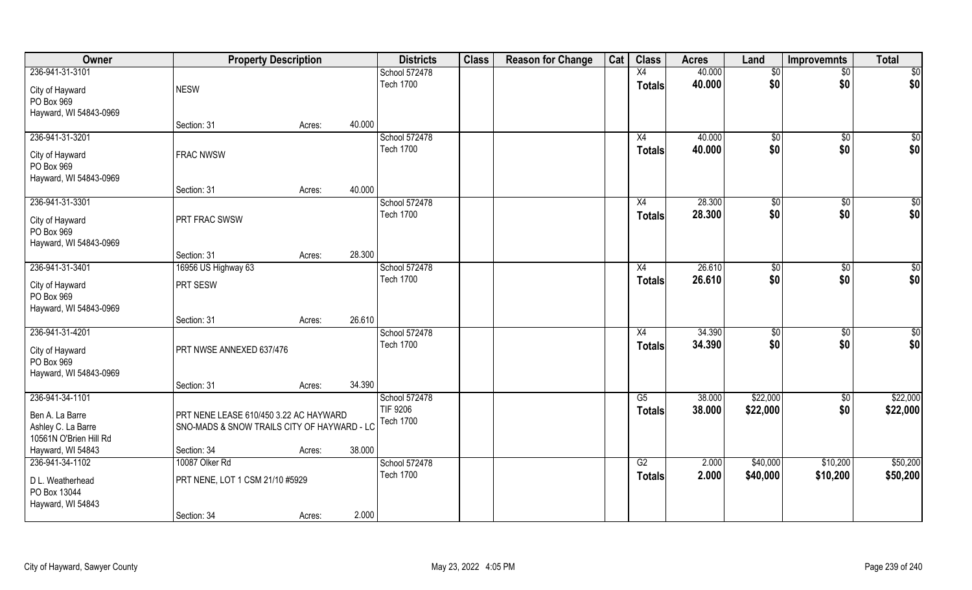| Owner                                                                              | <b>Property Description</b>                                                           |        | <b>Districts</b>                                     | <b>Class</b> | <b>Reason for Change</b> | Cat | <b>Class</b>                     | <b>Acres</b>     | Land                 | <b>Improvemnts</b>     | <b>Total</b>         |
|------------------------------------------------------------------------------------|---------------------------------------------------------------------------------------|--------|------------------------------------------------------|--------------|--------------------------|-----|----------------------------------|------------------|----------------------|------------------------|----------------------|
| 236-941-31-3101                                                                    |                                                                                       |        | School 572478                                        |              |                          |     | X4                               | 40.000           | \$0                  | $\sqrt{$0}$            | \$0                  |
| City of Hayward<br>PO Box 969<br>Hayward, WI 54843-0969                            | <b>NESW</b>                                                                           |        | <b>Tech 1700</b>                                     |              |                          |     | <b>Totals</b>                    | 40.000           | \$0                  | \$0                    | \$0                  |
|                                                                                    | Section: 31                                                                           | Acres: | 40.000                                               |              |                          |     |                                  |                  |                      |                        |                      |
| 236-941-31-3201<br>City of Hayward<br>PO Box 969<br>Hayward, WI 54843-0969         | <b>FRAC NWSW</b>                                                                      |        | School 572478<br><b>Tech 1700</b>                    |              |                          |     | X4<br>Totals                     | 40.000<br>40.000 | \$0<br>\$0           | $\sqrt[6]{}$<br>\$0    | \$0<br>\$0           |
|                                                                                    | Section: 31                                                                           | Acres: | 40.000                                               |              |                          |     |                                  |                  |                      |                        |                      |
| 236-941-31-3301<br>City of Hayward<br>PO Box 969<br>Hayward, WI 54843-0969         | PRT FRAC SWSW                                                                         |        | School 572478<br><b>Tech 1700</b>                    |              |                          |     | X4<br><b>Totals</b>              | 28.300<br>28.300 | \$0<br>\$0           | $\overline{30}$<br>\$0 | \$0<br>\$0           |
|                                                                                    | Section: 31                                                                           | Acres: | 28.300                                               |              |                          |     |                                  |                  |                      |                        |                      |
| 236-941-31-3401                                                                    | 16956 US Highway 63                                                                   |        | School 572478                                        |              |                          |     | X4                               | 26.610           | \$0                  | $\sqrt[6]{3}$          | \$0                  |
| City of Hayward<br>PO Box 969<br>Hayward, WI 54843-0969                            | PRT SESW                                                                              |        | <b>Tech 1700</b>                                     |              |                          |     | Totals                           | 26.610           | \$0                  | \$0                    | \$0                  |
|                                                                                    | Section: 31                                                                           | Acres: | 26.610                                               |              |                          |     |                                  |                  |                      |                        |                      |
| 236-941-31-4201<br>City of Hayward<br>PO Box 969<br>Hayward, WI 54843-0969         | PRT NWSE ANNEXED 637/476                                                              |        | School 572478<br><b>Tech 1700</b>                    |              |                          |     | $\overline{X4}$<br><b>Totals</b> | 34.390<br>34.390 | $\sqrt{50}$<br>\$0   | $\overline{50}$<br>\$0 | $\sqrt{50}$<br>\$0   |
|                                                                                    | Section: 31                                                                           | Acres: | 34.390                                               |              |                          |     |                                  |                  |                      |                        |                      |
| 236-941-34-1101<br>Ben A. La Barre<br>Ashley C. La Barre<br>10561N O'Brien Hill Rd | PRT NENE LEASE 610/450 3.22 AC HAYWARD<br>SNO-MADS & SNOW TRAILS CITY OF HAYWARD - LC |        | School 572478<br><b>TIF 9206</b><br><b>Tech 1700</b> |              |                          |     | G5<br><b>Totals</b>              | 38.000<br>38.000 | \$22,000<br>\$22,000 | $\sqrt{$0}$<br>\$0     | \$22,000<br>\$22,000 |
| Hayward, WI 54843                                                                  | Section: 34                                                                           | Acres: | 38.000                                               |              |                          |     |                                  |                  |                      |                        |                      |
| 236-941-34-1102                                                                    | 10087 Olker Rd                                                                        |        | School 572478                                        |              |                          |     | G2                               | 2.000            | \$40,000             | \$10,200               | \$50,200             |
| D L. Weatherhead<br>PO Box 13044<br>Hayward, WI 54843                              | PRT NENE, LOT 1 CSM 21/10 #5929                                                       |        | <b>Tech 1700</b>                                     |              |                          |     | <b>Totals</b>                    | 2.000            | \$40,000             | \$10,200               | \$50,200             |
|                                                                                    | Section: 34                                                                           | Acres: | 2.000                                                |              |                          |     |                                  |                  |                      |                        |                      |